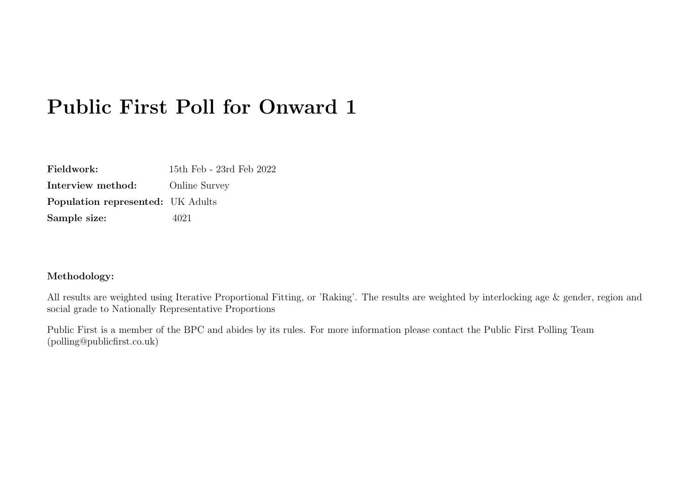| Fieldwork:                               | 15th Feb - 23rd Feb 2022 |
|------------------------------------------|--------------------------|
| Interview method:                        | <b>Online Survey</b>     |
| <b>Population represented:</b> UK Adults |                          |
| Sample size:                             | 4021                     |

#### Methodology:

All results are weighted using Iterative Proportional Fitting, or 'Raking'. The results are weighted by interlocking age & gender, region and social grade to Nationally Representative Proportions

Public First is a member of the BPC and abides by its rules. For more information please contact the Public First Polling Team (polling@publicfirst.co.uk)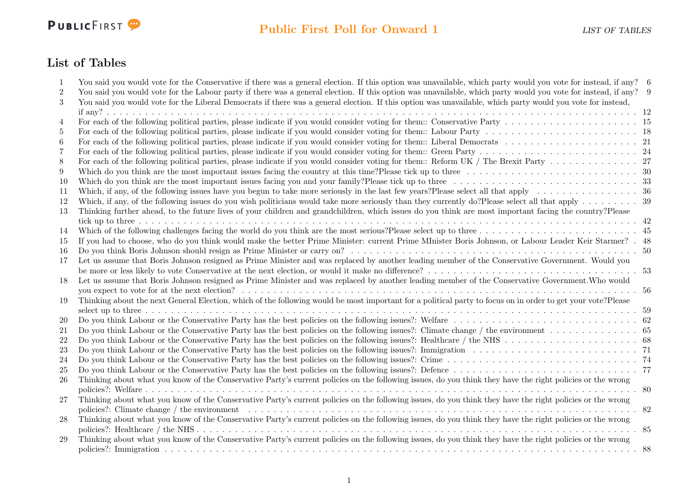

## List of Tables

| 1                | You said you would vote for the Conservative if there was a general election. If this option was unavailable, which party would you vote for instead, if any? 6                          |  |
|------------------|------------------------------------------------------------------------------------------------------------------------------------------------------------------------------------------|--|
| $\boldsymbol{2}$ | You said you would vote for the Labour party if there was a general election. If this option was unavailable, which party would you vote for instead, if any? 9                          |  |
| $\sqrt{3}$       | You said you would vote for the Liberal Democrats if there was a general election. If this option was unavailable, which party would you vote for instead,                               |  |
|                  |                                                                                                                                                                                          |  |
| 4                |                                                                                                                                                                                          |  |
| 5                |                                                                                                                                                                                          |  |
| 6                |                                                                                                                                                                                          |  |
| 7                |                                                                                                                                                                                          |  |
| 8                |                                                                                                                                                                                          |  |
| 9                | Which do you think are the most important issues facing the country at this time? Please tick up to three $\ldots \ldots \ldots \ldots \ldots \ldots \ldots \ldots \ldots \ldots \ldots$ |  |
| 10               |                                                                                                                                                                                          |  |
| 11               |                                                                                                                                                                                          |  |
| 12               |                                                                                                                                                                                          |  |
| 13               | Thinking further ahead, to the future lives of your children and grandchildren, which issues do you think are most important facing the country? Please                                  |  |
|                  |                                                                                                                                                                                          |  |
| 14               |                                                                                                                                                                                          |  |
| 15               | If you had to choose, who do you think would make the better Prime Minister: current Prime MInister Boris Johnson, or Labour Leader Keir Starmer? . 48                                   |  |
| 16               |                                                                                                                                                                                          |  |
| 17               | Let us assume that Boris Johnson resigned as Prime Minister and was replaced by another leading member of the Conservative Government. Would you                                         |  |
|                  |                                                                                                                                                                                          |  |
| 18               | Let us assume that Boris Johnson resigned as Prime Minister and was replaced by another leading member of the Conservative Government. Who would                                         |  |
|                  |                                                                                                                                                                                          |  |
| 19               | Thinking about the next General Election, which of the following would be most important for a political party to focus on in order to get your vote? Please                             |  |
|                  |                                                                                                                                                                                          |  |
| <b>20</b>        |                                                                                                                                                                                          |  |
| 21               |                                                                                                                                                                                          |  |
| 22               |                                                                                                                                                                                          |  |
| 23               |                                                                                                                                                                                          |  |
| 24               |                                                                                                                                                                                          |  |
| 25               |                                                                                                                                                                                          |  |
| 26               | Thinking about what you know of the Conservative Party's current policies on the following issues, do you think they have the right policies or the wrong                                |  |
|                  |                                                                                                                                                                                          |  |
| 27               | Thinking about what you know of the Conservative Party's current policies on the following issues, do you think they have the right policies or the wrong                                |  |
|                  | policies?: Climate change / the environment                                                                                                                                              |  |
| 28               | Thinking about what you know of the Conservative Party's current policies on the following issues, do you think they have the right policies or the wrong                                |  |
|                  |                                                                                                                                                                                          |  |
| 29               | Thinking about what you know of the Conservative Party's current policies on the following issues, do you think they have the right policies or the wrong                                |  |
|                  |                                                                                                                                                                                          |  |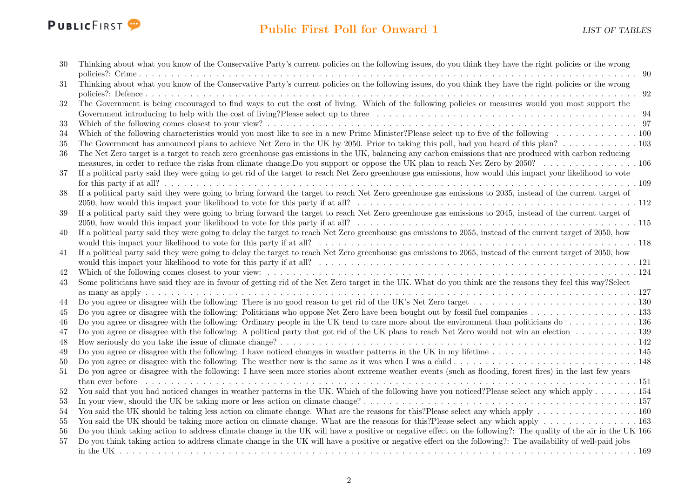

| 30 | Thinking about what you know of the Conservative Party's current policies on the following issues, do you think they have the right policies or the wrong           |
|----|---------------------------------------------------------------------------------------------------------------------------------------------------------------------|
|    |                                                                                                                                                                     |
| 31 | Thinking about what you know of the Conservative Party's current policies on the following issues, do you think they have the right policies or the wrong           |
| 32 | The Government is being encouraged to find ways to cut the cost of living. Which of the following policies or measures would you most support the                   |
|    |                                                                                                                                                                     |
| 33 |                                                                                                                                                                     |
| 34 |                                                                                                                                                                     |
| 35 |                                                                                                                                                                     |
| 36 | The Net Zero target is a target to reach zero greenhouse gas emissions in the UK, balancing any carbon emissions that are produced with carbon reducing             |
|    |                                                                                                                                                                     |
| 37 | If a political party said they were going to get rid of the target to reach Net Zero greenhouse gas emissions, how would this impact your likelihood to vote        |
|    |                                                                                                                                                                     |
| 38 | If a political party said they were going to bring forward the target to reach Net Zero greenhouse gas emissions to 2035, instead of the current target of          |
|    |                                                                                                                                                                     |
| 39 | If a political party said they were going to bring forward the target to reach Net Zero greenhouse gas emissions to 2045, instead of the current target of          |
|    |                                                                                                                                                                     |
| 40 | If a political party said they were going to delay the target to reach Net Zero greenhouse gas emissions to 2055, instead of the current target of 2050, how        |
|    |                                                                                                                                                                     |
| 41 | If a political party said they were going to delay the target to reach Net Zero greenhouse gas emissions to 2065, instead of the current target of 2050, how        |
|    |                                                                                                                                                                     |
| 42 |                                                                                                                                                                     |
| 43 | Some politicians have said they are in favour of getting rid of the Net Zero target in the UK. What do you think are the reasons they feel this way?Select          |
|    |                                                                                                                                                                     |
| 44 |                                                                                                                                                                     |
| 45 |                                                                                                                                                                     |
| 46 | Do you agree or disagree with the following: Ordinary people in the UK tend to care more about the environment than politicians do  136                             |
| 47 | Do you agree or disagree with the following: A political party that got rid of the UK plans to reach Net Zero would not win an election 139                         |
| 48 |                                                                                                                                                                     |
| 49 | Do you agree or disagree with the following: I have noticed changes in weather patterns in the UK in my lifetime $\ldots \ldots \ldots \ldots \ldots \ldots \ldots$ |
| 50 |                                                                                                                                                                     |
| 51 | Do you agree or disagree with the following: I have seen more stories about extreme weather events (such as flooding, forest fires) in the last few years           |
|    |                                                                                                                                                                     |
| 52 | You said that you had noticed changes in weather patterns in the UK. Which of the following have you noticed? Please select any which apply 154                     |
| 53 |                                                                                                                                                                     |
| 54 | You said the UK should be taking less action on climate change. What are the reasons for this?Please select any which apply $\dots \dots \dots \dots \dots$         |
| 55 |                                                                                                                                                                     |
| 56 | Do you think taking action to address climate change in the UK will have a positive or negative effect on the following?: The quality of the air in the UK 166      |
| 57 | Do you think taking action to address climate change in the UK will have a positive or negative effect on the following?: The availability of well-paid jobs        |
|    |                                                                                                                                                                     |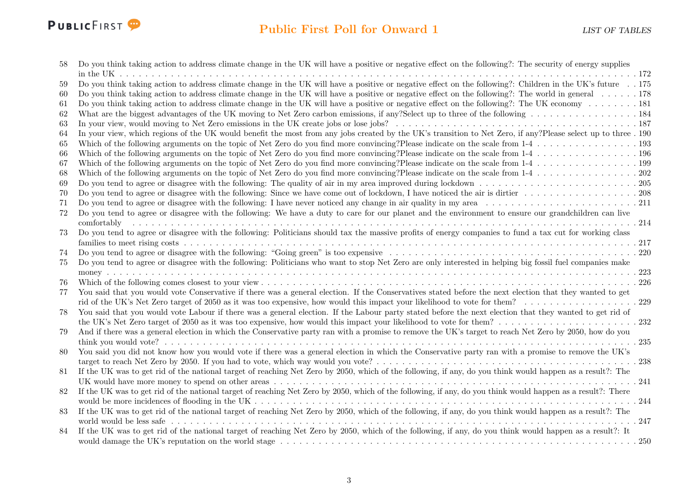

| 58     | Do you think taking action to address climate change in the UK will have a positive or negative effect on the following?: The security of energy supplies                                                                      |
|--------|--------------------------------------------------------------------------------------------------------------------------------------------------------------------------------------------------------------------------------|
|        |                                                                                                                                                                                                                                |
| 59     | Do you think taking action to address climate change in the UK will have a positive or negative effect on the following?: Children in the UK's future 175                                                                      |
| 60     | Do you think taking action to address climate change in the UK will have a positive or negative effect on the following?: The world in general 178                                                                             |
| 61     | Do you think taking action to address climate change in the UK will have a positive or negative effect on the following?: The UK economy 181                                                                                   |
| 62     |                                                                                                                                                                                                                                |
| 63     |                                                                                                                                                                                                                                |
| 64     | In your view, which regions of the UK would benefit the most from any jobs created by the UK's transition to Net Zero, if any?Please select up to three . 190                                                                  |
| 65     |                                                                                                                                                                                                                                |
| 66     |                                                                                                                                                                                                                                |
| 67     |                                                                                                                                                                                                                                |
| 68     |                                                                                                                                                                                                                                |
| 69     |                                                                                                                                                                                                                                |
| 70     |                                                                                                                                                                                                                                |
| 71     |                                                                                                                                                                                                                                |
| $72\,$ | Do you tend to agree or disagree with the following: We have a duty to care for our planet and the environment to ensure our grandchildren can live                                                                            |
|        | $comfortably$                                                                                                                                                                                                                  |
| 73     | Do you tend to agree or disagree with the following: Politicians should tax the massive profits of energy companies to fund a tax cut for working class                                                                        |
|        |                                                                                                                                                                                                                                |
| 74     |                                                                                                                                                                                                                                |
| 75     | Do you tend to agree or disagree with the following: Politicians who want to stop Net Zero are only interested in helping big fossil fuel companies make                                                                       |
|        |                                                                                                                                                                                                                                |
| 76     | 226                                                                                                                                                                                                                            |
| 77     | You said that you would vote Conservative if there was a general election. If the Conservatives stated before the next election that they wanted to get                                                                        |
|        |                                                                                                                                                                                                                                |
| 78     | You said that you would vote Labour if there was a general election. If the Labour party stated before the next election that they wanted to get rid of                                                                        |
|        |                                                                                                                                                                                                                                |
| 79     | And if there was a general election in which the Conservative party ran with a promise to remove the UK's target to reach Net Zero by 2050, how do you                                                                         |
|        | .235                                                                                                                                                                                                                           |
| 80     | You said you did not know how you would vote if there was a general election in which the Conservative party ran with a promise to remove the UK's                                                                             |
|        |                                                                                                                                                                                                                                |
| 81     | If the UK was to get rid of the national target of reaching Net Zero by 2050, which of the following, if any, do you think would happen as a result?: The                                                                      |
|        |                                                                                                                                                                                                                                |
| 82     | If the UK was to get rid of the national target of reaching Net Zero by 2050, which of the following, if any, do you think would happen as a result?: There                                                                    |
|        |                                                                                                                                                                                                                                |
| 83     | If the UK was to get rid of the national target of reaching Net Zero by 2050, which of the following, if any, do you think would happen as a result?: The                                                                      |
|        | world would be less safe received as a consequence of the control of the control of the control of the control of the control of the control of the control of the control of the control of the control of the control of the |
| 84     | If the UK was to get rid of the national target of reaching Net Zero by 2050, which of the following, if any, do you think would happen as a result?: It                                                                       |
|        |                                                                                                                                                                                                                                |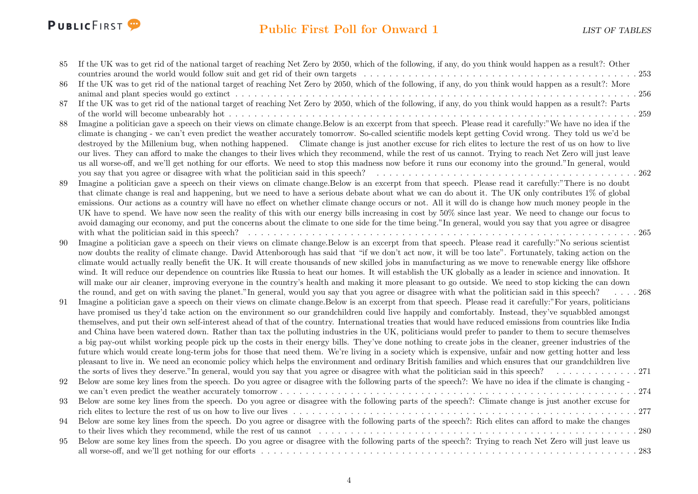

#### Public First Poll for Onward 1 LIST OF TABLES

| 85 | If the UK was to get rid of the national target of reaching Net Zero by 2050, which of the following, if any, do you think would happen as a result?: Other                                                                                                                                                        |  |
|----|--------------------------------------------------------------------------------------------------------------------------------------------------------------------------------------------------------------------------------------------------------------------------------------------------------------------|--|
|    |                                                                                                                                                                                                                                                                                                                    |  |
| 86 | If the UK was to get rid of the national target of reaching Net Zero by 2050, which of the following, if any, do you think would happen as a result?: More                                                                                                                                                         |  |
|    |                                                                                                                                                                                                                                                                                                                    |  |
| 87 | If the UK was to get rid of the national target of reaching Net Zero by 2050, which of the following, if any, do you think would happen as a result?: Parts                                                                                                                                                        |  |
|    |                                                                                                                                                                                                                                                                                                                    |  |
| 88 | Imagine a politician gave a speech on their views on climate change. Below is an excerpt from that speech. Please read it carefully:"We have no idea if the                                                                                                                                                        |  |
|    | climate is changing - we can't even predict the weather accurately tomorrow. So-called scientific models kept getting Covid wrong. They told us we'd be                                                                                                                                                            |  |
|    | destroyed by the Millenium bug, when nothing happened. Climate change is just another excuse for rich elites to lecture the rest of us on how to live                                                                                                                                                              |  |
|    | our lives. They can afford to make the changes to their lives which they recommend, while the rest of us cannot. Trying to reach Net Zero will just leave                                                                                                                                                          |  |
|    | us all worse-off, and we'll get nothing for our efforts. We need to stop this madness now before it runs our economy into the ground."In general, would                                                                                                                                                            |  |
|    |                                                                                                                                                                                                                                                                                                                    |  |
| 89 | Imagine a politician gave a speech on their views on climate change. Below is an excerpt from that speech. Please read it carefully:"There is no doubt                                                                                                                                                             |  |
|    | that climate change is real and happening, but we need to have a serious debate about what we can do about it. The UK only contributes 1% of global                                                                                                                                                                |  |
|    | emissions. Our actions as a country will have no effect on whether climate change occurs or not. All it will do is change how much money people in the                                                                                                                                                             |  |
|    | UK have to spend. We have now seen the reality of this with our energy bills increasing in cost by 50% since last year. We need to change our focus to                                                                                                                                                             |  |
|    | avoid damaging our economy, and put the concerns about the climate to one side for the time being."In general, would you say that you agree or disagree                                                                                                                                                            |  |
|    |                                                                                                                                                                                                                                                                                                                    |  |
| 90 | Imagine a politician gave a speech on their views on climate change. Below is an excerpt from that speech. Please read it carefully:"No serious scientist                                                                                                                                                          |  |
|    | now doubts the reality of climate change. David Attenborough has said that "if we don't act now, it will be too late". Fortunately, taking action on the                                                                                                                                                           |  |
|    | climate would actually really benefit the UK. It will create thousands of new skilled jobs in manufacturing as we move to renewable energy like offshore                                                                                                                                                           |  |
|    | wind. It will reduce our dependence on countries like Russia to heat our homes. It will establish the UK globally as a leader in science and innovation. It                                                                                                                                                        |  |
|    | will make our air cleaner, improving everyone in the country's health and making it more pleasant to go outside. We need to stop kicking the can down                                                                                                                                                              |  |
|    | the round, and get on with saving the planet."In general, would you say that you agree or disagree with what the politician said in this speech? $\ldots$ . 268                                                                                                                                                    |  |
| 91 | Imagine a politician gave a speech on their views on climate change. Below is an excerpt from that speech. Please read it carefully:"For years, politicians                                                                                                                                                        |  |
|    | have promised us they'd take action on the environment so our grandchildren could live happily and comfortably. Instead, they've squabbled amongst<br>themselves, and put their own self-interest ahead of that of the country. International treaties that would have reduced emissions from countries like India |  |
|    | and China have been watered down. Rather than tax the polluting industries in the UK, politicians would prefer to pander to them to secure themselves                                                                                                                                                              |  |
|    | a big pay-out whilst working people pick up the costs in their energy bills. They've done nothing to create jobs in the cleaner, greener industries of the                                                                                                                                                         |  |
|    | future which would create long-term jobs for those that need them. We're living in a society which is expensive, unfair and now getting hotter and less                                                                                                                                                            |  |
|    | pleasant to live in. We need an economic policy which helps the environment and ordinary British families and which ensures that our grandchildren live                                                                                                                                                            |  |
|    |                                                                                                                                                                                                                                                                                                                    |  |
| 92 | Below are some key lines from the speech. Do you agree or disagree with the following parts of the speech?: We have no idea if the climate is changing -                                                                                                                                                           |  |
|    |                                                                                                                                                                                                                                                                                                                    |  |
| 93 | Below are some key lines from the speech. Do you agree or disagree with the following parts of the speech?: Climate change is just another excuse for                                                                                                                                                              |  |
|    |                                                                                                                                                                                                                                                                                                                    |  |
| 94 | Below are some key lines from the speech. Do you agree or disagree with the following parts of the speech?: Rich elites can afford to make the changes                                                                                                                                                             |  |
|    |                                                                                                                                                                                                                                                                                                                    |  |
| 95 | Below are some key lines from the speech. Do you agree or disagree with the following parts of the speech?: Trying to reach Net Zero will just leave us                                                                                                                                                            |  |
|    |                                                                                                                                                                                                                                                                                                                    |  |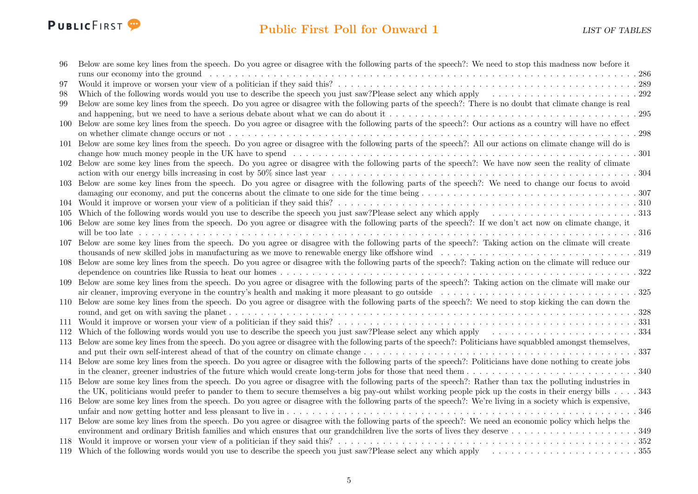

| 96  | Below are some key lines from the speech. Do you agree or disagree with the following parts of the speech?: We need to stop this madness now before it         |
|-----|----------------------------------------------------------------------------------------------------------------------------------------------------------------|
|     |                                                                                                                                                                |
| 97  |                                                                                                                                                                |
| 98  | Which of the following words would you use to describe the speech you just saw?Please select any which apply $\ldots \ldots \ldots \ldots \ldots \ldots$       |
| 99  | Below are some key lines from the speech. Do you agree or disagree with the following parts of the speech?: There is no doubt that climate change is real      |
|     |                                                                                                                                                                |
| 100 | Below are some key lines from the speech. Do you agree or disagree with the following parts of the speech?: Our actions as a country will have no effect       |
|     |                                                                                                                                                                |
| 101 | Below are some key lines from the speech. Do you agree or disagree with the following parts of the speech?: All our actions on climate change will do is       |
|     |                                                                                                                                                                |
|     | 102 Below are some key lines from the speech. Do you agree or disagree with the following parts of the speech?: We have now seen the reality of climate        |
|     |                                                                                                                                                                |
| 103 | Below are some key lines from the speech. Do you agree or disagree with the following parts of the speech?: We need to change our focus to avoid               |
|     |                                                                                                                                                                |
|     |                                                                                                                                                                |
| 105 |                                                                                                                                                                |
|     | 106 Below are some key lines from the speech. Do you agree or disagree with the following parts of the speech?: If we don't act now on climate change, it      |
|     |                                                                                                                                                                |
|     |                                                                                                                                                                |
|     | 107 Below are some key lines from the speech. Do you agree or disagree with the following parts of the speech?: Taking action on the climate will create       |
|     |                                                                                                                                                                |
| 108 | Below are some key lines from the speech. Do you agree or disagree with the following parts of the speech?: Taking action on the climate will reduce our       |
|     | .322                                                                                                                                                           |
| 109 | Below are some key lines from the speech. Do you agree or disagree with the following parts of the speech?: Taking action on the climate will make our         |
|     |                                                                                                                                                                |
|     | 110 Below are some key lines from the speech. Do you agree or disagree with the following parts of the speech?: We need to stop kicking the can down the       |
|     |                                                                                                                                                                |
|     |                                                                                                                                                                |
|     |                                                                                                                                                                |
|     | 113 Below are some key lines from the speech. Do you agree or disagree with the following parts of the speech?: Politicians have squabbled amongst themselves, |
|     |                                                                                                                                                                |
|     | 114 Below are some key lines from the speech. Do you agree or disagree with the following parts of the speech?: Politicians have done nothing to create jobs   |
|     |                                                                                                                                                                |
|     | 115 Below are some key lines from the speech. Do you agree or disagree with the following parts of the speech?: Rather than tax the polluting industries in    |
|     | the UK, politicians would prefer to pander to them to secure themselves a big pay-out whilst working people pick up the costs in their energy bills 343        |
|     | 116 Below are some key lines from the speech. Do you agree or disagree with the following parts of the speech?: We're living in a society which is expensive,  |
|     | .346                                                                                                                                                           |
| 117 | Below are some key lines from the speech. Do you agree or disagree with the following parts of the speech?: We need an economic policy which helps the         |
|     |                                                                                                                                                                |
| 118 |                                                                                                                                                                |
|     |                                                                                                                                                                |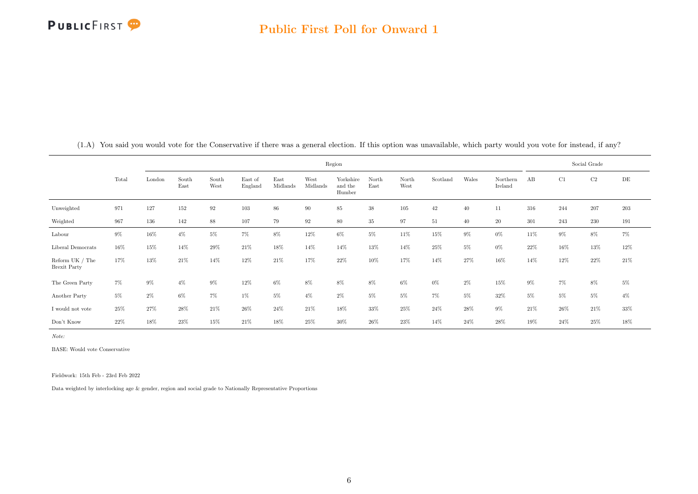

|                                             |       | Region |               |                   |                    |                  |                  |                                |               |               |          |       |                     |       | Social Grade |        |         |  |  |
|---------------------------------------------|-------|--------|---------------|-------------------|--------------------|------------------|------------------|--------------------------------|---------------|---------------|----------|-------|---------------------|-------|--------------|--------|---------|--|--|
|                                             | Total | London | South<br>East | South<br>West     | East of<br>England | East<br>Midlands | West<br>Midlands | Yorkshire<br>and the<br>Humber | North<br>East | North<br>West | Scotland | Wales | Northern<br>Ireland | AB    | C1           | C2     | DE      |  |  |
| Unweighted                                  | 971   | 127    | 152           | $\boldsymbol{92}$ | $103\,$            | 86               | 90               | 85                             | 38            | 105           | $42\,$   | 40    | 11                  | 316   | 244          | 207    | $203\,$ |  |  |
| Weighted                                    | 967   | 136    | 142           | 88                | 107                | 79               | 92               | 80                             | 35            | 97            | 51       | 40    | $20\,$              | 301   | 243          | 230    | 191     |  |  |
| Labour                                      | $9\%$ | $16\%$ | $4\%$         | $5\%$             | $7\%$              | $8\%$            | 12%              | $6\%$                          | $5\%$         | 11%           | 15%      | $9\%$ | $0\%$               | 11%   | $9\%$        | 8%     | 7%      |  |  |
| Liberal Democrats                           | 16%   | 15%    | 14%           | 29%               | 21\%               | 18%              | 14%              | 14%                            | 13%           | 14%           | 25%      | $5\%$ | $0\%$               | 22%   | 16%          | 13%    | 12%     |  |  |
| Reform UK / The $\,$<br><b>Brexit Party</b> | 17%   | 13%    | 21\%          | 14%               | 12%                | 21\%             | 17%              | 22%                            | 10%           | 17%           | 14%      | 27%   | 16%                 | 14%   | 12%          | 22%    | 21%     |  |  |
| The Green Party                             | 7%    | 9%     | $4\%$         | $9\%$             | 12%                | 6%               | 8%               | 8%                             | $8\%$         | $6\%$         | $0\%$    | $2\%$ | 15%                 | $9\%$ | 7%           | 8%     | $5\%$   |  |  |
| Another Party                               | 5%    | $2\%$  | $6\%$         | $7\%$             | $1\%$              | $5\%$            | $4\%$            | $2\%$                          | $5\%$         | 5%            | $7\%$    | $5\%$ | 32%                 | $5\%$ | 5%           | $5\%$  | $4\%$   |  |  |
| I would not vote                            | 25%   | 27%    | $28\%$        | 21%               | 26%                | 24%              | 21%              | 18%                            | 33%           | $25\%$        | 24%      | 28%   | $9\%$               | 21\%  | 26%          | 21\%   | $33\%$  |  |  |
| Don't Know                                  | 22%   | 18%    | 23%           | 15%               | 21\%               | 18%              | 25%              | 30%                            | 26%           | $23\%$        | 14%      | 24%   | 28%                 | 19%   | $24\%$       | $25\%$ | 18%     |  |  |

<span id="page-6-0"></span>(1.A) You said you would vote for the Conservative if there was a general election. If this option was unavailable, which party would you vote for instead, if any?

Note:

BASE: Would vote Conservative

Fieldwork: 15th Feb - 23rd Feb 2022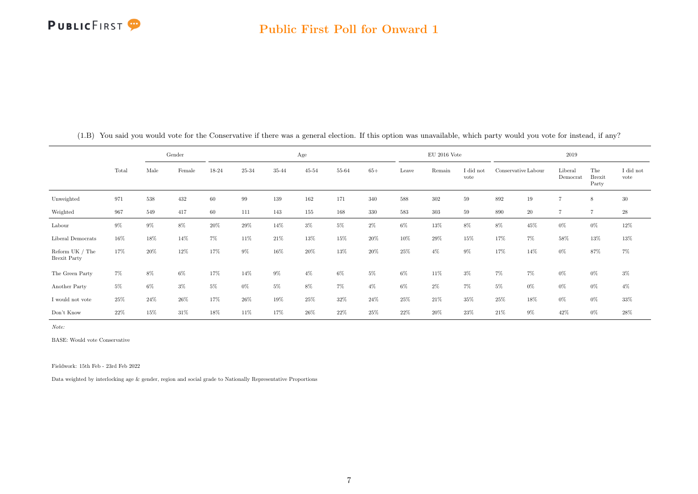|                                          |       |       | Gender |       |       |        | Age       |       |         |         | $\rm EU$ 2016 Vote |                   | 2019  |                     |                     |                               |                               |  |
|------------------------------------------|-------|-------|--------|-------|-------|--------|-----------|-------|---------|---------|--------------------|-------------------|-------|---------------------|---------------------|-------------------------------|-------------------------------|--|
|                                          | Total | Male  | Female | 18-24 | 25-34 | 35-44  | $45 - 54$ | 55-64 | $65+$   | Leave   | Remain             | I did not<br>vote |       | Conservative Labour | Liberal<br>Democrat | The<br><b>Brexit</b><br>Party | $\rm I$ did $\rm not$<br>vote |  |
| Unweighted                               | 971   | 538   | 432    | 60    | 99    | 139    | 162       | 171   | 340     | $588\,$ | $302\,$            | 59                | 892   | 19                  | $\overline{7}$      | 8                             | 30                            |  |
| Weighted                                 | 967   | 549   | 417    | 60    | 111   | 143    | $155\,$   | 168   | $330\,$ | $583\,$ | $303\,$            | 59                | 890   | $20\,$              | $\overline{7}$      | $\overline{7}$                | $\sqrt{28}$                   |  |
| Labour                                   | $9\%$ | $9\%$ | 8%     | 20%   | 29%   | 14%    | $3\%$     | $5\%$ | $2\%$   | $6\%$   | 13%                | 8%                | 8%    | 45%                 | $0\%$               | $0\%$                         | $12\%$                        |  |
| Liberal Democrats                        | 16%   | 18%   | 14%    | 7%    | 11%   | $21\%$ | $13\%$    | 15%   | 20%     | 10%     | 29%                | 15%               | 17%   | $7\%$               | 58%                 | 13%                           | $13\%$                        |  |
| Reform UK $/$ The<br><b>Brexit Party</b> | 17%   | 20%   | 12%    | 17%   | $9\%$ | $16\%$ | 20%       | 13%   | 20%     | $25\%$  | $4\%$              | $9\%$             | 17%   | 14%                 | $0\%$               | 87%                           | $7\%$                         |  |
| The Green Party                          | $7\%$ | 8%    | 6%     | 17%   | 14%   | $9\%$  | $4\%$     | $6\%$ | $5\%$   | $6\%$   | 11%                | $3\%$             | $7\%$ | $7\%$               | $0\%$               | $0\%$                         | $3\%$                         |  |
| Another Party                            | $5\%$ | $6\%$ | $3\%$  | $5\%$ | $0\%$ | 5%     | 8%        | $7\%$ | $4\%$   | $6\%$   | $2\%$              | 7%                | $5\%$ | $0\%$               | $0\%$               | $0\%$                         | $4\%$                         |  |
| I would not vote                         | 25%   | 24\%  | 26%    | 17%   | 26%   | 19%    | 25%       | 32%   | 24%     | 25%     | 21%                | 35%               | 25%   | 18%                 | $0\%$               | $0\%$                         | 33%                           |  |
| Don't Know                               | 22\%  | 15%   | 31%    | 18%   | 11%   | 17%    | 26%       | 22%   | 25%     | 22%     | 20%                | 23%               | 21\%  | $9\%$               | 42%                 | $0\%$                         | 28%                           |  |

(1.B) You said you would vote for the Conservative if there was a general election. If this option was unavailable, which party would you vote for instead, if any?

Note:

BASE: Would vote Conservative

Fieldwork: 15th Feb - 23rd Feb 2022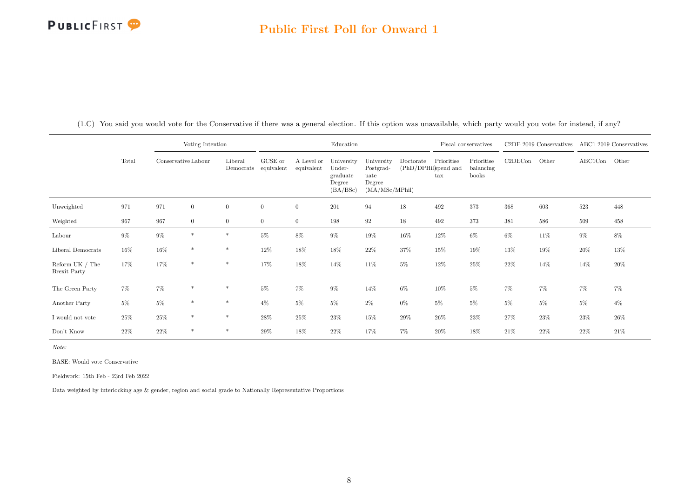#### Public First Poll for Onward 1

|                                          |       | Voting Intention |                     |                      |                       |                          | Education                                              |                                                             |           | Fiscal conservatives                               |                                  |         |        | C2DE 2019 Conservatives ABC1 2019 Conservatives |        |
|------------------------------------------|-------|------------------|---------------------|----------------------|-----------------------|--------------------------|--------------------------------------------------------|-------------------------------------------------------------|-----------|----------------------------------------------------|----------------------------------|---------|--------|-------------------------------------------------|--------|
|                                          | Total |                  | Conservative Labour | Liberal<br>Democrats | GCSE or<br>equivalent | A Level or<br>equivalent | University<br>Under-<br>graduate<br>Degree<br>(BA/BSc) | University<br>Postgrad-<br>uate<br>Degree<br>(MA/MSc/MPhil) | Doctorate | Prioritise<br>(PhD/DPHil)spend and<br>$_{\rm tax}$ | Prioritise<br>balancing<br>books | C2DECon | Other  | ABC1Con                                         | Other  |
| Unweighted                               | 971   | 971              | $\boldsymbol{0}$    | $\overline{0}$       | $\overline{0}$        | $\overline{0}$           | 201                                                    | 94                                                          | 18        | 492                                                | 373                              | 368     | 603    | 523                                             | 448    |
| Weighted                                 | 967   | 967              | $\overline{0}$      | $\overline{0}$       | $\overline{0}$        | $\overline{0}$           | 198                                                    | 92                                                          | 18        | 492                                                | 373                              | 381     | 586    | 509                                             | 458    |
| Labour                                   | $9\%$ | $9\%$            | $*$                 | $\ast$               | $5\%$                 | 8%                       | $9\%$                                                  | 19%                                                         | $16\%$    | 12%                                                | $6\%$                            | $6\%$   | $11\%$ | $9\%$                                           | 8%     |
| Liberal Democrats                        | 16%   | $16\%$           | $*$                 | $\ast$               | 12%                   | 18%                      | 18%                                                    | $22\%$                                                      | 37%       | 15%                                                | 19%                              | 13%     | 19%    | $20\%$                                          | 13%    |
| Reform $UK / The$<br><b>Brexit Party</b> | 17%   | 17%              | $*$                 | $\ast$               | 17%                   | $18\%$                   | 14%                                                    | $11\%$                                                      | $5\%$     | 12%                                                | 25%                              | 22%     | $14\%$ | 14%                                             | 20%    |
| The Green Party                          | 7%    | $7\%$            | $\ast$              | $\ast$               | $5\%$                 | 7%                       | 9%                                                     | 14%                                                         | $6\%$     | 10%                                                | $5\%$                            | $7\%$   | 7%     | 7%                                              | 7%     |
| Another Party                            | $5\%$ | $5\%$            | $\ast$              | $\ast$               | $4\%$                 | $5\%$                    | $5\%$                                                  | $2\%$                                                       | $0\%$     | $5\%$                                              | $5\%$                            | $5\%$   | $5\%$  | $5\%$                                           | $4\%$  |
| $\rm I$ would not vote                   | 25%   | $25\%$           | $*$                 | $\ast$               | 28%                   | $25\%$                   | 23%                                                    | $15\%$                                                      | $29\%$    | 26%                                                | 23%                              | 27%     | $23\%$ | $23\%$                                          | 26%    |
| Don't Know                               | 22%   | $22\%$           | $\ast$              | $\ast$               | 29%                   | 18%                      | 22%                                                    | 17%                                                         | $7\%$     | 20%                                                | 18%                              | 21\%    | 22%    | $22\%$                                          | $21\%$ |

(1.C) You said you would vote for the Conservative if there was a general election. If this option was unavailable, which party would you vote for instead, if any?

Note:

BASE: Would vote Conservative

Fieldwork: 15th Feb - 23rd Feb 2022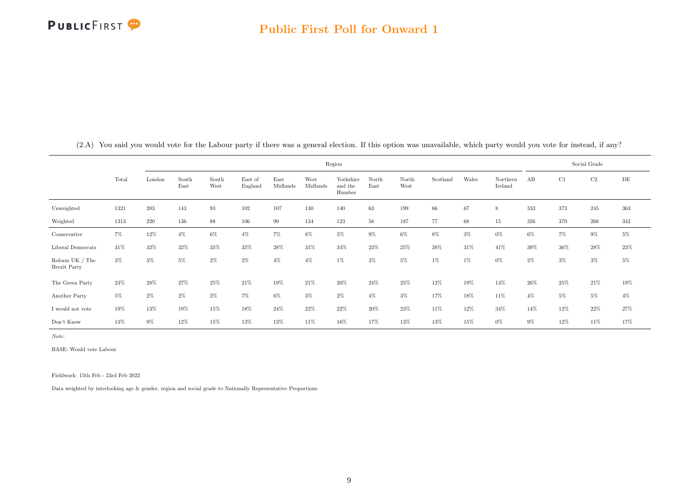

|                                          |       |        |               |               |                    |                  | Region           |                                |               | Social Grade  |          |       |                     |       |        |          |        |
|------------------------------------------|-------|--------|---------------|---------------|--------------------|------------------|------------------|--------------------------------|---------------|---------------|----------|-------|---------------------|-------|--------|----------|--------|
|                                          | Total | London | South<br>East | South<br>West | East of<br>England | East<br>Midlands | West<br>Midlands | Yorkshire<br>and the<br>Humber | North<br>East | North<br>West | Scotland | Wales | Northern<br>Ireland | AB    | C1     | $\rm C2$ | DE     |
| Unweighted                               | 1321  | 203    | 143           | 93            | 102                | 107              | 130              | 140                            | 63            | 199           | 66       | 67    | 8                   | 333   | 373    | 245      | 363    |
| Weighted                                 | 1313  | 220    | 136           | 88            | 106                | 99               | 134              | 123                            | 58            | 187           | 77       | 68    | 15                  | 326   | 370    | 268      | 342    |
| Conservative                             | 7%    | 12%    | $4\%$         | 6%            | $4\%$              | $7\%$            | 8%               | $5\%$                          | $9\%$         | $6\%$         | 8%       | $3\%$ | $0\%$               | $6\%$ | 7%     | $9\%$    | $5\%$  |
| Liberal Democrats                        | 31%   | 32%    | 32%           | 35%           | 35%                | $28\%$           | 31%              | 34%                            | 23%           | $25\%$        | 38%      | 31%   | 41%                 | 39%   | $36\%$ | 28%      | $23\%$ |
| Reform UK $/$ The<br><b>Brexit Party</b> | $3\%$ | $3\%$  | $5\%$         | $2\%$         | $2\%$              | $4\%$            | $4\%$            | $1\%$                          | $3\%$         | $5\%$         | $1\%$    | $1\%$ | $0\%$               | $2\%$ | $3\%$  | $3\%$    | $5\%$  |
| The Green Party                          | 23%   | $28\%$ | 27%           | 25%           | 21\%               | 19%              | 21\%             | $20\%$                         | 24%           | 25%           | 12%      | 19%   | 13%                 | 26%   | 25%    | 21\%     | 19%    |
| Another Party                            | $5\%$ | $2\%$  | $2\%$         | $2\%$         | $7\%$              | $6\%$            | $3\%$            | $2\%$                          | $4\%$         | $3\%$         | 17%      | 18%   | 11%                 | $4\%$ | 5%     | $5\%$    | $4\%$  |
| $\rm I$ would not vote                   | 19%   | $13\%$ | 19%           | 15%           | 18%                | 24%              | 22%              | 22%                            | 20%           | 23%           | 11%      | 12%   | 34%                 | 14%   | 12%    | 22%      | $27\%$ |
| Don't Know                               | 13%   | 9%     | 12%           | 15%           | 13%                | 13%              | 11%              | 16%                            | 17%           | 13%           | 13%      | 15%   | $0\%$               | $9\%$ | 12%    | 11%      | 17%    |

<span id="page-9-0"></span>(2.A) You said you would vote for the Labour party if there was a general election. If this option was unavailable, which party would you vote for instead, if any?

Note:

BASE: Would vote Labour

Fieldwork: 15th Feb - 23rd Feb 2022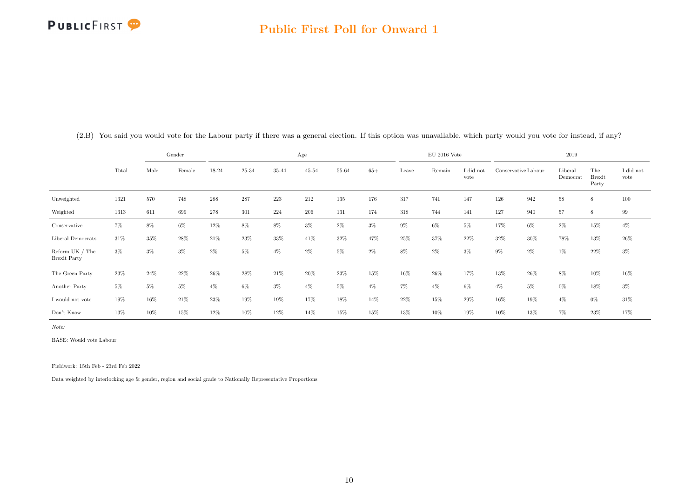|                                          |       |       | Gender |       |        |        | Age       |       |       |       | $\rm EU$ 2016 Vote |                   | 2019  |                     |                     |                               |                               |  |
|------------------------------------------|-------|-------|--------|-------|--------|--------|-----------|-------|-------|-------|--------------------|-------------------|-------|---------------------|---------------------|-------------------------------|-------------------------------|--|
|                                          | Total | Male  | Female | 18-24 | 25-34  | 35-44  | $45 - 54$ | 55-64 | $65+$ | Leave | Remain             | I did not<br>vote |       | Conservative Labour | Liberal<br>Democrat | The<br><b>Brexit</b><br>Party | $\rm I$ did $\rm not$<br>vote |  |
| Unweighted                               | 1321  | 570   | 748    | 288   | 287    | 223    | 212       | 135   | 176   | 317   | 741                | 147               | 126   | 942                 | 58                  | 8                             | 100                           |  |
| Weighted                                 | 1313  | 611   | 699    | 278   | 301    | 224    | 206       | 131   | 174   | 318   | 744                | 141               | 127   | 940                 | 57                  | 8                             | 99                            |  |
| Conservative                             | $7\%$ | 8%    | $6\%$  | 12%   | 8%     | 8%     | $3\%$     | $2\%$ | $3\%$ | $9\%$ | $6\%$              | 5%                | 17%   | $6\%$               | 2%                  | 15%                           | $4\%$                         |  |
| Liberal Democrats                        | 31%   | 35%   | 28%    | 21\%  | 23%    | $33\%$ | 41\%      | 32%   | 47%   | 25%   | 37%                | 22%               | 32%   | $30\%$              | 78%                 | 13%                           | $26\%$                        |  |
| Reform UK $/$ The<br><b>Brexit Party</b> | $3\%$ | $3\%$ | $3\%$  | $2\%$ | 5%     | $4\%$  | $2\%$     | $5\%$ | $2\%$ | $8\%$ | $2\%$              | $3\%$             | $9\%$ | $2\%$               | $1\%$               | 22%                           | $3\%$                         |  |
| The Green Party                          | 23%   | 24\%  | 22%    | 26%   | $28\%$ | 21\%   | $20\%$    | 23%   | 15%   | 16%   | 26%                | 17%               | 13%   | 26\%                | 8%                  | 10%                           | 16%                           |  |
| Another Party                            | $5\%$ | $5\%$ | $5\%$  | $4\%$ | 6%     | $3\%$  | $4\%$     | $5\%$ | $4\%$ | $7\%$ | $4\%$              | 6%                | $4\%$ | $5\%$               | $0\%$               | 18%                           | $3\%$                         |  |
| I would not vote                         | 19%   | 16%   | 21\%   | 23%   | 19%    | 19%    | 17%       | 18%   | 14%   | 22%   | 15%                | 29%               | 16%   | 19%                 | $4\%$               | $0\%$                         | 31\%                          |  |
| Don't Know                               | 13%   | 10%   | 15%    | 12%   | 10%    | 12%    | 14%       | 15%   | 15%   | 13%   | 10%                | 19%               | 10%   | 13%                 | 7%                  | 23%                           | 17%                           |  |

(2.B) You said you would vote for the Labour party if there was a general election. If this option was unavailable, which party would you vote for instead, if any?

Note:

BASE: Would vote Labour

Fieldwork: 15th Feb - 23rd Feb 2022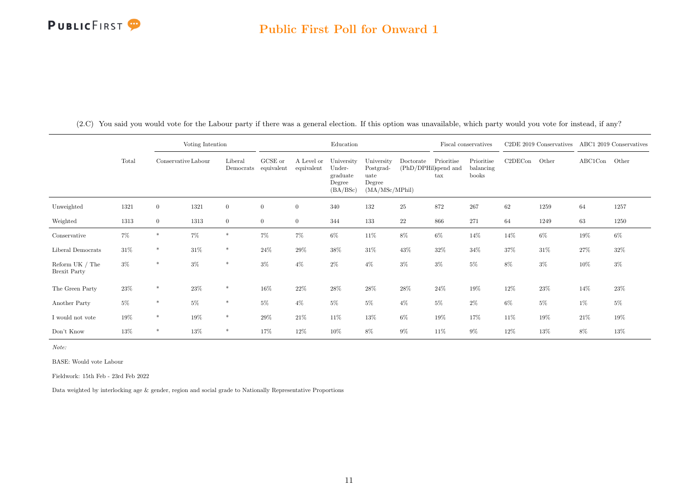#### Public First Poll for Onward 1

|                                          |        | Voting Intention |                     |                      |                       |                          | Education                                              |                                                             |           | Fiscal conservatives                               |                                  | C <sub>2</sub> DE 2019 Conservatives |        | ABC1 2019 Conservatives |       |
|------------------------------------------|--------|------------------|---------------------|----------------------|-----------------------|--------------------------|--------------------------------------------------------|-------------------------------------------------------------|-----------|----------------------------------------------------|----------------------------------|--------------------------------------|--------|-------------------------|-------|
|                                          | Total  |                  | Conservative Labour | Liberal<br>Democrats | GCSE or<br>equivalent | A Level or<br>equivalent | University<br>Under-<br>graduate<br>Degree<br>(BA/BSc) | University<br>Postgrad-<br>uate<br>Degree<br>(MA/MSc/MPhil) | Doctorate | Prioritise<br>(PhD/DPHil)spend and<br>$_{\rm tax}$ | Prioritise<br>balancing<br>books | C2DECon                              | Other  | ABC1Con                 | Other |
| Unweighted                               | 1321   | $\overline{0}$   | 1321                | $\overline{0}$       | $\overline{0}$        | $\overline{0}$           | 340                                                    | 132                                                         | 25        | 872                                                | 267                              | 62                                   | 1259   | 64                      | 1257  |
| Weighted                                 | 1313   | $\overline{0}$   | 1313                | $\overline{0}$       | $\overline{0}$        | $\overline{0}$           | 344                                                    | 133                                                         | 22        | 866                                                | 271                              | 64                                   | 1249   | 63                      | 1250  |
| Conservative                             | 7%     | $\ast$           | 7%                  | $\ast$               | 7%                    | 7%                       | $6\%$                                                  | $11\%$                                                      | $8\%$     | $6\%$                                              | 14%                              | 14%                                  | $6\%$  | 19%                     | $6\%$ |
| Liberal Democrats                        | $31\%$ | $\ast$           | 31%                 | $\ast$               | 24%                   | 29%                      | 38%                                                    | 31\%                                                        | 43%       | 32%                                                | 34%                              | 37%                                  | $31\%$ | $27\%$                  | 32%   |
| Reform $UK / The$<br><b>Brexit Party</b> | $3\%$  | $\ast$           | $3\%$               | $\ast$               | $3\%$                 | $4\%$                    | 2%                                                     | $4\%$                                                       | $3\%$     | $3\%$                                              | $5\%$                            | 8%                                   | $3\%$  | 10%                     | $3\%$ |
| The Green Party                          | $23\%$ | $\ast$           | 23%                 | $\ast$               | 16%                   | 22%                      | 28%                                                    | 28%                                                         | 28%       | $24\%$                                             | $19\%$                           | $12\%$                               | 23%    | 14%                     | 23%   |
| Another Party                            | $5\%$  | $\ast$           | $5\%$               | $\ast$               | $5\%$                 | $4\%$                    | $5\%$                                                  | $5\%$                                                       | $4\%$     | $5\%$                                              | $2\%$                            | $6\%$                                | $5\%$  | 1%                      | $5\%$ |
| $\rm I$ would not vote                   | 19%    | $\ast$           | 19%                 | $\ast$               | 29%                   | $21\%$                   | 11%                                                    | $13\%$                                                      | $6\%$     | 19%                                                | 17%                              | $11\%$                               | 19%    | 21\%                    | 19%   |
| Don't Know                               | 13%    | $\ast$           | 13%                 | $\ast$               | 17%                   | 12%                      | 10%                                                    | 8%                                                          | $9\%$     | 11%                                                | $9\%$                            | $12\%$                               | 13%    | 8%                      | 13%   |

(2.C) You said you would vote for the Labour party if there was a general election. If this option was unavailable, which party would you vote for instead, if any?

Note:

BASE: Would vote Labour

Fieldwork: 15th Feb - 23rd Feb 2022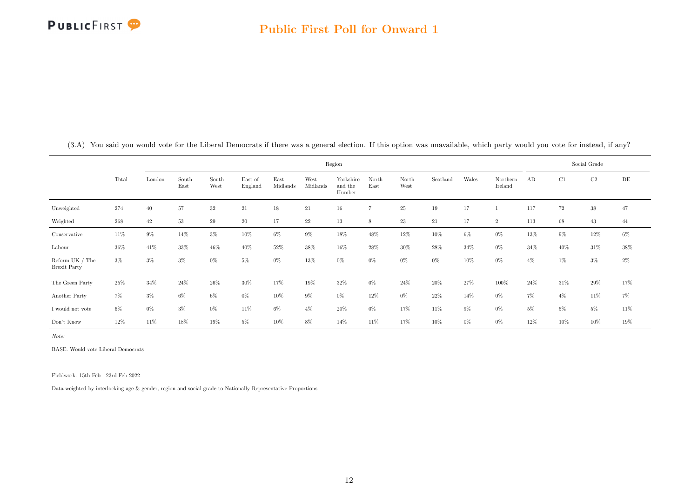

|                                          |       |        |               |               |                    |                  |                  |                                |                |               | Social Grade |        |                     |       |       |       |        |
|------------------------------------------|-------|--------|---------------|---------------|--------------------|------------------|------------------|--------------------------------|----------------|---------------|--------------|--------|---------------------|-------|-------|-------|--------|
|                                          | Total | London | South<br>East | South<br>West | East of<br>England | East<br>Midlands | West<br>Midlands | Yorkshire<br>and the<br>Humber | North<br>East  | North<br>West | Scotland     | Wales  | Northern<br>Ireland | AB    | C1    | C2    | DE     |
| Unweighted                               | 274   | 40     | 57            | $32\,$        | $21\,$             | $18\,$           | 21               | $16\,$                         | $\overline{7}$ | 25            | 19           | 17     |                     | 117   | 72    | 38    | 47     |
| Weighted                                 | 268   | 42     | $53\,$        | $\,29$        | $20\,$             | 17               | 22               | 13                             | 8              | 23            | 21           | 17     | $\overline{2}$      | 113   | 68    | 43    | 44     |
| Conservative                             | 11%   | $9\%$  | 14%           | $3\%$         | 10%                | $6\%$            | 9%               | 18%                            | 48%            | 12%           | 10%          | $6\%$  | $0\%$               | 13%   | 9%    | 12%   | $6\%$  |
| Labour                                   | 36%   | 41\%   | $33\%$        | $46\%$        | 40%                | 52%              | 38%              | 16%                            | 28%            | 30%           | 28%          | 34%    | $0\%$               | 34%   | 40%   | 31\%  | $38\%$ |
| Reform UK $/$ The<br><b>Brexit Party</b> | $3\%$ | $3\%$  | $3\%$         | $0\%$         | $5\%$              | $0\%$            | 13%              | $0\%$                          | $0\%$          | $0\%$         | $0\%$        | $10\%$ | $0\%$               | $4\%$ | 1%    | $3\%$ | $2\%$  |
| The Green Party                          | 25%   | 34%    | 24\%          | 26%           | 30%                | 17%              | 19%              | 32%                            | $0\%$          | 24\%          | 20%          | 27%    | 100%                | 24\%  | 31%   | 29%   | 17%    |
| Another Party                            | $7\%$ | $3\%$  | $6\%$         | $6\%$         | $0\%$              | $10\%$           | $9\%$            | $0\%$                          | 12%            | $0\%$         | 22%          | 14%    | $0\%$               | $7\%$ | $4\%$ | 11\%  | $7\%$  |
| I would not vote                         | $6\%$ | $0\%$  | $3\%$         | $0\%$         | 11%                | $6\%$            | $4\%$            | 20%                            | $0\%$          | 17%           | 11%          | $9\%$  | $0\%$               | $5\%$ | 5%    | $5\%$ | 11%    |
| Don't Know                               | 12%   | 11\%   | 18%           | 19%           | $5\%$              | 10%              | 8%               | 14%                            | 11%            | 17%           | 10%          | $0\%$  | $0\%$               | 12%   | 10%   | 10%   | 19%    |

<span id="page-12-0"></span>(3.A) You said you would vote for the Liberal Democrats if there was a general election. If this option was unavailable, which party would you vote for instead, if any?

Note:

BASE: Would vote Liberal Democrats

Fieldwork: 15th Feb - 23rd Feb 2022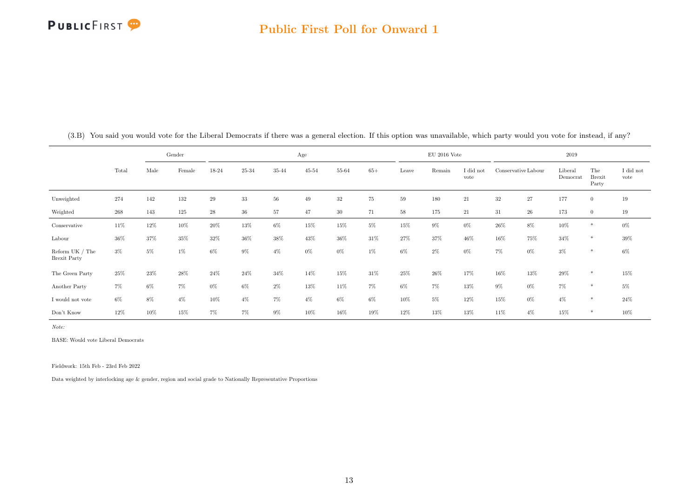|                                        |       |       | Gender |             |        |       | Age       |           |       |       | $EU$ 2016 Vote |                   |                     |        | 2019                |                               |                   |
|----------------------------------------|-------|-------|--------|-------------|--------|-------|-----------|-----------|-------|-------|----------------|-------------------|---------------------|--------|---------------------|-------------------------------|-------------------|
|                                        | Total | Male  | Female | 18-24       | 25-34  | 35-44 | $45 - 54$ | $55 - 64$ | $65+$ | Leave | Remain         | I did not<br>vote | Conservative Labour |        | Liberal<br>Democrat | The<br><b>Brexit</b><br>Party | I did not<br>vote |
| Unweighted                             | 274   | 142   | 132    | $\,29$      | 33     | 56    | 49        | 32        | 75    | 59    | 180            | $21\,$            | $32\,$              | $27\,$ | 177                 | $\overline{0}$                | 19                |
| Weighted                               | 268   | 143   | 125    | $\sqrt{28}$ | $36\,$ | 57    | 47        | 30        | 71    | 58    | 175            | 21                | 31                  | 26     | 173                 | $\overline{0}$                | 19                |
| Conservative                           | 11\%  | 12%   | 10%    | 20%         | $13\%$ | $6\%$ | 15%       | $15\%$    | $5\%$ | 15%   | $9\%$          | $0\%$             | 26%                 | $8\%$  | $10\%$              | $*$                           | $0\%$             |
| Labour                                 | 36%   | 37%   | 35%    | 32%         | 36%    | 38%   | 43%       | 36%       | 31%   | 27%   | 37%            | 46%               | 16%                 | 75%    | 34%                 | $*$                           | $39\%$            |
| Reform UK / The<br><b>Brexit Party</b> | $3\%$ | $5\%$ | $1\%$  | 6%          | 9%     | $4\%$ | $0\%$     | $0\%$     | $1\%$ | $6\%$ | $2\%$          | $0\%$             | $7\%$               | $0\%$  | $3\%$               | $*$                           | $6\%$             |
| The Green Party                        | 25%   | 23%   | $28\%$ | 24%         | 24%    | 34%   | 14%       | 15%       | 31%   | 25%   | 26%            | 17%               | 16%                 | 13%    | $29\%$              | $*$                           | $15\%$            |
| Another Party                          | 7%    | $6\%$ | $7\%$  | $0\%$       | 6%     | 2%    | 13%       | 11%       | $7\%$ | $6\%$ | 7%             | 13%               | $9\%$               | $0\%$  | 7%                  | $*$                           | $5\%$             |
| I would not vote                       | $6\%$ | $8\%$ | $4\%$  | 10%         | $4\%$  | 7%    | $4\%$     | $6\%$     | $6\%$ | 10%   | $5\%$          | 12%               | 15%                 | $0\%$  | $4\%$               | $*$                           | $24\%$            |
| Don't Know                             | 12%   | 10%   | 15%    | $7\%$       | $7\%$  | $9\%$ | 10%       | 16%       | 19%   | 12%   | 13%            | 13%               | 11%                 | $4\%$  | 15%                 | $\ast$                        | 10%               |

(3.B) You said you would vote for the Liberal Democrats if there was a general election. If this option was unavailable, which party would you vote for instead, if any?

Note:

BASE: Would vote Liberal Democrats

Fieldwork: 15th Feb - 23rd Feb 2022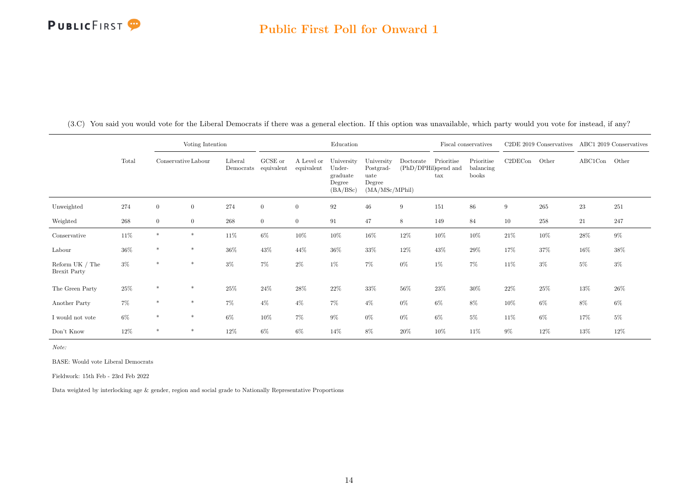#### Public First Poll for Onward 1

|                                          |       |                     | Voting Intention |                      |                       |                          | Education                                              |                                                             |           |                                                    | Fiscal conservatives             |         | C2DE 2019 Conservatives ABC1 2019 Conservatives |               |        |
|------------------------------------------|-------|---------------------|------------------|----------------------|-----------------------|--------------------------|--------------------------------------------------------|-------------------------------------------------------------|-----------|----------------------------------------------------|----------------------------------|---------|-------------------------------------------------|---------------|--------|
|                                          | Total | Conservative Labour |                  | Liberal<br>Democrats | GCSE or<br>equivalent | A Level or<br>equivalent | University<br>Under-<br>graduate<br>Degree<br>(BA/BSc) | University<br>Postgrad-<br>uate<br>Degree<br>(MA/MSc/MPhil) | Doctorate | Prioritise<br>(PhD/DPHil)spend and<br>$_{\rm tax}$ | Prioritise<br>balancing<br>books | C2DECon | Other                                           | $\rm ABC1Con$ | Other  |
| Unweighted                               | 274   | $\overline{0}$      | $\mathbf{0}$     | 274                  | $\boldsymbol{0}$      | $\overline{0}$           | 92                                                     | $46\,$                                                      | 9         | 151                                                | 86                               | 9       | $265\,$                                         | $\bf 23$      | 251    |
| Weighted                                 | 268   | $\overline{0}$      | $\overline{0}$   | $268\,$              | $\overline{0}$        | $\overline{0}$           | 91                                                     | 47                                                          | 8         | 149                                                | 84                               | 10      | $258\,$                                         | 21            | 247    |
| Conservative                             | 11%   | $\ast$              | $\ast$           | 11%                  | $6\%$                 | 10%                      | 10%                                                    | $16\%$                                                      | $12\%$    | 10%                                                | 10%                              | 21\%    | $10\%$                                          | $28\%$        | $9\%$  |
| Labour                                   | 36%   | $\ast$              | $\ast$           | 36%                  | 43%                   | 44\%                     | 36%                                                    | 33%                                                         | $12\%$    | 43%                                                | 29%                              | 17%     | 37%                                             | 16%           | 38%    |
| Reform UK $/$ The<br><b>Brexit Party</b> | $3\%$ | $\ast$              | $\ast$           | $3\%$                | 7%                    | $2\%$                    | 1%                                                     | 7%                                                          | $0\%$     | 1%                                                 | 7%                               | $11\%$  | $3\%$                                           | 5%            | $3\%$  |
| The Green Party                          | 25%   | $\ast$              | $\ast$           | 25%                  | 24\%                  | 28%                      | 22%                                                    | 33%                                                         | $56\%$    | 23%                                                | $30\%$                           | 22\%    | 25%                                             | 13%           | $26\%$ |
| Another Party                            | $7\%$ | $\ast$              | $\ast$           | 7%                   | $4\%$                 | $4\%$                    | 7%                                                     | $4\%$                                                       | $0\%$     | $6\%$                                              | 8%                               | 10%     | $6\%$                                           | 8%            | $6\%$  |
| $\rm I$ would not vote                   | $6\%$ | $\ast$              | $*$              | $6\%$                | 10%                   | $7\%$                    | $9\%$                                                  | $0\%$                                                       | $0\%$     | $6\%$                                              | $5\%$                            | $11\%$  | $6\%$                                           | 17%           | $5\%$  |
| Don't Know                               | 12%   | $\ast$              | $\ast$           | 12%                  | $6\%$                 | $6\%$                    | 14%                                                    | 8%                                                          | 20%       | 10%                                                | 11\%                             | $9\%$   | $12\%$                                          | 13%           | 12%    |

(3.C) You said you would vote for the Liberal Democrats if there was a general election. If this option was unavailable, which party would you vote for instead, if any?

Note:

BASE: Would vote Liberal Democrats

Fieldwork: 15th Feb - 23rd Feb 2022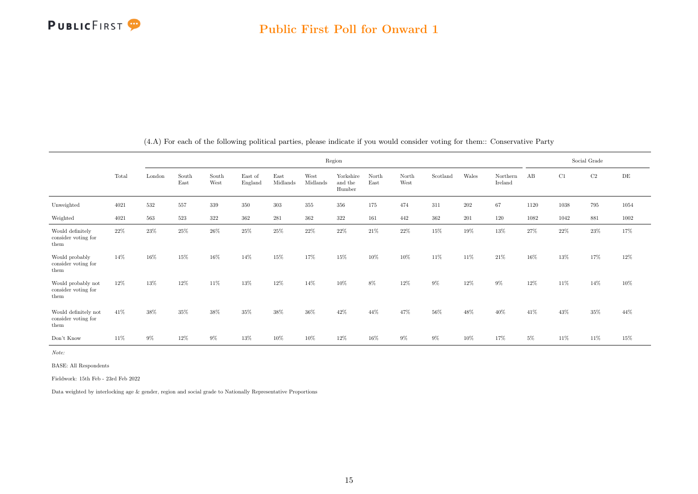

<span id="page-15-0"></span>

|                                                     |       |         |               |               |                    |                  |                  | Region                         |                                |               |          |        |                     |       |          | Social Grade |        |
|-----------------------------------------------------|-------|---------|---------------|---------------|--------------------|------------------|------------------|--------------------------------|--------------------------------|---------------|----------|--------|---------------------|-------|----------|--------------|--------|
|                                                     | Total | London  | South<br>East | South<br>West | East of<br>England | East<br>Midlands | West<br>Midlands | Yorkshire<br>and the<br>Humber | $\operatorname{North}$<br>East | North<br>West | Scotland | Wales  | Northern<br>Ireland | AB    | C1       | $\rm{C2}$    | DE     |
| Unweighted                                          | 4021  | 532     | 557           | 339           | 350                | 303              | 355              | 356                            | 175                            | 474           | 311      | 202    | 67                  | 1120  | $1038\,$ | 795          | 1054   |
| Weighted                                            | 4021  | $563\,$ | 523           | $322\,$       | 362                | 281              | 362              | $322\,$                        | 161                            | 442           | 362      | 201    | 120                 | 1082  | 1042     | 881          | 1002   |
| Would definitely<br>consider voting for<br>them     | 22%   | 23%     | $25\%$        | 26%           | 25%                | 25%              | 22%              | 22%                            | 21%                            | 22%           | 15%      | 19%    | 13%                 | 27%   | 22%      | 23%          | 17%    |
| Would probably<br>consider voting for<br>them       | 14%   | 16%     | 15%           | 16%           | 14%                | 15%              | 17%              | 15%                            | 10%                            | 10%           | 11%      | 11%    | 21%                 | 16%   | 13%      | 17%          | 12%    |
| Would probably not<br>consider voting for<br>them   | 12%   | 13%     | 12%           | 11%           | 13%                | 12%              | 14%              | 10%                            | 8%                             | 12%           | $9\%$    | 12%    | $9\%$               | 12%   | 11%      | 14%          | 10%    |
| Would definitely not<br>consider voting for<br>them | 41%   | 38%     | 35%           | 38%           | 35%                | 38%              | 36%              | 42%                            | 44%                            | 47%           | 56%      | 48%    | 40%                 | 41\%  | 43%      | $35\%$       | 44%    |
| Don't Know                                          | 11%   | $9\%$   | $12\%$        | $9\%$         | 13%                | $10\%$           | 10%              | $12\%$                         | 16%                            | $9\%$         | $9\%$    | $10\%$ | $17\%$              | $5\%$ | $11\%$   | $11\%$       | $15\%$ |

(4.A) For each of the following political parties, please indicate if you would consider voting for them:: Conservative Party

Note:

BASE: All Respondents

Fieldwork: 15th Feb - 23rd Feb 2022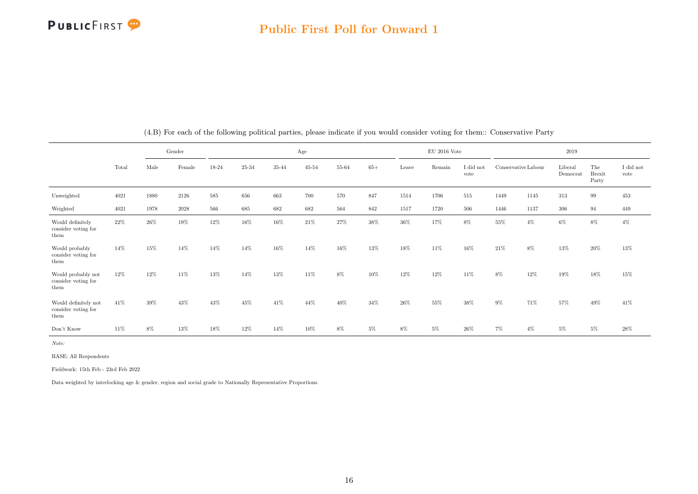

|                                                     |       |        | Gender   |         |        |           | Age       |       |       |        | $EU$ 2016 Vote |                   |                     |       | 2019                |                               |                               |
|-----------------------------------------------------|-------|--------|----------|---------|--------|-----------|-----------|-------|-------|--------|----------------|-------------------|---------------------|-------|---------------------|-------------------------------|-------------------------------|
|                                                     | Total | Male   | Female   | 18-24   | 25-34  | $35 - 44$ | $45 - 54$ | 55-64 | $65+$ | Leave  | Remain         | I did not<br>vote | Conservative Labour |       | Liberal<br>Democrat | The<br><b>Brexit</b><br>Party | $\rm I$ did $\rm not$<br>vote |
| Unweighted                                          | 4021  | 1880   | 2126     | $585\,$ | 656    | 663       | 700       | 570   | 847   | 1514   | 1706           | $515\,$           | 1449                | 1145  | 313                 | 99                            | 453                           |
| Weighted                                            | 4021  | 1978   | $2028\,$ | 566     | 685    | 682       | 682       | 564   | 842   | 1517   | 1720           | 506               | 1446                | 1137  | 306                 | 94                            | 449                           |
| Would definitely<br>consider voting for<br>them     | 22%   | $26\%$ | 19%      | 12%     | 16%    | 16%       | 21\%      | 27%   | 38%   | 36%    | 17%            | 8%                | 55%                 | $4\%$ | 6%                  | 8%                            | $4\%$                         |
| Would probably<br>consider voting for<br>them       | 14%   | 15%    | 14%      | 14%     | 14%    | 16%       | 14%       | 16%   | 13%   | 18%    | 11%            | 16%               | 21%                 | 8%    | 13%                 | 20%                           | 13%                           |
| Would probably not<br>consider voting for<br>them   | 12%   | 12%    | 11%      | 13%     | 14%    | 13%       | 11%       | $8\%$ | 10%   | 12%    | 12%            | 11%               | 8%                  | 12%   | 19%                 | 18%                           | 15%                           |
| Would definitely not<br>consider voting for<br>them | 41\%  | 39%    | 43%      | 43%     | 45%    | 41\%      | 44%       | 40%   | 34%   | $26\%$ | 55%            | 38%               | $9\%$               | 71%   | 57%                 | 49%                           | 41%                           |
| Don't Know                                          | 11%   | $8\%$  | 13%      | $18\%$  | $12\%$ | 14%       | 10%       | $8\%$ | $5\%$ | $8\%$  | $5\%$          | $26\%$            | $7\%$               | $4\%$ | $5\%$               | $5\%$                         | $28\%$                        |

(4.B) For each of the following political parties, please indicate if you would consider voting for them:: Conservative Party

Note:

BASE: All Respondents

Fieldwork: 15th Feb - 23rd Feb 2022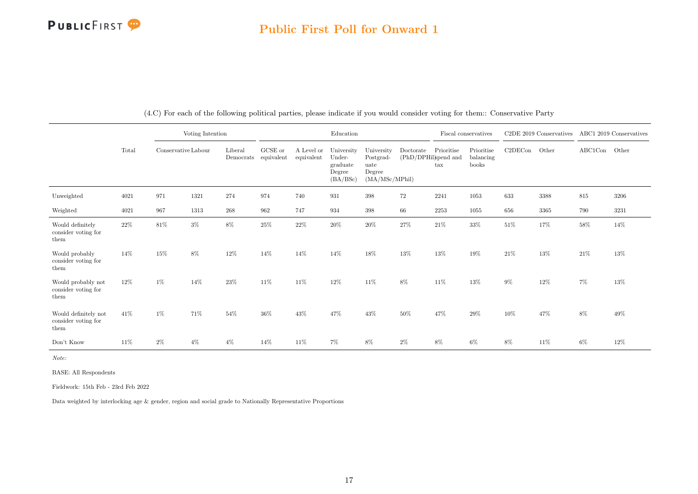

|                                                     |       |                     | Voting Intention |         |                                         |                          | Education                                              |                                                             |                                   |                   | Fiscal conservatives             |         | C2DE 2019 Conservatives |               | ABC1 2019 Conservatives |
|-----------------------------------------------------|-------|---------------------|------------------|---------|-----------------------------------------|--------------------------|--------------------------------------------------------|-------------------------------------------------------------|-----------------------------------|-------------------|----------------------------------|---------|-------------------------|---------------|-------------------------|
|                                                     | Total | Conservative Labour |                  | Liberal | ${\rm GCSE}$ or<br>Democrats equivalent | A Level or<br>equivalent | University<br>Under-<br>graduate<br>Degree<br>(BA/BSc) | University<br>Postgrad-<br>uate<br>Degree<br>(MA/MSc/MPhil) | Doctorate<br>(PhD/DPHil)spend and | Prioritise<br>tax | Prioritise<br>balancing<br>books | C2DECon | Other                   | ABC1Con Other |                         |
| Unweighted                                          | 4021  | 971                 | 1321             | 274     | 974                                     | 740                      | 931                                                    | $398\,$                                                     | 72                                | 2241              | 1053                             | 633     | 3388                    | $815\,$       | 3206                    |
| Weighted                                            | 4021  | 967                 | 1313             | $268\,$ | 962                                     | 747                      | 934                                                    | 398                                                         | 66                                | 2253              | 1055                             | 656     | 3365                    | 790           | 3231                    |
| Would definitely<br>consider voting for<br>them     | 22\%  | $81\%$              | $3\%$            | $8\%$   | 25%                                     | $22\%$                   | 20%                                                    | $20\%$                                                      | $27\%$                            | $21\%$            | 33%                              | 51\%    | 17%                     | 58%           | $14\%$                  |
| Would probably<br>consider voting for<br>them       | 14%   | 15%                 | 8%               | 12%     | 14%                                     | 14%                      | 14%                                                    | 18%                                                         | 13%                               | 13%               | 19%                              | 21\%    | 13%                     | 21%           | $13\%$                  |
| Would probably not<br>consider voting for<br>them   | 12%   | $1\%$               | 14%              | 23%     | 11\%                                    | 11\%                     | 12%                                                    | 11\%                                                        | 8%                                | 11\%              | 13%                              | $9\%$   | 12%                     | $7\%$         | 13%                     |
| Would definitely not<br>consider voting for<br>them | 41\%  | $1\%$               | 71%              | 54\%    | 36%                                     | 43%                      | 47%                                                    | 43%                                                         | 50%                               | 47%               | 29%                              | 10%     | 47%                     | 8%            | 49%                     |
| Don't Know                                          | 11%   | $2\%$               | $4\%$            | $4\%$   | 14%                                     | 11\%                     | $7\%$                                                  | 8%                                                          | $2\%$                             | 8%                | 6%                               | 8%      | 11\%                    | $6\%$         | $12\%$                  |

(4.C) For each of the following political parties, please indicate if you would consider voting for them:: Conservative Party

Note:

BASE: All Respondents

Fieldwork: 15th Feb - 23rd Feb 2022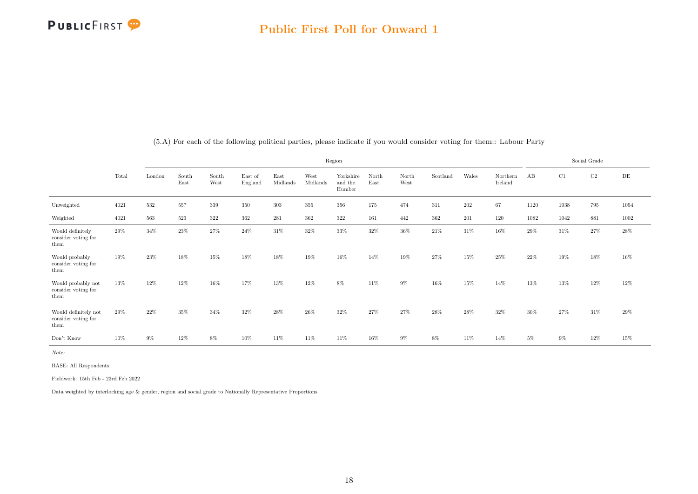

<span id="page-18-0"></span>

|                                                     |       |        |               |               |                    |                  |                  | Region                         |               |               |          |        |                     |       |       | Social Grade |      |
|-----------------------------------------------------|-------|--------|---------------|---------------|--------------------|------------------|------------------|--------------------------------|---------------|---------------|----------|--------|---------------------|-------|-------|--------------|------|
|                                                     | Total | London | South<br>East | South<br>West | East of<br>England | East<br>Midlands | West<br>Midlands | Yorkshire<br>and the<br>Humber | North<br>East | North<br>West | Scotland | Wales  | Northern<br>Ireland | AB    | C1    | C2           | DE   |
| Unweighted                                          | 4021  | 532    | 557           | 339           | 350                | 303              | 355              | 356                            | 175           | 474           | 311      | 202    | 67                  | 1120  | 1038  | 795          | 1054 |
| Weighted                                            | 4021  | 563    | 523           | 322           | 362                | 281              | 362              | 322                            | 161           | 442           | 362      | 201    | 120                 | 1082  | 1042  | 881          | 1002 |
| Would definitely<br>consider voting for<br>them     | 29%   | 34%    | $23\%$        | 27%           | 24%                | 31%              | 32%              | 33%                            | 32%           | 36%           | 21%      | 31\%   | 16%                 | 29%   | 31%   | 27%          | 28%  |
| Would probably<br>consider voting for<br>them       | 19%   | 23%    | 18%           | 15%           | 18%                | 18%              | 19%              | 16%                            | 14%           | 19%           | 27%      | 15%    | 25%                 | 22%   | 19%   | 18%          | 16%  |
| Would probably not<br>consider voting for<br>them   | 13%   | 12%    | 12%           | 16%           | 17%                | 13%              | 12%              | 8%                             | 11%           | 9%            | 16%      | 15%    | 14%                 | 13%   | 13%   | 12%          | 12%  |
| Would definitely not<br>consider voting for<br>them | 29%   | 22%    | 35%           | 34%           | 32%                | 28%              | 26%              | 32%                            | 27%           | 27%           | 28%      | $28\%$ | 32%                 | 30%   | 27%   | 31\%         | 29%  |
| Don't Know                                          | 10%   | $9\%$  | 12%           | 8%            | 10%                | 11%              | 11%              | 11%                            | 16%           | 9%            | $8\%$    | 11%    | 14%                 | $5\%$ | $9\%$ | 12%          | 15%  |

(5.A) For each of the following political parties, please indicate if you would consider voting for them:: Labour Party

Note:

BASE: All Respondents

Fieldwork: 15th Feb - 23rd Feb 2022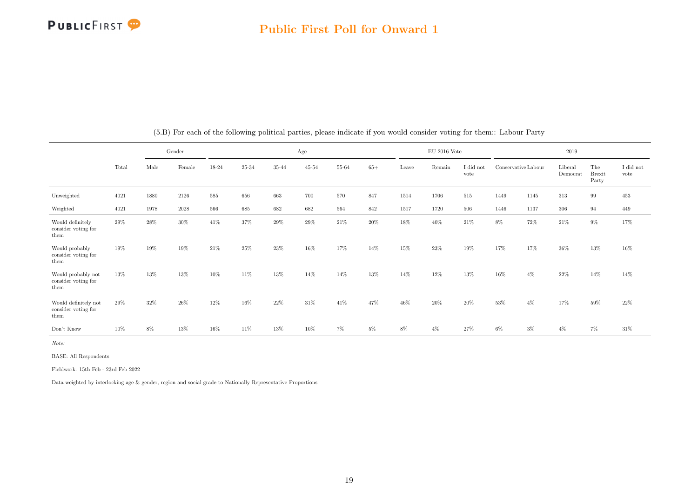

|                                                     |       |      | Gender   |       |       |           | Age       |       |       |       | $\rm EU$ 2016 Vote |                   |                     |       | 2019                |                               |                               |
|-----------------------------------------------------|-------|------|----------|-------|-------|-----------|-----------|-------|-------|-------|--------------------|-------------------|---------------------|-------|---------------------|-------------------------------|-------------------------------|
|                                                     | Total | Male | Female   | 18-24 | 25-34 | $35 - 44$ | $45 - 54$ | 55-64 | $65+$ | Leave | Remain             | I did not<br>vote | Conservative Labour |       | Liberal<br>Democrat | The<br><b>Brexit</b><br>Party | $\rm I$ did $\rm not$<br>vote |
| Unweighted                                          | 4021  | 1880 | 2126     | 585   | 656   | 663       | 700       | 570   | 847   | 1514  | 1706               | 515               | 1449                | 1145  | 313                 | 99                            | 453                           |
| Weighted                                            | 4021  | 1978 | $2028\,$ | 566   | 685   | 682       | 682       | 564   | 842   | 1517  | 1720               | 506               | 1446                | 1137  | 306                 | 94                            | 449                           |
| Would definitely<br>consider voting for<br>them     | 29%   | 28%  | 30%      | 41\%  | 37%   | 29%       | 29%       | 21\%  | 20%   | 18%   | 40\%               | 21%               | $8\%$               | 72%   | 21%                 | $9\%$                         | 17%                           |
| Would probably<br>consider voting for<br>them       | 19%   | 19%  | 19%      | 21%   | 25%   | 23%       | 16%       | 17%   | 14%   | 15%   | 23%                | 19%               | 17%                 | 17%   | 36%                 | 13%                           | 16%                           |
| Would probably not<br>consider voting for<br>them   | 13%   | 13%  | 13%      | 10%   | 11%   | 13%       | 14%       | 14%   | 13%   | 14%   | 12%                | 13%               | 16%                 | $4\%$ | 22%                 | 14%                           | 14%                           |
| Would definitely not<br>consider voting for<br>them | 29%   | 32%  | 26%      | 12%   | 16%   | 22%       | 31%       | 41\%  | 47%   | 46%   | 20%                | $20\%$            | 53%                 | $4\%$ | 17%                 | 59%                           | $22\%$                        |
| Don't Know                                          | 10%   | 8%   | 13%      | 16%   | 11%   | 13%       | 10%       | $7\%$ | $5\%$ | $8\%$ | $4\%$              | 27%               | $6\%$               | $3\%$ | $4\%$               | 7%                            | 31\%                          |

(5.B) For each of the following political parties, please indicate if you would consider voting for them:: Labour Party

Note:

BASE: All Respondents

Fieldwork: 15th Feb - 23rd Feb 2022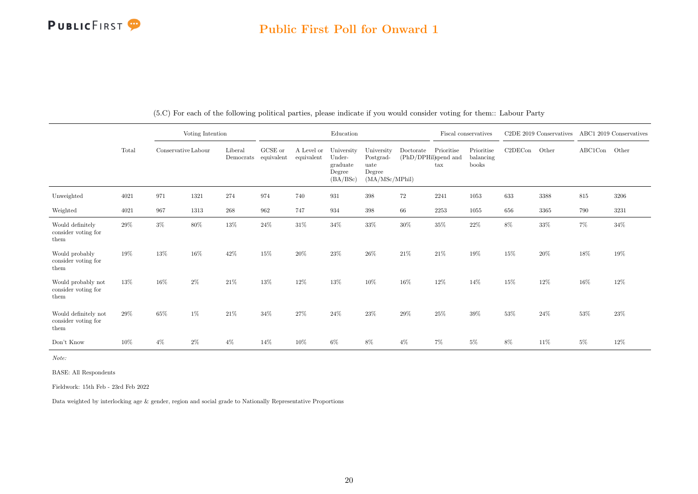

|                                                     |          |                     | Voting Intention |         |                                 |                          | Education                                              |                                                             |           |                                                    | Fiscal conservatives             |         | C2DE 2019 Conservatives |                                           | ABC1 2019 Conservatives |
|-----------------------------------------------------|----------|---------------------|------------------|---------|---------------------------------|--------------------------|--------------------------------------------------------|-------------------------------------------------------------|-----------|----------------------------------------------------|----------------------------------|---------|-------------------------|-------------------------------------------|-------------------------|
|                                                     | Total    | Conservative Labour |                  | Liberal | GCSE or<br>Democrats equivalent | A Level or<br>equivalent | University<br>Under-<br>graduate<br>Degree<br>(BA/BSc) | University<br>Postgrad-<br>uate<br>Degree<br>(MA/MSc/MPhil) | Doctorate | Prioritise<br>(PhD/DPHil)spend and<br>$\text{tax}$ | Prioritise<br>balancing<br>books | C2DECon | Other                   | $\operatorname{ABC1Con}\quad\text{Other}$ |                         |
| Unweighted                                          | $4021\,$ | 971                 | 1321             | 274     | 974                             | 740                      | 931                                                    | $398\,$                                                     | $72\,$    | $2241\,$                                           | 1053                             | 633     | 3388                    | 815                                       | 3206                    |
| Weighted                                            | 4021     | 967                 | 1313             | 268     | 962                             | 747                      | 934                                                    | $398\,$                                                     | 66        | 2253                                               | 1055                             | 656     | 3365                    | 790                                       | 3231                    |
| Would definitely<br>consider voting for<br>them     | 29%      | $3\%$               | $80\%$           | $13\%$  | 24%                             | $31\%$                   | $34\%$                                                 | $33\%$                                                      | $30\%$    | 35%                                                | 22%                              | 8%      | 33%                     | $7\%$                                     | 34%                     |
| Would probably<br>consider voting for<br>them       | 19%      | 13%                 | 16%              | 42%     | 15%                             | 20%                      | 23\%                                                   | 26%                                                         | 21\%      | $21\%$                                             | 19%                              | 15%     | 20%                     | 18%                                       | $19\%$                  |
| Would probably not<br>consider voting for<br>them   | 13%      | 16%                 | $2\%$            | $21\%$  | 13%                             | 12%                      | 13%                                                    | 10%                                                         | $16\%$    | 12%                                                | 14%                              | 15%     | 12%                     | 16%                                       | $12\%$                  |
| Would definitely not<br>consider voting for<br>them | 29%      | $65\%$              | 1%               | $21\%$  | $34\%$                          | 27%                      | 24\%                                                   | $23\%$                                                      | $29\%$    | 25%                                                | 39%                              | 53%     | 24%                     | $53\%$                                    | 23\%                    |
| Don't Know                                          | 10%      | $4\%$               | $2\%$            | $4\%$   | 14%                             | 10%                      | $6\%$                                                  | 8%                                                          | $4\%$     | $7\%$                                              | $5\%$                            | 8%      | 11\%                    | $5\%$                                     | $12\%$                  |

(5.C) For each of the following political parties, please indicate if you would consider voting for them:: Labour Party

Note:

BASE: All Respondents

Fieldwork: 15th Feb - 23rd Feb 2022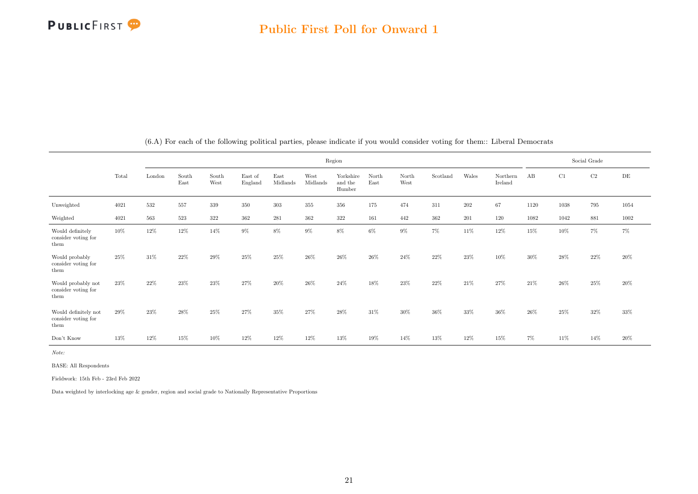

<span id="page-21-0"></span>

|                                                     |       |        |               |               |                    |                  |                  | Region                         |               |               |          |       |                     |       |      | Social Grade |        |
|-----------------------------------------------------|-------|--------|---------------|---------------|--------------------|------------------|------------------|--------------------------------|---------------|---------------|----------|-------|---------------------|-------|------|--------------|--------|
|                                                     | Total | London | South<br>East | South<br>West | East of<br>England | East<br>Midlands | West<br>Midlands | Yorkshire<br>and the<br>Humber | North<br>East | North<br>West | Scotland | Wales | Northern<br>Ireland | AB    | C1   | C2           | DE     |
| Unweighted                                          | 4021  | 532    | 557           | 339           | 350                | $303\,$          | 355              | 356                            | 175           | 474           | 311      | 202   | 67                  | 1120  | 1038 | 795          | 1054   |
| Weighted                                            | 4021  | 563    | 523           | $322\,$       | 362                | 281              | 362              | 322                            | 161           | 442           | 362      | 201   | 120                 | 1082  | 1042 | 881          | 1002   |
| Would definitely<br>consider voting for<br>them     | 10%   | 12%    | 12%           | 14%           | 9%                 | $8\%$            | $9\%$            | $8\%$                          | $6\%$         | $9\%$         | 7%       | 11%   | 12%                 | 15%   | 10%  | $7\%$        | $7\%$  |
| Would probably<br>consider voting for<br>them       | 25%   | 31%    | 22%           | 29%           | 25%                | 25%              | 26%              | 26%                            | $26\%$        | 24%           | 22%      | 23%   | 10%                 | 30%   | 28%  | 22%          | 20%    |
| Would probably not<br>consider voting for<br>them   | 23%   | 22%    | 23%           | $23\%$        | 27%                | 20%              | 26%              | 24%                            | 18%           | 23%           | 22%      | 21\%  | 27%                 | 21\%  | 26%  | 25%          | $20\%$ |
| Would definitely not<br>consider voting for<br>them | 29%   | 23%    | 28%           | 25%           | 27%                | 35%              | 27%              | 28%                            | 31%           | 30%           | 36%      | 33%   | 36%                 | 26\%  | 25%  | 32%          | 33%    |
| Don't Know                                          | 13%   | 12%    | 15%           | 10%           | 12%                | 12%              | 12%              | 13%                            | 19%           | 14%           | 13%      | 12%   | 15%                 | $7\%$ | 11\% | $14\%$       | 20%    |

(6.A) For each of the following political parties, please indicate if you would consider voting for them:: Liberal Democrats

Note:

BASE: All Respondents

Fieldwork: 15th Feb - 23rd Feb 2022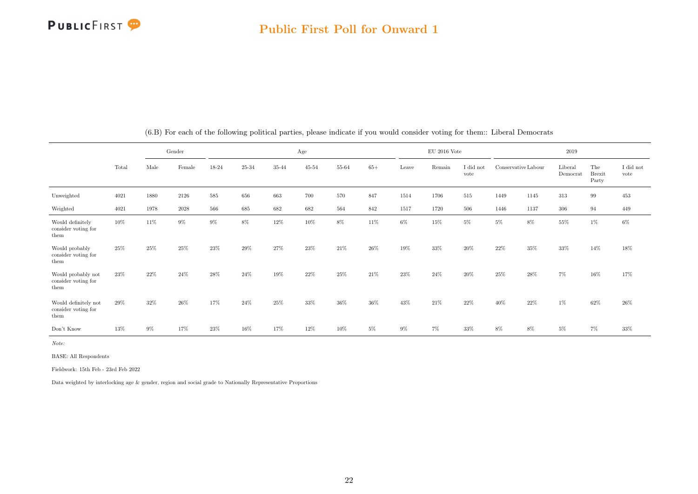

|                                                     |       |       | Gender   |       |       |        | Age       |       |       |       | $\rm EU$ 2016 Vote |                   |                     |      | 2019                |                               |                               |
|-----------------------------------------------------|-------|-------|----------|-------|-------|--------|-----------|-------|-------|-------|--------------------|-------------------|---------------------|------|---------------------|-------------------------------|-------------------------------|
|                                                     | Total | Male  | Female   | 18-24 | 25-34 | 35-44  | $45 - 54$ | 55-64 | $65+$ | Leave | Remain             | I did not<br>vote | Conservative Labour |      | Liberal<br>Democrat | The<br><b>Brexit</b><br>Party | $\rm I$ did $\rm not$<br>vote |
| Unweighted                                          | 4021  | 1880  | 2126     | 585   | 656   | 663    | 700       | 570   | 847   | 1514  | 1706               | 515               | 1449                | 1145 | 313                 | 99                            | 453                           |
| Weighted                                            | 4021  | 1978  | $2028\,$ | 566   | 685   | 682    | 682       | 564   | 842   | 1517  | 1720               | 506               | 1446                | 1137 | 306                 | 94                            | 449                           |
| Would definitely<br>consider voting for<br>them     | 10%   | 11%   | 9%       | 9%    | $8\%$ | $12\%$ | 10%       | 8%    | 11%   | $6\%$ | 15%                | $5\%$             | $5\%$               | 8%   | 55%                 | 1%                            | $6\%$                         |
| Would probably<br>consider voting for<br>them       | 25%   | 25%   | 25%      | 23%   | 29%   | 27%    | 23%       | 21\%  | 26%   | 19%   | 33%                | $20\%$            | 22%                 | 35%  | 33%                 | 14%                           | 18%                           |
| Would probably not<br>consider voting for<br>them   | 23%   | 22%   | 24%      | 28%   | 24%   | 19%    | 22%       | 25%   | 21%   | 23%   | 24%                | 20%               | $25\%$              | 28%  | 7%                  | 16%                           | 17%                           |
| Would definitely not<br>consider voting for<br>them | 29%   | 32%   | 26%      | 17%   | 24%   | $25\%$ | 33%       | 36%   | 36%   | 43%   | 21\%               | 22%               | 40%                 | 22%  | 1%                  | 62%                           | $26\%$                        |
| Don't Know                                          | 13%   | $9\%$ | 17%      | 23%   | 16%   | 17%    | 12%       | 10%   | $5\%$ | $9\%$ | 7%                 | 33%               | 8%                  | 8%   | 5%                  | 7%                            | 33%                           |

(6.B) For each of the following political parties, please indicate if you would consider voting for them:: Liberal Democrats

Note:

BASE: All Respondents

Fieldwork: 15th Feb - 23rd Feb 2022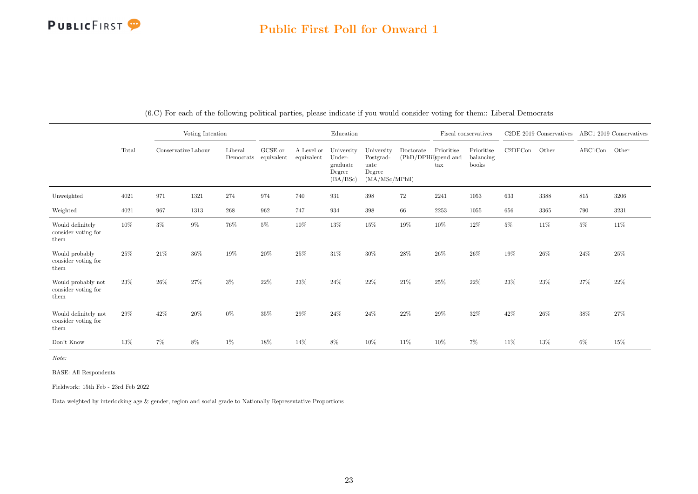

|                                                     |       |                     | Voting Intention |                      |                       |                          | Education                                              |                                                             |                                              |              | Fiscal conservatives             |         | C2DE 2019 Conservatives |               | ABC1 2019 Conservatives |
|-----------------------------------------------------|-------|---------------------|------------------|----------------------|-----------------------|--------------------------|--------------------------------------------------------|-------------------------------------------------------------|----------------------------------------------|--------------|----------------------------------|---------|-------------------------|---------------|-------------------------|
|                                                     | Total | Conservative Labour |                  | Liberal<br>Democrats | GCSE or<br>equivalent | A Level or<br>equivalent | University<br>Under-<br>graduate<br>Degree<br>(BA/BSc) | University<br>Postgrad-<br>uate<br>Degree<br>(MA/MSc/MPhil) | Doctorate Prioritise<br>(PhD/DPHil)spend and | $\text{tax}$ | Prioritise<br>balancing<br>books | C2DECon | Other                   | ABC1Con Other |                         |
| Unweighted                                          | 4021  | 971                 | 1321             | 274                  | 974                   | 740                      | 931                                                    | $398\,$                                                     | 72                                           | 2241         | 1053                             | 633     | 3388                    | 815           | 3206                    |
| Weighted                                            | 4021  | 967                 | 1313             | $268\,$              | 962                   | 747                      | 934                                                    | $398\,$                                                     | 66                                           | 2253         | 1055                             | 656     | 3365                    | 790           | 3231                    |
| Would definitely<br>consider voting for<br>them     | 10%   | $3\%$               | $9\%$            | $76\%$               | $5\%$                 | 10%                      | $13\%$                                                 | 15%                                                         | $19\%$                                       | $10\%$       | 12%                              | $5\%$   | 11\%                    | $5\%$         | 11%                     |
| Would probably<br>consider voting for<br>them       | 25\%  | 21%                 | 36%              | 19%                  | 20%                   | 25%                      | $31\%$                                                 | $30\%$                                                      | $28\%$                                       | $26\%$       | 26%                              | 19%     | 26\%                    | $24\%$        | $25\%$                  |
| Would probably not<br>consider voting for<br>them   | 23%   | $26\%$              | 27%              | $3\%$                | 22%                   | 23%                      | $24\%$                                                 | 22%                                                         | 21\%                                         | 25%          | 22%                              | 23%     | 23%                     | 27%           | $22\%$                  |
| Would definitely not<br>consider voting for<br>them | 29%   | 42%                 | 20%              | $0\%$                | 35%                   | 29%                      | 24\%                                                   | 24%                                                         | 22%                                          | $29\%$       | 32%                              | 42\%    | 26\%                    | 38%           | 27%                     |
| Don't Know                                          | 13%   | $7\%$               | 8%               | 1%                   | 18%                   | 14%                      | 8%                                                     | 10%                                                         | 11%                                          | 10%          | 7%                               | 11\%    | 13%                     | $6\%$         | 15%                     |

(6.C) For each of the following political parties, please indicate if you would consider voting for them:: Liberal Democrats

Note:

BASE: All Respondents

Fieldwork: 15th Feb - 23rd Feb 2022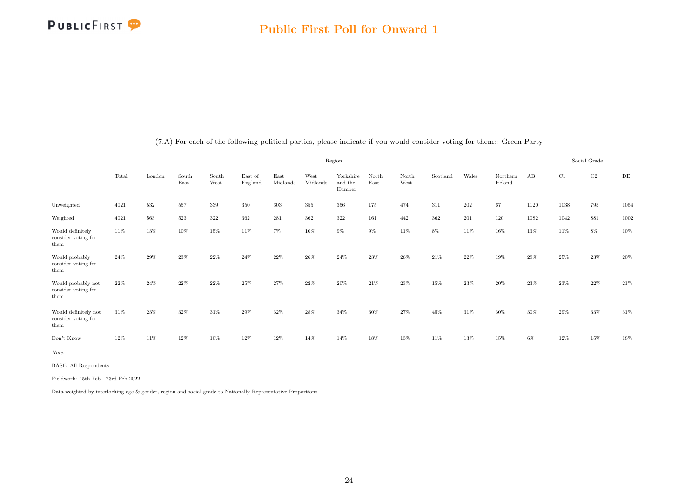

<span id="page-24-0"></span>

|                                                     |       |        |               |               |                    |                  |                  | Region                         |               |               |          |         |                     |       |        | Social Grade |           |
|-----------------------------------------------------|-------|--------|---------------|---------------|--------------------|------------------|------------------|--------------------------------|---------------|---------------|----------|---------|---------------------|-------|--------|--------------|-----------|
|                                                     | Total | London | South<br>East | South<br>West | East of<br>England | East<br>Midlands | West<br>Midlands | Yorkshire<br>and the<br>Humber | North<br>East | North<br>West | Scotland | Wales   | Northern<br>Ireland | AB    | C1     | $\rm{C2}$    | $\rm{DE}$ |
| Unweighted                                          | 4021  | 532    | 557           | 339           | 350                | $303\,$          | 355              | 356                            | 175           | 474           | 311      | $202\,$ | 67                  | 1120  | 1038   | 795          | 1054      |
| Weighted                                            | 4021  | 563    | 523           | $322\,$       | 362                | 281              | 362              | 322                            | 161           | 442           | $362\,$  | 201     | 120                 | 1082  | 1042   | 881          | 1002      |
| Would definitely<br>consider voting for<br>them     | 11%   | 13%    | 10%           | 15%           | 11%                | $7\%$            | 10%              | $9\%$                          | $9\%$         | 11%           | 8%       | 11%     | 16%                 | 13%   | 11%    | 8%           | 10%       |
| Would probably<br>consider voting for<br>them       | 24%   | 29%    | 23%           | $22\%$        | 24%                | 22%              | 26%              | 24%                            | 23%           | 26%           | 21\%     | 22%     | 19%                 | 28%   | 25%    | 23%          | 20%       |
| Would probably not<br>consider voting for<br>them   | 22\%  | 24%    | 22%           | 22%           | 25%                | 27%              | 22%              | 20%                            | 21\%          | 23%           | 15%      | 23%     | 20%                 | 23%   | $23\%$ | $22\%$       | 21\%      |
| Would definitely not<br>consider voting for<br>them | 31\%  | 23%    | 32%           | 31%           | 29%                | 32%              | 28%              | 34%                            | $30\%$        | 27%           | 45%      | 31%     | 30%                 | 30%   | 29%    | 33%          | 31\%      |
| Don't Know                                          | 12%   | 11%    | 12%           | 10%           | 12%                | 12%              | 14%              | 14%                            | 18%           | 13%           | 11%      | 13%     | 15%                 | $6\%$ | 12%    | 15%          | 18%       |

(7.A) For each of the following political parties, please indicate if you would consider voting for them:: Green Party

Note:

BASE: All Respondents

Fieldwork: 15th Feb - 23rd Feb 2022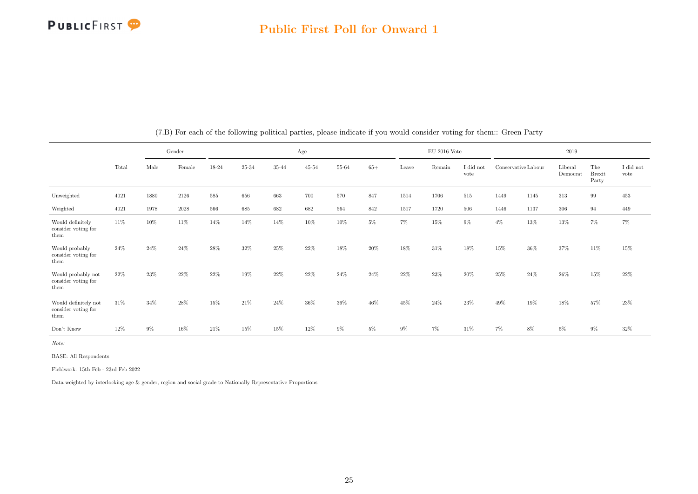

|                                                     |       |      | Gender   |       |       |       | Age       |       |       |       | $\rm EU$ 2016 Vote |                   |                     |      | 2019                |                               |                               |
|-----------------------------------------------------|-------|------|----------|-------|-------|-------|-----------|-------|-------|-------|--------------------|-------------------|---------------------|------|---------------------|-------------------------------|-------------------------------|
|                                                     | Total | Male | Female   | 18-24 | 25-34 | 35-44 | $45 - 54$ | 55-64 | $65+$ | Leave | Remain             | I did not<br>vote | Conservative Labour |      | Liberal<br>Democrat | The<br><b>Brexit</b><br>Party | $\rm I$ did $\rm not$<br>vote |
| Unweighted                                          | 4021  | 1880 | 2126     | 585   | 656   | 663   | 700       | 570   | 847   | 1514  | 1706               | 515               | 1449                | 1145 | 313                 | 99                            | 453                           |
| Weighted                                            | 4021  | 1978 | $2028\,$ | 566   | 685   | 682   | 682       | 564   | 842   | 1517  | 1720               | 506               | 1446                | 1137 | 306                 | 94                            | 449                           |
| Would definitely<br>consider voting for<br>them     | 11%   | 10%  | 11\%     | 14%   | 14%   | 14%   | 10%       | 10%   | $5\%$ | 7%    | 15%                | $9\%$             | $4\%$               | 13%  | 13%                 | $7\%$                         | 7%                            |
| Would probably<br>consider voting for<br>them       | 24%   | 24%  | 24%      | 28%   | 32%   | 25%   | 22%       | 18%   | 20%   | 18%   | 31\%               | 18%               | 15%                 | 36%  | 37%                 | 11%                           | 15%                           |
| Would probably not<br>consider voting for<br>them   | 22%   | 23%  | 22%      | 22%   | 19%   | 22%   | 22%       | 24%   | 24%   | 22%   | 23%                | 20%               | $25\%$              | 24%  | 26%                 | 15%                           | 22%                           |
| Would definitely not<br>consider voting for<br>them | 31%   | 34%  | 28%      | 15%   | 21%   | 24%   | 36%       | 39%   | 46%   | 45%   | 24\%               | 23%               | 49%                 | 19%  | 18%                 | 57%                           | $23\%$                        |
| Don't Know                                          | 12%   | 9%   | 16%      | 21\%  | 15%   | 15%   | 12%       | $9\%$ | $5\%$ | $9\%$ | 7%                 | 31%               | $7\%$               | 8%   | 5%                  | 9%                            | 32%                           |

(7.B) For each of the following political parties, please indicate if you would consider voting for them:: Green Party

Note:

BASE: All Respondents

Fieldwork: 15th Feb - 23rd Feb 2022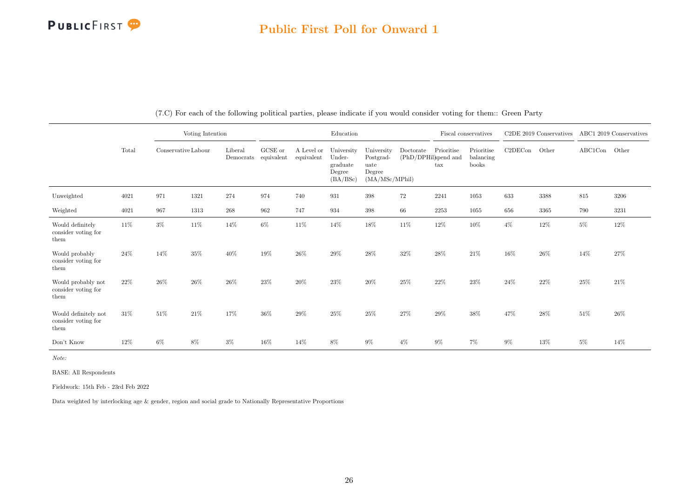

|                                                     |        |                     | Voting Intention |                      |                       |                          | Education                                              |                                                             |                                              |              | Fiscal conservatives             |         | C2DE 2019 Conservatives |               | ABC1 2019 Conservatives |
|-----------------------------------------------------|--------|---------------------|------------------|----------------------|-----------------------|--------------------------|--------------------------------------------------------|-------------------------------------------------------------|----------------------------------------------|--------------|----------------------------------|---------|-------------------------|---------------|-------------------------|
|                                                     | Total  | Conservative Labour |                  | Liberal<br>Democrats | GCSE or<br>equivalent | A Level or<br>equivalent | University<br>Under-<br>graduate<br>Degree<br>(BA/BSc) | University<br>Postgrad-<br>uate<br>Degree<br>(MA/MSc/MPhil) | Doctorate Prioritise<br>(PhD/DPHil)spend and | $\text{tax}$ | Prioritise<br>balancing<br>books | C2DECon | Other                   | ABC1Con Other |                         |
| Unweighted                                          | 4021   | 971                 | 1321             | 274                  | 974                   | 740                      | 931                                                    | $398\,$                                                     | 72                                           | 2241         | 1053                             | 633     | 3388                    | 815           | 3206                    |
| Weighted                                            | 4021   | 967                 | 1313             | $268\,$              | 962                   | 747                      | 934                                                    | $398\,$                                                     | 66                                           | 2253         | 1055                             | 656     | 3365                    | 790           | 3231                    |
| Would definitely<br>consider voting for<br>them     | $11\%$ | $3\%$               | $11\%$           | 14%                  | $6\%$                 | 11%                      | 14%                                                    | $18\%$                                                      | 11%                                          | $12\%$       | 10%                              | $4\%$   | $12\%$                  | $5\%$         | 12%                     |
| Would probably<br>consider voting for<br>them       | 24\%   | 14%                 | 35%              | 40%                  | 19%                   | $26\%$                   | $29\%$                                                 | $28\%$                                                      | $32\%$                                       | 28%          | 21%                              | 16%     | 26\%                    | 14%           | 27%                     |
| Would probably not<br>consider voting for<br>them   | 22%    | $26\%$              | 26%              | 26\%                 | 23%                   | 20%                      | $23\%$                                                 | 20%                                                         | 25%                                          | 22%          | 23%                              | 24%     | 22%                     | 25%           | $21\%$                  |
| Would definitely not<br>consider voting for<br>them | 31\%   | 51%                 | 21%              | 17%                  | 36%                   | 29%                      | 25%                                                    | 25%                                                         | 27%                                          | $29\%$       | 38%                              | 47%     | 28%                     | $51\%$        | 26%                     |
| Don't Know                                          | $12\%$ | $6\%$               | 8%               | $3\%$                | 16%                   | 14%                      | 8%                                                     | $9\%$                                                       | $4\%$                                        | $9\%$        | 7%                               | $9\%$   | 13%                     | $5\%$         | 14%                     |

(7.C) For each of the following political parties, please indicate if you would consider voting for them:: Green Party

Note:

BASE: All Respondents

Fieldwork: 15th Feb - 23rd Feb 2022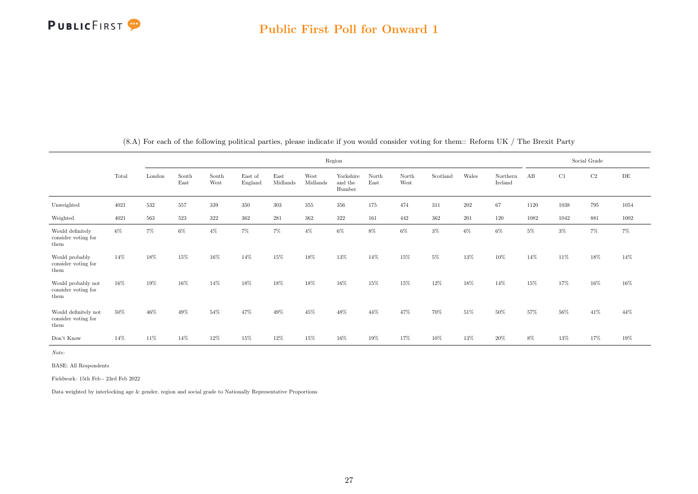

<span id="page-27-0"></span>

|                                                     |       |        |               |               |                    |                  |                  | Region                         |               |               |          |       |                     |      |        | Social Grade |          |
|-----------------------------------------------------|-------|--------|---------------|---------------|--------------------|------------------|------------------|--------------------------------|---------------|---------------|----------|-------|---------------------|------|--------|--------------|----------|
|                                                     | Total | London | South<br>East | South<br>West | East of<br>England | East<br>Midlands | West<br>Midlands | Yorkshire<br>and the<br>Humber | North<br>East | North<br>West | Scotland | Wales | Northern<br>Ireland | AB   | C1     | $\rm C2$     | DE       |
| Unweighted                                          | 4021  | 532    | 557           | 339           | 350                | $303\,$          | 355              | 356                            | 175           | 474           | 311      | 202   | 67                  | 1120 | 1038   | 795          | 1054     |
| Weighted                                            | 4021  | 563    | 523           | $322\,$       | $362\,$            | 281              | 362              | $322\,$                        | 161           | 442           | $362\,$  | 201   | 120                 | 1082 | 1042   | 881          | $1002\,$ |
| Would definitely<br>consider voting for<br>them     | 6%    | 7%     | 6%            | $4\%$         | 7%                 | 7%               | $4\%$            | $6\%$                          | $8\%$         | 6%            | $3\%$    | 6%    | $6\%$               | 5%   | 3%     | 7%           | $7\%$    |
| Would probably<br>consider voting for<br>them       | 14%   | 18%    | 15%           | 16%           | 14%                | 15%              | 18%              | 13%                            | 14%           | 15%           | 5%       | 13%   | 10%                 | 14%  | 11%    | 18%          | 14%      |
| Would probably not<br>consider voting for<br>them   | 16%   | 19%    | 16%           | 14%           | 18%                | 18%              | 18%              | 16%                            | 15%           | 15%           | 12%      | 18%   | 14%                 | 15%  | 17%    | 16%          | 16%      |
| Would definitely not<br>consider voting for<br>them | 50%   | 46%    | 49%           | 54%           | 47%                | 49%              | 45%              | 48%                            | 44%           | 47%           | 70%      | 51%   | 50%                 | 57%  | $56\%$ | 41\%         | 44%      |
| Don't Know                                          | 14%   | 11%    | 14%           | 12%           | 15%                | 12%              | 15%              | 16%                            | 19%           | 17%           | 10%      | 13%   | 20%                 | 8%   | 13%    | 17%          | 19%      |

(8.A) For each of the following political parties, please indicate if you would consider voting for them:: Reform UK / The Brexit Party

Note:

BASE: All Respondents

Fieldwork: 15th Feb - 23rd Feb 2022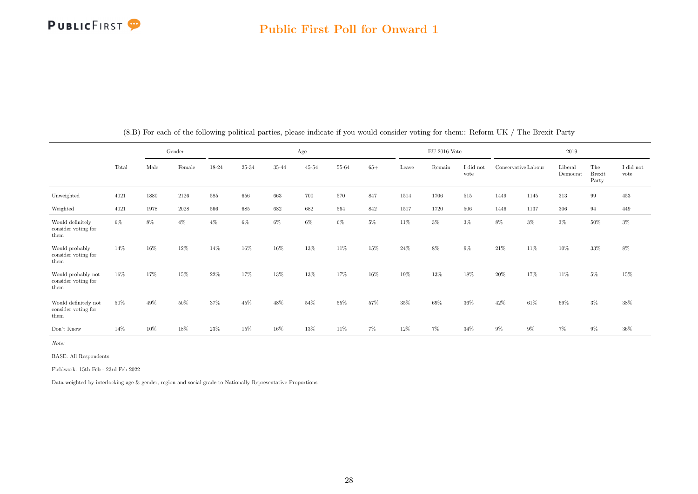

|                                                     |        |      | Gender   |       |           |       | Age       |           |       |        | $\rm EU$ 2016 Vote |                   |                     |        | 2019                |                               |                   |
|-----------------------------------------------------|--------|------|----------|-------|-----------|-------|-----------|-----------|-------|--------|--------------------|-------------------|---------------------|--------|---------------------|-------------------------------|-------------------|
|                                                     | Total  | Male | Female   | 18-24 | $25 - 34$ | 35-44 | $45 - 54$ | $55 - 64$ | $65+$ | Leave  | Remain             | I did not<br>vote | Conservative Labour |        | Liberal<br>Democrat | The<br><b>Brexit</b><br>Party | I did not<br>vote |
| Unweighted                                          | 4021   | 1880 | 2126     | 585   | 656       | 663   | 700       | 570       | 847   | 1514   | 1706               | 515               | 1449                | 1145   | 313                 | 99                            | 453               |
| Weighted                                            | 4021   | 1978 | $2028\,$ | 566   | 685       | 682   | 682       | 564       | 842   | 1517   | 1720               | 506               | 1446                | 1137   | 306                 | 94                            | 449               |
| Would definitely<br>consider voting for<br>them     | $6\%$  | 8%   | $4\%$    | $4\%$ | $6\%$     | $6\%$ | $6\%$     | $6\%$     | $5\%$ | $11\%$ | $3\%$              | $3\%$             | 8%                  | $3\%$  | $3\%$               | $50\%$                        | $3\%$             |
| Would probably<br>consider voting for<br>them       | 14%    | 16%  | 12%      | 14%   | 16%       | 16%   | 13%       | 11%       | 15%   | 24%    | 8%                 | $9\%$             | 21\%                | 11%    | 10%                 | 33%                           | $8\%$             |
| Would probably not<br>consider voting for<br>them   | $16\%$ | 17%  | 15%      | 22%   | 17%       | 13%   | 13%       | 17%       | 16%   | 19%    | 13%                | 18%               | $20\%$              | 17%    | 11\%                | $5\%$                         | 15%               |
| Would definitely not<br>consider voting for<br>them | 50%    | 49%  | 50%      | 37%   | 45%       | 48%   | 54%       | $55\%$    | 57%   | 35%    | 69%                | $36\%$            | 42\%                | $61\%$ | 69%                 | $3\%$                         | 38%               |
| Don't Know                                          | 14%    | 10%  | 18%      | 23%   | 15%       | 16%   | 13%       | 11%       | $7\%$ | 12%    | $7\%$              | 34%               | $9\%$               | $9\%$  | 7%                  | $9\%$                         | 36%               |

(8.B) For each of the following political parties, please indicate if you would consider voting for them:: Reform UK / The Brexit Party

Note:

BASE: All Respondents

Fieldwork: 15th Feb - 23rd Feb 2022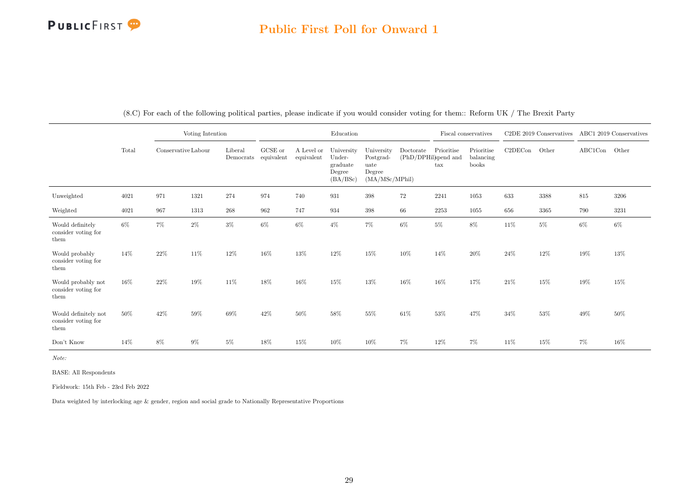### Public First Poll for Onward 1

|                                                     |       |                     | Voting Intention |                      |                               |                          | Education                                              |                                                             |                                   |                            | Fiscal conservatives             |         | C <sub>2</sub> DE 2019 Conservatives |         | ABC1 2019 Conservatives |
|-----------------------------------------------------|-------|---------------------|------------------|----------------------|-------------------------------|--------------------------|--------------------------------------------------------|-------------------------------------------------------------|-----------------------------------|----------------------------|----------------------------------|---------|--------------------------------------|---------|-------------------------|
|                                                     | Total | Conservative Labour |                  | Liberal<br>Democrats | ${\rm GCSE}$ or<br>equivalent | A Level or<br>equivalent | University<br>Under-<br>graduate<br>Degree<br>(BA/BSc) | University<br>Postgrad-<br>uate<br>Degree<br>(MA/MSc/MPhil) | Doctorate<br>(PhD/DPHil)spend and | Prioritise<br>$\text{tax}$ | Prioritise<br>balancing<br>books | C2DECon | Other                                | ABC1Con | Other                   |
| Unweighted                                          | 4021  | 971                 | 1321             | 274                  | 974                           | 740                      | 931                                                    | $398\,$                                                     | 72                                | 2241                       | 1053                             | 633     | 3388                                 | $815\,$ | 3206                    |
| Weighted                                            | 4021  | 967                 | 1313             | 268                  | 962                           | 747                      | 934                                                    | $398\,$                                                     | 66                                | $2253\,$                   | 1055                             | 656     | 3365                                 | 790     | 3231                    |
| Would definitely<br>consider voting for<br>them     | 6%    | 7%                  | $2\%$            | $3\%$                | $6\%$                         | $6\%$                    | $4\%$                                                  | $7\%$                                                       | $6\%$                             | $5\%$                      | 8%                               | $11\%$  | $5\%$                                | $6\%$   | 6%                      |
| Would probably<br>consider voting for<br>them       | 14%   | 22%                 | 11%              | $12\%$               | 16%                           | 13%                      | 12%                                                    | 15%                                                         | 10%                               | 14%                        | 20%                              | 24\%    | $12\%$                               | 19%     | 13%                     |
| Would probably not<br>consider voting for<br>them   | 16%   | 22%                 | 19%              | 11\%                 | 18%                           | 16%                      | 15%                                                    | 13%                                                         | 16%                               | 16%                        | 17%                              | 21%     | $15\%$                               | 19%     | $15\%$                  |
| Would definitely not<br>consider voting for<br>them | 50%   | 42\%                | 59%              | 69%                  | 42%                           | 50%                      | 58%                                                    | 55%                                                         | 61%                               | 53%                        | 47%                              | 34%     | 53%                                  | 49%     | 50%                     |
| Don't Know                                          | 14%   | 8%                  | $9\%$            | $5\%$                | 18%                           | 15%                      | 10%                                                    | 10%                                                         | $7\%$                             | 12%                        | $7\%$                            | 11%     | $15\%$                               | 7%      | 16%                     |

(8.C) For each of the following political parties, please indicate if you would consider voting for them:: Reform UK / The Brexit Party

Note:

BASE: All Respondents

Fieldwork: 15th Feb - 23rd Feb 2022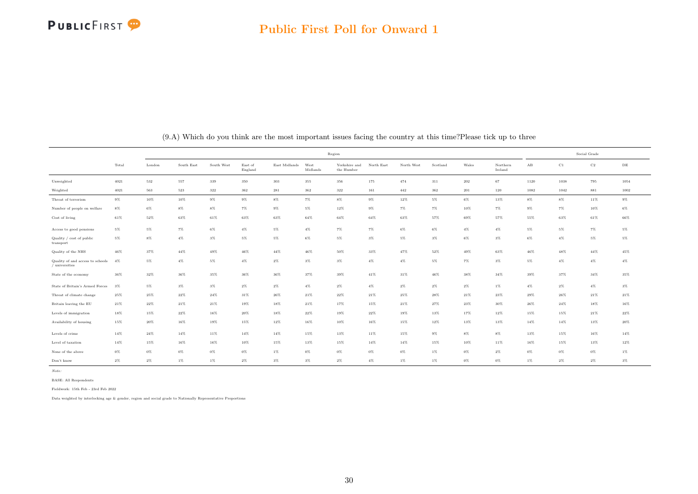

<span id="page-30-0"></span>

|                                                    |        |        |            |            |                    |               | Region           |                             |            |            |          |        |                     |                      | Social Grade |             |           |
|----------------------------------------------------|--------|--------|------------|------------|--------------------|---------------|------------------|-----------------------------|------------|------------|----------|--------|---------------------|----------------------|--------------|-------------|-----------|
|                                                    | Total  | London | South East | South West | East of<br>England | East Midlands | West<br>Midlands | Yorkshire and<br>the Humber | North East | North West | Scotland | Wales  | Northern<br>Ireland | $\mathbf A\mathbf B$ | C1           | $_{\rm C2}$ | $\rm{DE}$ |
| Unweighted                                         | 4021   | 532    | 557        | 339        | 350                | $303\,$       | 355              | 356                         | 175        | 474        | 311      | 202    | 67                  | 1120                 | 1038         | 795         | 1054      |
| Weighted                                           | 4021   | 563    | 523        | 322        | 362                | 281           | 362              | $322\,$                     | 161        | 442        | 362      | 201    | 120                 | 1082                 | 1042         | 881         | 1002      |
| Threat of terrorism                                | $9\%$  | $10\%$ | $10\%$     | $9\%$      | $9\%$              | $8\%$         | $7\%$            | $8\%$                       | $9\%$      | $12\%$     | 5%       | $6\%$  | 13%                 | $8\%$                | $8\%$        | 11%         | $9\%$     |
| Number of people on welfare                        | $8\%$  | $6\%$  | $8\%$      | $8\%$      | $7\%$              | $9\%$         | $5\%$            | 12%                         | $9\%$      | $7\%$      | $7\%$    | 10%    | 7%                  | $9\%$                | $7\%$        | 10%         | $6\%$     |
| Cost of living                                     | 61%    | $52\%$ | $63\%$     | $61\%$     | $63\%$             | $63\%$        | $64\%$           | $64\%$                      | $64\%$     | 63%        | 57%      | 69%    | 57%                 | 55%                  | 63%          | 61%         | $66\%$    |
| Access to good pensions                            | $5\%$  | $5\%$  | $7\%$      | $6\%$      | $4\%$              | 5%            | $4\%$            | 7%                          | $7\%$      | $6\%$      | $6\%$    | $4\%$  | $4\%$               | $5\%$                | $5\%$        | $7\%$       | $5\%$     |
| Quality / cost of public<br>transport              | $5\%$  | $8\%$  | $4\%$      | $3\%$      | $5\%$              | $5\%$         | $6\%$            | $5\%$                       | $3\%$      | $5\%$      | $3\%$    | $6\%$  | $3\%$               | $6\%$                | $4\%$        | $5\%$       | $5\%$     |
| Quality of the NHS                                 | $46\%$ | 37%    | $44\%$     | 49%        | $46\%$             | $44\%$        | 46%              | 50%                         | 33%        | 47%        | $52\%$   | 49%    | 63%                 | $46\%$               | 48%          | $44\%$      | 45%       |
| Quality of and access to schools<br>/ universities | 4%     | 5%     | $4\%$      | 5%         | $4\%$              | $2\%$         | $3\%$            | $3\%$                       | $4\%$      | $4\%$      | $5\%$    | $7\%$  | $3\%$               | $5\%$                | $4\%$        | $4\%$       | $4\%$     |
| State of the economy                               | 36%    | $32\%$ | $36\%$     | $35\%$     | $36\%$             | $36\%$        | 37%              | 39%                         | $41\%$     | 31%        | $46\%$   | 38%    | $34\%$              | $39\%$               | 37%          | $34\%$      | $35\%$    |
| State of Britain's Armed Forces                    | $3\%$  | $5\%$  | $3\%$      | $3\%$      | $2\%$              | $2\%$         | $4\%$            | $2\%$                       | $4\%$      | $2\%$      | $2\%$    | $2\%$  | $1\%$               | $4\%$                | $2\%$        | $4\%$       | $3\%$     |
| Threat of climate change                           | 25%    | 25%    | 22%        | $24\%$     | 31%                | 26%           | 21%              | $22\%$                      | $21\%$     | 25%        | 28%      | 21%    | 23%                 | $29\%$               | 26%          | 21%         | $21\%$    |
| Britain leaving the EU                             | 21%    | 22%    | 21%        | 21%        | 19%                | 18%           | 21%              | 17%                         | 15%        | 21%        | 27%      | $23\%$ | 30%                 | 26%                  | 24%          | 18%         | 16%       |
| Levels of immigration                              | 18%    | 15%    | $22\%$     | $16\%$     | $20\%$             | 18%           | $22\%$           | 19%                         | $22\%$     | 19%        | 13%      | 17%    | 12%                 | $15\%$               | $15\%$       | $21\%$      | $22\%$    |
| Availability of housing                            | 15%    | 20%    | $16\%$     | $19\%$     | $15\%$             | 12%           | 16%              | 10%                         | 16%        | 15%        | 12%      | 13%    | 13%                 | $14\%$               | $14\%$       | 13%         | $20\%$    |
| Levels of crime                                    | 14%    | 24%    | 14%        | 11%        | 14%                | 14%           | 15%              | 13%                         | 11%        | 15%        | $9\%$    | $8\%$  | 8%                  | 13%                  | 15%          | 16%         | 14%       |
| Level of taxation                                  | 14%    | 15%    | 16%        | 16%        | 10%                | 15%           | 13%              | 15%                         | $14\%$     | 14%        | 15%      | 10%    | 11%                 | 16%                  | 15%          | 13%         | 12%       |
| None of the above                                  | $0\%$  | $0\%$  | $0\%$      | $0\%$      | $0\%$              | $1\%$         | $0\%$            | $0\%$                       | $0\%$      | $0\%$      | $1\%$    | 0%     | $2\%$               | $0\%$                | $0\%$        | $0\%$       | $1\%$     |
| Don't know                                         | $2\%$  | $2\%$  | $1\%$      | $1\%$      | $2\%$              | $3\%$         | $3\%$            | $2\%$                       | $4\%$      | $1\%$      | $1\%$    | $0\%$  | $0\%$               | $1\%$                | 2%           | $2\%$       | $3\%$     |

(9.A) Which do you think are the most important issues facing the country at this time?Please tick up to three

Note:

BASE: All Respondents Fieldwork: 15th Feb - 23rd Feb 2022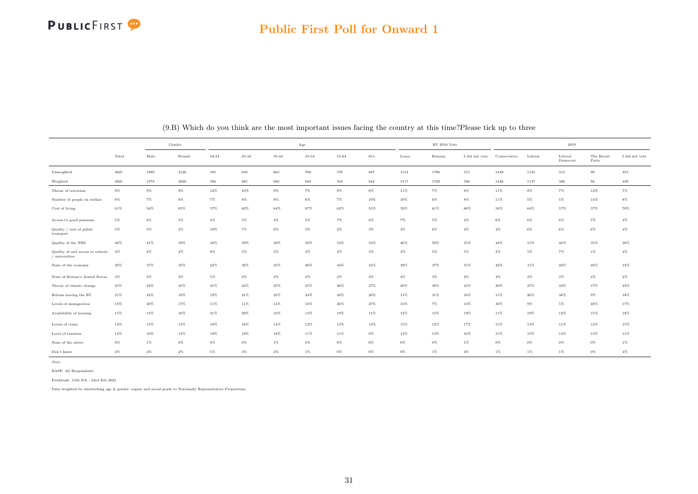

|                                                    |          | Gender<br>Male<br>Female<br>1880<br>2126<br>585<br>566<br>1978<br>$2028\,$<br>$9\%$<br>$9\%$<br>$8\%$<br>$7\%$<br>$7\%$<br>$56\%$<br>65%<br>57%<br>$6\%$<br>$5\%$<br>$4\%$<br>$5\%$<br>$4\%$<br>10%<br>$50\%$<br>38%<br>$41\%$<br>$4\%$<br>$4\%$<br>$8\%$<br>$37\%$<br>$35\%$<br>$22\%$<br>$2\%$<br>$5\%$<br>$4\%$<br>$24\%$<br>$25\%$<br>$24\%$<br>$18\%$<br>17%<br>20%<br>14%<br>16%<br>15%<br>13% |        |           |           |           | Age       |           |         |        | $\mathrm{EU}$ 2016 Vote |                |              |        | 2019                |                     |                |
|----------------------------------------------------|----------|------------------------------------------------------------------------------------------------------------------------------------------------------------------------------------------------------------------------------------------------------------------------------------------------------------------------------------------------------------------------------------------------------|--------|-----------|-----------|-----------|-----------|-----------|---------|--------|-------------------------|----------------|--------------|--------|---------------------|---------------------|----------------|
|                                                    | Total    |                                                                                                                                                                                                                                                                                                                                                                                                      |        | $18 - 24$ | $25 - 34$ | $35 - 44$ | $45 - 54$ | $55 - 64$ | $65+$   | Leave  | Remain                  | I did not vote | Conservative | Labour | Liberal<br>Democrat | The Brexit<br>Party | I did not vote |
| Unweighted                                         | $4021\,$ |                                                                                                                                                                                                                                                                                                                                                                                                      |        |           | 656       | 663       | 700       | $570\,$   | $847\,$ | 1514   | 1706                    | $515\,$        | 1449         | 1145   | 313                 | 99                  | $453\,$        |
| Weighted                                           | 4021     |                                                                                                                                                                                                                                                                                                                                                                                                      |        |           | 685       | 682       | 682       | 564       | $842\,$ | 1517   | 1720                    | 506            | 1446         | 1137   | 306                 | 94                  | 449            |
| Threat of terrorism                                | $9\%$    |                                                                                                                                                                                                                                                                                                                                                                                                      |        | 12%       | 10%       | $9\%$     | 7%        | $9\%$     | $8\%$   | 11%    | 7%                      | $8\%$          | 11%          | $8\%$  | $7\%$               | 14%                 | 7%             |
| Number of people on welfare                        | $8\%$    |                                                                                                                                                                                                                                                                                                                                                                                                      |        |           | $8\%$     | $8\%$     | $6\%$     | $7\%$     | 10%     | $10\%$ | $6\%$                   | $8\%$          | 11%          | $5\%$  | 5%                  | $14\%$              | $8\%$          |
| Cost of living                                     | 61%      |                                                                                                                                                                                                                                                                                                                                                                                                      |        |           | $62\%$    | $64\%$    | 67%       | 62%       | 55%     | 59%    | 61%                     | 68%            | 58%          | 64%    | 57%                 | 57%                 | 70%            |
| Access to good pensions                            | 5%       |                                                                                                                                                                                                                                                                                                                                                                                                      |        |           | 5%        | $4\%$     | 5%        | $7\%$     | $8\%$   | $7\%$  | $5\%$                   | $4\%$          | $6\%$        | $6\%$  | $6\%$               | $7\%$               | $4\%$          |
| Quality / cost of public<br>transport              | 5%       |                                                                                                                                                                                                                                                                                                                                                                                                      |        |           | $7\%$     | $6\%$     | $3\%$     | $2\%$     | $3\%$   | $4\%$  | 6%                      | $4\%$          | 4%           | $6\%$  | $6\%$               | $6\%$               | $4\%$          |
| Quality of the NHS                                 | $46\%$   |                                                                                                                                                                                                                                                                                                                                                                                                      |        |           | $39\%$    | $38\%$    | $50\%$    | $52\%$    | $54\%$  | $46\%$ | $50\%$                  | $35\%$         | $44\%$       | 51%    | $46\%$              | 35%                 | $38\%$         |
| Quality of and access to schools<br>/ universities | 4%       |                                                                                                                                                                                                                                                                                                                                                                                                      |        |           | $5\%$     | $5\%$     | $4\%$     | $2\%$     | $3\%$   | $3\%$  | $5\%$                   | $5\%$          | 3%           | $5\%$  | $7\%$               | $1\%$               | $4\%$          |
| State of the economy                               | $36\%$   |                                                                                                                                                                                                                                                                                                                                                                                                      |        |           | $30\%$    | $35\%$    | $40\%$    | $44\%$    | $43\%$  | $39\%$ | $37\%$                  | $31\%$         | $42\%$       | $31\%$ | $40\%$              | $40\%$              | $33\%$         |
| State of Britain's Armed Forces                    | 3%       |                                                                                                                                                                                                                                                                                                                                                                                                      |        |           | $4\%$     | $2\%$     | $2\%$     | $2\%$     | $4\%$   | $4\%$  | $3\%$                   | $2\%$          | $4\%$        | $2\%$  | $3\%$               | $4\%$               | $2\%$          |
| Threat of climate change                           | $25\%$   |                                                                                                                                                                                                                                                                                                                                                                                                      |        | $21\%$    | $22\%$    | $25\%$    | $25\%$    | $26\%$    | $27\%$  | $20\%$ | 30%                     | 23%            | $20\%$       | 27%    | 32%                 | 17%                 | $23\%$         |
| Britain leaving the EU                             | $21\%$   |                                                                                                                                                                                                                                                                                                                                                                                                      |        | 19%       | $21\%$    | $23\%$    | $24\%$    | 20%       | $20\%$  | 13%    | 31%                     | 16%            | 15%          | 26%    | 36%                 | $9\%$               | $18\%$         |
| Levels of immigration                              | 18%      |                                                                                                                                                                                                                                                                                                                                                                                                      |        | 11%       | 11%       | $14\%$    | 18%       | 26%       | $27\%$  | 33%    | $7\%$                   | 13%            | 30%          | $9\%$  | 5%                  | 48%                 | 17%            |
| Availability of housing                            | 15%      |                                                                                                                                                                                                                                                                                                                                                                                                      |        | 21%       | 20%       | 16%       | 13%       | 10%       | 11%     | 12%    | 15%                     | 19%            | 11%          | 19%    | 12%                 | 15%                 | 18%            |
| Levels of crime                                    | $14\%$   |                                                                                                                                                                                                                                                                                                                                                                                                      |        | 18%       | 16%       | $14\%$    | 12%       | 13%       | 13%     | 15%    | 12%                     | 17%            | 15%          | 13%    | 11%                 | 12%                 | 15%            |
| Level of taxation                                  | $14\%$   | 16%                                                                                                                                                                                                                                                                                                                                                                                                  | $12\%$ | $19\%$    | $19\%$    | $18\%$    | $11\%$    | 11%       | $8\%$   | $14\%$ | $13\%$                  | $16\%$         | $15\%$       | 15%    | $14\%$              | $13\%$              | 11%            |
| None of the above                                  | $0\%$    | $1\%$                                                                                                                                                                                                                                                                                                                                                                                                | $0\%$  | $0\%$     | $0\%$     | $1\%$     | $0\%$     | $0\%$     | $0\%$   | $0\%$  | $0\%$                   | $1\%$          | $0\%$        | $0\%$  | $0\%$               | $0\%$               | $1\%$          |
| Don't know                                         | $2\%$    | $2\%$                                                                                                                                                                                                                                                                                                                                                                                                | $2\%$  | $5\%$     | $3\%$     | $2\%$     | $1\%$     | $0\%$     | $0\%$   | $0\%$  | $1\%$                   | $4\%$          | $1\%$        | $1\%$  | $1\%$               | $0\%$               | $4\%$          |

(9.B) Which do you think are the most important issues facing the country at this time?Please tick up to three

Note:

BASE: All Respondents

Fieldwork: 15th Feb - 23rd Feb 2022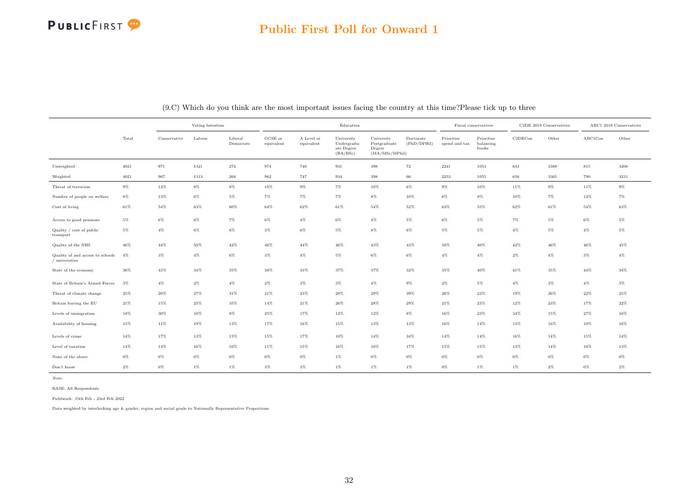|                                                    |        |              | Voting Intention |                      |                       |                          | Education                                           |                                                         |                          |                             | Fiscal conservatives             |                                  | C2DE 2019 Conservatives |         | ABC1 2019 Conservatives |
|----------------------------------------------------|--------|--------------|------------------|----------------------|-----------------------|--------------------------|-----------------------------------------------------|---------------------------------------------------------|--------------------------|-----------------------------|----------------------------------|----------------------------------|-------------------------|---------|-------------------------|
|                                                    | Total  | Conservative | Labour           | Liberal<br>Democrats | GCSE or<br>equivalent | A Level or<br>equivalent | University<br>Undergradu-<br>ate Degree<br>(BA/BSc) | University<br>Postgraduate<br>Degree<br>(MA/MSc/MPhill) | Doctorate<br>(PhD/DPHil) | Prioritise<br>spend and tax | Prioritise<br>balancing<br>books | C <sub>2</sub> DEC <sub>on</sub> | Other                   | ABC1Con | Other                   |
| Unweighted                                         | 4021   | 971          | 1321             | 274                  | 974                   | 740                      | 931                                                 | 398                                                     | 72                       | 2241                        | 1053                             | 633                              | 3388                    | 815     | 3206                    |
| Weighted                                           | 4021   | 967          | 1313             | $\boldsymbol{268}$   | 962                   | 747                      | 934                                                 | 398                                                     | 66                       | 2253                        | 1055                             | 656                              | 3365                    | 790     | 3231                    |
| Threat of terrorism                                | $9\%$  | $12\%$       | $8\%$            | $8\%$                | 10%                   | $9\%$                    | $7\%$                                               | 10%                                                     | $6\%$                    | $9\%$                       | $10\%$                           | 11%                              | $9\%$                   | 11%     | $9\%$                   |
| Number of people on welfare                        | 8%     | 13%          | 6%               | 5%                   | $7\%$                 | 7%                       | $7\%$                                               | 8%                                                      | 10%                      | 8%                          | $9\%$                            | 10%                              | $7\%$                   | 12%     | $7\%$                   |
| Cost of living                                     | 61%    | 54%          | 63%              | 60%                  | 64%                   | 62%                      | $61\%$                                              | 54%                                                     | 52%                      | 63%                         | 55%                              | 62%                              | $61\%$                  | 54%     | 63%                     |
| Access to good pensions                            | $5\%$  | $6\%$        | $6\%$            | $7\%$                | $6\%$                 | $4\%$                    | $6\%$                                               | $4\%$                                                   | $5\%$                    | 6%                          | 5%                               | 7%                               | $5\%$                   | $6\%$   | $5\%$                   |
| Quality / cost of public<br>transport              | 5%     | $4\%$        | $6\%$            | $6\%$                | $3\%$                 | $6\%$                    | $5\%$                                               | $8\%$                                                   | $6\%$                    | 5%                          | $5\%$                            | $4\%$                            | $5\%$                   | $4\%$   | $5\%$                   |
| Quality of the NHS                                 | 46%    | $44\%$       | 50%              | 42%                  | 46%                   | 44%                      | $46\%$                                              | 43%                                                     | 43%                      | 50%                         | 40%                              | 42%                              | 46%                     | 46%     | 45%                     |
| Quality of and access to schools<br>/ universities | $4\%$  | $3\%$        | $4\%$            | $6\%$                | $3\%$                 | $4\%$                    | $5\%$                                               | $6\%$                                                   | $6\%$                    | $4\%$                       | $4\%$                            | $2\%$                            | $4\%$                   | $3\%$   | $4\%$                   |
| State of the economy                               | 36%    | $43\%$       | 34%              | 35%                  | 38%                   | 33%                      | 37%                                                 | 37%                                                     | 32%                      | 35%                         | $40\%$                           | $41\%$                           | 35%                     | 44%     | 34%                     |
| State of Britain's Armed Forces                    | $3\%$  | $4\%$        | $2\%$            | $4\%$                | $2\%$                 | $3\%$                    | $3\%$                                               | $4\%$                                                   | $9\%$                    | $2\%$                       | 5%                               | $4\%$                            | $3\%$                   | $4\%$   | $3\%$                   |
| Threat of climate change                           | 25%    | $20\%$       | 27%              | 31%                  | 21%                   | 23%                      | 29%                                                 | 29%                                                     | 39%                      | 26%                         | 23%                              | 19%                              | 26%                     | $22\%$  | 25%                     |
| Britain leaving the EU                             | $21\%$ | 15%          | 25%              | 35%                  | 14%                   | 21%                      | $26\%$                                              | 28%                                                     | 29%                      | 21%                         | 23%                              | 12%                              | 23%                     | 17%     | $22\%$                  |
| Levels of immigration                              | 18%    | 30%          | 10%              | $8\%$                | 25%                   | 17%                      | 12%                                                 | 12%                                                     | $8\%$                    | 16%                         | 23%                              | 34%                              | 15%                     | 27%     | 16%                     |
| Availability of housing                            | 15%    | 11%          | 19%              | 13%                  | 17%                   | 16%                      | 15%                                                 | 13%                                                     | 13%                      | 16%                         | 14%                              | 13%                              | 16%                     | 10%     | 16%                     |
| Levels of crime                                    | 14%    | 17%          | 13%              | 15%                  | 15%                   | 17%                      | $10\%$                                              | 14%                                                     | 16%                      | 14%                         | 14%                              | 16%                              | 14%                     | 15%     | 14%                     |
| Level of taxation                                  | $14\%$ | 14%          | 16%              | 16%                  | 11%                   | 15%                      | 16%                                                 | 16%                                                     | 17%                      | 15%                         | 15%                              | 13%                              | 14%                     | 16%     | 13%                     |
| None of the above                                  | 0%     | $0\%$        | $0\%$            | $0\%$                | $0\%$                 | $0\%$                    | $1\%$                                               | $0\%$                                                   | $0\%$                    | 0%                          | $0\%$                            | $0\%$                            | 0%                      | 0%      | $0\%$                   |
| Don't know                                         | $2\%$  | $0\%$        | $1\%$            | $1\%$                | $3\%$                 | $3\%$                    | $1\%$                                               | $1\%$                                                   | $1\%$                    | $0\%$                       | $1\%$                            | $1\%$                            | $2\%$                   | $0\%$   | $2\%$                   |

(9.C) Which do you think are the most important issues facing the country at this time?Please tick up to three

Note:

BASE: All Respondents

Fieldwork: 15th Feb - 23rd Feb 2022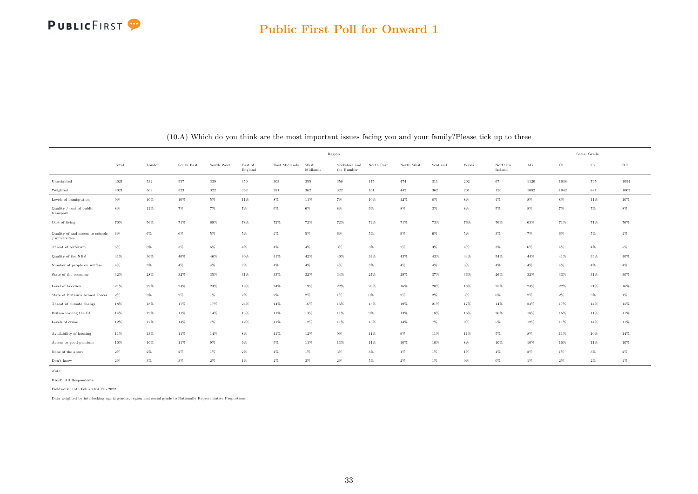<span id="page-33-0"></span>

|                                                    |        |        |            |            |                    |               | Region           |                             |            |            |          |         |                     |                      | Social Grade |             |           |
|----------------------------------------------------|--------|--------|------------|------------|--------------------|---------------|------------------|-----------------------------|------------|------------|----------|---------|---------------------|----------------------|--------------|-------------|-----------|
|                                                    | Total  | London | South East | South West | East of<br>England | East Midlands | West<br>Midlands | Yorkshire and<br>the Humber | North East | North West | Scotland | Wales   | Northern<br>Ireland | $\mathbf A\mathbf B$ | C1           | $_{\rm C2}$ | $\rm{DE}$ |
| Unweighted                                         | 4021   | 532    | 557        | 339        | 350                | 303           | 355              | 356                         | 175        | 474        | 311      | $202\,$ | 67                  | 1120                 | 1038         | 795         | 1054      |
| Weighted                                           | 4021   | 563    | 523        | 322        | 362                | 281           | 362              | 322                         | 161        | 442        | 362      | 201     | 120                 | 1082                 | 1042         | 881         | 1002      |
| Levels of immigration                              | $9\%$  | 10%    | 10%        | 5%         | 11%                | $8\%$         | 11%              | $7\%$                       | 10%        | 12%        | 8%       | $8\%$   | $4\%$               | $8\%$                | $8\%$        | 11%         | 10%       |
| Quality / cost of public<br>transport              | $8\%$  | 12%    | $7\%$      | $7\%$      | $7\%$              | $6\%$         | 6%               | $8\%$                       | $9\%$      | $8\%$      | $3\%$    | $8\%$   | 5%                  | $8\%$                | 7%           | $7\%$       | $8\%$     |
| Cost of living                                     | 70%    | $56\%$ | 71%        | $69\%$     | 78%                | $72\%$        | 72%              | $72\%$                      | $72\%$     | 71%        | 73%      | 76%     | 76%                 | $63\%$               | 71%          | 71%         | 76%       |
| Quality of and access to schools<br>/ universities | 6%     | $6\%$  | $6\%$      | $5\%$      | $5\%$              | $4\%$         | $5\%$            | $6\%$                       | $5\%$      | $9\%$      | $6\%$    | $5\%$   | $3\%$               | $7\%$                | $6\%$        | $5\%$       | $4\%$     |
| Threat of terrorism                                | 5%     | $8\%$  | $3\%$      | $6\%$      | $4\%$              | $4\%$         | $4\%$            | $3\%$                       | $3\%$      | $7\%$      | $3\%$    | $4\%$   | $3\%$               | $6\%$                | $4\%$        | $4\%$       | $5\%$     |
| Quality of the NHS                                 | 41%    | 36%    | 40%        | 46%        | $40\%$             | 41%           | 42%              | 40%                         | 34%        | 43%        | 43%      | 44%     | 54%                 | $44\%$               | 41%          | 39%         | 40%       |
| Number of people on welfare                        | $4\%$  | $5\%$  | $4\%$      | $4\%$      | $2\%$              | $4\%$         | $4\%$            | $4\%$                       | $3\%$      | $4\%$      | $4\%$    | $3\%$   | $4\%$               | $4\%$                | $4\%$        | $4\%$       | $4\%$     |
| State of the economy                               | $32\%$ | $28\%$ | $32\%$     | 35%        | $31\%$             | $33\%$        | $32\%$           | $34\%$                      | 27%        | $29\%$     | 37%      | 36%     | $26\%$              | $32\%$               | 33%          | $31\%$      | $30\%$    |
| Level of taxation                                  | 21%    | $22\%$ | 23%        | 23%        | 19%                | 24%           | 19%              | 22%                         | 20%        | 16%        | 20%      | 18%     | 25%                 | 23%                  | 22%          | 21%         | 16%       |
| State of Britain's Armed Forces                    | $2\%$  | $3\%$  | $2\%$      | $1\%$      | $2\%$              | $2\%$         | $2\%$            | $1\%$                       | $0\%$      | $2\%$      | $2\%$    | $3\%$   | 6%                  | $2\%$                | $2\%$        | $3\%$       | $1\%$     |
| Threat of climate change                           | 18%    | 18%    | 17%        | 17%        | $24\%$             | 14%           | 16%              | 15%                         | 13%        | 19%        | 21%      | 17%     | 14%                 | $23\%$               | 17%          | 14%         | 15%       |
| Britain leaving the EU                             | $14\%$ | 19%    | 11%        | 14%        | 13%                | 11%           | 13%              | 11%                         | $9\%$      | 13%        | 18%      | 16%     | 26%                 | 18%                  | 15%          | 11%         | $11\%$    |
| Levels of crime                                    | $12\%$ | 17%    | 13%        | $7\%$      | $12\%$             | $11\%$        | 12%              | 11%                         | 13%        | 14%        | $7\%$    | $9\%$   | 5%                  | $12\%$               | 11%          | 14%         | 11%       |
| Availability of housing                            | $11\%$ | 13%    | 11%        | 14%        | $8\%$              | 11%           | 12%              | $9\%$                       | 11%        | $9\%$      | 11%      | 11%     | $5\%$               | $8\%$                | 11%          | 10%         | $14\%$    |
| Access to good pensions                            | 10%    | $10\%$ | 11%        | $9\%$      | $9\%$              | $9\%$         | 11%              | 13%                         | 11%        | 10%        | 10%      | 8%      | 10%                 | 10%                  | 10%          | 11%         | 10%       |
| None of the above                                  | $2\%$  | $2\%$  | $2\%$      | $1\%$      | $2\%$              | $4\%$         | $1\%$            | $3\%$                       | $3\%$      | $1\%$      | 1%       | 1%      | $4\%$               | $2\%$                | 1%           | $3\%$       | $2\%$     |
| Don't know                                         | $2\%$  | $3\%$  | $3\%$      | $2\%$      | $1\%$              | $2\%$         | $3\%$            | $2\%$                       | $5\%$      | $2\%$      | $1\%$    | $0\%$   | $0\%$               | 1%                   | $2\%$        | $2\%$       | $4\%$     |

(10.A) Which do you think are the most important issues facing you and your family?Please tick up to three

Note:

BASE: All Respondents

Fieldwork: 15th Feb - 23rd Feb 2022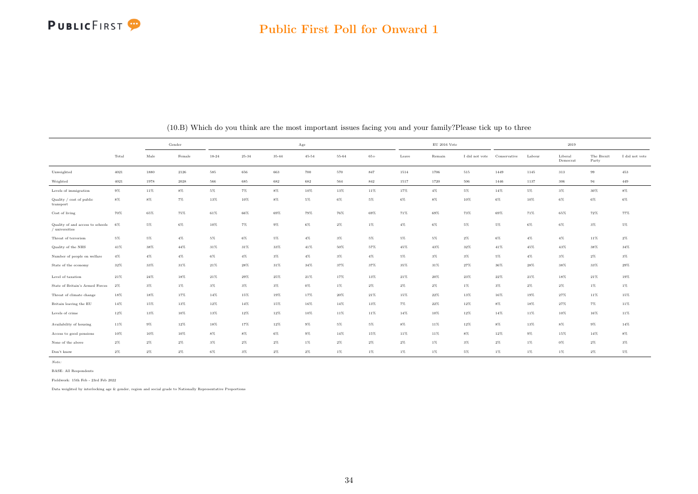

|                                                    |          |               | Gender              |           |           |        | Age       |           |         |        | $\mathrm{EU}$ 2016 Vote |                |              |        | 2019                |                     |                |
|----------------------------------------------------|----------|---------------|---------------------|-----------|-----------|--------|-----------|-----------|---------|--------|-------------------------|----------------|--------------|--------|---------------------|---------------------|----------------|
|                                                    | Total    | $_{\rm Male}$ | Female              | $18 - 24$ | $25 - 34$ | 35-44  | $45 - 54$ | $55 - 64$ | $65+$   | Leave  | Remain                  | I did not vote | Conservative | Labour | Liberal<br>Democrat | The Brexit<br>Party | I did not vote |
| Unweighted                                         | $4021\,$ | 1880          | $\boldsymbol{2126}$ | 585       | 656       | 663    | 700       | 570       | 847     | 1514   | 1706                    | 515            | 1449         | 1145   | $313\,$             | $99\,$              | 453            |
| Weighted                                           | 4021     | 1978          | 2028                | 566       | 685       | 682    | 682       | 564       | $842\,$ | 1517   | 1720                    | 506            | 1446         | 1137   | 306                 | 94                  | 449            |
| Levels of immigration                              | $9\%$    | $11\%$        | $8\%$               | $5\%$     | $7\%$     | $8\%$  | $10\%$    | $13\%$    | $11\%$  | 17%    | $4\%$                   | $5\%$          | $14\%$       | $5\%$  | $3\%$               | $30\%$              | $8\%$          |
| Quality / cost of public<br>transport              | $8\%$    | 8%            | $7\%$               | 13%       | 10%       | $8\%$  | $5\%$     | $6\%$     | $5\%$   | $6\%$  | $8\%$                   | 10%            | $6\%$        | 10%    | $6\%$               | $6\%$               | $6\%$          |
| Cost of living                                     | 70%      | 65%           | 75%                 | 61%       | $66\%$    | 69%    | 79%       | 76%       | 69%     | 71%    | 69%                     | 73%            | 69%          | 71%    | 65%                 | 72%                 | 77%            |
| Quality of and access to schools<br>/ universities | 6%       | $5\%$         | $6\%$               | $10\%$    | $7\%$     | $9\%$  | $6\%$     | $2\%$     | $1\%$   | $4\%$  | $6\%$                   | $5\%$          | $5\%$        | $6\%$  | $6\%$               | $3\%$               | $5\%$          |
| Threat of terrorism                                | 5%       | $5\%$         | $4\%$               | $5\%$     | $6\%$     | $5\%$  | $4\%$     | $3\%$     | $5\%$   | $5\%$  | $5\%$                   | $2\%$          | $6\%$        | $4\%$  | $4\%$               | $11\%$              | $2\%$          |
| Quality of the NHS                                 | $41\%$   | 38%           | $44\%$              | $31\%$    | $31\%$    | 33%    | $41\%$    | $50\%$    | $57\%$  | $45\%$ | $43\%$                  | $32\%$         | $41\%$       | 45%    | 43%                 | $38\%$              | $34\%$         |
| Number of people on welfare                        | $4\%$    | $4\%$         | $4\%$               | $6\%$     | $4\%$     | $3\%$  | $4\%$     | $3\%$     | $4\%$   | $5\%$  | $3\%$                   | $3\%$          | $5\%$        | $4\%$  | $3\%$               | $2\%$               | $3\%$          |
| State of the economy                               | 32%      | 33%           | $31\%$              | 21%       | $28\%$    | 31%    | 34%       | 37%       | 37%     | 35%    | 31%                     | $27\%$         | 36%          | 28%    | 38%                 | $33\%$              | $29\%$         |
| Level of taxation                                  | $21\%$   | $24\%$        | 18%                 | $21\%$    | $29\%$    | $25\%$ | $21\%$    | 17%       | 13%     | 21%    | 20%                     | $23\%$         | $22\%$       | $21\%$ | 18%                 | $21\%$              | 19%            |
| State of Britain's Armed Forces                    | 2%       | $3\%$         | $1\%$               | $3\%$     | $3\%$     | $3\%$  | $0\%$     | $1\%$     | $2\%$   | $2\%$  | $2\%$                   | $1\%$          | $3\%$        | $2\%$  | $2\%$               | $1\%$               | $1\%$          |
| Threat of climate change                           | $18\%$   | $18\%$        | 17%                 | 14%       | $15\%$    | 19%    | $17\%$    | $20\%$    | $21\%$  | $15\%$ | 22%                     | 13%            | 16%          | 19%    | 27%                 | $11\%$              | 15%            |
| Britain leaving the EU                             | $14\%$   | 15%           | 13%                 | 12%       | $14\%$    | 15%    | $16\%$    | $14\%$    | 13%     | $7\%$  | 22%                     | 12%            | $8\%$        | 18%    | 27%                 | $7\%$               | $11\%$         |
| Levels of crime                                    | 12%      | 13%           | 10%                 | 13%       | 12%       | 12%    | 10%       | 11%       | 11%     | 14%    | 10%                     | 12%            | 14%          | 11%    | 10%                 | 16%                 | 11%            |
| Availability of housing                            | 11%      | $9\%$         | 12%                 | 18%       | 17%       | 12%    | $9\%$     | $5\%$     | $5\%$   | $8\%$  | 11%                     | 12%            | $8\%$        | 13%    | $8\%$               | $9\%$               | $14\%$         |
| Access to good pensions                            | 10%      | 10%           | 10%                 | $8\%$     | $8\%$     | $6\%$  | $9\%$     | $14\%$    | 15%     | 11%    | 11%                     | $8\%$          | 12%          | $9\%$  | 15%                 | 14%                 | $8\%$          |
| None of the above                                  | $2\%$    | 2%            | $2\%$               | $3\%$     | $2\%$     | $2\%$  | 1%        | $2\%$     | $2\%$   | $2\%$  | $1\%$                   | $3\%$          | $2\%$        | 1%     | $0\%$               | $2\%$               | $3\%$          |
| Don't know                                         | $2\%$    | $2\%$         | $2\%$               | $6\%$     | $3\%$     | $2\%$  | $2\%$     | $1\%$     | $1\%$   | $1\%$  | $1\%$                   | $5\%$          | $1\%$        | $1\%$  | $1\%$               | $2\%$               | $5\%$          |

(10.B) Which do you think are the most important issues facing you and your family?Please tick up to three

Note:

BASE: All Respondents

Fieldwork: 15th Feb - 23rd Feb 2022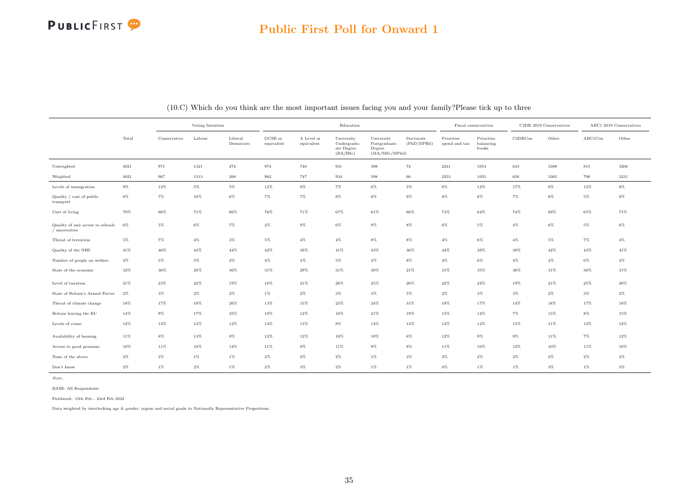|                                                      |        |              | Voting Intention |                      |                       |                          | Education                                           |                                                         |                          |                             | Fiscal conservatives             |         | $\text{C2DE}$ 2019 Conservatives |         | ABC1 2019 Conservatives |
|------------------------------------------------------|--------|--------------|------------------|----------------------|-----------------------|--------------------------|-----------------------------------------------------|---------------------------------------------------------|--------------------------|-----------------------------|----------------------------------|---------|----------------------------------|---------|-------------------------|
|                                                      | Total  | Conservative | Labour           | Liberal<br>Democrats | GCSE or<br>equivalent | A Level or<br>equivalent | University<br>Undergradu-<br>ate Degree<br>(BA/BSc) | University<br>Postgraduate<br>Degree<br>(MA/MSc/MPhill) | Doctorate<br>(PhD/DPHil) | Prioritise<br>spend and tax | Prioritise<br>balancing<br>books | C2DECon | Other                            | ABC1Con | Other                   |
| Unweighted                                           | 4021   | 971          | 1321             | 274                  | 974                   | 740                      | 931                                                 | 398                                                     | $\scriptstyle{72}$       | 2241                        | 1053                             | 633     | 3388                             | $815\,$ | 3206                    |
| Weighted                                             | 4021   | 967          | 1313             | 268                  | 962                   | 747                      | 934                                                 | $398\,$                                                 | $66\,$                   | $2253\,$                    | 1055                             | 656     | 3365                             | 790     | 3231                    |
| Levels of immigration                                | $9\%$  | $14\%$       | $5\%$            | $5\%$                | $12\%$                | $8\%$                    | $7\%$                                               | $6\%$                                                   | $5\%$                    | $8\%$                       | $12\%$                           | 17%     | $8\%$                            | $12\%$  | $8\%$                   |
| Quality / cost of public<br>transport                | $8\%$  | $7\%$        | 10%              | $6\%$                | $7\%$                 | 7%                       | $8\%$                                               | $8\%$                                                   | $9\%$                    | $8\%$                       | 8%                               | $7\%$   | $8\%$                            | $5\%$   | 8%                      |
| Cost of living                                       | 70%    | $66\%$       | 71%              | $66\%$               | 76%                   | 71%                      | 67%                                                 | $61\%$                                                  | 66%                      | 73%                         | 64%                              | 74%     | 69%                              | 65%     | 71%                     |
| Quality of and access to schools<br>$/$ universities | 6%     | $5\%$        | 6%               | $7\%$                | $2\%$                 | $9\%$                    | 6%                                                  | $9\%$                                                   | 8%                       | $6\%$                       | 5%                               | $4\%$   | $6\%$                            | 5%      | 6%                      |
| Threat of terrorism                                  | $5\%$  | $7\%$        | $4\%$            | $3\%$                | $5\%$                 | $4\%$                    | $4\%$                                               | $8\%$                                                   | $8\%$                    | $4\%$                       | $6\%$                            | $4\%$   | $5\%$                            | $7\%$   | $4\%$                   |
| Quality of the NHS                                   | $41\%$ | $40\%$       | 43%              | 44%                  | 42%                   | 39%                      | $41\%$                                              | 43%                                                     | 36%                      | 44%                         | 39%                              | 38%     | 42%                              | 43%     | $41\%$                  |
| Number of people on welfare                          | $4\%$  | $5\%$        | 5%               | $2\%$                | $4\%$                 | $4\%$                    | $3\%$                                               | $4\%$                                                   | $8\%$                    | $4\%$                       | 6%                               | $4\%$   | $4\%$                            | $6\%$   | $4\%$                   |
| State of the economy                                 | $32\%$ | $36\%$       | 28%              | 36%                  | 31%                   | 29%                      | $31\%$                                              | 30%                                                     | 21%                      | 31%                         | 35%                              | 36%     | 31%                              | 36%     | $31\%$                  |
| Level of taxation                                    | $21\%$ | $23\%$       | $22\%$           | 19%                  | $16\%$                | $21\%$                   | $26\%$                                              | $25\%$                                                  | 26%                      | $22\%$                      | $24\%$                           | 19%     | $21\%$                           | 25%     | $20\%$                  |
| State of Britain's Armed Forces                      | $2\%$  | $3\%$        | $2\%$            | $2\%$                | $1\%$                 | $2\%$                    | $3\%$                                               | $3\%$                                                   | $5\%$                    | $2\%$                       | $3\%$                            | $3\%$   | $2\%$                            | $3\%$   | $2\%$                   |
| Threat of climate change                             | 18%    | 17%          | 18%              | 26%                  | 13%                   | 15%                      | $23\%$                                              | $24\%$                                                  | 31%                      | 18%                         | 17%                              | $14\%$  | 18%                              | 17%     | 18%                     |
| Britain leaving the EU                               | 14%    | $9\%$        | 17%              | 25%                  | $10\%$                | $12\%$                   | 18%                                                 | $21\%$                                                  | 19%                      | 15%                         | 14%                              | $7\%$   | 15%                              | $8\%$   | 15%                     |
| Levels of crime                                      | $12\%$ | $13\%$       | $12\%$           | 12%                  | 14%                   | 13%                      | $8\%$                                               | 14%                                                     | 13%                      | 12%                         | 12%                              | 15%     | 11%                              | 12%     | 12%                     |
| Availability of housing                              | 11%    | $8\%$        | 13%              | $9\%$                | 12%                   | 12%                      | 10%                                                 | 10%                                                     | $6\%$                    | 12%                         | 9%                               | $9\%$   | 11%                              | $7\%$   | 12%                     |
| Access to good pensions                              | 10%    | $11\%$       | 10%              | 14%                  | 11%                   | 9%                       | 11%                                                 | $9\%$                                                   | $8\%$                    | 11%                         | 10%                              | 12%     | 10%                              | 11%     | 10%                     |
| None of the above                                    | $2\%$  | $3\%$        | 1%               | $1\%$                | $2\%$                 | $2\%$                    | $2\%$                                               | $1\%$                                                   | $3\%$                    | $2\%$                       | $2\%$                            | $2\%$   | $2\%$                            | $2\%$   | $2\%$                   |
| Don't know                                           | $2\%$  | $1\%$        | $2\%$            | $1\%$                | $2\%$                 | $3\%$                    | $2\%$                                               | $1\%$                                                   | $1\%$                    | $0\%$                       | 1%                               | $1\%$   | $3\%$                            | $1\%$   | $3\%$                   |

(10.C) Which do you think are the most important issues facing you and your family?Please tick up to three

Note:

BASE: All Respondents

Fieldwork: 15th Feb - 23rd Feb 2022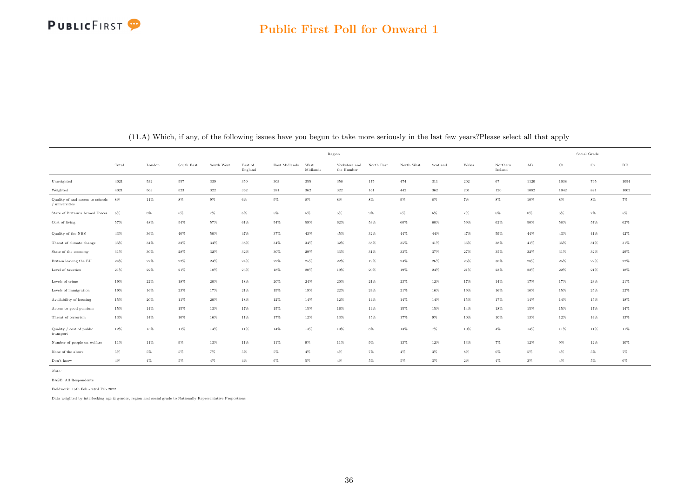|                                                          |        |         |            |            |                    |               |                  | Region                      |            |            |          |       |                     |                      | Social Grade |             |           |
|----------------------------------------------------------|--------|---------|------------|------------|--------------------|---------------|------------------|-----------------------------|------------|------------|----------|-------|---------------------|----------------------|--------------|-------------|-----------|
|                                                          | Total  | London  | South East | South West | East of<br>England | East Midlands | West<br>Midlands | Yorkshire and<br>the Humber | North East | North West | Scotland | Wales | Northern<br>Ireland | $\mathbf A\mathbf B$ | C1           | $_{\rm C2}$ | $\rm{DE}$ |
| Unweighted                                               | 4021   | $532\,$ | 557        | 339        | 350                | 303           | 355              | 356                         | 175        | 474        | 311      | 202   | 67                  | 1120                 | 1038         | 795         | 1054      |
| Weighted                                                 | 4021   | 563     | $523\,$    | 322        | 362                | 281           | 362              | $322\,$                     | $161\,$    | $442\,$    | $362\,$  | 201   | 120                 | 1082                 | 1042         | 881         | 1002      |
| Quality of and access to schools $8\%$<br>/ universities |        | 11%     | $8\%$      | $9\%$      | $6\%$              | $9\%$         | $8\%$            | $8\%$                       | $8\%$      | $9\%$      | $8\%$    | $7\%$ | $8\%$               | 10%                  | $8\%$        | $8\%$       | $7\%$     |
| State of Britain's Armed Forces                          | 6%     | $8\%$   | $5\%$      | $7\%$      | $6\%$              | 5%            | 5%               | 5%                          | $9\%$      | $5\%$      | $6\%$    | 7%    | 6%                  | $8\%$                | $5\%$        | 7%          | $5\%$     |
| Cost of living                                           | $57\%$ | 48%     | $54\%$     | $57\%$     | $61\%$             | $54\%$        | 59%              | 62%                         | 53%        | $60\%$     | 60%      | 59%   | $62\%$              | $50\%$               | 58%          | 57%         | $62\%$    |
| Quality of the NHS                                       | 43%    | 36%     | 40%        | 50%        | 47%                | 37%           | 43%              | 45%                         | 32%        | $44\%$     | $44\%$   | 47%   | 59%                 | $44\%$               | 43%          | 41%         | 42%       |
| Threat of climate change                                 | 35%    | 34%     | 32%        | 34%        | 38%                | $34\%$        | 34%              | 32%                         | 38%        | 35%        | 41%      | 36%   | 38%                 | 41%                  | 35%          | 31%         | $31\%$    |
| State of the economy                                     | 31%    | 30%     | 28%        | 32%        | 32%                | $30\%$        | 29%              | 33%                         | 31%        | 33%        | 37%      | 27%   | 35%                 | $32\%$               | 31%          | 32%         | 29%       |
| Britain leaving the EU                                   | $24\%$ | 27%     | 22%        | $24\%$     | $24\%$             | $22\%$        | 25%              | 22%                         | 19%        | 23%        | 26%      | 26%   | 38%                 | 28%                  | 25%          | 22%         | $22\%$    |
| Level of taxation                                        | $21\%$ | 22%     | 21%        | 18%        | 23%                | 18%           | 20%              | 19%                         | 20%        | 19%        | $24\%$   | 21%   | 23%                 | $22\%$               | 22%          | 21%         | 18%       |
| Levels of crime                                          | $19\%$ | $22\%$  | 18%        | $20\%$     | 18%                | $20\%$        | $24\%$           | $20\%$                      | $21\%$     | $23\%$     | 12%      | 17%   | 14%                 | 17%                  | 17%          | 23%         | $21\%$    |
| Levels of immigration                                    | 19%    | 16%     | 23%        | 17%        | 21%                | 19%           | 19%              | 22%                         | 24%        | 21%        | 16%      | 19%   | 16%                 | 16%                  | 15%          | 25%         | 22%       |
| Availability of housing                                  | 15%    | 20%     | 11%        | 20%        | 18%                | 12%           | 14%              | 12%                         | 14%        | 14%        | 14%      | 15%   | 17%                 | 14%                  | $14\%$       | 15%         | $18\%$    |
| Access to good pensions                                  | $15\%$ | 14%     | 15%        | 13%        | $17\%$             | $15\%$        | 15%              | 16%                         | $14\%$     | 15%        | 15%      | 14%   | 18%                 | 15%                  | 15%          | 17%         | $14\%$    |
| Threat of terrorism                                      | 13%    | 14%     | 10%        | 16%        | 11%                | 17%           | 12%              | 13%                         | 15%        | 17%        | $9\%$    | 10%   | 10%                 | 13%                  | 12%          | 14%         | 13%       |
| Quality / cost of public<br>transport                    | 12%    | 15%     | 11%        | 14%        | 11%                | $14\%$        | 13%              | 10%                         | $8\%$      | 13%        | $7\%$    | 10%   | $4\%$               | $14\%$               | 11%          | 11%         | $11\%$    |
| Number of people on welfare                              | 11%    | 11%     | $9\%$      | 13%        | 11%                | 11%           | $9\%$            | 11%                         | $9\%$      | 13%        | 12%      | 13%   | 7%                  | 12%                  | $9\%$        | 12%         | 10%       |
| None of the above                                        | $5\%$  | $5\%$   | $5\%$      | $7\%$      | $5\%$              | $5\%$         | $4\%$            | $4\%$                       | $7\%$      | $4\%$      | $3\%$    | $8\%$ | $6\%$               | $5\%$                | $4\%$        | $5\%$       | $7\%$     |
| Don't know                                               | $4\%$  | $4\%$   | $5\%$      | $4\%$      | $4\%$              | $6\%$         | $5\%$            | $4\%$                       | $5\%$      | $5\%$      | $3\%$    | $2\%$ | $4\%$               | $3\%$                | $4\%$        | $5\%$       | $6\%$     |

(11.A) Which, if any, of the following issues have you begun to take more seriously in the last few years?Please select all that apply

Note:

Fieldwork: 15th Feb - 23rd Feb 2022

BASE: All Respondents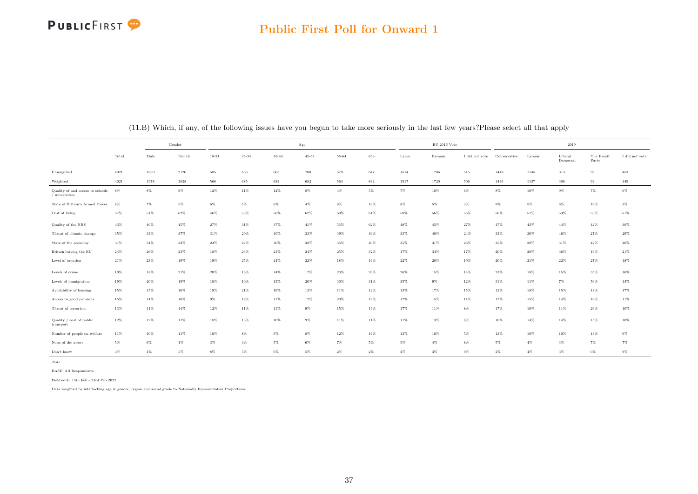# **PUBLICFIRST**

#### Public First Poll for Onward 1

|                                                    |          |        | Gender   |        |           |        | Age       |        |         |        | $\mathrm{EU}$ 2016 Vote |                |              |        | 2019                |                     |                |
|----------------------------------------------------|----------|--------|----------|--------|-----------|--------|-----------|--------|---------|--------|-------------------------|----------------|--------------|--------|---------------------|---------------------|----------------|
|                                                    | Total    | Male   | Female   | 18-24  | $25 - 34$ | 35-44  | $45 - 54$ | 55-64  | $65+$   | Leave  | Remain                  | I did not vote | Conservative | Labour | Liberal<br>Democrat | The Brexit<br>Party | I did not vote |
| Unweighted                                         | $4021\,$ | 1880   | $2126\,$ | 585    | 656       | 663    | 700       | 570    | $847\,$ | 1514   | 1706                    | $515\,$        | 1449         | 1145   | 313                 | 99                  | 453            |
| Weighted                                           | 4021     | 1978   | 2028     | 566    | 685       | 682    | 682       | 564    | 842     | 1517   | 1720                    | 506            | 1446         | 1137   | 306                 | 94                  | 449            |
| Quality of and access to schools<br>/ universities | - 8%     | $8\%$  | $9\%$    | $12\%$ | $11\%$    | $12\%$ | $8\%$     | $4\%$  | $5\%$   | $7\%$  | $10\%$                  | $6\%$          | $8\%$        | $10\%$ | $9\%$               | $7\%$               | $6\%$          |
| State of Britain's Armed Forces                    | 6%       | $7\%$  | $5\%$    | $6\%$  | $5\%$     | $6\%$  | $4\%$     | $6\%$  | $10\%$  | $8\%$  | 5%                      | $3\%$          | $8\%$        | $5\%$  | $6\%$               | $16\%$              | $3\%$          |
| Cost of living                                     | $57\%$   | 51%    | 62%      | $46\%$ | $53\%$    | 56%    | $62\%$    | $60\%$ | $61\%$  | $58\%$ | $56\%$                  | $56\%$         | $56\%$       | 57%    | 53%                 | $55\%$              | $61\%$         |
| Quality of the NHS                                 | $43\%$   | $40\%$ | 45%      | 27%    | 31%       | 37%    | 41%       | 53%    | 62%     | 48%    | 45%                     | $27\%$         | 47%          | 43%    | $44\%$              | 42%                 | $30\%$         |
| Threat of climate change                           | 35%      | 33%    | 37%      | 31%    | 29%       | 30%    | 33%       | 39%    | $46\%$  | 33%    | 40%                     | $24\%$         | 33%          | 36%    | 46%                 | 27%                 | 29%            |
| State of the economy                               | 31%      | 31%    | 32%      | $23\%$ | $24\%$    | 30%    | $32\%$    | 35%    | $40\%$  | 35%    | $31\%$                  | $26\%$         | 35%          | 28%    | $31\%$              | 42%                 | $26\%$         |
| Britain leaving the EU                             | 24%      | 26%    | 23%      | 18%    | 23%       | 21%    | 24%       | 25%    | 32%     | 17%    | 34%                     | 17%            | 20%          | 28%    | 36%                 | 16%                 | $21\%$         |
| Level of taxation                                  | 21%      | 23%    | 19%      | 19%    | 25%       | 24%    | 22%       | 18%    | 16%     | 22%    | 20%                     | 19%            | $20\%$       | 21%    | $22\%$              | 27%                 | $18\%$         |
| Levels of crime                                    | 19%      | $18\%$ | $21\%$   | $20\%$ | $16\%$    | $14\%$ | 17%       | $23\%$ | $26\%$  | $26\%$ | $15\%$                  | $14\%$         | $23\%$       | 18%    | $15\%$              | $35\%$              | $16\%$         |
| Levels of immigration                              | 19%      | 20%    | 19%      | 10%    | 10%       | 13%    | 20%       | $30\%$ | $31\%$  | 35%    | $9\%$                   | 12%            | 31%          | 11%    | $7\%$               | 56%                 | $14\%$         |
| Availability of housing                            | $15\%$   | 15%    | 16%      | 19%    | 21%       | 16%    | 13%       | 11%    | 12%     | 13%    | 17%                     | 15%            | 12%          | 18%    | 15%                 | $14\%$              | 17%            |
| Access to good pensions                            | $15\%$   | 14%    | 16%      | $9\%$  | 12%       | 11%    | 17%       | $20\%$ | 19%     | 17%    | 15%                     | 11%            | 17%          | 15%    | 14%                 | 16%                 | 11%            |
| Threat of terrorism                                | 13%      | 11%    | 14%      | 12%    | 11%       | 11%    | $9\%$     | 15%    | 19%     | 17%    | 11%                     | $8\%$          | 17%          | 10%    | 11%                 | 26%                 | $10\%$         |
| Quality / cost of public<br>transport              | 12%      | 12%    | 11%      | 18%    | 13%       | 10%    | $9\%$     | 11%    | 11%     | 11%    | 13%                     | $8\%$          | 10%          | 14%    | 14%                 | 15%                 | $10\%$         |
| Number of people on welfare                        | 11%      | 10%    | 11%      | 10%    | $8\%$     | $9\%$  | $8\%$     | 12%    | 16%     | 13%    | 10%                     | 5%             | 13%          | 10%    | 10%                 | 13%                 | $6\%$          |
| None of the above                                  | 5%       | 6%     | $4\%$    | $3\%$  | $4\%$     | 5%     | $6\%$     | 7%     | $5\%$   | 5%     | $4\%$                   | $8\%$          | $5\%$        | $4\%$  | $3\%$               | $7\%$               | 7%             |
| Don't know                                         | $4\%$    | $4\%$  | $5\%$    | $8\%$  | 5%        | $6\%$  | $5\%$     | $2\%$  | $2\%$   | $2\%$  | $3\%$                   | $9\%$          | $2\%$        | $4\%$  | $3\%$               | $0\%$               | $9\%$          |

(11.B) Which, if any, of the following issues have you begun to take more seriously in the last few years?Please select all that apply

Note:

BASE: All Respondents

Fieldwork: 15th Feb - 23rd Feb 2022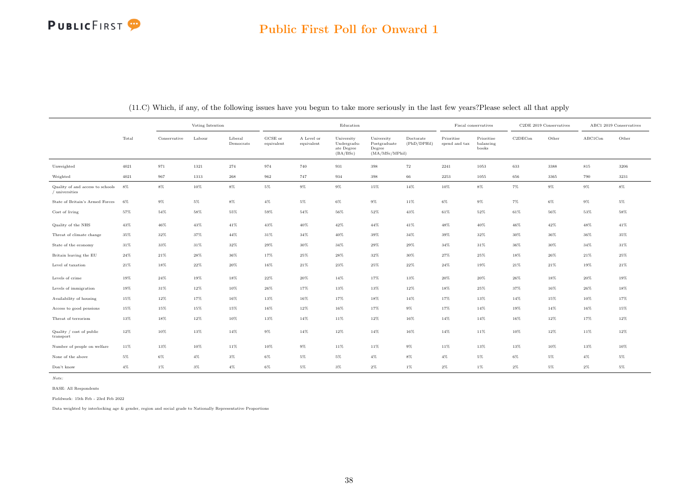# **PUBLICFIRST**

|                                                    |        | Voting Intention<br>Liberal<br>Conservative<br>Labour |       |           |                                | Education                |                                                     |                                                         |                          | Fiscal conservatives        |                                  | C2DE 2019 Conservatives |        | ABC1 2019 Conservatives |        |
|----------------------------------------------------|--------|-------------------------------------------------------|-------|-----------|--------------------------------|--------------------------|-----------------------------------------------------|---------------------------------------------------------|--------------------------|-----------------------------|----------------------------------|-------------------------|--------|-------------------------|--------|
|                                                    | Total  |                                                       |       | Democrats | $_{\rm GCSE~or}$<br>equivalent | A Level or<br>equivalent | University<br>Undergradu-<br>ate Degree<br>(BA/BSc) | University<br>Postgraduate<br>Degree<br>(MA/MSc/MPhill) | Doctorate<br>(PhD/DPHil) | Prioritise<br>spend and tax | Prioritise<br>balancing<br>books | C2DECon                 | Other  | ABC1Con                 | Other  |
| Unweighted                                         | 4021   | 971                                                   | 1321  | 274       | 974                            | 740                      | 931                                                 | 398                                                     | 72                       | 2241                        | 1053                             | 633                     | 3388   | 815                     | 3206   |
| Weighted                                           | 4021   | 967                                                   | 1313  | 268       | 962                            | 747                      | 934                                                 | 398                                                     | 66                       | 2253                        | 1055                             | 656                     | 3365   | 790                     | 3231   |
| Quality of and access to schools<br>/ universities | 8%     | $8\%$                                                 | 10%   | $8\%$     | $5\%$                          | $9\%$                    | $9\%$                                               | 15%                                                     | 14%                      | $10\%$                      | $8\%$                            | $7\%$                   | $9\%$  | $9\%$                   | $8\%$  |
| State of Britain's Armed Forces                    | 6%     | $9\%$                                                 | $5\%$ | $8\%$     | $4\%$                          | $5\%$                    | $6\%$                                               | $9\%$                                                   | $11\%$                   | $6\%$                       | $9\%$                            | $7\%$                   | $6\%$  | $9\%$                   | $5\%$  |
| Cost of living                                     | 57%    | $54\%$                                                | 58%   | 55%       | 59%                            | $54\%$                   | $56\%$                                              | $52\%$                                                  | 43%                      | 61%                         | 52%                              | 61%                     | 56%    | 53%                     | 58%    |
| Quality of the NHS                                 | 43%    | $46\%$                                                | 43%   | 41%       | 43%                            | 40%                      | $42\%$                                              | 44%                                                     | 41%                      | 48%                         | 40%                              | 46%                     | 42%    | 48%                     | 41%    |
| Threat of climate change                           | 35%    | 32%                                                   | 37%   | 44%       | 31%                            | 34%                      | 40%                                                 | 39%                                                     | 34%                      | 39%                         | 32%                              | 30%                     | 36%    | 36%                     | 35%    |
| State of the economy                               | 31%    | 33%                                                   | 31%   | 32%       | 29%                            | 30%                      | 34%                                                 | 29%                                                     | 29%                      | 34%                         | 31%                              | 36%                     | 30%    | 34%                     | 31%    |
| Britain leaving the EU                             | $24\%$ | $21\%$                                                | 28%   | 36%       | 17%                            | 25%                      | 28%                                                 | 32%                                                     | 30%                      | 27%                         | 25%                              | 18%                     | 26%    | 21%                     | 25%    |
| Level of taxation                                  | 21%    | 18%                                                   | 22%   | 20%       | 16%                            | $21\%$                   | $23\%$                                              | 25%                                                     | 22%                      | 24%                         | 19%                              | 21%                     | 21%    | 19%                     | $21\%$ |
| Levels of crime                                    | 19%    | $24\%$                                                | 19%   | 18%       | 22%                            | 20%                      | $14\%$                                              | 17%                                                     | 13%                      | 20%                         | 20%                              | 26%                     | 18%    | 20%                     | 19%    |
| Levels of immigration                              | 19%    | $31\%$                                                | 12%   | 10%       | 26%                            | 17%                      | 13%                                                 | 13%                                                     | 12%                      | 18%                         | 25%                              | 37%                     | $16\%$ | 26%                     | 18%    |
| Availability of housing                            | 15%    | $12\%$                                                | 17%   | 16%       | 13%                            | 16%                      | 17%                                                 | 18%                                                     | 14%                      | 17%                         | 13%                              | 14%                     | 15%    | 10%                     | 17%    |
| Access to good pensions                            | 15%    | 15%                                                   | 15%   | 15%       | 16%                            | 12%                      | 16%                                                 | 17%                                                     | $9\%$                    | 17%                         | 14%                              | 19%                     | 14%    | 16%                     | 15%    |
| Threat of terrorism                                | 13%    | 18%                                                   | 12%   | 10%       | 13%                            | 14%                      | $11\%$                                              | 12%                                                     | 16%                      | 14%                         | 14%                              | 16%                     | 12%    | 17%                     | 12%    |
| Quality / cost of public<br>transport              | 12%    | 10%                                                   | 13%   | 14%       | $9\%$                          | 14%                      | $12\%$                                              | 14%                                                     | 16%                      | 14%                         | 11%                              | 10%                     | 12%    | 11%                     | 12%    |
| Number of people on welfare                        | 11%    | 13%                                                   | 10%   | 11%       | 10%                            | 9%                       | 11%                                                 | 11%                                                     | $9\%$                    | 11%                         | 13%                              | 13%                     | 10%    | 13%                     | 10%    |
| None of the above                                  | $5\%$  | $6\%$                                                 | $4\%$ | $3\%$     | $6\%$                          | 5%                       | $5\%$                                               | $4\%$                                                   | $8\%$                    | $4\%$                       | 5%                               | $6\%$                   | $5\%$  | $4\%$                   | $5\%$  |
| Don't know                                         | $4\%$  | $1\%$                                                 | $3\%$ | $4\%$     | $6\%$                          | $5\%$                    | $3\%$                                               | $2\%$                                                   | $1\%$                    | $2\%$                       | 1%                               | $2\%$                   | $5\%$  | $2\%$                   | $5\%$  |

(11.C) Which, if any, of the following issues have you begun to take more seriously in the last few years?Please select all that apply

Note:

BASE: All Respondents

Fieldwork: 15th Feb - 23rd Feb 2022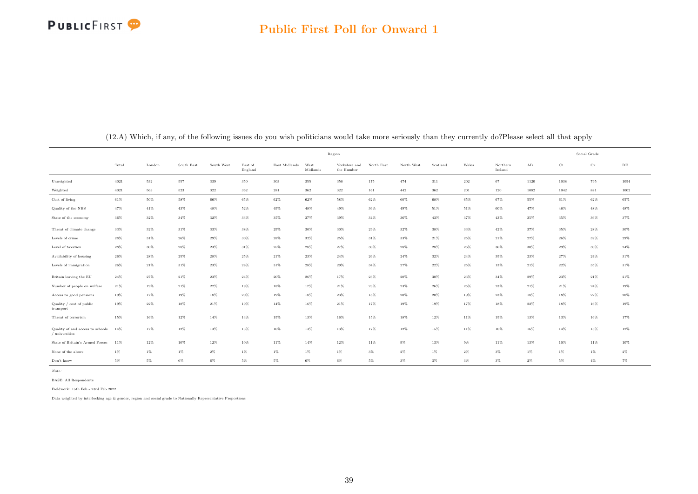|                                                    |          |         |            |            |                    |               | Region           |                             |            |            |          |        |                     |                      | Social Grade |             |           |
|----------------------------------------------------|----------|---------|------------|------------|--------------------|---------------|------------------|-----------------------------|------------|------------|----------|--------|---------------------|----------------------|--------------|-------------|-----------|
|                                                    | Total    | London  | South East | South West | East of<br>England | East Midlands | West<br>Midlands | Yorkshire and<br>the Humber | North East | North West | Scotland | Wales  | Northern<br>Ireland | $\mathbf A\mathbf B$ | C1           | $_{\rm C2}$ | $\rm{DE}$ |
| Unweighted                                         | $4021\,$ | $532\,$ | 557        | 339        | 350                | 303           | 355              | 356                         | 175        | 474        | 311      | 202    | 67                  | 1120                 | 1038         | 795         | 1054      |
| Weighted                                           | $4021\,$ | 563     | 523        | $322\,$    | 362                | 281           | 362              | $322\,$                     | 161        | $442\,$    | 362      | 201    | 120                 | 1082                 | 1042         | 881         | 1002      |
| Cost of living                                     | $61\%$   | $50\%$  | $58\%$     | $66\%$     | $65\%$             | $62\%$        | 62%              | $58\%$                      | $62\%$     | $60\%$     | 68%      | $65\%$ | 67%                 | $55\%$               | 61%          | 62%         | $65\%$    |
| Quality of the NHS                                 | 47%      | $41\%$  | 43%        | 48%        | 52%                | 49%           | 48%              | 49%                         | $36\%$     | 49%        | 51%      | 51%    | 60%                 | 47%                  | 46%          | 48%         | 48%       |
| State of the economy                               | $36\%$   | $32\%$  | $34\%$     | $32\%$     | $33\%$             | $35\%$        | 37%              | $39\%$                      | $34\%$     | 36%        | $43\%$   | $37\%$ | 43%                 | $35\%$               | 35%          | $36\%$      | 37%       |
| Threat of climate change                           | 33%      | 32%     | 31%        | 33%        | 38%                | 29%           | 30%              | $30\%$                      | $29\%$     | 32%        | 38%      | 33%    | 42%                 | 37%                  | 35%          | 28%         | $30\%$    |
| Levels of crime                                    | $28\%$   | $31\%$  | $26\%$     | $29\%$     | $30\%$             | $28\%$        | 32%              | 25%                         | $31\%$     | 33%        | 21%      | 25%    | 21%                 | $27\%$               | 26%          | 32%         | $29\%$    |
| Level of taxation                                  | 28%      | 30%     | $28\%$     | 23%        | $31\%$             | 25%           | 28%              | 27%                         | $30\%$     | 28%        | 28%      | 26%    | 36%                 | $30\%$               | $29\%$       | 30%         | $24\%$    |
| Availability of housing                            | $26\%$   | $28\%$  | 25%        | 28%        | $25\%$             | $21\%$        | 23%              | 24%                         | 26%        | $24\%$     | 32%      | 24%    | 35%                 | 23%                  | 27%          | 24%         | $31\%$    |
| Levels of immigration                              | 26%      | 21%     | 31%        | 23%        | $28\%$             | 31%           | 28%              | 29%                         | $34\%$     | 27%        | 22%      | 25%    | 13%                 | 21%                  | 22%          | 35%         | $31\%$    |
| Britain leaving the EU                             | 24%      | 27%     | 21%        | 23%        | $24\%$             | 20%           | 26%              | 17%                         | 23%        | $20\%$     | 30%      | 23%    | 34%                 | 29%                  | 23%          | 21%         | $21\%$    |
| Number of people on welfare                        | $21\%$   | 19%     | $21\%$     | $22\%$     | 19%                | 18%           | 17%              | $21\%$                      | $23\%$     | $23\%$     | 26%      | 25%    | $23\%$              | $21\%$               | 21%          | 24%         | 19%       |
| Access to good pensions                            | 19%      | 17%     | 19%        | $18\%$     | $20\%$             | 19%           | 18%              | $23\%$                      | 18%        | $20\%$     | 20%      | 19%    | 23%                 | 18%                  | $18\%$       | 22%         | $20\%$    |
| Quality / cost of public<br>transport              | 19%      | 22%     | 18%        | 21%        | 19%                | 14%           | 16%              | 21%                         | 17%        | 19%        | 19%      | 17%    | 18%                 | 22%                  | 18%          | 16%         | 19%       |
| Threat of terrorism                                | 15%      | 16%     | $12\%$     | 14%        | $14\%$             | 15%           | 13%              | 16%                         | 15%        | 18%        | 12%      | 11%    | 15%                 | 13%                  | 13%          | 16%         | $17\%$    |
| Quality of and access to schools<br>/ universities | 14%      | 17%     | 12%        | 13%        | 13%                | 16%           | 13%              | 13%                         | 17%        | 12%        | 15%      | 11%    | 10%                 | 16%                  | $14\%$       | 13%         | $12\%$    |
| State of Britain's Armed Forces                    | 11%      | 12%     | 10%        | 12%        | 10%                | 11%           | 14%              | 12%                         | 11%        | $9\%$      | 13%      | 9%     | 11%                 | 13%                  | 10%          | 11%         | 10%       |
| None of the above                                  | $1\%$    | 1%      | $1\%$      | $2\%$      | $1\%$              | $1\%$         | $1\%$            | $1\%$                       | $3\%$      | $2\%$      | $1\%$    | $2\%$  | $3\%$               | $1\%$                | 1%           | 1%          | $2\%$     |
| Don't know                                         | $5\%$    | $5\%$   | $6\%$      | $6\%$      | $5\%$              | $5\%$         | $6\%$            | $6\%$                       | 5%         | $3\%$      | $3\%$    | $3\%$  | $3\%$               | $2\%$                | 5%           | $4\%$       | $7\%$     |

(12.A) Which, if any, of the following issues do you wish politicians would take more seriously than they currently do?Please select all that apply

Note:

BASE: All Respondents

Fieldwork: 15th Feb - 23rd Feb 2022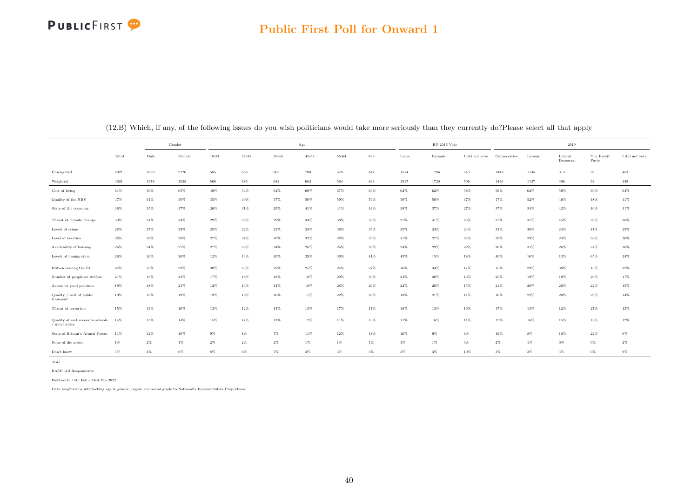# **PUBLICFIRST**

#### Public First Poll for Onward 1

|                                                      |        |        | Gender |           |           |        | Age       |           |        |        | $\mathrm{EU}$ 2016 Vote |                |              |        | $2019\,$            |                     |                |
|------------------------------------------------------|--------|--------|--------|-----------|-----------|--------|-----------|-----------|--------|--------|-------------------------|----------------|--------------|--------|---------------------|---------------------|----------------|
|                                                      | Total  | Male   | Female | $18 - 24$ | $25 - 34$ | 35-44  | $45 - 54$ | $55 - 64$ | $65+$  | Leave  | Remain                  | I did not vote | Conservative | Labour | Liberal<br>Democrat | The Brexit<br>Party | I did not vote |
| Unweighted                                           | 4021   | 1880   | 2126   | 585       | 656       | 663    | 700       | 570       | 847    | 1514   | 1706                    | $515\,$        | 1449         | 1145   | 313                 | 99                  | 453            |
| Weighted                                             | 4021   | 1978   | 2028   | 566       | 685       | 682    | 682       | 564       | 842    | 1517   | 1720                    | 506            | 1446         | 1137   | 306                 | 94                  | 449            |
| Cost of living                                       | $61\%$ | 56%    | 65%    | 49%       | 54%       | 62%    | 69%       | $67\%$    | 63%    | $62\%$ | $62\%$                  | 58%            | 59%          | 62%    | 59%                 | 66%                 | 64%            |
| Quality of the NHS                                   | 47%    | 44%    | 50%    | 35%       | 40%       | 37%    | $50\%$    | $59\%$    | 59%    | 50%    | 50%                     | 37%            | 47%          | 52%    | 46%                 | 48%                 | $41\%$         |
| State of the economy                                 | 36%    | 35%    | 37%    | 26%       | 31%       | 29%    | 41%       | 41%       | $44\%$ | 38%    | 37%                     | $27\%$         | 37%          | 34%    | 42%                 | 46%                 | $31\%$         |
| Threat of climate change                             | 33%    | 31%    | $34\%$ | $29\%$    | 28%       | 29%    | $34\%$    | 38%       | 38%    | 27%    | $41\%$                  | $25\%$         | 27%          | 37%    | 45%                 | 26%                 | $26\%$         |
| Levels of crime                                      | $28\%$ | 27%    | 29%    | 25%       | $22\%$    | $22\%$ | $28\%$    | $36\%$    | $35\%$ | $35\%$ | $24\%$                  | $24\%$         | 33%          | 26%    | $24\%$              | $47\%$              | $25\%$         |
| Level of taxation                                    | $28\%$ | 28%    | 28%    | 27%       | 27%       | 30%    | $32\%$    | $28\%$    | 25%    | 31%    | 27%                     | $24\%$         | $29\%$       | 29%    | $24\%$              | 38%                 | $26\%$         |
| Availability of housing                              | $26\%$ | $24\%$ | 27%    | $27\%$    | $26\%$    | $24\%$ | $26\%$    | 26%       | 26%    | 24%    | 29%                     | $22\%$         | $20\%$       | $31\%$ | 26%                 | 27%                 | $26\%$         |
| Levels of immigration                                | $26\%$ | 26%    | 26%    | $12\%$    | $14\%$    | 20%    | 29%       | 39%       | $41\%$ | 45%    | 15%                     | 18%            | 40%          | 16%    | 13%                 | $65\%$              | $24\%$         |
| Britain leaving the EU                               | $24\%$ | $25\%$ | $22\%$ | $20\%$    | $23\%$    | $22\%$ | 25%       | $24\%$    | 27%    | $16\%$ | $34\%$                  | $17\%$         | 15%          | 29%    | 38%                 | $18\%$              | $22\%$         |
| Number of people on welfare                          | $21\%$ | 19%    | $23\%$ | $17\%$    | $18\%$    | 19%    | $18\%$    | $20\%$    | $30\%$ | $24\%$ | $20\%$                  | 16%            | $25\%$       | 19%    | 18%                 | $26\%$              | $17\%$         |
| Access to good pensions                              | 19%    | 18%    | 21%    | 12%       | 16%       | 14%    | 18%       | $28\%$    | $26\%$ | $22\%$ | $20\%$                  | 15%            | $21\%$       | $20\%$ | 20%                 | 22%                 | 15%            |
| Quality / cost of public<br>transport                | 19%    | 18%    | 19%    | 19%       | 19%       | 16%    | 17%       | $22\%$    | $20\%$ | 18%    | 21%                     | 11%            | 16%          | $22\%$ | 20%                 | 26%                 | $14\%$         |
| Threat of terrorism                                  | 15%    | 13%    | 16%    | 13%       | 12%       | 14%    | 13%       | 17%       | 17%    | 18%    | 13%                     | 10%            | 17%          | 13%    | 12%                 | 27%                 | $13\%$         |
| Quality of and access to schools<br>$/$ universities | 14%    | 13%    | $14\%$ | 15%       | 17%       | 13%    | 12%       | $11\%$    | 13%    | $11\%$ | 16%                     | 11%            | 12%          | 16%    | 15%                 | $12\%$              | $12\%$         |
| State of Britain's Armed Forces                      | 11%    | 12%    | 10%    | $9\%$     | $8\%$     | $7\%$  | 11%       | 12%       | 18%    | 16%    | $9\%$                   | $6\%$          | 16%          | 8%     | 10%                 | 22%                 | $6\%$          |
| None of the above                                    | 1%     | $2\%$  | $1\%$  | $2\%$     | $2\%$     | $2\%$  | $1\%$     | $1\%$     | $1\%$  | $1\%$  | $1\%$                   | $3\%$          | $2\%$        | $1\%$  | $0\%$               | $0\%$               | $2\%$          |
| Don't know                                           | 5%     | $4\%$  | $6\%$  | $8\%$     | $6\%$     | $7\%$  | $3\%$     | $3\%$     | $3\%$  | $3\%$  | $3\%$                   | 10%            | $3\%$        | $3\%$  | $3\%$               | $0\%$               | $9\%$          |

(12.B) Which, if any, of the following issues do you wish politicians would take more seriously than they currently do?Please select all that apply

Note:

BASE: All Respondents

Fieldwork: 15th Feb - 23rd Feb 2022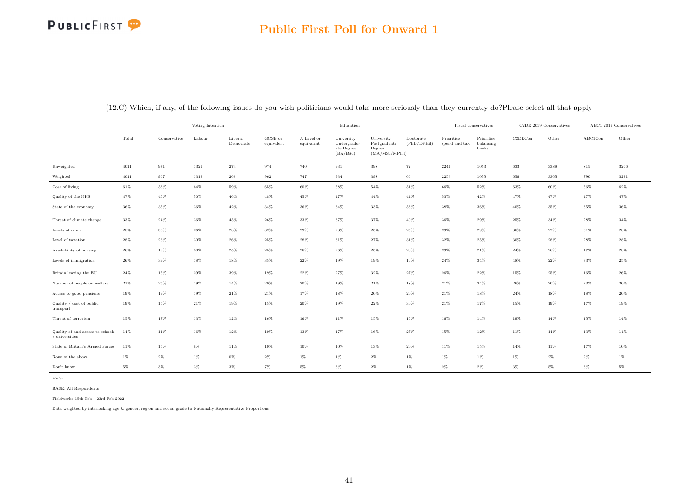# **PUBLICFIRST**

|                                                    |        | Voting Intention<br>Liberal<br>Conservative<br>Labour<br>Democrats |        |                    |                       | Education                |                                                     |                                                         |                          | Fiscal conservatives        |                                  | C2DE 2019 Conservatives |        | ABC1 2019 Conservatives |        |
|----------------------------------------------------|--------|--------------------------------------------------------------------|--------|--------------------|-----------------------|--------------------------|-----------------------------------------------------|---------------------------------------------------------|--------------------------|-----------------------------|----------------------------------|-------------------------|--------|-------------------------|--------|
|                                                    | Total  |                                                                    |        |                    | GCSE or<br>equivalent | A Level or<br>equivalent | University<br>Undergradu-<br>ate Degree<br>(BA/BSc) | University<br>Postgraduate<br>Degree<br>(MA/MSc/MPhill) | Doctorate<br>(PhD/DPHil) | Prioritise<br>spend and tax | Prioritise<br>balancing<br>books | C2DECon                 | Other  | ABC1Con                 | Other  |
| Unweighted                                         | 4021   | 971                                                                | 1321   | 274                | 974                   | 740                      | $\boldsymbol{931}$                                  | 398                                                     | 72                       | 2241                        | 1053                             | 633                     | 3388   | 815                     | 3206   |
| Weighted                                           | 4021   | 967                                                                | 1313   | $\boldsymbol{268}$ | $962\,$               | 747                      | 934                                                 | 398                                                     | $66\,$                   | 2253                        | 1055                             | 656                     | 3365   | 790                     | 3231   |
| Cost of living                                     | 61%    | $53\%$                                                             | 64%    | 59%                | 65%                   | 60%                      | $58\%$                                              | 54%                                                     | 51%                      | 66%                         | $52\%$                           | 63%                     | 60%    | 56%                     | 62%    |
| Quality of the NHS                                 | 47%    | 45%                                                                | 50%    | 46%                | 48%                   | 45%                      | 47%                                                 | 44%                                                     | 44%                      | 53%                         | 42%                              | 47%                     | 47%    | 47%                     | 47%    |
| State of the economy                               | $36\%$ | 35%                                                                | 36%    | $42\%$             | $34\%$                | $36\%$                   | $34\%$                                              | $33\%$                                                  | 53%                      | 38%                         | $36\%$                           | $40\%$                  | 35%    | 35%                     | $36\%$ |
| Threat of climate change                           | 33%    | $24\%$                                                             | 36%    | 45%                | 26%                   | 33%                      | 37%                                                 | 37%                                                     | 40%                      | 36%                         | 29%                              | 25%                     | 34%    | 28%                     | 34%    |
| Levels of crime                                    | $28\%$ | $33\%$                                                             | 26%    | 23%                | 32%                   | 29%                      | 23%                                                 | 25%                                                     | 25%                      | 29%                         | 29%                              | 36%                     | $27\%$ | 31%                     | $28\%$ |
| Level of taxation                                  | 28%    | 26%                                                                | 30%    | 26%                | 25%                   | 28%                      | 31%                                                 | 27%                                                     | 31%                      | 32%                         | 25%                              | 30%                     | 28%    | 28%                     | 28%    |
| Availability of housing                            | 26%    | 19%                                                                | 30%    | 25%                | 25%                   | 26%                      | 26%                                                 | 25%                                                     | 26%                      | 29%                         | 21%                              | 24%                     | 26%    | 17%                     | 28%    |
| Levels of immigration                              | $26\%$ | $39\%$                                                             | 18%    | 18%                | 35%                   | $22\%$                   | 19%                                                 | 19%                                                     | 16%                      | 24%                         | $34\%$                           | $48\%$                  | $22\%$ | 33%                     | $25\%$ |
| Britain leaving the EU                             | $24\%$ | 15%                                                                | 29%    | 39%                | 19%                   | $22\%$                   | $27\%$                                              | 32%                                                     | 27%                      | 26%                         | 22%                              | 15%                     | 25%    | 16%                     | 26%    |
| Number of people on welfare                        | $21\%$ | 25%                                                                | 19%    | 14%                | 20%                   | 20%                      | 19%                                                 | 21%                                                     | 18%                      | 21%                         | 24%                              | 26%                     | 20%    | 23%                     | 20%    |
| Access to good pensions                            | 19%    | 19%                                                                | 19%    | 21%                | $21\%$                | 17%                      | 18%                                                 | 20%                                                     | 20%                      | 21%                         | 18%                              | 24%                     | 18%    | 18%                     | 20%    |
| Quality / cost of public<br>transport              | 19%    | 15%                                                                | 21%    | 19%                | 15%                   | 20%                      | 19%                                                 | 22%                                                     | 30%                      | 21%                         | 17%                              | 15%                     | 19%    | 17%                     | 19%    |
| Threat of terrorism                                | 15%    | 17%                                                                | 13%    | 12%                | 16%                   | 16%                      | 11%                                                 | 15%                                                     | 15%                      | 16%                         | 14%                              | 19%                     | 14%    | 15%                     | 14%    |
| Quality of and access to schools<br>/ universities | 14%    | 11%                                                                | $16\%$ | $12\%$             | $10\%$                | 13%                      | 17%                                                 | $16\%$                                                  | $27\%$                   | 15%                         | $12\%$                           | $11\%$                  | 14%    | 13%                     | 14%    |
| State of Britain's Armed Forces                    | 11%    | 15%                                                                | $8\%$  | 11%                | 10%                   | 10%                      | 10%                                                 | 13%                                                     | 20%                      | 11%                         | 15%                              | 14%                     | 11%    | 17%                     | 10%    |
| None of the above                                  | $1\%$  | $2\%$                                                              | $1\%$  | $0\%$              | $2\%$                 | $1\%$                    | $1\%$                                               | $2\%$                                                   | $1\%$                    | $1\%$                       | 1%                               | $1\%$                   | $2\%$  | $2\%$                   | $1\%$  |
| Don't know                                         | 5%     | $3\%$                                                              | $3\%$  | $3\%$              | $7\%$                 | 5%                       | $3\%$                                               | $2\%$                                                   | $1\%$                    | $2\%$                       | $2\%$                            | $3\%$                   | $5\%$  | $3\%$                   | $5\%$  |

(12.C) Which, if any, of the following issues do you wish politicians would take more seriously than they currently do?Please select all that apply

Note:

BASE: All Respondents

Fieldwork: 15th Feb - 23rd Feb 2022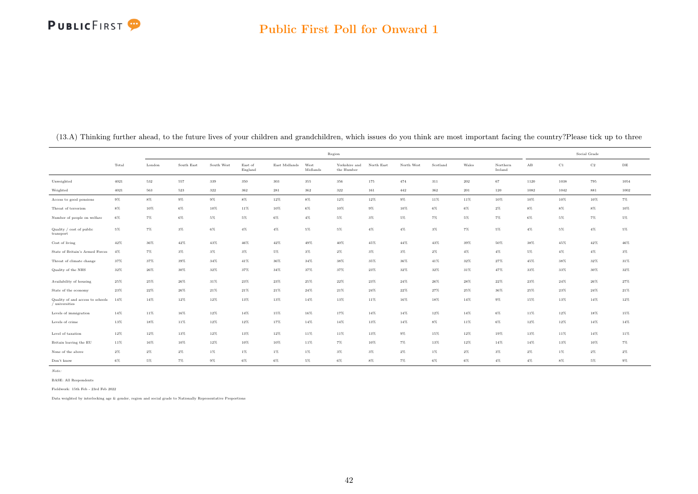#### Public First Poll for Onward 1

|                                                    |        |         |            |            |                    |               | Region           |                             |            |            |          |       |                     |                      | Social Grade |             |        |
|----------------------------------------------------|--------|---------|------------|------------|--------------------|---------------|------------------|-----------------------------|------------|------------|----------|-------|---------------------|----------------------|--------------|-------------|--------|
|                                                    | Total  | London  | South East | South West | East of<br>England | East Midlands | West<br>Midlands | Yorkshire and<br>the Humber | North East | North West | Scotland | Wales | Northern<br>Ireland | $\mathbf A\mathbf B$ | C1           | $_{\rm C2}$ | DE     |
| Unweighted                                         | 4021   | $532\,$ | 557        | 339        | 350                | 303           | 355              | 356                         | 175        | 474        | 311      | 202   | $67\,$              | 1120                 | 1038         | 795         | 1054   |
| Weighted                                           | 4021   | 563     | 523        | 322        | 362                | 281           | $362\,$          | 322                         | 161        | 442        | 362      | 201   | 120                 | 1082                 | 1042         | 881         | 1002   |
| Access to good pensions                            | $9\%$  | $8\%$   | $9\%$      | $9\%$      | $8\%$              | 12%           | $8\%$            | 12%                         | 12%        | $9\%$      | 11%      | 11%   | 10%                 | 10%                  | 10%          | 10%         | $7\%$  |
| Threat of terrorism                                | $8\%$  | 10%     | $6\%$      | 10%        | 11%                | 10%           | $6\%$            | 10%                         | $9\%$      | 10%        | 6%       | $6\%$ | 2%                  | 8%                   | $8\%$        | $8\%$       | $10\%$ |
| Number of people on welfare                        | $6\%$  | $7\%$   | $6\%$      | $5\%$      | $5\%$              | $6\%$         | $4\%$            | $5\%$                       | $3\%$      | $5\%$      | $7\%$    | $5\%$ | 7%                  | 6%                   | $5\%$        | $7\%$       | $5\%$  |
| Quality / cost of public<br>transport              | $5\%$  | $7\%$   | $3\%$      | $6\%$      | $4\%$              | 4%            | $5\%$            | $5\%$                       | $4\%$      | $4\%$      | $3\%$    | $7\%$ | $5\%$               | 4%                   | $5\%$        | $4\%$       | $5\%$  |
| Cost of living                                     | 42%    | 36%     | 42%        | 43%        | 46%                | 42%           | 49%              | $40\%$                      | 45%        | 44%        | 43%      | 39%   | 50%                 | 38%                  | 45%          | 42%         | 46%    |
| State of Britain's Armed Forces                    | $4\%$  | 7%      | $3\%$      | $3\%$      | $3\%$              | $5\%$         | $3\%$            | $2\%$                       | $3\%$      | $3\%$      | $2\%$    | $4\%$ | $4\%$               | $5\%$                | $4\%$        | $4\%$       | $3\%$  |
| Threat of climate change                           | 37%    | 37%     | 39%        | $34\%$     | 41%                | 36%           | $34\%$           | 38%                         | 35%        | 36%        | 41%      | 32%   | 27%                 | 45%                  | 38%          | 32%         | 31%    |
| Quality of the NHS                                 | 32%    | 26%     | 30%        | 32%        | 37%                | 34%           | 37%              | 37%                         | 23%        | 32%        | 32%      | 31%   | 47%                 | 33%                  | 33%          | 30%         | $32\%$ |
| Availability of housing                            | 25%    | $25\%$  | $26\%$     | $31\%$     | $23\%$             | $23\%$        | 25%              | $22\%$                      | $23\%$     | 24%        | $26\%$   | 28%   | $22\%$              | 23%                  | 24%          | $26\%$      | $27\%$ |
| State of the economy                               | 23%    | $22\%$  | 26%        | $21\%$     | $21\%$             | $21\%$        | 24%              | 21%                         | $24\%$     | 22%        | 27%      | 25%   | 36%                 | 25%                  | 23%          | 24%         | $21\%$ |
| Quality of and access to schools<br>/ universities | 14%    | 14%     | 12%        | 12%        | 13%                | 13%           | 14%              | 13%                         | 11%        | 16%        | 18%      | 14%   | 9%                  | 15%                  | 13%          | 14%         | $12\%$ |
| Levels of immigration                              | $14\%$ | 11%     | 16%        | $12\%$     | $14\%$             | 15%           | 16%              | 17%                         | 14%        | 14%        | 12%      | 14%   | 6%                  | 11%                  | 12%          | 18%         | $15\%$ |
| Levels of crime                                    | 13%    | 18%     | 11%        | $12\%$     | $12\%$             | 17%           | $14\%$           | 14%                         | $13\%$     | $14\%$     | $8\%$    | 11%   | $6\%$               | $12\%$               | 12%          | $14\%$      | $14\%$ |
| Level of taxation                                  | 12%    | 12%     | 13%        | 12%        | 13%                | 12%           | 11%              | 11%                         | 13%        | $9\%$      | 15%      | 12%   | 19%                 | 13%                  | 11%          | $14\%$      | 11%    |
| Britain leaving the EU                             | 11%    | 16%     | 10%        | 12%        | 10%                | 10%           | 11%              | $7\%$                       | 10%        | 7%         | 13%      | 12%   | 14%                 | 14%                  | 13%          | 10%         | $7\%$  |
| None of the above                                  | $2\%$  | $2\%$   | $2\%$      | $1\%$      | $1\%$              | $1\%$         | $1\%$            | $3\%$                       | $3\%$      | $2\%$      | $1\%$    | $2\%$ | 3%                  | 2%                   | $1\%$        | $2\%$       | $2\%$  |
| Don't know                                         | $6\%$  | 5%      | $7\%$      | $9\%$      | $6\%$              | $6\%$         | $5\%$            | $6\%$                       | $8\%$      | $7\%$      | $6\%$    | $6\%$ | $4\%$               | $4\%$                | $8\%$        | $5\%$       | $9\%$  |

(13.A) Thinking further ahead, to the future lives of your children and grandchildren, which issues do you think are most important facing the country?Please tick up to three

Note:

BASE: All Respondents Fieldwork: 15th Feb - 23rd Feb 2022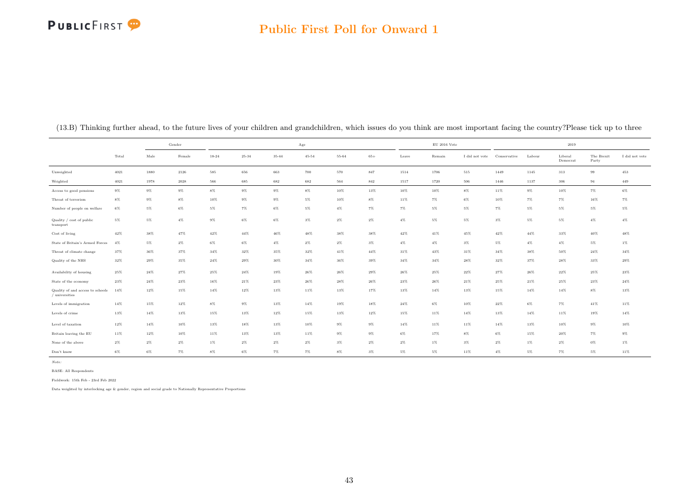# **PUBLICFIRST**

#### Public First Poll for Onward 1

|                                                    | Gender<br>Total<br>Male<br>Female<br>4021<br>1880<br>2126<br>4021<br>1978<br>$2028\,$<br>$9\%$<br>$9\%$<br>$9\%$<br>$8\%$<br>$8\%$<br>$9\%$<br>$6\%$<br>$5\%$<br>$6\%$<br>$5\%$<br>$4\%$<br>$5\%$<br>47%<br>42%<br>38%<br>$2\%$<br>4%<br>$5\%$<br>37%<br>36%<br>37%<br>35%<br>32%<br>29%<br>$25\%$<br>$24\%$<br>27%<br>$23\%$<br>$24\%$<br>23%<br>12%<br>15%<br>14% |        |        |        |           |           | Age       |        |        |        | $\mathrm{EU}$ 2016 Vote |                |              |        | 2019                |                     |                |
|----------------------------------------------------|---------------------------------------------------------------------------------------------------------------------------------------------------------------------------------------------------------------------------------------------------------------------------------------------------------------------------------------------------------------------|--------|--------|--------|-----------|-----------|-----------|--------|--------|--------|-------------------------|----------------|--------------|--------|---------------------|---------------------|----------------|
|                                                    |                                                                                                                                                                                                                                                                                                                                                                     |        |        | 18-24  | $25 - 34$ | $35 - 44$ | $45 - 54$ | 55-64  | $65+$  | Leave  | Remain                  | I did not vote | Conservative | Labour | Liberal<br>Democrat | The Brexit<br>Party | I did not vote |
| Unweighted                                         |                                                                                                                                                                                                                                                                                                                                                                     |        |        | 585    | 656       | 663       | 700       | 570    | 847    | 1514   | 1706                    | 515            | 1449         | 1145   | 313                 | 99                  | 453            |
| Weighted                                           |                                                                                                                                                                                                                                                                                                                                                                     |        |        | 566    | 685       | 682       | 682       | 564    | 842    | 1517   | 1720                    | 506            | 1446         | 1137   | 306                 | 94                  | 449            |
| Access to good pensions                            |                                                                                                                                                                                                                                                                                                                                                                     |        |        | $8\%$  | $9\%$     | $9\%$     | $8\%$     | $10\%$ | 13%    | $10\%$ | 10%                     | $8\%$          | 11%          | $9\%$  | 10%                 | $7\%$               | $6\%$          |
| Threat of terrorism                                |                                                                                                                                                                                                                                                                                                                                                                     |        |        | $10\%$ | $9\%$     | $9\%$     | $5\%$     | $10\%$ | $8\%$  | $11\%$ | $7\%$                   | $6\%$          | 10%          | $7\%$  | $7\%$               | 16%                 | $7\%$          |
| Number of people on welfare                        |                                                                                                                                                                                                                                                                                                                                                                     |        |        | $5\%$  | $7\%$     | $6\%$     | $5\%$     | $4\%$  | 7%     | $7\%$  | $5\%$                   | $5\%$          | $7\%$        | $5\%$  | $5\%$               | $5\%$               | $5\%$          |
| Quality / cost of public<br>transport              |                                                                                                                                                                                                                                                                                                                                                                     |        |        | $9\%$  | $6\%$     | $6\%$     | $3\%$     | $2\%$  | $2\%$  | $4\%$  | $5\%$                   | $5\%$          | $3\%$        | $5\%$  | $5\%$               | $4\%$               | $4\%$          |
| Cost of living                                     |                                                                                                                                                                                                                                                                                                                                                                     |        |        | 42%    | $44\%$    | $46\%$    | 48%       | 38%    | 38%    | $42\%$ | 41%                     | 45%            | 42%          | 44%    | 33%                 | $40\%$              | 48%            |
| State of Britain's Armed Forces                    |                                                                                                                                                                                                                                                                                                                                                                     |        |        | $6\%$  | $6\%$     | $4\%$     | $2\%$     | $2\%$  | $3\%$  | $4\%$  | $4\%$                   | $3\%$          | $5\%$        | $4\%$  | $4\%$               | $5\%$               | $1\%$          |
| Threat of climate change                           |                                                                                                                                                                                                                                                                                                                                                                     |        |        | 34%    | 32%       | 35%       | 32%       | 41%    | $44\%$ | 31%    | 43%                     | 31%            | 34%          | 38%    | 50%                 | 24%                 | 34%            |
| Quality of the NHS                                 |                                                                                                                                                                                                                                                                                                                                                                     |        |        | 24%    | 29%       | $30\%$    | $34\%$    | 36%    | 39%    | $34\%$ | $34\%$                  | 28%            | 32%          | 37%    | 28%                 | 33%                 | $29\%$         |
| Availability of housing                            |                                                                                                                                                                                                                                                                                                                                                                     |        |        | 25%    | $24\%$    | 19%       | $26\%$    | 26%    | $29\%$ | $26\%$ | $25\%$                  | $22\%$         | 27%          | 26%    | 22%                 | 25%                 | $23\%$         |
| State of the economy                               |                                                                                                                                                                                                                                                                                                                                                                     |        |        | 16%    | 21%       | 23%       | $26\%$    | 28%    | 26%    | $23\%$ | $26\%$                  | 21%            | 25%          | 21%    | 25%                 | 23%                 | $24\%$         |
| Quality of and access to schools<br>/ universities |                                                                                                                                                                                                                                                                                                                                                                     |        |        | 14%    | 12%       | 13%       | 11%       | 13%    | 17%    | 13%    | 14%                     | 13%            | 15%          | $14\%$ | 14%                 | $8\%$               | 13%            |
| Levels of immigration                              | $14\%$                                                                                                                                                                                                                                                                                                                                                              | $15\%$ | $12\%$ | $8\%$  | $9\%$     | $13\%$    | $14\%$    | 19%    | 18%    | $24\%$ | 6%                      | 10%            | $22\%$       | $6\%$  | $7\%$               | $41\%$              | $11\%$         |
| Levels of crime                                    | 13%                                                                                                                                                                                                                                                                                                                                                                 | $14\%$ | 13%    | $15\%$ | 13%       | $12\%$    | 15%       | 13%    | $12\%$ | $15\%$ | 11%                     | 14%            | 13%          | $14\%$ | 11%                 | 19%                 | $14\%$         |
| Level of taxation                                  | $12\%$                                                                                                                                                                                                                                                                                                                                                              | $14\%$ | $10\%$ | 13%    | $18\%$    | $13\%$    | $10\%$    | $9\%$  | $9\%$  | $14\%$ | 11%                     | $11\%$         | 14%          | 13%    | $10\%$              | $9\%$               | $10\%$         |
| Britain leaving the EU                             | $11\%$                                                                                                                                                                                                                                                                                                                                                              | 12%    | 10%    | 11%    | 13%       | 13%       | 11%       | $9\%$  | $9\%$  | $6\%$  | 17%                     | $8\%$          | $6\%$        | 15%    | 20%                 | $7\%$               | $9\%$          |
| None of the above                                  | $2\%$                                                                                                                                                                                                                                                                                                                                                               | $2\%$  | $2\%$  | $1\%$  | $2\%$     | $2\%$     | $2\%$     | $3\%$  | $2\%$  | $2\%$  | $1\%$                   | $3\%$          | $2\%$        | $1\%$  | 2%                  | $0\%$               | $1\%$          |
| Don't know                                         | 6%                                                                                                                                                                                                                                                                                                                                                                  | $6\%$  | $7\%$  | $8\%$  | $6\%$     | $7\%$     | 7%        | $8\%$  | $3\%$  | $5\%$  | $5\%$                   | 11%            | $4\%$        | $5\%$  | $7\%$               | $5\%$               | 11%            |

(13.B) Thinking further ahead, to the future lives of your children and grandchildren, which issues do you think are most important facing the country?Please tick up to three

Note:

BASE: All Respondents

Fieldwork: 15th Feb - 23rd Feb 2022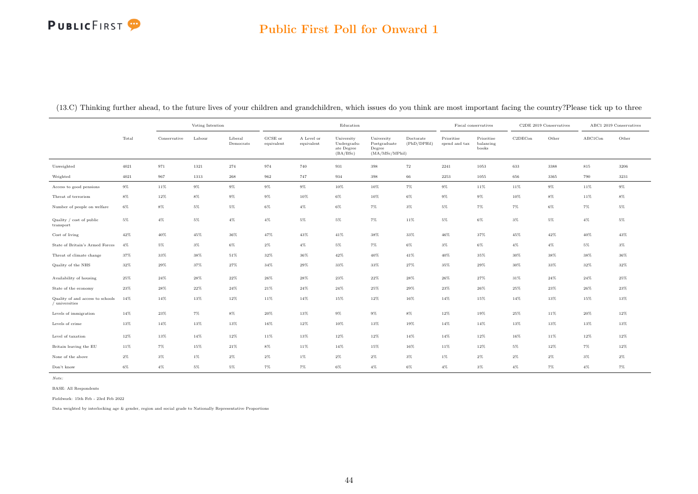# **PUBLICFIRST**

### Public First Poll for Onward 1

(13.C) Thinking further ahead, to the future lives of your children and grandchildren, which issues do you think are most important facing the country?Please tick up to three

|                                                    |       | Voting Intention<br>Conservative<br>Labour<br>Liberal |        |           |                       | Education                |                                                     |                                                         |                          | Fiscal conservatives        |                                  | C2DE 2019 Conservatives |       | ABC1 2019 Conservatives |        |
|----------------------------------------------------|-------|-------------------------------------------------------|--------|-----------|-----------------------|--------------------------|-----------------------------------------------------|---------------------------------------------------------|--------------------------|-----------------------------|----------------------------------|-------------------------|-------|-------------------------|--------|
|                                                    | Total |                                                       |        | Democrats | GCSE or<br>equivalent | A Level or<br>equivalent | University<br>Undergradu-<br>ate Degree<br>(BA/BSc) | University<br>Postgraduate<br>Degree<br>(MA/MSc/MPhill) | Doctorate<br>(PhD/DPHil) | Prioritise<br>spend and tax | Prioritise<br>balancing<br>books | C2DECon                 | Other | ABC1Con                 | Other  |
| Unweighted                                         | 4021  | 971                                                   | 1321   | 274       | 974                   | 740                      | 931                                                 | $398\,$                                                 | $\scriptstyle{72}$       | 2241                        | 1053                             | 633                     | 3388  | $815\,$                 | 3206   |
| Weighted                                           | 4021  | 967                                                   | 1313   | 268       | 962                   | 747                      | 934                                                 | 398                                                     | $66\,$                   | 2253                        | 1055                             | 656                     | 3365  | 790                     | 3231   |
| Access to good pensions                            | $9\%$ | 11%                                                   | $9\%$  | $9\%$     | $9\%$                 | $9\%$                    | $10\%$                                              | $10\%$                                                  | $7\%$                    | $9\%$                       | 11%                              | 11%                     | $9\%$ | 11%                     | $9\%$  |
| Threat of terrorism                                | $8\%$ | $12\%$                                                | 8%     | $9\%$     | $9\%$                 | 10%                      | $6\%$                                               | 10%                                                     | 6%                       | 9%                          | $9\%$                            | 10%                     | $8\%$ | 11%                     | 8%     |
| Number of people on welfare                        | $6\%$ | $8\%$                                                 | $5\%$  | $5\%$     | $6\%$                 | $4\%$                    | $6\%$                                               | $7\%$                                                   | $3\%$                    | $5\%$                       | $7\%$                            | $7\%$                   | $6\%$ | $7\%$                   | $5\%$  |
| Quality / cost of public<br>transport              | $5\%$ | $4\%$                                                 | $5\%$  | $4\%$     | $4\%$                 | $5\%$                    | $5\%$                                               | $7\%$                                                   | 11%                      | $5\%$                       | $6\%$                            | $3\%$                   | $5\%$ | $4\%$                   | $5\%$  |
| Cost of living                                     | 42%   | 40%                                                   | 45%    | 36%       | 47%                   | 43%                      | 41%                                                 | 38%                                                     | 33%                      | 46%                         | 37%                              | 45%                     | 42%   | 40%                     | 43%    |
| State of Britain's Armed Forces                    | $4\%$ | $5\%$                                                 | $3\%$  | $6\%$     | $2\%$                 | $4\%$                    | $5\%$                                               | $7\%$                                                   | $6\%$                    | $3\%$                       | $6\%$                            | $4\%$                   | $4\%$ | 5%                      | $3\%$  |
| Threat of climate change                           | 37%   | 33%                                                   | 38%    | 51%       | 32%                   | 36%                      | $42\%$                                              | $40\%$                                                  | 41%                      | 40%                         | 35%                              | $30\%$                  | 38%   | 38%                     | 36%    |
| Quality of the NHS                                 | 32%   | 29%                                                   | 37%    | 27%       | 34%                   | 29%                      | 33%                                                 | 33%                                                     | 27%                      | 35%                         | 29%                              | 30%                     | 33%   | 32%                     | 32%    |
| Availability of housing                            | 25%   | 24%                                                   | 28%    | 22%       | $26\%$                | 28%                      | 23%                                                 | 22%                                                     | 28%                      | 26%                         | 27%                              | 31%                     | 24%   | 24%                     | 25%    |
| State of the economy                               | 23%   | 28%                                                   | $22\%$ | 24%       | $21\%$                | 24%                      | 24%                                                 | $25\%$                                                  | 29%                      | 23%                         | 26%                              | 25%                     | 23%   | 26%                     | $23\%$ |
| Quality of and access to schools<br>/ universities | 14%   | 14%                                                   | 13%    | 12%       | 11%                   | 14%                      | 15%                                                 | $12\%$                                                  | 16%                      | 14%                         | 15%                              | 14%                     | 13%   | 15%                     | $13\%$ |
| Levels of immigration                              | 14%   | $23\%$                                                | $7\%$  | $8\%$     | 20%                   | 13%                      | $9\%$                                               | $9\%$                                                   | $8\%$                    | 12%                         | 19%                              | $25\%$                  | 11%   | 20%                     | $12\%$ |
| Levels of crime                                    | 13%   | 14%                                                   | 13%    | 13%       | $16\%$                | 12%                      | $10\%$                                              | 13%                                                     | 19%                      | 14%                         | 14%                              | 13%                     | 13%   | 13%                     | 13%    |
| Level of taxation                                  | 12%   | 13%                                                   | 14%    | 12%       | 11%                   | 13%                      | 12%                                                 | 12%                                                     | 14%                      | 14%                         | 12%                              | 16%                     | 11%   | 12%                     | 12%    |
| Britain leaving the EU                             | 11%   | $7\%$                                                 | 15%    | 21%       | $8\%$                 | 11%                      | 14%                                                 | 15%                                                     | 16%                      | 11%                         | 12%                              | $5\%$                   | 12%   | 7%                      | 12%    |
| None of the above                                  | $2\%$ | $3\%$                                                 | $1\%$  | $2\%$     | $2\%$                 | $1\%$                    | $2\%$                                               | $2\%$                                                   | $3\%$                    | $1\%$                       | $2\%$                            | $2\%$                   | $2\%$ | $3\%$                   | $2\%$  |
| Don't know                                         | $6\%$ | $4\%$                                                 | $5\%$  | $5\%$     | $7\%$                 | $7\%$                    | $6\%$                                               | $4\%$                                                   | $6\%$                    | $4\%$                       | $3\%$                            | $4\%$                   | $7\%$ | $4\%$                   | 7%     |

Note:

BASE: All Respondents

Fieldwork: 15th Feb - 23rd Feb 2022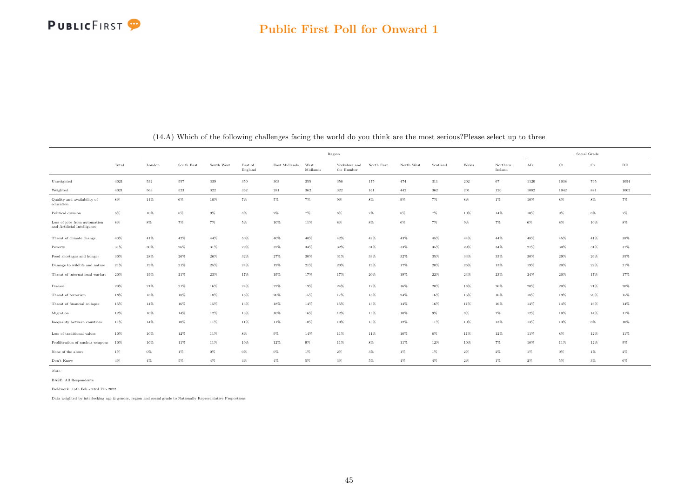|                                                             |        |        |            |            |                    |               | Region           |                             |            |            |          |        |                     |                         | Social Grade |             |           |
|-------------------------------------------------------------|--------|--------|------------|------------|--------------------|---------------|------------------|-----------------------------|------------|------------|----------|--------|---------------------|-------------------------|--------------|-------------|-----------|
|                                                             | Total  | London | South East | South West | East of<br>England | East Midlands | West<br>Midlands | Yorkshire and<br>the Humber | North East | North West | Scotland | Wales  | Northern<br>Ireland | $\mathbf A\, \mathbf B$ | C1           | $_{\rm C2}$ | $\rm{DE}$ |
| Unweighted                                                  | 4021   | 532    | 557        | 339        | 350                | 303           | 355              | 356                         | 175        | 474        | 311      | 202    | 67                  | 1120                    | 1038         | 795         | 1054      |
| Weighted                                                    | 4021   | 563    | 523        | 322        | 362                | 281           | 362              | $322\,$                     | 161        | 442        | 362      | 201    | 120                 | 1082                    | 1042         | 881         | 1002      |
| Quality and availability of<br>education                    | $8\%$  | 14%    | $6\%$      | 10%        | $7\%$              | 5%            | 7%               | $9\%$                       | $8\%$      | $9\%$      | $7\%$    | 8%     | $1\%$               | 10%                     | 8%           | $8\%$       | $7\%$     |
| Political division                                          | $8\%$  | 10%    | $8\%$      | $9\%$      | $8\%$              | $9\%$         | $7\%$            | $8\%$                       | $7\%$      | $8\%$      | $7\%$    | 10%    | $14\%$              | 10%                     | $9\%$        | $8\%$       | $7\%$     |
| Loss of jobs from automation<br>and Artificial Intelligence | $8\%$  | $8\%$  | $7\%$      | $7\%$      | $5\%$              | 10%           | 11%              | $8\%$                       | $8\%$      | $6\%$      | $7\%$    | $9\%$  | $7\%$               | $6\%$                   | $8\%$        | 10%         | $8\%$     |
| Threat of climate change                                    | 43%    | 41%    | 42%        | 44%        | $50\%$             | 40%           | 40%              | 42%                         | 42%        | 43%        | 45%      | 44%    | $44\%$              | 48%                     | 45%          | 41%         | 38%       |
| Poverty                                                     | 31%    | 30%    | 26%        | 31%        | 29%                | 32%           | 34%              | 32%                         | 31%        | 33%        | 35%      | 29%    | 34%                 | 27%                     | 30%          | 31%         | 37%       |
| Food shortages and hunger                                   | 30%    | 28%    | 26%        | 26%        | 32%                | 27%           | 30%              | 31%                         | 33%        | 32%        | 35%      | 33%    | 33%                 | 30%                     | 29%          | 26%         | 35%       |
| Damage to wildlife and nature                               | 21%    | 19%    | 21%        | 25%        | $24\%$             | 19%           | 21%              | 20%                         | 19%        | 17%        | 20%      | 26%    | 13%                 | 19%                     | 20%          | 22%         | $21\%$    |
| Threat of international warfare                             | 20%    | 19%    | $21\%$     | $23\%$     | $17\%$             | 19%           | 17%              | 17%                         | $20\%$     | 19%        | 22%      | $23\%$ | $23\%$              | $24\%$                  | 20%          | 17%         | $17\%$    |
| <b>Disease</b>                                              | 20%    | 21%    | 21%        | $16\%$     | $24\%$             | 22%           | 19%              | 24%                         | 12%        | 16%        | 20%      | 18%    | 26%                 | 20%                     | 20%          | 21%         | 20%       |
| Threat of terrorism                                         | 18%    | 18%    | 18%        | 18%        | 18%                | 20%           | 15%              | 17%                         | 18%        | $24\%$     | 16%      | 16%    | 16%                 | 18%                     | 19%          | 20%         | 15%       |
| Threat of financial collapse                                | 15%    | 14%    | 16%        | 15%        | 13%                | 18%           | 14%              | 15%                         | 13%        | $14\%$     | 16%      | 11%    | 16%                 | 14%                     | 14%          | 16%         | 14%       |
| Migration                                                   | $12\%$ | $10\%$ | $14\%$     | 12%        | $13\%$             | 10%           | 16%              | 12%                         | 13%        | 10%        | $9\%$    | $9\%$  | 7%                  | 12%                     | 10%          | 14%         | $11\%$    |
| Inequality between countries                                | 11%    | 14%    | $10\%$     | $11\%$     | 11%                | 11%           | $10\%$           | 10%                         | 13%        | 12%        | 11%      | 10%    | 13%                 | 13%                     | 13%          | $8\%$       | $10\%$    |
| Loss of traditional values                                  | 10%    | 10%    | 12%        | 11%        | $8\%$              | $9\%$         | 14%              | 11%                         | 11%        | 10%        | $8\%$    | 11%    | 12%                 | 11%                     | $8\%$        | 12%         | $11\%$    |
| Proliferation of nuclear weapons                            | 10%    | 10%    | 11%        | 11%        | 10%                | 12%           | $9\%$            | 11%                         | $8\%$      | 11%        | 12%      | 10%    | 7%                  | 10%                     | 11%          | 12%         | $9\%$     |
| None of the above                                           | $1\%$  | $0\%$  | $1\%$      | $0\%$      | $0\%$              | $0\%$         | 1%               | $2\%$                       | $3\%$      | $1\%$      | 1%       | $2\%$  | $2\%$               | 1%                      | $0\%$        | $1\%$       | $2\%$     |
| Don't Know                                                  | $4\%$  | $4\%$  | 5%         | $4\%$      | $4\%$              | $4\%$         | 5%               | $3\%$                       | $5\%$      | $4\%$      | $4\%$    | $2\%$  | $1\%$               | $2\%$                   | 5%           | $3\%$       | $6\%$     |

(14.A) Which of the following challenges facing the world do you think are the most serious?Please select up to three

Note:

BASE: All Respondents Fieldwork: 15th Feb - 23rd Feb 2022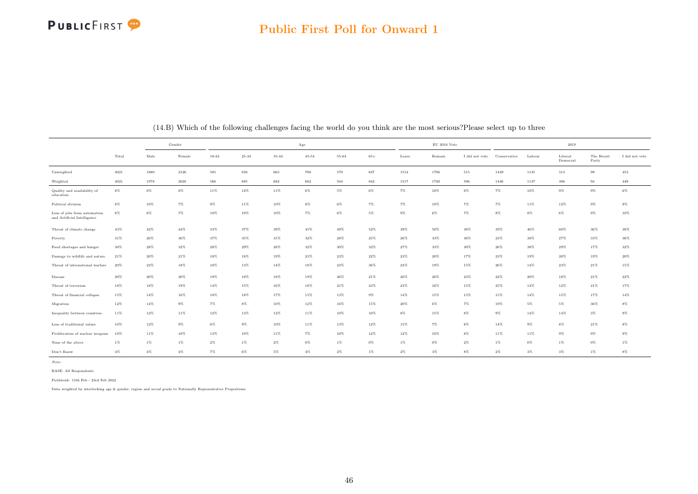

#### Public First Poll for Onward 1

|                                                             |        |        | Gender   |       |           |           | Age       |       |        |        | $\mathrm{EU}$ 2016 Vote |                |              |        | 2019                |                     |                |
|-------------------------------------------------------------|--------|--------|----------|-------|-----------|-----------|-----------|-------|--------|--------|-------------------------|----------------|--------------|--------|---------------------|---------------------|----------------|
|                                                             | Total  | Male   | Female   | 18-24 | $25 - 34$ | $35 - 44$ | $45 - 54$ | 55-64 | $65+$  | Leave  | Remain                  | I did not vote | Conservative | Labour | Liberal<br>Democrat | The Brexit<br>Party | I did not vote |
| Unweighted                                                  | 4021   | 1880   | 2126     | 585   | 656       | 663       | 700       | 570   | 847    | 1514   | 1706                    | $515\,$        | 1449         | 1145   | 313                 | 99                  | 453            |
| Weighted                                                    | 4021   | 1978   | $2028\,$ | 566   | 685       | 682       | 682       | 564   | 842    | 1517   | 1720                    | 506            | 1446         | 1137   | 306                 | 94                  | 449            |
| Quality and availability of<br>education                    | $8\%$  | $8\%$  | $8\%$    | 11%   | 12%       | $11\%$    | $6\%$     | $5\%$ | $6\%$  | 7%     | 10%                     | $8\%$          | $7\%$        | 10%    | $9\%$               | $9\%$               | $6\%$          |
| Political division                                          | $8\%$  | 10%    | $7\%$    | 9%    | 11%       | 10%       | $8\%$     | $6\%$ | $7\%$  | $7\%$  | 10%                     | 7%             | 7%           | 11%    | 12%                 | $9\%$               | $9\%$          |
| Loss of jobs from automation<br>and Artificial Intelligence | $8\%$  | 8%     | $7\%$    | 10%   | $10\%$    | $10\%$    | 7%        | $6\%$ | $5\%$  | $9\%$  | $6\%$                   | $7\%$          | $8\%$        | $8\%$  | $6\%$               | $9\%$               | $10\%$         |
| Threat of climate change                                    | 43%    | 42%    | 44%      | 33%   | 37%       | 39%       | 45%       | 49%   | 52%    | 39%    | 50%                     | 38%            | 39%          | 46%    | 60%                 | 36%                 | 38%            |
| Poverty                                                     | 31%    | 26%    | 36%      | 37%   | 35%       | 31%       | 32%       | 28%   | 25%    | 26%    | 33%                     | 36%            | 23%          | 38%    | 27%                 | 33%                 | 36%            |
| Food shortages and hunger                                   | 30%    | 28%    | 32%      | 28%   | 29%       | 28%       | 32%       | 30%   | 32%    | 27%    | 33%                     | 30%            | 26%          | 38%    | 29%                 | 17%                 | 32%            |
| Damage to wildlife and nature                               | 21%    | 20%    | $21\%$   | 18%   | 18%       | 19%       | 23%       | 23%   | $22\%$ | 23%    | 20%                     | 17%            | 23%          | 19%    | 20%                 | 19%                 | 20%            |
| Threat of international warfare                             | 20%    | 22%    | 18%      | 10%   | 13%       | 14%       | 18%       | 23%   | 36%    | 24%    | 19%                     | 15%            | $26\%$       | 14%    | 23%                 | 21%                 | 15%            |
| Disease                                                     | $20\%$ | 20%    | 20%      | 19%   | 18%       | 18%       | 19%       | 26%   | 21%    | 20%    | 20%                     | 23%            | 22%          | 20%    | 18%                 | 21%                 | 22%            |
| Threat of terrorism                                         | 18%    | 18%    | 19%      | 14%   | 15%       | 16%       | 18%       | 21%   | 23%    | 23%    | 16%                     | 15%            | 25%          | 14%    | 12%                 | 21%                 | 17%            |
| Threat of financial collapse                                | 15%    | 14%    | 16%      | 18%   | 18%       | 17%       | 15%       | 13%   | $9\%$  | $14\%$ | 15%                     | 15%            | 15%          | 14%    | 15%                 | 17%                 | 14%            |
| Migration                                                   | $12\%$ | $14\%$ | $9\%$    | $7\%$ | $8\%$     | $10\%$    | $12\%$    | 16%   | 15%    | 20%    | $6\%$                   | 7%             | 19%          | $5\%$  | 5%                  | 36%                 | $8\%$          |
| Inequality between countries                                | 11%    | 12%    | 11%      | 12%   | 13%       | 12%       | 11%       | 10%   | 10%    | $8\%$  | 15%                     | $8\%$          | $9\%$        | 14%    | $14\%$              | $3\%$               | $9\%$          |
| Loss of traditional values                                  | 10%    | 12%    | $9\%$    | $8\%$ | $9\%$     | 10%       | 11%       | 13%   | 12%    | 15%    | $7\%$                   | $8\%$          | 14%          | $9\%$  | $8\%$               | 21%                 | $8\%$          |
| Proliferation of nuclear weapons                            | 10%    | 11%    | 10%      | 13%   | 10%       | 11%       | 7%        | 10%   | 12%    | 12%    | 10%                     | $8\%$          | 11%          | 11%    | $9\%$               | $9\%$               | $9\%$          |
| None of the above                                           | $1\%$  | 1%     | $1\%$    | $2\%$ | $1\%$     | $2\%$     | $0\%$     | $1\%$ | $0\%$  | $1\%$  | 0%                      | $2\%$          | $1\%$        | $0\%$  | $1\%$               | $0\%$               | $1\%$          |
| Don't Know                                                  | $4\%$  | $4\%$  | $4\%$    | $7\%$ | $6\%$     | $5\%$     | $4\%$     | $2\%$ | $1\%$  | $2\%$  | $3\%$                   | $8\%$          | $2\%$        | $3\%$  | $3\%$               | $1\%$               | $8\%$          |

(14.B) Which of the following challenges facing the world do you think are the most serious?Please select up to three

Note:

BASE: All Respondents

Fieldwork: 15th Feb - 23rd Feb 2022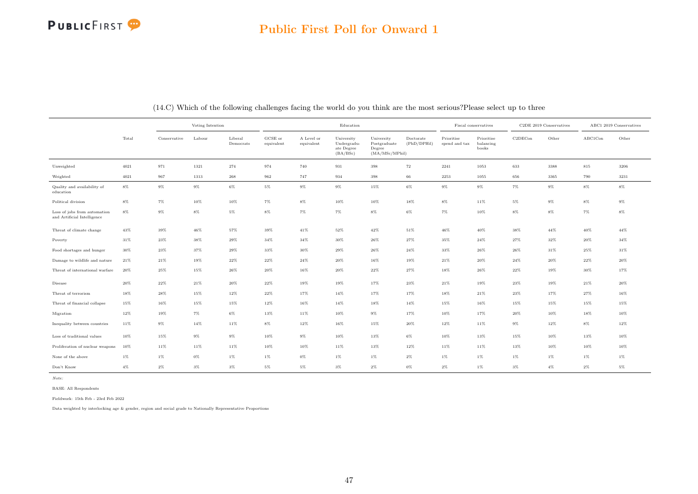|                                                             |        | Voting Intention<br>Conservative<br>Labour<br>Liberal<br>Democrats |       |        |                       |                          | Education                                           |                                                         |                          |                             | Fiscal conservatives             |         | C2DE 2019 Conservatives |         | ABC1 2019 Conservatives |
|-------------------------------------------------------------|--------|--------------------------------------------------------------------|-------|--------|-----------------------|--------------------------|-----------------------------------------------------|---------------------------------------------------------|--------------------------|-----------------------------|----------------------------------|---------|-------------------------|---------|-------------------------|
|                                                             | Total  |                                                                    |       |        | GCSE or<br>equivalent | A Level or<br>equivalent | University<br>Undergradu-<br>ate Degree<br>(BA/BSc) | University<br>Postgraduate<br>Degree<br>(MA/MSc/MPhill) | Doctorate<br>(PhD/DPHil) | Prioritise<br>spend and tax | Prioritise<br>balancing<br>books | C2DECon | Other                   | ABC1Con | Other                   |
| Unweighted                                                  | 4021   | 971                                                                | 1321  | 274    | 974                   | 740                      | 931                                                 | 398                                                     | 72                       | 2241                        | 1053                             | 633     | 3388                    | 815     | 3206                    |
| Weighted                                                    | 4021   | 967                                                                | 1313  | 268    | 962                   | 747                      | 934                                                 | 398                                                     | 66                       | 2253                        | 1055                             | 656     | 3365                    | 790     | 3231                    |
| Quality and availability of<br>education                    | $8\%$  | $9\%$                                                              | $9\%$ | $6\%$  | $5\%$                 | $9\%$                    | $9\%$                                               | 15%                                                     | $6\%$                    | $9\%$                       | $9\%$                            | $7\%$   | $9\%$                   | 8%      | $8\%$                   |
| Political division                                          | $8\%$  | $7\%$                                                              | 10%   | 10%    | $7\%$                 | $8\%$                    | 10%                                                 | 10%                                                     | 18%                      | $8\%$                       | 11%                              | $5\%$   | $9\%$                   | 8%      | $9\%$                   |
| Loss of jobs from automation<br>and Artificial Intelligence | $8\%$  | $9\%$                                                              | $8\%$ | 5%     | $8\%$                 | $7\%$                    | $7\%$                                               | $8\%$                                                   | $6\%$                    | 7%                          | 10%                              | $8\%$   | $8\%$                   | 7%      | 8%                      |
| Threat of climate change                                    | 43%    | 39%                                                                | 46%   | 57%    | 39%                   | 41%                      | 52%                                                 | 42%                                                     | 51%                      | 46%                         | 40%                              | 38%     | 44%                     | 40%     | 44%                     |
| Poverty                                                     | 31%    | 23%                                                                | 38%   | 29%    | 34%                   | 34%                      | 30%                                                 | 26%                                                     | 27%                      | 35%                         | 24%                              | 27%     | 32%                     | 20%     | 34%                     |
| Food shortages and hunger                                   | 30%    | 23%                                                                | 37%   | 29%    | 33%                   | 30%                      | 29%                                                 | $26\%$                                                  | 24%                      | 33%                         | 26%                              | 26%     | $31\%$                  | 25%     | $31\%$                  |
| Damage to wildlife and nature                               | 21%    | $21\%$                                                             | 19%   | 22%    | 22%                   | 24%                      | 20%                                                 | 16%                                                     | 19%                      | 21%                         | 20%                              | 24%     | 20%                     | 22%     | 20%                     |
| Threat of international warfare                             | 20%    | 25%                                                                | 15%   | 26%    | 20%                   | 16%                      | 20%                                                 | 22%                                                     | 27%                      | 18%                         | 26%                              | $22\%$  | 19%                     | 30%     | $17\%$                  |
| Disease                                                     | 20%    | 22%                                                                | 21%   | 20%    | 22%                   | 19%                      | 19%                                                 | 17%                                                     | 23%                      | 21%                         | 19%                              | 23%     | 19%                     | 21%     | $20\%$                  |
| Threat of terrorism                                         | 18%    | 28%                                                                | 15%   | 12%    | 22%                   | 17%                      | 14%                                                 | 17%                                                     | 17%                      | 18%                         | 21%                              | 23%     | 17%                     | 27%     | 16%                     |
| Threat of financial collapse                                | 15%    | 16%                                                                | 15%   | 15%    | 12%                   | 16%                      | 14%                                                 | 18%                                                     | 14%                      | 15%                         | 16%                              | 15%     | 15%                     | 15%     | 15%                     |
| Migration                                                   | 12%    | 19%                                                                | $7\%$ | $6\%$  | 13%                   | 11%                      | 10%                                                 | $9\%$                                                   | 17%                      | 10%                         | 17%                              | 20%     | 10%                     | 18%     | 10%                     |
| Inequality between countries                                | $11\%$ | $9\%$                                                              | 14%   | 11%    | $8\%$                 | $12\%$                   | $16\%$                                              | 15%                                                     | 20%                      | 12%                         | 11%                              | $9\%$   | $12\%$                  | 8%      | $12\%$                  |
| Loss of traditional values                                  | 10%    | 15%                                                                | $9\%$ | $9\%$  | 10%                   | $9\%$                    | 10%                                                 | 13%                                                     | $6\%$                    | 10%                         | 13%                              | 15%     | 10%                     | 13%     | 10%                     |
| Proliferation of nuclear weapons                            | 10%    | 11%                                                                | 11%   | $11\%$ | 10%                   | 10%                      | 11%                                                 | $13\%$                                                  | $12\%$                   | 11%                         | 11%                              | 13%     | 10%                     | 10%     | $10\%$                  |
| None of the above                                           | $1\%$  | $1\%$                                                              | $0\%$ | $1\%$  | $1\%$                 | $0\%$                    | $1\%$                                               | $1\%$                                                   | $2\%$                    | $1\%$                       | $1\%$                            | $1\%$   | $1\%$                   | 1%      | $1\%$                   |
| Don't Know                                                  | $4\%$  | $2\%$                                                              | $3\%$ | $3\%$  | $5\%$                 | $5\%$                    | $3\%$                                               | $2\%$                                                   | $0\%$                    | $2\%$                       | $1\%$                            | $3\%$   | $4\%$                   | $2\%$   | $5\%$                   |

(14.C) Which of the following challenges facing the world do you think are the most serious?Please select up to three

Note:

BASE: All Respondents

Fieldwork: 15th Feb - 23rd Feb 2022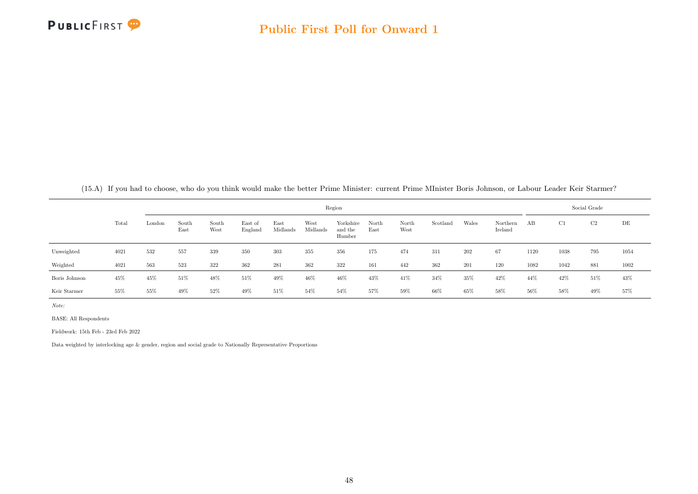

(15.A) If you had to choose, who do you think would make the better Prime Minister: current Prime MInister Boris Johnson, or Labour Leader Keir Starmer?

|               |       |        |               |               |                    |                  |                  | Region                         |               |               |          |       |                     |      |      | Social Grade   |      |
|---------------|-------|--------|---------------|---------------|--------------------|------------------|------------------|--------------------------------|---------------|---------------|----------|-------|---------------------|------|------|----------------|------|
|               | Total | London | South<br>East | South<br>West | East of<br>England | East<br>Midlands | West<br>Midlands | Yorkshire<br>and the<br>Humber | North<br>East | North<br>West | Scotland | Wales | Northern<br>Ireland | AB   | C1   | C <sub>2</sub> | DE   |
| Unweighted    | 4021  | 532    | 557           | 339           | 350                | 303              | 355              | 356                            | 175           | 474           | 311      | 202   | 67                  | 1120 | 1038 | 795            | 1054 |
| Weighted      | 4021  | 563    | 523           | 322           | 362                | 281              | 362              | 322                            | 161           | 442           | 362      | 201   | 120                 | 1082 | 1042 | 881            | 1002 |
| Boris Johnson | 45%   | 45%    | 51%           | 48%           | 51%                | 49%              | 46%              | 46\%                           | 43%           | 41\%          | 34%      | 35%   | 42%                 | 44%  | 42%  | 51%            | 43%  |
| Keir Starmer  | 55%   | 55%    | 49%           | 52%           | 49%                | 51\%             | 54%              | 54%                            | 57%           | 59%           | 66%      | 65%   | 58%                 | 56%  | 58%  | 49%            | 57%  |

Note:

BASE: All Respondents

Fieldwork: 15th Feb - 23rd Feb 2022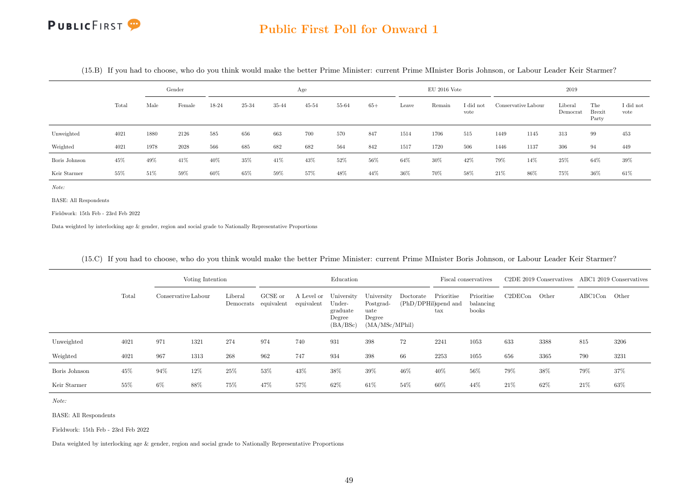#### Public First Poll for Onward 1

|               |       |      | Gender |       |       |       | Age       |       |       |       | $EU$ 2016 Vote |                   |      |                     | 2019                |                               |                   |
|---------------|-------|------|--------|-------|-------|-------|-----------|-------|-------|-------|----------------|-------------------|------|---------------------|---------------------|-------------------------------|-------------------|
|               | Total | Male | Female | 18-24 | 25-34 | 35-44 | $45 - 54$ | 55-64 | $65+$ | Leave | Remain         | I did not<br>vote |      | Conservative Labour | Liberal<br>Democrat | The<br><b>Brexit</b><br>Party | I did not<br>vote |
| Unweighted    | 4021  | 1880 | 2126   | 585   | 656   | 663   | 700       | 570   | 847   | 1514  | 1706           | 515               | 1449 | 1145                | 313                 | 99                            | 453               |
| Weighted      | 4021  | 1978 | 2028   | 566   | 685   | 682   | 682       | 564   | 842   | 1517  | 1720           | 506               | 1446 | 1137                | 306                 | 94                            | 449               |
| Boris Johnson | 45%   | 49%  | 41\%   | 40%   | 35%   | 41\%  | 43%       | 52%   | 56%   | 64%   | 30%            | 42\%              | 79%  | 14%                 | 25%                 | 64%                           | 39%               |
| Keir Starmer  | 55%   | 51\% | 59%    | 60%   | 65%   | 59%   | 57%       | 48%   | 44\%  | 36\%  | 70%            | 58%               | 21\% | 86%                 | 75%                 | 36%                           | 61\%              |

(15.B) If you had to choose, who do you think would make the better Prime Minister: current Prime MInister Boris Johnson, or Labour Leader Keir Starmer?

Note:

BASE: All Respondents

Fieldwork: 15th Feb - 23rd Feb 2022

Data weighted by interlocking age & gender, region and social grade to Nationally Representative Proportions

|               |       |     | Voting Intention    |         |                                 |                          | Education                                              |                                                             |                                   |                            | Fiscal conservatives             |         | C <sub>2</sub> DE 2019 Conservatives |               | ABC1 2019 Conservatives |
|---------------|-------|-----|---------------------|---------|---------------------------------|--------------------------|--------------------------------------------------------|-------------------------------------------------------------|-----------------------------------|----------------------------|----------------------------------|---------|--------------------------------------|---------------|-------------------------|
|               | Total |     | Conservative Labour | Liberal | GCSE or<br>Democrats equivalent | A Level or<br>equivalent | University<br>Under-<br>graduate<br>Degree<br>(BA/BSc) | University<br>Postgrad-<br>uate<br>Degree<br>(MA/MSc/MPhil) | Doctorate<br>(PhD/DPHil)spend and | Prioritise<br>$_{\rm tax}$ | Prioritise<br>balancing<br>books | C2DECon | Other                                | ABC1Con Other |                         |
| Unweighted    | 4021  | 971 | 1321                | 274     | 974                             | 740                      | 931                                                    | 398                                                         | 72                                | 2241                       | 1053                             | 633     | 3388                                 | 815           | 3206                    |
| Weighted      | 4021  | 967 | 1313                | 268     | 962                             | 747                      | 934                                                    | 398                                                         | 66                                | 2253                       | 1055                             | 656     | 3365                                 | 790           | 3231                    |
| Boris Johnson | 45%   | 94% | 12%                 | 25%     | 53%                             | 43%                      | 38%                                                    | 39%                                                         | 46%                               | 40%                        | 56%                              | 79%     | 38%                                  | 79%           | 37%                     |
| Keir Starmer  | 55%   | 6%  | 88%                 | 75%     | 47%                             | 57%                      | 62\%                                                   | 61\%                                                        | 54%                               | 60%                        | 44\%                             | 21\%    | 62%                                  | 21\%          | 63%                     |

#### (15.C) If you had to choose, who do you think would make the better Prime Minister: current Prime MInister Boris Johnson, or Labour Leader Keir Starmer?

Note:

BASE: All Respondents

Fieldwork: 15th Feb - 23rd Feb 2022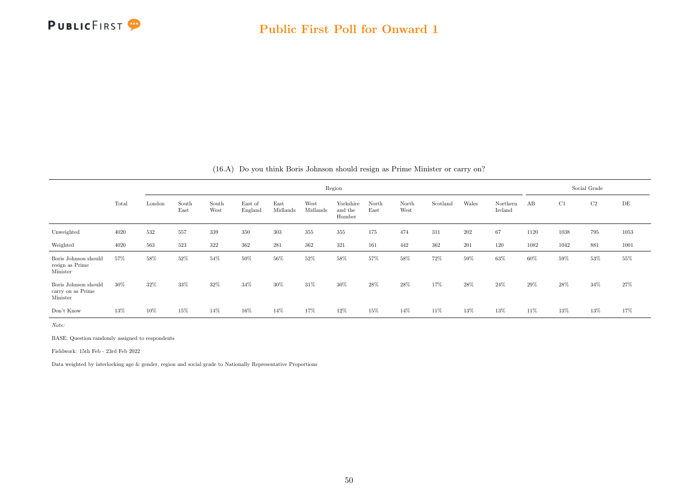

|  |  |  | $(16.A)$ Do you think Boris Johnson should resign as Prime Minister or carry on? |  |  |
|--|--|--|----------------------------------------------------------------------------------|--|--|
|--|--|--|----------------------------------------------------------------------------------|--|--|

|                                                       |       |        |               |               |                    |                  |                  |                                |               | Social Grade  |          |       |                     |        |      |     |      |
|-------------------------------------------------------|-------|--------|---------------|---------------|--------------------|------------------|------------------|--------------------------------|---------------|---------------|----------|-------|---------------------|--------|------|-----|------|
|                                                       | Total | London | South<br>East | South<br>West | East of<br>England | East<br>Midlands | West<br>Midlands | Yorkshire<br>and the<br>Humber | North<br>East | North<br>West | Scotland | Wales | Northern<br>Ireland | AB     | C1   | C2  | DE   |
| Unweighted                                            | 4020  | 532    | 557           | 339           | 350                | 303              | 355              | 355                            | 175           | 474           | 311      | 202   | 67                  | 1120   | 1038 | 795 | 1053 |
| Weighted                                              | 4020  | 563    | 523           | 322           | 362                | 281              | 362              | 321                            | 161           | 442           | 362      | 201   | 120                 | 1082   | 1042 | 881 | 1001 |
| Boris Johnson should<br>resign as Prime<br>Minister   | 57%   | 58%    | 52%           | 54%           | 50%                | 56%              | 52%              | 58%                            | 57%           | 58%           | 72%      | 59%   | 63%                 | 60%    | 59%  | 53% | 55%  |
| Boris Johnson should<br>carry on as Prime<br>Minister | 30%   | 32%    | 33%           | 32%           | 34\%               | 30%              | 31%              | 30%                            | 28\%          | 28%           | 17%      | 28\%  | $24\%$              | 29%    | 28%  | 34% | 27%  |
| Don't Know                                            | 13%   | 10%    | 15%           | 14%           | 16%                | 14%              | 17%              | 12%                            | 15%           | 14%           | 11%      | 13%   | 13%                 | $11\%$ | 13%  | 13% | 17%  |

Note:

BASE: Question randomly assigned to respondents

Fieldwork: 15th Feb - 23rd Feb 2022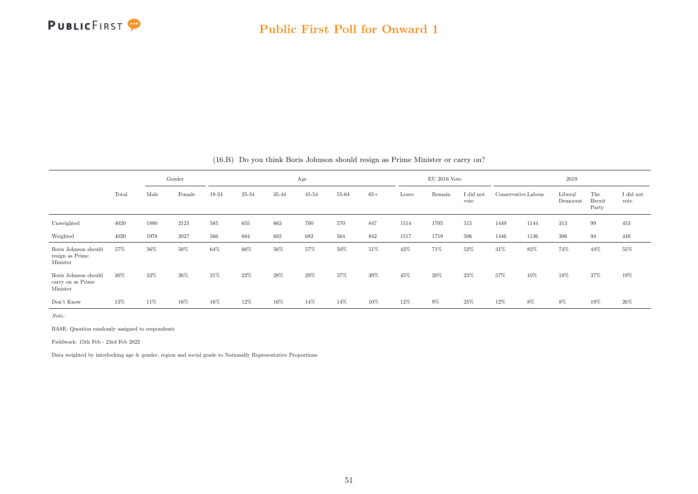

|                                                       |       |      | Gender |       |       |        | Age       |       |       |       | $EU$ 2016 Vote |                   |                     |      | 2019                |                               |                   |
|-------------------------------------------------------|-------|------|--------|-------|-------|--------|-----------|-------|-------|-------|----------------|-------------------|---------------------|------|---------------------|-------------------------------|-------------------|
|                                                       | Total | Male | Female | 18-24 | 25-34 | 35-44  | $45 - 54$ | 55-64 | $65+$ | Leave | Remain         | I did not<br>vote | Conservative Labour |      | Liberal<br>Democrat | The<br><b>Brexit</b><br>Party | I did not<br>vote |
| Unweighted                                            | 4020  | 1880 | 2125   | 585   | 655   | 663    | 700       | 570   | 847   | 1514  | 1705           | 515               | 1449                | 1144 | 313                 | 99                            | 453               |
| Weighted                                              | 4020  | 1978 | 2027   | 566   | 684   | 682    | 682       | 564   | 842   | 1517  | 1719           | 506               | 1446                | 1136 | 306                 | 94                            | 449               |
| Boris Johnson should<br>resign as Prime<br>Minister   | 57%   | 56%  | 58%    | 64%   | 66%   | 56%    | 57%       | 50%   | 51%   | 42%   | 71%            | 52%               | 31%                 | 82%  | 74%                 | 44%                           | 55%               |
| Boris Johnson should<br>carry on as Prime<br>Minister | 30%   | 33%  | $26\%$ | 21\%  | 22%   | $28\%$ | 29%       | 37%   | 39%   | 45%   | 20%            | 23%               | 57%                 | 10%  | 18%                 | 37%                           | $19\%$            |
| Don't Know                                            | 13%   | 11%  | 16%    | 16%   | 12%   | 16%    | 14%       | 14%   | 10%   | 12%   | $9\%$          | 25%               | 12%                 | 8%   | 8%                  | 19%                           | $26\%$            |

#### (16.B) Do you think Boris Johnson should resign as Prime Minister or carry on?

Note:

BASE: Question randomly assigned to respondents

Fieldwork: 15th Feb - 23rd Feb 2022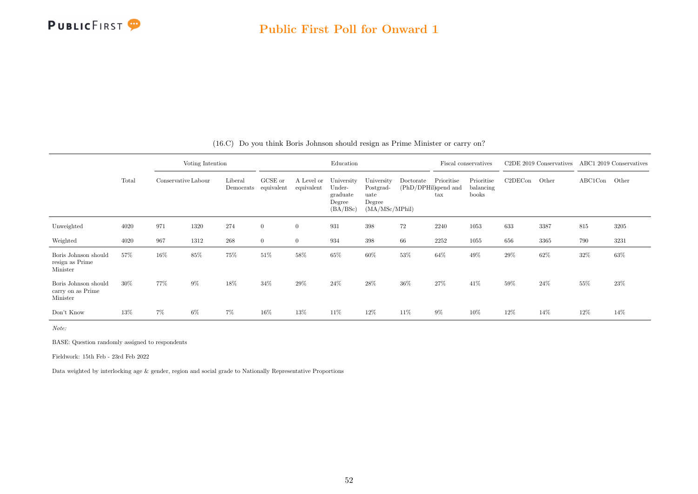

|                                                       |       |                     | Voting Intention |                      |                       |                          | Education                                              |                                                             |                                   |                            | Fiscal conservatives             |         | C2DE 2019 Conservatives ABC1 2019 Conservatives |               |      |
|-------------------------------------------------------|-------|---------------------|------------------|----------------------|-----------------------|--------------------------|--------------------------------------------------------|-------------------------------------------------------------|-----------------------------------|----------------------------|----------------------------------|---------|-------------------------------------------------|---------------|------|
|                                                       | Total | Conservative Labour |                  | Liberal<br>Democrats | GCSE or<br>equivalent | A Level or<br>equivalent | University<br>Under-<br>graduate<br>Degree<br>(BA/BSc) | University<br>Postgrad-<br>uate<br>Degree<br>(MA/MSc/MPhil) | Doctorate<br>(PhD/DPHil)spend and | Prioritise<br>$\text{tax}$ | Prioritise<br>balancing<br>books | C2DECon | Other                                           | ABC1Con Other |      |
| Unweighted                                            | 4020  | 971                 | 1320             | 274                  | $\mathbf{0}$          | $\overline{0}$           | 931                                                    | 398                                                         | 72                                | 2240                       | 1053                             | 633     | 3387                                            | 815           | 3205 |
| Weighted                                              | 4020  | 967                 | 1312             | $268\,$              | $\overline{0}$        | $\overline{0}$           | 934                                                    | 398                                                         | 66                                | 2252                       | 1055                             | 656     | 3365                                            | 790           | 3231 |
| Boris Johnson should<br>resign as Prime<br>Minister   | 57%   | 16%                 | 85%              | 75%                  | $51\%$                | 58%                      | 65%                                                    | 60%                                                         | 53%                               | 64%                        | 49%                              | 29%     | 62%                                             | 32%           | 63%  |
| Boris Johnson should<br>carry on as Prime<br>Minister | 30%   | 77%                 | $9\%$            | 18%                  | $34\%$                | 29%                      | $24\%$                                                 | 28%                                                         | 36%                               | 27%                        | 41\%                             | 59%     | 24%                                             | 55%           | 23%  |
| Don't Know                                            | 13%   | $7\%$               | $6\%$            | 7%                   | 16%                   | 13%                      | 11\%                                                   | 12%                                                         | 11\%                              | $9\%$                      | 10%                              | 12%     | 14%                                             | 12%           | 14%  |

#### (16.C) Do you think Boris Johnson should resign as Prime Minister or carry on?

Note:

BASE: Question randomly assigned to respondents

Fieldwork: 15th Feb - 23rd Feb 2022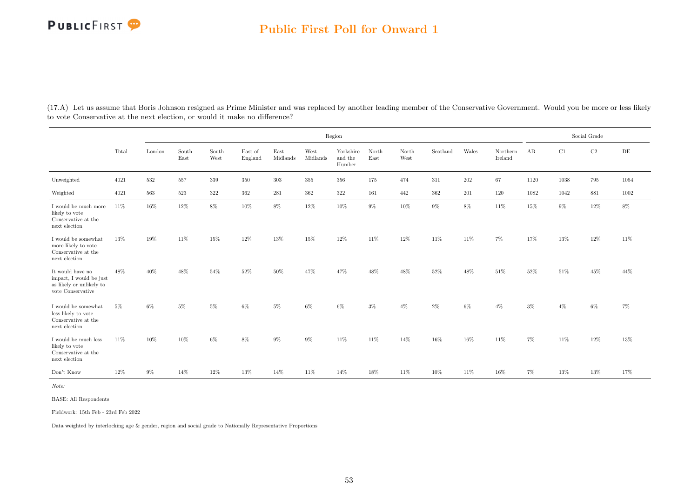#### Public First Poll for Onward 1

|                                                                                              |       |         |               |               |                    |                  |                  |                                |               |               | Social Grade |       |                     |        |        |        |           |
|----------------------------------------------------------------------------------------------|-------|---------|---------------|---------------|--------------------|------------------|------------------|--------------------------------|---------------|---------------|--------------|-------|---------------------|--------|--------|--------|-----------|
|                                                                                              | Total | London  | South<br>East | South<br>West | East of<br>England | East<br>Midlands | West<br>Midlands | Yorkshire<br>and the<br>Humber | North<br>East | North<br>West | Scotland     | Wales | Northern<br>Ireland | AB     | C1     | C2     | $\rm{DE}$ |
| Unweighted                                                                                   | 4021  | 532     | 557           | 339           | 350                | 303              | 355              | 356                            | 175           | 474           | 311          | 202   | 67                  | 1120   | 1038   | 795    | 1054      |
| Weighted                                                                                     | 4021  | $563\,$ | 523           | $322\,$       | 362                | 281              | $362\,$          | $322\,$                        | 161           | 442           | 362          | 201   | 120                 | 1082   | 1042   | 881    | 1002      |
| I would be much more<br>likely to vote<br>Conservative at the<br>next election               | 11\%  | 16%     | 12%           | 8%            | $10\%$             | $8\%$            | 12%              | $10\%$                         | $9\%$         | 10%           | $9\%$        | $8\%$ | 11%                 | 15%    | $9\%$  | 12%    | $8\%$     |
| I would be somewhat<br>more likely to vote<br>Conservative at the<br>next election           | 13%   | 19%     | 11\%          | 15%           | 12%                | 13%              | 15%              | 12%                            | 11%           | 12%           | 11%          | 11%   | $7\%$               | 17%    | 13%    | 12%    | 11%       |
| It would have no<br>impact, I would be just<br>as likely or unlikely to<br>vote Conservative | 48%   | 40%     | 48%           | 54%           | $52\%$             | 50%              | $47\%$           | 47%                            | 48%           | 48%           | $52\%$       | 48%   | 51%                 | $52\%$ | $51\%$ | $45\%$ | 44%       |
| I would be somewhat<br>less likely to vote<br>Conservative at the<br>next election           | $5\%$ | 6%      | 5%            | 5%            | 6%                 | $5\%$            | $6\%$            | $6\%$                          | $3\%$         | $4\%$         | $2\%$        | $6\%$ | $4\%$               | $3\%$  | $4\%$  | 6%     | 7%        |
| I would be much less<br>likely to vote<br>Conservative at the<br>next election               | 11%   | 10%     | 10%           | 6%            | 8%                 | $9\%$            | $9\%$            | 11%                            | 11\%          | 14%           | 16%          | 16%   | 11\%                | 7%     | 11\%   | 12%    | 13%       |
| Don't Know                                                                                   | 12%   | $9\%$   | 14\%          | 12%           | 13%                | 14%              | 11%              | 14%                            | 18%           | 11%           | 10%          | 11%   | 16%                 | 7%     | 13%    | 13%    | 17%       |

(17.A) Let us assume that Boris Johnson resigned as Prime Minister and was replaced by another leading member of the Conservative Government. Would you be more or less likely to vote Conservative at the next election, or would it make no difference?

Note:

BASE: All Respondents

Fieldwork: 15th Feb - 23rd Feb 2022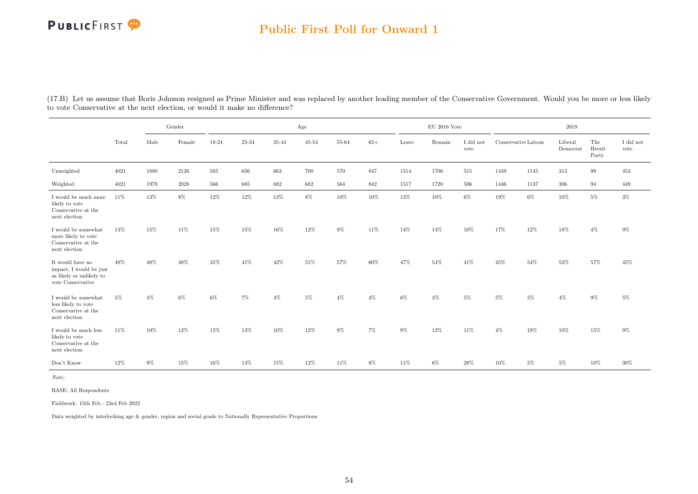#### Public First Poll for Onward 1

|                                                                                                     |       | Gender<br>Female<br>Male |       |         |         |        | Age    |        |         |        | $\rm EU$ 2016 Vote |                   |                     |       | $2019\,$            |                               |                   |
|-----------------------------------------------------------------------------------------------------|-------|--------------------------|-------|---------|---------|--------|--------|--------|---------|--------|--------------------|-------------------|---------------------|-------|---------------------|-------------------------------|-------------------|
|                                                                                                     | Total |                          |       | 18-24   | 25-34   | 35-44  | 45-54  | 55-64  | $65+$   | Leave  | Remain             | I did not<br>vote | Conservative Labour |       | Liberal<br>Democrat | The<br><b>Brexit</b><br>Party | I did not<br>vote |
| Unweighted                                                                                          | 4021  | 1880                     | 2126  | $585\,$ | 656     | 663    | 700    | 570    | 847     | 1514   | 1706               | $515\,$           | 1449                | 1145  | $313\,$             | 99                            | $453\,$           |
| Weighted                                                                                            | 4021  | 1978                     | 2028  | 566     | $685\,$ | 682    | 682    | 564    | $842\,$ | 1517   | 1720               | $506\,$           | 1446                | 1137  | 306                 | 94                            | 449               |
| I would be much more<br>likely to vote<br>Conservative at the<br>next election                      | 11\%  | 13%                      | $8\%$ | $12\%$  | $12\%$  | $13\%$ | $8\%$  | $10\%$ | $10\%$  | $13\%$ | $10\%$             | $6\%$             | $19\%$              | $6\%$ | $10\%$              | $5\%$                         | $3\%$             |
| I would be somewhat<br>more likely to vote<br>Conservative at the<br>next election                  | 13%   | 15%                      | 11%   | 15%     | 15%     | 16%    | 12%    | $9\%$  | 11%     | 14%    | 14%                | 10%               | 17%                 | 12%   | 18%                 | $4\%$                         | $9\%$             |
| It would have no<br>impact, I would be just<br>as likely or unlikely to<br>vote Conservative        | 48%   | 48%                      | 48%   | 35%     | $41\%$  | 42%    | $51\%$ | 57%    | 60%     | 47%    | $54\%$             | 41\%              | 45%                 | 54%   | 53%                 | 57%                           | 45%               |
| I would be somewhat<br>less likely to vote<br>Conservative at the<br>$\operatorname{next}$ election | 5%    | $4\%$                    | 6%    | 6%      | $7\%$   | $4\%$  | $5\%$  | $4\%$  | $4\%$   | $6\%$  | $4\%$              | $5\%$             | $5\%$               | $5\%$ | $4\%$               | 9%                            | $5\%$             |
| I would be much less<br>likely to vote<br>Conservative at the<br>next election                      | 11\%  | 10%                      | 12%   | 15%     | 13%     | 10%    | 12%    | 9%     | 7%      | $9\%$  | 12%                | 11%               | $4\%$               | 19%   | 10%                 | 15%                           | $9\%$             |
| Don't Know                                                                                          | 12%   | $9\%$                    | 15%   | 16%     | 13%     | 15%    | 12%    | 11%    | $8\%$   | 11%    | $6\%$              | 28%               | 10%                 | $5\%$ | $5\%$               | 10%                           | $30\%$            |

(17.B) Let us assume that Boris Johnson resigned as Prime Minister and was replaced by another leading member of the Conservative Government. Would you be more or less likely to vote Conservative at the next election, or would it make no difference?

Note:

BASE: All Respondents

Fieldwork: 15th Feb - 23rd Feb 2022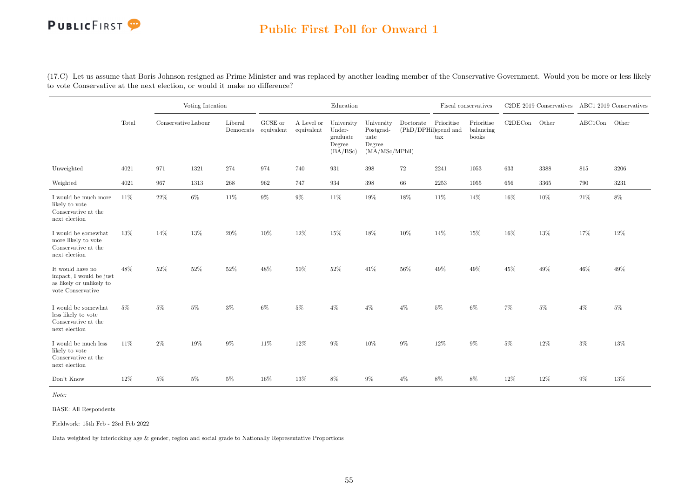### Public First Poll for Onward 1

(17.C) Let us assume that Boris Johnson resigned as Prime Minister and was replaced by another leading member of the Conservative Government. Would you be more or less likely to vote Conservative at the next election, or would it make no difference?

|                                                                                              |       |                     | Voting Intention |                                 |         |                          | Education                                              |                                                             |                                   | Fiscal conservatives |                                  |         | C2DE 2019 Conservatives |         | ABC1 2019 Conservatives |
|----------------------------------------------------------------------------------------------|-------|---------------------|------------------|---------------------------------|---------|--------------------------|--------------------------------------------------------|-------------------------------------------------------------|-----------------------------------|----------------------|----------------------------------|---------|-------------------------|---------|-------------------------|
|                                                                                              | Total | Conservative Labour |                  | Liberal<br>Democrats equivalent | GCSE or | A Level or<br>equivalent | University<br>Under-<br>graduate<br>Degree<br>(BA/BSc) | University<br>Postgrad-<br>uate<br>Degree<br>(MA/MSc/MPhil) | Doctorate<br>(PhD/DPHil)spend and | Prioritise<br>tax    | Prioritise<br>balancing<br>books | C2DECon | Other                   | ABC1Con | Other                   |
| Unweighted                                                                                   | 4021  | 971                 | 1321             | 274                             | 974     | 740                      | 931                                                    | $398\,$                                                     | 72                                | 2241                 | 1053                             | 633     | 3388                    | 815     | 3206                    |
| Weighted                                                                                     | 4021  | 967                 | 1313             | $268\,$                         | 962     | 747                      | 934                                                    | $398\,$                                                     | 66                                | $2253\,$             | 1055                             | 656     | 3365                    | 790     | 3231                    |
| I would be much more<br>likely to vote<br>Conservative at the<br>next election               | 11%   | $22\%$              | $6\%$            | $11\%$                          | $9\%$   | $9\%$                    | $11\%$                                                 | $19\%$                                                      | 18%                               | $11\%$               | 14%                              | 16%     | 10%                     | $21\%$  | $8\%$                   |
| I would be somewhat<br>more likely to vote<br>Conservative at the<br>next election           | 13%   | 14%                 | 13%              | $20\%$                          | 10%     | $12\%$                   | $15\%$                                                 | 18%                                                         | 10%                               | 14%                  | 15%                              | 16%     | 13%                     | 17%     | 12%                     |
| It would have no<br>impact, I would be just<br>as likely or unlikely to<br>vote Conservative | 48%   | 52%                 | $52\%$           | $52\%$                          | 48%     | 50%                      | $52\%$                                                 | $41\%$                                                      | 56%                               | $49\%$               | 49%                              | 45%     | 49%                     | 46%     | 49%                     |
| I would be somewhat<br>less likely to vote<br>Conservative at the<br>next election           | $5\%$ | $5\%$               | $5\%$            | 3%                              | $6\%$   | $5\%$                    | $4\%$                                                  | $4\%$                                                       | $4\%$                             | $5\%$                | 6%                               | 7%      | $5\%$                   | $4\%$   | $5\%$                   |
| I would be much less<br>likely to vote<br>Conservative at the<br>next election               | 11%   | $2\%$               | 19%              | $9\%$                           | 11%     | 12%                      | $9\%$                                                  | 10%                                                         | $9\%$                             | 12%                  | $9\%$                            | $5\%$   | 12%                     | $3\%$   | 13%                     |
| Don't Know                                                                                   | 12%   | $5\%$               | $5\%$            | $5\%$                           | 16%     | 13%                      | 8%                                                     | $9\%$                                                       | $4\%$                             | $8\%$                | 8%                               | 12%     | $12\%$                  | $9\%$   | 13%                     |

Note:

BASE: All Respondents

Fieldwork: 15th Feb - 23rd Feb 2022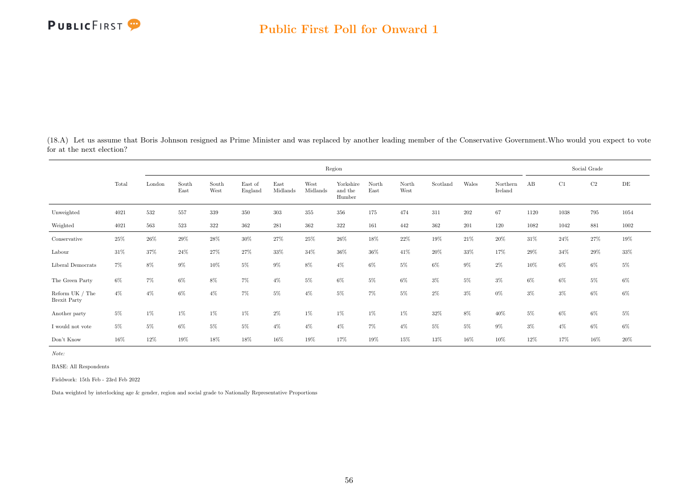(18.A) Let us assume that Boris Johnson resigned as Prime Minister and was replaced by another leading member of the Conservative Government.Who would you expect to vote for at the next election?

|                                          |        |        | Region<br>East of<br>East<br>West<br>South<br>South<br>Yorkshire<br>North<br>North<br>Scotland |        |         |          |          |                   |       |        |       |       |                     |       |       | Social Grade |       |
|------------------------------------------|--------|--------|------------------------------------------------------------------------------------------------|--------|---------|----------|----------|-------------------|-------|--------|-------|-------|---------------------|-------|-------|--------------|-------|
|                                          | Total  | London | East                                                                                           | West   | England | Midlands | Midlands | and the<br>Humber | East  | West   |       | Wales | Northern<br>Ireland | AB    | C1    | $\rm C2$     | DE    |
| Unweighted                               | 4021   | 532    | 557                                                                                            | 339    | 350     | 303      | $355\,$  | 356               | 175   | 474    | 311   | 202   | 67                  | 1120  | 1038  | 795          | 1054  |
| Weighted                                 | 4021   | 563    | 523                                                                                            | 322    | 362     | 281      | 362      | 322               | 161   | 442    | 362   | 201   | 120                 | 1082  | 1042  | 881          | 1002  |
| Conservative                             | $25\%$ | 26%    | 29%                                                                                            | $28\%$ | $30\%$  | $27\%$   | $25\%$   | $26\%$            | 18%   | $22\%$ | 19%   | 21\%  | 20%                 | 31%   | 24%   | 27%          | 19%   |
| Labour                                   | 31%    | 37%    | 24%                                                                                            | 27%    | 27%     | 33%      | 34%      | 36%               | 36%   | 41%    | 20%   | 33%   | 17%                 | 29%   | 34%   | 29%          | 33%   |
| Liberal Democrats                        | $7\%$  | 8%     | $9\%$                                                                                          | 10%    | 5%      | $9\%$    | $8\%$    | $4\%$             | $6\%$ | $5\%$  | 6%    | $9\%$ | $2\%$               | 10%   | $6\%$ | 6%           | $5\%$ |
| The Green Party                          | $6\%$  | 7%     | $6\%$                                                                                          | 8%     | 7%      | $4\%$    | 5%       | $6\%$             | 5%    | $6\%$  | $3\%$ | $5\%$ | $3\%$               | $6\%$ | $6\%$ | $5\%$        | $6\%$ |
| Reform UK $/$ The<br><b>Brexit Party</b> | $4\%$  | $4\%$  | $6\%$                                                                                          | $4\%$  | 7%      | $5\%$    | $4\%$    | $5\%$             | $7\%$ | $5\%$  | $2\%$ | $3\%$ | $0\%$               | $3\%$ | $3\%$ | $6\%$        | $6\%$ |
| Another party                            | $5\%$  | 1%     | 1%                                                                                             | $1\%$  | 1%      | $2\%$    | $1\%$    | $1\%$             | 1%    | $1\%$  | 32%   | $8\%$ | 40%                 | $5\%$ | $6\%$ | $6\%$        | $5\%$ |
| $\rm I$ would not vote                   | $5\%$  | 5%     | $6\%$                                                                                          | 5%     | 5%      | $4\%$    | $4\%$    | $4\%$             | $7\%$ | $4\%$  | $5\%$ | $5\%$ | $9\%$               | $3\%$ | $4\%$ | 6%           | $6\%$ |
| Don't Know                               | 16%    | 12%    | 19%                                                                                            | 18%    | 18%     | 16%      | 19%      | 17%               | 19%   | 15%    | 13%   | 16%   | 10%                 | 12%   | 17%   | 16%          | 20%   |

Note:

BASE: All Respondents

Fieldwork: 15th Feb - 23rd Feb 2022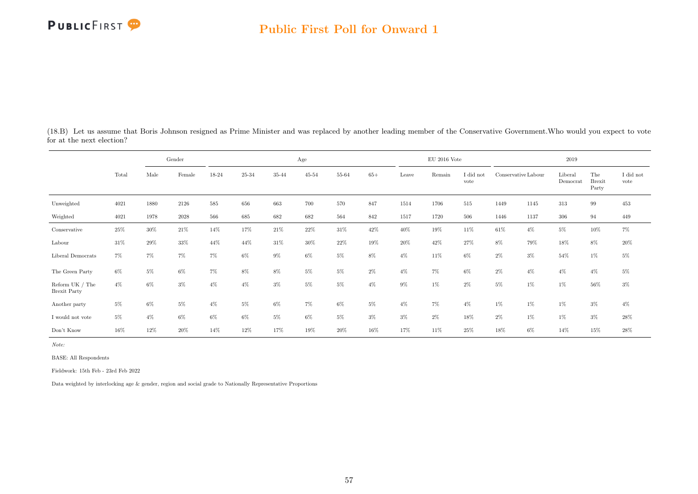#### Public First Poll for Onward 1

(18.B) Let us assume that Boris Johnson resigned as Prime Minister and was replaced by another leading member of the Conservative Government.Who would you expect to vote for at the next election?

|                                          |        |        | Gender |       |       |       | Age       |       |       |       | $\rm EU$ 2016 Vote |                   |                     |       | 2019                |                               |                   |
|------------------------------------------|--------|--------|--------|-------|-------|-------|-----------|-------|-------|-------|--------------------|-------------------|---------------------|-------|---------------------|-------------------------------|-------------------|
|                                          | Total  | Male   | Female | 18-24 | 25-34 | 35-44 | $45 - 54$ | 55-64 | $65+$ | Leave | Remain             | I did not<br>vote | Conservative Labour |       | Liberal<br>Democrat | The<br><b>Brexit</b><br>Party | I did not<br>vote |
| Unweighted                               | 4021   | 1880   | 2126   | 585   | 656   | 663   | 700       | 570   | 847   | 1514  | 1706               | 515               | 1449                | 1145  | 313                 | 99                            | 453               |
| Weighted                                 | 4021   | 1978   | 2028   | 566   | 685   | 682   | 682       | 564   | 842   | 1517  | 1720               | 506               | 1446                | 1137  | 306                 | 94                            | 449               |
| Conservative                             | $25\%$ | $30\%$ | 21\%   | 14%   | 17%   | 21%   | 22%       | 31\%  | 42%   | 40%   | 19%                | 11%               | 61\%                | $4\%$ | $5\%$               | $10\%$                        | $7\%$             |
| Labour                                   | 31%    | 29%    | 33%    | 44%   | 44%   | 31\%  | 30%       | 22%   | 19%   | 20%   | 42%                | 27%               | 8%                  | 79%   | 18%                 | 8%                            | $20\%$            |
| Liberal Democrats                        | $7\%$  | 7%     | 7%     | $7\%$ | 6%    | $9\%$ | $6\%$     | $5\%$ | 8%    | $4\%$ | 11%                | $6\%$             | $2\%$               | $3\%$ | 54%                 | $1\%$                         | $5\%$             |
| The Green Party                          | $6\%$  | 5%     | $6\%$  | 7%    | 8%    | 8%    | $5\%$     | $5\%$ | $2\%$ | $4\%$ | $7\%$              | $6\%$             | $2\%$               | $4\%$ | $4\%$               | $4\%$                         | $5\%$             |
| Reform UK $/$ The<br><b>Brexit Party</b> | $4\%$  | 6%     | $3\%$  | $4\%$ | $4\%$ | $3\%$ | $5\%$     | $5\%$ | $4\%$ | $9\%$ | $1\%$              | $2\%$             | $5\%$               | $1\%$ | $1\%$               | $56\%$                        | $3\%$             |
| Another party                            | $5\%$  | 6%     | 5%     | $4\%$ | 5%    | 6%    | $7\%$     | $6\%$ | $5\%$ | $4\%$ | $7\%$              | $4\%$             | $1\%$               | $1\%$ | $1\%$               | $3\%$                         | $4\%$             |
| I would not vote                         | $5\%$  | $4\%$  | $6\%$  | $6\%$ | $6\%$ | $5\%$ | $6\%$     | $5\%$ | $3\%$ | $3\%$ | $2\%$              | $18\%$            | $2\%$               | $1\%$ | $1\%$               | $3\%$                         | $28\%$            |
| Don't Know                               | 16%    | 12%    | 20%    | 14%   | 12%   | 17%   | 19%       | 20%   | 16%   | 17%   | 11%                | 25%               | 18%                 | $6\%$ | 14%                 | 15%                           | 28%               |

Note:

BASE: All Respondents

Fieldwork: 15th Feb - 23rd Feb 2022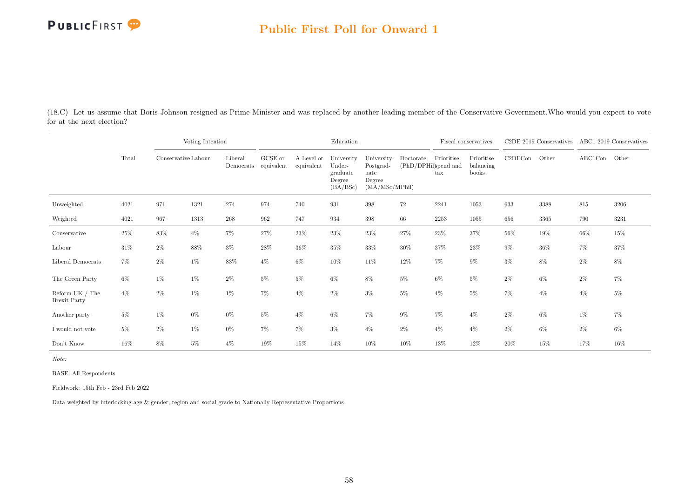| (18.C) Let us assume that Boris Johnson resigned as Prime Minister and was replaced by another leading member of the Conservative Government. Who would you expect to vote |  |  |  |  |  |
|----------------------------------------------------------------------------------------------------------------------------------------------------------------------------|--|--|--|--|--|
| for at the next election?                                                                                                                                                  |  |  |  |  |  |

|                                          |        | Voting Intention    |       |                      |                               |                          | Education                                              |                                                             |                                   |                                    | Fiscal conservatives             |         | C2DE 2019 Conservatives |         | ABC1 2019 Conservatives |
|------------------------------------------|--------|---------------------|-------|----------------------|-------------------------------|--------------------------|--------------------------------------------------------|-------------------------------------------------------------|-----------------------------------|------------------------------------|----------------------------------|---------|-------------------------|---------|-------------------------|
|                                          | Total  | Conservative Labour |       | Liberal<br>Democrats | ${\rm GCSE}$ or<br>equivalent | A Level or<br>equivalent | University<br>Under-<br>graduate<br>Degree<br>(BA/BSc) | University<br>Postgrad-<br>uate<br>Degree<br>(MA/MSc/MPhil) | Doctorate<br>(PhD/DPHil)spend and | Prioritise<br>$\operatorname{tax}$ | Prioritise<br>balancing<br>books | C2DECon | Other                   | ABC1Con | Other                   |
| Unweighted                               | 4021   | 971                 | 1321  | 274                  | 974                           | 740                      | 931                                                    | 398                                                         | $72\,$                            | 2241                               | 1053                             | 633     | 3388                    | 815     | 3206                    |
| Weighted                                 | 4021   | 967                 | 1313  | 268                  | 962                           | 747                      | 934                                                    | 398                                                         | 66                                | 2253                               | 1055                             | 656     | 3365                    | 790     | 3231                    |
| Conservative                             | $25\%$ | $83\%$              | $4\%$ | $7\%$                | 27%                           | 23%                      | 23%                                                    | 23\%                                                        | $27\%$                            | 23\%                               | 37%                              | $56\%$  | $19\%$                  | 66%     | 15%                     |
| Labour                                   | $31\%$ | $2\%$               | 88%   | $3\%$                | 28\%                          | 36%                      | 35%                                                    | $33\%$                                                      | $30\%$                            | 37%                                | 23%                              | $9\%$   | $36\%$                  | $7\%$   | 37%                     |
| Liberal Democrats                        | 7%     | $2\%$               | $1\%$ | 83%                  | $4\%$                         | $6\%$                    | 10%                                                    | 11\%                                                        | $12\%$                            | 7%                                 | $9\%$                            | $3\%$   | 8%                      | $2\%$   | $8\%$                   |
| The Green Party                          | 6%     | 1%                  | $1\%$ | $2\%$                | $5\%$                         | $5\%$                    | 6%                                                     | 8%                                                          | $5\%$                             | $6\%$                              | $5\%$                            | $2\%$   | 6%                      | $2\%$   | 7%                      |
| Reform UK $/$ The<br><b>Brexit Party</b> | $4\%$  | $2\%$               | $1\%$ | 1%                   | $7\%$                         | $4\%$                    | $2\%$                                                  | 3%                                                          | $5\%$                             | $4\%$                              | $5\%$                            | $7\%$   | $4\%$                   | $4\%$   | $5\%$                   |
| Another party                            | $5\%$  | 1%                  | $0\%$ | $0\%$                | $5\%$                         | $4\%$                    | $6\%$                                                  | $7\%$                                                       | $9\%$                             | 7%                                 | $4\%$                            | $2\%$   | 6%                      | 1%      | 7%                      |
| I would not vote                         | $5\%$  | $2\%$               | $1\%$ | $0\%$                | 7%                            | $7\%$                    | $3\%$                                                  | $4\%$                                                       | $2\%$                             | $4\%$                              | $4\%$                            | $2\%$   | $6\%$                   | $2\%$   | $6\%$                   |
| Don't Know                               | 16%    | 8%                  | $5\%$ | $4\%$                | 19%                           | 15%                      | 14%                                                    | 10%                                                         | 10%                               | 13%                                | 12%                              | 20%     | 15%                     | 17%     | 16%                     |

Note:

BASE: All Respondents

Fieldwork: 15th Feb - 23rd Feb 2022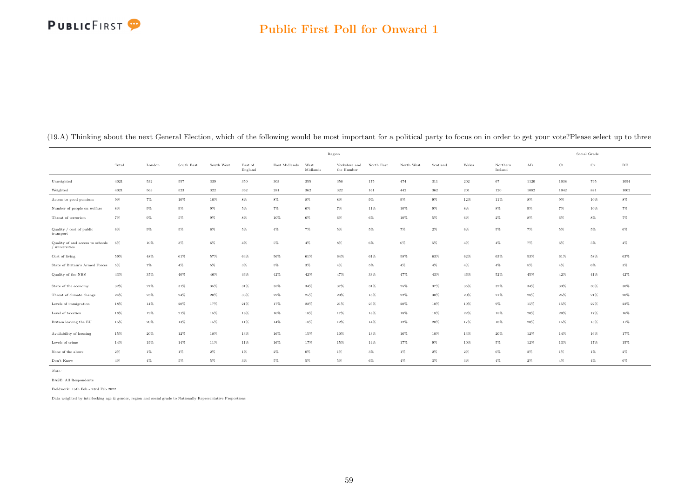### Public First Poll for Onward 1

|                                                    |       |         |            |            |                    |               |                  | Region                      |            |            |          |           |                     |                      |       | Social Grade |           |
|----------------------------------------------------|-------|---------|------------|------------|--------------------|---------------|------------------|-----------------------------|------------|------------|----------|-----------|---------------------|----------------------|-------|--------------|-----------|
|                                                    | Total | London  | South East | South West | East of<br>England | East Midlands | West<br>Midlands | Yorkshire and<br>the Humber | North East | North West | Scotland | Wales     | Northern<br>Ireland | $\mathbf A\mathbf B$ | C1    | $_{\rm C2}$  | $\rm{DE}$ |
| Unweighted                                         | 4021  | $532\,$ | 557        | $339\,$    | $350\,$            | 303           | 355              | $356\,$                     | 175        | 474        | 311      | $\bf 202$ | 67                  | 1120                 | 1038  | 795          | 1054      |
| Weighted                                           | 4021  | 563     | 523        | $322\,$    | 362                | 281           | 362              | $322\,$                     | 161        | 442        | 362      | 201       | 120                 | 1082                 | 1042  | 881          | 1002      |
| Access to good pensions                            | $9\%$ | 7%      | 10%        | 10%        | $8\%$              | $8\%$         | $8\%$            | $8\%$                       | $9\%$      | $9\%$      | $9\%$    | 12%       | 11%                 | 8%                   | $9\%$ | 10%          | $8\%$     |
| Number of people on welfare                        | $8\%$ | $9\%$   | $9\%$      | $9\%$      | 5%                 | $7\%$         | 6%               | $7\%$                       | 11%        | 10%        | $9\%$    | $8\%$     | 8%                  | 9%                   | $7\%$ | 10%          | $7\%$     |
| Threat of terrorism                                | $7\%$ | $9\%$   | $5\%$      | $9\%$      | 8%                 | $10\%$        | 6%               | $6\%$                       | $6\%$      | 10%        | 5%       | 6%        | $2\%$               | 8%                   | $6\%$ | $8\%$        | $7\%$     |
| Quality / cost of public<br>transport              | $6\%$ | $9\%$   | $5\%$      | $6\%$      | $5\%$              | $4\%$         | $7\%$            | $5\%$                       | $5\%$      | 7%         | $2\%$    | $6\%$     | $5\%$               | 7%                   | $5\%$ | $5\%$        | $6\%$     |
| Quality of and access to schools<br>/ universities | 6%    | 10%     | $3\%$      | $6\%$      | $4\%$              | $5\%$         | $4\%$            | $8\%$                       | $6\%$      | $6\%$      | $5\%$    | $4\%$     | 4%                  | 7%                   | $6\%$ | $5\%$        | $4\%$     |
| Cost of living                                     | 59%   | $48\%$  | 61%        | 57%        | $64\%$             | $56\%$        | $61\%$           | $64\%$                      | 61%        | 58%        | 63%      | 62%       | 63%                 | 53%                  | 61%   | 58%          | $63\%$    |
| State of Britain's Armed Forces                    | $5\%$ | 7%      | $4\%$      | $5\%$      | $3\%$              | 5%            | $3\%$            | $4\%$                       | $5\%$      | $4\%$      | $4\%$    | $4\%$     | $4\%$               | $5\%$                | $4\%$ | $6\%$        | $3\%$     |
| Quality of the NHS                                 | 43%   | $35\%$  | 40%        | 46%        | 46%                | $42\%$        | $42\%$           | 47%                         | 33%        | 47%        | 43%      | 46%       | 52%                 | 45%                  | 42%   | $41\%$       | $42\%$    |
| State of the economy                               | 32%   | 27%     | 31%        | 35%        | 31%                | 35%           | 34%              | 37%                         | 31%        | 25%        | 37%      | 35%       | 32%                 | 34%                  | 33%   | $30\%$       | 30%       |
| Threat of climate change                           | 24%   | $23\%$  | 24%        | 20%        | 33%                | $22\%$        | 25%              | 20%                         | 18%        | 22%        | 30%      | 20%       | 21%                 | 28%                  | 25%   | 21%          | 20%       |
| Levels of immigration                              | 18%   | 14%     | 20%        | 17%        | 21%                | 17%           | 22%              | 21%                         | 25%        | 20%        | 10%      | 19%       | $9\%$               | 15%                  | 15%   | $22\%$       | 22%       |
| Level of taxation                                  | 18%   | 19%     | 21%        | 15%        | 18%                | 16%           | 18%              | 17%                         | 18%        | 18%        | 18%      | 22%       | 15%                 | 20%                  | 20%   | 17%          | 16%       |
| Britain leaving the EU                             | 15%   | 20%     | 13%        | 15%        | 11%                | 14%           | 18%              | 12%                         | 14%        | 12%        | 20%      | 17%       | 18%                 | 20%                  | 15%   | 15%          | 11%       |
| Availability of housing                            | 15%   | 20%     | 12%        | 18%        | 13%                | $16\%$        | 15%              | 10%                         | 13%        | 16%        | 10%      | 13%       | $20\%$              | 12%                  | 14%   | 16%          | 17%       |
| Levels of crime                                    | 14%   | 19%     | 14%        | 11%        | 11%                | 16%           | 17%              | 15%                         | $14\%$     | 17%        | $9\%$    | 10%       | 5%                  | 12%                  | 13%   | 17%          | 15%       |
| None of the above                                  | $2\%$ | $1\%$   | $1\%$      | $2\%$      | $1\%$              | $2\%$         | $0\%$            | $1\%$                       | $3\%$      | $1\%$      | $2\%$    | $2\%$     | 6%                  | 2%                   | $1\%$ | $1\%$        | $2\%$     |
| Don't Know                                         | $4\%$ | $4\%$   | $5\%$      | $5\%$      | $3\%$              | 5%            | $5\%$            | $5\%$                       | $6\%$      | $4\%$      | $3\%$    | $3\%$     | $4\%$               | 2%                   | $4\%$ | $4\%$        | $6\%$     |

(19.A) Thinking about the next General Election, which of the following would be most important for a political party to focus on in order to get your vote?Please select up to three

Note:

BASE: All Respondents Fieldwork: 15th Feb - 23rd Feb 2022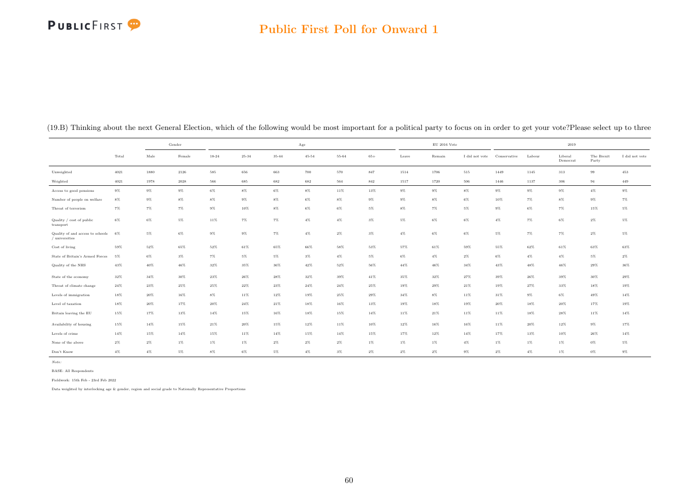#### Public First Poll for Onward 1

|                                                    |        |        | Gender |        |           |        | $_{\rm Age}$ |        |        |        | $\mathrm{EU}$ 2016 Vote |                |              |        | 2019                |                     |                |
|----------------------------------------------------|--------|--------|--------|--------|-----------|--------|--------------|--------|--------|--------|-------------------------|----------------|--------------|--------|---------------------|---------------------|----------------|
|                                                    | Total  | Male   | Female | 18-24  | $25 - 34$ | 35-44  | $45 - 54$    | 55-64  | $65+$  | Leave  | Remain                  | I did not vote | Conservative | Labour | Liberal<br>Democrat | The Brexit<br>Party | I did not vote |
| Unweighted                                         | 4021   | 1880   | 2126   | 585    | 656       | 663    | 700          | 570    | 847    | 1514   | 1706                    | 515            | 1449         | 1145   | 313                 | 99                  | 453            |
| Weighted                                           | 4021   | 1978   | 2028   | 566    | 685       | 682    | 682          | 564    | 842    | 1517   | 1720                    | 506            | 1446         | 1137   | 306                 | 94                  | 449            |
| Access to good pensions                            | $9\%$  | $9\%$  | $9\%$  | $6\%$  | $8\%$     | $6\%$  | $8\%$        | $11\%$ | $13\%$ | $9\%$  | $9\%$                   | $8\%$          | $9\%$        | $9\%$  | $9\%$               | $4\%$               | $9\%$          |
| Number of people on welfare                        | $8\%$  | $9\%$  | $8\%$  | $8\%$  | $9\%$     | $8\%$  | $6\%$        | $8\%$  | $9\%$  | $9\%$  | $8\%$                   | $6\%$          | 10%          | $7\%$  | $8\%$               | $9\%$               | $7\%$          |
| Threat of terrorism                                | $7\%$  | $7\%$  | $7\%$  | $9\%$  | $10\%$    | $8\%$  | $6\%$        | $6\%$  | $5\%$  | $8\%$  | $7\%$                   | $5\%$          | $9\%$        | $6\%$  | $7\%$               | 15%                 | $5\%$          |
| Quality / cost of public<br>transport              | $6\%$  | 6%     | $5\%$  | $11\%$ | $7\%$     | $7\%$  | $4\%$        | $4\%$  | $3\%$  | 5%     | $6\%$                   | 6%             | $4\%$        | $7\%$  | $6\%$               | $2\%$               | $5\%$          |
| Quality of and access to schools<br>/ universities | 6%     | $5\%$  | $6\%$  | $9\%$  | $9\%$     | $7\%$  | $4\%$        | $2\%$  | $3\%$  | $4\%$  | $6\%$                   | $6\%$          | $5\%$        | $7\%$  | $7\%$               | $2\%$               | $5\%$          |
| Cost of living                                     | 59%    | 52%    | 65%    | 52%    | 61%       | 65%    | 66%          | 58%    | 53%    | 57%    | 61%                     | 59%            | 55%          | 62%    | 61%                 | 63%                 | 63%            |
| State of Britain's Armed Forces                    | 5%     | 6%     | $3\%$  | $7\%$  | 5%        | 5%     | $3\%$        | $4\%$  | 5%     | $6\%$  | $4\%$                   | $2\%$          | 6%           | $4\%$  | $4\%$               | $5\%$               | $2\%$          |
| Quality of the NHS                                 | 43%    | $40\%$ | 46%    | 32%    | 35%       | 36%    | 42%          | 52%    | 56%    | $44\%$ | 46%                     | 34%            | 43%          | 48%    | 46%                 | 29%                 | $36\%$         |
| State of the economy                               | $32\%$ | $34\%$ | 30%    | $23\%$ | $26\%$    | $28\%$ | $32\%$       | 39%    | $41\%$ | 35%    | $32\%$                  | 27%            | 39%          | $26\%$ | 39%                 | $30\%$              | $29\%$         |
| Threat of climate change                           | 24%    | 23%    | 25%    | 25%    | 22%       | $23\%$ | 24%          | 24%    | 25%    | 19%    | 29%                     | 21%            | 19%          | 27%    | 33%                 | 18%                 | 19%            |
| Levels of immigration                              | 18%    | 20%    | 16%    | $8\%$  | 11%       | 12%    | 19%          | 25%    | 29%    | 34%    | $8\%$                   | 11%            | 31%          | $9\%$  | 6%                  | 49%                 | 14%            |
| Level of taxation                                  | 18%    | 20%    | 17%    | 20%    | $24\%$    | $21\%$ | $18\%$       | 16%    | 13%    | 19%    | 18%                     | 19%            | $20\%$       | 18%    | 20%                 | 17%                 | 19%            |
| Britain leaving the EU                             | $15\%$ | $17\%$ | 13%    | $14\%$ | 15%       | $16\%$ | $18\%$       | 15%    | 14%    | 11%    | $21\%$                  | 11%            | $11\%$       | $18\%$ | 28%                 | $11\%$              | $14\%$         |
| Availability of housing                            | 15%    | $14\%$ | 15%    | $21\%$ | $20\%$    | $15\%$ | $12\%$       | 11%    | 10%    | $12\%$ | $16\%$                  | 16%            | 11%          | $20\%$ | $12\%$              | $9\%$               | 17%            |
| Levels of crime                                    | $14\%$ | $15\%$ | $14\%$ | $15\%$ | 11%       | $14\%$ | $15\%$       | $14\%$ | $15\%$ | 17%    | $12\%$                  | 14%            | 17%          | 13%    | 10%                 | 26%                 | $14\%$         |
| None of the above                                  | $2\%$  | 2%     | $1\%$  | $1\%$  | $1\%$     | $2\%$  | $2\%$        | $2\%$  | 1%     | $1\%$  | $1\%$                   | $4\%$          | $1\%$        | 1%     | $1\%$               | $0\%$               | 5%             |
| Don't Know                                         | 4%     | $4\%$  | 5%     | $8\%$  | $6\%$     | $5\%$  | $4\%$        | $3\%$  | $2\%$  | $2\%$  | $2\%$                   | 9%             | $2\%$        | $4\%$  | 1%                  | $0\%$               | $9\%$          |

#### (19.B) Thinking about the next General Election, which of the following would be most important for a political party to focus on in order to get your vote?Please select up to three

Note:

BASE: All Respondents

Fieldwork: 15th Feb - 23rd Feb 2022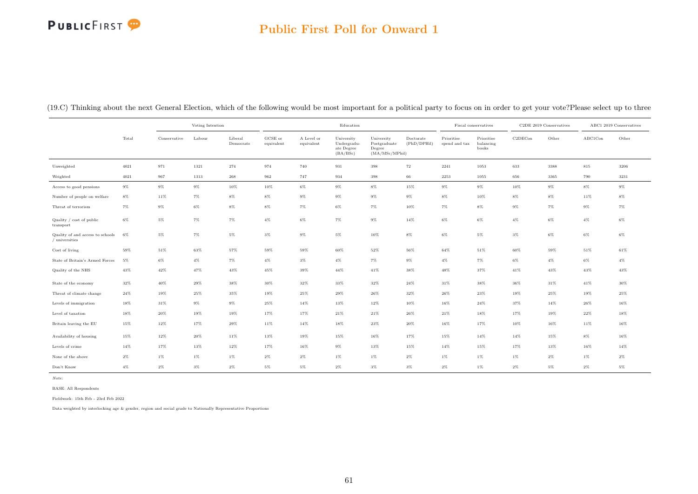# **PUBLICFIRST**

### Public First Poll for Onward 1

(19.C) Thinking about the next General Election, which of the following would be most important for a political party to focus on in order to get your vote?Please select up to three

|                                                    |        |              | Voting Intention |                      |                       |                          | Education                                           |                                                        |                          |                             | Fiscal conservatives             |         | C2DE 2019 Conservatives |         | ABC1 2019 Conservatives |
|----------------------------------------------------|--------|--------------|------------------|----------------------|-----------------------|--------------------------|-----------------------------------------------------|--------------------------------------------------------|--------------------------|-----------------------------|----------------------------------|---------|-------------------------|---------|-------------------------|
|                                                    | Total  | Conservative | Labour           | Liberal<br>Democrats | GCSE or<br>equivalent | A Level or<br>equivalent | University<br>Undergradu-<br>ate Degree<br>(BA/BSc) | University<br>Postgraduate<br>Degree<br>(MA/MSc/MPhil) | Doctorate<br>(PhD/DPHil) | Prioritise<br>spend and tax | Prioritise<br>balancing<br>books | C2DECon | Other                   | ABC1Con | Other                   |
| Unweighted                                         | 4021   | 971          | 1321             | 274                  | 974                   | 740                      | 931                                                 | 398                                                    | 72                       | 2241                        | 1053                             | 633     | 3388                    | 815     | 3206                    |
| Weighted                                           | 4021   | 967          | 1313             | $\boldsymbol{268}$   | 962                   | 747                      | 934                                                 | 398                                                    | $_{\rm 66}$              | 2253                        | 1055                             | 656     | 3365                    | 790     | 3231                    |
| Access to good pensions                            | $9\%$  | $9\%$        | $9\%$            | 10%                  | 10%                   | $6\%$                    | $9\%$                                               | $8\%$                                                  | 15%                      | $9\%$                       | $9\%$                            | 10%     | $9\%$                   | $8\%$   | $9\%$                   |
| Number of people on welfare                        | $8\%$  | 11%          | $7\%$            | $8\%$                | $8\%$                 | $9\%$                    | $9\%$                                               | $9\%$                                                  | $9\%$                    | $8\%$                       | 10%                              | $8\%$   | $8\%$                   | $11\%$  | $8\%$                   |
| Threat of terrorism                                | $7\%$  | $9\%$        | $6\%$            | $8\%$                | $8\%$                 | $7\%$                    | $6\%$                                               | $7\%$                                                  | 10%                      | $7\%$                       | $8\%$                            | $9\%$   | $7\%$                   | $9\%$   | $7\%$                   |
| Quality / cost of public<br>transport              | $6\%$  | $5\%$        | $7\%$            | $7\%$                | $4\%$                 | $6\%$                    | $7\%$                                               | $9\%$                                                  | $14\%$                   | $6\%$                       | $6\%$                            | $4\%$   | $6\%$                   | $4\%$   | $6\%$                   |
| Quality of and access to schools<br>/ universities | 6%     | $5\%$        | $7\%$            | $5\%$                | $3\%$                 | $9\%$                    | $5\%$                                               | 10%                                                    | $8\%$                    | $6\%$                       | $5\%$                            | $3\%$   | $6\%$                   | $6\%$   | $6\%$                   |
| Cost of living                                     | 59%    | $51\%$       | 63%              | 57%                  | 59%                   | 59%                      | 60%                                                 | 52%                                                    | 56%                      | 64%                         | 51%                              | 60%     | $59\%$                  | 51%     | $61\%$                  |
| State of Britain's Armed Forces                    | 5%     | $6\%$        | $4\%$            | $7\%$                | $4\%$                 | $3\%$                    | $4\%$                                               | $7\%$                                                  | $9\%$                    | $4\%$                       | $7\%$                            | $6\%$   | $4\%$                   | $6\%$   | $4\%$                   |
| Quality of the NHS                                 | 43%    | $42\%$       | 47%              | 43%                  | 45%                   | 39%                      | 44%                                                 | 41%                                                    | 38%                      | 48%                         | 37%                              | 41%     | 43%                     | 43%     | $43\%$                  |
| State of the economy                               | 32%    | $40\%$       | $29\%$           | 38%                  | 30%                   | 32%                      | $33\%$                                              | $32\%$                                                 | 24%                      | 31%                         | 38%                              | $36\%$  | $31\%$                  | $41\%$  | 30%                     |
| Threat of climate change                           | $24\%$ | 19%          | 25%              | 35%                  | 19%                   | 25%                      | $29\%$                                              | 26%                                                    | $32\%$                   | $26\%$                      | 23%                              | 19%     | 25%                     | 19%     | 25%                     |
| Levels of immigration                              | 18%    | $31\%$       | $9\%$            | $9\%$                | 25%                   | 14%                      | 13%                                                 | 12%                                                    | 10%                      | 16%                         | 24%                              | 37%     | 14%                     | 26%     | 16%                     |
| Level of taxation                                  | 18%    | $20\%$       | 19%              | 19%                  | 17%                   | 17%                      | $21\%$                                              | $21\%$                                                 | 26%                      | 21%                         | 18%                              | 17%     | 19%                     | 22%     | 18%                     |
| Britain leaving the EU                             | 15%    | $12\%$       | 17%              | 29%                  | 11%                   | $14\%$                   | 18%                                                 | 23%                                                    | 20%                      | 16%                         | 17%                              | $10\%$  | 16%                     | 11%     | 16%                     |
| Availability of housing                            | 15%    | $12\%$       | $20\%$           | 11%                  | 13%                   | 19%                      | 15%                                                 | 16%                                                    | 17%                      | 15%                         | 14%                              | 14%     | 15%                     | $8\%$   | 16%                     |
| Levels of crime                                    | 14%    | 17%          | 13%              | 12%                  | 17%                   | 16%                      | $9\%$                                               | $13\%$                                                 | 15%                      | 14%                         | 15%                              | 17%     | 13%                     | 16%     | 14%                     |
| None of the above                                  | $2\%$  | $1\%$        | $1\%$            | $1\%$                | $2\%$                 | $2\%$                    | $1\%$                                               | $1\%$                                                  | $2\%$                    | $1\%$                       | $1\%$                            | $1\%$   | $2\%$                   | $1\%$   | $2\%$                   |
| Don't Know                                         | $4\%$  | $2\%$        | $3\%$            | $2\%$                | $5\%$                 | $5\%$                    | $2\%$                                               | $3\%$                                                  | $3\%$                    | $2\%$                       | $1\%$                            | $2\%$   | $5\%$                   | $2\%$   | $5\%$                   |

Note:

BASE: All Respondents

Fieldwork: 15th Feb - 23rd Feb 2022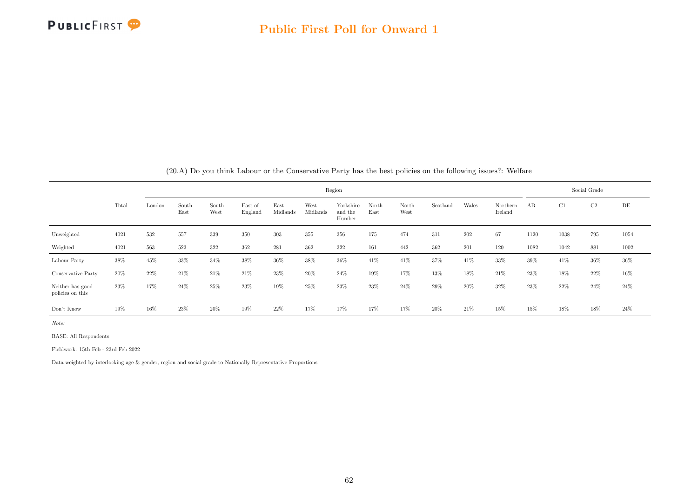

|                                      |       |        |                                                                                                                                                                                                                                                                    |      | zu.A) Do you think Labour or the Conservative Party has the best policies on the ionowing issues!! Wellare [20 |     |     |        |     |     |     |                     |     |      |      |              |        |
|--------------------------------------|-------|--------|--------------------------------------------------------------------------------------------------------------------------------------------------------------------------------------------------------------------------------------------------------------------|------|----------------------------------------------------------------------------------------------------------------|-----|-----|--------|-----|-----|-----|---------------------|-----|------|------|--------------|--------|
|                                      |       |        |                                                                                                                                                                                                                                                                    |      |                                                                                                                |     |     | Region |     |     |     |                     |     |      |      | Social Grade |        |
|                                      | Total | London | South<br>West<br>East of<br>North<br>Scotland<br>Wales<br>South<br>East<br>Yorkshire<br>North<br>Midlands<br>Midlands<br>East<br>East<br>West<br>England<br>and the<br>West<br>Humber<br>202<br>532<br>557<br>339<br>350<br>303<br>355<br>356<br>175<br>474<br>311 |      |                                                                                                                |     |     |        |     |     |     | Northern<br>Ireland | AB  | C1   | C2   | DE           |        |
| Unweighted                           | 4021  |        |                                                                                                                                                                                                                                                                    |      |                                                                                                                |     |     |        |     |     |     |                     | 67  | 1120 | 1038 | 795          | 1054   |
| Weighted                             | 4021  | 563    | 523                                                                                                                                                                                                                                                                | 322  | 362                                                                                                            | 281 | 362 | 322    | 161 | 442 | 362 | 201                 | 120 | 1082 | 1042 | 881          | 1002   |
| Labour Party                         | 38%   | 45%    | 33%                                                                                                                                                                                                                                                                | 34%  | 38%                                                                                                            | 36% | 38% | 36%    | 41% | 41% | 37% | 41%                 | 33% | 39%  | 41\% | 36%          | $36\%$ |
| Conservative Party                   | 20%   | 22%    | $21\%$                                                                                                                                                                                                                                                             | 21\% | 21%                                                                                                            | 23% | 20% | $24\%$ | 19% | 17% | 13% | 18%                 | 21% | 23\% | 18%  | 22%          | 16%    |
| Neither has good<br>policies on this | 23%   | 17%    | $24\%$                                                                                                                                                                                                                                                             | 25%  | 23%                                                                                                            | 19% | 25% | 23%    | 23% | 24% | 29% | 20%                 | 32% | 23%  | 22%  | 24%          | 24\%   |
| Don't Know                           | 19%   | 16%    | 23%                                                                                                                                                                                                                                                                | 20%  | 19%                                                                                                            | 22% | 17% | 17%    | 17% | 17% | 20% | 21%                 | 15% | 15%  | 18%  | 18%          | 24%    |

(20.A) Do you think Labour or the Conservative Party has the best policies on the following issues?: Welfare

Note:

BASE: All Respondents

Fieldwork: 15th Feb - 23rd Feb 2022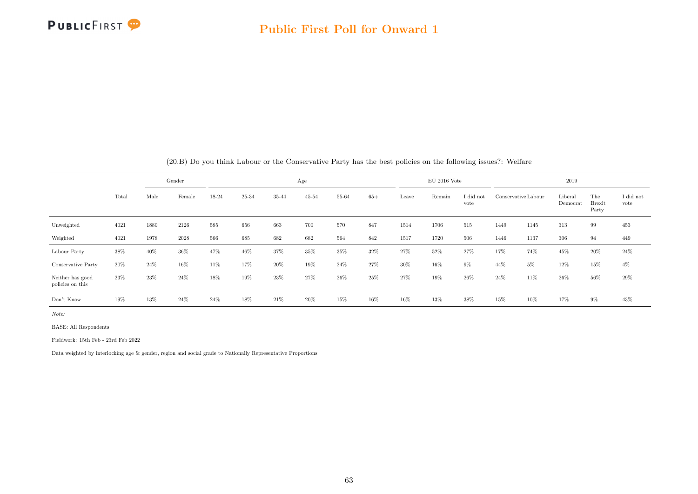

|                                      |        |        | Gender |       |       |        | Age       |       |       |       | $EU$ 2016 Vote |                   |        |                     | 2019                |                               |                   |
|--------------------------------------|--------|--------|--------|-------|-------|--------|-----------|-------|-------|-------|----------------|-------------------|--------|---------------------|---------------------|-------------------------------|-------------------|
|                                      | Total  | Male   | Female | 18-24 | 25-34 | 35-44  | $45 - 54$ | 55-64 | $65+$ | Leave | Remain         | I did not<br>vote |        | Conservative Labour | Liberal<br>Democrat | The<br><b>Brexit</b><br>Party | I did not<br>vote |
| Unweighted                           | 4021   | 1880   | 2126   | 585   | 656   | 663    | 700       | 570   | 847   | 1514  | 1706           | 515               | 1449   | 1145                | 313                 | 99                            | 453               |
| Weighted                             | 4021   | 1978   | 2028   | 566   | 685   | 682    | 682       | 564   | 842   | 1517  | 1720           | 506               | 1446   | 1137                | 306                 | 94                            | 449               |
| Labour Party                         | 38%    | 40%    | $36\%$ | 47%   | 46%   | 37%    | 35%       | 35%   | 32%   | 27%   | 52%            | 27%               | 17%    | 74%                 | 45%                 | 20%                           | $24\%$            |
| Conservative Party                   | $20\%$ | $24\%$ | 16%    | 11%   | 17%   | $20\%$ | 19%       | 24%   | 27%   | 30%   | 16%            | 9%                | 44%    | $5\%$               | 12%                 | 15%                           | $4\%$             |
| Neither has good<br>policies on this | 23%    | 23%    | $24\%$ | 18%   | 19%   | 23\%   | 27%       | 26\%  | 25%   | 27%   | 19%            | 26%               | $24\%$ | 11%                 | 26%                 | 56%                           | 29%               |
| Don't Know                           | 19%    | 13%    | 24%    | 24%   | 18%   | 21%    | 20%       | 15%   | 16%   | 16%   | 13%            | 38%               | 15%    | 10%                 | 17%                 | 9%                            | 43%               |

(20.B) Do you think Labour or the Conservative Party has the best policies on the following issues?: Welfare

Note:

BASE: All Respondents

Fieldwork: 15th Feb - 23rd Feb 2022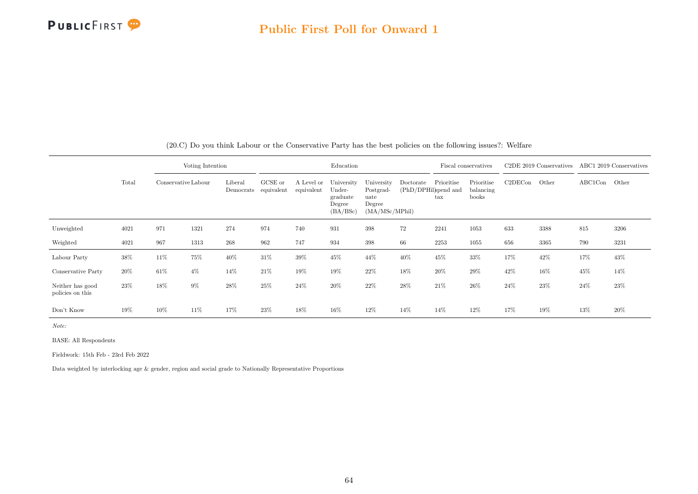

|                                      |       |                     | Voting Intention |                      |                       |                          | Education                                              |                                                             |           |                                                    | Fiscal conservatives             |         | C2DE 2019 Conservatives |         | ABC1 2019 Conservatives |
|--------------------------------------|-------|---------------------|------------------|----------------------|-----------------------|--------------------------|--------------------------------------------------------|-------------------------------------------------------------|-----------|----------------------------------------------------|----------------------------------|---------|-------------------------|---------|-------------------------|
|                                      | Total | Conservative Labour |                  | Liberal<br>Democrats | GCSE or<br>equivalent | A Level or<br>equivalent | University<br>Under-<br>graduate<br>Degree<br>(BA/BSc) | University<br>Postgrad-<br>uate<br>Degree<br>(MA/MSc/MPhil) | Doctorate | Prioritise<br>(PhD/DPHil)spend and<br>$_{\rm tax}$ | Prioritise<br>balancing<br>books | C2DECon | Other                   | ABC1Con | Other                   |
| Unweighted                           | 4021  | 971                 | 1321             | 274                  | 974                   | 740                      | 931                                                    | 398                                                         | 72        | 2241                                               | 1053                             | 633     | 3388                    | 815     | 3206                    |
| Weighted                             | 4021  | 967                 | 1313             | 268                  | 962                   | 747                      | 934                                                    | 398                                                         | 66        | 2253                                               | 1055                             | 656     | 3365                    | 790     | 3231                    |
| Labour Party                         | 38%   | 11%                 | 75%              | 40%                  | 31\%                  | 39%                      | 45%                                                    | 44%                                                         | 40%       | 45%                                                | 33%                              | 17%     | 42%                     | 17%     | 43%                     |
| Conservative Party                   | 20%   | 61%                 | $4\%$            | 14%                  | 21\%                  | 19%                      | 19%                                                    | 22%                                                         | 18%       | 20%                                                | 29%                              | 42%     | 16%                     | 45%     | 14%                     |
| Neither has good<br>policies on this | 23\%  | 18%                 | 9%               | 28%                  | 25%                   | 24%                      | 20%                                                    | 22%                                                         | 28%       | 21%                                                | 26%                              | 24\%    | 23%                     | 24%     | 23\%                    |
| Don't Know                           | 19%   | 10%                 | 11%              | 17%                  | 23\%                  | 18%                      | 16%                                                    | 12%                                                         | 14%       | 14%                                                | 12%                              | 17%     | 19%                     | 13%     | 20%                     |

(20.C) Do you think Labour or the Conservative Party has the best policies on the following issues?: Welfare

Note:

BASE: All Respondents

Fieldwork: 15th Feb - 23rd Feb 2022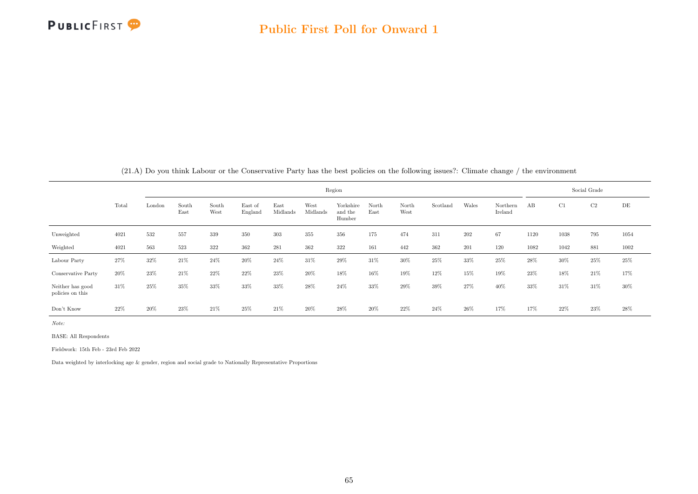

|  |  | (21.A) Do you think Labour or the Conservative Party has the best policies on the following issues?: Climate change / the environment |
|--|--|---------------------------------------------------------------------------------------------------------------------------------------|
|  |  |                                                                                                                                       |

|                                      |        |        |               |               |                    |                  |                  | Region                         |               |               |          |        |                     |      |        | Social Grade |           |
|--------------------------------------|--------|--------|---------------|---------------|--------------------|------------------|------------------|--------------------------------|---------------|---------------|----------|--------|---------------------|------|--------|--------------|-----------|
|                                      | Total  | London | South<br>East | South<br>West | East of<br>England | East<br>Midlands | West<br>Midlands | Yorkshire<br>and the<br>Humber | North<br>East | North<br>West | Scotland | Wales  | Northern<br>Ireland | AB   | C1     | C2           | $\rm{DE}$ |
| Unweighted                           | 4021   | 532    | 557           | 339           | 350                | 303              | 355              | 356                            | 175           | 474           | 311      | 202    | 67                  | 1120 | 1038   | 795          | 1054      |
| Weighted                             | 4021   | 563    | 523           | 322           | 362                | 281              | 362              | 322                            | 161           | 442           | 362      | 201    | 120                 | 1082 | 1042   | 881          | 1002      |
| Labour Party                         | 27%    | 32%    | 21%           | 24%           | 20%                | 24%              | 31%              | 29%                            | 31%           | 30%           | $25\%$   | 33%    | 25%                 | 28\% | $30\%$ | 25%          | $25\%$    |
| Conservative Party                   | $20\%$ | 23%    | 21%           | $22\%$        | 22%                | 23%              | 20%              | 18%                            | 16%           | 19%           | 12%      | 15%    | 19%                 | 23%  | 18%    | $21\%$       | 17%       |
| Neither has good<br>policies on this | 31\%   | 25%    | 35%           | 33%           | 33%                | 33%              | 28%              | 24\%                           | 33%           | 29%           | 39%      | 27%    | 40%                 | 33%  | 31%    | 31%          | $30\%$    |
| Don't Know                           | 22%    | 20%    | 23%           | 21\%          | $25\%$             | 21%              | 20%              | 28\%                           | 20%           | 22\%          | 24%      | $26\%$ | 17%                 | 17%  | $22\%$ | $23\%$       | 28%       |

Note:

BASE: All Respondents

Fieldwork: 15th Feb - 23rd Feb 2022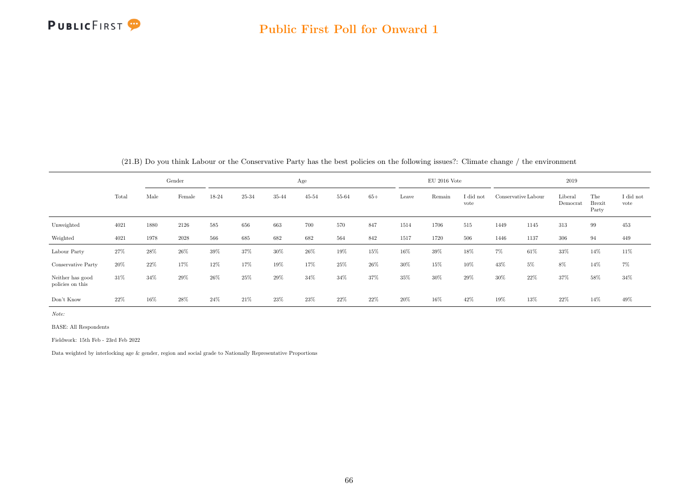

|                                      |       |      | Gender |       |       |       | Age       |       |       |       | $EU$ 2016 Vote |                   |        |                     | 2019                |                               |                   |
|--------------------------------------|-------|------|--------|-------|-------|-------|-----------|-------|-------|-------|----------------|-------------------|--------|---------------------|---------------------|-------------------------------|-------------------|
|                                      | Total | Male | Female | 18-24 | 25-34 | 35-44 | $45 - 54$ | 55-64 | $65+$ | Leave | Remain         | I did not<br>vote |        | Conservative Labour | Liberal<br>Democrat | The<br><b>Brexit</b><br>Party | I did not<br>vote |
| Unweighted                           | 4021  | 1880 | 2126   | 585   | 656   | 663   | 700       | 570   | 847   | 1514  | 1706           | 515               | 1449   | 1145                | 313                 | 99                            | 453               |
| Weighted                             | 4021  | 1978 | 2028   | 566   | 685   | 682   | 682       | 564   | 842   | 1517  | 1720           | 506               | 1446   | 1137                | 306                 | 94                            | 449               |
| Labour Party                         | 27%   | 28\% | 26%    | 39%   | 37%   | 30%   | $26\%$    | 19%   | 15%   | 16%   | 39%            | 18%               | $7\%$  | 61%                 | 33%                 | 14%                           | 11\%              |
| Conservative Party                   | 20%   | 22%  | 17%    | 12%   | 17%   | 19%   | 17%       | 25%   | 26%   | 30%   | 15%            | 10%               | 43%    | 5%                  | 8%                  | 14%                           | 7%                |
| Neither has good<br>policies on this | 31\%  | 34%  | 29%    | 26%   | 25%   | 29%   | 34%       | 34%   | 37%   | 35%   | 30%            | 29%               | $30\%$ | 22\%                | 37%                 | 58%                           | $34\%$            |
| Don't Know                           | 22%   | 16%  | 28%    | 24%   | 21%   | 23%   | 23%       | 22%   | 22%   | 20%   | 16%            | 42%               | 19%    | 13%                 | 22%                 | 14%                           | 49%               |

(21.B) Do you think Labour or the Conservative Party has the best policies on the following issues?: Climate change / the environment

Note:

BASE: All Respondents

Fieldwork: 15th Feb - 23rd Feb 2022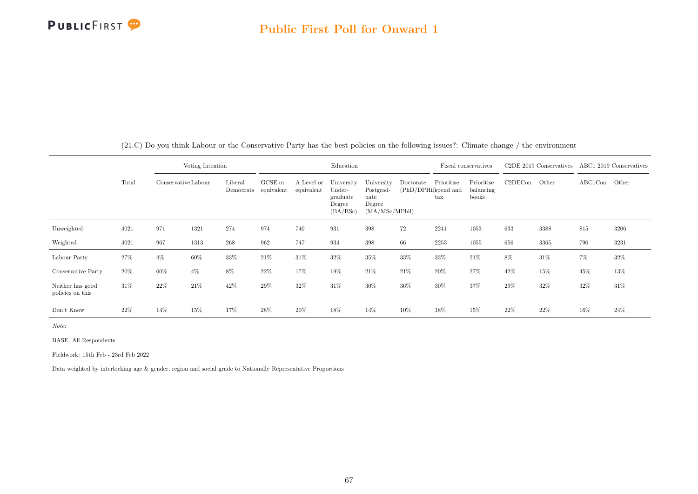

|                                      |       |                     | Voting Intention |                      |                       |                          | Education                                              |                                                             |                                   |                            | Fiscal conservatives             |         | C <sub>2</sub> DE 2019 Conservatives |               | ABC1 2019 Conservatives |
|--------------------------------------|-------|---------------------|------------------|----------------------|-----------------------|--------------------------|--------------------------------------------------------|-------------------------------------------------------------|-----------------------------------|----------------------------|----------------------------------|---------|--------------------------------------|---------------|-------------------------|
|                                      | Total | Conservative Labour |                  | Liberal<br>Democrats | GCSE or<br>equivalent | A Level or<br>equivalent | University<br>Under-<br>graduate<br>Degree<br>(BA/BSc) | University<br>Postgrad-<br>uate<br>Degree<br>(MA/MSc/MPhil) | Doctorate<br>(PhD/DPHil)spend and | Prioritise<br>$\text{tax}$ | Prioritise<br>balancing<br>books | C2DECon | Other                                | ABC1Con Other |                         |
| Unweighted                           | 4021  | 971                 | 1321             | 274                  | 974                   | 740                      | 931                                                    | 398                                                         | 72                                | 2241                       | 1053                             | 633     | 3388                                 | 815           | 3206                    |
| Weighted                             | 4021  | 967                 | 1313             | 268                  | 962                   | 747                      | 934                                                    | 398                                                         | 66                                | 2253                       | 1055                             | 656     | 3365                                 | 790           | 3231                    |
| Labour Party                         | 27%   | $4\%$               | 60%              | 33%                  | 21%                   | 31%                      | 32%                                                    | 35%                                                         | 33%                               | 33%                        | 21\%                             | 8%      | $31\%$                               | $7\%$         | 32%                     |
| Conservative Party                   | 20%   | 60%                 | $4\%$            | 8%                   | 22%                   | 17%                      | 19%                                                    | 21\%                                                        | 21\%                              | 20%                        | 27%                              | 42%     | 15%                                  | 45%           | 13%                     |
| Neither has good<br>policies on this | 31%   | 22%                 | 21\%             | 42%                  | 29%                   | 32%                      | 31%                                                    | $30\%$                                                      | 36%                               | 30%                        | 37%                              | 29%     | 32%                                  | 32%           | 31%                     |
| Don't Know                           | 22%   | 14%                 | 15%              | 17%                  | 28\%                  | 20%                      | 18%                                                    | 14%                                                         | 10%                               | 18%                        | 15%                              | 22%     | 22%                                  | 16%           | 24%                     |

(21.C) Do you think Labour or the Conservative Party has the best policies on the following issues?: Climate change / the environment

Note:

BASE: All Respondents

Fieldwork: 15th Feb - 23rd Feb 2022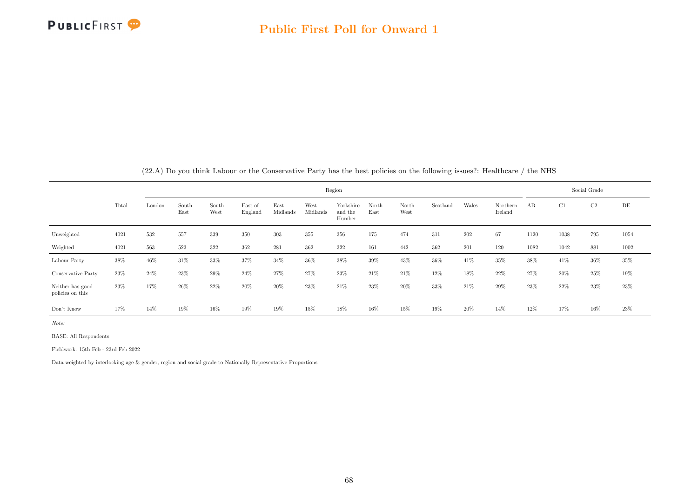

|  | (22.A) Do you think Labour or the Conservative Party has the best policies on the following issues?: Healthcare / the NHS |  |  |  |  |
|--|---------------------------------------------------------------------------------------------------------------------------|--|--|--|--|
|--|---------------------------------------------------------------------------------------------------------------------------|--|--|--|--|

|                                      |       | Region                         |               |               |                    |                  |                  |                                |               |               |          |        |                     |      | Social Grade |                |        |  |  |
|--------------------------------------|-------|--------------------------------|---------------|---------------|--------------------|------------------|------------------|--------------------------------|---------------|---------------|----------|--------|---------------------|------|--------------|----------------|--------|--|--|
|                                      | Total | $\mathop{\rm London}\nolimits$ | South<br>East | South<br>West | East of<br>England | East<br>Midlands | West<br>Midlands | Yorkshire<br>and the<br>Humber | North<br>East | North<br>West | Scotland | Wales  | Northern<br>Ireland | AB   | C1           | C <sub>2</sub> | DE     |  |  |
| Unweighted                           | 4021  | 532                            | 557           | 339           | 350                | 303              | 355              | 356                            | 175           | 474           | 311      | 202    | 67                  | 1120 | 1038         | 795            | 1054   |  |  |
| Weighted                             | 4021  | 563                            | 523           | 322           | 362                | 281              | 362              | 322                            | 161           | 442           | 362      | 201    | 120                 | 1082 | 1042         | 881            | 1002   |  |  |
| Labour Party                         | 38%   | 46%                            | 31%           | 33%           | 37%                | 34%              | 36%              | 38%                            | 39%           | 43%           | 36%      | 41%    | 35%                 | 38%  | 41\%         | 36%            | $35\%$ |  |  |
| Conservative Party                   | 23%   | 24%                            | 23%           | $29\%$        | 24%                | 27%              | 27%              | $23\%$                         | 21\%          | 21%           | 12%      | 18%    | 22%                 | 27%  | 20%          | 25%            | 19%    |  |  |
| Neither has good<br>policies on this | 23%   | 17%                            | 26%           | 22%           | 20%                | 20%              | 23%              | $21\%$                         | 23%           | 20%           | 33%      | 21\%   | 29%                 | 23%  | 22%          | 23%            | 23%    |  |  |
| Don't Know                           | 17%   | 14%                            | 19%           | 16%           | 19%                | 19%              | 15%              | 18%                            | 16%           | 15%           | 19%      | $20\%$ | 14%                 | 12%  | 17%          | 16%            | 23%    |  |  |

Note:

BASE: All Respondents

Fieldwork: 15th Feb - 23rd Feb 2022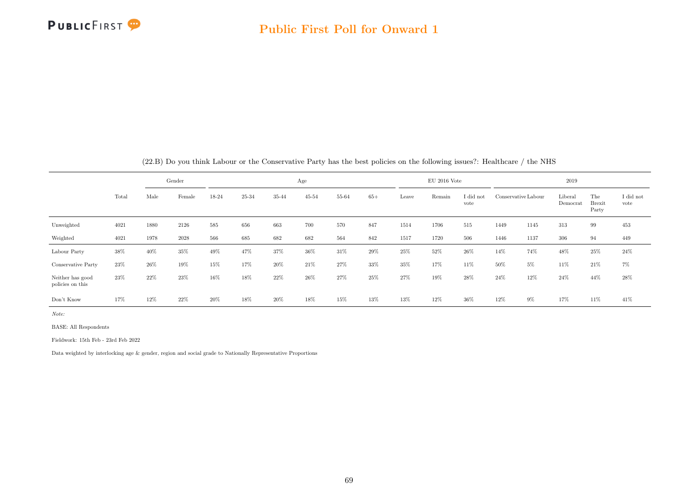

|                                      | Gender |        |          |       |       |       | Age       |       |       |        | $EU$ 2016 Vote |                   | 2019 |                                            |         |                               |                   |
|--------------------------------------|--------|--------|----------|-------|-------|-------|-----------|-------|-------|--------|----------------|-------------------|------|--------------------------------------------|---------|-------------------------------|-------------------|
|                                      | Total  | Male   | Female   | 18-24 | 25-34 | 35-44 | $45 - 54$ | 55-64 | $65+$ | Leave  | Remain         | I did not<br>vote |      | Liberal<br>Conservative Labour<br>Democrat |         | The<br><b>Brexit</b><br>Party | I did not<br>vote |
| Unweighted                           | 4021   | 1880   | 2126     | 585   | 656   | 663   | 700       | 570   | 847   | 1514   | 1706           | 515               | 1449 | 1145                                       | 313     | 99                            | 453               |
| Weighted                             | 4021   | 1978   | $2028\,$ | 566   | 685   | 682   | 682       | 564   | 842   | 1517   | 1720           | 506               | 1446 | 1137                                       | $306\,$ | 94                            | 449               |
| Labour Party                         | 38%    | 40%    | 35%      | 49%   | 47%   | 37%   | 36%       | 31%   | 29%   | 25%    | 52%            | 26\%              | 14%  | 74%                                        | 48%     | 25%                           | 24\%              |
| Conservative Party                   | 23%    | 26%    | 19%      | 15%   | 17%   | 20%   | 21%       | 27%   | 33%   | 35%    | 17%            | 11%               | 50%  | $5\%$                                      | 11%     | 21\%                          | 7%                |
| Neither has good<br>policies on this | 23%    | $22\%$ | 23%      | 16%   | 18%   | 22%   | 26%       | 27%   | 25%   | 27%    | 19%            | 28%               | 24\% | 12%                                        | 24\%    | 44%                           | $28\%$            |
| Don't Know                           | 17%    | 12%    | 22%      | 20%   | 18%   | 20%   | 18%       | 15%   | 13%   | $13\%$ | 12%            | 36%               | 12%  | 9%                                         | 17%     | 11%                           | 41\%              |

(22.B) Do you think Labour or the Conservative Party has the best policies on the following issues?: Healthcare / the NHS

Note:

BASE: All Respondents

Fieldwork: 15th Feb - 23rd Feb 2022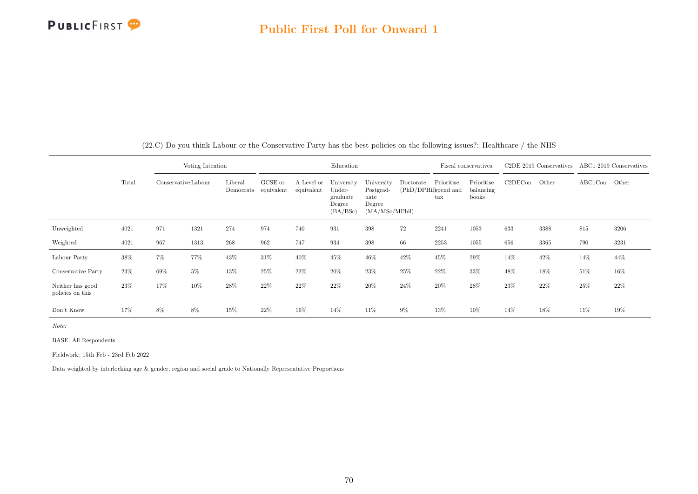

|                                      |       |                     | Voting Intention |                      |                       |                          | Education                                              |                                                             |                                   | Fiscal conservatives       |                                  | C <sub>2</sub> DE 2019 Conservatives |       | ABC1 2019 Conservatives |      |
|--------------------------------------|-------|---------------------|------------------|----------------------|-----------------------|--------------------------|--------------------------------------------------------|-------------------------------------------------------------|-----------------------------------|----------------------------|----------------------------------|--------------------------------------|-------|-------------------------|------|
|                                      | Total | Conservative Labour |                  | Liberal<br>Democrats | GCSE or<br>equivalent | A Level or<br>equivalent | University<br>Under-<br>graduate<br>Degree<br>(BA/BSc) | University<br>Postgrad-<br>uate<br>Degree<br>(MA/MSc/MPhil) | Doctorate<br>(PhD/DPHil)spend and | Prioritise<br>$\text{tax}$ | Prioritise<br>balancing<br>books | C2DECon                              | Other | ABC1Con Other           |      |
| Unweighted                           | 4021  | 971                 | 1321             | 274                  | 974                   | 740                      | 931                                                    | 398                                                         | 72                                | 2241                       | 1053                             | 633                                  | 3388  | 815                     | 3206 |
| Weighted                             | 4021  | 967                 | 1313             | 268                  | 962                   | 747                      | 934                                                    | 398                                                         | 66                                | 2253                       | 1055                             | 656                                  | 3365  | 790                     | 3231 |
| Labour Party                         | 38%   | $7\%$               | 77%              | 43%                  | $31\%$                | 40%                      | 45%                                                    | 46%                                                         | 42%                               | 45%                        | 29%                              | 14%                                  | 42%   | 14%                     | 44%  |
| Conservative Party                   | 23%   | 69%                 | $5\%$            | 13%                  | 25%                   | 22%                      | 20%                                                    | 23%                                                         | 25%                               | 22%                        | 33%                              | 48%                                  | 18%   | 51%                     | 16%  |
| Neither has good<br>policies on this | 23%   | 17%                 | 10%              | 28%                  | 22%                   | 22%                      | $22\%$                                                 | 20%                                                         | 24%                               | 20%                        | 28%                              | 23%                                  | 22%   | 25%                     | 22%  |
| Don't Know                           | 17%   | 8%                  | 8%               | 15%                  | $22\%$                | 16%                      | 14%                                                    | $11\%$                                                      | $9\%$                             | 13%                        | 10%                              | 14%                                  | 18%   | 11\%                    | 19%  |

(22.C) Do you think Labour or the Conservative Party has the best policies on the following issues?: Healthcare / the NHS

Note:

BASE: All Respondents

Fieldwork: 15th Feb - 23rd Feb 2022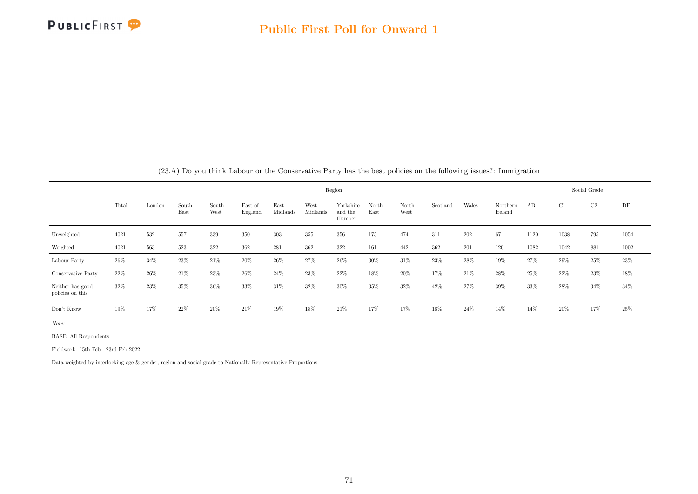

|                                      | $(20.4)$ DO you think Labour of the Conservative Farty has the best policies on the following issues:. Thinngfation |        |               |               |                    |                  |                  |                                |               |               |          |       |                     |      |      |              |      |  |  |  |  |
|--------------------------------------|---------------------------------------------------------------------------------------------------------------------|--------|---------------|---------------|--------------------|------------------|------------------|--------------------------------|---------------|---------------|----------|-------|---------------------|------|------|--------------|------|--|--|--|--|
|                                      |                                                                                                                     | Region |               |               |                    |                  |                  |                                |               |               |          |       |                     |      |      | Social Grade |      |  |  |  |  |
|                                      | Total                                                                                                               | London | South<br>East | South<br>West | East of<br>England | East<br>Midlands | West<br>Midlands | Yorkshire<br>and the<br>Humber | North<br>East | North<br>West | Scotland | Wales | Northern<br>Ireland | AB   | C1   | C2           | DE   |  |  |  |  |
| Unweighted                           | 4021                                                                                                                | 532    | 557           | 339           | 350                | 303              | 355              | 356                            | 175           | 474           | 311      | 202   | 67                  | 1120 | 1038 | 795          | 1054 |  |  |  |  |
| Weighted                             | 4021                                                                                                                | 563    | 523           | 322           | 362                | 281              | 362              | 322                            | 161           | 442           | 362      | 201   | 120                 | 1082 | 1042 | 881          | 1002 |  |  |  |  |
| Labour Party                         | 26%                                                                                                                 | 34%    | 23%           | 21%           | 20%                | $26\%$           | 27%              | 26%                            | 30%           | 31%           | 23%      | 28%   | 19%                 | 27%  | 29%  | $25\%$       | 23%  |  |  |  |  |
| Conservative Party                   | 22%                                                                                                                 | $26\%$ | 21%           | 23%           | 26%                | 24%              | 23%              | 22%                            | 18%           | 20%           | 17%      | 21%   | 28%                 | 25%  | 22%  | 23%          | 18%  |  |  |  |  |
| Neither has good<br>policies on this | 32%                                                                                                                 | 23%    | 35%           | 36%           | 33%                | 31\%             | 32%              | 30%                            | 35%           | 32%           | 42\%     | 27%   | 39%                 | 33%  | 28%  | 34%          | 34%  |  |  |  |  |
| Don't Know                           | 19%                                                                                                                 | 17%    | 22%           | 20%           | 21\%               | 19%              | 18%              | 21\%                           | 17%           | 17%           | 18%      | 24%   | 14\%                | 14%  | 20%  | 17%          | 25%  |  |  |  |  |

(23.A) Do you think Labour or the Conservative Party has the best policies on the following issues?: Immigration

Note:

BASE: All Respondents

Fieldwork: 15th Feb - 23rd Feb 2022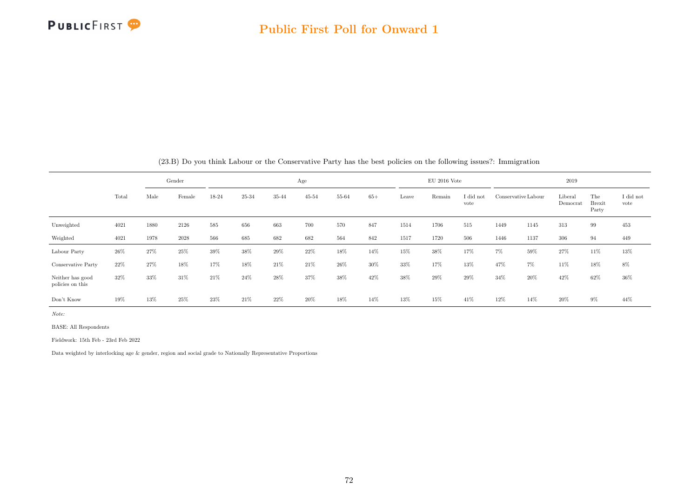

|                                      |       |        | Gender |       |       |        | Age       |       |       |       | $EU$ 2016 Vote |                   |       |                     | 2019                |                               |                   |
|--------------------------------------|-------|--------|--------|-------|-------|--------|-----------|-------|-------|-------|----------------|-------------------|-------|---------------------|---------------------|-------------------------------|-------------------|
|                                      | Total | Male   | Female | 18-24 | 25-34 | 35-44  | $45 - 54$ | 55-64 | $65+$ | Leave | Remain         | I did not<br>vote |       | Conservative Labour | Liberal<br>Democrat | The<br><b>Brexit</b><br>Party | I did not<br>vote |
| Unweighted                           | 4021  | 1880   | 2126   | 585   | 656   | 663    | 700       | 570   | 847   | 1514  | 1706           | 515               | 1449  | 1145                | 313                 | 99                            | $453\,$           |
| Weighted                             | 4021  | 1978   | 2028   | 566   | 685   | 682    | 682       | 564   | 842   | 1517  | 1720           | 506               | 1446  | 1137                | 306                 | 94                            | 449               |
| Labour Party                         | 26%   | $27\%$ | 25%    | 39%   | 38%   | 29%    | 22%       | 18%   | 14%   | 15%   | 38%            | 17%               | $7\%$ | 59%                 | 27%                 | 11%                           | 13%               |
| Conservative Party                   | 22%   | 27%    | 18%    | 17%   | 18%   | 21\%   | 21%       | 26\%  | 30%   | 33%   | 17%            | 13%               | 47%   | $7\%$               | 11%                 | 18%                           | 8%                |
| Neither has good<br>policies on this | 32%   | 33%    | 31%    | 21%   | 24%   | 28%    | 37%       | 38%   | 42%   | 38%   | 29%            | 29%               | 34%   | 20%                 | 42%                 | 62%                           | 36%               |
| Don't Know                           | 19%   | 13%    | 25%    | 23%   | 21\%  | $22\%$ | 20%       | 18%   | 14%   | 13%   | 15%            | 41\%              | 12%   | 14%                 | 20%                 | $9\%$                         | 44%               |

(23.B) Do you think Labour or the Conservative Party has the best policies on the following issues?: Immigration

Note:

BASE: All Respondents

Fieldwork: 15th Feb - 23rd Feb 2022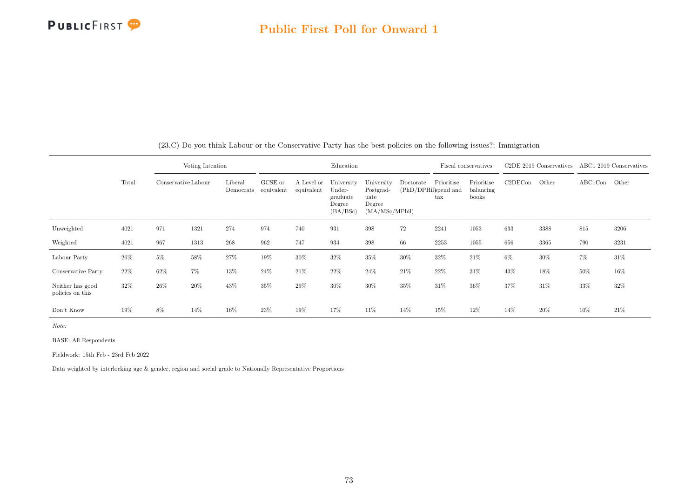

|                                      |        |                     | Voting Intention |                      |                       |                          | Education                                              |                                                             |                                   |                            | Fiscal conservatives             |         | C <sub>2</sub> DE 2019 Conservatives |         | ABC1 2019 Conservatives |
|--------------------------------------|--------|---------------------|------------------|----------------------|-----------------------|--------------------------|--------------------------------------------------------|-------------------------------------------------------------|-----------------------------------|----------------------------|----------------------------------|---------|--------------------------------------|---------|-------------------------|
|                                      | Total  | Conservative Labour |                  | Liberal<br>Democrats | GCSE or<br>equivalent | A Level or<br>equivalent | University<br>Under-<br>graduate<br>Degree<br>(BA/BSc) | University<br>Postgrad-<br>uate<br>Degree<br>(MA/MSc/MPhil) | Doctorate<br>(PhD/DPHil)spend and | Prioritise<br>$_{\rm tax}$ | Prioritise<br>balancing<br>books | C2DECon | Other                                | ABC1Con | Other                   |
| Unweighted                           | 4021   | 971                 | 1321             | 274                  | 974                   | 740                      | 931                                                    | 398                                                         | 72                                | 2241                       | 1053                             | 633     | 3388                                 | 815     | 3206                    |
| Weighted                             | 4021   | 967                 | 1313             | 268                  | 962                   | 747                      | 934                                                    | 398                                                         | 66                                | 2253                       | 1055                             | 656     | 3365                                 | 790     | 3231                    |
| Labour Party                         | 26%    | 5%                  | 58%              | 27%                  | 19%                   | 30%                      | 32%                                                    | 35%                                                         | 30%                               | 32%                        | 21\%                             | $6\%$   | 30%                                  | $7\%$   | $31\%$                  |
| Conservative Party                   | 22\%   | 62%                 | $7\%$            | 13%                  | 24\%                  | 21%                      | 22%                                                    | 24%                                                         | 21%                               | 22%                        | 31%                              | 43%     | 18%                                  | 50%     | $16\%$                  |
| Neither has good<br>policies on this | 32%    | $26\%$              | 20%              | 43%                  | $35\%$                | 29%                      | 30%                                                    | $30\%$                                                      | 35%                               | 31%                        | 36%                              | 37%     | 31\%                                 | 33%     | 32%                     |
| Don't Know                           | $19\%$ | 8%                  | 14%              | 16%                  | 23%                   | 19%                      | 17%                                                    | 11%                                                         | 14%                               | 15%                        | 12%                              | 14%     | 20%                                  | 10%     | 21\%                    |

(23.C) Do you think Labour or the Conservative Party has the best policies on the following issues?: Immigration

Note:

BASE: All Respondents

Fieldwork: 15th Feb - 23rd Feb 2022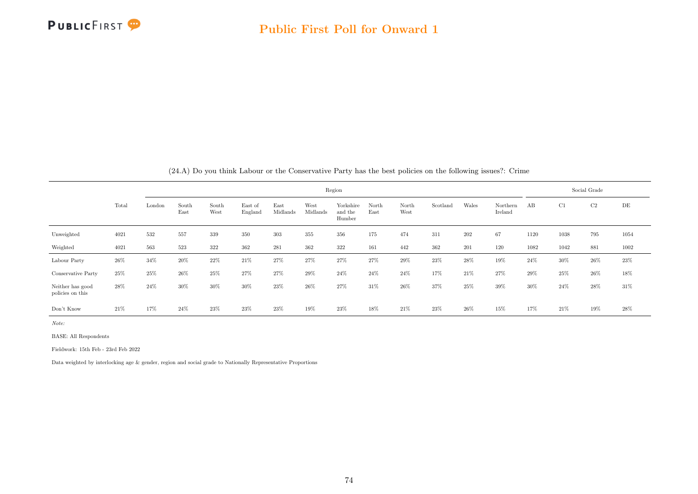

|                                      |        |        |               |               |                    |                  |                  |                                |               |               |          |       | (24.A) Do you think Labour or the Conservative Party has the best policies on the following issues!: Crime |        |      |              |      |
|--------------------------------------|--------|--------|---------------|---------------|--------------------|------------------|------------------|--------------------------------|---------------|---------------|----------|-------|------------------------------------------------------------------------------------------------------------|--------|------|--------------|------|
|                                      |        |        |               |               |                    |                  |                  | Region                         |               |               |          |       |                                                                                                            |        |      | Social Grade |      |
|                                      | Total  | London | South<br>East | South<br>West | East of<br>England | East<br>Midlands | West<br>Midlands | Yorkshire<br>and the<br>Humber | North<br>East | North<br>West | Scotland | Wales | Northern<br>Ireland                                                                                        | AB     | C1   | C2           | DE   |
| Unweighted                           | 4021   | 532    | 557           | 339           | 350                | 303              | 355              | 356                            | 175           | 474           | 311      | 202   | 67                                                                                                         | 1120   | 1038 | 795          | 1054 |
| Weighted                             | 4021   | 563    | 523           | 322           | 362                | 281              | 362              | 322                            | 161           | 442           | 362      | 201   | 120                                                                                                        | 1082   | 1042 | 881          | 1002 |
| Labour Party                         | 26\%   | $34\%$ | 20%           | 22%           | 21\%               | 27%              | 27%              | 27%                            | 27%           | 29%           | $23\%$   | 28%   | 19%                                                                                                        | 24\%   | 30%  | $26\%$       | 23%  |
| Conservative Party                   | $25\%$ | 25%    | 26%           | 25%           | 27%                | 27%              | 29%              | 24%                            | 24%           | 24\%          | 17%      | 21%   | 27%                                                                                                        | $29\%$ | 25%  | 26%          | 18%  |
| Neither has good<br>policies on this | 28\%   | 24%    | 30%           | 30%           | 30%                | 23%              | 26%              | 27%                            | 31%           | 26%           | 37%      | 25%   | 39%                                                                                                        | 30%    | 24%  | 28%          | 31\% |
| Don't Know                           | 21\%   | 17%    | $24\%$        | 23%           | 23\%               | 23%              | 19%              | 23%                            | 18%           | 21\%          | 23%      | 26%   | 15%                                                                                                        | 17%    | 21\% | 19%          | 28%  |

(24.A) Do you think Labour or the Conservative Party has the best policies on the following issues?: Crime

Note:

BASE: All Respondents

Fieldwork: 15th Feb - 23rd Feb 2022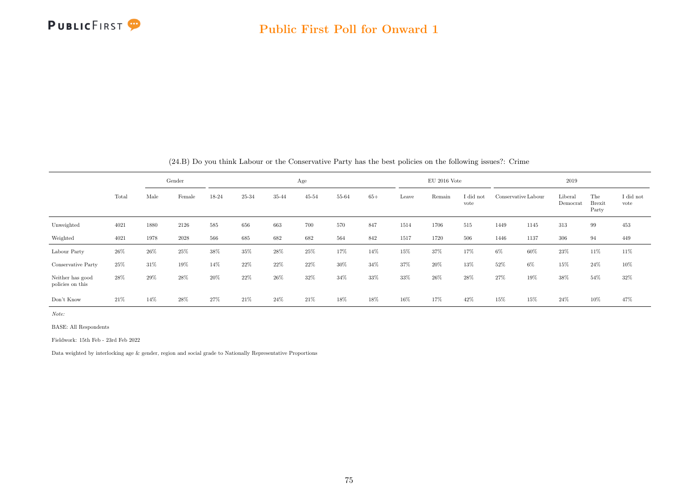

|                                      |       |      | Gender   |       |       |       | Age       |       |       |       | $EU$ 2016 Vote |                   |       |                     | 2019                |                               |                   |
|--------------------------------------|-------|------|----------|-------|-------|-------|-----------|-------|-------|-------|----------------|-------------------|-------|---------------------|---------------------|-------------------------------|-------------------|
|                                      | Total | Male | Female   | 18-24 | 25-34 | 35-44 | $45 - 54$ | 55-64 | $65+$ | Leave | Remain         | I did not<br>vote |       | Conservative Labour | Liberal<br>Democrat | The<br><b>Brexit</b><br>Party | I did not<br>vote |
| Unweighted                           | 4021  | 1880 | 2126     | 585   | 656   | 663   | 700       | 570   | 847   | 1514  | 1706           | 515               | 1449  | 1145                | 313                 | 99                            | 453               |
| Weighted                             | 4021  | 1978 | $2028\,$ | 566   | 685   | 682   | 682       | 564   | 842   | 1517  | 1720           | 506               | 1446  | 1137                | 306                 | 94                            | 449               |
| Labour Party                         | 26%   | 26%  | 25%      | 38%   | 35%   | 28%   | 25%       | 17%   | 14%   | 15%   | 37%            | 17%               | $6\%$ | 60%                 | 23%                 | 11%                           | $11\%$            |
| Conservative Party                   | 25%   | 31%  | 19%      | 14%   | 22%   | 22%   | 22%       | 30%   | 34%   | 37%   | 20%            | 13%               | 52%   | 6%                  | 15%                 | $24\%$                        | $10\%$            |
| Neither has good<br>policies on this | 28%   | 29%  | 28%      | 20%   | 22%   | 26\%  | 32%       | 34%   | 33%   | 33%   | 26\%           | 28%               | 27%   | 19%                 | 38%                 | 54%                           | 32%               |
| Don't Know                           | 21\%  | 14%  | 28%      | 27%   | 21\%  | 24%   | 21\%      | 18%   | 18%   | 16%   | 17%            | 42%               | 15%   | 15%                 | 24%                 | 10%                           | 47%               |

(24.B) Do you think Labour or the Conservative Party has the best policies on the following issues?: Crime

Note:

BASE: All Respondents

Fieldwork: 15th Feb - 23rd Feb 2022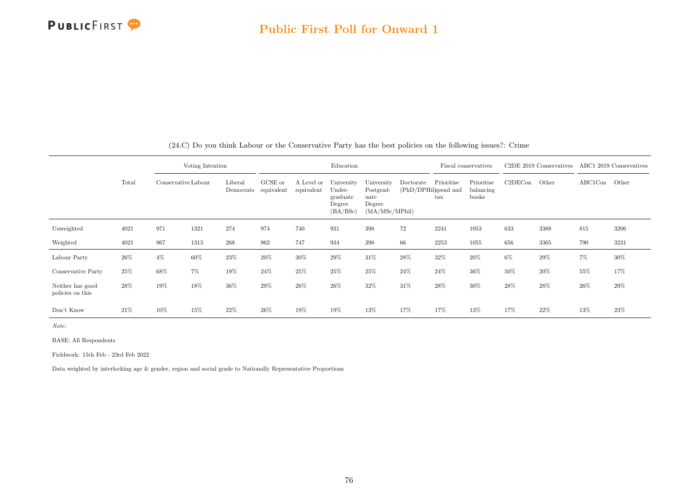

|                                      |        |                     | Voting Intention |                      |                       |                          | Education                                              |                                                             |                                   | Fiscal conservatives       |                                  |         | C2DE 2019 Conservatives ABC1 2019 Conservatives |               |       |
|--------------------------------------|--------|---------------------|------------------|----------------------|-----------------------|--------------------------|--------------------------------------------------------|-------------------------------------------------------------|-----------------------------------|----------------------------|----------------------------------|---------|-------------------------------------------------|---------------|-------|
|                                      | Total  | Conservative Labour |                  | Liberal<br>Democrats | GCSE or<br>equivalent | A Level or<br>equivalent | University<br>Under-<br>graduate<br>Degree<br>(BA/BSc) | University<br>Postgrad-<br>uate<br>Degree<br>(MA/MSc/MPhil) | Doctorate<br>(PhD/DPHil)spend and | Prioritise<br>$\text{tax}$ | Prioritise<br>balancing<br>books | C2DECon | Other                                           | $\rm ABC1Con$ | Other |
| Unweighted                           | 4021   | 971                 | 1321             | 274                  | 974                   | 740                      | 931                                                    | 398                                                         | 72                                | 2241                       | 1053                             | 633     | 3388                                            | 815           | 3206  |
| Weighted                             | 4021   | 967                 | 1313             | 268                  | 962                   | 747                      | 934                                                    | 398                                                         | 66                                | 2253                       | 1055                             | 656     | 3365                                            | 790           | 3231  |
| Labour Party                         | $26\%$ | $4\%$               | 60%              | 23%                  | 20%                   | 30%                      | 29%                                                    | 31\%                                                        | 28%                               | 32%                        | 20%                              | 6%      | 29%                                             | $7\%$         | 30%   |
| Conservative Party                   | 25%    | 68%                 | 7%               | 19%                  | 24%                   | 25%                      | 25%                                                    | 25%                                                         | 24%                               | 24%                        | 36%                              | 50%     | 20%                                             | 55%           | 17%   |
| Neither has good<br>policies on this | 28%    | 19%                 | 18%              | 36%                  | 29%                   | 26%                      | 26%                                                    | 32%                                                         | 31%                               | 28%                        | 30%                              | 28%     | 28%                                             | 26%           | 29%   |
| Don't Know                           | 21\%   | 10%                 | 15%              | 22\%                 | 26%                   | 19%                      | 19%                                                    | 13%                                                         | 17%                               | 17%                        | 13%                              | 17%     | 22%                                             | 13%           | 23%   |

(24.C) Do you think Labour or the Conservative Party has the best policies on the following issues?: Crime

Note:

BASE: All Respondents

Fieldwork: 15th Feb - 23rd Feb 2022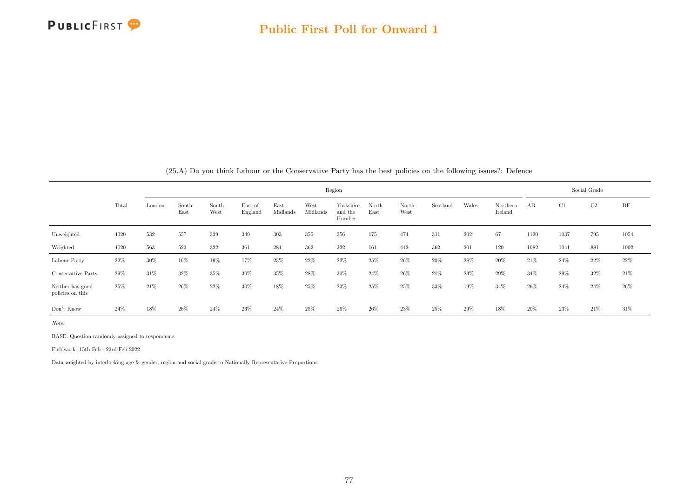

|                                      |       |        |               |               |                    |                  |                  |                                |               |               |          |       | (20.A) Do you think Labour of the Conservative Farty has the best policies on the following issues: . Defence |        |      |              |        |
|--------------------------------------|-------|--------|---------------|---------------|--------------------|------------------|------------------|--------------------------------|---------------|---------------|----------|-------|---------------------------------------------------------------------------------------------------------------|--------|------|--------------|--------|
|                                      |       |        |               |               |                    |                  |                  | Region                         |               |               |          |       |                                                                                                               |        |      | Social Grade |        |
|                                      | Total | London | South<br>East | South<br>West | East of<br>England | East<br>Midlands | West<br>Midlands | Yorkshire<br>and the<br>Humber | North<br>East | North<br>West | Scotland | Wales | Northern<br>Ireland                                                                                           | AB     | C1   | C2           | DE     |
| Unweighted                           | 4020  | 532    | 557           | 339           | 349                | 303              | 355              | 356                            | 175           | 474           | 311      | 202   | 67                                                                                                            | 1120   | 1037 | 795          | 1054   |
| Weighted                             | 4020  | 563    | 523           | 322           | 361                | 281              | 362              | 322                            | 161           | 442           | 362      | 201   | 120                                                                                                           | 1082   | 1041 | 881          | 1002   |
| Labour Party                         | 22%   | 30%    | 16%           | 19%           | 17%                | 23%              | 22%              | 22%                            | $25\%$        | 26%           | 20%      | 28%   | 20%                                                                                                           | $21\%$ | 24\% | 22%          | 22\%   |
| Conservative Party                   | 29%   | 31\%   | 32%           | 35%           | 30%                | 35%              | 28%              | 30%                            | 24%           | 26\%          | 21%      | 23%   | 29%                                                                                                           | 34%    | 29%  | 32%          | $21\%$ |
| Neither has good<br>policies on this | 25%   | 21\%   | $26\%$        | 22%           | 30%                | 18%              | 25%              | 23%                            | 25%           | 25%           | 33%      | 19%   | 34%                                                                                                           | 26%    | 24%  | 24\%         | $26\%$ |
| Don't Know                           | 24\%  | 18%    | 26%           | 24%           | 23%                | 24%              | 25%              | 26%                            | 26%           | 23%           | 25%      | 29%   | 18%                                                                                                           | 20%    | 23%  | 21%          | 31\%   |

(25.A) Do you think Labour or the Conservative Party has the best policies on the following issues?: Defence

Note:

BASE: Question randomly assigned to respondents

Fieldwork: 15th Feb - 23rd Feb 2022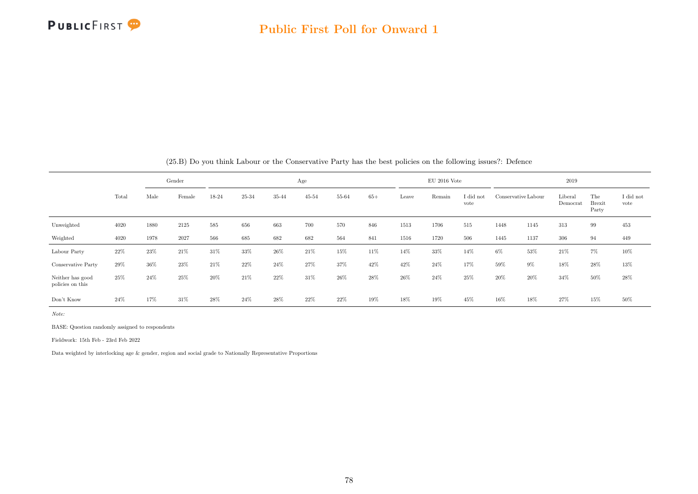

|                                      |       |      | Gender |       |       |       | Age       |       |       |       | $EU$ 2016 Vote |                   |        |                     | 2019                |                               |                   |
|--------------------------------------|-------|------|--------|-------|-------|-------|-----------|-------|-------|-------|----------------|-------------------|--------|---------------------|---------------------|-------------------------------|-------------------|
|                                      | Total | Male | Female | 18-24 | 25-34 | 35-44 | $45 - 54$ | 55-64 | $65+$ | Leave | Remain         | I did not<br>vote |        | Conservative Labour | Liberal<br>Democrat | The<br><b>Brexit</b><br>Party | I did not<br>vote |
| Unweighted                           | 4020  | 1880 | 2125   | 585   | 656   | 663   | 700       | 570   | 846   | 1513  | 1706           | 515               | 1448   | 1145                | 313                 | 99                            | 453               |
| Weighted                             | 4020  | 1978 | 2027   | 566   | 685   | 682   | 682       | 564   | 841   | 1516  | 1720           | 506               | 1445   | 1137                | 306                 | 94                            | 449               |
| Labour Party                         | 22%   | 23%  | 21%    | 31%   | 33%   | 26%   | 21%       | 15%   | 11%   | 14%   | 33%            | 14%               | $6\%$  | 53%                 | 21\%                | 7%                            | 10%               |
| Conservative Party                   | 29%   | 36%  | 23%    | 21\%  | 22%   | 24%   | 27%       | 37%   | 42%   | 42%   | $24\%$         | 17%               | 59%    | $9\%$               | 18%                 | $28\%$                        | 13%               |
| Neither has good<br>policies on this | 25%   | 24\% | 25%    | 20%   | 21\%  | 22%   | 31%       | 26%   | 28%   | 26%   | 24%            | 25%               | $20\%$ | 20%                 | 34%                 | 50%                           | 28%               |
| Don't Know                           | 24%   | 17%  | 31\%   | 28%   | 24%   | 28%   | 22%       | 22%   | 19%   | 18%   | 19%            | 45%               | 16%    | 18%                 | 27%                 | 15%                           | 50%               |

(25.B) Do you think Labour or the Conservative Party has the best policies on the following issues?: Defence

Note:

BASE: Question randomly assigned to respondents

Fieldwork: 15th Feb - 23rd Feb 2022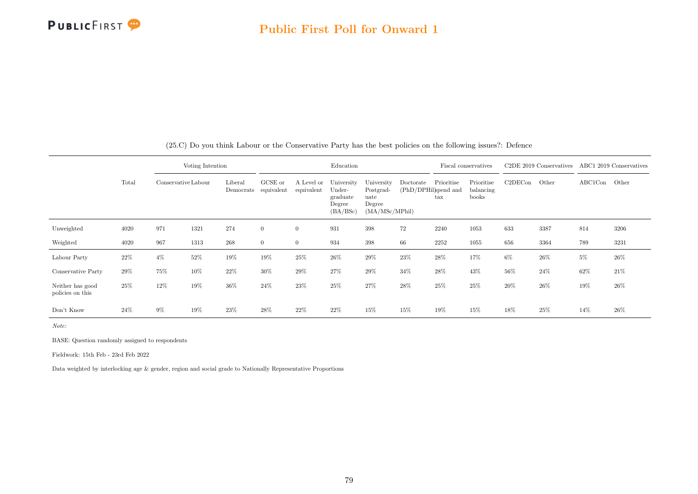

|                                      |       |                     | Voting Intention |                      |                       |                          | Education                                              |                                                              |                                   | Fiscal conservatives       |                                  |         | C <sub>2</sub> DE 2019 Conservatives |               | ABC1 2019 Conservatives |
|--------------------------------------|-------|---------------------|------------------|----------------------|-----------------------|--------------------------|--------------------------------------------------------|--------------------------------------------------------------|-----------------------------------|----------------------------|----------------------------------|---------|--------------------------------------|---------------|-------------------------|
|                                      | Total | Conservative Labour |                  | Liberal<br>Democrats | GCSE or<br>equivalent | A Level or<br>equivalent | University<br>Under-<br>graduate<br>Degree<br>(BA/BSc) | University<br>Postgrad-<br>uate<br>Degree<br>(MA/MSc/MPhill) | Doctorate<br>(PhD/DPHil)spend and | Prioritise<br>$_{\rm tax}$ | Prioritise<br>balancing<br>books | C2DECon | Other                                | $\rm ABC1Con$ | Other                   |
| Unweighted                           | 4020  | 971                 | 1321             | 274                  | $\overline{0}$        | $\overline{0}$           | 931                                                    | 398                                                          | 72                                | 2240                       | 1053                             | 633     | 3387                                 | 814           | 3206                    |
| Weighted                             | 4020  | 967                 | 1313             | $268\,$              | $\overline{0}$        | $\overline{0}$           | 934                                                    | 398                                                          | 66                                | 2252                       | 1055                             | 656     | 3364                                 | 789           | 3231                    |
| Labour Party                         | 22\%  | $4\%$               | 52%              | 19%                  | 19%                   | 25%                      | 26%                                                    | 29%                                                          | 23%                               | 28%                        | 17%                              | $6\%$   | 26%                                  | 5%            | 26\%                    |
| Conservative Party                   | 29%   | 75%                 | 10%              | 22%                  | 30%                   | 29%                      | 27%                                                    | 29%                                                          | 34%                               | 28\%                       | 43%                              | 56%     | 24%                                  | 62%           | 21\%                    |
| Neither has good<br>policies on this | 25%   | 12%                 | 19%              | $36\%$               | 24\%                  | 23%                      | $25\%$                                                 | 27%                                                          | $28\%$                            | 25%                        | 25%                              | 20%     | $26\%$                               | 19%           | 26%                     |
| Don't Know                           | 24%   | $9\%$               | 19%              | $23\%$               | $28\%$                | 22%                      | 22%                                                    | 15%                                                          | 15%                               | 19%                        | 15%                              | 18%     | 25%                                  | 14%           | 26%                     |

(25.C) Do you think Labour or the Conservative Party has the best policies on the following issues?: Defence

Note:

BASE: Question randomly assigned to respondents

Fieldwork: 15th Feb - 23rd Feb 2022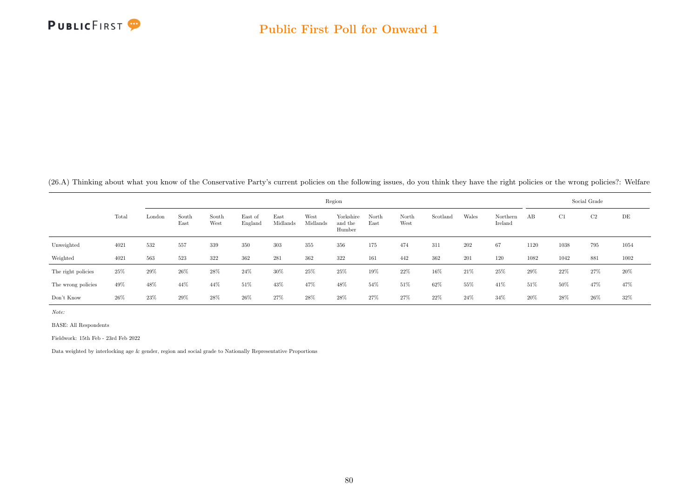

(26.A) Thinking about what you know of the Conservative Party's current policies on the following issues, do you think they have the right policies or the wrong policies?: Welfare

|                    |       |        |               |               |                    |                  |                  | Region                         |               |               |          |       |                     |        | Social Grade |                |        |
|--------------------|-------|--------|---------------|---------------|--------------------|------------------|------------------|--------------------------------|---------------|---------------|----------|-------|---------------------|--------|--------------|----------------|--------|
|                    | Total | London | South<br>East | South<br>West | East of<br>England | East<br>Midlands | West<br>Midlands | Yorkshire<br>and the<br>Humber | North<br>East | North<br>West | Scotland | Wales | Northern<br>Ireland | AB     | C1           | C <sub>2</sub> | DE     |
| Unweighted         | 4021  | 532    | 557           | 339           | 350                | 303              | 355              | 356                            | 175           | 474           | 311      | 202   | 67                  | 1120   | 1038         | 795            | 1054   |
| Weighted           | 4021  | 563    | 523           | 322           | 362                | 281              | 362              | 322                            | 161           | 442           | 362      | 201   | 120                 | 1082   | 1042         | 881            | 1002   |
| The right policies | 25%   | 29%    | 26\%          | 28%           | $24\%$             | 30%              | 25%              | 25%                            | 19%           | 22\%          | 16%      | 21%   | 25%                 | 29%    | 22%          | $27\%$         | $20\%$ |
| The wrong policies | 49%   | 48%    | 44%           | 44%           | 51%                | 43%              | 47%              | 48%                            | 54%           | 51\%          | 62%      | 55%   | 41%                 | $51\%$ | 50%          | 47%            | 47%    |
| Don't Know         | 26%   | 23%    | 29%           | 28%           | 26\%               | 27%              | 28%              | 28%                            | 27%           | 27%           | 22\%     | 24%   | 34%                 | 20%    | 28%          | 26\%           | 32%    |

Note:

BASE: All Respondents

Fieldwork: 15th Feb - 23rd Feb 2022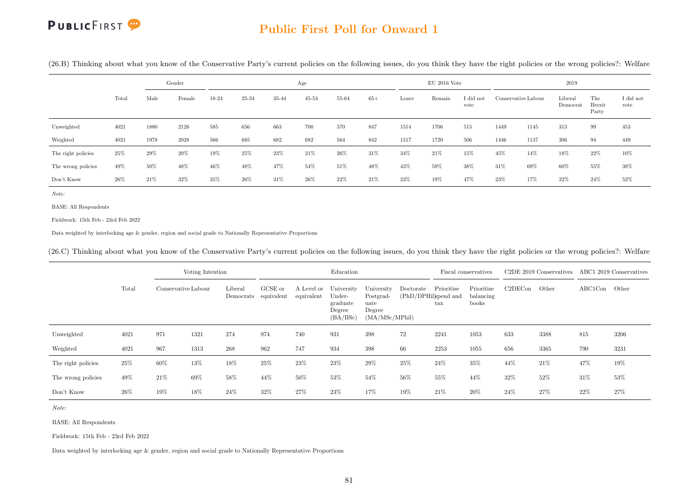#### Public First Poll for Onward 1

(26.B) Thinking about what you know of the Conservative Party's current policies on the following issues, do you think they have the right policies or the wrong policies?: Welfare

|                    |       |        | Gender |       |       |        | Age       |       |        |       | $EU$ 2016 Vote |                   |                     |      | 2019                |                               |                   |
|--------------------|-------|--------|--------|-------|-------|--------|-----------|-------|--------|-------|----------------|-------------------|---------------------|------|---------------------|-------------------------------|-------------------|
|                    | Total | Male   | Female | 18-24 | 25-34 | 35-44  | $45 - 54$ | 55-64 | $65+$  | Leave | Remain         | I did not<br>vote | Conservative Labour |      | Liberal<br>Democrat | The<br><b>Brexit</b><br>Party | I did not<br>vote |
| Unweighted         | 4021  | 1880   | 2126   | 585   | 656   | 663    | 700       | 570   | 847    | 1514  | 1706           | 515               | 1449                | 1145 | 313                 | 99                            | 453               |
| Weighted           | 4021  | 1978   | 2028   | 566   | 685   | 682    | 682       | 564   | 842    | 1517  | 1720           | 506               | 1446                | 1137 | 306                 | 94                            | 449               |
| The right policies | 25%   | 29%    | 20%    | 19%   | 25%   | $23\%$ | 21%       | 26%   | 31%    | 34%   | $21\%$         | 15%               | 45%                 | 14%  | 18%                 | 22%                           | 10%               |
| The wrong policies | 49%   | $50\%$ | 48%    | 46%   | 48%   | 47%    | 54%       | 51\%  | 48%    | 43%   | 59%            | 38%               | 31%                 | 69%  | 60%                 | 55%                           | $38\%$            |
| Don't Know         | 26%   | 21\%   | 32%    | 35%   | 26%   | 31%    | 26%       | 22%   | $21\%$ | 23%   | 19%            | 47%               | $23\%$              | 17%  | 22%                 | 24%                           | 52%               |

Note:

BASE: All Respondents

Fieldwork: 15th Feb - 23rd Feb 2022

Data weighted by interlocking age & gender, region and social grade to Nationally Representative Proportions

(26.C) Thinking about what you know of the Conservative Party's current policies on the following issues, do you think they have the right policies or the wrong policies?: Welfare

|                    |       |                     | Voting Intention |                                 |         |                          | Education                                              |                                                              |                                   |                            | Fiscal conservatives             |         | C <sub>2</sub> DE 2019 Conservatives ABC1 2019 Conservatives |               |      |
|--------------------|-------|---------------------|------------------|---------------------------------|---------|--------------------------|--------------------------------------------------------|--------------------------------------------------------------|-----------------------------------|----------------------------|----------------------------------|---------|--------------------------------------------------------------|---------------|------|
|                    | Total | Conservative Labour |                  | Liberal<br>Democrats equivalent | GCSE or | A Level or<br>equivalent | University<br>Under-<br>graduate<br>Degree<br>(BA/BSc) | University<br>Postgrad-<br>uate<br>Degree<br>(MA/MSc/MPhill) | Doctorate<br>(PhD/DPHil)spend and | Prioritise<br>$_{\rm tax}$ | Prioritise<br>balancing<br>books | C2DECon | Other                                                        | ABC1Con Other |      |
| Unweighted         | 4021  | 971                 | 1321             | 274                             | 974     | 740                      | 931                                                    | 398                                                          | 72                                | 2241                       | 1053                             | 633     | 3388                                                         | 815           | 3206 |
| Weighted           | 4021  | 967                 | 1313             | 268                             | 962     | 747                      | 934                                                    | 398                                                          | 66                                | 2253                       | 1055                             | 656     | 3365                                                         | 790           | 3231 |
| The right policies | 25%   | 60%                 | 13%              | 18%                             | 25\%    | 23%                      | 23%                                                    | 29%                                                          | 25%                               | 24\%                       | 35%                              | 44%     | 21\%                                                         | 47%           | 19%  |
| The wrong policies | 49%   | 21\%                | 69%              | 58%                             | 44%     | 50%                      | 53%                                                    | 54%                                                          | 56%                               | 55%                        | 44%                              | 32%     | 52%                                                          | 31%           | 53%  |
| Don't Know         | 26%   | $19\%$              | 18%              | 24%                             | 32%     | 27\%                     | 23%                                                    | 17%                                                          | 19%                               | 21\%                       | 20%                              | 24\%    | 27%                                                          | 22%           | 27%  |

Note:

BASE: All Respondents

Fieldwork: 15th Feb - 23rd Feb 2022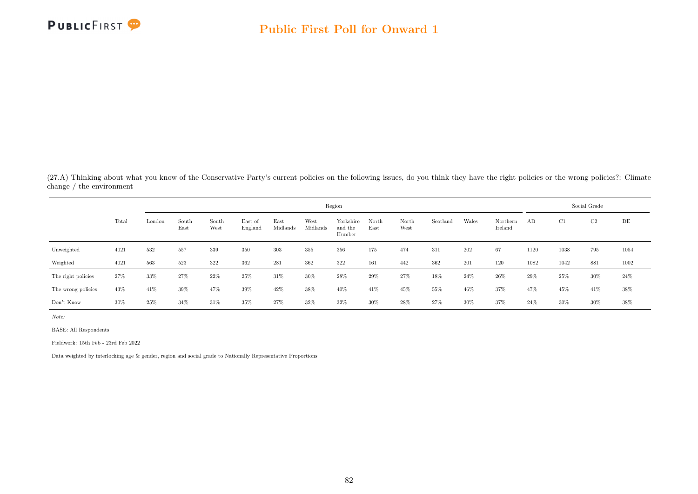

(27.A) Thinking about what you know of the Conservative Party's current policies on the following issues, do you think they have the right policies or the wrong policies?: Climate change / the environment

|                    |       |        |               |               |                    |                  |                  | Region                         |               |               |          |       |                     |      |        | Social Grade |      |
|--------------------|-------|--------|---------------|---------------|--------------------|------------------|------------------|--------------------------------|---------------|---------------|----------|-------|---------------------|------|--------|--------------|------|
|                    | Total | London | South<br>East | South<br>West | East of<br>England | East<br>Midlands | West<br>Midlands | Yorkshire<br>and the<br>Humber | North<br>East | North<br>West | Scotland | Wales | Northern<br>Ireland | AB   | C1     | C2           | DE   |
| Unweighted         | 4021  | 532    | 557           | 339           | 350                | 303              | 355              | 356                            | 175           | 474           | 311      | 202   | 67                  | 1120 | 1038   | 795          | 1054 |
| Weighted           | 4021  | 563    | 523           | 322           | 362                | 281              | 362              | 322                            | 161           | 442           | 362      | 201   | 120                 | 1082 | 1042   | 881          | 1002 |
| The right policies | 27%   | 33%    | 27%           | $22\%$        | 25%                | 31%              | 30%              | 28%                            | 29%           | $27\%$        | 18%      | 24%   | $26\%$              | 29%  | $25\%$ | 30%          | 24%  |
| The wrong policies | 43%   | 41\%   | 39%           | 47%           | 39%                | 42%              | 38%              | 40%                            | 41\%          | 45%           | 55%      | 46%   | 37%                 | 47%  | 45%    | 41\%         | 38%  |
| Don't Know         | 30%   | 25%    | 34%           | 31\%          | 35%                | 27%              | 32%              | 32%                            | 30%           | 28%           | 27%      | 30%   | 37%                 | 24\% | 30%    | $30\%$       | 38%  |

Note:

BASE: All Respondents

Fieldwork: 15th Feb - 23rd Feb 2022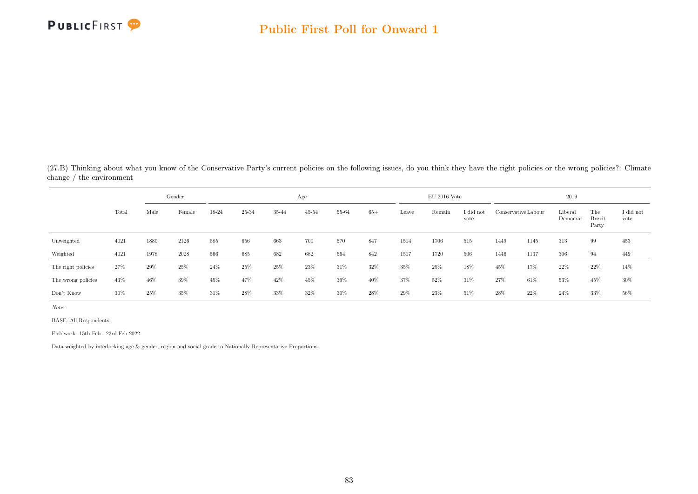

(27.B) Thinking about what you know of the Conservative Party's current policies on the following issues, do you think they have the right policies or the wrong policies?: Climate change / the environment

|                    |       |      | Gender |        |       |       | Age       |        |        |       | $EU$ 2016 Vote |                   |      |                     | 2019                |                               |                   |
|--------------------|-------|------|--------|--------|-------|-------|-----------|--------|--------|-------|----------------|-------------------|------|---------------------|---------------------|-------------------------------|-------------------|
|                    | Total | Male | Female | 18-24  | 25-34 | 35-44 | $45 - 54$ | 55-64  | $65+$  | Leave | Remain         | I did not<br>vote |      | Conservative Labour | Liberal<br>Democrat | The<br><b>Brexit</b><br>Party | I did not<br>vote |
| Unweighted         | 4021  | 1880 | 2126   | 585    | 656   | 663   | 700       | 570    | 847    | 1514  | 1706           | 515               | 1449 | 1145                | 313                 | 99                            | 453               |
| Weighted           | 4021  | 1978 | 2028   | 566    | 685   | 682   | 682       | 564    | 842    | 1517  | 1720           | 506               | 1446 | 1137                | 306                 | 94                            | 449               |
| The right policies | 27%   | 29%  | 25%    | $24\%$ | 25%   | 25%   | 23%       | 31\%   | 32%    | 35%   | 25%            | 18%               | 45%  | 17%                 | 22%                 | 22%                           | 14%               |
| The wrong policies | 43%   | 46%  | 39%    | 45%    | 47%   | 42%   | 45%       | $39\%$ | $40\%$ | 37%   | 52%            | 31%               | 27%  | 61%                 | 53%                 | 45%                           | $30\%$            |
| Don't Know         | 30%   | 25%  | 35%    | 31%    | 28%   | 33%   | 32%       | 30%    | 28%    | 29%   | 23%            | 51%               | 28\% | 22%                 | 24\%                | 33%                           | $56\%$            |

Note:

BASE: All Respondents

Fieldwork: 15th Feb - 23rd Feb 2022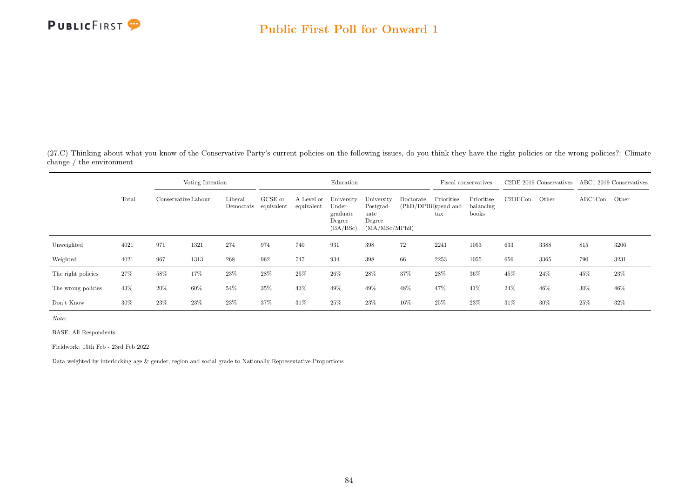

(27.C) Thinking about what you know of the Conservative Party's current policies on the following issues, do you think they have the right policies or the wrong policies?: Climate change / the environment

|                    |       |                     | Voting Intention |                                 |         |                          | Education                                              |                                                             |                                  |                   | Fiscal conservatives             |         | C <sub>2</sub> DE 2019 Conservatives |               | ABC1 2019 Conservatives |
|--------------------|-------|---------------------|------------------|---------------------------------|---------|--------------------------|--------------------------------------------------------|-------------------------------------------------------------|----------------------------------|-------------------|----------------------------------|---------|--------------------------------------|---------------|-------------------------|
|                    | Total | Conservative Labour |                  | Liberal<br>Democrats equivalent | GCSE or | A Level or<br>equivalent | University<br>Under-<br>graduate<br>Degree<br>(BA/BSc) | University<br>Postgrad-<br>uate<br>Degree<br>(MA/MSc/MPhil) | Doctorate<br>(PhD/DPHilspend and | Prioritise<br>tax | Prioritise<br>balancing<br>books | C2DECon | Other                                | $\rm ABC1Con$ | Other                   |
| Unweighted         | 4021  | 971                 | 1321             | 274                             | 974     | 740                      | 931                                                    | 398                                                         | 72                               | 2241              | 1053                             | 633     | 3388                                 | 815           | 3206                    |
| Weighted           | 4021  | 967                 | 1313             | 268                             | 962     | 747                      | 934                                                    | 398                                                         | 66                               | 2253              | 1055                             | 656     | 3365                                 | 790           | 3231                    |
| The right policies | 27%   | 58%                 | 17%              | $23\%$                          | 28%     | 25%                      | 26%                                                    | 28%                                                         | 37%                              | 28%               | 36%                              | 45%     | 24%                                  | 45%           | 23\%                    |
| The wrong policies | 43%   | $20\%$              | 60%              | 54%                             | 35%     | 43%                      | 49%                                                    | 49%                                                         | 48%                              | 47%               | 41%                              | 24\%    | 46%                                  | 30%           | 46%                     |
| Don't Know         | 30%   | 23%                 | 23%              | 23%                             | 37%     | 31%                      | 25%                                                    | 23%                                                         | 16%                              | 25%               | 23%                              | 31\%    | 30%                                  | 25%           | 32\%                    |

Note:

BASE: All Respondents

Fieldwork: 15th Feb - 23rd Feb 2022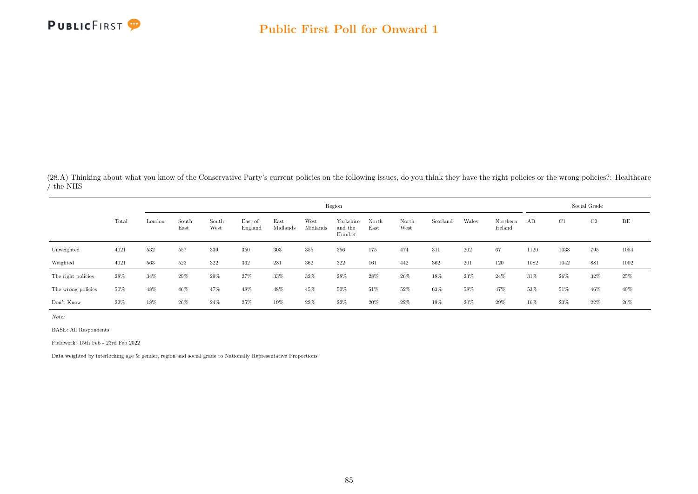

(28.A) Thinking about what you know of the Conservative Party's current policies on the following issues, do you think they have the right policies or the wrong policies?: Healthcare / the NHS

|                    |        |                         |               |               |                    |                  |                  | Region                         |               |               |          |       |                     |      |      | Social Grade   |      |
|--------------------|--------|-------------------------|---------------|---------------|--------------------|------------------|------------------|--------------------------------|---------------|---------------|----------|-------|---------------------|------|------|----------------|------|
|                    | Total  | $\operatorname{London}$ | South<br>East | South<br>West | East of<br>England | East<br>Midlands | West<br>Midlands | Yorkshire<br>and the<br>Humber | North<br>East | North<br>West | Scotland | Wales | Northern<br>Ireland | AB   | C1   | C <sub>2</sub> | DE   |
| Unweighted         | 4021   | 532                     | 557           | 339           | 350                | 303              | 355              | 356                            | 175           | 474           | 311      | 202   | 67                  | 1120 | 1038 | 795            | 1054 |
| Weighted           | 4021   | 563                     | 523           | 322           | 362                | 281              | 362              | 322                            | 161           | 442           | 362      | 201   | 120                 | 1082 | 1042 | 881            | 1002 |
| The right policies | 28%    | 34%                     | 29%           | 29%           | 27%                | 33%              | 32%              | 28%                            | 28%           | 26%           | 18%      | 23%   | 24%                 | 31%  | 26\% | $32\%$         | 25%  |
| The wrong policies | 50%    | 48%                     | 46%           | 47%           | 48%                | 48%              | 45%              | 50%                            | 51\%          | 52%           | 63%      | 58%   | 47%                 | 53%  | 51%  | 46%            | 49%  |
| Don't Know         | $22\%$ | 18%                     | 26%           | 24%           | 25%                | 19%              | 22%              | 22%                            | 20%           | 22\%          | 19%      | 20%   | 29%                 | 16%  | 23\% | 22%            | 26%  |

Note:

BASE: All Respondents

Fieldwork: 15th Feb - 23rd Feb 2022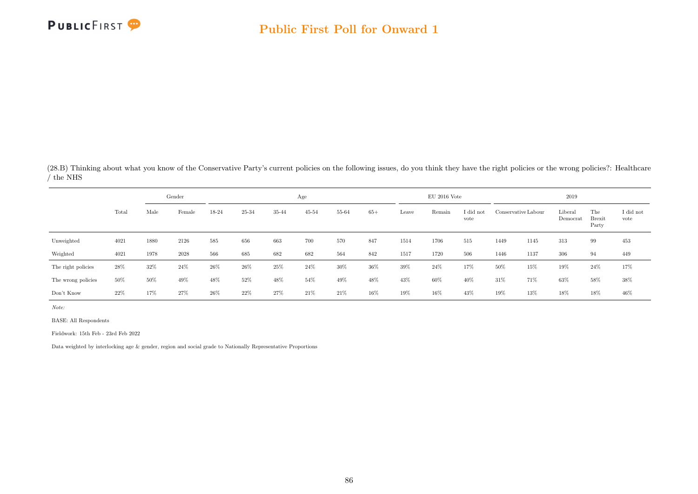

(28.B) Thinking about what you know of the Conservative Party's current policies on the following issues, do you think they have the right policies or the wrong policies?: Healthcare / the NHS

|                    |       |      | Gender |       |       |       | Age       |       |       |       | $EU$ 2016 Vote |                   |      |                     | 2019                |                               |                   |
|--------------------|-------|------|--------|-------|-------|-------|-----------|-------|-------|-------|----------------|-------------------|------|---------------------|---------------------|-------------------------------|-------------------|
|                    | Total | Male | Female | 18-24 | 25-34 | 35-44 | $45 - 54$ | 55-64 | $65+$ | Leave | Remain         | I did not<br>vote |      | Conservative Labour | Liberal<br>Democrat | The<br><b>Brexit</b><br>Party | I did not<br>vote |
| Unweighted         | 4021  | 1880 | 2126   | 585   | 656   | 663   | 700       | 570   | 847   | 1514  | 1706           | 515               | 1449 | 1145                | 313                 | 99                            | 453               |
| Weighted           | 4021  | 1978 | 2028   | 566   | 685   | 682   | 682       | 564   | 842   | 1517  | 1720           | 506               | 1446 | 1137                | 306                 | 94                            | 449               |
| The right policies | 28%   | 32%  | $24\%$ | 26%   | 26%   | 25%   | 24%       | 30%   | 36%   | 39%   | 24%            | 17%               | 50%  | 15%                 | 19%                 | 24%                           | 17%               |
| The wrong policies | 50%   | 50%  | 49%    | 48%   | 52%   | 48%   | 54%       | 49%   | 48%   | 43%   | 60%            | 40%               | 31%  | 71%                 | 63%                 | 58%                           | 38%               |
| Don't Know         | 22%   | 17%  | 27%    | 26%   | 22%   | 27%   | 21%       | 21\%  | 16%   | 19%   | 16%            | 43%               | 19%  | 13%                 | 18%                 | 18%                           | 46%               |

Note:

BASE: All Respondents

Fieldwork: 15th Feb - 23rd Feb 2022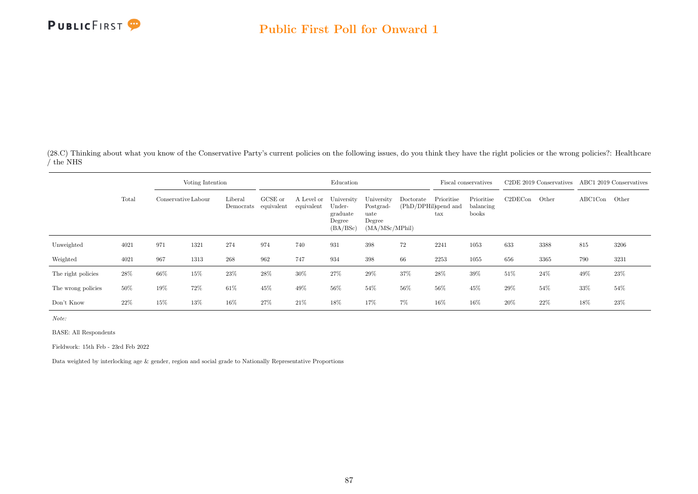

(28.C) Thinking about what you know of the Conservative Party's current policies on the following issues, do you think they have the right policies or the wrong policies?: Healthcare / the NHS

|                    |       |                     | Voting Intention |                      |                       |                          | Education                                              |                                                             |                                   |                                    | Fiscal conservatives             |         | C <sub>2</sub> DE 2019 Conservatives ABC1 2019 Conservatives |               |        |
|--------------------|-------|---------------------|------------------|----------------------|-----------------------|--------------------------|--------------------------------------------------------|-------------------------------------------------------------|-----------------------------------|------------------------------------|----------------------------------|---------|--------------------------------------------------------------|---------------|--------|
|                    | Total | Conservative Labour |                  | Liberal<br>Democrats | GCSE or<br>equivalent | A Level or<br>equivalent | University<br>Under-<br>graduate<br>Degree<br>(BA/BSc) | University<br>Postgrad-<br>uate<br>Degree<br>(MA/MSc/MPhil) | Doctorate<br>(PhD/DPHil)spend and | Prioritise<br>$\operatorname{tax}$ | Prioritise<br>balancing<br>books | C2DECon | Other                                                        | ABC1Con Other |        |
| Unweighted         | 4021  | 971                 | 1321             | 274                  | 974                   | 740                      | 931                                                    | 398                                                         | 72                                | 2241                               | 1053                             | 633     | 3388                                                         | 815           | 3206   |
| Weighted           | 4021  | 967                 | 1313             | 268                  | 962                   | 747                      | 934                                                    | 398                                                         | 66                                | 2253                               | 1055                             | 656     | 3365                                                         | 790           | 3231   |
| The right policies | 28\%  | 66%                 | 15%              | 23\%                 | 28%                   | 30%                      | 27%                                                    | 29%                                                         | 37%                               | 28%                                | 39%                              | 51%     | 24\%                                                         | 49%           | $23\%$ |
| The wrong policies | 50%   | 19%                 | 72%              | 61\%                 | 45%                   | 49%                      | 56%                                                    | 54%                                                         | 56%                               | 56%                                | 45%                              | 29%     | 54%                                                          | 33%           | 54%    |
| Don't Know         | 22%   | 15%                 | 13%              | 16%                  | 27%                   | 21\%                     | 18%                                                    | 17%                                                         | $7\%$                             | 16%                                | 16%                              | 20%     | 22\%                                                         | 18%           | $23\%$ |

Note:

BASE: All Respondents

Fieldwork: 15th Feb - 23rd Feb 2022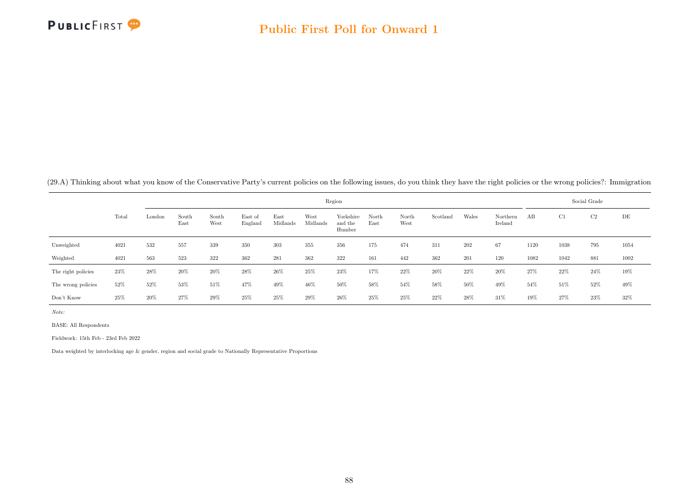

(29.A) Thinking about what you know of the Conservative Party's current policies on the following issues, do you think they have the right policies or the wrong policies?: Immigration

|                    |       |        |               |               |                    |                  |                  | Region                         |               |               |          |        |                     |      |      | Social Grade   |      |
|--------------------|-------|--------|---------------|---------------|--------------------|------------------|------------------|--------------------------------|---------------|---------------|----------|--------|---------------------|------|------|----------------|------|
|                    | Total | London | South<br>East | South<br>West | East of<br>England | East<br>Midlands | West<br>Midlands | Yorkshire<br>and the<br>Humber | North<br>East | North<br>West | Scotland | Wales  | Northern<br>Ireland | AB   | C1   | C <sub>2</sub> | DE   |
| Unweighted         | 4021  | 532    | 557           | 339           | 350                | 303              | 355              | 356                            | 175           | 474           | 311      | 202    | 67                  | 1120 | 1038 | 795            | 1054 |
| Weighted           | 4021  | 563    | 523           | 322           | 362                | 281              | 362              | 322                            | 161           | 442           | 362      | 201    | 120                 | 1082 | 1042 | 881            | 1002 |
| The right policies | 23%   | 28%    | $20\%$        | $20\%$        | $28\%$             | $26\%$           | 25%              | $23\%$                         | 17%           | 22%           | 20%      | $22\%$ | $20\%$              | 27%  | 22\% | 24\%           | 19%  |
| The wrong policies | 52%   | 52%    | $53\%$        | 51%           | 47%                | 49%              | 46%              | 50%                            | 58%           | 54%           | 58%      | 50%    | 49%                 | 54%  | 51\% | 52%            | 49%  |
| Don't Know         | 25%   | $20\%$ | 27%           | 29%           | 25%                | 25%              | 29%              | 26%                            | 25%           | 25%           | 22\%     | 28%    | 31\%                | 19%  | 27%  | 23%            | 32%  |

Note:

BASE: All Respondents

Fieldwork: 15th Feb - 23rd Feb 2022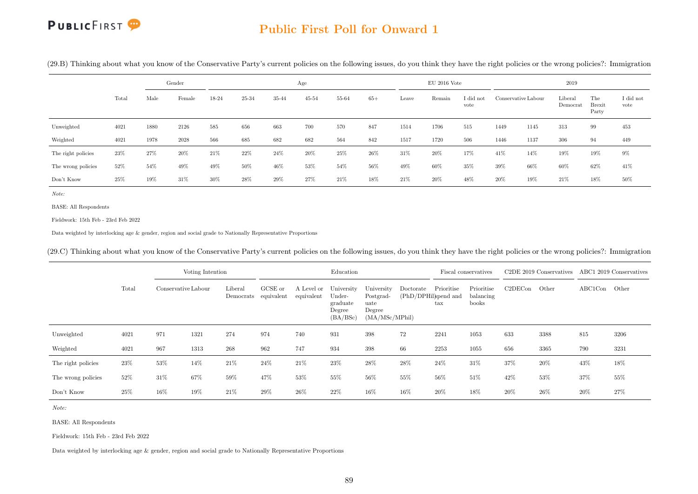#### Public First Poll for Onward 1

(29.B) Thinking about what you know of the Conservative Party's current policies on the following issues, do you think they have the right policies or the wrong policies?: Immigration

|                    |       |      | Gender |        |       |       | Age       |       |       |       | $EU$ 2016 Vote |                   |                     |      | 2019                |                               |                   |
|--------------------|-------|------|--------|--------|-------|-------|-----------|-------|-------|-------|----------------|-------------------|---------------------|------|---------------------|-------------------------------|-------------------|
|                    | Total | Male | Female | 18-24  | 25-34 | 35-44 | $45 - 54$ | 55-64 | $65+$ | Leave | Remain         | I did not<br>vote | Conservative Labour |      | Liberal<br>Democrat | The<br><b>Brexit</b><br>Party | I did not<br>vote |
| Unweighted         | 4021  | 1880 | 2126   | 585    | 656   | 663   | 700       | 570   | 847   | 1514  | 1706           | 515               | 1449                | 1145 | 313                 | 99                            | 453               |
| Weighted           | 4021  | 1978 | 2028   | 566    | 685   | 682   | 682       | 564   | 842   | 1517  | 1720           | 506               | 1446                | 1137 | 306                 | 94                            | 449               |
| The right policies | 23%   | 27%  | 20%    | $21\%$ | 22%   | 24%   | $20\%$    | 25%   | 26%   | 31\%  | 20%            | 17%               | 41%                 | 14%  | 19%                 | 19%                           | $9\%$             |
| The wrong policies | 52%   | 54%  | 49%    | 49%    | 50%   | 46%   | 53%       | 54%   | 56%   | 49%   | 60%            | 35%               | 39%                 | 66%  | 60%                 | 62%                           | 41%               |
| Don't Know         | 25%   | 19%  | 31%    | 30%    | 28%   | 29%   | 27%       | 21\%  | 18%   | 21\%  | $20\%$         | 48%               | 20%                 | 19%  | 21%                 | 18%                           | 50%               |

Note:

BASE: All Respondents

Fieldwork: 15th Feb - 23rd Feb 2022

Data weighted by interlocking age & gender, region and social grade to Nationally Representative Proportions

(29.C) Thinking about what you know of the Conservative Party's current policies on the following issues, do you think they have the right policies or the wrong policies?: Immigration

|                    |       |                     | Voting Intention |         |                                 |                          | Education                                              |                                                              |                                   |                            | Fiscal conservatives             |         | C2DE 2019 Conservatives ABC1 2019 Conservatives |               |      |
|--------------------|-------|---------------------|------------------|---------|---------------------------------|--------------------------|--------------------------------------------------------|--------------------------------------------------------------|-----------------------------------|----------------------------|----------------------------------|---------|-------------------------------------------------|---------------|------|
|                    | Total | Conservative Labour |                  | Liberal | GCSE or<br>Democrats equivalent | A Level or<br>equivalent | University<br>Under-<br>graduate<br>Degree<br>(BA/BSc) | University<br>Postgrad-<br>uate<br>Degree<br>(MA/MSc/MPhill) | Doctorate<br>(PhD/DPHil)spend and | Prioritise<br>$_{\rm tax}$ | Prioritise<br>balancing<br>books | C2DECon | Other                                           | ABC1Con Other |      |
| Unweighted         | 4021  | 971                 | 1321             | 274     | 974                             | 740                      | 931                                                    | 398                                                          | 72                                | 2241                       | 1053                             | 633     | 3388                                            | 815           | 3206 |
| Weighted           | 4021  | 967                 | 1313             | 268     | 962                             | 747                      | 934                                                    | 398                                                          | 66                                | 2253                       | 1055                             | 656     | 3365                                            | 790           | 3231 |
| The right policies | 23%   | 53%                 | 14%              | 21\%    | 24%                             | 21\%                     | 23%                                                    | 28%                                                          | 28%                               | $24\%$                     | 31\%                             | 37%     | 20%                                             | 43%           | 18%  |
| The wrong policies | 52%   | 31%                 | 67%              | 59%     | 47%                             | 53%                      | 55%                                                    | 56%                                                          | 55%                               | 56%                        | 51\%                             | 42%     | 53%                                             | 37%           | 55%  |
| Don't Know         | 25%   | 16%                 | 19%              | 21%     | 29%                             | 26%                      | 22%                                                    | 16%                                                          | 16%                               | 20%                        | 18%                              | 20%     | 26%                                             | 20%           | 27%  |

Note:

BASE: All Respondents

Fieldwork: 15th Feb - 23rd Feb 2022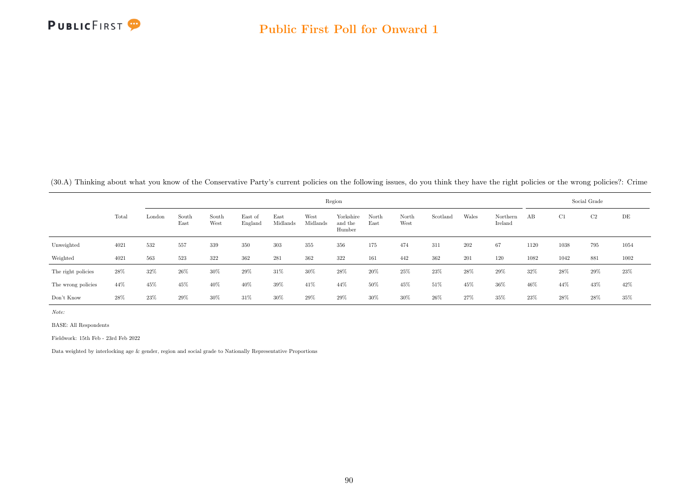

(30.A) Thinking about what you know of the Conservative Party's current policies on the following issues, do you think they have the right policies or the wrong policies?: Crime

|                    |       |        |               |               |                    |                  |                  | Region                         |               |               |          |       |                     |      | Social Grade |                |        |
|--------------------|-------|--------|---------------|---------------|--------------------|------------------|------------------|--------------------------------|---------------|---------------|----------|-------|---------------------|------|--------------|----------------|--------|
|                    | Total | London | South<br>East | South<br>West | East of<br>England | East<br>Midlands | West<br>Midlands | Yorkshire<br>and the<br>Humber | North<br>East | North<br>West | Scotland | Wales | Northern<br>Ireland | AB   | C1           | C <sub>2</sub> | DE     |
| Unweighted         | 4021  | 532    | 557           | 339           | 350                | 303              | 355              | 356                            | 175           | 474           | 311      | 202   | 67                  | 1120 | 1038         | 795            | 1054   |
| Weighted           | 4021  | 563    | 523           | 322           | 362                | 281              | 362              | 322                            | 161           | 442           | 362      | 201   | 120                 | 1082 | 1042         | 881            | 1002   |
| The right policies | 28%   | 32%    | 26%           | 30%           | 29%                | 31%              | $30\%$           | 28%                            | 20%           | 25%           | 23%      | 28%   | 29%                 | 32%  | 28%          | 29%            | $23\%$ |
| The wrong policies | 44%   | 45%    | 45%           | 40%           | 40%                | 39%              | 41%              | 44%                            | 50%           | 45%           | 51%      | 45%   | 36%                 | 46%  | 44%          | 43%            | 42\%   |
| Don't Know         | 28%   | 23\%   | 29%           | 30%           | 31\%               | 30%              | 29%              | 29%                            | 30%           | $30\%$        | 26%      | 27%   | 35%                 | 23%  | 28%          | 28%            | 35%    |

Note:

BASE: All Respondents

Fieldwork: 15th Feb - 23rd Feb 2022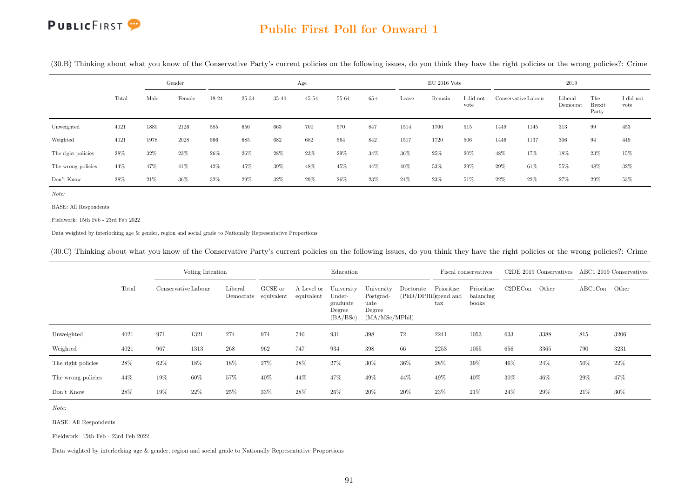

#### Public First Poll for Onward 1

(30.B) Thinking about what you know of the Conservative Party's current policies on the following issues, do you think they have the right policies or the wrong policies?: Crime

|                    | Gender |      |        |         |        |        | Age       |        |        |        | $EU$ 2016 Vote |                   |                     |      | 2019                |                               |                   |
|--------------------|--------|------|--------|---------|--------|--------|-----------|--------|--------|--------|----------------|-------------------|---------------------|------|---------------------|-------------------------------|-------------------|
|                    | Total  | Male | Female | 18-24   | 25-34  | 35-44  | $45 - 54$ | 55-64  | $65+$  | Leave  | Remain         | I did not<br>vote | Conservative Labour |      | Liberal<br>Democrat | The<br><b>Brexit</b><br>Party | I did not<br>vote |
| Unweighted         | 4021   | 1880 | 2126   | $585\,$ | 656    | 663    | 700       | 570    | 847    | 1514   | 1706           | 515               | 1449                | 1145 | 313                 | 99                            | 453               |
| Weighted           | 4021   | 1978 | 2028   | 566     | 685    | 682    | 682       | 564    | 842    | 1517   | 1720           | 506               | 1446                | 1137 | 306                 | 94                            | 449               |
| The right policies | 28%    | 32%  | 23%    | $26\%$  | $26\%$ | $28\%$ | $23\%$    | $29\%$ | $34\%$ | $36\%$ | $25\%$         | $20\%$            | 48%                 | 17%  | 18%                 | 23%                           | 15%               |
| The wrong policies | 44%    | 47%  | 41\%   | 42%     | 45%    | 39%    | 48%       | 45%    | 44%    | 40%    | 53%            | 29%               | 29%                 | 61%  | 55%                 | 48%                           | 32%               |
| Don't Know         | 28%    | 21\% | $36\%$ | 32%     | $29\%$ | 32%    | $29\%$    | 26%    | 23%    | 24%    | $23\%$         | 51%               | 22%                 | 22%  | 27%                 | 29%                           | 53%               |

Note:

BASE: All Respondents

Fieldwork: 15th Feb - 23rd Feb 2022

Data weighted by interlocking age & gender, region and social grade to Nationally Representative Proportions

(30.C) Thinking about what you know of the Conservative Party's current policies on the following issues, do you think they have the right policies or the wrong policies?: Crime

|                    |       |                     | Voting Intention |         |                                 |                          | Education                                              |                                                              |                                   |                            | Fiscal conservatives             |         | C <sub>2</sub> DE 2019 Conservatives |               | ABC1 2019 Conservatives |
|--------------------|-------|---------------------|------------------|---------|---------------------------------|--------------------------|--------------------------------------------------------|--------------------------------------------------------------|-----------------------------------|----------------------------|----------------------------------|---------|--------------------------------------|---------------|-------------------------|
|                    | Total | Conservative Labour |                  | Liberal | GCSE or<br>Democrats equivalent | A Level or<br>equivalent | University<br>Under-<br>graduate<br>Degree<br>(BA/BSc) | University<br>Postgrad-<br>uate<br>Degree<br>(MA/MSc/MPhill) | Doctorate<br>(PhD/DPHil)spend and | Prioritise<br>$_{\rm tax}$ | Prioritise<br>balancing<br>books | C2DECon | Other                                | ABC1Con Other |                         |
| Unweighted         | 4021  | 971                 | 1321             | 274     | 974                             | 740                      | 931                                                    | 398                                                          | 72                                | 2241                       | 1053                             | 633     | 3388                                 | 815           | 3206                    |
| Weighted           | 4021  | 967                 | 1313             | 268     | 962                             | 747                      | 934                                                    | 398                                                          | 66                                | 2253                       | 1055                             | 656     | 3365                                 | 790           | 3231                    |
| The right policies | 28%   | 62%                 | 18%              | 18%     | 27%                             | 28%                      | 27%                                                    | 30%                                                          | 36%                               | 28%                        | 39%                              | 46\%    | 24%                                  | 50%           | 22%                     |
| The wrong policies | 44\%  | 19%                 | 60%              | 57%     | 40%                             | 44%                      | 47%                                                    | 49%                                                          | 44%                               | 49%                        | 40%                              | 30%     | 46%                                  | 29%           | 47%                     |
| Don't Know         | 28%   | 19%                 | $22\%$           | 25%     | 33%                             | 28%                      | 26%                                                    | 20%                                                          | 20%                               | 23\%                       | 21\%                             | 24\%    | 29%                                  | 21%           | 30%                     |

Note:

BASE: All Respondents

Fieldwork: 15th Feb - 23rd Feb 2022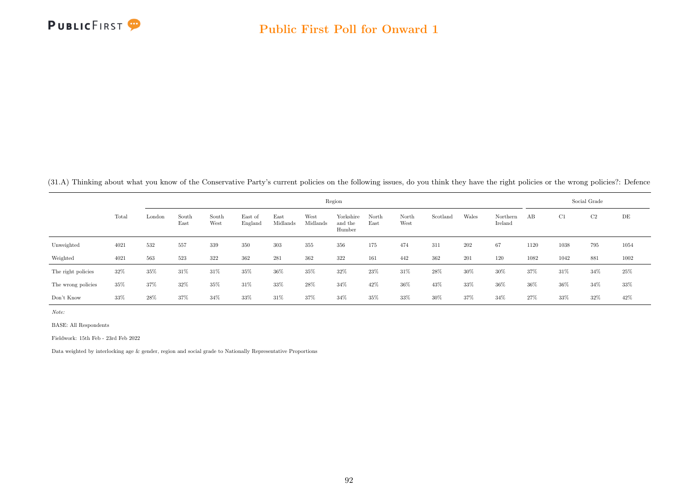

(31.A) Thinking about what you know of the Conservative Party's current policies on the following issues, do you think they have the right policies or the wrong policies?: Defence

|                    |       |        |               |               |                    |                  |                  | Region                         |               |               |          |       |                     |      |      | Social Grade   |      |
|--------------------|-------|--------|---------------|---------------|--------------------|------------------|------------------|--------------------------------|---------------|---------------|----------|-------|---------------------|------|------|----------------|------|
|                    | Total | London | South<br>East | South<br>West | East of<br>England | East<br>Midlands | West<br>Midlands | Yorkshire<br>and the<br>Humber | North<br>East | North<br>West | Scotland | Wales | Northern<br>Ireland | AB   | C1   | C <sub>2</sub> | DE   |
| Unweighted         | 4021  | 532    | 557           | 339           | 350                | 303              | 355              | 356                            | 175           | 474           | 311      | 202   | 67                  | 1120 | 1038 | 795            | 1054 |
| Weighted           | 4021  | 563    | 523           | 322           | 362                | 281              | 362              | 322                            | 161           | 442           | 362      | 201   | 120                 | 1082 | 1042 | 881            | 1002 |
| The right policies | 32%   | 35%    | 31%           | 31%           | 35%                | 36%              | 35%              | 32%                            | 23\%          | 31%           | 28%      | 30%   | 30%                 | 37%  | 31%  | 34%            | 25%  |
| The wrong policies | 35%   | 37%    | 32%           | 35%           | 31%                | 33%              | 28%              | 34%                            | 42%           | 36%           | 43%      | 33%   | 36%                 | 36%  | 36%  | 34%            | 33%  |
| Don't Know         | 33%   | 28%    | 37%           | 34%           | 33%                | 31%              | 37%              | 34%                            | 35%           | 33%           | 30%      | 37%   | 34%                 | 27%  | 33%  | 32%            | 42%  |

Note:

BASE: All Respondents

Fieldwork: 15th Feb - 23rd Feb 2022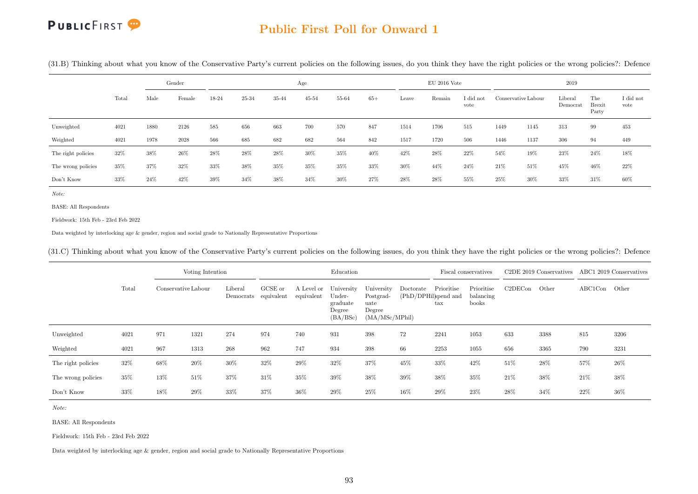#### Public First Poll for Onward 1

(31.B) Thinking about what you know of the Conservative Party's current policies on the following issues, do you think they have the right policies or the wrong policies?: Defence

|                    |       |      | Gender |       |       |        | Age       |       |       |       | $EU$ 2016 Vote |                   |                     |      | 2019                |                               |                   |
|--------------------|-------|------|--------|-------|-------|--------|-----------|-------|-------|-------|----------------|-------------------|---------------------|------|---------------------|-------------------------------|-------------------|
|                    | Total | Male | Female | 18-24 | 25-34 | 35-44  | $45 - 54$ | 55-64 | $65+$ | Leave | Remain         | I did not<br>vote | Conservative Labour |      | Liberal<br>Democrat | The<br><b>Brexit</b><br>Party | I did not<br>vote |
| Unweighted         | 4021  | 1880 | 2126   | 585   | 656   | 663    | 700       | 570   | 847   | 1514  | 1706           | 515               | 1449                | 1145 | 313                 | 99                            | 453               |
| Weighted           | 4021  | 1978 | 2028   | 566   | 685   | 682    | 682       | 564   | 842   | 1517  | 1720           | 506               | 1446                | 1137 | 306                 | 94                            | 449               |
| The right policies | 32%   | 38%  | 26%    | 28%   | 28%   | $28\%$ | 30%       | 35%   | 40%   | 42%   | 28%            | $22\%$            | 54%                 | 19%  | 23%                 | 24%                           | 18%               |
| The wrong policies | 35%   | 37%  | 32%    | 33%   | 38%   | 35%    | 35%       | 35%   | 33%   | 30%   | 44%            | 24%               | 21\%                | 51%  | 45%                 | 46%                           | $22\%$            |
| Don't Know         | 33%   | 24%  | 42%    | 39%   | 34%   | $38\%$ | 34%       | 30%   | 27%   | 28%   | 28%            | 55%               | 25%                 | 30%  | 33%                 | 31%                           | 60%               |

Note:

BASE: All Respondents

Fieldwork: 15th Feb - 23rd Feb 2022

Data weighted by interlocking age & gender, region and social grade to Nationally Representative Proportions

(31.C) Thinking about what you know of the Conservative Party's current policies on the following issues, do you think they have the right policies or the wrong policies?: Defence

|                    |       |                     | Voting Intention |                                 |         |                          | Education                                              |                                                              |                                   |                            | Fiscal conservatives             |         | C2DE 2019 Conservatives ABC1 2019 Conservatives |               |      |
|--------------------|-------|---------------------|------------------|---------------------------------|---------|--------------------------|--------------------------------------------------------|--------------------------------------------------------------|-----------------------------------|----------------------------|----------------------------------|---------|-------------------------------------------------|---------------|------|
|                    | Total | Conservative Labour |                  | Liberal<br>Democrats equivalent | GCSE or | A Level or<br>equivalent | University<br>Under-<br>graduate<br>Degree<br>(BA/BSc) | University<br>Postgrad-<br>uate<br>Degree<br>(MA/MSc/MPhill) | Doctorate<br>(PhD/DPHil)spend and | Prioritise<br>$_{\rm tax}$ | Prioritise<br>balancing<br>books | C2DECon | Other                                           | ABC1Con Other |      |
| Unweighted         | 4021  | 971                 | 1321             | 274                             | 974     | 740                      | 931                                                    | 398                                                          | 72                                | 2241                       | 1053                             | 633     | 3388                                            | 815           | 3206 |
| Weighted           | 4021  | 967                 | 1313             | 268                             | 962     | 747                      | 934                                                    | 398                                                          | 66                                | 2253                       | 1055                             | 656     | 3365                                            | 790           | 3231 |
| The right policies | 32%   | 68%                 | 20%              | 30%                             | 32%     | 29%                      | 32%                                                    | 37%                                                          | 45%                               | 33%                        | 42%                              | 51%     | 28%                                             | 57%           | 26%  |
| The wrong policies | 35%   | 13%                 | 51%              | 37%                             | 31%     | 35%                      | 39%                                                    | 38%                                                          | 39%                               | 38%                        | 35%                              | 21\%    | 38%                                             | 21%           | 38%  |
| Don't Know         | 33%   | 18%                 | 29%              | 33%                             | 37%     | $36\%$                   | 29%                                                    | 25%                                                          | 16%                               | 29%                        | 23\%                             | 28%     | 34\%                                            | 22%           | 36%  |

Note:

BASE: All Respondents

Fieldwork: 15th Feb - 23rd Feb 2022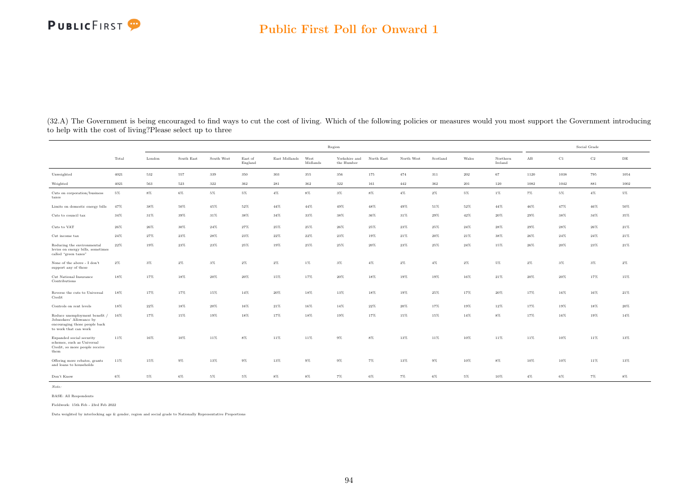#### Public First Poll for Onward 1

|                                                                                                                     |        |         |            |            |                    |               | Region           |                             |            |            |          |        |                     |                      | Social Grade |             |           |
|---------------------------------------------------------------------------------------------------------------------|--------|---------|------------|------------|--------------------|---------------|------------------|-----------------------------|------------|------------|----------|--------|---------------------|----------------------|--------------|-------------|-----------|
|                                                                                                                     | Total  | London  | South East | South West | East of<br>England | East Midlands | West<br>Midlands | Yorkshire and<br>the Humber | North East | North West | Scotland | Wales  | Northern<br>Ireland | $\mathbf A\mathbf B$ | C1           | $_{\rm C2}$ | $\rm{DE}$ |
| Unweighted                                                                                                          | 4021   | 532     | 557        | 339        | 350                | 303           | 355              | 356                         | 175        | 474        | 311      | 202    | 67                  | 1120                 | 1038         | 795         | 1054      |
| Weighted                                                                                                            | 4021   | $563\,$ | 523        | $322\,$    | 362                | 281           | 362              | 322                         | 161        | 442        | 362      | 201    | 120                 | 1082                 | 1042         | 881         | 1002      |
| Cuts on corporation/business<br>taxes                                                                               | $5\%$  | $8\%$   | $6\%$      | $5\%$      | $5\%$              | $4\%$         | $8\%$            | $3\%$                       | $8\%$      | $4\%$      | $2\%$    | $5\%$  | $1\%$               | $7\%$                | $5\%$        | $4\%$       | $5\%$     |
| Limits on domestic energy bills                                                                                     | 47%    | 38%     | 50%        | 45%        | 52%                | 44%           | 44%              | 49%                         | 48%        | 49%        | 51%      | 52%    | 44%                 | 46%                  | 47%          | 46%         | 50%       |
| Cuts to council tax                                                                                                 | $34\%$ | $31\%$  | $39\%$     | $31\%$     | 38%                | $34\%$        | 33%              | 38%                         | 36%        | 31%        | 29%      | $42\%$ | 20%                 | 29%                  | 38%          | 34%         | $35\%$    |
| Cuts to VAT                                                                                                         | 26%    | 26%     | 30%        | 24%        | 27%                | 25%           | 25%              | 26%                         | 25%        | 23%        | 25%      | 24%    | 28%                 | 29%                  | 28%          | 26%         | 21%       |
| Cut income tax                                                                                                      | $24\%$ | $27\%$  | $23\%$     | $28\%$     | $23\%$             | $22\%$        | $22\%$           | 23%                         | 19%        | $21\%$     | 20%      | $21\%$ | 38%                 | 26%                  | 24%          | $24\%$      | $21\%$    |
| Reducing the environmental<br>levies on energy bills, sometimes<br>called "green taxes"                             | 22%    | 19%     | 23%        | 23%        | $25\%$             | 19%           | 25%              | 25%                         | 20%        | 23%        | 25%      | 24%    | 15%                 | 26%                  | 20%          | 23%         | 21%       |
| None of the above - I don't<br>support any of these                                                                 | $2\%$  | $3\%$   | $2\%$      | $3\%$      | $2\%$              | $2\%$         | $1\%$            | $3\%$                       | $4\%$      | $2\%$      | $4\%$    | $2\%$  | 5%                  | $2\%$                | $3\%$        | $3\%$       | $2\%$     |
| Cut National Insurance<br>Contributions                                                                             | 18%    | 17%     | 18%        | 20%        | $20\%$             | 15%           | 17%              | 20%                         | 18%        | 19%        | 19%      | 16%    | 21%                 | 20%                  | 20%          | 17%         | 15%       |
| Reverse the cuts to Universal<br>Credit                                                                             | 18%    | 17%     | $17\%$     | 15%        | $14\%$             | 20%           | 18%              | 13%                         | 18%        | 19%        | 25%      | 17%    | 20%                 | 17%                  | 16%          | 16%         | 21%       |
| Controls on rent levels                                                                                             | 18%    | $22\%$  | $18\%$     | 20%        | $16\%$             | 21%           | 16%              | 14%                         | 22%        | 20%        | 17%      | 19%    | 12%                 | 17%                  | 19%          | 18%         | 20%       |
| Reduce unemployment benefit /<br>Jobseekers' Allowance by<br>encouraging those people back<br>to work that can work | 16%    | 17%     | 15%        | 19%        | 18%                | 17%           | 18%              | 19%                         | 17%        | 15%        | 15%      | 14%    | $8\%$               | 17%                  | 16%          | 19%         | 14%       |
| Expanded social security<br>schemes, such as Universal<br>Credit, so more people receive<br>them                    | 11%    | 16%     | 10%        | 11%        | 8%                 | 11%           | 11%              | $9\%$                       | $8\%$      | 13%        | 11%      | 10%    | 11%                 | 11%                  | 10%          | 11%         | 13%       |
| Offering more rebates, grants<br>and loans to households                                                            | 11%    | 15%     | $9\%$      | 13%        | $9\%$              | 13%           | $9\%$            | $9\%$                       | $7\%$      | 13%        | $9\%$    | 10%    | $8\%$               | 10%                  | 10%          | 11%         | 13%       |
| Don't Know                                                                                                          | $6\%$  | $5\%$   | 6%         | 5%         | 5%                 | $8\%$         | $8\%$            | 7%                          | $6\%$      | $7\%$      | $6\%$    | $5\%$  | 10%                 | $4\%$                | $6\%$        | $7\%$       | $8\%$     |

(32.A) The Government is being encouraged to find ways to cut the cost of living. Which of the following policies or measures would you most support the Government introducing to help with the cost of living?Please select up to three

Note:

BASE: All Respondents

Fieldwork: 15th Feb - 23rd Feb 2022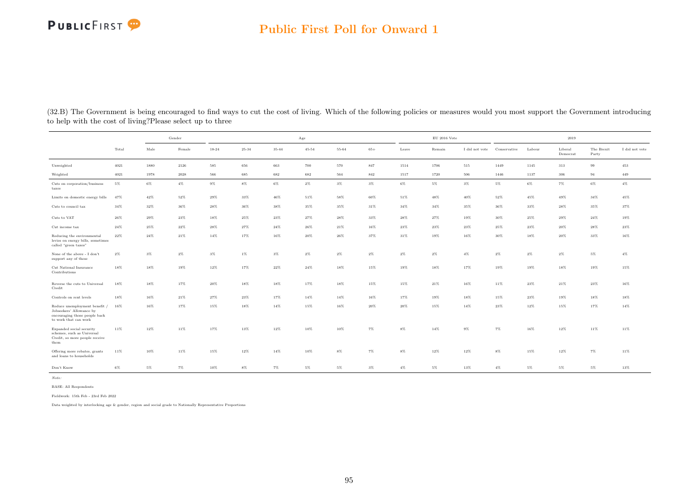#### Public First Poll for Onward 1

|                                                                                                                     |        | Gender |                     |        |           |        | Age       |       |       |       | $\mathrm{EU}$ 2016 Vote |                |              |        | 2019                |                     |                |
|---------------------------------------------------------------------------------------------------------------------|--------|--------|---------------------|--------|-----------|--------|-----------|-------|-------|-------|-------------------------|----------------|--------------|--------|---------------------|---------------------|----------------|
|                                                                                                                     | Total  | Male   | Female              | 18-24  | $25 - 34$ | 35-44  | $45 - 54$ | 55-64 | $65+$ | Leave | Remain                  | I did not vote | Conservative | Labour | Liberal<br>Democrat | The Brexit<br>Party | I did not vote |
| Unweighted                                                                                                          | 4021   | 1880   | 2126                | 585    | 656       | 663    | 700       | 570   | 847   | 1514  | 1706                    | 515            | 1449         | 1145   | 313                 | 99                  | 453            |
| Weighted                                                                                                            | 4021   | 1978   | $\boldsymbol{2028}$ | 566    | 685       | 682    | 682       | 564   | 842   | 1517  | 1720                    | 506            | 1446         | 1137   | 306                 | 94                  | 449            |
| Cuts on corporation/business<br>taxes                                                                               | $5\%$  | $6\%$  | $4\%$               | $9\%$  | $8\%$     | $6\%$  | $2\%$     | $3\%$ | $3\%$ | $6\%$ | $5\%$                   | $3\%$          | $5\%$        | $6\%$  | $7\%$               | $6\%$               | $4\%$          |
| Limits on domestic energy bills                                                                                     | 47%    | 42%    | $52\%$              | $29\%$ | $33\%$    | $46\%$ | $51\%$    | 58%   | 60%   | 51%   | 48%                     | 40%            | $52\%$       | 45%    | 49%                 | 34%                 | $45\%$         |
| Cuts to council tax                                                                                                 | 34%    | 32%    | 36%                 | 28%    | 36%       | 38%    | 35%       | 35%   | 31%   | 34%   | 34%                     | 35%            | 36%          | 33%    | 28%                 | 35%                 | 37%            |
| Cuts to VAT                                                                                                         | 26%    | 29%    | 23%                 | 18%    | 25%       | 23%    | 27%       | 28%   | 33%   | 28%   | 27%                     | 19%            | 30%          | 25%    | 29%                 | $24\%$              | 19%            |
| Cut income tax                                                                                                      | 24%    | 25%    | $22\%$              | 28%    | $27\%$    | 24%    | 26%       | 21%   | 16%   | 23%   | 23%                     | 23%            | 25%          | 23%    | 20%                 | 28%                 | 23%            |
| Reducing the environmental<br>levies on energy bills, sometimes<br>called "green taxes"                             | $22\%$ | 24%    | 21%                 | 14%    | 17%       | 16%    | 20%       | 26%   | 37%   | 31%   | 19%                     | 16%            | 30%          | 18%    | 20%                 | 33%                 | 16%            |
| None of the above - I don't<br>support any of these                                                                 | $2\%$  | $3\%$  | $2\%$               | $3\%$  | $1\%$     | $3\%$  | $2\%$     | $2\%$ | $2\%$ | $2\%$ | $2\%$                   | $4\%$          | $2\%$        | $2\%$  | $2\%$               | $5\%$               | $4\%$          |
| Cut National Insurance<br>Contributions                                                                             | 18%    | 18%    | 19%                 | 12%    | 17%       | $22\%$ | $24\%$    | 18%   | 15%   | 19%   | 18%                     | 17%            | 19%          | 19%    | 18%                 | 19%                 | 15%            |
| Reverse the cuts to Universal<br>Credit                                                                             | 18%    | 18%    | $17\%$              | $20\%$ | 18%       | 18%    | 17%       | 18%   | 15%   | 15%   | 21%                     | 16%            | 11%          | 23%    | 21%                 | 23%                 | 16%            |
| Controls on rent levels                                                                                             | 18%    | 16%    | 21%                 | 27%    | $23\%$    | 17%    | 14%       | 14%   | 16%   | 17%   | 19%                     | 18%            | 15%          | 23%    | 19%                 | 18%                 | 18%            |
| Reduce unemployment benefit /<br>Jobseekers' Allowance by<br>encouraging those people back<br>to work that can work | 16%    | 16%    | 17%                 | 15%    | 18%       | 14%    | 15%       | 16%   | 20%   | 20%   | 15%                     | 14%            | 23%          | 12%    | 15%                 | 17%                 | $14\%$         |
| Expanded social security<br>schemes, such as Universal<br>Credit, so more people receive<br>them                    | 11%    | 12%    | 11%                 | 17%    | 13%       | 12%    | 10%       | 10%   | $7\%$ | $8\%$ | 14%                     | $9\%$          | 7%           | 16%    | 12%                 | 11%                 | 11%            |
| Offering more rebates, grants<br>and loans to households                                                            | 11%    | 10%    | 11%                 | 15%    | $12\%$    | 14%    | 10%       | $8\%$ | $7\%$ | $8\%$ | 12%                     | 12%            | $8\%$        | 15%    | 12%                 | 7%                  | 11%            |
| Don't Know                                                                                                          | $6\%$  | $5\%$  | 7%                  | 10%    | $8\%$     | 7%     | $5\%$     | $5\%$ | $3\%$ | $4\%$ | 5%                      | 13%            | $4\%$        | 5%     | $5\%$               | $5\%$               | 13%            |

(32.B) The Government is being encouraged to find ways to cut the cost of living. Which of the following policies or measures would you most support the Government introducing to help with the cost of living?Please select up to three

Note:

BASE: All Respondents

Fieldwork: 15th Feb - 23rd Feb 2022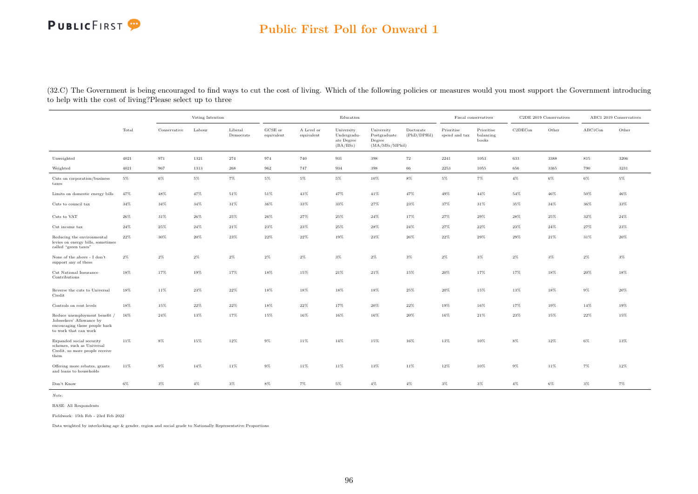#### Public First Poll for Onward 1

(32.C) The Government is being encouraged to find ways to cut the cost of living. Which of the following policies or measures would you most support the Government introducing to help with the cost of living?Please select up to three

|                                                                                                                     |        |              | Voting Intention |                      |                       |                          | Education                                           |                                                         |                          |                             | Fiscal conservatives             |         | C2DE 2019 Conservatives |         | ABC1 2019 Conservatives |
|---------------------------------------------------------------------------------------------------------------------|--------|--------------|------------------|----------------------|-----------------------|--------------------------|-----------------------------------------------------|---------------------------------------------------------|--------------------------|-----------------------------|----------------------------------|---------|-------------------------|---------|-------------------------|
|                                                                                                                     | Total  | Conservative | Labour           | Liberal<br>Democrats | GCSE or<br>equivalent | A Level or<br>equivalent | University<br>Undergradu-<br>ate Degree<br>(BA/BSc) | University<br>Postgraduate<br>Degree<br>(MA/MSc/MPhill) | Doctorate<br>(PhD/DPHil) | Prioritise<br>spend and tax | Prioritise<br>balancing<br>books | C2DECon | Other                   | ABC1Con | Other                   |
| Unweighted                                                                                                          | 4021   | 971          | 1321             | 274                  | 974                   | 740                      | 931                                                 | 398                                                     | 72                       | 2241                        | 1053                             | 633     | 3388                    | 815     | 3206                    |
| Weighted                                                                                                            | 4021   | 967          | 1313             | 268                  | 962                   | 747                      | 934                                                 | 398                                                     | 66                       | 2253                        | 1055                             | 656     | 3365                    | 790     | 3231                    |
| Cuts on corporation/business<br>taxes                                                                               | $5\%$  | $6\%$        | $5\%$            | $7\%$                | $5\%$                 | $5\%$                    | $5\%$                                               | 10%                                                     | $8\%$                    | $5\%$                       | $7\%$                            | $4\%$   | $6\%$                   | $6\%$   | $5\%$                   |
| Limits on domestic energy bills                                                                                     | 47%    | 48%          | 47%              | 51%                  | 51%                   | 43%                      | 47%                                                 | 41%                                                     | 47%                      | 49%                         | 44%                              | 54%     | 46%                     | 50%     | 46%                     |
| Cuts to council tax                                                                                                 | 34%    | 34%          | 34%              | 31%                  | 36%                   | 33%                      | 33%                                                 | 27%                                                     | 23%                      | 37%                         | 31%                              | 35%     | 34%                     | 36%     | 33%                     |
| Cuts to VAT                                                                                                         | 26%    | 31%          | 26%              | 25%                  | 26%                   | 27%                      | 25%                                                 | 24%                                                     | 17%                      | 27%                         | 29%                              | 28%     | 25%                     | 32%     | 24%                     |
| Cut income tax                                                                                                      | 24%    | 25%          | $24\%$           | 21%                  | 23%                   | 23%                      | 25%                                                 | 28%                                                     | 24%                      | 27%                         | 22%                              | 23%     | 24%                     | 27%     | 23%                     |
| Reducing the environmental<br>levies on energy bills, sometimes<br>called "green taxes"                             | 22%    | 30%          | 20%              | 23%                  | 22%                   | 22%                      | 19%                                                 | 23%                                                     | 26%                      | 22%                         | 29%                              | 29%     | 21%                     | 31%     | 20%                     |
| None of the above - I don't<br>support any of these                                                                 | $2\%$  | $2\%$        | $2\%$            | $2\%$                | $2\%$                 | $2\%$                    | $3\%$                                               | $2\%$                                                   | $3\%$                    | $2\%$                       | $3\%$                            | $2\%$   | $3\%$                   | $2\%$   | $3\%$                   |
| Cut National Insurance<br>Contributions                                                                             | 18%    | 17%          | 19%              | 17%                  | 18%                   | 15%                      | 21%                                                 | $21\%$                                                  | 15%                      | $20\%$                      | 17%                              | 17%     | 18%                     | 20%     | 18%                     |
| Reverse the cuts to Universal<br>Credit                                                                             | 18%    | 11%          | $23\%$           | $22\%$               | 18%                   | 18%                      | 18%                                                 | 18%                                                     | 25%                      | 20%                         | 15%                              | 13%     | 18%                     | $9\%$   | 20%                     |
| Controls on rent levels                                                                                             | 18%    | 15%          | $22\%$           | $22\%$               | 18%                   | $22\%$                   | 17%                                                 | $20\%$                                                  | $22\%$                   | 19%                         | 16%                              | 17%     | 19%                     | 14%     | 19%                     |
| Reduce unemployment benefit /<br>Jobseekers' Allowance by<br>encouraging those people back<br>to work that can work | $16\%$ | 24%          | 13%              | 17%                  | 15%                   | 16%                      | 16%                                                 | 16%                                                     | 20%                      | 16%                         | 21%                              | 23%     | 15%                     | $22\%$  | 15%                     |
| Expanded social security<br>schemes, such as Universal<br>Credit, so more people receive<br>them                    | 11%    | 8%           | 15%              | 12%                  | 9%                    | 11%                      | 14%                                                 | 15%                                                     | 16%                      | 13%                         | 10%                              | 8%      | 12%                     | 6%      | 13%                     |
| Offering more rebates, grants<br>and loans to households                                                            | 11%    | $9\%$        | 14%              | 11%                  | $9\%$                 | 11%                      | 11%                                                 | 13%                                                     | 11%                      | 12%                         | 10%                              | $9\%$   | 11%                     | $7\%$   | 12%                     |
| Don't Know                                                                                                          | $6\%$  | $3\%$        | $4\%$            | $3\%$                | $8\%$                 | $7\%$                    | $5\%$                                               | $4\%$                                                   | $4\%$                    | $3\%$                       | $3\%$                            | $4\%$   | $6\%$                   | $3\%$   | $7\%$                   |

Note:

BASE: All Respondents

Fieldwork: 15th Feb - 23rd Feb 2022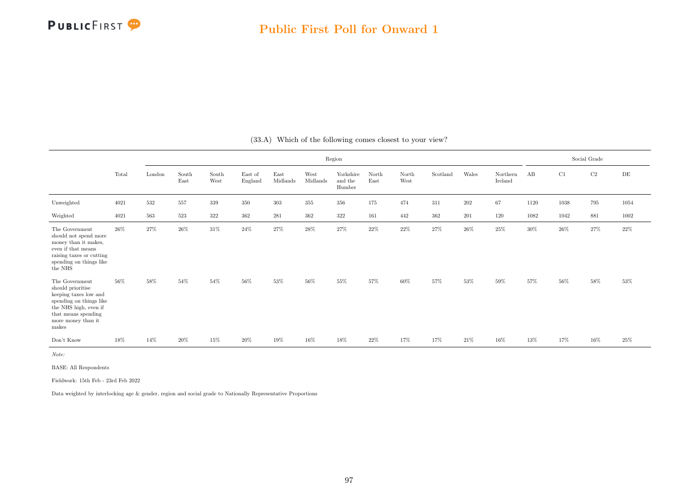

|                                                                                                                                                                        |       |        |               |               |                    |                  |                  | Region                         |                                |               |          |         |                     |        |      | Social Grade |           |
|------------------------------------------------------------------------------------------------------------------------------------------------------------------------|-------|--------|---------------|---------------|--------------------|------------------|------------------|--------------------------------|--------------------------------|---------------|----------|---------|---------------------|--------|------|--------------|-----------|
|                                                                                                                                                                        | Total | London | South<br>East | South<br>West | East of<br>England | East<br>Midlands | West<br>Midlands | Yorkshire<br>and the<br>Humber | $\operatorname{North}$<br>East | North<br>West | Scotland | Wales   | Northern<br>Ireland | AB     | C1   | $\rm{C2}$    | $\rm{DE}$ |
| Unweighted                                                                                                                                                             | 4021  | 532    | 557           | 339           | 350                | 303              | 355              | 356                            | 175                            | 474           | 311      | $202\,$ | 67                  | 1120   | 1038 | 795          | 1054      |
| Weighted                                                                                                                                                               | 4021  | 563    | 523           | 322           | 362                | 281              | 362              | 322                            | 161                            | 442           | $362\,$  | 201     | 120                 | 1082   | 1042 | 881          | 1002      |
| The Government<br>should not spend more<br>money than it makes,<br>even if that means<br>raising taxes or cutting<br>spending on things like<br>the NHS                | 26%   | 27%    | $26\%$        | $31\%$        | $24\%$             | $27\%$           | $28\%$           | $27\%$                         | $22\%$                         | $22\%$        | $27\%$   | $26\%$  | $25\%$              | $30\%$ | 26%  | 27%          | 22%       |
| The Government<br>should prioritise<br>keeping taxes low and<br>spending on things like<br>the NHS high, even if<br>that means spending<br>more money than it<br>makes | 56%   | $58\%$ | 54%           | $54\%$        | $56\%$             | $53\%$           | $56\%$           | $55\%$                         | 57%                            | $60\%$        | $57\%$   | $53\%$  | $59\%$              | $57\%$ | 56%  | $58\%$       | $53\%$    |
| Don't Know                                                                                                                                                             | 18%   | 14%    | $20\%$        | 15%           | $20\%$             | 19%              | $16\%$           | $18\%$                         | 22%                            | 17%           | 17%      | 21\%    | $16\%$              | 13%    | 17%  | 16%          | $25\%$    |

(33.A) Which of the following comes closest to your view?

Note:

BASE: All Respondents

Fieldwork: 15th Feb - 23rd Feb 2022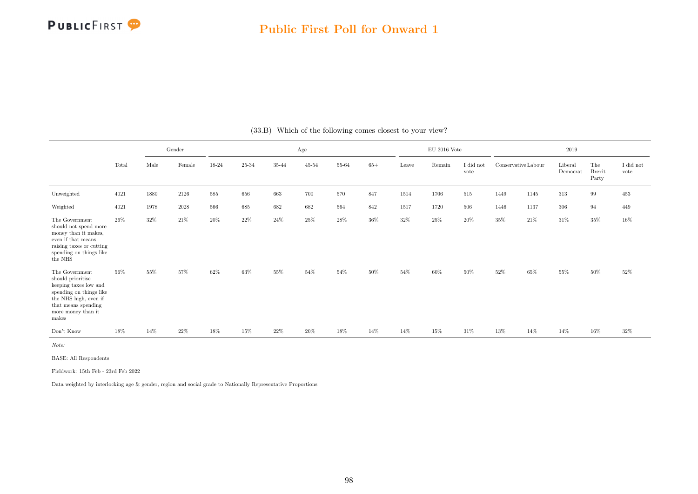

|                                                                                                                                                                        |       |      | Gender   |        |           |           | Age            |       |        |       | $\rm EU$ 2016 Vote |                               |                     |      | 2019                |                               |                               |
|------------------------------------------------------------------------------------------------------------------------------------------------------------------------|-------|------|----------|--------|-----------|-----------|----------------|-------|--------|-------|--------------------|-------------------------------|---------------------|------|---------------------|-------------------------------|-------------------------------|
|                                                                                                                                                                        | Total | Male | Female   | 18-24  | $25 - 34$ | $35 - 44$ | $45\hbox{-}54$ | 55-64 | $65+$  | Leave | Remain             | $\rm I$ did $\rm not$<br>vote | Conservative Labour |      | Liberal<br>Democrat | The<br><b>Brexit</b><br>Party | $\rm I$ did $\rm not$<br>vote |
| Unweighted                                                                                                                                                             | 4021  | 1880 | 2126     | 585    | 656       | 663       | 700            | 570   | 847    | 1514  | 1706               | 515                           | 1449                | 1145 | 313                 | 99                            | 453                           |
| Weighted                                                                                                                                                               | 4021  | 1978 | $2028\,$ | 566    | 685       | 682       | 682            | 564   | 842    | 1517  | 1720               | 506                           | 1446                | 1137 | 306                 | 94                            | 449                           |
| The Government<br>should not spend more<br>money than it makes,<br>even if that means<br>raising taxes or cutting<br>spending on things like<br>the NHS                | 26\%  | 32%  | 21%      | 20%    | $22\%$    | 24\%      | 25%            | 28%   | $36\%$ | 32%   | 25%                | 20%                           | 35%                 | 21\% | 31%                 | 35%                           | 16%                           |
| The Government<br>should prioritise<br>keeping taxes low and<br>spending on things like<br>the NHS high, even if<br>that means spending<br>more money than it<br>makes | 56%   | 55%  | 57%      | 62%    | 63%       | 55%       | 54%            | 54%   | $50\%$ | 54%   | 60%                | 50%                           | 52%                 | 65%  | 55%                 | 50%                           | 52%                           |
| Don't Know                                                                                                                                                             | 18%   | 14%  | $22\%$   | $18\%$ | $15\%$    | $22\%$    | 20%            | 18%   | 14%    | 14%   | 15%                | 31%                           | 13%                 | 14%  | 14%                 | 16%                           | $32\%$                        |

(33.B) Which of the following comes closest to your view?

Note:

BASE: All Respondents

Fieldwork: 15th Feb - 23rd Feb 2022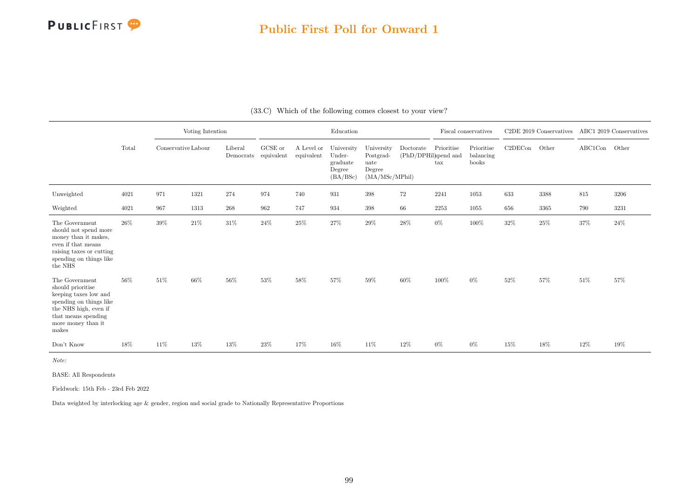

#### Public First Poll for Onward 1

|                                                                                                                                                                        |       |                     | Voting Intention |                                 |         |                          | Education                                              |                                                             |                                   |                            | Fiscal conservatives             |         | C <sub>2</sub> DE 2019 Conservatives ABC1 2019 Conservatives |         |       |
|------------------------------------------------------------------------------------------------------------------------------------------------------------------------|-------|---------------------|------------------|---------------------------------|---------|--------------------------|--------------------------------------------------------|-------------------------------------------------------------|-----------------------------------|----------------------------|----------------------------------|---------|--------------------------------------------------------------|---------|-------|
|                                                                                                                                                                        | Total | Conservative Labour |                  | Liberal<br>Democrats equivalent | GCSE or | A Level or<br>equivalent | University<br>Under-<br>graduate<br>Degree<br>(BA/BSc) | University<br>Postgrad-<br>uate<br>Degree<br>(MA/MSc/MPhil) | Doctorate<br>(PhD/DPHil)spend and | Prioritise<br>$_{\rm tax}$ | Prioritise<br>balancing<br>books | C2DECon | Other                                                        | ABC1Con | Other |
| Unweighted                                                                                                                                                             | 4021  | 971                 | 1321             | 274                             | 974     | 740                      | 931                                                    | 398                                                         | $72\,$                            | 2241                       | 1053                             | 633     | 3388                                                         | $815\,$ | 3206  |
| Weighted                                                                                                                                                               | 4021  | 967                 | 1313             | $268\,$                         | 962     | 747                      | 934                                                    | 398                                                         | 66                                | 2253                       | 1055                             | 656     | 3365                                                         | 790     | 3231  |
| The Government<br>should not spend more<br>money than it makes,<br>even if that means<br>raising taxes or cutting<br>spending on things like<br>the NHS                | 26%   | 39%                 | $21\%$           | $31\%$                          | 24%     | $25\%$                   | 27%                                                    | 29%                                                         | $28\%$                            | $0\%$                      | 100%                             | $32\%$  | 25%                                                          | 37%     | 24\%  |
| The Government<br>should prioritise<br>keeping taxes low and<br>spending on things like<br>the NHS high, even if<br>that means spending<br>more money than it<br>makes | 56%   | 51%                 | 66%              | $56\%$                          | 53%     | 58%                      | 57%                                                    | 59%                                                         | $60\%$                            | 100%                       | $0\%$                            | 52%     | 57%                                                          | $51\%$  | 57%   |
| Don't Know                                                                                                                                                             | 18%   | 11%                 | 13%              | 13%                             | 23\%    | 17%                      | 16%                                                    | $11\%$                                                      | 12%                               | $0\%$                      | $0\%$                            | 15%     | 18%                                                          | 12%     | 19%   |

(33.C) Which of the following comes closest to your view?

Note:

BASE: All Respondents

Fieldwork: 15th Feb - 23rd Feb 2022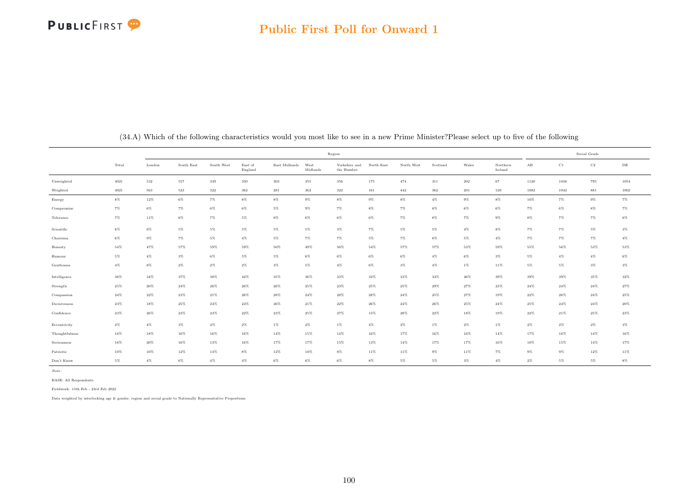#### Public First Poll for Onward 1

|                |       |        |            |            |                    |               |                  | Region                      |            |            |          |       |                     |        |             | Social Grade |           |
|----------------|-------|--------|------------|------------|--------------------|---------------|------------------|-----------------------------|------------|------------|----------|-------|---------------------|--------|-------------|--------------|-----------|
|                | Total | London | South East | South West | East of<br>England | East Midlands | West<br>Midlands | Yorkshire and<br>the Humber | North East | North West | Scotland | Wales | Northern<br>Ireland | AB     | $_{\rm C1}$ | $_{\rm C2}$  | $\rm{DE}$ |
| Unweighted     | 4021  | 532    | 557        | 339        | 350                | 303           | $355\,$          | 356                         | 175        | 474        | 311      | 202   | 67                  | 1120   | 1038        | 795          | 1054      |
| Weighted       | 4021  | 563    | $523\,$    | $322\,$    | $362\,$            | $\bf 281$     | $362\,$          | $322\,$                     | 161        | $442\,$    | 362      | 201   | 120                 | 1082   | 1042        | 881          | 1002      |
| Energy         | $8\%$ | 12%    | $6\%$      | 7%         | $8\%$              | $8\%$         | $9\%$            | $8\%$                       | $9\%$      | $8\%$      | $4\%$    | $9\%$ | $8\%$               | 10%    | 7%          | $9\%$        | $7\%$     |
| Compromise     | 7%    | $6\%$  | $7\%$      | $6\%$      | $6\%$              | 5%            | $9\%$            | $7\%$                       | $8\%$      | 7%         | $8\%$    | 6%    | $6\%$               | 7%     | 6%          | $8\%$        | $7\%$     |
| Tolerance      | $7\%$ | 11%    | $6\%$      | $7\%$      | $5\%$              | 8%            | $6\%$            | 6%                          | $6\%$      | $7\%$      | $8\%$    | $7\%$ | $9\%$               | $8\%$  | 7%          | $7\%$        | $6\%$     |
| Scientific     | $6\%$ | $8\%$  | $5\%$      | $5\%$      | $5\%$              | 5%            | $5\%$            | $3\%$                       | $7\%$      | $5\%$      | $5\%$    | $4\%$ | $8\%$               | $7\%$  | 7%          | $5\%$        | $3\%$     |
| Charisma       | $6\%$ | $9\%$  | $7\%$      | $5\%$      | $4\%$              | 5%            | $7\%$            | $7\%$                       | $5\%$      | $7\%$      | $8\%$    | $5\%$ | $4\%$               | $7\%$  | 7%          | $7\%$        | $4\%$     |
| Honesty        | 54%   | 47%    | 57%        | 59%        | 59%                | 50%           | 49%              | $56\%$                      | $54\%$     | 57%        | 57%      | 53%   | 59%                 | 55%    | 56%         | 53%          | 53%       |
| Humour         | $5\%$ | $4\%$  | $3\%$      | $6\%$      | $5\%$              | 5%            | $6\%$            | $6\%$                       | $6\%$      | $6\%$      | $4\%$    | $6\%$ | $3\%$               | 5%     | $4\%$       | $4\%$        | $6\%$     |
| Gentleness     | $4\%$ | $8\%$  | $2\%$      | $2\%$      | $2\%$              | $3\%$         | 5%               | $4\%$                       | $6\%$      | $3\%$      | $4\%$    | 1%    | 11%                 | 5%     | 5%          | $3\%$        | $3\%$     |
| Intelligence   | 36%   | $34\%$ | 37%        | 38%        | 42%                | 35%           | 36%              | 33%                         | $32\%$     | 33%        | $34\%$   | 46%   | 39%                 | 39%    | 39%         | 35%          | $32\%$    |
| Strength       | 25%   | 20%    | $24\%$     | 26%        | $26\%$             | $26\%$        | $25\%$           | 23%                         | 25%        | $25\%$     | $29\%$   | 27%   | 23%                 | $24\%$ | 24%         | $24\%$       | $27\%$    |
| Compassion     | 24%   | 22%    | 23%        | 21%        | $26\%$             | 28%           | $24\%$           | 28%                         | 28%        | $24\%$     | 25%      | 27%   | 19%                 | $22\%$ | 26%         | $24\%$       | $25\%$    |
| Decisiveness   | 23%   | 18%    | $25\%$     | 24%        | 24%                | 26%           | $21\%$           | 22%                         | 26%        | $24\%$     | 26%      | 25%   | 24%                 | $25\%$ | 24%         | $24\%$       | $20\%$    |
| Confidence     | 23%   | 26%    | 23%        | 23%        | $22\%$             | $23\%$        | $25\%$           | 27%                         | 15%        | $20\%$     | 22%      | 18%   | 19%                 | $22\%$ | 21%         | $25\%$       | $23\%$    |
| Eccentricity   | $2\%$ | $4\%$  | $3\%$      | $2\%$      | $2\%$              | $1\%$         | $2\%$            | $1\%$                       | $4\%$      | $2\%$      | $1\%$    | $2\%$ | $1\%$               | $2\%$  | 2%          | $2\%$        | $3\%$     |
| Thoughtfulness | 16%   | $18\%$ | $16\%$     | $16\%$     | $16\%$             | $14\%$        | $15\%$           | $14\%$                      | 16%        | 17%        | 16%      | 16%   | 14%                 | 17%    | 16%         | 14%          | $16\%$    |
| Seriousness    | 16%   | 20%    | 16%        | 13%        | 16%                | 17%           | 17%              | 15%                         | 13%        | $14\%$     | 17%      | 17%   | 16%                 | 18%    | 15%         | 14%          | 17%       |
| Patriotic      | 10%   | 10%    | 12%        | 13%        | $8\%$              | 12%           | 10%              | 8%                          | 11%        | 11%        | $9\%$    | 11%   | 7%                  | 9%     | 9%          | 12%          | 11%       |
| Don't Know     | $5\%$ | $4\%$  | $6\%$      | $4\%$      | $4\%$              | $6\%$         | $6\%$            | $6\%$                       | $8\%$      | $5\%$      | 5%       | $3\%$ | $4\%$               | $2\%$  | 5%          | $5\%$        | $8\%$     |

(34.A) Which of the following characteristics would you most like to see in a new Prime Minister?Please select up to five of the following

Note:

Fieldwork: 15th Feb - 23rd Feb 2022

BASE: All Respondents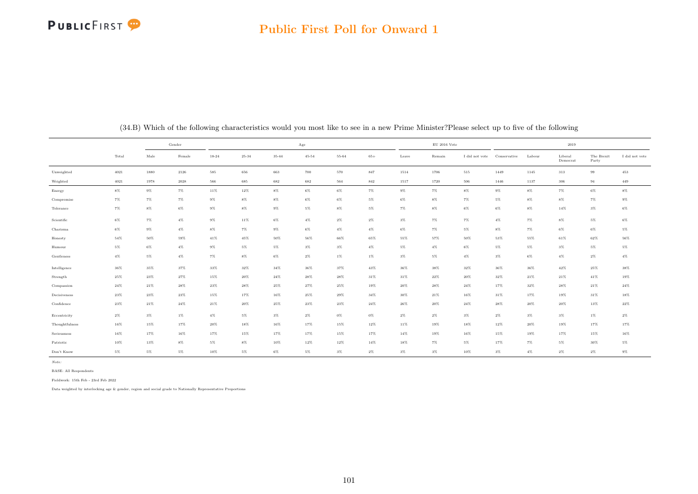#### Public First Poll for Onward 1

|                |        |        | Gender |           |           |        | Age       |         |        |        | $\mathrm{EU}$ 2016 Vote |                             |        |        | 2019                |                     |                |
|----------------|--------|--------|--------|-----------|-----------|--------|-----------|---------|--------|--------|-------------------------|-----------------------------|--------|--------|---------------------|---------------------|----------------|
|                | Total  | Male   | Female | $18 - 24$ | $25 - 34$ | 35-44  | $45 - 54$ | 55-64   | $65+$  | Leave  | Remain                  | I did not vote Conservative |        | Labour | Liberal<br>Democrat | The Brexit<br>Party | I did not vote |
| Unweighted     | 4021   | 1880   | 2126   | $585\,$   | 656       | 663    | 700       | $570\,$ | 847    | 1514   | 1706                    | $515\,$                     | 1449   | 1145   | 313                 | $\boldsymbol{99}$   | 453            |
| Weighted       | 4021   | 1978   | 2028   | 566       | 685       | 682    | 682       | 564     | 842    | 1517   | 1720                    | 506                         | 1446   | 1137   | 306                 | 94                  | 449            |
| Energy         | $8\%$  | $9\%$  | $7\%$  | $11\%$    | $12\%$    | $8\%$  | $6\%$     | $6\%$   | $7\%$  | $9\%$  | $7\%$                   | $8\%$                       | $9\%$  | $8\%$  | $7\%$               | $6\%$               | $8\%$          |
| Compromise     | 7%     | $7\%$  | $7\%$  | $9\%$     | $8\%$     | $8\%$  | $6\%$     | $6\%$   | $5\%$  | $6\%$  | $8\%$                   | $7\%$                       | 5%     | $8\%$  | $8\%$               | $7\%$               | $9\%$          |
| Tolerance      | $7\%$  | $8\%$  | $6\%$  | $9\%$     | $8\%$     | $9\%$  | $5\%$     | $8\%$   | $5\%$  | $7\%$  | $8\%$                   | $6\%$                       | $6\%$  | $8\%$  | 14%                 | $3\%$               | $6\%$          |
| Scientific     | 6%     | $7\%$  | $4\%$  | $9\%$     | 11%       | $6\%$  | $4\%$     | $2\%$   | $2\%$  | $3\%$  | $7\%$                   | $7\%$                       | $4\%$  | $7\%$  | $8\%$               | $5\%$               | $6\%$          |
| Charisma       | 6%     | $9\%$  | $4\%$  | $8\%$     | $7\%$     | $9\%$  | $6\%$     | $4\%$   | $4\%$  | $6\%$  | $7\%$                   | $5\%$                       | $8\%$  | 7%     | $6\%$               | $6\%$               | $5\%$          |
| Honesty        | $54\%$ | 50%    | 59%    | 41%       | 45%       | 50%    | 56%       | 66%     | 65%    | 55%    | 57%                     | 50%                         | 53%    | 55%    | 61%                 | 62%                 | 56%            |
| Humour         | 5%     | $6\%$  | $4\%$  | $9\%$     | $5\%$     | $5\%$  | $3\%$     | $3\%$   | $4\%$  | 5%     | $4\%$                   | $6\%$                       | 5%     | $5\%$  | $3\%$               | $5\%$               | $5\%$          |
| Gentleness     | $4\%$  | $5\%$  | $4\%$  | $7\%$     | $8\%$     | $6\%$  | $2\%$     | $1\%$   | $1\%$  | $3\%$  | $5\%$                   | $4\%$                       | $3\%$  | $6\%$  | $4\%$               | $2\%$               | $4\%$          |
| Intelligence   | 36%    | 35%    | 37%    | 33%       | $32\%$    | $34\%$ | 36%       | 37%     | $43\%$ | $36\%$ | 38%                     | 32%                         | 36%    | 36%    | 42%                 | $25\%$              | $38\%$         |
| Strength       | 25%    | 23%    | 27%    | 15%       | 20%       | 24%    | 28%       | 28%     | 31%    | 31%    | 22%                     | $20\%$                      | 32%    | 21%    | $21\%$              | 41%                 | 19%            |
| Compassion     | 24%    | 21%    | 28%    | 23%       | $28\%$    | 25%    | 27%       | $25\%$  | 19%    | $20\%$ | 28%                     | $24\%$                      | 17%    | 32%    | $28\%$              | $21\%$              | $24\%$         |
| Decisiveness   | $23\%$ | $23\%$ | 23%    | $15\%$    | $17\%$    | 16%    | $25\%$    | $29\%$  | $34\%$ | $30\%$ | $21\%$                  | 16%                         | $31\%$ | 17%    | 19%                 | $31\%$              | $18\%$         |
| Confidence     | $23\%$ | $21\%$ | 24%    | $21\%$    | $20\%$    | 25%    | 23%       | $23\%$  | $24\%$ | $26\%$ | $20\%$                  | $24\%$                      | $28\%$ | 20%    | $20\%$              | 13%                 | $22\%$         |
| Eccentricity   | $2\%$  | $3\%$  | $1\%$  | $4\%$     | $5\%$     | $3\%$  | $2\%$     | $0\%$   | $0\%$  | $2\%$  | $2\%$                   | $3\%$                       | $2\%$  | $3\%$  | $3\%$               | $1\%$               | $2\%$          |
| Thoughtfulness | $16\%$ | 15%    | 17%    | $20\%$    | $18\%$    | 16%    | 17%       | $15\%$  | $12\%$ | $11\%$ | 19%                     | 18%                         | $12\%$ | 20%    | 19%                 | $17\%$              | $17\%$         |
| Seriousness    | 16%    | 17%    | 16%    | 17%       | 15%       | 17%    | 17%       | 15%     | 17%    | 14%    | 19%                     | 16%                         | 15%    | 19%    | 17%                 | 15%                 | $16\%$         |
| Patriotic      | 10%    | 13%    | $8\%$  | $5\%$     | $8\%$     | 10%    | $12\%$    | 12%     | $14\%$ | 18%    | $7\%$                   | $5\%$                       | 17%    | 7%     | 5%                  | 30%                 | $5\%$          |
| Don't Know     | 5%     | 5%     | $5\%$  | 10%       | $5\%$     | $6\%$  | $5\%$     | $3\%$   | $2\%$  | $3\%$  | $3\%$                   | 10%                         | $3\%$  | $4\%$  | $2\%$               | $2\%$               | $9\%$          |

(34.B) Which of the following characteristics would you most like to see in a new Prime Minister?Please select up to five of the following

Note:

BASE: All Respondents

Fieldwork: 15th Feb - 23rd Feb 2022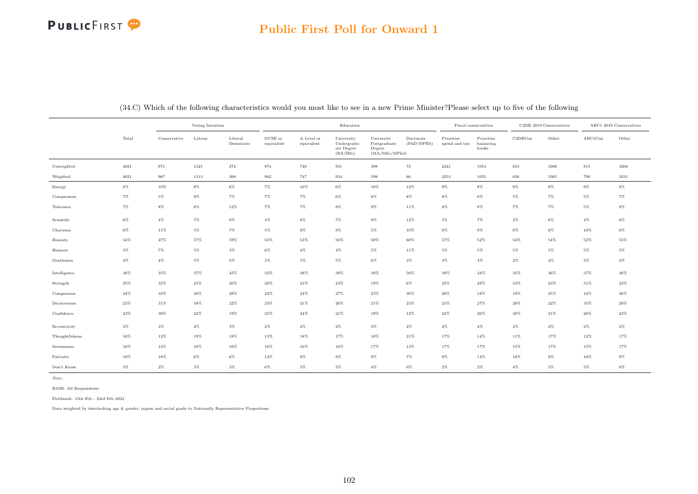#### Public First Poll for Onward 1

|                |       |              | Voting Intention |                      |                               |                          | Education                                           |                                                        |                          | Fiscal conservatives        |                                  |         | C2DE 2019 Conservatives | ABC1 2019 Conservatives |        |
|----------------|-------|--------------|------------------|----------------------|-------------------------------|--------------------------|-----------------------------------------------------|--------------------------------------------------------|--------------------------|-----------------------------|----------------------------------|---------|-------------------------|-------------------------|--------|
|                | Total | Conservative | Labour           | Liberal<br>Democrats | ${\bf GCSE}$ or<br>equivalent | A Level or<br>equivalent | University<br>Undergradu-<br>ate Degree<br>(BA/BSc) | University<br>Postgraduate<br>Degree<br>(MA/MSc/MPhil) | Doctorate<br>(PhD/DPHil) | Prioritise<br>spend and tax | Prioritise<br>balancing<br>books | C2DECon | Other                   | ${\rm ABC1Con}$         | Other  |
| Unweighted     | 4021  | 971          | 1321             | 274                  | 974                           | 740                      | $\boldsymbol{931}$                                  | $398\,$                                                | $\scriptstyle{72}$       | 2241                        | 1053                             | 633     | 3388                    | 815                     | 3206   |
| Weighted       | 4021  | 967          | 1313             | 268                  | 962                           | 747                      | 934                                                 | 398                                                    | 66                       | 2253                        | 1055                             | 656     | 3365                    | 790                     | 3231   |
| Energy         | $8\%$ | $10\%$       | $8\%$            | $6\%$                | $7\%$                         | 10%                      | $6\%$                                               | 10%                                                    | $12\%$                   | $9\%$                       | $8\%$                            | $8\%$   | $8\%$                   | $9\%$                   | $8\%$  |
| Compromise     | $7\%$ | $5\%$        | $9\%$            | $7\%$                | $7\%$                         | $7\%$                    | $6\%$                                               | $8\%$                                                  | $8\%$                    | $8\%$                       | $6\%$                            | $5\%$   | $7\%$                   | $5\%$                   | $7\%$  |
| Tolerance      | $7\%$ | $8\%$        | $8\%$            | $12\%$               | $7\%$                         | $7\%$                    | $8\%$                                               | $9\%$                                                  | 11%                      | $8\%$                       | $8\%$                            | $7\%$   | $7\%$                   | $5\%$                   | $8\%$  |
| Scientific     | 6%    | $4\%$        | $7\%$            | 8%                   | $3\%$                         | $6\%$                    | $7\%$                                               | $9\%$                                                  | $12\%$                   | $5\%$                       | $7\%$                            | $2\%$   | $6\%$                   | $4\%$                   | $6\%$  |
| Charisma       | $6\%$ | 11%          | $5\%$            | $7\%$                | $5\%$                         | $8\%$                    | $8\%$                                               | $5\%$                                                  | 10%                      | $6\%$                       | $8\%$                            | $6\%$   | $6\%$                   | 10%                     | $6\%$  |
| Honesty        | 54%   | 47%          | 57%              | 59%                  | 53%                           | 53%                      | 56%                                                 | 50%                                                    | 60%                      | 57%                         | 52%                              | 54%     | 54%                     | 52%                     | 55%    |
| Humour         | $5\%$ | $7\%$        | $5\%$            | $3\%$                | $6\%$                         | $4\%$                    | $4\%$                                               | $5\%$                                                  | 11%                      | $5\%$                       | $5\%$                            | $5\%$   | $5\%$                   | 5%                      | $5\%$  |
| Gentleness     | $4\%$ | $4\%$        | $5\%$            | 5%                   | $3\%$                         | $5\%$                    | $5\%$                                               | $6\%$                                                  | $3\%$                    | $4\%$                       | $4\%$                            | $2\%$   | $4\%$                   | $3\%$                   | $4\%$  |
| Intelligence   | 36%   | 35%          | 37%              | $45\%$               | 32%                           | 38%                      | 39%                                                 | $39\%$                                                 | $50\%$                   | 39%                         | 34%                              | 35%     | 36%                     | 37%                     | 36%    |
| Strength       | 25%   | 32%          | 23%              | 20%                  | 28%                           | 23%                      | 23%                                                 | 19%                                                    | 6%                       | 25%                         | 28%                              | 33%     | $23\%$                  | 31%                     | $23\%$ |
| Compassion     | 24%   | 16%          | $30\%$           | 28%                  | $24\%$                        | 24%                      | 27%                                                 | $23\%$                                                 | 30%                      | 28%                         | 18%                              | 18%     | 25%                     | $16\%$                  | $26\%$ |
| Decisiveness   | 23%   | 31%          | 18%              | 22%                  | 23%                           | 21%                      | 26%                                                 | $21\%$                                                 | 23%                      | 23%                         | 27%                              | 28%     | 22%                     | 35%                     | $20\%$ |
| Confidence     | 23%   | $30\%$       | $22\%$           | 19%                  | 25%                           | 24%                      | $21\%$                                              | 19%                                                    | 12%                      | 23%                         | 26%                              | $30\%$  | 21%                     | 26%                     | $22\%$ |
| Eccentricity   | $2\%$ | $3\%$        | $2\%$            | $3\%$                | $2\%$                         | $2\%$                    | $2\%$                                               | $3\%$                                                  | $2\%$                    | $2\%$                       | $4\%$                            | $2\%$   | $2\%$                   | $2\%$                   | $2\%$  |
| Thoughtfulness | 16%   | 12%          | 19%              | 18%                  | 13%                           | 18%                      | 17%                                                 | 18%                                                    | 21%                      | 17%                         | 14%                              | 11%     | 17%                     | 12%                     | 17%    |
| Seriousness    | 16%   | 14%          | $18\%$           | 16%                  | 16%                           | 16%                      | 16%                                                 | 17%                                                    | 13%                      | 17%                         | 17%                              | 15%     | 17%                     | 15%                     | 17%    |
| Patriotic      | 10%   | 18%          | $6\%$            | 6%                   | 14%                           | $9\%$                    | 8%                                                  | $9\%$                                                  | 7%                       | 9%                          | 14%                              | 18%     | $9\%$                   | 16%                     | $9\%$  |
| Don't Know     | $5\%$ | $2\%$        | $3\%$            | $3\%$                | $6\%$                         | $5\%$                    | $3\%$                                               | $4\%$                                                  | $0\%$                    | $2\%$                       | $2\%$                            | $4\%$   | $5\%$                   | $3\%$                   | $6\%$  |

(34.C) Which of the following characteristics would you most like to see in a new Prime Minister?Please select up to five of the following

Note:

BASE: All Respondents

Fieldwork: 15th Feb - 23rd Feb 2022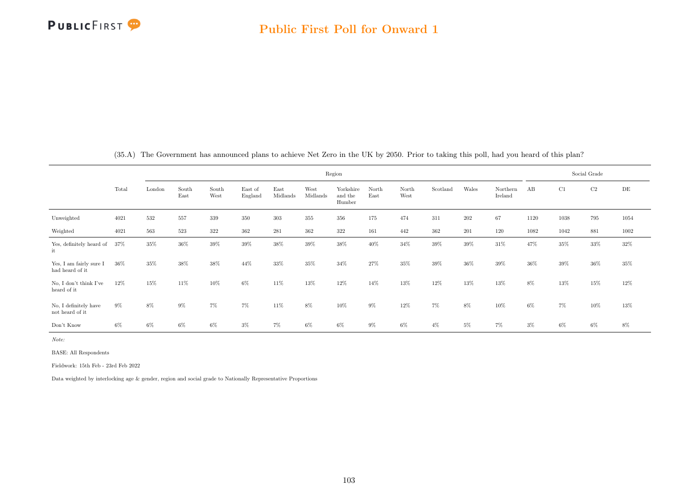

|                                            |       |        |               |               |                    |                  |                  | Region                         |               |               |          |       |                     |        |       | Social Grade |       |
|--------------------------------------------|-------|--------|---------------|---------------|--------------------|------------------|------------------|--------------------------------|---------------|---------------|----------|-------|---------------------|--------|-------|--------------|-------|
|                                            | Total | London | South<br>East | South<br>West | East of<br>England | East<br>Midlands | West<br>Midlands | Yorkshire<br>and the<br>Humber | North<br>East | North<br>West | Scotland | Wales | Northern<br>Ireland | AB     | C1    | C2           | DE    |
| Unweighted                                 | 4021  | 532    | 557           | $339\,$       | 350                | 303              | 355              | 356                            | 175           | 474           | 311      | 202   | 67                  | 1120   | 1038  | 795          | 1054  |
| Weighted                                   | 4021  | 563    | 523           | 322           | 362                | 281              | 362              | 322                            | 161           | 442           | 362      | 201   | 120                 | 1082   | 1042  | 881          | 1002  |
| Yes, definitely heard of<br>it             | 37%   | 35%    | $36\%$        | $39\%$        | 39%                | 38%              | 39%              | 38%                            | 40%           | 34%           | $39\%$   | 39%   | 31%                 | 47%    | 35%   | 33%          | 32%   |
| Yes, I am fairly sure I<br>had heard of it | 36%   | 35%    | 38%           | 38%           | 44%                | 33%              | 35%              | 34%                            | 27%           | 35%           | 39%      | 36%   | 39%                 | $36\%$ | 39%   | 36%          | 35%   |
| No, I don't think I've<br>heard of it      | 12%   | 15%    | 11\%          | 10%           | 6%                 | 11%              | 13%              | 12%                            | 14%           | 13%           | 12%      | 13%   | 13%                 | 8%     | 13%   | 15%          | 12%   |
| No. I definitely have<br>not heard of it   | $9\%$ | 8%     | 9%            | 7%            | 7%                 | 11%              | 8%               | 10%                            | $9\%$         | 12%           | $7\%$    | 8%    | 10%                 | $6\%$  | $7\%$ | 10%          | 13%   |
| Don't Know                                 | $6\%$ | $6\%$  | 6%            | 6%            | $3\%$              | 7%               | $6\%$            | 6%                             | $9\%$         | 6%            | $4\%$    | $5\%$ | 7%                  | $3\%$  | $6\%$ | 6%           | $8\%$ |

(35.A) The Government has announced plans to achieve Net Zero in the UK by 2050. Prior to taking this poll, had you heard of this plan?

Note:

BASE: All Respondents

Fieldwork: 15th Feb - 23rd Feb 2022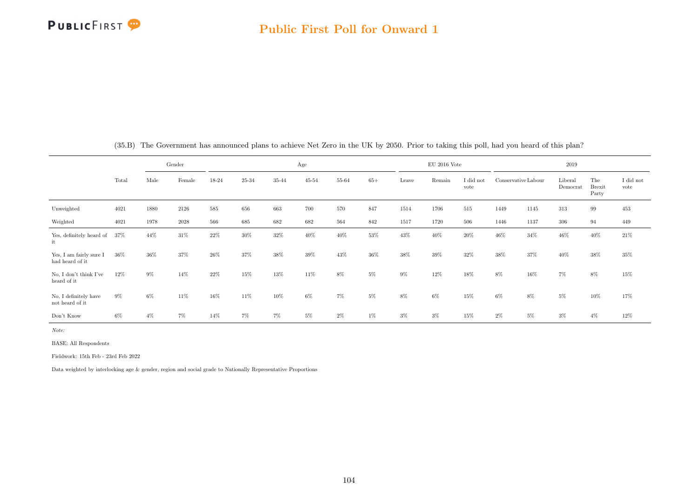

|                                            |       |       | Gender   |       | Age   |       |           |       |       |       | $EU$ 2016 Vote |                   | 2019                |       |                     |                               |                               |
|--------------------------------------------|-------|-------|----------|-------|-------|-------|-----------|-------|-------|-------|----------------|-------------------|---------------------|-------|---------------------|-------------------------------|-------------------------------|
|                                            | Total | Male  | Female   | 18-24 | 25-34 | 35-44 | $45 - 54$ | 55-64 | $65+$ | Leave | Remain         | I did not<br>vote | Conservative Labour |       | Liberal<br>Democrat | The<br><b>Brexit</b><br>Party | $\rm I$ did $\rm not$<br>vote |
| Unweighted                                 | 4021  | 1880  | 2126     | 585   | 656   | 663   | 700       | 570   | 847   | 1514  | 1706           | 515               | 1449                | 1145  | 313                 | 99                            | 453                           |
| Weighted                                   | 4021  | 1978  | $2028\,$ | 566   | 685   | 682   | 682       | 564   | 842   | 1517  | 1720           | 506               | 1446                | 1137  | 306                 | 94                            | 449                           |
| Yes, definitely heard of<br>it             | 37%   | 44%   | 31%      | 22%   | 30%   | 32%   | 40%       | 40%   | 53%   | 43%   | 40%            | 20%               | 46%                 | 34%   | 46%                 | 40%                           | $21\%$                        |
| Yes, I am fairly sure I<br>had heard of it | 36%   | 36%   | 37%      | 26%   | 37%   | 38%   | 39%       | 43%   | 36%   | 38%   | 39%            | 32%               | 38%                 | 37%   | 40%                 | 38%                           | 35%                           |
| No, I don't think I've<br>heard of it      | 12%   | $9\%$ | 14%      | 22%   | 15%   | 13%   | 11%       | 8%    | $5\%$ | $9\%$ | 12%            | 18%               | 8%                  | 16%   | $7\%$               | 8%                            | $15\%$                        |
| No, I definitely have<br>not heard of it   | $9\%$ | 6%    | 11\%     | 16%   | 11%   | 10%   | $6\%$     | 7%    | $5\%$ | $8\%$ | $6\%$          | 15%               | $6\%$               | 8%    | $5\%$               | 10%                           | 17%                           |
| Don't Know                                 | $6\%$ | $4\%$ | 7%       | 14%   | 7%    | $7\%$ | $5\%$     | $2\%$ | 1%    | $3\%$ | $3\%$          | 15%               | $2\%$               | $5\%$ | $3\%$               | $4\%$                         | 12%                           |

(35.B) The Government has announced plans to achieve Net Zero in the UK by 2050. Prior to taking this poll, had you heard of this plan?

Note:

BASE: All Respondents

Fieldwork: 15th Feb - 23rd Feb 2022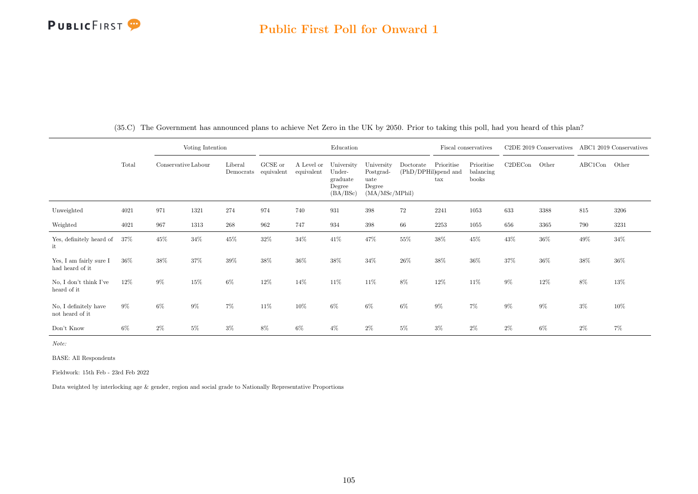|                                            |       | Voting Intention    |       |                      |                       |                          | Education                                              |                                                             |                                   | Fiscal conservatives |                                  | $C2DE$ 2019 Conservatives |        | ABC1 2019 Conservatives |        |
|--------------------------------------------|-------|---------------------|-------|----------------------|-----------------------|--------------------------|--------------------------------------------------------|-------------------------------------------------------------|-----------------------------------|----------------------|----------------------------------|---------------------------|--------|-------------------------|--------|
|                                            | Total | Conservative Labour |       | Liberal<br>Democrats | GCSE or<br>equivalent | A Level or<br>equivalent | University<br>Under-<br>graduate<br>Degree<br>(BA/BSc) | University<br>Postgrad-<br>uate<br>Degree<br>(MA/MSc/MPhil) | Doctorate<br>(PhD/DPHil)spend and | Prioritise<br>tax    | Prioritise<br>balancing<br>books | C2DECon                   | Other  | ABC1Con Other           |        |
| Unweighted                                 | 4021  | 971                 | 1321  | 274                  | 974                   | 740                      | 931                                                    | 398                                                         | $72\,$                            | 2241                 | 1053                             | 633                       | 3388   | 815                     | 3206   |
| Weighted                                   | 4021  | 967                 | 1313  | 268                  | 962                   | 747                      | 934                                                    | 398                                                         | 66                                | 2253                 | 1055                             | 656                       | 3365   | 790                     | 3231   |
| Yes, definitely heard of<br>it             | 37%   | 45%                 | 34%   | 45%                  | $32\%$                | 34%                      | 41%                                                    | 47%                                                         | 55%                               | 38%                  | $45\%$                           | 43%                       | $36\%$ | 49%                     | $34\%$ |
| Yes, I am fairly sure I<br>had heard of it | 36%   | 38%                 | 37%   | 39%                  | 38%                   | 36%                      | 38%                                                    | 34%                                                         | 26%                               | 38%                  | 36%                              | 37%                       | 36%    | $38\%$                  | 36%    |
| No. I don't think I've<br>heard of it      | 12%   | $9\%$               | 15%   | $6\%$                | 12%                   | 14%                      | 11%                                                    | 11%                                                         | 8%                                | $12\%$               | 11\%                             | $9\%$                     | $12\%$ | 8%                      | 13%    |
| No, I definitely have<br>not heard of it   | $9\%$ | $6\%$               | $9\%$ | $7\%$                | 11\%                  | 10%                      | 6%                                                     | $6\%$                                                       | $6\%$                             | $9\%$                | $7\%$                            | $9\%$                     | $9\%$  | $3\%$                   | 10%    |
| Don't Know                                 | $6\%$ | $2\%$               | $5\%$ | $3\%$                | 8%                    | 6%                       | $4\%$                                                  | $2\%$                                                       | $5\%$                             | $3\%$                | $2\%$                            | $2\%$                     | $6\%$  | $2\%$                   | 7%     |

(35.C) The Government has announced plans to achieve Net Zero in the UK by 2050. Prior to taking this poll, had you heard of this plan?

Note:

BASE: All Respondents

Fieldwork: 15th Feb - 23rd Feb 2022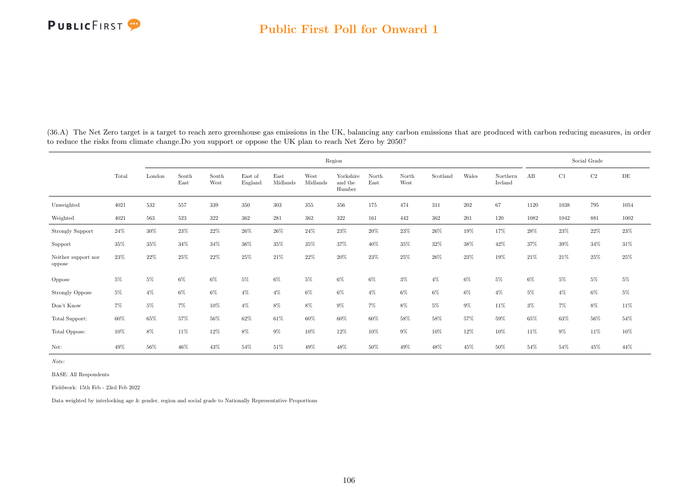|                                     |       | Region |               |               |                    |                  |                  |                                |               |               |          |       |                     |       | Social Grade |       |           |  |  |
|-------------------------------------|-------|--------|---------------|---------------|--------------------|------------------|------------------|--------------------------------|---------------|---------------|----------|-------|---------------------|-------|--------------|-------|-----------|--|--|
|                                     | Total | London | South<br>East | South<br>West | East of<br>England | East<br>Midlands | West<br>Midlands | Yorkshire<br>and the<br>Humber | North<br>East | North<br>West | Scotland | Wales | Northern<br>Ireland | AB    | C1           | C2    | $\rm{DE}$ |  |  |
| Unweighted                          | 4021  | 532    | 557           | 339           | 350                | $303\,$          | 355              | 356                            | 175           | 474           | 311      | 202   | 67                  | 1120  | 1038         | 795   | 1054      |  |  |
| Weighted                            | 4021  | 563    | 523           | $322\,$       | 362                | 281              | 362              | 322                            | 161           | 442           | 362      | 201   | 120                 | 1082  | 1042         | 881   | 1002      |  |  |
| Strongly Support                    | 24%   | $30\%$ | 23%           | $22\%$        | $26\%$             | $26\%$           | 24%              | 23%                            | $20\%$        | 23%           | 26%      | 19%   | 17%                 | 28%   | 23%          | 22%   | $23\%$    |  |  |
| Support                             | 35%   | 35%    | 34%           | 34%           | $36\%$             | 35%              | 35%              | 37%                            | 40%           | 35%           | 32%      | 38%   | 42\%                | 37%   | 39%          | 34%   | $31\%$    |  |  |
| Neither support nor<br>oppose       | 23%   | 22%    | 25%           | $22\%$        | $25\%$             | $21\%$           | $22\%$           | $20\%$                         | $23\%$        | $25\%$        | $26\%$   | 23%   | $19\%$              | 21\%  | 21\%         | 25%   | $25\%$    |  |  |
| Oppose                              | 5%    | $5\%$  | $6\%$         | $6\%$         | $5\%$              | $6\%$            | $5\%$            | $6\%$                          | $6\%$         | $3\%$         | $4\%$    | 6%    | $5\%$               | $6\%$ | $5\%$        | $5\%$ | $5\%$     |  |  |
| <b>Strongly Oppose</b>              | $5\%$ | $4\%$  | $6\%$         | $6\%$         | $4\%$              | $4\%$            | $6\%$            | $6\%$                          | $4\%$         | $6\%$         | 6%       | $6\%$ | $4\%$               | $5\%$ | $4\%$        | $6\%$ | $5\%$     |  |  |
| $\mathrm{Don't}$<br>$\mathrm{Know}$ | $7\%$ | $5\%$  | $7\%$         | 10%           | $4\%$              | $8\%$            | $8\%$            | $9\%$                          | 7%            | $8\%$         | 5%       | $9\%$ | 11\%                | $3\%$ | $7\%$        | 8%    | $11\%$    |  |  |
| Total Support:                      | 60%   | 65%    | 57%           | 56%           | 62%                | 61%              | 60%              | 60%                            | 60%           | 58%           | 58%      | 57%   | 59%                 | 65%   | 63%          | 56%   | $54\%$    |  |  |
| Total Oppose:                       | 10%   | $8\%$  | 11%           | 12%           | 8%                 | $9\%$            | 10%              | 12%                            | 10%           | $9\%$         | 10%      | 12%   | 10%                 | 11%   | $9\%$        | 11%   | $10\%$    |  |  |
| Net:                                | 49%   | 56%    | 46%           | 43%           | 54%                | 51%              | 49%              | 48%                            | 50%           | 49%           | 48%      | 45%   | 50%                 | 54%   | 54%          | 45%   | 44%       |  |  |

(36.A) The Net Zero target is a target to reach zero greenhouse gas emissions in the UK, balancing any carbon emissions that are produced with carbon reducing measures, in order to reduce the risks from climate change.Do you support or oppose the UK plan to reach Net Zero by 2050?

Note:

BASE: All Respondents

Fieldwork: 15th Feb - 23rd Feb 2022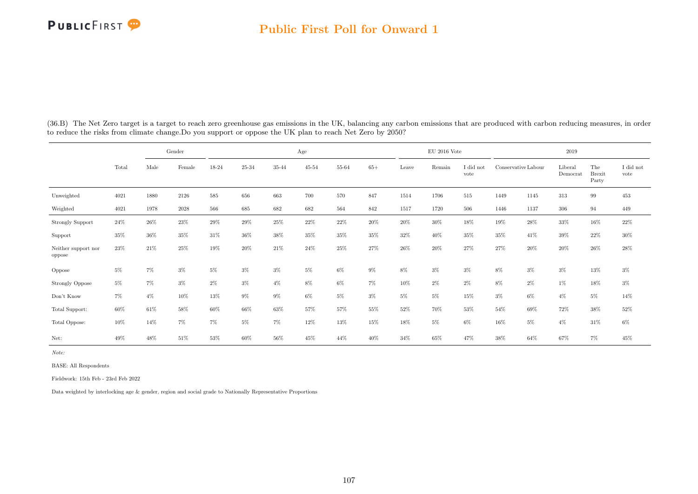#### Public First Poll for Onward 1

|                               | Gender |        |                 | Age     |           |       |           |       |       |       | $\mathrm{EU}$ 2016 Vote |                   | 2019                |       |                     |                               |                               |
|-------------------------------|--------|--------|-----------------|---------|-----------|-------|-----------|-------|-------|-------|-------------------------|-------------------|---------------------|-------|---------------------|-------------------------------|-------------------------------|
|                               | Total  | Male   | $\mbox{Female}$ | 18-24   | $25 - 34$ | 35-44 | $45 - 54$ | 55-64 | $65+$ | Leave | Remain                  | I did not<br>vote | Conservative Labour |       | Liberal<br>Democrat | The<br><b>Brexit</b><br>Party | $\rm I$ did $\rm not$<br>vote |
| Unweighted                    | 4021   | 1880   | 2126            | $585\,$ | 656       | 663   | 700       | 570   | 847   | 1514  | 1706                    | 515               | 1449                | 1145  | 313                 | 99                            | 453                           |
| Weighted                      | 4021   | 1978   | 2028            | 566     | 685       | 682   | 682       | 564   | 842   | 1517  | 1720                    | 506               | 1446                | 1137  | 306                 | 94                            | 449                           |
| <b>Strongly Support</b>       | 24%    | 26%    | 23%             | 29%     | 29%       | 25%   | 22%       | 22%   | 20%   | 20%   | $30\%$                  | 18%               | 19%                 | 28\%  | $33\%$              | 16%                           | 22%                           |
| Support                       | 35%    | $36\%$ | $35\%$          | 31%     | $36\%$    | 38%   | 35%       | 35%   | 35%   | 32%   | 40%                     | $35\%$            | 35%                 | 41\%  | $39\%$              | 22%                           | $30\%$                        |
| Neither support nor<br>oppose | 23%    | 21\%   | 25%             | 19%     | 20%       | 21\%  | 24%       | 25%   | 27%   | 26%   | 20%                     | 27%               | 27%                 | 20%   | 20%                 | 26%                           | 28%                           |
| Oppose                        | $5\%$  | $7\%$  | $3\%$           | $5\%$   | $3\%$     | $3\%$ | $5\%$     | $6\%$ | $9\%$ | $8\%$ | $3\%$                   | $3\%$             | 8%                  | $3\%$ | $3\%$               | 13%                           | $3\%$                         |
| <b>Strongly Oppose</b>        | $5\%$  | $7\%$  | $3\%$           | $2\%$   | $3\%$     | $4\%$ | 8%        | $6\%$ | $7\%$ | 10%   | $2\%$                   | $2\%$             | $8\%$               | $2\%$ | $1\%$               | 18%                           | $3\%$                         |
| Don't Know                    | $7\%$  | $4\%$  | $10\%$          | $13\%$  | $9\%$     | $9\%$ | $6\%$     | $5\%$ | $3\%$ | $5\%$ | $5\%$                   | $15\%$            | $3\%$               | $6\%$ | $4\%$               | $5\%$                         | 14%                           |
| Total Support:                | 60%    | 61\%   | 58%             | $60\%$  | 66%       | 63%   | 57%       | 57%   | 55%   | 52%   | 70%                     | 53%               | 54%                 | 69%   | 72%                 | 38%                           | $52\%$                        |
| Total Oppose:                 | 10%    | 14%    | $7\%$           | 7%      | $5\%$     | $7\%$ | 12%       | 13%   | 15%   | 18%   | $5\%$                   | $6\%$             | 16%                 | $5\%$ | $4\%$               | 31\%                          | $6\%$                         |
| Net:                          | 49%    | 48%    | 51%             | 53%     | 60%       | 56%   | 45%       | 44%   | 40%   | 34%   | 65%                     | 47%               | 38%                 | 64%   | 67%                 | $7\%$                         | 45%                           |

(36.B) The Net Zero target is a target to reach zero greenhouse gas emissions in the UK, balancing any carbon emissions that are produced with carbon reducing measures, in order to reduce the risks from climate change.Do you support or oppose the UK plan to reach Net Zero by 2050?

Note:

BASE: All Respondents

Fieldwork: 15th Feb - 23rd Feb 2022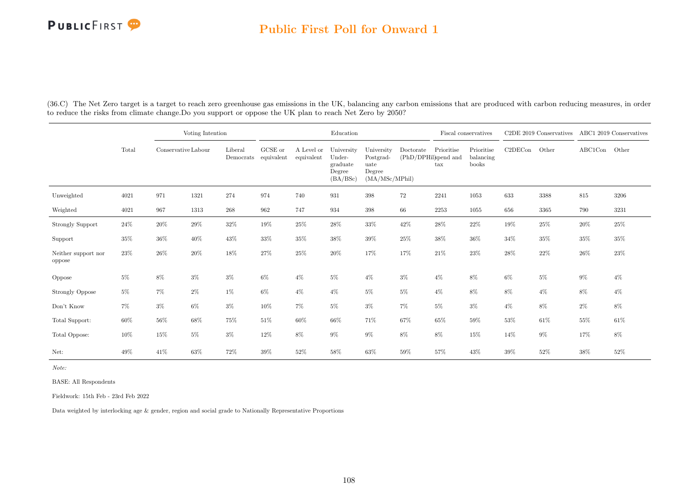#### Public First Poll for Onward 1

|                               |        |                     | Voting Intention |         |                                                                   |                          | Education                                              |                                                             |                                   |                   | Fiscal conservatives             |         | C2DE 2019 Conservatives ABC1 2019 Conservatives |         |        |
|-------------------------------|--------|---------------------|------------------|---------|-------------------------------------------------------------------|--------------------------|--------------------------------------------------------|-------------------------------------------------------------|-----------------------------------|-------------------|----------------------------------|---------|-------------------------------------------------|---------|--------|
|                               | Total  | Conservative Labour |                  | Liberal | GCSE or<br>$\label{lem:1} {\rm Demoncrats}\quad {\rm equivalent}$ | A Level or<br>equivalent | University<br>Under-<br>graduate<br>Degree<br>(BA/BSc) | University<br>Postgrad-<br>uate<br>Degree<br>(MA/MSc/MPhil) | Doctorate<br>(PhD/DPHil)spend and | Prioritise<br>tax | Prioritise<br>balancing<br>books | C2DECon | Other                                           | ABC1Con | Other  |
| Unweighted                    | 4021   | 971                 | 1321             | 274     | 974                                                               | 740                      | 931                                                    | 398                                                         | $72\,$                            | 2241              | 1053                             | 633     | 3388                                            | 815     | 3206   |
| Weighted                      | 4021   | 967                 | 1313             | $268\,$ | 962                                                               | 747                      | 934                                                    | 398                                                         | 66                                | 2253              | 1055                             | 656     | 3365                                            | 790     | 3231   |
| <b>Strongly Support</b>       | $24\%$ | $20\%$              | $29\%$           | $32\%$  | 19%                                                               | $25\%$                   | $28\%$                                                 | $33\%$                                                      | $42\%$                            | $28\%$            | 22%                              | 19%     | $25\%$                                          | $20\%$  | 25%    |
| Support                       | $35\%$ | 36%                 | $40\%$           | $43\%$  | 33%                                                               | 35%                      | $38\%$                                                 | $39\%$                                                      | $25\%$                            | $38\%$            | $36\%$                           | 34%     | $35\%$                                          | 35%     | 35%    |
| Neither support nor<br>oppose | $23\%$ | 26%                 | $20\%$           | $18\%$  | 27%                                                               | $25\%$                   | $20\%$                                                 | 17%                                                         | 17%                               | $21\%$            | 23%                              | 28%     | $22\%$                                          | $26\%$  | $23\%$ |
| Oppose                        | $5\%$  | $8\%$               | $3\%$            | $3\%$   | $6\%$                                                             | $4\%$                    | 5%                                                     | $4\%$                                                       | $3\%$                             | $4\%$             | 8%                               | $6\%$   | $5\%$                                           | $9\%$   | $4\%$  |
| <b>Strongly Oppose</b>        | $5\%$  | $7\%$               | $2\%$            | $1\%$   | $6\%$                                                             | $4\%$                    | $4\%$                                                  | $5\%$                                                       | $5\%$                             | $4\%$             | $8\%$                            | 8%      | $4\%$                                           | $8\%$   | $4\%$  |
| Don't Know                    | $7\%$  | $3\%$               | $6\%$            | $3\%$   | 10%                                                               | 7%                       | 5%                                                     | $3\%$                                                       | $7\%$                             | $5\%$             | $3\%$                            | $4\%$   | 8%                                              | $2\%$   | 8%     |
| Total Support:                | $60\%$ | 56%                 | $68\%$           | 75%     | $51\%$                                                            | 60%                      | $66\%$                                                 | 71%                                                         | 67%                               | $65\%$            | $59\%$                           | 53%     | 61%                                             | 55%     | 61%    |
| Total Oppose:                 | $10\%$ | 15%                 | $5\%$            | $3\%$   | 12%                                                               | 8%                       | $9\%$                                                  | $9\%$                                                       | $8\%$                             | $8\%$             | 15%                              | 14%     | $9\%$                                           | 17%     | $8\%$  |
| Net:                          | 49%    | 41%                 | $63\%$           | $72\%$  | 39%                                                               | 52%                      | $58\%$                                                 | $63\%$                                                      | $59\%$                            | $57\%$            | $43\%$                           | 39%     | $52\%$                                          | 38%     | 52%    |

(36.C) The Net Zero target is a target to reach zero greenhouse gas emissions in the UK, balancing any carbon emissions that are produced with carbon reducing measures, in order to reduce the risks from climate change.Do you support or oppose the UK plan to reach Net Zero by 2050?

Note:

BASE: All Respondents

Fieldwork: 15th Feb - 23rd Feb 2022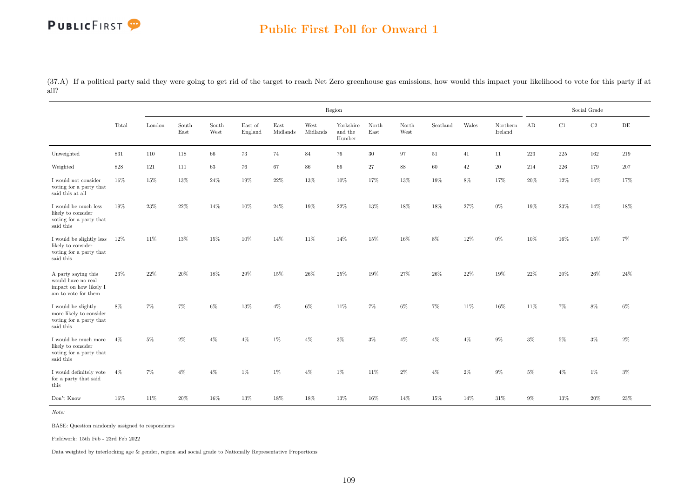(37.A) If a political party said they were going to get rid of the target to reach Net Zero greenhouse gas emissions, how would this impact your likelihood to vote for this party if at all?

|                                                                                            |        |        |               |               |                    |                  |                  | Region                         |               |               |          |       |                     |      |         | Social Grade |           |
|--------------------------------------------------------------------------------------------|--------|--------|---------------|---------------|--------------------|------------------|------------------|--------------------------------|---------------|---------------|----------|-------|---------------------|------|---------|--------------|-----------|
|                                                                                            | Total  | London | South<br>East | South<br>West | East of<br>England | East<br>Midlands | West<br>Midlands | Yorkshire<br>and the<br>Humber | North<br>East | North<br>West | Scotland | Wales | Northern<br>Ireland | AB   | C1      | $\rm C2$     | $\rm{DE}$ |
| Unweighted                                                                                 | 831    | 110    | 118           | $66\,$        | 73                 | 74               | 84               | 76                             | 30            | 97            | 51       | 41    | 11                  | 223  | 225     | 162          | 219       |
| Weighted                                                                                   | 828    | 121    | 111           | 63            | 76                 | 67               | 86               | 66                             | 27            | 88            | 60       | 42    | 20                  | 214  | $226\,$ | 179          | $207\,$   |
| I would not consider<br>voting for a party that<br>said this at all                        | $16\%$ | 15%    | 13%           | 24%           | $19\%$             | 22%              | 13%              | $10\%$                         | 17%           | 13%           | $19\%$   | 8%    | 17%                 | 20%  | 12%     | 14%          | 17%       |
| $\rm I$ would be much less<br>likely to consider<br>voting for a party that<br>said this   | 19%    | 23%    | 22%           | 14%           | 10%                | 24\%             | 19%              | 22%                            | 13%           | 18%           | 18%      | 27%   | $0\%$               | 19%  | 23%     | 14%          | 18%       |
| I would be slightly less<br>likely to consider<br>voting for a party that<br>said this     | 12%    | 11\%   | 13%           | 15%           | 10%                | 14%              | 11\%             | 14%                            | 15%           | 16%           | 8%       | 12%   | $0\%$               | 10%  | 16%     | 15%          | $7\%$     |
| A party saying this<br>would have no real<br>impact on how likely I<br>am to vote for them | 23%    | 22%    | 20%           | 18%           | 29%                | 15%              | 26\%             | $25\%$                         | 19%           | 27%           | 26\%     | 22%   | 19%                 | 22%  | 20%     | $26\%$       | $24\%$    |
| I would be slightly<br>more likely to consider<br>voting for a party that<br>said this     | $8\%$  | 7%     | $7\%$         | $6\%$         | 13%                | $4\%$            | $6\%$            | 11%                            | 7%            | $6\%$         | 7%       | 11%   | 16%                 | 11\% | 7%      | $8\%$        | 6%        |
| I would be much more<br>likely to consider<br>voting for a party that<br>said this         | $4\%$  | 5%     | $2\%$         | $4\%$         | $4\%$              | 1%               | $4\%$            | $3\%$                          | $3\%$         | $4\%$         | $4\%$    | $4\%$ | 9%                  | 3%   | 5%      | $3\%$        | $2\%$     |
| I would definitely vote<br>for a party that said<br>this                                   | $4\%$  | 7%     | $4\%$         | $4\%$         | 1%                 | 1%               | $4\%$            | 1%                             | 11%           | $2\%$         | $4\%$    | $2\%$ | $9\%$               | 5%   | $4\%$   | 1%           | $3\%$     |
| Don't Know                                                                                 | 16%    | 11\%   | 20%           | 16%           | 13%                | 18%              | 18%              | 13%                            | 16%           | 14%           | 15%      | 14%   | 31\%                | 9%   | 13%     | 20%          | 23%       |

Note:

BASE: Question randomly assigned to respondents

Fieldwork: 15th Feb - 23rd Feb 2022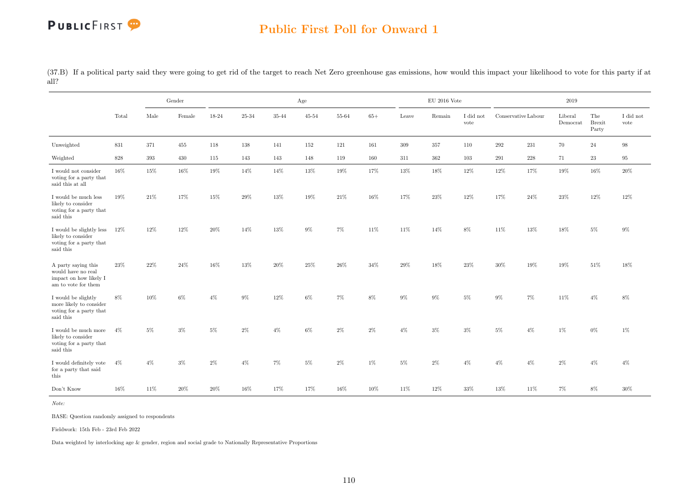### Public First Poll for Onward 1

(37.B) If a political party said they were going to get rid of the target to reach Net Zero greenhouse gas emissions, how would this impact your likelihood to vote for this party if at all?

|                                                                                            |        |        | Gender |        |        |       | Age       |        |        |        | $\rm EU$ 2016 Vote |                   |                     |         | 2019                |                               |                   |
|--------------------------------------------------------------------------------------------|--------|--------|--------|--------|--------|-------|-----------|--------|--------|--------|--------------------|-------------------|---------------------|---------|---------------------|-------------------------------|-------------------|
|                                                                                            | Total  | Male   | Female | 18-24  | 25-34  | 35-44 | $45 - 54$ | 55-64  | $65+$  | Leave  | Remain             | I did not<br>vote | Conservative Labour |         | Liberal<br>Democrat | The<br><b>Brexit</b><br>Party | I did not<br>vote |
| Unweighted                                                                                 | 831    | 371    | 455    | 118    | 138    | 141   | 152       | 121    | 161    | 309    | 357                | 110               | 292                 | 231     | 70                  | 24                            | 98                |
| Weighted                                                                                   | 828    | 393    | 430    | 115    | 143    | 143   | 148       | 119    | 160    | 311    | 362                | 103               | 291                 | $228\,$ | 71                  | $\bf 23$                      | 95                |
| I would not consider<br>voting for a party that<br>said this at all                        | 16%    | 15%    | 16%    | 19%    | 14%    | 14%   | 13%       | 19%    | 17%    | 13%    | 18%                | 12%               | 12%                 | 17%     | 19%                 | 16%                           | 20%               |
| I would be much less<br>likely to consider<br>voting for a party that<br>said this         | 19%    | 21\%   | 17%    | 15%    | 29%    | 13%   | 19%       | 21\%   | $16\%$ | 17%    | $23\%$             | 12%               | 17%                 | $24\%$  | 23%                 | $12\%$                        | 12%               |
| I would be slightly less<br>likely to consider<br>voting for a party that<br>said this     | $12\%$ | 12%    | 12%    | 20%    | 14%    | 13%   | $9\%$     | $7\%$  | 11%    | 11%    | 14%                | $8\%$             | 11%                 | 13%     | 18%                 | $5\%$                         | $9\%$             |
| A party saying this<br>would have no real<br>impact on how likely I<br>am to vote for them | 23%    | 22%    | 24%    | 16%    | 13%    | 20%   | 25%       | 26%    | 34%    | 29%    | 18%                | 23%               | 30%                 | 19%     | 19%                 | 51%                           | 18%               |
| I would be slightly<br>more likely to consider<br>voting for a party that<br>said this     | $8\%$  | 10%    | $6\%$  | $4\%$  | 9%     | 12%   | $6\%$     | $7\%$  | $8\%$  | $9\%$  | $9\%$              | $5\%$             | $9\%$               | 7%      | 11%                 | $4\%$                         | $8\%$             |
| I would be much more<br>likely to consider<br>voting for a party that<br>said this         | $4\%$  | $5\%$  | 3%     | 5%     | 2%     | $4\%$ | 6%        | $2\%$  | $2\%$  | $4\%$  | $3\%$              | $3\%$             | $5\%$               | $4\%$   | 1%                  | $0\%$                         | $1\%$             |
| I would definitely vote<br>for a party that said<br>this                                   | $4\%$  | 4%     | 3%     | $2\%$  | 4%     | 7%    | 5%        | $2\%$  | 1%     | 5%     | $2\%$              | $4\%$             | $4\%$               | $4\%$   | $2\%$               | $4\%$                         | $4\%$             |
| Don't Know                                                                                 | 16%    | $11\%$ | 20%    | $20\%$ | $16\%$ | 17%   | 17%       | $16\%$ | $10\%$ | $11\%$ | 12%                | $33\%$            | $13\%$              | $11\%$  | $7\%$               | $8\%$                         | 30%               |

Note:

BASE: Question randomly assigned to respondents

Fieldwork: 15th Feb - 23rd Feb 2022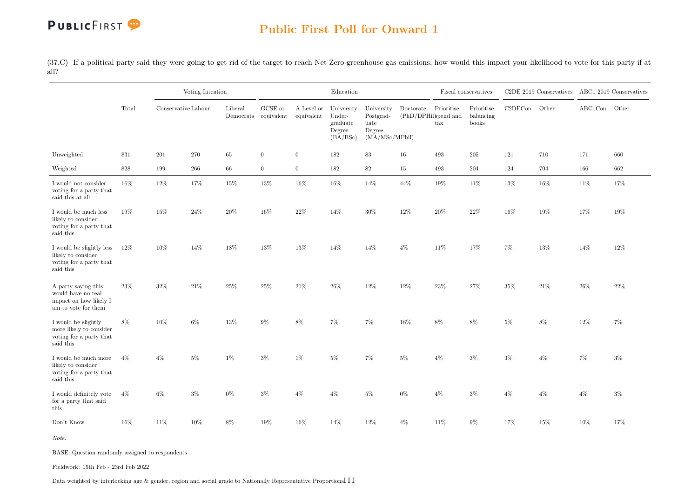### Public First Poll for Onward 1

(37.C) If a political party said they were going to get rid of the target to reach Net Zero greenhouse gas emissions, how would this impact your likelihood to vote for this party if at all?

|                                                                                            |       |                     | Voting Intention |                                 |                  |                          | Education                                              |                                                             |                                   |                   | Fiscal conservatives             |         | C2DE 2019 Conservatives ABC1 2019 Conservatives |               |       |
|--------------------------------------------------------------------------------------------|-------|---------------------|------------------|---------------------------------|------------------|--------------------------|--------------------------------------------------------|-------------------------------------------------------------|-----------------------------------|-------------------|----------------------------------|---------|-------------------------------------------------|---------------|-------|
|                                                                                            | Total | Conservative Labour |                  | Liberal<br>Democrats equivalent | GCSE or          | A Level or<br>equivalent | University<br>Under-<br>graduate<br>Degree<br>(BA/BSc) | University<br>Postgrad-<br>uate<br>Degree<br>(MA/MSc/MPhil) | Doctorate<br>(PhD/DPHil)spend and | Prioritise<br>tax | Prioritise<br>balancing<br>books | C2DECon | Other                                           | ABC1Con Other |       |
| Unweighted                                                                                 | 831   | 201                 | 270              | 65                              | $\boldsymbol{0}$ | $\overline{0}$           | 182                                                    | 83                                                          | 16                                | 493               | 205                              | 121     | 710                                             | 171           | 660   |
| Weighted                                                                                   | 828   | 199                 | 266              | 66                              | $\overline{0}$   | $\overline{0}$           | 182                                                    | $82\,$                                                      | 15                                | 493               | 204                              | 124     | 704                                             | 166           | 662   |
| I would not consider<br>voting for a party that<br>said this at all                        | 16%   | $12\%$              | 17%              | 15%                             | 13%              | 16%                      | $16\%$                                                 | $14\%$                                                      | 44%                               | $19\%$            | 11%                              | 13%     | $16\%$                                          | 11%           | 17%   |
| I would be much less<br>likely to consider<br>voting for a party that<br>said this         | 19%   | 15%                 | 24\%             | 20%                             | 16%              | 22%                      | 14%                                                    | 30%                                                         | 12%                               | 20%               | 22%                              | 16%     | 19%                                             | 17%           | 19%   |
| I would be slightly less<br>likely to consider<br>voting for a party that<br>said this     | 12%   | 10%                 | 14%              | 18%                             | 13%              | 13%                      | 14%                                                    | 14%                                                         | $4\%$                             | 11\%              | 17%                              | 7%      | 13%                                             | 14%           | 12%   |
| A party saying this<br>would have no real<br>impact on how likely I<br>am to vote for them | 23%   | $32\%$              | $21\%$           | $25\%$                          | 25%              | 21\%                     | $26\%$                                                 | $12\%$                                                      | 12%                               | 23%               | 27%                              | 35%     | $21\%$                                          | 26%           | 22%   |
| I would be slightly<br>more likely to consider<br>voting for a party that<br>said this     | 8%    | 10%                 | 6%               | $13\%$                          | $9\%$            | 8%                       | 7%                                                     | 7%                                                          | 18%                               | 8%                | 8%                               | $5\%$   | 8%                                              | 12%           | 7%    |
| I would be much more<br>likely to consider<br>voting for a party that<br>said this         | $4\%$ | $4\%$               | $5\%$            | $1\%$                           | $3\%$            | $1\%$                    | 5%                                                     | $7\%$                                                       | $5\%$                             | $4\%$             | $3\%$                            | $3\%$   | $4\%$                                           | $7\%$         | $3\%$ |
| I would definitely vote<br>for a party that said<br>this                                   | $4\%$ | 6%                  | $3\%$            | $0\%$                           | $3\%$            | $4\%$                    | $4\%$                                                  | $5\%$                                                       | $0\%$                             | $4\%$             | 3%                               | $4\%$   | $4\%$                                           | $4\%$         | $3\%$ |
| Don't Know                                                                                 | 16%   | 11%                 | 10%              | $8\%$                           | 19%              | 16%                      | 14%                                                    | 12%                                                         | $4\%$                             | 11%               | $9\%$                            | 17%     | 15%                                             | 10%           | 17%   |

Note:

BASE: Question randomly assigned to respondents

Fieldwork: 15th Feb - 23rd Feb 2022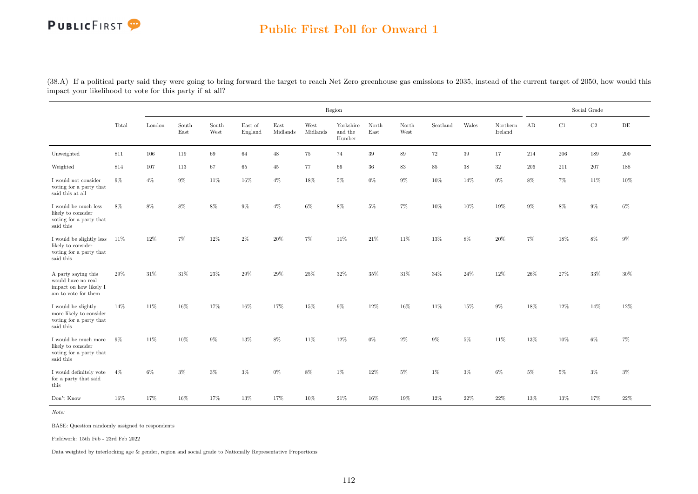### Public First Poll for Onward 1

(38.A) If a political party said they were going to bring forward the target to reach Net Zero greenhouse gas emissions to 2035, instead of the current target of 2050, how would this impact your likelihood to vote for this party if at all?

|                                                                                            |       |        |               |               |                    |                  |                  | Region                         |               |               |          |        |                     |         |       | Social Grade |           |
|--------------------------------------------------------------------------------------------|-------|--------|---------------|---------------|--------------------|------------------|------------------|--------------------------------|---------------|---------------|----------|--------|---------------------|---------|-------|--------------|-----------|
|                                                                                            | Total | London | South<br>East | South<br>West | East of<br>England | East<br>Midlands | West<br>Midlands | Yorkshire<br>and the<br>Humber | North<br>East | North<br>West | Scotland | Wales  | Northern<br>Ireland | AB      | C1    | $\rm{C2}$    | $\rm{DE}$ |
| Unweighted                                                                                 | 811   | 106    | 119           | 69            | 64                 | 48               | 75               | 74                             | 39            | 89            | 72       | 39     | 17                  | 214     | 206   | 189          | 200       |
| Weighted                                                                                   | 814   | 107    | 113           | 67            | 65                 | 45               | 77               | 66                             | $36\,$        | $83\,$        | $85\,$   | 38     | 32                  | $206\,$ | 211   | 207          | 188       |
| I would not consider<br>voting for a party that<br>said this at all                        | $9\%$ | $4\%$  | $9\%$         | 11%           | 16%                | $4\%$            | 18%              | $5\%$                          | $0\%$         | $9\%$         | 10%      | 14%    | $0\%$               | $8\%$   | 7%    | 11\%         | 10%       |
| I would be much less<br>likely to consider<br>voting for a party that<br>said this         | $8\%$ | $8\%$  | $8\%$         | $8\%$         | 9%                 | $4\%$            | $6\%$            | $8\%$                          | $5\%$         | 7%            | 10%      | $10\%$ | 19%                 | $9\%$   | $8\%$ | $9\%$        | $6\%$     |
| I would be slightly less<br>likely to consider<br>voting for a party that<br>said this     | 11%   | 12%    | 7%            | 12%           | $2\%$              | 20%              | $7\%$            | 11%                            | 21\%          | 11%           | 13%      | $8\%$  | 20%                 | 7%      | 18%   | 8%           | $9\%$     |
| A party saying this<br>would have no real<br>impact on how likely I<br>am to vote for them | 29%   | 31%    | 31%           | $23\%$        | 29%                | 29%              | 25%              | 32%                            | 35%           | 31%           | 34%      | 24\%   | 12%                 | 26%     | 27%   | 33%          | 30%       |
| I would be slightly<br>more likely to consider<br>voting for a party that<br>said this     | 14%   | 11%    | 16%           | 17%           | 16%                | 17%              | 15%              | $9\%$                          | 12%           | 16%           | 11%      | 15%    | $9\%$               | 18%     | 12%   | 14%          | 12%       |
| I would be much more<br>likely to consider<br>voting for a party that<br>said this         | $9\%$ | 11\%   | 10%           | $9\%$         | 13%                | 8%               | 11%              | 12%                            | $0\%$         | $2\%$         | $9\%$    | $5\%$  | 11\%                | 13%     | 10%   | $6\%$        | 7%        |
| I would definitely vote<br>for a party that said<br>this                                   | $4\%$ | 6%     | 3%            | $3\%$         | $3\%$              | 0%               | 8%               | $1\%$                          | 12%           | 5%            | $1\%$    | $3\%$  | $6\%$               | 5%      | $5\%$ | $3\%$        | $3\%$     |
| Don't Know                                                                                 | 16%   | 17%    | 16%           | 17%           | 13%                | 17%              | 10%              | 21\%                           | 16%           | 19%           | 12%      | 22%    | $22\%$              | 13%     | 13%   | 17%          | 22%       |

Note:

BASE: Question randomly assigned to respondents

Fieldwork: 15th Feb - 23rd Feb 2022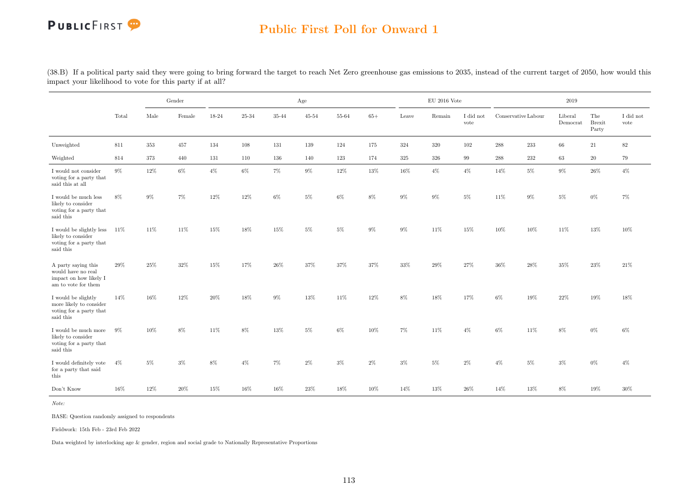### Public First Poll for Onward 1

|                                                                                               |       |         | Gender |       |         |       | Age       |        |        |         | $\rm EU$ 2016 Vote |                   |                    |                     | 2019                |                               |                   |
|-----------------------------------------------------------------------------------------------|-------|---------|--------|-------|---------|-------|-----------|--------|--------|---------|--------------------|-------------------|--------------------|---------------------|---------------------|-------------------------------|-------------------|
|                                                                                               | Total | Male    | Female | 18-24 | 25-34   | 35-44 | $45 - 54$ | 55-64  | $65+$  | Leave   | Remain             | I did not<br>vote |                    | Conservative Labour | Liberal<br>Democrat | The<br><b>Brexit</b><br>Party | I did not<br>vote |
| Unweighted                                                                                    | 811   | $353\,$ | 457    | 134   | $108\,$ | 131   | 139       | 124    | 175    | $324\,$ | $320\,$            | 102               | $\boldsymbol{288}$ | $233\,$             | $66\,$              | 21                            | $82\,$            |
| Weighted                                                                                      | 814   | 373     | 440    | 131   | 110     | 136   | 140       | 123    | 174    | 325     | 326                | 99                | 288                | 232                 | 63                  | $20\,$                        | 79                |
| I would not consider<br>voting for a party that<br>said this at all                           | $9\%$ | 12%     | $6\%$  | $4\%$ | $6\%$   | 7%    | $9\%$     | $12\%$ | $13\%$ | 16%     | $4\%$              | $4\%$             | 14%                | $5\%$               | 9%                  | 26%                           | $4\%$             |
| I would be much less<br>likely to consider<br>voting for a party that<br>said this            | 8%    | $9\%$   | $7\%$  | 12%   | 12%     | $6\%$ | $5\%$     | $6\%$  | 8%     | $9\%$   | $9\%$              | $5\%$             | 11\%               | $9\%$               | $5\%$               | 0%                            | 7%                |
| I would be slightly less $11\%$<br>likely to consider<br>voting for a party that<br>said this |       | 11%     | 11%    | 15%   | 18%     | 15%   | $5\%$     | $5\%$  | 9%     | $9\%$   | 11\%               | 15%               | 10%                | 10%                 | 11%                 | 13%                           | 10%               |
| A party saying this<br>would have no real<br>impact on how likely I<br>am to vote for them    | 29%   | 25%     | 32%    | 15%   | 17%     | 26%   | 37%       | 37%    | 37%    | 33%     | 29%                | 27%               | 36%                | 28%                 | 35%                 | 23%                           | 21\%              |
| I would be slightly<br>more likely to consider<br>voting for a party that<br>said this        | 14%   | 16%     | 12%    | 20%   | 18%     | $9\%$ | 13%       | 11\%   | 12%    | $8\%$   | 18%                | 17%               | $6\%$              | 19%                 | 22%                 | 19%                           | 18%               |
| I would be much more<br>likely to consider<br>voting for a party that<br>said this            | - 9%  | 10%     | 8%     | 11%   | 8%      | 13%   | $5\%$     | $6\%$  | 10%    | 7%      | 11\%               | $4\%$             | $6\%$              | 11%                 | $8\%$               | $0\%$                         | 6%                |
| I would definitely vote<br>for a party that said<br>this                                      | $4\%$ | 5%      | $3\%$  | $8\%$ | $4\%$   | $7\%$ | $2\%$     | $3\%$  | $2\%$  | $3\%$   | $5\%$              | $2\%$             | $4\%$              | $5\%$               | $3\%$               | $0\%$                         | $4\%$             |
| Don't Know                                                                                    | 16%   | 12%     | 20%    | 15%   | $16\%$  | 16%   | 23%       | 18%    | 10%    | 14%     | 13%                | 26\%              | 14%                | 13%                 | $8\%$               | 19%                           | 30%               |

(38.B) If a political party said they were going to bring forward the target to reach Net Zero greenhouse gas emissions to 2035, instead of the current target of 2050, how would this impact your likelihood to vote for this party if at all?

Note:

BASE: Question randomly assigned to respondents

Fieldwork: 15th Feb - 23rd Feb 2022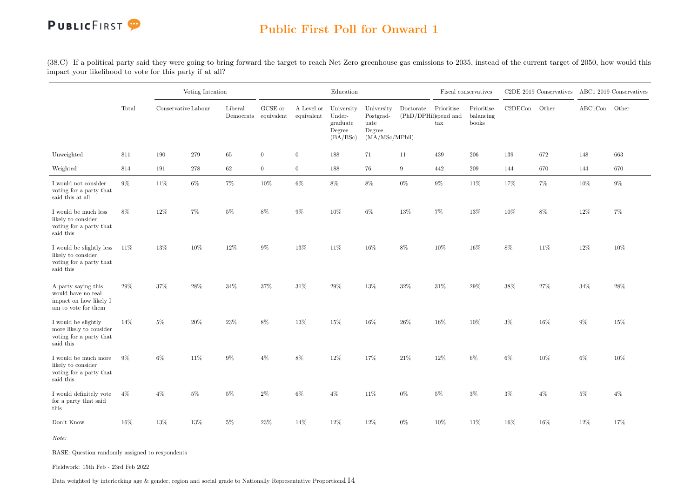

(38.C) If a political party said they were going to bring forward the target to reach Net Zero greenhouse gas emissions to 2035, instead of the current target of 2050, how would this impact your likelihood to vote for this party if at all?

|                                                                                            |       |                     | Voting Intention |         |                                         |                          | Education                                              |                                                             |                                   |                   | Fiscal conservatives             |               | C2DE 2019 Conservatives ABC1 2019 Conservatives |         |       |
|--------------------------------------------------------------------------------------------|-------|---------------------|------------------|---------|-----------------------------------------|--------------------------|--------------------------------------------------------|-------------------------------------------------------------|-----------------------------------|-------------------|----------------------------------|---------------|-------------------------------------------------|---------|-------|
|                                                                                            | Total | Conservative Labour |                  | Liberal | ${\rm GCSE}$ or<br>Democrats equivalent | A Level or<br>equivalent | University<br>Under-<br>graduate<br>Degree<br>(BA/BSc) | University<br>Postgrad-<br>uate<br>Degree<br>(MA/MSc/MPhil) | Doctorate<br>(PhD/DPHil)spend and | Prioritise<br>tax | Prioritise<br>balancing<br>books | C2DECon Other |                                                 | ABC1Con | Other |
| Unweighted                                                                                 | 811   | 190                 | 279              | $65\,$  | $\overline{0}$                          | $\overline{0}$           | 188                                                    | $71\,$                                                      | 11                                | 439               | 206                              | 139           | 672                                             | 148     | 663   |
| Weighted                                                                                   | 814   | 191                 | 278              | 62      | $\overline{0}$                          | $\overline{0}$           | 188                                                    | 76                                                          | 9                                 | 442               | 209                              | 144           | 670                                             | 144     | 670   |
| I would not consider<br>voting for a party that<br>said this at all                        | $9\%$ | $11\%$              | $6\%$            | 7%      | 10%                                     | $6\%$                    | $8\%$                                                  | $8\%$                                                       | $0\%$                             | $9\%$             | $11\%$                           | 17%           | $7\%$                                           | 10%     | $9\%$ |
| I would be much less<br>likely to consider<br>voting for a party that<br>said this         | 8%    | 12%                 | $7\%$            | $5\%$   | 8%                                      | $9\%$                    | 10%                                                    | $6\%$                                                       | 13%                               | 7%                | 13%                              | 10%           | $8\%$                                           | 12%     | 7%    |
| I would be slightly less<br>likely to consider<br>voting for a party that<br>said this     | 11\%  | 13%                 | 10%              | 12%     | $9\%$                                   | 13%                      | 11%                                                    | $16\%$                                                      | 8%                                | 10%               | 16%                              | 8%            | 11%                                             | 12%     | 10%   |
| A party saying this<br>would have no real<br>impact on how likely I<br>am to vote for them | 29%   | $37\%$              | $28\%$           | $34\%$  | $37\%$                                  | $31\%$                   | 29%                                                    | $13\%$                                                      | $32\%$                            | $31\%$            | 29%                              | 38%           | $27\%$                                          | $34\%$  | 28%   |
| I would be slightly<br>more likely to consider<br>voting for a party that<br>said this     | 14%   | $5\%$               | $20\%$           | $23\%$  | $8\%$                                   | 13%                      | 15%                                                    | $16\%$                                                      | $26\%$                            | 16%               | 10%                              | $3\%$         | 16%                                             | $9\%$   | 15%   |
| I would be much more<br>likely to consider<br>voting for a party that<br>said this         | 9%    | 6%                  | 11%              | 9%      | $4\%$                                   | 8%                       | 12%                                                    | 17%                                                         | 21\%                              | 12%               | 6%                               | 6%            | 10%                                             | 6%      | 10%   |
| I would definitely vote<br>for a party that said<br>this                                   | $4\%$ | $4\%$               | $5\%$            | $5\%$   | $2\%$                                   | $6\%$                    | $4\%$                                                  | 11\%                                                        | $0\%$                             | $5\%$             | $3\%$                            | 3%            | $4\%$                                           | $5\%$   | $4\%$ |
| Don't Know                                                                                 | 16%   | $13\%$              | $13\%$           | $5\%$   | 23%                                     | 14%                      | 12%                                                    | $12\%$                                                      | $0\%$                             | 10%               | 11\%                             | $16\%$        | 16%                                             | 12%     | 17%   |

Note:

BASE: Question randomly assigned to respondents

Fieldwork: 15th Feb - 23rd Feb 2022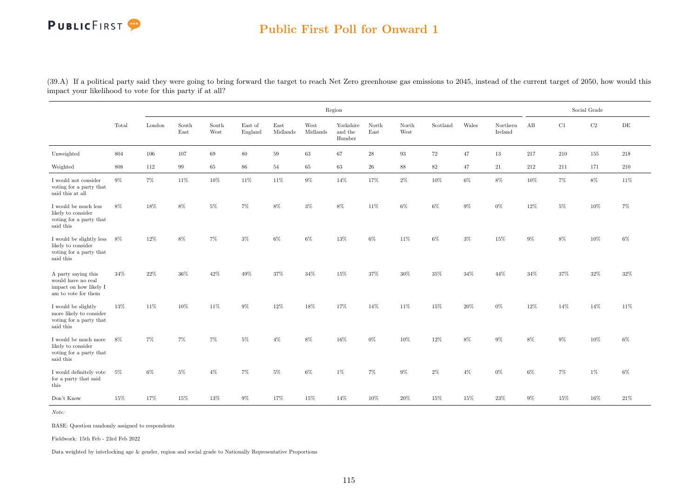### Public First Poll for Onward 1

(39.A) If a political party said they were going to bring forward the target to reach Net Zero greenhouse gas emissions to 2045, instead of the current target of 2050, how would this impact your likelihood to vote for this party if at all?

|                                                                                              |       |        |               |               |                    |                  |                  | Region                         |                                |               |          |       |                     |       |        | Social Grade |           |
|----------------------------------------------------------------------------------------------|-------|--------|---------------|---------------|--------------------|------------------|------------------|--------------------------------|--------------------------------|---------------|----------|-------|---------------------|-------|--------|--------------|-----------|
|                                                                                              | Total | London | South<br>East | South<br>West | East of<br>England | East<br>Midlands | West<br>Midlands | Yorkshire<br>and the<br>Humber | North<br>$\operatorname{East}$ | North<br>West | Scotland | Wales | Northern<br>Ireland | AB    | C1     | $\rm C2$     | $\rm{DE}$ |
| Unweighted                                                                                   | 804   | 106    | 107           | 69            | 80                 | 59               | 63               | 67                             | 28                             | 93            | 72       | 47    | 13                  | 217   | 210    | 155          | 218       |
| Weighted                                                                                     | 808   | 112    | 99            | 65            | 86                 | 54               | 65               | 63                             | 26                             | 88            | 82       | 47    | 21                  | 212   | 211    | 171          | 210       |
| I would not consider<br>voting for a party that<br>said this at all                          | $9\%$ | 7%     | 11%           | $10\%$        | 11%                | 11%              | $9\%$            | 14%                            | 17%                            | $2\%$         | 10%      | $6\%$ | 8%                  | 10%   | 7%     | $8\%$        | 11\%      |
| I would be much less<br>likely to consider<br>voting for a party that<br>said this           | $8\%$ | 18%    | 8%            | $5\%$         | 7%                 | $8\%$            | $3\%$            | 8%                             | 11%                            | $6\%$         | $6\%$    | $9\%$ | $0\%$               | 12%   | $5\%$  | 10%          | 7%        |
| I would be slightly less $8\%$<br>likely to consider<br>voting for a party that<br>said this |       | 12%    | $8\%$         | 7%            | $3\%$              | $6\%$            | $6\%$            | 13%                            | $6\%$                          | 11%           | $6\%$    | $3\%$ | 15%                 | $9\%$ | $8\%$  | $10\%$       | $6\%$     |
| A party saying this<br>would have no real<br>impact on how likely I<br>am to vote for them   | 34%   | 22%    | 36%           | 42\%          | 49%                | 37%              | 34%              | 15%                            | 37%                            | 30%           | 35%      | 34%   | 44%                 | 34%   | 37%    | 32%          | 32%       |
| I would be slightly<br>more likely to consider<br>voting for a party that<br>said this       | 13%   | 11\%   | 10%           | 11\%          | $9\%$              | 12%              | 18%              | 17%                            | 14%                            | 11\%          | 15%      | 20%   | $0\%$               | 12%   | 14%    | 14%          | 11\%      |
| I would be much more<br>likely to consider<br>voting for a party that<br>said this           | $8\%$ | 7%     | 7%            | 7%            | $5\%$              | $4\%$            | 8%               | 16%                            | $0\%$                          | 10%           | 12%      | $8\%$ | $9\%$               | 8%    | $9\%$  | 10%          | $6\%$     |
| I would definitely vote<br>for a party that said<br>this                                     | $5\%$ | 6%     | $5\%$         | $4\%$         | 7%                 | $5\%$            | 6%               | 1%                             | $7\%$                          | 9%            | $2\%$    | $4\%$ | 0%                  | $6\%$ | 7%     | 1%           | $6\%$     |
| Don't Know                                                                                   | 15%   | 17%    | $15\%$        | 13%           | $9\%$              | 17%              | $15\%$           | 14%                            | $10\%$                         | $20\%$        | 15%      | 15%   | 23%                 | $9\%$ | $15\%$ | $16\%$       | $21\%$    |

Note:

BASE: Question randomly assigned to respondents

Fieldwork: 15th Feb - 23rd Feb 2022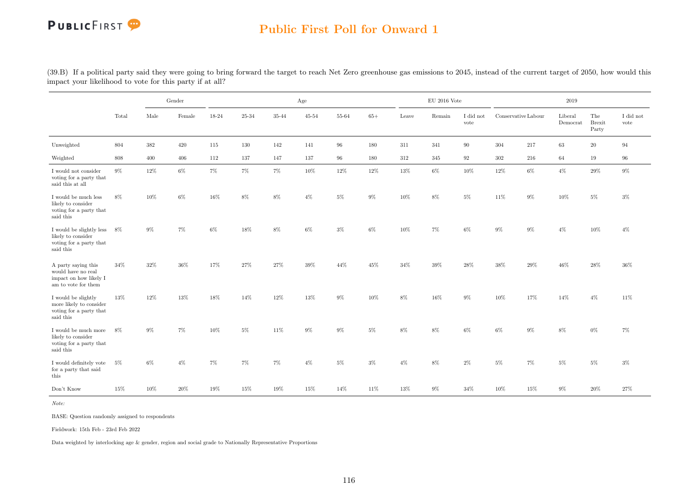### Public First Poll for Onward 1

|                                                                                            |        |       | Gender |       |           |       | Age       |        |        |       | $\rm EU$ 2016 Vote |                   |         |                     | 2019                |                               |                   |
|--------------------------------------------------------------------------------------------|--------|-------|--------|-------|-----------|-------|-----------|--------|--------|-------|--------------------|-------------------|---------|---------------------|---------------------|-------------------------------|-------------------|
|                                                                                            | Total  | Male  | Female | 18-24 | $25 - 34$ | 35-44 | $45 - 54$ | 55-64  | $65+$  | Leave | Remain             | I did not<br>vote |         | Conservative Labour | Liberal<br>Democrat | The<br><b>Brexit</b><br>Party | I did not<br>vote |
| Unweighted                                                                                 | 804    | 382   | 420    | 115   | 130       | 142   | 141       | 96     | 180    | 311   | 341                | 90                | 304     | 217                 | 63                  | 20                            | 94                |
| Weighted                                                                                   | 808    | 400   | 406    | 112   | 137       | 147   | 137       | 96     | 180    | 312   | 345                | 92                | $302\,$ | $216\,$             | $64\,$              | 19                            | 96                |
| I would not consider<br>voting for a party that<br>said this at all                        | $9\%$  | 12%   | $6\%$  | $7\%$ | $7\%$     | $7\%$ | $10\%$    | $12\%$ | $12\%$ | 13%   | $6\%$              | 10%               | $12\%$  | $6\%$               | $4\%$               | 29%                           | $9\%$             |
| I would be much less<br>likely to consider<br>voting for a party that<br>said this         | 8%     | 10%   | $6\%$  | 16%   | 8%        | 8%    | $4\%$     | $5\%$  | 9%     | 10%   | $8\%$              | $5\%$             | 11\%    | $9\%$               | 10%                 | $5\%$                         | 3%                |
| I would be slightly less 8%<br>likely to consider<br>voting for a party that<br>said this  |        | $9\%$ | 7%     | 6%    | 18%       | 8%    | $6\%$     | $3\%$  | 6%     | 10%   | $7\%$              | $6\%$             | $9\%$   | $9\%$               | $4\%$               | 10%                           | $4\%$             |
| A party saying this<br>would have no real<br>impact on how likely I<br>am to vote for them | 34%    | 32%   | 36%    | 17%   | $27\%$    | 27%   | 39%       | 44%    | 45%    | 34%   | $39\%$             | 28%               | 38%     | 29%                 | 46%                 | $28\%$                        | $36\%$            |
| I would be slightly<br>more likely to consider<br>voting for a party that<br>said this     | 13%    | 12%   | 13%    | 18%   | 14%       | 12%   | 13%       | $9\%$  | 10%    | $8\%$ | 16%                | $9\%$             | 10%     | 17%                 | 14%                 | $4\%$                         | 11%               |
| I would be much more<br>likely to consider<br>voting for a party that<br>said this         | 8%     | $9\%$ | $7\%$  | 10%   | $5\%$     | 11%   | $9\%$     | $9\%$  | $5\%$  | $8\%$ | 8%                 | $6\%$             | $6\%$   | $9\%$               | $8\%$               | $0\%$                         | $7\%$             |
| I would definitely vote<br>for a party that said<br>this                                   | $5\%$  | $6\%$ | $4\%$  | 7%    | 7%        | $7\%$ | $4\%$     | $5\%$  | $3\%$  | $4\%$ | $8\%$              | $2\%$             | $5\%$   | $7\%$               | $5\%$               | $5\%$                         | $3\%$             |
| Don't Know                                                                                 | $15\%$ | 10%   | $20\%$ | 19%   | $15\%$    | 19%   | 15%       | 14%    | $11\%$ | 13%   | 9%                 | $34\%$            | 10%     | $15\%$              | 9%                  | 20%                           | 27%               |

(39.B) If a political party said they were going to bring forward the target to reach Net Zero greenhouse gas emissions to 2045, instead of the current target of 2050, how would this impact your likelihood to vote for this party if at all?

Note:

BASE: Question randomly assigned to respondents

Fieldwork: 15th Feb - 23rd Feb 2022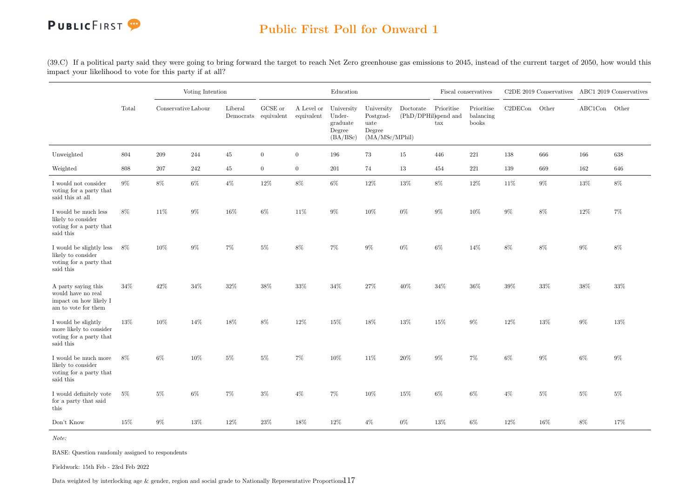

(39.C) If a political party said they were going to bring forward the target to reach Net Zero greenhouse gas emissions to 2045, instead of the current target of 2050, how would this impact your likelihood to vote for this party if at all?

|                                                                                                                           |       |                     | Voting Intention |         |                                         |                          | Education                                              |                                                             |                                   |                            | Fiscal conservatives             |               | C2DE 2019 Conservatives ABC1 2019 Conservatives |         |        |
|---------------------------------------------------------------------------------------------------------------------------|-------|---------------------|------------------|---------|-----------------------------------------|--------------------------|--------------------------------------------------------|-------------------------------------------------------------|-----------------------------------|----------------------------|----------------------------------|---------------|-------------------------------------------------|---------|--------|
|                                                                                                                           | Total | Conservative Labour |                  | Liberal | ${\rm GCSE}$ or<br>Democrats equivalent | A Level or<br>equivalent | University<br>Under-<br>graduate<br>Degree<br>(BA/BSc) | University<br>Postgrad-<br>uate<br>Degree<br>(MA/MSc/MPhil) | Doctorate<br>(PhD/DPHil)spend and | Prioritise<br>$_{\rm tax}$ | Prioritise<br>balancing<br>books | C2DECon Other |                                                 | ABC1Con | Other  |
| Unweighted                                                                                                                | 804   | 209                 | 244              | $45\,$  | $\boldsymbol{0}$                        | $\overline{0}$           | 196                                                    | 73                                                          | 15                                | 446                        | 221                              | 138           | 666                                             | 166     | 638    |
| Weighted                                                                                                                  | 808   | 207                 | 242              | 45      | $\overline{0}$                          | $\overline{0}$           | 201                                                    | 74                                                          | 13                                | 454                        | 221                              | 139           | 669                                             | 162     | 646    |
| I would not consider<br>voting for a party that<br>said this at all                                                       | 9%    | $8\%$               | $6\%$            | $4\%$   | $12\%$                                  | $8\%$                    | $6\%$                                                  | $12\%$                                                      | $13\%$                            | $8\%$                      | $12\%$                           | $11\%$        | $9\%$                                           | $13\%$  | $8\%$  |
| I would be much less<br>likely to consider<br>voting for a party that<br>said this                                        | 8%    | 11\%                | $9\%$            | 16%     | $6\%$                                   | 11%                      | 9%                                                     | 10%                                                         | $0\%$                             | $9\%$                      | 10%                              | $9\%$         | $8\%$                                           | 12%     | 7%     |
| I would be slightly less<br>likely to consider<br>voting for a party that $% \left\vert \cdot \right\rangle$<br>said this | 8%    | 10%                 | $9\%$            | $7\%$   | $5\%$                                   | 8%                       | $7\%$                                                  | $9\%$                                                       | $0\%$                             | $6\%$                      | 14%                              | 8%            | $8\%$                                           | 9%      | 8%     |
| A party saying this<br>would have no real<br>impact on how likely $\rm I$<br>am to vote for them                          | 34%   | $42\%$              | $34\%$           | $32\%$  | $38\%$                                  | $33\%$                   | 34%                                                    | $27\%$                                                      | $40\%$                            | $34\%$                     | $36\%$                           | $39\%$        | $33\%$                                          | 38%     | $33\%$ |
| I would be slightly<br>more likely to consider<br>voting for a party that<br>said this                                    | 13%   | 10%                 | 14%              | 18%     | 8%                                      | 12%                      | 15%                                                    | 18%                                                         | 13%                               | 15%                        | $9\%$                            | 12%           | 13%                                             | 9%      | 13%    |
| I would be much more<br>likely to consider<br>voting for a party that<br>said this                                        | 8%    | $6\%$               | 10%              | $5\%$   | $5\%$                                   | 7%                       | 10%                                                    | 11%                                                         | 20%                               | 9%                         | 7%                               | 6%            | $9\%$                                           | 6%      | $9\%$  |
| I would definitely vote<br>for a party that said<br>this                                                                  | $5\%$ | $5\%$               | $6\%$            | 7%      | $3\%$                                   | $4\%$                    | 7%                                                     | 10%                                                         | 15%                               | $6\%$                      | 6%                               | $4\%$         | $5\%$                                           | $5\%$   | $5\%$  |
| Don't Know                                                                                                                | 15%   | $9\%$               | $13\%$           | 12%     | $23\%$                                  | $18\%$                   | 12%                                                    | $4\%$                                                       | $0\%$                             | 13%                        | $6\%$                            | $12\%$        | 16%                                             | $8\%$   | 17%    |

Note:

BASE: Question randomly assigned to respondents

Fieldwork: 15th Feb - 23rd Feb 2022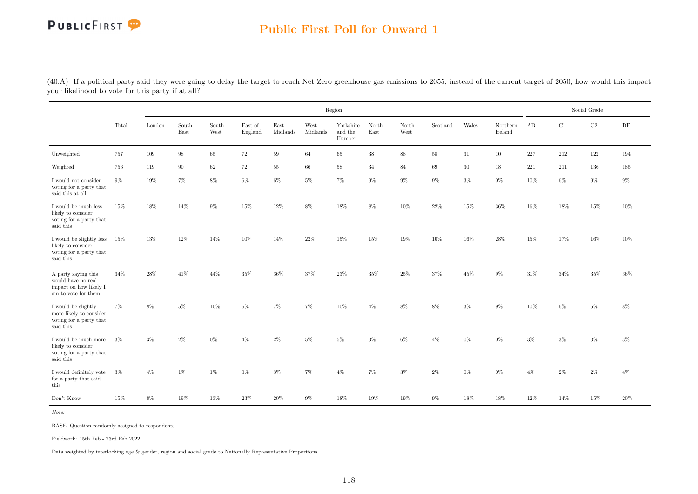### Public First Poll for Onward 1

(40.A) If a political party said they were going to delay the target to reach Net Zero greenhouse gas emissions to 2055, instead of the current target of 2050, how would this impact your likelihood to vote for this party if at all?

|                                                                                            |       |        |               |               |                    |                  |                  | Region                         |                                |               |          |        |                     |        |        | Social Grade |           |
|--------------------------------------------------------------------------------------------|-------|--------|---------------|---------------|--------------------|------------------|------------------|--------------------------------|--------------------------------|---------------|----------|--------|---------------------|--------|--------|--------------|-----------|
|                                                                                            | Total | London | South<br>East | South<br>West | East of<br>England | East<br>Midlands | West<br>Midlands | Yorkshire<br>and the<br>Humber | North<br>$\operatorname{East}$ | North<br>West | Scotland | Wales  | Northern<br>Ireland | AB     | C1     | $\rm C2$     | $\rm{DE}$ |
| Unweighted                                                                                 | 757   | 109    | 98            | 65            | 72                 | 59               | 64               | 65                             | 38                             | 88            | 58       | 31     | 10                  | 227    | 212    | 122          | 194       |
| Weighted                                                                                   | 756   | 119    | 90            | 62            | 72                 | 55               | 66               | 58                             | 34                             | 84            | 69       | 30     | 18                  | 221    | 211    | 136          | 185       |
| I would not consider<br>voting for a party that<br>said this at all                        | $9\%$ | 19%    | 7%            | $8\%$         | $6\%$              | $6\%$            | $5\%$            | $7\%$                          | $9\%$                          | $9\%$         | $9\%$    | $3\%$  | $0\%$               | 10%    | $6\%$  | 9%           | $9\%$     |
| I would be much less<br>likely to consider<br>voting for a party that<br>said this         | 15%   | 18%    | 14%           | 9%            | 15%                | 12%              | 8%               | 18%                            | 8%                             | 10%           | 22%      | 15%    | 36%                 | 16%    | 18%    | 15%          | 10%       |
| I would be slightly less 15%<br>likely to consider<br>voting for a party that<br>said this |       | 13%    | 12%           | 14%           | $10\%$             | 14%              | 22%              | 15%                            | $15\%$                         | 19%           | $10\%$   | $16\%$ | 28%                 | $15\%$ | 17%    | $16\%$       | 10%       |
| A party saying this<br>would have no real<br>impact on how likely I<br>am to vote for them | 34%   | 28%    | 41\%          | 44\%          | 35%                | 36%              | 37%              | 23%                            | 35%                            | 25%           | 37%      | 45%    | 9%                  | 31%    | $34\%$ | 35%          | 36%       |
| I would be slightly<br>more likely to consider<br>voting for a party that<br>said this     | $7\%$ | 8%     | 5%            | 10%           | 6%                 | $7\%$            | $7\%$            | 10%                            | $4\%$                          | 8%            | 8%       | $3\%$  | $9\%$               | 10%    | 6%     | 5%           | 8%        |
| I would be much more<br>likely to consider<br>voting for a party that<br>said this         | $3\%$ | $3\%$  | 2%            | $0\%$         | $4\%$              | $2\%$            | $5\%$            | $5\%$                          | $3\%$                          | 6%            | $4\%$    | $0\%$  | $0\%$               | $3\%$  | $3\%$  | 3%           | $3\%$     |
| I would definitely vote<br>for a party that said<br>this                                   | $3\%$ | $4\%$  | 1%            | 1%            | $0\%$              | $3\%$            | $7\%$            | $4\%$                          | $7\%$                          | 3%            | $2\%$    | $0\%$  | 0%                  | $4\%$  | 2%     | 2%           | $4\%$     |
| Don't Know                                                                                 | 15%   | $8\%$  | 19%           | 13%           | 23%                | 20%              | $9\%$            | 18%                            | $19\%$                         | 19%           | $9\%$    | 18%    | 18%                 | 12%    | 14\%   | $15\%$       | 20%       |

Note:

BASE: Question randomly assigned to respondents

Fieldwork: 15th Feb - 23rd Feb 2022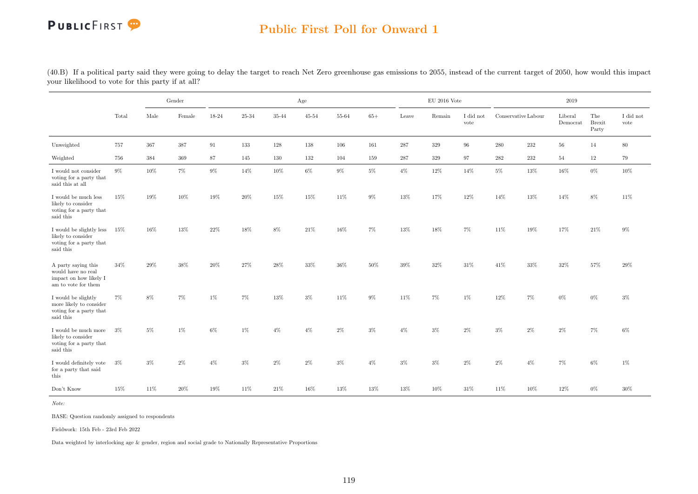### Public First Poll for Onward 1

|                                                                                             |       |       | Gender |        |        |       | Age    |        |        |        | $\mathop{\rm EU}$ 2016 Vote |                   |           |                     | 2019                |                               |                   |
|---------------------------------------------------------------------------------------------|-------|-------|--------|--------|--------|-------|--------|--------|--------|--------|-----------------------------|-------------------|-----------|---------------------|---------------------|-------------------------------|-------------------|
|                                                                                             | Total | Male  | Female | 18-24  | 25-34  | 35-44 | 45-54  | 55-64  | $65+$  | Leave  | Remain                      | I did not<br>vote |           | Conservative Labour | Liberal<br>Democrat | The<br><b>Brexit</b><br>Party | I did not<br>vote |
| Unweighted                                                                                  | 757   | 367   | 387    | 91     | 133    | 128   | 138    | 106    | 161    | 287    | 329                         | 96                | 280       | 232                 | 56                  | 14                            | 80                |
| Weighted                                                                                    | 756   | 384   | 369    | 87     | 145    | 130   | 132    | 104    | 159    | 287    | $329\,$                     | 97                | $\bf 282$ | $232\,$             | 54                  | 12                            | 79                |
| I would not consider<br>voting for a party that<br>said this at all                         | 9%    | 10%   | 7%     | 9%     | 14%    | 10%   | $6\%$  | 9%     | $5\%$  | $4\%$  | 12%                         | 14%               | $5\%$     | 13%                 | 16%                 | 0%                            | 10%               |
| I would be much less<br>likely to consider<br>voting for a party that<br>said this          | 15%   | 19%   | 10%    | 19%    | 20%    | 15%   | 15%    | 11\%   | 9%     | 13%    | 17%                         | 12%               | 14%       | 13%                 | 14%                 | 8%                            | 11%               |
| I would be slightly less<br>likely to consider<br>voting for a party that<br>said this      | 15%   | 16%   | 13%    | $22\%$ | $18\%$ | $8\%$ | $21\%$ | 16%    | $7\%$  | $13\%$ | $18\%$                      | $7\%$             | $11\%$    | 19%                 | $17\%$              | $21\%$                        | $9\%$             |
| A party saying this<br>would have no real<br>impact on how likely I<br>am to vote for them  | 34\%  | 29%   | 38%    | 20%    | $27\%$ | 28%   | $33\%$ | $36\%$ | $50\%$ | 39%    | $32\%$                      | $31\%$            | 41\%      | 33%                 | 32%                 | 57%                           | $29\%$            |
| I would be slightly<br>more likely to consider<br>voting for a party that<br>said this      | $7\%$ | 8%    | 7%     | 1%     | 7%     | 13%   | $3\%$  | 11%    | 9%     | 11%    | $7\%$                       | 1%                | 12%       | 7%                  | $0\%$               | $0\%$                         | $3\%$             |
| I would be much more $~\,$ 3%<br>likely to consider<br>voting for a party that<br>said this |       | 5%    | 1%     | $6\%$  | $1\%$  | $4\%$ | $4\%$  | $2\%$  | $3\%$  | $4\%$  | $3\%$                       | $2\%$             | $3\%$     | $2\%$               | $2\%$               | 7%                            | 6%                |
| I would definitely vote<br>for a party that said<br>this                                    | $3\%$ | $3\%$ | $2\%$  | $4\%$  | $3\%$  | $2\%$ | $2\%$  | $3\%$  | $4\%$  | $3\%$  | $3\%$                       | $2\%$             | $2\%$     | $4\%$               | $7\%$               | $6\%$                         | 1%                |
| Don't Know                                                                                  | 15%   | 11%   | 20%    | 19%    | 11\%   | 21\%  | 16%    | 13%    | 13%    | 13%    | 10%                         | 31\%              | 11\%      | 10%                 | 12%                 | $0\%$                         | 30%               |

(40.B) If a political party said they were going to delay the target to reach Net Zero greenhouse gas emissions to 2055, instead of the current target of 2050, how would this impact your likelihood to vote for this party if at all?

Note:

BASE: Question randomly assigned to respondents

Fieldwork: 15th Feb - 23rd Feb 2022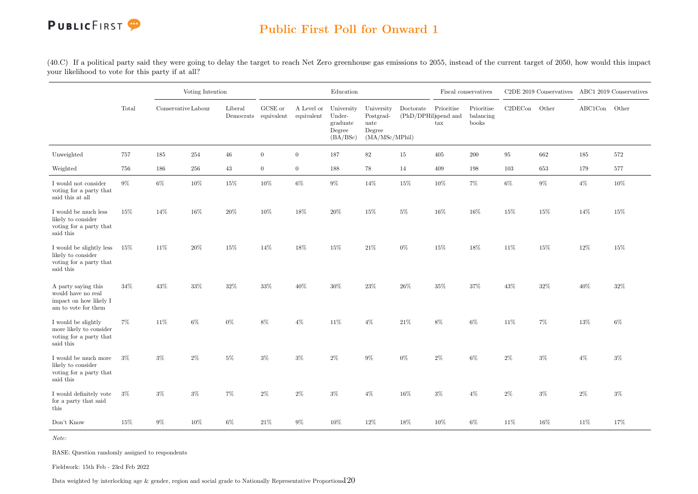### Public First Poll for Onward 1

(40.C) If a political party said they were going to delay the target to reach Net Zero greenhouse gas emissions to 2055, instead of the current target of 2050, how would this impact your likelihood to vote for this party if at all?

|                                                                                            |       |                     | Voting Intention |                                 |                  |                          | Education                                              |                                                             |                                   |                   | Fiscal conservatives             |         | C2DE 2019 Conservatives ABC1 2019 Conservatives |               |       |
|--------------------------------------------------------------------------------------------|-------|---------------------|------------------|---------------------------------|------------------|--------------------------|--------------------------------------------------------|-------------------------------------------------------------|-----------------------------------|-------------------|----------------------------------|---------|-------------------------------------------------|---------------|-------|
|                                                                                            | Total | Conservative Labour |                  | Liberal<br>Democrats equivalent | GCSE or          | A Level or<br>equivalent | University<br>Under-<br>graduate<br>Degree<br>(BA/BSc) | University<br>Postgrad-<br>uate<br>Degree<br>(MA/MSc/MPhil) | Doctorate<br>(PhD/DPHil)spend and | Prioritise<br>tax | Prioritise<br>balancing<br>books | C2DECon | Other                                           | ABC1Con Other |       |
| Unweighted                                                                                 | 757   | 185                 | 254              | $46\,$                          | $\boldsymbol{0}$ | $\overline{0}$           | 187                                                    | $82\,$                                                      | $15\,$                            | 405               | 200                              | 95      | 662                                             | 185           | 572   |
| Weighted                                                                                   | 756   | 186                 | 256              | 43                              | $\overline{0}$   | $\overline{0}$           | 188                                                    | 78                                                          | 14                                | 409               | 198                              | 103     | 653                                             | 179           | 577   |
| I would not consider<br>voting for a party that<br>said this at all                        | $9\%$ | $6\%$               | 10%              | 15%                             | 10%              | $6\%$                    | $9\%$                                                  | 14%                                                         | 15%                               | $10\%$            | $7\%$                            | $6\%$   | $9\%$                                           | $4\%$         | 10%   |
| I would be much less<br>likely to consider<br>voting for a party that<br>said this         | 15%   | 14%                 | $16\%$           | $20\%$                          | 10%              | 18%                      | $20\%$                                                 | $15\%$                                                      | $5\%$                             | $16\%$            | 16%                              | 15%     | 15%                                             | 14%           | 15%   |
| I would be slightly less<br>likely to consider<br>voting for a party that<br>said this     | 15%   | 11%                 | $20\%$           | 15%                             | 14%              | 18%                      | 15%                                                    | $21\%$                                                      | $0\%$                             | 15%               | 18%                              | 11%     | $15\%$                                          | 12%           | 15%   |
| A party saying this<br>would have no real<br>impact on how likely I<br>am to vote for them | 34%   | 43%                 | $33\%$           | 32%                             | 33%              | 40%                      | 30%                                                    | 23\%                                                        | $26\%$                            | $35\%$            | 37%                              | 43%     | 32%                                             | 40%           | 32%   |
| I would be slightly<br>more likely to consider<br>voting for a party that<br>said this     | 7%    | 11%                 | 6%               | 0%                              | 8%               | $4\%$                    | 11%                                                    | $4\%$                                                       | 21\%                              | 8%                | 6%                               | 11%     | $7\%$                                           | 13%           | 6%    |
| I would be much more<br>likely to consider<br>voting for a party that<br>said this         | $3\%$ | $3\%$               | $2\%$            | $5\%$                           | $3\%$            | $3\%$                    | $2\%$                                                  | $9\%$                                                       | $0\%$                             | $2\%$             | 6%                               | $2\%$   | $3\%$                                           | $4\%$         | $3\%$ |
| I would definitely vote<br>for a party that said<br>this                                   | $3\%$ | $3\%$               | $3\%$            | $7\%$                           | 2%               | $2\%$                    | 3%                                                     | $4\%$                                                       | 16%                               | $3\%$             | $4\%$                            | $2\%$   | $3\%$                                           | $2\%$         | $3\%$ |
| Don't Know                                                                                 | 15%   | $9\%$               | 10%              | $6\%$                           | 21\%             | $9\%$                    | 10%                                                    | $12\%$                                                      | 18%                               | 10%               | $6\%$                            | 11%     | 16%                                             | 11%           | 17%   |

Note:

BASE: Question randomly assigned to respondents

Fieldwork: 15th Feb - 23rd Feb 2022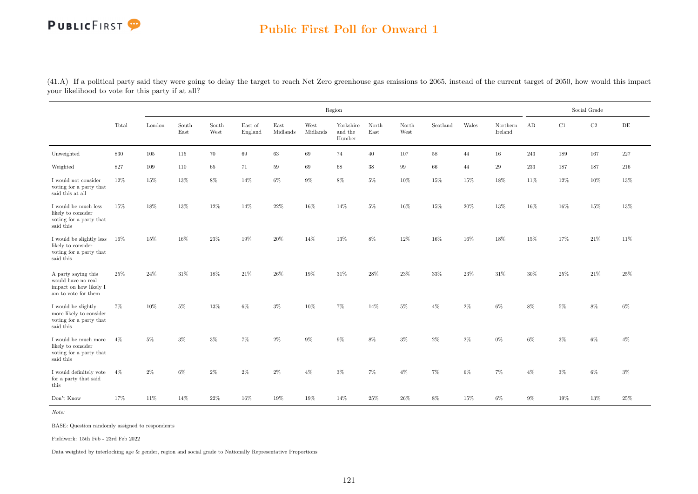### Public First Poll for Onward 1

(41.A) If a political party said they were going to delay the target to reach Net Zero greenhouse gas emissions to 2065, instead of the current target of 2050, how would this impact your likelihood to vote for this party if at all?

|                                                                                            |        |        |               |               |                    |                  |                  | Region                         |               |               |          |        |                     |         |        | Social Grade |           |
|--------------------------------------------------------------------------------------------|--------|--------|---------------|---------------|--------------------|------------------|------------------|--------------------------------|---------------|---------------|----------|--------|---------------------|---------|--------|--------------|-----------|
|                                                                                            | Total  | London | South<br>East | South<br>West | East of<br>England | East<br>Midlands | West<br>Midlands | Yorkshire<br>and the<br>Humber | North<br>East | North<br>West | Scotland | Wales  | Northern<br>Ireland | AB      | C1     | $\rm C2$     | $\rm{DE}$ |
| Unweighted                                                                                 | 830    | 105    | 115           | 70            | 69                 | 63               | 69               | 74                             | 40            | 107           | 58       | 44     | 16                  | 243     | 189    | 167          | 227       |
| Weighted                                                                                   | 827    | 109    | 110           | 65            | 71                 | 59               | 69               | 68                             | 38            | 99            | 66       | 44     | 29                  | $233\,$ | 187    | 187          | 216       |
| I would not consider<br>voting for a party that<br>said this at all                        | 12%    | 15%    | $13\%$        | $8\%$         | 14%                | $6\%$            | $9\%$            | $8\%$                          | $5\%$         | 10%           | 15%      | 15%    | 18%                 | 11%     | 12%    | 10%          | 13%       |
| I would be much less<br>likely to consider<br>voting for a party that<br>said this         | 15%    | 18%    | $13\%$        | $12\%$        | 14%                | $22\%$           | $16\%$           | 14%                            | $5\%$         | $16\%$        | 15%      | $20\%$ | 13%                 | 16%     | $16\%$ | $15\%$       | 13%       |
| I would be slightly less<br>likely to consider<br>voting for a party that<br>said this     | $16\%$ | 15%    | 16%           | 23%           | 19%                | 20%              | 14%              | 13%                            | 8%            | 12%           | 16%      | 16%    | 18%                 | 15%     | 17%    | 21\%         | 11%       |
| A party saying this<br>would have no real<br>impact on how likely I<br>am to vote for them | 25%    | 24%    | 31\%          | 18%           | 21\%               | 26%              | 19%              | 31%                            | 28%           | 23%           | 33%      | 23%    | 31\%                | 30%     | 25%    | 21\%         | 25%       |
| I would be slightly<br>more likely to consider<br>voting for a party that<br>said this     | $7\%$  | 10%    | 5%            | 13%           | $6\%$              | $3\%$            | 10%              | 7%                             | 14%           | $5\%$         | $4\%$    | $2\%$  | 6%                  | 8%      | $5\%$  | 8%           | $6\%$     |
| I would be much more<br>likely to consider<br>voting for a party that<br>said this         | $4\%$  | $5\%$  | $3\%$         | 3%            | 7%                 | $2\%$            | 9%               | $9\%$                          | $8\%$         | $3\%$         | $2\%$    | $2\%$  | $0\%$               | $6\%$   | $3\%$  | 6%           | $4\%$     |
| I would definitely vote<br>for a party that said<br>this                                   | $4\%$  | $2\%$  | $6\%$         | $2\%$         | $2\%$              | $2\%$            | $4\%$            | $3\%$                          | $7\%$         | $4\%$         | 7%       | $6\%$  | 7%                  | $4\%$   | $3\%$  | $6\%$        | $3\%$     |
| Don't Know                                                                                 | 17%    | 11%    | 14%           | 22%           | 16%                | 19%              | 19%              | 14%                            | $25\%$        | $26\%$        | $8\%$    | 15%    | 6%                  | $9\%$   | 19%    | $13\%$       | 25%       |

Note:

BASE: Question randomly assigned to respondents

Fieldwork: 15th Feb - 23rd Feb 2022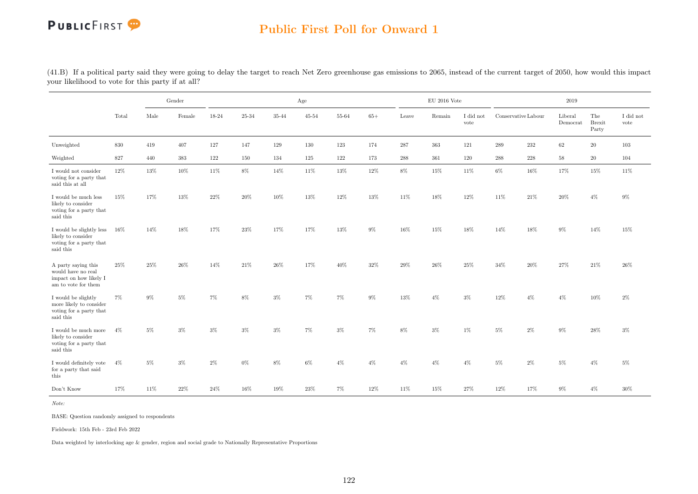### Public First Poll for Onward 1

(41.B) If a political party said they were going to delay the target to reach Net Zero greenhouse gas emissions to 2065, instead of the current target of 2050, how would this impact your likelihood to vote for this party if at all?

|                                                                                            |        |        | Gender  |        |        |        | Age       |        |        |        | $\mathop{\rm EU}$ 2016 Vote |                   |                     |       | 2019                |                               |                   |
|--------------------------------------------------------------------------------------------|--------|--------|---------|--------|--------|--------|-----------|--------|--------|--------|-----------------------------|-------------------|---------------------|-------|---------------------|-------------------------------|-------------------|
|                                                                                            | Total  | Male   | Female  | 18-24  | 25-34  | 35-44  | $45 - 54$ | 55-64  | $65+$  | Leave  | Remain                      | I did not<br>vote | Conservative Labour |       | Liberal<br>Democrat | The<br><b>Brexit</b><br>Party | I did not<br>vote |
| Unweighted                                                                                 | 830    | 419    | 407     | 127    | 147    | 129    | 130       | 123    | 174    | 287    | 363                         | 121               | 289                 | 232   | 62                  | 20                            | 103               |
| Weighted                                                                                   | 827    | 440    | $383\,$ | 122    | 150    | 134    | 125       | 122    | 173    | 288    | 361                         | 120               | 288                 | 228   | $58\,$              | 20                            | 104               |
| I would not consider<br>voting for a party that<br>said this at all                        | $12\%$ | 13%    | $10\%$  | 11%    | $8\%$  | 14%    | 11%       | $13\%$ | 12%    | $8\%$  | $15\%$                      | 11%               | $6\%$               | 16%   | 17%                 | 15%                           | 11\%              |
| I would be much less<br>likely to consider<br>voting for a party that<br>said this         | 15%    | 17%    | 13%     | 22%    | 20%    | 10%    | 13%       | 12%    | 13%    | 11%    | 18%                         | 12%               | 11%                 | 21\%  | 20%                 | $4\%$                         | $9\%$             |
| I would be slightly less<br>likely to consider<br>voting for a party that<br>said this     | $16\%$ | 14%    | 18%     | 17%    | 23%    | 17%    | 17%       | 13%    | $9\%$  | 16%    | 15%                         | 18%               | 14%                 | 18%   | $9\%$               | 14%                           | 15%               |
| A party saying this<br>would have no real<br>impact on how likely I<br>am to vote for them | 25%    | 25%    | 26%     | 14%    | 21\%   | 26\%   | 17%       | 40%    | 32%    | 29%    | 26%                         | 25%               | 34%                 | 20%   | 27%                 | 21\%                          | 26%               |
| I would be slightly<br>more likely to consider<br>voting for a party that<br>said this     | $7\%$  | 9%     | 5%      | 7%     | 8%     | 3%     | 7%        | $7\%$  | $9\%$  | 13%    | $4\%$                       | $3\%$             | 12%                 | $4\%$ | $4\%$               | 10%                           | $2\%$             |
| I would be much more<br>likely to consider<br>voting for a party that<br>said this         | $4\%$  | $5\%$  | 3%      | 3%     | $3\%$  | 3%     | 7%        | $3\%$  | 7%     | 8%     | $3\%$                       | 1%                | $5\%$               | 2%    | 9%                  | 28%                           | $3\%$             |
| I would definitely vote<br>for a party that said<br>this                                   | $4\%$  | 5%     | 3%      | $2\%$  | $0\%$  | $8\%$  | $6\%$     | $4\%$  | $4\%$  | $4\%$  | $4\%$                       | $4\%$             | $5\%$               | 2%    | 5%                  | $4\%$                         | $5\%$             |
| Don't Know                                                                                 | 17%    | $11\%$ | 22%     | $24\%$ | $16\%$ | $19\%$ | $23\%$    | $7\%$  | $12\%$ | $11\%$ | 15%                         | $27\%$            | $12\%$              | 17%   | $9\%$               | $4\%$                         | 30%               |

Note:

BASE: Question randomly assigned to respondents

Fieldwork: 15th Feb - 23rd Feb 2022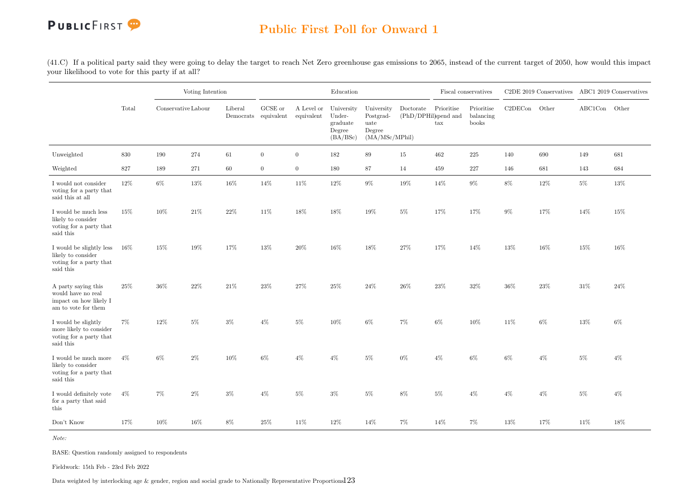

(41.C) If a political party said they were going to delay the target to reach Net Zero greenhouse gas emissions to 2065, instead of the current target of 2050, how would this impact your likelihood to vote for this party if at all?

|                                                                                            |       |                     | Voting Intention |                      |                               |                          | $\operatorname{Education}$                             |                                                             |                                   |                   | Fiscal conservatives             |         | C2DE 2019 Conservatives ABC1 2019 Conservatives |               |        |
|--------------------------------------------------------------------------------------------|-------|---------------------|------------------|----------------------|-------------------------------|--------------------------|--------------------------------------------------------|-------------------------------------------------------------|-----------------------------------|-------------------|----------------------------------|---------|-------------------------------------------------|---------------|--------|
|                                                                                            | Total | Conservative Labour |                  | Liberal<br>Democrats | ${\rm GCSE}$ or<br>equivalent | A Level or<br>equivalent | University<br>Under-<br>graduate<br>Degree<br>(BA/BSc) | University<br>Postgrad-<br>uate<br>Degree<br>(MA/MSc/MPhil) | Doctorate<br>(PhD/DPHil)spend and | Prioritise<br>tax | Prioritise<br>balancing<br>books | C2DECon | Other                                           | ABC1Con Other |        |
| Unweighted                                                                                 | 830   | 190                 | 274              | 61                   | $\boldsymbol{0}$              | $\overline{0}$           | 182                                                    | $89\,$                                                      | 15                                | $462\,$           | $225\,$                          | 140     | 690                                             | 149           | 681    |
| Weighted                                                                                   | 827   | 189                 | 271              | $60\,$               | $\boldsymbol{0}$              | $\overline{0}$           | 180                                                    | 87                                                          | 14                                | 459               | $227\,$                          | 146     | 681                                             | 143           | 684    |
| I would not consider<br>voting for a party that<br>said this at all                        | 12%   | $6\%$               | 13%              | 16%                  | 14%                           | 11%                      | 12%                                                    | $9\%$                                                       | 19%                               | 14%               | $9\%$                            | $8\%$   | 12%                                             | $5\%$         | $13\%$ |
| I would be much less<br>likely to consider<br>voting for a party that<br>said this         | 15%   | 10%                 | $21\%$           | $22\%$               | 11\%                          | 18%                      | 18%                                                    | 19%                                                         | $5\%$                             | 17%               | 17%                              | $9\%$   | 17%                                             | 14%           | 15%    |
| I would be slightly less<br>likely to consider<br>voting for a party that<br>said this     | 16%   | 15%                 | $19\%$           | 17%                  | 13%                           | $20\%$                   | $16\%$                                                 | $18\%$                                                      | $27\%$                            | 17%               | 14%                              | $13\%$  | $16\%$                                          | 15%           | $16\%$ |
| A party saying this<br>would have no real<br>impact on how likely I<br>am to vote for them | 25%   | $36\%$              | $22\%$           | 21\%                 | $23\%$                        | 27%                      | $25\%$                                                 | $24\%$                                                      | $26\%$                            | 23%               | $32\%$                           | 36%     | 23%                                             | $31\%$        | 24\%   |
| I would be slightly<br>more likely to consider<br>voting for a party that<br>said this     | 7%    | 12%                 | $5\%$            | $3\%$                | $4\%$                         | $5\%$                    | 10%                                                    | 6%                                                          | $7\%$                             | $6\%$             | 10%                              | 11%     | 6%                                              | 13%           | 6%     |
| I would be much more<br>likely to consider<br>voting for a party that<br>said this         | $4\%$ | 6%                  | $2\%$            | 10%                  | 6%                            | $4\%$                    | $4\%$                                                  | 5%                                                          | $0\%$                             | $4\%$             | 6%                               | $6\%$   | $4\%$                                           | $5\%$         | $4\%$  |
| I would definitely vote<br>for a party that said<br>this                                   | $4\%$ | 7%                  | $2\%$            | $3\%$                | $4\%$                         | $5\%$                    | $3\%$                                                  | $5\%$                                                       | $8\%$                             | $5\%$             | $4\%$                            | $4\%$   | $4\%$                                           | $5\%$         | $4\%$  |
| Don't Know                                                                                 | 17%   | $10\%$              | 16%              | $8\%$                | $25\%$                        | 11%                      | 12%                                                    | 14%                                                         | $7\%$                             | 14%               | 7%                               | $13\%$  | 17%                                             | 11%           | 18%    |

Note:

BASE: Question randomly assigned to respondents

Fieldwork: 15th Feb - 23rd Feb 2022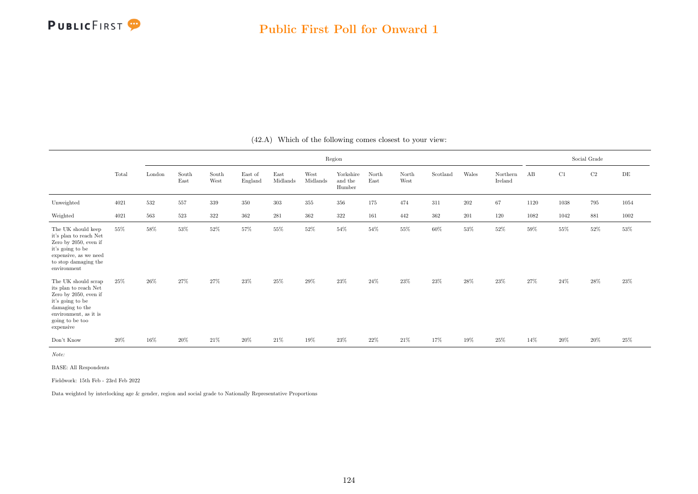

|                                                                                                                                                                       |       |        |               |               |                    |                  |                  | Region                         |               |               |          |       |                     |      |      | Social Grade |           |
|-----------------------------------------------------------------------------------------------------------------------------------------------------------------------|-------|--------|---------------|---------------|--------------------|------------------|------------------|--------------------------------|---------------|---------------|----------|-------|---------------------|------|------|--------------|-----------|
|                                                                                                                                                                       | Total | London | South<br>East | South<br>West | East of<br>England | East<br>Midlands | West<br>Midlands | Yorkshire<br>and the<br>Humber | North<br>East | North<br>West | Scotland | Wales | Northern<br>Ireland | AB   | C1   | $\rm{C2}$    | $\rm{DE}$ |
| Unweighted                                                                                                                                                            | 4021  | 532    | 557           | 339           | 350                | $303\,$          | $355\,$          | $356\,$                        | 175           | 474           | 311      | 202   | 67                  | 1120 | 1038 | 795          | 1054      |
| Weighted                                                                                                                                                              | 4021  | 563    | 523           | $322\,$       | 362                | 281              | 362              | 322                            | 161           | 442           | 362      | 201   | 120                 | 1082 | 1042 | 881          | 1002      |
| The UK should keep<br>it's plan to reach Net<br>Zero by 2050, even if<br>it's going to be<br>expensive, as we need<br>to stop damaging the<br>environment             | 55%   | 58%    | 53%           | 52%           | 57%                | $55\%$           | 52%              | 54%                            | 54%           | $55\%$        | 60%      | 53%   | 52%                 | 59%  | 55%  | 52%          | 53%       |
| The UK should scrap<br>its plan to reach Net<br>Zero by 2050, even if<br>it's going to be<br>damaging to the<br>environment, as it is<br>going to be too<br>expensive | 25%   | 26%    | 27%           | 27%           | $23\%$             | $25\%$           | 29%              | $23\%$                         | 24%           | 23%           | 23%      | 28%   | $23\%$              | 27%  | 24%  | 28%          | 23%       |
| Don't Know                                                                                                                                                            | 20%   | 16%    | 20%           | 21\%          | 20%                | 21\%             | 19%              | 23%                            | 22%           | 21\%          | 17%      | 19%   | 25%                 | 14%  | 20%  | 20%          | 25%       |

(42.A) Which of the following comes closest to your view:

Note:

BASE: All Respondents

Fieldwork: 15th Feb - 23rd Feb 2022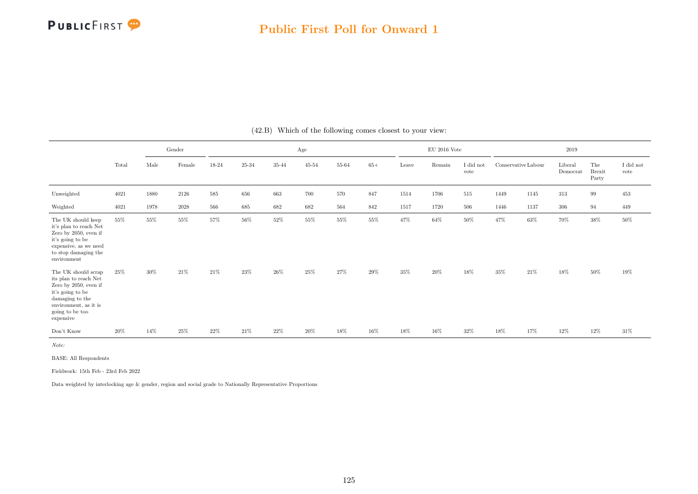

|                                                                                                                                                                       |        |        | Gender   |        |        |        | Age       |        |        |        | $\mathrm{EU}$ 2016 Vote |                   |                     |      | 2019                |                               |                               |
|-----------------------------------------------------------------------------------------------------------------------------------------------------------------------|--------|--------|----------|--------|--------|--------|-----------|--------|--------|--------|-------------------------|-------------------|---------------------|------|---------------------|-------------------------------|-------------------------------|
|                                                                                                                                                                       | Total  | Male   | Female   | 18-24  | 25-34  | 35-44  | $45 - 54$ | 55-64  | $65+$  | Leave  | Remain                  | I did not<br>vote | Conservative Labour |      | Liberal<br>Democrat | The<br><b>Brexit</b><br>Party | $\rm I$ did $\rm not$<br>vote |
| Unweighted                                                                                                                                                            | 4021   | 1880   | 2126     | 585    | 656    | 663    | 700       | 570    | 847    | 1514   | 1706                    | 515               | 1449                | 1145 | 313                 | 99                            | 453                           |
| Weighted                                                                                                                                                              | 4021   | 1978   | $2028\,$ | 566    | 685    | 682    | 682       | 564    | 842    | 1517   | 1720                    | 506               | 1446                | 1137 | 306                 | 94                            | 449                           |
| The UK should keep<br>it's plan to reach Net<br>Zero by 2050, even if<br>it's going to be<br>expensive, as we need<br>to stop damaging the<br>environment             | 55%    | 55%    | $55\%$   | 57%    | $56\%$ | $52\%$ | $55\%$    | 55%    | $55\%$ | 47%    | 64%                     | 50%               | 47%                 | 63%  | $70\%$              | 38%                           | 50%                           |
| The UK should scrap<br>its plan to reach Net<br>Zero by 2050, even if<br>it's going to be<br>damaging to the<br>environment, as it is<br>going to be too<br>expensive | 25%    | $30\%$ | $21\%$   | $21\%$ | $23\%$ | $26\%$ | $25\%$    | $27\%$ | $29\%$ | $35\%$ | $20\%$                  | $18\%$            | 35%                 | 21\% | $18\%$              | $50\%$                        | 19%                           |
| Don't Know                                                                                                                                                            | $20\%$ | 14%    | $25\%$   | $22\%$ | $21\%$ | $22\%$ | 20%       | 18%    | 16%    | 18%    | $16\%$                  | 32%               | 18%                 | 17%  | 12%                 | 12%                           | $31\%$                        |

(42.B) Which of the following comes closest to your view:

Note:

BASE: All Respondents

Fieldwork: 15th Feb - 23rd Feb 2022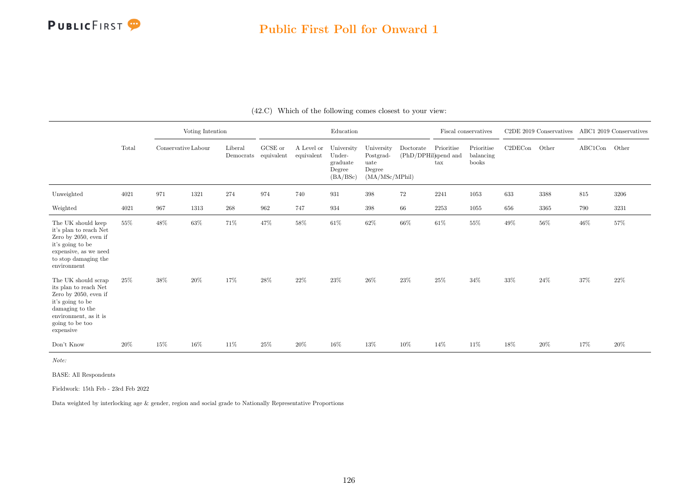

|                                                                                                                                                                          |       |     | Voting Intention<br>Conservative Labour |                      |                       |                          | Education                                              |                                                             |                                   | Fiscal conservatives       |                                  |         | C2DE 2019 Conservatives |         | ABC1 2019 Conservatives |
|--------------------------------------------------------------------------------------------------------------------------------------------------------------------------|-------|-----|-----------------------------------------|----------------------|-----------------------|--------------------------|--------------------------------------------------------|-------------------------------------------------------------|-----------------------------------|----------------------------|----------------------------------|---------|-------------------------|---------|-------------------------|
|                                                                                                                                                                          | Total |     |                                         | Liberal<br>Democrats | GCSE or<br>equivalent | A Level or<br>equivalent | University<br>Under-<br>graduate<br>Degree<br>(BA/BSc) | University<br>Postgrad-<br>uate<br>Degree<br>(MA/MSc/MPhil) | Doctorate<br>(PhD/DPHil)spend and | Prioritise<br>$\text{tax}$ | Prioritise<br>balancing<br>books | C2DECon | Other                   | ABC1Con | Other                   |
| Unweighted                                                                                                                                                               | 4021  | 971 | 1321                                    | 274                  | 974                   | 740                      | 931                                                    | 398                                                         | $72\,$                            | 2241                       | 1053                             | 633     | 3388                    | 815     | 3206                    |
| Weighted                                                                                                                                                                 | 4021  | 967 | 1313                                    | 268                  | 962                   | 747                      | 934                                                    | 398                                                         | 66                                | 2253                       | 1055                             | 656     | 3365                    | 790     | 3231                    |
| The UK should keep<br>it's plan to reach Net<br>Zero by 2050, even if<br>it's going to be<br>expensive, as we need<br>to stop damaging the<br>environment                | 55%   | 48% | 63%                                     | 71%                  | 47%                   | 58%                      | $61\%$                                                 | $62\%$                                                      | $66\%$                            | $61\%$                     | 55%                              | $49\%$  | $56\%$                  | 46%     | 57%                     |
| The UK should scrap<br>its plan to reach Net<br>Zero by $2050$ , even if<br>it's going to be<br>damaging to the<br>environment, as it is<br>going to be too<br>expensive | 25\%  | 38% | 20%                                     | 17%                  | 28%                   | $22\%$                   | $23\%$                                                 | $26\%$                                                      | $23\%$                            | $25\%$                     | 34%                              | 33%     | $24\%$                  | $37\%$  | 22%                     |
| Don't Know                                                                                                                                                               | 20%   | 15% | 16%                                     | 11%                  | 25%                   | 20%                      | 16%                                                    | 13%                                                         | 10%                               | 14%                        | 11%                              | 18%     | 20%                     | 17%     | 20%                     |

(42.C) Which of the following comes closest to your view:

Note:

BASE: All Respondents

Fieldwork: 15th Feb - 23rd Feb 2022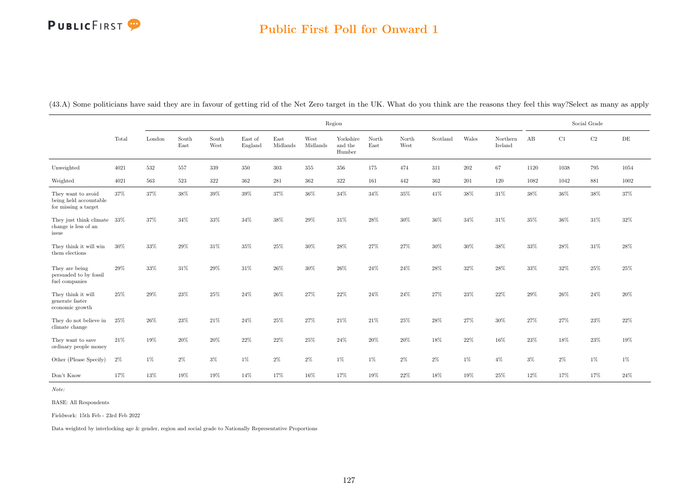### Public First Poll for Onward 1

(43.A) Some politicians have said they are in favour of getting rid of the Net Zero target in the UK. What do you think are the reasons they feel this way?Select as many as apply

|                                                                      |       |        |               |               |                    |                  |                  | Region                         |               |               |          |         |                     |        |        | Social Grade |           |
|----------------------------------------------------------------------|-------|--------|---------------|---------------|--------------------|------------------|------------------|--------------------------------|---------------|---------------|----------|---------|---------------------|--------|--------|--------------|-----------|
|                                                                      | Total | London | South<br>East | South<br>West | East of<br>England | East<br>Midlands | West<br>Midlands | Yorkshire<br>and the<br>Humber | North<br>East | North<br>West | Scotland | Wales   | Northern<br>Ireland | AB     | C1     | $\rm{C2}$    | $\rm{DE}$ |
| Unweighted                                                           | 4021  | 532    | 557           | 339           | 350                | 303              | $355\,$          | $356\,$                        | 175           | 474           | 311      | $202\,$ | 67                  | 1120   | 1038   | 795          | 1054      |
| Weighted                                                             | 4021  | 563    | 523           | $322\,$       | 362                | 281              | 362              | 322                            | 161           | 442           | 362      | 201     | 120                 | 1082   | 1042   | 881          | 1002      |
| They want to avoid<br>being held accountable<br>for missing a target | 37%   | 37%    | $38\%$        | $39\%$        | $39\%$             | $37\%$           | 36%              | $34\%$                         | $34\%$        | $35\%$        | $41\%$   | $38\%$  | $31\%$              | $38\%$ | $36\%$ | $38\%$       | 37%       |
| They just think climate 33%<br>change is less of an<br>issue         |       | 37%    | 34%           | 33%           | 34%                | $38\%$           | 29%              | 31\%                           | 28%           | 30%           | 36%      | 34%     | 31\%                | 35%    | 36%    | 31%          | 32%       |
| They think it will win<br>them elections                             | 30%   | 33%    | 29%           | 31%           | 35%                | 25%              | 30%              | 28%                            | 27%           | 27%           | 30%      | $30\%$  | 38%                 | 33%    | 28%    | $31\%$       | 28%       |
| They are being<br>persuaded to by fossil<br>fuel companies           | 29%   | $33\%$ | 31%           | 29%           | $31\%$             | $26\%$           | $30\%$           | $26\%$                         | $24\%$        | $24\%$        | $28\%$   | $32\%$  | $28\%$              | 33%    | $32\%$ | $25\%$       | $25\%$    |
| They think it will<br>generate faster<br>economic growth             | 25%   | 29%    | $23\%$        | 25%           | $24\%$             | $26\%$           | 27%              | $22\%$                         | $24\%$        | 24%           | 27%      | $23\%$  | 22%                 | $29\%$ | 26%    | $24\%$       | 20%       |
| They do not believe in<br>climate change                             | 25%   | 26%    | $23\%$        | $21\%$        | 24%                | 25%              | 27%              | 21\%                           | 21\%          | 25%           | 28%      | 27%     | 30%                 | 27%    | 27%    | $23\%$       | 22%       |
| They want to save<br>ordinary people money                           | 21%   | $19\%$ | $20\%$        | $20\%$        | $22\%$             | $22\%$           | $25\%$           | $24\%$                         | $20\%$        | $20\%$        | $18\%$   | $22\%$  | 16%                 | $23\%$ | $18\%$ | $23\%$       | 19%       |
| Other (Please Specify)                                               | $2\%$ | $1\%$  | $2\%$         | $3\%$         | $1\%$              | $2\%$            | $2\%$            | $1\%$                          | $1\%$         | $2\%$         | $2\%$    | $1\%$   | $4\%$               | $3\%$  | $2\%$  | $1\%$        | $1\%$     |
| Don't Know                                                           | 17%   | $13\%$ | $19\%$        | $19\%$        | 14%                | 17%              | $16\%$           | $17\%$                         | $19\%$        | $22\%$        | 18%      | $19\%$  | $25\%$              | $12\%$ | 17%    | 17%          | 24%       |

Note:

BASE: All Respondents

Fieldwork: 15th Feb - 23rd Feb 2022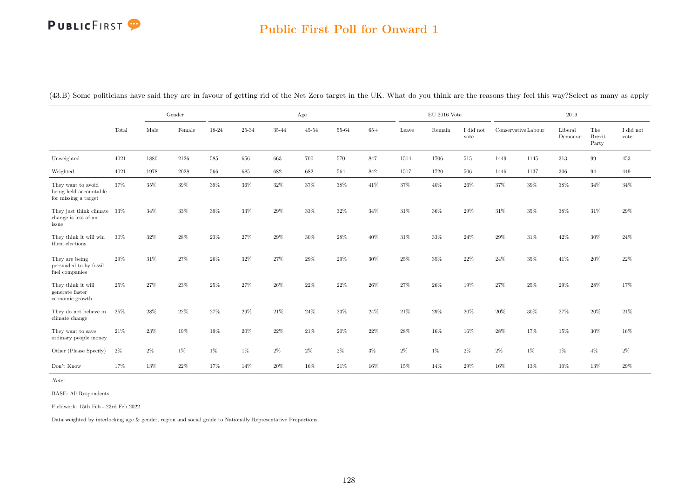#### Public First Poll for Onward 1

(43.B) Some politicians have said they are in favour of getting rid of the Net Zero target in the UK. What do you think are the reasons they feel this way?Select as many as apply

|                                                                      |       |        | Gender |        |        |       | Age       |        |        |        | $\mathrm{EU}$ 2016 Vote |                   |                     |        | $2019\,$            |                               |                   |
|----------------------------------------------------------------------|-------|--------|--------|--------|--------|-------|-----------|--------|--------|--------|-------------------------|-------------------|---------------------|--------|---------------------|-------------------------------|-------------------|
|                                                                      | Total | Male   | Female | 18-24  | 25-34  | 35-44 | $45 - 54$ | 55-64  | $65+$  | Leave  | Remain                  | I did not<br>vote | Conservative Labour |        | Liberal<br>Democrat | The<br><b>Brexit</b><br>Party | I did not<br>vote |
| Unweighted                                                           | 4021  | 1880   | 2126   | 585    | 656    | 663   | 700       | 570    | 847    | 1514   | 1706                    | 515               | 1449                | 1145   | 313                 | 99                            | 453               |
| Weighted                                                             | 4021  | 1978   | 2028   | 566    | 685    | 682   | 682       | 564    | 842    | 1517   | 1720                    | 506               | 1446                | 1137   | $306\,$             | 94                            | 449               |
| They want to avoid<br>being held accountable<br>for missing a target | 37%   | 35%    | 39%    | $39\%$ | $36\%$ | 32%   | 37%       | 38%    | 41%    | 37%    | $40\%$                  | 26\%              | 37%                 | $39\%$ | 38%                 | $34\%$                        | 34%               |
| They just think climate 33%<br>change is less of an<br>issue         |       | 34%    | 33%    | 39%    | 33%    | 29%   | 33%       | 32%    | 34%    | 31%    | 36%                     | 29%               | 31%                 | $35\%$ | 38%                 | $31\%$                        | $29\%$            |
| They think it will win<br>them elections                             | 30%   | 32%    | 28%    | 23%    | 27%    | 29%   | $30\%$    | 28%    | 40%    | 31%    | 33%                     | 24%               | 29%                 | 31%    | 42%                 | $30\%$                        | 24%               |
| They are being<br>persuaded to by fossil<br>fuel companies           | 29%   | $31\%$ | 27%    | 26%    | 32%    | 27%   | 29%       | 29%    | 30%    | 25%    | 35%                     | 22%               | 24%                 | $35\%$ | 41\%                | 20%                           | 22%               |
| They think it will<br>generate faster<br>economic growth             | 25%   | 27%    | 23%    | $25\%$ | 27%    | 26%   | 22\%      | 22%    | 26%    | 27%    | 26%                     | 19%               | 27%                 | 25%    | 29%                 | 28%                           | 17%               |
| They do not believe in<br>climate change                             | 25%   | 28%    | 22%    | 27%    | 29%    | 21\%  | 24%       | 23%    | 24%    | 21\%   | 29%                     | 20%               | 20%                 | $30\%$ | 27%                 | 20%                           | $21\%$            |
| They want to save<br>ordinary people money                           | 21\%  | $23\%$ | $19\%$ | $19\%$ | $20\%$ | 22%   | $21\%$    | $20\%$ | $22\%$ | $28\%$ | $16\%$                  | $16\%$            | 28%                 | 17%    | $15\%$              | $30\%$                        | 16%               |
| Other (Please Specify)                                               | 2%    | $2\%$  | $1\%$  | 1%     | 1%     | $2\%$ | $2\%$     | 2%     | $3\%$  | $2\%$  | 1%                      | 2%                | 2%                  | $1\%$  | 1%                  | $4\%$                         | $2\%$             |
| Don't Know                                                           | 17%   | 13%    | $22\%$ | 17%    | 14%    | 20%   | 16%       | $21\%$ | 16%    | 15%    | 14%                     | 29%               | 16%                 | 13%    | 10%                 | 13%                           | 29%               |

Note:

BASE: All Respondents

Fieldwork: 15th Feb - 23rd Feb 2022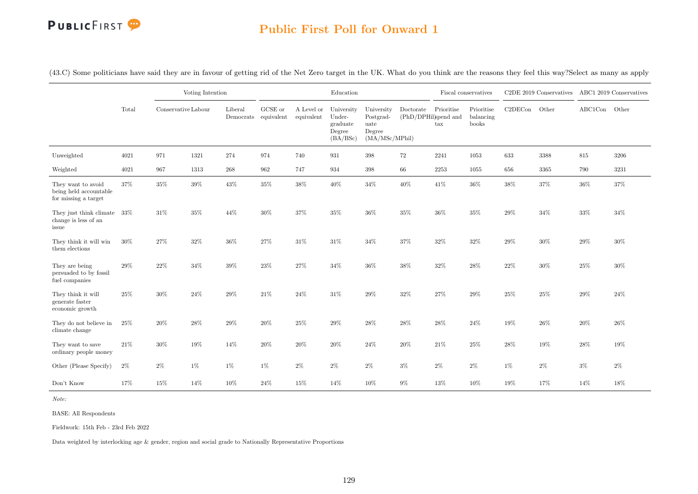

(43.C) Some politicians have said they are in favour of getting rid of the Net Zero target in the UK. What do you think are the reasons they feel this way?Select as many as apply

|                                                                      |        |                     | Voting Intention |                      |                               |                          | Education                                              |                                                             |                                   |                            | Fiscal conservatives             |         | C2DE 2019 Conservatives ABC1 2019 Conservatives |         |        |
|----------------------------------------------------------------------|--------|---------------------|------------------|----------------------|-------------------------------|--------------------------|--------------------------------------------------------|-------------------------------------------------------------|-----------------------------------|----------------------------|----------------------------------|---------|-------------------------------------------------|---------|--------|
|                                                                      | Total  | Conservative Labour |                  | Liberal<br>Democrats | ${\rm GCSE}$ or<br>equivalent | A Level or<br>equivalent | University<br>Under-<br>graduate<br>Degree<br>(BA/BSc) | University<br>Postgrad-<br>uate<br>Degree<br>(MA/MSc/MPhil) | Doctorate<br>(PhD/DPHil)spend and | Prioritise<br>$\text{tax}$ | Prioritise<br>balancing<br>books | C2DECon | Other                                           | ABC1Con | Other  |
| Unweighted                                                           | 4021   | 971                 | 1321             | 274                  | 974                           | 740                      | 931                                                    | $398\,$                                                     | 72                                | 2241                       | 1053                             | 633     | 3388                                            | $815\,$ | 3206   |
| Weighted                                                             | 4021   | 967                 | 1313             | 268                  | 962                           | 747                      | 934                                                    | 398                                                         | 66                                | 2253                       | 1055                             | 656     | 3365                                            | 790     | 3231   |
| They want to avoid<br>being held accountable<br>for missing a target | 37%    | $35\%$              | $39\%$           | 43%                  | 35%                           | $38\%$                   | 40%                                                    | $34\%$                                                      | $40\%$                            | 41\%                       | 36%                              | $38\%$  | $37\%$                                          | $36\%$  | $37\%$ |
| They just think climate<br>change is less of an<br>issue             | $33\%$ | $31\%$              | $35\%$           | 44%                  | $30\%$                        | $37\%$                   | 35%                                                    | $36\%$                                                      | $35\%$                            | $36\%$                     | $35\%$                           | $29\%$  | $34\%$                                          | $33\%$  | $34\%$ |
| They think it will win<br>them elections                             | 30%    | $27\%$              | $32\%$           | 36%                  | 27%                           | 31%                      | 31%                                                    | $34\%$                                                      | $37\%$                            | 32%                        | 32%                              | 29%     | $30\%$                                          | 29%     | 30%    |
| They are being<br>persuaded to by fossil<br>fuel companies           | 29%    | $22\%$              | $34\%$           | $39\%$               | 23\%                          | $27\%$                   | 34%                                                    | $36\%$                                                      | $38\%$                            | $32\%$                     | 28%                              | $22\%$  | $30\%$                                          | 25%     | $30\%$ |
| They think it will<br>generate faster<br>economic growth             | 25%    | $30\%$              | 24%              | 29%                  | 21\%                          | 24%                      | 31%                                                    | $29\%$                                                      | 32%                               | 27%                        | 29%                              | 25%     | 25\%                                            | 29%     | 24%    |
| They do not believe in<br>climate change                             | 25%    | $20\%$              | 28%              | 29%                  | 20%                           | 25%                      | 29%                                                    | $28\%$                                                      | $28\%$                            | $28\%$                     | 24\%                             | 19%     | $26\%$                                          | 20%     | 26%    |
| They want to save<br>ordinary people money                           | 21\%   | 30%                 | 19%              | 14%                  | 20%                           | 20%                      | 20%                                                    | 24%                                                         | $20\%$                            | 21\%                       | 25%                              | 28%     | 19%                                             | 28%     | 19%    |
| Other (Please Specify)                                               | $2\%$  | $2\%$               | $1\%$            | 1%                   | 1%                            | $2\%$                    | $2\%$                                                  | $2\%$                                                       | $3\%$                             | $2\%$                      | $2\%$                            | $1\%$   | $2\%$                                           | $3\%$   | $2\%$  |
| Don't Know                                                           | 17%    | $15\%$              | 14%              | 10%                  | 24%                           | 15%                      | 14%                                                    | 10%                                                         | $9\%$                             | $13\%$                     | 10%                              | 19%     | 17%                                             | 14%     | 18%    |

Note:

BASE: All Respondents

Fieldwork: 15th Feb - 23rd Feb 2022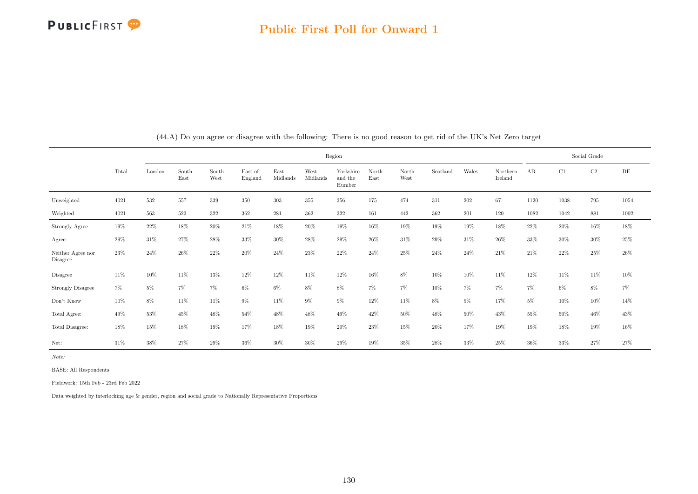

|                                     |        |        |               |               |                    |                  |                  | Region                         |               |               |          |         |                     |      |       | Social Grade |        |
|-------------------------------------|--------|--------|---------------|---------------|--------------------|------------------|------------------|--------------------------------|---------------|---------------|----------|---------|---------------------|------|-------|--------------|--------|
|                                     | Total  | London | South<br>East | South<br>West | East of<br>England | East<br>Midlands | West<br>Midlands | Yorkshire<br>and the<br>Humber | North<br>East | North<br>West | Scotland | Wales   | Northern<br>Ireland | AB   | C1    | C2           | DE     |
| Unweighted                          | 4021   | 532    | 557           | 339           | 350                | 303              | 355              | 356                            | 175           | 474           | 311      | $202\,$ | 67                  | 1120 | 1038  | 795          | 1054   |
| Weighted                            | 4021   | 563    | 523           | 322           | 362                | 281              | $362\,$          | 322                            | 161           | 442           | 362      | 201     | 120                 | 1082 | 1042  | 881          | 1002   |
| Strongly Agree                      | 19%    | 22\%   | 18%           | $20\%$        | 21\%               | 18%              | 20%              | 19%                            | 16%           | 19%           | 19%      | 19%     | 18%                 | 22%  | 20%   | 16%          | 18%    |
| Agree                               | $29\%$ | 31\%   | 27%           | 28%           | 33%                | 30%              | 28%              | 29%                            | 26%           | 31%           | 29%      | 31%     | $26\%$              | 33%  | 30%   | 30%          | 25%    |
| Neither Agree nor<br>Disagree       | 23%    | 24\%   | 26%           | 22%           | 20%                | 24\%             | 23%              | 22%                            | 24%           | 25%           | 24%      | 24%     | 21\%                | 21\% | 22%   | 25%          | 26\%   |
| Disagree                            | 11%    | 10%    | 11%           | 13%           | 12%                | 12%              | 11%              | 12%                            | 16%           | $8\%$         | $10\%$   | 10%     | 11%                 | 12%  | 11\%  | 11%          | $10\%$ |
| <b>Strongly Disagree</b>            | 7%     | $5\%$  | $7\%$         | $7\%$         | 6%                 | 6%               | 8%               | 8%                             | $7\%$         | $7\%$         | 10%      | $7\%$   | $7\%$               | 7%   | $6\%$ | 8%           | 7%     |
| $\mathrm{Don't}$<br>$\mathrm{Know}$ | 10%    | 8%     | 11%           | 11%           | $9\%$              | 11%              | $9\%$            | $9\%$                          | 12%           | 11%           | $8\%$    | $9\%$   | 17%                 | 5%   | 10%   | 10%          | $14\%$ |
| Total Agree:                        | 49%    | 53%    | 45%           | 48%           | 54%                | 48%              | 48%              | 49%                            | 42%           | 50%           | 48%      | 50%     | 43%                 | 55%  | 50%   | 46%          | 43%    |
| Total Disagree:                     | 18%    | 15%    | 18%           | 19%           | 17%                | 18%              | 19%              | 20%                            | 23%           | 15%           | 20%      | 17%     | 19%                 | 19%  | 18%   | 19%          | 16%    |
| Net:                                | 31\%   | 38%    | 27%           | 29%           | 36%                | 30%              | 30%              | 29%                            | 19%           | 35%           | 28%      | 33%     | $25\%$              | 36%  | 33%   | 27%          | 27%    |

(44.A) Do you agree or disagree with the following: There is no good reason to get rid of the UK's Net Zero target

Note:

BASE: All Respondents

Fieldwork: 15th Feb - 23rd Feb 2022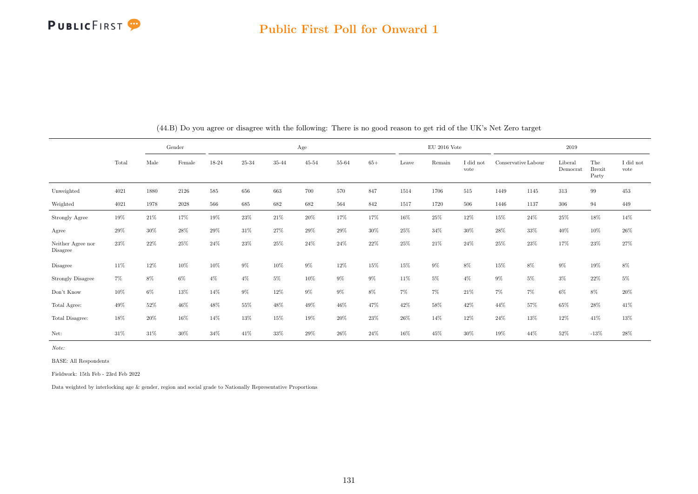

|                                     |        |        | Gender<br>Male<br>Female |       |        |        | Age       |       |        |        | $EU$ 2016 Vote |                   |       |                     | 2019                |                               |                   |
|-------------------------------------|--------|--------|--------------------------|-------|--------|--------|-----------|-------|--------|--------|----------------|-------------------|-------|---------------------|---------------------|-------------------------------|-------------------|
|                                     | Total  |        |                          | 18-24 | 25-34  | 35-44  | $45 - 54$ | 55-64 | $65+$  | Leave  | Remain         | I did not<br>vote |       | Conservative Labour | Liberal<br>Democrat | The<br><b>Brexit</b><br>Party | I did not<br>vote |
| Unweighted                          | 4021   | 1880   | 2126                     | 585   | 656    | 663    | 700       | 570   | 847    | 1514   | 1706           | 515               | 1449  | 1145                | 313                 | 99                            | 453               |
| Weighted                            | 4021   | 1978   | $2028\,$                 | 566   | 685    | 682    | 682       | 564   | 842    | 1517   | 1720           | 506               | 1446  | 1137                | $306\,$             | 94                            | 449               |
| Strongly Agree                      | 19%    | 21\%   | 17%                      | 19%   | $23\%$ | $21\%$ | $20\%$    | 17%   | 17%    | 16%    | 25%            | $12\%$            | 15%   | 24\%                | 25%                 | $18\%$                        | 14%               |
| Agree                               | 29%    | 30%    | 28%                      | 29%   | 31%    | 27%    | 29%       | 29%   | $30\%$ | $25\%$ | 34%            | 30%               | 28%   | 33%                 | 40%                 | 10%                           | $26\%$            |
| Neither Agree nor<br>Disagree       | 23%    | 22%    | 25%                      | 24%   | 23%    | 25%    | 24\%      | 24%   | 22%    | $25\%$ | 21\%           | 24\%              | 25%   | 23%                 | 17%                 | 23%                           | 27%               |
| Disagree                            | 11%    | 12%    | 10%                      | 10%   | $9\%$  | $10\%$ | $9\%$     | 12%   | 15%    | $15\%$ | $9\%$          | 8%                | 15%   | 8%                  | $9\%$               | 19%                           | $8\%$             |
| <b>Strongly Disagree</b>            | $7\%$  | 8%     | $6\%$                    | $4\%$ | $4\%$  | 5%     | 10%       | $9\%$ | $9\%$  | 11%    | $5\%$          | $4\%$             | $9\%$ | $5\%$               | $3\%$               | 22%                           | $5\%$             |
| $\mathrm{Don't}$<br>$\mathrm{Know}$ | $10\%$ | 6%     | 13%                      | 14%   | 9%     | $12\%$ | $9\%$     | $9\%$ | $8\%$  | $7\%$  | $7\%$          | 21\%              | $7\%$ | $7\%$               | $6\%$               | 8%                            | $20\%$            |
| Total Agree:                        | 49%    | 52%    | 46%                      | 48%   | 55%    | 48%    | 49%       | 46%   | 47%    | 42%    | 58%            | 42\%              | 44%   | 57%                 | 65%                 | 28%                           | 41\%              |
| Total Disagree:                     | 18%    | 20%    | 16%                      | 14%   | 13%    | 15%    | 19%       | 20%   | $23\%$ | $26\%$ | 14%            | 12%               | 24%   | 13%                 | 12%                 | 41\%                          | $13\%$            |
| Net:                                | 31\%   | $31\%$ | 30%                      | 34%   | 41\%   | 33%    | 29%       | 26%   | 24%    | 16%    | 45%            | $30\%$            | 19%   | 44%                 | 52%                 | $-13\%$                       | 28\%              |

(44.B) Do you agree or disagree with the following: There is no good reason to get rid of the UK's Net Zero target

Note:

BASE: All Respondents

Fieldwork: 15th Feb - 23rd Feb 2022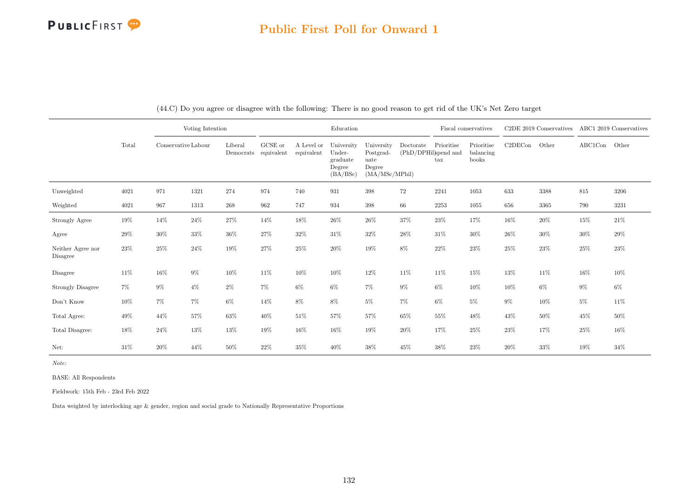### Public First Poll for Onward 1

|                               |        |                     | Voting Intention |                                 |         |                          | Education                                              |                                                             |                                   | Fiscal conservatives       |                                  |         | $C2DE$ 2019 Conservatives |               | ABC1 2019 Conservatives |
|-------------------------------|--------|---------------------|------------------|---------------------------------|---------|--------------------------|--------------------------------------------------------|-------------------------------------------------------------|-----------------------------------|----------------------------|----------------------------------|---------|---------------------------|---------------|-------------------------|
|                               | Total  | Conservative Labour |                  | Liberal<br>Democrats equivalent | GCSE or | A Level or<br>equivalent | University<br>Under-<br>graduate<br>Degree<br>(BA/BSc) | University<br>Postgrad-<br>uate<br>Degree<br>(MA/MSc/MPhil) | Doctorate<br>(PhD/DPHil)spend and | Prioritise<br>$\text{tax}$ | Prioritise<br>balancing<br>books | C2DECon | Other                     | ABC1Con Other |                         |
| Unweighted                    | 4021   | 971                 | 1321             | 274                             | 974     | 740                      | 931                                                    | $398\,$                                                     | 72                                | 2241                       | 1053                             | 633     | 3388                      | 815           | 3206                    |
| Weighted                      | 4021   | 967                 | 1313             | 268                             | 962     | 747                      | 934                                                    | $398\,$                                                     | 66                                | 2253                       | 1055                             | 656     | 3365                      | 790           | 3231                    |
| Strongly Agree                | $19\%$ | 14%                 | 24%              | $27\%$                          | 14%     | 18%                      | $26\%$                                                 | $26\%$                                                      | 37%                               | $23\%$                     | 17%                              | $16\%$  | $20\%$                    | $15\%$        | $21\%$                  |
| Agree                         | $29\%$ | $30\%$              | 33%              | $36\%$                          | 27%     | 32%                      | $31\%$                                                 | $32\%$                                                      | 28%                               | $31\%$                     | 30%                              | $26\%$  | $30\%$                    | 30%           | 29%                     |
| Neither Agree nor<br>Disagree | $23\%$ | $25\%$              | 24%              | 19%                             | 27%     | 25%                      | $20\%$                                                 | 19%                                                         | $8\%$                             | $22\%$                     | 23%                              | 25%     | 23\%                      | 25%           | $23\%$                  |
| Disagree                      | 11\%   | 16%                 | $9\%$            | 10%                             | 11%     | 10%                      | 10%                                                    | 12%                                                         | $11\%$                            | 11%                        | 15%                              | 13%     | 11%                       | 16%           | 10%                     |
| <b>Strongly Disagree</b>      | $7\%$  | $9\%$               | $4\%$            | $2\%$                           | 7%      | 6%                       | $6\%$                                                  | 7%                                                          | $9\%$                             | $6\%$                      | 10%                              | 10%     | $6\%$                     | $9\%$         | $6\%$                   |
| Don't Know                    | $10\%$ | $7\%$               | $7\%$            | $6\%$                           | 14%     | 8%                       | $8\%$                                                  | $5\%$                                                       | 7%                                | $6\%$                      | $5\%$                            | $9\%$   | 10%                       | $5\%$         | 11\%                    |
| Total Agree:                  | 49%    | 44%                 | 57%              | $63\%$                          | 40\%    | 51%                      | 57%                                                    | $57\%$                                                      | 65%                               | 55%                        | 48%                              | 43%     | $50\%$                    | 45%           | 50%                     |
| Total Disagree:               | 18%    | $24\%$              | 13%              | $13\%$                          | 19%     | 16%                      | $16\%$                                                 | 19%                                                         | $20\%$                            | 17%                        | 25%                              | $23\%$  | 17%                       | 25%           | 16%                     |
| Net:                          | $31\%$ | $20\%$              | 44%              | $50\%$                          | 22%     | 35%                      | 40%                                                    | 38%                                                         | 45%                               | 38%                        | 23%                              | 20%     | $33\%$                    | 19%           | 34%                     |

(44.C) Do you agree or disagree with the following: There is no good reason to get rid of the UK's Net Zero target

Note:

BASE: All Respondents

Fieldwork: 15th Feb - 23rd Feb 2022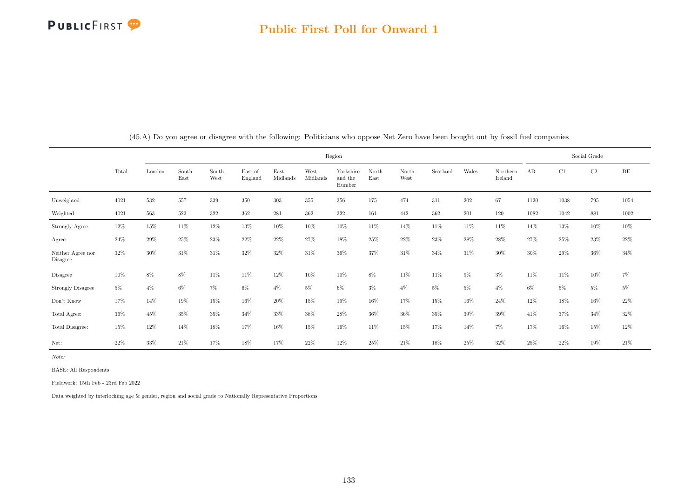|                               |        |        |               |               |                    |                  |                  | Region                         |               |               |          |       |                     |       |       | Social Grade |          |
|-------------------------------|--------|--------|---------------|---------------|--------------------|------------------|------------------|--------------------------------|---------------|---------------|----------|-------|---------------------|-------|-------|--------------|----------|
|                               | Total  | London | South<br>East | South<br>West | East of<br>England | East<br>Midlands | West<br>Midlands | Yorkshire<br>and the<br>Humber | North<br>East | North<br>West | Scotland | Wales | Northern<br>Ireland | AB    | C1    | C2           | DE       |
| Unweighted                    | 4021   | 532    | 557           | 339           | 350                | 303              | 355              | 356                            | 175           | 474           | 311      | 202   | 67                  | 1120  | 1038  | 795          | 1054     |
| Weighted                      | 4021   | 563    | 523           | 322           | 362                | 281              | 362              | 322                            | 161           | 442           | $362\,$  | 201   | 120                 | 1082  | 1042  | 881          | $1002\,$ |
| Strongly Agree                | 12%    | 15%    | 11%           | 12%           | 13%                | 10%              | 10%              | 10%                            | 11%           | 14%           | 11\%     | 11%   | 11\%                | 14%   | 13%   | 10%          | 10%      |
| Agree                         | 24\%   | 29%    | 25%           | 23%           | 22%                | 22%              | 27%              | 18%                            | 25%           | 22%           | 23%      | 28%   | 28\%                | 27%   | 25%   | 23%          | $22\%$   |
| Neither Agree nor<br>Disagree | 32%    | 30%    | 31\%          | 31%           | 32%                | 32%              | 31\%             | 36%                            | 37%           | 31%           | 34%      | 31\%  | $30\%$              | 30%   | 29%   | $36\%$       | 34\%     |
| Disagree                      | 10%    | 8%     | 8%            | 11%           | 11%                | 12%              | 10%              | 10%                            | $8\%$         | 11%           | 11%      | $9\%$ | $3\%$               | 11\%  | 11\%  | 10%          | 7%       |
| <b>Strongly Disagree</b>      | $5\%$  | $4\%$  | $6\%$         | 7%            | 6%                 | $4\%$            | 5%               | $6\%$                          | $3\%$         | $4\%$         | $5\%$    | $5\%$ | $4\%$               | $6\%$ | $5\%$ | $5\%$        | $5\%$    |
| Don't Know                    | 17%    | 14%    | 19%           | 15%           | 16%                | 20%              | 15%              | 19%                            | 16%           | 17%           | 15%      | 16%   | $24\%$              | 12%   | 18%   | 16%          | $22\%$   |
| Total Agree:                  | $36\%$ | 45%    | 35%           | 35%           | 34%                | 33%              | $38\%$           | $28\%$                         | $36\%$        | 36%           | 35%      | 39%   | 39%                 | 41\%  | 37%   | 34%          | $32\%$   |
| Total Disagree:               | 15%    | 12%    | 14%           | 18%           | 17%                | 16%              | 15%              | 16%                            | 11%           | 15%           | 17%      | 14%   | 7%                  | 17%   | 16%   | 15%          | $12\%$   |
| Net:                          | 22%    | 33%    | 21%           | 17%           | 18%                | 17%              | 22\%             | 12%                            | 25%           | 21%           | 18%      | 25%   | 32%                 | 25%   | 22%   | 19%          | 21%      |

(45.A) Do you agree or disagree with the following: Politicians who oppose Net Zero have been bought out by fossil fuel companies

Note:

BASE: All Respondents

Fieldwork: 15th Feb - 23rd Feb 2022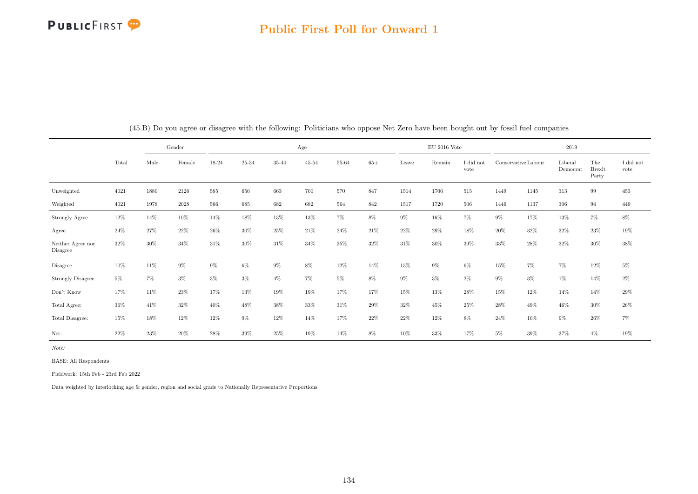

|                               |        |        | Gender |        |        |        | Age       |        |       |       | $EU$ 2016 Vote |                   |       |                     | 2019                |                               |                   |
|-------------------------------|--------|--------|--------|--------|--------|--------|-----------|--------|-------|-------|----------------|-------------------|-------|---------------------|---------------------|-------------------------------|-------------------|
|                               | Total  | Male   | Female | 18-24  | 25-34  | 35-44  | $45 - 54$ | 55-64  | $65+$ | Leave | Remain         | I did not<br>vote |       | Conservative Labour | Liberal<br>Democrat | The<br><b>Brexit</b><br>Party | I did not<br>vote |
| Unweighted                    | 4021   | 1880   | 2126   | 585    | 656    | 663    | 700       | 570    | 847   | 1514  | 1706           | 515               | 1449  | 1145                | 313                 | 99                            | 453               |
| Weighted                      | 4021   | 1978   | 2028   | 566    | 685    | 682    | 682       | 564    | 842   | 1517  | 1720           | 506               | 1446  | 1137                | 306                 | 94                            | 449               |
| Strongly Agree                | $12\%$ | 14%    | $10\%$ | 14%    | $18\%$ | $13\%$ | $13\%$    | $7\%$  | $8\%$ | $9\%$ | 16%            | $7\%$             | $9\%$ | 17%                 | $13\%$              | $7\%$                         | $8\%$             |
| Agree                         | 24\%   | 27%    | 22%    | $26\%$ | 30%    | 25%    | 21\%      | 24\%   | 21%   | 22%   | 29%            | 18%               | 20%   | 32%                 | 32%                 | 23%                           | $19\%$            |
| Neither Agree nor<br>Disagree | 32%    | $30\%$ | 34%    | 31%    | 30%    | 31\%   | 34\%      | 35%    | 32%   | 31%   | 30%            | 39%               | 33%   | 28%                 | 32%                 | $30\%$                        | 38%               |
| Disagree                      | 10%    | 11%    | $9\%$  | $9\%$  | $6\%$  | $9\%$  | $8\%$     | $12\%$ | 14%   | 13%   | $9\%$          | 6%                | 15%   | $7\%$               | $7\%$               | $12\%$                        | $5\%$             |
| <b>Strongly Disagree</b>      | $5\%$  | 7%     | 3%     | $3\%$  | $3\%$  | $4\%$  | 7%        | $5\%$  | 8%    | $9\%$ | $3\%$          | $2\%$             | $9\%$ | $3\%$               | $1\%$               | 14%                           | $2\%$             |
| Don't Know                    | 17%    | 11%    | 23%    | 17%    | 13%    | $19\%$ | $19\%$    | 17%    | 17%   | 15%   | 13%            | $28\%$            | 15%   | 12%                 | 14%                 | $14\%$                        | $29\%$            |
| Total Agree:                  | 36%    | 41\%   | 32%    | 40%    | 48%    | 38%    | $33\%$    | 31\%   | 29%   | 32%   | 45%            | 25%               | 28%   | 49%                 | 46%                 | $30\%$                        | $26\%$            |
| Total Disagree:               | 15%    | 18%    | 12%    | 12%    | $9\%$  | 12%    | 14%       | 17%    | 22%   | 22%   | 12%            | $8\%$             | 24%   | 10%                 | $9\%$               | 26%                           | 7%                |
| Net:                          | 22%    | $23\%$ | 20%    | 28%    | 39%    | 25%    | 19%       | 14%    | 8%    | 10%   | 33%            | 17%               | $5\%$ | 39%                 | 37%                 | $4\%$                         | 19%               |

(45.B) Do you agree or disagree with the following: Politicians who oppose Net Zero have been bought out by fossil fuel companies

Note:

BASE: All Respondents

Fieldwork: 15th Feb - 23rd Feb 2022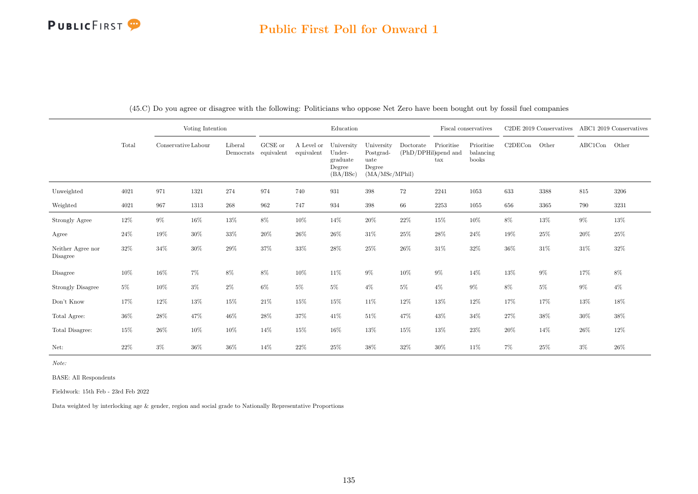### Public First Poll for Onward 1

|                               |        |                     | Voting Intention |                      |                       |                          | Education                                              |                                                             |                                   | Fiscal conservatives       |                                  |         | C <sub>2</sub> DE 2019 Conservatives |               | ABC1 2019 Conservatives |
|-------------------------------|--------|---------------------|------------------|----------------------|-----------------------|--------------------------|--------------------------------------------------------|-------------------------------------------------------------|-----------------------------------|----------------------------|----------------------------------|---------|--------------------------------------|---------------|-------------------------|
|                               | Total  | Conservative Labour |                  | Liberal<br>Democrats | GCSE or<br>equivalent | A Level or<br>equivalent | University<br>Under-<br>graduate<br>Degree<br>(BA/BSc) | University<br>Postgrad-<br>uate<br>Degree<br>(MA/MSc/MPhil) | Doctorate<br>(PhD/DPHil)spend and | Prioritise<br>$\text{tax}$ | Prioritise<br>balancing<br>books | C2DECon | Other                                | ABC1Con Other |                         |
| Unweighted                    | 4021   | 971                 | 1321             | 274                  | 974                   | 740                      | 931                                                    | 398                                                         | $72\,$                            | 2241                       | 1053                             | 633     | 3388                                 | 815           | 3206                    |
| Weighted                      | 4021   | 967                 | 1313             | $268\,$              | 962                   | 747                      | 934                                                    | 398                                                         | 66                                | $2253\,$                   | 1055                             | 656     | 3365                                 | 790           | 3231                    |
| Strongly Agree                | $12\%$ | $9\%$               | $16\%$           | $13\%$               | $8\%$                 | $10\%$                   | 14%                                                    | $20\%$                                                      | $22\%$                            | $15\%$                     | $10\%$                           | $8\%$   | $13\%$                               | $9\%$         | $13\%$                  |
| Agree                         | $24\%$ | $19\%$              | $30\%$           | $33\%$               | $20\%$                | $26\%$                   | $26\%$                                                 | $31\%$                                                      | 25%                               | $28\%$                     | 24\%                             | 19%     | 25%                                  | $20\%$        | 25%                     |
| Neither Agree nor<br>Disagree | 32%    | $34\%$              | $30\%$           | $29\%$               | 37%                   | $33\%$                   | $28\%$                                                 | $25\%$                                                      | 26%                               | $31\%$                     | 32%                              | 36%     | $31\%$                               | 31\%          | $32\%$                  |
| Disagree                      | $10\%$ | $16\%$              | $7\%$            | $8\%$                | $8\%$                 | 10%                      | $11\%$                                                 | $9\%$                                                       | 10%                               | $9\%$                      | 14%                              | 13%     | $9\%$                                | 17%           | $8\%$                   |
| <b>Strongly Disagree</b>      | 5%     | 10%                 | $3\%$            | $2\%$                | $6\%$                 | $5\%$                    | $5\%$                                                  | $4\%$                                                       | $5\%$                             | $4\%$                      | $9\%$                            | 8%      | $5\%$                                | $9\%$         | $4\%$                   |
| Don't Know                    | 17%    | 12%                 | 13%              | $15\%$               | $21\%$                | 15%                      | $15\%$                                                 | $11\%$                                                      | 12%                               | $13\%$                     | 12%                              | 17%     | 17%                                  | 13%           | $18\%$                  |
| Total Agree:                  | 36%    | 28%                 | 47%              | 46%                  | 28\%                  | 37%                      | 41\%                                                   | $51\%$                                                      | 47%                               | 43%                        | 34%                              | 27%     | $38\%$                               | 30%           | 38%                     |
| Total Disagree:               | 15%    | $26\%$              | $10\%$           | $10\%$               | 14%                   | 15%                      | $16\%$                                                 | $13\%$                                                      | 15%                               | 13%                        | 23%                              | 20%     | 14%                                  | 26\%          | 12%                     |
| Net:                          | 22%    | $3\%$               | 36%              | 36%                  | 14%                   | 22\%                     | 25%                                                    | 38%                                                         | 32%                               | $30\%$                     | 11\%                             | 7%      | 25%                                  | $3\%$         | 26%                     |

(45.C) Do you agree or disagree with the following: Politicians who oppose Net Zero have been bought out by fossil fuel companies

Note:

BASE: All Respondents

Fieldwork: 15th Feb - 23rd Feb 2022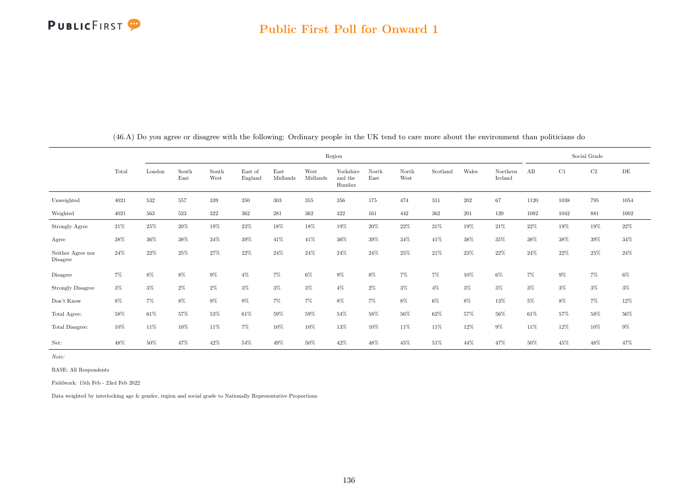|                                     |       |        |               |               |                    |                  |                  | Region                         |               |               |          |         |                     |       |       | Social Grade |           |
|-------------------------------------|-------|--------|---------------|---------------|--------------------|------------------|------------------|--------------------------------|---------------|---------------|----------|---------|---------------------|-------|-------|--------------|-----------|
|                                     | Total | London | South<br>East | South<br>West | East of<br>England | East<br>Midlands | West<br>Midlands | Yorkshire<br>and the<br>Humber | North<br>East | North<br>West | Scotland | Wales   | Northern<br>Ireland | AB    | C1    | $\rm{C2}$    | $\rm{DE}$ |
| Unweighted                          | 4021  | 532    | 557           | 339           | 350                | 303              | 355              | 356                            | 175           | 474           | 311      | $202\,$ | 67                  | 1120  | 1038  | 795          | 1054      |
| Weighted                            | 4021  | 563    | 523           | 322           | 362                | 281              | 362              | 322                            | 161           | 442           | 362      | 201     | 120                 | 1082  | 1042  | 881          | 1002      |
| Strongly Agree                      | 21\%  | 25%    | 20%           | 19%           | 23%                | 18%              | 18%              | 19%                            | 20%           | $22\%$        | 21\%     | 19%     | 21%                 | 22\%  | 19%   | $19\%$       | 22%       |
| Agree                               | 38%   | 36%    | 38%           | 34%           | 39%                | 41\%             | 41\%             | 36%                            | 39%           | 34%           | 41\%     | 38%     | $35\%$              | 38%   | 38%   | $39\%$       | $34\%$    |
| Neither Agree nor<br>Disagree       | 24\%  | 22%    | 25%           | 27%           | 22%                | 24\%             | 24%              | 24\%                           | 24%           | 25%           | 21%      | 23%     | 22%                 | 24%   | 22%   | $25\%$       | 24\%      |
| Disagree                            | 7%    | 8%     | 8%            | $9\%$         | $4\%$              | 7%               | $6\%$            | $9\%$                          | 8%            | $7\%$         | 7%       | 10%     | $6\%$               | 7%    | $9\%$ | 7%           | $6\%$     |
| <b>Strongly Disagree</b>            | $3\%$ | $3\%$  | $2\%$         | $2\%$         | $3\%$              | $3\%$            | $3\%$            | $4\%$                          | $2\%$         | $3\%$         | $4\%$    | $3\%$   | $3\%$               | $3\%$ | $3\%$ | $3\%$        | $3\%$     |
| $\mathrm{Don't}$<br>$\mathrm{Know}$ | $8\%$ | $7\%$  | $8\%$         | $9\%$         | $9\%$              | $7\%$            | $7\%$            | $8\%$                          | $7\%$         | $8\%$         | $6\%$    | $8\%$   | 13%                 | $5\%$ | 8%    | $7\%$        | $12\%$    |
| Total Agree:                        | 58%   | 61\%   | 57%           | 53%           | 61%                | 59%              | 59%              | 54%                            | 58%           | 56%           | 62%      | 57%     | 56%                 | 61\%  | 57%   | 58%          | $56\%$    |
| Total Disagree:                     | 10%   | 11\%   | 10%           | 11%           | 7%                 | 10%              | 10%              | 13%                            | 10%           | 11%           | 11%      | 12%     | $9\%$               | 11\%  | 12%   | 10%          | $9\%$     |
| Net:                                | 48%   | 50%    | 47%           | 42%           | 54%                | 49%              | 50%              | 42\%                           | 48%           | 45%           | 51%      | 44%     | 47%                 | 50%   | 45%   | 48%          | 47%       |

(46.A) Do you agree or disagree with the following: Ordinary people in the UK tend to care more about the environment than politicians do

Note:

BASE: All Respondents

Fieldwork: 15th Feb - 23rd Feb 2022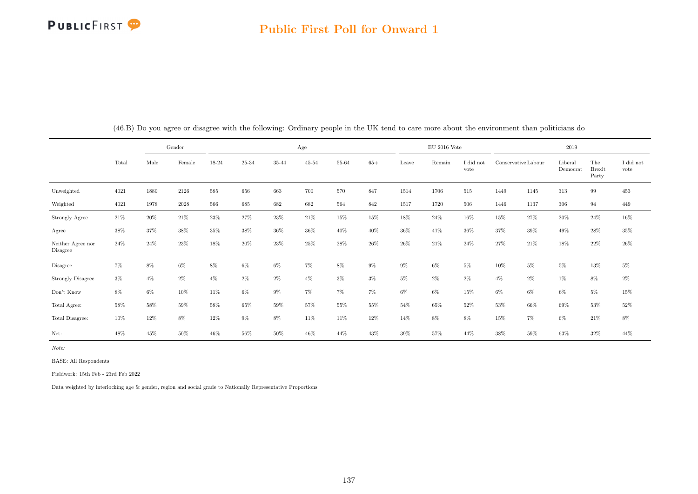#### Public First Poll for Onward 1

|                                     |        |        | Gender |        |        |        | Age       |       |       |        | $EU$ 2016 Vote |                   |        |                     | 2019                |                               |                   |
|-------------------------------------|--------|--------|--------|--------|--------|--------|-----------|-------|-------|--------|----------------|-------------------|--------|---------------------|---------------------|-------------------------------|-------------------|
|                                     | Total  | Male   | Female | 18-24  | 25-34  | 35-44  | $45 - 54$ | 55-64 | $65+$ | Leave  | Remain         | I did not<br>vote |        | Conservative Labour | Liberal<br>Democrat | The<br><b>Brexit</b><br>Party | I did not<br>vote |
| Unweighted                          | 4021   | 1880   | 2126   | 585    | 656    | 663    | 700       | 570   | 847   | 1514   | 1706           | 515               | 1449   | 1145                | 313                 | 99                            | 453               |
| Weighted                            | 4021   | 1978   | 2028   | 566    | 685    | 682    | 682       | 564   | 842   | 1517   | 1720           | 506               | 1446   | 1137                | 306                 | 94                            | 449               |
| Strongly Agree                      | $21\%$ | $20\%$ | $21\%$ | $23\%$ | $27\%$ | $23\%$ | $21\%$    | 15%   | 15%   | $18\%$ | $24\%$         | 16%               | 15%    | $27\%$              | $20\%$              | $24\%$                        | $16\%$            |
| Agree                               | 38%    | 37%    | 38%    | $35\%$ | 38%    | $36\%$ | 36%       | 40%   | 40%   | $36\%$ | 41\%           | 36%               | 37%    | 39%                 | 49%                 | 28%                           | $35\%$            |
| Neither Agree nor<br>Disagree       | 24%    | 24%    | 23%    | 18%    | 20%    | 23%    | 25%       | 28%   | 26%   | $26\%$ | 21\%           | 24\%              | 27%    | 21\%                | 18%                 | 22%                           | $26\%$            |
| Disagree                            | 7%     | $8\%$  | $6\%$  | $8\%$  | $6\%$  | $6\%$  | $7\%$     | 8%    | $9\%$ | $9\%$  | 6%             | $5\%$             | 10%    | $5\%$               | $5\%$               | 13%                           | $5\%$             |
| Strongly Disagree                   | $3\%$  | $4\%$  | $2\%$  | $4\%$  | $2\%$  | $2\%$  | $4\%$     | $3\%$ | $3\%$ | $5\%$  | $2\%$          | $2\%$             | $4\%$  | $2\%$               | $1\%$               | 8%                            | $2\%$             |
| $\mathrm{Don't}$<br>$\mathrm{Know}$ | $8\%$  | 6%     | 10%    | 11\%   | $6\%$  | $9\%$  | $7\%$     | $7\%$ | $7\%$ | $6\%$  | $6\%$          | 15%               | $6\%$  | $6\%$               | $6\%$               | $5\%$                         | $15\%$            |
| Total Agree:                        | 58%    | 58%    | 59%    | 58%    | 65%    | 59%    | 57%       | 55%   | 55%   | 54%    | 65%            | 52%               | $53\%$ | 66%                 | 69%                 | 53%                           | $52\%$            |
| Total Disagree:                     | 10%    | 12%    | 8%     | 12%    | $9\%$  | $8\%$  | 11\%      | 11\%  | 12%   | 14%    | 8%             | $8\%$             | 15%    | $7\%$               | $6\%$               | 21\%                          | $8\%$             |
| Net:                                | 48%    | 45%    | 50%    | 46%    | 56%    | $50\%$ | 46%       | 44%   | 43%   | $39\%$ | 57%            | 44%               | 38%    | 59%                 | $63\%$              | 32%                           | 44%               |

(46.B) Do you agree or disagree with the following: Ordinary people in the UK tend to care more about the environment than politicians do

Note:

BASE: All Respondents

Fieldwork: 15th Feb - 23rd Feb 2022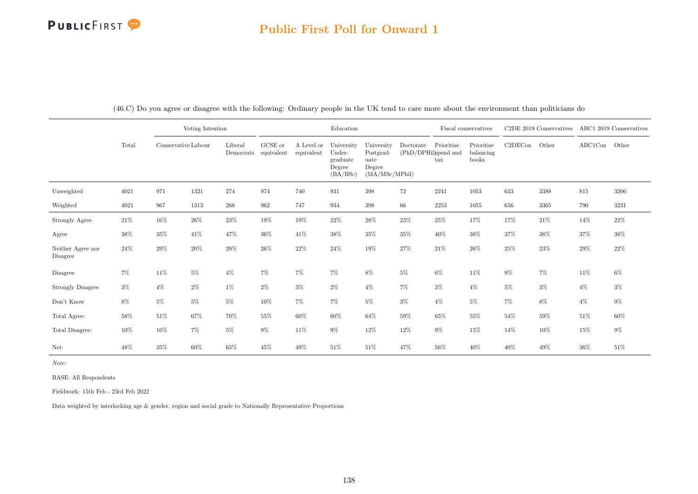### Public First Poll for Onward 1

|                               |        |                     | Voting Intention |                      |                       |                          | Education                                              |                                                             |                                   |                            | Fiscal conservatives             |         | C2DE 2019 Conservatives ABC1 2019 Conservatives |               |        |
|-------------------------------|--------|---------------------|------------------|----------------------|-----------------------|--------------------------|--------------------------------------------------------|-------------------------------------------------------------|-----------------------------------|----------------------------|----------------------------------|---------|-------------------------------------------------|---------------|--------|
|                               | Total  | Conservative Labour |                  | Liberal<br>Democrats | GCSE or<br>equivalent | A Level or<br>equivalent | University<br>Under-<br>graduate<br>Degree<br>(BA/BSc) | University<br>Postgrad-<br>uate<br>Degree<br>(MA/MSc/MPhil) | Doctorate<br>(PhD/DPHil)spend and | Prioritise<br>$\text{tax}$ | Prioritise<br>balancing<br>books | C2DECon | Other                                           | ABC1Con Other |        |
| Unweighted                    | 4021   | 971                 | 1321             | 274                  | 974                   | 740                      | 931                                                    | 398                                                         | 72                                | 2241                       | 1053                             | 633     | 3388                                            | 815           | 3206   |
| Weighted                      | 4021   | 967                 | 1313             | 268                  | 962                   | 747                      | 934                                                    | $398\,$                                                     | 66                                | 2253                       | 1055                             | 656     | 3365                                            | 790           | 3231   |
| Strongly Agree                | $21\%$ | 16%                 | $26\%$           | $23\%$               | 19%                   | 19%                      | $22\%$                                                 | $28\%$                                                      | $23\%$                            | 25%                        | 17%                              | 17%     | $21\%$                                          | 14%           | $22\%$ |
| Agree                         | $38\%$ | 35%                 | 41\%             | 47%                  | $36\%$                | 41\%                     | 38%                                                    | $35\%$                                                      | 35%                               | 40%                        | 38%                              | 37%     | 38%                                             | $37\%$        | 38%    |
| Neither Agree nor<br>Disagree | 24%    | $29\%$              | $20\%$           | $20\%$               | $26\%$                | 22%                      | $24\%$                                                 | $19\%$                                                      | $27\%$                            | 21\%                       | 26\%                             | 25%     | 23\%                                            | 29%           | 22%    |
| Disagree                      | 7%     | 11%                 | $5\%$            | $4\%$                | $7\%$                 | 7%                       | 7%                                                     | $8\%$                                                       | $5\%$                             | $6\%$                      | 11%                              | $9\%$   | $7\%$                                           | 11%           | 6%     |
| <b>Strongly Disagree</b>      | $3\%$  | $4\%$               | $2\%$            | 1%                   | $2\%$                 | $3\%$                    | $2\%$                                                  | $4\%$                                                       | $7\%$                             | $3\%$                      | $4\%$                            | $5\%$   | $3\%$                                           | $4\%$         | $3\%$  |
| Don't Know                    | $8\%$  | $5\%$               | $5\%$            | $5\%$                | 10%                   | 7%                       | 7%                                                     | $5\%$                                                       | $3\%$                             | $4\%$                      | $5\%$                            | 7%      | $8\%$                                           | $4\%$         | $9\%$  |
| Total Agree:                  | $58\%$ | $51\%$              | 67%              | $70\%$               | 55%                   | 60%                      | $60\%$                                                 | 64%                                                         | 59%                               | $65\%$                     | 55%                              | $54\%$  | $59\%$                                          | $51\%$        | 60%    |
| Total Disagree:               | 10%    | 16%                 | $7\%$            | $5\%$                | $9\%$                 | 11%                      | $9\%$                                                  | 12%                                                         | 12%                               | $9\%$                      | 15%                              | 14%     | $10\%$                                          | 15%           | $9\%$  |
| Net:                          | 48%    | 35%                 | 60%              | 65%                  | 45%                   | 49%                      | $51\%$                                                 | 51\%                                                        | 47%                               | 56%                        | 40%                              | 40%     | 49%                                             | 36%           | 51%    |

(46.C) Do you agree or disagree with the following: Ordinary people in the UK tend to care more about the environment than politicians do

Note:

BASE: All Respondents

Fieldwork: 15th Feb - 23rd Feb 2022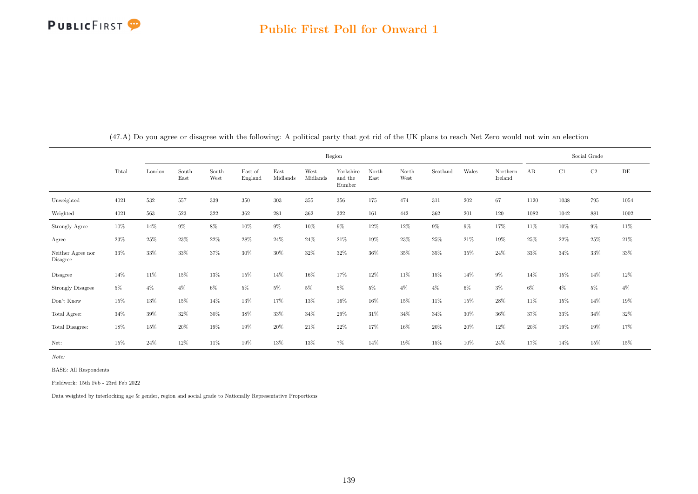|                               |       |        |               |               |                    |                  |                  | Region                         |               |               |          |         |                     |        |       | Social Grade |           |
|-------------------------------|-------|--------|---------------|---------------|--------------------|------------------|------------------|--------------------------------|---------------|---------------|----------|---------|---------------------|--------|-------|--------------|-----------|
|                               | Total | London | South<br>East | South<br>West | East of<br>England | East<br>Midlands | West<br>Midlands | Yorkshire<br>and the<br>Humber | North<br>East | North<br>West | Scotland | Wales   | Northern<br>Ireland | AB     | C1    | $\rm C2$     | $\rm{DE}$ |
| Unweighted                    | 4021  | 532    | 557           | 339           | 350                | $303\,$          | $355\,$          | 356                            | 175           | 474           | 311      | $202\,$ | 67                  | 1120   | 1038  | 795          | 1054      |
| Weighted                      | 4021  | 563    | 523           | 322           | 362                | $\bf 281$        | 362              | 322                            | 161           | 442           | 362      | $201\,$ | 120                 | 1082   | 1042  | 881          | 1002      |
| Strongly Agree                | 10%   | 14%    | $9\%$         | 8%            | 10%                | $9\%$            | 10%              | $9\%$                          | 12%           | 12%           | 9%       | $9\%$   | 17%                 | 11\%   | 10%   | 9%           | 11%       |
| Agree                         | 23%   | 25%    | 23%           | 22%           | 28%                | 24\%             | 24%              | 21%                            | 19%           | 23%           | 25%      | 21%     | 19%                 | 25%    | 22%   | $25\%$       | 21%       |
| Neither Agree nor<br>Disagree | 33%   | 33%    | 33%           | 37%           | 30%                | 30%              | 32%              | 32%                            | 36%           | 35%           | $35\%$   | $35\%$  | 24%                 | $33\%$ | 34%   | 33%          | 33%       |
| Disagree                      | 14%   | $11\%$ | $15\%$        | 13%           | 15%                | 14%              | 16%              | 17%                            | 12%           | 11%           | 15%      | 14%     | $9\%$               | 14%    | 15%   | 14%          | $12\%$    |
| Strongly Disagree             | $5\%$ | $4\%$  | $4\%$         | $6\%$         | $5\%$              | $5\%$            | $5\%$            | $5\%$                          | $5\%$         | $4\%$         | $4\%$    | $6\%$   | $3\%$               | $6\%$  | $4\%$ | $5\%$        | $4\%$     |
| Don't Know                    | 15%   | 13%    | $15\%$        | 14%           | 13%                | 17%              | 13%              | 16%                            | 16%           | 15%           | 11%      | 15%     | 28%                 | 11%    | 15%   | 14%          | $19\%$    |
| Total Agree:                  | 34%   | 39%    | 32%           | 30%           | 38%                | 33%              | 34%              | 29%                            | 31\%          | 34%           | 34%      | $30\%$  | $36\%$              | 37%    | 33%   | 34%          | 32%       |
| Total Disagree:               | 18%   | 15%    | 20%           | 19%           | 19%                | $20\%$           | 21%              | 22%                            | 17%           | 16%           | 20%      | $20\%$  | 12%                 | $20\%$ | 19%   | 19%          | $17\%$    |
| Net:                          | 15%   | 24\%   | 12%           | 11%           | 19%                | 13%              | 13%              | $7\%$                          | 14%           | 19%           | 15%      | 10%     | 24%                 | 17%    | 14%   | 15%          | 15%       |

(47.A) Do you agree or disagree with the following: A political party that got rid of the UK plans to reach Net Zero would not win an election

Note:

BASE: All Respondents

Fieldwork: 15th Feb - 23rd Feb 2022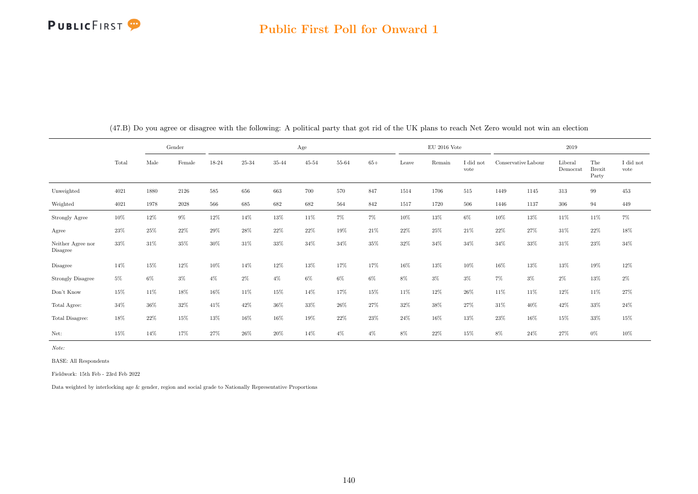#### Public First Poll for Onward 1

|                                     |        |        | Gender |       |        |        | Age       |       |       |        | $EU$ 2016 Vote |                   |                     |        | 2019                |                               |                               |
|-------------------------------------|--------|--------|--------|-------|--------|--------|-----------|-------|-------|--------|----------------|-------------------|---------------------|--------|---------------------|-------------------------------|-------------------------------|
|                                     | Total  | Male   | Female | 18-24 | 25-34  | 35-44  | $45 - 54$ | 55-64 | $65+$ | Leave  | Remain         | I did not<br>vote | Conservative Labour |        | Liberal<br>Democrat | The<br><b>Brexit</b><br>Party | $\rm I$ did $\rm not$<br>vote |
| Unweighted                          | 4021   | 1880   | 2126   | 585   | 656    | 663    | 700       | 570   | 847   | 1514   | 1706           | 515               | 1449                | 1145   | 313                 | 99                            | 453                           |
| Weighted                            | 4021   | 1978   | 2028   | 566   | 685    | 682    | 682       | 564   | 842   | 1517   | 1720           | 506               | 1446                | 1137   | 306                 | 94                            | 449                           |
| <b>Strongly Agree</b>               | 10%    | 12%    | $9\%$  | 12%   | 14%    | $13\%$ | 11%       | $7\%$ | $7\%$ | 10%    | 13%            | $6\%$             | $10\%$              | $13\%$ | 11\%                | 11%                           | 7%                            |
| Agree                               | 23%    | 25%    | 22%    | 29%   | $28\%$ | 22\%   | 22%       | 19%   | 21\%  | $22\%$ | 25%            | 21\%              | 22\%                | 27%    | 31\%                | 22%                           | $18\%$                        |
| Neither Agree nor<br>Disagree       | 33%    | 31%    | 35%    | 30%   | 31\%   | 33%    | 34%       | 34%   | 35%   | 32%    | 34%            | 34%               | 34%                 | 33%    | 31\%                | 23%                           | 34%                           |
| Disagree                            | 14%    | 15%    | 12%    | 10%   | 14%    | $12\%$ | 13%       | 17%   | 17%   | 16%    | 13%            | 10%               | 16%                 | 13%    | 13%                 | 19%                           | $12\%$                        |
| Strongly Disagree                   | $5\%$  | 6%     | $3\%$  | $4\%$ | $2\%$  | $4\%$  | 6%        | $6\%$ | $6\%$ | 8%     | $3\%$          | $3\%$             | 7%                  | $3\%$  | $2\%$               | 13%                           | $2\%$                         |
| $\mathrm{Don't}$<br>$\mathrm{Know}$ | 15%    | 11\%   | 18%    | 16%   | 11\%   | 15%    | 14%       | 17%   | 15%   | 11%    | 12%            | 26%               | 11\%                | 11\%   | 12%                 | 11%                           | $27\%$                        |
| Total Agree:                        | $34\%$ | $36\%$ | $32\%$ | 41\%  | $42\%$ | $36\%$ | 33%       | 26%   | 27%   | $32\%$ | $38\%$         | 27%               | 31\%                | 40%    | 42\%                | 33%                           | $24\%$                        |
| Total Disagree:                     | 18%    | 22%    | 15%    | 13%   | 16%    | 16%    | 19%       | 22%   | 23%   | 24%    | 16%            | 13%               | 23%                 | 16%    | 15%                 | 33%                           | $15\%$                        |
| Net:                                | 15%    | 14%    | 17%    | 27%   | 26\%   | 20%    | 14%       | $4\%$ | $4\%$ | 8%     | 22%            | 15%               | 8%                  | 24\%   | 27%                 | $0\%$                         | 10%                           |

(47.B) Do you agree or disagree with the following: A political party that got rid of the UK plans to reach Net Zero would not win an election

Note:

BASE: All Respondents

Fieldwork: 15th Feb - 23rd Feb 2022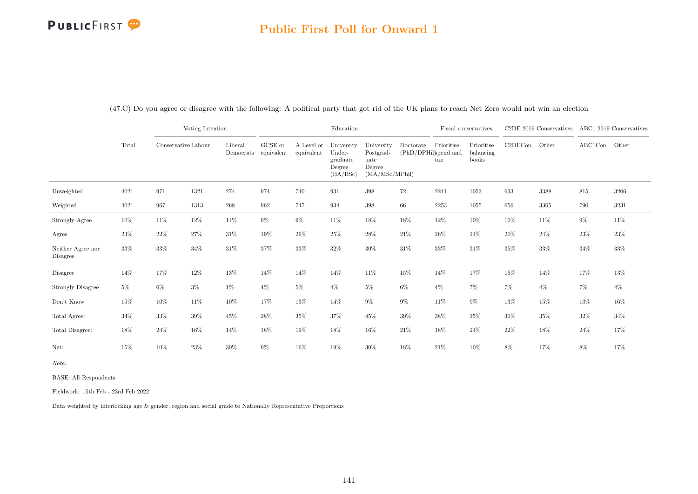|                               |        |        | Voting Intention    |                      |                       |                          | Education                                              |                                                             |           |                                                            | Fiscal conservatives             |         | C2DE 2019 Conservatives |         | ABC1 2019 Conservatives |
|-------------------------------|--------|--------|---------------------|----------------------|-----------------------|--------------------------|--------------------------------------------------------|-------------------------------------------------------------|-----------|------------------------------------------------------------|----------------------------------|---------|-------------------------|---------|-------------------------|
|                               | Total  |        | Conservative Labour | Liberal<br>Democrats | GCSE or<br>equivalent | A Level or<br>equivalent | University<br>Under-<br>graduate<br>Degree<br>(BA/BSc) | University<br>Postgrad-<br>uate<br>Degree<br>(MA/MSc/MPhil) | Doctorate | Prioritise<br>(PhD/DPHil)spend and<br>$\operatorname{tax}$ | Prioritise<br>balancing<br>books | C2DECon | Other                   | ABC1Con | Other                   |
| Unweighted                    | 4021   | 971    | 1321                | 274                  | 974                   | 740                      | 931                                                    | 398                                                         | 72        | 2241                                                       | 1053                             | 633     | 3388                    | 815     | 3206                    |
| Weighted                      | 4021   | 967    | 1313                | 268                  | 962                   | 747                      | 934                                                    | 398                                                         | 66        | 2253                                                       | 1055                             | 656     | $3365\,$                | 790     | 3231                    |
| Strongly Agree                | $10\%$ | 11%    | 12%                 | 14%                  | $9\%$                 | $9\%$                    | 11%                                                    | $18\%$                                                      | $18\%$    | 12%                                                        | 10%                              | 10%     | $11\%$                  | $9\%$   | $11\%$                  |
| Agree                         | 23\%   | $22\%$ | 27%                 | $31\%$               | 19%                   | $26\%$                   | $25\%$                                                 | $28\%$                                                      | $21\%$    | 26%                                                        | $24\%$                           | 20%     | $24\%$                  | 23%     | 23%                     |
| Neither Agree nor<br>Disagree | $33\%$ | $33\%$ | 34%                 | $31\%$               | 37%                   | 33%                      | $32\%$                                                 | $30\%$                                                      | $31\%$    | 33%                                                        | 31%                              | 35%     | $33\%$                  | $34\%$  | $33\%$                  |
| Disagree                      | 14%    | 17%    | 12%                 | 13%                  | 14%                   | 14%                      | 14%                                                    | 11%                                                         | $15\%$    | 14%                                                        | 17%                              | 15%     | 14%                     | 17%     | 13%                     |
| <b>Strongly Disagree</b>      | $5\%$  | $6\%$  | $3\%$               | $1\%$                | $4\%$                 | $5\%$                    | $4\%$                                                  | $5\%$                                                       | $6\%$     | $4\%$                                                      | $7\%$                            | 7%      | $4\%$                   | $7\%$   | $4\%$                   |
| Don't Know                    | 15%    | 10%    | 11%                 | 10%                  | 17%                   | 13%                      | 14%                                                    | $9\%$                                                       | $9\%$     | $11\%$                                                     | $9\%$                            | 13%     | $15\%$                  | 10%     | 16%                     |
| Total Agree:                  | 34%    | 33%    | $39\%$              | $45\%$               | 28%                   | 35%                      | 37%                                                    | $45\%$                                                      | $39\%$    | 38%                                                        | 35%                              | 30%     | $35\%$                  | 32%     | 34%                     |
| Total Disagree:               | $18\%$ | 24%    | 16%                 | 14%                  | 18%                   | 19%                      | 18%                                                    | 16%                                                         | $21\%$    | 18%                                                        | 24%                              | 22%     | 18%                     | 24%     | 17%                     |
| Net:                          | 15%    | $10\%$ | $23\%$              | $30\%$               | $9\%$                 | 16%                      | 19%                                                    | 30%                                                         | $18\%$    | 21%                                                        | 10%                              | 8%      | 17%                     | 8%      | 17%                     |

(47.C) Do you agree or disagree with the following: A political party that got rid of the UK plans to reach Net Zero would not win an election

Note:

BASE: All Respondents

Fieldwork: 15th Feb - 23rd Feb 2022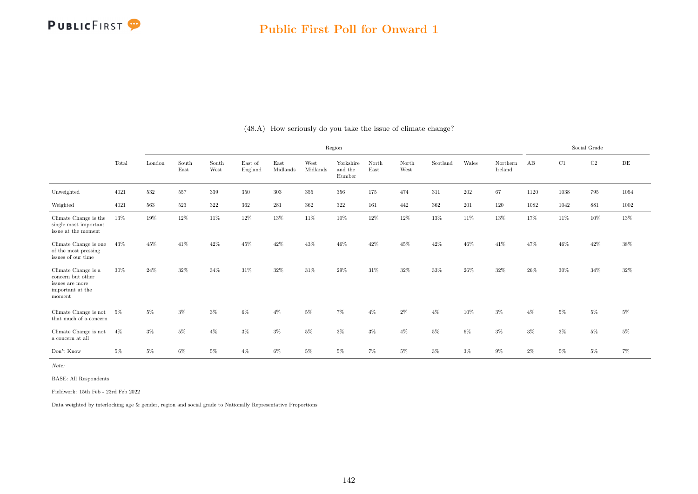|                                                                                           |        |        |               |               |                    |                  |                  | Region                         |               |               |          |         |                     |       |          | Social Grade |           |
|-------------------------------------------------------------------------------------------|--------|--------|---------------|---------------|--------------------|------------------|------------------|--------------------------------|---------------|---------------|----------|---------|---------------------|-------|----------|--------------|-----------|
|                                                                                           | Total  | London | South<br>East | South<br>West | East of<br>England | East<br>Midlands | West<br>Midlands | Yorkshire<br>and the<br>Humber | North<br>East | North<br>West | Scotland | Wales   | Northern<br>Ireland | AB    | C1       | $\rm{C2}$    | $\rm{DE}$ |
| Unweighted                                                                                | 4021   | 532    | 557           | 339           | $350\,$            | 303              | 355              | 356                            | 175           | 474           | 311      | $202\,$ | 67                  | 1120  | $1038\,$ | 795          | 1054      |
| Weighted                                                                                  | 4021   | 563    | $523\,$       | $322\,$       | 362                | 281              | 362              | $322\,$                        | 161           | 442           | 362      | 201     | 120                 | 1082  | 1042     | 881          | 1002      |
| Climate Change is the<br>single most important<br>issue at the moment                     | 13%    | 19%    | 12%           | 11%           | 12%                | 13%              | 11%              | 10%                            | 12%           | 12%           | 13%      | 11\%    | 13%                 | 17%   | 11%      | 10%          | 13%       |
| Climate Change is one<br>of the most pressing<br>issues of our time                       | 43%    | 45%    | 41\%          | 42\%          | 45%                | 42%              | 43%              | 46%                            | 42%           | 45%           | 42%      | 46%     | 41\%                | 47%   | 46%      | 42%          | $38\%$    |
| Climate Change is a<br>concern but other<br>issues are more<br>important at the<br>moment | $30\%$ | 24%    | 32%           | 34%           | 31\%               | 32%              | 31%              | 29%                            | 31%           | 32%           | 33%      | 26%     | 32%                 | 26%   | 30%      | 34%          | $32\%$    |
| Climate Change is not<br>that much of a concern                                           | 5%     | $5\%$  | $3\%$         | 3%            | 6%                 | $4\%$            | $5\%$            | $7\%$                          | $4\%$         | $2\%$         | $4\%$    | 10%     | 3%                  | $4\%$ | $5\%$    | $5\%$        | $5\%$     |
| Climate Change is not<br>a concern at all                                                 | $4\%$  | $3\%$  | $5\%$         | $4\%$         | $3\%$              | $3\%$            | $5\%$            | $3\%$                          | $3\%$         | $4\%$         | $5\%$    | $6\%$   | $3\%$               | $3\%$ | $3\%$    | $5\%$        | $5\%$     |
| Don't Know                                                                                | 5%     | $5\%$  | 6%            | 5%            | $4\%$              | 6%               | $5\%$            | $5\%$                          | 7%            | $5\%$         | $3\%$    | $3\%$   | 9%                  | $2\%$ | $5\%$    | $5\%$        | 7%        |

|  |  | (48.A) How seriously do you take the issue of climate change? |  |  |  |  |  |  |  |  |
|--|--|---------------------------------------------------------------|--|--|--|--|--|--|--|--|
|--|--|---------------------------------------------------------------|--|--|--|--|--|--|--|--|

Note:

BASE: All Respondents

Fieldwork: 15th Feb - 23rd Feb 2022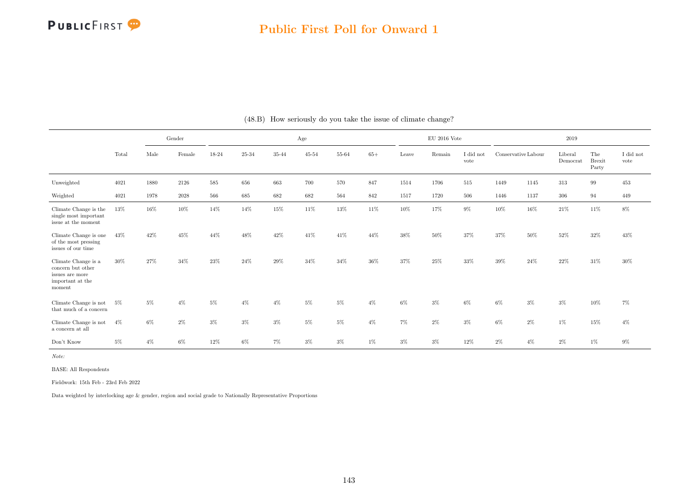|                                                                                           |       | Gender |                     | Age   |       |       |           |       |       | $EU$ 2016 Vote |        |                   | 2019                |       |                     |                               |                   |
|-------------------------------------------------------------------------------------------|-------|--------|---------------------|-------|-------|-------|-----------|-------|-------|----------------|--------|-------------------|---------------------|-------|---------------------|-------------------------------|-------------------|
|                                                                                           | Total | Male   | Female              | 18-24 | 25-34 | 35-44 | $45 - 54$ | 55-64 | $65+$ | Leave          | Remain | I did not<br>vote | Conservative Labour |       | Liberal<br>Democrat | The<br><b>Brexit</b><br>Party | I did not<br>vote |
| Unweighted                                                                                | 4021  | 1880   | 2126                | 585   | 656   | 663   | 700       | 570   | 847   | 1514           | 1706   | 515               | 1449                | 1145  | 313                 | 99                            | 453               |
| Weighted                                                                                  | 4021  | 1978   | $\boldsymbol{2028}$ | 566   | 685   | 682   | 682       | 564   | 842   | 1517           | 1720   | 506               | 1446                | 1137  | 306                 | 94                            | 449               |
| Climate Change is the<br>single most important<br>issue at the moment                     | 13%   | 16%    | $10\%$              | 14%   | 14%   | 15%   | 11\%      | 13%   | 11\%  | 10%            | 17%    | $9\%$             | 10%                 | 16%   | $21\%$              | 11%                           | 8%                |
| Climate Change is one<br>of the most pressing<br>issues of our time                       | 43%   | 42%    | 45%                 | 44%   | 48%   | 42%   | 41\%      | 41\%  | 44%   | 38%            | $50\%$ | 37%               | 37%                 | 50%   | 52%                 | $32\%$                        | 43%               |
| Climate Change is a<br>concern but other<br>issues are more<br>important at the<br>moment | 30%   | 27%    | 34\%                | 23%   | 24%   | 29%   | 34%       | 34%   | 36%   | 37%            | $25\%$ | 33%               | 39%                 | 24%   | 22%                 | 31\%                          | 30%               |
| Climate Change is not<br>that much of a concern                                           | 5%    | 5%     | $4\%$               | $5\%$ | $4\%$ | $4\%$ | $5\%$     | $5\%$ | $4\%$ | $6\%$          | $3\%$  | $6\%$             | $6\%$               | $3\%$ | $3\%$               | 10%                           | 7%                |
| Climate Change is not<br>a concern at all                                                 | $4\%$ | 6%     | $2\%$               | $3\%$ | $3\%$ | $3\%$ | $5\%$     | $5\%$ | $4\%$ | 7%             | $2\%$  | $3\%$             | $6\%$               | $2\%$ | $1\%$               | 15%                           | $4\%$             |
| Don't Know                                                                                | $5\%$ | $4\%$  | $6\%$               | 12%   | $6\%$ | $7\%$ | $3\%$     | $3\%$ | 1%    | $3\%$          | $3\%$  | 12%               | $2\%$               | $4\%$ | $2\%$               | $1\%$                         | $9\%$             |

(48.B) How seriously do you take the issue of climate change?

Note:

BASE: All Respondents

Fieldwork: 15th Feb - 23rd Feb 2022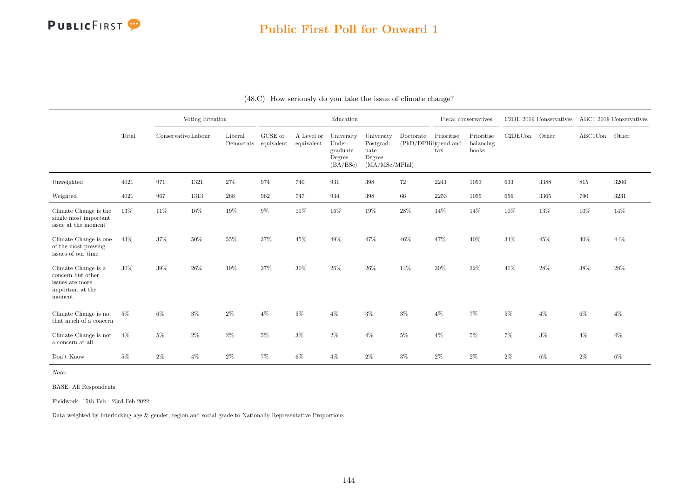

#### Public First Poll for Onward 1

|                                                                                           |       | Voting Intention<br>Conservative Labour |       |                      |                       |                          | Education                                              |                                                             |                                   |                                    | Fiscal conservatives             |         | C2DE 2019 Conservatives ABC1 2019 Conservatives |         |        |
|-------------------------------------------------------------------------------------------|-------|-----------------------------------------|-------|----------------------|-----------------------|--------------------------|--------------------------------------------------------|-------------------------------------------------------------|-----------------------------------|------------------------------------|----------------------------------|---------|-------------------------------------------------|---------|--------|
|                                                                                           | Total |                                         |       | Liberal<br>Democrats | GCSE or<br>equivalent | A Level or<br>equivalent | University<br>Under-<br>graduate<br>Degree<br>(BA/BSc) | University<br>Postgrad-<br>uate<br>Degree<br>(MA/MSc/MPhil) | Doctorate<br>(PhD/DPHil)spend and | Prioritise<br>$\operatorname{tax}$ | Prioritise<br>balancing<br>books | C2DECon | Other                                           | ABC1Con | Other  |
| Unweighted                                                                                | 4021  | 971                                     | 1321  | 274                  | 974                   | 740                      | 931                                                    | $398\,$                                                     | 72                                | 2241                               | 1053                             | 633     | 3388                                            | $815\,$ | 3206   |
| Weighted                                                                                  | 4021  | 967                                     | 1313  | $268\,$              | 962                   | 747                      | 934                                                    | $398\,$                                                     | 66                                | 2253                               | 1055                             | 656     | 3365                                            | 790     | 3231   |
| Climate Change is the<br>single most important<br>issue at the moment                     | 13%   | $11\%$                                  | 16%   | 19%                  | $9\%$                 | $11\%$                   | 16%                                                    | 19%                                                         | $28\%$                            | $14\%$                             | 14%                              | 10%     | 13%                                             | $10\%$  | $14\%$ |
| Climate Change is one<br>of the most pressing<br>issues of our time                       | 43%   | 37%                                     | 50%   | 55%                  | 37%                   | 45%                      | 49%                                                    | 47%                                                         | 46%                               | 47%                                | 40%                              | 34%     | 45%                                             | 40%     | 44%    |
| Climate Change is a<br>concern but other<br>issues are more<br>important at the<br>moment | 30%   | 39%                                     | 26\%  | 19%                  | 37%                   | 30%                      | 26%                                                    | 26%                                                         | 14%                               | 30%                                | 32%                              | 41\%    | 28%                                             | 38%     | 28%    |
| Climate Change is not<br>that much of a concern                                           | $5\%$ | $6\%$                                   | $3\%$ | $2\%$                | $4\%$                 | $5\%$                    | $4\%$                                                  | $3\%$                                                       | $3\%$                             | $4\%$                              | $7\%$                            | $5\%$   | $4\%$                                           | $6\%$   | $4\%$  |
| Climate Change is not<br>a concern at all                                                 | $4\%$ | $5\%$                                   | $2\%$ | $2\%$                | $5\%$                 | $3\%$                    | $2\%$                                                  | $4\%$                                                       | $5\%$                             | $4\%$                              | $5\%$                            | $7\%$   | $3\%$                                           | $4\%$   | $4\%$  |
| Don't Know                                                                                | $5\%$ | $2\%$                                   | $4\%$ | $2\%$                | 7%                    | $6\%$                    | $4\%$                                                  | $2\%$                                                       | $3\%$                             | $2\%$                              | $2\%$                            | $2\%$   | $6\%$                                           | $2\%$   | $6\%$  |

#### (48.C) How seriously do you take the issue of climate change?

Note:

BASE: All Respondents

Fieldwork: 15th Feb - 23rd Feb 2022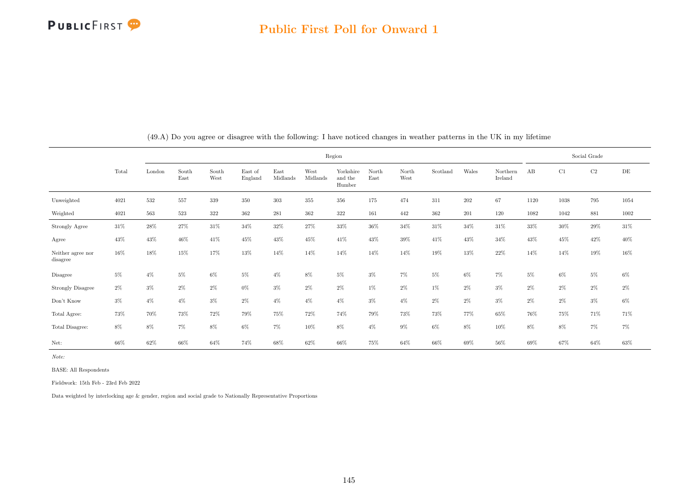

|                               |       |        |               |               |                    |                  |                  | Region                         |               |               |          |       |                     |       |       | Social Grade |           |
|-------------------------------|-------|--------|---------------|---------------|--------------------|------------------|------------------|--------------------------------|---------------|---------------|----------|-------|---------------------|-------|-------|--------------|-----------|
|                               | Total | London | South<br>East | South<br>West | East of<br>England | East<br>Midlands | West<br>Midlands | Yorkshire<br>and the<br>Humber | North<br>East | North<br>West | Scotland | Wales | Northern<br>Ireland | AB    | C1    | $\rm{C2}$    | $\rm{DE}$ |
| Unweighted                    | 4021  | 532    | 557           | 339           | 350                | 303              | 355              | 356                            | 175           | 474           | 311      | 202   | 67                  | 1120  | 1038  | 795          | 1054      |
| Weighted                      | 4021  | 563    | 523           | $322\,$       | 362                | 281              | 362              | 322                            | 161           | 442           | 362      | 201   | 120                 | 1082  | 1042  | 881          | 1002      |
| Strongly Agree                | 31\%  | 28\%   | 27%           | 31%           | 34%                | 32%              | 27%              | $33\%$                         | 36%           | 34%           | 31\%     | 34%   | $31\%$              | 33%   | 30%   | 29%          | 31\%      |
| Agree                         | 43%   | 43%    | 46%           | 41%           | 45%                | 43%              | 45%              | 41\%                           | 43%           | $39\%$        | 41\%     | 43%   | 34%                 | 43%   | 45%   | 42%          | 40%       |
| Neither agree nor<br>disagree | 16%   | 18%    | 15%           | 17%           | 13%                | 14%              | 14%              | 14%                            | 14%           | 14%           | 19%      | 13%   | 22%                 | 14%   | 14%   | 19%          | 16%       |
| Disagree                      | 5%    | $4\%$  | $5\%$         | $6\%$         | $5\%$              | $4\%$            | $8\%$            | $5\%$                          | $3\%$         | $7\%$         | $5\%$    | $6\%$ | $7\%$               | $5\%$ | $6\%$ | $5\%$        | $6\%$     |
| <b>Strongly Disagree</b>      | $2\%$ | $3\%$  | $2\%$         | $2\%$         | 0%                 | $3\%$            | $2\%$            | $2\%$                          | 1%            | $2\%$         | $1\%$    | $2\%$ | $3\%$               | 2%    | $2\%$ | $2\%$        | $2\%$     |
| Don't Know                    | $3\%$ | $4\%$  | $4\%$         | $3\%$         | $2\%$              | $4\%$            | $4\%$            | $4\%$                          | $3\%$         | $4\%$         | 2%       | $2\%$ | $3\%$               | 2%    | $2\%$ | $3\%$        | $6\%$     |
| Total Agree:                  | 73%   | 70%    | 73%           | 72%           | 79%                | 75%              | 72%              | 74%                            | 79%           | 73%           | 73%      | 77%   | 65%                 | 76%   | 75%   | 71%          | 71%       |
| Total Disagree:               | 8%    | 8%     | $7\%$         | 8%            | 6%                 | 7%               | 10%              | 8%                             | $4\%$         | $9\%$         | 6%       | 8%    | 10%                 | 8%    | 8%    | 7%           | $7\%$     |
| Net:                          | 66%   | 62%    | 66%           | 64%           | 74%                | 68%              | 62%              | 66%                            | 75%           | 64%           | 66%      | 69%   | 56%                 | 69%   | 67%   | 64%          | 63%       |

(49.A) Do you agree or disagree with the following: I have noticed changes in weather patterns in the UK in my lifetime

Note:

BASE: All Respondents

Fieldwork: 15th Feb - 23rd Feb 2022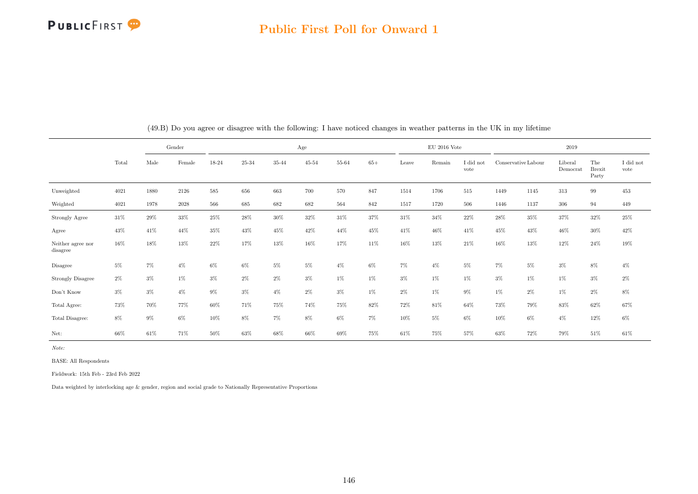

#### Public First Poll for Onward 1

|                               |        | Gender |          |         |        |        | Age       |        |       |       | $EU$ 2016 Vote |                               |       |                     | 2019                |                               |                   |
|-------------------------------|--------|--------|----------|---------|--------|--------|-----------|--------|-------|-------|----------------|-------------------------------|-------|---------------------|---------------------|-------------------------------|-------------------|
|                               | Total  | Male   | Female   | 18-24   | 25-34  | 35-44  | $45 - 54$ | 55-64  | $65+$ | Leave | Remain         | $\rm I$ did $\rm not$<br>vote |       | Conservative Labour | Liberal<br>Democrat | The<br><b>Brexit</b><br>Party | I did not<br>vote |
| Unweighted                    | 4021   | 1880   | 2126     | $585\,$ | 656    | 663    | 700       | 570    | 847   | 1514  | 1706           | 515                           | 1449  | 1145                | 313                 | 99                            | 453               |
| Weighted                      | 4021   | 1978   | $2028\,$ | 566     | 685    | 682    | 682       | 564    | 842   | 1517  | 1720           | 506                           | 1446  | 1137                | 306                 | 94                            | 449               |
| Strongly Agree                | 31\%   | $29\%$ | 33%      | 25%     | 28%    | $30\%$ | $32\%$    | $31\%$ | 37%   | 31%   | 34%            | 22%                           | 28%   | $35\%$              | 37%                 | $32\%$                        | $25\%$            |
| Agree                         | 43%    | 41\%   | 44%      | 35%     | 43%    | 45%    | 42\%      | 44%    | 45%   | 41\%  | 46%            | 41\%                          | 45%   | 43%                 | 46%                 | 30%                           | $42\%$            |
| Neither agree nor<br>disagree | 16%    | 18%    | 13%      | 22%     | 17%    | 13%    | 16%       | 17%    | 11%   | 16%   | 13%            | 21%                           | 16%   | 13%                 | 12%                 | $24\%$                        | 19%               |
| Disagree                      | $5\%$  | $7\%$  | $4\%$    | $6\%$   | $6\%$  | $5\%$  | 5%        | $4\%$  | $6\%$ | $7\%$ | $4\%$          | $5\%$                         | $7\%$ | $5\%$               | $3\%$               | $8\%$                         | $4\%$             |
| <b>Strongly Disagree</b>      | $2\%$  | $3\%$  | $1\%$    | $3\%$   | $2\%$  | $2\%$  | $3\%$     | $1\%$  | $1\%$ | $3\%$ | $1\%$          | $1\%$                         | $3\%$ | $1\%$               | $1\%$               | $3\%$                         | $2\%$             |
| Don't Know                    | $3\%$  | $3\%$  | $4\%$    | $9\%$   | $3\%$  | $4\%$  | $2\%$     | $3\%$  | $1\%$ | $2\%$ | $1\%$          | $9\%$                         | $1\%$ | $2\%$               | $1\%$               | $2\%$                         | $8\%$             |
| Total Agree:                  | $73\%$ | 70%    | 77%      | $60\%$  | 71%    | 75%    | 74%       | 75%    | 82%   | 72%   | 81\%           | 64%                           | 73%   | 79%                 | 83%                 | 62%                           | 67%               |
| Total Disagree:               | $8\%$  | $9\%$  | $6\%$    | 10%     | $8\%$  | $7\%$  | $8\%$     | $6\%$  | $7\%$ | 10%   | $5\%$          | $6\%$                         | 10%   | $6\%$               | $4\%$               | $12\%$                        | $6\%$             |
| Net:                          | 66%    | $61\%$ | $71\%$   | $50\%$  | $63\%$ | $68\%$ | 66%       | $69\%$ | 75%   | 61%   | $75\%$         | 57%                           | 63%   | $72\%$              | 79%                 | $51\%$                        | $61\%$            |

(49.B) Do you agree or disagree with the following: I have noticed changes in weather patterns in the UK in my lifetime

Note:

BASE: All Respondents

Fieldwork: 15th Feb - 23rd Feb 2022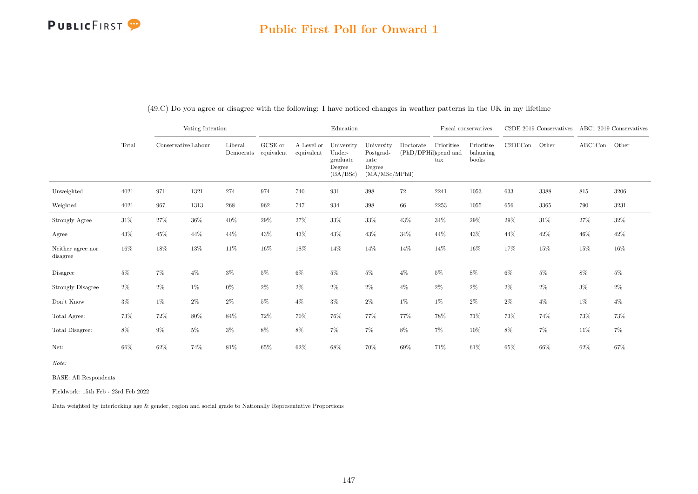# Public First Poll for Onward 1

|                               |        |                     | Voting Intention |                      |                       |                          | Education                                              |                                                             |                                   |                            | Fiscal conservatives             |         | C2DE 2019 Conservatives |                                           | ABC1 2019 Conservatives |
|-------------------------------|--------|---------------------|------------------|----------------------|-----------------------|--------------------------|--------------------------------------------------------|-------------------------------------------------------------|-----------------------------------|----------------------------|----------------------------------|---------|-------------------------|-------------------------------------------|-------------------------|
|                               | Total  | Conservative Labour |                  | Liberal<br>Democrats | GCSE or<br>equivalent | A Level or<br>equivalent | University<br>Under-<br>graduate<br>Degree<br>(BA/BSc) | University<br>Postgrad-<br>uate<br>Degree<br>(MA/MSc/MPhil) | Doctorate<br>(PhD/DPHil)spend and | Prioritise<br>$\text{tax}$ | Prioritise<br>balancing<br>books | C2DECon | Other                   | $\operatorname{ABC1Con}\quad\text{Other}$ |                         |
| Unweighted                    | 4021   | 971                 | 1321             | 274                  | 974                   | 740                      | 931                                                    | 398                                                         | 72                                | 2241                       | 1053                             | 633     | 3388                    | 815                                       | 3206                    |
| Weighted                      | 4021   | 967                 | 1313             | 268                  | 962                   | 747                      | 934                                                    | 398                                                         | 66                                | 2253                       | 1055                             | 656     | 3365                    | 790                                       | 3231                    |
| Strongly Agree                | $31\%$ | $27\%$              | $36\%$           | $40\%$               | $29\%$                | 27%                      | 33%                                                    | 33%                                                         | 43%                               | $34\%$                     | 29%                              | 29%     | $31\%$                  | $27\%$                                    | $32\%$                  |
| Agree                         | 43%    | 45%                 | 44\%             | 44%                  | 43%                   | 43%                      | 43%                                                    | 43%                                                         | 34%                               | 44%                        | 43%                              | 44%     | 42\%                    | 46%                                       | 42%                     |
| Neither agree nor<br>disagree | 16%    | 18%                 | 13%              | 11%                  | 16%                   | 18%                      | 14%                                                    | 14%                                                         | 14%                               | 14%                        | 16%                              | 17%     | $15\%$                  | 15%                                       | 16%                     |
| Disagree                      | $5\%$  | $7\%$               | $4\%$            | $3\%$                | $5\%$                 | $6\%$                    | $5\%$                                                  | $5\%$                                                       | $4\%$                             | $5\%$                      | 8%                               | $6\%$   | $5\%$                   | $8\%$                                     | $5\%$                   |
| <b>Strongly Disagree</b>      | $2\%$  | $2\%$               | 1%               | $0\%$                | $2\%$                 | $2\%$                    | $2\%$                                                  | $2\%$                                                       | $4\%$                             | $2\%$                      | $2\%$                            | $2\%$   | $2\%$                   | $3\%$                                     | $2\%$                   |
| Don't Know                    | $3\%$  | 1%                  | $2\%$            | $2\%$                | $5\%$                 | $4\%$                    | $3\%$                                                  | $2\%$                                                       | 1%                                | $1\%$                      | $2\%$                            | $2\%$   | $4\%$                   | $1\%$                                     | $4\%$                   |
| Total Agree:                  | 73%    | 72%                 | 80%              | 84%                  | 72%                   | 70%                      | 76%                                                    | 77%                                                         | 77%                               | 78%                        | 71%                              | 73%     | 74%                     | 73%                                       | 73%                     |
| Total Disagree:               | $8\%$  | $9\%$               | $5\%$            | $3\%$                | 8%                    | 8%                       | $7\%$                                                  | $7\%$                                                       | $8\%$                             | $7\%$                      | 10%                              | 8%      | $7\%$                   | 11%                                       | $7\%$                   |
| Net:                          | 66%    | 62%                 | 74%              | 81\%                 | $65\%$                | 62%                      | 68%                                                    | 70%                                                         | 69%                               | 71%                        | 61\%                             | $65\%$  | $66\%$                  | $62\%$                                    | 67%                     |

(49.C) Do you agree or disagree with the following: I have noticed changes in weather patterns in the UK in my lifetime

Note:

BASE: All Respondents

Fieldwork: 15th Feb - 23rd Feb 2022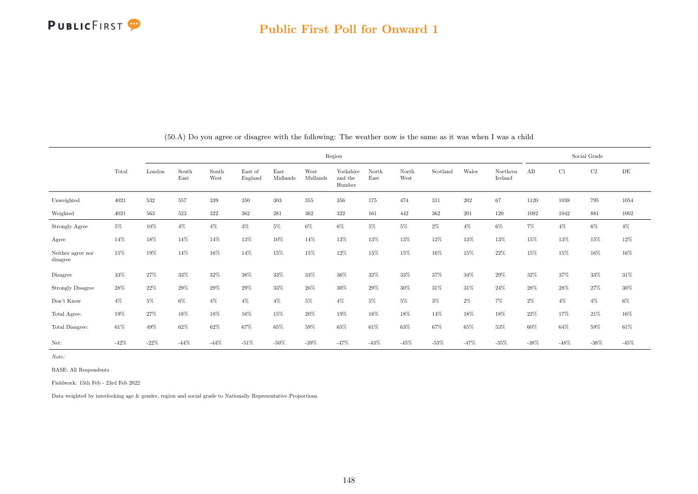|                               |        |        |               |               |                    |                  |                  | Region                         |               |               |          |        |                     |        |         | Social Grade |        |
|-------------------------------|--------|--------|---------------|---------------|--------------------|------------------|------------------|--------------------------------|---------------|---------------|----------|--------|---------------------|--------|---------|--------------|--------|
|                               | Total  | London | South<br>East | South<br>West | East of<br>England | East<br>Midlands | West<br>Midlands | Yorkshire<br>and the<br>Humber | North<br>East | North<br>West | Scotland | Wales  | Northern<br>Ireland | AB     | C1      | C2           | DE     |
| Unweighted                    | 4021   | 532    | 557           | 339           | 350                | 303              | 355              | 356                            | 175           | 474           | 311      | 202    | 67                  | 1120   | 1038    | 795          | 1054   |
| Weighted                      | 4021   | 563    | 523           | 322           | 362                | 281              | 362              | 322                            | 161           | 442           | 362      | 201    | 120                 | 1082   | 1042    | 881          | 1002   |
| Strongly Agree                | $5\%$  | 10%    | $4\%$         | $4\%$         | $3\%$              | $5\%$            | $6\%$            | $6\%$                          | $5\%$         | $5\%$         | $2\%$    | $4\%$  | $6\%$               | $7\%$  | $4\%$   | $6\%$        | $4\%$  |
| Agree                         | 14%    | 18%    | 14%           | 14%           | 13%                | 10%              | 14%              | 13%                            | 13%           | 13%           | 12%      | 13%    | 13%                 | 15%    | 13%     | 15%          | 12%    |
| Neither agree nor<br>disagree | 15%    | 19%    | 14%           | 16%           | 14%                | 15%              | 15%              | 12%                            | 15%           | 15%           | 16%      | 15%    | 22\%                | 15%    | 15%     | 16%          | 16%    |
| Disagree                      | 33%    | 27%    | 33%           | 32%           | 38%                | 33%              | 33%              | 36%                            | 32%           | 33%           | 37%      | 34%    | 29%                 | 32%    | 37%     | 33%          | 31\%   |
| <b>Strongly Disagree</b>      | 28%    | 22%    | 29%           | 29%           | 29%                | 33%              | $26\%$           | 30%                            | 29%           | 30%           | 31%      | 31%    | 24%                 | 28%    | 28\%    | 27%          | $30\%$ |
| Don't Know                    | $4\%$  | $5\%$  | $6\%$         | $4\%$         | $4\%$              | $4\%$            | $5\%$            | $4\%$                          | $5\%$         | $5\%$         | $3\%$    | $2\%$  | $7\%$               | $2\%$  | $4\%$   | $4\%$        | $6\%$  |
| Total Agree:                  | 19%    | 27%    | 18%           | 18%           | 16%                | 15%              | $20\%$           | $19\%$                         | 18%           | 18%           | 14%      | 18%    | 18%                 | 22%    | 17%     | 21%          | 16%    |
| Total Disagree:               | 61%    | 49%    | 62%           | 62%           | 67%                | 65%              | 59%              | 65%                            | 61%           | 63%           | 67%      | 65%    | 53%                 | 60%    | 64%     | 59%          | $61\%$ |
| Net:                          | $-42%$ | $-22%$ | $-44%$        | $-44%$        | $-51\%$            | $-50\%$          | $-39%$           | $-47%$                         | $-43%$        | $-45%$        | $-53\%$  | $-47%$ | $-35%$              | $-38%$ | $-48\%$ | $-38\%$      | $-45%$ |

(50.A) Do you agree or disagree with the following: The weather now is the same as it was when I was a child

Note:

BASE: All Respondents

Fieldwork: 15th Feb - 23rd Feb 2022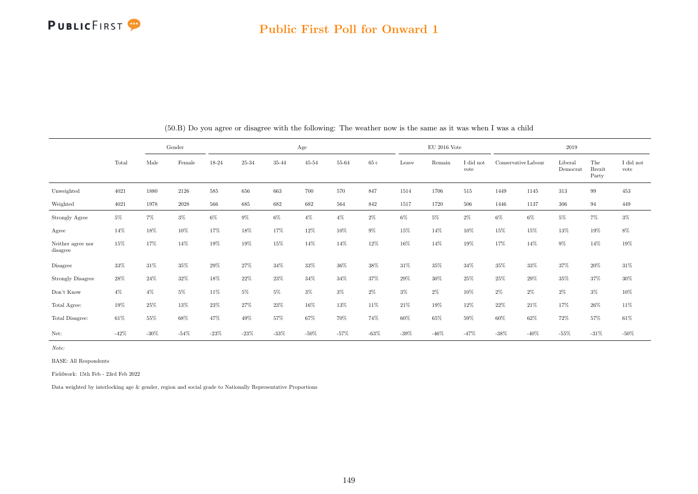

#### Public First Poll for Onward 1

|                               |        | Gender<br>Male<br>Female |        |         |         |         | Age       |         |         |         | $EU$ 2016 Vote |                   |         |                     | 2019                |                               |                               |
|-------------------------------|--------|--------------------------|--------|---------|---------|---------|-----------|---------|---------|---------|----------------|-------------------|---------|---------------------|---------------------|-------------------------------|-------------------------------|
|                               | Total  |                          |        | 18-24   | 25-34   | 35-44   | $45 - 54$ | 55-64   | $65+$   | Leave   | Remain         | I did not<br>vote |         | Conservative Labour | Liberal<br>Democrat | The<br><b>Brexit</b><br>Party | $\rm I$ did $\rm not$<br>vote |
| Unweighted                    | 4021   | 1880                     | 2126   | 585     | 656     | 663     | 700       | 570     | 847     | 1514    | 1706           | 515               | 1449    | 1145                | 313                 | 99                            | 453                           |
| Weighted                      | 4021   | 1978                     | 2028   | 566     | 685     | 682     | 682       | 564     | 842     | 1517    | 1720           | 506               | 1446    | 1137                | 306                 | 94                            | 449                           |
| Strongly Agree                | $5\%$  | $7\%$                    | $3\%$  | $6\%$   | $9\%$   | $6\%$   | $4\%$     | $4\%$   | $2\%$   | $6\%$   | 5%             | $2\%$             | $6\%$   | $6\%$               | $5\%$               | $7\%$                         | $3\%$                         |
| Agree                         | 14%    | 18%                      | 10%    | 17%     | 18%     | 17%     | 12%       | $10\%$  | $9\%$   | 15%     | 14%            | 10%               | 15%     | 15%                 | 13%                 | 19%                           | $8\%$                         |
| Neither agree nor<br>disagree | 15%    | 17%                      | 14%    | 19%     | 19%     | 15%     | 14%       | 14%     | 12%     | 16%     | 14%            | 19%               | 17%     | $14\%$              | $9\%$               | 14%                           | 19%                           |
| Disagree                      | 33%    | $31\%$                   | 35%    | 29%     | 27%     | 34%     | 33%       | 36%     | 38%     | 31%     | 35%            | 34%               | 35%     | 33%                 | $37\%$              | $20\%$                        | $31\%$                        |
| <b>Strongly Disagree</b>      | 28%    | 24\%                     | 32%    | 18%     | 22%     | 23%     | 34%       | 34%     | 37%     | 29%     | 30%            | 25%               | 25%     | 29%                 | $35\%$              | 37%                           | $30\%$                        |
| Don't Know                    | $4\%$  | $4\%$                    | $5\%$  | 11%     | $5\%$   | $5\%$   | $3\%$     | $3\%$   | $2\%$   | $3\%$   | 2%             | 10%               | $2\%$   | $2\%$               | $2\%$               | $3\%$                         | $10\%$                        |
| Total Agree:                  | 19%    | 25%                      | 13%    | 23%     | 27%     | 23%     | 16%       | 13%     | 11%     | 21\%    | 19%            | 12%               | 22%     | $21\%$              | 17%                 | 26%                           | 11%                           |
| Total Disagree:               | 61%    | 55%                      | 68%    | 47%     | 49%     | 57%     | 67%       | 70%     | 74%     | 60%     | 65%            | 59%               | 60%     | 62%                 | 72%                 | 57%                           | $61\%$                        |
| Net:                          | $-42%$ | $-30\%$                  | $-54%$ | $-23\%$ | $-23\%$ | $-33\%$ | $-50\%$   | $-57\%$ | $-63\%$ | $-39\%$ | $-46\%$        | $-47%$            | $-38\%$ | $-40\%$             | $-55%$              | $-31\%$                       | $-50\%$                       |

(50.B) Do you agree or disagree with the following: The weather now is the same as it was when I was a child

Note:

BASE: All Respondents

Fieldwork: 15th Feb - 23rd Feb 2022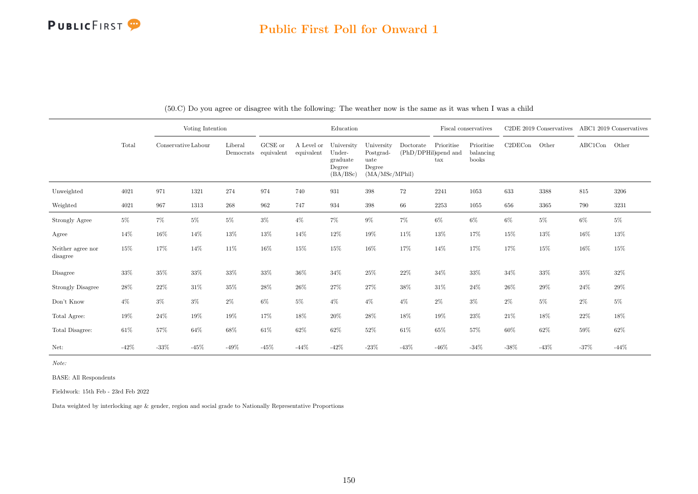# Public First Poll for Onward 1

|                               |        |         | Voting Intention<br>Conservative Labour |                                 |         |                          | Education                                              |                                                             |                                   | Fiscal conservatives               |                                  |         | $C2DE$ 2019 Conservatives |         | ABC1 2019 Conservatives |
|-------------------------------|--------|---------|-----------------------------------------|---------------------------------|---------|--------------------------|--------------------------------------------------------|-------------------------------------------------------------|-----------------------------------|------------------------------------|----------------------------------|---------|---------------------------|---------|-------------------------|
|                               | Total  |         |                                         | Liberal<br>Democrats equivalent | GCSE or | A Level or<br>equivalent | University<br>Under-<br>graduate<br>Degree<br>(BA/BSc) | University<br>Postgrad-<br>uate<br>Degree<br>(MA/MSc/MPhil) | Doctorate<br>(PhD/DPHil)spend and | Prioritise<br>$\operatorname{tax}$ | Prioritise<br>balancing<br>books | C2DECon | Other                     | ABC1Con | Other                   |
| Unweighted                    | 4021   | 971     | 1321                                    | 274                             | 974     | 740                      | 931                                                    | 398                                                         | 72                                | 2241                               | 1053                             | 633     | 3388                      | 815     | 3206                    |
| Weighted                      | 4021   | 967     | 1313                                    | 268                             | 962     | 747                      | 934                                                    | 398                                                         | 66                                | 2253                               | 1055                             | 656     | 3365                      | 790     | 3231                    |
| Strongly Agree                | $5\%$  | $7\%$   | $5\%$                                   | $5\%$                           | $3\%$   | $4\%$                    | $7\%$                                                  | $9\%$                                                       | $7\%$                             | $6\%$                              | $6\%$                            | $6\%$   | $5\%$                     | $6\%$   | $5\%$                   |
| Agree                         | 14%    | 16%     | 14%                                     | $13\%$                          | 13%     | 14%                      | $12\%$                                                 | $19\%$                                                      | 11%                               | $13\%$                             | 17%                              | 15%     | 13%                       | 16%     | $13\%$                  |
| Neither agree nor<br>disagree | 15%    | 17%     | 14%                                     | 11\%                            | $16\%$  | 15%                      | 15%                                                    | $16\%$                                                      | 17%                               | 14%                                | 17%                              | 17%     | $15\%$                    | 16%     | $15\%$                  |
| Disagree                      | 33%    | $35\%$  | $33\%$                                  | $33\%$                          | 33%     | 36%                      | $34\%$                                                 | $25\%$                                                      | $22\%$                            | 34%                                | 33%                              | 34%     | 33%                       | 35%     | $32\%$                  |
| <b>Strongly Disagree</b>      | $28\%$ | $22\%$  | $31\%$                                  | 35%                             | 28%     | 26%                      | $27\%$                                                 | $27\%$                                                      | 38%                               | $31\%$                             | 24%                              | 26%     | 29%                       | 24%     | $29\%$                  |
| Don't Know                    | $4\%$  | $3\%$   | $3\%$                                   | $2\%$                           | $6\%$   | $5\%$                    | $4\%$                                                  | $4\%$                                                       | $4\%$                             | $2\%$                              | $3\%$                            | $2\%$   | $5\%$                     | $2\%$   | $5\%$                   |
| Total Agree:                  | 19%    | $24\%$  | 19%                                     | 19%                             | 17%     | 18%                      | 20%                                                    | 28%                                                         | 18%                               | 19%                                | 23%                              | 21\%    | 18%                       | 22%     | $18\%$                  |
| Total Disagree:               | $61\%$ | 57%     | 64%                                     | $68\%$                          | 61\%    | $62\%$                   | $62\%$                                                 | $52\%$                                                      | $61\%$                            | 65%                                | 57%                              | $60\%$  | 62%                       | 59%     | 62%                     |
| Net:                          | $-42%$ | $-33\%$ | $-45%$                                  | $-49\%$                         | $-45%$  | $-44\%$                  | $-42%$                                                 | $-23%$                                                      | $-43%$                            | $-46%$                             | $-34%$                           | $-38\%$ | $-43\%$                   | $-37%$  | $-44\%$                 |

(50.C) Do you agree or disagree with the following: The weather now is the same as it was when I was a child

Note:

BASE: All Respondents

Fieldwork: 15th Feb - 23rd Feb 2022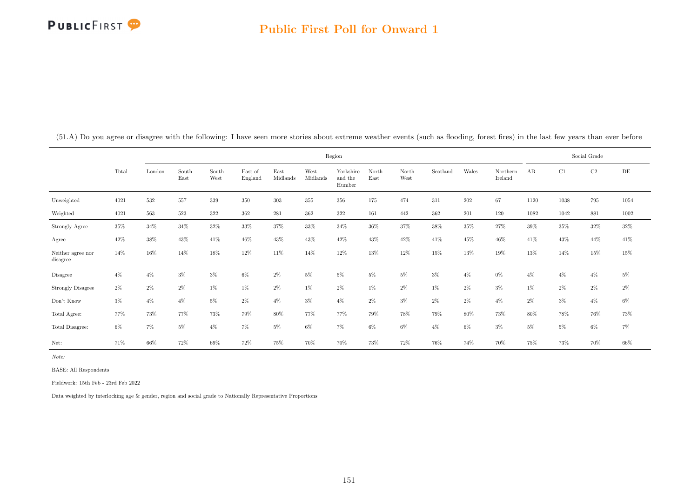|                               |        |        |               |               |                    |                  | Region           |                                |               |               |          |         |                     |        | Social Grade |          |           |
|-------------------------------|--------|--------|---------------|---------------|--------------------|------------------|------------------|--------------------------------|---------------|---------------|----------|---------|---------------------|--------|--------------|----------|-----------|
|                               | Total  | London | South<br>East | South<br>West | East of<br>England | East<br>Midlands | West<br>Midlands | Yorkshire<br>and the<br>Humber | North<br>East | North<br>West | Scotland | Wales   | Northern<br>Ireland | AB     | C1           | $\rm C2$ | $\rm{DE}$ |
| Unweighted                    | 4021   | 532    | 557           | 339           | 350                | $303\,$          | 355              | 356                            | 175           | 474           | 311      | $202\,$ | 67                  | 1120   | 1038         | 795      | 1054      |
| Weighted                      | 4021   | 563    | 523           | 322           | 362                | 281              | 362              | 322                            | 161           | 442           | 362      | 201     | 120                 | 1082   | 1042         | 881      | 1002      |
| Strongly Agree                | $35\%$ | $34\%$ | $34\%$        | $32\%$        | $33\%$             | 37%              | 33%              | $34\%$                         | $36\%$        | 37%           | $38\%$   | 35%     | $27\%$              | $39\%$ | $35\%$       | $32\%$   | $32\%$    |
| Agree                         | 42%    | $38\%$ | 43%           | 41\%          | 46%                | 43%              | 43%              | 42%                            | 43%           | 42\%          | 41\%     | 45%     | 46%                 | 41\%   | 43%          | 44%      | 41\%      |
| Neither agree nor<br>disagree | 14%    | 16%    | 14%           | 18%           | 12%                | 11%              | 14%              | 12%                            | 13%           | 12%           | 15%      | 13%     | 19%                 | 13%    | 14%          | 15%      | $15\%$    |
| Disagree                      | $4\%$  | $4\%$  | $3\%$         | $3\%$         | $6\%$              | 2%               | $5\%$            | $5\%$                          | $5\%$         | $5\%$         | $3\%$    | $4\%$   | $0\%$               | $4\%$  | $4\%$        | $4\%$    | $5\%$     |
| Strongly Disagree             | $2\%$  | 2%     | $2\%$         | $1\%$         | $1\%$              | $2\%$            | $1\%$            | $2\%$                          | $1\%$         | $2\%$         | $1\%$    | $2\%$   | $3\%$               | $1\%$  | $2\%$        | $2\%$    | $2\%$     |
| Don't Know                    | $3\%$  | $4\%$  | $4\%$         | $5\%$         | $2\%$              | $4\%$            | $3\%$            | $4\%$                          | $2\%$         | $3\%$         | $2\%$    | $2\%$   | $4\%$               | $2\%$  | $3\%$        | $4\%$    | $6\%$     |
| Total Agree:                  | 77%    | 73%    | 77%           | 73%           | 79%                | 80%              | 77%              | 77%                            | 79%           | 78%           | 79%      | 80%     | 73%                 | 80%    | 78%          | 76%      | 73%       |
| Total Disagree:               | $6\%$  | 7%     | $5\%$         | $4\%$         | $7\%$              | $5\%$            | 6%               | $7\%$                          | $6\%$         | $6\%$         | $4\%$    | $6\%$   | $3\%$               | $5\%$  | $5\%$        | 6%       | 7%        |
| Net:                          | 71%    | 66%    | 72%           | 69%           | 72%                | 75%              | 70%              | 70%                            | 73%           | 72%           | 76%      | 74%     | 70%                 | 75%    | 73%          | 70%      | 66%       |

(51.A) Do you agree or disagree with the following: I have seen more stories about extreme weather events (such as flooding, forest fires) in the last few years than ever before

Note:

BASE: All Respondents

Fieldwork: 15th Feb - 23rd Feb 2022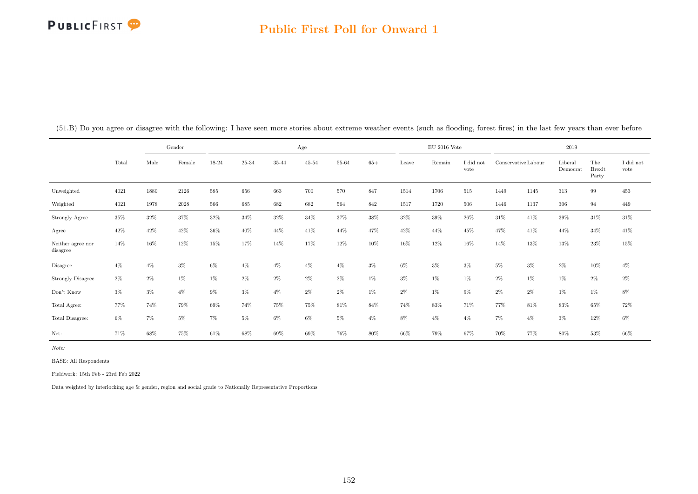#### Public First Poll for Onward 1

|                               |        |       | Gender   |       |       |       | Age       |       |       |       | EU 2016 Vote |                   |       |                     | 2019                |                               |                               |
|-------------------------------|--------|-------|----------|-------|-------|-------|-----------|-------|-------|-------|--------------|-------------------|-------|---------------------|---------------------|-------------------------------|-------------------------------|
|                               | Total  | Male  | Female   | 18-24 | 25-34 | 35-44 | $45 - 54$ | 55-64 | $65+$ | Leave | Remain       | I did not<br>vote |       | Conservative Labour | Liberal<br>Democrat | The<br><b>Brexit</b><br>Party | $\rm I$ did $\rm not$<br>vote |
| Unweighted                    | 4021   | 1880  | 2126     | 585   | 656   | 663   | 700       | 570   | 847   | 1514  | 1706         | $515\,$           | 1449  | 1145                | 313                 | 99                            | $453\,$                       |
| Weighted                      | 4021   | 1978  | $2028\,$ | 566   | 685   | 682   | 682       | 564   | 842   | 1517  | 1720         | 506               | 1446  | 1137                | 306                 | 94                            | 449                           |
| Strongly Agree                | 35%    | 32%   | 37%      | 32%   | 34%   | 32%   | 34%       | 37%   | 38%   | 32%   | 39%          | 26%               | 31\%  | 41\%                | 39%                 | 31\%                          | 31\%                          |
| Agree                         | 42%    | 42%   | 42%      | 36%   | 40%   | 44%   | 41\%      | 44%   | 47%   | 42%   | 44%          | 45%               | 47%   | 41\%                | 44%                 | 34%                           | 41\%                          |
| Neither agree nor<br>disagree | $14\%$ | 16%   | 12%      | 15%   | 17%   | 14%   | 17%       | 12%   | 10%   | 16%   | 12%          | 16%               | 14%   | 13%                 | 13%                 | $23\%$                        | 15%                           |
| Disagree                      | $4\%$  | $4\%$ | $3\%$    | $6\%$ | $4\%$ | $4\%$ | $4\%$     | $4\%$ | $3\%$ | $6\%$ | $3\%$        | $3\%$             | $5\%$ | $3\%$               | $2\%$               | 10%                           | $4\%$                         |
| <b>Strongly Disagree</b>      | $2\%$  | $2\%$ | $1\%$    | $1\%$ | $2\%$ | $2\%$ | $2\%$     | $2\%$ | $1\%$ | $3\%$ | $1\%$        | $1\%$             | $2\%$ | $1\%$               | $1\%$               | $2\%$                         | $2\%$                         |
| Don't Know                    | $3\%$  | $3\%$ | $4\%$    | 9%    | $3\%$ | $4\%$ | $2\%$     | $2\%$ | $1\%$ | $2\%$ | $1\%$        | $9\%$             | $2\%$ | 2%                  | $1\%$               | $1\%$                         | $8\%$                         |
| Total Agree:                  | 77%    | 74%   | 79%      | 69%   | 74%   | 75%   | 75%       | 81\%  | 84%   | 74%   | 83%          | 71%               | 77%   | 81\%                | 83%                 | 65%                           | $72\%$                        |
| Total Disagree:               | $6\%$  | $7\%$ | $5\%$    | 7%    | 5%    | 6%    | $6\%$     | $5\%$ | $4\%$ | $8\%$ | $4\%$        | $4\%$             | 7%    | $4\%$               | $3\%$               | 12%                           | $6\%$                         |
| Net:                          | 71%    | 68%   | 75%      | 61\%  | 68%   | 69%   | 69%       | 76%   | 80%   | 66%   | 79%          | 67%               | 70%   | 77%                 | 80%                 | $53\%$                        | 66%                           |

(51.B) Do you agree or disagree with the following: I have seen more stories about extreme weather events (such as flooding, forest fires) in the last few years than ever before

Note:

BASE: All Respondents

Fieldwork: 15th Feb - 23rd Feb 2022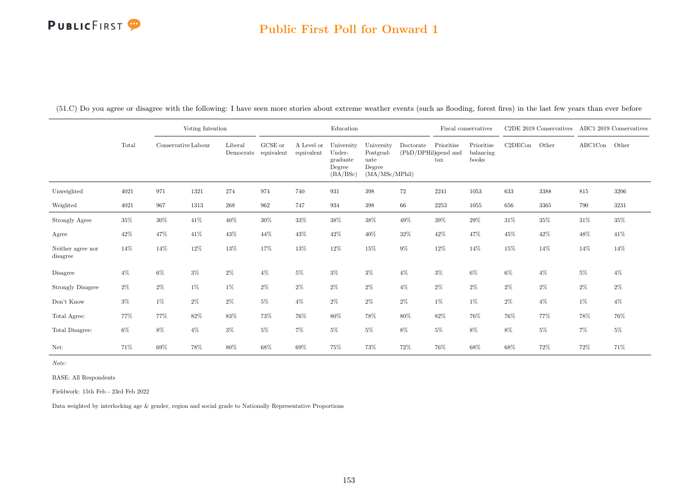# Public First Poll for Onward 1

(51.C) Do you agree or disagree with the following: I have seen more stories about extreme weather events (such as flooding, forest fires) in the last few years than ever before

|                               |        | Voting Intention<br>Conservative Labour |        |                      |                       |                          | Education                                              |                                                             |                                   |                            | Fiscal conservatives             |         | C2DE 2019 Conservatives |               | ABC1 2019 Conservatives |
|-------------------------------|--------|-----------------------------------------|--------|----------------------|-----------------------|--------------------------|--------------------------------------------------------|-------------------------------------------------------------|-----------------------------------|----------------------------|----------------------------------|---------|-------------------------|---------------|-------------------------|
|                               | Total  |                                         |        | Liberal<br>Democrats | GCSE or<br>equivalent | A Level or<br>equivalent | University<br>Under-<br>graduate<br>Degree<br>(BA/BSc) | University<br>Postgrad-<br>uate<br>Degree<br>(MA/MSc/MPhil) | Doctorate<br>(PhD/DPHil)spend and | Prioritise<br>$\text{tax}$ | Prioritise<br>balancing<br>books | C2DECon | Other                   | ABC1Con Other |                         |
| Unweighted                    | 4021   | 971                                     | 1321   | 274                  | 974                   | 740                      | 931                                                    | 398                                                         | 72                                | 2241                       | 1053                             | 633     | 3388                    | 815           | 3206                    |
| Weighted                      | 4021   | 967                                     | 1313   | 268                  | 962                   | 747                      | 934                                                    | $398\,$                                                     | 66                                | 2253                       | 1055                             | 656     | 3365                    | 790           | 3231                    |
| Strongly Agree                | $35\%$ | $30\%$                                  | $41\%$ | $40\%$               | 30%                   | 33%                      | $38\%$                                                 | $38\%$                                                      | 49%                               | 39%                        | 29%                              | $31\%$  | $35\%$                  | $31\%$        | $35\%$                  |
| Agree                         | $42\%$ | 47%                                     | 41\%   | $43\%$               | 44%                   | 43\%                     | $42\%$                                                 | $40\%$                                                      | 32%                               | $42\%$                     | 47%                              | 45%     | $42\%$                  | 48%           | 41\%                    |
| Neither agree nor<br>disagree | $14\%$ | 14%                                     | $12\%$ | $13\%$               | 17%                   | 13%                      | $12\%$                                                 | 15%                                                         | $9\%$                             | $12\%$                     | 14%                              | 15%     | $14\%$                  | 14%           | 14%                     |
| Disagree                      | $4\%$  | $6\%$                                   | $3\%$  | $2\%$                | $4\%$                 | $5\%$                    | $3\%$                                                  | $3\%$                                                       | $4\%$                             | $3\%$                      | $6\%$                            | $6\%$   | $4\%$                   | $5\%$         | $4\%$                   |
| <b>Strongly Disagree</b>      | $2\%$  | $2\%$                                   | $1\%$  | $1\%$                | $2\%$                 | $2\%$                    | $2\%$                                                  | $2\%$                                                       | $4\%$                             | $2\%$                      | $2\%$                            | $2\%$   | $2\%$                   | $2\%$         | $2\%$                   |
| Don't Know                    | $3\%$  | $1\%$                                   | $2\%$  | $2\%$                | $5\%$                 | $4\%$                    | $2\%$                                                  | $2\%$                                                       | $2\%$                             | $1\%$                      | $1\%$                            | $2\%$   | $4\%$                   | $1\%$         | $4\%$                   |
| Total Agree:                  | 77%    | 77%                                     | 82%    | 83%                  | 73%                   | 76%                      | $80\%$                                                 | 78%                                                         | 80%                               | 82%                        | 76%                              | 76%     | 77%                     | 78%           | 76%                     |
| Total Disagree:               | $6\%$  | 8%                                      | $4\%$  | $3\%$                | $5\%$                 | $7\%$                    | $5\%$                                                  | $5\%$                                                       | $8\%$                             | $5\%$                      | $8\%$                            | 8%      | $5\%$                   | $7\%$         | $5\%$                   |
| Net:                          | 71%    | 69%                                     | $78\%$ | 80%                  | 68%                   | 69%                      | $75\%$                                                 | 73%                                                         | $72\%$                            | 76%                        | 68%                              | 68%     | 72%                     | $72\%$        | 71%                     |

Note:

BASE: All Respondents

Fieldwork: 15th Feb - 23rd Feb 2022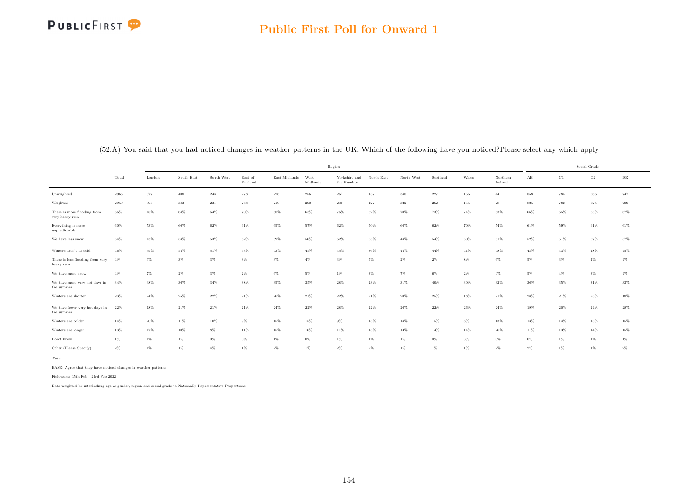

|                                                |        |        |            |            |                    |               |                  | Region                      |            |            |          |         |                     |         |        | Social Grade |           |
|------------------------------------------------|--------|--------|------------|------------|--------------------|---------------|------------------|-----------------------------|------------|------------|----------|---------|---------------------|---------|--------|--------------|-----------|
|                                                | Total  | London | South East | South West | East of<br>England | East Midlands | West<br>Midlands | Yorkshire and<br>the Humber | North East | North West | Scotland | Wales   | Northern<br>Ireland | AB      | C1     | $_{\rm C2}$  | $\rm{DE}$ |
| Unweighted                                     | 2966   | 377    | 408        | $\bf 243$  | $278\,$            | $\bf 226$     | 256              | 267                         | 137        | $348\,$    | $227\,$  | $155\,$ | $44\,$              | 858     | 785    | 566          | 747       |
| Weighted                                       | 2950   | 395    | 383        | 231        | 288                | 210           | 260              | 239                         | 127        | 322        | 262      | 155     | 78                  | $8\,25$ | 782    | 624          | 709       |
| There is more flooding from<br>very heavy rain | 66%    | $48\%$ | 64%        | 64%        | 70%                | 68%           | 63%              | 76%                         | 62%        | 70%        | 73%      | 74%     | 63%                 | 66%     | 65%    | 65%          | 67%       |
| Everything is more<br>unpredictable            | 60%    | 53%    | 60%        | 62%        | 61%                | 65%           | 57%              | 62%                         | 50%        | 66%        | 62%      | 70%     | 54%                 | 61%     | 59%    | 61%          | 61%       |
| We have less snow                              | 54%    | $43\%$ | 58%        | 53%        | 62%                | $59\%$        | $56\%$           | $62\%$                      | 55%        | $48\%$     | 54%      | 50%     | 51%                 | 52%     | 51%    | $57\%$       | 57%       |
| Winters aren't as cold                         | 46%    | 39%    | 54%        | 51%        | 53%                | 43%           | 45%              | 45%                         | $36\%$     | $44\%$     | $44\%$   | 41%     | 48%                 | 48%     | 43%    | 48%          | 45%       |
| There is less flooding from very<br>heavy rain | 4%     | $9\%$  | $3\%$      | $3\%$      | $3\%$              | $3\%$         | $4\%$            | $3\%$                       | $5\%$      | $2\%$      | $2\%$    | $8\%$   | $6\%$               | $5\%$   | $3\%$  | $4\%$        | $4\%$     |
| We have more snow                              | $4\%$  | $7\%$  | $2\%$      | $3\%$      | $2\%$              | 6%            | 5%               | $1\%$                       | $3\%$      | $7\%$      | 6%       | $2\%$   | $4\%$               | $5\%$   | $4\%$  | $3\%$        | $4\%$     |
| We have more very hot days in<br>the summer    | 34%    | 38%    | 36%        | 34%        | 38%                | 35%           | 35%              | $28\%$                      | $23\%$     | $31\%$     | 40%      | 30%     | 32%                 | 36%     | 35%    | $31\%$       | 33%       |
| Winters are shorter                            | 23%    | 24%    | 25%        | $22\%$     | 21%                | $26\%$        | 21%              | 22%                         | 21%        | 20%        | 25%      | 18%     | 21%                 | 28%     | 21%    | 23%          | 18%       |
| We have fewer very hot days in<br>the summer   | 22%    | 18%    | 21%        | $21\%$     | $21\%$             | $24\%$        | $22\%$           | $28\%$                      | $22\%$     | $26\%$     | $22\%$   | 26%     | $24\%$              | 19%     | $20\%$ | $24\%$       | 28%       |
| Winters are colder                             | $14\%$ | 20%    | 11%        | 10%        | $9\%$              | 15%           | 15%              | $9\%$                       | 15%        | 18%        | 15%      | $8\%$   | 13%                 | 13%     | 14%    | 13%          | 15%       |
| Winters are longer                             | 13%    | $17\%$ | $10\%$     | $8\%$      | 11%                | $15\%$        | 16%              | 11%                         | 15%        | 13%        | 14%      | 14%     | 26%                 | 11%     | 13%    | 14%          | 15%       |
| Don't know                                     | $1\%$  | $1\%$  | $1\%$      | $0\%$      | $0\%$              | $1\%$         | $0\%$            | $1\%$                       | $1\%$      | $1\%$      | 0%       | $3\%$   | $0\%$               | $0\%$   | $1\%$  | $1\%$        | $1\%$     |
| Other (Please Specify)                         | $2\%$  | $1\%$  | $1\%$      | $4\%$      | $1\%$              | $2\%$         | $1\%$            | $2\%$                       | $2\%$      | $1\%$      | $1\%$    | $1\%$   | $2\%$               | 2%      | 1%     | $1\%$        | $2\%$     |

(52.A) You said that you had noticed changes in weather patterns in the UK. Which of the following have you noticed?Please select any which apply

Note:

BASE: Agree that they have noticed changes in weather patterns

Fieldwork: 15th Feb - 23rd Feb 2022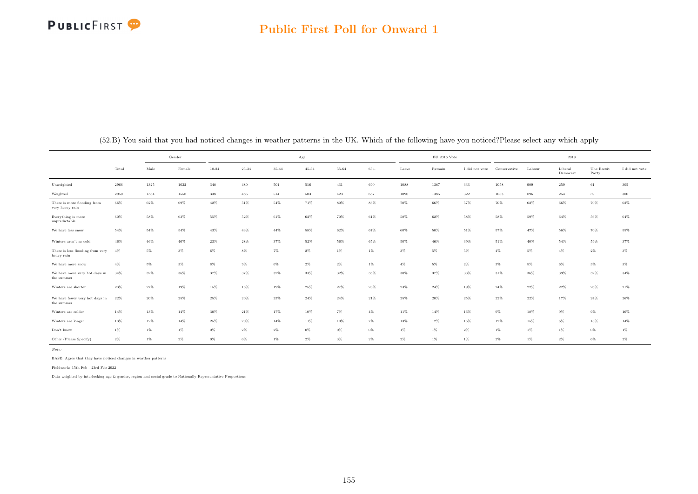

|                                                |        |        | Gender |           |           |        | Age       |           |        |        | $\mathrm{EU}$ 2016 Vote |                |              |        | 2019                |                     |                |
|------------------------------------------------|--------|--------|--------|-----------|-----------|--------|-----------|-----------|--------|--------|-------------------------|----------------|--------------|--------|---------------------|---------------------|----------------|
|                                                | Total  | Male   | Female | $18 - 24$ | $25 - 34$ | 35-44  | $45 - 54$ | $55 - 64$ | $65+$  | Leave  | Remain                  | I did not vote | Conservative | Labour | Liberal<br>Democrat | The Brexit<br>Party | I did not vote |
| Unweighted                                     | 2966   | 1325   | 1632   | 348       | 480       | 501    | 516       | 431       | 690    | 1088   | 1387                    | 333            | 1058         | 909    | 259                 | $61\,$              | 305            |
| Weighted                                       | 2950   | 1384   | 1558   | 338       | 486       | 514    | 503       | $423\,$   | 687    | 1090   | 1385                    | $322\,$        | 1053         | 896    | 254                 | 59                  | $300\,$        |
| There is more flooding from<br>very heavy rain | 66%    | $62\%$ | 69%    | $42\%$    | $51\%$    | $54\%$ | 71%       | 80%       | 83%    | 70%    | 66%                     | 57%            | 70%          | 62%    | 66%                 | 70%                 | $62\%$         |
| Everything is more<br>unpredictable            | 60%    | 58%    | 63%    | 55%       | 52%       | 61%    | 62%       | 70%       | 61%    | 58%    | 62%                     | 58%            | 58%          | 59%    | 64%                 | 56%                 | 64%            |
| We have less snow                              | $54\%$ | 54%    | 54%    | 43%       | 43%       | $44\%$ | 58%       | 62%       | 67%    | 60%    | $50\%$                  | 51%            | 57%          | 47%    | 56%                 | 70%                 | 55%            |
| Winters aren't as cold                         | 46%    | $46\%$ | $46\%$ | $23\%$    | $28\%$    | 37%    | 52%       | 56%       | 65%    | 50%    | $46\%$                  | 39%            | $51\%$       | 40%    | $54\%$              | 59%                 | 37%            |
| There is less flooding from very<br>heavy rain | $4\%$  | 5%     | $3\%$  | $6\%$     | $8\%$     | $7\%$  | $2\%$     | $1\%$     | $1\%$  | $3\%$  | $5\%$                   | 5%             | $4\%$        | 5%     | $4\%$               | $2\%$               | $3\%$          |
| We have more snow                              | $4\%$  | $5\%$  | $3\%$  | $8\%$     | $9\%$     | $6\%$  | $2\%$     | $2\%$     | $1\%$  | $4\%$  | $5\%$                   | $2\%$          | $3\%$        | 5%     | $6\%$               | $3\%$               | $3\%$          |
| We have more very hot days in<br>the summer    | 34%    | 32%    | 36%    | 37%       | 37%       | 32%    | 33%       | 32%       | 35%    | $30\%$ | 37%                     | 33%            | $31\%$       | 36%    | 39%                 | 32%                 | $34\%$         |
| Winters are shorter                            | $23\%$ | 27%    | 19%    | 15%       | 18%       | 19%    | 25%       | 27%       | $28\%$ | $23\%$ | $24\%$                  | 19%            | $24\%$       | $22\%$ | $22\%$              | $26\%$              | $21\%$         |
| We have fewer very hot days in<br>the summer   | 22%    | 20%    | 25%    | 25%       | $20\%$    | $23\%$ | 24%       | $24\%$    | $21\%$ | $25\%$ | $20\%$                  | 25%            | $22\%$       | $22\%$ | 17%                 | $24\%$              | $26\%$         |
| Winters are colder                             | 14%    | 13%    | 14%    | 30%       | 21%       | 17%    | 10%       | $7\%$     | $4\%$  | 11%    | 14%                     | 16%            | $9\%$        | 18%    | $9\%$               | $9\%$               | 16%            |
| Winters are longer                             | 13%    | 12%    | 14%    | $25\%$    | $20\%$    | 14%    | 11%       | 10%       | 7%     | 13%    | 12%                     | 15%            | 12%          | 15%    | $6\%$               | 18%                 | $14\%$         |
| Don't know                                     | $1\%$  | $1\%$  | $1\%$  | $0\%$     | $2\%$     | $2\%$  | $0\%$     | $0\%$     | $0\%$  | $1\%$  | 1%                      | $2\%$          | $1\%$        | $1\%$  | $1\%$               | $0\%$               | $1\%$          |
| Other (Please Specify)                         | $2\%$  | $1\%$  | $2\%$  | $0\%$     | $0\%$     | $1\%$  | $2\%$     | $3\%$     | $2\%$  | $2\%$  | $1\%$                   | $1\%$          | $2\%$        | $1\%$  | $2\%$               | 6%                  | $2\%$          |

(52.B) You said that you had noticed changes in weather patterns in the UK. Which of the following have you noticed?Please select any which apply

Note:

BASE: Agree that they have noticed changes in weather patterns

Fieldwork: 15th Feb - 23rd Feb 2022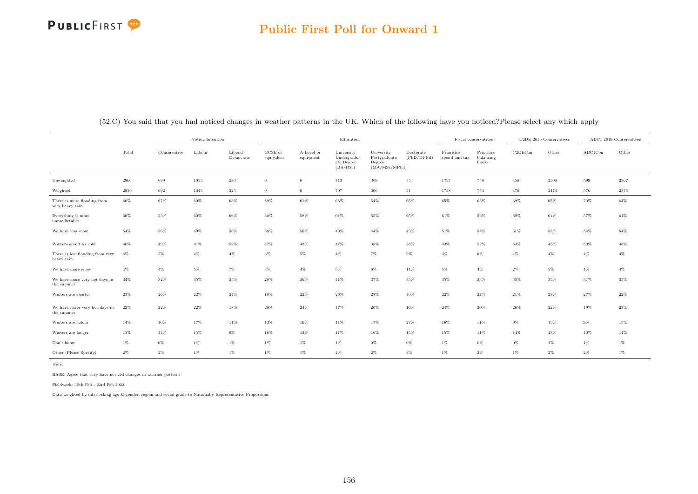#### Public First Poll for Onward 1

|                                                |        | Voting Intention<br>Labour<br>Conservative |       |                      |                       |                          | Education                                           |                                                         |                          |                             | Fiscal conservatives             |         | C2DE 2019 Conservatives |                 | ABC1 2019 Conservatives |
|------------------------------------------------|--------|--------------------------------------------|-------|----------------------|-----------------------|--------------------------|-----------------------------------------------------|---------------------------------------------------------|--------------------------|-----------------------------|----------------------------------|---------|-------------------------|-----------------|-------------------------|
|                                                | Total  |                                            |       | Liberal<br>Democrats | GCSE or<br>equivalent | A Level or<br>equivalent | University<br>Undergradu-<br>ate Degree<br>(BA/BSc) | University<br>Postgraduate<br>Degree<br>(MA/MSc/MPhill) | Doctorate<br>(PhD/DPHil) | Prioritise<br>spend and tax | Prioritise<br>balancing<br>books | C2DECon | Other                   | ${\rm ABC1Con}$ | Other                   |
| Unweighted                                     | 2966   | 699                                        | 1055  | 230                  | $\Omega$              | $\overline{0}$           | 713                                                 | 309                                                     | $55\,$                   | 1757                        | 758                              | 458     | 2508                    | 599             | 2367                    |
| Weighted                                       | 2950   | 692                                        | 1045  | 225                  | $\overline{0}$        | $\overline{0}$           | 707                                                 | 306                                                     | 51                       | 1758                        | 754                              | 476     | 2474                    | 576             | 2375                    |
| There is more flooding from<br>very heavy rain | 66%    | 67%                                        | 60%   | 68%                  | 69%                   | 62%                      | 65%                                                 | 54%                                                     | 65%                      | 65%                         | 65%                              | 69%     | 65%                     | 70%             | 64%                     |
| Everything is more<br>unpredictable            | $60\%$ | $53\%$                                     | 60%   | 66%                  | 60%                   | 58%                      | $61\%$                                              | 55%                                                     | 65%                      | 61%                         | 56%                              | 59%     | $61\%$                  | 57%             | $61\%$                  |
| We have less snow                              | 54%    | $56\%$                                     | 49%   | 56%                  | 58%                   | 56%                      | $49\%$                                              | $44\%$                                                  | 49%                      | 51%                         | 58%                              | 61%     | 53%                     | 54%             | 54%                     |
| Winters aren't as cold                         | 46%    | 49%                                        | 41%   | 52%                  | 47%                   | 43%                      | 47%                                                 | 38%                                                     | 38%                      | 43%                         | 52%                              | 53%     | 45%                     | 50%             | 45%                     |
| There is less flooding from very<br>heavy rain | 4%     | 5%                                         | $4\%$ | $4\%$                | $3\%$                 | 5%                       | $4\%$                                               | 7%                                                      | $9\%$                    | $4\%$                       | $6\%$                            | $4\%$   | $4\%$                   | $4\%$           | $4\%$                   |
| We have more snow                              | 4%     | $4\%$                                      | $5\%$ | 7%                   | $3\%$                 | $4\%$                    | 5%                                                  | $6\%$                                                   | 14%                      | 5%                          | $4\%$                            | $2\%$   | 5%                      | $4\%$           | $4\%$                   |
| We have more very hot days in<br>the summer    | 34%    | 32%                                        | 35%   | 35%                  | 28%                   | 36%                      | 41%                                                 | 37%                                                     | 35%                      | 35%                         | 33%                              | 30%     | 35%                     | 31%             | 35%                     |
| Winters are shorter                            | $23\%$ | 26%                                        | 22%   | 24%                  | 18%                   | 22%                      | 26%                                                 | $27\%$                                                  | 40%                      | 22%                         | 27%                              | 21%     | 23%                     | 27%             | 22%                     |
| We have fewer very hot days in<br>the summer   | 22%    | 22%                                        | 22%   | 18%                  | 26%                   | 24%                      | 17%                                                 | 20%                                                     | 16%                      | 24%                         | 20%                              | $26\%$  | $22\%$                  | 19%             | $23\%$                  |
| Winters are colder                             | 14%    | 10%                                        | 17%   | 11%                  | 13%                   | 16%                      | 11%                                                 | 17%                                                     | 27%                      | 16%                         | 11%                              | $9\%$   | 15%                     | 9%              | 15%                     |
| Winters are longer                             | 13%    | 14%                                        | 15%   | $9\%$                | 16%                   | 13%                      | 11%                                                 | 16%                                                     | 15%                      | 15%                         | 11%                              | 14%     | 13%                     | 10%             | 14%                     |
| Don't know                                     | $1\%$  | $0\%$                                      | $1\%$ | $1\%$                | $1\%$                 | $1\%$                    | $1\%$                                               | $0\%$                                                   | $0\%$                    | $1\%$                       | $0\%$                            | $0\%$   | $1\%$                   | $1\%$           | $1\%$                   |
| Other (Please Specify)                         | $2\%$  | $2\%$                                      | $1\%$ | 1%                   | $1\%$                 | $1\%$                    | $2\%$                                               | $2\%$                                                   | $3\%$                    | $1\%$                       | $2\%$                            | $1\%$   | $2\%$                   | $2\%$           | $1\%$                   |

(52.C) You said that you had noticed changes in weather patterns in the UK. Which of the following have you noticed?Please select any which apply

Note:

BASE: Agree that they have noticed changes in weather patterns

Fieldwork: 15th Feb - 23rd Feb 2022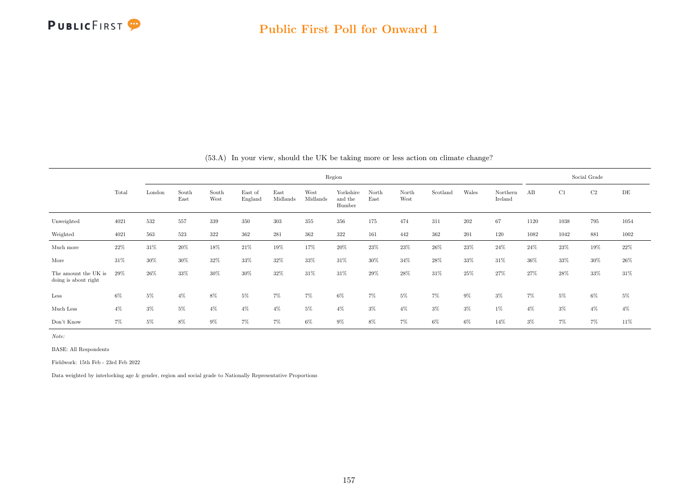

|                                              |       |        |               |               |                    |                  |                  | Region                         |               |               |          |       |                     |       |       | Social Grade |           |
|----------------------------------------------|-------|--------|---------------|---------------|--------------------|------------------|------------------|--------------------------------|---------------|---------------|----------|-------|---------------------|-------|-------|--------------|-----------|
|                                              | Total | London | South<br>East | South<br>West | East of<br>England | East<br>Midlands | West<br>Midlands | Yorkshire<br>and the<br>Humber | North<br>East | North<br>West | Scotland | Wales | Northern<br>Ireland | AB    | C1    | C2           | $\rm{DE}$ |
| Unweighted                                   | 4021  | 532    | 557           | 339           | 350                | 303              | 355              | 356                            | 175           | 474           | 311      | 202   | 67                  | 1120  | 1038  | 795          | 1054      |
| Weighted                                     | 4021  | 563    | 523           | 322           | 362                | 281              | 362              | 322                            | 161           | 442           | 362      | 201   | 120                 | 1082  | 1042  | 881          | 1002      |
| Much more                                    | 22%   | 31%    | 20%           | 18%           | 21%                | 19%              | 17%              | 20%                            | 23%           | $23\%$        | 26%      | 23%   | 24%                 | 24\%  | 23%   | 19%          | $22\%$    |
| More                                         | 31%   | $30\%$ | 30%           | 32%           | 33%                | 32%              | 33%              | 31%                            | 30%           | 34%           | 28%      | 33%   | 31%                 | 36%   | 33%   | 30%          | 26%       |
| The amount the UK is<br>doing is about right | 29%   | $26\%$ | 33%           | 30%           | 30%                | 32%              | 31\%             | 31%                            | 29%           | 28\%          | 31%      | 25%   | 27%                 | 27%   | 28%   | 33%          | 31\%      |
| Less                                         | 6%    | 5%     | $4\%$         | 8%            | 5%                 | $7\%$            | 7%               | $6\%$                          | $7\%$         | 5%            | 7%       | 9%    | $3\%$               | $7\%$ | 5%    | $6\%$        | $5\%$     |
| Much Less                                    | 4%    | $3\%$  | $5\%$         | $4\%$         | $4\%$              | $4\%$            | 5%               | $4\%$                          | $3\%$         | $4\%$         | $3\%$    | $3\%$ | $1\%$               | $4\%$ | $3\%$ | $4\%$        | $4\%$     |
| Don't Know                                   | $7\%$ | $5\%$  | $8\%$         | $9\%$         | $7\%$              | $7\%$            | $6\%$            | $9\%$                          | 8%            | 7%            | 6%       | 6%    | 14%                 | $3\%$ | 7%    | 7%           | 11%       |

(53.A) In your view, should the UK be taking more or less action on climate change?

Note:

BASE: All Respondents

Fieldwork: 15th Feb - 23rd Feb 2022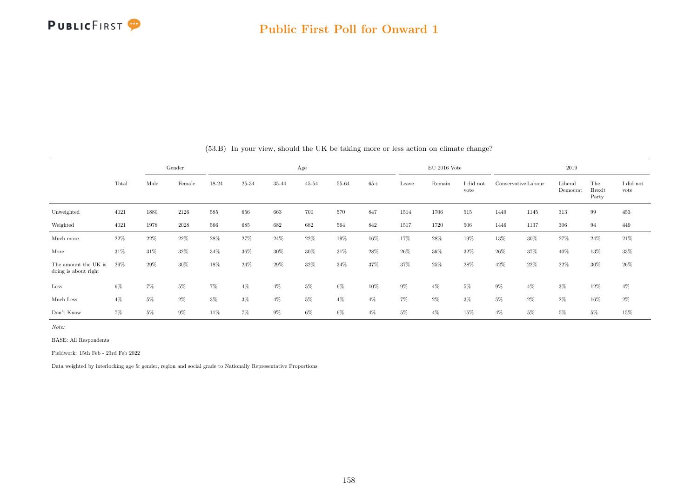

|                                              |       |      | Gender |        |       |        | Age       |       |       |       | $EU$ 2016 Vote |                   |                     |        | $2019\,$           |                               |                   |
|----------------------------------------------|-------|------|--------|--------|-------|--------|-----------|-------|-------|-------|----------------|-------------------|---------------------|--------|--------------------|-------------------------------|-------------------|
|                                              | Total | Male | Female | 18-24  | 25-34 | 35-44  | $45 - 54$ | 55-64 | $65+$ | Leave | Remain         | I did not<br>vote | Conservative Labour |        | Liberal<br>Democra | The<br><b>Brexit</b><br>Party | I did not<br>vote |
| Unweighted                                   | 4021  | 1880 | 2126   | 585    | 656   | 663    | 700       | 570   | 847   | 1514  | 1706           | 515               | 1449                | 1145   | 313                | 99                            | 453               |
| Weighted                                     | 4021  | 1978 | 2028   | 566    | 685   | 682    | 682       | 564   | 842   | 1517  | 1720           | 506               | 1446                | 1137   | 306                | 94                            | 449               |
| Much more                                    | 22%   | 22%  | 22%    | $28\%$ | 27%   | 24%    | $22\%$    | 19%   | 16%   | 17%   | 28%            | 19%               | 13%                 | $30\%$ | 27%                | $24\%$                        | $21\%$            |
| More                                         | 31%   | 31\% | 32%    | 34%    | 36%   | $30\%$ | 30%       | 31%   | 28%   | 26%   | 36%            | 32%               | 26%                 | 37%    | 40%                | 13%                           | $33\%$            |
| The amount the UK is<br>doing is about right | 29%   | 29%  | $30\%$ | 18%    | 24%   | 29%    | 32%       | 34%   | 37%   | 37%   | 25%            | 28%               | 42\%                | 22%    | 22%                | 30%                           | 26%               |
| Less                                         | 6%    | 7%   | 5%     | $7\%$  | $4\%$ | $4\%$  | $5\%$     | $6\%$ | 10%   | $9\%$ | $4\%$          | $5\%$             | $9\%$               | $4\%$  | $3\%$              | 12%                           | $4\%$             |
| Much Less                                    | 4%    | 5%   | 2%     | $3\%$  | $3\%$ | $4\%$  | $5\%$     | $4\%$ | $4\%$ | $7\%$ | $2\%$          | $3\%$             | $5\%$               | $2\%$  | $2\%$              | 16%                           | $2\%$             |
| Don't Know                                   | 7%    | 5%   | 9%     | 11%    | 7%    | 9%     | 6%        | 6%    | $4\%$ | 5%    | $4\%$          | 15%               | $4\%$               | 5%     | 5%                 | 5%                            | 15%               |

(53.B) In your view, should the UK be taking more or less action on climate change?

Note:

BASE: All Respondents

Fieldwork: 15th Feb - 23rd Feb 2022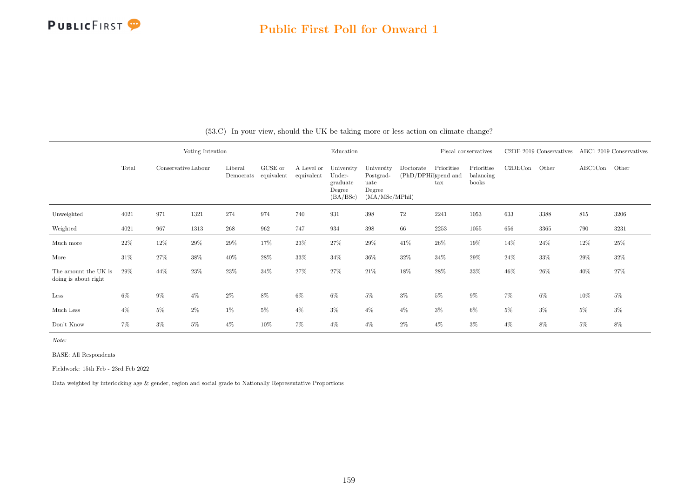

|                                              |        |                     | Voting Intention |                      |                       |                          | Education                                              |                                                             |                                   |                            | Fiscal conservatives             |         | C <sub>2</sub> DE 2019 Conservatives |               | ABC1 2019 Conservatives |
|----------------------------------------------|--------|---------------------|------------------|----------------------|-----------------------|--------------------------|--------------------------------------------------------|-------------------------------------------------------------|-----------------------------------|----------------------------|----------------------------------|---------|--------------------------------------|---------------|-------------------------|
|                                              | Total  | Conservative Labour |                  | Liberal<br>Democrats | GCSE or<br>equivalent | A Level or<br>equivalent | University<br>Under-<br>graduate<br>Degree<br>(BA/BSc) | University<br>Postgrad-<br>uate<br>Degree<br>(MA/MSc/MPhil) | Doctorate<br>(PhD/DPHil)spend and | Prioritise<br>$\text{tax}$ | Prioritise<br>balancing<br>books | C2DECon | Other                                | ABC1Con Other |                         |
| Unweighted                                   | 4021   | 971                 | 1321             | 274                  | 974                   | 740                      | 931                                                    | 398                                                         | 72                                | 2241                       | 1053                             | 633     | 3388                                 | 815           | 3206                    |
| Weighted                                     | 4021   | 967                 | 1313             | 268                  | 962                   | 747                      | 934                                                    | 398                                                         | 66                                | 2253                       | 1055                             | 656     | 3365                                 | 790           | 3231                    |
| Much more                                    | $22\%$ | 12%                 | 29%              | 29%                  | 17%                   | 23%                      | $27\%$                                                 | 29%                                                         | 41%                               | 26%                        | 19%                              | 14%     | 24%                                  | 12%           | 25%                     |
| More                                         | 31%    | 27%                 | 38%              | 40%                  | 28\%                  | 33%                      | $34\%$                                                 | $36\%$                                                      | 32%                               | 34%                        | 29%                              | 24%     | 33%                                  | 29%           | 32%                     |
| The amount the UK is<br>doing is about right | 29%    | 44%                 | 23%              | 23%                  | 34%                   | 27%                      | 27%                                                    | 21\%                                                        | 18%                               | 28%                        | 33%                              | 46%     | 26%                                  | 40%           | 27%                     |
| Less                                         | 6%     | $9\%$               | $4\%$            | $2\%$                | 8%                    | $6\%$                    | 6%                                                     | $5\%$                                                       | $3\%$                             | $5\%$                      | $9\%$                            | 7%      | 6%                                   | 10%           | $5\%$                   |
| Much Less                                    | $4\%$  | $5\%$               | $2\%$            | 1%                   | $5\%$                 | $4\%$                    | $3\%$                                                  | $4\%$                                                       | $4\%$                             | $3\%$                      | 6%                               | $5\%$   | $3\%$                                | $5\%$         | $3\%$                   |
| Don't Know                                   | 7%     | $3\%$               | $5\%$            | $4\%$                | 10%                   | $7\%$                    | $4\%$                                                  | $4\%$                                                       | $2\%$                             | $4\%$                      | $3\%$                            | $4\%$   | 8%                                   | $5\%$         | 8%                      |

(53.C) In your view, should the UK be taking more or less action on climate change?

Note:

BASE: All Respondents

Fieldwork: 15th Feb - 23rd Feb 2022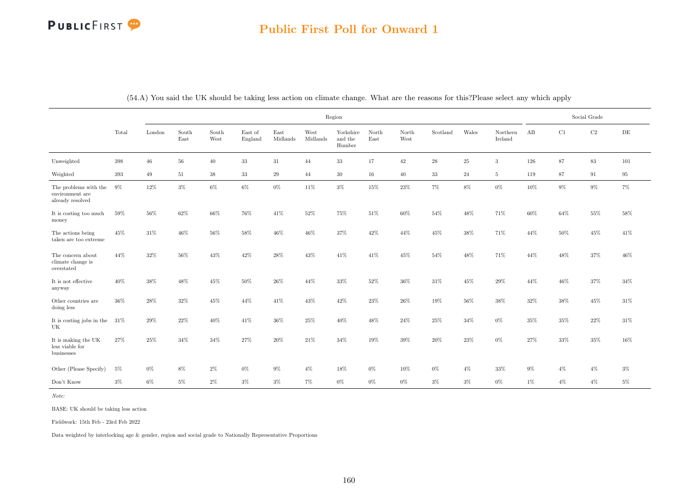# Public First Poll for Onward 1

|                                                              |        |        |               |               |                    |                  |                  | Region                         |               |               |             |        |                     |        |        | Social Grade |       |
|--------------------------------------------------------------|--------|--------|---------------|---------------|--------------------|------------------|------------------|--------------------------------|---------------|---------------|-------------|--------|---------------------|--------|--------|--------------|-------|
|                                                              | Total  | London | South<br>East | South<br>West | East of<br>England | East<br>Midlands | West<br>Midlands | Yorkshire<br>and the<br>Humber | North<br>East | North<br>West | Scotland    | Wales  | Northern<br>Ireland | AB     | C1     | $\rm{C2}$    | DE    |
| Unweighted                                                   | 398    | $46\,$ | 56            | 40            | $33\,$             | 31               | 44               | 33                             | 17            | 42            | $\sqrt{28}$ | 25     | 3                   | 126    | 87     | $83\,$       | 101   |
| Weighted                                                     | 393    | 49     | 51            | 38            | 33                 | 29               | 44               | 30                             | 16            | 40            | 33          | 24     | $\overline{5}$      | 119    | 87     | 91           | 95    |
| The problems with the<br>environment are<br>already resolved | 9%     | 12%    | $3\%$         | $6\%$         | $6\%$              | $0\%$            | 11%              | $3\%$                          | $15\%$        | $23\%$        | $7\%$       | 8%     | $0\%$               | 10%    | $9\%$  | $9\%$        | $7\%$ |
| It is costing too much<br>money                              | $59\%$ | $56\%$ | $62\%$        | 66%           | 76%                | $41\%$           | $52\%$           | $75\%$                         | $51\%$        | $60\%$        | $54\%$      | 48%    | $71\%$              | $60\%$ | $64\%$ | $55\%$       | 58%   |
| The actions being<br>taken are too extreme                   | 45%    | 31%    | 46%           | 56%           | 58%                | 46%              | 46%              | 37%                            | 42%           | 44%           | 45%         | 38%    | 71%                 | 44%    | 50%    | 45%          | 41\%  |
| The concern about<br>climate change is<br>overstated         | 44\%   | 32%    | 56%           | 43%           | 42\%               | 28%              | 43%              | 41\%                           | 41\%          | 45%           | 54%         | 48%    | 71%                 | 44%    | 48%    | 37%          | 46%   |
| It is not effective<br>anyway                                | 40%    | $38\%$ | 48%           | $45\%$        | $50\%$             | $26\%$           | 44%              | $33\%$                         | $52\%$        | $36\%$        | $31\%$      | $45\%$ | 29%                 | $44\%$ | 46%    | 37%          | 34\%  |
| Other countries are<br>doing less                            | 36%    | 28%    | 32%           | 45%           | 44\%               | 41\%             | 43%              | 42%                            | 23%           | 26%           | 19%         | 56%    | 38%                 | 32\%   | 38%    | 45%          | 31\%  |
| It is costing jobs in the<br>UK                              | 31%    | 29%    | 22%           | 40%           | 41\%               | 36\%             | 25%              | $40\%$                         | 48%           | 24%           | 25%         | 34%    | $0\%$               | 35%    | $35\%$ | 22%          | 31\%  |
| It is making the UK<br>less viable for<br>businesses         | 27%    | $25\%$ | 34%           | 34%           | 27%                | $20\%$           | $21\%$           | 34%                            | 19%           | 39%           | $20\%$      | $23\%$ | $0\%$               | 27%    | 33%    | 35%          | 16%   |
| Other (Please Specify)                                       | $5\%$  | $0\%$  | $8\%$         | $2\%$         | $0\%$              | $9\%$            | $4\%$            | $18\%$                         | $0\%$         | $10\%$        | $0\%$       | $4\%$  | 33%                 | $9\%$  | $4\%$  | $4\%$        | $3\%$ |
| Don't Know                                                   | $3\%$  | $6\%$  | $5\%$         | $2\%$         | $3\%$              | $3\%$            | $7\%$            | $0\%$                          | $0\%$         | $0\%$         | $3\%$       | $3\%$  | $0\%$               | $1\%$  | $4\%$  | $4\%$        | $5\%$ |

(54.A) You said the UK should be taking less action on climate change. What are the reasons for this?Please select any which apply

Note:

BASE: UK should be taking less action

Fieldwork: 15th Feb - 23rd Feb 2022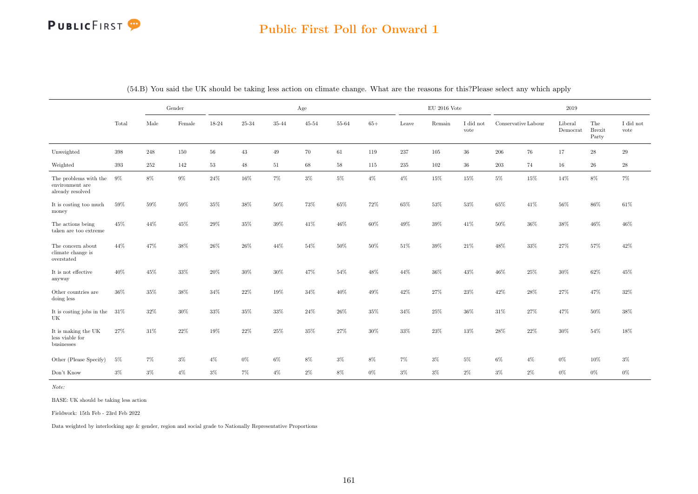

# Public First Poll for Onward 1

|                                                              |         | Gender |        |        |        |        | Age    |       |         |         | $\mathrm{EU}$ 2016 Vote |                   |                     |            | 2019                |                               |                   |
|--------------------------------------------------------------|---------|--------|--------|--------|--------|--------|--------|-------|---------|---------|-------------------------|-------------------|---------------------|------------|---------------------|-------------------------------|-------------------|
|                                                              | Total   | Male   | Female | 18-24  | 25-34  | 35-44  | 45-54  | 55-64 | $65+$   | Leave   | Remain                  | I did not<br>vote | Conservative Labour |            | Liberal<br>Democrat | The<br><b>Brexit</b><br>Party | I did not<br>vote |
| Unweighted                                                   | 398     | 248    | 150    | $56\,$ | $43\,$ | 49     | 70     | 61    | 119     | 237     | 105                     | $36\,$            | 206                 | ${\bf 76}$ | 17                  | $\sqrt{28}$                   | $\,29$            |
| Weighted                                                     | $393\,$ | 252    | 142    | 53     | 48     | 51     | 68     | 58    | $115\,$ | $235\,$ | $102\,$                 | $36\,$            | 203                 | 74         | $16\,$              | $\sqrt{26}$                   | $\bf 28$          |
| The problems with the<br>environment are<br>already resolved | 9%      | 8%     | $9\%$  | $24\%$ | 16%    | $7\%$  | $3\%$  | $5\%$ | $4\%$   | $4\%$   | $15\%$                  | $15\%$            | 5%                  | $15\%$     | 14%                 | $8\%$                         | $7\%$             |
| It is costing too much<br>money                              | 59%     | 59%    | 59%    | 35%    | 38%    | $50\%$ | 73%    | 65%   | 72%     | 65%     | 53%                     | 53%               | 65%                 | 41\%       | 56%                 | 86%                           | 61\%              |
| The actions being<br>taken are too extreme                   | 45%     | 44%    | 45%    | 29%    | 35%    | $39\%$ | 41%    | 46%   | 60%     | 49%     | $39\%$                  | 41\%              | 50%                 | 36%        | 38%                 | 46%                           | 46%               |
| The concern about<br>climate change is<br>overstated         | 44%     | 47%    | 38%    | $26\%$ | $26\%$ | $44\%$ | $54\%$ | 50%   | 50%     | $51\%$  | 39%                     | $21\%$            | 48%                 | 33%        | 27%                 | 57%                           | $42\%$            |
| It is not effective<br>anyway                                | 40%     | 45%    | 33%    | 20%    | 30%    | $30\%$ | 47%    | 54%   | 48%     | 44%     | 36%                     | 43%               | 46%                 | 25%        | 30%                 | 62%                           | 45%               |
| Other countries are<br>doing less                            | 36%     | 35%    | $38\%$ | 34%    | 22\%   | 19%    | 34%    | 40%   | 49%     | 42%     | 27%                     | 23%               | $42\%$              | $28\%$     | 27%                 | 47%                           | 32%               |
| It is costing jobs in the $31\%$<br>UK                       |         | $32\%$ | $30\%$ | $33\%$ | $35\%$ | 33%    | $24\%$ | 26%   | 35%     | 34%     | 25%                     | 36%               | 31%                 | 27%        | 47%                 | 50%                           | $38\%$            |
| It is making the UK<br>less viable for<br>businesses         | 27%     | 31%    | 22%    | 19%    | 22%    | 25%    | 35%    | 27%   | 30%     | 33%     | 23%                     | 13%               | 28%                 | 22%        | 30%                 | 54%                           | 18%               |
| Other (Please Specify)                                       | 5%      | 7%     | $3\%$  | $4\%$  | $0\%$  | $6\%$  | 8%     | $3\%$ | 8%      | $7\%$   | $3\%$                   | $5\%$             | 6%                  | $4\%$      | $0\%$               | 10%                           | $3\%$             |
| Don't Know                                                   | $3\%$   | $3\%$  | $4\%$  | $3\%$  | $7\%$  | $4\%$  | $2\%$  | $8\%$ | $0\%$   | $3\%$   | $3\%$                   | $2\%$             | $3\%$               | $2\%$      | $0\%$               | $0\%$                         | $0\%$             |

(54.B) You said the UK should be taking less action on climate change. What are the reasons for this?Please select any which apply

Note:

BASE: UK should be taking less action

Fieldwork: 15th Feb - 23rd Feb 2022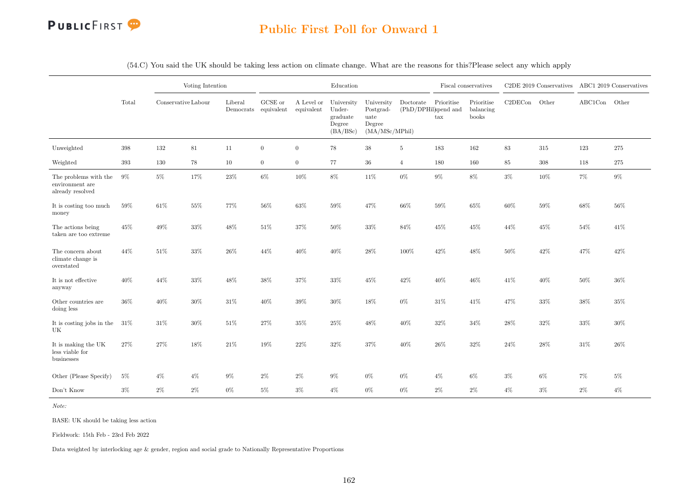

(54.C) You said the UK should be taking less action on climate change. What are the reasons for this?Please select any which apply

|                                                              |        |                     | Voting Intention |         |                                 |                          | Education                                              |                                                             |                                   |                            | Fiscal conservatives             |         | C2DE 2019 Conservatives ABC1 2019 Conservatives |               |        |
|--------------------------------------------------------------|--------|---------------------|------------------|---------|---------------------------------|--------------------------|--------------------------------------------------------|-------------------------------------------------------------|-----------------------------------|----------------------------|----------------------------------|---------|-------------------------------------------------|---------------|--------|
|                                                              | Total  | Conservative Labour |                  | Liberal | GCSE or<br>Democrats equivalent | A Level or<br>equivalent | University<br>Under-<br>graduate<br>Degree<br>(BA/BSc) | University<br>Postgrad-<br>uate<br>Degree<br>(MA/MSc/MPhil) | Doctorate<br>(PhD/DPHil)spend and | Prioritise<br>$\text{tax}$ | Prioritise<br>balancing<br>books | C2DECon | Other                                           | ABC1Con Other |        |
| Unweighted                                                   | 398    | 132                 | 81               | 11      | $\overline{0}$                  | $\overline{0}$           | 78                                                     | $38\,$                                                      | $\overline{5}$                    | 183                        | 162                              | 83      | 315                                             | 123           | 275    |
| Weighted                                                     | 393    | 130                 | 78               | 10      | $\overline{0}$                  | $\overline{0}$           | 77                                                     | $36\,$                                                      | $\overline{4}$                    | 180                        | 160                              | 85      | 308                                             | 118           | 275    |
| The problems with the<br>environment are<br>already resolved | 9%     | $5\%$               | $17\%$           | $23\%$  | $6\%$                           | 10%                      | 8%                                                     | 11%                                                         | $0\%$                             | $9\%$                      | 8%                               | $3\%$   | 10%                                             | $7\%$         | $9\%$  |
| It is costing too much<br>money                              | 59%    | 61\%                | $55\%$           | 77%     | 56%                             | 63%                      | $59\%$                                                 | 47%                                                         | $66\%$                            | $59\%$                     | 65%                              | 60%     | 59%                                             | 68%           | 56%    |
| The actions being<br>taken are too extreme                   | 45%    | 49%                 | $33\%$           | 48%     | 51%                             | 37%                      | $50\%$                                                 | $33\%$                                                      | 84%                               | $45\%$                     | 45%                              | 44%     | 45%                                             | 54%           | 41\%   |
| The concern about<br>climate change is<br>overstated         | 44%    | 51%                 | 33%              | 26%     | 44%                             | 40%                      | 40%                                                    | 28%                                                         | 100%                              | 42%                        | 48%                              | 50%     | 42%                                             | 47%           | 42%    |
| It is not effective<br>anyway                                | 40%    | 44%                 | $33\%$           | 48%     | $38\%$                          | 37%                      | $33\%$                                                 | 45%                                                         | 42%                               | $40\%$                     | 46%                              | 41\%    | 40%                                             | $50\%$        | 36%    |
| Other countries are<br>doing less                            | $36\%$ | 40%                 | $30\%$           | $31\%$  | 40%                             | 39%                      | $30\%$                                                 | 18%                                                         | $0\%$                             | $31\%$                     | 41\%                             | 47%     | $33\%$                                          | $38\%$        | $35\%$ |
| It is costing jobs in the<br>UK                              | 31\%   | $31\%$              | $30\%$           | $51\%$  | 27%                             | 35%                      | $25\%$                                                 | $48\%$                                                      | 40%                               | $32\%$                     | 34%                              | 28%     | $32\%$                                          | $33\%$        | 30%    |
| It is making the UK<br>less viable for<br>businesses         | 27%    | $27\%$              | $18\%$           | $21\%$  | 19%                             | 22%                      | $32\%$                                                 | $37\%$                                                      | 40%                               | $26\%$                     | 32%                              | 24%     | $28\%$                                          | $31\%$        | 26\%   |
| Other (Please Specify)                                       | $5\%$  | $4\%$               | $4\%$            | $9\%$   | $2\%$                           | $2\%$                    | $9\%$                                                  | $0\%$                                                       | $0\%$                             | $4\%$                      | $6\%$                            | $3\%$   | $6\%$                                           | 7%            | $5\%$  |
| Don't Know                                                   | $3\%$  | $2\%$               | $2\%$            | $0\%$   | $5\%$                           | $3\%$                    | $4\%$                                                  | 0%                                                          | $0\%$                             | $2\%$                      | $2\%$                            | $4\%$   | $3\%$                                           | $2\%$         | $4\%$  |

Note:

BASE: UK should be taking less action

Fieldwork: 15th Feb - 23rd Feb 2022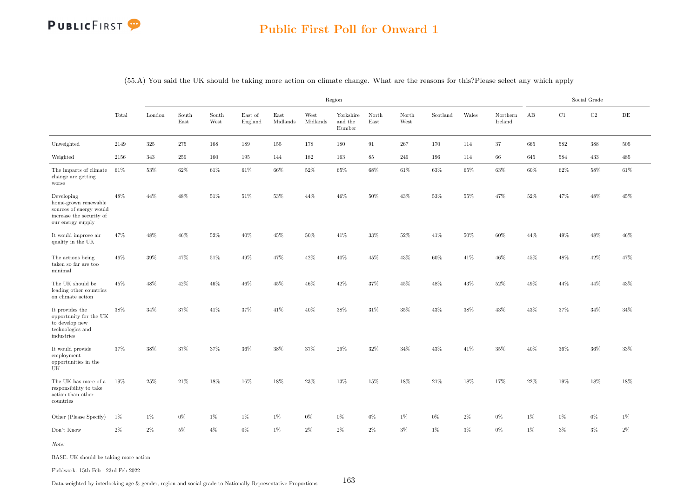# Public First Poll for Onward 1

|                                                                                                                |        |        |               |               |                    |                  |                  | Region                         |               |               |          |        |                     |        |        | Social Grade |           |
|----------------------------------------------------------------------------------------------------------------|--------|--------|---------------|---------------|--------------------|------------------|------------------|--------------------------------|---------------|---------------|----------|--------|---------------------|--------|--------|--------------|-----------|
|                                                                                                                | Total  | London | South<br>East | South<br>West | East of<br>England | East<br>Midlands | West<br>Midlands | Yorkshire<br>and the<br>Humber | North<br>East | North<br>West | Scotland | Wales  | Northern<br>Ireland | AB     | C1     | $\rm{C2}$    | $\rm{DE}$ |
| Unweighted                                                                                                     | 2149   | 325    | 275           | 168           | 189                | 155              | 178              | 180                            | 91            | 267           | 170      | 114    | 37                  | 665    | 582    | 388          | 505       |
| Weighted                                                                                                       | 2156   | 343    | 259           | 160           | 195                | 144              | 182              | 163                            | 85            | 249           | 196      | 114    | 66                  | 645    | 584    | 433          | 485       |
| The impacts of climate<br>change are getting<br>worse                                                          | $61\%$ | $53\%$ | $62\%$        | $61\%$        | $61\%$             | 66\%             | $52\%$           | $65\%$                         | 68%           | $61\%$        | $63\%$   | $65\%$ | $63\%$              | $60\%$ | $62\%$ | $58\%$       | $61\%$    |
| Developing<br>home-grown renewable<br>sources of energy would<br>increase the security of<br>our energy supply | 48%    | 44%    | $48\%$        | $51\%$        | $51\%$             | $53\%$           | $44\%$           | $46\%$                         | 50%           | $43\%$        | $53\%$   | $55\%$ | 47%                 | $52\%$ | $47\%$ | $48\%$       | $45\%$    |
| It would improve air<br>quality in the UK                                                                      | 47%    | 48%    | $46\%$        | $52\%$        | $40\%$             | 45%              | $50\%$           | 41\%                           | 33%           | $52\%$        | 41\%     | $50\%$ | $60\%$              | 44%    | 49%    | $48\%$       | $46\%$    |
| The actions being<br>taken so far are too<br>minimal                                                           | $46\%$ | $39\%$ | 47%           | $51\%$        | $49\%$             | 47%              | 42%              | $40\%$                         | 45%           | $43\%$        | $60\%$   | $41\%$ | $46\%$              | $45\%$ | $48\%$ | $42\%$       | 47%       |
| The UK should be<br>leading other countries<br>on climate action                                               | 45%    | 48%    | 42%           | 46%           | $46\%$             | 45%              | 46%              | 42%                            | 37%           | 45%           | 48%      | 43%    | 52%                 | 49%    | 44%    | 44%          | 43%       |
| It provides the<br>opportunity for the UK<br>to develop new<br>technologies and<br>industries                  | $38\%$ | $34\%$ | $37\%$        | $41\%$        | 37%                | 41\%             | $40\%$           | $38\%$                         | $31\%$        | $35\%$        | 43%      | 38%    | $43\%$              | $43\%$ | $37\%$ | $34\%$       | $34\%$    |
| It would provide<br>employment<br>opportunities in the<br>UK                                                   | 37%    | 38%    | 37%           | 37%           | 36%                | 38%              | 37%              | 29%                            | 32%           | 34%           | 43%      | 41\%   | 35%                 | 40%    | 36%    | 36%          | 33%       |
| The UK has more of a<br>responsibility to take<br>action than other<br>countries                               | 19%    | 25%    | 21\%          | 18%           | 16%                | 18%              | 23%              | $13\%$                         | 15%           | 18%           | 21\%     | 18%    | 17%                 | 22%    | 19%    | 18%          | 18%       |
| Other (Please Specify)                                                                                         | $1\%$  | 1%     | $0\%$         | 1%            | $1\%$              | $1\%$            | $0\%$            | $0\%$                          | $0\%$         | $1\%$         | $0\%$    | $2\%$  | $0\%$               | $1\%$  | $0\%$  | $0\%$        | $1\%$     |
| Don't Know                                                                                                     | $2\%$  | $2\%$  | 5%            | $4\%$         | $0\%$              | 1%               | $2\%$            | $2\%$                          | $2\%$         | $3\%$         | $1\%$    | 3%     | $0\%$               | $1\%$  | $3\%$  | $3\%$        | $2\%$     |

(55.A) You said the UK should be taking more action on climate change. What are the reasons for this?Please select any which apply

Note:

BASE: UK should be taking more action

Fieldwork: 15th Feb - 23rd Feb 2022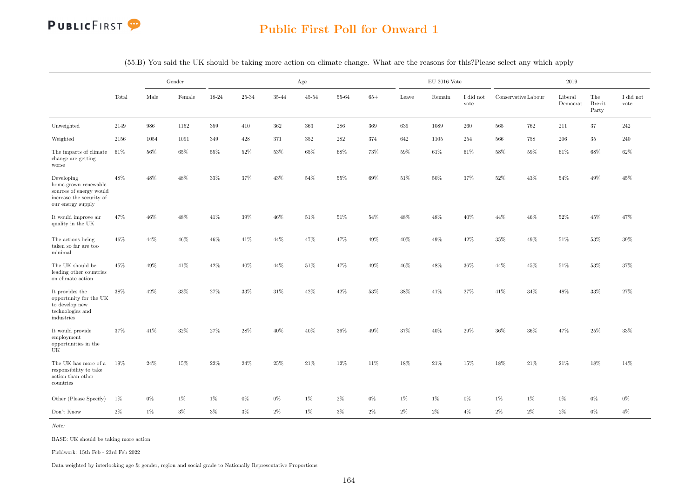

# Public First Poll for Onward 1

|                                                                                                                |       |        | Gender |        |           |         | Age       |        |        |        | $EU$ 2016 Vote |                   |        |                     | 2019                        |                               |                   |
|----------------------------------------------------------------------------------------------------------------|-------|--------|--------|--------|-----------|---------|-----------|--------|--------|--------|----------------|-------------------|--------|---------------------|-----------------------------|-------------------------------|-------------------|
|                                                                                                                | Total | Male   | Female | 18-24  | $25 - 34$ | 35-44   | $45 - 54$ | 55-64  | $65+$  | Leave  | Remain         | I did not<br>vote |        | Conservative Labour | Liberal<br>${\rm Democrat}$ | The<br><b>Brexit</b><br>Party | I did not<br>vote |
| Unweighted                                                                                                     | 2149  | 986    | 1152   | 359    | 410       | $362\,$ | 363       | 286    | 369    | 639    | 1089           | 260               | 565    | 762                 | 211                         | 37                            | 242               |
| Weighted                                                                                                       | 2156  | 1054   | 1091   | 349    | 428       | 371     | 352       | 282    | 374    | 642    | 1105           | 254               | 566    | 758                 | 206                         | 35                            | 240               |
| The impacts of climate $61\%$<br>change are getting<br>worse                                                   |       | 56%    | 65%    | $55\%$ | 52%       | 53%     | 65%       | 68%    | 73%    | 59%    | 61\%           | 61%               | 58%    | 59%                 | 61%                         | 68%                           | 62%               |
| Developing<br>home-grown renewable<br>sources of energy would<br>increase the security of<br>our energy supply | 48%   | $48\%$ | 48%    | $33\%$ | $37\%$    | $43\%$  | 54%       | $55\%$ | 69%    | $51\%$ | $50\%$         | 37%               | 52%    | 43%                 | $54\%$                      | $49\%$                        | $45\%$            |
| It would improve air<br>quality in the UK                                                                      | 47%   | $46\%$ | 48%    | $41\%$ | $39\%$    | $46\%$  | $51\%$    | $51\%$ | $54\%$ | 48%    | $48\%$         | $40\%$            | $44\%$ | 46%                 | 52%                         | $45\%$                        | 47%               |
| The actions being<br>taken so far are too<br>minimal                                                           | 46%   | 44%    | $46\%$ | $46\%$ | $41\%$    | 44%     | 47%       | 47%    | $49\%$ | $40\%$ | $49\%$         | 42%               | $35\%$ | 49%                 | 51%                         | $53\%$                        | $39\%$            |
| The UK should be<br>leading other countries<br>on climate action                                               | 45%   | 49%    | $41\%$ | $42\%$ | $40\%$    | 44%     | 51%       | 47%    | $49\%$ | 46%    | $48\%$         | 36%               | 44%    | 45%                 | 51%                         | $53\%$                        | 37%               |
| It provides the<br>opportunity for the UK<br>to develop new<br>technologies and<br>industries                  | 38%   | 42%    | 33%    | $27\%$ | 33%       | $31\%$  | 42%       | 42%    | 53%    | 38%    | 41\%           | 27%               | 41\%   | 34%                 | 48%                         | $33\%$                        | 27%               |
| It would provide<br>employment<br>opportunities in the<br>UK                                                   | 37%   | 41%    | 32%    | 27%    | 28%       | $40\%$  | 40%       | 39%    | 49%    | 37%    | 40%            | 29%               | 36%    | 36%                 | 47%                         | 25%                           | 33%               |
| The UK has more of a<br>responsibility to take<br>action than other<br>countries                               | 19%   | 24%    | 15%    | 22%    | 24%       | $25\%$  | 21\%      | 12%    | 11%    | 18%    | $21\%$         | 15%               | 18%    | 21%                 | 21%                         | 18%                           | 14%               |
| Other (Please Specify)                                                                                         | $1\%$ | $0\%$  | 1%     | 1%     | $0\%$     | $0\%$   | 1%        | $2\%$  | $0\%$  | 1%     | 1%             | $0\%$             | $1\%$  | 1%                  | $0\%$                       | $0\%$                         | $0\%$             |
| Don't Know                                                                                                     | $2\%$ | 1%     | 3%     | $3\%$  | $3\%$     | $2\%$   | 1%        | $3\%$  | 2%     | $2\%$  | $2\%$          | $4\%$             | 2%     | 2%                  | $2\%$                       | 0%                            | 4%                |

(55.B) You said the UK should be taking more action on climate change. What are the reasons for this?Please select any which apply

Note:

BASE: UK should be taking more action

Fieldwork: 15th Feb - 23rd Feb 2022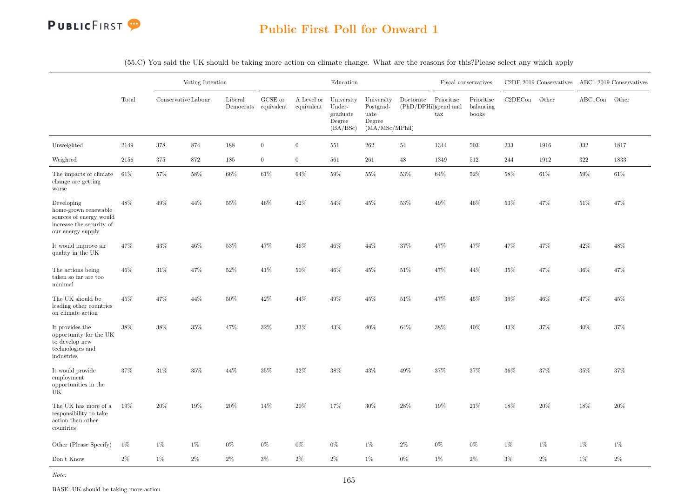

|                                                                                                                |       |                     | Voting Intention |         |                                 |                          | Education                                              |                                                             |                                                  |                   | Fiscal conservatives             |         | C2DE 2019 Conservatives ABC1 2019 Conservatives |         |       |
|----------------------------------------------------------------------------------------------------------------|-------|---------------------|------------------|---------|---------------------------------|--------------------------|--------------------------------------------------------|-------------------------------------------------------------|--------------------------------------------------|-------------------|----------------------------------|---------|-------------------------------------------------|---------|-------|
|                                                                                                                | Total | Conservative Labour |                  | Liberal | GCSE or<br>Democrats equivalent | A Level or<br>equivalent | University<br>Under-<br>graduate<br>Degree<br>(BA/BSc) | University<br>Postgrad-<br>uate<br>Degree<br>(MA/MSc/MPhil) | Doctorate<br>$(\mathrm{PhD}/\mathrm{DPHil})$ and | Prioritise<br>tax | Prioritise<br>balancing<br>books | C2DECon | Other                                           | ABC1Con | Other |
| Unweighted                                                                                                     | 2149  | 378                 | 874              | 188     | $\overline{0}$                  | $\overline{0}$           | 551                                                    | 262                                                         | 54                                               | 1344              | 503                              | 233     | 1916                                            | $332\,$ | 1817  |
| Weighted                                                                                                       | 2156  | 375                 | 872              | 185     | $\overline{0}$                  | $\overline{0}$           | 561                                                    | 261                                                         | 48                                               | 1349              | 512                              | 244     | 1912                                            | 322     | 1833  |
| The impacts of climate<br>change are getting<br>worse                                                          | 61\%  | 57%                 | 58%              | 66%     | 61\%                            | 64%                      | 59%                                                    | 55%                                                         | 53%                                              | 64%               | $52\%$                           | 58%     | 61%                                             | 59%     | 61%   |
| Developing<br>home-grown renewable<br>sources of energy would<br>increase the security of<br>our energy supply | 48%   | 49%                 | 44%              | 55%     | 46%                             | 42\%                     | 54%                                                    | 45%                                                         | 53%                                              | 49%               | 46%                              | $53\%$  | 47%                                             | 51%     | 47%   |
| It would improve air<br>quality in the UK                                                                      | 47%   | 43\%                | 46\%             | $53\%$  | 47%                             | 46%                      | $46\%$                                                 | 44%                                                         | 37%                                              | 47%               | 47%                              | 47%     | 47%                                             | 42\%    | 48%   |
| The actions being<br>taken so far are too<br>minimal                                                           | 46%   | 31%                 | 47%              | 52%     | 41\%                            | 50%                      | 46%                                                    | 45%                                                         | 51%                                              | 47%               | 44%                              | $35\%$  | 47%                                             | 36%     | 47%   |
| The UK should be $\,$<br>leading other countries<br>on climate action                                          | 45%   | 47%                 | 44%              | 50%     | 42%                             | 44%                      | 49%                                                    | 45%                                                         | 51%                                              | 47%               | 45%                              | $39\%$  | 46%                                             | 47%     | 45%   |
| It provides the<br>opportunity for the UK<br>to develop new<br>technologies and<br>industries                  | 38%   | 38%                 | 35%              | 47%     | 32%                             | 33%                      | 43%                                                    | 40%                                                         | 64%                                              | 38%               | 40%                              | 43%     | 37%                                             | 40%     | 37%   |
| It would provide<br>employment<br>opportunities in the<br>UK                                                   | 37%   | $31\%$              | 35%              | 44%     | 35%                             | $32\%$                   | $38\%$                                                 | $43\%$                                                      | 49%                                              | 37%               | $37\%$                           | $36\%$  | 37%                                             | $35\%$  | 37%   |
| The UK has more of a<br>responsibility to take<br>action than other<br>countries                               | 19%   | 20%                 | 19%              | 20%     | 14%                             | $20\%$                   | 17%                                                    | 30%                                                         | $28\%$                                           | $19\%$            | 21\%                             | 18%     | 20%                                             | 18%     | 20%   |
| Other (Please Specify)                                                                                         | $1\%$ | 1%                  | $1\%$            | $0\%$   | $0\%$                           | $0\%$                    | $0\%$                                                  | $1\%$                                                       | $2\%$                                            | $0\%$             | $0\%$                            | $1\%$   | $1\%$                                           | $1\%$   | $1\%$ |
| Don't Know                                                                                                     | $2\%$ | $1\%$               | $2\%$            | $2\%$   | $3\%$                           | $2\%$                    | $2\%$                                                  | $1\%$                                                       | $0\%$                                            | $1\%$             | $2\%$                            | $3\%$   | $2\%$                                           | $1\%$   | $2\%$ |
| Note:                                                                                                          |       |                     |                  |         |                                 |                          |                                                        |                                                             |                                                  |                   |                                  |         |                                                 |         |       |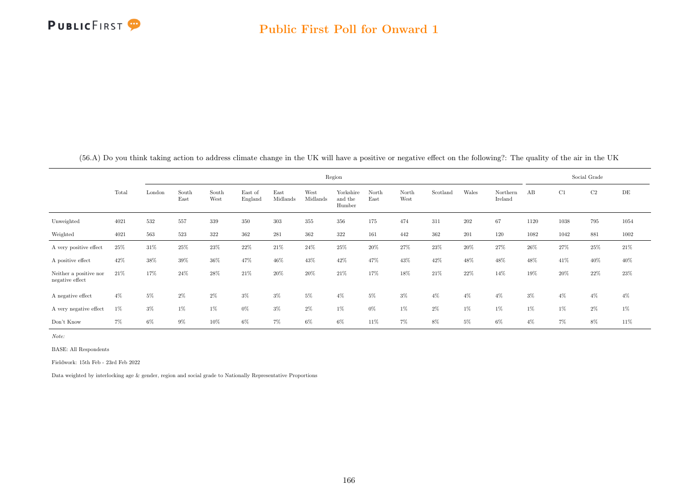

|            | Region |        |               |               |                    |                  |                  |                                |                                |               |          |       |                     |      |      | Social Grade |      |
|------------|--------|--------|---------------|---------------|--------------------|------------------|------------------|--------------------------------|--------------------------------|---------------|----------|-------|---------------------|------|------|--------------|------|
|            | Total  | London | South<br>East | South<br>West | East of<br>England | East<br>Midlands | West<br>Midlands | Yorkshire<br>and the<br>Humber | North<br>$\operatorname{East}$ | North<br>West | Scotland | Wales | Northern<br>Ireland | AB   | - C1 | C2           | DE   |
| Unweighted | 4021   | 532    | 557           | 339           | 350                | 303              | 355              | 356                            | 175                            | 474           | 311      | 202   | 67                  | 1120 | 1038 | 795          | 1054 |

Weighted 4021 563 523 322 362 281 362 322 161 442 362 201 120 1082 1042 881 1002 A very positive effect 25% 31% 25% 23% 22% 21% 24% 25% 20% 27% 23% 20% 27% 26% 27% 25% 21% A positive effect  $42\%$   $38\%$   $39\%$   $36\%$   $47\%$   $46\%$   $43\%$   $42\%$   $47\%$   $43\%$   $42\%$   $48\%$   $48\%$   $48\%$   $48\%$   $41\%$   $40\%$   $40\%$ 

A negative effect  $4\%$  5%  $2\%$   $2\%$   $3\%$   $3\%$   $5\%$   $4\%$   $5\%$   $3\%$   $4\%$   $4\%$   $3\%$   $4\%$   $4\%$   $4\%$ A very negative effect  $1\%$  3%  $1\%$   $1\%$   $1\%$   $0\%$   $3\%$   $2\%$   $1\%$   $0\%$   $1\%$   $2\%$   $1\%$   $1\%$   $1\%$   $1\%$   $1\%$ Don't Know 7% 6% 9% 10% 6% 7% 6% 6% 11% 7% 8% 5% 6% 4% 7% 8% 11%

 $21\% \qquad \qquad 17\% \qquad \qquad 24\% \qquad \qquad 28\% \qquad \qquad 21\% \qquad \qquad 20\% \qquad \qquad 21\% \qquad \qquad 17\% \qquad \qquad 18\% \qquad \qquad 21\% \qquad \qquad 21\% \qquad \qquad 22\% \qquad \qquad 14\% \qquad \qquad 19\% \qquad \qquad 20\% \qquad \qquad 23\% \qquad \qquad 23\% \qquad \qquad 24\% \qquad \qquad 24\% \qquad \qquad 24\% \qquad \qquad$ 

(56.A) Do you think taking action to address climate change in the UK will have a positive or negative effect on the following?: The quality of the air in the UK

Note:

BASE: All Respondents

Neither a positive nor negative effect

Fieldwork: 15th Feb - 23rd Feb 2022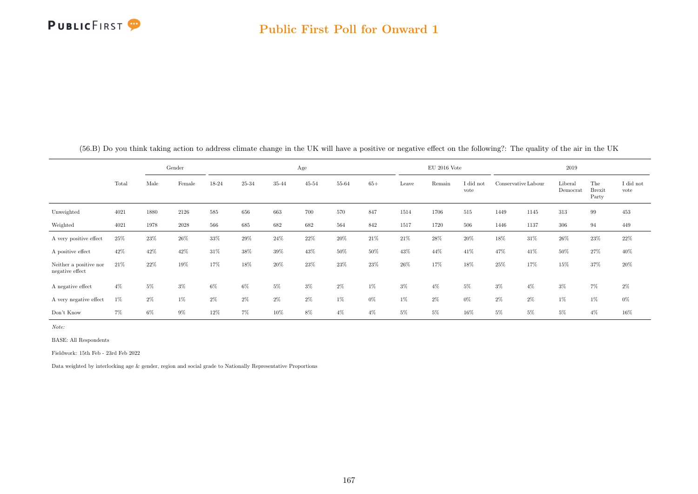

|                                           |       |       | Gender |       |       |        | Age   |       |       |       | $\rm EU$ 2016 Vote |                   |       |                     | 2019                |                               |                   |
|-------------------------------------------|-------|-------|--------|-------|-------|--------|-------|-------|-------|-------|--------------------|-------------------|-------|---------------------|---------------------|-------------------------------|-------------------|
|                                           | Total | Male  | Female | 18-24 | 25-34 | 35-44  | 45-54 | 55-64 | $65+$ | Leave | Remain             | I did not<br>vote |       | Conservative Labour | Liberal<br>Democrat | The<br><b>Brexit</b><br>Party | I did not<br>vote |
| Unweighted                                | 4021  | 1880  | 2126   | 585   | 656   | 663    | 700   | 570   | 847   | 1514  | 1706               | 515               | 1449  | 1145                | 313                 | 99                            | 453               |
| Weighted                                  | 4021  | 1978  | 2028   | 566   | 685   | 682    | 682   | 564   | 842   | 1517  | 1720               | 506               | 1446  | 1137                | 306                 | 94                            | 449               |
| A very positive effect                    | 25%   | 23%   | $26\%$ | 33%   | 29%   | 24\%   | 22%   | 20%   | 21\%  | 21%   | 28%                | 20%               | 18%   | 31\%                | $26\%$              | 23%                           | 22%               |
| A positive effect                         | 42\%  | 42%   | 42\%   | 31\%  | 38%   | $39\%$ | 43%   | 50%   | 50%   | 43%   | 44%                | 41\%              | 47%   | 41\%                | $50\%$              | 27%                           | $40\%$            |
| Neither a positive nor<br>negative effect | 21\%  | 22%   | 19%    | 17%   | 18%   | 20%    | 23%   | 23%   | 23%   | 26%   | 17%                | 18%               | 25%   | 17%                 | 15%                 | 37%                           | 20%               |
| A negative effect                         | $4\%$ | $5\%$ | $3\%$  | 6%    | 6%    | 5%     | $3\%$ | $2\%$ | $1\%$ | $3\%$ | $4\%$              | 5%                | $3\%$ | $4\%$               | $3\%$               | 7%                            | $2\%$             |
| A very negative effect                    | 1%    | $2\%$ | $1\%$  | $2\%$ | 2%    | 2%     | $2\%$ | $1\%$ | $0\%$ | $1\%$ | $2\%$              | $0\%$             | $2\%$ | $2\%$               | 1%                  | $1\%$                         | $0\%$             |
| Don't Know                                | 7%    | $6\%$ | $9\%$  | 12%   | $7\%$ | 10%    | $8\%$ | $4\%$ | $4\%$ | $5\%$ | 5%                 | 16%               | $5\%$ | 5%                  | $5\%$               | $4\%$                         | 16%               |

(56.B) Do you think taking action to address climate change in the UK will have a positive or negative effect on the following?: The quality of the air in the UK

Note:

BASE: All Respondents

Fieldwork: 15th Feb - 23rd Feb 2022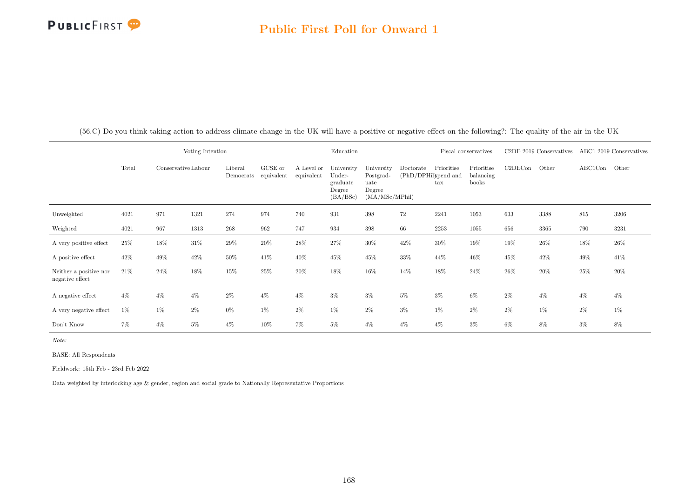#### Public First Poll for Onward 1

|                                           |       |                     | Voting Intention |                      |                       |                          | Education                                              |                                                             |           |                                                    | Fiscal conservatives             |         | C <sub>2</sub> DE 2019 Conservatives |               | ABC1 2019 Conservatives |
|-------------------------------------------|-------|---------------------|------------------|----------------------|-----------------------|--------------------------|--------------------------------------------------------|-------------------------------------------------------------|-----------|----------------------------------------------------|----------------------------------|---------|--------------------------------------|---------------|-------------------------|
|                                           | Total | Conservative Labour |                  | Liberal<br>Democrats | GCSE or<br>equivalent | A Level or<br>equivalent | University<br>Under-<br>graduate<br>Degree<br>(BA/BSc) | University<br>Postgrad-<br>uate<br>Degree<br>(MA/MSc/MPhil) | Doctorate | Prioritise<br>(PhD/DPHil)spend and<br>$_{\rm tax}$ | Prioritise<br>balancing<br>books | C2DECon | Other                                | $\rm ABC1Con$ | Other                   |
| Unweighted                                | 4021  | 971                 | 1321             | 274                  | 974                   | 740                      | 931                                                    | 398                                                         | 72        | 2241                                               | 1053                             | 633     | 3388                                 | 815           | 3206                    |
| Weighted                                  | 4021  | 967                 | 1313             | $268\,$              | 962                   | 747                      | 934                                                    | $398\,$                                                     | 66        | 2253                                               | 1055                             | 656     | 3365                                 | 790           | 3231                    |
| A very positive effect                    | 25%   | 18%                 | $31\%$           | 29%                  | 20%                   | 28%                      | 27%                                                    | $30\%$                                                      | $42\%$    | $30\%$                                             | 19%                              | 19%     | 26%                                  | $18\%$        | 26%                     |
| A positive effect                         | 42\%  | 49%                 | $42\%$           | 50%                  | 41\%                  | 40%                      | 45%                                                    | $45\%$                                                      | $33\%$    | 44%                                                | 46%                              | 45%     | $42\%$                               | 49%           | 41\%                    |
| Neither a positive nor<br>negative effect | 21\%  | 24%                 | 18%              | 15%                  | 25%                   | 20%                      | 18%                                                    | 16%                                                         | 14%       | 18%                                                | 24\%                             | 26%     | 20%                                  | 25%           | 20%                     |
| A negative effect                         | $4\%$ | $4\%$               | $4\%$            | $2\%$                | $4\%$                 | $4\%$                    | $3\%$                                                  | $3\%$                                                       | $5\%$     | $3\%$                                              | 6%                               | $2\%$   | $4\%$                                | $4\%$         | $4\%$                   |
| A very negative effect                    | $1\%$ | $1\%$               | $2\%$            | 0%                   | $1\%$                 | $2\%$                    | 1%                                                     | $2\%$                                                       | $3\%$     | $1\%$                                              | $2\%$                            | $2\%$   | $1\%$                                | $2\%$         | $1\%$                   |
| Don't Know                                | 7%    | $4\%$               | $5\%$            | $4\%$                | 10%                   | 7%                       | 5%                                                     | $4\%$                                                       | $4\%$     | $4\%$                                              | $3\%$                            | $6\%$   | 8%                                   | $3\%$         | 8%                      |

(56.C) Do you think taking action to address climate change in the UK will have a positive or negative effect on the following?: The quality of the air in the UK

Note:

BASE: All Respondents

Fieldwork: 15th Feb - 23rd Feb 2022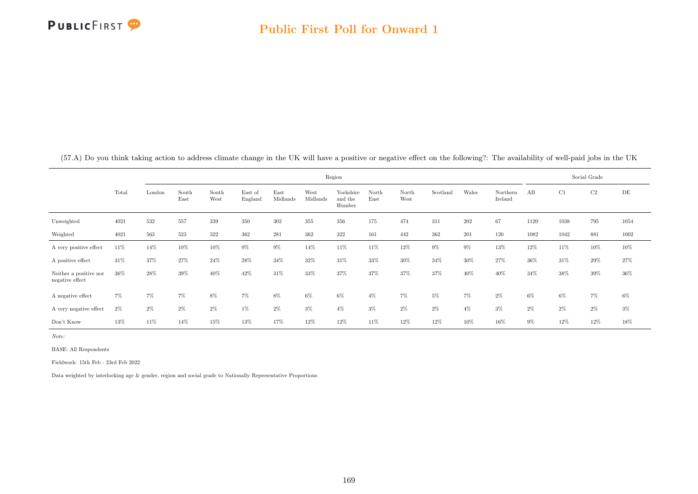

|                                           |       |        |               |               |                    |                  |                  | Region                         |               |               |          |       |                     |        |       | Social Grade |       |
|-------------------------------------------|-------|--------|---------------|---------------|--------------------|------------------|------------------|--------------------------------|---------------|---------------|----------|-------|---------------------|--------|-------|--------------|-------|
|                                           | Total | London | South<br>East | South<br>West | East of<br>England | East<br>Midlands | West<br>Midlands | Yorkshire<br>and the<br>Humber | North<br>East | North<br>West | Scotland | Wales | Northern<br>Ireland | AB     | C1    | C2           | DE    |
| Unweighted                                | 4021  | 532    | 557           | 339           | 350                | 303              | 355              | 356                            | 175           | 474           | 311      | 202   | 67                  | 1120   | 1038  | 795          | 1054  |
| Weighted                                  | 4021  | 563    | 523           | 322           | 362                | 281              | 362              | 322                            | 161           | 442           | 362      | 201   | 120                 | 1082   | 1042  | 881          | 1002  |
| A very positive effect                    | 11%   | 14%    | 10%           | 10%           | 9%                 | 9%               | 14%              | 11%                            | 11%           | 12%           | $9\%$    | 9%    | 13%                 | 12%    | 11%   | 10%          | 10%   |
| A positive effect                         | 31\%  | 37%    | 27%           | 24%           | 28%                | 34%              | 32%              | 31%                            | 33%           | 30%           | 34%      | 30%   | 27%                 | $36\%$ | 31%   | 29%          | 27%   |
| Neither a positive nor<br>negative effect | 36%   | 28%    | 39%           | 40%           | 42%                | 31%              | 33%              | 37%                            | 37%           | 37%           | 37%      | 40%   | 40%                 | 34%    | 38%   | 39%          | 36%   |
| A negative effect                         | 7%    | 7%     | $7\%$         | 8%            | 7%                 | 8%               | 6%               | $6\%$                          | $4\%$         | 7%            | 5%       | 7%    | $2\%$               | $6\%$  | 6%    | 7%           | 6%    |
| A very negative effect                    | $2\%$ | $2\%$  | $2\%$         | 2%            | $1\%$              | 2%               | $3\%$            | $4\%$                          | $3\%$         | $2\%$         | $2\%$    | $4\%$ | $3\%$               | $2\%$  | $2\%$ | $2\%$        | $3\%$ |
| Don't Know                                | 13%   | 11%    | 14%           | 15%           | 13%                | 17%              | 12%              | 12%                            | 11\%          | 12%           | 12%      | 10%   | 16%                 | $9\%$  | 12%   | 12%          | 18%   |

(57.A) Do you think taking action to address climate change in the UK will have a positive or negative effect on the following?: The availability of well-paid jobs in the UK

Note:

BASE: All Respondents

Fieldwork: 15th Feb - 23rd Feb 2022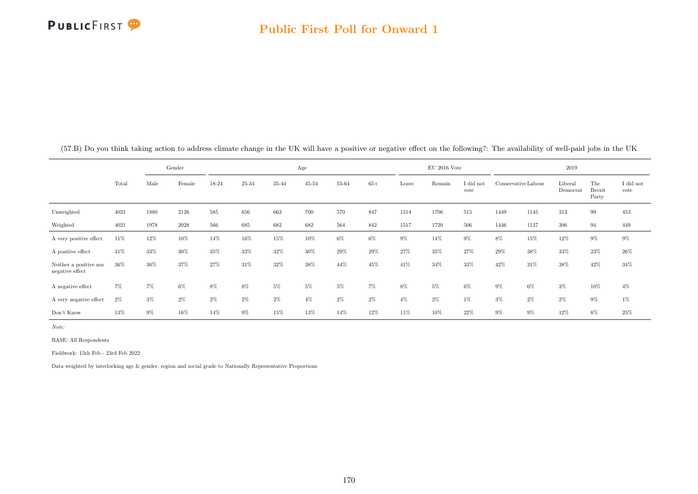

|                                           |        |       | Gender |       |       |       | Age       |       |       |       | $\rm EU$ 2016 Vote |                   |                     |       | 2019                |                               |                   |
|-------------------------------------------|--------|-------|--------|-------|-------|-------|-----------|-------|-------|-------|--------------------|-------------------|---------------------|-------|---------------------|-------------------------------|-------------------|
|                                           | Total  | Male  | Female | 18-24 | 25-34 | 35-44 | $45 - 54$ | 55-64 | $65+$ | Leave | Remain             | I did not<br>vote | Conservative Labour |       | Liberal<br>Democrat | The<br><b>Brexit</b><br>Party | I did not<br>vote |
| Unweighted                                | 4021   | 1880  | 2126   | 585   | 656   | 663   | 700       | 570   | 847   | 1514  | 1706               | 515               | 1449                | 1145  | 313                 | 99                            | 453               |
| Weighted                                  | 4021   | 1978  | 2028   | 566   | 685   | 682   | 682       | 564   | 842   | 1517  | 1720               | 506               | 1446                | 1137  | 306                 | 94                            | 449               |
| A very positive effect                    | 11\%   | 12%   | 10%    | 14%   | 16%   | 15%   | $10\%$    | $6\%$ | $6\%$ | $9\%$ | 14%                | $9\%$             | 8%                  | 15%   | 12%                 | $9\%$                         | $9\%$             |
| A positive effect                         | 31\%   | 33%   | 30%    | 35%   | 33%   | 32%   | 30%       | 29%   | 29%   | 27%   | 35%                | 27%               | 29%                 | 38%   | 33%                 | 23%                           | $26\%$            |
| Neither a positive nor<br>negative effect | $36\%$ | 36%   | 37%    | 27%   | 31%   | 32%   | 38%       | 44%   | 45%   | 41\%  | 34%                | 33%               | 42\%                | 31%   | 38%                 | 42%                           | 34%               |
| A negative effect                         | 7%     | $7\%$ | $6\%$  | 8%    | 8%    | 5%    | 5%        | $5\%$ | $7\%$ | 8%    | $5\%$              | $6\%$             | $9\%$               | $6\%$ | $3\%$               | 10%                           | $4\%$             |
| A very negative effect                    | $2\%$  | $3\%$ | $2\%$  | $2\%$ | $2\%$ | 2%    | $4\%$     | $2\%$ | $2\%$ | $4\%$ | $2\%$              | $1\%$             | $3\%$               | $2\%$ | $2\%$               | $9\%$                         | $1\%$             |
| Don't Know                                | 13%    | $9\%$ | 16%    | 14%   | $9\%$ | 15%   | 13%       | 14%   | 12%   | 11%   | 10%                | 22%               | $9\%$               | $9\%$ | 12%                 | 8%                            | 25%               |

(57.B) Do you think taking action to address climate change in the UK will have a positive or negative effect on the following?: The availability of well-paid jobs in the UK

Note:

BASE: All Respondents

Fieldwork: 15th Feb - 23rd Feb 2022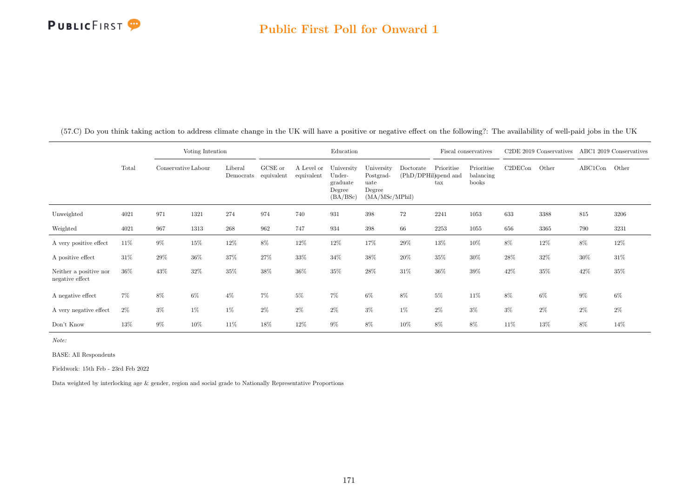#### Public First Poll for Onward 1

|                                           |        |                     | Voting Intention |                      |                       |                          | Education                                              |                                                             |           |                                                    | Fiscal conservatives             |         | C <sub>2</sub> DE 2019 Conservatives |         | ABC1 2019 Conservatives |
|-------------------------------------------|--------|---------------------|------------------|----------------------|-----------------------|--------------------------|--------------------------------------------------------|-------------------------------------------------------------|-----------|----------------------------------------------------|----------------------------------|---------|--------------------------------------|---------|-------------------------|
|                                           | Total  | Conservative Labour |                  | Liberal<br>Democrats | GCSE or<br>equivalent | A Level or<br>equivalent | University<br>Under-<br>graduate<br>Degree<br>(BA/BSc) | University<br>Postgrad-<br>uate<br>Degree<br>(MA/MSc/MPhil) | Doctorate | Prioritise<br>(PhD/DPHil)spend and<br>$_{\rm tax}$ | Prioritise<br>balancing<br>books | C2DECon | Other                                | ABC1Con | Other                   |
| Unweighted                                | 4021   | 971                 | 1321             | 274                  | 974                   | 740                      | 931                                                    | 398                                                         | 72        | 2241                                               | 1053                             | 633     | 3388                                 | 815     | 3206                    |
| Weighted                                  | 4021   | 967                 | 1313             | $268\,$              | 962                   | 747                      | 934                                                    | 398                                                         | 66        | 2253                                               | 1055                             | 656     | 3365                                 | 790     | 3231                    |
| A very positive effect                    | 11\%   | $9\%$               | $15\%$           | 12%                  | 8%                    | 12%                      | $12\%$                                                 | 17%                                                         | $29\%$    | $13\%$                                             | 10%                              | 8%      | $12\%$                               | $8\%$   | 12%                     |
| A positive effect                         | $31\%$ | 29%                 | $36\%$           | 37%                  | 27%                   | 33%                      | 34%                                                    | $38\%$                                                      | 20%       | 35%                                                | 30%                              | 28%     | 32%                                  | 30%     | 31%                     |
| Neither a positive nor<br>negative effect | 36%    | 43%                 | $32\%$           | 35%                  | 38%                   | 36%                      | 35%                                                    | $28\%$                                                      | $31\%$    | $36\%$                                             | 39%                              | 42%     | 35%                                  | 42%     | 35%                     |
| A negative effect                         | 7%     | 8%                  | 6%               | $4\%$                | 7%                    | $5\%$                    | 7%                                                     | $6\%$                                                       | $8\%$     | $5\%$                                              | 11%                              | 8%      | $6\%$                                | $9\%$   | $6\%$                   |
| A very negative effect                    | $2\%$  | $3\%$               | 1%               | $1\%$                | $2\%$                 | $2\%$                    | $2\%$                                                  | $3\%$                                                       | $1\%$     | $2\%$                                              | $3\%$                            | $3\%$   | $2\%$                                | $2\%$   | $2\%$                   |
| Don't Know                                | 13%    | $9\%$               | 10%              | 11%                  | 18%                   | 12%                      | $9\%$                                                  | 8%                                                          | 10%       | 8%                                                 | 8%                               | 11%     | 13%                                  | 8%      | 14%                     |

(57.C) Do you think taking action to address climate change in the UK will have a positive or negative effect on the following?: The availability of well-paid jobs in the UK

Note:

BASE: All Respondents

Fieldwork: 15th Feb - 23rd Feb 2022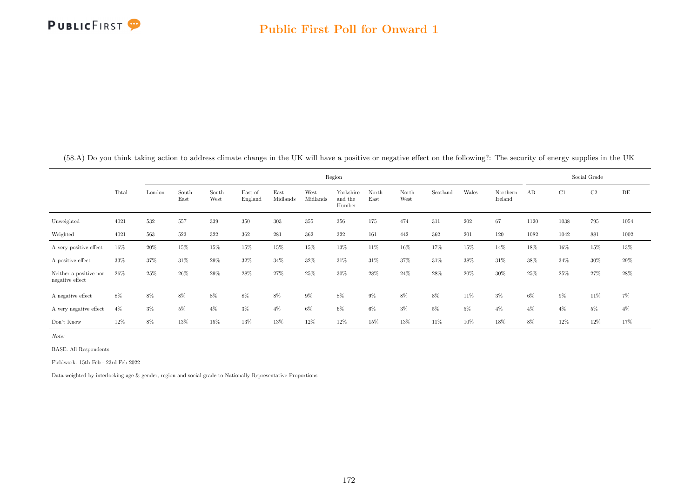

|                                           |       |        |               |               |                    |                  |                  | Region                         |               |               |          |        |                     |        |       | Social Grade |       |
|-------------------------------------------|-------|--------|---------------|---------------|--------------------|------------------|------------------|--------------------------------|---------------|---------------|----------|--------|---------------------|--------|-------|--------------|-------|
|                                           | Total | London | South<br>East | South<br>West | East of<br>England | East<br>Midlands | West<br>Midlands | Yorkshire<br>and the<br>Humber | North<br>East | North<br>West | Scotland | Wales  | Northern<br>Ireland | AB     | C1    | $\rm C2$     | DE    |
| Unweighted                                | 4021  | 532    | 557           | 339           | 350                | 303              | 355              | 356                            | 175           | 474           | 311      | 202    | 67                  | 1120   | 1038  | 795          | 1054  |
| Weighted                                  | 4021  | 563    | 523           | $322\,$       | 362                | 281              | $362\,$          | $322\,$                        | 161           | 442           | 362      | 201    | 120                 | 1082   | 1042  | 881          | 1002  |
| A very positive effect                    | 16%   | 20%    | 15%           | 15%           | 15%                | 15%              | 15%              | 13%                            | 11%           | 16%           | 17%      | 15%    | 14%                 | 18%    | 16%   | 15%          | 13%   |
| A positive effect                         | 33%   | 37%    | 31%           | 29%           | 32%                | 34%              | 32%              | 31%                            | 31\%          | 37%           | 31%      | 38%    | 31%                 | 38%    | 34%   | 30%          | 29%   |
| Neither a positive nor<br>negative effect | 26\%  | 25%    | 26%           | 29%           | 28%                | 27%              | 25%              | 30%                            | 28%           | 24%           | 28%      | $20\%$ | 30%                 | $25\%$ | 25%   | 27%          | 28%   |
| A negative effect                         | $8\%$ | 8%     | 8%            | 8%            | 8%                 | 8%               | $9\%$            | $8\%$                          | $9\%$         | $8\%$         | 8%       | 11%    | $3\%$               | $6\%$  | $9\%$ | 11%          | $7\%$ |
| A very negative effect                    | $4\%$ | $3\%$  | 5%            | $4\%$         | $3\%$              | $4\%$            | $6\%$            | $6\%$                          | $6\%$         | $3\%$         | $5\%$    | 5%     | $4\%$               | $4\%$  | $4\%$ | $5\%$        | $4\%$ |
| Don't Know                                | 12%   | 8%     | $13\%$        | 15%           | 13%                | 13%              | 12%              | 12%                            | 15%           | 13%           | 11%      | 10%    | 18%                 | 8%     | 12%   | 12%          | 17%   |

(58.A) Do you think taking action to address climate change in the UK will have a positive or negative effect on the following?: The security of energy supplies in the UK

Note:

BASE: All Respondents

Fieldwork: 15th Feb - 23rd Feb 2022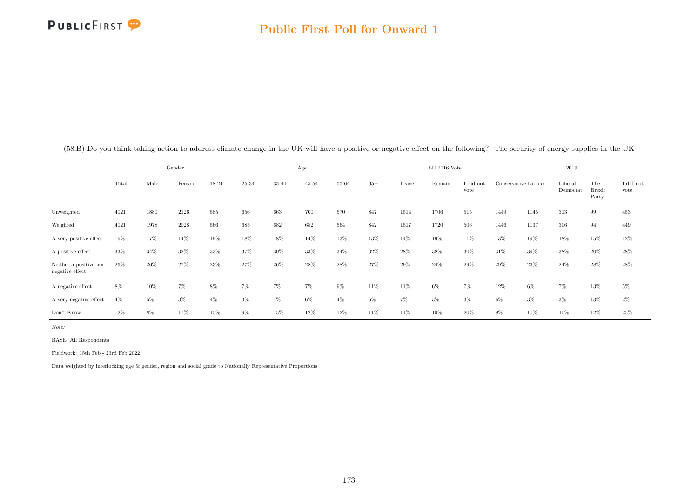

|                                           |        |       | Gender |       |       |       | Age       |       |       |       | $EU$ 2016 Vote |                   |                     |       | 2019                |                               |                   |
|-------------------------------------------|--------|-------|--------|-------|-------|-------|-----------|-------|-------|-------|----------------|-------------------|---------------------|-------|---------------------|-------------------------------|-------------------|
|                                           | Total  | Male  | Female | 18-24 | 25-34 | 35-44 | $45 - 54$ | 55-64 | $65+$ | Leave | Remain         | I did not<br>vote | Conservative Labour |       | Liberal<br>Democrat | The<br><b>Brexit</b><br>Party | I did not<br>vote |
| Unweighted                                | 4021   | 1880  | 2126   | 585   | 656   | 663   | 700       | 570   | 847   | 1514  | 1706           | $515\,$           | 1449                | 1145  | 313                 | 99                            | 453               |
| Weighted                                  | 4021   | 1978  | 2028   | 566   | 685   | 682   | 682       | 564   | 842   | 1517  | 1720           | 506               | 1446                | 1137  | 306                 | 94                            | 449               |
| A very positive effect                    | 16%    | 17%   | 14%    | 19%   | 18%   | 18%   | 14%       | 13%   | 13%   | 14%   | 19%            | 11%               | 13%                 | 19%   | 18%                 | 15%                           | 12%               |
| A positive effect                         | 33%    | 34%   | 32%    | 33%   | 37%   | 30%   | 33%       | 34%   | 32%   | 28%   | 38%            | 30%               | 31\%                | 39%   | 38%                 | 20%                           | 28%               |
| Neither a positive nor<br>negative effect | $26\%$ | 26%   | 27%    | 23%   | 27%   | 26%   | 28%       | 28%   | 27%   | 29%   | 24%            | $29\%$            | $29\%$              | 23%   | 24\%                | 28%                           | 28%               |
| A negative effect                         | 8%     | 10%   | 7%     | 8%    | 7%    | 7%    | 7%        | $9\%$ | 11%   | 11%   | $6\%$          | $7\%$             | 12%                 | $6\%$ | $7\%$               | 13%                           | 5%                |
| A very negative effect                    | $4\%$  | $5\%$ | $3\%$  | $4\%$ | $3\%$ | $4\%$ | 6%        | $4\%$ | $5\%$ | $7\%$ | $3\%$          | $3\%$             | 6%                  | $3\%$ | $3\%$               | 13%                           | $2\%$             |
| Don't Know                                | 12%    | 8%    | 17%    | 15%   | 9%    | 15%   | 12%       | 12%   | 11%   | 11%   | 10%            | 20%               | 9%                  | 10%   | 10%                 | 12%                           | 25%               |

(58.B) Do you think taking action to address climate change in the UK will have a positive or negative effect on the following?: The security of energy supplies in the UK

Note:

BASE: All Respondents

Fieldwork: 15th Feb - 23rd Feb 2022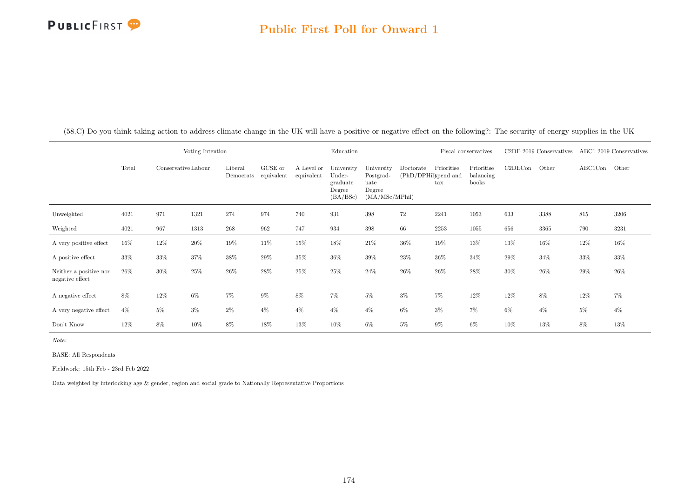#### Public First Poll for Onward 1

|                                           |       |                     | Voting Intention |                      |                       |                          | Education                                              |                                                             |           |                                                            | Fiscal conservatives             |         | C <sub>2</sub> DE 2019 Conservatives |         | ABC1 2019 Conservatives |
|-------------------------------------------|-------|---------------------|------------------|----------------------|-----------------------|--------------------------|--------------------------------------------------------|-------------------------------------------------------------|-----------|------------------------------------------------------------|----------------------------------|---------|--------------------------------------|---------|-------------------------|
|                                           | Total | Conservative Labour |                  | Liberal<br>Democrats | GCSE or<br>equivalent | A Level or<br>equivalent | University<br>Under-<br>graduate<br>Degree<br>(BA/BSc) | University<br>Postgrad-<br>uate<br>Degree<br>(MA/MSc/MPhil) | Doctorate | Prioritise<br>(PhD/DPHil)spend and<br>$\operatorname{tax}$ | Prioritise<br>balancing<br>books | C2DECon | Other                                | ABC1Con | Other                   |
| Unweighted                                | 4021  | 971                 | 1321             | 274                  | 974                   | 740                      | 931                                                    | 398                                                         | 72        | 2241                                                       | 1053                             | 633     | 3388                                 | 815     | 3206                    |
| Weighted                                  | 4021  | 967                 | 1313             | 268                  | 962                   | 747                      | 934                                                    | 398                                                         | 66        | 2253                                                       | 1055                             | 656     | 3365                                 | 790     | 3231                    |
| A very positive effect                    | 16%   | 12%                 | $20\%$           | 19%                  | 11%                   | 15%                      | 18%                                                    | $21\%$                                                      | 36%       | 19%                                                        | 13%                              | 13%     | 16%                                  | 12%     | 16%                     |
| A positive effect                         | 33%   | $33\%$              | $37\%$           | $38\%$               | 29%                   | 35%                      | 36%                                                    | $39\%$                                                      | $23\%$    | $36\%$                                                     | 34%                              | 29%     | $34\%$                               | 33%     | 33%                     |
| Neither a positive nor<br>negative effect | 26\%  | $30\%$              | $25\%$           | 26\%                 | 28%                   | 25%                      | $25\%$                                                 | $24\%$                                                      | $26\%$    | 26%                                                        | 28%                              | 30%     | $26\%$                               | 29%     | $26\%$                  |
| A negative effect                         | 8%    | 12%                 | $6\%$            | 7%                   | $9\%$                 | 8%                       | 7%                                                     | $5\%$                                                       | $3\%$     | 7%                                                         | 12%                              | 12%     | $8\%$                                | 12%     | 7%                      |
| A very negative effect                    | $4\%$ | $5\%$               | $3\%$            | $2\%$                | $4\%$                 | $4\%$                    | $4\%$                                                  | $4\%$                                                       | $6\%$     | $3\%$                                                      | $7\%$                            | 6%      | $4\%$                                | $5\%$   | $4\%$                   |
| Don't Know                                | 12%   | $8\%$               | 10%              | 8%                   | 18%                   | 13%                      | 10%                                                    | $6\%$                                                       | $5\%$     | $9\%$                                                      | 6%                               | 10%     | 13%                                  | 8%      | 13%                     |

(58.C) Do you think taking action to address climate change in the UK will have a positive or negative effect on the following?: The security of energy supplies in the UK

Note:

BASE: All Respondents

Fieldwork: 15th Feb - 23rd Feb 2022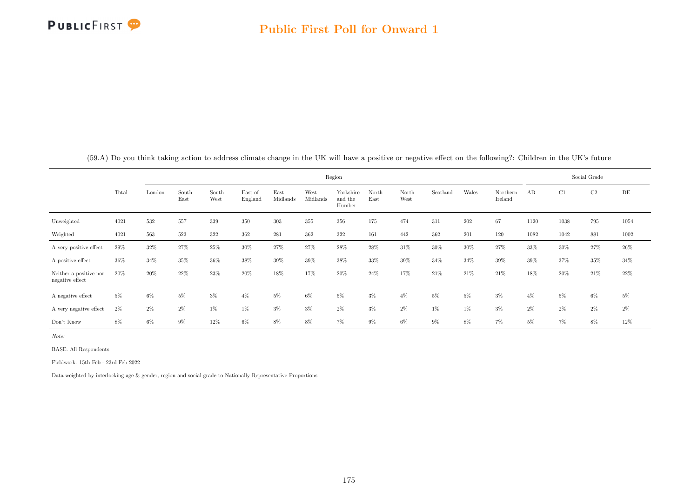

|                                           |       |        |               |               |                    |                  |                  | Region                         |               |               |          |       |                     |       |       | Social Grade |        |
|-------------------------------------------|-------|--------|---------------|---------------|--------------------|------------------|------------------|--------------------------------|---------------|---------------|----------|-------|---------------------|-------|-------|--------------|--------|
|                                           | Total | London | South<br>East | South<br>West | East of<br>England | East<br>Midlands | West<br>Midlands | Yorkshire<br>and the<br>Humber | North<br>East | North<br>West | Scotland | Wales | Northern<br>Ireland | AB    | C1    | C2           | DE     |
| Unweighted                                | 4021  | 532    | 557           | 339           | 350                | 303              | 355              | 356                            | 175           | 474           | 311      | 202   | 67                  | 1120  | 1038  | 795          | 1054   |
| Weighted                                  | 4021  | 563    | 523           | 322           | 362                | 281              | 362              | 322                            | 161           | 442           | 362      | 201   | 120                 | 1082  | 1042  | 881          | 1002   |
| A very positive effect                    | 29%   | 32%    | 27%           | 25%           | $30\%$             | 27%              | 27%              | 28%                            | 28%           | 31%           | 30%      | 30%   | 27%                 | 33%   | 30%   | 27%          | $26\%$ |
| A positive effect                         | 36%   | 34%    | 35%           | 36%           | 38%                | 39%              | $39\%$           | 38%                            | 33%           | 39%           | 34%      | 34%   | 39%                 | 39%   | 37%   | 35%          | 34%    |
| Neither a positive nor<br>negative effect | 20%   | 20%    | 22%           | 23%           | $20\%$             | 18%              | 17%              | 20%                            | 24%           | 17%           | $21\%$   | 21\%  | 21%                 | 18%   | 20%   | 21\%         | 22\%   |
| A negative effect                         | $5\%$ | $6\%$  | 5%            | 3%            | $4\%$              | 5%               | $6\%$            | $5\%$                          | $3\%$         | $4\%$         | $5\%$    | $5\%$ | $3\%$               | $4\%$ | $5\%$ | 6%           | $5\%$  |
| A very negative effect                    | $2\%$ | $2\%$  | $2\%$         | 1%            | 1%                 | $3\%$            | $3\%$            | $2\%$                          | $3\%$         | $2\%$         | $1\%$    | $1\%$ | $3\%$               | $2\%$ | $2\%$ | $2\%$        | $2\%$  |
| Don't Know                                | 8%    | $6\%$  | $9\%$         | 12%           | 6%                 | 8%               | $8\%$            | $7\%$                          | $9\%$         | $6\%$         | $9\%$    | $8\%$ | $7\%$               | $5\%$ | 7%    | 8%           | 12%    |

(59.A) Do you think taking action to address climate change in the UK will have a positive or negative effect on the following?: Children in the UK's future

Note:

BASE: All Respondents

Fieldwork: 15th Feb - 23rd Feb 2022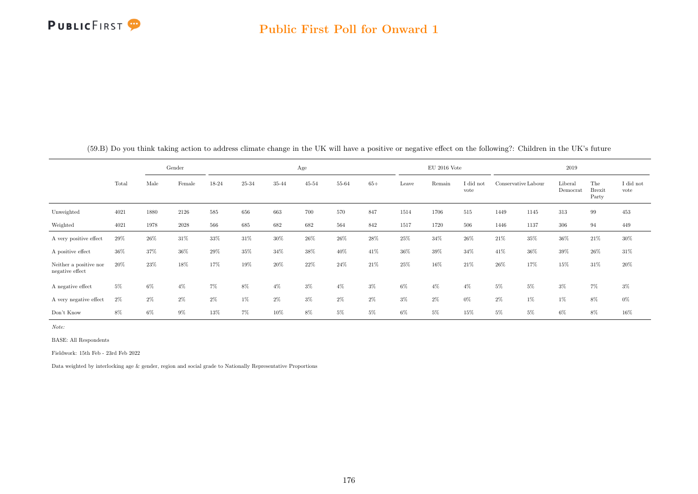

|                                           |       |       | Gender |       |       |        | Age   |       |        |       | $EU$ 2016 Vote |                   |                     |        | 2019                |                               |                   |
|-------------------------------------------|-------|-------|--------|-------|-------|--------|-------|-------|--------|-------|----------------|-------------------|---------------------|--------|---------------------|-------------------------------|-------------------|
|                                           | Total | Male  | Female | 18-24 | 25-34 | 35-44  | 45-54 | 55-64 | $65+$  | Leave | Remain         | I did not<br>vote | Conservative Labour |        | Liberal<br>Democrat | The<br><b>Brexit</b><br>Party | I did not<br>vote |
| Unweighted                                | 4021  | 1880  | 2126   | 585   | 656   | 663    | 700   | 570   | 847    | 1514  | 1706           | 515               | 1449                | 1145   | 313                 | 99                            | 453               |
| Weighted                                  | 4021  | 1978  | 2028   | 566   | 685   | 682    | 682   | 564   | 842    | 1517  | 1720           | 506               | 1446                | 1137   | 306                 | 94                            | 449               |
| A very positive effect                    | 29%   | 26%   | $31\%$ | 33%   | 31\%  | 30%    | 26%   | 26%   | $28\%$ | 25%   | 34\%           | 26%               | 21\%                | 35%    | $36\%$              | 21%                           | $30\%$            |
| A positive effect                         | 36%   | 37%   | 36%    | 29%   | 35%   | 34%    | 38%   | 40%   | 41\%   | 36%   | 39%            | 34%               | 41\%                | $36\%$ | $39\%$              | 26%                           | 31\%              |
| Neither a positive nor<br>negative effect | 20%   | 23%   | 18%    | 17%   | 19%   | $20\%$ | 22%   | 24%   | 21%    | 25%   | 16%            | 21\%              | 26\%                | 17%    | 15%                 | 31%                           | 20%               |
| A negative effect                         | $5\%$ | $6\%$ | $4\%$  | 7%    | 8%    | $4\%$  | $3\%$ | $4\%$ | $3\%$  | $6\%$ | $4\%$          | $4\%$             | $5\%$               | $5\%$  | $3\%$               | $7\%$                         | $3\%$             |
| A very negative effect                    | $2\%$ | $2\%$ | $2\%$  | $2\%$ | 1%    | 2%     | $3\%$ | $2\%$ | $2\%$  | $3\%$ | $2\%$          | $0\%$             | $2\%$               | $1\%$  | 1%                  | 8%                            | $0\%$             |
| Don't Know                                | 8%    | $6\%$ | $9\%$  | 13%   | $7\%$ | 10%    | 8%    | $5\%$ | $5\%$  | $6\%$ | $5\%$          | 15%               | $5\%$               | $5\%$  | $6\%$               | 8%                            | 16%               |

(59.B) Do you think taking action to address climate change in the UK will have a positive or negative effect on the following?: Children in the UK's future

Note:

BASE: All Respondents

Fieldwork: 15th Feb - 23rd Feb 2022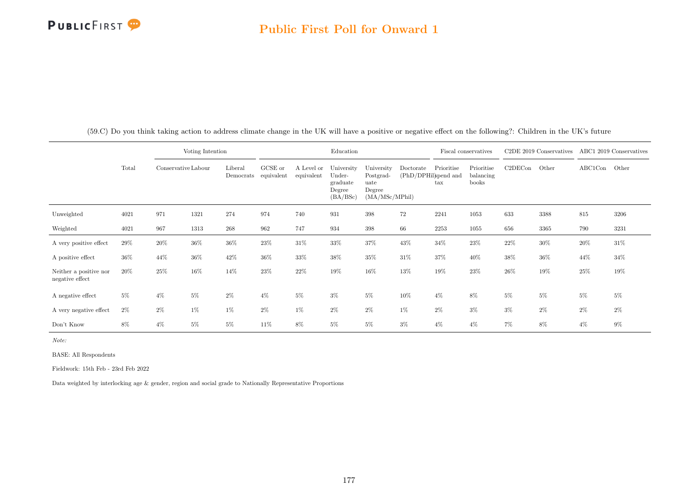#### Public First Poll for Onward 1

|                                           |       |                     | Voting Intention |                      |                       |                          | Education                                              |                                                              |           |                                                    | Fiscal conservatives             |         | C2DE 2019 Conservatives ABC1 2019 Conservatives |         |        |
|-------------------------------------------|-------|---------------------|------------------|----------------------|-----------------------|--------------------------|--------------------------------------------------------|--------------------------------------------------------------|-----------|----------------------------------------------------|----------------------------------|---------|-------------------------------------------------|---------|--------|
|                                           | Total | Conservative Labour |                  | Liberal<br>Democrats | GCSE or<br>equivalent | A Level or<br>equivalent | University<br>Under-<br>graduate<br>Degree<br>(BA/BSc) | University<br>Postgrad-<br>uate<br>Degree<br>(MA/MSc/MPhill) | Doctorate | Prioritise<br>(PhD/DPHil)spend and<br>$_{\rm tax}$ | Prioritise<br>balancing<br>books | C2DECon | Other                                           | ABC1Con | Other  |
| Unweighted                                | 4021  | 971                 | 1321             | 274                  | 974                   | 740                      | 931                                                    | 398                                                          | $72\,$    | 2241                                               | 1053                             | 633     | 3388                                            | 815     | 3206   |
| Weighted                                  | 4021  | 967                 | 1313             | $268\,$              | 962                   | 747                      | 934                                                    | $398\,$                                                      | 66        | 2253                                               | 1055                             | 656     | 3365                                            | 790     | 3231   |
| A very positive effect                    | 29%   | 20%                 | $36\%$           | 36%                  | 23%                   | 31\%                     | 33%                                                    | 37%                                                          | 43%       | 34%                                                | 23%                              | 22%     | 30%                                             | 20%     | $31\%$ |
| A positive effect                         | 36%   | 44%                 | $36\%$           | 42%                  | 36%                   | 33%                      | 38%                                                    | $35\%$                                                       | $31\%$    | 37%                                                | 40%                              | 38%     | $36\%$                                          | 44%     | 34%    |
| Neither a positive nor<br>negative effect | 20%   | $25\%$              | 16%              | 14%                  | 23%                   | 22%                      | 19%                                                    | $16\%$                                                       | 13%       | 19%                                                | $23\%$                           | 26%     | 19%                                             | 25%     | 19%    |
| A negative effect                         | $5\%$ | $4\%$               | $5\%$            | $2\%$                | $4\%$                 | $5\%$                    | $3\%$                                                  | $5\%$                                                        | 10%       | $4\%$                                              | 8%                               | $5\%$   | $5\%$                                           | $5\%$   | $5\%$  |
| A very negative effect                    | $2\%$ | $2\%$               | 1%               | $1\%$                | $2\%$                 | 1%                       | $2\%$                                                  | $2\%$                                                        | 1%        | $2\%$                                              | $3\%$                            | $3\%$   | $2\%$                                           | $2\%$   | $2\%$  |
| Don't Know                                | 8%    | $4\%$               | $5\%$            | $5\%$                | 11%                   | 8%                       | $5\%$                                                  | 5%                                                           | $3\%$     | $4\%$                                              | $4\%$                            | $7\%$   | 8%                                              | $4\%$   | 9%     |

(59.C) Do you think taking action to address climate change in the UK will have a positive or negative effect on the following?: Children in the UK's future

Note:

BASE: All Respondents

Fieldwork: 15th Feb - 23rd Feb 2022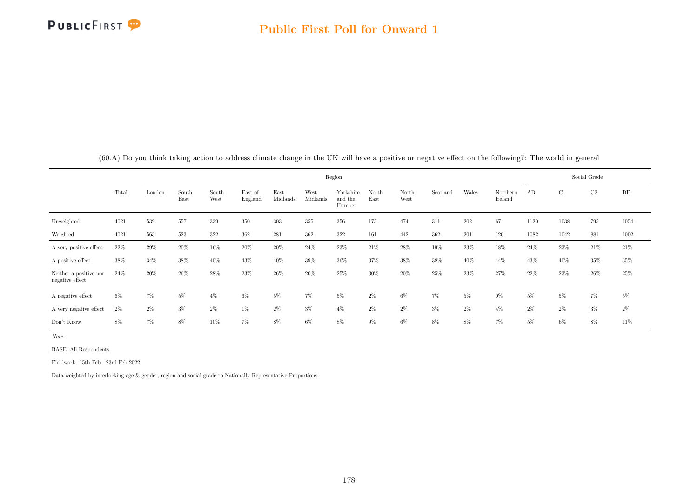

|                                           |       |        |               |               |                    |                  |                  | Region                         |               |               |          |       |                     |       |       | Social Grade |       |
|-------------------------------------------|-------|--------|---------------|---------------|--------------------|------------------|------------------|--------------------------------|---------------|---------------|----------|-------|---------------------|-------|-------|--------------|-------|
|                                           | Total | London | South<br>East | South<br>West | East of<br>England | East<br>Midlands | West<br>Midlands | Yorkshire<br>and the<br>Humber | North<br>East | North<br>West | Scotland | Wales | Northern<br>Ireland | AB    | C1    | C2           | DE    |
| Unweighted                                | 4021  | 532    | 557           | 339           | 350                | 303              | 355              | 356                            | 175           | 474           | 311      | 202   | 67                  | 1120  | 1038  | 795          | 1054  |
| Weighted                                  | 4021  | 563    | 523           | 322           | 362                | 281              | 362              | 322                            | 161           | 442           | 362      | 201   | 120                 | 1082  | 1042  | 881          | 1002  |
| A very positive effect                    | 22%   | 29%    | 20%           | 16%           | $20\%$             | 20%              | 24%              | 23%                            | 21%           | 28%           | 19%      | 23%   | 18%                 | 24%   | 23%   | 21\%         | 21%   |
| A positive effect                         | 38%   | 34%    | 38%           | 40%           | 43%                | 40%              | 39%              | 36%                            | 37%           | 38%           | 38%      | 40%   | 44%                 | 43%   | 40%   | 35%          | 35%   |
| Neither a positive nor<br>negative effect | 24\%  | 20%    | 26%           | 28%           | 23%                | 26%              | 20%              | 25%                            | 30%           | 20%           | 25%      | 23%   | 27%                 | 22\%  | 23%   | $26\%$       | 25%   |
| A negative effect                         | $6\%$ | 7%     | 5%            | $4\%$         | 6%                 | $5\%$            | $7\%$            | 5%                             | $2\%$         | $6\%$         | 7%       | $5\%$ | $0\%$               | $5\%$ | $5\%$ | $7\%$        | $5\%$ |
| A very negative effect                    | $2\%$ | $2\%$  | $3\%$         | 2%            | 1%                 | $2\%$            | $3\%$            | $4\%$                          | $2\%$         | $2\%$         | $3\%$    | $2\%$ | $4\%$               | $2\%$ | $2\%$ | $3\%$        | $2\%$ |
| Don't Know                                | 8%    | $7\%$  | $8\%$         | 10%           | 7%                 | $8\%$            | $6\%$            | $8\%$                          | $9\%$         | $6\%$         | $8\%$    | $8\%$ | $7\%$               | 5%    | $6\%$ | 8%           | 11%   |

(60.A) Do you think taking action to address climate change in the UK will have a positive or negative effect on the following?: The world in general

Note:

BASE: All Respondents

Fieldwork: 15th Feb - 23rd Feb 2022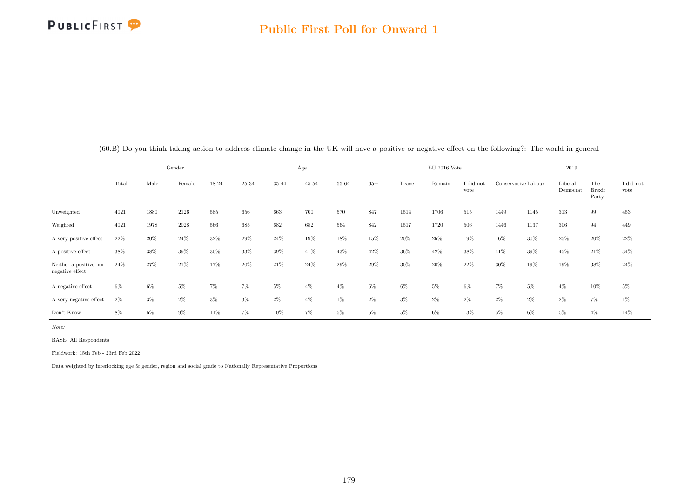

|                                           |       | Gender |        |        | Age   |        |           |       |       |       | $\rm EU$ 2016 Vote |                   |                     | 2019   |                     |                               |                   |  |
|-------------------------------------------|-------|--------|--------|--------|-------|--------|-----------|-------|-------|-------|--------------------|-------------------|---------------------|--------|---------------------|-------------------------------|-------------------|--|
|                                           | Total | Male   | Female | 18-24  | 25-34 | 35-44  | $45 - 54$ | 55-64 | $65+$ | Leave | Remain             | I did not<br>vote | Conservative Labour |        | Liberal<br>Democrat | The<br><b>Brexit</b><br>Party | I did not<br>vote |  |
| Unweighted                                | 4021  | 1880   | 2126   | 585    | 656   | 663    | 700       | 570   | 847   | 1514  | 1706               | 515               | 1449                | 1145   | 313                 | 99                            | 453               |  |
| Weighted                                  | 4021  | 1978   | 2028   | 566    | 685   | 682    | 682       | 564   | 842   | 1517  | 1720               | 506               | 1446                | 1137   | 306                 | 94                            | 449               |  |
| A very positive effect                    | 22%   | 20%    | $24\%$ | 32%    | 29%   | 24\%   | 19%       | 18%   | 15%   | 20%   | 26%                | 19%               | 16%                 | 30%    | 25%                 | $20\%$                        | $22\%$            |  |
| A positive effect                         | 38%   | 38%    | 39%    | $30\%$ | 33%   | $39\%$ | 41\%      | 43%   | 42%   | 36%   | 42\%               | 38%               | 41\%                | $39\%$ | 45%                 | 21%                           | $34\%$            |  |
| Neither a positive nor<br>negative effect | 24\%  | 27%    | 21%    | 17%    | 20%   | 21\%   | 24\%      | 29%   | 29%   | 30%   | 20%                | 22%               | 30%                 | 19%    | 19%                 | 38%                           | 24\%              |  |
| A negative effect                         | 6%    | $6\%$  | $5\%$  | 7%     | 7%    | 5%     | $4\%$     | $4\%$ | $6\%$ | $6\%$ | $5\%$              | $6\%$             | $7\%$               | $5\%$  | $4\%$               | 10%                           | $5\%$             |  |
| A very negative effect                    | $2\%$ | $3\%$  | $2\%$  | $3\%$  | $3\%$ | 2%     | $4\%$     | $1\%$ | $2\%$ | $3\%$ | $2\%$              | $2\%$             | $2\%$               | $2\%$  | 2%                  | 7%                            | 1%                |  |
| Don't Know                                | 8%    | $6\%$  | $9\%$  | 11%    | $7\%$ | 10%    | $7\%$     | $5\%$ | $5\%$ | $5\%$ | $6\%$              | 13%               | $5\%$               | $6\%$  | $5\%$               | $4\%$                         | 14%               |  |

(60.B) Do you think taking action to address climate change in the UK will have a positive or negative effect on the following?: The world in general

Note:

BASE: All Respondents

Fieldwork: 15th Feb - 23rd Feb 2022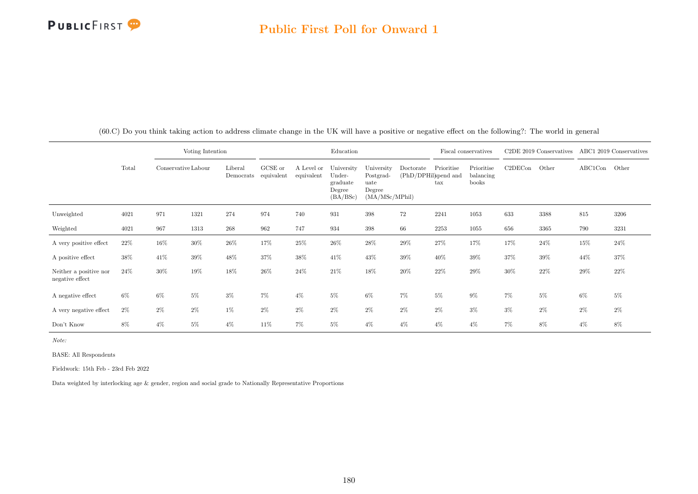## PUBLICFIRST<sup>9</sup>

### Public First Poll for Onward 1

|                                           |       |                     | Voting Intention |                                 |         |                          | Education                                              |                                                             |                                   |                            | Fiscal conservatives             |         | C <sub>2</sub> DE 2019 Conservatives |         | ABC1 2019 Conservatives |
|-------------------------------------------|-------|---------------------|------------------|---------------------------------|---------|--------------------------|--------------------------------------------------------|-------------------------------------------------------------|-----------------------------------|----------------------------|----------------------------------|---------|--------------------------------------|---------|-------------------------|
|                                           | Total | Conservative Labour |                  | Liberal<br>Democrats equivalent | GCSE or | A Level or<br>equivalent | University<br>Under-<br>graduate<br>Degree<br>(BA/BSc) | University<br>Postgrad-<br>uate<br>Degree<br>(MA/MSc/MPhil) | Doctorate<br>(PhD/DPHil)spend and | Prioritise<br>$\text{tax}$ | Prioritise<br>balancing<br>books | C2DECon | Other                                | ABC1Con | Other                   |
| Unweighted                                | 4021  | 971                 | 1321             | 274                             | 974     | 740                      | 931                                                    | 398                                                         | 72                                | 2241                       | 1053                             | 633     | 3388                                 | 815     | 3206                    |
| Weighted                                  | 4021  | 967                 | 1313             | 268                             | 962     | 747                      | 934                                                    | 398                                                         | 66                                | 2253                       | 1055                             | 656     | 3365                                 | 790     | 3231                    |
| A very positive effect                    | 22%   | 16%                 | 30%              | $26\%$                          | 17%     | 25%                      | 26%                                                    | 28%                                                         | 29%                               | 27%                        | 17%                              | 17%     | 24%                                  | $15\%$  | 24%                     |
| A positive effect                         | 38%   | 41\%                | 39%              | 48%                             | 37%     | 38%                      | 41%                                                    | 43%                                                         | 39%                               | 40%                        | 39%                              | 37%     | 39%                                  | 44%     | 37%                     |
| Neither a positive nor<br>negative effect | 24\%  | 30%                 | 19%              | 18%                             | 26\%    | 24\%                     | 21%                                                    | 18%                                                         | 20%                               | 22%                        | 29%                              | 30%     | $22\%$                               | 29%     | 22%                     |
| A negative effect                         | $6\%$ | $6\%$               | $5\%$            | $3\%$                           | 7%      | $4\%$                    | $5\%$                                                  | 6%                                                          | 7%                                | $5\%$                      | $9\%$                            | 7%      | $5\%$                                | $6\%$   | $5\%$                   |
| A very negative effect                    | $2\%$ | $2\%$               | $2\%$            | $1\%$                           | $2\%$   | $2\%$                    | $2\%$                                                  | $2\%$                                                       | $2\%$                             | $2\%$                      | $3\%$                            | $3\%$   | $2\%$                                | $2\%$   | $2\%$                   |
| Don't Know                                | 8%    | $4\%$               | $5\%$            | $4\%$                           | 11%     | 7%                       | $5\%$                                                  | $4\%$                                                       | $4\%$                             | $4\%$                      | $4\%$                            | 7%      | 8%                                   | $4\%$   | 8%                      |

(60.C) Do you think taking action to address climate change in the UK will have a positive or negative effect on the following?: The world in general

Note:

BASE: All Respondents

Fieldwork: 15th Feb - 23rd Feb 2022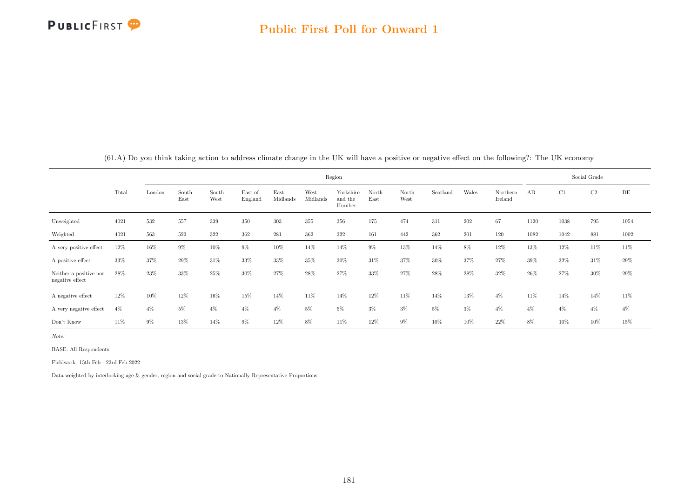

|                                           |       |        |               |               |                    |                  |                  | Region                         |               |               |          |       |                     |       |       | Social Grade |           |
|-------------------------------------------|-------|--------|---------------|---------------|--------------------|------------------|------------------|--------------------------------|---------------|---------------|----------|-------|---------------------|-------|-------|--------------|-----------|
|                                           | Total | London | South<br>East | South<br>West | East of<br>England | East<br>Midlands | West<br>Midlands | Yorkshire<br>and the<br>Humber | North<br>East | North<br>West | Scotland | Wales | Northern<br>Ireland | AB    | C1    | $\rm C2$     | $\rm{DE}$ |
| Unweighted                                | 4021  | 532    | 557           | 339           | 350                | 303              | 355              | 356                            | 175           | 474           | 311      | 202   | 67                  | 1120  | 1038  | 795          | 1054      |
| Weighted                                  | 4021  | 563    | 523           | 322           | 362                | 281              | 362              | 322                            | 161           | 442           | 362      | 201   | 120                 | 1082  | 1042  | 881          | 1002      |
| A very positive effect                    | 12%   | 16%    | $9\%$         | 10%           | 9%                 | 10%              | 14%              | 14%                            | $9\%$         | 13%           | 14%      | $8\%$ | 12%                 | 13%   | 12%   | 11\%         | 11\%      |
| A positive effect                         | 33%   | 37%    | 29%           | 31%           | 33%                | 33%              | 35%              | 30%                            | 31\%          | 37%           | 30%      | 37%   | 27%                 | 39%   | 32%   | 31\%         | 29%       |
| Neither a positive nor<br>negative effect | 28%   | 23%    | 33%           | 25%           | 30%                | 27%              | 28%              | 27%                            | 33%           | 27%           | 28%      | 28%   | 32%                 | 26%   | 27%   | 30%          | $29\%$    |
| A negative effect                         | 12%   | 10%    | 12%           | 16%           | 15%                | 14%              | 11%              | 14%                            | 12%           | 11%           | 14%      | 13%   | $4\%$               | 11%   | 14%   | 14%          | 11%       |
| A very negative effect                    | $4\%$ | $4\%$  | $5\%$         | $4\%$         | $4\%$              | $4\%$            | $5\%$            | $5\%$                          | $3\%$         | $3\%$         | $5\%$    | $3\%$ | $4\%$               | $4\%$ | $4\%$ | $4\%$        | $4\%$     |
| Don't Know                                | 11%   | $9\%$  | $13\%$        | 14%           | $9\%$              | $12\%$           | 8%               | $11\%$                         | 12%           | $9\%$         | 10%      | 10%   | 22%                 | 8%    | 10%   | 10%          | 15%       |

(61.A) Do you think taking action to address climate change in the UK will have a positive or negative effect on the following?: The UK economy

Note:

 $\overline{\phantom{a}}$ 

 $\overline{a}$ 

BASE: All Respondents

Fieldwork: 15th Feb - 23rd Feb 2022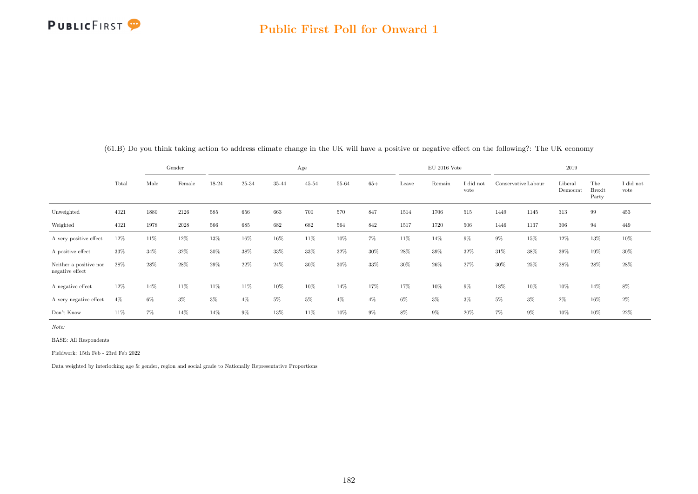

|                                           |       | Gender<br>Male<br>Female<br>18-24 |       |       |       |       | Age       |       |       |       | $EU$ 2016 Vote |                   |       |                     | 2019                |                               |                   |
|-------------------------------------------|-------|-----------------------------------|-------|-------|-------|-------|-----------|-------|-------|-------|----------------|-------------------|-------|---------------------|---------------------|-------------------------------|-------------------|
|                                           | Total |                                   |       |       | 25-34 | 35-44 | $45 - 54$ | 55-64 | $65+$ | Leave | Remain         | I did not<br>vote |       | Conservative Labour | Liberal<br>Democrat | The<br><b>Brexit</b><br>Party | I did not<br>vote |
| Unweighted                                | 4021  | 1880                              | 2126  | 585   | 656   | 663   | 700       | 570   | 847   | 1514  | 1706           | 515               | 1449  | 1145                | 313                 | 99                            | 453               |
| Weighted                                  | 4021  | 1978                              | 2028  | 566   | 685   | 682   | 682       | 564   | 842   | 1517  | 1720           | 506               | 1446  | 1137                | 306                 | 94                            | 449               |
| A very positive effect                    | 12%   | 11%                               | 12%   | 13%   | 16%   | 16%   | 11\%      | 10%   | $7\%$ | 11%   | 14%            | $9\%$             | $9\%$ | 15%                 | 12%                 | $13\%$                        | $10\%$            |
| A positive effect                         | 33%   | 34%                               | 32%   | 30%   | 38%   | 33%   | 33%       | 32%   | 30%   | 28%   | 39%            | 32%               | 31%   | 38%                 | 39%                 | 19%                           | 30%               |
| Neither a positive nor<br>negative effect | 28\%  | 28%                               | 28%   | 29%   | 22%   | 24\%  | 30%       | 30%   | 33%   | 30%   | 26%            | 27%               | 30%   | 25%                 | 28%                 | 28%                           | 28%               |
| A negative effect                         | 12%   | 14%                               | 11%   | 11%   | 11%   | 10%   | 10%       | 14%   | 17%   | 17%   | 10%            | $9\%$             | 18%   | 10%                 | 10%                 | 14%                           | 8%                |
| A very negative effect                    | $4\%$ | $6\%$                             | $3\%$ | $3\%$ | $4\%$ | 5%    | $5\%$     | $4\%$ | $4\%$ | $6\%$ | $3\%$          | $3\%$             | $5\%$ | $3\%$               | 2%                  | 16%                           | $2\%$             |
| Don't Know                                | 11%   | 7%                                | 14%   | 14%   | $9\%$ | 13%   | 11\%      | 10%   | $9\%$ | $8\%$ | $9\%$          | $20\%$            | 7%    | $9\%$               | 10%                 | 10%                           | 22%               |

(61.B) Do you think taking action to address climate change in the UK will have a positive or negative effect on the following?: The UK economy

Note:

BASE: All Respondents

Fieldwork: 15th Feb - 23rd Feb 2022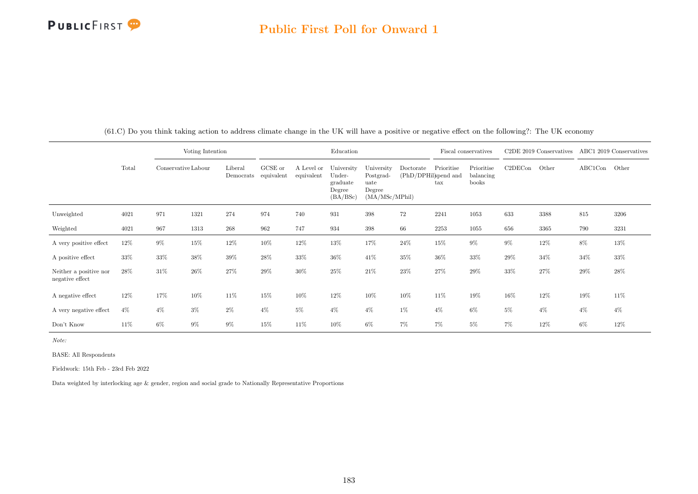## PUBLICFIRST<sup>9</sup>

|                                           |        |                     | Voting Intention |                      |                       |                          | Education                                              |                                                             |                                   | Fiscal conservatives       |                                  |         | C <sub>2</sub> DE 2019 Conservatives |         | ABC1 2019 Conservatives |
|-------------------------------------------|--------|---------------------|------------------|----------------------|-----------------------|--------------------------|--------------------------------------------------------|-------------------------------------------------------------|-----------------------------------|----------------------------|----------------------------------|---------|--------------------------------------|---------|-------------------------|
|                                           | Total  | Conservative Labour |                  | Liberal<br>Democrats | GCSE or<br>equivalent | A Level or<br>equivalent | University<br>Under-<br>graduate<br>Degree<br>(BA/BSc) | University<br>Postgrad-<br>uate<br>Degree<br>(MA/MSc/MPhil) | Doctorate<br>(PhD/DPHil)spend and | Prioritise<br>$\text{tax}$ | Prioritise<br>balancing<br>books | C2DECon | Other                                | ABC1Con | Other                   |
| Unweighted                                | 4021   | 971                 | 1321             | 274                  | 974                   | 740                      | 931                                                    | 398                                                         | 72                                | 2241                       | 1053                             | 633     | 3388                                 | 815     | 3206                    |
| Weighted                                  | 4021   | 967                 | 1313             | 268                  | 962                   | 747                      | 934                                                    | 398                                                         | 66                                | 2253                       | 1055                             | 656     | 3365                                 | 790     | 3231                    |
| A very positive effect                    | 12%    | $9\%$               | 15%              | $12\%$               | 10%                   | 12%                      | $13\%$                                                 | 17%                                                         | 24%                               | 15%                        | $9\%$                            | $9\%$   | $12\%$                               | 8%      | 13%                     |
| A positive effect                         | 33%    | 33%                 | 38%              | 39%                  | 28%                   | 33%                      | 36%                                                    | 41%                                                         | 35%                               | 36%                        | 33%                              | 29%     | 34%                                  | 34%     | 33%                     |
| Neither a positive nor<br>negative effect | 28\%   | 31%                 | 26%              | 27%                  | 29%                   | 30%                      | 25%                                                    | 21%                                                         | 23%                               | 27%                        | 29%                              | 33%     | 27%                                  | 29%     | 28%                     |
| A negative effect                         | $12\%$ | 17%                 | 10%              | 11\%                 | 15%                   | 10%                      | 12%                                                    | 10%                                                         | 10%                               | 11%                        | 19%                              | 16%     | 12%                                  | 19%     | 11%                     |
| A very negative effect                    | $4\%$  | $4\%$               | $3\%$            | $2\%$                | $4\%$                 | $5\%$                    | $4\%$                                                  | $4\%$                                                       | 1%                                | $4\%$                      | $6\%$                            | 5%      | $4\%$                                | $4\%$   | $4\%$                   |
| Don't Know                                | 11\%   | $6\%$               | $9\%$            | $9\%$                | 15%                   | 11%                      | 10%                                                    | $6\%$                                                       | 7%                                | $7\%$                      | 5%                               | 7%      | 12%                                  | $6\%$   | 12%                     |

(61.C) Do you think taking action to address climate change in the UK will have a positive or negative effect on the following?: The UK economy

Note:

BASE: All Respondents

Fieldwork: 15th Feb - 23rd Feb 2022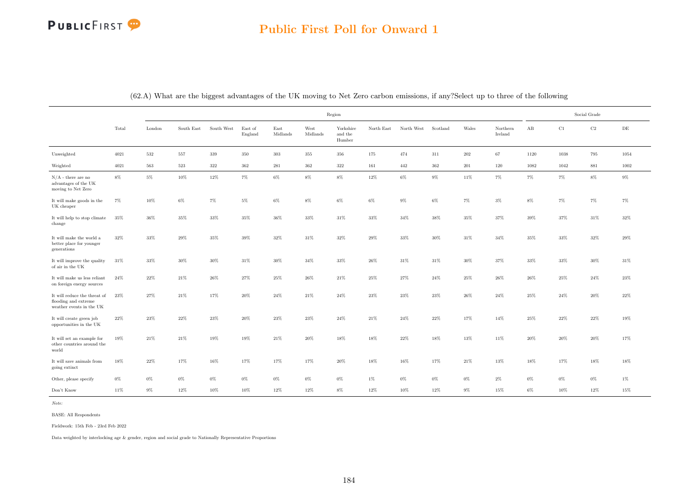# PUBLICFIRST<sup>9</sup>

|                                                                                  |        |        |            |            |                    |                  |                  | Region                         |            |            |          |        |                     |          |          | Social Grade |           |
|----------------------------------------------------------------------------------|--------|--------|------------|------------|--------------------|------------------|------------------|--------------------------------|------------|------------|----------|--------|---------------------|----------|----------|--------------|-----------|
|                                                                                  | Total  | London | South East | South West | East of<br>England | East<br>Midlands | West<br>Midlands | Yorkshire<br>and the<br>Humber | North East | North West | Scotland | Wales  | Northern<br>Ireland | $\rm AB$ | C1       | $\rm{C2}$    | $\rm{DE}$ |
| Unweighted                                                                       | 4021   | 532    | 557        | $339\,$    | $350\,$            | $303\,$          | 355              | 356                            | 175        | 474        | 311      | 202    | 67                  | 1120     | $1038\,$ | 795          | 1054      |
| Weighted                                                                         | 4021   | 563    | 523        | $322\,$    | 362                | 281              | 362              | 322                            | 161        | 442        | 362      | 201    | 120                 | 1082     | 1042     | 881          | 1002      |
| $N/A$ - there are no<br>advantages of the UK<br>moving to Net Zero               | $8\%$  | $5\%$  | 10%        | 12%        | $7\%$              | $6\%$            | $8\%$            | $8\%$                          | $12\%$     | $6\%$      | $9\%$    | $11\%$ | $7\%$               | $7\%$    | $7\%$    | $8\%$        | $9\%$     |
| It will make goods in the<br>UK cheaper                                          | $7\%$  | $10\%$ | $6\%$      | $7\%$      | $5\%$              | $6\%$            | $8\%$            | $6\%$                          | $6\%$      | $9\%$      | $6\%$    | $7\%$  | $3\%$               | $8\%$    | $7\%$    | $7\%$        | $7\%$     |
| It will help to stop climate<br>change                                           | 35%    | 36%    | 35%        | 33%        | 35%                | 36%              | 33%              | 31%                            | 33%        | 34%        | 38%      | 35%    | 37%                 | 39%      | 37%      | 31%          | 32%       |
| It will make the world a<br>better place for younger<br>generations              | $32\%$ | 33%    | 29%        | 35%        | 39%                | 32%              | 31%              | 32%                            | 29%        | 33%        | 30%      | 31%    | 34%                 | 35%      | 33%      | 32%          | 29%       |
| It will improve the quality<br>of air in the UK                                  | 31%    | 33%    | $30\%$     | $30\%$     | $31\%$             | $30\%$           | $34\%$           | $33\%$                         | $26\%$     | $31\%$     | $31\%$   | $30\%$ | 37%                 | 33%      | 33%      | $30\%$       | 31%       |
| It will make us less reliant<br>on foreign energy sources                        | 24%    | 22%    | 21\%       | 26%        | 27%                | 25%              | $26\%$           | 21%                            | 25%        | 27%        | 24%      | 25%    | 26%                 | 26%      | 25%      | 24%          | 23%       |
| It will reduce the threat of<br>flooding and extreme<br>weather events in the UK | $23\%$ | 27%    | $21\%$     | 17%        | $20\%$             | $24\%$           | $21\%$           | $24\%$                         | $23\%$     | $23\%$     | $23\%$   | 26%    | $24\%$              | 25%      | $24\%$   | $20\%$       | $22\%$    |
| It will create green job<br>opportunities in the UK                              | $22\%$ | 23%    | $22\%$     | 23%        | 20%                | 23%              | 23%              | $24\%$                         | 21%        | 24%        | 22%      | 17%    | 14%                 | 25%      | 22%      | $22\%$       | 19%       |
| It will set an example for<br>other countries around the<br>world                | 19%    | $21\%$ | $21\%$     | 19%        | 19%                | $21\%$           | $20\%$           | 18%                            | 18%        | $22\%$     | 18%      | 13%    | 11%                 | 20%      | 20%      | 20%          | 17%       |
| It will save animals from<br>going extinct                                       | 18%    | $22\%$ | 17%        | 16%        | 17%                | 17%              | $17\%$           | $20\%$                         | 18%        | 16%        | 17%      | $21\%$ | 13%                 | 18%      | 17%      | $18\%$       | $18\%$    |
| Other, please specify                                                            | $0\%$  | $0\%$  | $0\%$      | $0\%$      | $0\%$              | $0\%$            | $0\%$            | $0\%$                          | $1\%$      | $0\%$      | $0\%$    | $0\%$  | $2\%$               | $0\%$    | $0\%$    | $0\%$        | $1\%$     |
| Don't Know                                                                       | 11%    | $9\%$  | 12%        | 10%        | 10%                | 12%              | 12%              | $8\%$                          | 12%        | 10%        | 12%      | $9\%$  | 15%                 | $6\%$    | 10%      | 12%          | 15%       |

(62.A) What are the biggest advantages of the UK moving to Net Zero carbon emissions, if any?Select up to three of the following

Note:

BASE: All Respondents

Fieldwork: 15th Feb - 23rd Feb 2022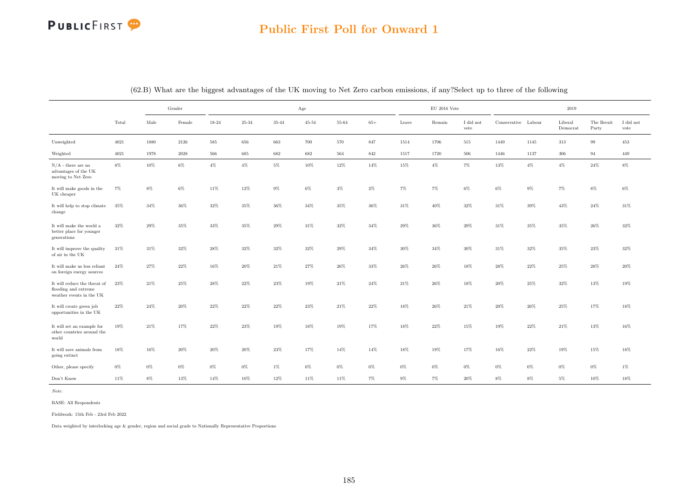### Public First Poll for Onward 1

|                                                                                  |        |        | Gender   |        |           |           | Age       |        |        |        | $\rm EU$ 2016 Vote |                               |                     |        | 2019                |                     |                   |
|----------------------------------------------------------------------------------|--------|--------|----------|--------|-----------|-----------|-----------|--------|--------|--------|--------------------|-------------------------------|---------------------|--------|---------------------|---------------------|-------------------|
|                                                                                  | Total  | Male   | Female   | 18-24  | $25 - 34$ | $35 - 44$ | $45 - 54$ | 55-64  | $65+$  | Leave  | Remain             | $\rm I$ did $\rm not$<br>vote | Conservative Labour |        | Liberal<br>Democrat | The Brexit<br>Party | I did not<br>vote |
| Unweighted                                                                       | 4021   | 1880   | $2126\,$ | 585    | 656       | 663       | 700       | 570    | 847    | 1514   | 1706               | 515                           | 1449                | 1145   | 313                 | 99                  | 453               |
| Weighted                                                                         | 4021   | 1978   | 2028     | 566    | 685       | 682       | 682       | 564    | 842    | 1517   | 1720               | 506                           | 1446                | 1137   | $306\,$             | 94                  | 449               |
| $N/A$ - there are no<br>advantages of the UK<br>moving to Net Zero               | $8\%$  | 10%    | $6\%$    | $4\%$  | $4\%$     | $5\%$     | 10%       | 12%    | 14%    | 15%    | $4\%$              | $7\%$                         | 13%                 | $4\%$  | $4\%$               | 24%                 | $8\%$             |
| It will make goods in the<br>UK cheaper                                          | $7\%$  | $8\%$  | $6\%$    | 11%    | 12%       | $9\%$     | $6\%$     | $3\%$  | $2\%$  | $7\%$  | $7\%$              | $6\%$                         | $6\%$               | $9\%$  | $7\%$               | $8\%$               | $6\%$             |
| It will help to stop climate<br>change                                           | $35\%$ | $34\%$ | $36\%$   | $32\%$ | $35\%$    | 36%       | $34\%$    | $35\%$ | $36\%$ | $31\%$ | $40\%$             | $32\%$                        | $31\%$              | 39%    | 43%                 | $24\%$              | $31\%$            |
| It will make the world a<br>better place for younger<br>generations              | 32%    | 29%    | 35%      | 33%    | 35%       | 29%       | 31%       | $32\%$ | 34%    | $29\%$ | 36%                | 29%                           | 31%                 | 35%    | 35%                 | $26\%$              | 32%               |
| It will improve the quality<br>of air in the UK                                  | $31\%$ | $31\%$ | $32\%$   | $28\%$ | $32\%$    | 32%       | $32\%$    | $29\%$ | $34\%$ | $30\%$ | $34\%$             | $30\%$                        | $31\%$              | $32\%$ | $35\%$              | $23\%$              | $32\%$            |
| It will make us less reliant<br>on foreign energy sources                        | $24\%$ | $27\%$ | $22\%$   | 16%    | $20\%$    | $21\%$    | $27\%$    | 26%    | $33\%$ | $26\%$ | 26%                | 18%                           | 28%                 | 22%    | 25%                 | 28%                 | $20\%$            |
| It will reduce the threat of<br>flooding and extreme<br>weather events in the UK | 23%    | $21\%$ | 25%      | 28%    | 22%       | 23%       | $19\%$    | $21\%$ | $24\%$ | $21\%$ | $26\%$             | 18%                           | $20\%$              | 25%    | 32%                 | 13%                 | $19\%$            |
| It will create green job<br>opportunities in the UK                              | $22\%$ | 24%    | 20%      | 22%    | 22%       | 22%       | 23%       | $21\%$ | $22\%$ | 18%    | 26%                | $21\%$                        | 20%                 | 26\%   | 25%                 | 17%                 | 18%               |
| It will set an example for<br>other countries around the<br>world                | 19%    | $21\%$ | 17%      | 22%    | 23%       | 19%       | 18%       | 19%    | 17%    | 18%    | 22%                | 15%                           | 19%                 | 22\%   | 21\%                | 13%                 | 16%               |
| It will save animals from<br>going extinct                                       | 18%    | 16%    | 20%      | 20%    | 20%       | 23%       | 17%       | 14%    | 14%    | 18%    | 19%                | 17%                           | 16%                 | 22%    | 19%                 | 15%                 | 18%               |
| Other, please specify                                                            | $0\%$  | $0\%$  | $0\%$    | $0\%$  | $0\%$     | $1\%$     | $0\%$     | $0\%$  | $0\%$  | $0\%$  | $0\%$              | $0\%$                         | $0\%$               | $0\%$  | $0\%$               | $0\%$               | $1\%$             |
| Don't Know                                                                       | 11%    | 8%     | 13%      | 14%    | 10%       | 12%       | 11%       | 11%    | $7\%$  | $9\%$  | $7\%$              | 20%                           | $8\%$               | $8\%$  | $5\%$               | 10%                 | 18%               |

(62.B) What are the biggest advantages of the UK moving to Net Zero carbon emissions, if any?Select up to three of the following

Note:

BASE: All Respondents

Fieldwork: 15th Feb - 23rd Feb 2022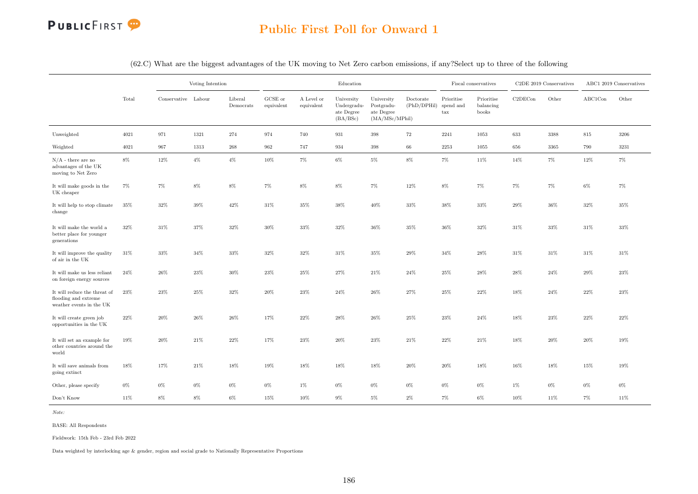

|                                                                                  |        |                     | Voting Intention |                      |                               |                          | Education                                           |                                                            |                                    |                                    | Fiscal conservatives             |         | C2DE 2019 Conservatives |         | ABC1 2019 Conservatives |
|----------------------------------------------------------------------------------|--------|---------------------|------------------|----------------------|-------------------------------|--------------------------|-----------------------------------------------------|------------------------------------------------------------|------------------------------------|------------------------------------|----------------------------------|---------|-------------------------|---------|-------------------------|
|                                                                                  | Total  | Conservative Labour |                  | Liberal<br>Democrats | ${\rm GCSE}$ or<br>equivalent | A Level or<br>equivalent | University<br>Undergradu-<br>ate Degree<br>(BA/BSc) | University<br>Postgradu-<br>ate $Degree$<br>(MA/MSc/MPhil) | Doctorate<br>(PhD/DPHil) spend and | Prioritise<br>$\operatorname{tax}$ | Prioritise<br>balancing<br>books | C2DECon | Other                   | ABC1Con | Other                   |
| Unweighted                                                                       | 4021   | 971                 | 1321             | 274                  | 974                           | 740                      | 931                                                 | 398                                                        | 72                                 | 2241                               | 1053                             | 633     | 3388                    | 815     | 3206                    |
| Weighted                                                                         | 4021   | 967                 | 1313             | 268                  | 962                           | 747                      | 934                                                 | $398\,$                                                    | 66                                 | 2253                               | 1055                             | 656     | 3365                    | 790     | 3231                    |
| $N/A$ - there are no<br>advantages of the UK<br>moving to Net Zero               | $8\%$  | 12%                 | $4\%$            | $4\%$                | $10\%$                        | 7%                       | $6\%$                                               | $5\%$                                                      | $8\%$                              | $7\%$                              | 11%                              | 14%     | $7\%$                   | $12\%$  | 7%                      |
| It will make goods in the<br>UK cheaper                                          | $7\%$  | 7%                  | $8\%$            | 8%                   | $7\%$                         | $8\%$                    | $8\%$                                               | $7\%$                                                      | 12%                                | $8\%$                              | 7%                               | $7\%$   | 7%                      | $6\%$   | 7%                      |
| It will help to stop climate<br>change                                           | 35%    | $32\%$              | 39%              | 42%                  | 31\%                          | $35\%$                   | $38\%$                                              | $40\%$                                                     | 33%                                | 38%                                | 33%                              | 29%     | $36\%$                  | 32%     | $35\%$                  |
| It will make the world a<br>better place for younger<br>generations              | $32\%$ | $31\%$              | $37\%$           | 32%                  | 30%                           | $33\%$                   | $32\%$                                              | $36\%$                                                     | 35%                                | $36\%$                             | $32\%$                           | $31\%$  | $33\%$                  | $31\%$  | $33\%$                  |
| It will improve the quality<br>of air in the UK                                  | 31%    | 33%                 | 34%              | 33%                  | 32%                           | 32%                      | 31%                                                 | 35%                                                        | 29%                                | 34%                                | 28%                              | 31%     | $31\%$                  | 31%     | 31\%                    |
| It will make us less reliant<br>on foreign energy sources                        | 24%    | 26\%                | 23%              | 30%                  | 23%                           | 25%                      | 27%                                                 | 21\%                                                       | 24%                                | 25%                                | 28%                              | 28%     | 24%                     | 29%     | 23%                     |
| It will reduce the threat of<br>flooding and extreme<br>weather events in the UK | 23%    | $23\%$              | $25\%$           | 32%                  | 20%                           | 23%                      | $24\%$                                              | $26\%$                                                     | 27%                                | 25%                                | 22%                              | 18%     | $24\%$                  | 22%     | 23\%                    |
| It will create green job<br>opportunities in the UK                              | 22%    | $20\%$              | 26%              | 26%                  | 17%                           | 22%                      | 28%                                                 | $26\%$                                                     | 25%                                | 23%                                | 24%                              | 18%     | 23%                     | 22%     | 22%                     |
| It will set an example for<br>other countries around the<br>world                | 19%    | $20\%$              | $21\%$           | 22%                  | $17\%$                        | $23\%$                   | 20%                                                 | $23\%$                                                     | 21\%                               | $22\%$                             | $21\%$                           | $18\%$  | 20%                     | 20%     | 19%                     |
| It will save animals from<br>going extinct                                       | 18%    | 17%                 | $21\%$           | 18%                  | 19%                           | 18%                      | 18%                                                 | $18\%$                                                     | 20%                                | 20%                                | 18%                              | 16%     | $18\%$                  | 15%     | 19%                     |
| Other, please specify                                                            | $0\%$  | $0\%$               | $0\%$            | 0%                   | $0\%$                         | $1\%$                    | $0\%$                                               | $0\%$                                                      | $0\%$                              | $0\%$                              | $0\%$                            | $1\%$   | $0\%$                   | $0\%$   | $0\%$                   |
| Don't Know                                                                       | 11%    | $8\%$               | $8\%$            | $6\%$                | 15%                           | 10%                      | $9\%$                                               | $5\%$                                                      | $2\%$                              | $7\%$                              | $6\%$                            | 10%     | 11%                     | $7\%$   | 11%                     |

(62.C) What are the biggest advantages of the UK moving to Net Zero carbon emissions, if any?Select up to three of the following

Note:

BASE: All Respondents

Fieldwork: 15th Feb - 23rd Feb 2022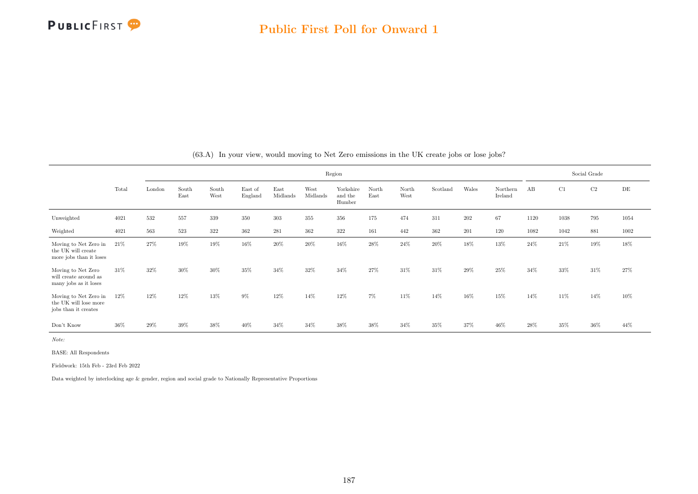

|                                                                        |       |        |               |               |                    |                  |                  | Region                         |               |               |          |       |                     |      |        | Social Grade |      |
|------------------------------------------------------------------------|-------|--------|---------------|---------------|--------------------|------------------|------------------|--------------------------------|---------------|---------------|----------|-------|---------------------|------|--------|--------------|------|
|                                                                        | Total | London | South<br>East | South<br>West | East of<br>England | East<br>Midlands | West<br>Midlands | Yorkshire<br>and the<br>Humber | North<br>East | North<br>West | Scotland | Wales | Northern<br>Ireland | AB   | C1     | C2           | DE   |
| Unweighted                                                             | 4021  | 532    | 557           | 339           | 350                | 303              | 355              | 356                            | 175           | 474           | 311      | 202   | 67                  | 1120 | 1038   | 795          | 1054 |
| Weighted                                                               | 4021  | 563    | 523           | 322           | 362                | 281              | 362              | 322                            | 161           | 442           | 362      | 201   | 120                 | 1082 | 1042   | 881          | 1002 |
| Moving to Net Zero in<br>the UK will create<br>more jobs than it loses | 21%   | 27%    | 19%           | 19%           | 16%                | 20%              | $20\%$           | 16%                            | 28%           | 24%           | 20%      | 18%   | 13%                 | 24%  | 21%    | 19%          | 18%  |
| Moving to Net Zero<br>will create around as<br>many jobs as it loses   | 31\%  | 32%    | 30%           | 30%           | 35%                | 34%              | 32%              | 34%                            | 27%           | 31%           | 31\%     | 29%   | 25%                 | 34%  | $33\%$ | 31%          | 27%  |
| Moving to Net Zero in<br>the UK will lose more<br>jobs than it creates | 12%   | 12%    | 12%           | 13%           | 9%                 | 12%              | 14%              | 12%                            | $7\%$         | 11%           | 14%      | 16%   | 15%                 | 14%  | 11%    | 14%          | 10%  |
| Don't Know                                                             | 36%   | 29%    | 39%           | 38%           | 40%                | 34%              | 34%              | 38%                            | 38%           | 34%           | 35%      | 37%   | 46%                 | 28\% | 35%    | 36%          | 44%  |

(63.A) In your view, would moving to Net Zero emissions in the UK create jobs or lose jobs?

Note:

BASE: All Respondents

Fieldwork: 15th Feb - 23rd Feb 2022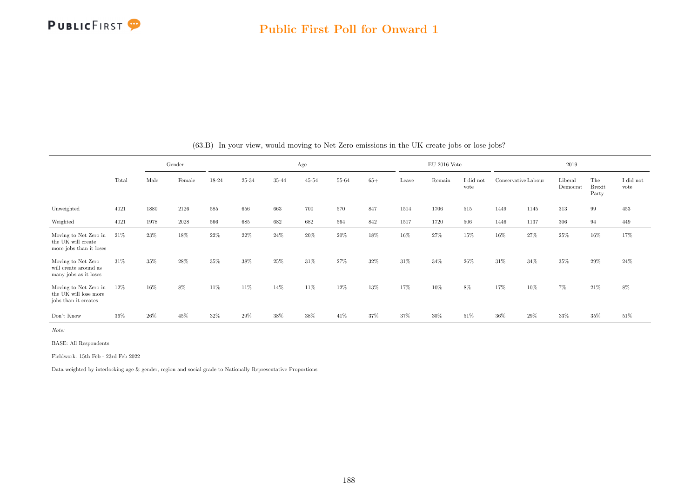

|                                                                        |       |      | Gender |        |        |       | Age       |        |       |       | $EU$ 2016 Vote |                   |                     |      | 2019                |                               |                               |
|------------------------------------------------------------------------|-------|------|--------|--------|--------|-------|-----------|--------|-------|-------|----------------|-------------------|---------------------|------|---------------------|-------------------------------|-------------------------------|
|                                                                        | Total | Male | Female | 18-24  | 25-34  | 35-44 | $45 - 54$ | 55-64  | $65+$ | Leave | Remain         | I did not<br>vote | Conservative Labour |      | Liberal<br>Democrat | The<br><b>Brexit</b><br>Party | $\rm I$ did $\rm not$<br>vote |
| Unweighted                                                             | 4021  | 1880 | 2126   | 585    | 656    | 663   | 700       | 570    | 847   | 1514  | 1706           | 515               | 1449                | 1145 | 313                 | 99                            | 453                           |
| Weighted                                                               | 4021  | 1978 | 2028   | 566    | 685    | 682   | 682       | 564    | 842   | 1517  | 1720           | 506               | 1446                | 1137 | 306                 | 94                            | 449                           |
| Moving to Net Zero in<br>the UK will create<br>more jobs than it loses | 21\%  | 23%  | 18%    | $22\%$ | $22\%$ | 24%   | $20\%$    | $20\%$ | 18%   | 16%   | 27%            | 15%               | 16%                 | 27%  | 25%                 | 16%                           | 17%                           |
| Moving to Net Zero<br>will create around as<br>many jobs as it loses   | 31\%  | 35%  | 28%    | 35%    | 38%    | 25%   | 31\%      | 27%    | 32%   | 31%   | 34%            | 26%               | 31\%                | 34%  | 35%                 | 29%                           | 24\%                          |
| Moving to Net Zero in<br>the UK will lose more<br>jobs than it creates | 12%   | 16%  | 8%     | 11\%   | 11%    | 14%   | 11%       | 12%    | 13%   | 17%   | 10%            | 8%                | 17%                 | 10%  | $7\%$               | 21%                           | 8%                            |
| Don't Know                                                             | 36%   | 26%  | 45%    | 32%    | 29%    | 38%   | 38%       | 41\%   | 37%   | 37%   | 30%            | 51%               | 36%                 | 29%  | 33%                 | 35%                           | 51%                           |

(63.B) In your view, would moving to Net Zero emissions in the UK create jobs or lose jobs?

Note:

BASE: All Respondents

Fieldwork: 15th Feb - 23rd Feb 2022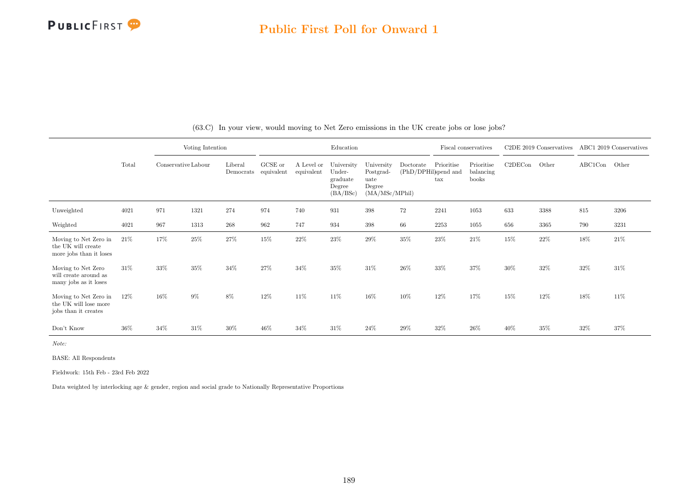

|                                                                        |        |                     | Voting Intention |                      |                       |                          | Education                                              |                                                             |           |                                           | Fiscal conservatives             |         | C2DE 2019 Conservatives |         | ABC1 2019 Conservatives |
|------------------------------------------------------------------------|--------|---------------------|------------------|----------------------|-----------------------|--------------------------|--------------------------------------------------------|-------------------------------------------------------------|-----------|-------------------------------------------|----------------------------------|---------|-------------------------|---------|-------------------------|
|                                                                        | Total  | Conservative Labour |                  | Liberal<br>Democrats | GCSE or<br>equivalent | A Level or<br>equivalent | University<br>Under-<br>graduate<br>Degree<br>(BA/BSc) | University<br>Postgrad-<br>uate<br>Degree<br>(MA/MSc/MPhil) | Doctorate | Prioritise<br>(PhD/DPHil)spend and<br>tax | Prioritise<br>balancing<br>books | C2DECon | Other                   | ABC1Con | Other                   |
| Unweighted                                                             | 4021   | 971                 | 1321             | 274                  | 974                   | 740                      | 931                                                    | 398                                                         | $72\,$    | 2241                                      | 1053                             | 633     | 3388                    | 815     | 3206                    |
| Weighted                                                               | 4021   | 967                 | 1313             | $268\,$              | 962                   | 747                      | 934                                                    | 398                                                         | 66        | 2253                                      | 1055                             | 656     | 3365                    | 790     | 3231                    |
| Moving to Net Zero in<br>the UK will create<br>more jobs than it loses | 21\%   | 17%                 | 25%              | 27%                  | 15%                   | 22%                      | 23%                                                    | $29\%$                                                      | 35%       | 23%                                       | $21\%$                           | 15%     | 22%                     | 18%     | 21\%                    |
| Moving to Net Zero<br>will create around as<br>many jobs as it loses   | $31\%$ | 33%                 | 35%              | 34%                  | 27%                   | 34%                      | 35%                                                    | 31%                                                         | $26\%$    | 33%                                       | 37%                              | 30%     | 32%                     | 32%     | 31\%                    |
| Moving to Net Zero in<br>the UK will lose more<br>jobs than it creates | 12\%   | 16%                 | $9\%$            | 8%                   | 12%                   | 11\%                     | 11\%                                                   | 16%                                                         | 10%       | 12%                                       | 17%                              | 15%     | 12%                     | 18%     | 11\%                    |
| Don't Know                                                             | 36%    | 34%                 | 31%              | 30%                  | 46%                   | 34%                      | 31\%                                                   | 24%                                                         | 29%       | 32%                                       | 26%                              | 40%     | 35%                     | 32%     | 37%                     |

(63.C) In your view, would moving to Net Zero emissions in the UK create jobs or lose jobs?

Note:

BASE: All Respondents

Fieldwork: 15th Feb - 23rd Feb 2022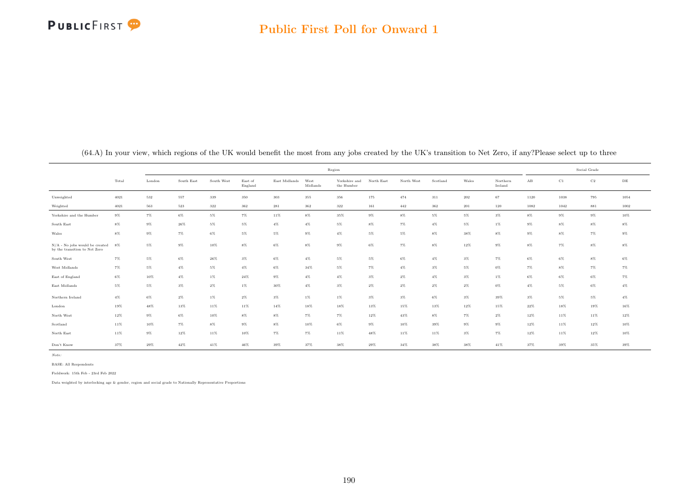

| $\lambda$                                                               |       |        | $\tilde{}$ |            |                    |               |                  | $\mathbf{v}$ $\mathbf{v}$   |            |            |          |        |                     |                      |             | $\mathbf{r}$ |           |
|-------------------------------------------------------------------------|-------|--------|------------|------------|--------------------|---------------|------------------|-----------------------------|------------|------------|----------|--------|---------------------|----------------------|-------------|--------------|-----------|
|                                                                         |       |        |            |            |                    |               |                  | Region                      |            |            |          |        |                     |                      |             | Social Grade |           |
|                                                                         | Total | London | South East | South West | East of<br>England | East Midlands | West<br>Midlands | Yorkshire and<br>the Humber | North East | North West | Scotland | Wales  | Northern<br>Ireland | $\mathbf A\mathbf B$ | $_{\rm C1}$ | $_{\rm C2}$  | $\rm{DE}$ |
| Unweighted                                                              | 4021  | 532    | 557        | 339        | 350                | 303           | 355              | 356                         | 175        | 474        | 311      | 202    | 67                  | 1120                 | 1038        | 795          | 1054      |
| Weighted                                                                | 4021  | 563    | 523        | $322\,$    | 362                | 281           | $362\,$          | $322\,$                     | 161        | $442\,$    | $362\,$  | 201    | 120                 | 1082                 | 1042        | 881          | 1002      |
| Yorkshire and the Humber                                                | $9\%$ | $7\%$  | $6\%$      | $5\%$      | $7\%$              | 11%           | $8\%$            | 35%                         | $9\%$      | $8\%$      | $5\%$    | $5\%$  | $3\%$               | $8\%$                | $9\%$       | $9\%$        | $10\%$    |
| South East                                                              | $8\%$ | $9\%$  | 26%        | 5%         | 5%                 | $4\%$         | $4\%$            | 5%                          | 8%         | $7\%$      | $4\%$    | $5\%$  | $1\%$               | $9\%$                | $8\%$       | $8\%$        | $8\%$     |
| Wales                                                                   | $8\%$ | $9\%$  | 7%         | $6\%$      | 5%                 | 5%            | $9\%$            | $4\%$                       | $5\%$      | $5\%$      | $8\%$    | 38%    | $8\%$               | $9\%$                | $8\%$       | $7\%$        | $9\%$     |
| $N/A$ - No jobs would be created $8\%$<br>by the transition to Net Zero |       | $5\%$  | $9\%$      | $10\%$     | $8\%$              | $6\%$         | $8\%$            | $9\%$                       | $6\%$      | $7\%$      | $8\%$    | $12\%$ | $9\%$               | $8\%$                | $7\%$       | $8\%$        | $8\%$     |
| South West                                                              | $7\%$ | 5%     | 6%         | 26%        | $3\%$              | 6%            | $4\%$            | $5\%$                       | $5\%$      | 6%         | $4\%$    | $3\%$  | 7%                  | 6%                   | $6\%$       | $8\%$        | $6\%$     |
| West Midlands                                                           | $7\%$ | $5\%$  | $4\%$      | $5\%$      | $4\%$              | $6\%$         | $34\%$           | 5%                          | $7\%$      | $4\%$      | $3\%$    | $5\%$  | $0\%$               | 7%                   | $8\%$       | $7\%$        | $7\%$     |
| East of England                                                         | $6\%$ | 10%    | $4\%$      | $1\%$      | 24%                | $9\%$         | $4\%$            | $4\%$                       | $3\%$      | $2\%$      | $4\%$    | $3\%$  | $1\%$               | 6%                   | $6\%$       | $6\%$        | 7%        |
| East Midlands                                                           | $5\%$ | $5\%$  | $3\%$      | $2\%$      | $1\%$              | $30\%$        | $4\%$            | $3\%$                       | $2\%$      | $2\%$      | $2\%$    | $2\%$  | $0\%$               | 4%                   | 5%          | $6\%$        | $4\%$     |
| Northern Ireland                                                        | $4\%$ | $6\%$  | $2\%$      | $1\%$      | $2\%$              | $3\%$         | $1\%$            | $1\%$                       | $3\%$      | $3\%$      | $6\%$    | $3\%$  | 39%                 | $3\%$                | $5\%$       | $5\%$        | $4\%$     |
| London                                                                  | 19%   | $48\%$ | 13%        | $11\%$     | 11%                | $14\%$        | $18\%$           | 18%                         | 13%        | 15%        | 13%      | 12%    | 15%                 | 22%                  | 18%         | 19%          | 16%       |
| North West                                                              | 12%   | $9\%$  | 6%         | 10%        | $8\%$              | 8%            | $7\%$            | 7%                          | 12%        | 43%        | $8\%$    | 7%     | $2\%$               | 12%                  | 11%         | 11%          | 12%       |
| Scotland                                                                | 11%   | 10%    | $7\%$      | $8\%$      | $9\%$              | $8\%$         | 10%              | $6\%$                       | $9\%$      | 10%        | 39%      | $9\%$  | $9\%$               | 12%                  | 11%         | 12%          | $10\%$    |
| North East                                                              | 11%   | $9\%$  | $12\%$     | 11%        | 10%                | $7\%$         | $7\%$            | 11%                         | 48%        | 11%        | 11%      | $3\%$  | 7%                  | 12%                  | 11%         | 12%          | $10\%$    |
| Don't Know                                                              | 37%   | 29%    | 42%        | 41%        | 46%                | 39%           | 37%              | 38%                         | $29\%$     | $34\%$     | 38%      | 38%    | 41%                 | 37%                  | 39%         | 35%          | 39%       |

(64.A) In your view, which regions of the UK would benefit the most from any jobs created by the UK's transition to Net Zero, if any?Please select up to three

Note:

BASE: All Respondents

Fieldwork: 15th Feb - 23rd Feb 2022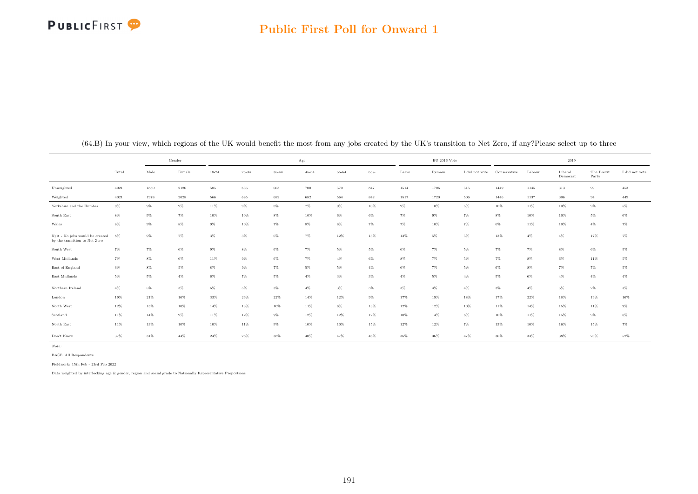

#### Public First Poll for Onward 1

|                                                                   |        |        | Gender |           |           |        | Age       |           |        |       | $\mathrm{EU}$ 2016 Vote |                |              |        | 2019                |                     |                |
|-------------------------------------------------------------------|--------|--------|--------|-----------|-----------|--------|-----------|-----------|--------|-------|-------------------------|----------------|--------------|--------|---------------------|---------------------|----------------|
|                                                                   | Total  | Male   | Female | $18 - 24$ | $25 - 34$ | 35-44  | $45 - 54$ | $55 - 64$ | $65+$  | Leave | Remain                  | I did not vote | Conservative | Labour | Liberal<br>Democrat | The Brexit<br>Party | I did not vote |
| Unweighted                                                        | 4021   | 1880   | 2126   | 585       | 656       | 663    | 700       | 570       | 847    | 1514  | 1706                    | 515            | 1449         | 1145   | 313                 | 99                  | 453            |
| Weighted                                                          | 4021   | 1978   | 2028   | 566       | 685       | 682    | 682       | 564       | 842    | 1517  | 1720                    | 506            | 1446         | 1137   | 306                 | 94                  | 449            |
| Yorkshire and the Humber                                          | $9\%$  | $9\%$  | $9\%$  | 11%       | $9\%$     | $8\%$  | $7\%$     | $9\%$     | 10%    | $9\%$ | 10%                     | 5%             | 10%          | 11%    | 10%                 | $9\%$               | $5\%$          |
| South East                                                        | $8\%$  | $9\%$  | $7\%$  | $10\%$    | $10\%$    | $8\%$  | $10\%$    | $6\%$     | $6\%$  | $7\%$ | $9\%$                   | $7\%$          | $8\%$        | 10%    | 10%                 | $5\%$               | $6\%$          |
| Wales                                                             | $8\%$  | $9\%$  | $8\%$  | $9\%$     | 10%       | $7\%$  | $8\%$     | $8\%$     | 7%     | $7\%$ | 10%                     | 7%             | $6\%$        | 11%    | 10%                 | $4\%$               | $7\%$          |
| $N/A$ - No jobs would be created<br>by the transition to Net Zero | 8%     | $9\%$  | $7\%$  | $3\%$     | $3\%$     | $6\%$  | $7\%$     | 12%       | 13%    | 13%   | $5\%$                   | $5\%$          | 13%          | $4\%$  | $4\%$               | 17%                 | $7\%$          |
| South West                                                        | 7%     | 7%     | $6\%$  | $9\%$     | $8\%$     | $6\%$  | 7%        | $5\%$     | $5\%$  | $6\%$ | 7%                      | $5\%$          | 7%           | 7%     | $8\%$               | $6\%$               | $5\%$          |
| West Midlands                                                     | $7\%$  | $8\%$  | $6\%$  | 11%       | $9\%$     | $6\%$  | 7%        | $4\%$     | $6\%$  | $8\%$ | 7%                      | 5%             | 7%           | $8\%$  | 6%                  | 11%                 | $5\%$          |
| East of England                                                   | $6\%$  | $8\%$  | 5%     | $8\%$     | $9\%$     | $7\%$  | $5\%$     | $5\%$     | $4\%$  | $6\%$ | $7\%$                   | $5\%$          | $6\%$        | $8\%$  | 7%                  | $7\%$               | $5\%$          |
| East Midlands                                                     | $5\%$  | $5\%$  | $4\%$  | $6\%$     | $7\%$     | $5\%$  | $4\%$     | $3\%$     | $3\%$  | $4\%$ | $5\%$                   | $4\%$          | $5\%$        | $6\%$  | $4\%$               | $4\%$               | $4\%$          |
| Northern Ireland                                                  | $4\%$  | $5\%$  | $3\%$  | $6\%$     | $5\%$     | $3\%$  | $4\%$     | $3\%$     | $3\%$  | $3\%$ | $4\%$                   | $4\%$          | $3\%$        | $4\%$  | 5%                  | $2\%$               | $3\%$          |
| London                                                            | 19%    | 21%    | 16%    | 33%       | $26\%$    | 22%    | 14%       | 12%       | $9\%$  | 17%   | 19%                     | 18%            | 17%          | 22%    | 18%                 | 19%                 | 16%            |
| North West                                                        | $12\%$ | $13\%$ | $10\%$ | $14\%$    | $13\%$    | $10\%$ | $11\%$    | $8\%$     | 13%    | 12%   | 12%                     | 10%            | 11%          | $14\%$ | 15%                 | $11\%$              | $9\%$          |
| Scotland                                                          | $11\%$ | $14\%$ | $9\%$  | 11%       | $12\%$    | $9\%$  | 12%       | 12%       | 12%    | 10%   | 14%                     | $8\%$          | 10%          | 11%    | 15%                 | $9\%$               | $8\%$          |
| North East                                                        | 11%    | 13%    | 10%    | 10%       | $11\%$    | $9\%$  | 10%       | 10%       | 15%    | 12%   | 12%                     | 7%             | 13%          | 10%    | 16%                 | 15%                 | $7\%$          |
| Don't Know                                                        | 37%    | 31%    | 44%    | $24\%$    | $28\%$    | 38%    | $40\%$    | 47%       | $46\%$ | 36%   | 36%                     | 47%            | 36%          | 33%    | 38%                 | 25%                 | 52%            |

(64.B) In your view, which regions of the UK would benefit the most from any jobs created by the UK's transition to Net Zero, if any?Please select up to three

Note:

BASE: All Respondents

Fieldwork: 15th Feb - 23rd Feb 2022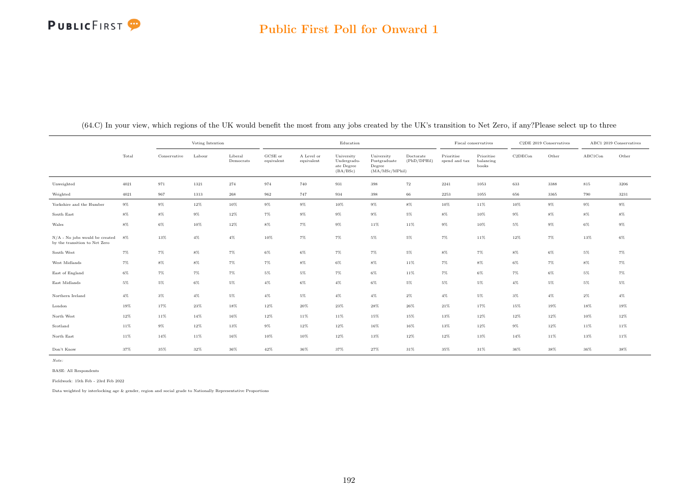## PUBLICFIRST<sup>9</sup>

### Public First Poll for Onward 1

|                                                                     |        |              | Voting Intention |                      |                       |                          | Education                                           |                                                         |                          | Fiscal conservatives        |                                  |         | C2DE 2019 Conservatives |                 | ABC1 2019 Conservatives |
|---------------------------------------------------------------------|--------|--------------|------------------|----------------------|-----------------------|--------------------------|-----------------------------------------------------|---------------------------------------------------------|--------------------------|-----------------------------|----------------------------------|---------|-------------------------|-----------------|-------------------------|
|                                                                     | Total  | Conservative | Labour           | Liberal<br>Democrats | GCSE or<br>equivalent | A Level or<br>equivalent | University<br>Undergradu-<br>ate Degree<br>(BA/BSc) | University<br>Postgraduate<br>Degree<br>(MA/MSc/MPhill) | Doctorate<br>(PhD/DPHil) | Prioritise<br>spend and tax | Prioritise<br>balancing<br>books | C2DECon | Other                   | ${\rm ABC1Con}$ | Other                   |
| Unweighted                                                          | 4021   | 971          | 1321             | 274                  | 974                   | 740                      | 931                                                 | 398                                                     | 72                       | 2241                        | 1053                             | 633     | 3388                    | 815             | 3206                    |
| Weighted                                                            | 4021   | 967          | 1313             | $\boldsymbol{268}$   | 962                   | 747                      | 934                                                 | 398                                                     | 66                       | 2253                        | 1055                             | 656     | 3365                    | 790             | 3231                    |
| Yorkshire and the Humber                                            | $9\%$  | $9\%$        | 12%              | 10%                  | $9\%$                 | $9\%$                    | 10%                                                 | $9\%$                                                   | $8\%$                    | 10%                         | 11%                              | 10%     | $9\%$                   | $9\%$           | $9\%$                   |
| South East                                                          | $8\%$  | $8\%$        | $9\%$            | $12\%$               | $7\%$                 | $9\%$                    | $9\%$                                               | $9\%$                                                   | $5\%$                    | $8\%$                       | 10%                              | $9\%$   | $8\%$                   | $8\%$           | $8\%$                   |
| Wales                                                               | $8\%$  | $6\%$        | 10%              | $12\%$               | $8\%$                 | $7\%$                    | $9\%$                                               | 11%                                                     | $11\%$                   | $9\%$                       | $10\%$                           | $5\%$   | $9\%$                   | $6\%$           | $9\%$                   |
| $N/A$ - $No$ jobs would be created<br>by the transition to Net Zero | 8%     | 13%          | $4\%$            | $4\%$                | 10%                   | $7\%$                    | $7\%$                                               | $5\%$                                                   | $5\%$                    | $7\%$                       | $11\%$                           | $12\%$  | $7\%$                   | 13%             | $6\%$                   |
| South West                                                          | $7\%$  | $7\%$        | $8\%$            | $7\%$                | $6\%$                 | $6\%$                    | $7\%$                                               | $7\%$                                                   | $5\%$                    | $8\%$                       | $7\%$                            | $8\%$   | $6\%$                   | $5\%$           | $7\%$                   |
| West Midlands                                                       | $7\%$  | $8\%$        | $8\%$            | $7\%$                | $7\%$                 | $8\%$                    | 6%                                                  | $8\%$                                                   | $11\%$                   | $7\%$                       | $8\%$                            | 6%      | $7\%$                   | 8%              | $7\%$                   |
| East of England                                                     | $6\%$  | $7\%$        | $7\%$            | $7\%$                | $5\%$                 | $5\%$                    | $7\%$                                               | $6\%$                                                   | $11\%$                   | $7\%$                       | $6\%$                            | $7\%$   | $6\%$                   | $5\%$           | $7\%$                   |
| East Midlands                                                       | $5\%$  | $5\%$        | $6\%$            | $5\%$                | $4\%$                 | $6\%$                    | $4\%$                                               | $6\%$                                                   | $5\%$                    | 5%                          | $5\%$                            | $4\%$   | $5\%$                   | $5\%$           | $5\%$                   |
| Northern Ireland                                                    | $4\%$  | $3\%$        | $4\%$            | $5\%$                | $4\%$                 | $5\%$                    | $4\%$                                               | $4\%$                                                   | $2\%$                    | $4\%$                       | $5\%$                            | $3\%$   | $4\%$                   | $2\%$           | $4\%$                   |
| London                                                              | $19\%$ | 17%          | 23%              | $18\%$               | $12\%$                | $20\%$                   | $23\%$                                              | $28\%$                                                  | $26\%$                   | $21\%$                      | 17%                              | 15%     | 19%                     | 18%             | 19%                     |
| North West                                                          | $12\%$ | 11%          | 14%              | $16\%$               | $12\%$                | $11\%$                   | 11%                                                 | 15%                                                     | 15%                      | 13%                         | $12\%$                           | $12\%$  | $12\%$                  | 10%             | $12\%$                  |
| Scotland                                                            | 11%    | $9\%$        | $12\%$           | $13\%$               | $9\%$                 | 12%                      | $12\%$                                              | $16\%$                                                  | 16%                      | 13%                         | $12\%$                           | $9\%$   | $12\%$                  | 11%             | $11\%$                  |
| North East                                                          | $11\%$ | $14\%$       | 11%              | $16\%$               | 10%                   | 10%                      | $12\%$                                              | 13%                                                     | $12\%$                   | 12%                         | 13%                              | 14%     | $11\%$                  | 13%             | $11\%$                  |
| Don't Know                                                          | 37%    | 35%          | 32%              | 36%                  | 42%                   | 36%                      | 37%                                                 | $27\%$                                                  | 31%                      | 35%                         | 31%                              | 36%     | 38%                     | 36%             | 38%                     |

(64.C) In your view, which regions of the UK would benefit the most from any jobs created by the UK's transition to Net Zero, if any?Please select up to three

Note:

BASE: All Respondents

Fieldwork: 15th Feb - 23rd Feb 2022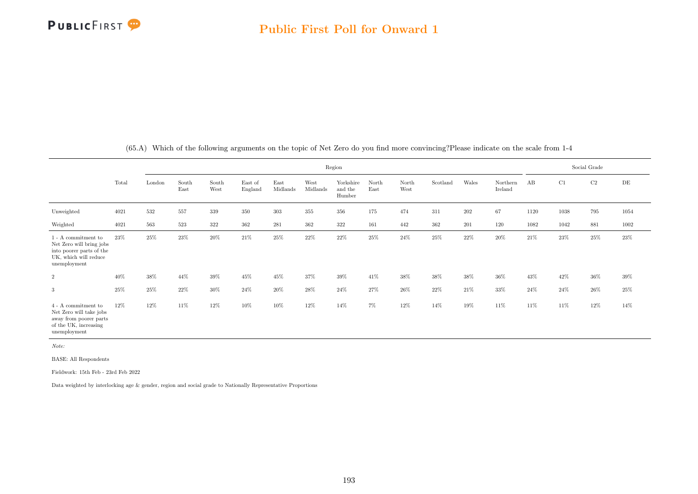

|                                                                                                                                         |        |        |               |               |                    |                  |                  | Region                         |               |               |          |        |                     |      |      | Social Grade |      |
|-----------------------------------------------------------------------------------------------------------------------------------------|--------|--------|---------------|---------------|--------------------|------------------|------------------|--------------------------------|---------------|---------------|----------|--------|---------------------|------|------|--------------|------|
|                                                                                                                                         | Total  | London | South<br>East | South<br>West | East of<br>England | East<br>Midlands | West<br>Midlands | Yorkshire<br>and the<br>Humber | North<br>East | North<br>West | Scotland | Wales  | Northern<br>Ireland | AB   | C1   | C2           | DE   |
| Unweighted                                                                                                                              | 4021   | 532    | 557           | 339           | 350                | $303\,$          | 355              | 356                            | 175           | 474           | 311      | 202    | 67                  | 1120 | 1038 | 795          | 1054 |
| Weighted                                                                                                                                | 4021   | 563    | 523           | 322           | 362                | 281              | 362              | 322                            | 161           | 442           | 362      | 201    | 120                 | 1082 | 1042 | 881          | 1002 |
| $1$ - $\mathbf{A}% ^{T}$ commitment to<br>Net Zero will bring jobs<br>into poorer parts of the<br>UK, which will reduce<br>unemployment | 23%    | 25%    | 23%           | 20%           | 21\%               | $25\%$           | $22\%$           | $22\%$                         | $25\%$        | 24%           | $25\%$   | 22%    | $20\%$              | 21\% | 23%  | 25%          | 23%  |
| $\overline{2}$                                                                                                                          | 40%    | $38\%$ | 44%           | 39%           | 45%                | 45%              | 37%              | 39%                            | 41%           | 38%           | 38%      | $38\%$ | 36%                 | 43%  | 42\% | $36\%$       | 39%  |
| 3                                                                                                                                       | $25\%$ | 25%    | 22%           | 30%           | 24\%               | 20%              | $28\%$           | 24\%                           | 27%           | 26%           | 22%      | 21%    | 33%                 | 24\% | 24\% | $26\%$       | 25%  |
| $4$ - $\mathbf{A}$ commitment to<br>Net Zero will take jobs<br>away from poorer parts<br>of the UK, increasing<br>unemployment          | 12%    | 12%    | 11%           | 12%           | $10\%$             | 10%              | 12%              | 14%                            | $7\%$         | 12%           | 14%      | 19%    | 11\%                | 11%  | 11%  | $12\%$       | 14%  |

(65.A) Which of the following arguments on the topic of Net Zero do you find more convincing?Please indicate on the scale from 1-4

Note:

BASE: All Respondents

Fieldwork: 15th Feb - 23rd Feb 2022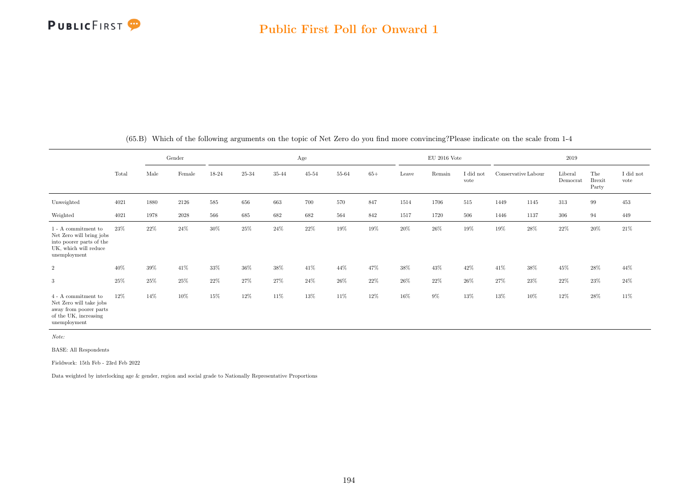|                                                                                                                      |       |      | Gender | Age    |        |        |           |        |        |       | $\rm EU$ 2016 Vote |                   |                     |      | 2019                |                               |                   |
|----------------------------------------------------------------------------------------------------------------------|-------|------|--------|--------|--------|--------|-----------|--------|--------|-------|--------------------|-------------------|---------------------|------|---------------------|-------------------------------|-------------------|
|                                                                                                                      | Total | Male | Female | 18-24  | 25-34  | 35-44  | $45 - 54$ | 55-64  | $65+$  | Leave | Remain             | I did not<br>vote | Conservative Labour |      | Liberal<br>Democrat | The<br><b>Brexit</b><br>Party | I did not<br>vote |
| Unweighted                                                                                                           | 4021  | 1880 | 2126   | 585    | 656    | 663    | 700       | 570    | 847    | 1514  | 1706               | 515               | 1449                | 1145 | 313                 | 99                            | 453               |
| Weighted                                                                                                             | 4021  | 1978 | 2028   | 566    | 685    | 682    | 682       | 564    | 842    | 1517  | 1720               | 506               | 1446                | 1137 | 306                 | 94                            | 449               |
| 1 - A commitment to<br>Net Zero will bring jobs<br>into poorer parts of the<br>UK, which will reduce<br>unemployment | 23%   | 22%  | 24%    | $30\%$ | $25\%$ | $24\%$ | 22%       | $19\%$ | $19\%$ | 20%   | $26\%$             | $19\%$            | 19%                 | 28%  | 22%                 | 20%                           | 21\%              |
| $\overline{2}$                                                                                                       | 40%   | 39%  | 41\%   | 33%    | 36%    | 38%    | 41\%      | 44%    | 47%    | 38%   | 43%                | 42\%              | 41\%                | 38%  | 45%                 | 28%                           | 44%               |
| 3                                                                                                                    | 25%   | 25%  | 25%    | 22%    | 27%    | 27%    | 24\%      | $26\%$ | $22\%$ | 26%   | 22%                | 26\%              | 27%                 | 23%  | 22%                 | $23\%$                        | 24\%              |
| 4 - A commitment to<br>Net Zero will take jobs<br>away from poorer parts<br>of the UK, increasing<br>unemployment    | 12%   | 14%  | 10%    | 15%    | $12\%$ | 11%    | 13%       | 11%    | $12\%$ | 16%   | $9\%$              | 13%               | 13%                 | 10%  | 12%                 | $28\%$                        | 11%               |

(65.B) Which of the following arguments on the topic of Net Zero do you find more convincing?Please indicate on the scale from 1-4

Note:

BASE: All Respondents

Fieldwork: 15th Feb - 23rd Feb 2022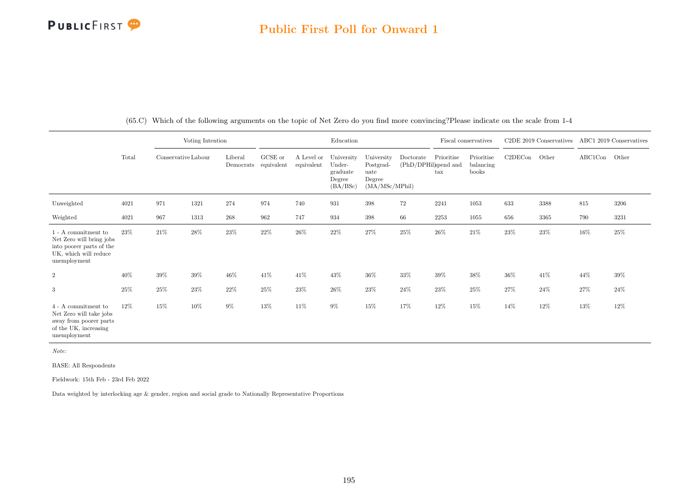|                                                                                                                      |       |                     | Voting Intention |                      |                       |                          | Education                                              |                                                             |           |                                                            | Fiscal conservatives             |         | $C2DE$ 2019 Conservatives |         | ABC1 2019 Conservatives |
|----------------------------------------------------------------------------------------------------------------------|-------|---------------------|------------------|----------------------|-----------------------|--------------------------|--------------------------------------------------------|-------------------------------------------------------------|-----------|------------------------------------------------------------|----------------------------------|---------|---------------------------|---------|-------------------------|
|                                                                                                                      | Total | Conservative Labour |                  | Liberal<br>Democrats | GCSE or<br>equivalent | A Level or<br>equivalent | University<br>Under-<br>graduate<br>Degree<br>(BA/BSc) | University<br>Postgrad-<br>uate<br>Degree<br>(MA/MSc/MPhil) | Doctorate | Prioritise<br>(PhD/DPHil)spend and<br>$\operatorname{tax}$ | Prioritise<br>balancing<br>books | C2DECon | Other                     | ABC1Con | Other                   |
| Unweighted                                                                                                           | 4021  | 971                 | 1321             | 274                  | 974                   | 740                      | 931                                                    | 398                                                         | $72\,$    | 2241                                                       | 1053                             | 633     | 3388                      | 815     | 3206                    |
| Weighted                                                                                                             | 4021  | 967                 | 1313             | 268                  | 962                   | 747                      | 934                                                    | 398                                                         | 66        | 2253                                                       | 1055                             | 656     | 3365                      | 790     | 3231                    |
| 1 - A commitment to<br>Net Zero will bring jobs<br>into poorer parts of the<br>UK, which will reduce<br>unemployment | 23%   | $21\%$              | 28%              | $23\%$               | 22%                   | 26%                      | 22%                                                    | 27%                                                         | 25%       | 26%                                                        | 21%                              | 23%     | 23%                       | 16%     | $25\%$                  |
| $\boldsymbol{2}$                                                                                                     | 40%   | $39\%$              | $39\%$           | 46%                  | 41\%                  | 41\%                     | 43%                                                    | 36%                                                         | 33%       | $39\%$                                                     | 38%                              | 36%     | $41\%$                    | 44%     | $39\%$                  |
| 3                                                                                                                    | 25%   | $25\%$              | $23\%$           | $22\%$               | 25%                   | 23%                      | 26%                                                    | $23\%$                                                      | $24\%$    | $23\%$                                                     | 25%                              | 27%     | $24\%$                    | 27%     | 24\%                    |
| 4 - A commitment to<br>Net Zero will take jobs<br>away from poorer parts<br>of the UK, increasing<br>unemployment    | 12%   | 15%                 | $10\%$           | $9\%$                | 13%                   | 11%                      | $9\%$                                                  | 15%                                                         | 17%       | 12%                                                        | 15%                              | 14%     | 12%                       | 13%     | $12\%$                  |

(65.C) Which of the following arguments on the topic of Net Zero do you find more convincing?Please indicate on the scale from 1-4

Note:

BASE: All Respondents

Fieldwork: 15th Feb - 23rd Feb 2022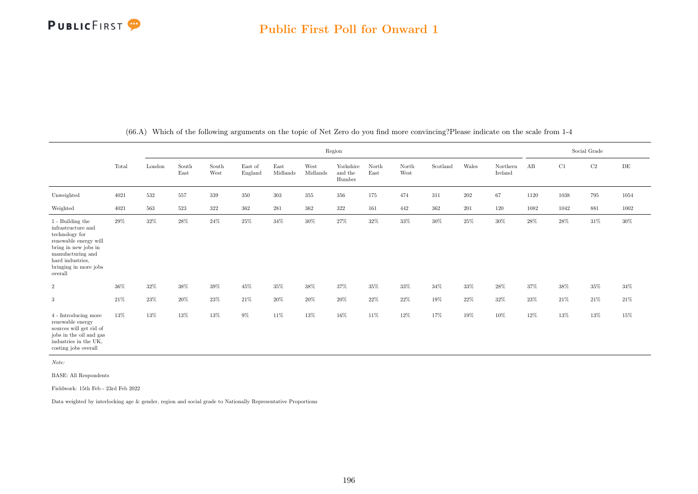|                                                                                                                                                                                        |        |        |               |               |                    |                  |                  | Region                         |               |               |          |         |                     |        |          | Social Grade |           |
|----------------------------------------------------------------------------------------------------------------------------------------------------------------------------------------|--------|--------|---------------|---------------|--------------------|------------------|------------------|--------------------------------|---------------|---------------|----------|---------|---------------------|--------|----------|--------------|-----------|
|                                                                                                                                                                                        | Total  | London | South<br>East | South<br>West | East of<br>England | East<br>Midlands | West<br>Midlands | Yorkshire<br>and the<br>Humber | North<br>East | North<br>West | Scotland | Wales   | Northern<br>Ireland | AB     | C1       | $\rm C2$     | $\rm{DE}$ |
| Unweighted                                                                                                                                                                             | 4021   | 532    | 557           | 339           | 350                | 303              | $355\,$          | 356                            | 175           | 474           | 311      | $202\,$ | 67                  | 1120   | $1038\,$ | 795          | 1054      |
| Weighted                                                                                                                                                                               | 4021   | 563    | 523           | 322           | 362                | 281              | 362              | 322                            | 161           | 442           | 362      | 201     | 120                 | 1082   | 1042     | 881          | 1002      |
| 1 - Building the<br>infrastructure and<br>technology for<br>renewable energy will<br>bring in new jobs in<br>manufacturing and<br>hard industries.<br>bringing in more jobs<br>overall | 29%    | 32%    | $28\%$        | $24\%$        | $25\%$             | $34\%$           | $30\%$           | 27%                            | $32\%$        | $33\%$        | $30\%$   | $25\%$  | 30%                 | 28%    | $28\%$   | 31%          | $30\%$    |
| $\overline{2}$                                                                                                                                                                         | $36\%$ | $32\%$ | $38\%$        | $39\%$        | $45\%$             | $35\%$           | $38\%$           | 37%                            | 35%           | $33\%$        | $34\%$   | $33\%$  | $28\%$              | $37\%$ | $38\%$   | 35%          | $34\%$    |
| 3                                                                                                                                                                                      | $21\%$ | $23\%$ | $20\%$        | $23\%$        | $21\%$             | $20\%$           | $20\%$           | $20\%$                         | 22%           | 22%           | 19%      | 22\%    | 32%                 | 23%    | 21\%     | 21%          | $21\%$    |
| 4 - Introducing more<br>renewable energy<br>sources will get rid of<br>jobs in the oil and gas<br>industries in the UK.<br>costing jobs overall                                        | 13%    | 13%    | 13%           | 13%           | $9\%$              | 11\%             | 13%              | 16%                            | 11%           | 12%           | 17%      | 19%     | 10%                 | 12%    | 13%      | 13%          | 15%       |

(66.A) Which of the following arguments on the topic of Net Zero do you find more convincing?Please indicate on the scale from 1-4

Note:

BASE: All Respondents

Fieldwork: 15th Feb - 23rd Feb 2022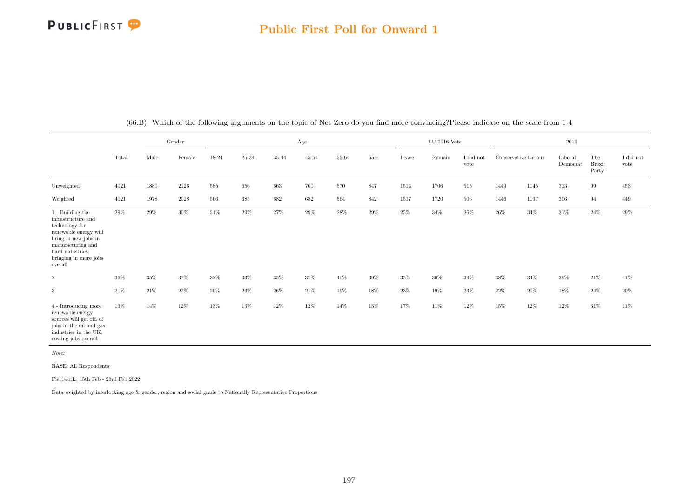### Public First Poll for Onward 1

|                                                                                                                                                                                               |        | Gender |          |         |           | Age    |           |         |        | $EU$ 2016 Vote |        |                   |                     | 2019 |                     |                               |                   |
|-----------------------------------------------------------------------------------------------------------------------------------------------------------------------------------------------|--------|--------|----------|---------|-----------|--------|-----------|---------|--------|----------------|--------|-------------------|---------------------|------|---------------------|-------------------------------|-------------------|
|                                                                                                                                                                                               | Total  | Male   | Female   | 18-24   | $25 - 34$ | 35-44  | $45 - 54$ | 55-64   | $65+$  | Leave          | Remain | I did not<br>vote | Conservative Labour |      | Liberal<br>Democrat | The<br><b>Brexit</b><br>Party | I did not<br>vote |
| Unweighted                                                                                                                                                                                    | 4021   | 1880   | 2126     | $585\,$ | 656       | 663    | 700       | $570\,$ | 847    | 1514           | 1706   | 515               | 1449                | 1145 | 313                 | $\,99$                        | 453               |
| Weighted                                                                                                                                                                                      | 4021   | 1978   | $2028\,$ | 566     | 685       | 682    | 682       | 564     | 842    | 1517           | 1720   | $506\,$           | 1446                | 1137 | $306\,$             | 94                            | 449               |
| $1$ - Building the $\,$<br>infrastructure and<br>technology for<br>renewable energy will<br>bring in new jobs in<br>manufacturing and<br>hard industries,<br>bringing in more jobs<br>overall | 29%    | 29%    | $30\%$   | 34%     | 29%       | 27%    | $29\%$    | $28\%$  | $29\%$ | $25\%$         | $34\%$ | $26\%$            | $26\%$              | 34%  | 31\%                | $24\%$                        | $29\%$            |
| $\overline{2}$                                                                                                                                                                                | $36\%$ | 35%    | 37%      | 32%     | 33%       | $35\%$ | $37\%$    | $40\%$  | $39\%$ | $35\%$         | $36\%$ | $39\%$            | 38%                 | 34%  | 39%                 | $21\%$                        | 41\%              |
| 3                                                                                                                                                                                             | 21\%   | 21\%   | $22\%$   | $20\%$  | $24\%$    | $26\%$ | $21\%$    | 19%     | $18\%$ | $23\%$         | 19%    | $23\%$            | $22\%$              | 20%  | 18%                 | $24\%$                        | $20\%$            |
| 4 - Introducing more<br>renewable energy<br>sources will get rid of<br>jobs in the oil and gas<br>industries in the UK,<br>costing jobs overall                                               | 13%    | 14%    | 12%      | 13%     | 13%       | $12\%$ | $12\%$    | $14\%$  | 13%    | 17%            | 11%    | $12\%$            | 15%                 | 12%  | 12%                 | 31\%                          | 11%               |

(66.B) Which of the following arguments on the topic of Net Zero do you find more convincing?Please indicate on the scale from 1-4

Note:

BASE: All Respondents

Fieldwork: 15th Feb - 23rd Feb 2022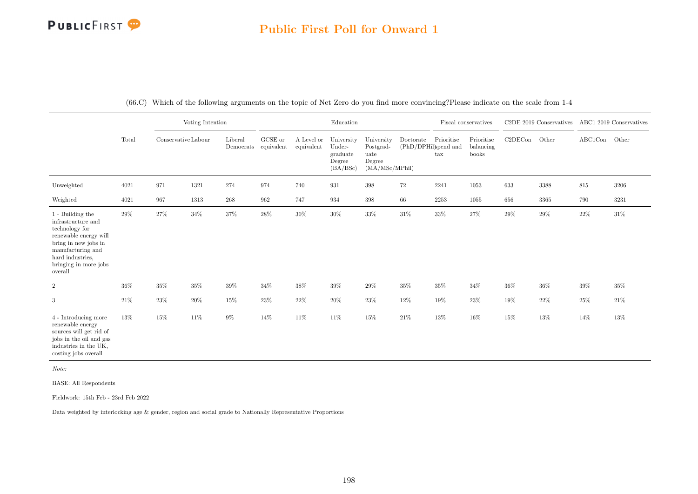### Public First Poll for Onward 1

|                                                                                                                                                                                        |       |                     | Voting Intention |                                                                            |         |                          | Education                                              |                                                             |                                   |                                    | Fiscal conservatives             |         | C2DE 2019 Conservatives |               | ABC1 2019 Conservatives |
|----------------------------------------------------------------------------------------------------------------------------------------------------------------------------------------|-------|---------------------|------------------|----------------------------------------------------------------------------|---------|--------------------------|--------------------------------------------------------|-------------------------------------------------------------|-----------------------------------|------------------------------------|----------------------------------|---------|-------------------------|---------------|-------------------------|
|                                                                                                                                                                                        | Total | Conservative Labour |                  | Liberal<br>$\label{eq:emocrats} \textbf{Democrats}\quad \text{equivalent}$ | GCSE or | A Level or<br>equivalent | University<br>Under-<br>graduate<br>Degree<br>(BA/BSc) | University<br>Postgrad-<br>uate<br>Degree<br>(MA/MSc/MPhil) | Doctorate<br>(PhD/DPHil)spend and | Prioritise<br>$\operatorname{tax}$ | Prioritise<br>balancing<br>books | C2DECon | Other                   | ABC1Con Other |                         |
| Unweighted                                                                                                                                                                             | 4021  | 971                 | 1321             | 274                                                                        | 974     | 740                      | 931                                                    | 398                                                         | $72\,$                            | 2241                               | 1053                             | 633     | 3388                    | $815\,$       | 3206                    |
| Weighted                                                                                                                                                                               | 4021  | 967                 | 1313             | $268\,$                                                                    | 962     | 747                      | 934                                                    | 398                                                         | 66                                | 2253                               | 1055                             | 656     | 3365                    | 790           | 3231                    |
| 1 - Building the<br>infrastructure and<br>technology for<br>renewable energy will<br>bring in new jobs in<br>manufacturing and<br>hard industries,<br>bringing in more jobs<br>overall | 29%   | 27%                 | $34\%$           | $37\%$                                                                     | $28\%$  | $30\%$                   | $30\%$                                                 | $33\%$                                                      | $31\%$                            | $33\%$                             | 27%                              | 29%     | $29\%$                  | $22\%$        | $31\%$                  |
| $\boldsymbol{2}$                                                                                                                                                                       | 36%   | $35\%$              | $35\%$           | $39\%$                                                                     | 34%     | 38%                      | $39\%$                                                 | $29\%$                                                      | $35\%$                            | $35\%$                             | 34%                              | 36%     | $36\%$                  | $39\%$        | 35%                     |
| 3                                                                                                                                                                                      | 21%   | 23%                 | $20\%$           | 15%                                                                        | 23%     | 22%                      | 20%                                                    | $23\%$                                                      | $12\%$                            | $19\%$                             | 23\%                             | 19%     | $22\%$                  | $25\%$        | 21\%                    |
| 4 - Introducing more<br>renewable energy<br>sources will get rid of<br>jobs in the oil and gas<br>industries in the UK,<br>costing jobs overall                                        | 13%   | 15%                 | $11\%$           | $9\%$                                                                      | 14%     | 11%                      | 11%                                                    | 15%                                                         | $21\%$                            | $13\%$                             | $16\%$                           | 15%     | 13%                     | 14%           | 13%                     |

(66.C) Which of the following arguments on the topic of Net Zero do you find more convincing?Please indicate on the scale from 1-4

Note:

BASE: All Respondents

Fieldwork: 15th Feb - 23rd Feb 2022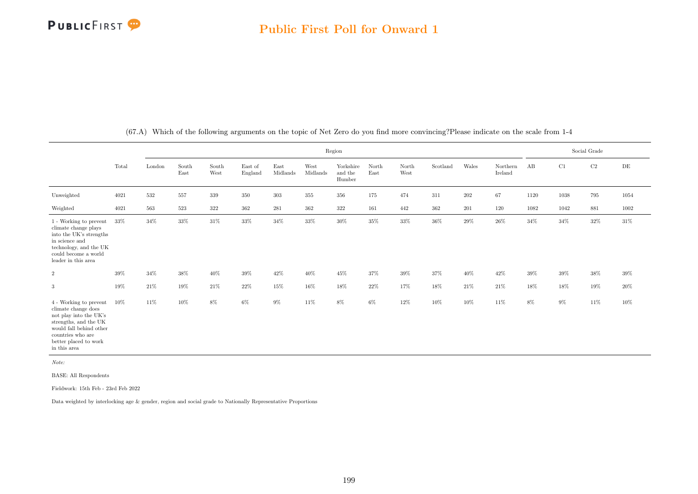|                                                                                                                                                                                           |        |         |               |               |                    |                  |                  | Region                         |               |                                |          |         |                     |        |          | Social Grade |           |
|-------------------------------------------------------------------------------------------------------------------------------------------------------------------------------------------|--------|---------|---------------|---------------|--------------------|------------------|------------------|--------------------------------|---------------|--------------------------------|----------|---------|---------------------|--------|----------|--------------|-----------|
|                                                                                                                                                                                           | Total  | London  | South<br>East | South<br>West | East of<br>England | East<br>Midlands | West<br>Midlands | Yorkshire<br>and the<br>Humber | North<br>East | $\operatorname{North}$<br>West | Scotland | Wales   | Northern<br>Ireland | AB     | C1       | $\rm C2$     | $\rm{DE}$ |
| Unweighted                                                                                                                                                                                | 4021   | $532\,$ | 557           | 339           | 350                | 303              | 355              | 356                            | 175           | 474                            | 311      | $202\,$ | 67                  | 1120   | $1038\,$ | 795          | 1054      |
| Weighted                                                                                                                                                                                  | 4021   | 563     | 523           | 322           | 362                | 281              | 362              | 322                            | 161           | 442                            | 362      | 201     | 120                 | 1082   | 1042     | 881          | 1002      |
| 1 - Working to prevent<br>climate change plays<br>into the UK's strengths<br>in science and<br>technology, and the UK<br>could become a world<br>leader in this area                      | $33\%$ | 34%     | $33\%$        | $31\%$        | $33\%$             | $34\%$           | $33\%$           | 30%                            | 35%           | $33\%$                         | $36\%$   | $29\%$  | $26\%$              | 34%    | 34%      | 32%          | $31\%$    |
| $\overline{2}$                                                                                                                                                                            | $39\%$ | $34\%$  | $38\%$        | $40\%$        | $39\%$             | 42%              | $40\%$           | 45%                            | $37\%$        | $39\%$                         | 37%      | $40\%$  | $42\%$              | $39\%$ | $39\%$   | 38%          | $39\%$    |
| 3                                                                                                                                                                                         | $19\%$ | $21\%$  | $19\%$        | $21\%$        | $22\%$             | $15\%$           | $16\%$           | 18%                            | $22\%$        | $17\%$                         | $18\%$   | $21\%$  | $21\%$              | $18\%$ | $18\%$   | $19\%$       | $20\%$    |
| 4 - Working to prevent<br>climate change does<br>not play into the UK's<br>strengths, and the UK<br>would fall behind other<br>countries who are<br>better placed to work<br>in this area | $10\%$ | 11%     | $10\%$        | $8\%$         | $6\%$              | $9\%$            | $11\%$           | $8\%$                          | $6\%$         | 12%                            | $10\%$   | $10\%$  | $11\%$              | $8\%$  | $9\%$    | 11%          | $10\%$    |

(67.A) Which of the following arguments on the topic of Net Zero do you find more convincing?Please indicate on the scale from 1-4

Note:

BASE: All Respondents

Fieldwork: 15th Feb - 23rd Feb 2022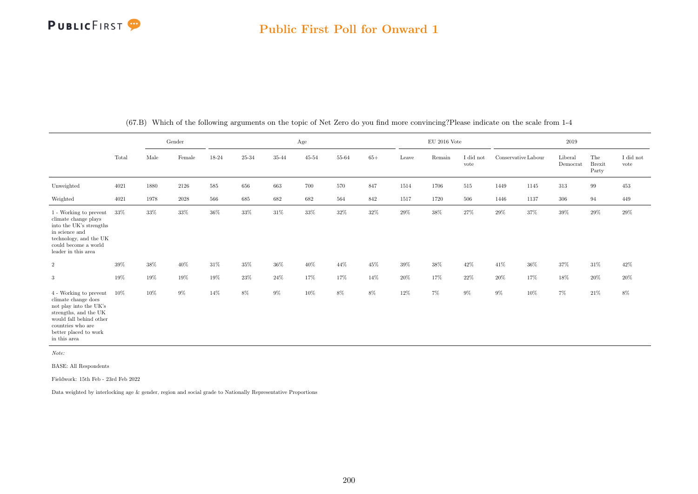### Public First Poll for Onward 1

|                                                                                                                                                                                           |        |      | Gender |         |           |           | Age       |           |        |        | $EU$ 2016 Vote |                   |                     |        | 2019                |                               |                   |
|-------------------------------------------------------------------------------------------------------------------------------------------------------------------------------------------|--------|------|--------|---------|-----------|-----------|-----------|-----------|--------|--------|----------------|-------------------|---------------------|--------|---------------------|-------------------------------|-------------------|
|                                                                                                                                                                                           | Total  | Male | Female | 18-24   | $25 - 34$ | $35 - 44$ | $45 - 54$ | $55 - 64$ | $65+$  | Leave  | Remain         | I did not<br>vote | Conservative Labour |        | Liberal<br>Democrat | The<br><b>Brexit</b><br>Party | I did not<br>vote |
| Unweighted                                                                                                                                                                                | 4021   | 1880 | 2126   | $585\,$ | 656       | 663       | 700       | 570       | 847    | 1514   | 1706           | $515\,$           | 1449                | 1145   | $313\,$             | 99                            | 453               |
| Weighted                                                                                                                                                                                  | 4021   | 1978 | 2028   | 566     | 685       | 682       | 682       | 564       | 842    | 1517   | 1720           | 506               | 1446                | 1137   | 306                 | 94                            | 449               |
| 1 - Working to prevent<br>climate change plays<br>into the UK's strengths<br>in science and<br>technology, and the UK<br>could become a world<br>$\!$ leader in this area                 | 33%    | 33%  | $33\%$ | $36\%$  | 33%       | $31\%$    | $33\%$    | $32\%$    | $32\%$ | $29\%$ | $38\%$         | 27%               | $29\%$              | 37%    | $39\%$              | $29\%$                        | $29\%$            |
| $\overline{2}$                                                                                                                                                                            | 39%    | 38%  | 40%    | 31%     | 35%       | 36%       | 40%       | 44%       | 45%    | 39%    | 38%            | 42\%              | 41\%                | $36\%$ | 37%                 | 31%                           | 42%               |
| 3                                                                                                                                                                                         | 19%    | 19%  | 19%    | 19%     | 23%       | 24\%      | 17%       | 17%       | 14%    | $20\%$ | 17%            | 22\%              | 20%                 | 17%    | 18%                 | $20\%$                        | $20\%$            |
| 4 - Working to prevent<br>climate change does<br>not play into the UK's<br>strengths, and the UK<br>would fall behind other<br>countries who are<br>better placed to work<br>in this area | $10\%$ | 10%  | $9\%$  | 14%     | 8%        | $9\%$     | 10%       | 8%        | 8%     | 12%    | $7\%$          | $9\%$             | $9\%$               | 10%    | 7%                  | 21\%                          | 8%                |

(67.B) Which of the following arguments on the topic of Net Zero do you find more convincing?Please indicate on the scale from 1-4

Note:

BASE: All Respondents

Fieldwork: 15th Feb - 23rd Feb 2022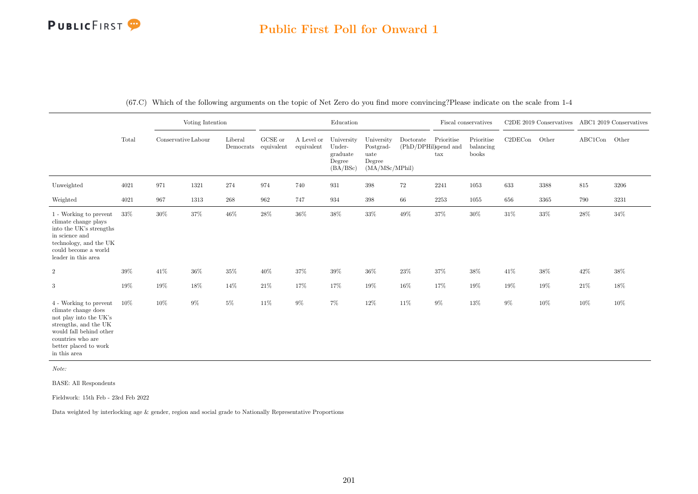### Public First Poll for Onward 1

|                                                                                                                                                                                           |       |                     | Voting Intention |         |                                                                   |                          | Education                                              |                                                             |                                   |                   | Fiscal conservatives             |         | C <sub>2</sub> DE 2019 Conservatives |               | ABC1 2019 Conservatives |
|-------------------------------------------------------------------------------------------------------------------------------------------------------------------------------------------|-------|---------------------|------------------|---------|-------------------------------------------------------------------|--------------------------|--------------------------------------------------------|-------------------------------------------------------------|-----------------------------------|-------------------|----------------------------------|---------|--------------------------------------|---------------|-------------------------|
|                                                                                                                                                                                           | Total | Conservative Labour |                  | Liberal | GCSE or<br>$\label{lem:1} {\rm Demoncrats}\quad {\rm equivalent}$ | A Level or<br>equivalent | University<br>Under-<br>graduate<br>Degree<br>(BA/BSc) | University<br>Postgrad-<br>uate<br>Degree<br>(MA/MSc/MPhil) | Doctorate<br>(PhD/DPHil)spend and | Prioritise<br>tax | Prioritise<br>balancing<br>books | C2DECon | Other                                | ABC1Con Other |                         |
| Unweighted                                                                                                                                                                                | 4021  | 971                 | 1321             | 274     | 974                                                               | 740                      | 931                                                    | 398                                                         | 72                                | 2241              | 1053                             | 633     | 3388                                 | $815\,$       | 3206                    |
| Weighted                                                                                                                                                                                  | 4021  | 967                 | 1313             | $268\,$ | 962                                                               | 747                      | 934                                                    | 398                                                         | 66                                | $2253\,$          | 1055                             | 656     | 3365                                 | 790           | $3231\,$                |
| 1 - Working to prevent<br>climate change plays<br>into the UK's strengths<br>in science and<br>technology, and the $\rm UK$<br>could become a world<br>leader in this area                | 33%   | 30%                 | $37\%$           | $46\%$  | 28%                                                               | 36%                      | $38\%$                                                 | $33\%$                                                      | $49\%$                            | 37%               | 30%                              | $31\%$  | 33%                                  | $28\%$        | 34%                     |
| $\boldsymbol{2}$                                                                                                                                                                          | 39%   | 41%                 | $36\%$           | $35\%$  | 40%                                                               | 37%                      | 39%                                                    | $36\%$                                                      | 23%                               | $37\%$            | 38%                              | 41%     | 38%                                  | $42\%$        | 38%                     |
| $\sqrt{3}$                                                                                                                                                                                | 19%   | 19%                 | $18\%$           | 14%     | $21\%$                                                            | 17%                      | 17%                                                    | 19%                                                         | $16\%$                            | 17%               | $19\%$                           | 19%     | $19\%$                               | $21\%$        | $18\%$                  |
| 4 - Working to prevent<br>climate change does<br>not play into the UK's<br>strengths, and the UK<br>would fall behind other<br>countries who are<br>better placed to work<br>in this area | 10%   | 10%                 | $9\%$            | $5\%$   | 11%                                                               | 9%                       | 7%                                                     | 12%                                                         | 11%                               | $9\%$             | $13\%$                           | $9\%$   | $10\%$                               | 10%           | 10%                     |

(67.C) Which of the following arguments on the topic of Net Zero do you find more convincing?Please indicate on the scale from 1-4

Note:

BASE: All Respondents

Fieldwork: 15th Feb - 23rd Feb 2022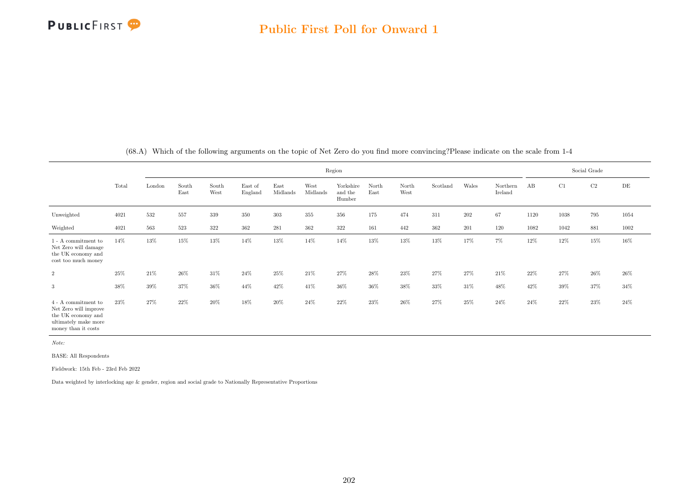

|                                                                                                                             |       |        |               |               |                    |                  |                  | Region                         |               |               |          |         |                     |      |        | Social Grade |          |
|-----------------------------------------------------------------------------------------------------------------------------|-------|--------|---------------|---------------|--------------------|------------------|------------------|--------------------------------|---------------|---------------|----------|---------|---------------------|------|--------|--------------|----------|
|                                                                                                                             | Total | London | South<br>East | South<br>West | East of<br>England | East<br>Midlands | West<br>Midlands | Yorkshire<br>and the<br>Humber | North<br>East | North<br>West | Scotland | Wales   | Northern<br>Ireland | AB   | C1     | C2           | DE       |
| Unweighted                                                                                                                  | 4021  | 532    | 557           | 339           | 350                | 303              | $355\,$          | 356                            | 175           | 474           | 311      | $202\,$ | 67                  | 1120 | 1038   | 795          | 1054     |
| Weighted                                                                                                                    | 4021  | 563    | 523           | 322           | 362                | 281              | 362              | 322                            | 161           | 442           | 362      | 201     | 120                 | 1082 | 1042   | 881          | $1002\,$ |
| $1 - A$ commitment to<br>Net Zero will damage<br>the UK economy and<br>cost too much money                                  | 14%   | 13%    | 15%           | $13\%$        | 14%                | $13\%$           | $14\%$           | 14%                            | $13\%$        | 13%           | $13\%$   | 17%     | 7%                  | 12%  | 12%    | $15\%$       | 16%      |
| $\overline{2}$                                                                                                              | 25%   | 21%    | $26\%$        | 31%           | 24\%               | 25%              | 21\%             | 27%                            | $28\%$        | 23%           | 27%      | 27%     | 21\%                | 22%  | 27%    | $26\%$       | $26\%$   |
| 3                                                                                                                           | 38%   | 39%    | 37%           | $36\%$        | 44%                | 42%              | 41\%             | $36\%$                         | $36\%$        | $38\%$        | 33%      | 31\%    | 48%                 | 42%  | $39\%$ | $37\%$       | $34\%$   |
| $4$ - $\Lambda$ commitment to<br>Net Zero will improve<br>the UK economy and<br>ultimately make more<br>money than it costs | 23%   | 27%    | 22%           | $20\%$        | $18\%$             | $20\%$           | 24\%             | 22%                            | $23\%$        | 26%           | 27%      | 25%     | 24\%                | 24%  | 22%    | $23\%$       | $24\%$   |

(68.A) Which of the following arguments on the topic of Net Zero do you find more convincing?Please indicate on the scale from 1-4

Note:

BASE: All Respondents

Fieldwork: 15th Feb - 23rd Feb 2022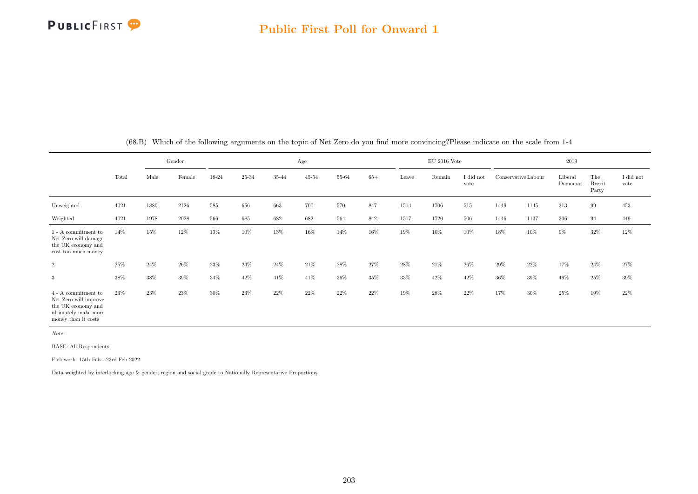|                                                                                                                   |       |      | Gender |       |       |       | Age       |       |        |       | $\mathrm{EU}$ 2016 Vote |                               |                     |      | 2019                |                               |                   |
|-------------------------------------------------------------------------------------------------------------------|-------|------|--------|-------|-------|-------|-----------|-------|--------|-------|-------------------------|-------------------------------|---------------------|------|---------------------|-------------------------------|-------------------|
|                                                                                                                   | Total | Male | Female | 18-24 | 25-34 | 35-44 | $45 - 54$ | 55-64 | $65+$  | Leave | Remain                  | $\rm I$ did $\rm not$<br>vote | Conservative Labour |      | Liberal<br>Democrat | The<br><b>Brexit</b><br>Party | I did not<br>vote |
| Unweighted                                                                                                        | 4021  | 1880 | 2126   | 585   | 656   | 663   | 700       | 570   | 847    | 1514  | 1706                    | 515                           | 1449                | 1145 | $313\,$             | 99                            | 453               |
| Weighted                                                                                                          | 4021  | 1978 | 2028   | 566   | 685   | 682   | 682       | 564   | 842    | 1517  | 1720                    | 506                           | 1446                | 1137 | 306                 | 94                            | 449               |
| $1 - A$ commitment to<br>Net Zero will damage<br>the UK economy and<br>cost too much money                        | 14%   | 15%  | 12%    | 13%   | 10%   | 13%   | 16%       | 14%   | 16%    | 19%   | 10%                     | 10%                           | 18%                 | 10%  | $9\%$               | 32%                           | 12%               |
| $\overline{2}$                                                                                                    | 25%   | 24\% | 26%    | 23%   | 24%   | 24\%  | 21\%      | 28%   | 27%    | 28%   | 21\%                    | 26\%                          | 29%                 | 22%  | 17%                 | 24%                           | 27%               |
| 3                                                                                                                 | 38%   | 38%  | 39%    | 34%   | 42%   | 41\%  | 41\%      | 36%   | $35\%$ | 33%   | 42%                     | 42\%                          | 36%                 | 39%  | 49%                 | 25%                           | 39%               |
| 4 - A commitment to<br>Net Zero will improve<br>the UK economy and<br>ultimately make more<br>money than it costs | 23%   | 23%  | 23%    | 30%   | 23%   | 22%   | $22\%$    | 22%   | 22%    | 19%   | $28\%$                  | 22%                           | 17%                 | 30%  | 25%                 | 19%                           | 22\%              |

(68.B) Which of the following arguments on the topic of Net Zero do you find more convincing?Please indicate on the scale from 1-4

Note:

BASE: All Respondents

Fieldwork: 15th Feb - 23rd Feb 2022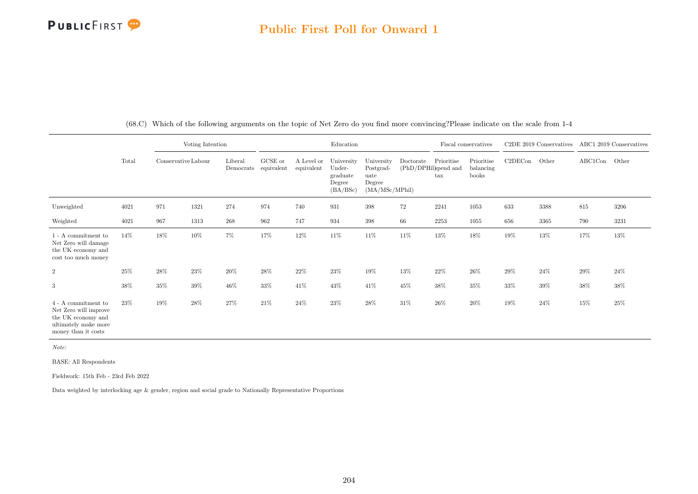## PUBLICFIRST<sup>9</sup>

### Public First Poll for Onward 1

|                                                                                                                   |       |                     | Voting Intention |                                 |         |                          | Education                                              |                                                             |                                   |                            | Fiscal conservatives             |         | C <sub>2</sub> DE 2019 Conservatives |         | ABC1 2019 Conservatives |
|-------------------------------------------------------------------------------------------------------------------|-------|---------------------|------------------|---------------------------------|---------|--------------------------|--------------------------------------------------------|-------------------------------------------------------------|-----------------------------------|----------------------------|----------------------------------|---------|--------------------------------------|---------|-------------------------|
|                                                                                                                   | Total | Conservative Labour |                  | Liberal<br>Democrats equivalent | GCSE or | A Level or<br>equivalent | University<br>Under-<br>graduate<br>Degree<br>(BA/BSc) | University<br>Postgrad-<br>uate<br>Degree<br>(MA/MSc/MPhil) | Doctorate<br>(PhD/DPHil)spend and | Prioritise<br>$\text{tax}$ | Prioritise<br>balancing<br>books | C2DECon | Other                                | ABC1Con | Other                   |
| Unweighted                                                                                                        | 4021  | 971                 | 1321             | 274                             | 974     | 740                      | 931                                                    | 398                                                         | $72\,$                            | 2241                       | 1053                             | 633     | 3388                                 | $815\,$ | 3206                    |
| Weighted                                                                                                          | 4021  | 967                 | 1313             | $268\,$                         | 962     | 747                      | 934                                                    | 398                                                         | 66                                | $2253\,$                   | 1055                             | 656     | 3365                                 | 790     | 3231                    |
| 1 - A commitment to<br>Net Zero will damage<br>the UK economy and<br>cost too much money                          | 14%   | 18%                 | 10%              | 7%                              | 17%     | 12%                      | 11%                                                    | 11%                                                         | 11%                               | 13%                        | 18%                              | 19%     | 13%                                  | 17%     | 13%                     |
| $\boldsymbol{2}$                                                                                                  | 25%   | 28%                 | 23%              | $20\%$                          | 28%     | $22\%$                   | 23%                                                    | 19%                                                         | $13\%$                            | $22\%$                     | $26\%$                           | 29%     | 24%                                  | $29\%$  | 24%                     |
| 3                                                                                                                 | 38%   | 35%                 | 39%              | $46\%$                          | 33%     | 41%                      | 43%                                                    | 41\%                                                        | 45%                               | $38\%$                     | 35%                              | 33%     | 39%                                  | $38\%$  | 38%                     |
| 4 - A commitment to<br>Net Zero will improve<br>the UK economy and<br>ultimately make more<br>money than it costs | 23%   | 19%                 | 28%              | $27\%$                          | $21\%$  | 24%                      | $23\%$                                                 | 28%                                                         | $31\%$                            | $26\%$                     | $20\%$                           | 19%     | 24%                                  | 15%     | 25%                     |

(68.C) Which of the following arguments on the topic of Net Zero do you find more convincing?Please indicate on the scale from 1-4

Note:

BASE: All Respondents

Fieldwork: 15th Feb - 23rd Feb 2022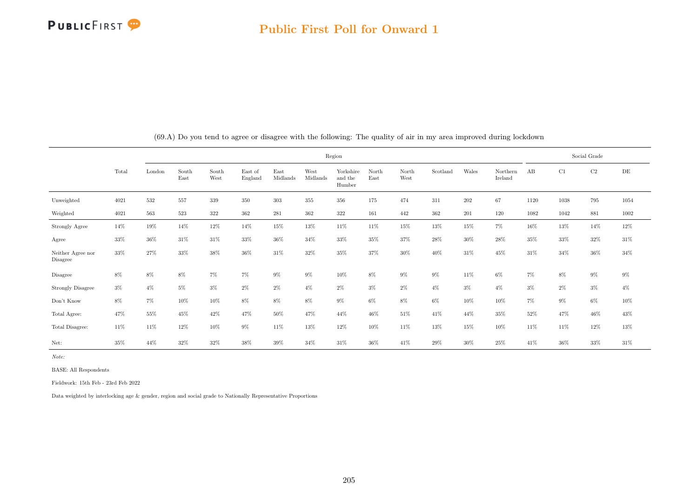

|                               |       |        |               |               |                    |                  |                  | Region                         |               |               |          |       |                     |        |       | Social Grade |        |
|-------------------------------|-------|--------|---------------|---------------|--------------------|------------------|------------------|--------------------------------|---------------|---------------|----------|-------|---------------------|--------|-------|--------------|--------|
|                               | Total | London | South<br>East | South<br>West | East of<br>England | East<br>Midlands | West<br>Midlands | Yorkshire<br>and the<br>Humber | North<br>East | North<br>West | Scotland | Wales | Northern<br>Ireland | AB     | C1    | C2           | DE     |
| Unweighted                    | 4021  | 532    | 557           | 339           | 350                | 303              | 355              | 356                            | 175           | 474           | 311      | 202   | 67                  | 1120   | 1038  | 795          | 1054   |
| Weighted                      | 4021  | 563    | 523           | 322           | 362                | 281              | 362              | 322                            | 161           | 442           | 362      | 201   | 120                 | 1082   | 1042  | 881          | 1002   |
| Strongly Agree                | 14%   | 19%    | 14%           | 12%           | 14%                | 15%              | 13%              | 11\%                           | 11%           | 15%           | 13%      | 15%   | $7\%$               | 16%    | 13%   | 14%          | 12%    |
| Agree                         | 33%   | 36%    | 31\%          | 31%           | 33%                | 36%              | 34%              | 33%                            | 35%           | 37%           | $28\%$   | 30%   | 28%                 | 35%    | 33%   | 32%          | 31\%   |
| Neither Agree nor<br>Disagree | 33%   | 27%    | 33%           | 38%           | 36%                | 31\%             | 32%              | 35%                            | 37%           | 30%           | 40%      | 31%   | 45%                 | 31%    | 34%   | 36%          | 34%    |
| Disagree                      | 8%    | 8%     | $8\%$         | $7\%$         | 7%                 | $9\%$            | $9\%$            | $10\%$                         | $8\%$         | $9\%$         | $9\%$    | 11%   | $6\%$               | $7\%$  | $8\%$ | $9\%$        | $9\%$  |
| <b>Strongly Disagree</b>      | $3\%$ | $4\%$  | $5\%$         | $3\%$         | 2%                 | $2\%$            | $4\%$            | 2%                             | $3\%$         | $2\%$         | $4\%$    | $3\%$ | $4\%$               | $3\%$  | $2\%$ | $3\%$        | $4\%$  |
| Don't Know                    | 8%    | $7\%$  | 10%           | 10%           | 8%                 | 8%               | 8%               | 9%                             | $6\%$         | $8\%$         | 6%       | 10%   | 10%                 | $7\%$  | $9\%$ | $6\%$        | 10%    |
| Total Agree:                  | 47%   | 55%    | 45%           | 42%           | 47%                | 50%              | 47%              | 44\%                           | 46%           | 51%           | 41\%     | 44%   | $35\%$              | $52\%$ | 47%   | 46%          | 43%    |
| Total Disagree:               | 11%   | 11\%   | 12%           | 10%           | $9\%$              | 11%              | 13%              | 12%                            | 10%           | 11%           | 13%      | 15%   | 10%                 | 11\%   | 11\%  | 12%          | $13\%$ |
| Net:                          | 35%   | 44\%   | 32%           | 32%           | 38%                | 39%              | 34%              | 31\%                           | 36%           | 41\%          | 29%      | 30%   | $25\%$              | 41\%   | 36%   | 33%          | 31%    |

(69.A) Do you tend to agree or disagree with the following: The quality of air in my area improved during lockdown

Note:

BASE: All Respondents

Fieldwork: 15th Feb - 23rd Feb 2022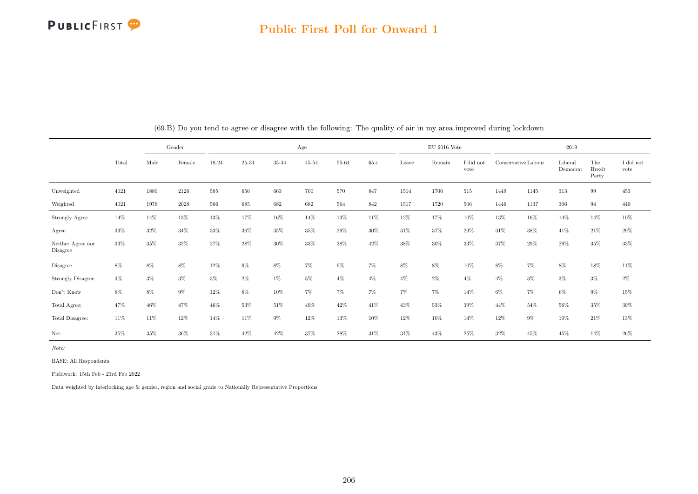

#### Public First Poll for Onward 1

|                               | Gender |        |        |        |       |        | Age       |        |       |       | $EU$ 2016 Vote |                   |       |                     | 2019                |                               |                               |
|-------------------------------|--------|--------|--------|--------|-------|--------|-----------|--------|-------|-------|----------------|-------------------|-------|---------------------|---------------------|-------------------------------|-------------------------------|
|                               | Total  | Male   | Female | 18-24  | 25-34 | 35-44  | $45 - 54$ | 55-64  | $65+$ | Leave | Remain         | I did not<br>vote |       | Conservative Labour | Liberal<br>Democrat | The<br><b>Brexit</b><br>Party | $\rm I$ did $\rm not$<br>vote |
| Unweighted                    | 4021   | 1880   | 2126   | 585    | 656   | 663    | 700       | 570    | 847   | 1514  | 1706           | 515               | 1449  | 1145                | 313                 | 99                            | 453                           |
| Weighted                      | 4021   | 1978   | 2028   | 566    | 685   | 682    | 682       | 564    | 842   | 1517  | 1720           | 506               | 1446  | 1137                | 306                 | 94                            | 449                           |
| Strongly Agree                | $14\%$ | 14%    | $13\%$ | $13\%$ | 17%   | $16\%$ | $14\%$    | $13\%$ | 11%   | 12%   | 17%            | 10%               | 13%   | 16%                 | 14%                 | 14%                           | 10%                           |
| Agree                         | 33%    | 32%    | 34%    | 33%    | 36%   | 35%    | 35%       | 29%    | 30%   | 31\%  | 37%            | 29%               | 31\%  | 38%                 | 41\%                | 21\%                          | 29%                           |
| Neither Agree nor<br>Disagree | $33\%$ | 35%    | 32%    | 27%    | 28%   | 30%    | 33%       | 38%    | 42%   | 38%   | 30%            | 33%               | 37%   | 29%                 | 29%                 | 35%                           | 33%                           |
| Disagree                      | 8%     | $8\%$  | 8%     | 12%    | $9\%$ | 8%     | 7%        | $9\%$  | $7\%$ | 8%    | 8%             | 10%               | $8\%$ | $7\%$               | 8%                  | 18%                           | 11\%                          |
| <b>Strongly Disagree</b>      | $3\%$  | $3\%$  | $3\%$  | $3\%$  | $2\%$ | 1%     | 5%        | $4\%$  | $4\%$ | $4\%$ | $2\%$          | $4\%$             | $4\%$ | $3\%$               | $3\%$               | $3\%$                         | $2\%$                         |
| Don't Know                    | $8\%$  | $8\%$  | $9\%$  | $12\%$ | $8\%$ | $10\%$ | $7\%$     | $7\%$  | $7\%$ | $7\%$ | $7\%$          | 14%               | $6\%$ | $7\%$               | $6\%$               | $9\%$                         | 15%                           |
| Total Agree:                  | 47%    | 46%    | 47%    | 46%    | 53%   | 51\%   | 49%       | 42\%   | 41%   | 43%   | 53%            | 39%               | 44%   | 54%                 | 56%                 | 35%                           | 39%                           |
| Total Disagree:               | 11%    | 11%    | 12%    | 14%    | 11%   | $9\%$  | 12%       | 13%    | 10%   | 12%   | 10%            | 14%               | 12%   | $9\%$               | 10%                 | 21\%                          | $13\%$                        |
| Net:                          | 35%    | $35\%$ | 36%    | 31\%   | 42%   | 42\%   | 37%       | 28%    | 31%   | 31%   | 43%            | 25%               | 32%   | 45%                 | 45%                 | 14%                           | 26\%                          |

(69.B) Do you tend to agree or disagree with the following: The quality of air in my area improved during lockdown

Note:

BASE: All Respondents

Fieldwork: 15th Feb - 23rd Feb 2022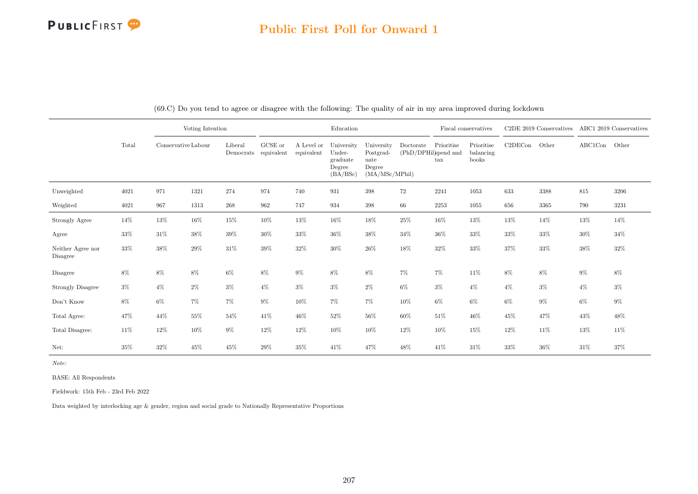### Public First Poll for Onward 1

|                               |        |                     | Voting Intention |                      |                       |                          | Education                                              |                                                             |                                   |                            | Fiscal conservatives             |         | C2DE 2019 Conservatives |               | ABC1 2019 Conservatives |
|-------------------------------|--------|---------------------|------------------|----------------------|-----------------------|--------------------------|--------------------------------------------------------|-------------------------------------------------------------|-----------------------------------|----------------------------|----------------------------------|---------|-------------------------|---------------|-------------------------|
|                               | Total  | Conservative Labour |                  | Liberal<br>Democrats | GCSE or<br>equivalent | A Level or<br>equivalent | University<br>Under-<br>graduate<br>Degree<br>(BA/BSc) | University<br>Postgrad-<br>uate<br>Degree<br>(MA/MSc/MPhil) | Doctorate<br>(PhD/DPHil)spend and | Prioritise<br>$\text{tax}$ | Prioritise<br>balancing<br>books | C2DECon | Other                   | ABC1Con Other |                         |
| Unweighted                    | 4021   | 971                 | 1321             | 274                  | 974                   | 740                      | 931                                                    | $398\,$                                                     | 72                                | 2241                       | 1053                             | 633     | 3388                    | 815           | 3206                    |
| Weighted                      | 4021   | 967                 | 1313             | $268\,$              | 962                   | 747                      | 934                                                    | $398\,$                                                     | 66                                | 2253                       | 1055                             | 656     | 3365                    | 790           | 3231                    |
| Strongly Agree                | 14%    | 13%                 | 16%              | 15%                  | 10%                   | 13%                      | $16\%$                                                 | $18\%$                                                      | $25\%$                            | 16%                        | 13%                              | 13%     | 14%                     | 13%           | 14%                     |
| Agree                         | $33\%$ | $31\%$              | 38%              | 39%                  | $30\%$                | 33%                      | $36\%$                                                 | 38%                                                         | 34%                               | $36\%$                     | 33%                              | 33%     | $33\%$                  | $30\%$        | 34%                     |
| Neither Agree nor<br>Disagree | $33\%$ | $38\%$              | $29\%$           | $31\%$               | $39\%$                | $32\%$                   | $30\%$                                                 | 26%                                                         | 18%                               | $32\%$                     | 33%                              | $37\%$  | $33\%$                  | 38%           | $32\%$                  |
| Disagree                      | 8%     | $8\%$               | $8\%$            | $6\%$                | $8\%$                 | $9\%$                    | 8%                                                     | $8\%$                                                       | $7\%$                             | $7\%$                      | 11%                              | 8%      | $8\%$                   | $9\%$         | $8\%$                   |
| <b>Strongly Disagree</b>      | $3\%$  | $4\%$               | $2\%$            | $3\%$                | $4\%$                 | $3\%$                    | $3\%$                                                  | $2\%$                                                       | $6\%$                             | $3\%$                      | $4\%$                            | $4\%$   | $3\%$                   | $4\%$         | $3\%$                   |
| Don't Know                    | $8\%$  | $6\%$               | $7\%$            | $7\%$                | $9\%$                 | $10\%$                   | 7%                                                     | 7%                                                          | 10%                               | $6\%$                      | $6\%$                            | $6\%$   | $9\%$                   | $6\%$         | $9\%$                   |
| Total Agree:                  | 47%    | 44%                 | 55%              | $54\%$               | 41%                   | 46%                      | $52\%$                                                 | $56\%$                                                      | 60%                               | 51\%                       | 46%                              | 45%     | 47%                     | 43%           | 48%                     |
| Total Disagree:               | 11%    | 12%                 | 10%              | $9\%$                | 12%                   | 12%                      | 10%                                                    | 10%                                                         | 12%                               | 10%                        | 15%                              | 12%     | $11\%$                  | 13%           | 11%                     |
| Net:                          | 35%    | 32%                 | 45%              | 45%                  | 29%                   | 35%                      | 41\%                                                   | 47%                                                         | 48%                               | 41\%                       | 31\%                             | 33%     | $36\%$                  | 31%           | 37%                     |

(69.C) Do you tend to agree or disagree with the following: The quality of air in my area improved during lockdown

Note:

BASE: All Respondents

Fieldwork: 15th Feb - 23rd Feb 2022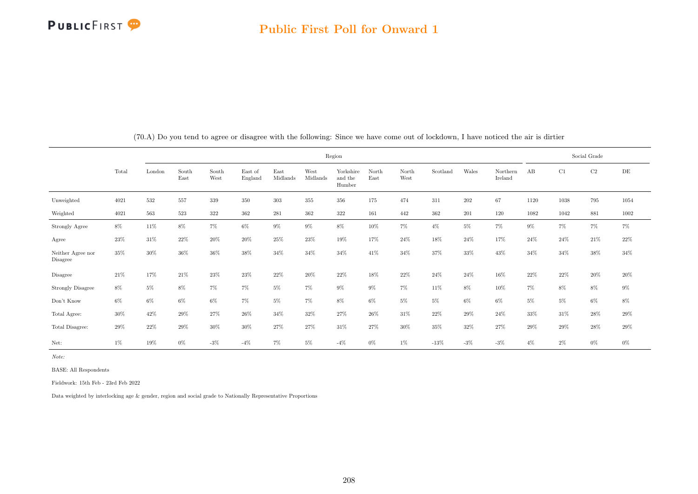|                                     |        |        |               |               |                    |                  |                  |                                | Social Grade  |               |          |         |                     |        |        |          |           |
|-------------------------------------|--------|--------|---------------|---------------|--------------------|------------------|------------------|--------------------------------|---------------|---------------|----------|---------|---------------------|--------|--------|----------|-----------|
|                                     | Total  | London | South<br>East | South<br>West | East of<br>England | East<br>Midlands | West<br>Midlands | Yorkshire<br>and the<br>Humber | North<br>East | North<br>West | Scotland | Wales   | Northern<br>Ireland | AB     | C1     | $\rm C2$ | $\rm{DE}$ |
| Unweighted                          | 4021   | 532    | 557           | 339           | 350                | $303\,$          | 355              | 356                            | 175           | 474           | 311      | $202\,$ | 67                  | 1120   | 1038   | 795      | 1054      |
| Weighted                            | 4021   | 563    | 523           | 322           | 362                | 281              | 362              | 322                            | 161           | 442           | 362      | 201     | 120                 | 1082   | 1042   | 881      | 1002      |
| Strongly Agree                      | $8\%$  | 11\%   | $8\%$         | $7\%$         | $6\%$              | $9\%$            | $9\%$            | 8%                             | 10%           | $7\%$         | $4\%$    | $5\%$   | $7\%$               | $9\%$  | $7\%$  | $7\%$    | $7\%$     |
| Agree                               | $23\%$ | 31\%   | 22%           | 20%           | 20%                | 25%              | 23%              | 19%                            | 17%           | 24\%          | 18%      | 24\%    | 17%                 | 24%    | 24%    | 21%      | 22%       |
| Neither Agree nor<br>Disagree       | $35\%$ | 30%    | 36%           | 36%           | 38%                | 34%              | 34%              | 34%                            | 41%           | 34%           | 37%      | 33%     | 43%                 | 34%    | 34%    | 38%      | 34%       |
| Disagree                            | $21\%$ | $17\%$ | $21\%$        | 23%           | $23\%$             | $22\%$           | 20%              | 22%                            | 18%           | $22\%$        | $24\%$   | 24%     | 16%                 | $22\%$ | $22\%$ | $20\%$   | $20\%$    |
| <b>Strongly Disagree</b>            | 8%     | 5%     | 8%            | $7\%$         | $7\%$              | $5\%$            | 7%               | $9\%$                          | $9\%$         | $7\%$         | 11%      | 8%      | 10%                 | $7\%$  | 8%     | 8%       | $9\%$     |
| $\mathrm{Don't}$<br>$\mathrm{Know}$ | $6\%$  | $6\%$  | $6\%$         | $6\%$         | $7\%$              | $5\%$            | $7\%$            | 8%                             | $6\%$         | $5\%$         | $5\%$    | $6\%$   | $6\%$               | $5\%$  | $5\%$  | 6%       | $8\%$     |
| Total Agree:                        | 30%    | 42\%   | 29%           | 27%           | 26%                | 34%              | 32%              | 27%                            | 26%           | 31\%          | 22%      | 29%     | 24%                 | 33%    | 31%    | 28%      | 29%       |
| Total Disagree:                     | 29%    | 22%    | 29%           | 30%           | 30%                | 27%              | 27%              | 31%                            | 27%           | 30%           | 35%      | 32%     | 27%                 | 29%    | 29%    | 28%      | $29\%$    |
| Net:                                | $1\%$  | 19%    | $0\%$         | $-3%$         | $-4%$              | $7\%$            | $5\%$            | $-4\%$                         | $0\%$         | $1\%$         | $-13\%$  | $-3%$   | $-3%$               | $4\%$  | 2%     | 0%       | $0\%$     |

(70.A) Do you tend to agree or disagree with the following: Since we have come out of lockdown, I have noticed the air is dirtier

Note:

BASE: All Respondents

Fieldwork: 15th Feb - 23rd Feb 2022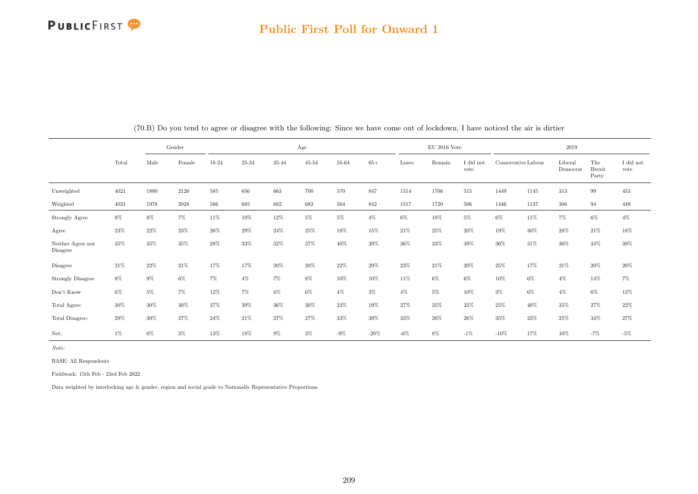

#### Public First Poll for Onward 1

|                                     |        | Gender |        |        |        |        | Age       |        |         |        | $EU$ 2016 Vote |                               |         |                     | 2019                |                               |                               |
|-------------------------------------|--------|--------|--------|--------|--------|--------|-----------|--------|---------|--------|----------------|-------------------------------|---------|---------------------|---------------------|-------------------------------|-------------------------------|
|                                     | Total  | Male   | Female | 18-24  | 25-34  | 35-44  | $45 - 54$ | 55-64  | $65+$   | Leave  | Remain         | $\rm I$ did $\rm not$<br>vote |         | Conservative Labour | Liberal<br>Democrat | The<br><b>Brexit</b><br>Party | $\rm I$ did $\rm not$<br>vote |
| Unweighted                          | 4021   | 1880   | 2126   | 585    | 656    | 663    | 700       | 570    | 847     | 1514   | 1706           | 515                           | 1449    | 1145                | 313                 | 99                            | 453                           |
| Weighted                            | 4021   | 1978   | 2028   | 566    | 685    | 682    | 682       | 564    | 842     | 1517   | 1720           | 506                           | 1446    | 1137                | 306                 | 94                            | 449                           |
| Strongly Agree                      | $8\%$  | $8\%$  | $7\%$  | 11\%   | $10\%$ | 12%    | $5\%$     | $5\%$  | $4\%$   | $6\%$  | 10%            | $5\%$                         | 6%      | 11%                 | $7\%$               | $6\%$                         | $4\%$                         |
| Agree                               | 23%    | 22%    | 23%    | 26\%   | 29%    | 24\%   | 25%       | 18%    | 15%     | 21\%   | 25%            | $20\%$                        | 19%     | 30%                 | 28\%                | 21\%                          | 18%                           |
| Neither Agree nor<br>Disagree       | 35%    | 35%    | 35%    | 28%    | 33%    | 32%    | 37%       | 40%    | 39%     | 36%    | 33%            | $39\%$                        | 36%     | 31%                 | 36%                 | 34%                           | 39%                           |
| Disagree                            | $21\%$ | $22\%$ | $21\%$ | 17%    | 17%    | 20%    | 20%       | $22\%$ | 29%     | 23%    | 21%            | 20%                           | 25%     | 17%                 | $21\%$              | $20\%$                        | $20\%$                        |
| Strongly Disagree                   | $8\%$  | $9\%$  | $6\%$  | $7\%$  | $4\%$  | $7\%$  | $8\%$     | 10%    | 10%     | 11\%   | $6\%$          | $6\%$                         | 10%     | $6\%$               | $4\%$               | 14%                           | $7\%$                         |
| $\mathrm{Don't}$<br>$\mathrm{Know}$ | $6\%$  | $5\%$  | $7\%$  | $12\%$ | $7\%$  | $6\%$  | $6\%$     | $4\%$  | $3\%$   | $4\%$  | $5\%$          | 10%                           | $3\%$   | 6%                  | $4\%$               | 6%                            | $12\%$                        |
| Total Agree:                        | $30\%$ | 30%    | 30%    | 37%    | 39%    | $36\%$ | 30%       | 23%    | 19%     | 27%    | 35%            | 25%                           | 25%     | 40%                 | 35%                 | 27%                           | $22\%$                        |
| Total Disagree:                     | 29%    | $30\%$ | 27%    | 24\%   | 21\%   | 27%    | 27%       | 33%    | 39%     | 33%    | 26%            | 26%                           | 35%     | 23%                 | $25\%$              | 34%                           | $27\%$                        |
| Net:                                | $1\%$  | $0\%$  | $3\%$  | $13\%$ | 18%    | $9\%$  | $3\%$     | $-9\%$ | $-20\%$ | $-6\%$ | 8%             | $-1\%$                        | $-10\%$ | 17%                 | 10%                 | $-7%$                         | $-5%$                         |

Note:

BASE: All Respondents

Fieldwork: 15th Feb - 23rd Feb 2022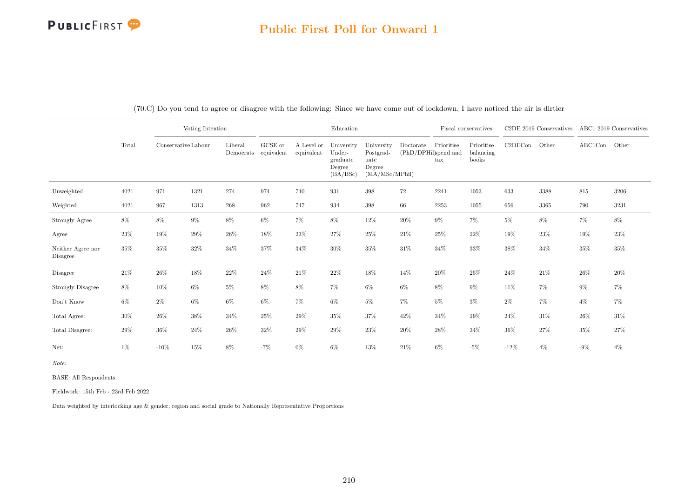### Public First Poll for Onward 1

|                               |        |                     | Voting Intention |                      |                       |                          | Education                                              |                                                             |                                   |                            | Fiscal conservatives             |         | C2DE 2019 Conservatives ABC1 2019 Conservatives |               |        |
|-------------------------------|--------|---------------------|------------------|----------------------|-----------------------|--------------------------|--------------------------------------------------------|-------------------------------------------------------------|-----------------------------------|----------------------------|----------------------------------|---------|-------------------------------------------------|---------------|--------|
|                               | Total  | Conservative Labour |                  | Liberal<br>Democrats | GCSE or<br>equivalent | A Level or<br>equivalent | University<br>Under-<br>graduate<br>Degree<br>(BA/BSc) | University<br>Postgrad-<br>uate<br>Degree<br>(MA/MSc/MPhil) | Doctorate<br>(PhD/DPHil)spend and | Prioritise<br>$_{\rm tax}$ | Prioritise<br>balancing<br>books | C2DECon | Other                                           | ABC1Con Other |        |
| Unweighted                    | 4021   | 971                 | 1321             | 274                  | 974                   | 740                      | 931                                                    | 398                                                         | 72                                | 2241                       | 1053                             | 633     | 3388                                            | 815           | 3206   |
| Weighted                      | 4021   | 967                 | 1313             | 268                  | 962                   | 747                      | 934                                                    | $398\,$                                                     | 66                                | 2253                       | 1055                             | 656     | 3365                                            | 790           | 3231   |
| Strongly Agree                | $8\%$  | $8\%$               | $9\%$            | $8\%$                | $6\%$                 | $7\%$                    | $8\%$                                                  | $12\%$                                                      | $20\%$                            | $9\%$                      | $7\%$                            | $5\%$   | $8\%$                                           | $7\%$         | $8\%$  |
| Agree                         | $23\%$ | 19%                 | $29\%$           | $26\%$               | $18\%$                | $23\%$                   | 27%                                                    | $25\%$                                                      | $21\%$                            | $25\%$                     | 22%                              | 19%     | 23\%                                            | $19\%$        | 23%    |
| Neither Agree nor<br>Disagree | 35%    | 35%                 | $32\%$           | $34\%$               | 37%                   | $34\%$                   | $30\%$                                                 | $35\%$                                                      | $31\%$                            | 34%                        | 33%                              | 38%     | $34\%$                                          | 35%           | 35%    |
| Disagree                      | 21\%   | $26\%$              | 18%              | $22\%$               | $24\%$                | 21%                      | $22\%$                                                 | $18\%$                                                      | 14%                               | $20\%$                     | 25%                              | $24\%$  | $21\%$                                          | 26%           | 20%    |
| <b>Strongly Disagree</b>      | $8\%$  | $10\%$              | $6\%$            | $5\%$                | $8\%$                 | $8\%$                    | $7\%$                                                  | $6\%$                                                       | $6\%$                             | $8\%$                      | $9\%$                            | $11\%$  | $7\%$                                           | $9\%$         | $7\%$  |
| Don't Know                    | $6\%$  | $2\%$               | $6\%$            | $6\%$                | $6\%$                 | $7\%$                    | 6%                                                     | $5\%$                                                       | $7\%$                             | $5\%$                      | $3\%$                            | $2\%$   | $7\%$                                           | $4\%$         | 7%     |
| Total Agree:                  | $30\%$ | $26\%$              | 38%              | 34%                  | 25%                   | 29%                      | $35\%$                                                 | $37\%$                                                      | 42%                               | $34\%$                     | 29%                              | 24\%    | $31\%$                                          | 26%           | 31%    |
| Total Disagree:               | $29\%$ | 36%                 | 24%              | $26\%$               | 32%                   | 29%                      | 29%                                                    | 23\%                                                        | 20%                               | $28\%$                     | 34%                              | 36%     | $27\%$                                          | 35%           | $27\%$ |
| Net:                          | 1%     | $-10%$              | 15%              | 8%                   | $-7%$                 | $0\%$                    | 6%                                                     | $13\%$                                                      | $21\%$                            | $6\%$                      | $-5%$                            | $-12\%$ | $4\%$                                           | $-9\%$        | $4\%$  |

(70.C) Do you tend to agree or disagree with the following: Since we have come out of lockdown, I have noticed the air is dirtier

Note:

BASE: All Respondents

Fieldwork: 15th Feb - 23rd Feb 2022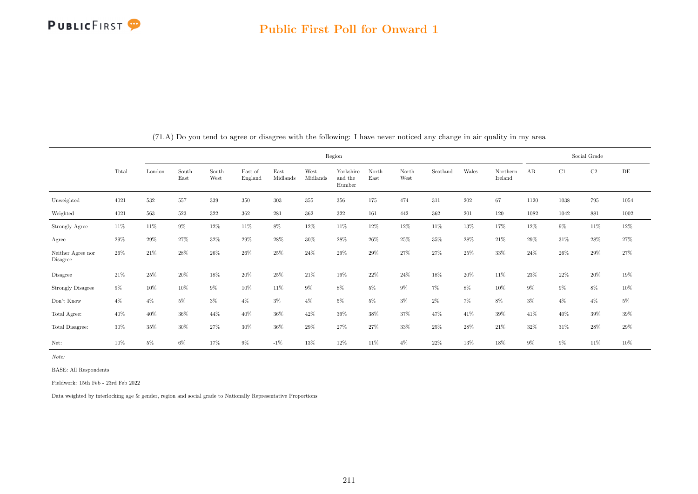

|                                     |        |        |               |               |                    |                  |                  | Region                         |               |               |          |         |                     |        |       | Social Grade |        |
|-------------------------------------|--------|--------|---------------|---------------|--------------------|------------------|------------------|--------------------------------|---------------|---------------|----------|---------|---------------------|--------|-------|--------------|--------|
|                                     | Total  | London | South<br>East | South<br>West | East of<br>England | East<br>Midlands | West<br>Midlands | Yorkshire<br>and the<br>Humber | North<br>East | North<br>West | Scotland | Wales   | Northern<br>Ireland | AB     | C1    | C2           | DE     |
| Unweighted                          | 4021   | 532    | 557           | 339           | 350                | 303              | 355              | 356                            | 175           | 474           | 311      | $202\,$ | 67                  | 1120   | 1038  | 795          | 1054   |
| Weighted                            | 4021   | 563    | 523           | 322           | 362                | 281              | $362\,$          | 322                            | 161           | 442           | 362      | 201     | 120                 | 1082   | 1042  | 881          | 1002   |
| Strongly Agree                      | 11%    | 11\%   | $9\%$         | 12%           | 11\%               | 8%               | 12%              | 11\%                           | 12%           | 12%           | 11%      | 13%     | 17%                 | 12%    | $9\%$ | 11%          | 12%    |
| Agree                               | $29\%$ | 29%    | 27%           | 32%           | 29%                | 28%              | 30%              | 28\%                           | 26%           | 25%           | 35%      | 28%     | 21\%                | 29%    | 31\%  | 28%          | 27%    |
| Neither Agree nor<br>Disagree       | 26%    | 21\%   | 28%           | $26\%$        | 26%                | 25%              | 24\%             | 29%                            | 29%           | 27%           | 27%      | 25%     | $33\%$              | $24\%$ | 26\%  | 29%          | 27%    |
| Disagree                            | 21\%   | 25%    | 20%           | 18%           | 20%                | 25%              | 21\%             | 19%                            | 22%           | 24%           | 18%      | 20%     | 11%                 | $23\%$ | 22\%  | 20%          | $19\%$ |
| <b>Strongly Disagree</b>            | $9\%$  | 10%    | 10%           | $9\%$         | 10%                | 11%              | $9\%$            | 8%                             | $5\%$         | $9\%$         | $7\%$    | $8\%$   | 10%                 | $9\%$  | $9\%$ | 8%           | $10\%$ |
| $\mathrm{Don't}$<br>$\mathrm{Know}$ | $4\%$  | $4\%$  | $5\%$         | $3\%$         | $4\%$              | $3\%$            | $4\%$            | $5\%$                          | $5\%$         | $3\%$         | $2\%$    | $7\%$   | 8%                  | $3\%$  | $4\%$ | $4\%$        | $5\%$  |
| Total Agree:                        | 40%    | 40%    | 36%           | 44%           | 40%                | 36%              | 42%              | 39%                            | 38%           | 37%           | 47%      | 41%     | $39\%$              | 41\%   | 40%   | 39%          | 39%    |
| Total Disagree:                     | 30%    | 35%    | 30%           | 27%           | 30%                | 36%              | 29%              | 27%                            | 27%           | 33%           | 25%      | 28%     | 21\%                | 32%    | 31\%  | 28%          | $29\%$ |
| Net:                                | 10%    | $5\%$  | $6\%$         | 17%           | $9\%$              | $-1\%$           | 13%              | 12%                            | 11%           | $4\%$         | 22%      | 13%     | 18%                 | $9\%$  | $9\%$ | 11%          | 10%    |

(71.A) Do you tend to agree or disagree with the following: I have never noticed any change in air quality in my area

Note:

BASE: All Respondents

Fieldwork: 15th Feb - 23rd Feb 2022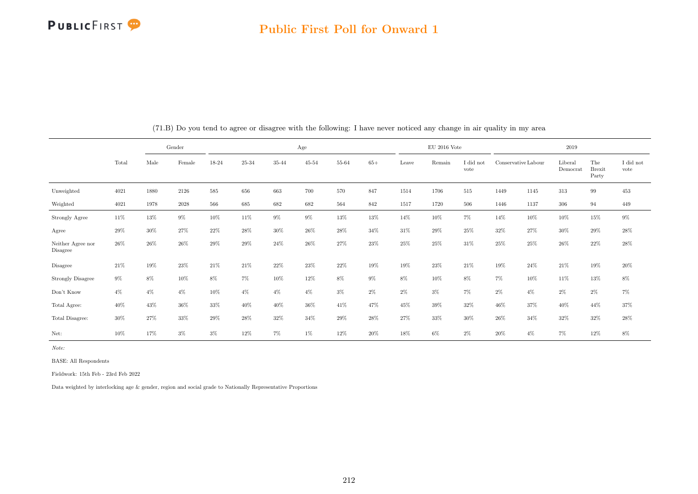

#### Public First Poll for Onward 1

|                               |        | Gender |          |        |         |        | Age       |        |        |       | $EU$ 2016 Vote |                   |        |                     | 2019                |                               |                   |
|-------------------------------|--------|--------|----------|--------|---------|--------|-----------|--------|--------|-------|----------------|-------------------|--------|---------------------|---------------------|-------------------------------|-------------------|
|                               | Total  | Male   | Female   | 18-24  | 25-34   | 35-44  | $45 - 54$ | 55-64  | $65+$  | Leave | Remain         | I did not<br>vote |        | Conservative Labour | Liberal<br>Democrat | The<br><b>Brexit</b><br>Party | I did not<br>vote |
| Unweighted                    | 4021   | 1880   | 2126     | 585    | 656     | 663    | 700       | 570    | 847    | 1514  | 1706           | 515               | 1449   | 1145                | 313                 | 99                            | 453               |
| Weighted                      | 4021   | 1978   | $2028\,$ | 566    | $685\,$ | 682    | 682       | 564    | 842    | 1517  | 1720           | 506               | 1446   | 1137                | 306                 | 94                            | 449               |
| Strongly Agree                | 11%    | 13%    | 9%       | 10%    | 11%     | 9%     | 9%        | $13\%$ | 13%    | 14%   | 10%            | $7\%$             | 14%    | 10%                 | 10%                 | 15%                           | $9\%$             |
| Agree                         | $29\%$ | 30%    | 27%      | 22%    | 28%     | 30%    | $26\%$    | 28%    | 34%    | 31\%  | 29%            | 25%               | 32%    | 27%                 | 30%                 | 29%                           | 28\%              |
| Neither Agree nor<br>Disagree | $26\%$ | $26\%$ | 26%      | 29%    | 29%     | 24\%   | 26%       | 27%    | 23%    | 25%   | 25%            | 31%               | 25%    | 25%                 | 26%                 | $22\%$                        | $28\%$            |
| Disagree                      | 21%    | $19\%$ | 23%      | $21\%$ | 21\%    | $22\%$ | $23\%$    | $22\%$ | 19%    | 19%   | $23\%$         | 21%               | 19%    | 24%                 | 21\%                | 19%                           | $20\%$            |
| <b>Strongly Disagree</b>      | $9\%$  | $8\%$  | 10%      | $8\%$  | $7\%$   | $10\%$ | 12%       | $8\%$  | $9\%$  | $8\%$ | $10\%$         | 8%                | $7\%$  | 10%                 | 11\%                | 13%                           | $8\%$             |
| Don't Know                    | $4\%$  | $4\%$  | $4\%$    | 10%    | $4\%$   | $4\%$  | $4\%$     | $3\%$  | $2\%$  | $2\%$ | $3\%$          | $7\%$             | $2\%$  | $4\%$               | $2\%$               | $2\%$                         | $7\%$             |
| Total Agree:                  | 40%    | 43%    | 36%      | $33\%$ | 40%     | 40%    | 36%       | 41\%   | 47%    | 45%   | $39\%$         | 32%               | 46%    | 37%                 | 40%                 | 44%                           | 37%               |
| Total Disagree:               | 30%    | 27%    | 33%      | $29\%$ | 28%     | $32\%$ | 34%       | $29\%$ | 28\%   | 27%   | $33\%$         | $30\%$            | $26\%$ | 34%                 | 32%                 | $32\%$                        | 28%               |
| Net:                          | 10%    | 17%    | $3\%$    | $3\%$  | $12\%$  | $7\%$  | $1\%$     | $12\%$ | $20\%$ | 18%   | $6\%$          | $2\%$             | 20%    | $4\%$               | 7%                  | $12\%$                        | $8\%$             |

(71.B) Do you tend to agree or disagree with the following: I have never noticed any change in air quality in my area

Note:

BASE: All Respondents

Fieldwork: 15th Feb - 23rd Feb 2022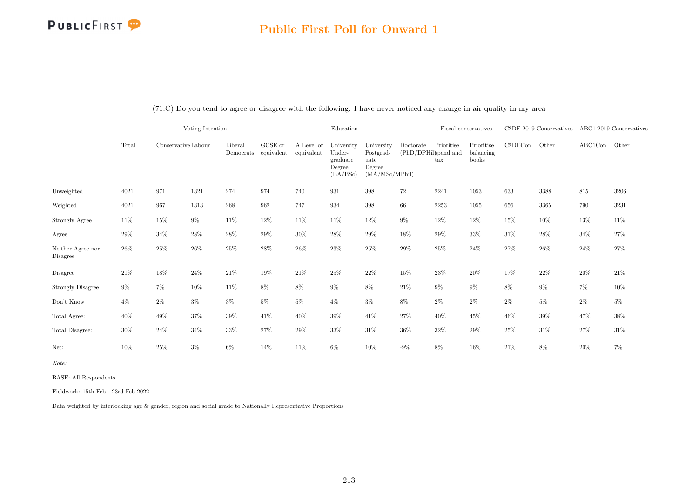### Public First Poll for Onward 1

|                               |        |                     | Voting Intention |                                 |         |                          | Education                                              |                                                             |                                   |                                    | Fiscal conservatives             |         | C <sub>2</sub> DE 2019 Conservatives |         | ABC1 2019 Conservatives |
|-------------------------------|--------|---------------------|------------------|---------------------------------|---------|--------------------------|--------------------------------------------------------|-------------------------------------------------------------|-----------------------------------|------------------------------------|----------------------------------|---------|--------------------------------------|---------|-------------------------|
|                               | Total  | Conservative Labour |                  | Liberal<br>Democrats equivalent | GCSE or | A Level or<br>equivalent | University<br>Under-<br>graduate<br>Degree<br>(BA/BSc) | University<br>Postgrad-<br>uate<br>Degree<br>(MA/MSc/MPhil) | Doctorate<br>(PhD/DPHil)spend and | Prioritise<br>$\operatorname{tax}$ | Prioritise<br>balancing<br>books | C2DECon | Other                                | ABC1Con | Other                   |
| Unweighted                    | 4021   | 971                 | 1321             | 274                             | 974     | 740                      | 931                                                    | 398                                                         | 72                                | 2241                               | 1053                             | 633     | 3388                                 | 815     | 3206                    |
| Weighted                      | 4021   | 967                 | 1313             | 268                             | 962     | 747                      | 934                                                    | 398                                                         | 66                                | 2253                               | 1055                             | 656     | 3365                                 | 790     | 3231                    |
| Strongly Agree                | 11\%   | $15\%$              | $9\%$            | 11\%                            | 12%     | 11\%                     | 11%                                                    | $12\%$                                                      | $9\%$                             | $12\%$                             | 12%                              | $15\%$  | 10%                                  | 13%     | $11\%$                  |
| Agree                         | 29%    | 34%                 | 28%              | 28\%                            | 29%     | 30%                      | 28\%                                                   | 29%                                                         | 18%                               | 29%                                | 33%                              | $31\%$  | 28%                                  | 34%     | 27%                     |
| Neither Agree nor<br>Disagree | 26\%   | $25\%$              | 26%              | 25%                             | 28%     | 26%                      | 23\%                                                   | 25%                                                         | 29%                               | 25%                                | 24%                              | 27%     | 26%                                  | 24%     | 27%                     |
| Disagree                      | $21\%$ | $18\%$              | 24%              | $21\%$                          | 19%     | $21\%$                   | 25\%                                                   | $22\%$                                                      | $15\%$                            | 23\%                               | $20\%$                           | 17%     | $22\%$                               | 20%     | $21\%$                  |
| <b>Strongly Disagree</b>      | $9\%$  | 7%                  | 10%              | 11\%                            | 8%      | 8%                       | $9\%$                                                  | 8%                                                          | $21\%$                            | $9\%$                              | $9\%$                            | 8%      | $9\%$                                | $7\%$   | 10%                     |
| Don't Know                    | $4\%$  | $2\%$               | $3\%$            | $3\%$                           | $5\%$   | $5\%$                    | $4\%$                                                  | $3\%$                                                       | $8\%$                             | $2\%$                              | $2\%$                            | $2\%$   | $5\%$                                | $2\%$   | $5\%$                   |
| Total Agree:                  | 40%    | 49%                 | 37%              | $39\%$                          | 41%     | 40%                      | 39%                                                    | 41\%                                                        | 27%                               | 40%                                | 45%                              | 46%     | 39%                                  | 47%     | 38%                     |
| Total Disagree:               | $30\%$ | 24%                 | $34\%$           | $33\%$                          | 27%     | 29%                      | $33\%$                                                 | $31\%$                                                      | 36%                               | 32%                                | 29%                              | 25%     | $31\%$                               | $27\%$  | $31\%$                  |
| Net:                          | 10%    | $25\%$              | $3\%$            | $6\%$                           | 14%     | 11%                      | $6\%$                                                  | 10%                                                         | $-9\%$                            | 8%                                 | 16%                              | 21\%    | 8%                                   | 20%     | $7\%$                   |

(71.C) Do you tend to agree or disagree with the following: I have never noticed any change in air quality in my area

Note:

BASE: All Respondents

Fieldwork: 15th Feb - 23rd Feb 2022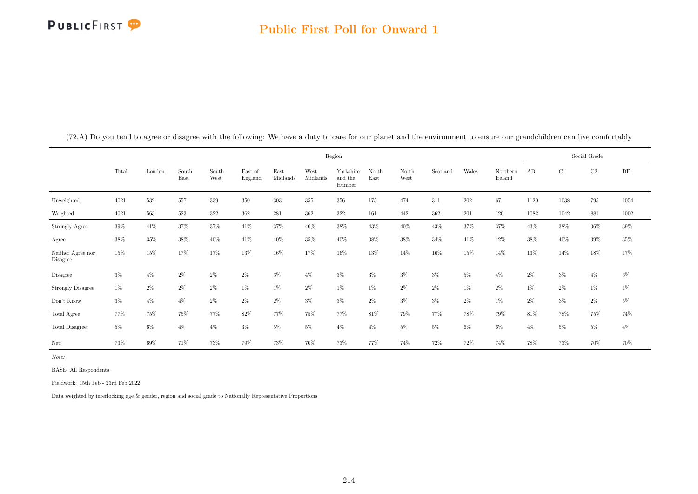## PUBLICFIRST<sup>9</sup>

|                               |        |        |               |               |                    |                  | Region           |                                |               |               |          |         |                     |       | Social Grade |          |           |
|-------------------------------|--------|--------|---------------|---------------|--------------------|------------------|------------------|--------------------------------|---------------|---------------|----------|---------|---------------------|-------|--------------|----------|-----------|
|                               | Total  | London | South<br>East | South<br>West | East of<br>England | East<br>Midlands | West<br>Midlands | Yorkshire<br>and the<br>Humber | North<br>East | North<br>West | Scotland | Wales   | Northern<br>Ireland | AB    | C1           | $\rm C2$ | $\rm{DE}$ |
| Unweighted                    | 4021   | 532    | 557           | 339           | 350                | 303              | 355              | 356                            | 175           | 474           | 311      | $202\,$ | 67                  | 1120  | 1038         | 795      | 1054      |
| Weighted                      | 4021   | 563    | 523           | 322           | 362                | 281              | 362              | 322                            | 161           | 442           | 362      | 201     | 120                 | 1082  | 1042         | 881      | 1002      |
| Strongly Agree                | $39\%$ | 41\%   | 37%           | 37%           | 41\%               | 37%              | 40%              | 38%                            | 43%           | 40\%          | 43%      | 37%     | 37%                 | 43%   | 38%          | $36\%$   | $39\%$    |
| Agree                         | 38%    | $35\%$ | $38\%$        | $40\%$        | 41\%               | 40%              | 35%              | 40%                            | 38%           | 38%           | 34%      | 41\%    | 42%                 | 38%   | 40%          | $39\%$   | $35\%$    |
| Neither Agree nor<br>Disagree | 15%    | 15%    | 17%           | 17%           | 13%                | 16%              | 17%              | 16%                            | 13%           | 14%           | 16%      | 15%     | 14%                 | 13%   | 14%          | 18%      | 17%       |
| Disagree                      | $3\%$  | $4\%$  | $2\%$         | $2\%$         | $2\%$              | $3\%$            | $4\%$            | $3\%$                          | $3\%$         | $3\%$         | $3\%$    | $5\%$   | $4\%$               | $2\%$ | $3\%$        | $4\%$    | $3\%$     |
| <b>Strongly Disagree</b>      | $1\%$  | 2%     | $2\%$         | $2\%$         | $1\%$              | $1\%$            | $2\%$            | $1\%$                          | $1\%$         | $2\%$         | 2%       | $1\%$   | $2\%$               | $1\%$ | 2%           | $1\%$    | $1\%$     |
| Don't Know                    | $3\%$  | $4\%$  | $4\%$         | $2\%$         | $2\%$              | $2\%$            | $3\%$            | $3\%$                          | $2\%$         | $3\%$         | $3\%$    | $2\%$   | $1\%$               | $2\%$ | 3%           | $2\%$    | $5\%$     |
| Total Agree:                  | 77%    | 75%    | 75%           | 77%           | 82%                | 77%              | 75%              | 77%                            | 81\%          | 79%           | 77%      | 78%     | 79%                 | 81\%  | 78%          | 75%      | 74%       |
| Total Disagree:               | $5\%$  | $6\%$  | $4\%$         | $4\%$         | $3\%$              | $5\%$            | $5\%$            | $4\%$                          | $4\%$         | $5\%$         | 5%       | $6\%$   | $6\%$               | $4\%$ | $5\%$        | $5\%$    | $4\%$     |
| Net:                          | 73%    | 69%    | 71%           | 73%           | 79%                | 73%              | 70%              | 73%                            | 77%           | 74%           | 72%      | 72%     | 74%                 | 78%   | 73%          | 70%      | 70%       |

(72.A) Do you tend to agree or disagree with the following: We have a duty to care for our planet and the environment to ensure our grandchildren can live comfortably

Note:

BASE: All Respondents

Fieldwork: 15th Feb - 23rd Feb 2022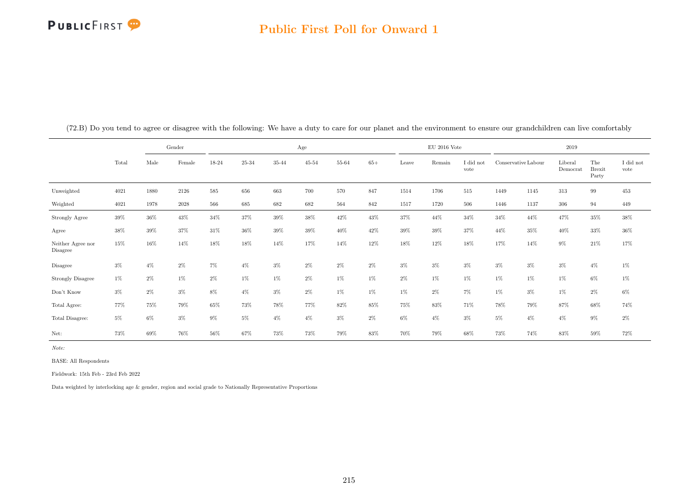# PUBLICFIRST<sup>9</sup>

### Public First Poll for Onward 1

|                               |        |       | Gender   |       | Age       |           |           |        |       |        | $\mathrm{EU}$ 2016 Vote |                   |                     | 2019  |                     |                               |                   |  |
|-------------------------------|--------|-------|----------|-------|-----------|-----------|-----------|--------|-------|--------|-------------------------|-------------------|---------------------|-------|---------------------|-------------------------------|-------------------|--|
|                               | Total  | Male  | Female   | 18-24 | $25 - 34$ | $35 - 44$ | $45 - 54$ | 55-64  | $65+$ | Leave  | Remain                  | I did not<br>vote | Conservative Labour |       | Liberal<br>Democrat | The<br><b>Brexit</b><br>Party | I did not<br>vote |  |
| Unweighted                    | 4021   | 1880  | 2126     | 585   | 656       | 663       | 700       | 570    | 847   | 1514   | 1706                    | $515\,$           | 1449                | 1145  | 313                 | $\,99$                        | $453\,$           |  |
| Weighted                      | 4021   | 1978  | $2028\,$ | 566   | 685       | 682       | 682       | 564    | 842   | 1517   | 1720                    | 506               | 1446                | 1137  | 306                 | 94                            | 449               |  |
| Strongly Agree                | $39\%$ | 36%   | 43%      | 34\%  | 37%       | $39\%$    | 38%       | $42\%$ | 43%   | $37\%$ | 44%                     | $34\%$            | 34%                 | 44%   | 47%                 | 35%                           | $38\%$            |  |
| Agree                         | 38%    | 39%   | 37%      | 31\%  | $36\%$    | $39\%$    | $39\%$    | 40%    | 42%   | $39\%$ | 39%                     | 37%               | 44%                 | 35%   | 40%                 | $33\%$                        | $36\%$            |  |
| Neither Agree nor<br>Disagree | 15%    | 16%   | 14%      | 18%   | 18%       | 14%       | 17%       | 14%    | 12%   | 18%    | 12%                     | 18%               | 17%                 | 14%   | $9\%$               | 21%                           | 17%               |  |
| Disagree                      | $3\%$  | $4\%$ | $2\%$    | 7%    | $4\%$     | $3\%$     | $2\%$     | $2\%$  | 2%    | $3\%$  | $3\%$                   | $3\%$             | $3\%$               | $3\%$ | $3\%$               | $4\%$                         | $1\%$             |  |
| <b>Strongly Disagree</b>      | $1\%$  | $2\%$ | $1\%$    | $2\%$ | 1%        | 1%        | $2\%$     | $1\%$  | $1\%$ | $2\%$  | $1\%$                   | $1\%$             | $1\%$               | 1%    | $1\%$               | $6\%$                         | $1\%$             |  |
| Don't Know                    | $3\%$  | $2\%$ | 3%       | 8%    | $4\%$     | $3\%$     | $2\%$     | $1\%$  | $1\%$ | $1\%$  | $2\%$                   | $7\%$             | $1\%$               | $3\%$ | $1\%$               | $2\%$                         | $6\%$             |  |
| Total Agree:                  | 77%    | 75%   | 79%      | 65%   | 73%       | 78%       | 77%       | 82%    | 85%   | 75%    | 83%                     | 71%               | 78%                 | 79%   | 87%                 | 68%                           | $74\%$            |  |
| Total Disagree:               | $5\%$  | $6\%$ | 3%       | 9%    | 5%        | $4\%$     | $4\%$     | $3\%$  | $2\%$ | $6\%$  | $4\%$                   | $3\%$             | $5\%$               | $4\%$ | $4\%$               | $9\%$                         | $2\%$             |  |
| Net:                          | 73%    | 69%   | 76%      | 56%   | 67%       | 73%       | 73%       | 79%    | 83%   | 70%    | 79%                     | 68%               | 73%                 | 74%   | 83%                 | $59\%$                        | 72%               |  |

(72.B) Do you tend to agree or disagree with the following: We have a duty to care for our planet and the environment to ensure our grandchildren can live comfortably

Note:

BASE: All Respondents

Fieldwork: 15th Feb - 23rd Feb 2022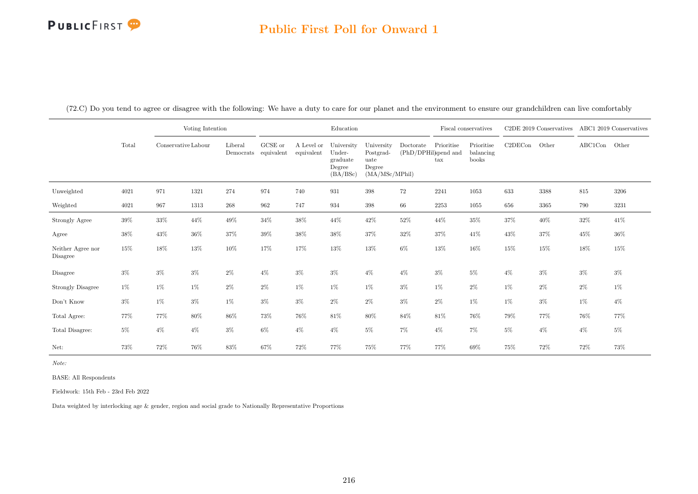#### Public First Poll for Onward 1

(72.C) Do you tend to agree or disagree with the following: We have a duty to care for our planet and the environment to ensure our grandchildren can live comfortably

|                               |        |        | Voting Intention<br>Conservative Labour |                      |                       |                          | Education                                              |                                                             |                                   |                                    | Fiscal conservatives             |         | C2DE 2019 Conservatives |               | ABC1 2019 Conservatives |
|-------------------------------|--------|--------|-----------------------------------------|----------------------|-----------------------|--------------------------|--------------------------------------------------------|-------------------------------------------------------------|-----------------------------------|------------------------------------|----------------------------------|---------|-------------------------|---------------|-------------------------|
|                               | Total  |        |                                         | Liberal<br>Democrats | GCSE or<br>equivalent | A Level or<br>equivalent | University<br>Under-<br>graduate<br>Degree<br>(BA/BSc) | University<br>Postgrad-<br>uate<br>Degree<br>(MA/MSc/MPhil) | Doctorate<br>(PhD/DPHil)spend and | Prioritise<br>$\operatorname{tax}$ | Prioritise<br>balancing<br>books | C2DECon | Other                   | ABC1Con Other |                         |
| Unweighted                    | 4021   | 971    | 1321                                    | 274                  | 974                   | 740                      | 931                                                    | 398                                                         | 72                                | 2241                               | 1053                             | 633     | 3388                    | 815           | 3206                    |
| Weighted                      | 4021   | 967    | 1313                                    | $268\,$              | 962                   | 747                      | 934                                                    | 398                                                         | 66                                | 2253                               | 1055                             | 656     | 3365                    | 790           | 3231                    |
| Strongly Agree                | $39\%$ | $33\%$ | 44\%                                    | $49\%$               | 34%                   | 38%                      | 44\%                                                   | $42\%$                                                      | $52\%$                            | $44\%$                             | $35\%$                           | 37%     | $40\%$                  | $32\%$        | $41\%$                  |
| Agree                         | 38%    | 43%    | $36\%$                                  | 37%                  | 39%                   | 38%                      | 38%                                                    | $37\%$                                                      | 32%                               | 37%                                | 41\%                             | 43%     | 37%                     | 45%           | 36%                     |
| Neither Agree nor<br>Disagree | 15%    | $18\%$ | $13\%$                                  | 10%                  | 17%                   | 17%                      | 13%                                                    | 13%                                                         | $6\%$                             | $13\%$                             | $16\%$                           | 15%     | $15\%$                  | 18%           | $15\%$                  |
| Disagree                      | $3\%$  | $3\%$  | $3\%$                                   | $2\%$                | $4\%$                 | $3\%$                    | $3\%$                                                  | $4\%$                                                       | $4\%$                             | $3\%$                              | $5\%$                            | $4\%$   | $3\%$                   | $3\%$         | $3\%$                   |
| Strongly Disagree             | 1%     | 1%     | $1\%$                                   | $2\%$                | $2\%$                 | $1\%$                    | $1\%$                                                  | $1\%$                                                       | $3\%$                             | $1\%$                              | $2\%$                            | 1%      | $2\%$                   | $2\%$         | $1\%$                   |
| Don't Know                    | $3\%$  | $1\%$  | $3\%$                                   | $1\%$                | $3\%$                 | $3\%$                    | $2\%$                                                  | $2\%$                                                       | $3\%$                             | $2\%$                              | $1\%$                            | $1\%$   | $3\%$                   | $1\%$         | $4\%$                   |
| Total Agree:                  | 77%    | 77%    | $80\%$                                  | $86\%$               | 73%                   | 76%                      | $81\%$                                                 | $80\%$                                                      | 84%                               | 81\%                               | 76%                              | 79%     | 77%                     | 76%           | 77%                     |
| Total Disagree:               | $5\%$  | $4\%$  | $4\%$                                   | $3\%$                | $6\%$                 | $4\%$                    | $4\%$                                                  | $5\%$                                                       | $7\%$                             | $4\%$                              | 7%                               | $5\%$   | $4\%$                   | $4\%$         | $5\%$                   |
| Net:                          | 73%    | 72%    | 76%                                     | 83%                  | 67%                   | 72%                      | 77%                                                    | 75%                                                         | 77%                               | 77%                                | 69%                              | 75%     | 72%                     | 72%           | 73%                     |

Note:

BASE: All Respondents

Fieldwork: 15th Feb - 23rd Feb 2022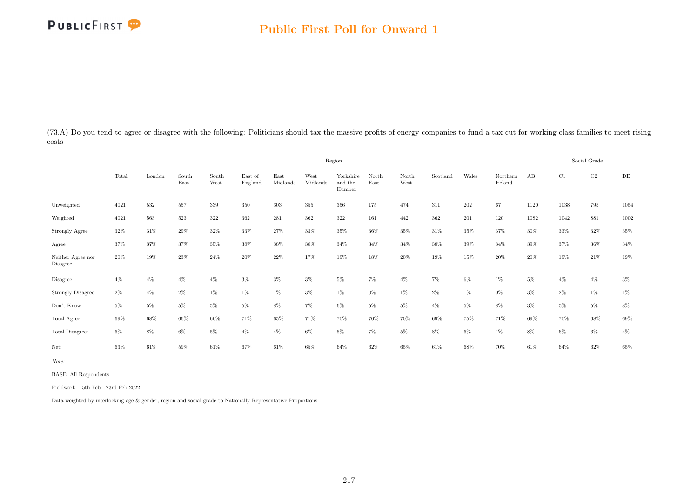(73.A) Do you tend to agree or disagree with the following: Politicians should tax the massive profits of energy companies to fund a tax cut for working class families to meet rising costs

|                               |        |        |               |               |                    |                  |                  | Region                         |               |               |          |         |                     |        |        | Social Grade |           |
|-------------------------------|--------|--------|---------------|---------------|--------------------|------------------|------------------|--------------------------------|---------------|---------------|----------|---------|---------------------|--------|--------|--------------|-----------|
|                               | Total  | London | South<br>East | South<br>West | East of<br>England | East<br>Midlands | West<br>Midlands | Yorkshire<br>and the<br>Humber | North<br>East | North<br>West | Scotland | Wales   | Northern<br>Ireland | AB     | C1     | C2           | $\rm{DE}$ |
| Unweighted                    | 4021   | 532    | 557           | 339           | 350                | 303              | 355              | 356                            | 175           | 474           | 311      | $202\,$ | 67                  | 1120   | 1038   | 795          | 1054      |
| Weighted                      | 4021   | 563    | 523           | $322\,$       | 362                | 281              | 362              | 322                            | 161           | 442           | 362      | 201     | 120                 | 1082   | 1042   | 881          | 1002      |
| Strongly Agree                | $32\%$ | $31\%$ | $29\%$        | 32%           | $33\%$             | $27\%$           | 33%              | $35\%$                         | $36\%$        | $35\%$        | $31\%$   | $35\%$  | $37\%$              | $30\%$ | $33\%$ | $32\%$       | $35\%$    |
| Agree                         | 37%    | 37%    | 37%           | 35%           | 38%                | 38%              | 38%              | 34%                            | 34%           | 34%           | 38%      | $39\%$  | 34\%                | 39%    | 37%    | 36%          | 34%       |
| Neither Agree nor<br>Disagree | 20%    | 19%    | 23%           | 24%           | 20%                | 22\%             | 17%              | 19%                            | $18\%$        | 20%           | 19%      | 15%     | 20%                 | 20%    | 19%    | 21\%         | 19%       |
| Disagree                      | $4\%$  | $4\%$  | $4\%$         | $4\%$         | $3\%$              | $3\%$            | $3\%$            | $5\%$                          | $7\%$         | $4\%$         | 7%       | $6\%$   | $1\%$               | $5\%$  | $4\%$  | $4\%$        | $3\%$     |
| <b>Strongly Disagree</b>      | $2\%$  | $4\%$  | $2\%$         | 1%            | $1\%$              | 1%               | $3\%$            | $1\%$                          | $0\%$         | $1\%$         | $2\%$    | 1%      | $0\%$               | $3\%$  | $2\%$  | $1\%$        | $1\%$     |
| Don't Know                    | $5\%$  | 5%     | $5\%$         | 5%            | 5%                 | 8%               | $7\%$            | $6\%$                          | $5\%$         | $5\%$         | $4\%$    | $5\%$   | 8%                  | $3\%$  | $5\%$  | $5\%$        | $8\%$     |
| Total Agree:                  | $69\%$ | 68%    | 66\%          | 66%           | 71%                | 65%              | 71%              | 70%                            | 70%           | 70%           | 69%      | 75%     | 71%                 | 69%    | 70%    | $68\%$       | $69\%$    |
| Total Disagree:               | $6\%$  | $8\%$  | $6\%$         | 5%            | $4\%$              | $4\%$            | $6\%$            | $5\%$                          | $7\%$         | $5\%$         | $8\%$    | $6\%$   | $1\%$               | 8%     | $6\%$  | $6\%$        | $4\%$     |
| Net:                          | 63%    | 61\%   | 59%           | 61%           | 67%                | 61\%             | 65%              | 64%                            | 62%           | 65%           | 61%      | 68%     | 70%                 | 61\%   | 64%    | 62%          | 65%       |

Note:

BASE: All Respondents

Fieldwork: 15th Feb - 23rd Feb 2022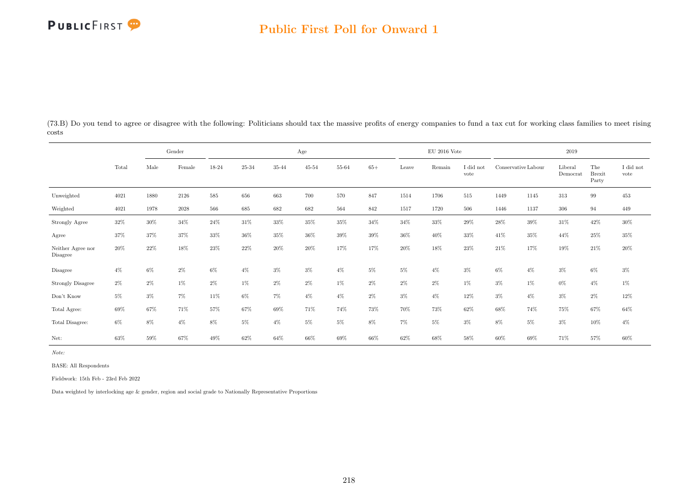## Public First Poll for Onward 1

(73.B) Do you tend to agree or disagree with the following: Politicians should tax the massive profits of energy companies to fund a tax cut for working class families to meet rising costs

|                               |       |       | Gender   |       |        |        | Age       |        |        |       | $\rm EU$ 2016 Vote |                   |                     |       | 2019                |                               |                               |
|-------------------------------|-------|-------|----------|-------|--------|--------|-----------|--------|--------|-------|--------------------|-------------------|---------------------|-------|---------------------|-------------------------------|-------------------------------|
|                               | Total | Male  | Female   | 18-24 | 25-34  | 35-44  | $45 - 54$ | 55-64  | $65+$  | Leave | Remain             | I did not<br>vote | Conservative Labour |       | Liberal<br>Democrat | The<br><b>Brexit</b><br>Party | $\rm I$ did $\rm not$<br>vote |
| Unweighted                    | 4021  | 1880  | 2126     | 585   | 656    | 663    | 700       | 570    | 847    | 1514  | 1706               | 515               | 1449                | 1145  | 313                 | 99                            | $453\,$                       |
| Weighted                      | 4021  | 1978  | $2028\,$ | 566   | 685    | 682    | 682       | 564    | 842    | 1517  | 1720               | 506               | 1446                | 1137  | 306                 | 94                            | 449                           |
| Strongly Agree                | 32%   | 30%   | 34%      | 24%   | 31%    | 33%    | $35\%$    | 35%    | 34%    | 34%   | 33%                | 29%               | 28\%                | 39%   | 31\%                | 42\%                          | $30\%$                        |
| Agree                         | 37%   | 37%   | 37%      | 33%   | $36\%$ | $35\%$ | $36\%$    | $39\%$ | $39\%$ | 36%   | 40%                | 33%               | 41\%                | 35%   | 44%                 | 25%                           | $35\%$                        |
| Neither Agree nor<br>Disagree | 20%   | 22%   | 18%      | 23%   | 22%    | 20%    | 20%       | 17%    | 17%    | 20%   | 18%                | 23%               | 21\%                | 17%   | 19%                 | 21%                           | $20\%$                        |
| Disagree                      | $4\%$ | $6\%$ | $2\%$    | $6\%$ | $4\%$  | $3\%$  | $3\%$     | $4\%$  | $5\%$  | $5\%$ | $4\%$              | $3\%$             | $6\%$               | $4\%$ | $3\%$               | $6\%$                         | $3\%$                         |
| <b>Strongly Disagree</b>      | $2\%$ | 2%    | $1\%$    | $2\%$ | $1\%$  | $2\%$  | $2\%$     | $1\%$  | $2\%$  | 2%    | $2\%$              | $1\%$             | $3\%$               | $1\%$ | $0\%$               | $4\%$                         | $1\%$                         |
| Don't Know                    | $5\%$ | 3%    | 7%       | 11%   | $6\%$  | 7%     | $4\%$     | $4\%$  | $2\%$  | $3\%$ | $4\%$              | 12%               | $3\%$               | $4\%$ | $3\%$               | $2\%$                         | $12\%$                        |
| Total Agree:                  | 69%   | 67%   | 71%      | 57%   | 67%    | 69%    | 71%       | 74%    | 73%    | 70%   | 73%                | 62%               | 68%                 | 74%   | 75%                 | 67%                           | $64\%$                        |
| Total Disagree:               | $6\%$ | 8%    | $4\%$    | $8\%$ | 5%     | $4\%$  | $5\%$     | $5\%$  | 8%     | $7\%$ | $5\%$              | $3\%$             | 8%                  | $5\%$ | $3\%$               | 10%                           | $4\%$                         |
| Net:                          | 63%   | 59%   | 67%      | 49%   | 62%    | 64%    | 66%       | 69%    | 66%    | 62%   | 68%                | 58%               | 60%                 | 69%   | 71%                 | 57%                           | 60%                           |

Note:

BASE: All Respondents

Fieldwork: 15th Feb - 23rd Feb 2022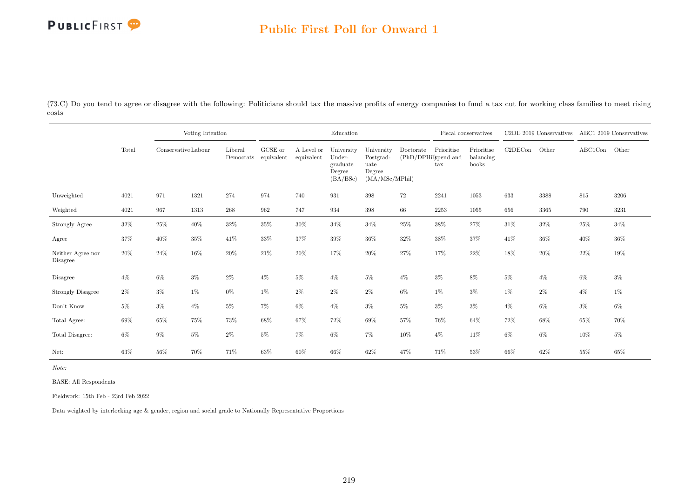### Public First Poll for Onward 1

(73.C) Do you tend to agree or disagree with the following: Politicians should tax the massive profits of energy companies to fund a tax cut for working class families to meet rising costs

|                               |        |                     | Voting Intention |         |                                 |                          | Education                                              |                                                             |           |                                                    | Fiscal conservatives             |         | C2DE 2019 Conservatives |         | ABC1 2019 Conservatives |
|-------------------------------|--------|---------------------|------------------|---------|---------------------------------|--------------------------|--------------------------------------------------------|-------------------------------------------------------------|-----------|----------------------------------------------------|----------------------------------|---------|-------------------------|---------|-------------------------|
|                               | Total  | Conservative Labour |                  | Liberal | GCSE or<br>Democrats equivalent | A Level or<br>equivalent | University<br>Under-<br>graduate<br>Degree<br>(BA/BSc) | University<br>Postgrad-<br>uate<br>Degree<br>(MA/MSc/MPhil) | Doctorate | Prioritise<br>(PhD/DPHil)spend and<br>$\text{tax}$ | Prioritise<br>balancing<br>books | C2DECon | Other                   | ABC1Con | Other                   |
| Unweighted                    | 4021   | 971                 | 1321             | 274     | 974                             | 740                      | 931                                                    | 398                                                         | $72\,$    | 2241                                               | 1053                             | 633     | 3388                    | 815     | 3206                    |
| Weighted                      | 4021   | 967                 | 1313             | 268     | 962                             | 747                      | 934                                                    | 398                                                         | 66        | 2253                                               | 1055                             | 656     | 3365                    | 790     | 3231                    |
| Strongly Agree                | $32\%$ | $25\%$              | $40\%$           | $32\%$  | 35%                             | 30%                      | $34\%$                                                 | $34\%$                                                      | $25\%$    | $38\%$                                             | 27%                              | 31\%    | $32\%$                  | $25\%$  | $34\%$                  |
| Agree                         | 37%    | $40\%$              | $35\%$           | 41\%    | 33%                             | 37%                      | $39\%$                                                 | 36%                                                         | $32\%$    | 38%                                                | 37%                              | 41\%    | $36\%$                  | 40%     | $36\%$                  |
| Neither Agree nor<br>Disagree | 20%    | $24\%$              | $16\%$           | 20%     | $21\%$                          | 20%                      | 17%                                                    | 20%                                                         | 27%       | 17%                                                | 22%                              | 18%     | $20\%$                  | 22%     | 19%                     |
| Disagree                      | $4\%$  | 6%                  | $3\%$            | $2\%$   | $4\%$                           | $5\%$                    | $4\%$                                                  | $5\%$                                                       | $4\%$     | $3\%$                                              | 8%                               | $5\%$   | $4\%$                   | $6\%$   | $3\%$                   |
| Strongly Disagree             | $2\%$  | $3\%$               | 1%               | $0\%$   | $1\%$                           | $2\%$                    | $2\%$                                                  | $2\%$                                                       | $6\%$     | $1\%$                                              | $3\%$                            | 1%      | 2%                      | $4\%$   | $1\%$                   |
| Don't Know                    | $5\%$  | $3\%$               | $4\%$            | $5\%$   | 7%                              | $6\%$                    | $4\%$                                                  | $3\%$                                                       | $5\%$     | $3\%$                                              | $3\%$                            | $4\%$   | 6%                      | $3\%$   | $6\%$                   |
| Total Agree:                  | 69%    | 65%                 | 75%              | 73%     | 68%                             | 67%                      | 72%                                                    | 69%                                                         | 57%       | 76%                                                | 64%                              | 72%     | 68%                     | 65%     | 70%                     |
| Total Disagree:               | $6\%$  | $9\%$               | $5\%$            | $2\%$   | $5\%$                           | $7\%$                    | $6\%$                                                  | 7%                                                          | $10\%$    | $4\%$                                              | 11%                              | $6\%$   | 6%                      | 10%     | $5\%$                   |
| Net:                          | 63%    | 56%                 | 70%              | 71%     | 63%                             | 60%                      | 66%                                                    | 62%                                                         | 47%       | 71%                                                | 53%                              | 66%     | 62%                     | 55%     | 65%                     |

Note:

BASE: All Respondents

Fieldwork: 15th Feb - 23rd Feb 2022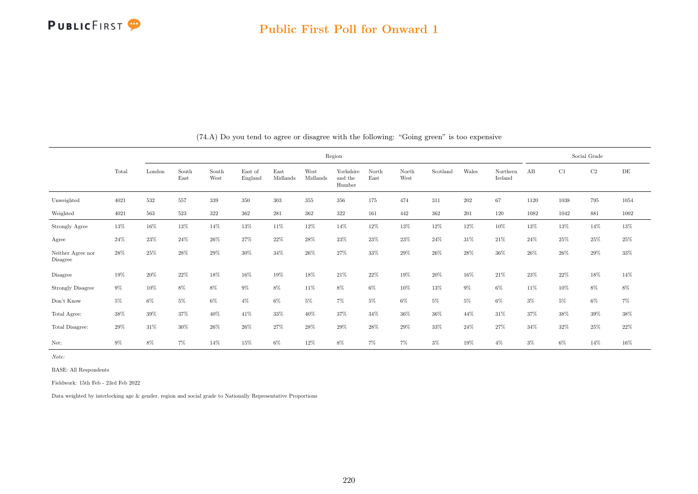|                               |       |        |               |               |                    |                  |                  | Region                         |               |               |          |        |                     |        |       | Social Grade |        |
|-------------------------------|-------|--------|---------------|---------------|--------------------|------------------|------------------|--------------------------------|---------------|---------------|----------|--------|---------------------|--------|-------|--------------|--------|
|                               | Total | London | South<br>East | South<br>West | East of<br>England | East<br>Midlands | West<br>Midlands | Yorkshire<br>and the<br>Humber | North<br>East | North<br>West | Scotland | Wales  | Northern<br>Ireland | AB     | C1    | $\rm C2$     | DE     |
| Unweighted                    | 4021  | 532    | 557           | 339           | 350                | 303              | 355              | 356                            | 175           | 474           | 311      | 202    | 67                  | 1120   | 1038  | 795          | 1054   |
| Weighted                      | 4021  | 563    | 523           | 322           | 362                | 281              | 362              | 322                            | 161           | 442           | 362      | 201    | 120                 | 1082   | 1042  | 881          | 1002   |
| Strongly Agree                | 13%   | 16%    | 13%           | 14%           | 13%                | 11%              | 12%              | 14%                            | 12%           | 13%           | 12%      | 12%    | 10%                 | 13%    | 13%   | 14%          | 13%    |
| Agree                         | 24\%  | 23%    | 24%           | 26%           | 27%                | $22\%$           | $28\%$           | 23%                            | 23%           | 23%           | 24%      | 31%    | 21\%                | 24\%   | 25%   | $25\%$       | 25%    |
| Neither Agree nor<br>Disagree | 28\%  | 25%    | 28%           | 29%           | 30%                | 34%              | 26%              | 27%                            | 33%           | 29%           | $26\%$   | 28%    | $36\%$              | 26\%   | 26%   | 29%          | 33%    |
| Disagree                      | 19%   | 20%    | 22%           | $18\%$        | 16%                | 19%              | 18%              | 21\%                           | 22%           | $19\%$        | $20\%$   | $16\%$ | $21\%$              | $23\%$ | 22%   | $18\%$       | 14%    |
| <b>Strongly Disagree</b>      | $9\%$ | 10%    | 8%            | 8%            | 9%                 | 8%               | 11%              | 8%                             | $6\%$         | 10%           | 13%      | $9\%$  | $6\%$               | 11\%   | 10%   | 8%           | $8\%$  |
| Don't Know                    | $5\%$ | $6\%$  | $5\%$         | $6\%$         | $4\%$              | $6\%$            | $5\%$            | 7%                             | $5\%$         | $6\%$         | $5\%$    | $5\%$  | $6\%$               | $3\%$  | $5\%$ | $6\%$        | $7\%$  |
| Total Agree:                  | 38%   | 39%    | 37%           | 40%           | 41%                | 33%              | 40%              | 37%                            | 34%           | $36\%$        | 36%      | 44%    | 31%                 | 37%    | 38%   | 39%          | $38\%$ |
| Total Disagree:               | 29%   | 31\%   | 30%           | $26\%$        | 26%                | 27%              | 28%              | 29%                            | 28%           | $29\%$        | 33%      | 24%    | 27%                 | 34%    | 32%   | $25\%$       | $22\%$ |
| Net:                          | $9\%$ | 8%     | 7%            | 14%           | 15%                | $6\%$            | 12%              | 8%                             | $7\%$         | $7\%$         | $3\%$    | 19%    | $4\%$               | $3\%$  | 6%    | 14%          | 16%    |

(74.A) Do you tend to agree or disagree with the following: "Going green" is too expensive

Note:

BASE: All Respondents

Fieldwork: 15th Feb - 23rd Feb 2022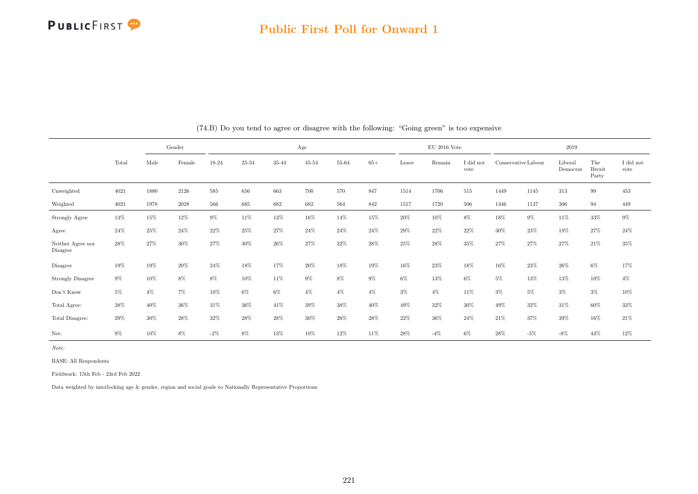

#### Public First Poll for Onward 1

|                                     |        |        | Gender |        |        |        | Age       |        |        |        | $EU$ 2016 Vote |                   |        |                     | 2019                |                               |                         |
|-------------------------------------|--------|--------|--------|--------|--------|--------|-----------|--------|--------|--------|----------------|-------------------|--------|---------------------|---------------------|-------------------------------|-------------------------|
|                                     | Total  | Male   | Female | 18-24  | 25-34  | 35-44  | $45 - 54$ | 55-64  | $65+$  | Leave  | Remain         | I did not<br>vote |        | Conservative Labour | Liberal<br>Democrat | The<br><b>Brexit</b><br>Party | $\rm I$ did not<br>vote |
| Unweighted                          | 4021   | 1880   | 2126   | 585    | 656    | 663    | 700       | 570    | 847    | 1514   | 1706           | 515               | 1449   | 1145                | 313                 | 99                            | 453                     |
| Weighted                            | 4021   | 1978   | 2028   | 566    | 685    | 682    | 682       | 564    | 842    | 1517   | 1720           | 506               | 1446   | 1137                | 306                 | 94                            | 449                     |
| Strongly Agree                      | $13\%$ | $15\%$ | $12\%$ | $9\%$  | $11\%$ | $13\%$ | $16\%$    | 14%    | $15\%$ | $20\%$ | $10\%$         | $8\%$             | 18%    | $9\%$               | $11\%$              | $33\%$                        | $9\%$                   |
| Agree                               | 24\%   | 25%    | 24%    | 22%    | 25%    | 27%    | 24\%      | 24%    | 24%    | 29%    | 22%            | 22%               | $30\%$ | 23%                 | 19%                 | 27%                           | 24\%                    |
| Neither Agree nor<br>Disagree       | 28%    | 27%    | 30%    | 27%    | 30%    | 26%    | 27%       | 32%    | 28%    | $25\%$ | 28%            | 35%               | 27%    | 27%                 | 27%                 | 21\%                          | 35%                     |
| Disagree                            | 19%    | 19%    | 20%    | 24%    | 18%    | 17%    | 20%       | 18%    | 19%    | 16%    | 23%            | 18%               | 16%    | 23%                 | 26\%                | 6%                            | 17%                     |
| <b>Strongly Disagree</b>            | $9\%$  | 10%    | $8\%$  | $8\%$  | 10%    | 11\%   | $9\%$     | $8\%$  | $9\%$  | $6\%$  | 13%            | 6%                | $5\%$  | 13%                 | 13%                 | 10%                           | $4\%$                   |
| $\mathrm{Don't}$<br>$\mathrm{Know}$ | $5\%$  | $4\%$  | 7%     | 10%    | $6\%$  | $6\%$  | $4\%$     | $4\%$  | $4\%$  | $3\%$  | $4\%$          | 11%               | $3\%$  | $5\%$               | $3\%$               | $3\%$                         | 10%                     |
| Total Agree:                        | 38%    | 40%    | 36%    | 31\%   | 36%    | 41\%   | 39%       | $38\%$ | 40%    | 49%    | 32%            | 30%               | 49%    | 32%                 | 31\%                | $60\%$                        | 33%                     |
| Total Disagree:                     | 29%    | 30%    | 28%    | 32%    | 28%    | $28\%$ | 30%       | $26\%$ | 28%    | 22%    | 36%            | 24%               | 21%    | 37%                 | 39%                 | 16%                           | $21\%$                  |
| Net:                                | $9\%$  | 10%    | 8%     | $-2\%$ | 8%     | 13%    | 10%       | 12%    | 11%    | 28%    | $-4%$          | 6%                | 28%    | $-5%$               | $-8\%$              | 44%                           | 12%                     |

(74.B) Do you tend to agree or disagree with the following: "Going green" is too expensive

Note:

BASE: All Respondents

Fieldwork: 15th Feb - 23rd Feb 2022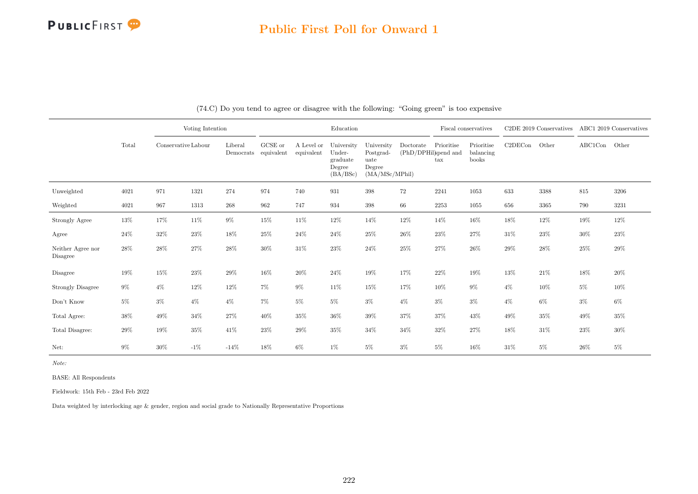#### Public First Poll for Onward 1

|                               |        |                     | Voting Intention |                                 |         |                          | Education                                              |                                                             |                                   |                   | Fiscal conservatives             |         | C2DE 2019 Conservatives ABC1 2019 Conservatives |         |        |
|-------------------------------|--------|---------------------|------------------|---------------------------------|---------|--------------------------|--------------------------------------------------------|-------------------------------------------------------------|-----------------------------------|-------------------|----------------------------------|---------|-------------------------------------------------|---------|--------|
|                               | Total  | Conservative Labour |                  | Liberal<br>Democrats equivalent | GCSE or | A Level or<br>equivalent | University<br>Under-<br>graduate<br>Degree<br>(BA/BSc) | University<br>Postgrad-<br>uate<br>Degree<br>(MA/MSc/MPhil) | Doctorate<br>(PhD/DPHil)spend and | Prioritise<br>tax | Prioritise<br>balancing<br>books | C2DECon | Other                                           | ABC1Con | Other  |
| Unweighted                    | 4021   | 971                 | 1321             | 274                             | 974     | 740                      | 931                                                    | $398\,$                                                     | 72                                | 2241              | 1053                             | 633     | 3388                                            | 815     | 3206   |
| Weighted                      | 4021   | 967                 | 1313             | $268\,$                         | 962     | 747                      | 934                                                    | 398                                                         | 66                                | 2253              | 1055                             | 656     | 3365                                            | 790     | 3231   |
| Strongly Agree                | $13\%$ | 17%                 | 11%              | $9\%$                           | 15%     | 11%                      | $12\%$                                                 | 14%                                                         | $12\%$                            | 14%               | 16%                              | $18\%$  | 12%                                             | $19\%$  | $12\%$ |
| Agree                         | $24\%$ | $32\%$              | 23%              | $18\%$                          | $25\%$  | $24\%$                   | $24\%$                                                 | $25\%$                                                      | 26%                               | $23\%$            | 27%                              | 31%     | $23\%$                                          | 30%     | 23%    |
| Neither Agree nor<br>Disagree | $28\%$ | 28%                 | $27\%$           | $28\%$                          | $30\%$  | $31\%$                   | $23\%$                                                 | $24\%$                                                      | 25%                               | $27\%$            | 26%                              | 29%     | $28\%$                                          | 25%     | $29\%$ |
| Disagree                      | 19%    | 15%                 | 23%              | 29%                             | $16\%$  | 20%                      | 24\%                                                   | 19%                                                         | 17%                               | $22\%$            | 19%                              | 13%     | $21\%$                                          | $18\%$  | $20\%$ |
| <b>Strongly Disagree</b>      | $9\%$  | $4\%$               | 12%              | 12%                             | 7%      | $9\%$                    | 11%                                                    | 15%                                                         | 17%                               | 10%               | $9\%$                            | $4\%$   | 10%                                             | $5\%$   | 10%    |
| Don't Know                    | $5\%$  | $3\%$               | $4\%$            | $4\%$                           | 7%      | $5\%$                    | $5\%$                                                  | $3\%$                                                       | $4\%$                             | $3\%$             | $3\%$                            | $4\%$   | $6\%$                                           | $3\%$   | $6\%$  |
| Total Agree:                  | $38\%$ | 49%                 | 34%              | 27%                             | 40%     | 35%                      | $36\%$                                                 | $39\%$                                                      | $37\%$                            | $37\%$            | 43%                              | 49%     | $35\%$                                          | $49\%$  | 35%    |
| Total Disagree:               | $29\%$ | $19\%$              | 35%              | 41\%                            | 23%     | 29%                      | $35\%$                                                 | $34\%$                                                      | $34\%$                            | $32\%$            | 27%                              | 18%     | $31\%$                                          | 23%     | 30%    |
| Net:                          | $9\%$  | 30%                 | $-1\%$           | $-14%$                          | 18%     | 6%                       | 1%                                                     | $5\%$                                                       | $3\%$                             | $5\%$             | 16%                              | 31%     | $5\%$                                           | 26%     | $5\%$  |

(74.C) Do you tend to agree or disagree with the following: "Going green" is too expensive

Note:

BASE: All Respondents

Fieldwork: 15th Feb - 23rd Feb 2022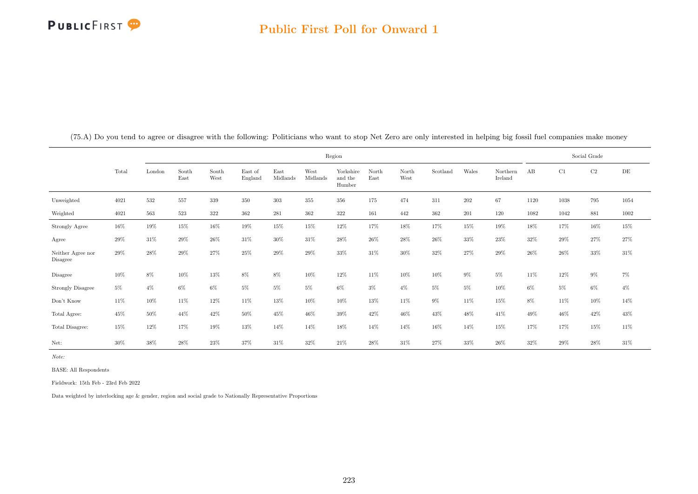|                               |        |        |               |               |                    |                  |                  | Region                         |               |               |          |        |                     |       |        | Social Grade |        |
|-------------------------------|--------|--------|---------------|---------------|--------------------|------------------|------------------|--------------------------------|---------------|---------------|----------|--------|---------------------|-------|--------|--------------|--------|
|                               | Total  | London | South<br>East | South<br>West | East of<br>England | East<br>Midlands | West<br>Midlands | Yorkshire<br>and the<br>Humber | North<br>East | North<br>West | Scotland | Wales  | Northern<br>Ireland | AB    | C1     | C2           | DE     |
| Unweighted                    | 4021   | 532    | 557           | 339           | 350                | 303              | 355              | 356                            | 175           | 474           | 311      | 202    | 67                  | 1120  | 1038   | 795          | 1054   |
| Weighted                      | 4021   | 563    | 523           | $322\,$       | 362                | 281              | 362              | $322\,$                        | 161           | 442           | 362      | 201    | 120                 | 1082  | 1042   | 881          | 1002   |
| Strongly Agree                | 16%    | 19%    | 15%           | 16%           | 19%                | 15%              | 15%              | 12%                            | 17%           | 18%           | 17%      | 15%    | 19%                 | 18%   | 17%    | 16%          | 15%    |
| Agree                         | $29\%$ | 31\%   | 29%           | $26\%$        | 31%                | 30%              | 31%              | 28%                            | 26%           | 28%           | 26%      | $33\%$ | 23%                 | 32%   | 29%    | 27%          | $27\%$ |
| Neither Agree nor<br>Disagree | 29%    | 28%    | $29\%$        | 27%           | 25%                | 29%              | 29%              | 33%                            | 31%           | 30%           | 32%      | 27%    | 29%                 | 26%   | $26\%$ | 33%          | 31\%   |
| Disagree                      | 10%    | 8%     | 10%           | 13%           | $8\%$              | 8%               | 10%              | 12%                            | 11%           | 10%           | 10%      | $9\%$  | $5\%$               | 11\%  | 12%    | $9\%$        | $7\%$  |
| <b>Strongly Disagree</b>      | $5\%$  | $4\%$  | $6\%$         | 6%            | 5%                 | 5%               | 5%               | $6\%$                          | $3\%$         | $4\%$         | 5%       | $5\%$  | 10%                 | $6\%$ | $5\%$  | $6\%$        | $4\%$  |
| Don't Know                    | 11\%   | 10%    | 11%           | 12%           | 11%                | 13%              | 10%              | 10%                            | 13%           | 11%           | $9\%$    | 11%    | 15%                 | 8%    | 11\%   | 10%          | 14%    |
| Total Agree:                  | 45%    | 50%    | 44%           | 42\%          | 50%                | 45%              | 46%              | $39\%$                         | 42%           | 46%           | 43%      | 48%    | 41\%                | 49%   | 46%    | $42\%$       | 43%    |
| Total Disagree:               | 15%    | 12%    | 17%           | 19%           | 13%                | 14%              | 14%              | 18%                            | 14%           | 14%           | 16%      | 14%    | 15%                 | 17%   | 17%    | 15%          | $11\%$ |
| Net:                          | 30%    | 38%    | 28%           | 23%           | 37%                | 31%              | 32%              | 21\%                           | 28%           | 31%           | 27%      | 33%    | $26\%$              | 32%   | 29%    | 28%          | 31%    |

(75.A) Do you tend to agree or disagree with the following: Politicians who want to stop Net Zero are only interested in helping big fossil fuel companies make money

Note:

BASE: All Respondents

Fieldwork: 15th Feb - 23rd Feb 2022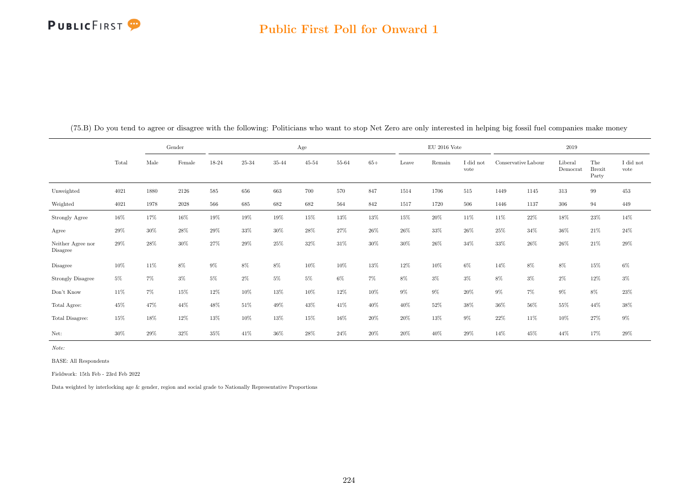#### Public First Poll for Onward 1

|                                     |        |            | Gender   |        |           |        | Age       |        |        |        | $\rm EU$ 2016 Vote |                   |                     |        | 2019                |                               |                   |
|-------------------------------------|--------|------------|----------|--------|-----------|--------|-----------|--------|--------|--------|--------------------|-------------------|---------------------|--------|---------------------|-------------------------------|-------------------|
|                                     | Total  | $\rm Male$ | Female   | 18-24  | $25 - 34$ | 35-44  | $45 - 54$ | 55-64  | $65+$  | Leave  | Remain             | I did not<br>vote | Conservative Labour |        | Liberal<br>Democrat | The<br><b>Brexit</b><br>Party | I did not<br>vote |
| Unweighted                          | 4021   | 1880       | 2126     | 585    | 656       | 663    | 700       | 570    | 847    | 1514   | 1706               | $515\,$           | 1449                | 1145   | 313                 | $\rm 99$                      | $453\,$           |
| Weighted                            | 4021   | 1978       | $2028\,$ | 566    | 685       | 682    | 682       | 564    | 842    | 1517   | 1720               | 506               | 1446                | 1137   | 306                 | 94                            | 449               |
| Strongly Agree                      | 16%    | 17%        | 16%      | 19%    | $19\%$    | $19\%$ | 15%       | $13\%$ | $13\%$ | $15\%$ | $20\%$             | 11%               | 11\%                | $22\%$ | 18%                 | $23\%$                        | 14%               |
| Agree                               | $29\%$ | $30\%$     | $28\%$   | $29\%$ | 33%       | $30\%$ | 28%       | $27\%$ | $26\%$ | $26\%$ | 33%                | 26%               | 25%                 | 34%    | 36%                 | $21\%$                        | $24\%$            |
| Neither Agree nor<br>Disagree       | 29%    | 28%        | 30%      | 27%    | 29%       | 25%    | 32%       | 31\%   | 30%    | 30%    | 26%                | 34%               | 33%                 | 26%    | 26%                 | 21\%                          | 29%               |
| Disagree                            | 10%    | 11%        | $8\%$    | 9%     | 8%        | 8%     | 10%       | 10%    | 13%    | 12%    | 10%                | $6\%$             | 14%                 | 8%     | 8%                  | 15%                           | $6\%$             |
| <b>Strongly Disagree</b>            | $5\%$  | 7%         | $3\%$    | 5%     | 2%        | $5\%$  | $5\%$     | $6\%$  | $7\%$  | 8%     | $3\%$              | $3\%$             | 8%                  | $3\%$  | $2\%$               | 12%                           | $3\%$             |
| $\mathrm{Don't}$<br>$\mathrm{Know}$ | 11%    | 7%         | 15%      | 12%    | 10%       | 13%    | 10%       | 12%    | $10\%$ | 9%     | $9\%$              | 20%               | $9\%$               | $7\%$  | $9\%$               | 8%                            | $23\%$            |
| Total Agree:                        | 45%    | 47%        | 44%      | 48%    | 51%       | 49%    | 43%       | 41\%   | 40%    | 40%    | 52%                | 38%               | $36\%$              | 56%    | 55%                 | 44%                           | $38\%$            |
| Total Disagree:                     | 15%    | 18%        | 12%      | 13%    | 10%       | 13%    | 15%       | 16%    | 20%    | $20\%$ | 13%                | $9\%$             | 22%                 | 11\%   | 10%                 | 27%                           | $9\%$             |
| Net:                                | 30%    | 29%        | 32%      | 35%    | 41\%      | 36%    | 28%       | 24\%   | 20%    | 20%    | 40%                | 29%               | 14%                 | 45%    | 44%                 | 17%                           | 29%               |

(75.B) Do you tend to agree or disagree with the following: Politicians who want to stop Net Zero are only interested in helping big fossil fuel companies make money

Note:

BASE: All Respondents

Fieldwork: 15th Feb - 23rd Feb 2022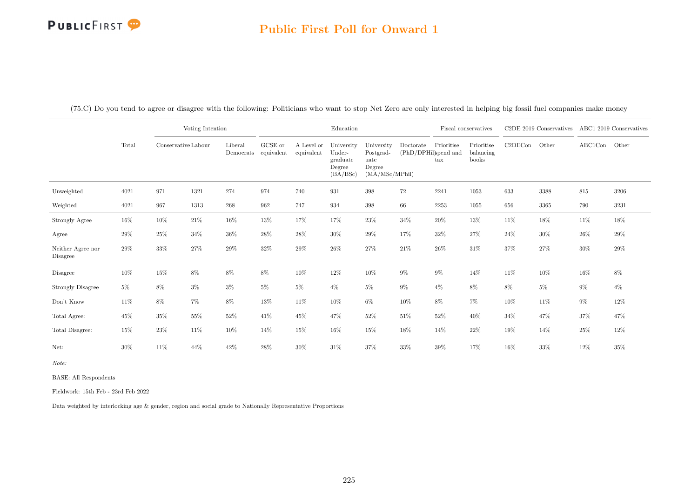#### Public First Poll for Onward 1

(75.C) Do you tend to agree or disagree with the following: Politicians who want to stop Net Zero are only interested in helping big fossil fuel companies make money

|                               |        |        | Voting Intention<br>Conservative Labour |                                                                   |         |                          | Education                                              |                                                             |                                   |                                    | Fiscal conservatives             |         | C <sub>2</sub> DE 2019 Conservatives |               | ABC1 2019 Conservatives |
|-------------------------------|--------|--------|-----------------------------------------|-------------------------------------------------------------------|---------|--------------------------|--------------------------------------------------------|-------------------------------------------------------------|-----------------------------------|------------------------------------|----------------------------------|---------|--------------------------------------|---------------|-------------------------|
|                               | Total  |        |                                         | Liberal<br>$\label{lem:1} {\rm Demoncrats}\quad {\rm equivalent}$ | GCSE or | A Level or<br>equivalent | University<br>Under-<br>graduate<br>Degree<br>(BA/BSc) | University<br>Postgrad-<br>uate<br>Degree<br>(MA/MSc/MPhil) | Doctorate<br>(PhD/DPHil)spend and | Prioritise<br>$\operatorname{tax}$ | Prioritise<br>balancing<br>books | C2DECon | Other                                | ABC1Con Other |                         |
| Unweighted                    | 4021   | 971    | 1321                                    | 274                                                               | 974     | 740                      | 931                                                    | 398                                                         | 72                                | 2241                               | 1053                             | 633     | 3388                                 | 815           | 3206                    |
| Weighted                      | 4021   | 967    | 1313                                    | $268\,$                                                           | 962     | 747                      | 934                                                    | 398                                                         | 66                                | 2253                               | 1055                             | 656     | 3365                                 | 790           | 3231                    |
| Strongly Agree                | 16%    | $10\%$ | $21\%$                                  | $16\%$                                                            | 13%     | 17%                      | 17%                                                    | $23\%$                                                      | $34\%$                            | $20\%$                             | $13\%$                           | 11%     | $18\%$                               | 11%           | 18%                     |
| Agree                         | $29\%$ | 25%    | 34%                                     | $36\%$                                                            | 28%     | 28\%                     | 30%                                                    | $29\%$                                                      | 17%                               | 32%                                | 27%                              | 24%     | $30\%$                               | 26%           | 29%                     |
| Neither Agree nor<br>Disagree | $29\%$ | $33\%$ | $27\%$                                  | $29\%$                                                            | 32%     | 29%                      | $26\%$                                                 | $27\%$                                                      | $21\%$                            | 26%                                | 31\%                             | 37%     | $27\%$                               | 30%           | 29%                     |
| Disagree                      | $10\%$ | $15\%$ | $8\%$                                   | $8\%$                                                             | 8%      | 10%                      | $12\%$                                                 | $10\%$                                                      | $9\%$                             | $9\%$                              | 14%                              | $11\%$  | $10\%$                               | 16%           | 8%                      |
| Strongly Disagree             | $5\%$  | 8%     | $3\%$                                   | $3\%$                                                             | $5\%$   | $5\%$                    | $4\%$                                                  | $5\%$                                                       | $9\%$                             | $4\%$                              | 8%                               | 8%      | $5\%$                                | $9\%$         | $4\%$                   |
| Don't Know                    | $11\%$ | 8%     | $7\%$                                   | $8\%$                                                             | 13%     | $11\%$                   | $10\%$                                                 | $6\%$                                                       | $10\%$                            | 8%                                 | $7\%$                            | 10%     | $11\%$                               | $9\%$         | 12%                     |
| Total Agree:                  | 45%    | 35%    | $55\%$                                  | $52\%$                                                            | 41\%    | 45\%                     | 47%                                                    | 52%                                                         | 51%                               | $52\%$                             | 40%                              | 34%     | 47%                                  | 37%           | 47%                     |
| Total Disagree:               | 15%    | 23\%   | 11%                                     | $10\%$                                                            | 14%     | 15%                      | $16\%$                                                 | $15\%$                                                      | $18\%$                            | 14%                                | 22%                              | 19%     | $14\%$                               | 25%           | 12%                     |
| Net:                          | 30%    | 11%    | 44%                                     | 42\%                                                              | 28%     | 30%                      | $31\%$                                                 | $37\%$                                                      | 33%                               | $39\%$                             | 17%                              | 16%     | 33%                                  | 12%           | 35%                     |

Note:

BASE: All Respondents

Fieldwork: 15th Feb - 23rd Feb 2022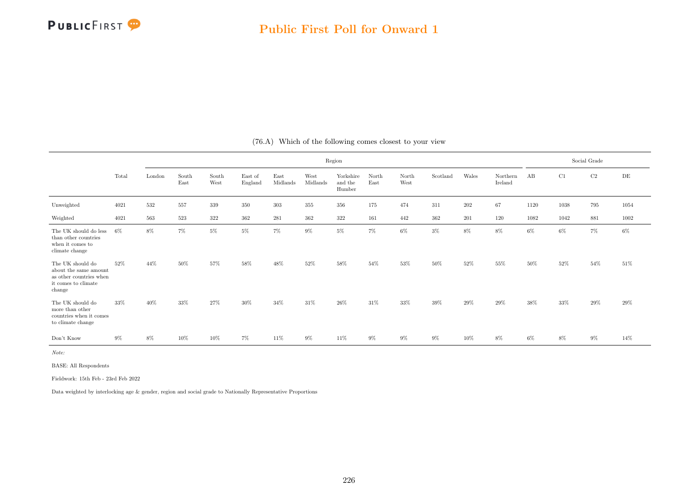

|                                                                                                                      |        |        |               |               |                    |                  |                  | Region                         |               |               |          |       |                     |      |       | Social Grade |           |
|----------------------------------------------------------------------------------------------------------------------|--------|--------|---------------|---------------|--------------------|------------------|------------------|--------------------------------|---------------|---------------|----------|-------|---------------------|------|-------|--------------|-----------|
|                                                                                                                      | Total  | London | South<br>East | South<br>West | East of<br>England | East<br>Midlands | West<br>Midlands | Yorkshire<br>and the<br>Humber | North<br>East | North<br>West | Scotland | Wales | Northern<br>Ireland | AB   | C1    | C2           | $\rm{DE}$ |
| Unweighted                                                                                                           | 4021   | 532    | 557           | 339           | 350                | $303\,$          | 355              | 356                            | 175           | 474           | 311      | 202   | 67                  | 1120 | 1038  | 795          | 1054      |
| Weighted                                                                                                             | 4021   | 563    | 523           | 322           | 362                | 281              | 362              | 322                            | 161           | 442           | 362      | 201   | 120                 | 1082 | 1042  | 881          | 1002      |
| The UK should do less<br>than other countries<br>when it comes to<br>climate change                                  | 6%     | 8%     | 7%            | $5\%$         | $5\%$              | $7\%$            | $9\%$            | $5\%$                          | $7\%$         | 6%            | $3\%$    | 8%    | 8%                  | 6%   | 6%    | 7%           | $6\%$     |
| The UK should do<br>about the same amount<br>as other countries when<br>it comes to climate<br>change                | 52%    | 44%    | 50%           | 57%           | 58%                | 48%              | 52%              | 58%                            | 54%           | 53%           | 50%      | 52%   | 55%                 | 50%  | 52%   | 54%          | $51\%$    |
| The UK should do<br>more than other $% \left\vert \cdot \right\vert$<br>countries when it comes<br>to climate change | $33\%$ | 40%    | 33%           | 27%           | 30%                | 34%              | 31%              | 26%                            | 31%           | 33%           | 39%      | 29%   | 29%                 | 38%  | 33%   | 29%          | 29%       |
| Don't Know                                                                                                           | $9\%$  | $8\%$  | $10\%$        | $10\%$        | 7%                 | 11%              | $9\%$            | 11%                            | $9\%$         | $9\%$         | 9%       | 10%   | $8\%$               | 6%   | $8\%$ | $9\%$        | 14%       |

(76.A) Which of the following comes closest to your view

Note:

BASE: All Respondents

Fieldwork: 15th Feb - 23rd Feb 2022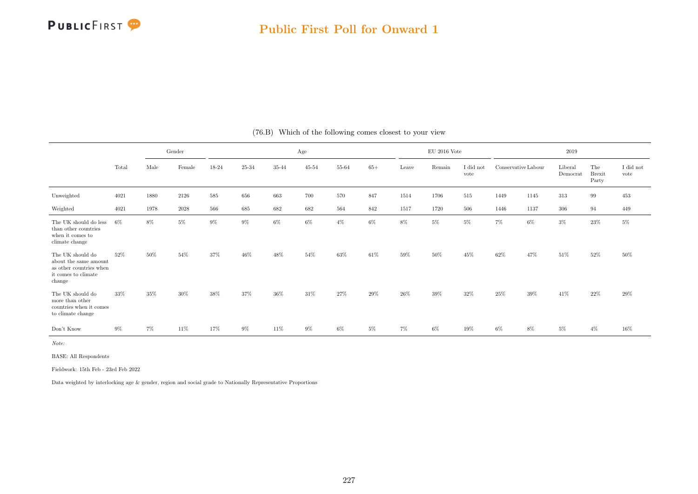

|                                                                                                       |       |      | Gender |       |       |       | Age       |       |        |       | $EU$ 2016 Vote |                   |                     |      | 2019                |                               |                               |
|-------------------------------------------------------------------------------------------------------|-------|------|--------|-------|-------|-------|-----------|-------|--------|-------|----------------|-------------------|---------------------|------|---------------------|-------------------------------|-------------------------------|
|                                                                                                       | Total | Male | Female | 18-24 | 25-34 | 35-44 | $45 - 54$ | 55-64 | $65+$  | Leave | Remain         | I did not<br>vote | Conservative Labour |      | Liberal<br>Democrat | The<br><b>Brexit</b><br>Party | $\rm I$ did $\rm not$<br>vote |
| Unweighted                                                                                            | 4021  | 1880 | 2126   | 585   | 656   | 663   | 700       | 570   | 847    | 1514  | 1706           | 515               | 1449                | 1145 | 313                 | 99                            | 453                           |
| Weighted                                                                                              | 4021  | 1978 | 2028   | 566   | 685   | 682   | 682       | 564   | 842    | 1517  | 1720           | 506               | 1446                | 1137 | 306                 | 94                            | 449                           |
| The UK should do less<br>than other countries<br>when it comes to<br>climate change                   | 6%    | 8%   | 5%     | $9\%$ | $9\%$ | 6%    | $6\%$     | $4\%$ | $6\%$  | 8%    | $5\%$          | $5\%$             | 7%                  | 6%   | $3\%$               | $23\%$                        | $5\%$                         |
| The UK should do<br>about the same amount<br>as other countries when<br>it comes to climate<br>change | 52%   | 50%  | 54%    | 37%   | 46%   | 48%   | 54%       | 63%   | 61%    | 59%   | 50%            | 45%               | 62%                 | 47%  | 51%                 | 52%                           | 50%                           |
| The UK should do<br>more than other<br>countries when it comes<br>to climate change                   | 33%   | 35%  | 30%    | 38%   | 37%   | 36\%  | 31%       | 27%   | $29\%$ | 26%   | 39%            | 32%               | 25%                 | 39%  | 41\%                | 22%                           | 29%                           |
| Don't Know                                                                                            | $9\%$ | 7%   | 11%    | 17%   | $9\%$ | 11%   | 9%        | $6\%$ | $5\%$  | 7%    | 6%             | 19%               | $6\%$               | 8%   | $5\%$               | $4\%$                         | 16%                           |

#### (76.B) Which of the following comes closest to your view

Note:

BASE: All Respondents

Fieldwork: 15th Feb - 23rd Feb 2022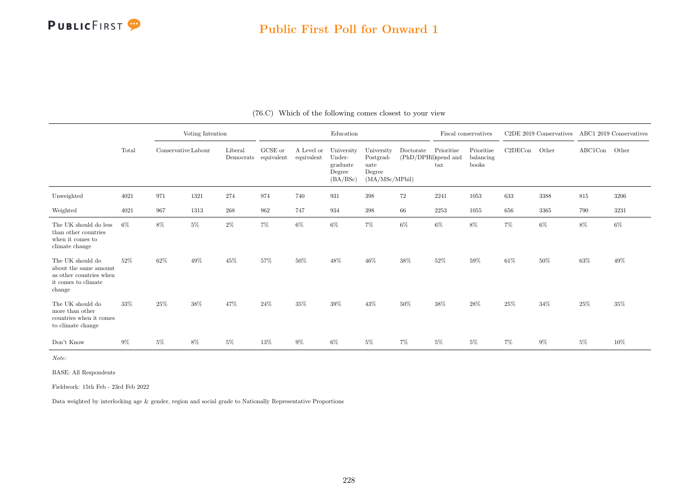

#### Public First Poll for Onward 1

|                                                                                                       |       |        | Voting Intention<br>Conservative Labour<br>Liberal |           |                       |                          | Education                                              |                                                             |                                   | Fiscal conservatives               |                                  |         | C <sub>2</sub> DE 2019 Conservatives |               | ABC1 2019 Conservatives |
|-------------------------------------------------------------------------------------------------------|-------|--------|----------------------------------------------------|-----------|-----------------------|--------------------------|--------------------------------------------------------|-------------------------------------------------------------|-----------------------------------|------------------------------------|----------------------------------|---------|--------------------------------------|---------------|-------------------------|
|                                                                                                       | Total |        |                                                    | Democrats | GCSE or<br>equivalent | A Level or<br>equivalent | University<br>Under-<br>graduate<br>Degree<br>(BA/BSc) | University<br>Postgrad-<br>uate<br>Degree<br>(MA/MSc/MPhil) | Doctorate<br>(PhD/DPHil)spend and | Prioritise<br>$\operatorname{tax}$ | Prioritise<br>balancing<br>books | C2DECon | Other                                | ABC1Con Other |                         |
| Unweighted                                                                                            | 4021  | 971    | 1321                                               | 274       | 974                   | 740                      | 931                                                    | 398                                                         | 72                                | 2241                               | 1053                             | 633     | 3388                                 | 815           | 3206                    |
| Weighted                                                                                              | 4021  | 967    | 1313                                               | 268       | 962                   | 747                      | 934                                                    | 398                                                         | 66                                | 2253                               | 1055                             | 656     | 3365                                 | 790           | 3231                    |
| The UK should do less<br>than other countries<br>when it comes to<br>climate change                   | 6%    | 8%     | $5\%$                                              | $2\%$     | 7%                    | 6%                       | $6\%$                                                  | 7%                                                          | 6%                                | $6\%$                              | 8%                               | 7%      | $6\%$                                | 8%            | $6\%$                   |
| The UK should do<br>about the same amount<br>as other countries when<br>it comes to climate<br>change | 52\%  | 62%    | 49%                                                | 45%       | 57%                   | 50%                      | 48%                                                    | 46%                                                         | 38%                               | 52%                                | 59%                              | $61\%$  | 50%                                  | $63\%$        | 49%                     |
| The UK should do<br>more than other<br>countries when it comes<br>to climate change                   | 33%   | $25\%$ | 38%                                                | 47%       | $24\%$                | 35%                      | 39%                                                    | 43%                                                         | 50%                               | $38\%$                             | $28\%$                           | 25%     | $34\%$                               | 25%           | $35\%$                  |
| Don't Know                                                                                            | $9\%$ | $5\%$  | 8%                                                 | $5\%$     | $13\%$                | $9\%$                    | 6%                                                     | 5%                                                          | 7%                                | $5\%$                              | $5\%$                            | 7%      | 9%                                   | $5\%$         | $10\%$                  |

(76.C) Which of the following comes closest to your view

Note:

BASE: All Respondents

Fieldwork: 15th Feb - 23rd Feb 2022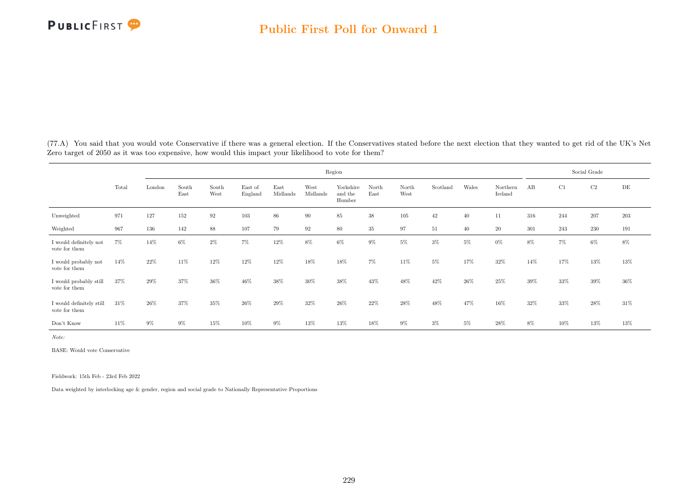

(77.A) You said that you would vote Conservative if there was a general election. If the Conservatives stated before the next election that they wanted to get rid of the UK's Net Zero target of 2050 as it was too expensive, how would this impact your likelihood to vote for them?

|                                              |        |        |               |                   |                    |                  |                  | Region                         |               |               |          |       |                     |       |        | Social Grade |           |
|----------------------------------------------|--------|--------|---------------|-------------------|--------------------|------------------|------------------|--------------------------------|---------------|---------------|----------|-------|---------------------|-------|--------|--------------|-----------|
|                                              | Total  | London | South<br>East | South<br>West     | East of<br>England | East<br>Midlands | West<br>Midlands | Yorkshire<br>and the<br>Humber | North<br>East | North<br>West | Scotland | Wales | Northern<br>Ireland | AB    | C1     | C2           | $\rm{DE}$ |
| Unweighted                                   | 971    | 127    | 152           | $\boldsymbol{92}$ | 103                | $86\,$           | 90               | 85                             | $38\,$        | $105\,$       | $42\,$   | 40    | 11                  | 316   | 244    | 207          | $203\,$   |
| Weighted                                     | 967    | 136    | 142           | $88\,$            | 107                | 79               | 92               | 80                             | $35\,$        | 97            | 51       | 40    | 20                  | 301   | 243    | $230\,$      | 191       |
| I would definitely not<br>$\,$ vote for them | 7%     | 14%    | 6%            | $2\%$             | 7%                 | 12%              | 8%               | $6\%$                          | $9\%$         | $5\%$         | $3\%$    | $5\%$ | $0\%$               | 8%    | $7\%$  | $6\%$        | 8%        |
| I would probably not<br>vote for them        | 14%    | 22%    | 11%           | 12%               | 12%                | $12\%$           | 18%              | 18%                            | $7\%$         | 11%           | $5\%$    | 17%   | 32%                 | 14%   | 17%    | 13%          | 13%       |
| I would probably still<br>vote for them      | 37%    | 29%    | 37%           | 36%               | 46%                | 38%              | 30%              | 38%                            | 43%           | 48%           | 42%      | 26%   | 25%                 | 39%   | 33%    | 39%          | 36%       |
| I would definitely still<br>vote for them    | $31\%$ | 26%    | 37%           | 35%               | 26%                | 29%              | 32%              | 26%                            | 22%           | 28%           | 48%      | 47%   | 16%                 | 32%   | 33%    | 28%          | 31\%      |
| Don't Know                                   | 11%    | $9\%$  | $9\%$         | 15%               | $10\%$             | $9\%$            | 13%              | $13\%$                         | $18\%$        | $9\%$         | $3\%$    | $5\%$ | $28\%$              | $8\%$ | $10\%$ | $13\%$       | 13%       |

Note:

BASE: Would vote Conservative

Fieldwork: 15th Feb - 23rd Feb 2022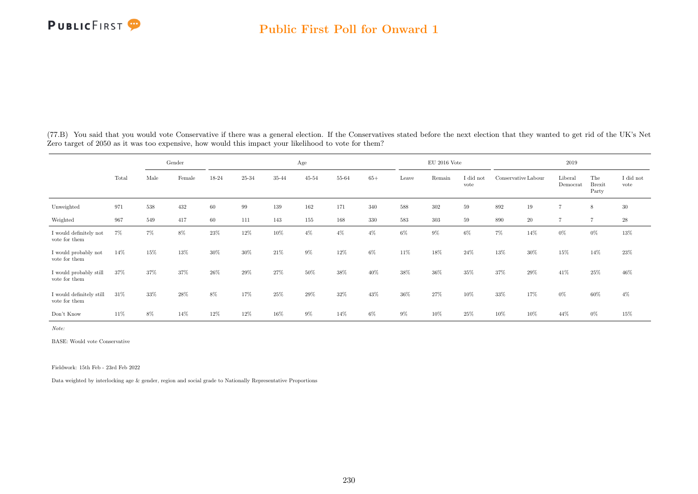

|                                           |       |      | Gender |       |           |       | Age       |       |       |       | $EU$ 2016 Vote |                   |                     |        | 2019                |                               |                   |
|-------------------------------------------|-------|------|--------|-------|-----------|-------|-----------|-------|-------|-------|----------------|-------------------|---------------------|--------|---------------------|-------------------------------|-------------------|
|                                           | Total | Male | Female | 18-24 | $25 - 34$ | 35-44 | $45 - 54$ | 55-64 | $65+$ | Leave | Remain         | I did not<br>vote | Conservative Labour |        | Liberal<br>Democrat | The<br><b>Brexit</b><br>Party | I did not<br>vote |
| Unweighted                                | 971   | 538  | 432    | 60    | 99        | 139   | 162       | 171   | 340   | 588   | 302            | 59                | 892                 | 19     | $\overline{7}$      | 8                             | 30                |
| Weighted                                  | 967   | 549  | 417    | 60    | 111       | 143   | 155       | 168   | 330   | 583   | 303            | 59                | 890                 | 20     | $\overline{7}$      | $\overline{7}$                | $\sqrt{28}$       |
| I would definitely not<br>vote for them   | 7%    | 7%   | 8%     | 23%   | 12%       | 10%   | $4\%$     | $4\%$ | $4\%$ | $6\%$ | 9%             | $6\%$             | $7\%$               | 14%    | $0\%$               | $0\%$                         | 13%               |
| I would probably not<br>vote for them     | 14%   | 15%  | 13%    | 30%   | 30%       | 21\%  | $9\%$     | 12%   | $6\%$ | 11%   | 18%            | 24\%              | 13%                 | $30\%$ | $15\%$              | 14%                           | 23%               |
| I would probably still<br>vote for them   | 37%   | 37%  | 37%    | 26%   | 29%       | 27%   | 50%       | 38%   | 40%   | 38%   | 36%            | 35%               | 37%                 | 29%    | 41\%                | 25%                           | 46%               |
| I would definitely still<br>vote for them | 31\%  | 33%  | 28%    | 8%    | 17%       | 25%   | 29%       | 32%   | 43%   | 36%   | $27\%$         | 10%               | 33%                 | 17%    | $0\%$               | 60%                           | $4\%$             |
| Don't Know                                | 11%   | 8%   | 14%    | 12%   | $12\%$    | 16%   | $9\%$     | 14%   | $6\%$ | $9\%$ | 10%            | 25%               | 10%                 | 10%    | 44%                 | $0\%$                         | 15%               |

(77.B) You said that you would vote Conservative if there was a general election. If the Conservatives stated before the next election that they wanted to get rid of the UK's Net Zero target of 2050 as it was too expensive, how would this impact your likelihood to vote for them?

Note:

BASE: Would vote Conservative

Fieldwork: 15th Feb - 23rd Feb 2022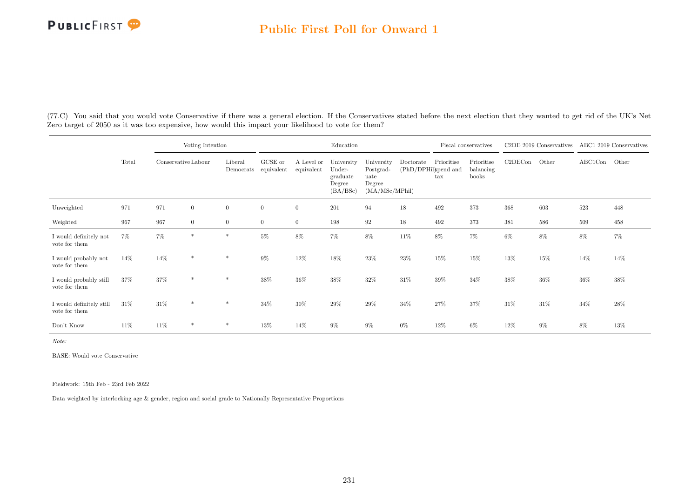

(77.C) You said that you would vote Conservative if there was a general election. If the Conservatives stated before the next election that they wanted to get rid of the UK's Net Zero target of 2050 as it was too expensive, how would this impact your likelihood to vote for them?

|                                           |        |                     | Voting Intention |                      |                       |                          | Education                                              |                                                             |           |                                           | Fiscal conservatives             |         | C <sub>2</sub> DE 2019 Conservatives |         | ABC1 2019 Conservatives |
|-------------------------------------------|--------|---------------------|------------------|----------------------|-----------------------|--------------------------|--------------------------------------------------------|-------------------------------------------------------------|-----------|-------------------------------------------|----------------------------------|---------|--------------------------------------|---------|-------------------------|
|                                           | Total  | Conservative Labour |                  | Liberal<br>Democrats | GCSE or<br>equivalent | A Level or<br>equivalent | University<br>Under-<br>graduate<br>Degree<br>(BA/BSc) | University<br>Postgrad-<br>uate<br>Degree<br>(MA/MSc/MPhil) | Doctorate | Prioritise<br>(PhD/DPHil)spend and<br>tax | Prioritise<br>balancing<br>books | C2DECon | Other                                | ABC1Con | Other                   |
| Unweighted                                | 971    | 971                 | $\overline{0}$   | $\theta$             | $\overline{0}$        | $\overline{0}$           | 201                                                    | 94                                                          | 18        | 492                                       | 373                              | 368     | 603                                  | 523     | 448                     |
| Weighted                                  | 967    | 967                 | $\overline{0}$   | $\overline{0}$       | $\overline{0}$        | $\overline{0}$           | 198                                                    | 92                                                          | 18        | 492                                       | 373                              | 381     | 586                                  | 509     | 458                     |
| I would definitely not<br>vote for them   | 7%     | $7\%$               | $\ast$           |                      | $5\%$                 | 8%                       | $7\%$                                                  | 8%                                                          | 11%       | $8\%$                                     | 7%                               | $6\%$   | 8%                                   | $8\%$   | $7\%$                   |
| I would probably not<br>vote for them     | 14%    | 14%                 | $*$              | $\ast$               | $9\%$                 | 12%                      | 18%                                                    | 23%                                                         | 23%       | 15%                                       | 15%                              | 13%     | 15%                                  | 14%     | 14%                     |
| I would probably still<br>vote for them   | 37%    | 37%                 | $\ast$           | *                    | 38%                   | 36%                      | 38%                                                    | 32%                                                         | 31%       | 39%                                       | 34%                              | 38%     | 36%                                  | 36%     | 38%                     |
| I would definitely still<br>vote for them | $31\%$ | 31%                 | $\ast$           | $\ast$               | 34%                   | 30%                      | 29%                                                    | 29%                                                         | 34%       | 27%                                       | 37%                              | 31%     | 31%                                  | $34\%$  | 28%                     |
| Don't Know                                | 11%    | 11%                 | $\ast$           | $\ast$               | 13%                   | 14%                      | $9\%$                                                  | $9\%$                                                       | $0\%$     | 12%                                       | 6%                               | 12%     | $9\%$                                | 8%      | 13%                     |

Note:

BASE: Would vote Conservative

Fieldwork: 15th Feb - 23rd Feb 2022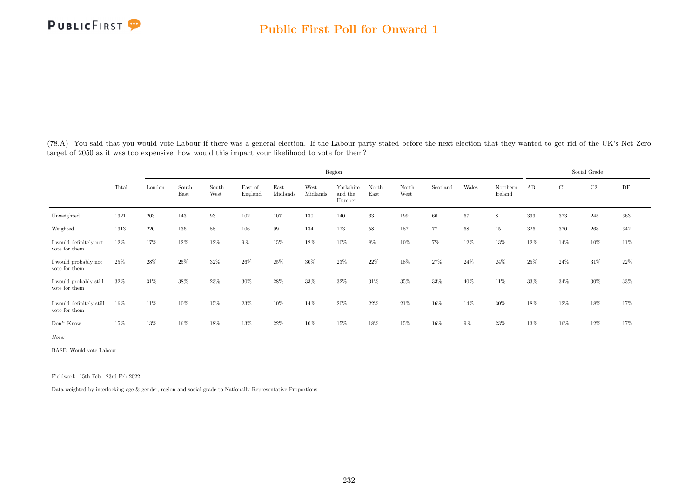

(78.A) You said that you would vote Labour if there was a general election. If the Labour party stated before the next election that they wanted to get rid of the UK's Net Zero target of 2050 as it was too expensive, how would this impact your likelihood to vote for them?

|                                           |       |        |               |               |                    |                  |                  | Region                         |               |               |          |       |                     |        |      | Social Grade |           |
|-------------------------------------------|-------|--------|---------------|---------------|--------------------|------------------|------------------|--------------------------------|---------------|---------------|----------|-------|---------------------|--------|------|--------------|-----------|
|                                           | Total | London | South<br>East | South<br>West | East of<br>England | East<br>Midlands | West<br>Midlands | Yorkshire<br>and the<br>Humber | North<br>East | North<br>West | Scotland | Wales | Northern<br>Ireland | AB     | C1   | C2           | $\rm{DE}$ |
| Unweighted                                | 1321  | 203    | 143           | 93            | 102                | 107              | 130              | 140                            | 63            | 199           | 66       | 67    | 8                   | 333    | 373  | 245          | 363       |
| Weighted                                  | 1313  | 220    | 136           | $88\,$        | 106                | 99               | 134              | 123                            | 58            | 187           | 77       | 68    | $15\,$              | 326    | 370  | 268          | 342       |
| I would definitely not<br>vote for them   | 12%   | 17%    | 12%           | 12%           | $9\%$              | 15%              | 12%              | 10%                            | $8\%$         | 10%           | $7\%$    | 12%   | 13%                 | 12%    | 14%  | 10%          | 11\%      |
| I would probably not<br>vote for them     | 25%   | 28%    | 25%           | 32%           | 26%                | $25\%$           | 30%              | 23%                            | 22%           | 18%           | 27%      | 24\%  | 24\%                | $25\%$ | 24\% | 31%          | 22%       |
| I would probably still<br>vote for them   | 32%   | 31%    | 38%           | 23%           | 30%                | 28\%             | 33%              | 32%                            | 31%           | 35%           | 33%      | 40%   | 11\%                | 33%    | 34%  | 30%          | 33%       |
| I would definitely still<br>vote for them | 16%   | 11%    | 10%           | 15%           | 23%                | 10%              | 14%              | 20%                            | 22%           | $21\%$        | 16%      | 14%   | 30%                 | 18%    | 12%  | 18%          | 17%       |
| Don't Know                                | 15%   | 13%    | $16\%$        | 18%           | 13%                | 22\%             | 10%              | 15%                            | 18%           | 15%           | $16\%$   | $9\%$ | 23%                 | 13%    | 16%  | 12%          | 17%       |

Note:

BASE: Would vote Labour

Fieldwork: 15th Feb - 23rd Feb 2022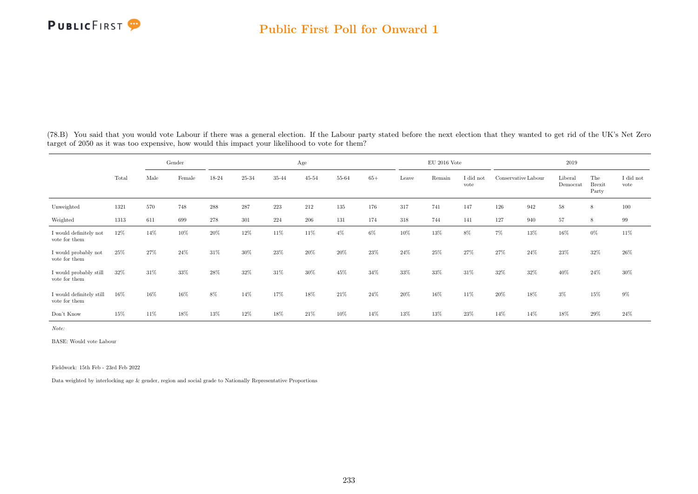

|                                           |       |      | Gender |       |           |         | Age       |       |       |       | $EU$ 2016 Vote |                   |                     |      | 2019                |                               |                   |
|-------------------------------------------|-------|------|--------|-------|-----------|---------|-----------|-------|-------|-------|----------------|-------------------|---------------------|------|---------------------|-------------------------------|-------------------|
|                                           | Total | Male | Female | 18-24 | $25 - 34$ | 35-44   | $45 - 54$ | 55-64 | $65+$ | Leave | Remain         | I did not<br>vote | Conservative Labour |      | Liberal<br>Democrat | The<br><b>Brexit</b><br>Party | I did not<br>vote |
| Unweighted                                | 1321  | 570  | 748    | 288   | 287       | $223\,$ | 212       | 135   | 176   | 317   | 741            | 147               | 126                 | 942  | 58                  | 8                             | 100               |
| Weighted                                  | 1313  | 611  | 699    | 278   | 301       | 224     | 206       | 131   | 174   | 318   | 744            | 141               | 127                 | 940  | 57                  | 8                             | 99                |
| I would definitely not<br>vote for them   | 12%   | 14%  | 10%    | 20%   | 12%       | 11%     | 11%       | $4\%$ | $6\%$ | 10%   | 13%            | 8%                | $7\%$               | 13%  | 16%                 | $0\%$                         | 11\%              |
| I would probably not<br>vote for them     | 25%   | 27%  | 24%    | 31%   | 30%       | 23%     | 20%       | 20%   | 23%   | 24%   | 25%            | 27%               | 27%                 | 24\% | 23%                 | 32%                           | 26%               |
| I would probably still<br>vote for them   | 32%   | 31\% | 33%    | 28%   | 32%       | 31\%    | 30%       | 45%   | 34%   | 33%   | 33%            | 31\%              | 32%                 | 32%  | 40%                 | 24\%                          | 30%               |
| I would definitely still<br>vote for them | 16%   | 16%  | 16%    | 8%    | 14%       | 17%     | 18%       | 21\%  | 24%   | 20%   | 16%            | 11\%              | 20%                 | 18%  | $3\%$               | 15%                           | 9%                |
| Don't Know                                | 15%   | 11%  | 18%    | 13%   | 12%       | $18\%$  | 21%       | 10%   | 14%   | 13%   | 13%            | 23%               | 14%                 | 14%  | 18%                 | 29%                           | 24%               |

(78.B) You said that you would vote Labour if there was a general election. If the Labour party stated before the next election that they wanted to get rid of the UK's Net Zero target of 2050 as it was too expensive, how would this impact your likelihood to vote for them?

Note:

BASE: Would vote Labour

Fieldwork: 15th Feb - 23rd Feb 2022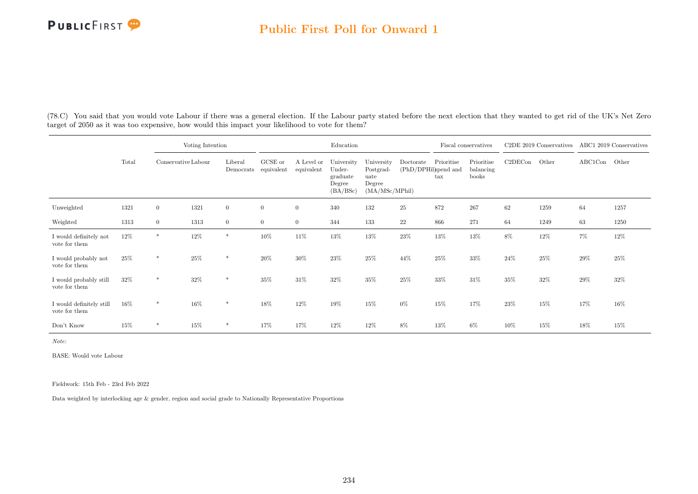

(78.C) You said that you would vote Labour if there was a general election. If the Labour party stated before the next election that they wanted to get rid of the UK's Net Zero target of 2050 as it was too expensive, how would this impact your likelihood to vote for them?

|                                           |        |                     | Voting Intention |                      |                       |                          | Education                                              |                                                             |                                   |                            | Fiscal conservatives             |         | C2DE 2019 Conservatives |         | ABC1 2019 Conservatives |
|-------------------------------------------|--------|---------------------|------------------|----------------------|-----------------------|--------------------------|--------------------------------------------------------|-------------------------------------------------------------|-----------------------------------|----------------------------|----------------------------------|---------|-------------------------|---------|-------------------------|
|                                           | Total  | Conservative Labour |                  | Liberal<br>Democrats | GCSE or<br>equivalent | A Level or<br>equivalent | University<br>Under-<br>graduate<br>Degree<br>(BA/BSc) | University<br>Postgrad-<br>uate<br>Degree<br>(MA/MSc/MPhil) | Doctorate<br>(PhD/DPHil)spend and | Prioritise<br>$\text{tax}$ | Prioritise<br>balancing<br>books | C2DECon | Other                   | ABC1Con | Other                   |
| Unweighted                                | 1321   | $\overline{0}$      | 1321             | $\overline{0}$       | $\overline{0}$        | $\overline{0}$           | 340                                                    | 132                                                         | 25                                | 872                        | 267                              | 62      | 1259                    | 64      | 1257                    |
| Weighted                                  | 1313   | $\overline{0}$      | 1313             | $\overline{0}$       | $\overline{0}$        | $\overline{0}$           | 344                                                    | 133                                                         | $22\,$                            | 866                        | 271                              | 64      | 1249                    | 63      | 1250                    |
| I would definitely not<br>vote for them   | 12%    | $\ast$              | 12%              | $\ast$               | 10%                   | 11%                      | 13%                                                    | 13%                                                         | 23%                               | 13%                        | 13%                              | 8%      | 12%                     | $7\%$   | $12\%$                  |
| I would probably not<br>vote for them     | 25%    | $\ast$              | 25%              | $*$                  | $20\%$                | 30%                      | 23%                                                    | 25%                                                         | 44%                               | 25%                        | 33%                              | 24%     | 25%                     | 29%     | 25%                     |
| I would probably still<br>vote for them   | $32\%$ | $\ast$              | 32%              | $\ast$               | 35%                   | $31\%$                   | 32%                                                    | 35%                                                         | 25%                               | 33%                        | 31%                              | 35%     | 32%                     | 29%     | 32%                     |
| I would definitely still<br>vote for them | 16%    | $\ast$              | 16%              | $\ast$               | 18%                   | 12%                      | 19%                                                    | 15%                                                         | $0\%$                             | 15%                        | 17%                              | 23%     | 15%                     | 17%     | 16%                     |
| Don't Know                                | 15%    | $\ast$              | 15%              | $\ast$               | 17%                   | 17%                      | 12%                                                    | 12%                                                         | 8%                                | 13%                        | 6%                               | 10%     | 15%                     | 18%     | 15%                     |

Note:

BASE: Would vote Labour

Fieldwork: 15th Feb - 23rd Feb 2022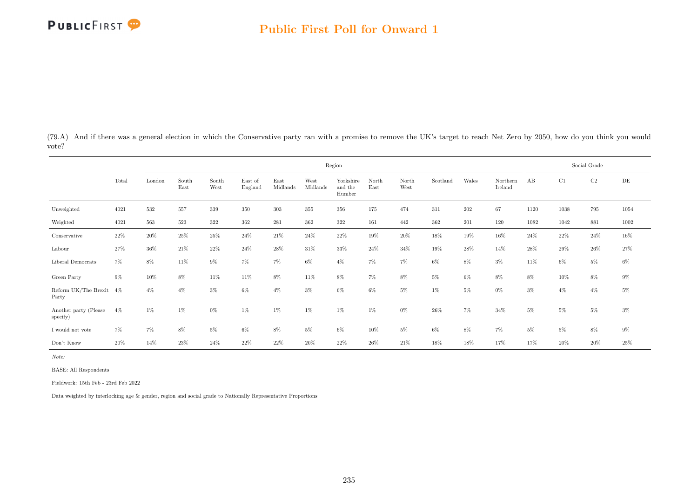(79.A) And if there was a general election in which the Conservative party ran with a promise to remove the UK's target to reach Net Zero by 2050, how do you think you would vote?

|                                     |        |        |               |               |                    |                  |                  | Region                         |               |               |          |        |                     |        |        | Social Grade |        |
|-------------------------------------|--------|--------|---------------|---------------|--------------------|------------------|------------------|--------------------------------|---------------|---------------|----------|--------|---------------------|--------|--------|--------------|--------|
|                                     | Total  | London | South<br>East | South<br>West | East of<br>England | East<br>Midlands | West<br>Midlands | Yorkshire<br>and the<br>Humber | North<br>East | North<br>West | Scotland | Wales  | Northern<br>Ireland | AB     | C1     | C2           | DE     |
| Unweighted                          | 4021   | 532    | 557           | 339           | 350                | $303\,$          | 355              | 356                            | 175           | 474           | 311      | 202    | 67                  | 1120   | 1038   | 795          | 1054   |
| Weighted                            | 4021   | 563    | 523           | 322           | 362                | 281              | $362\,$          | $322\,$                        | 161           | 442           | $362\,$  | 201    | 120                 | 1082   | 1042   | 881          | 1002   |
| Conservative                        | 22%    | 20%    | 25%           | 25%           | 24%                | 21\%             | 24%              | 22%                            | 19%           | 20%           | 18%      | 19%    | 16%                 | 24\%   | 22\%   | 24\%         | $16\%$ |
| Labour                              | 27%    | $36\%$ | 21%           | 22%           | $24\%$             | $28\%$           | 31\%             | $33\%$                         | 24%           | 34%           | 19%      | $28\%$ | 14%                 | 28\%   | 29%    | $26\%$       | $27\%$ |
| Liberal Democrats                   | $7\%$  | $8\%$  | 11%           | $9\%$         | 7%                 | $7\%$            | $6\%$            | $4\%$                          | $7\%$         | $7\%$         | $6\%$    | 8%     | $3\%$               | 11\%   | $6\%$  | $5\%$        | $6\%$  |
| Green Party                         | $9\%$  | 10%    | $8\%$         | 11%           | $11\%$             | $8\%$            | 11%              | $8\%$                          | $7\%$         | $8\%$         | $5\%$    | 6%     | 8%                  | 8%     | 10%    | $8\%$        | $9\%$  |
| Reform UK/The Brexit $4\%$<br>Party |        | $4\%$  | $4\%$         | 3%            | 6%                 | $4\%$            | $3\%$            | $6\%$                          | 6%            | $5\%$         | $1\%$    | $5\%$  | $0\%$               | $3\%$  | $4\%$  | $4\%$        | $5\%$  |
| Another party (Please<br>specify)   | $4\%$  | 1%     | 1%            | $0\%$         | 1%                 | $1\%$            | $1\%$            | $1\%$                          | $1\%$         | $0\%$         | $26\%$   | $7\%$  | 34%                 | $5\%$  | $5\%$  | 5%           | $3\%$  |
| $\rm I$ would not vote              | $7\%$  | $7\%$  | $8\%$         | 5%            | $6\%$              | $8\%$            | $5\%$            | $6\%$                          | 10%           | $5\%$         | $6\%$    | $8\%$  | $7\%$               | $5\%$  | $5\%$  | $8\%$        | $9\%$  |
| Don't Know                          | $20\%$ | 14%    | $23\%$        | $24\%$        | $22\%$             | $22\%$           | $20\%$           | $22\%$                         | 26%           | $21\%$        | $18\%$   | $18\%$ | $17\%$              | $17\%$ | $20\%$ | $20\%$       | $25\%$ |

Note:

BASE: All Respondents

Fieldwork: 15th Feb - 23rd Feb 2022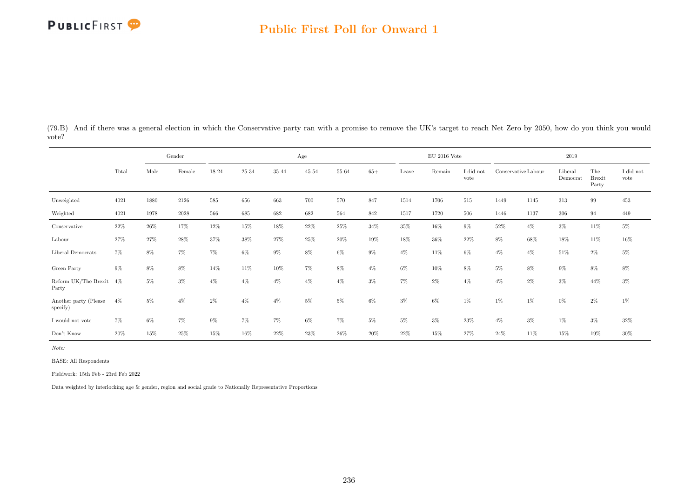#### Public First Poll for Onward 1

(79.B) And if there was a general election in which the Conservative party ran with a promise to remove the UK's target to reach Net Zero by 2050, how do you think you would vote?

|                                   |       |       | Gender |       |           |        | Age       |       |        |       | $\rm EU$ 2016 Vote |                   |                     |       | 2019                |                               |                         |
|-----------------------------------|-------|-------|--------|-------|-----------|--------|-----------|-------|--------|-------|--------------------|-------------------|---------------------|-------|---------------------|-------------------------------|-------------------------|
|                                   | Total | Male  | Female | 18-24 | $25 - 34$ | 35-44  | $45 - 54$ | 55-64 | $65+$  | Leave | Remain             | I did not<br>vote | Conservative Labour |       | Liberal<br>Democrat | The<br><b>Brexit</b><br>Party | $\rm I$ did not<br>vote |
| Unweighted                        | 4021  | 1880  | 2126   | 585   | 656       | 663    | 700       | 570   | 847    | 1514  | 1706               | $515\,$           | 1449                | 1145  | 313                 | 99                            | 453                     |
| Weighted                          | 4021  | 1978  | 2028   | 566   | 685       | 682    | 682       | 564   | 842    | 1517  | 1720               | 506               | 1446                | 1137  | 306                 | 94                            | 449                     |
| Conservative                      | 22%   | 26%   | 17%    | 12%   | 15%       | $18\%$ | 22%       | 25%   | 34%    | 35%   | 16%                | $9\%$             | 52%                 | $4\%$ | $3\%$               | 11%                           | $5\%$                   |
| Labour                            | 27%   | 27%   | 28%    | 37%   | 38%       | 27%    | 25%       | 20%   | 19%    | 18%   | 36%                | 22\%              | 8%                  | 68%   | 18%                 | 11%                           | $16\%$                  |
| Liberal Democrats                 | 7%    | 8%    | $7\%$  | $7\%$ | $6\%$     | $9\%$  | 8%        | $6\%$ | $9\%$  | $4\%$ | 11%                | $6\%$             | $4\%$               | $4\%$ | 51%                 | $2\%$                         | $5\%$                   |
| Green Party                       | $9\%$ | $8\%$ | 8%     | 14%   | $11\%$    | $10\%$ | $7\%$     | $8\%$ | $4\%$  | $6\%$ | 10%                | $8\%$             | $5\%$               | $8\%$ | $9\%$               | $8\%$                         | $8\%$                   |
| Reform UK/The Brexit 4%<br>Party  |       | 5%    | $3\%$  | $4\%$ | $4\%$     | $4\%$  | $4\%$     | $4\%$ | $3\%$  | 7%    | $2\%$              | $4\%$             | $4\%$               | $2\%$ | $3\%$               | 44\%                          | $3\%$                   |
| Another party (Please<br>specify) | $4\%$ | $5\%$ | $4\%$  | 2%    | $4\%$     | $4\%$  | $5\%$     | $5\%$ | $6\%$  | $3\%$ | $6\%$              | $1\%$             | $1\%$               | $1\%$ | $0\%$               | $2\%$                         | $1\%$                   |
| I would not vote                  | $7\%$ | $6\%$ | $7\%$  | $9\%$ | 7%        | $7\%$  | $6\%$     | $7\%$ | $5\%$  | $5\%$ | $3\%$              | 23%               | $4\%$               | $3\%$ | $1\%$               | $3\%$                         | $32\%$                  |
| Don't Know                        | 20%   | 15%   | 25%    | 15%   | 16%       | 22%    | 23%       | 26%   | $20\%$ | 22%   | 15%                | 27%               | $24\%$              | 11\%  | 15%                 | 19%                           | $30\%$                  |

Note:

BASE: All Respondents

Fieldwork: 15th Feb - 23rd Feb 2022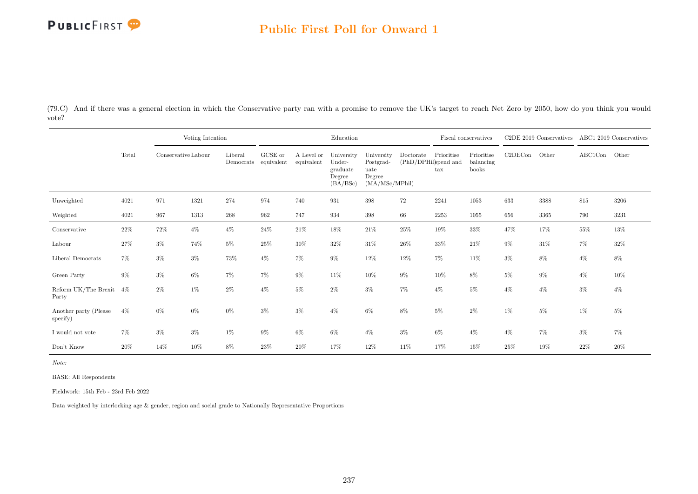### Public First Poll for Onward 1

(79.C) And if there was a general election in which the Conservative party ran with a promise to remove the UK's target to reach Net Zero by 2050, how do you think you would vote?

|                                   |        |                     | Voting Intention |                      |                       |                          | Education                                              |                                                             |                                   |                            | Fiscal conservatives             |         | C <sub>2</sub> DE 2019 Conservatives ABC1 2019 Conservatives |               |       |
|-----------------------------------|--------|---------------------|------------------|----------------------|-----------------------|--------------------------|--------------------------------------------------------|-------------------------------------------------------------|-----------------------------------|----------------------------|----------------------------------|---------|--------------------------------------------------------------|---------------|-------|
|                                   | Total  | Conservative Labour |                  | Liberal<br>Democrats | GCSE or<br>equivalent | A Level or<br>equivalent | University<br>Under-<br>graduate<br>Degree<br>(BA/BSc) | University<br>Postgrad-<br>uate<br>Degree<br>(MA/MSc/MPhil) | Doctorate<br>(PhD/DPHil)spend and | Prioritise<br>$\text{tax}$ | Prioritise<br>balancing<br>books | C2DECon | Other                                                        | ABC1Con Other |       |
| Unweighted                        | 4021   | 971                 | 1321             | 274                  | 974                   | 740                      | 931                                                    | 398                                                         | 72                                | 2241                       | 1053                             | 633     | 3388                                                         | 815           | 3206  |
| Weighted                          | 4021   | 967                 | 1313             | 268                  | 962                   | 747                      | 934                                                    | 398                                                         | 66                                | $2253\,$                   | 1055                             | 656     | 3365                                                         | 790           | 3231  |
| Conservative                      | $22\%$ | $72\%$              | $4\%$            | $4\%$                | $24\%$                | $21\%$                   | $18\%$                                                 | $21\%$                                                      | $25\%$                            | $19\%$                     | $33\%$                           | 47%     | 17%                                                          | $55\%$        | 13%   |
| Labour                            | 27%    | $3\%$               | 74%              | $5\%$                | 25%                   | 30%                      | $32\%$                                                 | $31\%$                                                      | $26\%$                            | $33\%$                     | 21%                              | $9\%$   | $31\%$                                                       | $7\%$         | 32%   |
| Liberal Democrats                 | $7\%$  | $3\%$               | $3\%$            | 73%                  | $4\%$                 | $7\%$                    | $9\%$                                                  | 12%                                                         | $12\%$                            | $7\%$                      | 11\%                             | $3\%$   | $8\%$                                                        | $4\%$         | $8\%$ |
| Green Party                       | $9\%$  | $3\%$               | $6\%$            | $7\%$                | 7%                    | $9\%$                    | 11%                                                    | 10%                                                         | $9\%$                             | $10\%$                     | 8%                               | 5%      | $9\%$                                                        | $4\%$         | 10%   |
| Reform UK/The Brexit<br>Party     | 4%     | $2\%$               | $1\%$            | $2\%$                | $4\%$                 | $5\%$                    | $2\%$                                                  | $3\%$                                                       | $7\%$                             | $4\%$                      | $5\%$                            | $4\%$   | $4\%$                                                        | $3\%$         | $4\%$ |
| Another party (Please<br>specify) | $4\%$  | 0%                  | $0\%$            | 0%                   | $3\%$                 | $3\%$                    | $4\%$                                                  | 6%                                                          | 8%                                | 5%                         | $2\%$                            | $1\%$   | $5\%$                                                        | 1%            | 5%    |
| I would not vote                  | 7%     | $3\%$               | $3\%$            | 1%                   | $9\%$                 | $6\%$                    | $6\%$                                                  | $4\%$                                                       | $3\%$                             | $6\%$                      | $4\%$                            | $4\%$   | 7%                                                           | $3\%$         | 7%    |
| Don't Know                        | 20%    | 14%                 | 10%              | 8%                   | 23%                   | 20%                      | 17%                                                    | 12%                                                         | 11%                               | 17%                        | 15%                              | 25%     | 19%                                                          | 22%           | 20%   |

Note:

BASE: All Respondents

Fieldwork: 15th Feb - 23rd Feb 2022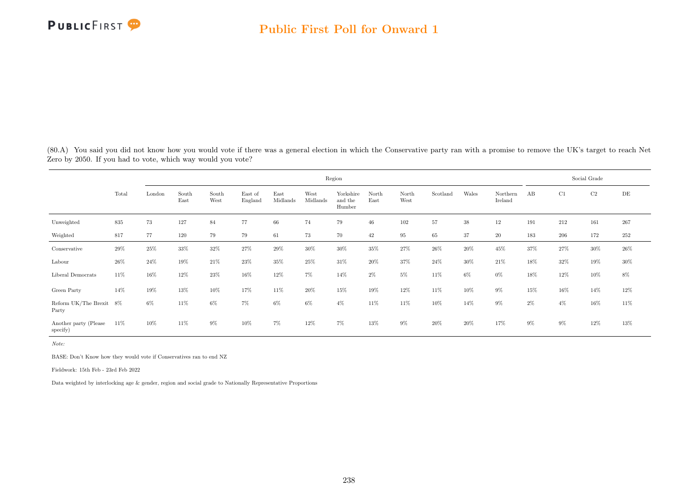

(80.A) You said you did not know how you would vote if there was a general election in which the Conservative party ran with a promise to remove the UK's target to reach Net Zero by 2050. If you had to vote, which way would you vote?

|                                   |       |        |               |               |                    |                  |                  | Region                         |               |               |          |       |                     |       |       | Social Grade |        |
|-----------------------------------|-------|--------|---------------|---------------|--------------------|------------------|------------------|--------------------------------|---------------|---------------|----------|-------|---------------------|-------|-------|--------------|--------|
|                                   | Total | London | South<br>East | South<br>West | East of<br>England | East<br>Midlands | West<br>Midlands | Yorkshire<br>and the<br>Humber | North<br>East | North<br>West | Scotland | Wales | Northern<br>Ireland | AB    | C1    | C2           | DE     |
| Unweighted                        | 835   | 73     | 127           | 84            | 77                 | 66               | 74               | 79                             | $46\,$        | $102\,$       | 57       | 38    | 12                  | 191   | 212   | 161          | 267    |
| Weighted                          | 817   | 77     | 120           | 79            | 79                 | 61               | 73               | 70                             | 42            | 95            | 65       | 37    | 20                  | 183   | 206   | 172          | 252    |
| Conservative                      | 29%   | 25%    | 33%           | 32%           | 27%                | 29%              | 30%              | $30\%$                         | 35%           | 27%           | 26%      | 20%   | 45%                 | 37%   | 27%   | 30%          | $26\%$ |
| Labour                            | 26%   | 24\%   | 19%           | 21\%          | 23%                | 35%              | 25%              | 31\%                           | $20\%$        | 37%           | 24%      | 30%   | 21\%                | 18%   | 32%   | 19%          | $30\%$ |
| Liberal Democrats                 | 11%   | 16%    | 12%           | 23%           | 16%                | 12%              | $7\%$            | 14%                            | $2\%$         | $5\%$         | 11%      | $6\%$ | $0\%$               | 18%   | 12%   | 10%          | $8\%$  |
| Green Party                       | 14%   | 19%    | 13%           | 10%           | 17%                | 11%              | $20\%$           | 15%                            | 19%           | 12%           | 11%      | 10%   | $9\%$               | 15%   | 16%   | 14%          | 12%    |
| Reform UK/The Brexit 8%<br>Party  |       | $6\%$  | 11%           | 6%            | 7%                 | 6%               | $6\%$            | $4\%$                          | 11%           | 11%           | 10%      | 14%   | $9\%$               | $2\%$ | $4\%$ | 16%          | 11\%   |
| Another party (Please<br>specify) | 11%   | 10%    | 11%           | 9%            | 10%                | 7%               | 12%              | $7\%$                          | 13%           | $9\%$         | 20%      | 20%   | 17%                 | $9\%$ | $9\%$ | 12%          | 13%    |

Note:

BASE: Don't Know how they would vote if Conservatives ran to end NZ

Fieldwork: 15th Feb - 23rd Feb 2022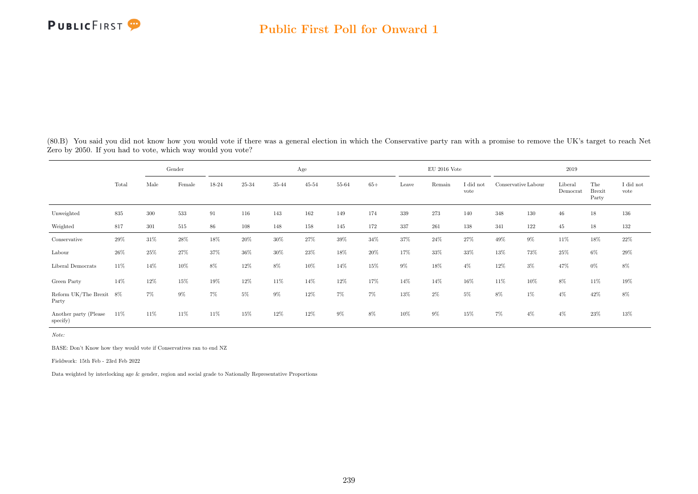(80.B) You said you did not know how you would vote if there was a general election in which the Conservative party ran with a promise to remove the UK's target to reach Net Zero by 2050. If you had to vote, which way would you vote?

|                                   |        |         | Gender |       |        |       | Age       |        |        |       | $EU$ 2016 Vote |                 |                     |       | 2019                |                               |                   |
|-----------------------------------|--------|---------|--------|-------|--------|-------|-----------|--------|--------|-------|----------------|-----------------|---------------------|-------|---------------------|-------------------------------|-------------------|
|                                   | Total  | Male    | Female | 18-24 | 25-34  | 35-44 | $45 - 54$ | 55-64  | $65+$  | Leave | Remain         | did not<br>vote | Conservative Labour |       | Liberal<br>Democrat | The<br><b>Brexit</b><br>Party | I did not<br>vote |
| Unweighted                        | 835    | $300\,$ | 533    | 91    | 116    | 143   | 162       | 149    | 174    | 339   | 273            | 140             | $348\,$             | 130   | 46                  | 18                            | 136               |
| Weighted                          | 817    | 301     | 515    | 86    | 108    | 148   | 158       | 145    | 172    | 337   | 261            | 138             | 341                 | 122   | 45                  | 18                            | 132               |
| Conservative                      | $29\%$ | 31%     | 28%    | 18%   | $20\%$ | 30%   | 27%       | $39\%$ | 34%    | 37%   | 24%            | 27%             | 49%                 | $9\%$ | 11%                 | 18%                           | $22\%$            |
| Labour                            | $26\%$ | 25%     | 27%    | 37%   | 36%    | 30%   | $23\%$    | 18%    | 20%    | 17%   | 33%            | 33%             | 13%                 | 73%   | 25%                 | $6\%$                         | $29\%$            |
| Liberal Democrats                 | 11%    | 14%     | 10%    | 8%    | 12%    | 8%    | 10%       | 14%    | $15\%$ | $9\%$ | 18%            | $4\%$           | $12\%$              | $3\%$ | 47%                 | $0\%$                         | $8\%$             |
| Green Party                       | 14%    | 12%     | 15%    | 19%   | 12%    | 11%   | 14%       | 12%    | 17%    | 14%   | 14%            | 16%             | 11%                 | 10%   | 8%                  | 11%                           | 19%               |
| Reform UK/The Brexit 8%<br>Party  |        | 7%      | $9\%$  | 7%    | 5%     | $9\%$ | 12%       | $7\%$  | $7\%$  | 13%   | $2\%$          | $5\%$           | 8%                  | $1\%$ | $4\%$               | 42%                           | $8\%$             |
| Another party (Please<br>specify) | 11\%   | 11%     | 11%    | 11%   | 15%    | 12%   | 12%       | $9\%$  | $8\%$  | 10%   | $9\%$          | 15%             | 7%                  | $4\%$ | $4\%$               | 23%                           | $13\%$            |

Note:

BASE: Don't Know how they would vote if Conservatives ran to end NZ

Fieldwork: 15th Feb - 23rd Feb 2022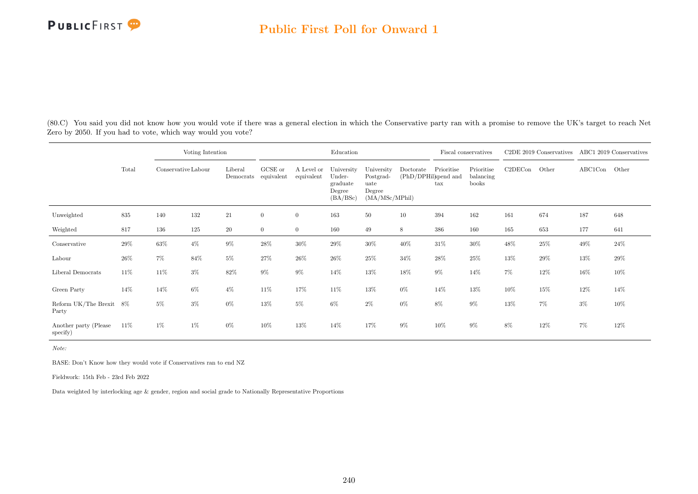(80.C) You said you did not know how you would vote if there was a general election in which the Conservative party ran with a promise to remove the UK's target to reach Net Zero by 2050. If you had to vote, which way would you vote?

|                                   |       |                     | Voting Intention |                      |                       |                          | Education                                              |                                                             |           |                                                    | Fiscal conservatives             |         | C <sub>2</sub> DE 2019 Conservatives |               | ABC1 2019 Conservatives |
|-----------------------------------|-------|---------------------|------------------|----------------------|-----------------------|--------------------------|--------------------------------------------------------|-------------------------------------------------------------|-----------|----------------------------------------------------|----------------------------------|---------|--------------------------------------|---------------|-------------------------|
|                                   | Total | Conservative Labour |                  | Liberal<br>Democrats | GCSE or<br>equivalent | A Level or<br>equivalent | University<br>Under-<br>graduate<br>Degree<br>(BA/BSc) | University<br>Postgrad-<br>uate<br>Degree<br>(MA/MSc/MPhil) | Doctorate | Prioritise<br>(PhD/DPHil)spend and<br>$\text{tax}$ | Prioritise<br>balancing<br>books | C2DECon | Other                                | ABC1Con Other |                         |
| Unweighted                        | 835   | 140                 | 132              | $21\,$               | $\mathbf{0}$          | $\overline{0}$           | 163                                                    | 50                                                          | 10        | 394                                                | 162                              | 161     | 674                                  | 187           | 648                     |
| Weighted                          | 817   | 136                 | 125              | $20\,$               | $\mathbf{0}$          | $\overline{0}$           | 160                                                    | 49                                                          | 8         | 386                                                | 160                              | 165     | 653                                  | 177           | 641                     |
| Conservative                      | 29%   | 63%                 | $4\%$            | $9\%$                | 28%                   | 30%                      | $29\%$                                                 | 30%                                                         | 40%       | 31%                                                | 30%                              | 48%     | $25\%$                               | 49%           | $24\%$                  |
| Labour                            | 26%   | $7\%$               | 84%              | $5\%$                | 27%                   | 26%                      | 26%                                                    | 25%                                                         | $34\%$    | $28\%$                                             | 25%                              | 13%     | $29\%$                               | 13%           | $29\%$                  |
| Liberal Democrats                 | 11%   | 11\%                | $3\%$            | 82\%                 | $9\%$                 | $9\%$                    | 14%                                                    | 13%                                                         | 18%       | 9%                                                 | 14%                              | 7%      | $12\%$                               | 16%           | 10%                     |
| Green Party                       | 14%   | 14%                 | $6\%$            | $4\%$                | 11\%                  | 17%                      | 11%                                                    | 13%                                                         | $0\%$     | 14%                                                | 13%                              | 10%     | 15%                                  | 12%           | 14%                     |
| Reform UK/The Brexit<br>Party     | -8%   | $5\%$               | $3\%$            | $0\%$                | 13%                   | $5\%$                    | $6\%$                                                  | $2\%$                                                       | $0\%$     | 8%                                                 | $9\%$                            | 13%     | 7%                                   | $3\%$         | 10%                     |
| Another party (Please<br>specify) | 11\%  | $1\%$               | 1%               | $0\%$                | 10%                   | 13%                      | 14%                                                    | 17%                                                         | $9\%$     | 10%                                                | $9\%$                            | 8%      | 12%                                  | 7%            | 12%                     |

Note:

BASE: Don't Know how they would vote if Conservatives ran to end NZ

Fieldwork: 15th Feb - 23rd Feb 2022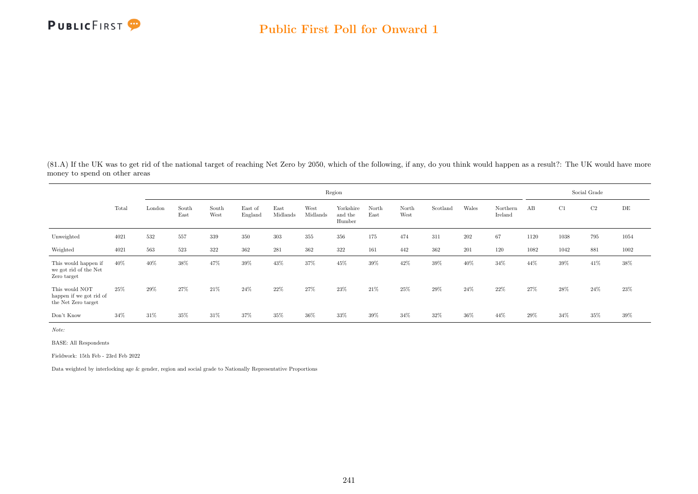

(81.A) If the UK was to get rid of the national target of reaching Net Zero by 2050, which of the following, if any, do you think would happen as a result?: The UK would have more money to spend on other areas

|                                                                  |       |        |               |               |                    |                  |                  | Region                         |               |               |          |        |                     |      |        | Social Grade |           |
|------------------------------------------------------------------|-------|--------|---------------|---------------|--------------------|------------------|------------------|--------------------------------|---------------|---------------|----------|--------|---------------------|------|--------|--------------|-----------|
|                                                                  | Total | London | South<br>East | South<br>West | East of<br>England | East<br>Midlands | West<br>Midlands | Yorkshire<br>and the<br>Humber | North<br>East | North<br>West | Scotland | Wales  | Northern<br>Ireland | AB   | C1     | C2           | $\rm{DE}$ |
| Unweighted                                                       | 4021  | 532    | 557           | 339           | 350                | 303              | 355              | 356                            | 175           | 474           | 311      | 202    | 67                  | 1120 | 1038   | 795          | 1054      |
| Weighted                                                         | 4021  | 563    | 523           | 322           | 362                | 281              | 362              | 322                            | 161           | 442           | 362      | 201    | 120                 | 1082 | 1042   | 881          | 1002      |
| This would happen if<br>we got rid of the Net<br>Zero target     | 40\%  | 40%    | 38%           | 47%           | 39%                | 43%              | 37%              | 45%                            | 39%           | 42%           | 39%      | 40%    | 34%                 | 44%  | $39\%$ | 41\%         | 38%       |
| This would NOT<br>happen if we got rid of<br>the Net Zero target | 25%   | 29%    | 27%           | 21\%          | 24%                | 22%              | 27%              | 23%                            | 21%           | 25%           | 29%      | 24\%   | 22%                 | 27%  | 28%    | 24%          | 23%       |
| Don't Know                                                       | 34%   | 31%    | 35%           | 31\%          | 37%                | 35%              | 36%              | 33%                            | 39%           | 34%           | 32%      | $36\%$ | 44%                 | 29%  | 34%    | 35%          | 39%       |

Note:

BASE: All Respondents

Fieldwork: 15th Feb - 23rd Feb 2022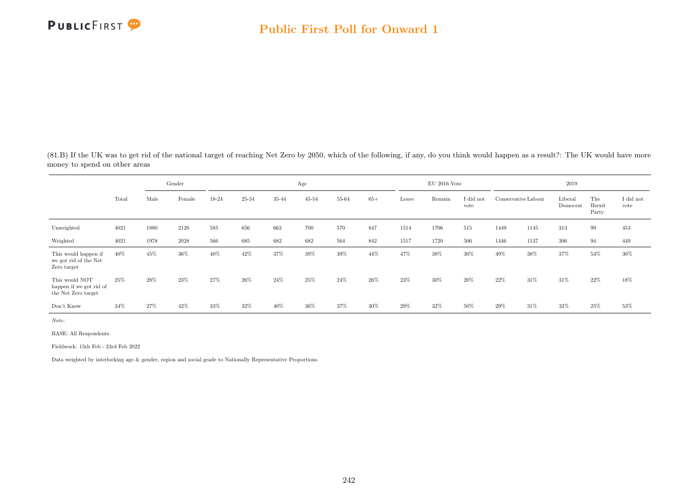

(81.B) If the UK was to get rid of the national target of reaching Net Zero by 2050, which of the following, if any, do you think would happen as a result?: The UK would have more money to spend on other areas

|                                                                  |       |      | Gender |       |        |       | Age       |       |        |       | $\rm EU$ 2016 Vote |                   |                     |      | 2019                |                               |                   |
|------------------------------------------------------------------|-------|------|--------|-------|--------|-------|-----------|-------|--------|-------|--------------------|-------------------|---------------------|------|---------------------|-------------------------------|-------------------|
|                                                                  | Total | Male | Female | 18-24 | 25-34  | 35-44 | $45 - 54$ | 55-64 | $65+$  | Leave | Remain             | I did not<br>vote | Conservative Labour |      | Liberal<br>Democrat | The<br><b>Brexit</b><br>Party | I did not<br>vote |
| Unweighted                                                       | 4021  | 1880 | 2126   | 585   | 656    | 663   | 700       | 570   | 847    | 1514  | 1706               | 515               | 1449                | 1145 | 313                 | 99                            | 453               |
| Weighted                                                         | 4021  | 1978 | 2028   | 566   | 685    | 682   | 682       | 564   | 842    | 1517  | 1720               | 506               | 1446                | 1137 | 306                 | 94                            | 449               |
| This would happen if<br>we got rid of the Net<br>Zero target     | 40%   | 45%  | 36%    | 40%   | 42%    | 37%   | 39%       | 39%   | 44%    | 47%   | 38%                | $30\%$            | 49%                 | 38%  | 37%                 | 53%                           | 30%               |
| This would NOT<br>happen if we got rid of<br>the Net Zero target | 25%   | 28%  | 23%    | 27%   | $26\%$ | 24\%  | 25%       | 24\%  | $26\%$ | 23%   | 30%                | 20%               | $22\%$              | 31\% | 31%                 | 22%                           | 18%               |
| Don't Know                                                       | 34%   | 27%  | 42%    | 33%   | 32%    | 40%   | 36%       | 37%   | 30%    | 29%   | 32%                | 50%               | $29\%$              | 31%  | 32%                 | 25%                           | 53%               |

Note:

BASE: All Respondents

Fieldwork: 15th Feb - 23rd Feb 2022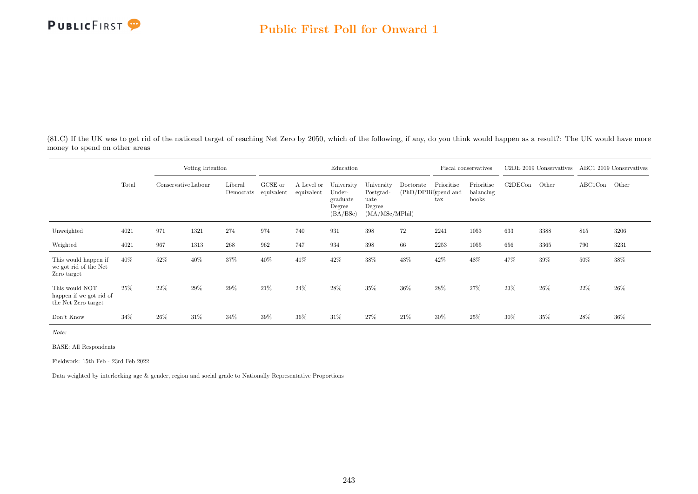

(81.C) If the UK was to get rid of the national target of reaching Net Zero by 2050, which of the following, if any, do you think would happen as a result?: The UK would have more money to spend on other areas

|                                                                  |       |                     | Voting Intention |                      |                       |                          | Education                                              |                                                              |                                   |                   | Fiscal conservatives             |         | C <sub>2</sub> DE 2019 Conservatives |               | ABC1 2019 Conservatives |
|------------------------------------------------------------------|-------|---------------------|------------------|----------------------|-----------------------|--------------------------|--------------------------------------------------------|--------------------------------------------------------------|-----------------------------------|-------------------|----------------------------------|---------|--------------------------------------|---------------|-------------------------|
|                                                                  | Total | Conservative Labour |                  | Liberal<br>Democrats | GCSE or<br>equivalent | A Level or<br>equivalent | University<br>Under-<br>graduate<br>Degree<br>(BA/BSc) | University<br>Postgrad-<br>uate<br>Degree<br>(MA/MSc/MPhill) | Doctorate<br>(PhD/DPHil)spend and | Prioritise<br>tax | Prioritise<br>balancing<br>books | C2DECon | Other                                | ABC1Con Other |                         |
| Unweighted                                                       | 4021  | 971                 | 1321             | 274                  | 974                   | 740                      | 931                                                    | 398                                                          | 72                                | 2241              | 1053                             | 633     | 3388                                 | 815           | 3206                    |
| Weighted                                                         | 4021  | 967                 | 1313             | 268                  | 962                   | 747                      | 934                                                    | 398                                                          | 66                                | 2253              | 1055                             | 656     | 3365                                 | 790           | 3231                    |
| This would happen if<br>we got rid of the Net<br>Zero target     | 40%   | 52%                 | 40%              | 37%                  | 40%                   | 41\%                     | 42\%                                                   | 38%                                                          | 43%                               | 42%               | 48%                              | 47%     | 39%                                  | 50%           | 38%                     |
| This would NOT<br>happen if we got rid of<br>the Net Zero target | 25%   | 22%                 | 29%              | 29%                  | 21\%                  | 24%                      | 28%                                                    | 35%                                                          | 36%                               | 28%               | 27%                              | 23%     | 26%                                  | 22%           | 26%                     |
| Don't Know                                                       | 34%   | 26%                 | 31%              | 34%                  | 39%                   | 36%                      | 31\%                                                   | 27%                                                          | 21%                               | 30%               | 25%                              | 30%     | 35%                                  | 28%           | 36%                     |

Note:

BASE: All Respondents

Fieldwork: 15th Feb - 23rd Feb 2022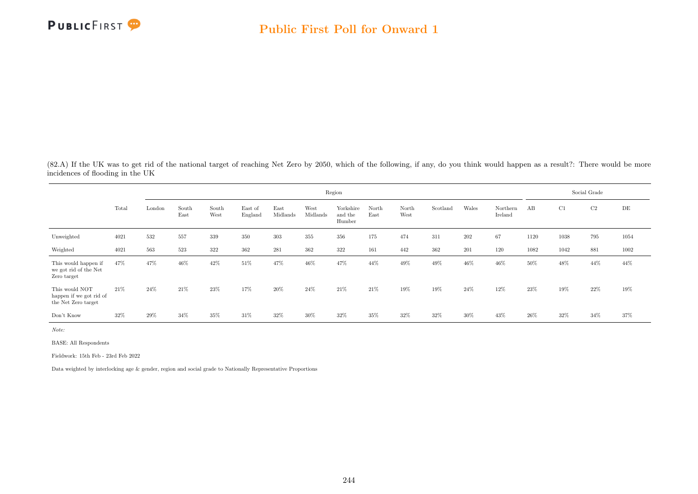

(82.A) If the UK was to get rid of the national target of reaching Net Zero by 2050, which of the following, if any, do you think would happen as a result?: There would be more incidences of flooding in the UK

|                                                                  |       |        |               |               |                    |                  |                  | Region                         |               |               |          |        |                     |      |      | Social Grade |           |
|------------------------------------------------------------------|-------|--------|---------------|---------------|--------------------|------------------|------------------|--------------------------------|---------------|---------------|----------|--------|---------------------|------|------|--------------|-----------|
|                                                                  | Total | London | South<br>East | South<br>West | East of<br>England | East<br>Midlands | West<br>Midlands | Yorkshire<br>and the<br>Humber | North<br>East | North<br>West | Scotland | Wales  | Northern<br>Ireland | AB   | C1   | C2           | $\rm{DE}$ |
| Unweighted                                                       | 4021  | 532    | 557           | 339           | 350                | 303              | 355              | 356                            | 175           | 474           | 311      | 202    | 67                  | 1120 | 1038 | 795          | 1054      |
| Weighted                                                         | 4021  | 563    | 523           | 322           | 362                | 281              | 362              | 322                            | 161           | 442           | 362      | 201    | 120                 | 1082 | 1042 | 881          | 1002      |
| This would happen if<br>we got rid of the Net<br>Zero target     | 47%   | 47%    | 46%           | 42\%          | 51%                | 47%              | 46%              | 47%                            | 44%           | 49%           | 49%      | 46%    | 46%                 | 50%  | 48%  | 44%          | 44%       |
| This would NOT<br>happen if we got rid of<br>the Net Zero target | 21%   | 24%    | 21%           | 23%           | 17%                | 20%              | 24%              | 21%                            | 21%           | 19%           | 19%      | 24%    | 12%                 | 23%  | 19%  | 22\%         | 19%       |
| Don't Know                                                       | 32%   | 29%    | 34%           | 35%           | 31\%               | 32%              | 30%              | 32%                            | 35%           | 32%           | 32%      | $30\%$ | 43%                 | 26%  | 32%  | 34%          | 37%       |

Note:

BASE: All Respondents

Fieldwork: 15th Feb - 23rd Feb 2022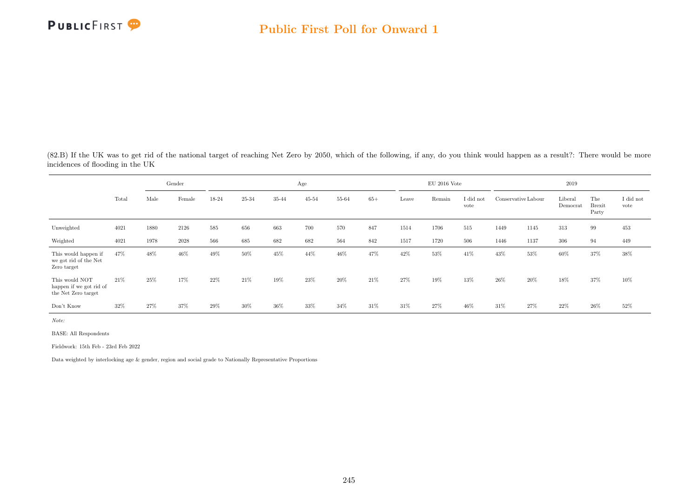

(82.B) If the UK was to get rid of the national target of reaching Net Zero by 2050, which of the following, if any, do you think would happen as a result?: There would be more incidences of flooding in the UK

|                                                                  |       |      | Gender |        |       |       | Age       |       |       |       | $EU$ 2016 Vote |                   |                     |      | 2019                |                               |                   |
|------------------------------------------------------------------|-------|------|--------|--------|-------|-------|-----------|-------|-------|-------|----------------|-------------------|---------------------|------|---------------------|-------------------------------|-------------------|
|                                                                  | Total | Male | Female | 18-24  | 25-34 | 35-44 | $45 - 54$ | 55-64 | $65+$ | Leave | Remain         | I did not<br>vote | Conservative Labour |      | Liberal<br>Democrat | The<br><b>Brexit</b><br>Party | I did not<br>vote |
| Unweighted                                                       | 4021  | 1880 | 2126   | 585    | 656   | 663   | 700       | 570   | 847   | 1514  | 1706           | 515               | 1449                | 1145 | 313                 | 99                            | 453               |
| Weighted                                                         | 4021  | 1978 | 2028   | 566    | 685   | 682   | 682       | 564   | 842   | 1517  | 1720           | 506               | 1446                | 1137 | 306                 | 94                            | 449               |
| This would happen if<br>we got rid of the Net<br>Zero target     | 47%   | 48%  | 46%    | 49%    | 50%   | 45%   | 44%       | 46%   | 47%   | 42%   | $53\%$         | 41\%              | 43%                 | 53%  | 60%                 | 37%                           | 38%               |
| This would NOT<br>happen if we got rid of<br>the Net Zero target | 21\%  | 25%  | 17%    | $22\%$ | 21\%  | 19%   | 23%       | 20%   | 21\%  | 27%   | 19%            | 13%               | $26\%$              | 20%  | 18%                 | 37%                           | 10%               |
| Don't Know                                                       | 32%   | 27%  | 37%    | $29\%$ | 30%   | 36%   | 33%       | 34%   | 31\%  | 31%   | 27%            | 46%               | 31\%                | 27%  | 22%                 | $26\%$                        | 52%               |

Note:

BASE: All Respondents

Fieldwork: 15th Feb - 23rd Feb 2022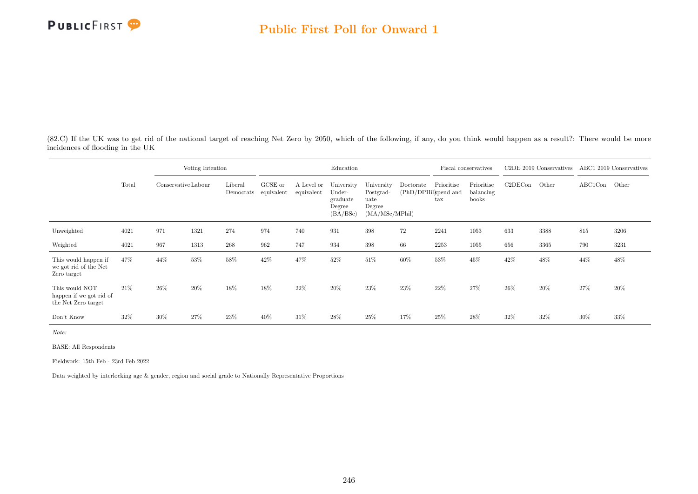(82.C) If the UK was to get rid of the national target of reaching Net Zero by 2050, which of the following, if any, do you think would happen as a result?: There would be more incidences of flooding in the UK

|                                                                  |       |                     | Voting Intention |                      |                       |                          | Education                                              |                                                             |                                   |                            | Fiscal conservatives             |         | C <sub>2</sub> DE 2019 Conservatives |               | ABC1 2019 Conservatives |
|------------------------------------------------------------------|-------|---------------------|------------------|----------------------|-----------------------|--------------------------|--------------------------------------------------------|-------------------------------------------------------------|-----------------------------------|----------------------------|----------------------------------|---------|--------------------------------------|---------------|-------------------------|
|                                                                  | Total | Conservative Labour |                  | Liberal<br>Democrats | GCSE or<br>equivalent | A Level or<br>equivalent | University<br>Under-<br>graduate<br>Degree<br>(BA/BSc) | University<br>Postgrad-<br>uate<br>Degree<br>(MA/MSc/MPhil) | Doctorate<br>(PhD/DPHil)spend and | Prioritise<br>$_{\rm tax}$ | Prioritise<br>balancing<br>books | C2DECon | Other                                | ABC1Con Other |                         |
| Unweighted                                                       | 4021  | 971                 | 1321             | 274                  | 974                   | 740                      | 931                                                    | 398                                                         | 72                                | 2241                       | 1053                             | 633     | 3388                                 | 815           | 3206                    |
| Weighted                                                         | 4021  | 967                 | 1313             | 268                  | 962                   | 747                      | 934                                                    | 398                                                         | 66                                | 2253                       | 1055                             | 656     | 3365                                 | 790           | 3231                    |
| This would happen if<br>we got rid of the Net<br>Zero target     | 47%   | 44%                 | 53%              | 58%                  | 42%                   | 47%                      | 52%                                                    | 51%                                                         | 60%                               | 53%                        | 45%                              | 42%     | 48%                                  | 44%           | 48%                     |
| This would NOT<br>happen if we got rid of<br>the Net Zero target | 21\%  | 26%                 | 20%              | 18%                  | 18%                   | 22%                      | 20%                                                    | 23%                                                         | 23%                               | 22%                        | 27%                              | 26%     | 20%                                  | 27%           | 20%                     |
| Don't Know                                                       | 32%   | 30%                 | 27%              | 23%                  | 40%                   | 31\%                     | 28%                                                    | 25%                                                         | 17%                               | 25%                        | 28%                              | 32%     | 32%                                  | 30%           | 33%                     |

Note:

BASE: All Respondents

Fieldwork: 15th Feb - 23rd Feb 2022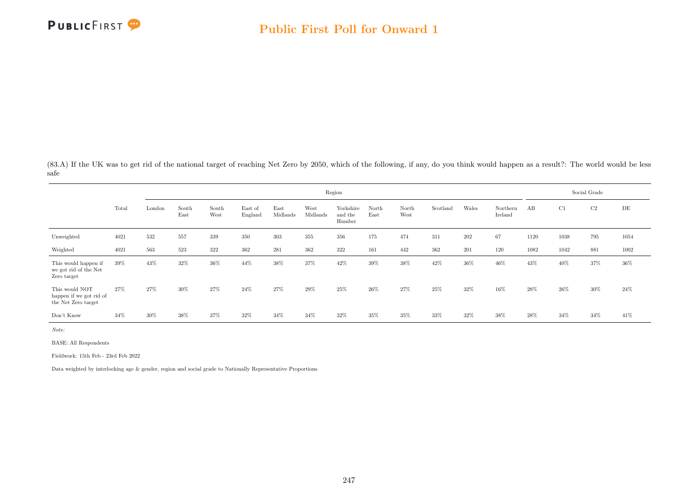

(83.A) If the UK was to get rid of the national target of reaching Net Zero by 2050, which of the following, if any, do you think would happen as a result?: The world would be less safe

|                                                                  |       |        |               |               |                    |                  |                  | Region                         |               |               |          |        |                     |      |      | Social Grade |           |
|------------------------------------------------------------------|-------|--------|---------------|---------------|--------------------|------------------|------------------|--------------------------------|---------------|---------------|----------|--------|---------------------|------|------|--------------|-----------|
|                                                                  | Total | London | South<br>East | South<br>West | East of<br>England | East<br>Midlands | West<br>Midlands | Yorkshire<br>and the<br>Humber | North<br>East | North<br>West | Scotland | Wales  | Northern<br>Ireland | AB   | C1   | C2           | $\rm{DE}$ |
| Unweighted                                                       | 4021  | 532    | 557           | 339           | 350                | 303              | 355              | 356                            | 175           | 474           | 311      | 202    | 67                  | 1120 | 1038 | 795          | 1054      |
| Weighted                                                         | 4021  | 563    | 523           | 322           | 362                | 281              | 362              | 322                            | 161           | 442           | 362      | 201    | 120                 | 1082 | 1042 | 881          | 1002      |
| This would happen if<br>we got rid of the Net<br>Zero target     | 39%   | 43%    | 32%           | 36%           | 44%                | 38%              | 37%              | 42%                            | 39%           | 38%           | 42\%     | $36\%$ | 46%                 | 43%  | 40%  | 37%          | 36%       |
| This would NOT<br>happen if we got rid of<br>the Net Zero target | 27%   | 27%    | 30%           | 27%           | 24%                | 27%              | 29%              | 25%                            | 26%           | 27%           | 25%      | 32%    | 16%                 | 28%  | 26\% | 30%          | 24\%      |
| Don't Know                                                       | 34%   | 30%    | 38%           | 37%           | 32%                | 34%              | 34%              | 32%                            | 35%           | 35%           | 33%      | 32%    | 38%                 | 28%  | 34%  | 34%          | 41\%      |

Note:

BASE: All Respondents

Fieldwork: 15th Feb - 23rd Feb 2022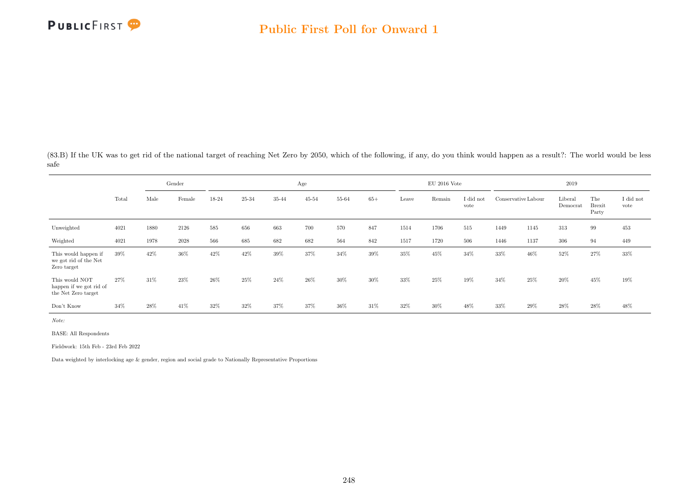

(83.B) If the UK was to get rid of the national target of reaching Net Zero by 2050, which of the following, if any, do you think would happen as a result?: The world would be less safe

|                                                                  |       |      | Gender |        |       |       | Age       |        |       |       | $EU$ 2016 Vote |                   |                     |      | 2019                |                               |                   |
|------------------------------------------------------------------|-------|------|--------|--------|-------|-------|-----------|--------|-------|-------|----------------|-------------------|---------------------|------|---------------------|-------------------------------|-------------------|
|                                                                  | Total | Male | Female | 18-24  | 25-34 | 35-44 | $45 - 54$ | 55-64  | $65+$ | Leave | Remain         | I did not<br>vote | Conservative Labour |      | Liberal<br>Democrat | The<br><b>Brexit</b><br>Party | I did not<br>vote |
| Unweighted                                                       | 4021  | 1880 | 2126   | 585    | 656   | 663   | 700       | 570    | 847   | 1514  | 1706           | 515               | 1449                | 1145 | 313                 | 99                            | 453               |
| Weighted                                                         | 4021  | 1978 | 2028   | 566    | 685   | 682   | 682       | 564    | 842   | 1517  | 1720           | 506               | 1446                | 1137 | 306                 | 94                            | 449               |
| This would happen if<br>we got rid of the Net<br>Zero target     | 39%   | 42%  | 36%    | 42\%   | 42%   | 39%   | 37%       | 34%    | 39%   | 35%   | 45%            | 34%               | 33%                 | 46%  | 52%                 | 27%                           | $33\%$            |
| This would NOT<br>happen if we got rid of<br>the Net Zero target | 27%   | 31%  | 23%    | $26\%$ | 25%   | 24%   | 26%       | $30\%$ | 30%   | 33%   | 25%            | 19%               | 34%                 | 25%  | 20%                 | 45%                           | 19%               |
| Don't Know                                                       | 34%   | 28%  | 41%    | 32%    | 32%   | 37%   | 37%       | 36%    | 31%   | 32%   | 30%            | 48%               | 33%                 | 29%  | 28%                 | 28%                           | 48%               |

Note:

BASE: All Respondents

Fieldwork: 15th Feb - 23rd Feb 2022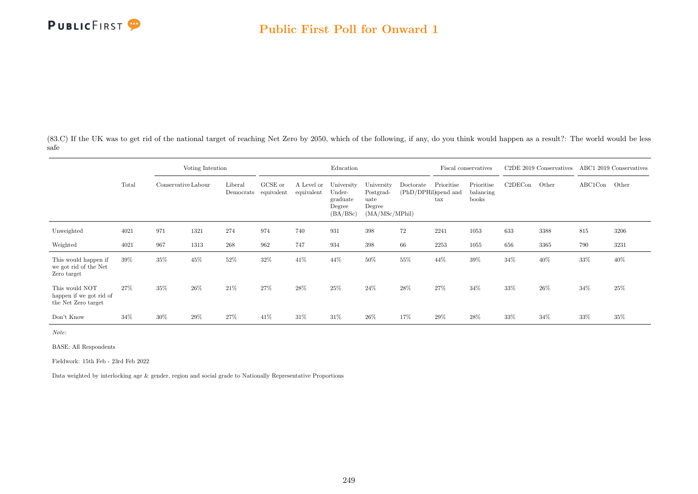

(83.C) If the UK was to get rid of the national target of reaching Net Zero by 2050, which of the following, if any, do you think would happen as a result?: The world would be less safe

|                                                                  |       |                     | Voting Intention |                      |                       |                          | Education                                              |                                                             |           |                                                    | Fiscal conservatives             |         | C <sub>2</sub> DE 2019 Conservatives |               | ABC1 2019 Conservatives |
|------------------------------------------------------------------|-------|---------------------|------------------|----------------------|-----------------------|--------------------------|--------------------------------------------------------|-------------------------------------------------------------|-----------|----------------------------------------------------|----------------------------------|---------|--------------------------------------|---------------|-------------------------|
|                                                                  | Total | Conservative Labour |                  | Liberal<br>Democrats | GCSE or<br>equivalent | A Level or<br>equivalent | University<br>Under-<br>graduate<br>Degree<br>(BA/BSc) | University<br>Postgrad-<br>uate<br>Degree<br>(MA/MSc/MPhil) | Doctorate | Prioritise<br>(PhD/DPHil)spend and<br>$_{\rm tax}$ | Prioritise<br>balancing<br>books | C2DECon | Other                                | ABC1Con Other |                         |
| Unweighted                                                       | 4021  | 971                 | 1321             | 274                  | 974                   | 740                      | 931                                                    | 398                                                         | 72        | 2241                                               | 1053                             | 633     | 3388                                 | 815           | 3206                    |
| Weighted                                                         | 4021  | 967                 | 1313             | 268                  | 962                   | 747                      | 934                                                    | 398                                                         | 66        | 2253                                               | 1055                             | 656     | 3365                                 | 790           | 3231                    |
| This would happen if<br>we got rid of the Net<br>Zero target     | 39%   | 35%                 | 45%              | 52%                  | 32%                   | 41\%                     | 44%                                                    | 50%                                                         | 55%       | 44%                                                | 39%                              | 34%     | 40%                                  | 33%           | 40%                     |
| This would NOT<br>happen if we got rid of<br>the Net Zero target | 27%   | 35%                 | 26%              | 21\%                 | 27%                   | 28%                      | 25%                                                    | 24%                                                         | $28\%$    | 27%                                                | 34%                              | 33%     | 26%                                  | 34%           | 25%                     |
| Don't Know                                                       | 34%   | 30%                 | 29%              | 27%                  | 41\%                  | 31\%                     | 31%                                                    | 26%                                                         | 17%       | 29%                                                | 28%                              | 33%     | 34%                                  | 33%           | $35\%$                  |

Note:

BASE: All Respondents

Fieldwork: 15th Feb - 23rd Feb 2022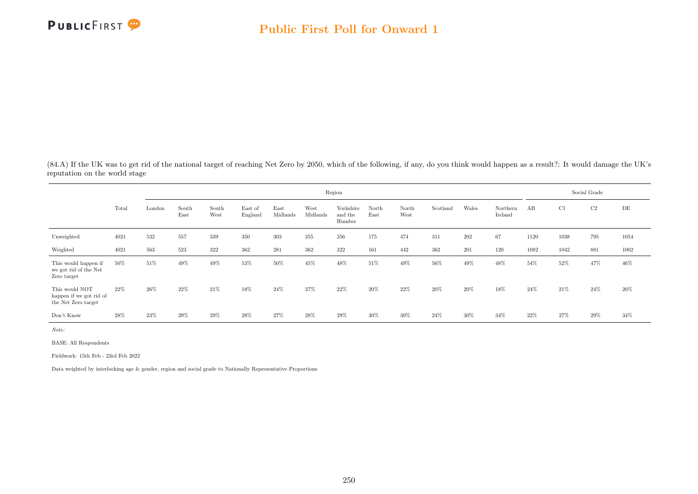

(84.A) If the UK was to get rid of the national target of reaching Net Zero by 2050, which of the following, if any, do you think would happen as a result?: It would damage the UK's reputation on the world stage

|                                                                  |       |        |               |               |                    |                  |                  | Region                         |               |               |          |       |                     |      |        | Social Grade |           |
|------------------------------------------------------------------|-------|--------|---------------|---------------|--------------------|------------------|------------------|--------------------------------|---------------|---------------|----------|-------|---------------------|------|--------|--------------|-----------|
|                                                                  | Total | London | South<br>East | South<br>West | East of<br>England | East<br>Midlands | West<br>Midlands | Yorkshire<br>and the<br>Humber | North<br>East | North<br>West | Scotland | Wales | Northern<br>Ireland | AB   | C1     | C2           | $\rm{DE}$ |
| Unweighted                                                       | 4021  | 532    | 557           | 339           | 350                | 303              | 355              | 356                            | 175           | 474           | 311      | 202   | 67                  | 1120 | 1038   | 795          | 1054      |
| Weighted                                                         | 4021  | 563    | 523           | 322           | 362                | 281              | 362              | 322                            | 161           | 442           | 362      | 201   | 120                 | 1082 | 1042   | 881          | 1002      |
| This would happen if<br>we got rid of the Net<br>Zero target     | 50%   | 51%    | 49%           | 49%           | 53%                | 50%              | 45%              | 48%                            | 51%           | 49%           | 56%      | 49%   | 48%                 | 54%  | 52%    | 47%          | 46%       |
| This would NOT<br>happen if we got rid of<br>the Net Zero target | 22%   | 26%    | 22%           | 21%           | 18%                | 24%              | 27%              | 22%                            | 20%           | 22%           | 20%      | 20%   | 18%                 | 24%  | $21\%$ | 24\%         | 20%       |
| Don't Know                                                       | 28%   | 23%    | 29%           | $29\%$        | 28%                | 27%              | 28%              | $29\%$                         | 30%           | 30%           | 24%      | 30%   | 34%                 | 22%  | 27%    | 29%          | 34%       |

Note:

BASE: All Respondents

Fieldwork: 15th Feb - 23rd Feb 2022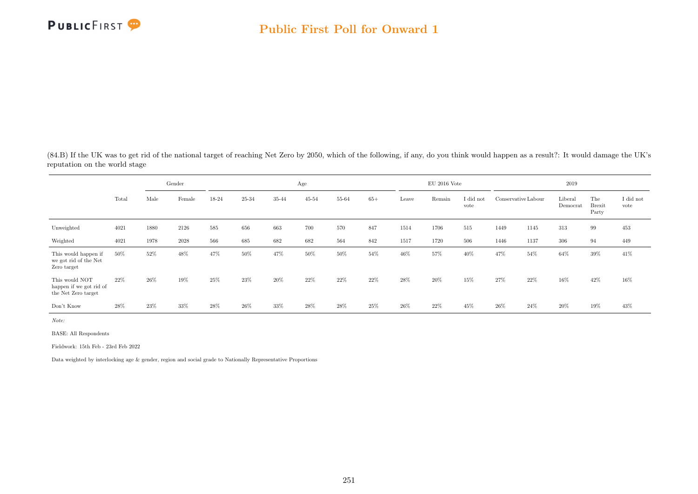

(84.B) If the UK was to get rid of the national target of reaching Net Zero by 2050, which of the following, if any, do you think would happen as a result?: It would damage the UK's reputation on the world stage

|                                                                  |       |      | Gender |       |       |       | Age       |       |       |       | $\rm EU$ 2016 Vote |                   |                     |        | 2019                |                               |                   |
|------------------------------------------------------------------|-------|------|--------|-------|-------|-------|-----------|-------|-------|-------|--------------------|-------------------|---------------------|--------|---------------------|-------------------------------|-------------------|
|                                                                  | Total | Male | Female | 18-24 | 25-34 | 35-44 | $45 - 54$ | 55-64 | $65+$ | Leave | Remain             | I did not<br>vote | Conservative Labour |        | Liberal<br>Democrat | The<br><b>Brexit</b><br>Party | I did not<br>vote |
| Unweighted                                                       | 4021  | 1880 | 2126   | 585   | 656   | 663   | 700       | 570   | 847   | 1514  | 1706               | 515               | 1449                | 1145   | 313                 | 99                            | 453               |
| Weighted                                                         | 4021  | 1978 | 2028   | 566   | 685   | 682   | 682       | 564   | 842   | 1517  | 1720               | 506               | 1446                | 1137   | 306                 | 94                            | 449               |
| This would happen if<br>we got rid of the Net<br>Zero target     | 50%   | 52%  | 48%    | 47%   | 50%   | 47%   | 50%       | 50%   | 54%   | 46%   | 57%                | 40%               | 47%                 | $54\%$ | 64%                 | 39%                           | 41\%              |
| This would NOT<br>happen if we got rid of<br>the Net Zero target | 22%   | 26%  | 19%    | 25%   | 23\%  | 20%   | 22%       | 22%   | 22\%  | 28%   | 20%                | 15%               | 27\%                | 22%    | 16%                 | 42%                           | 16%               |
| Don't Know                                                       | 28%   | 23%  | 33%    | 28%   | 26%   | 33%   | 28%       | 28%   | 25%   | 26%   | 22%                | 45%               | $26\%$              | 24\%   | 20%                 | 19%                           | 43%               |

Note:

BASE: All Respondents

Fieldwork: 15th Feb - 23rd Feb 2022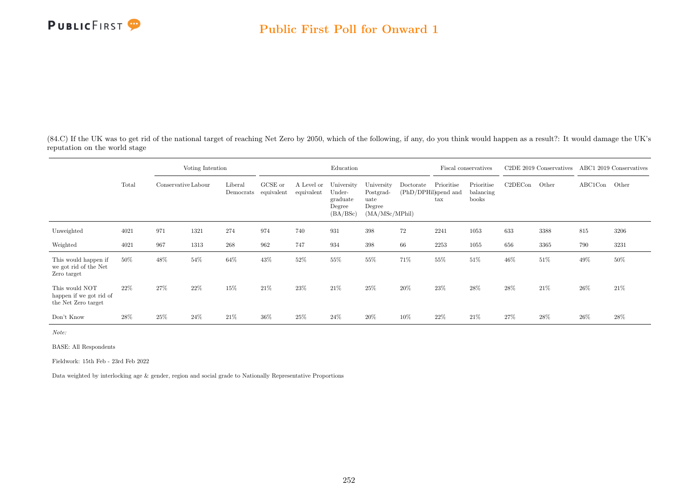

(84.C) If the UK was to get rid of the national target of reaching Net Zero by 2050, which of the following, if any, do you think would happen as a result?: It would damage the UK's reputation on the world stage

|                                                                  |       | Voting Intention<br>Conservative Labour |      |                      |                       |                          | Education                                              |                                                              |                                   |                            | Fiscal conservatives             |         | C <sub>2</sub> DE 2019 Conservatives |               | ABC1 2019 Conservatives |
|------------------------------------------------------------------|-------|-----------------------------------------|------|----------------------|-----------------------|--------------------------|--------------------------------------------------------|--------------------------------------------------------------|-----------------------------------|----------------------------|----------------------------------|---------|--------------------------------------|---------------|-------------------------|
|                                                                  | Total |                                         |      | Liberal<br>Democrats | GCSE or<br>equivalent | A Level or<br>equivalent | University<br>Under-<br>graduate<br>Degree<br>(BA/BSc) | University<br>Postgrad-<br>uate<br>Degree<br>(MA/MSc/MPhill) | Doctorate<br>(PhD/DPHil)spend and | Prioritise<br>$\text{tax}$ | Prioritise<br>balancing<br>books | C2DECon | Other                                | ABC1Con Other |                         |
| Unweighted                                                       | 4021  | 971                                     | 1321 | 274                  | 974                   | 740                      | 931                                                    | 398                                                          | 72                                | 2241                       | 1053                             | 633     | 3388                                 | 815           | 3206                    |
| Weighted                                                         | 4021  | 967                                     | 1313 | 268                  | 962                   | 747                      | 934                                                    | 398                                                          | 66                                | 2253                       | 1055                             | 656     | 3365                                 | 790           | 3231                    |
| This would happen if<br>we got rid of the Net<br>Zero target     | 50%   | 48%                                     | 54%  | 64%                  | 43%                   | 52%                      | 55%                                                    | 55%                                                          | 71%                               | 55%                        | 51%                              | 46%     | 51%                                  | 49%           | 50%                     |
| This would NOT<br>happen if we got rid of<br>the Net Zero target | 22%   | 27%                                     | 22%  | 15%                  | 21%                   | 23%                      | 21\%                                                   | 25%                                                          | 20%                               | 23\%                       | 28%                              | 28%     | 21\%                                 | 26%           | 21\%                    |
| Don't Know                                                       | 28%   | 25%                                     | 24%  | 21\%                 | 36%                   | 25%                      | 24%                                                    | $20\%$                                                       | 10%                               | 22%                        | 21\%                             | 27%     | 28%                                  | 26%           | 28%                     |

Note:

BASE: All Respondents

Fieldwork: 15th Feb - 23rd Feb 2022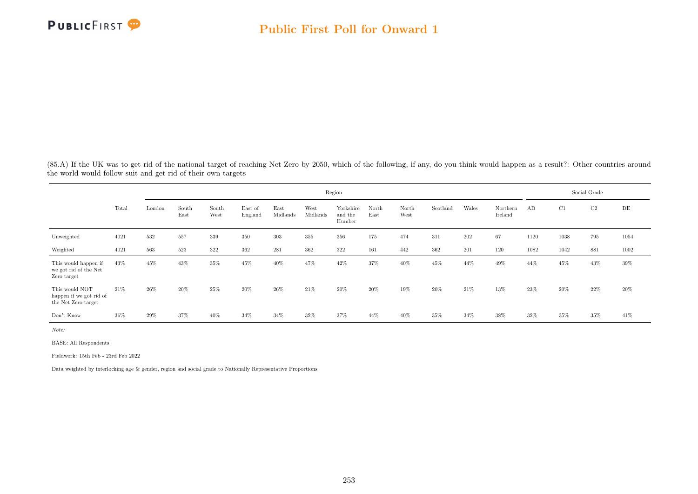

(85.A) If the UK was to get rid of the national target of reaching Net Zero by 2050, which of the following, if any, do you think would happen as a result?: Other countries around the world would follow suit and get rid of their own targets

|                                                                  |       |        |               |               |                    |                  |                  | Region                         |               |               |          |       |                     |      |        | Social Grade |           |
|------------------------------------------------------------------|-------|--------|---------------|---------------|--------------------|------------------|------------------|--------------------------------|---------------|---------------|----------|-------|---------------------|------|--------|--------------|-----------|
|                                                                  | Total | London | South<br>East | South<br>West | East of<br>England | East<br>Midlands | West<br>Midlands | Yorkshire<br>and the<br>Humber | North<br>East | North<br>West | Scotland | Wales | Northern<br>Ireland | AB   | C1     | C2           | $\rm{DE}$ |
| Unweighted                                                       | 4021  | 532    | 557           | 339           | 350                | 303              | 355              | 356                            | 175           | 474           | 311      | 202   | 67                  | 1120 | 1038   | 795          | 1054      |
| Weighted                                                         | 4021  | 563    | 523           | 322           | 362                | 281              | 362              | 322                            | 161           | 442           | 362      | 201   | 120                 | 1082 | 1042   | 881          | 1002      |
| This would happen if<br>we got rid of the Net<br>Zero target     | 43%   | 45%    | 43%           | 35%           | 45%                | 40%              | 47%              | 42%                            | 37%           | 40%           | 45%      | 44%   | 49%                 | 44%  | 45%    | 43%          | 39%       |
| This would NOT<br>happen if we got rid of<br>the Net Zero target | 21\%  | 26%    | 20%           | 25%           | 20%                | 26%              | 21\%             | 20%                            | 20%           | 19%           | 20%      | 21\%  | 13%                 | 23%  | $20\%$ | 22%          | 20%       |
| Don't Know                                                       | 36%   | 29%    | 37%           | 40%           | 34%                | 34%              | 32%              | 37%                            | 44%           | 40%           | 35%      | 34%   | 38%                 | 32%  | 35%    | 35%          | 41\%      |

Note:

BASE: All Respondents

Fieldwork: 15th Feb - 23rd Feb 2022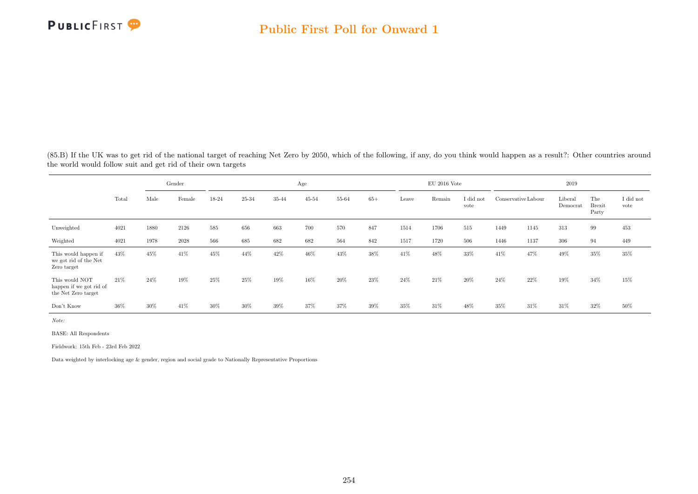

(85.B) If the UK was to get rid of the national target of reaching Net Zero by 2050, which of the following, if any, do you think would happen as a result?: Other countries around the world would follow suit and get rid of their own targets

|                                                                  | Gender<br>Male<br>Total<br>Female |      |      |       |       |       | Age       |       |       |       | $\rm EU$ 2016 Vote |                   |                     |      | 2019                |                               |                   |
|------------------------------------------------------------------|-----------------------------------|------|------|-------|-------|-------|-----------|-------|-------|-------|--------------------|-------------------|---------------------|------|---------------------|-------------------------------|-------------------|
|                                                                  |                                   |      |      | 18-24 | 25-34 | 35-44 | $45 - 54$ | 55-64 | $65+$ | Leave | Remain             | I did not<br>vote | Conservative Labour |      | Liberal<br>Democrat | The<br><b>Brexit</b><br>Party | I did not<br>vote |
| Unweighted                                                       | 4021                              | 1880 | 2126 | 585   | 656   | 663   | 700       | 570   | 847   | 1514  | 1706               | 515               | 1449                | 1145 | 313                 | 99                            | 453               |
| Weighted                                                         | 4021                              | 1978 | 2028 | 566   | 685   | 682   | 682       | 564   | 842   | 1517  | 1720               | 506               | 1446                | 1137 | 306                 | 94                            | 449               |
| This would happen if<br>we got rid of the Net<br>Zero target     | 43%                               | 45%  | 41%  | 45%   | 44%   | 42%   | 46%       | 43%   | 38%   | 41\%  | 48%                | 33%               | 41\%                | 47%  | 49%                 | 35%                           | 35%               |
| This would NOT<br>happen if we got rid of<br>the Net Zero target | 21%                               | 24%  | 19%  | 25%   | 25%   | 19%   | 16%       | 20%   | 23%   | 24%   | 21\%               | 20%               | 24\%                | 22%  | 19%                 | 34%                           | 15%               |
| Don't Know                                                       | 36%                               | 30%  | 41%  | 30%   | 30%   | 39%   | 37%       | 37%   | 39%   | 35%   | 31%                | 48%               | 35%                 | 31\% | 31%                 | 32%                           | 50%               |

Note:

BASE: All Respondents

Fieldwork: 15th Feb - 23rd Feb 2022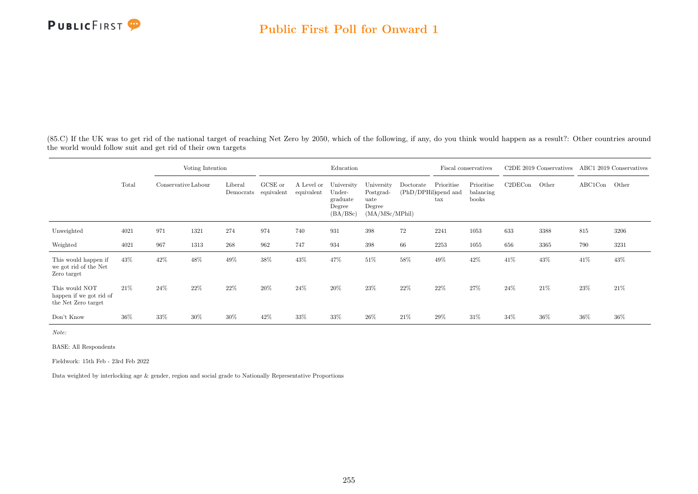(85.C) If the UK was to get rid of the national target of reaching Net Zero by 2050, which of the following, if any, do you think would happen as a result?: Other countries around the world would follow suit and get rid of their own targets

|                                                                  |       | Voting Intention    |      |                      |                       |                          | Education                                              |                                                             |                                   |                            | Fiscal conservatives             |         | C <sub>2</sub> DE 2019 Conservatives |               | ABC1 2019 Conservatives |
|------------------------------------------------------------------|-------|---------------------|------|----------------------|-----------------------|--------------------------|--------------------------------------------------------|-------------------------------------------------------------|-----------------------------------|----------------------------|----------------------------------|---------|--------------------------------------|---------------|-------------------------|
|                                                                  | Total | Conservative Labour |      | Liberal<br>Democrats | GCSE or<br>equivalent | A Level or<br>equivalent | University<br>Under-<br>graduate<br>Degree<br>(BA/BSc) | University<br>Postgrad-<br>uate<br>Degree<br>(MA/MSc/MPhil) | Doctorate<br>(PhD/DPHil)spend and | Prioritise<br>$_{\rm tax}$ | Prioritise<br>balancing<br>books | C2DECon | Other                                | ABC1Con Other |                         |
| Unweighted                                                       | 4021  | 971                 | 1321 | 274                  | 974                   | 740                      | 931                                                    | 398                                                         | 72                                | 2241                       | 1053                             | 633     | 3388                                 | 815           | 3206                    |
| Weighted                                                         | 4021  | 967                 | 1313 | 268                  | 962                   | 747                      | 934                                                    | 398                                                         | 66                                | 2253                       | 1055                             | 656     | 3365                                 | 790           | 3231                    |
| This would happen if<br>we got rid of the Net<br>Zero target     | 43%   | 42\%                | 48%  | 49%                  | 38%                   | 43%                      | 47%                                                    | 51%                                                         | 58%                               | 49%                        | 42%                              | 41%     | 43%                                  | 41\%          | 43%                     |
| This would NOT<br>happen if we got rid of<br>the Net Zero target | 21\%  | 24%                 | 22%  | 22%                  | 20%                   | 24%                      | 20%                                                    | 23%                                                         | 22%                               | 22%                        | 27%                              | 24%     | $21\%$                               | 23%           | 21\%                    |
| Don't Know                                                       | 36%   | 33%                 | 30%  | 30%                  | 42%                   | 33%                      | 33%                                                    | 26%                                                         | 21\%                              | 29%                        | 31%                              | 34%     | 36%                                  | 36%           | $36\%$                  |

Note:

BASE: All Respondents

Fieldwork: 15th Feb - 23rd Feb 2022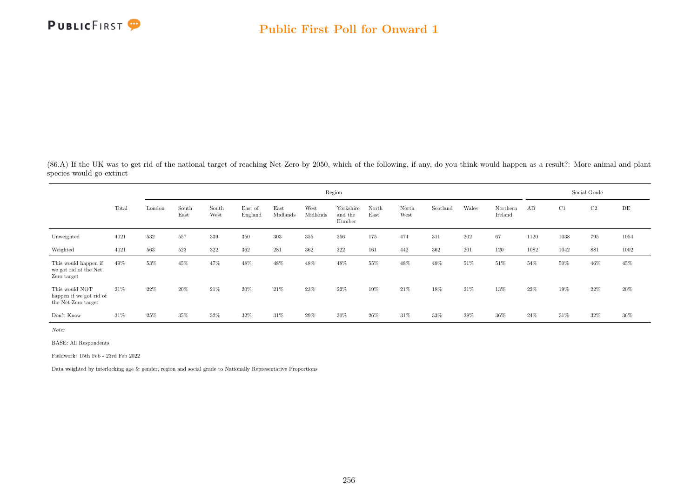

(86.A) If the UK was to get rid of the national target of reaching Net Zero by 2050, which of the following, if any, do you think would happen as a result?: More animal and plant species would go extinct

|                                                                  |       |        |               |               |                    |                  |                  | Region                         |               |               |          |       |                     |      |      | Social Grade |           |
|------------------------------------------------------------------|-------|--------|---------------|---------------|--------------------|------------------|------------------|--------------------------------|---------------|---------------|----------|-------|---------------------|------|------|--------------|-----------|
|                                                                  | Total | London | South<br>East | South<br>West | East of<br>England | East<br>Midlands | West<br>Midlands | Yorkshire<br>and the<br>Humber | North<br>East | North<br>West | Scotland | Wales | Northern<br>Ireland | AB   | C1   | C2           | $\rm{DE}$ |
| Unweighted                                                       | 4021  | 532    | 557           | 339           | 350                | 303              | 355              | 356                            | 175           | 474           | 311      | 202   | 67                  | 1120 | 1038 | 795          | 1054      |
| Weighted                                                         | 4021  | 563    | 523           | 322           | 362                | 281              | 362              | 322                            | 161           | 442           | 362      | 201   | 120                 | 1082 | 1042 | 881          | 1002      |
| This would happen if<br>we got rid of the Net<br>Zero target     | 49%   | 53%    | 45%           | 47%           | 48%                | 48%              | 48%              | 48%                            | 55%           | 48%           | 49%      | 51\%  | 51%                 | 54%  | 50%  | 46%          | 45%       |
| This would NOT<br>happen if we got rid of<br>the Net Zero target | 21%   | 22%    | 20%           | 21%           | 20%                | 21%              | 23\%             | 22%                            | 19%           | 21%           | 18%      | 21\%  | 13%                 | 22%  | 19%  | 22\%         | 20%       |
| Don't Know                                                       | 31%   | 25%    | 35%           | 32%           | 32%                | 31%              | 29%              | 30%                            | 26\%          | 31%           | 33%      | 28%   | 36%                 | 24%  | 31%  | 32%          | 36%       |

Note:

BASE: All Respondents

Fieldwork: 15th Feb - 23rd Feb 2022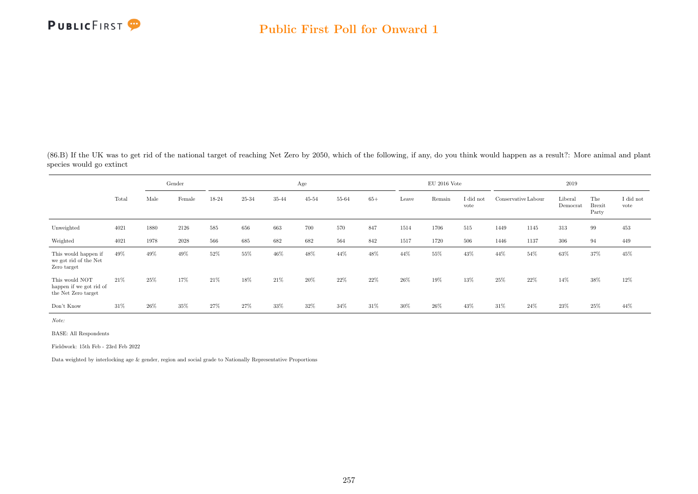

(86.B) If the UK was to get rid of the national target of reaching Net Zero by 2050, which of the following, if any, do you think would happen as a result?: More animal and plant species would go extinct

|                                                                  |       |      | Gender |       |       |       | Age       |       |        |       | $\rm EU$ 2016 Vote |                   |                     |      | 2019                |                               |                   |
|------------------------------------------------------------------|-------|------|--------|-------|-------|-------|-----------|-------|--------|-------|--------------------|-------------------|---------------------|------|---------------------|-------------------------------|-------------------|
|                                                                  | Total | Male | Female | 18-24 | 25-34 | 35-44 | $45 - 54$ | 55-64 | $65+$  | Leave | Remain             | I did not<br>vote | Conservative Labour |      | Liberal<br>Democrat | The<br><b>Brexit</b><br>Party | I did not<br>vote |
| Unweighted                                                       | 4021  | 1880 | 2126   | 585   | 656   | 663   | 700       | 570   | 847    | 1514  | 1706               | 515               | 1449                | 1145 | 313                 | 99                            | 453               |
| Weighted                                                         | 4021  | 1978 | 2028   | 566   | 685   | 682   | 682       | 564   | 842    | 1517  | 1720               | 506               | 1446                | 1137 | 306                 | 94                            | 449               |
| This would happen if<br>we got rid of the Net<br>Zero target     | 49%   | 49%  | 49%    | 52%   | 55%   | 46%   | 48%       | 44%   | 48%    | 44%   | 55%                | 43%               | 44%                 | 54%  | 63%                 | 37%                           | 45%               |
| This would NOT<br>happen if we got rid of<br>the Net Zero target | 21%   | 25%  | 17%    | 21\%  | 18%   | 21\%  | 20%       | 22%   | $22\%$ | 26%   | 19%                | 13%               | 25%                 | 22%  | 14%                 | 38%                           | 12%               |
| Don't Know                                                       | 31%   | 26%  | 35%    | 27%   | 27%   | 33%   | 32%       | 34%   | 31%    | 30%   | 26\%               | 43%               | 31\%                | 24\% | 23%                 | 25%                           | 44%               |

Note:

BASE: All Respondents

Fieldwork: 15th Feb - 23rd Feb 2022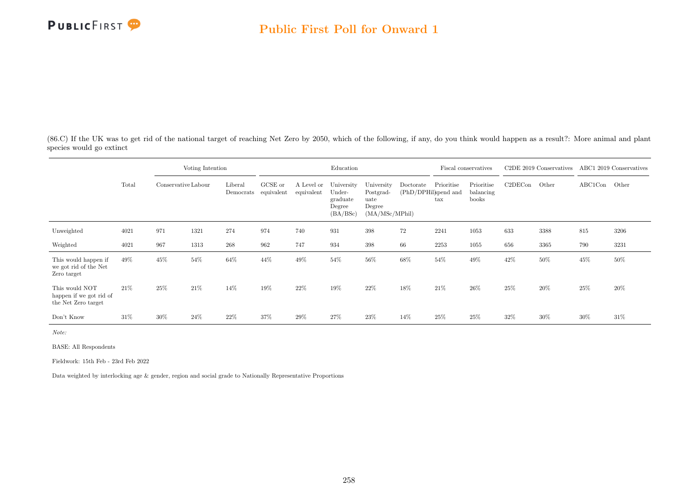

(86.C) If the UK was to get rid of the national target of reaching Net Zero by 2050, which of the following, if any, do you think would happen as a result?: More animal and plant species would go extinct

|                                                                  |       |                     | Voting Intention |                      |                       |                          | Education                                              |                                                              |                                   |                            | Fiscal conservatives             |         | C2DE 2019 Conservatives |               | ABC1 2019 Conservatives |
|------------------------------------------------------------------|-------|---------------------|------------------|----------------------|-----------------------|--------------------------|--------------------------------------------------------|--------------------------------------------------------------|-----------------------------------|----------------------------|----------------------------------|---------|-------------------------|---------------|-------------------------|
|                                                                  | Total | Conservative Labour |                  | Liberal<br>Democrats | GCSE or<br>equivalent | A Level or<br>equivalent | University<br>Under-<br>graduate<br>Degree<br>(BA/BSc) | University<br>Postgrad-<br>uate<br>Degree<br>(MA/MSc/MPhill) | Doctorate<br>(PhD/DPHil)spend and | Prioritise<br>$\text{tax}$ | Prioritise<br>balancing<br>books | C2DECon | Other                   | ABC1Con Other |                         |
| Unweighted                                                       | 4021  | 971                 | 1321             | 274                  | 974                   | 740                      | 931                                                    | 398                                                          | 72                                | 2241                       | 1053                             | 633     | 3388                    | 815           | 3206                    |
| Weighted                                                         | 4021  | 967                 | 1313             | 268                  | 962                   | 747                      | 934                                                    | 398                                                          | 66                                | 2253                       | 1055                             | 656     | 3365                    | 790           | 3231                    |
| This would happen if<br>we got rid of the Net<br>Zero target     | 49%   | 45%                 | 54%              | 64%                  | 44%                   | 49%                      | 54%                                                    | 56%                                                          | 68%                               | 54%                        | 49%                              | 42%     | 50%                     | 45%           | 50%                     |
| This would NOT<br>happen if we got rid of<br>the Net Zero target | 21\%  | 25%                 | 21\%             | 14%                  | 19%                   | 22%                      | 19%                                                    | 22%                                                          | 18%                               | 21\%                       | $26\%$                           | 25%     | 20%                     | 25%           | 20%                     |
| Don't Know                                                       | 31%   | 30%                 | 24%              | 22%                  | 37%                   | 29%                      | 27%                                                    | 23\%                                                         | 14%                               | 25%                        | 25%                              | 32\%    | 30%                     | $30\%$        | 31%                     |

Note:

BASE: All Respondents

Fieldwork: 15th Feb - 23rd Feb 2022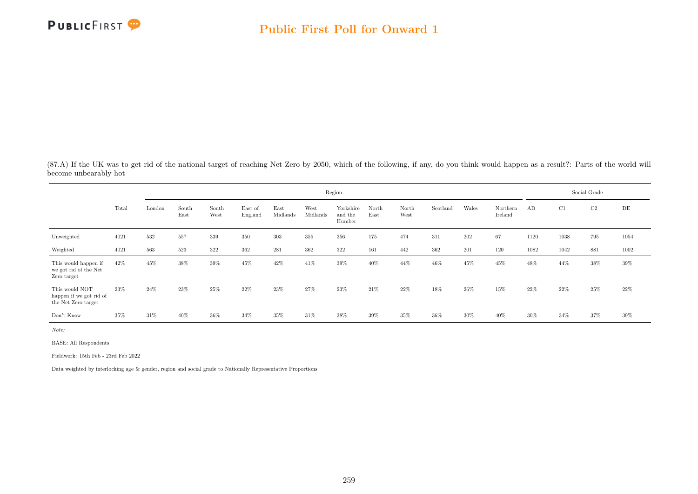

(87.A) If the UK was to get rid of the national target of reaching Net Zero by 2050, which of the following, if any, do you think would happen as a result?: Parts of the world will become unbearably hot

|                                                                  |       |        |               |               |                    |                  |                  | Region                         |               |               |          |       |                     |      |        | Social Grade |      |
|------------------------------------------------------------------|-------|--------|---------------|---------------|--------------------|------------------|------------------|--------------------------------|---------------|---------------|----------|-------|---------------------|------|--------|--------------|------|
|                                                                  | Total | London | South<br>East | South<br>West | East of<br>England | East<br>Midlands | West<br>Midlands | Yorkshire<br>and the<br>Humber | North<br>East | North<br>West | Scotland | Wales | Northern<br>Ireland | AB   | C1     | C2           | DE   |
| Unweighted                                                       | 4021  | 532    | 557           | 339           | 350                | 303              | 355              | 356                            | 175           | 474           | 311      | 202   | 67                  | 1120 | 1038   | 795          | 1054 |
| Weighted                                                         | 4021  | 563    | 523           | 322           | 362                | 281              | 362              | 322                            | 161           | 442           | 362      | 201   | 120                 | 1082 | 1042   | 881          | 1002 |
| This would happen if<br>we got rid of the Net<br>Zero target     | 42%   | 45%    | 38%           | 39%           | 45%                | 42%              | 41\%             | 39%                            | 40%           | 44%           | 46%      | 45%   | 45%                 | 48%  | 44%    | 38%          | 39%  |
| This would NOT<br>happen if we got rid of<br>the Net Zero target | 23%   | 24%    | 23%           | 25%           | 22%                | 23\%             | 27%              | 23%                            | 21\%          | 22%           | 18%      | 26\%  | 15%                 | 22%  | $22\%$ | 25%          | 22\% |
| Don't Know                                                       | 35%   | 31\%   | 40%           | 36%           | 34%                | 35%              | 31%              | 38%                            | 39%           | 35%           | 36%      | 30%   | 40%                 | 30%  | 34%    | 37%          | 39%  |

Note:

BASE: All Respondents

Fieldwork: 15th Feb - 23rd Feb 2022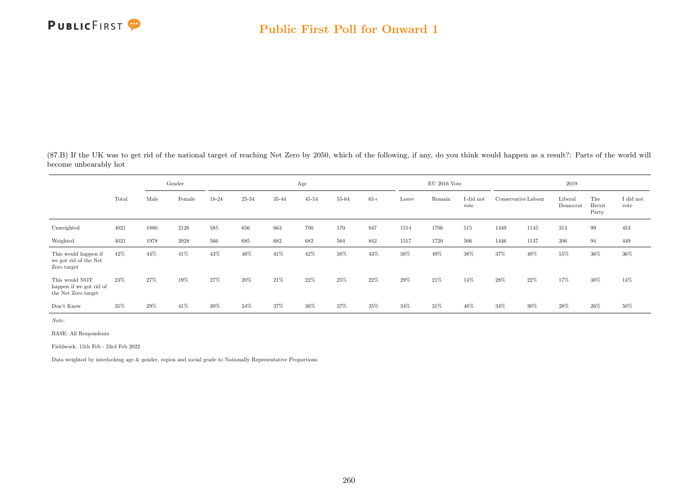

(87.B) If the UK was to get rid of the national target of reaching Net Zero by 2050, which of the following, if any, do you think would happen as a result?: Parts of the world will become unbearably hot

|                                                                  |       |      | Gender |       |       |       | Age       |       |       |        | $\rm EU$ 2016 Vote |                   |                     |      | 2019                |                               |                   |
|------------------------------------------------------------------|-------|------|--------|-------|-------|-------|-----------|-------|-------|--------|--------------------|-------------------|---------------------|------|---------------------|-------------------------------|-------------------|
|                                                                  | Total | Male | Female | 18-24 | 25-34 | 35-44 | $45 - 54$ | 55-64 | $65+$ | Leave  | Remain             | I did not<br>vote | Conservative Labour |      | Liberal<br>Democrat | The<br><b>Brexit</b><br>Party | I did not<br>vote |
| Unweighted                                                       | 4021  | 1880 | 2126   | 585   | 656   | 663   | 700       | 570   | 847   | 1514   | 1706               | 515               | 1449                | 1145 | 313                 | 99                            | 453               |
| Weighted                                                         | 4021  | 1978 | 2028   | 566   | 685   | 682   | 682       | 564   | 842   | 1517   | 1720               | 506               | 1446                | 1137 | 306                 | 94                            | 449               |
| This would happen if<br>we got rid of the Net<br>Zero target     | 42%   | 44%  | 41%    | 43%   | 46%   | 41\%  | 42%       | 38%   | 43%   | 38%    | 49%                | 38%               | 37%                 | 48%  | 55%                 | 36%                           | 36%               |
| This would NOT<br>happen if we got rid of<br>the Net Zero target | 23%   | 27%  | 19%    | 27%   | 20%   | 21\%  | 22%       | 25%   | 22%   | $29\%$ | 21\%               | 14%               | $28\%$              | 22%  | 17%                 | 38%                           | 14%               |
| Don't Know                                                       | 35%   | 29%  | 41%    | 30%   | 34%   | 37%   | 36%       | 37%   | 35%   | 34%    | 31%                | 48%               | 34%                 | 30%  | 28%                 | 26%                           | 50%               |

Note:

BASE: All Respondents

Fieldwork: 15th Feb - 23rd Feb 2022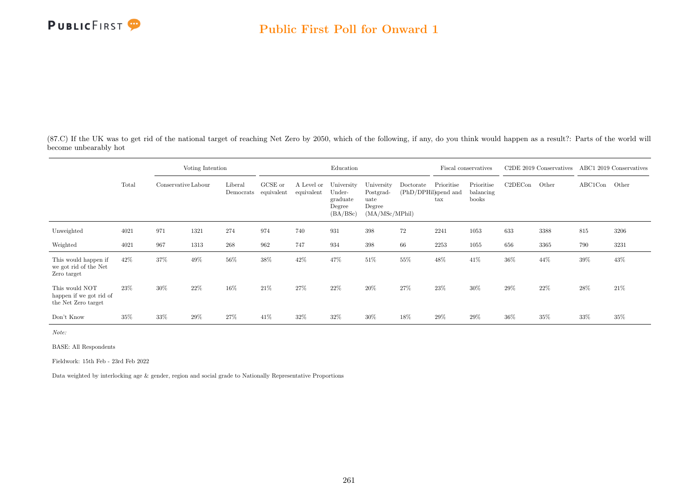

(87.C) If the UK was to get rid of the national target of reaching Net Zero by 2050, which of the following, if any, do you think would happen as a result?: Parts of the world will become unbearably hot

|                                                                  |       |                     | Voting Intention |                      |                       |                          | Education                                              |                                                             |           |                                                    | Fiscal conservatives             |         | C2DE 2019 Conservatives |               | ABC1 2019 Conservatives |
|------------------------------------------------------------------|-------|---------------------|------------------|----------------------|-----------------------|--------------------------|--------------------------------------------------------|-------------------------------------------------------------|-----------|----------------------------------------------------|----------------------------------|---------|-------------------------|---------------|-------------------------|
|                                                                  | Total | Conservative Labour |                  | Liberal<br>Democrats | GCSE or<br>equivalent | A Level or<br>equivalent | University<br>Under-<br>graduate<br>Degree<br>(BA/BSc) | University<br>Postgrad-<br>uate<br>Degree<br>(MA/MSc/MPhil) | Doctorate | Prioritise<br>(PhD/DPHil)spend and<br>$_{\rm tax}$ | Prioritise<br>balancing<br>books | C2DECon | Other                   | ABC1Con Other |                         |
| Unweighted                                                       | 4021  | 971                 | 1321             | 274                  | 974                   | 740                      | 931                                                    | 398                                                         | 72        | 2241                                               | 1053                             | 633     | 3388                    | 815           | 3206                    |
| Weighted                                                         | 4021  | 967                 | 1313             | 268                  | 962                   | 747                      | 934                                                    | 398                                                         | 66        | 2253                                               | 1055                             | 656     | 3365                    | 790           | 3231                    |
| This would happen if<br>we got rid of the Net<br>Zero target     | 42%   | 37%                 | 49%              | 56%                  | 38%                   | 42%                      | 47%                                                    | 51\%                                                        | 55%       | 48%                                                | 41\%                             | 36%     | 44%                     | 39%           | 43%                     |
| This would NOT<br>happen if we got rid of<br>the Net Zero target | 23%   | 30%                 | 22%              | 16%                  | 21\%                  | 27%                      | 22%                                                    | 20%                                                         | 27%       | 23%                                                | 30%                              | 29%     | 22%                     | 28%           | 21\%                    |
| Don't Know                                                       | 35%   | 33%                 | 29%              | 27%                  | 41\%                  | 32%                      | 32%                                                    | 30%                                                         | 18%       | 29%                                                | $29\%$                           | 36%     | 35%                     | 33%           | $35\%$                  |

Note:

BASE: All Respondents

Fieldwork: 15th Feb - 23rd Feb 2022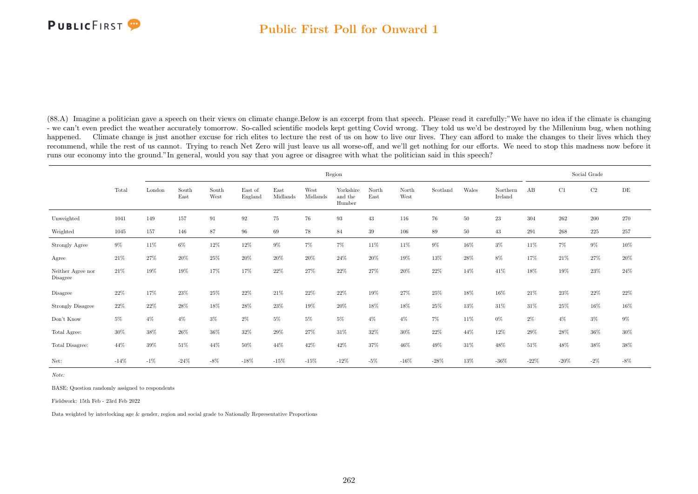(88.A) Imagine a politician gave a speech on their views on climate change.Below is an excerpt from that speech. Please read it carefully:"We have no idea if the climate is changing - we can't even predict the weather accurately tomorrow. So-called scientific models kept getting Covid wrong. They told us we'd be destroyed by the Millenium bug, when nothing happened. Climate change is just another excuse for rich elites to lecture the rest of us on how to live our lives. They can afford to make the changes to their lives which they recommend, while the rest of us cannot. Trying to reach Net Zero will just leave us all worse-off, and we'll get nothing for our efforts. We need to stop this madness now before it runs our economy into the ground."In general, would you say that you agree or disagree with what the politician said in this speech?

|                               |        |        |               |               |                    |                  |                  | Region                         |               |               |          |        |                     |        |         | Social Grade |        |
|-------------------------------|--------|--------|---------------|---------------|--------------------|------------------|------------------|--------------------------------|---------------|---------------|----------|--------|---------------------|--------|---------|--------------|--------|
|                               | Total  | London | South<br>East | South<br>West | East of<br>England | East<br>Midlands | West<br>Midlands | Yorkshire<br>and the<br>Humber | North<br>East | North<br>West | Scotland | Wales  | Northern<br>Ireland | AB     | C1      | $\rm C2$     | DE     |
| Unweighted                    | 1041   | 149    | 157           | 91            | $\boldsymbol{92}$  | $75\,$           | 76               | 93                             | 43            | 116           | 76       | $50\,$ | $23\,$              | 304    | 262     | $200\,$      | 270    |
| Weighted                      | 1045   | 157    | 146           | 87            | 96                 | 69               | 78               | 84                             | 39            | 106           | 89       | 50     | 43                  | 291    | 268     | 225          | 257    |
| Strongly Agree                | $9\%$  | $11\%$ | $6\%$         | $12\%$        | $12\%$             | $9\%$            | $7\%$            | $7\%$                          | 11%           | 11%           | $9\%$    | 16%    | $3\%$               | 11%    | $7\%$   | $9\%$        | $10\%$ |
| Agree                         | 21\%   | 27%    | 20%           | $25\%$        | $20\%$             | $20\%$           | $20\%$           | 24\%                           | 20%           | 19%           | 13%      | 28\%   | 8%                  | 17%    | 21\%    | 27%          | 20%    |
| Neither Agree nor<br>Disagree | 21\%   | 19%    | 19%           | 17%           | 17%                | 22%              | 27%              | 22%                            | 27%           | 20%           | 22%      | 14%    | 41\%                | 18%    | 19%     | 23%          | 24\%   |
| Disagree                      | 22%    | 17%    | 23%           | 25%           | 22%                | 21%              | 22%              | 22%                            | 19%           | 27%           | 25%      | 18%    | 16%                 | 21\%   | 23%     | 22%          | $22\%$ |
| <b>Strongly Disagree</b>      | 22%    | 22%    | 28%           | 18%           | 28%                | 23%              | 19%              | 20%                            | 18%           | 18%           | 25%      | 13%    | 31\%                | 31%    | $25\%$  | 16%          | $16\%$ |
| Don't Know                    | $5\%$  | $4\%$  | $4\%$         | $3\%$         | 2%                 | $5\%$            | $5\%$            | $5\%$                          | $4\%$         | $4\%$         | $7\%$    | 11%    | $0\%$               | $2\%$  | $4\%$   | $3\%$        | $9\%$  |
| Total Agree:                  | 30%    | 38%    | 26%           | $36\%$        | $32\%$             | $29\%$           | 27%              | 31%                            | $32\%$        | 30%           | $22\%$   | 44%    | 12%                 | 29%    | $28\%$  | 36%          | $30\%$ |
| Total Disagree:               | 44%    | 39%    | 51\%          | 44%           | 50%                | 44%              | 42%              | 42\%                           | 37%           | 46%           | 49%      | 31%    | 48%                 | 51%    | 48%     | 38%          | $38\%$ |
| Net:                          | $-14%$ | $-1\%$ | $-24\%$       | $-8\%$        | $-18%$             | $-15%$           | $-15%$           | $-12%$                         | $-5%$         | $-16%$        | $-28\%$  | 13%    | $-36\%$             | $-22%$ | $-20\%$ | $-2\%$       | $-8\%$ |

Note:

BASE: Question randomly assigned to respondents

Fieldwork: 15th Feb - 23rd Feb 2022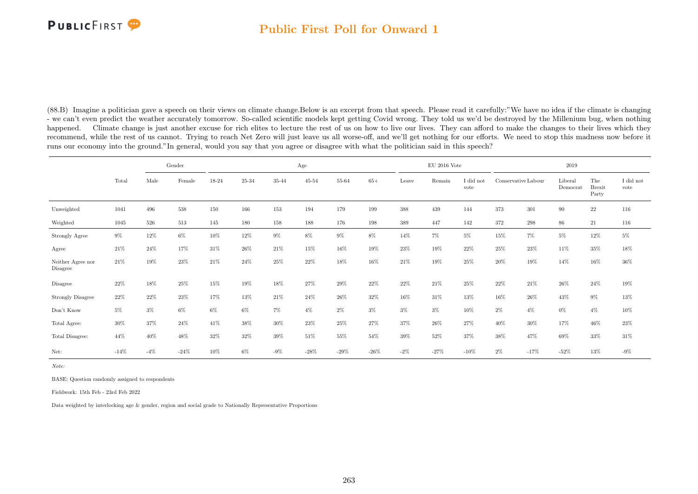#### Public First Poll for Onward 1

(88.B) Imagine a politician gave a speech on their views on climate change.Below is an excerpt from that speech. Please read it carefully:"We have no idea if the climate is changing - we can't even predict the weather accurately tomorrow. So-called scientific models kept getting Covid wrong. They told us we'd be destroyed by the Millenium bug, when nothing happened. Climate change is just another excuse for rich elites to lecture the rest of us on how to live our lives. They can afford to make the changes to their lives which they recommend, while the rest of us cannot. Trying to reach Net Zero will just leave us all worse-off, and we'll get nothing for our efforts. We need to stop this madness now before it runs our economy into the ground."In general, would you say that you agree or disagree with what the politician said in this speech?

|                               |        |        | Gender |       | Age<br>25-34<br>$65+$<br>35-44<br>$45 - 54$<br>55-64 |        |        |       |         |        | $EU$ 2016 Vote |                   |                     |        | $2019\,$            |                               |                               |
|-------------------------------|--------|--------|--------|-------|------------------------------------------------------|--------|--------|-------|---------|--------|----------------|-------------------|---------------------|--------|---------------------|-------------------------------|-------------------------------|
|                               | Total  | Male   | Female | 18-24 |                                                      |        |        |       |         | Leave  | Remain         | I did not<br>vote | Conservative Labour |        | Liberal<br>Democrat | The<br><b>Brexit</b><br>Party | $\rm I$ did $\rm not$<br>vote |
| Unweighted                    | 1041   | 496    | 538    | 150   | 166                                                  | 153    | 194    | 179   | 199     | 388    | 439            | 144               | 373                 | 301    | 90                  | $22\,$                        | 116                           |
| Weighted                      | 1045   | 526    | 513    | 145   | 180                                                  | 158    | 188    | 176   | 198     | 389    | 447            | 142               | $372\,$             | 298    | $86\,$              | $21\,$                        | 116                           |
| Strongly Agree                | $9\%$  | 12%    | $6\%$  | 10%   | $12\%$                                               | $9\%$  | $8\%$  | $9\%$ | $8\%$   | 14%    | $7\%$          | $5\%$             | 15%                 | $7\%$  | 5%                  | $12\%$                        | $5\%$                         |
| Agree                         | 21%    | 24\%   | 17%    | 31\%  | 26%                                                  | 21\%   | 15%    | 16%   | 19%     | 23%    | 19%            | 22\%              | 25%                 | 23%    | 11%                 | 35%                           | 18%                           |
| Neither Agree nor<br>Disagree | 21%    | 19%    | 23%    | 21\%  | 24%                                                  | 25%    | 22%    | 18%   | 16%     | 21\%   | 19%            | 25%               | 20%                 | 19%    | 14%                 | 16%                           | 36%                           |
| Disagree                      | 22%    | 18%    | $25\%$ | 15%   | $19\%$                                               | $18\%$ | $27\%$ | 29%   | $22\%$  | $22\%$ | $21\%$         | $25\%$            | 22%                 | 21%    | $26\%$              | $24\%$                        | $19\%$                        |
| <b>Strongly Disagree</b>      | 22%    | 22%    | 23%    | 17%   | 13%                                                  | 21%    | 24%    | 26\%  | 32%     | 16%    | 31\%           | 13%               | 16%                 | 26%    | 43%                 | $9\%$                         | 13%                           |
| Don't Know                    | 5%     | $3\%$  | $6\%$  | $6\%$ | 6%                                                   | $7\%$  | $4\%$  | $2\%$ | $3\%$   | $3\%$  | $3\%$          | 10%               | $2\%$               | $4\%$  | 0%                  | $4\%$                         | 10%                           |
| Total Agree:                  | $30\%$ | 37%    | 24\%   | 41\%  | 38%                                                  | 30%    | 23%    | 25%   | 27%     | 37%    | 26%            | 27%               | 40%                 | $30\%$ | 17%                 | 46%                           | $23\%$                        |
| Total Disagree:               | 44%    | 40%    | 48%    | 32%   | 32%                                                  | 39%    | 51%    | 55%   | 54%     | 39%    | 52%            | 37%               | 38%                 | 47%    | 69%                 | 33%                           | $31\%$                        |
| Net:                          | $-14%$ | $-4\%$ | $-24%$ | 10%   | $6\%$                                                | $-9\%$ | $-28%$ | -29%  | $-26\%$ | $-2\%$ | $-27\%$        | $-10\%$           | $2\%$               | $-17%$ | $-52\%$             | 13%                           | $-9\%$                        |

Note:

BASE: Question randomly assigned to respondents

Fieldwork: 15th Feb - 23rd Feb 2022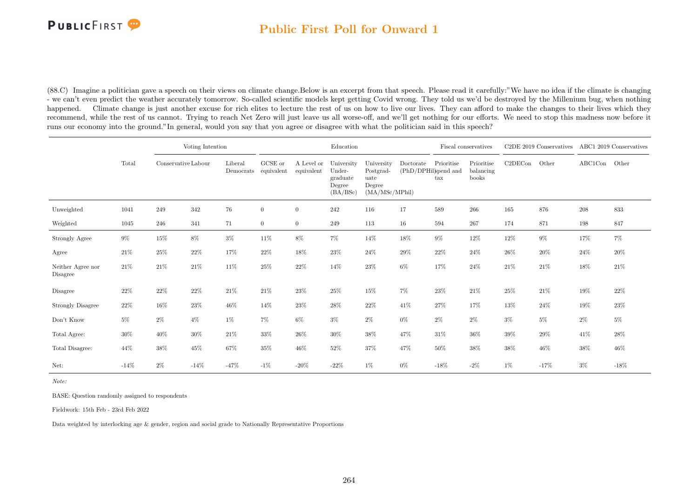

#### Public First Poll for Onward 1

(88.C) Imagine a politician gave a speech on their views on climate change.Below is an excerpt from that speech. Please read it carefully:"We have no idea if the climate is changing - we can't even predict the weather accurately tomorrow. So-called scientific models kept getting Covid wrong. They told us we'd be destroyed by the Millenium bug, when nothing happened. Climate change is just another excuse for rich elites to lecture the rest of us on how to live our lives. They can afford to make the changes to their lives which they recommend, while the rest of us cannot. Trying to reach Net Zero will just leave us all worse-off, and we'll get nothing for our efforts. We need to stop this madness now before it runs our economy into the ground."In general, would you say that you agree or disagree with what the politician said in this speech?

|                               |        |        | Voting Intention<br>Conservative Labour |         |                                 |                          | Education                                              |                                                             |           |                                           | Fiscal conservatives             |         | C2DE 2019 Conservatives ABC1 2019 Conservatives |               |        |
|-------------------------------|--------|--------|-----------------------------------------|---------|---------------------------------|--------------------------|--------------------------------------------------------|-------------------------------------------------------------|-----------|-------------------------------------------|----------------------------------|---------|-------------------------------------------------|---------------|--------|
|                               | Total  |        |                                         | Liberal | GCSE or<br>Democrats equivalent | A Level or<br>equivalent | University<br>Under-<br>graduate<br>Degree<br>(BA/BSc) | University<br>Postgrad-<br>uate<br>Degree<br>(MA/MSc/MPhil) | Doctorate | Prioritise<br>(PhD/DPHil)spend and<br>tax | Prioritise<br>balancing<br>books | C2DECon | Other                                           | ABC1Con Other |        |
| Unweighted                    | 1041   | 249    | $342\,$                                 | 76      | $\overline{0}$                  | $\overline{0}$           | 242                                                    | 116                                                         | 17        | 589                                       | 266                              | 165     | 876                                             | 208           | 833    |
| Weighted                      | 1045   | 246    | 341                                     | 71      | $\overline{0}$                  | $\overline{0}$           | 249                                                    | 113                                                         | $16\,$    | 594                                       | $267\,$                          | 174     | 871                                             | 198           | 847    |
| Strongly Agree                | $9\%$  | $15\%$ | $8\%$                                   | $3\%$   | 11%                             | $8\%$                    | $7\%$                                                  | 14%                                                         | 18%       | $9\%$                                     | $12\%$                           | $12\%$  | $9\%$                                           | 17%           | $7\%$  |
| Agree                         | 21%    | $25\%$ | $22\%$                                  | 17%     | 22%                             | 18%                      | 23\%                                                   | $24\%$                                                      | $29\%$    | 22%                                       | $24\%$                           | $26\%$  | 20%                                             | 24%           | 20%    |
| Neither Agree nor<br>Disagree | 21%    | 21\%   | 21\%                                    | 11%     | 25%                             | 22%                      | $14\%$                                                 | 23%                                                         | $6\%$     | 17%                                       | 24%                              | $21\%$  | 21\%                                            | 18%           | 21\%   |
| Disagree                      | 22%    | $22\%$ | $22\%$                                  | $21\%$  | 21%                             | 23%                      | 25\%                                                   | $15\%$                                                      | $7\%$     | $23\%$                                    | 21%                              | 25%     | 21\%                                            | 19%           | 22%    |
| <b>Strongly Disagree</b>      | 22%    | $16\%$ | $23\%$                                  | $46\%$  | 14%                             | 23%                      | 28\%                                                   | $22\%$                                                      | 41\%      | $27\%$                                    | 17%                              | 13%     | $24\%$                                          | 19%           | $23\%$ |
| Don't Know                    | $5\%$  | $2\%$  | $4\%$                                   | $1\%$   | 7%                              | $6\%$                    | $3\%$                                                  | $2\%$                                                       | $0\%$     | $2\%$                                     | $2\%$                            | $3\%$   | $5\%$                                           | $2\%$         | 5%     |
| Total Agree:                  | 30%    | 40%    | 30%                                     | 21\%    | $33\%$                          | 26%                      | $30\%$                                                 | 38%                                                         | 47%       | 31%                                       | 36%                              | 39%     | 29%                                             | 41\%          | 28%    |
| Total Disagree:               | 44%    | $38\%$ | $45\%$                                  | 67%     | 35%                             | 46%                      | $52\%$                                                 | 37%                                                         | 47%       | $50\%$                                    | 38%                              | 38%     | $46\%$                                          | 38%           | $46\%$ |
| Net:                          | $-14%$ | $2\%$  | $-14%$                                  | $-47%$  | $-1\%$                          | $-20\%$                  | $-22%$                                                 | $1\%$                                                       | $0\%$     | $-18%$                                    | $-2\%$                           | $1\%$   | $-17%$                                          | $3\%$         | $-18%$ |

Note:

BASE: Question randomly assigned to respondents

Fieldwork: 15th Feb - 23rd Feb 2022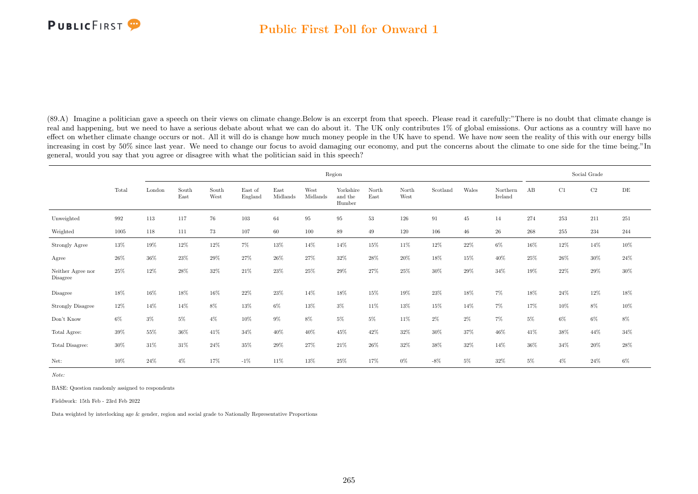### Public First Poll for Onward 1

(89.A) Imagine a politician gave a speech on their views on climate change.Below is an excerpt from that speech. Please read it carefully:"There is no doubt that climate change is real and happening, but we need to have a serious debate about what we can do about it. The UK only contributes 1% of global emissions. Our actions as a country will have no effect on whether climate change occurs or not. All it will do is change how much money people in the UK have to spend. We have now seen the reality of this with our energy bills increasing in cost by 50% since last year. We need to change our focus to avoid damaging our economy, and put the concerns about the climate to one side for the time being."In general, would you say that you agree or disagree with what the politician said in this speech?

|                               |        |        |               |               |                    |                  |                  | Region                         |               |               |          |       |                     |       |       | Social Grade |        |
|-------------------------------|--------|--------|---------------|---------------|--------------------|------------------|------------------|--------------------------------|---------------|---------------|----------|-------|---------------------|-------|-------|--------------|--------|
|                               | Total  | London | South<br>East | South<br>West | East of<br>England | East<br>Midlands | West<br>Midlands | Yorkshire<br>and the<br>Humber | North<br>East | North<br>West | Scotland | Wales | Northern<br>Ireland | AB    | C1    | C2           | DE     |
| Unweighted                    | 992    | 113    | 117           | 76            | 103                | 64               | 95               | 95                             | 53            | 126           | 91       | 45    | 14                  | 274   | 253   | 211          | 251    |
| Weighted                      | 1005   | 118    | 111           | 73            | 107                | 60               | 100              | 89                             | 49            | 120           | 106      | 46    | 26                  | 268   | 255   | 234          | 244    |
| Strongly Agree                | $13\%$ | 19%    | 12%           | 12%           | 7%                 | 13%              | 14%              | 14%                            | 15%           | 11%           | 12%      | 22%   | $6\%$               | 16%   | 12%   | 14%          | $10\%$ |
| Agree                         | 26%    | $36\%$ | 23%           | 29%           | 27%                | 26%              | 27%              | 32%                            | 28%           | 20%           | 18%      | 15%   | 40%                 | 25%   | 26%   | 30%          | 24%    |
| Neither Agree nor<br>Disagree | 25%    | $12\%$ | 28%           | 32%           | 21\%               | $23\%$           | 25%              | 29%                            | 27%           | 25%           | $30\%$   | 29%   | 34%                 | 19%   | 22%   | 29%          | $30\%$ |
| Disagree                      | 18%    | 16%    | 18%           | 16%           | 22%                | 23%              | 14%              | 18%                            | 15%           | 19%           | 23%      | 18%   | 7%                  | 18%   | 24%   | 12%          | 18%    |
| <b>Strongly Disagree</b>      | 12%    | 14%    | 14%           | 8%            | 13%                | 6%               | 13%              | $3\%$                          | 11\%          | 13%           | 15%      | 14%   | 7%                  | 17%   | 10%   | 8%           | $10\%$ |
| Don't Know                    | $6\%$  | $3\%$  | $5\%$         | $4\%$         | 10%                | $9\%$            | $8\%$            | $5\%$                          | $5\%$         | 11%           | $2\%$    | $2\%$ | 7%                  | $5\%$ | $6\%$ | $6\%$        | $8\%$  |
| Total Agree:                  | 39%    | 55%    | 36%           | 41\%          | $34\%$             | $40\%$           | 40%              | 45%                            | 42%           | 32%           | $30\%$   | 37%   | 46%                 | 41\%  | 38%   | 44%          | $34\%$ |
| Total Disagree:               | 30%    | 31\%   | 31\%          | 24%           | 35%                | 29%              | 27%              | 21\%                           | 26%           | 32%           | 38%      | 32%   | 14%                 | 36%   | 34%   | 20%          | 28%    |
| Net:                          | $10\%$ | 24\%   | $4\%$         | 17%           | $-1%$              | 11%              | 13%              | 25%                            | 17%           | $0\%$         | $-8\%$   | $5\%$ | 32%                 | $5\%$ | $4\%$ | 24%          | 6%     |

Note:

BASE: Question randomly assigned to respondents

Fieldwork: 15th Feb - 23rd Feb 2022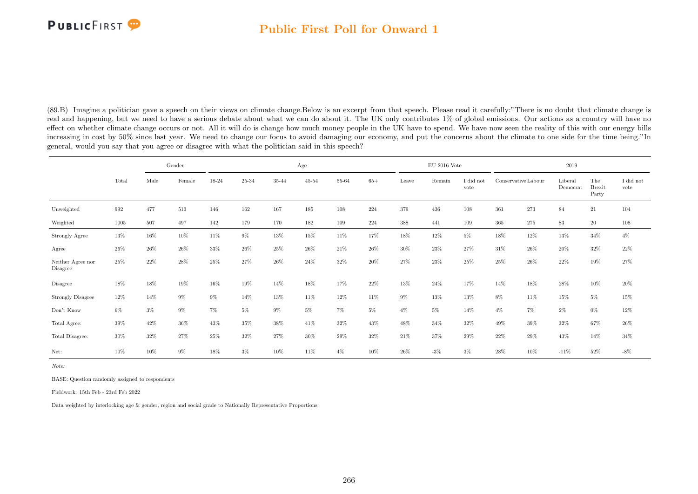### Public First Poll for Onward 1

(89.B) Imagine a politician gave a speech on their views on climate change.Below is an excerpt from that speech. Please read it carefully:"There is no doubt that climate change is real and happening, but we need to have a serious debate about what we can do about it. The UK only contributes 1% of global emissions. Our actions as a country will have no effect on whether climate change occurs or not. All it will do is change how much money people in the UK have to spend. We have now seen the reality of this with our energy bills increasing in cost by 50% since last year. We need to change our focus to avoid damaging our economy, and put the concerns about the climate to one side for the time being."In general, would you say that you agree or disagree with what the politician said in this speech?

|                                     |        |       | Gender |       |        |       | Age       |           |        |        | $\rm EU$ 2016 Vote |                   |                     |         | 2019                |                               |                               |
|-------------------------------------|--------|-------|--------|-------|--------|-------|-----------|-----------|--------|--------|--------------------|-------------------|---------------------|---------|---------------------|-------------------------------|-------------------------------|
|                                     | Total  | Male  | Female | 18-24 | 25-34  | 35-44 | $45 - 54$ | $55 - 64$ | $65+$  | Leave  | Remain             | I did not<br>vote | Conservative Labour |         | Liberal<br>Democrat | The<br><b>Brexit</b><br>Party | $\rm I$ did $\rm not$<br>vote |
| Unweighted                          | 992    | 477   | 513    | 146   | 162    | 167   | 185       | $108\,$   | 224    | 379    | 436                | 108               | 361                 | $273\,$ | 84                  | $21\,$                        | 104                           |
| Weighted                            | 1005   | 507   | 497    | 142   | 179    | 170   | 182       | 109       | 224    | 388    | 441                | 109               | 365                 | 275     | 83                  | 20                            | 108                           |
| <b>Strongly Agree</b>               | $13\%$ | 16%   | 10%    | 11\%  | $9\%$  | 13%   | 15%       | 11%       | 17%    | 18%    | 12%                | $5\%$             | 18%                 | 12%     | 13%                 | 34%                           | $4\%$                         |
| Agree                               | 26%    | 26%   | 26%    | 33%   | 26%    | 25%   | 26%       | 21\%      | 26%    | $30\%$ | 23%                | 27%               | 31\%                | 26%     | 20%                 | 32%                           | 22%                           |
| Neither Agree nor<br>Disagree       | 25%    | 22%   | 28%    | 25%   | 27%    | 26%   | 24\%      | 32%       | $20\%$ | 27%    | 23%                | 25%               | 25%                 | 26%     | 22%                 | 19%                           | 27%                           |
| Disagree                            | 18%    | 18%   | 19%    | 16%   | 19%    | 14%   | 18%       | 17%       | 22%    | 13%    | 24\%               | 17%               | 14%                 | 18%     | 28%                 | 10%                           | $20\%$                        |
| <b>Strongly Disagree</b>            | 12%    | 14%   | 9%     | 9%    | 14%    | 13%   | 11%       | 12%       | 11%    | $9\%$  | 13%                | 13%               | $8\%$               | 11%     | 15%                 | $5\%$                         | $15\%$                        |
| $\mathrm{Don't}$<br>$\mathrm{Know}$ | $6\%$  | $3\%$ | 9%     | 7%    | $5\%$  | $9\%$ | $5\%$     | 7%        | $5\%$  | $4\%$  | $5\%$              | 14%               | $4\%$               | $7\%$   | $2\%$               | 0%                            | 12%                           |
| Total Agree:                        | 39%    | 42%   | 36%    | 43%   | 35%    | 38%   | 41\%      | 32%       | 43%    | 48%    | 34%                | 32%               | 49%                 | 39%     | 32%                 | 67%                           | $26\%$                        |
| Total Disagree:                     | $30\%$ | 32%   | 27%    | 25%   | $32\%$ | 27%   | 30%       | 29%       | 32%    | 21%    | 37%                | 29%               | 22%                 | 29%     | 43%                 | 14%                           | $34\%$                        |
| Net:                                | 10%    | 10%   | 9%     | 18%   | $3\%$  | 10%   | 11%       | $4\%$     | 10%    | 26%    | $-3\%$             | $3\%$             | 28%                 | 10%     | $-11%$              | 52%                           | $-8\%$                        |

Note:

BASE: Question randomly assigned to respondents

Fieldwork: 15th Feb - 23rd Feb 2022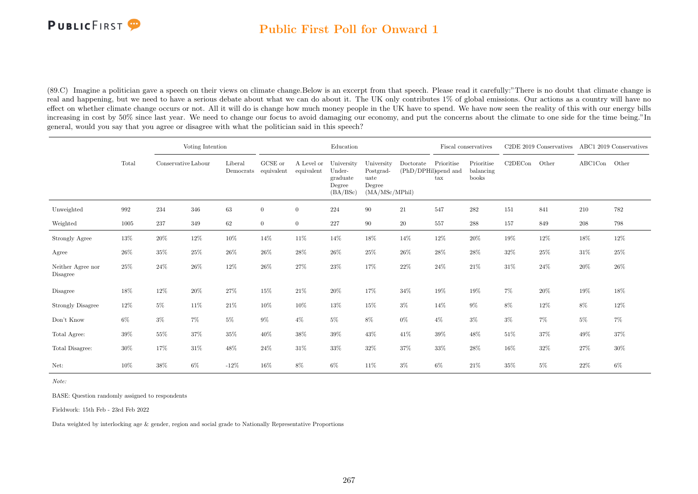

### Public First Poll for Onward 1

(89.C) Imagine a politician gave a speech on their views on climate change.Below is an excerpt from that speech. Please read it carefully:"There is no doubt that climate change is real and happening, but we need to have a serious debate about what we can do about it. The UK only contributes 1% of global emissions. Our actions as a country will have no effect on whether climate change occurs or not. All it will do is change how much money people in the UK have to spend. We have now seen the reality of this with our energy bills increasing in cost by 50% since last year. We need to change our focus to avoid damaging our economy, and put the concerns about the climate to one side for the time being."In general, would you say that you agree or disagree with what the politician said in this speech?

|                               |        |                     | Voting Intention |         |                                 |                          | Education                                              |                                                             |                                   |                                    | Fiscal conservatives             |         | C2DE 2019 Conservatives ABC1 2019 Conservatives |               |       |
|-------------------------------|--------|---------------------|------------------|---------|---------------------------------|--------------------------|--------------------------------------------------------|-------------------------------------------------------------|-----------------------------------|------------------------------------|----------------------------------|---------|-------------------------------------------------|---------------|-------|
|                               | Total  | Conservative Labour |                  | Liberal | GCSE or<br>Democrats equivalent | A Level or<br>equivalent | University<br>Under-<br>graduate<br>Degree<br>(BA/BSc) | University<br>Postgrad-<br>uate<br>Degree<br>(MA/MSc/MPhil) | Doctorate<br>(PhD/DPHil)spend and | Prioritise<br>$\operatorname{tax}$ | Prioritise<br>balancing<br>books | C2DECon | Other                                           | ABC1Con Other |       |
| Unweighted                    | 992    | 234                 | 346              | $63\,$  | $\boldsymbol{0}$                | $\overline{0}$           | 224                                                    | 90                                                          | 21                                | 547                                | 282                              | 151     | 841                                             | 210           | 782   |
| Weighted                      | 1005   | 237                 | 349              | 62      | $\overline{0}$                  | $\overline{0}$           | 227                                                    | 90                                                          | $20\,$                            | 557                                | 288                              | 157     | 849                                             | 208           | 798   |
| Strongly Agree                | $13\%$ | 20%                 | $12\%$           | $10\%$  | 14%                             | 11\%                     | 14%                                                    | 18%                                                         | 14%                               | $12\%$                             | $20\%$                           | 19%     | $12\%$                                          | $18\%$        | 12%   |
| Agree                         | 26%    | 35%                 | 25%              | $26\%$  | $26\%$                          | 28%                      | $26\%$                                                 | 25%                                                         | 26%                               | 28%                                | 28%                              | 32%     | $25\%$                                          | 31\%          | 25%   |
| Neither Agree nor<br>Disagree | 25%    | 24%                 | 26\%             | 12%     | 26%                             | 27%                      | $23\%$                                                 | 17%                                                         | 22%                               | 24%                                | 21\%                             | 31\%    | $24\%$                                          | 20%           | 26%   |
| Disagree                      | 18%    | 12%                 | $20\%$           | $27\%$  | 15%                             | 21%                      | $20\%$                                                 | 17%                                                         | $34\%$                            | 19%                                | $19\%$                           | 7%      | $20\%$                                          | 19%           | 18%   |
| Strongly Disagree             | $12\%$ | $5\%$               | 11\%             | 21\%    | 10%                             | 10%                      | $13\%$                                                 | 15%                                                         | $3\%$                             | 14%                                | $9\%$                            | 8%      | 12%                                             | $8\%$         | 12%   |
| Don't Know                    | $6\%$  | $3\%$               | $7\%$            | $5\%$   | $9\%$                           | $4\%$                    | $5\%$                                                  | $8\%$                                                       | $0\%$                             | $4\%$                              | $3\%$                            | $3\%$   | $7\%$                                           | $5\%$         | $7\%$ |
| Total Agree:                  | 39%    | 55%                 | 37%              | $35\%$  | 40%                             | 38%                      | 39%                                                    | 43%                                                         | $41\%$                            | 39%                                | 48%                              | 51%     | 37%                                             | 49%           | 37%   |
| Total Disagree:               | 30%    | 17%                 | $31\%$           | 48%     | 24\%                            | 31%                      | 33%                                                    | 32%                                                         | 37%                               | 33%                                | 28%                              | 16%     | $32\%$                                          | 27%           | 30%   |
| Net:                          | 10%    | 38%                 | $6\%$            | $-12%$  | 16%                             | 8%                       | $6\%$                                                  | 11\%                                                        | $3\%$                             | $6\%$                              | 21\%                             | 35%     | $5\%$                                           | 22%           | 6%    |

Note:

BASE: Question randomly assigned to respondents

Fieldwork: 15th Feb - 23rd Feb 2022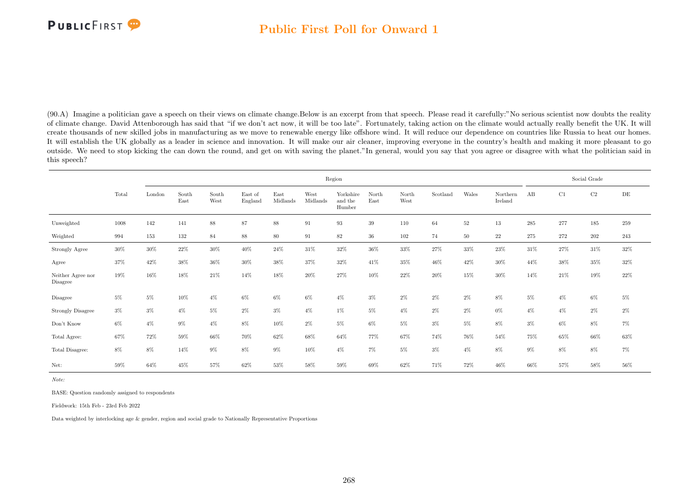### Public First Poll for Onward 1

(90.A) Imagine a politician gave a speech on their views on climate change.Below is an excerpt from that speech. Please read it carefully:"No serious scientist now doubts the reality of climate change. David Attenborough has said that "if we don't act now, it will be too late". Fortunately, taking action on the climate would actually really benefit the UK. It will create thousands of new skilled jobs in manufacturing as we move to renewable energy like offshore wind. It will reduce our dependence on countries like Russia to heat our homes. It will establish the UK globally as a leader in science and innovation. It will make our air cleaner, improving everyone in the country's health and making it more pleasant to go outside. We need to stop kicking the can down the round, and get on with saving the planet."In general, would you say that you agree or disagree with what the politician said in this speech?

|                                     |       |        |               |               |                    |                  |                  | Region                         |               |               |          |        |                     |         |        | Social Grade |        |
|-------------------------------------|-------|--------|---------------|---------------|--------------------|------------------|------------------|--------------------------------|---------------|---------------|----------|--------|---------------------|---------|--------|--------------|--------|
|                                     | Total | London | South<br>East | South<br>West | East of<br>England | East<br>Midlands | West<br>Midlands | Yorkshire<br>and the<br>Humber | North<br>East | North<br>West | Scotland | Wales  | Northern<br>Ireland | AB      | C1     | C2           | DE     |
| Unweighted                          | 1008  | 142    | 141           | 88            | 87                 | 88               | 91               | $\boldsymbol{93}$              | 39            | 110           | 64       | $52\,$ | 13                  | $285\,$ | 277    | 185          | 259    |
| Weighted                            | 994   | 153    | 132           | 84            | 88                 | 80               | 91               | 82                             | 36            | 102           | 74       | 50     | 22                  | 275     | 272    | 202          | 243    |
| Strongly Agree                      | 30%   | $30\%$ | $22\%$        | $30\%$        | $40\%$             | 24\%             | 31\%             | 32%                            | $36\%$        | $33\%$        | 27%      | 33%    | 23%                 | 31\%    | 27%    | $31\%$       | $32\%$ |
| Agree                               | 37%   | 42%    | 38%           | $36\%$        | $30\%$             | $38\%$           | 37%              | 32%                            | 41%           | 35%           | 46%      | 42\%   | $30\%$              | 44%     | $38\%$ | $35\%$       | $32\%$ |
| Neither Agree nor<br>Disagree       | 19%   | 16%    | 18%           | 21\%          | 14%                | 18%              | $20\%$           | 27%                            | 10%           | 22%           | 20%      | 15%    | $30\%$              | 14%     | 21\%   | 19%          | $22\%$ |
| Disagree                            | $5\%$ | $5\%$  | 10%           | $4\%$         | 6%                 | $6\%$            | $6\%$            | $4\%$                          | $3\%$         | $2\%$         | $2\%$    | $2\%$  | $8\%$               | $5\%$   | $4\%$  | 6%           | $5\%$  |
| Strongly Disagree                   | $3\%$ | $3\%$  | $4\%$         | $5\%$         | $2\%$              | $3\%$            | $4\%$            | $1\%$                          | $5\%$         | $4\%$         | $2\%$    | $2\%$  | $0\%$               | $4\%$   | $4\%$  | $2\%$        | $2\%$  |
| $\mathrm{Don't}$<br>$\mathrm{Know}$ | $6\%$ | $4\%$  | $9\%$         | $4\%$         | $8\%$              | 10%              | $2\%$            | $5\%$                          | $6\%$         | $5\%$         | $3\%$    | $5\%$  | $8\%$               | $3\%$   | $6\%$  | 8%           | $7\%$  |
| Total Agree:                        | 67%   | 72%    | 59%           | $66\%$        | $70\%$             | 62%              | 68%              | 64%                            | 77%           | 67%           | 74%      | 76%    | 54%                 | 75%     | 65%    | 66%          | $63\%$ |
| Total Disagree:                     | $8\%$ | 8%     | 14%           | $9\%$         | $8\%$              | $9\%$            | 10%              | $4\%$                          | $7\%$         | $5\%$         | $3\%$    | $4\%$  | $8\%$               | $9\%$   | 8%     | 8%           | $7\%$  |
| Net:                                | 59%   | 64%    | 45%           | 57%           | 62%                | 53%              | 58%              | 59%                            | 69%           | 62%           | 71%      | 72%    | 46%                 | 66%     | 57%    | 58%          | 56%    |

Note:

BASE: Question randomly assigned to respondents

Fieldwork: 15th Feb - 23rd Feb 2022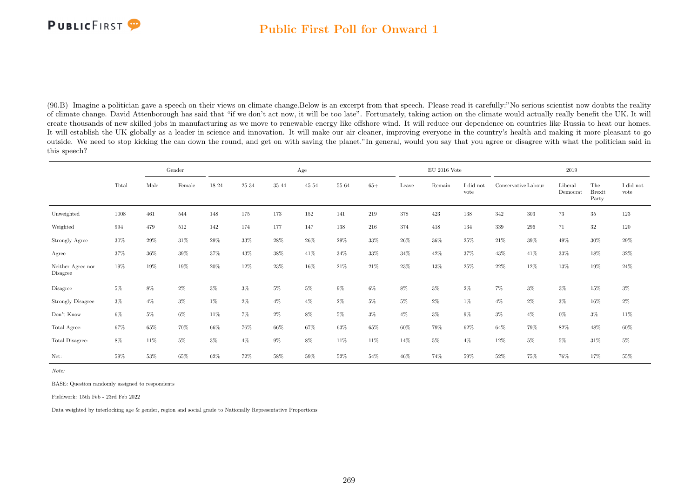### Public First Poll for Onward 1

(90.B) Imagine a politician gave a speech on their views on climate change.Below is an excerpt from that speech. Please read it carefully:"No serious scientist now doubts the reality of climate change. David Attenborough has said that "if we don't act now, it will be too late". Fortunately, taking action on the climate would actually really benefit the UK. It will create thousands of new skilled jobs in manufacturing as we move to renewable energy like offshore wind. It will reduce our dependence on countries like Russia to heat our homes. It will establish the UK globally as a leader in science and innovation. It will make our air cleaner, improving everyone in the country's health and making it more pleasant to go outside. We need to stop kicking the can down the round, and get on with saving the planet."In general, would you say that you agree or disagree with what the politician said in this speech?

|                               |        |       | Gender |        |        |        | Age       |                |       |        | $EU$ 2016 Vote |                   |                     |         | 2019                |                               |                               |
|-------------------------------|--------|-------|--------|--------|--------|--------|-----------|----------------|-------|--------|----------------|-------------------|---------------------|---------|---------------------|-------------------------------|-------------------------------|
|                               | Total  | Male  | Female | 18-24  | 25-34  | 35-44  | $45 - 54$ | $55\mbox{-}64$ | $65+$ | Leave  | Remain         | I did not<br>vote | Conservative Labour |         | Liberal<br>Democrat | The<br><b>Brexit</b><br>Party | $\rm I$ did $\rm not$<br>vote |
| Unweighted                    | 1008   | 461   | 544    | 148    | 175    | 173    | 152       | 141            | 219   | 378    | 423            | 138               | 342                 | $303\,$ | 73                  | $35\,$                        | 123                           |
| Weighted                      | 994    | 479   | 512    | 142    | 174    | 177    | 147       | 138            | 216   | 374    | 418            | 134               | 339                 | 296     | 71                  | $32\,$                        | 120                           |
| Strongly Agree                | $30\%$ | 29%   | $31\%$ | $29\%$ | $33\%$ | $28\%$ | $26\%$    | $29\%$         | 33%   | $26\%$ | $36\%$         | $25\%$            | 21\%                | $39\%$  | 49%                 | $30\%$                        | $29\%$                        |
| Agree                         | 37%    | 36%   | 39%    | 37%    | 43%    | 38%    | 41\%      | 34%            | 33%   | 34%    | 42\%           | 37%               | 43%                 | 41\%    | 33%                 | 18%                           | 32%                           |
| Neither Agree nor<br>Disagree | 19%    | 19%   | 19%    | 20%    | 12%    | $23\%$ | 16%       | 21%            | 21%   | 23%    | 13%            | 25%               | 22%                 | 12%     | 13%                 | 19%                           | $24\%$                        |
| Disagree                      | $5\%$  | $8\%$ | $2\%$  | $3\%$  | $3\%$  | $5\%$  | $5\%$     | $9\%$          | $6\%$ | $8\%$  | $3\%$          | $2\%$             | $7\%$               | $3\%$   | $3\%$               | $15\%$                        | $3\%$                         |
| <b>Strongly Disagree</b>      | $3\%$  | $4\%$ | $3\%$  | $1\%$  | $2\%$  | $4\%$  | $4\%$     | $2\%$          | $5\%$ | $5\%$  | $2\%$          | $1\%$             | $4\%$               | $2\%$   | $3\%$               | 16%                           | $2\%$                         |
| Don't Know                    | $6\%$  | $5\%$ | $6\%$  | 11%    | 7%     | $2\%$  | 8%        | $5\%$          | $3\%$ | $4\%$  | $3\%$          | 9%                | $3\%$               | $4\%$   | $0\%$               | $3\%$                         | 11%                           |
| Total Agree:                  | 67%    | 65%   | 70%    | 66%    | 76%    | 66%    | 67%       | 63%            | 65%   | 60%    | 79%            | 62%               | 64%                 | 79%     | 82%                 | $48\%$                        | $60\%$                        |
| Total Disagree:               | $8\%$  | 11\%  | $5\%$  | 3%     | $4\%$  | $9\%$  | 8%        | 11%            | 11%   | 14%    | $5\%$          | $4\%$             | 12%                 | $5\%$   | $5\%$               | 31\%                          | $5\%$                         |
| Net:                          | 59%    | 53%   | 65%    | 62%    | 72%    | 58%    | $59\%$    | 52%            | 54%   | 46%    | 74%            | 59%               | 52%                 | 75%     | 76%                 | 17%                           | 55%                           |

Note:

BASE: Question randomly assigned to respondents

Fieldwork: 15th Feb - 23rd Feb 2022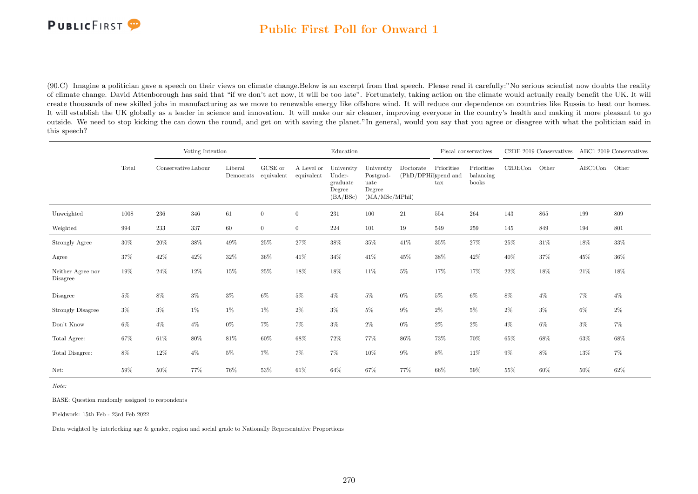

### Public First Poll for Onward 1

(90.C) Imagine a politician gave a speech on their views on climate change.Below is an excerpt from that speech. Please read it carefully:"No serious scientist now doubts the reality of climate change. David Attenborough has said that "if we don't act now, it will be too late". Fortunately, taking action on the climate would actually really benefit the UK. It will create thousands of new skilled jobs in manufacturing as we move to renewable energy like offshore wind. It will reduce our dependence on countries like Russia to heat our homes. It will establish the UK globally as a leader in science and innovation. It will make our air cleaner, improving everyone in the country's health and making it more pleasant to go outside. We need to stop kicking the can down the round, and get on with saving the planet."In general, would you say that you agree or disagree with what the politician said in this speech?

|                               |        |                     | Voting Intention |         |                                 |                          | Education                                              |                                                             |                                   |                   | Fiscal conservatives             |         | C2DE 2019 Conservatives |         | ABC1 2019 Conservatives |
|-------------------------------|--------|---------------------|------------------|---------|---------------------------------|--------------------------|--------------------------------------------------------|-------------------------------------------------------------|-----------------------------------|-------------------|----------------------------------|---------|-------------------------|---------|-------------------------|
|                               | Total  | Conservative Labour |                  | Liberal | GCSE or<br>Democrats equivalent | A Level or<br>equivalent | University<br>Under-<br>graduate<br>Degree<br>(BA/BSc) | University<br>Postgrad-<br>uate<br>Degree<br>(MA/MSc/MPhil) | Doctorate<br>(PhD/DPHil)spend and | Prioritise<br>tax | Prioritise<br>balancing<br>books | C2DECon | Other                   | ABC1Con | Other                   |
| Unweighted                    | 1008   | 236                 | 346              | 61      | $\overline{0}$                  | $\overline{0}$           | 231                                                    | 100                                                         | 21                                | 554               | 264                              | 143     | 865                     | 199     | 809                     |
| Weighted                      | 994    | 233                 | 337              | 60      | $\overline{0}$                  | $\overline{0}$           | 224                                                    | 101                                                         | 19                                | 549               | 259                              | 145     | 849                     | 194     | 801                     |
| Strongly Agree                | $30\%$ | $20\%$              | $38\%$           | 49%     | $25\%$                          | 27%                      | 38%                                                    | $35\%$                                                      | 41%                               | $35\%$            | $27\%$                           | 25%     | $31\%$                  | $18\%$  | 33%                     |
| Agree                         | 37%    | 42%                 | $42\%$           | $32\%$  | $36\%$                          | 41\%                     | $34\%$                                                 | 41%                                                         | 45%                               | $38\%$            | 42%                              | 40%     | 37%                     | 45%     | 36%                     |
| Neither Agree nor<br>Disagree | 19%    | $24\%$              | 12%              | 15%     | 25%                             | 18%                      | $18\%$                                                 | 11%                                                         | $5\%$                             | 17%               | 17%                              | 22%     | 18%                     | 21\%    | 18%                     |
| Disagree                      | $5\%$  | 8%                  | $3\%$            | $3\%$   | $6\%$                           | $5\%$                    | $4\%$                                                  | $5\%$                                                       | $0\%$                             | $5\%$             | 6%                               | 8%      | $4\%$                   | $7\%$   | $4\%$                   |
| Strongly Disagree             | $3\%$  | $3\%$               | $1\%$            | $1\%$   | 1%                              | $2\%$                    | $3\%$                                                  | $5\%$                                                       | $9\%$                             | $2\%$             | $5\%$                            | $2\%$   | $3\%$                   | $6\%$   | $2\%$                   |
| Don't Know                    | $6\%$  | $4\%$               | $4\%$            | $0\%$   | 7%                              | $7\%$                    | $3\%$                                                  | $2\%$                                                       | $0\%$                             | $2\%$             | $2\%$                            | $4\%$   | $6\%$                   | $3\%$   | $7\%$                   |
| Total Agree:                  | 67%    | $61\%$              | 80%              | $81\%$  | 60%                             | 68%                      | 72%                                                    | 77%                                                         | 86%                               | 73%               | 70%                              | 65%     | 68%                     | 63%     | 68%                     |
| Total Disagree:               | $8\%$  | $12\%$              | $4\%$            | $5\%$   | $7\%$                           | $7\%$                    | $7\%$                                                  | 10%                                                         | $9\%$                             | $8\%$             | 11%                              | $9\%$   | $8\%$                   | $13\%$  | $7\%$                   |
| Net:                          | 59%    | 50%                 | 77%              | 76%     | 53%                             | $61\%$                   | 64%                                                    | 67%                                                         | 77%                               | 66%               | 59%                              | 55%     | 60%                     | 50%     | 62%                     |

Note:

BASE: Question randomly assigned to respondents

Fieldwork: 15th Feb - 23rd Feb 2022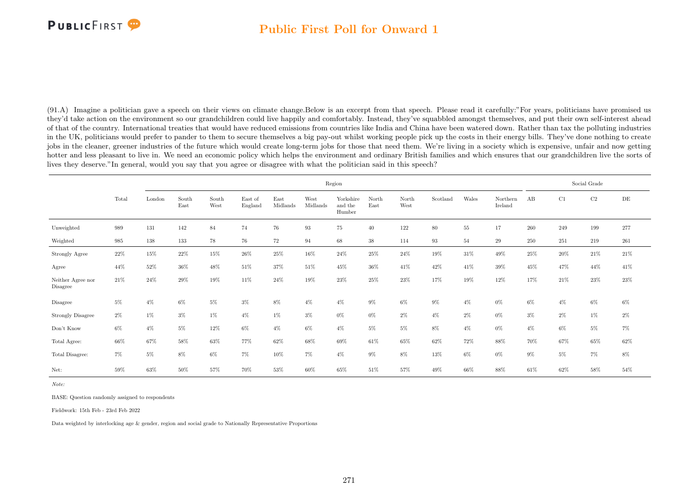### Public First Poll for Onward 1

(91.A) Imagine a politician gave a speech on their views on climate change.Below is an excerpt from that speech. Please read it carefully:"For years, politicians have promised us they'd take action on the environment so our grandchildren could live happily and comfortably. Instead, they've squabbled amongst themselves, and put their own self-interest ahead of that of the country. International treaties that would have reduced emissions from countries like India and China have been watered down. Rather than tax the polluting industries in the UK, politicians would prefer to pander to them to secure themselves a big pay-out whilst working people pick up the costs in their energy bills. They've done nothing to create jobs in the cleaner, greener industries of the future which would create long-term jobs for those that need them. We're living in a society which is expensive, unfair and now getting hotter and less pleasant to live in. We need an economic policy which helps the environment and ordinary British families and which ensures that our grandchildren live the sorts of lives they deserve."In general, would you say that you agree or disagree with what the politician said in this speech?

|                               |        |        |               |               |                    |                  |                  | Region                         |               |               |          |        |                     |         |         | Social Grade |        |
|-------------------------------|--------|--------|---------------|---------------|--------------------|------------------|------------------|--------------------------------|---------------|---------------|----------|--------|---------------------|---------|---------|--------------|--------|
|                               | Total  | London | South<br>East | South<br>West | East of<br>England | East<br>Midlands | West<br>Midlands | Yorkshire<br>and the<br>Humber | North<br>East | North<br>West | Scotland | Wales  | Northern<br>Ireland | AB      | C1      | $\rm C2$     | DE     |
| Unweighted                    | 989    | 131    | 142           | 84            | 74                 | 76               | 93               | $75\,$                         | 40            | 122           | $80\,$   | $55\,$ | 17                  | $260\,$ | $249\,$ | 199          | 277    |
| Weighted                      | 985    | 138    | 133           | 78            | 76                 | 72               | 94               | 68                             | 38            | 114           | 93       | 54     | 29                  | 250     | 251     | 219          | 261    |
| Strongly Agree                | $22\%$ | $15\%$ | $22\%$        | $15\%$        | $26\%$             | $25\%$           | $16\%$           | 24%                            | $25\%$        | $24\%$        | $19\%$   | $31\%$ | 49%                 | $25\%$  | $20\%$  | $21\%$       | $21\%$ |
| Agree                         | 44%    | 52%    | 36%           | 48%           | 51%                | 37%              | 51\%             | 45%                            | 36%           | 41\%          | 42\%     | 41\%   | $39\%$              | 45%     | 47%     | 44%          | 41\%   |
| Neither Agree nor<br>Disagree | 21\%   | 24%    | 29%           | 19%           | 11\%               | 24%              | 19%              | 23%                            | 25%           | 23%           | 17%      | 19%    | 12%                 | 17%     | 21%     | 23%          | $23\%$ |
| Disagree                      | $5\%$  | $4\%$  | $6\%$         | 5%            | $3\%$              | 8%               | $4\%$            | $4\%$                          | $9\%$         | $6\%$         | $9\%$    | $4\%$  | $0\%$               | $6\%$   | $4\%$   | $6\%$        | $6\%$  |
| <b>Strongly Disagree</b>      | $2\%$  | $1\%$  | $3\%$         | 1%            | $4\%$              | $1\%$            | $3\%$            | $0\%$                          | $0\%$         | $2\%$         | $4\%$    | $2\%$  | $0\%$               | $3\%$   | $2\%$   | $1\%$        | $2\%$  |
| Don't Know                    | $6\%$  | $4\%$  | $5\%$         | $12\%$        | $6\%$              | $4\%$            | $6\%$            | $4\%$                          | $5\%$         | $5\%$         | $8\%$    | $4\%$  | $0\%$               | $4\%$   | $6\%$   | $5\%$        | 7%     |
| Total Agree:                  | 66%    | 67%    | 58%           | 63%           | 77%                | 62%              | 68%              | 69%                            | 61%           | 65%           | 62%      | 72%    | 88%                 | 70%     | 67%     | 65%          | $62\%$ |
| Total Disagree:               | $7\%$  | $5\%$  | $8\%$         | 6%            | 7%                 | 10%              | $7\%$            | $4\%$                          | $9\%$         | $8\%$         | 13%      | $6\%$  | $0\%$               | $9\%$   | 5%      | $7\%$        | $8\%$  |
| Net:                          | 59%    | 63%    | 50%           | 57%           | 70%                | 53%              | 60%              | 65%                            | 51%           | 57%           | 49%      | 66%    | 88%                 | 61\%    | 62%     | 58%          | $54\%$ |

Note:

BASE: Question randomly assigned to respondents

Fieldwork: 15th Feb - 23rd Feb 2022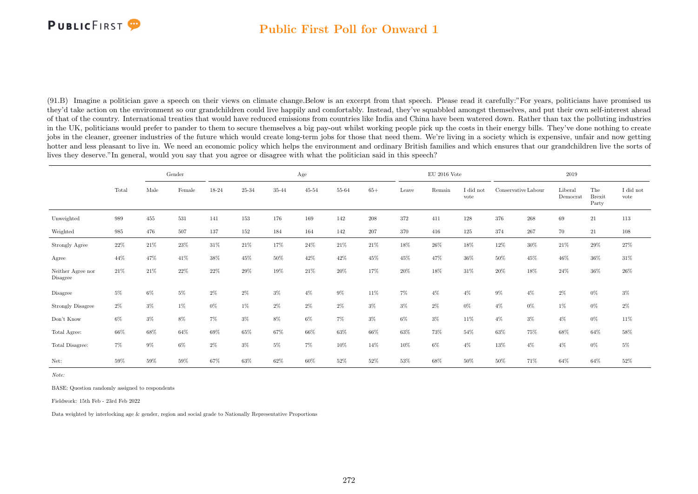### Public First Poll for Onward 1

(91.B) Imagine a politician gave a speech on their views on climate change.Below is an excerpt from that speech. Please read it carefully:"For years, politicians have promised us they'd take action on the environment so our grandchildren could live happily and comfortably. Instead, they've squabbled amongst themselves, and put their own self-interest ahead of that of the country. International treaties that would have reduced emissions from countries like India and China have been watered down. Rather than tax the polluting industries in the UK, politicians would prefer to pander to them to secure themselves a big pay-out whilst working people pick up the costs in their energy bills. They've done nothing to create jobs in the cleaner, greener industries of the future which would create long-term jobs for those that need them. We're living in a society which is expensive, unfair and now getting hotter and less pleasant to live in. We need an economic policy which helps the environment and ordinary British families and which ensures that our grandchildren live the sorts of lives they deserve."In general, would you say that you agree or disagree with what the politician said in this speech?

|                               |       |         | Gender<br>18-24<br>Male<br>Female |        |        |        | Age       |        |         |        | $EU$ 2016 Vote |                   |                     |         | 2019                |                               |                   |
|-------------------------------|-------|---------|-----------------------------------|--------|--------|--------|-----------|--------|---------|--------|----------------|-------------------|---------------------|---------|---------------------|-------------------------------|-------------------|
|                               | Total |         |                                   |        | 25-34  | 35-44  | $45 - 54$ | 55-64  | $65+$   | Leave  | Remain         | I did not<br>vote | Conservative Labour |         | Liberal<br>Democrat | The<br><b>Brexit</b><br>Party | I did not<br>vote |
| Unweighted                    | 989   | $455\,$ | 531                               | 141    | 153    | 176    | 169       | 142    | $\,208$ | 372    | 411            | 128               | 376                 | $268\,$ | 69                  | $21\,$                        | 113               |
| Weighted                      | 985   | 476     | 507                               | 137    | 152    | 184    | 164       | 142    | 207     | 370    | 416            | 125               | 374                 | 267     | 70                  | 21                            | 108               |
| Strongly Agree                | 22%   | $21\%$  | $23\%$                            | $31\%$ | $21\%$ | $17\%$ | $24\%$    | $21\%$ | $21\%$  | $18\%$ | $26\%$         | $18\%$            | 12%                 | 30%     | $21\%$              | $29\%$                        | $27\%$            |
| Agree                         | 44%   | 47%     | 41\%                              | $38\%$ | 45%    | 50%    | 42%       | 42\%   | 45%     | 45%    | 47%            | 36%               | $50\%$              | 45%     | 46%                 | 36%                           | 31\%              |
| Neither Agree nor<br>Disagree | 21%   | 21%     | 22%                               | $22\%$ | $29\%$ | 19%    | $21\%$    | $20\%$ | 17%     | $20\%$ | $18\%$         | $31\%$            | $20\%$              | 18%     | $24\%$              | $36\%$                        | $26\%$            |
| Disagree                      | $5\%$ | $6\%$   | 5%                                | $2\%$  | $2\%$  | $3\%$  | $4\%$     | $9\%$  | 11%     | $7\%$  | $4\%$          | $4\%$             | $9\%$               | $4\%$   | $2\%$               | $0\%$                         | $3\%$             |
| Strongly Disagree             | $2\%$ | $3\%$   | $1\%$                             | 0%     | 1%     | $2\%$  | $2\%$     | $2\%$  | $3\%$   | $3\%$  | $2\%$          | $0\%$             | $4\%$               | $0\%$   | 1%                  | $0\%$                         | $2\%$             |
| Don't Know                    | 6%    | $3\%$   | $8\%$                             | $7\%$  | $3\%$  | 8%     | $6\%$     | 7%     | $3\%$   | 6%     | $3\%$          | 11%               | $4\%$               | $3\%$   | $4\%$               | 0%                            | 11%               |
| Total Agree:                  | 66%   | $68\%$  | 64%                               | 69%    | $65\%$ | 67%    | 66%       | 63%    | 66%     | 63%    | 73%            | 54%               | 63%                 | 75%     | 68%                 | 64%                           | $58\%$            |
| Total Disagree:               | 7%    | $9\%$   | $6\%$                             | 2%     | $3\%$  | $5\%$  | $7\%$     | 10%    | 14%     | 10%    | $6\%$          | $4\%$             | 13%                 | $4\%$   | $4\%$               | 0%                            | $5\%$             |
| Net:                          | 59%   | 59%     | 59%                               | 67%    | 63%    | 62%    | $60\%$    | 52%    | 52%     | 53%    | 68%            | 50%               | $50\%$              | 71%     | 64%                 | 64%                           | $52\%$            |

Note:

BASE: Question randomly assigned to respondents

Fieldwork: 15th Feb - 23rd Feb 2022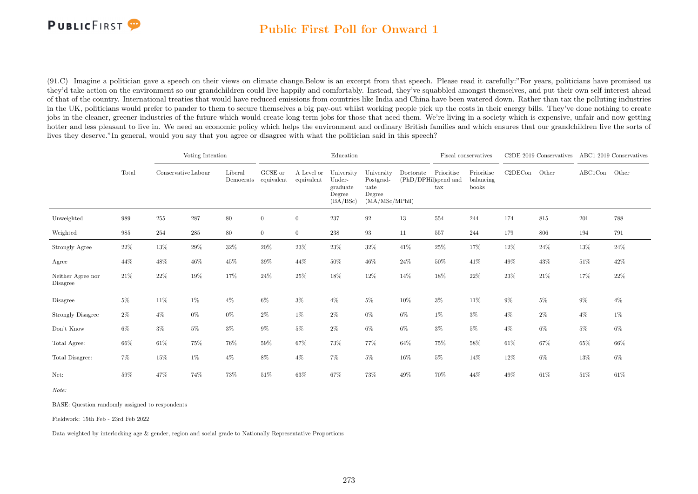

### Public First Poll for Onward 1

(91.C) Imagine a politician gave a speech on their views on climate change.Below is an excerpt from that speech. Please read it carefully:"For years, politicians have promised us they'd take action on the environment so our grandchildren could live happily and comfortably. Instead, they've squabbled amongst themselves, and put their own self-interest ahead of that of the country. International treaties that would have reduced emissions from countries like India and China have been watered down. Rather than tax the polluting industries in the UK, politicians would prefer to pander to them to secure themselves a big pay-out whilst working people pick up the costs in their energy bills. They've done nothing to create jobs in the cleaner, greener industries of the future which would create long-term jobs for those that need them. We're living in a society which is expensive, unfair and now getting hotter and less pleasant to live in. We need an economic policy which helps the environment and ordinary British families and which ensures that our grandchildren live the sorts of lives they deserve."In general, would you say that you agree or disagree with what the politician said in this speech?

|                               |        |                     | Voting Intention |                      |                       |                          | Education                                              |                                                             |                                   |                            | Fiscal conservatives             |         | C <sub>2</sub> DE 2019 Conservatives |         | ABC1 2019 Conservatives |
|-------------------------------|--------|---------------------|------------------|----------------------|-----------------------|--------------------------|--------------------------------------------------------|-------------------------------------------------------------|-----------------------------------|----------------------------|----------------------------------|---------|--------------------------------------|---------|-------------------------|
|                               | Total  | Conservative Labour |                  | Liberal<br>Democrats | GCSE or<br>equivalent | A Level or<br>equivalent | University<br>Under-<br>graduate<br>Degree<br>(BA/BSc) | University<br>Postgrad-<br>uate<br>Degree<br>(MA/MSc/MPhil) | Doctorate<br>(PhD/DPHil)spend and | Prioritise<br>$\text{tax}$ | Prioritise<br>balancing<br>books | C2DECon | Other                                | ABC1Con | Other                   |
| Unweighted                    | 989    | 255                 | 287              | 80                   | $\overline{0}$        | $\overline{0}$           | 237                                                    | $\boldsymbol{92}$                                           | $13\,$                            | 554                        | 244                              | 174     | 815                                  | 201     | 788                     |
| Weighted                      | 985    | 254                 | $285\,$          | $80\,$               | $\overline{0}$        | $\overline{0}$           | 238                                                    | 93                                                          | 11                                | 557                        | 244                              | 179     | 806                                  | 194     | 791                     |
| Strongly Agree                | $22\%$ | 13%                 | 29%              | $32\%$               | $20\%$                | 23%                      | 23\%                                                   | $32\%$                                                      | 41\%                              | $25\%$                     | 17%                              | 12%     | $24\%$                               | $13\%$  | $24\%$                  |
| Agree                         | 44%    | 48%                 | $46\%$           | $45\%$               | 39%                   | 44%                      | 50%                                                    | $46\%$                                                      | 24\%                              | 50%                        | 41\%                             | 49%     | $43\%$                               | $51\%$  | 42%                     |
| Neither Agree nor<br>Disagree | $21\%$ | $22\%$              | 19%              | 17%                  | $24\%$                | 25%                      | $18\%$                                                 | 12%                                                         | 14%                               | 18%                        | 22%                              | 23%     | $21\%$                               | 17%     | 22%                     |
| Disagree                      | $5\%$  | 11%                 | $1\%$            | $4\%$                | $6\%$                 | $3\%$                    | $4\%$                                                  | $5\%$                                                       | 10%                               | $3\%$                      | 11\%                             | $9\%$   | $5\%$                                | $9\%$   | $4\%$                   |
| <b>Strongly Disagree</b>      | $2\%$  | $4\%$               | $0\%$            | $0\%$                | $2\%$                 | $1\%$                    | $2\%$                                                  | $0\%$                                                       | $6\%$                             | $1\%$                      | $3\%$                            | $4\%$   | $2\%$                                | $4\%$   | $1\%$                   |
| Don't Know                    | $6\%$  | $3\%$               | $5\%$            | $3\%$                | $9\%$                 | $5\%$                    | $2\%$                                                  | 6%                                                          | $6\%$                             | $3\%$                      | $5\%$                            | $4\%$   | $6\%$                                | $5\%$   | $6\%$                   |
| $\!$ Total Agree:             | $66\%$ | $61\%$              | 75%              | 76%                  | 59%                   | 67%                      | 73%                                                    | 77%                                                         | 64%                               | 75%                        | 58%                              | 61\%    | 67%                                  | 65%     | 66%                     |
| Total Disagree:               | $7\%$  | 15%                 | $1\%$            | $4\%$                | $8\%$                 | $4\%$                    | 7%                                                     | $5\%$                                                       | $16\%$                            | $5\%$                      | 14%                              | 12%     | $6\%$                                | 13%     | $6\%$                   |
| Net:                          | 59%    | 47%                 | 74%              | 73%                  | 51\%                  | 63%                      | 67%                                                    | 73%                                                         | 49%                               | 70%                        | 44%                              | 49%     | $61\%$                               | 51%     | 61%                     |

Note:

BASE: Question randomly assigned to respondents

Fieldwork: 15th Feb - 23rd Feb 2022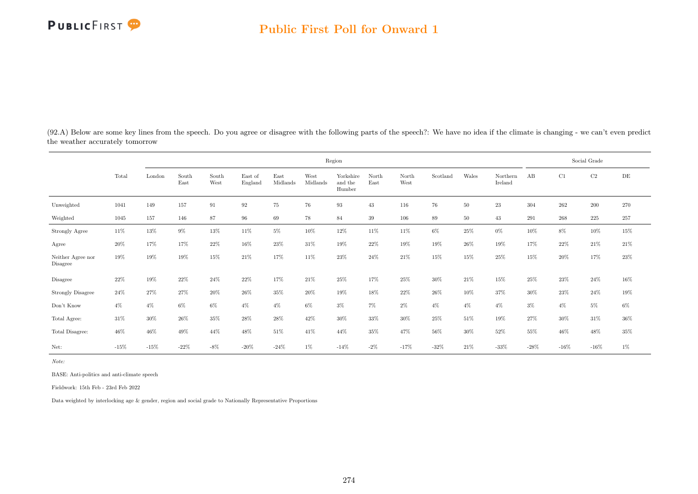

(92.A) Below are some key lines from the speech. Do you agree or disagree with the following parts of the speech?: We have no idea if the climate is changing - we can't even predict the weather accurately tomorrow

|                                     |        |        |               |               |                    |                  |                  | Region                         |               |               |          |        |                     |        |         | Social Grade |           |
|-------------------------------------|--------|--------|---------------|---------------|--------------------|------------------|------------------|--------------------------------|---------------|---------------|----------|--------|---------------------|--------|---------|--------------|-----------|
|                                     | Total  | London | South<br>East | South<br>West | East of<br>England | East<br>Midlands | West<br>Midlands | Yorkshire<br>and the<br>Humber | North<br>East | North<br>West | Scotland | Wales  | Northern<br>Ireland | AB     | C1      | $\rm C2$     | $\rm{DE}$ |
| Unweighted                          | 1041   | 149    | 157           | 91            | $\bf{92}$          | 75               | 76               | 93                             | $43\,$        | 116           | 76       | $50\,$ | 23                  | 304    | $262\,$ | $200\,$      | 270       |
| Weighted                            | 1045   | 157    | 146           | 87            | 96                 | 69               | 78               | 84                             | 39            | 106           | 89       | $50\,$ | 43                  | 291    | 268     | $225\,$      | 257       |
| Strongly Agree                      | 11\%   | 13%    | $9\%$         | 13%           | 11%                | $5\%$            | 10%              | $12\%$                         | 11%           | 11%           | $6\%$    | 25%    | $0\%$               | 10%    | 8%      | 10%          | 15%       |
| Agree                               | 20%    | 17%    | 17%           | $22\%$        | 16%                | 23%              | 31%              | 19%                            | 22%           | 19%           | 19%      | 26%    | 19%                 | 17%    | $22\%$  | 21\%         | $21\%$    |
| Neither Agree nor<br>Disagree       | 19%    | 19%    | 19%           | 15%           | 21\%               | 17%              | 11%              | 23%                            | 24%           | 21\%          | 15%      | 15%    | 25%                 | 15%    | 20%     | 17%          | 23%       |
| Disagree                            | 22%    | 19%    | 22%           | 24%           | 22%                | 17%              | 21%              | $25\%$                         | 17%           | 25%           | $30\%$   | 21\%   | 15%                 | 25%    | 23%     | $24\%$       | $16\%$    |
| <b>Strongly Disagree</b>            | $24\%$ | $27\%$ | 27%           | $20\%$        | $26\%$             | 35%              | $20\%$           | $19\%$                         | $18\%$        | 22%           | $26\%$   | $10\%$ | 37%                 | $30\%$ | 23%     | $24\%$       | $19\%$    |
| $\mathrm{Don't}$<br>$\mathrm{Know}$ | $4\%$  | $4\%$  | $6\%$         | $6\%$         | $4\%$              | $4\%$            | $6\%$            | $3\%$                          | $7\%$         | $2\%$         | $4\%$    | $4\%$  | $4\%$               | $3\%$  | $4\%$   | $5\%$        | $6\%$     |
| Total Agree:                        | $31\%$ | 30%    | 26%           | $35\%$        | $28\%$             | $28\%$           | 42%              | 30%                            | 33%           | 30%           | $25\%$   | 51%    | 19%                 | 27%    | 30%     | $31\%$       | $36\%$    |
| Total Disagree:                     | 46%    | 46%    | 49%           | 44%           | 48%                | 51%              | 41%              | 44%                            | 35%           | 47%           | $56\%$   | 30%    | 52%                 | 55%    | 46%     | 48%          | 35%       |
| Net:                                | $-15%$ | $-15%$ | $-22%$        | $-8\%$        | $-20\%$            | $-24%$           | $1\%$            | $-14%$                         | $-2\%$        | $-17%$        | $-32%$   | 21\%   | $-33%$              | $-28%$ | $-16\%$ | $-16\%$      | 1%        |

Note:

BASE: Anti-politics and anti-climate speech

Fieldwork: 15th Feb - 23rd Feb 2022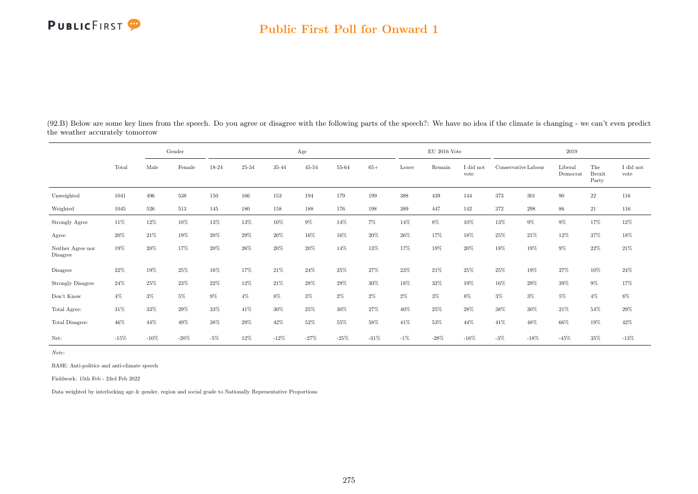#### Public First Poll for Onward 1

|                                     |        |         | Gender  |        |        |        | Age       |        |         |        | $\mathop{\rm EU}$ 2016 Vote |                               |        |                     | 2019                |                               |                   |
|-------------------------------------|--------|---------|---------|--------|--------|--------|-----------|--------|---------|--------|-----------------------------|-------------------------------|--------|---------------------|---------------------|-------------------------------|-------------------|
|                                     | Total  | Male    | Female  | 18-24  | 25-34  | 35-44  | $45 - 54$ | 55-64  | $65+$   | Leave  | Remain                      | $\rm I$ did $\rm not$<br>vote |        | Conservative Labour | Liberal<br>Democrat | The<br><b>Brexit</b><br>Party | I did not<br>vote |
| Unweighted                          | 1041   | 496     | 538     | 150    | 166    | 153    | 194       | 179    | 199     | 388    | 439                         | 144                           | 373    | 301                 | 90                  | $22\,$                        | 116               |
| Weighted                            | 1045   | 526     | 513     | 145    | 180    | 158    | 188       | 176    | 198     | 389    | 447                         | 142                           | 372    | $\boldsymbol{298}$  | 86                  | 21                            | 116               |
| Strongly Agree                      | 11\%   | 12%     | 10%     | 13%    | 13%    | 10%    | $9\%$     | 14%    | 7%      | 14%    | 8%                          | 10%                           | 13%    | $9\%$               | 9%                  | 17%                           | 12%               |
| Agree                               | $20\%$ | 21%     | 19%     | $20\%$ | $29\%$ | 20%    | 16%       | $16\%$ | 20%     | 26%    | 17%                         | $18\%$                        | 25%    | 21\%                | 12%                 | 37%                           | $18\%$            |
| Neither Agree nor<br>Disagree       | 19%    | 20%     | 17%     | 20%    | 26%    | 20%    | 20%       | 14%    | 13%     | 17%    | 19%                         | 20%                           | 18%    | 19%                 | $9\%$               | 22%                           | $21\%$            |
| Disagree                            | 22%    | 19%     | 25%     | 16%    | 17%    | 21\%   | 24\%      | 25%    | 27%     | 23%    | 21\%                        | 25%                           | 25%    | 19%                 | 27%                 | 10%                           | $24\%$            |
| <b>Strongly Disagree</b>            | 24%    | 25%     | 23%     | 22\%   | 12%    | 21\%   | 28%       | 29%    | 30%     | 18%    | 32%                         | 19%                           | 16%    | $29\%$              | $39\%$              | $9\%$                         | 17%               |
| $\mathrm{Don't}$<br>$\mathrm{Know}$ | $4\%$  | $3\%$   | $5\%$   | $9\%$  | $4\%$  | $8\%$  | $3\%$     | $2\%$  | $2\%$   | $2\%$  | $3\%$                       | 8%                            | $3\%$  | $3\%$               | $5\%$               | $4\%$                         | $8\%$             |
| Total Agree:                        | 31%    | 33%     | 29%     | $33\%$ | 41\%   | 30%    | 25%       | 30%    | 27%     | 40%    | 25%                         | 28%                           | 38%    | $30\%$              | 21\%                | 54%                           | 29%               |
| Total Disagree:                     | 46%    | 44%     | 49%     | 38%    | 29%    | 42%    | 52%       | 55%    | 58%     | 41\%   | 53%                         | 44%                           | 41\%   | 48%                 | 66%                 | 19%                           | $42\%$            |
| Net:                                | $-15%$ | $-10\%$ | $-20\%$ | $-5%$  | 12%    | $-12%$ | $-27%$    | $-25%$ | $-31\%$ | $-1\%$ | $-28%$                      | $-16%$                        | $-3\%$ | $-18%$              | $-45%$              | 35%                           | $-13\%$           |

(92.B) Below are some key lines from the speech. Do you agree or disagree with the following parts of the speech?: We have no idea if the climate is changing - we can't even predict the weather accurately tomorrow

Note:

BASE: Anti-politics and anti-climate speech

Fieldwork: 15th Feb - 23rd Feb 2022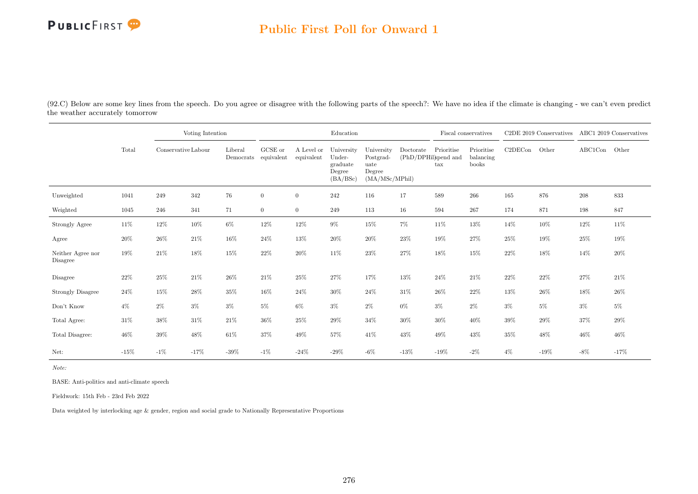### Public First Poll for Onward 1

(92.C) Below are some key lines from the speech. Do you agree or disagree with the following parts of the speech?: We have no idea if the climate is changing - we can't even predict the weather accurately tomorrow

|                               |        |                     | Voting Intention |                      |                       |                          | Education                                              |                                                             |           |                                                                           | Fiscal conservatives             |         | C2DE 2019 Conservatives |         | ABC1 2019 Conservatives |
|-------------------------------|--------|---------------------|------------------|----------------------|-----------------------|--------------------------|--------------------------------------------------------|-------------------------------------------------------------|-----------|---------------------------------------------------------------------------|----------------------------------|---------|-------------------------|---------|-------------------------|
|                               | Total  | Conservative Labour |                  | Liberal<br>Democrats | GCSE or<br>equivalent | A Level or<br>equivalent | University<br>Under-<br>graduate<br>Degree<br>(BA/BSc) | University<br>Postgrad-<br>uate<br>Degree<br>(MA/MSc/MPhil) | Doctorate | Prioritise<br>$(\mathrm{PhD}/\mathrm{DPHil})$ and<br>$\operatorname{tax}$ | Prioritise<br>balancing<br>books | C2DECon | Other                   | ABC1Con | Other                   |
| Unweighted                    | 1041   | 249                 | 342              | 76                   | $\overline{0}$        | $\overline{0}$           | 242                                                    | 116                                                         | 17        | 589                                                                       | 266                              | 165     | 876                     | 208     | 833                     |
| Weighted                      | 1045   | 246                 | 341              | 71                   | $\overline{0}$        | $\overline{0}$           | 249                                                    | 113                                                         | 16        | 594                                                                       | 267                              | 174     | 871                     | 198     | 847                     |
| Strongly Agree                | $11\%$ | 12%                 | 10%              | $6\%$                | $12\%$                | 12%                      | $9\%$                                                  | $15\%$                                                      | $7\%$     | $11\%$                                                                    | 13%                              | 14%     | $10\%$                  | 12%     | $11\%$                  |
| Agree                         | 20%    | $26\%$              | $21\%$           | 16%                  | $24\%$                | 13%                      | 20%                                                    | $20\%$                                                      | $23\%$    | 19%                                                                       | 27%                              | 25%     | 19%                     | 25%     | 19%                     |
| Neither Agree nor<br>Disagree | 19%    | $21\%$              | 18%              | 15%                  | $22\%$                | $20\%$                   | $11\%$                                                 | $23\%$                                                      | $27\%$    | 18%                                                                       | 15%                              | $22\%$  | $18\%$                  | 14%     | 20%                     |
| Disagree                      | 22%    | 25%                 | $21\%$           | 26%                  | 21%                   | 25%                      | 27%                                                    | 17%                                                         | 13%       | 24\%                                                                      | 21%                              | 22%     | $22\%$                  | 27%     | 21%                     |
| <b>Strongly Disagree</b>      | $24\%$ | $15\%$              | $28\%$           | 35%                  | 16%                   | 24%                      | $30\%$                                                 | $24\%$                                                      | $31\%$    | $26\%$                                                                    | 22%                              | 13%     | 26%                     | 18%     | $26\%$                  |
| Don't Know                    | $4\%$  | $2\%$               | $3\%$            | $3\%$                | $5\%$                 | $6\%$                    | $3\%$                                                  | $2\%$                                                       | $0\%$     | $3\%$                                                                     | $2\%$                            | $3\%$   | $5\%$                   | $3\%$   | $5\%$                   |
| Total Agree:                  | $31\%$ | 38%                 | 31\%             | 21%                  | $36\%$                | 25%                      | 29%                                                    | $34\%$                                                      | $30\%$    | 30%                                                                       | 40%                              | 39%     | 29%                     | 37%     | 29%                     |
| Total Disagree:               | $46\%$ | $39\%$              | $48\%$           | $61\%$               | 37%                   | 49%                      | 57%                                                    | 41\%                                                        | $43\%$    | 49%                                                                       | 43%                              | 35%     | 48%                     | 46%     | 46%                     |
| Net:                          | $-15%$ | $-1\%$              | $-17%$           | $-39\%$              | $-1\%$                | $-24%$                   | -29%                                                   | $-6\%$                                                      | $-13%$    | $-19\%$                                                                   | $-2\%$                           | $4\%$   | $-19\%$                 | $-8\%$  | $-17%$                  |

Note:

BASE: Anti-politics and anti-climate speech

Fieldwork: 15th Feb - 23rd Feb 2022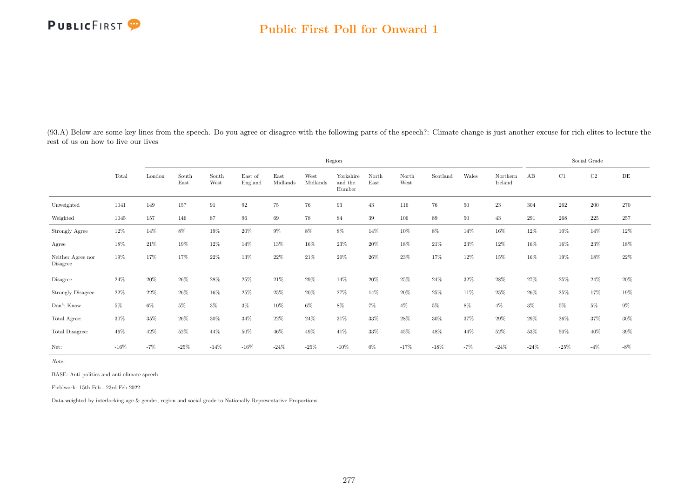

(93.A) Below are some key lines from the speech. Do you agree or disagree with the following parts of the speech?: Climate change is just another excuse for rich elites to lecture the rest of us on how to live our lives

|                                     |        |        |               |               |                    |                  |                  | Region                         |               |               |          |        |                     |        |        | Social Grade |           |
|-------------------------------------|--------|--------|---------------|---------------|--------------------|------------------|------------------|--------------------------------|---------------|---------------|----------|--------|---------------------|--------|--------|--------------|-----------|
|                                     | Total  | London | South<br>East | South<br>West | East of<br>England | East<br>Midlands | West<br>Midlands | Yorkshire<br>and the<br>Humber | North<br>East | North<br>West | Scotland | Wales  | Northern<br>Ireland | AB     | C1     | $\rm C2$     | $\rm{DE}$ |
| Unweighted                          | 1041   | 149    | 157           | 91            | $\boldsymbol{92}$  | 75               | 76               | 93                             | 43            | 116           | 76       | $50\,$ | 23                  | 304    | 262    | $200\,$      | 270       |
| Weighted                            | 1045   | 157    | 146           | 87            | 96                 | 69               | 78               | 84                             | 39            | 106           | 89       | 50     | 43                  | 291    | 268    | 225          | 257       |
| Strongly Agree                      | 12%    | 14%    | 8%            | 19%           | $20\%$             | $9\%$            | $8\%$            | 8%                             | 14%           | 10%           | 8%       | 14%    | 16%                 | 12%    | 10%    | 14%          | 12%       |
| Agree                               | 18%    | 21\%   | 19%           | 12%           | 14%                | 13%              | 16%              | 23%                            | 20%           | 18%           | 21\%     | 23%    | 12%                 | 16%    | 16%    | 23%          | $18\%$    |
| Neither Agree nor<br>Disagree       | 19%    | 17%    | 17%           | 22\%          | 13%                | 22%              | 21\%             | 20%                            | 26%           | 23%           | 17%      | 12%    | 15%                 | 16%    | 19%    | 18%          | 22%       |
| Disagree                            | 24%    | 20%    | 26%           | $28\%$        | $25\%$             | 21%              | 29%              | 14%                            | 20%           | 25%           | 24\%     | $32\%$ | 28%                 | 27%    | 25%    | 24\%         | $20\%$    |
| <b>Strongly Disagree</b>            | 22%    | $22\%$ | $26\%$        | $16\%$        | $25\%$             | $25\%$           | $20\%$           | 27%                            | 14%           | $20\%$        | 25%      | 11%    | 25%                 | $26\%$ | $25\%$ | $17\%$       | $19\%$    |
| $\mathrm{Don't}$<br>$\mathrm{Know}$ | $5\%$  | $6\%$  | $5\%$         | $3\%$         | $3\%$              | $10\%$           | $6\%$            | $8\%$                          | $7\%$         | $4\%$         | $5\%$    | 8%     | $4\%$               | $3\%$  | $5\%$  | $5\%$        | $9\%$     |
| Total Agree:                        | 30%    | 35%    | $26\%$        | $30\%$        | $34\%$             | $22\%$           | 24\%             | 31\%                           | 33%           | $28\%$        | $30\%$   | 37%    | $29\%$              | 29%    | $26\%$ | 37%          | $30\%$    |
| Total Disagree:                     | 46%    | 42%    | 52%           | 44\%          | 50%                | 46%              | 49%              | 41\%                           | 33%           | 45%           | 48%      | 44%    | 52%                 | $53\%$ | $50\%$ | 40%          | 39%       |
| Net:                                | $-16%$ | $-7%$  | $-25%$        | $-14%$        | $-16\%$            | $-24%$           | $-25%$           | $-10\%$                        | $0\%$         | $-17%$        | $-18\%$  | $-7%$  | $-24%$              | $-24%$ | $-25%$ | $-4\%$       | $-8\%$    |

Note:

BASE: Anti-politics and anti-climate speech

Fieldwork: 15th Feb - 23rd Feb 2022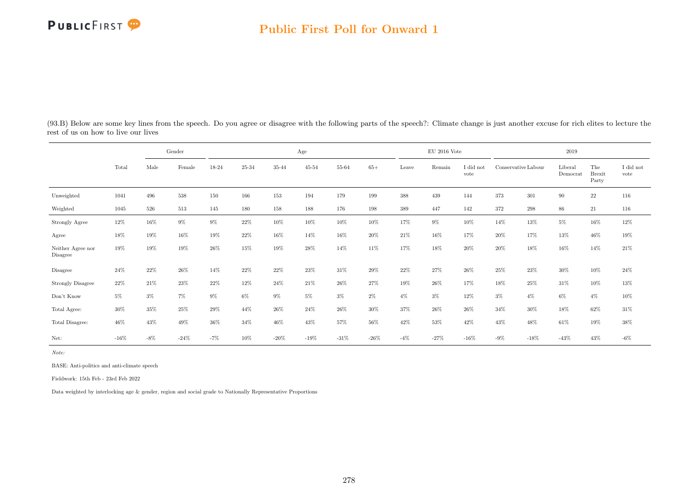#### Public First Poll for Onward 1

|                                     |         |        | Gender |        |        |        | Age            |        |         |        | $EU$ 2016 Vote |                               |        |                     | 2019                |                               |                               |
|-------------------------------------|---------|--------|--------|--------|--------|--------|----------------|--------|---------|--------|----------------|-------------------------------|--------|---------------------|---------------------|-------------------------------|-------------------------------|
|                                     | Total   | Male   | Female | 18-24  | 25-34  | 35-44  | $45\hbox{-}54$ | 55-64  | $65+$   | Leave  | Remain         | $\rm I$ did $\rm not$<br>vote |        | Conservative Labour | Liberal<br>Democrat | The<br><b>Brexit</b><br>Party | $\rm I$ did $\rm not$<br>vote |
| Unweighted                          | 1041    | 496    | 538    | 150    | 166    | 153    | 194            | 179    | 199     | 388    | 439            | 144                           | 373    | 301                 | 90                  | $22\,$                        | 116                           |
| Weighted                            | 1045    | 526    | 513    | 145    | 180    | 158    | 188            | 176    | 198     | 389    | 447            | 142                           | 372    | $\,298$             | 86                  | 21                            | 116                           |
| Strongly Agree                      | 12%     | 16%    | $9\%$  | 9%     | 22%    | 10%    | 10%            | $10\%$ | 10%     | 17%    | $9\%$          | 10%                           | 14%    | 13%                 | $5\%$               | 16%                           | 12%                           |
| Agree                               | $18\%$  | 19%    | 16%    | 19%    | 22%    | 16%    | 14%            | 16%    | 20%     | 21\%   | 16%            | 17%                           | 20%    | 17%                 | 13%                 | 46%                           | $19\%$                        |
| Neither Agree nor<br>Disagree       | 19%     | 19%    | 19%    | 26%    | 15%    | 19%    | 28%            | 14%    | 11%     | 17%    | 18%            | 20%                           | 20%    | 18%                 | 16%                 | 14%                           | $21\%$                        |
| Disagree                            | 24%     | 22%    | 26%    | 14%    | 22%    | 22%    | 23%            | 31\%   | 29%     | 22%    | 27%            | 26%                           | 25%    | 23%                 | $30\%$              | $10\%$                        | 24%                           |
| <b>Strongly Disagree</b>            | 22%     | 21%    | 23%    | 22\%   | 12%    | 24\%   | 21\%           | $26\%$ | 27%     | 19%    | 26%            | 17%                           | 18%    | 25%                 | 31\%                | 10%                           | 13%                           |
| $\mathrm{Don't}$<br>$\mathrm{Know}$ | $5\%$   | $3\%$  | 7%     | 9%     | 6%     | $9\%$  | $5\%$          | $3\%$  | $2\%$   | $4\%$  | $3\%$          | 12%                           | $3\%$  | $4\%$               | $6\%$               | $4\%$                         | $10\%$                        |
| Total Agree:                        | 30%     | 35%    | 25%    | $29\%$ | 44%    | 26%    | 24\%           | 26%    | 30%     | 37%    | 26%            | 26%                           | 34%    | 30%                 | 18%                 | 62%                           | 31\%                          |
| Total Disagree:                     | 46%     | 43%    | 49%    | 36%    | 34%    | 46%    | 43%            | 57%    | $56\%$  | 42%    | 53%            | 42\%                          | 43%    | 48%                 | 61\%                | 19%                           | $38\%$                        |
| Net:                                | $-16\%$ | $-8\%$ | $-24%$ | $-7%$  | $10\%$ | $-20%$ | $-19\%$        | $-31%$ | $-26\%$ | $-4\%$ | $-27%$         | $-16\%$                       | $-9\%$ | $-18%$              | $-43\%$             | 43%                           | $-6\%$                        |

(93.B) Below are some key lines from the speech. Do you agree or disagree with the following parts of the speech?: Climate change is just another excuse for rich elites to lecture the rest of us on how to live our lives

Note:

BASE: Anti-politics and anti-climate speech

Fieldwork: 15th Feb - 23rd Feb 2022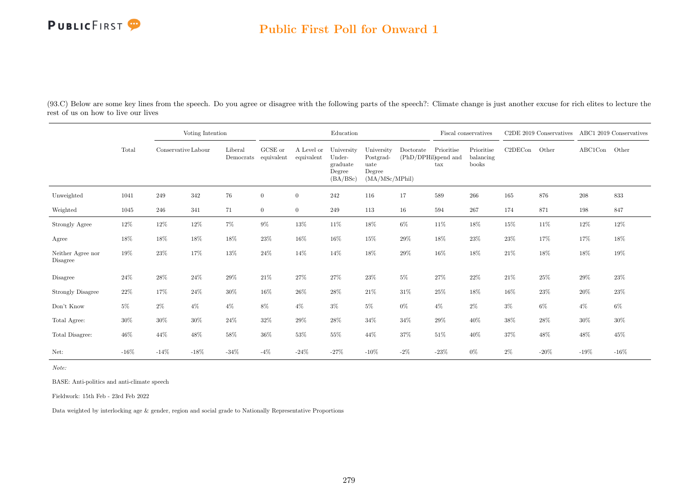## Public First Poll for Onward 1

(93.C) Below are some key lines from the speech. Do you agree or disagree with the following parts of the speech?: Climate change is just another excuse for rich elites to lecture the rest of us on how to live our lives

|                               |         |                     | Voting Intention |         |                                 |                          | Education                                              |                                                             |           |                                           | Fiscal conservatives             |         | C2DE 2019 Conservatives ABC1 2019 Conservatives |         |        |
|-------------------------------|---------|---------------------|------------------|---------|---------------------------------|--------------------------|--------------------------------------------------------|-------------------------------------------------------------|-----------|-------------------------------------------|----------------------------------|---------|-------------------------------------------------|---------|--------|
|                               | Total   | Conservative Labour |                  | Liberal | GCSE or<br>Democrats equivalent | A Level or<br>equivalent | University<br>Under-<br>graduate<br>Degree<br>(BA/BSc) | University<br>Postgrad-<br>uate<br>Degree<br>(MA/MSc/MPhil) | Doctorate | Prioritise<br>(PhD/DPHil)spend and<br>tax | Prioritise<br>balancing<br>books | C2DECon | Other                                           | ABC1Con | Other  |
| Unweighted                    | 1041    | 249                 | $342\,$          | 76      | $\boldsymbol{0}$                | $\overline{0}$           | $242\,$                                                | 116                                                         | 17        | 589                                       | 266                              | 165     | 876                                             | 208     | 833    |
| Weighted                      | 1045    | 246                 | 341              | 71      | $\overline{0}$                  | $\overline{0}$           | 249                                                    | 113                                                         | 16        | 594                                       | 267                              | 174     | 871                                             | 198     | 847    |
| Strongly Agree                | $12\%$  | 12%                 | $12\%$           | $7\%$   | $9\%$                           | $13\%$                   | 11%                                                    | 18%                                                         | $6\%$     | $11\%$                                    | 18%                              | 15%     | $11\%$                                          | 12%     | $12\%$ |
| Agree                         | 18%     | 18%                 | 18%              | 18%     | 23%                             | 16%                      | 16%                                                    | 15%                                                         | 29%       | $18\%$                                    | 23%                              | 23%     | 17%                                             | 17%     | 18%    |
| Neither Agree nor<br>Disagree | 19%     | 23%                 | 17%              | 13%     | 24\%                            | 14%                      | $14\%$                                                 | 18%                                                         | 29%       | 16%                                       | 18%                              | $21\%$  | 18%                                             | 18%     | 19%    |
| Disagree                      | 24%     | $28\%$              | 24%              | $29\%$  | 21%                             | 27%                      | 27%                                                    | 23%                                                         | $5\%$     | 27%                                       | 22%                              | 21%     | 25%                                             | 29%     | 23%    |
| <b>Strongly Disagree</b>      | 22%     | 17%                 | 24%              | 30%     | 16%                             | 26%                      | $28\%$                                                 | 21%                                                         | 31%       | 25%                                       | 18%                              | 16%     | $23\%$                                          | 20%     | 23%    |
| Don't Know                    | $5\%$   | $2\%$               | $4\%$            | $4\%$   | $8\%$                           | $4\%$                    | $3\%$                                                  | $5\%$                                                       | $0\%$     | $4\%$                                     | $2\%$                            | $3\%$   | $6\%$                                           | $4\%$   | $6\%$  |
| Total Agree:                  | $30\%$  | 30%                 | $30\%$           | 24\%    | 32%                             | 29%                      | 28%                                                    | $34\%$                                                      | 34%       | 29%                                       | 40%                              | 38%     | $28\%$                                          | 30%     | 30%    |
| Total Disagree:               | $46\%$  | 44%                 | $48\%$           | $58\%$  | 36%                             | 53%                      | $55\%$                                                 | 44%                                                         | $37\%$    | 51%                                       | 40%                              | 37%     | 48%                                             | 48%     | 45%    |
| Net:                          | $-16\%$ | $-14%$              | $-18%$           | $-34\%$ | $-4\%$                          | $-24\%$                  | $-27%$                                                 | $-10%$                                                      | $-2\%$    | $-23%$                                    | $0\%$                            | $2\%$   | $-20\%$                                         | $-19%$  | $-16%$ |

Note:

BASE: Anti-politics and anti-climate speech

Fieldwork: 15th Feb - 23rd Feb 2022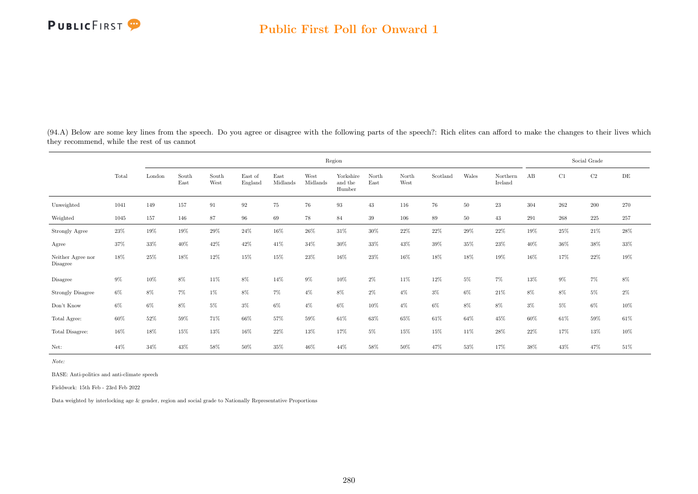(94.A) Below are some key lines from the speech. Do you agree or disagree with the following parts of the speech?: Rich elites can afford to make the changes to their lives which they recommend, while the rest of us cannot

|                               |        |        |               |               |                    |                  |                  | Region                         |               |               |          |        |                     |       |       | Social Grade |        |
|-------------------------------|--------|--------|---------------|---------------|--------------------|------------------|------------------|--------------------------------|---------------|---------------|----------|--------|---------------------|-------|-------|--------------|--------|
|                               | Total  | London | South<br>East | South<br>West | East of<br>England | East<br>Midlands | West<br>Midlands | Yorkshire<br>and the<br>Humber | North<br>East | North<br>West | Scotland | Wales  | Northern<br>Ireland | AB    | C1    | C2           | DE     |
| Unweighted                    | 1041   | 149    | 157           | 91            | $\,92$             | $75\,$           | 76               | 93                             | $43\,$        | 116           | 76       | $50\,$ | $23\,$              | 304   | 262   | $200\,$      | 270    |
| Weighted                      | 1045   | 157    | 146           | 87            | $96\,$             | 69               | 78               | 84                             | 39            | 106           | 89       | 50     | 43                  | 291   | 268   | $225\,$      | 257    |
| Strongly Agree                | $23\%$ | 19%    | 19%           | $29\%$        | 24\%               | $16\%$           | $26\%$           | 31\%                           | 30%           | $22\%$        | 22%      | 29%    | $22\%$              | 19%   | 25%   | 21\%         | $28\%$ |
| Agree                         | 37%    | 33%    | 40%           | 42%           | 42\%               | 41\%             | 34%              | 30%                            | 33%           | 43%           | $39\%$   | $35\%$ | 23%                 | 40%   | 36%   | 38%          | $33\%$ |
| Neither Agree nor<br>Disagree | 18%    | 25%    | 18%           | 12%           | 15%                | 15%              | 23%              | 16%                            | 23%           | 16%           | 18%      | 18%    | 19%                 | 16%   | 17%   | $22\%$       | 19%    |
| Disagree                      | $9\%$  | 10%    | $8\%$         | 11%           | $8\%$              | 14%              | $9\%$            | $10\%$                         | $2\%$         | 11%           | 12%      | $5\%$  | $7\%$               | 13%   | $9\%$ | 7%           | $8\%$  |
| <b>Strongly Disagree</b>      | $6\%$  | $8\%$  | $7\%$         | $1\%$         | $8\%$              | $7\%$            | $4\%$            | $8\%$                          | $2\%$         | $4\%$         | $3\%$    | $6\%$  | 21\%                | 8%    | $8\%$ | $5\%$        | $2\%$  |
| Don't Know                    | $6\%$  | $6\%$  | $8\%$         | $5\%$         | $3\%$              | $6\%$            | $4\%$            | $6\%$                          | $10\%$        | $4\%$         | $6\%$    | 8%     | 8%                  | $3\%$ | $5\%$ | $6\%$        | $10\%$ |
| Total Agree:                  | $60\%$ | $52\%$ | 59%           | 71%           | $66\%$             | $57\%$           | 59%              | 61\%                           | 63%           | 65%           | 61%      | 64%    | 45%                 | 60%   | 61\%  | 59%          | 61%    |
| Total Disagree:               | 16%    | 18%    | 15%           | 13%           | 16%                | 22%              | 13%              | 17%                            | $5\%$         | 15%           | 15%      | 11%    | $28\%$              | 22%   | 17%   | 13%          | 10%    |
| Net:                          | 44%    | 34%    | 43%           | 58%           | 50%                | 35%              | 46%              | 44%                            | 58%           | 50%           | 47%      | 53%    | 17%                 | 38%   | 43%   | 47%          | 51%    |

Note:

BASE: Anti-politics and anti-climate speech

Fieldwork: 15th Feb - 23rd Feb 2022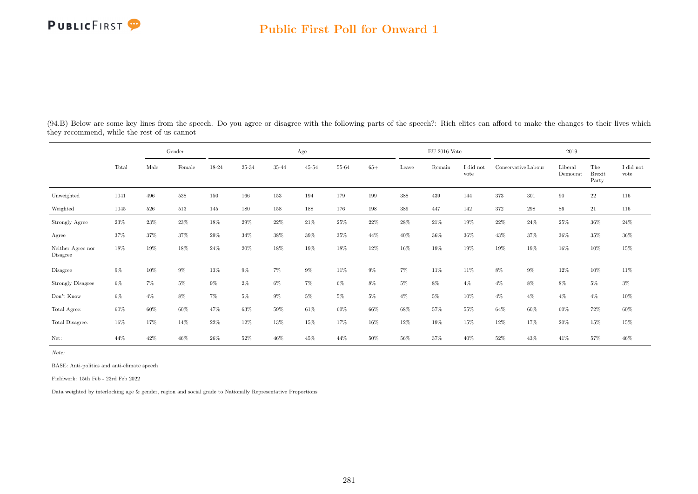#### Public First Poll for Onward 1

|                                     |        |        | Gender |        |        |       | Age       |        |        |        | $EU$ 2016 Vote |                   |                     |         | 2019                |                               |                   |
|-------------------------------------|--------|--------|--------|--------|--------|-------|-----------|--------|--------|--------|----------------|-------------------|---------------------|---------|---------------------|-------------------------------|-------------------|
|                                     | Total  | Male   | Female | 18-24  | 25-34  | 35-44 | $45 - 54$ | 55-64  | $65+$  | Leave  | Remain         | I did not<br>vote | Conservative Labour |         | Liberal<br>Democrat | The<br><b>Brexit</b><br>Party | I did not<br>vote |
| Unweighted                          | 1041   | 496    | 538    | 150    | 166    | 153   | 194       | 179    | 199    | 388    | 439            | 144               | 373                 | 301     | 90                  | $22\,$                        | 116               |
| Weighted                            | 1045   | 526    | 513    | 145    | 180    | 158   | 188       | 176    | 198    | 389    | 447            | 142               | 372                 | $\,298$ | 86                  | 21                            | 116               |
| Strongly Agree                      | $23\%$ | 23%    | $23\%$ | 18%    | $29\%$ | 22%   | 21\%      | $25\%$ | $22\%$ | $28\%$ | 21%            | $19\%$            | $22\%$              | 24\%    | $25\%$              | $36\%$                        | $24\%$            |
| Agree                               | $37\%$ | 37%    | 37%    | $29\%$ | 34%    | 38%   | 39%       | 35%    | 44%    | 40%    | 36%            | $36\%$            | $43\%$              | 37%     | $36\%$              | $35\%$                        | $36\%$            |
| Neither Agree nor<br>Disagree       | 18%    | 19%    | 18%    | 24%    | 20%    | 18%   | 19%       | 18%    | 12%    | 16%    | 19%            | 19%               | 19%                 | 19%     | 16%                 | 10%                           | $15\%$            |
| Disagree                            | $9\%$  | 10%    | $9\%$  | $13\%$ | $9\%$  | $7\%$ | $9\%$     | 11%    | $9\%$  | $7\%$  | 11%            | 11%               | 8%                  | $9\%$   | 12%                 | $10\%$                        | 11%               |
| <b>Strongly Disagree</b>            | $6\%$  | $7\%$  | $5\%$  | $9\%$  | $2\%$  | $6\%$ | $7\%$     | $6\%$  | 8%     | $5\%$  | 8%             | $4\%$             | $4\%$               | 8%      | $8\%$               | $5\%$                         | $3\%$             |
| $\mathrm{Don't}$<br>$\mathrm{Know}$ | $6\%$  | $4\%$  | $8\%$  | 7%     | $5\%$  | $9\%$ | $5\%$     | $5\%$  | $5\%$  | $4\%$  | $5\%$          | $10\%$            | $4\%$               | $4\%$   | $4\%$               | $4\%$                         | $10\%$            |
| Total Agree:                        | 60%    | $60\%$ | $60\%$ | 47%    | $63\%$ | 59%   | $61\%$    | $60\%$ | 66%    | 68%    | 57%            | 55%               | 64%                 | 60%     | 60%                 | $72\%$                        | $60\%$            |
| Total Disagree:                     | 16%    | 17%    | 14%    | 22%    | 12%    | 13%   | 15%       | 17%    | 16%    | 12%    | 19%            | 15%               | 12%                 | 17%     | $20\%$              | 15%                           | $15\%$            |
| Net:                                | 44%    | 42%    | 46%    | 26%    | 52%    | 46%   | 45%       | 44%    | 50%    | 56%    | 37%            | 40%               | 52%                 | 43%     | 41%                 | 57%                           | 46%               |

(94.B) Below are some key lines from the speech. Do you agree or disagree with the following parts of the speech?: Rich elites can afford to make the changes to their lives which they recommend, while the rest of us cannot

Note:

BASE: Anti-politics and anti-climate speech

Fieldwork: 15th Feb - 23rd Feb 2022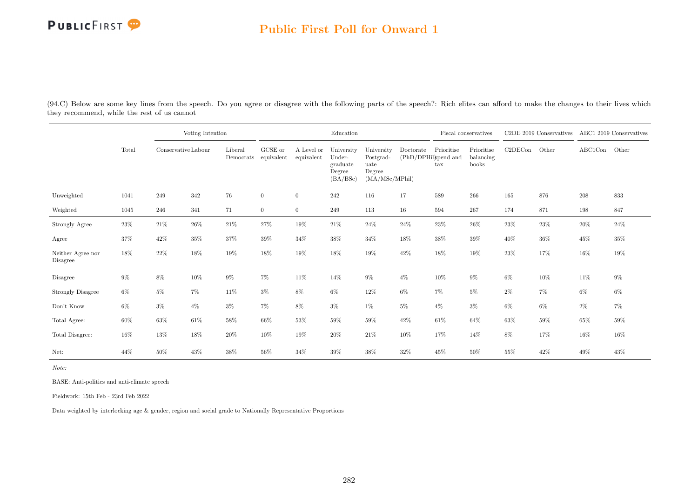### Public First Poll for Onward 1

(94.C) Below are some key lines from the speech. Do you agree or disagree with the following parts of the speech?: Rich elites can afford to make the changes to their lives which they recommend, while the rest of us cannot

|                               |        |                     | Voting Intention |         |                                 |                          | Education                                              |                                                             |                                   |                   | Fiscal conservatives             |         | C2DE 2019 Conservatives |         | ABC1 2019 Conservatives |
|-------------------------------|--------|---------------------|------------------|---------|---------------------------------|--------------------------|--------------------------------------------------------|-------------------------------------------------------------|-----------------------------------|-------------------|----------------------------------|---------|-------------------------|---------|-------------------------|
|                               | Total  | Conservative Labour |                  | Liberal | GCSE or<br>Democrats equivalent | A Level or<br>equivalent | University<br>Under-<br>graduate<br>Degree<br>(BA/BSc) | University<br>Postgrad-<br>uate<br>Degree<br>(MA/MSc/MPhil) | Doctorate<br>(PhD/DPHil)spend and | Prioritise<br>tax | Prioritise<br>balancing<br>books | C2DECon | Other                   | ABC1Con | Other                   |
| Unweighted                    | 1041   | 249                 | 342              | 76      | $\overline{0}$                  | $\overline{0}$           | 242                                                    | 116                                                         | 17                                | 589               | 266                              | 165     | 876                     | 208     | 833                     |
| Weighted                      | 1045   | 246                 | 341              | 71      | $\overline{0}$                  | $\overline{0}$           | 249                                                    | 113                                                         | 16                                | 594               | 267                              | 174     | 871                     | 198     | 847                     |
| Strongly Agree                | 23\%   | 21\%                | $26\%$           | $21\%$  | 27%                             | 19%                      | $21\%$                                                 | $24\%$                                                      | 24%                               | $23\%$            | $26\%$                           | $23\%$  | $23\%$                  | 20%     | $24\%$                  |
| Agree                         | 37%    | 42%                 | 35%              | 37%     | $39\%$                          | $34\%$                   | $38\%$                                                 | $34\%$                                                      | 18%                               | 38%               | $39\%$                           | 40%     | $36\%$                  | 45%     | 35%                     |
| Neither Agree nor<br>Disagree | 18%    | $22\%$              | $18\%$           | $19\%$  | 18%                             | 19%                      | $18\%$                                                 | 19%                                                         | $42\%$                            | 18%               | 19%                              | $23\%$  | 17%                     | 16%     | 19%                     |
| Disagree                      | $9\%$  | $8\%$               | 10%              | $9\%$   | 7%                              | 11\%                     | $14\%$                                                 | $9\%$                                                       | $4\%$                             | $10\%$            | $9\%$                            | $6\%$   | $10\%$                  | 11%     | $9\%$                   |
| <b>Strongly Disagree</b>      | $6\%$  | $5\%$               | $7\%$            | 11%     | $3\%$                           | 8%                       | $6\%$                                                  | $12\%$                                                      | $6\%$                             | $7\%$             | $5\%$                            | $2\%$   | $7\%$                   | $6\%$   | $6\%$                   |
| Don't Know                    | $6\%$  | $3\%$               | $4\%$            | $3\%$   | 7%                              | 8%                       | $3\%$                                                  | 1%                                                          | $5\%$                             | $4\%$             | $3\%$                            | $6\%$   | $6\%$                   | $2\%$   | $7\%$                   |
| Total Agree:                  | $60\%$ | 63%                 | $61\%$           | 58%     | $66\%$                          | 53%                      | $59\%$                                                 | $59\%$                                                      | $42\%$                            | 61\%              | $64\%$                           | 63%     | $59\%$                  | 65%     | $59\%$                  |
| Total Disagree:               | 16%    | 13%                 | 18%              | $20\%$  | 10%                             | 19%                      | $20\%$                                                 | $21\%$                                                      | 10%                               | 17%               | 14%                              | 8%      | 17%                     | 16%     | 16%                     |
| Net:                          | 44%    | 50%                 | 43%              | 38%     | 56%                             | 34%                      | 39%                                                    | 38%                                                         | 32%                               | 45%               | 50%                              | 55%     | 42\%                    | 49%     | 43%                     |

Note:

BASE: Anti-politics and anti-climate speech

Fieldwork: 15th Feb - 23rd Feb 2022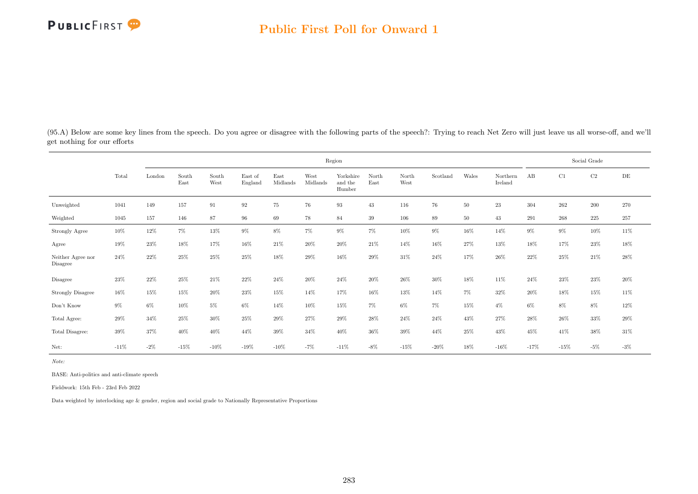

(95.A) Below are some key lines from the speech. Do you agree or disagree with the following parts of the speech?: Trying to reach Net Zero will just leave us all worse-off, and we'll get nothing for our efforts

|                                     |         |        |               |               |                    |                  |                  | Region                         |               |               |          |        |                     |        |         | Social Grade |           |
|-------------------------------------|---------|--------|---------------|---------------|--------------------|------------------|------------------|--------------------------------|---------------|---------------|----------|--------|---------------------|--------|---------|--------------|-----------|
|                                     | Total   | London | South<br>East | South<br>West | East of<br>England | East<br>Midlands | West<br>Midlands | Yorkshire<br>and the<br>Humber | North<br>East | North<br>West | Scotland | Wales  | Northern<br>Ireland | AB     | C1      | C2           | $\rm{DE}$ |
| Unweighted                          | 1041    | 149    | 157           | 91            | $\rm 92$           | 75               | 76               | $\boldsymbol{93}$              | 43            | 116           | 76       | $50\,$ | 23                  | 304    | $262\,$ | $200\,$      | 270       |
| Weighted                            | 1045    | 157    | 146           | 87            | 96                 | 69               | 78               | 84                             | 39            | 106           | 89       | $50\,$ | 43                  | 291    | 268     | $225\,$      | 257       |
| Strongly Agree                      | 10%     | $12\%$ | 7%            | $13\%$        | $9\%$              | $8\%$            | $7\%$            | 9%                             | 7%            | 10%           | $9\%$    | 16%    | 14%                 | $9\%$  | $9\%$   | 10%          | 11%       |
| Agree                               | 19%     | 23%    | 18%           | 17%           | 16%                | 21\%             | 20%              | 20%                            | 21%           | 14%           | 16%      | 27%    | 13%                 | 18%    | 17%     | 23%          | 18%       |
| Neither Agree nor<br>Disagree       | 24%     | 22%    | 25%           | 25%           | 25%                | 18%              | 29%              | 16%                            | 29%           | 31%           | 24\%     | 17%    | 26%                 | 22%    | 25%     | 21\%         | 28%       |
| Disagree                            | 23%     | $22\%$ | $25\%$        | $21\%$        | $22\%$             | 24\%             | $20\%$           | 24%                            | $20\%$        | $26\%$        | $30\%$   | $18\%$ | 11\%                | 24\%   | $23\%$  | $23\%$       | $20\%$    |
| <b>Strongly Disagree</b>            | 16%     | 15%    | 15%           | 20%           | 23%                | 15%              | 14%              | 17%                            | 16%           | 13%           | 14%      | $7\%$  | 32%                 | 20%    | 18%     | 15%          | 11%       |
| $\mathrm{Don't}$<br>$\mathrm{Know}$ | $9\%$   | $6\%$  | $10\%$        | $5\%$         | $6\%$              | 14%              | $10\%$           | 15%                            | $7\%$         | $6\%$         | $7\%$    | 15%    | $4\%$               | $6\%$  | 8%      | $8\%$        | $12\%$    |
| Total Agree:                        | 29%     | 34%    | 25%           | $30\%$        | 25%                | 29%              | 27%              | 29%                            | 28%           | 24%           | 24\%     | 43%    | 27%                 | 28%    | 26\%    | 33%          | $29\%$    |
| Total Disagree:                     | 39%     | 37%    | 40%           | 40%           | 44%                | 39%              | 34%              | 40%                            | 36%           | $39\%$        | 44%      | 25%    | 43%                 | 45%    | 41\%    | 38%          | $31\%$    |
| Net:                                | $-11\%$ | $-2\%$ | $-15\%$       | $-10%$        | $-19\%$            | $-10%$           | $-7%$            | $-11%$                         | $-8\%$        | $-15%$        | $-20%$   | 18%    | $-16%$              | $-17%$ | $-15%$  | $-5%$        | $-3\%$    |

Note:

BASE: Anti-politics and anti-climate speech

Fieldwork: 15th Feb - 23rd Feb 2022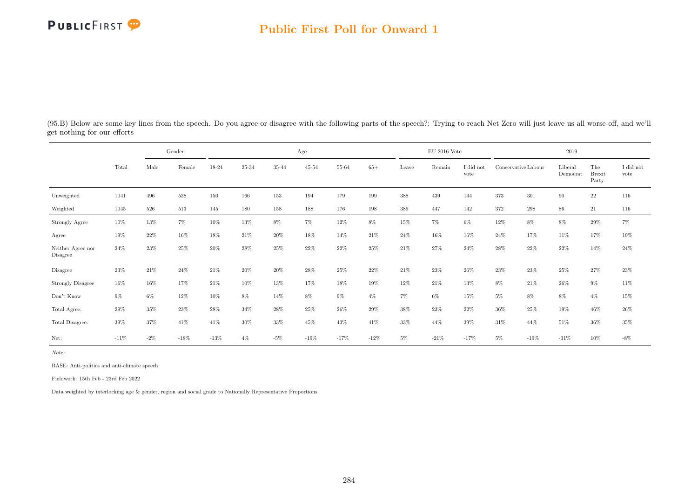## Public First Poll for Onward 1

|                               |         |        | Gender |        |        |        | Age            |        |        |        | EU 2016 Vote |                   |                     |        | 2019                |                               |                               |
|-------------------------------|---------|--------|--------|--------|--------|--------|----------------|--------|--------|--------|--------------|-------------------|---------------------|--------|---------------------|-------------------------------|-------------------------------|
|                               | Total   | Male   | Female | 18-24  | 25-34  | 35-44  | $45\hbox{-}54$ | 55-64  | $65+$  | Leave  | Remain       | I did not<br>vote | Conservative Labour |        | Liberal<br>Democrat | The<br><b>Brexit</b><br>Party | $\rm I$ did $\rm not$<br>vote |
| Unweighted                    | 1041    | 496    | 538    | 150    | 166    | 153    | 194            | 179    | 199    | 388    | 439          | 144               | 373                 | 301    | 90                  | $22\,$                        | 116                           |
| Weighted                      | 1045    | 526    | 513    | 145    | 180    | 158    | 188            | 176    | 198    | 389    | 447          | 142               | 372                 | 298    | 86                  | 21                            | 116                           |
| Strongly Agree                | 10%     | 13%    | $7\%$  | 10%    | $13\%$ | $8\%$  | $7\%$          | $12\%$ | $8\%$  | 15%    | $7\%$        | $6\%$             | 12%                 | 8%     | 8%                  | 29%                           | $7\%$                         |
| Agree                         | 19%     | 22%    | $16\%$ | $18\%$ | 21\%   | 20%    | 18%            | 14%    | 21\%   | 24%    | 16%          | 16%               | 24\%                | 17%    | 11%                 | 17%                           | $19\%$                        |
| Neither Agree nor<br>Disagree | 24%     | 23%    | 25%    | 20%    | 28%    | 25%    | 22%            | 22%    | 25%    | 21\%   | 27%          | 24\%              | 28\%                | 22%    | 22%                 | 14%                           | $24\%$                        |
| Disagree                      | 23%     | $21\%$ | 24\%   | $21\%$ | $20\%$ | $20\%$ | $28\%$         | $25\%$ | $22\%$ | $21\%$ | $23\%$       | $26\%$            | $23\%$              | 23%    | 25%                 | $27\%$                        | $23\%$                        |
| <b>Strongly Disagree</b>      | 16%     | 16%    | 17%    | $21\%$ | 10%    | 13%    | 17%            | 18%    | 19%    | 12%    | 21\%         | 13%               | 8%                  | 21\%   | $26\%$              | $9\%$                         | 11\%                          |
| Don't Know                    | $9\%$   | $6\%$  | 12%    | 10%    | 8%     | 14%    | 8%             | $9\%$  | $4\%$  | $7\%$  | $6\%$        | 15%               | 5%                  | 8%     | $8\%$               | $4\%$                         | $15\%$                        |
| Total Agree:                  | $29\%$  | 35%    | 23%    | 28\%   | 34%    | 28%    | 25%            | 26%    | 29%    | 38%    | 23%          | $22\%$            | 36%                 | 25%    | 19%                 | 46%                           | 26%                           |
| Total Disagree:               | $39\%$  | 37%    | 41\%   | 41\%   | 30%    | 33%    | 45%            | 43%    | 41\%   | 33%    | 44%          | 39%               | 31\%                | 44%    | 51%                 | 36%                           | $35\%$                        |
| Net:                          | $-11\%$ | $-2\%$ | $-18%$ | $-13%$ | $4\%$  | $-5%$  | $-19\%$        | $-17%$ | $-12%$ | $5\%$  | $-21%$       | $-17%$            | 5%                  | $-19%$ | $-31%$              | 10%                           | $-8\%$                        |

(95.B) Below are some key lines from the speech. Do you agree or disagree with the following parts of the speech?: Trying to reach Net Zero will just leave us all worse-off, and we'll get nothing for our efforts

Note:

BASE: Anti-politics and anti-climate speech

Fieldwork: 15th Feb - 23rd Feb 2022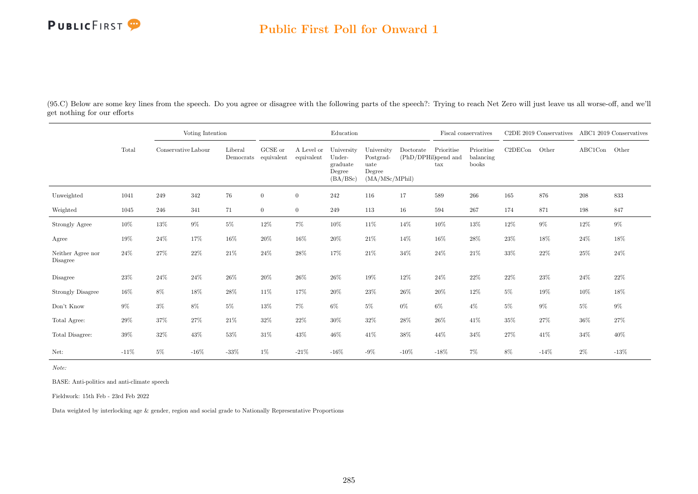## Public First Poll for Onward 1

(95.C) Below are some key lines from the speech. Do you agree or disagree with the following parts of the speech?: Trying to reach Net Zero will just leave us all worse-off, and we'll get nothing for our efforts

|                               |        |                     | Voting Intention |         |                                 |                          | Education                                              |                                                             |                                   |                   | Fiscal conservatives             |         | C2DE 2019 Conservatives |         | ABC1 2019 Conservatives |
|-------------------------------|--------|---------------------|------------------|---------|---------------------------------|--------------------------|--------------------------------------------------------|-------------------------------------------------------------|-----------------------------------|-------------------|----------------------------------|---------|-------------------------|---------|-------------------------|
|                               | Total  | Conservative Labour |                  | Liberal | GCSE or<br>Democrats equivalent | A Level or<br>equivalent | University<br>Under-<br>graduate<br>Degree<br>(BA/BSc) | University<br>Postgrad-<br>uate<br>Degree<br>(MA/MSc/MPhil) | Doctorate<br>(PhD/DPHil)spend and | Prioritise<br>tax | Prioritise<br>balancing<br>books | C2DECon | Other                   | ABC1Con | Other                   |
| Unweighted                    | 1041   | 249                 | 342              | 76      | $\overline{0}$                  | $\overline{0}$           | 242                                                    | 116                                                         | 17                                | 589               | 266                              | 165     | 876                     | 208     | 833                     |
| Weighted                      | 1045   | 246                 | 341              | 71      | $\overline{0}$                  | $\overline{0}$           | 249                                                    | 113                                                         | 16                                | 594               | 267                              | 174     | 871                     | 198     | 847                     |
| Strongly Agree                | $10\%$ | 13%                 | $9\%$            | $5\%$   | $12\%$                          | 7%                       | $10\%$                                                 | $11\%$                                                      | 14%                               | $10\%$            | 13%                              | 12%     | $9\%$                   | $12\%$  | $9\%$                   |
| Agree                         | 19%    | 24%                 | 17%              | 16%     | $20\%$                          | 16%                      | 20%                                                    | 21%                                                         | 14%                               | 16%               | 28\%                             | 23%     | $18\%$                  | 24%     | 18%                     |
| Neither Agree nor<br>Disagree | $24\%$ | 27%                 | $22\%$           | $21\%$  | $24\%$                          | 28\%                     | 17%                                                    | 21%                                                         | $34\%$                            | $24\%$            | 21%                              | 33%     | $22\%$                  | $25\%$  | 24%                     |
| Disagree                      | $23\%$ | 24%                 | $24\%$           | $26\%$  | $20\%$                          | 26\%                     | $26\%$                                                 | 19%                                                         | $12\%$                            | $24\%$            | 22%                              | 22%     | $23\%$                  | $24\%$  | 22%                     |
| <b>Strongly Disagree</b>      | 16%    | $8\%$               | $18\%$           | $28\%$  | 11%                             | 17%                      | $20\%$                                                 | $23\%$                                                      | $26\%$                            | $20\%$            | 12%                              | $5\%$   | $19\%$                  | 10%     | 18%                     |
| Don't Know                    | $9\%$  | $3\%$               | 8%               | $5\%$   | $13\%$                          | 7%                       | 6%                                                     | $5\%$                                                       | $0\%$                             | 6%                | $4\%$                            | $5\%$   | 9%                      | $5\%$   | $9\%$                   |
| Total Agree:                  | $29\%$ | 37%                 | $27\%$           | $21\%$  | 32%                             | $22\%$                   | $30\%$                                                 | $32\%$                                                      | $28\%$                            | $26\%$            | 41%                              | 35%     | $27\%$                  | 36%     | 27%                     |
| Total Disagree:               | 39%    | 32%                 | 43%              | 53%     | 31%                             | 43\%                     | 46%                                                    | 41\%                                                        | 38%                               | 44%               | 34%                              | 27%     | $41\%$                  | 34%     | 40%                     |
| Net:                          | $-11%$ | $5\%$               | $-16%$           | $-33%$  | 1%                              | $-21\%$                  | $-16\%$                                                | $-9\%$                                                      | $-10\%$                           | $-18%$            | 7%                               | 8%      | $-14%$                  | $2\%$   | $-13%$                  |

Note:

BASE: Anti-politics and anti-climate speech

Fieldwork: 15th Feb - 23rd Feb 2022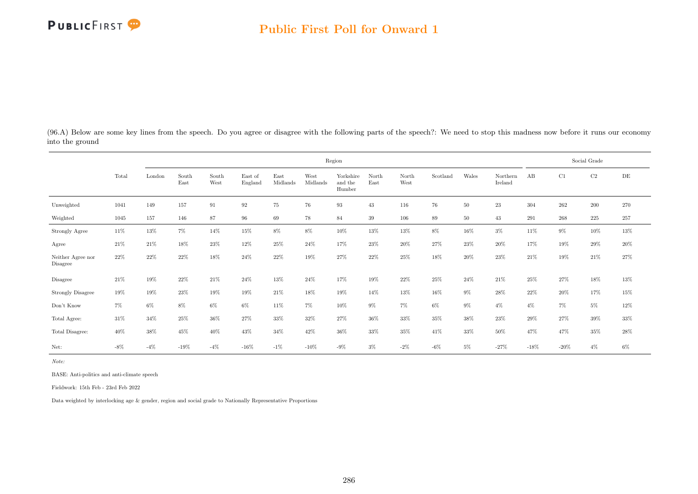(96.A) Below are some key lines from the speech. Do you agree or disagree with the following parts of the speech?: We need to stop this madness now before it runs our economy into the ground

|                               |        |        |               |               |                    |                  |                  | Region                         |               |               |          |        |                     |         |         | Social Grade |           |
|-------------------------------|--------|--------|---------------|---------------|--------------------|------------------|------------------|--------------------------------|---------------|---------------|----------|--------|---------------------|---------|---------|--------------|-----------|
|                               | Total  | London | South<br>East | South<br>West | East of<br>England | East<br>Midlands | West<br>Midlands | Yorkshire<br>and the<br>Humber | North<br>East | North<br>West | Scotland | Wales  | Northern<br>Ireland | AB      | C1      | C2           | $\rm{DE}$ |
| Unweighted                    | 1041   | 149    | 157           | 91            | 92                 | 75               | 76               | 93                             | 43            | 116           | 76       | $50\,$ | 23                  | 304     | $262\,$ | $200\,$      | 270       |
| Weighted                      | 1045   | 157    | 146           | 87            | 96                 | 69               | 78               | 84                             | 39            | 106           | 89       | 50     | 43                  | 291     | 268     | 225          | $257\,$   |
| <b>Strongly Agree</b>         | $11\%$ | 13%    | $7\%$         | 14%           | $15\%$             | $8\%$            | $8\%$            | $10\%$                         | $13\%$        | $13\%$        | $8\%$    | $16\%$ | $3\%$               | 11\%    | $9\%$   | 10%          | $13\%$    |
| Agree                         | 21%    | 21\%   | 18%           | 23%           | 12%                | 25%              | 24%              | 17%                            | 23%           | 20%           | 27%      | 23%    | 20%                 | 17%     | 19%     | 29%          | 20%       |
| Neither Agree nor<br>Disagree | 22%    | 22%    | 22%           | 18%           | 24%                | 22%              | 19%              | 27%                            | 22%           | 25%           | 18%      | 20%    | 23%                 | 21%     | 19%     | 21\%         | 27%       |
| Disagree                      | 21\%   | 19%    | 22%           | 21\%          | 24%                | 13%              | 24%              | 17%                            | 19%           | 22%           | 25%      | 24%    | 21\%                | 25%     | 27%     | 18%          | 13%       |
| <b>Strongly Disagree</b>      | 19%    | 19%    | 23%           | 19%           | 19%                | 21%              | 18%              | 19%                            | 14%           | 13%           | 16%      | $9\%$  | 28%                 | 22%     | $20\%$  | 17%          | $15\%$    |
| Don't Know                    | $7\%$  | $6\%$  | $8\%$         | $6\%$         | $6\%$              | 11%              | $7\%$            | $10\%$                         | $9\%$         | $7\%$         | $6\%$    | $9\%$  | $4\%$               | $4\%$   | $7\%$   | $5\%$        | $12\%$    |
| Total Agree:                  | $31\%$ | $34\%$ | 25%           | 36%           | 27%                | 33%              | 32%              | 27%                            | 36%           | 33%           | 35%      | 38%    | 23%                 | 29%     | 27%     | 39%          | $33\%$    |
| Total Disagree:               | 40%    | 38%    | 45%           | 40%           | 43%                | 34%              | 42%              | 36%                            | 33%           | 35%           | 41%      | 33%    | 50%                 | 47%     | 47%     | 35%          | $28\%$    |
| Net:                          | $-8\%$ | $-4\%$ | $-19\%$       | $-4\%$        | $-16\%$            | $-1\%$           | $-10\%$          | $-9\%$                         | $3\%$         | $-2\%$        | $-6\%$   | $5\%$  | $-27\%$             | $-18\%$ | $-20%$  | $4\%$        | $6\%$     |

Note:

BASE: Anti-politics and anti-climate speech

Fieldwork: 15th Feb - 23rd Feb 2022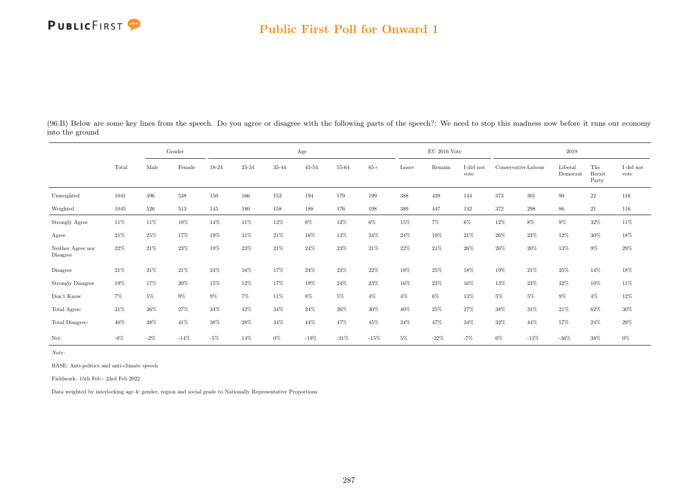## Public First Poll for Onward 1

| (96.B) Below are some key lines from the speech. Do you agree or disagree with the following parts of the speech?: We need to stop this madness now before it runs our economy |  |  |
|--------------------------------------------------------------------------------------------------------------------------------------------------------------------------------|--|--|
| into the ground                                                                                                                                                                |  |  |

|                                     |        | Gender |        | Age    |        |        |           |           |        | $EU$ 2016 Vote |        |                 | 2019                |         |                     |                               |                   |
|-------------------------------------|--------|--------|--------|--------|--------|--------|-----------|-----------|--------|----------------|--------|-----------------|---------------------|---------|---------------------|-------------------------------|-------------------|
|                                     | Total  | Male   | Female | 18-24  | 25-34  | 35-44  | $45 - 54$ | $55 - 64$ | $65+$  | Leave          | Remain | did not<br>vote | Conservative Labour |         | Liberal<br>Democrat | The<br><b>Brexit</b><br>Party | I did not<br>vote |
| Unweighted                          | 1041   | 496    | 538    | 150    | 166    | 153    | 194       | 179       | 199    | $388\,$        | 439    | 144             | 373                 | 301     | 90                  | 22                            | 116               |
| Weighted                            | 1045   | 526    | 513    | 145    | 180    | 158    | 188       | 176       | 198    | 389            | 447    | 142             | 372                 | 298     | 86                  | 21                            | 116               |
| Strongly Agree                      | 11%    | 11\%   | 10%    | 14%    | $11\%$ | $13\%$ | $8\%$     | $12\%$    | $6\%$  | 15%            | $7\%$  | $6\%$           | 12%                 | 8%      | $9\%$               | $32\%$                        | $11\%$            |
| Agree                               | 21%    | 25%    | 17%    | 19%    | 31%    | 21\%   | 16%       | 13%       | 24%    | 24%            | 19%    | 21\%            | 26\%                | 23%     | 12%                 | 30%                           | $18\%$            |
| Neither Agree nor<br>Disagree       | 22%    | 21%    | 23%    | 19%    | 23%    | 21\%   | 24%       | $23\%$    | 21%    | 22%            | 21%    | 26\%            | 26\%                | 20%     | 13%                 | $9\%$                         | $29\%$            |
| Disagree                            | 21%    | $21\%$ | $21\%$ | $24\%$ | $16\%$ | 17%    | $24\%$    | $23\%$    | 22%    | 18%            | 25%    | 18%             | 19%                 | 21\%    | 25%                 | 14%                           | $18\%$            |
| Strongly Disagree                   | 19%    | 17%    | 20%    | 15%    | 12%    | 17%    | 19%       | 24%       | $23\%$ | 16%            | 23%    | 16%             | 13%                 | 23%     | 32%                 | 10%                           | 11\%              |
| $\mathrm{Don't}$<br>$\mathrm{Know}$ | $7\%$  | $5\%$  | $9\%$  | $9\%$  | 7%     | 11%    | $8\%$     | $5\%$     | $4\%$  | $4\%$          | $6\%$  | 13%             | 5%                  | $5\%$   | $9\%$               | $4\%$                         | $12\%$            |
| Total Agree:                        | 31%    | 36%    | 27%    | 34%    | 42\%   | 34%    | 24%       | 26%       | $30\%$ | 40%            | $25\%$ | 27%             | 38%                 | 31\%    | 21\%                | 62%                           | 30%               |
| Total Disagree:                     | 40%    | 38%    | 41\%   | 38%    | 28%    | 34%    | 44%       | 47%       | 45%    | 34%            | 47%    | 34%             | 32%                 | 44%     | 57%                 | 24%                           | $29\%$            |
| Net:                                | $-8\%$ | $-2\%$ | $-14%$ | $-5\%$ | 14%    | $0\%$  | $-19%$    | $-21%$    | $-15%$ | $5\%$          | $-22%$ | $-7%$           | 6%                  | $-13\%$ | $-36\%$             | 38%                           | 0%                |

Note:

BASE: Anti-politics and anti-climate speech

Fieldwork: 15th Feb - 23rd Feb 2022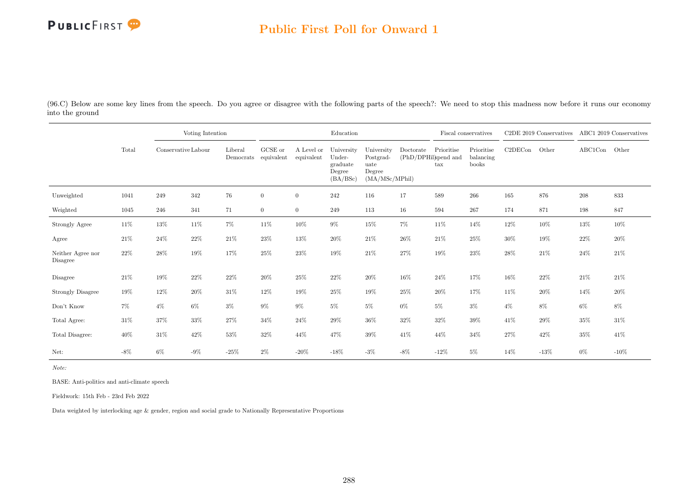

## Public First Poll for Onward 1

(96.C) Below are some key lines from the speech. Do you agree or disagree with the following parts of the speech?: We need to stop this madness now before it runs our economy into the ground

|                               |        |                     | Voting Intention |         |                                 |                          | Education                                              |                                                             |                                   |                                    | Fiscal conservatives             |         | C <sub>2</sub> DE 2019 Conservatives |         | ABC1 2019 Conservatives |
|-------------------------------|--------|---------------------|------------------|---------|---------------------------------|--------------------------|--------------------------------------------------------|-------------------------------------------------------------|-----------------------------------|------------------------------------|----------------------------------|---------|--------------------------------------|---------|-------------------------|
|                               | Total  | Conservative Labour |                  | Liberal | GCSE or<br>Democrats equivalent | A Level or<br>equivalent | University<br>Under-<br>graduate<br>Degree<br>(BA/BSc) | University<br>Postgrad-<br>uate<br>Degree<br>(MA/MSc/MPhil) | Doctorate<br>(PhD/DPHil)spend and | Prioritise<br>$\operatorname{tax}$ | Prioritise<br>balancing<br>books | C2DECon | Other                                | ABC1Con | Other                   |
| Unweighted                    | 1041   | 249                 | 342              | 76      | $\overline{0}$                  | $\overline{0}$           | 242                                                    | 116                                                         | 17                                | 589                                | 266                              | 165     | 876                                  | 208     | 833                     |
| Weighted                      | 1045   | 246                 | 341              | 71      | $\overline{0}$                  | $\overline{0}$           | 249                                                    | 113                                                         | 16                                | 594                                | 267                              | 174     | 871                                  | 198     | 847                     |
| Strongly Agree                | $11\%$ | 13%                 | $11\%$           | $7\%$   | 11\%                            | 10%                      | $9\%$                                                  | 15%                                                         | $7\%$                             | $11\%$                             | 14%                              | 12%     | $10\%$                               | 13%     | 10%                     |
| Agree                         | 21%    | $24\%$              | $22\%$           | 21%     | $23\%$                          | 13%                      | 20%                                                    | 21%                                                         | $26\%$                            | $21\%$                             | 25%                              | 30%     | 19%                                  | 22%     | $20\%$                  |
| Neither Agree nor<br>Disagree | $22\%$ | 28%                 | 19%              | 17%     | 25%                             | 23%                      | 19%                                                    | 21%                                                         | 27%                               | 19%                                | 23%                              | 28%     | 21\%                                 | 24%     | 21\%                    |
| Disagree                      | 21\%   | $19\%$              | $22\%$           | 22%     | $20\%$                          | 25%                      | $22\%$                                                 | $20\%$                                                      | $16\%$                            | 24%                                | 17%                              | 16%     | $22\%$                               | $21\%$  | 21%                     |
| <b>Strongly Disagree</b>      | 19%    | 12%                 | $20\%$           | $31\%$  | 12%                             | 19%                      | 25%                                                    | $19\%$                                                      | $25\%$                            | $20\%$                             | 17%                              | 11%     | $20\%$                               | 14%     | 20%                     |
| Don't Know                    | 7%     | $4\%$               | $6\%$            | $3\%$   | $9\%$                           | $9\%$                    | $5\%$                                                  | $5\%$                                                       | $0\%$                             | $5\%$                              | $3\%$                            | $4\%$   | $8\%$                                | $6\%$   | $8\%$                   |
| Total Agree:                  | $31\%$ | $37\%$              | 33%              | 27%     | $34\%$                          | 24\%                     | 29%                                                    | 36%                                                         | 32%                               | 32%                                | 39%                              | 41\%    | $29\%$                               | 35%     | $31\%$                  |
| Total Disagree:               | 40%    | $31\%$              | 42\%             | $53\%$  | 32%                             | 44%                      | 47%                                                    | $39\%$                                                      | 41\%                              | 44%                                | 34%                              | 27%     | $42\%$                               | 35%     | 41%                     |
| Net:                          | $-8\%$ | $6\%$               | $-9\%$           | $-25\%$ | $2\%$                           | $-20\%$                  | $-18\%$                                                | $-3%$                                                       | $-8\%$                            | $-12%$                             | $5\%$                            | 14%     | $-13%$                               | $0\%$   | $-10%$                  |

Note:

BASE: Anti-politics and anti-climate speech

Fieldwork: 15th Feb - 23rd Feb 2022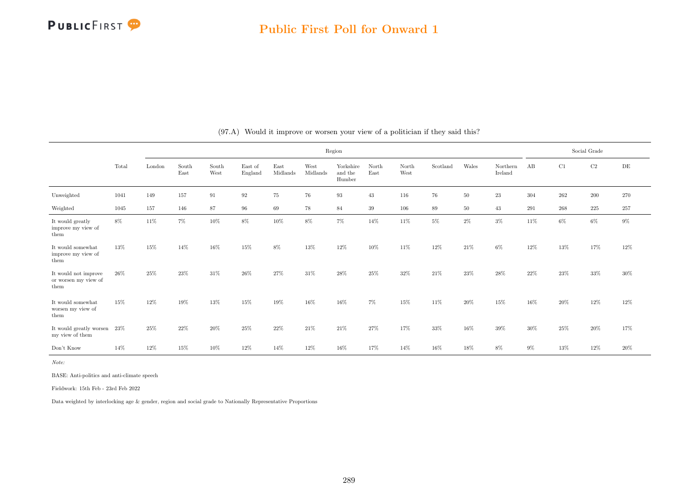|                                                      |       |        |               |               |                    |                  |                  | Region                         |               |               |          |        |                     |        |         | Social Grade |       |
|------------------------------------------------------|-------|--------|---------------|---------------|--------------------|------------------|------------------|--------------------------------|---------------|---------------|----------|--------|---------------------|--------|---------|--------------|-------|
|                                                      | Total | London | South<br>East | South<br>West | East of<br>England | East<br>Midlands | West<br>Midlands | Yorkshire<br>and the<br>Humber | North<br>East | North<br>West | Scotland | Wales  | Northern<br>Ireland | AB     | C1      | $\rm C2$     | DE    |
| Unweighted                                           | 1041  | 149    | 157           | 91            | $\boldsymbol{92}$  | 75               | 76               | 93                             | 43            | 116           | 76       | 50     | 23                  | 304    | 262     | 200          | 270   |
| Weighted                                             | 1045  | 157    | 146           | 87            | $96\,$             | 69               | 78               | $84\,$                         | 39            | 106           | 89       | $50\,$ | 43                  | 291    | $268\,$ | $225\,$      | 257   |
| It would greatly<br>improve my view of<br>them       | 8%    | 11%    | 7%            | 10%           | 8%                 | 10%              | $8\%$            | $7\%$                          | 14%           | 11%           | $5\%$    | $2\%$  | $3\%$               | 11%    | 6%      | 6%           | $9\%$ |
| It would somewhat<br>improve my view of<br>them      | 13%   | 15%    | 14%           | 16%           | 15%                | 8%               | 13%              | 12%                            | $10\%$        | 11%           | 12%      | 21%    | $6\%$               | $12\%$ | 13%     | 17%          | 12%   |
| It would not improve<br>or worsen my view of<br>them | 26%   | 25%    | 23%           | 31%           | 26\%               | 27%              | 31\%             | 28%                            | 25%           | 32%           | 21\%     | 23%    | 28%                 | 22%    | 23%     | 33%          | 30%   |
| It would somewhat<br>worsen my view of<br>them       | 15%   | 12%    | 19%           | 13%           | 15%                | 19%              | 16%              | 16%                            | $7\%$         | 15%           | 11\%     | $20\%$ | 15%                 | 16%    | 20%     | 12%          | 12%   |
| It would greatly worsen 23%<br>my view of them       |       | 25%    | 22%           | 20%           | 25%                | 22%              | 21\%             | 21\%                           | 27%           | 17%           | 33%      | 16%    | 39%                 | 30%    | 25%     | 20%          | 17%   |
| Don't Know                                           | 14%   | 12%    | 15%           | 10%           | 12%                | 14%              | 12%              | 16%                            | 17%           | 14%           | 16%      | 18%    | 8%                  | $9\%$  | 13%     | 12%          | 20%   |

(97.A) Would it improve or worsen your view of a politician if they said this?

Note:

BASE: Anti-politics and anti-climate speech

Fieldwork: 15th Feb - 23rd Feb 2022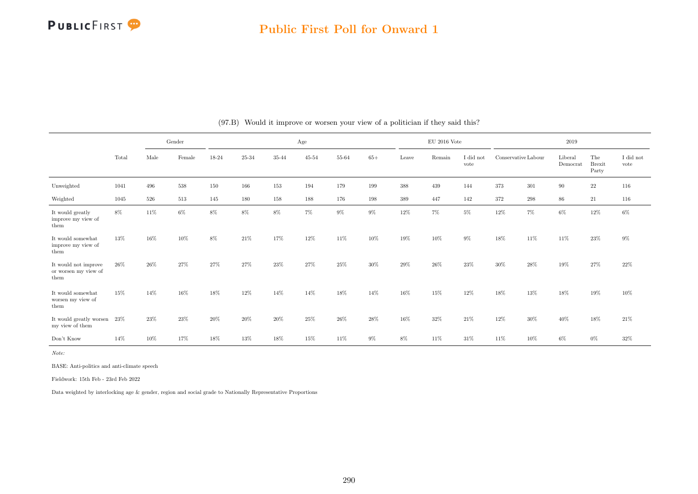

#### Public First Poll for Onward 1

|                                                      |       |      | Gender  |       |           |           | Age       |           |       |       | $\rm EU$ 2016 Vote |                   |                     |       | 2019                |                               |                               |
|------------------------------------------------------|-------|------|---------|-------|-----------|-----------|-----------|-----------|-------|-------|--------------------|-------------------|---------------------|-------|---------------------|-------------------------------|-------------------------------|
|                                                      | Total | Male | Female  | 18-24 | $25 - 34$ | $35 - 44$ | $45 - 54$ | $55 - 64$ | $65+$ | Leave | Remain             | I did not<br>vote | Conservative Labour |       | Liberal<br>Democrat | The<br><b>Brexit</b><br>Party | $\rm I$ did $\rm not$<br>vote |
| Unweighted                                           | 1041  | 496  | $538\,$ | 150   | 166       | 153       | 194       | 179       | 199   | 388   | 439                | 144               | 373                 | 301   | 90                  | $22\,$                        | 116                           |
| Weighted                                             | 1045  | 526  | 513     | 145   | 180       | 158       | 188       | 176       | 198   | 389   | 447                | 142               | 372                 | 298   | 86                  | 21                            | 116                           |
| It would greatly<br>improve my view of<br>them       | 8%    | 11%  | 6%      | 8%    | $8\%$     | $8\%$     | $7\%$     | $9\%$     | $9\%$ | 12%   | $7\%$              | $5\%$             | 12%                 | $7\%$ | 6%                  | $12\%$                        | $6\%$                         |
| It would somewhat<br>improve my view of<br>them      | 13%   | 16%  | 10%     | 8%    | 21\%      | 17%       | 12%       | 11%       | 10%   | 19%   | 10%                | 9%                | 18%                 | 11%   | 11%                 | 23%                           | $9\%$                         |
| It would not improve<br>or worsen my view of<br>them | 26\%  | 26%  | 27%     | 27%   | 27%       | 23%       | 27%       | 25%       | 30%   | 29%   | 26%                | 23%               | 30%                 | 28%   | 19%                 | 27%                           | 22%                           |
| It would somewhat<br>worsen my view of<br>them       | 15%   | 14%  | 16%     | 18%   | 12%       | 14%       | 14%       | 18%       | 14%   | 16%   | 15%                | 12%               | 18%                 | 13%   | 18%                 | 19%                           | 10%                           |
| It would greatly worsen $23\%$<br>my view of them    |       | 23%  | 23%     | 20%   | 20%       | 20%       | 25%       | 26%       | 28%   | 16%   | 32%                | 21\%              | 12%                 | 30%   | 40%                 | 18%                           | 21\%                          |
| Don't Know                                           | 14%   | 10%  | 17%     | 18%   | 13%       | 18%       | 15%       | 11%       | $9\%$ | $8\%$ | 11%                | 31\%              | 11%                 | 10%   | 6%                  | $0\%$                         | 32%                           |

#### (97.B) Would it improve or worsen your view of a politician if they said this?

Note:

BASE: Anti-politics and anti-climate speech

Fieldwork: 15th Feb - 23rd Feb 2022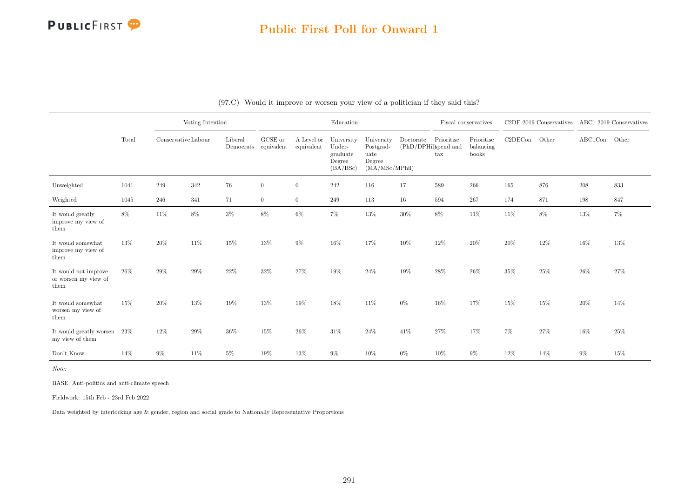## Public First Poll for Onward 1

|                                                      |       |                     | Voting Intention |                      |                       |                          | Education                                              |                                                              |                                   | Fiscal conservatives       |                                  |         | C2DE 2019 Conservatives ABC1 2019 Conservatives |               |        |
|------------------------------------------------------|-------|---------------------|------------------|----------------------|-----------------------|--------------------------|--------------------------------------------------------|--------------------------------------------------------------|-----------------------------------|----------------------------|----------------------------------|---------|-------------------------------------------------|---------------|--------|
|                                                      | Total | Conservative Labour |                  | Liberal<br>Democrats | GCSE or<br>equivalent | A Level or<br>equivalent | University<br>Under-<br>graduate<br>Degree<br>(BA/BSc) | University<br>Postgrad-<br>uate<br>Degree<br>(MA/MSc/MPhill) | Doctorate<br>(PhD/DPHil)spend and | Prioritise<br>$\text{tax}$ | Prioritise<br>balancing<br>books | C2DECon | Other                                           | ABC1Con Other |        |
| Unweighted                                           | 1041  | 249                 | 342              | $76\,$               | $\overline{0}$        | $\overline{0}$           | 242                                                    | 116                                                          | 17                                | 589                        | 266                              | 165     | 876                                             | $208\,$       | 833    |
| Weighted                                             | 1045  | 246                 | 341              | 71                   | $\overline{0}$        | $\overline{0}$           | 249                                                    | 113                                                          | 16                                | 594                        | 267                              | 174     | 871                                             | 198           | 847    |
| It would greatly<br>improve my view of<br>them       | 8%    | 11%                 | 8%               | $3\%$                | $8\%$                 | 6%                       | $7\%$                                                  | 13%                                                          | 30%                               | $8\%$                      | $11\%$                           | 11%     | 8%                                              | $13\%$        | $7\%$  |
| It would somewhat<br>improve my view of<br>them      | 13%   | $20\%$              | 11%              | 15%                  | 13%                   | $9\%$                    | $16\%$                                                 | 17%                                                          | 10%                               | $12\%$                     | 20%                              | 20%     | 12%                                             | $16\%$        | 13%    |
| It would not improve<br>or worsen my view of<br>them | 26\%  | $29\%$              | 29%              | $22\%$               | 32%                   | 27%                      | $19\%$                                                 | $24\%$                                                       | 19%                               | $28\%$                     | $26\%$                           | 35%     | $25\%$                                          | $26\%$        | 27%    |
| It would somewhat<br>worsen my view of<br>them       | 15%   | $20\%$              | $13\%$           | $19\%$               | 13%                   | 19%                      | $18\%$                                                 | $11\%$                                                       | $0\%$                             | 16%                        | 17%                              | 15%     | $15\%$                                          | $20\%$        | 14%    |
| It would greatly worsen<br>my view of them           | 23%   | $12\%$              | 29%              | $36\%$               | 15%                   | 26%                      | $31\%$                                                 | $24\%$                                                       | 41\%                              | 27%                        | 17%                              | $7\%$   | 27%                                             | $16\%$        | 25%    |
| Don't Know                                           | 14%   | $9\%$               | 11%              | $5\%$                | 19%                   | 13%                      | $9\%$                                                  | $10\%$                                                       | $0\%$                             | $10\%$                     | $9\%$                            | 12%     | 14%                                             | $9\%$         | $15\%$ |

| (97.C) Would it improve or worsen your view of a politician if they said this? |  |  |  |  |  |  |
|--------------------------------------------------------------------------------|--|--|--|--|--|--|
|--------------------------------------------------------------------------------|--|--|--|--|--|--|

Note:

BASE: Anti-politics and anti-climate speech

Fieldwork: 15th Feb - 23rd Feb 2022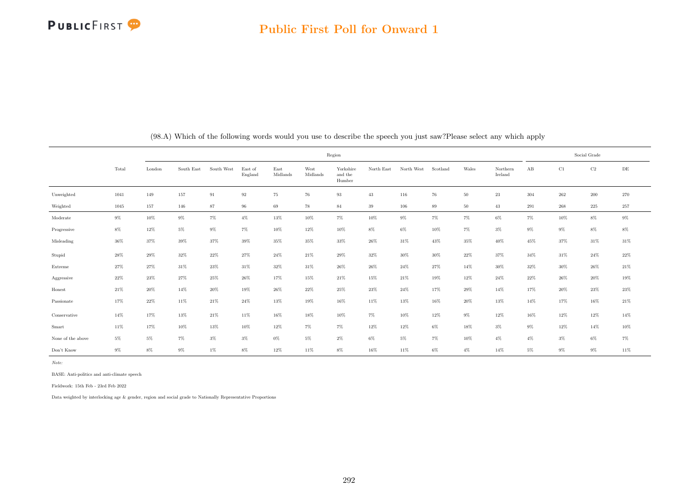

#### Public First Poll for Onward 1

|                   |        |        |            |            |                    |                  |                  | Region                         |            |            |          |        |                     |        |         | Social Grade |           |
|-------------------|--------|--------|------------|------------|--------------------|------------------|------------------|--------------------------------|------------|------------|----------|--------|---------------------|--------|---------|--------------|-----------|
|                   | Total  | London | South East | South West | East of<br>England | East<br>Midlands | West<br>Midlands | Yorkshire<br>and the<br>Humber | North East | North West | Scotland | Wales  | Northern<br>Ireland | AB     | C1      | $\rm C2$     | $\rm{DE}$ |
| Unweighted        | 1041   | 149    | 157        | 91         | $\boldsymbol{92}$  | 75               | $76\,$           | 93                             | 43         | 116        | $76\,$   | $50\,$ | $23\,$              | 304    | $262\,$ | $200\,$      | $270\,$   |
| Weighted          | 1045   | 157    | 146        | 87         | 96                 | 69               | 78               | 84                             | $39\,$     | 106        | 89       | 50     | 43                  | 291    | $268\,$ | $225\,$      | $257\,$   |
| Moderate          | $9\%$  | $10\%$ | $9\%$      | $7\%$      | $4\%$              | $13\%$           | 10%              | $7\%$                          | 10%        | $9\%$      | $7\%$    | $7\%$  | 6%                  | $7\%$  | 10%     | $8\%$        | $9\%$     |
| Progressive       | $8\%$  | $12\%$ | $5\%$      | $9\%$      | $7\%$              | 10%              | 12%              | 10%                            | $8\%$      | $6\%$      | 10%      | $7\%$  | $3\%$               | $9\%$  | $9\%$   | $8\%$        | $8\%$     |
| Misleading        | $36\%$ | 37%    | $39\%$     | $37\%$     | $39\%$             | $35\%$           | 35%              | $33\%$                         | 26%        | $31\%$     | 43%      | 35%    | 40%                 | 45%    | 37%     | 31\%         | $31\%$    |
| Stupid            | 28%    | $29\%$ | 32%        | $22\%$     | 27%                | 24%              | $21\%$           | $29\%$                         | $32\%$     | $30\%$     | $30\%$   | $22\%$ | 37%                 | 34%    | 31%     | $24\%$       | $22\%$    |
| Extreme           | 27%    | 27%    | 31%        | 23%        | 31%                | 32%              | 31%              | 26%                            | 26%        | $24\%$     | 27%      | 14%    | $30\%$              | 32%    | 30%     | 26%          | $21\%$    |
| Aggressive        | $22\%$ | $23\%$ | $27\%$     | $25\%$     | $26\%$             | 17%              | 15%              | $21\%$                         | 15%        | $21\%$     | 19%      | 12%    | 24%                 | 22%    | 26%     | $20\%$       | 19%       |
| Honest            | $21\%$ | $20\%$ | $14\%$     | $20\%$     | $19\%$             | $26\%$           | $22\%$           | $25\%$                         | $23\%$     | $24\%$     | $17\%$   | 29%    | 14%                 | $17\%$ | 20%     | $23\%$       | $23\%$    |
| Passionate        | $17\%$ | $22\%$ | $11\%$     | $21\%$     | $24\%$             | $13\%$           | $19\%$           | $16\%$                         | 11%        | 13%        | 16%      | 20%    | 13%                 | 14%    | 17%     | $16\%$       | $21\%$    |
| Conservative      | $14\%$ | $17\%$ | $13\%$     | $21\%$     | $11\%$             | 16%              | 18%              | 10%                            | $7\%$      | 10%        | 12%      | $9\%$  | 12%                 | 16%    | $12\%$  | $12\%$       | 14%       |
| Smart             | 11%    | 17%    | 10%        | 13%        | 10%                | $12\%$           | $7\%$            | $7\%$                          | 12%        | 12%        | $6\%$    | 18%    | $3\%$               | $9\%$  | 12%     | 14%          | $10\%$    |
| None of the above | $5\%$  | $5\%$  | $7\%$      | $3\%$      | $3\%$              | $0\%$            | $5\%$            | $2\%$                          | $6\%$      | $5\%$      | $7\%$    | 10%    | $4\%$               | $4\%$  | $3\%$   | $6\%$        | $7\%$     |
| Don't Know        | $9\%$  | $8\%$  | $9\%$      | $1\%$      | $8\%$              | 12%              | 11%              | $8\%$                          | 16%        | 11%        | $6\%$    | $4\%$  | 14%                 | $5\%$  | $9\%$   | $9\%$        | $11\%$    |

(98.A) Which of the following words would you use to describe the speech you just saw?Please select any which apply

Note:

BASE: Anti-politics and anti-climate speech

Fieldwork: 15th Feb - 23rd Feb 2022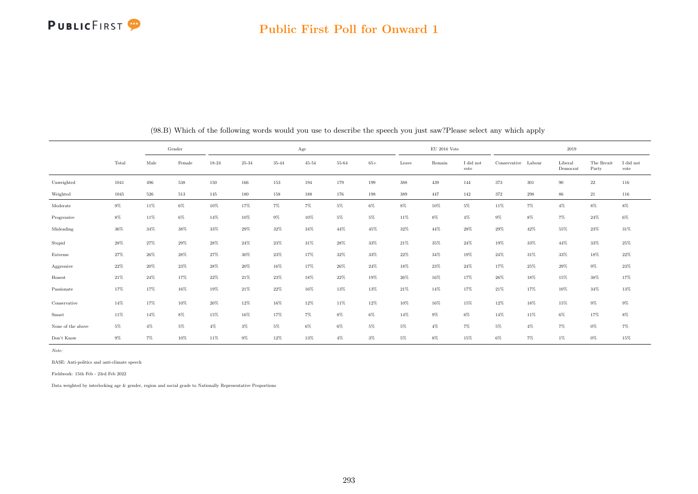#### Public First Poll for Onward 1

|                   | Gender |            |         |        |           | Age       |           |        |        | $\mathrm{EU}$ 2016 Vote |        |                         |                     | 2019    |                     |                     |                   |
|-------------------|--------|------------|---------|--------|-----------|-----------|-----------|--------|--------|-------------------------|--------|-------------------------|---------------------|---------|---------------------|---------------------|-------------------|
|                   | Total  | $\rm Male$ | Female  | 18-24  | $25 - 34$ | $35 - 44$ | $45 - 54$ | 55-64  | $65+$  | Leave                   | Remain | $\rm I$ did not<br>vote | Conservative Labour |         | Liberal<br>Democrat | The Brexit<br>Party | I did not<br>vote |
| Unweighted        | 1041   | 496        | $538\,$ | 150    | 166       | 153       | 194       | 179    | 199    | $388\,$                 | 439    | 144                     | 373                 | $301\,$ | $90\,$              | $22\,$              | 116               |
| Weighted          | 1045   | 526        | $513\,$ | 145    | 180       | $158\,$   | 188       | 176    | 198    | $389\,$                 | 447    | 142                     | $372\,$             | $\,298$ | 86                  | 21                  | 116               |
| Moderate          | $9\%$  | 11%        | $6\%$   | 10%    | 17%       | $7\%$     | $7\%$     | $5\%$  | $6\%$  | $8\%$                   | 10%    | 5%                      | 11%                 | $7\%$   | $4\%$               | $8\%$               | $8\%$             |
| Progressive       | $8\%$  | 11%        | $6\%$   | 14%    | $10\%$    | $9\%$     | $10\%$    | $5\%$  | 5%     | 11%                     | $8\%$  | $4\%$                   | $9\%$               | $8\%$   | $7\%$               | $24\%$              | $6\%$             |
| Misleading        | $36\%$ | 34%        | 38%     | 33%    | $29\%$    | $32\%$    | 34%       | 44%    | 45%    | $32\%$                  | 44%    | 28%                     | 29%                 | 42%     | 55%                 | $23\%$              | $31\%$            |
| Stupid            | 28%    | 27%        | 29%     | 28%    | 24%       | 23%       | 31%       | 28%    | 33%    | 21\%                    | 35%    | 24%                     | 19%                 | 33%     | 44%                 | $33\%$              | $25\%$            |
| Extreme           | 27%    | 26%        | 28\%    | 27%    | $30\%$    | $23\%$    | 17%       | $32\%$ | 33%    | 22%                     | 34%    | 19%                     | 24%                 | 31\%    | 33%                 | 18%                 | $22\%$            |
| Aggressive        | 22%    | 20%        | $23\%$  | 28%    | $20\%$    | $16\%$    | 17%       | $26\%$ | $24\%$ | 18%                     | 23%    | 24%                     | 17%                 | 25%     | 29%                 | $9\%$               | $23\%$            |
| Honest            | 21%    | 24%        | 17%     | 22%    | 21\%      | 23%       | 18%       | 22%    | 19%    | 26%                     | 16%    | 17%                     | 26%                 | 18%     | 15%                 | 38%                 | 17%               |
| Passionate        | 17%    | 17%        | 16%     | 19%    | $21\%$    | $22\%$    | $16\%$    | $13\%$ | 13%    | $21\%$                  | 14%    | 17%                     | 21%                 | $17\%$  | $10\%$              | $34\%$              | $13\%$            |
| Conservative      | 14%    | 17%        | $10\%$  | $20\%$ | $12\%$    | $16\%$    | $12\%$    | 11%    | $12\%$ | $10\%$                  | $16\%$ | 15%                     | $12\%$              | $18\%$  | 15%                 | $9\%$               | $9\%$             |
| Smart             | 11%    | 14%        | $8\%$   | 15%    | 16%       | 17%       | 7%        | $8\%$  | $6\%$  | 14%                     | $9\%$  | $6\%$                   | 14%                 | 11%     | 6%                  | 17%                 | $8\%$             |
| None of the above | $5\%$  | $4\%$      | $5\%$   | $4\%$  | $3\%$     | $5\%$     | $6\%$     | $6\%$  | 5%     | 5%                      | $4\%$  | $7\%$                   | 5%                  | $4\%$   | $7\%$               | 0%                  | $7\%$             |
| Don't Know        | $9\%$  | $7\%$      | 10%     | 11%    | $9\%$     | $12\%$    | $13\%$    | $4\%$  | $3\%$  | 5%                      | $8\%$  | 15%                     | $6\%$               | 7%      | 1%                  | 0%                  | $15\%$            |

(98.B) Which of the following words would you use to describe the speech you just saw?Please select any which apply

Note:

BASE: Anti-politics and anti-climate speech

Fieldwork: 15th Feb - 23rd Feb 2022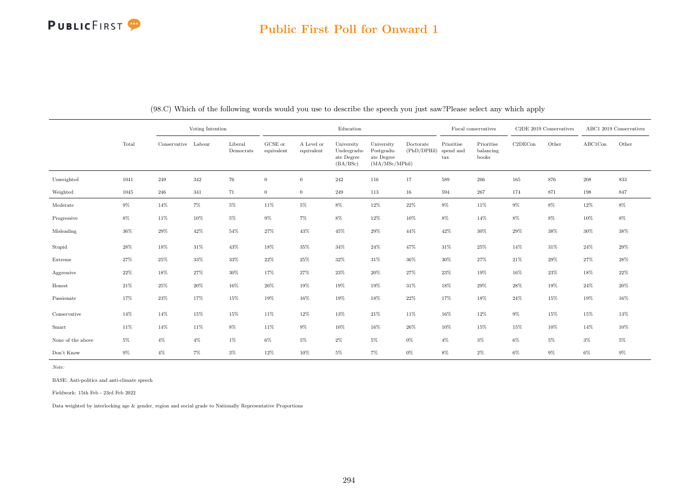## Public First Poll for Onward 1

|                   |        |                     | Voting Intention |                      |                                |                          | Education                                           |                                                           |                          |                                         | Fiscal conservatives             |         | C2DE 2019 Conservatives |         | ABC1 2019 Conservatives |
|-------------------|--------|---------------------|------------------|----------------------|--------------------------------|--------------------------|-----------------------------------------------------|-----------------------------------------------------------|--------------------------|-----------------------------------------|----------------------------------|---------|-------------------------|---------|-------------------------|
|                   | Total  | Conservative Labour |                  | Liberal<br>Democrats | $_{\rm GCSE~or}$<br>equivalent | A Level or<br>equivalent | University<br>Undergradu-<br>ate Degree<br>(BA/BSc) | University<br>Postgradu-<br>ate Degree<br>(MA/MSc/MPhill) | Doctorate<br>(PhD/DPHil) | Prioritise<br>spend and<br>$_{\rm tax}$ | Prioritise<br>balancing<br>books | C2DECon | Other                   | ABC1Con | Other                   |
| Unweighted        | 1041   | 249                 | 342              | 76                   | $\overline{0}$                 | $\mathbf{0}$             | 242                                                 | 116                                                       | 17                       | 589                                     | 266                              | 165     | 876                     | 208     | 833                     |
| Weighted          | 1045   | 246                 | 341              | 71                   | $\overline{0}$                 | $\boldsymbol{0}$         | 249                                                 | 113                                                       | $16\,$                   | 594                                     | 267                              | 174     | 871                     | 198     | 847                     |
| Moderate          | $9\%$  | $14\%$              | $7\%$            | $5\%$                | 11%                            | $5\%$                    | $8\%$                                               | $12\%$                                                    | $22\%$                   | $9\%$                                   | 11%                              | $9\%$   | $8\%$                   | $12\%$  | $8\%$                   |
| Progressive       | $8\%$  | $11\%$              | $10\%$           | $5\%$                | $9\%$                          | $7\%$                    | $8\%$                                               | 12%                                                       | $10\%$                   | $8\%$                                   | 14%                              | $8\%$   | $8\%$                   | $10\%$  | $8\%$                   |
| Misleading        | 36%    | $29\%$              | $42\%$           | 54%                  | $27\%$                         | $43\%$                   | $45\%$                                              | $29\%$                                                    | 44%                      | $42\%$                                  | $30\%$                           | $29\%$  | 38%                     | $30\%$  | $38\%$                  |
| Stupid            | 28%    | 18%                 | $31\%$           | 43%                  | 18%                            | 35%                      | $34\%$                                              | 24%                                                       | 47%                      | $31\%$                                  | $25\%$                           | 14%     | 31\%                    | 24%     | $29\%$                  |
| Extreme           | 27%    | 25%                 | 33%              | 33%                  | $22\%$                         | $25\%$                   | $32\%$                                              | $31\%$                                                    | 36%                      | $30\%$                                  | 27%                              | $21\%$  | 29%                     | 27%     | $28\%$                  |
| Aggressive        | $22\%$ | $18\%$              | $27\%$           | $30\%$               | 17%                            | $27\%$                   | $23\%$                                              | $20\%$                                                    | $27\%$                   | $23\%$                                  | $19\%$                           | 16%     | 23%                     | 18%     | $22\%$                  |
| Honest            | $21\%$ | 25%                 | $20\%$           | 16%                  | $26\%$                         | 19%                      | 19%                                                 | 19%                                                       | 31\%                     | 18%                                     | $29\%$                           | $28\%$  | 19%                     | 24%     | $20\%$                  |
| Passionate        | 17%    | $23\%$              | 17%              | 15%                  | 19%                            | 16%                      | $19\%$                                              | 18%                                                       | 22%                      | 17%                                     | $18\%$                           | $24\%$  | 15%                     | 19%     | $16\%$                  |
| Conservative      | 14%    | $14\%$              | 15%              | 15%                  | $11\%$                         | 12%                      | 13%                                                 | $21\%$                                                    | 11\%                     | 16%                                     | $12\%$                           | $9\%$   | 15%                     | 15%     | 13%                     |
| Smart             | 11%    | 14%                 | 11%              | 8%                   | 11%                            | $9\%$                    | 10%                                                 | 16%                                                       | 26%                      | 10%                                     | 15%                              | 15%     | 10%                     | 14%     | 10%                     |
| None of the above | $5\%$  | $4\%$               | $4\%$            | $1\%$                | $6\%$                          | $5\%$                    | $2\%$                                               | $5\%$                                                     | $0\%$                    | $4\%$                                   | $3\%$                            | $6\%$   | $5\%$                   | $3\%$   | $5\%$                   |
| Don't Know        | $9\%$  | $4\%$               | $7\%$            | $3\%$                | 12%                            | 10%                      | $5\%$                                               | $7\%$                                                     | $0\%$                    | $8\%$                                   | $2\%$                            | $6\%$   | $9\%$                   | $6\%$   | $9\%$                   |

(98.C) Which of the following words would you use to describe the speech you just saw?Please select any which apply

Note:

BASE: Anti-politics and anti-climate speech

Fieldwork: 15th Feb - 23rd Feb 2022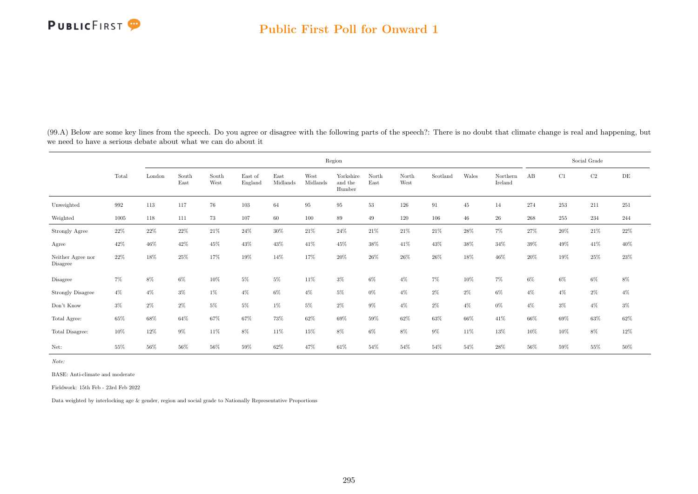

(99.A) Below are some key lines from the speech. Do you agree or disagree with the following parts of the speech?: There is no doubt that climate change is real and happening, but we need to have a serious debate about what we can do about it

|                               |       |        |               |               |                    |                  |                  | Region                         |               |               |          |        |                     |       |       | Social Grade |        |
|-------------------------------|-------|--------|---------------|---------------|--------------------|------------------|------------------|--------------------------------|---------------|---------------|----------|--------|---------------------|-------|-------|--------------|--------|
|                               | Total | London | South<br>East | South<br>West | East of<br>England | East<br>Midlands | West<br>Midlands | Yorkshire<br>and the<br>Humber | North<br>East | North<br>West | Scotland | Wales  | Northern<br>Ireland | AB    | C1    | C2           | DE     |
| Unweighted                    | 992   | 113    | 117           | 76            | $103\,$            | 64               | 95               | 95                             | $53\,$        | 126           | 91       | 45     | 14                  | 274   | 253   | 211          | 251    |
| Weighted                      | 1005  | 118    | 111           | 73            | 107                | 60               | 100              | 89                             | 49            | 120           | 106      | $46\,$ | 26                  | 268   | 255   | 234          | 244    |
| Strongly Agree                | 22%   | $22\%$ | $22\%$        | $21\%$        | $24\%$             | 30%              | 21%              | 24\%                           | $21\%$        | 21\%          | 21\%     | $28\%$ | $7\%$               | 27%   | 20%   | $21\%$       | $22\%$ |
| Agree                         | 42%   | 46%    | 42%           | 45%           | 43%                | 43%              | 41\%             | 45%                            | 38%           | 41\%          | 43%      | 38%    | 34%                 | 39%   | 49%   | 41\%         | 40%    |
| Neither Agree nor<br>Disagree | 22%   | 18%    | 25%           | 17%           | 19%                | 14%              | 17%              | 20%                            | 26%           | 26%           | $26\%$   | 18%    | 46%                 | 20%   | 19%   | 25%          | 23%    |
| Disagree                      | $7\%$ | $8\%$  | $6\%$         | $10\%$        | $5\%$              | $5\%$            | 11%              | $3\%$                          | $6\%$         | $4\%$         | $7\%$    | $10\%$ | $7\%$               | $6\%$ | $6\%$ | $6\%$        | $8\%$  |
| <b>Strongly Disagree</b>      | $4\%$ | $4\%$  | $3\%$         | $1\%$         | $4\%$              | $6\%$            | $4\%$            | $5\%$                          | $0\%$         | $4\%$         | $2\%$    | $2\%$  | $6\%$               | $4\%$ | $4\%$ | $2\%$        | $4\%$  |
| Don't Know                    | $3\%$ | $2\%$  | $2\%$         | $5\%$         | $5\%$              | $1\%$            | $5\%$            | $2\%$                          | $9\%$         | $4\%$         | $2\%$    | $4\%$  | $0\%$               | $4\%$ | $3\%$ | $4\%$        | $3\%$  |
| Total Agree:                  | 65%   | 68%    | 64%           | 67%           | $67\%$             | $73\%$           | 62%              | 69%                            | 59%           | 62%           | $63\%$   | 66%    | 41\%                | 66%   | 69%   | $63\%$       | $62\%$ |
| Total Disagree:               | 10%   | 12%    | $9\%$         | 11%           | 8%                 | 11%              | 15%              | 8%                             | $6\%$         | 8%            | $9\%$    | 11%    | 13%                 | 10%   | 10%   | 8%           | 12%    |
| Net:                          | 55%   | 56%    | 56%           | 56%           | 59%                | 62%              | 47%              | 61%                            | 54%           | 54%           | 54%      | 54%    | 28%                 | 56%   | 59%   | $55\%$       | 50%    |

Note:

BASE: Anti-climate and moderate

Fieldwork: 15th Feb - 23rd Feb 2022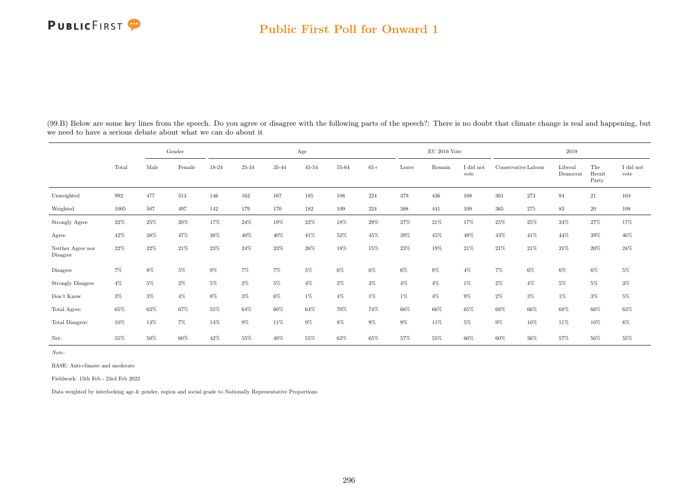#### Public First Poll for Onward 1

|                               |        |        | Gender |        |        |       | Age       |        |       |        | $\rm EU$ 2016 Vote |                   |         |                     | 2019                |                               |                   |
|-------------------------------|--------|--------|--------|--------|--------|-------|-----------|--------|-------|--------|--------------------|-------------------|---------|---------------------|---------------------|-------------------------------|-------------------|
|                               | Total  | Male   | Female | 18-24  | 25-34  | 35-44 | $45 - 54$ | 55-64  | $65+$ | Leave  | Remain             | I did not<br>vote |         | Conservative Labour | Liberal<br>Democrat | The<br><b>Brexit</b><br>Party | I did not<br>vote |
| Unweighted                    | 992    | 477    | 513    | 146    | 162    | 167   | $185\,$   | 108    | 224   | 379    | 436                | 108               | $361\,$ | $273\,$             | 84                  | $21\,$                        | 104               |
| Weighted                      | 1005   | 507    | 497    | 142    | 179    | 170   | 182       | 109    | 224   | 388    | 441                | 109               | 365     | 275                 | 83                  | 20                            | 108               |
| Strongly Agree                | $22\%$ | 25%    | $20\%$ | 17%    | 24%    | 19%   | 22%       | $18\%$ | 29%   | 27%    | 21\%               | 17%               | 25%     | 25%                 | 24\%                | 27%                           | 17%               |
| Agree                         | 42%    | 38%    | 47%    | 38%    | 40%    | 40%   | 41\%      | 52%    | 45%   | 39%    | 45%                | 48%               | 43%     | 41\%                | 44%                 | $39\%$                        | 46%               |
| Neither Agree nor<br>Disagree | 22%    | 22%    | 21\%   | 23%    | 24%    | 23%   | 26%       | 18%    | 15%   | 23%    | 19%                | 21%               | 21\%    | 21\%                | 21\%                | 20%                           | 24\%              |
| Disagree                      | $7\%$  | 8%     | $5\%$  | 9%     | $7\%$  | $7\%$ | $5\%$     | $6\%$  | 6%    | $6\%$  | 8%                 | $4\%$             | 7%      | $6\%$               | $6\%$               | $6\%$                         | $5\%$             |
| <b>Strongly Disagree</b>      | $4\%$  | $5\%$  | 2%     | 5%     | $2\%$  | $5\%$ | $4\%$     | $2\%$  | $3\%$ | $4\%$  | $4\%$              | $1\%$             | $2\%$   | $4\%$               | $5\%$               | $5\%$                         | $3\%$             |
| Don't Know                    | $3\%$  | $3\%$  | $4\%$  | 8%     | $3\%$  | 6%    | $1\%$     | $4\%$  | $1\%$ | $1\%$  | $4\%$              | $9\%$             | $2\%$   | $3\%$               | $1\%$               | $3\%$                         | $5\%$             |
| Total Agree:                  | 65%    | 63%    | 67%    | 55%    | 64%    | 60%   | 64%       | 70%    | 74%   | 66%    | 66%                | 65%               | 68%     | 66%                 | 68%                 | 66%                           | $63\%$            |
| Total Disagree:               | 10%    | 13%    | $7\%$  | 14%    | $9\%$  | 11%   | $9\%$     | $8\%$  | $9\%$ | $9\%$  | 11%                | $5\%$             | $9\%$   | 10%                 | 11\%                | 10%                           | $8\%$             |
| Net:                          | 55%    | $50\%$ | $60\%$ | $42\%$ | $55\%$ | 48%   | $55\%$    | $62\%$ | 65%   | $57\%$ | $55\%$             | 60%               | $60\%$  | $56\%$              | $57\%$              | $56\%$                        | $55\%$            |

(99.B) Below are some key lines from the speech. Do you agree or disagree with the following parts of the speech?: There is no doubt that climate change is real and happening, but we need to have a serious debate about what we can do about it

Note:

BASE: Anti-climate and moderate

Fieldwork: 15th Feb - 23rd Feb 2022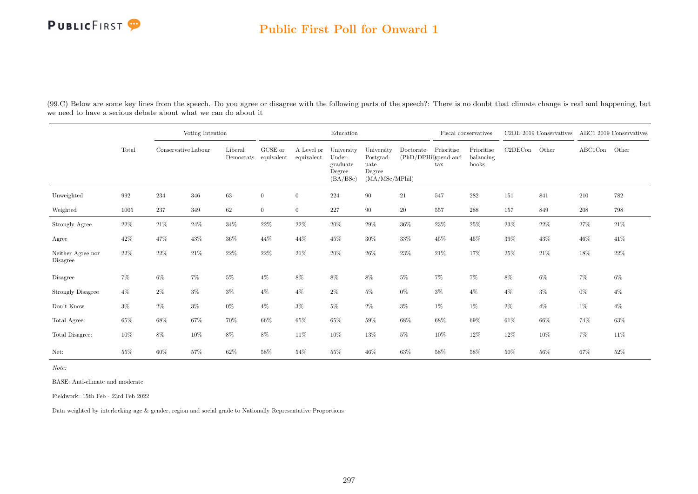## Public First Poll for Onward 1

| (99.C) Below are some key lines from the speech. Do you agree or disagree with the following parts of the speech?: There is no doubt that climate change is real and happening, but |  |  |
|-------------------------------------------------------------------------------------------------------------------------------------------------------------------------------------|--|--|
| we need to have a serious debate about what we can do about it                                                                                                                      |  |  |

|                               |        |                     | Voting Intention |                      |                       |                          | Education                                              |                                                             |                                   |                                    | Fiscal conservatives             |         | C2DE 2019 Conservatives |               | ABC1 2019 Conservatives |
|-------------------------------|--------|---------------------|------------------|----------------------|-----------------------|--------------------------|--------------------------------------------------------|-------------------------------------------------------------|-----------------------------------|------------------------------------|----------------------------------|---------|-------------------------|---------------|-------------------------|
|                               | Total  | Conservative Labour |                  | Liberal<br>Democrats | GCSE or<br>equivalent | A Level or<br>equivalent | University<br>Under-<br>graduate<br>Degree<br>(BA/BSc) | University<br>Postgrad-<br>uate<br>Degree<br>(MA/MSc/MPhil) | Doctorate<br>(PhD/DPHil)spend and | Prioritise<br>$\operatorname{tax}$ | Prioritise<br>balancing<br>books | C2DECon | Other                   | ABC1Con Other |                         |
| Unweighted                    | 992    | 234                 | 346              | 63                   | $\overline{0}$        | $\overline{0}$           | 224                                                    | 90                                                          | $21\,$                            | 547                                | 282                              | 151     | 841                     | 210           | 782                     |
| Weighted                      | 1005   | 237                 | 349              | 62                   | $\overline{0}$        | $\overline{0}$           | 227                                                    | 90                                                          | 20                                | $557\,$                            | 288                              | 157     | 849                     | 208           | 798                     |
| Strongly Agree                | $22\%$ | $21\%$              | 24%              | $34\%$               | 22%                   | 22%                      | $20\%$                                                 | 29%                                                         | $36\%$                            | 23%                                | 25%                              | 23%     | 22%                     | 27%           | $21\%$                  |
| Agree                         | 42%    | 47%                 | 43%              | 36%                  | 44\%                  | 44\%                     | 45%                                                    | 30%                                                         | 33%                               | 45%                                | 45%                              | 39%     | 43%                     | $46\%$        | 41\%                    |
| Neither Agree nor<br>Disagree | $22\%$ | 22\%                | 21\%             | $22\%$               | 22\%                  | $21\%$                   | $20\%$                                                 | 26%                                                         | 23\%                              | 21%                                | 17%                              | $25\%$  | 21\%                    | 18%           | $22\%$                  |
| Disagree                      | 7%     | $6\%$               | $7\%$            | $5\%$                | $4\%$                 | 8%                       | 8%                                                     | $8\%$                                                       | $5\%$                             | $7\%$                              | $7\%$                            | 8%      | 6%                      | $7\%$         | $6\%$                   |
| Strongly Disagree             | $4\%$  | $2\%$               | $3\%$            | $3\%$                | $4\%$                 | $4\%$                    | $2\%$                                                  | $5\%$                                                       | $0\%$                             | $3\%$                              | $4\%$                            | $4\%$   | $3\%$                   | $0\%$         | $4\%$                   |
| Don't Know                    | $3\%$  | $2\%$               | $3\%$            | $0\%$                | $4\%$                 | $3\%$                    | $5\%$                                                  | $2\%$                                                       | $3\%$                             | $1\%$                              | $1\%$                            | $2\%$   | $4\%$                   | 1%            | $4\%$                   |
| Total Agree:                  | 65%    | 68%                 | 67%              | 70%                  | 66%                   | 65%                      | $65\%$                                                 | 59%                                                         | 68%                               | $68\%$                             | $69\%$                           | $61\%$  | $66\%$                  | 74%           | 63%                     |
| Total Disagree:               | 10%    | 8%                  | 10%              | $8\%$                | 8%                    | 11\%                     | $10\%$                                                 | 13%                                                         | $5\%$                             | 10%                                | 12%                              | 12%     | 10%                     | 7%            | $11\%$                  |
| Net:                          | 55%    | 60%                 | 57%              | 62%                  | 58%                   | 54%                      | 55%                                                    | 46%                                                         | 63%                               | 58%                                | 58%                              | 50%     | 56%                     | 67%           | 52%                     |

Note:

BASE: Anti-climate and moderate

Fieldwork: 15th Feb - 23rd Feb 2022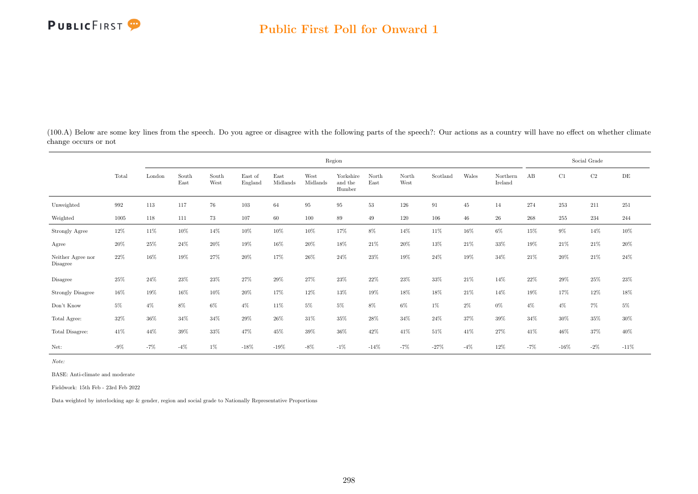

(100.A) Below are some key lines from the speech. Do you agree or disagree with the following parts of the speech?: Our actions as a country will have no effect on whether climate change occurs or not

|                                     |        |        |               |               |                    |                  |                  | Region                         |               |               |          |        |                     |       |        | Social Grade |        |
|-------------------------------------|--------|--------|---------------|---------------|--------------------|------------------|------------------|--------------------------------|---------------|---------------|----------|--------|---------------------|-------|--------|--------------|--------|
|                                     | Total  | London | South<br>East | South<br>West | East of<br>England | East<br>Midlands | West<br>Midlands | Yorkshire<br>and the<br>Humber | North<br>East | North<br>West | Scotland | Wales  | Northern<br>Ireland | AB    | C1     | $\rm C2$     | DE     |
| Unweighted                          | 992    | 113    | 117           | 76            | 103                | 64               | 95               | 95                             | 53            | 126           | 91       | 45     | 14                  | 274   | 253    | 211          | 251    |
| Weighted                            | 1005   | 118    | 111           | 73            | 107                | 60               | 100              | 89                             | 49            | 120           | 106      | $46\,$ | 26                  | 268   | 255    | 234          | 244    |
| Strongly Agree                      | $12\%$ | 11\%   | 10%           | 14%           | 10%                | 10%              | 10%              | 17%                            | 8%            | 14%           | 11%      | 16%    | $6\%$               | 15%   | $9\%$  | 14%          | 10%    |
| Agree                               | 20%    | 25%    | 24%           | 20%           | 19%                | 16%              | 20%              | 18%                            | 21\%          | 20%           | 13%      | 21\%   | 33%                 | 19%   | 21\%   | 21\%         | 20%    |
| Neither Agree nor<br>Disagree       | 22%    | 16%    | 19%           | 27%           | 20%                | 17%              | 26%              | 24%                            | 23%           | 19%           | 24%      | 19%    | 34%                 | 21\%  | 20%    | 21\%         | 24%    |
| Disagree                            | 25%    | 24\%   | 23%           | 23%           | 27%                | 29%              | 27%              | 23%                            | 22%           | 23%           | 33%      | 21\%   | 14%                 | 22%   | $29\%$ | $25\%$       | $23\%$ |
| <b>Strongly Disagree</b>            | $16\%$ | 19%    | 16%           | 10%           | $20\%$             | 17%              | 12%              | 13%                            | 19%           | 18%           | 18%      | 21\%   | 14%                 | 19%   | 17%    | $12\%$       | $18\%$ |
| $\mathrm{Don't}$<br>$\mathrm{Know}$ | $5\%$  | $4\%$  | 8%            | $6\%$         | $4\%$              | 11%              | $5\%$            | $5\%$                          | 8%            | $6\%$         | $1\%$    | 2%     | $0\%$               | $4\%$ | $4\%$  | 7%           | $5\%$  |
| Total Agree:                        | 32%    | $36\%$ | 34%           | 34%           | 29%                | $26\%$           | 31%              | 35%                            | $28\%$        | 34%           | 24%      | 37%    | 39%                 | 34%   | 30%    | $35\%$       | $30\%$ |
| Total Disagree:                     | 41\%   | 44%    | 39%           | 33%           | 47%                | 45%              | 39%              | 36%                            | 42%           | 41\%          | 51%      | 41\%   | 27%                 | 41\%  | 46%    | 37%          | 40%    |
| Net:                                | $-9\%$ | $-7%$  | $-4\%$        | 1%            | $-18\%$            | $-19%$           | $-8\%$           | $-1%$                          | $-14%$        | $-7%$         | $-27%$   | $-4%$  | 12%                 | $-7%$ | $-16%$ | $-2\%$       | $-11%$ |

Note:

BASE: Anti-climate and moderate

Fieldwork: 15th Feb - 23rd Feb 2022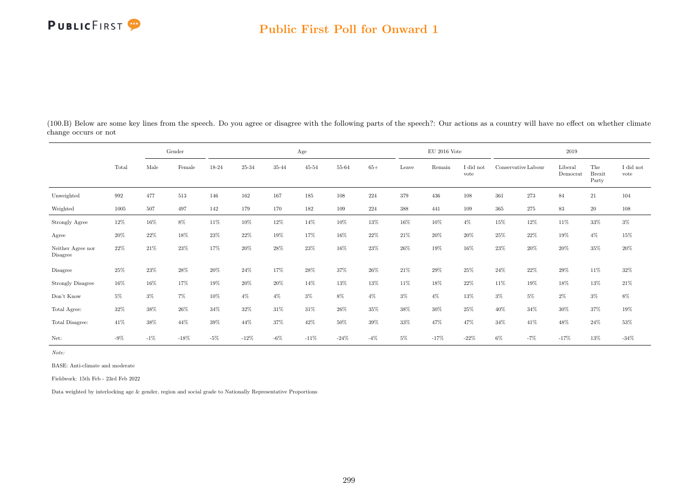## Public First Poll for Onward 1

| change occurs of not |       |      |        |       |       |       |           |       |       |       |                |                   |     |                     |                     |                               |                   |
|----------------------|-------|------|--------|-------|-------|-------|-----------|-------|-------|-------|----------------|-------------------|-----|---------------------|---------------------|-------------------------------|-------------------|
|                      |       |      | Gender |       |       |       | Age       |       |       |       | $EU$ 2016 Vote |                   |     |                     | 2019                |                               |                   |
|                      | Total | Male | Female | 18-24 | 25-34 | 35-44 | $45 - 54$ | 55-64 | $65+$ | Leave | Remain         | I did not<br>vote |     | Conservative Labour | Liberal<br>Democrat | The<br><b>Brexit</b><br>Party | I did not<br>vote |
| Unweighted           | 992   | 477  | 513    | 146   | 162   | 167   | 185       | 108   | 224   | 379   | 436            | 108               | 361 | 273                 | 84                  | 21                            | 104               |
| Weighted             | 1005  | 507  | 497    | 142   | 179   | 170   | 182       | 109   | 224   | 388   | 441            | 109               | 365 | 275                 | 83                  | 20                            | 108               |

(100.B) Below are some key lines from the speech. Do you agree or disagree with the following parts of the speech?: Our actions as a country will have no effect on whether climate change occurs or not

|                                     | Total  | Male   | Female | 18-24  | 25-34  | 35-44  | $45 - 54$ | 55-64   | $65+$ | Leave  | Remain | I did not<br>vote | Conservative Labour |        | Liberal<br>Democrat | The<br><b>Brexit</b><br>Party | I did not<br>vote |
|-------------------------------------|--------|--------|--------|--------|--------|--------|-----------|---------|-------|--------|--------|-------------------|---------------------|--------|---------------------|-------------------------------|-------------------|
| Unweighted                          | 992    | 477    | 513    | 146    | 162    | 167    | 185       | $108\,$ | 224   | 379    | 436    | 108               | $361\,$             | 273    | 84                  | $21\,$                        | 104               |
| Weighted                            | 1005   | 507    | 497    | 142    | 179    | 170    | 182       | 109     | 224   | 388    | 441    | 109               | 365                 | 275    | 83                  | 20                            | 108               |
| <b>Strongly Agree</b>               | 12%    | $16\%$ | 8%     | $11\%$ | $10\%$ | 12%    | 14%       | 10%     | 13%   | 16%    | $10\%$ | $4\%$             | 15%                 | 12%    | 11%                 | 33%                           | $3\%$             |
| Agree                               | 20%    | 22%    | 18%    | $23\%$ | $22\%$ | 19%    | 17%       | 16%     | 22%   | $21\%$ | 20%    | 20%               | 25%                 | 22%    | 19%                 | $4\%$                         | 15%               |
| Neither Agree nor<br>Disagree       | 22%    | 21\%   | $23\%$ | 17%    | 20%    | 28%    | 23%       | 16%     | 23%   | 26%    | 19%    | 16%               | 23%                 | $20\%$ | 20%                 | $35\%$                        | 20%               |
| Disagree                            | 25%    | 23%    | 28%    | 20%    | 24\%   | 17%    | 28%       | 37%     | 26%   | $21\%$ | 29%    | 25%               | 24%                 | 22%    | 29%                 | 11%                           | 32%               |
| <b>Strongly Disagree</b>            | $16\%$ | 16%    | 17%    | 19%    | $20\%$ | $20\%$ | 14%       | 13%     | 13%   | 11\%   | 18%    | 22%               | 11%                 | 19%    | 18%                 | 13%                           | $21\%$            |
| $\mathrm{Don't}$<br>$\mathrm{Know}$ | $5\%$  | $3\%$  | $7\%$  | $10\%$ | $4\%$  | $4\%$  | $3\%$     | $8\%$   | $4\%$ | $3\%$  | $4\%$  | $13\%$            | $3\%$               | $5\%$  | $2\%$               | $3\%$                         | $8\%$             |
| Total Agree:                        | 32%    | 38%    | 26%    | 34%    | 32%    | 31%    | 31%       | 26%     | 35%   | 38%    | 30%    | 25%               | 40%                 | 34%    | 30%                 | 37%                           | 19%               |
| Total Disagree:                     | 41%    | 38%    | 44%    | $39\%$ | 44%    | 37%    | 42%       | 50%     | 39%   | 33%    | 47%    | 47%               | 34%                 | 41%    | 48%                 | 24%                           | 53%               |
| Net:                                | $-9\%$ | $-1%$  | $-18%$ | $-5%$  | $-12%$ | $-6\%$ | $-11%$    | $-24%$  | $-4%$ | 5%     | $-17%$ | $-22%$            | $6\%$               | $-7%$  | $-17%$              | 13%                           | $-34%$            |

Note:

BASE: Anti-climate and moderate

Fieldwork: 15th Feb - 23rd Feb 2022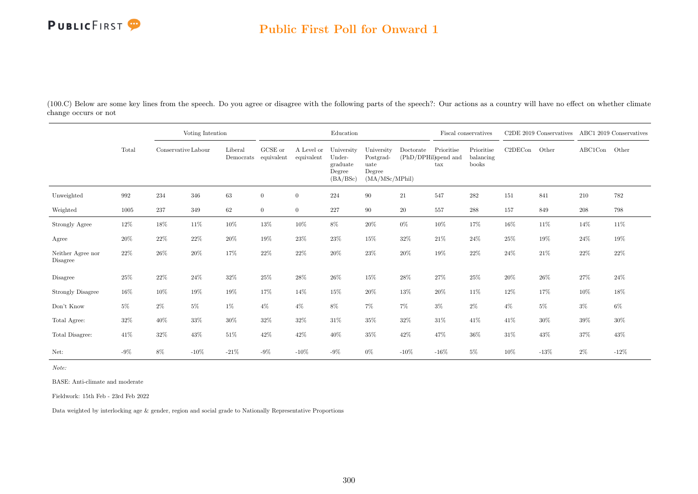

## Public First Poll for Onward 1

(100.C) Below are some key lines from the speech. Do you agree or disagree with the following parts of the speech?: Our actions as a country will have no effect on whether climate change occurs or not

|                               |        |                     | Voting Intention |                                 |                |                          | Education                                              |                                                             |                                   |                            | Fiscal conservatives             |         | C2DE 2019 Conservatives ABC1 2019 Conservatives |         |        |
|-------------------------------|--------|---------------------|------------------|---------------------------------|----------------|--------------------------|--------------------------------------------------------|-------------------------------------------------------------|-----------------------------------|----------------------------|----------------------------------|---------|-------------------------------------------------|---------|--------|
|                               | Total  | Conservative Labour |                  | Liberal<br>Democrats equivalent | GCSE or        | A Level or<br>equivalent | University<br>Under-<br>graduate<br>Degree<br>(BA/BSc) | University<br>Postgrad-<br>uate<br>Degree<br>(MA/MSc/MPhil) | Doctorate<br>(PhD/DPHil)spend and | Prioritise<br>$\text{tax}$ | Prioritise<br>balancing<br>books | C2DECon | Other                                           | ABC1Con | Other  |
| Unweighted                    | 992    | 234                 | 346              | $63\,$                          | $\overline{0}$ | $\overline{0}$           | 224                                                    | 90                                                          | $21\,$                            | 547                        | 282                              | 151     | 841                                             | 210     | 782    |
| Weighted                      | 1005   | 237                 | 349              | 62                              | $\overline{0}$ | $\overline{0}$           | 227                                                    | 90                                                          | $20\,$                            | 557                        | 288                              | 157     | 849                                             | 208     | 798    |
| Strongly Agree                | $12\%$ | 18%                 | 11\%             | $10\%$                          | 13%            | 10%                      | 8%                                                     | $20\%$                                                      | $0\%$                             | $10\%$                     | 17%                              | 16%     | $11\%$                                          | 14%     | $11\%$ |
| Agree                         | 20%    | 22%                 | $22\%$           | $20\%$                          | 19%            | 23%                      | $23\%$                                                 | 15%                                                         | $32\%$                            | 21\%                       | $24\%$                           | 25%     | $19\%$                                          | 24%     | $19\%$ |
| Neither Agree nor<br>Disagree | 22%    | 26%                 | 20%              | 17%                             | 22%            | 22%                      | 20%                                                    | 23%                                                         | $20\%$                            | 19%                        | 22%                              | $24\%$  | 21\%                                            | 22%     | 22%    |
| Disagree                      | 25%    | 22%                 | $24\%$           | 32%                             | 25%            | 28%                      | $26\%$                                                 | 15%                                                         | $28\%$                            | $27\%$                     | 25%                              | 20%     | $26\%$                                          | $27\%$  | 24%    |
| <b>Strongly Disagree</b>      | 16%    | 10%                 | 19%              | 19%                             | 17%            | 14%                      | 15%                                                    | $20\%$                                                      | $13\%$                            | $20\%$                     | 11%                              | $12\%$  | 17%                                             | 10%     | $18\%$ |
| Don't Know                    | $5\%$  | $2\%$               | $5\%$            | $1\%$                           | $4\%$          | $4\%$                    | 8%                                                     | 7%                                                          | $7\%$                             | $3\%$                      | $2\%$                            | $4\%$   | $5\%$                                           | $3\%$   | $6\%$  |
| Total Agree:                  | $32\%$ | 40%                 | 33%              | $30\%$                          | 32%            | 32%                      | $31\%$                                                 | 35%                                                         | 32%                               | 31\%                       | 41\%                             | 41%     | $30\%$                                          | 39%     | $30\%$ |
| Total Disagree:               | 41%    | 32%                 | $43\%$           | 51%                             | 42%            | 42\%                     | $40\%$                                                 | 35%                                                         | $42\%$                            | 47%                        | 36%                              | $31\%$  | $43\%$                                          | 37%     | 43%    |
| Net:                          | $-9\%$ | 8%                  | $-10\%$          | $-21%$                          | $-9\%$         | $-10\%$                  | $-9\%$                                                 | 0%                                                          | $-10%$                            | $-16%$                     | $5\%$                            | 10%     | $-13%$                                          | $2\%$   | $-12%$ |

Note:

BASE: Anti-climate and moderate

Fieldwork: 15th Feb - 23rd Feb 2022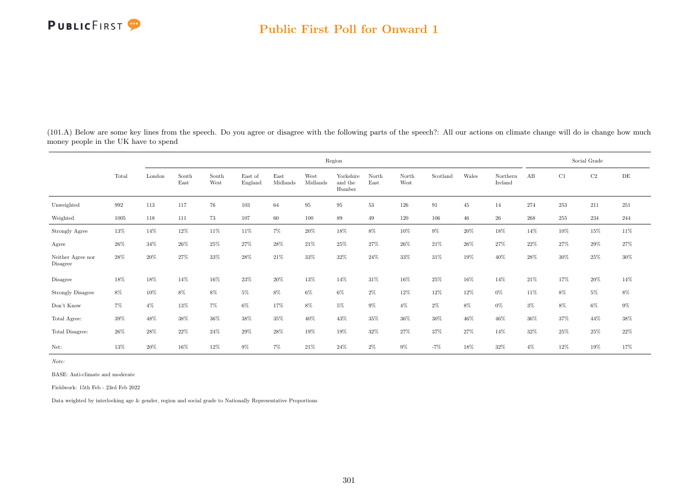(101.A) Below are some key lines from the speech. Do you agree or disagree with the following parts of the speech?: All our actions on climate change will do is change how much money people in the UK have to spend

|                                     |        |        |               |               |                    |                  |                  | Region                         |               |               |          |        |                     |       |        | Social Grade |        |
|-------------------------------------|--------|--------|---------------|---------------|--------------------|------------------|------------------|--------------------------------|---------------|---------------|----------|--------|---------------------|-------|--------|--------------|--------|
|                                     | Total  | London | South<br>East | South<br>West | East of<br>England | East<br>Midlands | West<br>Midlands | Yorkshire<br>and the<br>Humber | North<br>East | North<br>West | Scotland | Wales  | Northern<br>Ireland | AB    | C1     | C2           | DE     |
| Unweighted                          | 992    | 113    | 117           | 76            | $103\,$            | 64               | 95               | 95                             | 53            | 126           | 91       | 45     | 14                  | 274   | 253    | 211          | 251    |
| Weighted                            | 1005   | 118    | 111           | 73            | 107                | 60               | 100              | 89                             | 49            | 120           | 106      | 46     | 26                  | 268   | 255    | 234          | 244    |
| <b>Strongly Agree</b>               | $13\%$ | 14%    | $12\%$        | $11\%$        | 11%                | $7\%$            | $20\%$           | $18\%$                         | $8\%$         | 10%           | $9\%$    | $20\%$ | $18\%$              | 14%   | $10\%$ | $15\%$       | $11\%$ |
| Agree                               | $26\%$ | 34%    | 26%           | 25%           | 27%                | 28%              | 21\%             | 25%                            | 27%           | 26%           | 21\%     | 26\%   | 27%                 | 22%   | 27%    | 29%          | 27%    |
| Neither Agree nor<br>Disagree       | 28%    | 20%    | 27%           | 33%           | 28%                | 21\%             | 33%              | 32%                            | 24%           | 33%           | 31\%     | 19%    | 40%                 | 28%   | $30\%$ | 25%          | $30\%$ |
| Disagree                            | 18%    | 18%    | 14%           | $16\%$        | $23\%$             | $20\%$           | 13%              | 14%                            | 31%           | 16%           | 25%      | 16%    | 14%                 | 21\%  | 17%    | $20\%$       | 14%    |
| <b>Strongly Disagree</b>            | $8\%$  | 10%    | $8\%$         | $8\%$         | $5\%$              | $8\%$            | $6\%$            | $6\%$                          | $2\%$         | 12%           | 12%      | 12%    | $0\%$               | 11%   | 8%     | $5\%$        | $8\%$  |
| $\mathrm{Don't}$<br>$\mathrm{Know}$ | $7\%$  | $4\%$  | 13%           | 7%            | 6%                 | 17%              | $8\%$            | $5\%$                          | $9\%$         | $4\%$         | $2\%$    | $8\%$  | $0\%$               | $3\%$ | 8%     | 6%           | $9\%$  |
| Total Agree:                        | $39\%$ | 48%    | 38%           | $36\%$        | $38\%$             | 35%              | 40%              | 43%                            | 35%           | 36%           | 30%      | 46%    | 46%                 | 36%   | 37%    | 44%          | $38\%$ |
| Total Disagree:                     | 26%    | 28%    | 22%           | 24%           | 29%                | 28%              | 19%              | 19%                            | 32%           | 27%           | 37%      | 27%    | 14%                 | 32%   | 25%    | 25%          | $22\%$ |
| Net:                                | 13%    | 20%    | 16%           | 12%           | 9%                 | $7\%$            | 21%              | 24%                            | 2%            | $9\%$         | $-7%$    | 18%    | 32%                 | $4\%$ | 12%    | 19%          | 17%    |

Note:

BASE: Anti-climate and moderate

Fieldwork: 15th Feb - 23rd Feb 2022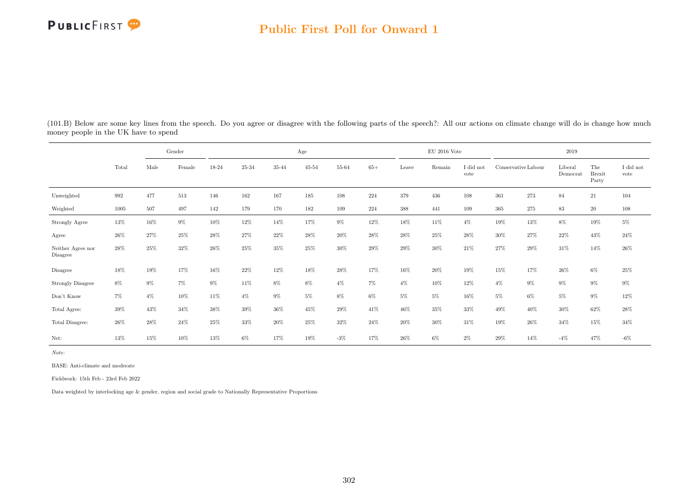#### Public First Poll for Onward 1

|                               |                    |       | Gender |        |       |        | Age       |                |       |        | $EU$ 2016 Vote |                   |        |                     | 2019                |                               |                   |
|-------------------------------|--------------------|-------|--------|--------|-------|--------|-----------|----------------|-------|--------|----------------|-------------------|--------|---------------------|---------------------|-------------------------------|-------------------|
|                               | Total              | Male  | Female | 18-24  | 25-34 | 35-44  | $45 - 54$ | $55\mbox{-}64$ | $65+$ | Leave  | Remain         | I did not<br>vote |        | Conservative Labour | Liberal<br>Democrat | The<br><b>Brexit</b><br>Party | I did not<br>vote |
| Unweighted                    | $\boldsymbol{992}$ | 477   | 513    | 146    | 162   | 167    | 185       | 108            | 224   | 379    | 436            | 108               | 361    | 273                 | 84                  | $21\,$                        | 104               |
| Weighted                      | 1005               | 507   | 497    | 142    | 179   | 170    | 182       | 109            | 224   | 388    | 441            | 109               | 365    | 275                 | 83                  | 20                            | 108               |
| Strongly Agree                | 13%                | 16%   | $9\%$  | 10%    | 12%   | 14%    | 17%       | $9\%$          | 12%   | 18%    | 11%            | $4\%$             | 19%    | 13%                 | 8%                  | 19%                           | $5\%$             |
| Agree                         | $26\%$             | 27%   | $25\%$ | $28\%$ | 27%   | $22\%$ | 28%       | $20\%$         | 28%   | $28\%$ | 25%            | 28%               | 30%    | 27%                 | 22%                 | 43%                           | $24\%$            |
| Neither Agree nor<br>Disagree | 28%                | 25%   | 32%    | 26%    | 25%   | 35%    | 25%       | $30\%$         | 29%   | $29\%$ | 30%            | 21%               | 27%    | $29\%$              | $31\%$              | 14%                           | $26\%$            |
| Disagree                      | 18%                | 19%   | 17%    | 16%    | 22%   | 12%    | 18%       | 28%            | 17%   | 16%    | 20%            | 19%               | 15%    | 17%                 | 26%                 | $6\%$                         | $25\%$            |
| <b>Strongly Disagree</b>      | $8\%$              | $9\%$ | 7%     | 9%     | 11\%  | 8%     | 8%        | $4\%$          | $7\%$ | $4\%$  | 10%            | 12%               | $4\%$  | $9\%$               | $9\%$               | $9\%$                         | $9\%$             |
| Don't Know                    | $7\%$              | $4\%$ | $10\%$ | $11\%$ | $4\%$ | $9\%$  | $5\%$     | $8\%$          | $6\%$ | $5\%$  | $5\%$          | 16%               | $5\%$  | $6\%$               | $5\%$               | $9\%$                         | $12\%$            |
| Total Agree:                  | 39%                | 43%   | 34%    | 38%    | 39%   | 36%    | 45%       | 29%            | 41\%  | 46%    | 35%            | 33%               | 49%    | 40%                 | 30%                 | 62%                           | 28\%              |
| Total Disagree:               | $26\%$             | 28%   | 24\%   | 25%    | 33%   | 20%    | 25%       | 32%            | 24%   | 20%    | 30%            | 31%               | 19%    | 26\%                | 34%                 | 15%                           | $34\%$            |
| Net:                          | 13%                | 15%   | $10\%$ | $13\%$ | $6\%$ | 17%    | 19%       | $-3\%$         | 17%   | $26\%$ | $6\%$          | $2\%$             | $29\%$ | 14%                 | $-4\%$              | $47\%$                        | $-6\%$            |

(101.B) Below are some key lines from the speech. Do you agree or disagree with the following parts of the speech?: All our actions on climate change will do is change how much money people in the UK have to spend

Note:

BASE: Anti-climate and moderate

Fieldwork: 15th Feb - 23rd Feb 2022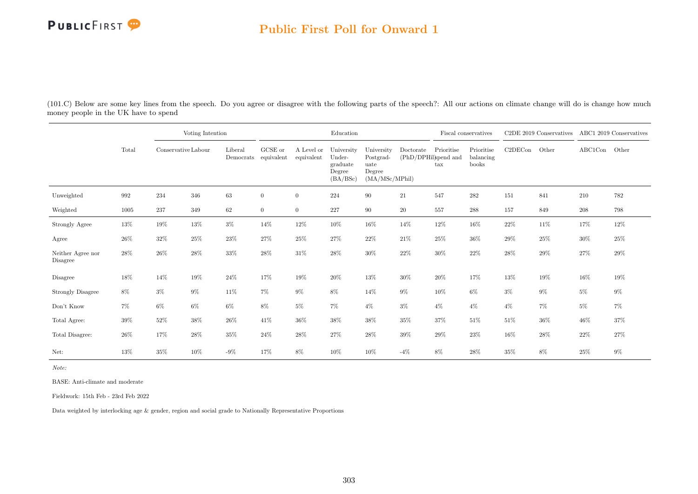

## Public First Poll for Onward 1

(101.C) Below are some key lines from the speech. Do you agree or disagree with the following parts of the speech?: All our actions on climate change will do is change how much money people in the UK have to spend

|                               |                    |                     | Voting Intention |         |                                                                   |                          | Education                                              |                                                             |                                   |                   | Fiscal conservatives             |         | C2DE 2019 Conservatives ABC1 2019 Conservatives |                          |        |
|-------------------------------|--------------------|---------------------|------------------|---------|-------------------------------------------------------------------|--------------------------|--------------------------------------------------------|-------------------------------------------------------------|-----------------------------------|-------------------|----------------------------------|---------|-------------------------------------------------|--------------------------|--------|
|                               | Total              | Conservative Labour |                  | Liberal | GCSE or<br>$\label{lem:1} {\rm Demoncrats}\quad {\rm equivalent}$ | A Level or<br>equivalent | University<br>Under-<br>graduate<br>Degree<br>(BA/BSc) | University<br>Postgrad-<br>uate<br>Degree<br>(MA/MSc/MPhil) | Doctorate<br>(PhD/DPHil)spend and | Prioritise<br>tax | Prioritise<br>balancing<br>books | C2DECon | Other                                           | $\operatorname{ABC1Con}$ | Other  |
| Unweighted                    | $\boldsymbol{992}$ | 234                 | 346              | 63      | $\boldsymbol{0}$                                                  | $\overline{0}$           | 224                                                    | $90\,$                                                      | 21                                | 547               | 282                              | 151     | 841                                             | 210                      | 782    |
| Weighted                      | 1005               | 237                 | 349              | 62      | $\overline{0}$                                                    | $\overline{0}$           | 227                                                    | 90                                                          | $20\,$                            | 557               | 288                              | 157     | 849                                             | 208                      | 798    |
| Strongly Agree                | 13%                | 19%                 | 13%              | $3\%$   | 14%                                                               | $12\%$                   | $10\%$                                                 | 16%                                                         | 14%                               | $12\%$            | 16%                              | 22%     | $11\%$                                          | 17%                      | $12\%$ |
| Agree                         | 26%                | 32%                 | 25%              | 23%     | 27%                                                               | 25\%                     | 27%                                                    | 22%                                                         | $21\%$                            | 25%               | 36%                              | 29%     | $25\%$                                          | $30\%$                   | $25\%$ |
| Neither Agree nor<br>Disagree | 28%                | 26%                 | 28\%             | 33%     | 28%                                                               | $31\%$                   | 28\%                                                   | 30%                                                         | 22%                               | $30\%$            | 22%                              | 28%     | $29\%$                                          | 27%                      | 29%    |
| Disagree                      | 18%                | 14%                 | 19%              | 24%     | 17%                                                               | $19\%$                   | 20%                                                    | $13\%$                                                      | 30%                               | 20%               | 17%                              | 13%     | $19\%$                                          | 16%                      | 19%    |
| <b>Strongly Disagree</b>      | 8%                 | $3\%$               | $9\%$            | 11%     | 7%                                                                | $9\%$                    | 8%                                                     | 14%                                                         | $9\%$                             | 10%               | $6\%$                            | $3\%$   | $9\%$                                           | $5\%$                    | $9\%$  |
| Don't Know                    | $7\%$              | $6\%$               | $6\%$            | $6\%$   | $8\%$                                                             | $5\%$                    | 7%                                                     | $4\%$                                                       | $3\%$                             | $4\%$             | $4\%$                            | $4\%$   | $7\%$                                           | $5\%$                    | 7%     |
| Total Agree:                  | 39%                | 52%                 | $38\%$           | $26\%$  | 41\%                                                              | 36%                      | $38\%$                                                 | $38\%$                                                      | $35\%$                            | $37\%$            | $51\%$                           | $51\%$  | $36\%$                                          | 46%                      | 37%    |
| Total Disagree:               | $26\%$             | 17%                 | $28\%$           | $35\%$  | $24\%$                                                            | $28\%$                   | $27\%$                                                 | 28%                                                         | $39\%$                            | $29\%$            | 23%                              | 16%     | $28\%$                                          | $22\%$                   | 27%    |
| Net:                          | 13%                | 35%                 | 10%              | $-9\%$  | 17%                                                               | 8%                       | 10%                                                    | 10%                                                         | $-4\%$                            | 8%                | 28%                              | 35%     | 8%                                              | 25%                      | $9\%$  |

Note:

BASE: Anti-climate and moderate

Fieldwork: 15th Feb - 23rd Feb 2022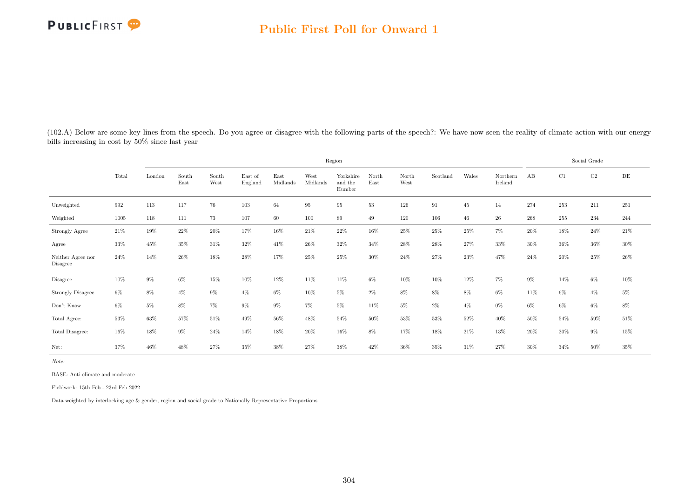

(102.A) Below are some key lines from the speech. Do you agree or disagree with the following parts of the speech?: We have now seen the reality of climate action with our energy bills increasing in cost by 50% since last year

|                               |        |         |               |               |                    |                  |                  | Region                         |               |               |          |        |                     |        |        | Social Grade |           |
|-------------------------------|--------|---------|---------------|---------------|--------------------|------------------|------------------|--------------------------------|---------------|---------------|----------|--------|---------------------|--------|--------|--------------|-----------|
|                               | Total  | London  | South<br>East | South<br>West | East of<br>England | East<br>Midlands | West<br>Midlands | Yorkshire<br>and the<br>Humber | North<br>East | North<br>West | Scotland | Wales  | Northern<br>Ireland | AB     | C1     | $\rm C2$     | $\rm{DE}$ |
| Unweighted                    | 992    | $113\,$ | 117           | 76            | 103                | 64               | $95\,$           | 95                             | 53            | $126\,$       | 91       | 45     | 14                  | 274    | 253    | $211\,$      | 251       |
| Weighted                      | 1005   | 118     | 111           | 73            | 107                | 60               | 100              | 89                             | 49            | 120           | 106      | $46\,$ | 26                  | 268    | 255    | 234          | 244       |
| <b>Strongly Agree</b>         | $21\%$ | 19%     | $22\%$        | $20\%$        | 17%                | $16\%$           | 21%              | $22\%$                         | $16\%$        | $25\%$        | $25\%$   | $25\%$ | $7\%$               | $20\%$ | $18\%$ | $24\%$       | $21\%$    |
| Agree                         | 33%    | 45%     | 35%           | 31%           | 32%                | 41\%             | 26%              | 32%                            | 34%           | 28%           | 28%      | 27%    | 33%                 | 30%    | 36%    | 36%          | $30\%$    |
| Neither Agree nor<br>Disagree | 24\%   | 14%     | 26%           | 18%           | 28%                | 17%              | 25%              | 25%                            | 30%           | 24%           | 27%      | 23%    | 47%                 | 24\%   | 20%    | 25%          | 26%       |
| Disagree                      | 10%    | $9\%$   | $6\%$         | 15%           | 10%                | 12%              | 11%              | 11%                            | $6\%$         | 10%           | 10%      | 12%    | $7\%$               | $9\%$  | 14%    | 6%           | $10\%$    |
| <b>Strongly Disagree</b>      | $6\%$  | $8\%$   | $4\%$         | $9\%$         | $4\%$              | $6\%$            | 10%              | $5\%$                          | $2\%$         | $8\%$         | 8%       | 8%     | $6\%$               | 11\%   | $6\%$  | $4\%$        | $5\%$     |
| Don't Know                    | 6%     | $5\%$   | $8\%$         | $7\%$         | $9\%$              | $9\%$            | $7\%$            | $5\%$                          | 11\%          | $5\%$         | $2\%$    | $4\%$  | $0\%$               | $6\%$  | $6\%$  | 6%           | $8\%$     |
| Total Agree:                  | 53%    | 63%     | 57%           | $51\%$        | $49\%$             | 56%              | 48%              | 54%                            | 50%           | 53%           | 53%      | 52%    | 40%                 | 50%    | 54%    | 59%          | $51\%$    |
| Total Disagree:               | $16\%$ | 18%     | $9\%$         | 24%           | 14%                | 18%              | 20%              | $16\%$                         | 8%            | 17%           | $18\%$   | 21\%   | 13%                 | 20%    | 20%    | $9\%$        | $15\%$    |
| Net:                          | 37%    | 46%     | 48%           | 27%           | $35\%$             | $38\%$           | 27%              | 38%                            | $42\%$        | 36%           | $35\%$   | 31\%   | 27%                 | 30%    | 34%    | 50%          | $35\%$    |

Note:

BASE: Anti-climate and moderate

Fieldwork: 15th Feb - 23rd Feb 2022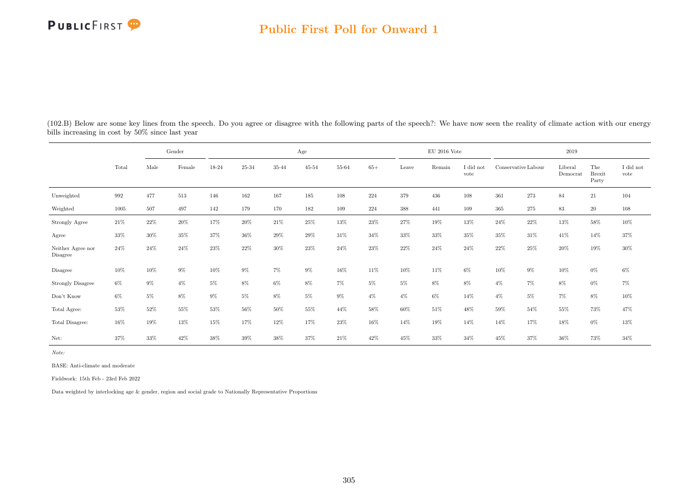#### Public First Poll for Onward 1

|                               |       |        | Gender |        |        |        | Age       |        |       |       | $\mathrm{EU}$ 2016 Vote |                   |                     |       | 2019                |                               |                               |
|-------------------------------|-------|--------|--------|--------|--------|--------|-----------|--------|-------|-------|-------------------------|-------------------|---------------------|-------|---------------------|-------------------------------|-------------------------------|
|                               | Total | Male   | Female | 18-24  | 25-34  | 35-44  | $45 - 54$ | 55-64  | $65+$ | Leave | Remain                  | I did not<br>vote | Conservative Labour |       | Liberal<br>Democrat | The<br><b>Brexit</b><br>Party | $\rm I$ did $\rm not$<br>vote |
| Unweighted                    | 992   | 477    | 513    | 146    | 162    | 167    | 185       | 108    | 224   | 379   | 436                     | 108               | 361                 | 273   | 84                  | 21                            | 104                           |
| Weighted                      | 1005  | 507    | 497    | 142    | 179    | 170    | 182       | 109    | 224   | 388   | 441                     | 109               | 365                 | 275   | 83                  | 20                            | 108                           |
| Strongly Agree                | 21%   | 22%    | 20%    | 17%    | 20%    | 21\%   | 25%       | 13%    | 23%   | 27%   | 19%                     | 13%               | $24\%$              | 22\%  | 13%                 | 58%                           | $10\%$                        |
| Agree                         | 33%   | $30\%$ | $35\%$ | 37%    | 36%    | 29%    | 29%       | 31\%   | 34%   | 33%   | 33%                     | $35\%$            | $35\%$              | 31\%  | 41\%                | 14%                           | $37\%$                        |
| Neither Agree nor<br>Disagree | 24%   | 24\%   | 24\%   | 23%    | 22%    | $30\%$ | 23%       | 24\%   | 23%   | 22%   | 24\%                    | 24%               | 22%                 | 25%   | 20%                 | 19%                           | $30\%$                        |
| Disagree                      | 10%   | $10\%$ | $9\%$  | $10\%$ | $9\%$  | $7\%$  | $9\%$     | $16\%$ | 11\%  | 10%   | 11%                     | $6\%$             | 10%                 | $9\%$ | 10%                 | $0\%$                         | $6\%$                         |
| <b>Strongly Disagree</b>      | $6\%$ | $9\%$  | $4\%$  | $5\%$  | $8\%$  | $6\%$  | 8%        | $7\%$  | $5\%$ | $5\%$ | $8\%$                   | 8%                | $4\%$               | $7\%$ | 8%                  | $0\%$                         | $7\%$                         |
| Don't Know                    | $6\%$ | 5%     | 8%     | $9\%$  | $5\%$  | $8\%$  | $5\%$     | $9\%$  | $4\%$ | $4\%$ | $6\%$                   | 14%               | $4\%$               | $5\%$ | $7\%$               | 8%                            | $10\%$                        |
| Total Agree:                  | 53%   | 52%    | 55%    | 53%    | 56%    | $50\%$ | 55%       | 44%    | 58%   | 60%   | 51%                     | 48%               | 59%                 | 54%   | $55\%$              | 73%                           | 47%                           |
| Total Disagree:               | 16%   | 19%    | 13%    | 15%    | 17%    | 12%    | 17%       | 23%    | 16%   | 14%   | 19%                     | 14%               | 14%                 | 17%   | 18%                 | $0\%$                         | 13%                           |
| Net:                          | 37%   | 33%    | 42\%   | 38%    | $39\%$ | 38%    | 37%       | 21\%   | 42%   | 45%   | 33%                     | 34%               | 45%                 | 37%   | $36\%$              | 73%                           | 34%                           |

(102.B) Below are some key lines from the speech. Do you agree or disagree with the following parts of the speech?: We have now seen the reality of climate action with our energy bills increasing in cost by 50% since last year

Note:

BASE: Anti-climate and moderate

Fieldwork: 15th Feb - 23rd Feb 2022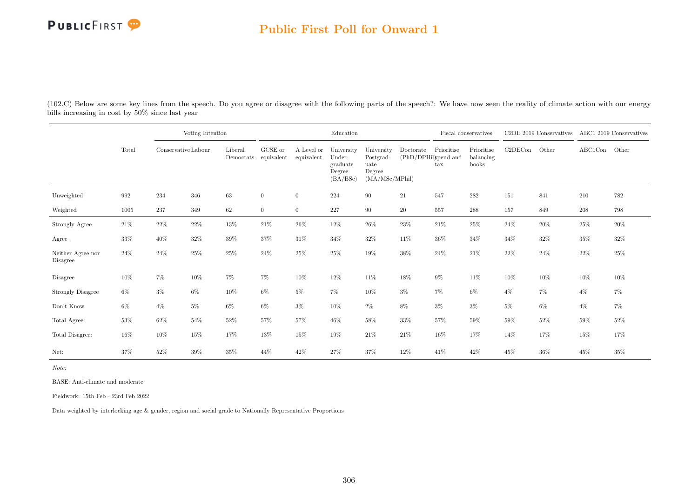

#### Public First Poll for Onward 1

(102.C) Below are some key lines from the speech. Do you agree or disagree with the following parts of the speech?: We have now seen the reality of climate action with our energy bills increasing in cost by 50% since last year

|                               |        |                     | Voting Intention |         |                                 |                          | Education                                              |                                                             |           |                                           | Fiscal conservatives             |         | C2DE 2019 Conservatives ABC1 2019 Conservatives |         |        |
|-------------------------------|--------|---------------------|------------------|---------|---------------------------------|--------------------------|--------------------------------------------------------|-------------------------------------------------------------|-----------|-------------------------------------------|----------------------------------|---------|-------------------------------------------------|---------|--------|
|                               | Total  | Conservative Labour |                  | Liberal | GCSE or<br>Democrats equivalent | A Level or<br>equivalent | University<br>Under-<br>graduate<br>Degree<br>(BA/BSc) | University<br>Postgrad-<br>uate<br>Degree<br>(MA/MSc/MPhil) | Doctorate | Prioritise<br>(PhD/DPHil)spend and<br>tax | Prioritise<br>balancing<br>books | C2DECon | Other                                           | ABC1Con | Other  |
| Unweighted                    | 992    | 234                 | 346              | 63      | $\boldsymbol{0}$                | $\overline{0}$           | 224                                                    | $90\,$                                                      | 21        | 547                                       | 282                              | 151     | 841                                             | 210     | 782    |
| Weighted                      | 1005   | 237                 | 349              | 62      | $\overline{0}$                  | $\overline{0}$           | $227\,$                                                | 90                                                          | $20\,$    | 557                                       | 288                              | 157     | 849                                             | 208     | 798    |
| Strongly Agree                | 21\%   | $22\%$              | $22\%$           | $13\%$  | $21\%$                          | $26\%$                   | $12\%$                                                 | $26\%$                                                      | $23\%$    | $21\%$                                    | 25%                              | $24\%$  | $20\%$                                          | $25\%$  | $20\%$ |
| Agree                         | 33%    | 40%                 | 32%              | 39%     | 37%                             | 31\%                     | 34%                                                    | 32%                                                         | $11\%$    | 36%                                       | 34%                              | 34%     | $32\%$                                          | 35%     | 32%    |
| Neither Agree nor<br>Disagree | 24%    | 24%                 | $25\%$           | $25\%$  | $24\%$                          | $25\%$                   | $25\%$                                                 | 19%                                                         | $38\%$    | $24\%$                                    | 21%                              | 22%     | 24\%                                            | $22\%$  | 25%    |
| Disagree                      | 10%    | 7%                  | 10%              | $7\%$   | 7%                              | 10%                      | $12\%$                                                 | 11%                                                         | 18%       | $9\%$                                     | 11%                              | 10%     | $10\%$                                          | 10%     | 10%    |
| <b>Strongly Disagree</b>      | $6\%$  | $3\%$               | $6\%$            | $10\%$  | $6\%$                           | $5\%$                    | 7%                                                     | 10%                                                         | $3\%$     | $7\%$                                     | $6\%$                            | $4\%$   | $7\%$                                           | $4\%$   | 7%     |
| Don't Know                    | $6\%$  | $4\%$               | $5\%$            | $6\%$   | $6\%$                           | $3\%$                    | $10\%$                                                 | $2\%$                                                       | 8%        | $3\%$                                     | $3\%$                            | $5\%$   | 6%                                              | $4\%$   | $7\%$  |
| Total Agree:                  | $53\%$ | 62%                 | $54\%$           | $52\%$  | 57%                             | 57%                      | $46\%$                                                 | $58\%$                                                      | $33\%$    | $57\%$                                    | 59%                              | 59%     | $52\%$                                          | 59%     | 52%    |
| Total Disagree:               | 16%    | 10%                 | 15%              | 17%     | 13%                             | 15%                      | 19%                                                    | $21\%$                                                      | $21\%$    | 16%                                       | 17%                              | 14%     | 17%                                             | 15%     | 17%    |
| Net:                          | 37%    | 52%                 | 39%              | 35%     | 44%                             | 42\%                     | 27%                                                    | $37\%$                                                      | 12%       | 41\%                                      | 42%                              | 45%     | 36%                                             | 45%     | 35%    |

Note:

BASE: Anti-climate and moderate

Fieldwork: 15th Feb - 23rd Feb 2022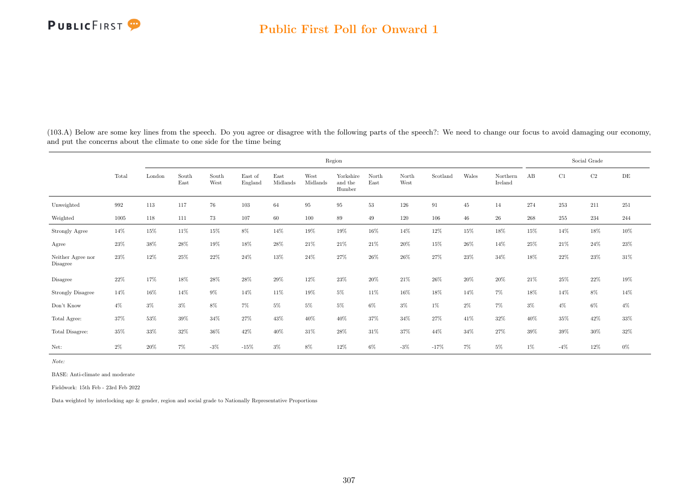

(103.A) Below are some key lines from the speech. Do you agree or disagree with the following parts of the speech?: We need to change our focus to avoid damaging our economy, and put the concerns about the climate to one side for the time being

|                               |        |        |               |               |                    |                  |                  | Region                         |               |               |          |        |                     |       |       | Social Grade |        |
|-------------------------------|--------|--------|---------------|---------------|--------------------|------------------|------------------|--------------------------------|---------------|---------------|----------|--------|---------------------|-------|-------|--------------|--------|
|                               | Total  | London | South<br>East | South<br>West | East of<br>England | East<br>Midlands | West<br>Midlands | Yorkshire<br>and the<br>Humber | North<br>East | North<br>West | Scotland | Wales  | Northern<br>Ireland | AB    | C1    | $\rm{C2}$    | DE     |
| Unweighted                    | 992    | 113    | 117           | 76            | $103\,$            | 64               | $\rm 95$         | 95                             | 53            | 126           | 91       | 45     | 14                  | 274   | 253   | 211          | 251    |
| Weighted                      | 1005   | 118    | 111           | 73            | 107                | 60               | 100              | 89                             | 49            | 120           | 106      | 46     | 26                  | 268   | 255   | 234          | 244    |
| Strongly Agree                | 14%    | 15%    | 11%           | 15%           | $8\%$              | 14%              | 19%              | 19%                            | $16\%$        | 14%           | 12%      | 15%    | 18%                 | 15%   | 14%   | 18%          | $10\%$ |
| Agree                         | 23%    | 38%    | 28%           | 19%           | 18%                | 28%              | 21\%             | 21\%                           | 21\%          | 20%           | 15%      | $26\%$ | 14%                 | 25%   | 21\%  | 24\%         | 23%    |
| Neither Agree nor<br>Disagree | $23\%$ | 12%    | 25%           | 22%           | 24\%               | 13%              | 24%              | 27%                            | $26\%$        | 26%           | 27%      | 23%    | 34%                 | 18%   | 22%   | 23%          | 31\%   |
| Disagree                      | 22%    | 17%    | 18%           | $28\%$        | $28\%$             | $29\%$           | $12\%$           | $23\%$                         | $20\%$        | $21\%$        | 26%      | $20\%$ | 20%                 | 21\%  | 25%   | 22%          | $19\%$ |
| <b>Strongly Disagree</b>      | 14%    | 16%    | 14%           | $9\%$         | 14%                | 11\%             | 19%              | $5\%$                          | 11%           | 16%           | 18%      | 14%    | $7\%$               | 18%   | 14%   | 8%           | 14%    |
| Don't Know                    | $4\%$  | $3\%$  | $3\%$         | 8%            | 7%                 | $5\%$            | $5\%$            | $5\%$                          | $6\%$         | $3\%$         | $1\%$    | $2\%$  | 7%                  | $3\%$ | $4\%$ | $6\%$        | $4\%$  |
| Total Agree:                  | 37%    | 53%    | 39%           | 34\%          | 27%                | 43\%             | 40%              | 40%                            | 37%           | 34%           | 27%      | 41\%   | 32%                 | 40%   | 35%   | 42\%         | 33%    |
| Total Disagree:               | 35%    | 33%    | 32%           | 36%           | 42\%               | 40%              | 31%              | 28%                            | 31\%          | 37%           | 44%      | 34%    | 27%                 | 39%   | 39%   | 30%          | 32%    |
| Net:                          | $2\%$  | 20%    | $7\%$         | $-3\%$        | $-15%$             | $3\%$            | 8%               | 12%                            | $6\%$         | $-3%$         | $-17%$   | $7\%$  | $5\%$               | $1\%$ | $-4%$ | 12%          | $0\%$  |

Note:

BASE: Anti-climate and moderate

Fieldwork: 15th Feb - 23rd Feb 2022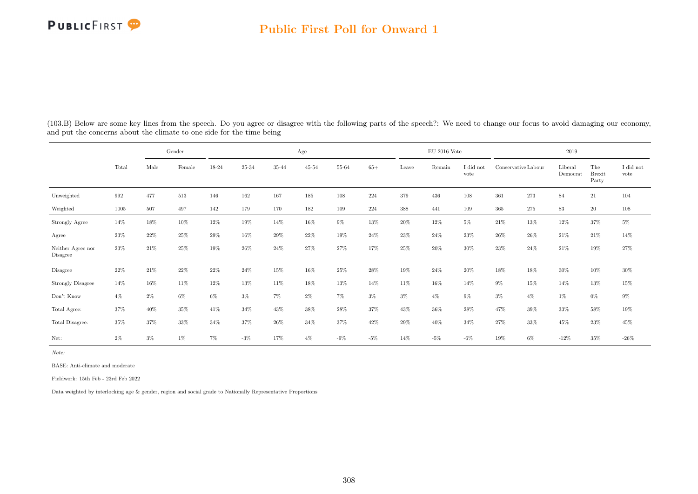## Public First Poll for Onward 1

| (103.B) Below are some key lines from the speech. Do you agree or disagree with the following parts of the speech?: We need to change our focus to avoid damaging our economy, |  |  |
|--------------------------------------------------------------------------------------------------------------------------------------------------------------------------------|--|--|
| and put the concerns about the climate to one side for the time being                                                                                                          |  |  |

|                               |        |        | Gender |        |        |        | Age       |           |        |        | $\mathrm{EU}$ 2016 Vote |                   |                     |         | 2019                |                               |                   |
|-------------------------------|--------|--------|--------|--------|--------|--------|-----------|-----------|--------|--------|-------------------------|-------------------|---------------------|---------|---------------------|-------------------------------|-------------------|
|                               | Total  | Male   | Female | 18-24  | 25-34  | 35-44  | $45 - 54$ | $55 - 64$ | $65+$  | Leave  | Remain                  | I did not<br>vote | Conservative Labour |         | Liberal<br>Democrat | The<br><b>Brexit</b><br>Party | I did not<br>vote |
| Unweighted                    | 992    | 477    | 513    | 146    | 162    | 167    | 185       | $108\,$   | 224    | 379    | 436                     | 108               | 361                 | $273\,$ | 84                  | 21                            | 104               |
| Weighted                      | 1005   | 507    | 497    | 142    | 179    | 170    | 182       | 109       | 224    | 388    | 441                     | 109               | 365                 | 275     | 83                  | 20                            | 108               |
| Strongly Agree                | $14\%$ | 18%    | $10\%$ | $12\%$ | $19\%$ | $14\%$ | $16\%$    | $9\%$     | $13\%$ | $20\%$ | 12%                     | $5\%$             | 21\%                | $13\%$  | 12%                 | $37\%$                        | $5\%$             |
| Agree                         | 23%    | $22\%$ | 25%    | 29%    | 16%    | 29%    | $22\%$    | 19%       | 24%    | 23%    | 24%                     | 23%               | 26\%                | 26\%    | 21\%                | 21\%                          | 14%               |
| Neither Agree nor<br>Disagree | 23%    | 21%    | 25%    | 19%    | 26%    | 24\%   | 27%       | 27%       | 17%    | 25%    | 20%                     | 30%               | 23%                 | 24\%    | 21\%                | 19%                           | 27%               |
| Disagree                      | $22\%$ | 21\%   | $22\%$ | $22\%$ | $24\%$ | $15\%$ | $16\%$    | $25\%$    | $28\%$ | 19%    | 24%                     | 20%               | $18\%$              | $18\%$  | 30%                 | $10\%$                        | $30\%$            |
| <b>Strongly Disagree</b>      | 14%    | 16%    | 11\%   | 12%    | 13%    | 11\%   | 18%       | 13%       | 14%    | 11\%   | 16%                     | 14%               | $9\%$               | 15%     | 14%                 | 13%                           | $15\%$            |
| Don't Know                    | $4\%$  | $2\%$  | $6\%$  | $6\%$  | $3\%$  | 7%     | $2\%$     | $7\%$     | $3\%$  | $3\%$  | $4\%$                   | $9\%$             | $3\%$               | $4\%$   | $1\%$               | $0\%$                         | $9\%$             |
| Total Agree:                  | 37%    | 40%    | 35%    | 41\%   | 34%    | 43%    | 38%       | 28%       | 37%    | 43%    | 36%                     | 28%               | 47%                 | 39%     | 33%                 | 58%                           | $19\%$            |
| Total Disagree:               | $35\%$ | 37%    | 33%    | 34%    | 37%    | 26%    | 34%       | 37%       | 42%    | 29%    | 40%                     | 34%               | 27%                 | 33%     | 45%                 | $23\%$                        | $45\%$            |
| Net:                          | $2\%$  | $3\%$  | 1%     | 7%     | $-3%$  | 17%    | $4\%$     | $-9\%$    | $-5%$  | 14%    | $-5%$                   | $-6\%$            | 19%                 | $6\%$   | $-12%$              | 35%                           | $-26\%$           |

Note:

BASE: Anti-climate and moderate

Fieldwork: 15th Feb - 23rd Feb 2022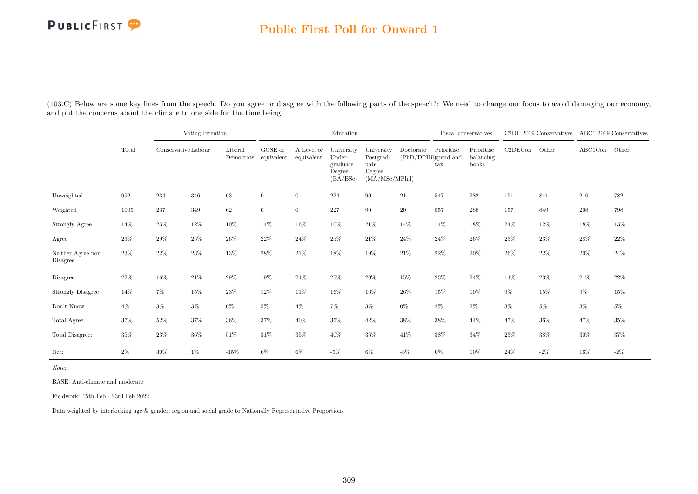#### Public First Poll for Onward 1

(103.C) Below are some key lines from the speech. Do you agree or disagree with the following parts of the speech?: We need to change our focus to avoid damaging our economy, and put the concerns about the climate to one side for the time being

|                               |        |                     | Voting Intention |                      |                       |                          | Education                                              |                                                             |           |                                                                   | Fiscal conservatives             |         | C2DE 2019 Conservatives |         | ABC1 2019 Conservatives |
|-------------------------------|--------|---------------------|------------------|----------------------|-----------------------|--------------------------|--------------------------------------------------------|-------------------------------------------------------------|-----------|-------------------------------------------------------------------|----------------------------------|---------|-------------------------|---------|-------------------------|
|                               | Total  | Conservative Labour |                  | Liberal<br>Democrats | GCSE or<br>equivalent | A Level or<br>equivalent | University<br>Under-<br>graduate<br>Degree<br>(BA/BSc) | University<br>Postgrad-<br>uate<br>Degree<br>(MA/MSc/MPhil) | Doctorate | Prioritise<br>$(\mathrm{PhD}/\mathrm{DPHil})$ and<br>$\text{tax}$ | Prioritise<br>balancing<br>books | C2DECon | Other                   | ABC1Con | Other                   |
| Unweighted                    | 992    | 234                 | 346              | 63                   | $\overline{0}$        | $\overline{0}$           | 224                                                    | 90                                                          | 21        | 547                                                               | 282                              | 151     | 841                     | 210     | 782                     |
| Weighted                      | 1005   | 237                 | 349              | 62                   | $\overline{0}$        | $\overline{0}$           | 227                                                    | 90                                                          | 20        | 557                                                               | 288                              | 157     | 849                     | 208     | 798                     |
| Strongly Agree                | 14%    | $23\%$              | $12\%$           | $10\%$               | 14%                   | 16%                      | $10\%$                                                 | $21\%$                                                      | 14%       | 14%                                                               | 18%                              | 24\%    | $12\%$                  | $18\%$  | $13\%$                  |
| Agree                         | $23\%$ | 29%                 | 25%              | $26\%$               | 22%                   | $24\%$                   | 25%                                                    | $21\%$                                                      | 24%       | 24%                                                               | 26%                              | 23%     | $23\%$                  | 28%     | 22%                     |
| Neither Agree nor<br>Disagree | 23%    | 22%                 | 23%              | 13%                  | 28%                   | $21\%$                   | 18%                                                    | 19%                                                         | 21\%      | 22%                                                               | 20%                              | 26%     | 22\%                    | 20%     | 24%                     |
| Disagree                      | 22%    | $16\%$              | $21\%$           | 29%                  | 19%                   | 24%                      | $25\%$                                                 | 20%                                                         | $15\%$    | $23\%$                                                            | 24%                              | 14%     | $23\%$                  | $21\%$  | 22%                     |
| Strongly Disagree             | 14%    | $7\%$               | 15%              | 23%                  | 12%                   | 11\%                     | 16%                                                    | 16%                                                         | $26\%$    | 15%                                                               | 10%                              | $9\%$   | $15\%$                  | $9\%$   | 15%                     |
| Don't Know                    | $4\%$  | $3\%$               | $3\%$            | $0\%$                | $5\%$                 | $4\%$                    | 7%                                                     | $3\%$                                                       | $0\%$     | $2\%$                                                             | $2\%$                            | $3\%$   | $5\%$                   | $3\%$   | $5\%$                   |
| Total Agree:                  | 37%    | 52%                 | 37%              | 36%                  | 37%                   | 40%                      | $35\%$                                                 | 42%                                                         | 38%       | 38%                                                               | 44%                              | 47%     | 36%                     | 47%     | 35%                     |
| Total Disagree:               | $35\%$ | $23\%$              | $36\%$           | $51\%$               | 31%                   | 35%                      | 40%                                                    | 36%                                                         | 41%       | $38\%$                                                            | 34%                              | 23%     | $38\%$                  | 30%     | 37%                     |
| Net:                          | 2%     | 30%                 | 1%               | $-15%$               | 6%                    | $6\%$                    | $-5\%$                                                 | $6\%$                                                       | $-3\%$    | $0\%$                                                             | 10%                              | 24\%    | $-2\%$                  | 16%     | $-2\%$                  |

Note:

BASE: Anti-climate and moderate

Fieldwork: 15th Feb - 23rd Feb 2022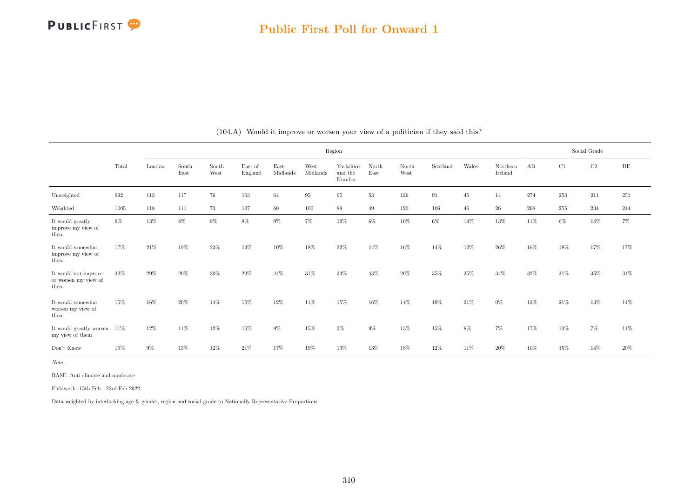|                                                      |        |         |               |               |                    |                  |                  | Region                         |               |               |          |        |                     |     |         | Social Grade |     |
|------------------------------------------------------|--------|---------|---------------|---------------|--------------------|------------------|------------------|--------------------------------|---------------|---------------|----------|--------|---------------------|-----|---------|--------------|-----|
|                                                      | Total  | London  | South<br>East | South<br>West | East of<br>England | East<br>Midlands | West<br>Midlands | Yorkshire<br>and the<br>Humber | North<br>East | North<br>West | Scotland | Wales  | Northern<br>Ireland | AB  | C1      | C2           | DE  |
| Unweighted                                           | 992    | $113\,$ | 117           | 76            | 103                | 64               | 95               | 95                             | $53\,$        | 126           | 91       | 45     | 14                  | 274 | $253\,$ | 211          | 251 |
| Weighted                                             | 1005   | 118     | 111           | 73            | 107                | 60               | 100              | 89                             | 49            | 120           | 106      | $46\,$ | 26                  | 268 | 255     | 234          | 244 |
| It would greatly<br>improve my view of<br>them       | $9\%$  | 13%     | 8%            | 9%            | 8%                 | $9\%$            | $7\%$            | 12%                            | $6\%$         | 10%           | $6\%$    | 14%    | 13%                 | 11% | 6%      | 14%          | 7%  |
| It would somewhat<br>improve my view of<br>them      | 17%    | 21\%    | 19%           | 23%           | 13%                | 10%              | 18%              | 22%                            | 14%           | 16%           | 14%      | 12%    | 26%                 | 16% | 18%     | 17%          | 17% |
| It would not improve<br>or worsen my view of<br>them | $32\%$ | 29%     | 29%           | 30%           | 29%                | 44%              | 31\%             | 34%                            | 43%           | 29%           | $35\%$   | $35\%$ | 34%                 | 32% | 31%     | $35\%$       | 31% |
| It would somewhat<br>worsen my view of<br>them       | 15%    | 16%     | 20%           | 14%           | 15%                | 12%              | 11%              | 15%                            | 16%           | 14%           | 19%      | 21%    | $0\%$               | 13% | 21\%    | 13%          | 14% |
| It would greatly worsen $11\%$<br>my view of them    |        | 12%     | 11%           | 12%           | 15%                | 9%               | 15%              | $3\%$                          | $9\%$         | 13%           | 15%      | $8\%$  | $7\%$               | 17% | 10%     | 7%           | 11% |
| Don't Know                                           | 15%    | $9\%$   | 13%           | 12%           | 21\%               | 17%              | 19%              | 13%                            | 13%           | 18%           | 12%      | 11%    | 20%                 | 10% | 15%     | 14%          | 20% |

(104.A) Would it improve or worsen your view of a politician if they said this?

Note:

BASE: Anti-climate and moderate

Fieldwork: 15th Feb - 23rd Feb 2022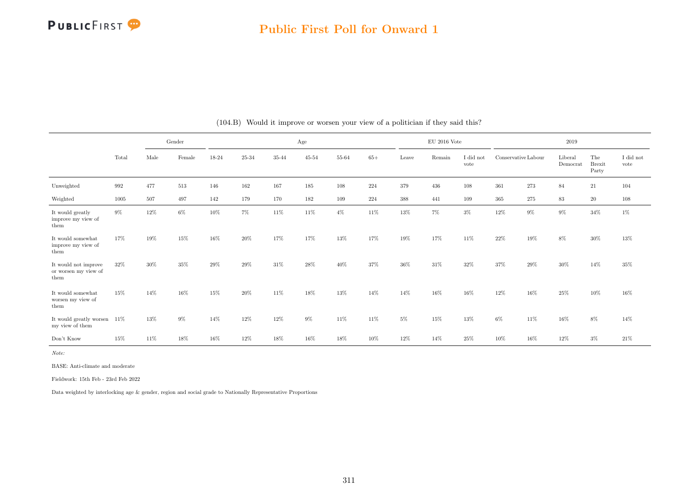

#### Public First Poll for Onward 1

|                                                      |       |      | Gender |       |           |           | Age       |           |       |       | $\rm EU$ 2016 Vote |                   |                     |       | 2019                |                               |                               |
|------------------------------------------------------|-------|------|--------|-------|-----------|-----------|-----------|-----------|-------|-------|--------------------|-------------------|---------------------|-------|---------------------|-------------------------------|-------------------------------|
|                                                      | Total | Male | Female | 18-24 | $25 - 34$ | $35 - 44$ | $45 - 54$ | $55 - 64$ | $65+$ | Leave | Remain             | I did not<br>vote | Conservative Labour |       | Liberal<br>Democrat | The<br><b>Brexit</b><br>Party | $\rm I$ did $\rm not$<br>vote |
| Unweighted                                           | 992   | 477  | 513    | 146   | 162       | 167       | 185       | 108       | 224   | 379   | 436                | 108               | 361                 | 273   | 84                  | $21\,$                        | 104                           |
| Weighted                                             | 1005  | 507  | 497    | 142   | 179       | 170       | 182       | 109       | 224   | 388   | 441                | 109               | 365                 | 275   | 83                  | 20                            | 108                           |
| It would greatly<br>improve my view of<br>them       | $9\%$ | 12%  | 6%     | 10%   | 7%        | $11\%$    | 11%       | $4\%$     | 11%   | 13%   | $7\%$              | $3\%$             | 12%                 | $9\%$ | 9%                  | $34\%$                        | $1\%$                         |
| It would somewhat<br>improve my view of<br>them      | 17%   | 19%  | 15%    | 16%   | 20%       | 17%       | 17%       | 13%       | 17%   | 19%   | 17%                | 11\%              | 22%                 | 19%   | 8%                  | 30%                           | 13%                           |
| It would not improve<br>or worsen my view of<br>them | 32%   | 30%  | 35%    | 29%   | 29%       | 31\%      | 28%       | 40%       | 37%   | 36%   | 31%                | 32%               | 37%                 | 29%   | $30\%$              | 14%                           | 35%                           |
| It would somewhat<br>worsen my view of<br>them       | 15%   | 14%  | 16%    | 15%   | 20%       | 11%       | 18%       | 13%       | 14%   | 14%   | 16%                | 16%               | 12%                 | 16%   | 25%                 | 10%                           | 16%                           |
| It would greatly worsen $11\%$<br>my view of them    |       | 13%  | 9%     | 14%   | 12%       | 12%       | $9\%$     | 11%       | 11%   | $5\%$ | 15%                | 13%               | $6\%$               | 11%   | 16%                 | 8%                            | 14%                           |
| Don't Know                                           | 15%   | 11\% | 18%    | 16%   | 12%       | 18%       | 16%       | 18%       | 10%   | 12%   | 14%                | 25%               | 10%                 | 16%   | 12%                 | $3\%$                         | 21\%                          |

#### (104.B) Would it improve or worsen your view of a politician if they said this?

Note:

BASE: Anti-climate and moderate

Fieldwork: 15th Feb - 23rd Feb 2022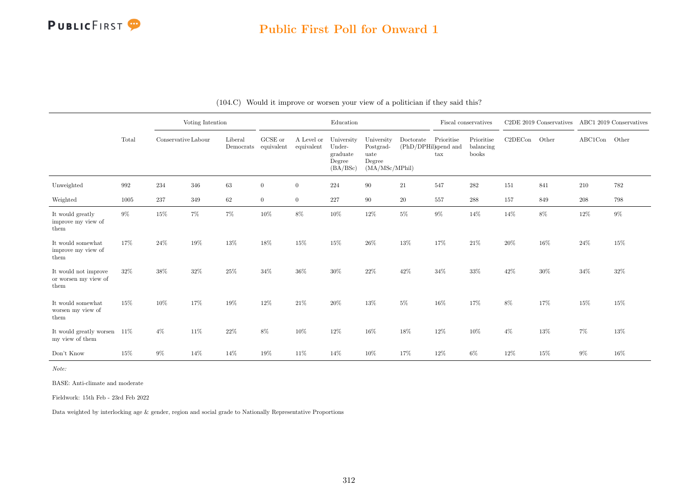## Public First Poll for Onward 1

|                                                      |       |                     | Voting Intention |                      |                       |                          | Education                                              |                                                             |                                   |                            | Fiscal conservatives             |         | C2DE 2019 Conservatives ABC1 2019 Conservatives |               |       |
|------------------------------------------------------|-------|---------------------|------------------|----------------------|-----------------------|--------------------------|--------------------------------------------------------|-------------------------------------------------------------|-----------------------------------|----------------------------|----------------------------------|---------|-------------------------------------------------|---------------|-------|
|                                                      | Total | Conservative Labour |                  | Liberal<br>Democrats | GCSE or<br>equivalent | A Level or<br>equivalent | University<br>Under-<br>graduate<br>Degree<br>(BA/BSc) | University<br>Postgrad-<br>uate<br>Degree<br>(MA/MSc/MPhil) | Doctorate<br>(PhD/DPHil)spend and | Prioritise<br>$\text{tax}$ | Prioritise<br>balancing<br>books | C2DECon | Other                                           | ABC1Con Other |       |
| Unweighted                                           | 992   | 234                 | 346              | $63\,$               | $\overline{0}$        | $\overline{0}$           | 224                                                    | 90                                                          | 21                                | 547                        | 282                              | 151     | 841                                             | 210           | 782   |
| Weighted                                             | 1005  | 237                 | 349              | 62                   | $\overline{0}$        | $\overline{0}$           | 227                                                    | 90                                                          | 20                                | 557                        | 288                              | 157     | 849                                             | 208           | 798   |
| It would greatly<br>improve my view of<br>them       | $9\%$ | $15\%$              | $7\%$            | $7\%$                | $10\%$                | $8\%$                    | $10\%$                                                 | $12\%$                                                      | $5\%$                             | $9\%$                      | 14%                              | 14%     | $8\%$                                           | $12\%$        | $9\%$ |
| It would somewhat<br>improve my view of<br>them      | 17%   | 24%                 | $19\%$           | 13%                  | 18%                   | 15%                      | 15%                                                    | $26\%$                                                      | $13\%$                            | 17%                        | 21\%                             | 20%     | $16\%$                                          | 24%           | 15%   |
| It would not improve<br>or worsen my view of<br>them | 32%   | 38%                 | 32%              | 25%                  | 34%                   | 36%                      | $30\%$                                                 | 22%                                                         | 42%                               | 34%                        | 33%                              | 42%     | $30\%$                                          | $34\%$        | 32%   |
| It would somewhat<br>worsen my view of<br>them       | 15%   | 10%                 | 17%              | 19%                  | $12\%$                | 21\%                     | $20\%$                                                 | $13\%$                                                      | $5\%$                             | 16%                        | 17%                              | 8%      | 17%                                             | $15\%$        | 15%   |
| It would greatly worsen<br>my view of them           | 11\%  | $4\%$               | $11\%$           | $22\%$               | $8\%$                 | 10%                      | 12%                                                    | $16\%$                                                      | 18%                               | $12\%$                     | 10%                              | $4\%$   | 13%                                             | $7\%$         | 13%   |
| Don't Know                                           | 15%   | $9\%$               | 14%              | 14%                  | 19%                   | 11\%                     | 14%                                                    | 10%                                                         | 17%                               | 12%                        | $6\%$                            | 12%     | $15\%$                                          | $9\%$         | 16%   |

#### (104.C) Would it improve or worsen your view of a politician if they said this?

Note:

BASE: Anti-climate and moderate

Fieldwork: 15th Feb - 23rd Feb 2022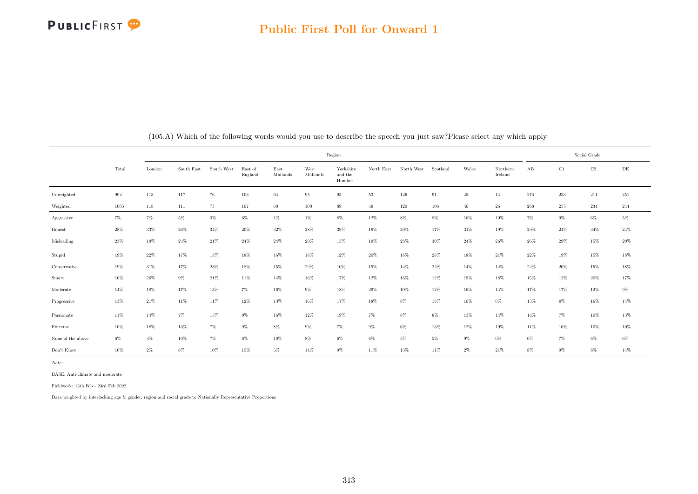|                   |                    |         |            |            |                    |                  |                  | Region                         |            |            |          |        |                     |        |          | Social Grade |           |
|-------------------|--------------------|---------|------------|------------|--------------------|------------------|------------------|--------------------------------|------------|------------|----------|--------|---------------------|--------|----------|--------------|-----------|
|                   | Total              | London  | South East | South West | East of<br>England | East<br>Midlands | West<br>Midlands | Yorkshire<br>and the<br>Humber | North East | North West | Scotland | Wales  | Northern<br>Ireland | AB     | $\rm C1$ | $\rm C2$     | $\rm{DE}$ |
| Unweighted        | $\boldsymbol{992}$ | $113\,$ | 117        | 76         | $103\,$            | 64               | 95               | 95                             | 53         | 126        | 91       | 45     | 14                  | 274    | 253      | $211\,$      | 251       |
| Weighted          | 1005               | 118     | 111        | 73         | 107                | 60               | 100              | 89                             | 49         | 120        | 106      | $46\,$ | $\sqrt{26}$         | 268    | 255      | 234          | 244       |
| Aggressive        | $7\%$              | $7\%$   | $5\%$      | $3\%$      | $6\%$              | $1\%$            | $1\%$            | $8\%$                          | $12\%$     | $8\%$      | $8\%$    | $16\%$ | $19\%$              | $7\%$  | $9\%$    | $6\%$        | $5\%$     |
| Honest            | $28\%$             | $33\%$  | $26\%$     | $34\%$     | $20\%$             | $32\%$           | $28\%$           | $39\%$                         | $19\%$     | $29\%$     | 17%      | $31\%$ | 19%                 | 29%    | $24\%$   | $34\%$       | $24\%$    |
| Misleading        | $23\%$             | $18\%$  | $24\%$     | $21\%$     | $24\%$             | $24\%$           | $20\%$           | $13\%$                         | 19%        | 28%        | 30%      | $24\%$ | $26\%$              | 26%    | 29%      | 15%          | $20\%$    |
| Stupid            | 19%                | 22%     | 17%        | 13%        | 18%                | 16%              | 18%              | 12%                            | $20\%$     | 18%        | 28%      | 18%    | $21\%$              | 22%    | 19%      | 15%          | 18%       |
| Conservative      | 19%                | 31%     | 17%        | $23\%$     | 18%                | 15%              | $22\%$           | 10%                            | 19%        | 14%        | 22%      | 14%    | 14%                 | 22%    | 20%      | 15%          | 18%       |
| Smart             | $16\%$             | $26\%$  | $9\%$      | $21\%$     | $11\%$             | $14\%$           | $16\%$           | $17\%$                         | $12\%$     | $16\%$     | $12\%$   | $19\%$ | $18\%$              | $15\%$ | 12%      | $20\%$       | $17\%$    |
| Moderate          | $14\%$             | $18\%$  | $17\%$     | $13\%$     | $7\%$              | $16\%$           | $9\%$            | $18\%$                         | $29\%$     | $10\%$     | 12%      | $16\%$ | 14%                 | 17%    | $17\%$   | $12\%$       | $9\%$     |
| Progressive       | $13\%$             | $21\%$  | $11\%$     | $11\%$     | $12\%$             | $13\%$           | $16\%$           | $17\%$                         | $18\%$     | $8\%$      | $13\%$   | $10\%$ | $0\%$               | $13\%$ | $9\%$    | $16\%$       | 14%       |
| Passionate        | 11%                | 14%     | $7\%$      | 15%        | $9\%$              | 16%              | 12%              | 19%                            | $7\%$      | 8%         | $8\%$    | 13%    | 14%                 | 14%    | $7\%$    | 10%          | 13%       |
| Extreme           | 10%                | 18%     | $13\%$     | $7\%$      | $9\%$              | $8\%$            | $9\%$            | $7\%$                          | $9\%$      | $6\%$      | 13%      | 12%    | 19%                 | 11%    | 10%      | 10%          | $10\%$    |
| None of the above | $6\%$              | $3\%$   | $10\%$     | $7\%$      | $6\%$              | 10%              | $8\%$            | $6\%$                          | $6\%$      | $5\%$      | $5\%$    | $9\%$  | $0\%$               | $6\%$  | $7\%$    | $6\%$        | $6\%$     |
| Don't Know        | $10\%$             | $2\%$   | $8\%$      | $10\%$     | $15\%$             | $5\%$            | $14\%$           | $9\%$                          | $11\%$     | $13\%$     | $11\%$   | $2\%$  | $21\%$              | $8\%$  | $9\%$    | $8\%$        | 14%       |

(105.A) Which of the following words would you use to describe the speech you just saw?Please select any which apply

Note:

BASE: Anti-climate and moderate

Fieldwork: 15th Feb - 23rd Feb 2022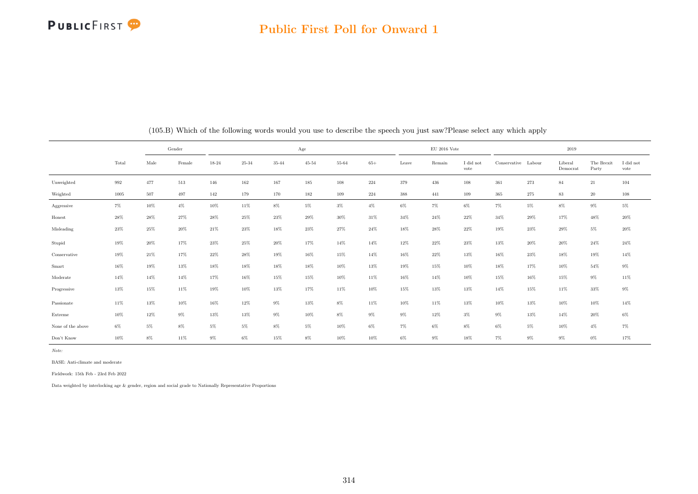#### Public First Poll for Onward 1

|                   |       |        | Gender |        |        |        | Age       |        |        |         | $\rm EU$ 2016 Vote |                   |                     |        | 2019                |                     |                   |
|-------------------|-------|--------|--------|--------|--------|--------|-----------|--------|--------|---------|--------------------|-------------------|---------------------|--------|---------------------|---------------------|-------------------|
|                   | Total | Male   | Female | 18-24  | 25-34  | 35-44  | $45 - 54$ | 55-64  | $65+$  | Leave   | Remain             | I did not<br>vote | Conservative Labour |        | Liberal<br>Democrat | The Brexit<br>Party | I did not<br>vote |
| Unweighted        | 992   | 477    | 513    | 146    | 162    | 167    | 185       | 108    | 224    | 379     | 436                | 108               | 361                 | 273    | 84                  | 21                  | 104               |
| Weighted          | 1005  | 507    | 497    | 142    | 179    | 170    | 182       | 109    | 224    | $388\,$ | 441                | 109               | 365                 | 275    | 83                  | $20\,$              | 108               |
| Aggressive        | $7\%$ | $10\%$ | $4\%$  | $10\%$ | $11\%$ | $8\%$  | $5\%$     | $3\%$  | $4\%$  | $6\%$   | $7\%$              | $6\%$             | $7\%$               | $5\%$  | $8\%$               | $9\%$               | $5\%$             |
| Honest            | 28%   | 28%    | 27%    | 28%    | 25%    | 23%    | 29%       | 30%    | 31%    | 34%     | 24%                | 22%               | 34%                 | 29%    | 17%                 | 48%                 | 20%               |
| Misleading        | 23%   | 25%    | $20\%$ | 21%    | $23\%$ | $18\%$ | 23%       | $27\%$ | $24\%$ | 18%     | 28%                | 22%               | 19%                 | 23%    | 29%                 | $5\%$               | $20\%$            |
| Stupid            | 19%   | 20%    | 17%    | 23%    | 25%    | $20\%$ | 17%       | 14%    | 14%    | 12%     | $22\%$             | 23%               | 13%                 | 20%    | $20\%$              | $24\%$              | 24\%              |
| Conservative      | 19%   | 21\%   | 17%    | 22%    | 28%    | 19%    | 16%       | 15%    | 14%    | 16%     | 22%                | 13%               | 16%                 | 23%    | 18%                 | 19%                 | 14%               |
| Smart             | 16%   | 19%    | $13\%$ | $18\%$ | $18\%$ | $18\%$ | $18\%$    | $10\%$ | 13%    | $19\%$  | 15%                | $10\%$            | 18%                 | 17%    | $10\%$              | $54\%$              | $9\%$             |
| Moderate          | 14%   | 14%    | 14%    | 17%    | 16%    | 15%    | 15%       | 10%    | 11%    | 16%     | 14%                | 10%               | 15%                 | $16\%$ | 15%                 | $9\%$               | 11%               |
| Progressive       | 13%   | $15\%$ | $11\%$ | $19\%$ | $10\%$ | $13\%$ | 17%       | $11\%$ | $10\%$ | $15\%$  | $13\%$             | 13%               | 14%                 | 15%    | 11%                 | 33%                 | $9\%$             |
| Passionate        | 11%   | $13\%$ | $10\%$ | $16\%$ | $12\%$ | $9\%$  | $13\%$    | $8\%$  | $11\%$ | $10\%$  | 11%                | 13%               | 10%                 | 13%    | 10%                 | $10\%$              | $14\%$            |
| Extreme           | 10%   | $12\%$ | $9\%$  | 13%    | 13%    | $9\%$  | $10\%$    | $8\%$  | $9\%$  | $9\%$   | 12%                | $3\%$             | $9\%$               | 13%    | 14%                 | $20\%$              | $6\%$             |
| None of the above | $6\%$ | $5\%$  | $8\%$  | $5\%$  | $5\%$  | 8%     | $5\%$     | 10%    | $6\%$  | 7%      | $6\%$              | $8\%$             | 6%                  | $5\%$  | 10%                 | $4\%$               | $7\%$             |
| Don't Know        | 10%   | $8\%$  | $11\%$ | $9\%$  | $6\%$  | 15%    | $8\%$     | $10\%$ | 10%    | $6\%$   | $9\%$              | 18%               | 7%                  | $9\%$  | $9\%$               | $0\%$               | 17%               |

(105.B) Which of the following words would you use to describe the speech you just saw?Please select any which apply

Note:

BASE: Anti-climate and moderate

Fieldwork: 15th Feb - 23rd Feb 2022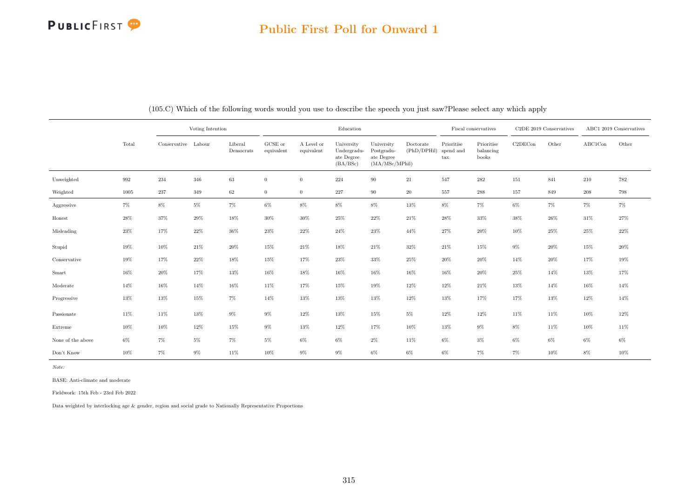## Public First Poll for Onward 1

|                   |        |                     | Voting Intention |                      |                       |                          | Education                                           |                                                           |                          |                                                 | Fiscal conservatives             |         | C2DE 2019 Conservatives |         | ABC1 2019 Conservatives |
|-------------------|--------|---------------------|------------------|----------------------|-----------------------|--------------------------|-----------------------------------------------------|-----------------------------------------------------------|--------------------------|-------------------------------------------------|----------------------------------|---------|-------------------------|---------|-------------------------|
|                   | Total  | Conservative Labour |                  | Liberal<br>Democrats | GCSE or<br>equivalent | A Level or<br>equivalent | University<br>Undergradu-<br>ate Degree<br>(BA/BSc) | University<br>Postgradu-<br>ate Degree<br>(MA/MSc/MPhill) | Doctorate<br>(PhD/DPHil) | Prioritise<br>spend and<br>$\operatorname{tax}$ | Prioritise<br>balancing<br>books | C2DECon | Other                   | ABC1Con | Other                   |
| Unweighted        | 992    | 234                 | 346              | 63                   | $\overline{0}$        | $\overline{0}$           | 224                                                 | 90                                                        | 21                       | 547                                             | 282                              | 151     | 841                     | 210     | 782                     |
| Weighted          | 1005   | $237\,$             | 349              | 62                   | $\overline{0}$        | $\overline{0}$           | $227\,$                                             | 90                                                        | $20\,$                   | 557                                             | 288                              | 157     | 849                     | $\,208$ | 798                     |
| Aggressive        | $7\%$  | $8\%$               | $5\%$            | 7%                   | $6\%$                 | $8\%$                    | $8\%$                                               | $8\%$                                                     | $13\%$                   | $8\%$                                           | $7\%$                            | $6\%$   | $7\%$                   | $7\%$   | $7\%$                   |
| Honest            | 28%    | 37%                 | 29%              | 18%                  | $30\%$                | $30\%$                   | $25\%$                                              | $22\%$                                                    | $21\%$                   | $28\%$                                          | $33\%$                           | $38\%$  | $26\%$                  | 31\%    | $27\%$                  |
| Misleading        | $23\%$ | 17%                 | 22%              | 36%                  | 23\%                  | $22\%$                   | $24\%$                                              | 23%                                                       | 44%                      | 27%                                             | $20\%$                           | 10%     | 25%                     | 25%     | $22\%$                  |
| Stupid            | 19%    | $10\%$              | $21\%$           | 20%                  | 15%                   | $21\%$                   | 18%                                                 | $21\%$                                                    | 32%                      | 21\%                                            | 15%                              | $9\%$   | 20%                     | 15%     | $20\%$                  |
| Conservative      | 19%    | 17%                 | $22\%$           | 18%                  | 15%                   | 17%                      | 23%                                                 | 33%                                                       | 25%                      | $20\%$                                          | $20\%$                           | 14%     | 20%                     | 17%     | 19%                     |
| Smart             | 16%    | $20\%$              | 17%              | 13%                  | $16\%$                | $18\%$                   | $16\%$                                              | 16%                                                       | 16%                      | $16\%$                                          | $20\%$                           | $25\%$  | 14%                     | 13%     | 17%                     |
| Moderate          | 14%    | $16\%$              | 14%              | 16%                  | 11\%                  | $17\%$                   | 15%                                                 | 19%                                                       | 12%                      | $12\%$                                          | $21\%$                           | 13%     | 14%                     | 16%     | 14%                     |
| Progressive       | 13%    | 13%                 | $15\%$           | $7\%$                | 14%                   | 13%                      | $13\%$                                              | 13%                                                       | 12%                      | 13%                                             | 17%                              | $17\%$  | 13%                     | 12%     | 14%                     |
| Passionate        | 11%    | 11%                 | $13\%$           | $9\%$                | $9\%$                 | $12\%$                   | $13\%$                                              | 15%                                                       | $5\%$                    | $12\%$                                          | 12%                              | 11%     | 11%                     | 10%     | 12%                     |
| Extreme           | 10%    | 10%                 | 12%              | 15%                  | 9%                    | 13%                      | 12%                                                 | 17%                                                       | 10%                      | 13%                                             | $9\%$                            | $8\%$   | 11\%                    | 10%     | $11\%$                  |
| None of the above | $6\%$  | $7\%$               | $5\%$            | $7\%$                | $5\%$                 | $6\%$                    | $6\%$                                               | $2\%$                                                     | 11%                      | $6\%$                                           | $3\%$                            | $6\%$   | $6\%$                   | $6\%$   | $6\%$                   |
| Don't Know        | $10\%$ | $7\%$               | $9\%$            | 11%                  | 10%                   | $9\%$                    | $9\%$                                               | $6\%$                                                     | $6\%$                    | $6\%$                                           | $7\%$                            | $7\%$   | $10\%$                  | $8\%$   | $10\%$                  |

(105.C) Which of the following words would you use to describe the speech you just saw?Please select any which apply

Note:

BASE: Anti-climate and moderate

Fieldwork: 15th Feb - 23rd Feb 2022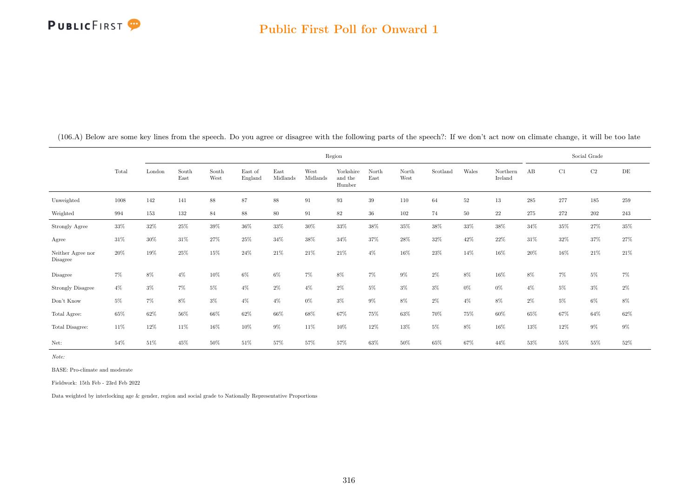|                               |        |        |               |               |                    |                  | Region           |                                |               |               |          |        |                     |         | Social Grade |          |           |
|-------------------------------|--------|--------|---------------|---------------|--------------------|------------------|------------------|--------------------------------|---------------|---------------|----------|--------|---------------------|---------|--------------|----------|-----------|
|                               | Total  | London | South<br>East | South<br>West | East of<br>England | East<br>Midlands | West<br>Midlands | Yorkshire<br>and the<br>Humber | North<br>East | North<br>West | Scotland | Wales  | Northern<br>Ireland | AB      | C1           | $\rm C2$ | $\rm{DE}$ |
| Unweighted                    | 1008   | 142    | 141           | 88            | 87                 | 88               | 91               | 93                             | 39            | 110           | 64       | $52\,$ | 13                  | $285\,$ | 277          | $185\,$  | $259\,$   |
| Weighted                      | 994    | 153    | 132           | 84            | 88                 | 80               | 91               | $82\,$                         | 36            | 102           | 74       | 50     | 22                  | 275     | 272          | 202      | 243       |
| Strongly Agree                | $33\%$ | $32\%$ | $25\%$        | $39\%$        | 36%                | 33%              | 30%              | 33%                            | 38%           | 35%           | 38%      | 33%    | 38%                 | 34%     | 35%          | $27\%$   | $35\%$    |
| Agree                         | 31%    | $30\%$ | $31\%$        | 27%           | $25\%$             | 34%              | 38%              | 34%                            | 37%           | 28%           | $32\%$   | 42%    | 22%                 | 31\%    | 32%          | $37\%$   | $27\%$    |
| Neither Agree nor<br>Disagree | 20%    | 19%    | 25%           | 15%           | 24%                | 21\%             | 21\%             | 21\%                           | $4\%$         | 16%           | 23%      | 14%    | 16%                 | 20%     | $16\%$       | 21\%     | $21\%$    |
| Disagree                      | $7\%$  | $8\%$  | $4\%$         | 10%           | $6\%$              | $6\%$            | $7\%$            | 8%                             | $7\%$         | $9\%$         | $2\%$    | 8%     | 16%                 | 8%      | $7\%$        | $5\%$    | $7\%$     |
| <b>Strongly Disagree</b>      | $4\%$  | $3\%$  | 7%            | $5\%$         | $4\%$              | $2\%$            | $4\%$            | $2\%$                          | $5\%$         | $3\%$         | $3\%$    | $0\%$  | $0\%$               | $4\%$   | $5\%$        | $3\%$    | $2\%$     |
| Don't Know                    | $5\%$  | 7%     | 8%            | $3\%$         | $4\%$              | $4\%$            | $0\%$            | $3\%$                          | $9\%$         | $8\%$         | 2%       | $4\%$  | $8\%$               | $2\%$   | $5\%$        | 6%       | $8\%$     |
| Total Agree:                  | 65%    | 62%    | 56%           | 66%           | 62%                | 66%              | 68%              | 67%                            | 75%           | 63%           | 70%      | 75%    | 60%                 | 65%     | 67%          | $64\%$   | $62\%$    |
| Total Disagree:               | 11\%   | 12%    | 11\%          | 16%           | 10%                | $9\%$            | 11%              | 10%                            | 12%           | 13%           | $5\%$    | $8\%$  | 16%                 | 13%     | 12%          | $9\%$    | $9\%$     |
| Net:                          | 54%    | 51\%   | 45%           | 50%           | 51%                | 57%              | 57%              | 57%                            | 63%           | 50%           | 65%      | 67%    | 44%                 | 53%     | 55%          | 55%      | 52%       |

(106.A) Below are some key lines from the speech. Do you agree or disagree with the following parts of the speech?: If we don't act now on climate change, it will be too late

Note:

BASE: Pro-climate and moderate

Fieldwork: 15th Feb - 23rd Feb 2022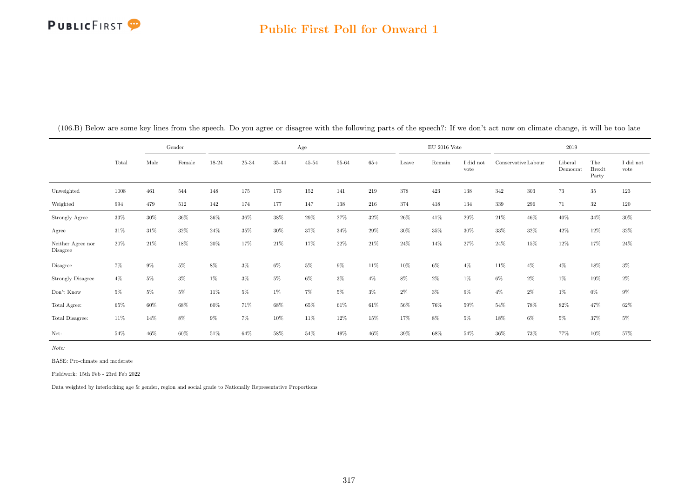## Public First Poll for Onward 1

|                               |       |       | Gender |       |       |        | Age       |        |        |        | EU 2016 Vote |                   |        |                     | 2019                |                           |                               |
|-------------------------------|-------|-------|--------|-------|-------|--------|-----------|--------|--------|--------|--------------|-------------------|--------|---------------------|---------------------|---------------------------|-------------------------------|
|                               | Total | Male  | Female | 18-24 | 25-34 | 35-44  | $45 - 54$ | 55-64  | $65+$  | Leave  | Remain       | I did not<br>vote |        | Conservative Labour | Liberal<br>Democrat | The<br>$B$ rexit<br>Party | $\rm I$ did $\rm not$<br>vote |
| Unweighted                    | 1008  | 461   | 544    | 148   | 175   | 173    | $152\,$   | 141    | 219    | 378    | 423          | 138               | 342    | $303\,$             | $73\,$              | $35\,$                    | 123                           |
| Weighted                      | 994   | 479   | 512    | 142   | 174   | 177    | 147       | 138    | 216    | 374    | 418          | 134               | 339    | 296                 | 71                  | 32                        | 120                           |
| Strongly Agree                | 33%   | 30%   | 36%    | 36%   | 36%   | 38%    | 29%       | 27%    | 32%    | 26%    | 41\%         | 29%               | 21\%   | 46%                 | 40%                 | 34%                       | 30%                           |
| Agree                         | 31%   | 31%   | 32%    | 24\%  | 35%   | $30\%$ | 37%       | 34%    | $29\%$ | $30\%$ | 35%          | 30%               | 33%    | 32%                 | 42%                 | 12%                       | $32\%$                        |
| Neither Agree nor<br>Disagree | 20%   | 21%   | 18%    | 20%   | 17%   | 21\%   | 17%       | 22%    | 21%    | 24%    | 14%          | 27%               | 24\%   | 15%                 | 12%                 | 17%                       | $24\%$                        |
| Disagree                      | $7\%$ | $9\%$ | 5%     | $8\%$ | $3\%$ | $6\%$  | $5\%$     | $9\%$  | 11%    | 10%    | $6\%$        | $4\%$             | 11%    | $4\%$               | $4\%$               | 18%                       | $3\%$                         |
| <b>Strongly Disagree</b>      | $4\%$ | $5\%$ | $3\%$  | $1\%$ | $3\%$ | $5\%$  | $6\%$     | $3\%$  | $4\%$  | $8\%$  | $2\%$        | $1\%$             | $6\%$  | $2\%$               | $1\%$               | 19%                       | $2\%$                         |
| Don't Know                    | $5\%$ | $5\%$ | 5%     | 11\%  | 5%    | $1\%$  | $7\%$     | $5\%$  | $3\%$  | $2\%$  | $3\%$        | $9\%$             | $4\%$  | 2%                  | $1\%$               | $0\%$                     | $9\%$                         |
| Total Agree:                  | 65%   | 60%   | 68%    | 60%   | 71%   | 68%    | 65%       | 61%    | 61\%   | $56\%$ | 76%          | 59%               | 54%    | 78%                 | 82%                 | 47%                       | $62\%$                        |
| Total Disagree:               | 11\%  | 14%   | 8%     | $9\%$ | $7\%$ | 10%    | 11%       | $12\%$ | 15%    | 17%    | $8\%$        | $5\%$             | 18%    | $6\%$               | $5\%$               | 37%                       | $5\%$                         |
| Net:                          | 54%   | 46%   | 60%    | 51%   | 64%   | 58%    | 54%       | 49%    | 46%    | 39%    | 68%          | 54%               | $36\%$ | 73%                 | 77%                 | 10%                       | 57%                           |

(106.B) Below are some key lines from the speech. Do you agree or disagree with the following parts of the speech?: If we don't act now on climate change, it will be too late

Note:

BASE: Pro-climate and moderate

Fieldwork: 15th Feb - 23rd Feb 2022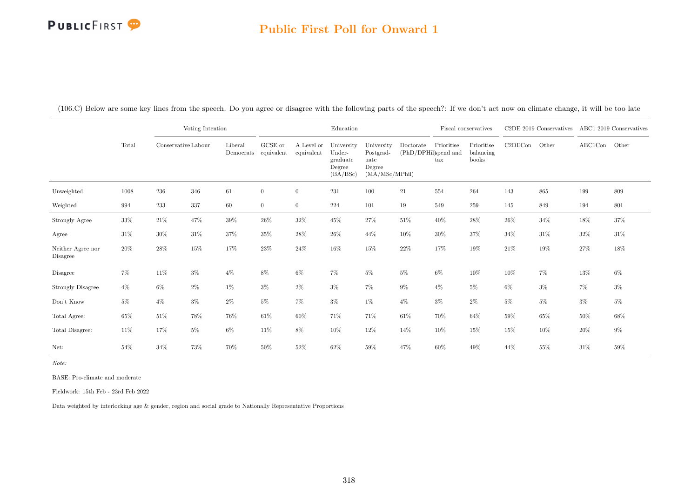#### Public First Poll for Onward 1

(106.C) Below are some key lines from the speech. Do you agree or disagree with the following parts of the speech?: If we don't act now on climate change, it will be too late

|                               |        |                     | Voting Intention |                      |                       |                          | Education                                              |                                                              |                                   |                            | Fiscal conservatives             |         | C2DE 2019 Conservatives ABC1 2019 Conservatives |               |        |
|-------------------------------|--------|---------------------|------------------|----------------------|-----------------------|--------------------------|--------------------------------------------------------|--------------------------------------------------------------|-----------------------------------|----------------------------|----------------------------------|---------|-------------------------------------------------|---------------|--------|
|                               | Total  | Conservative Labour |                  | Liberal<br>Democrats | GCSE or<br>equivalent | A Level or<br>equivalent | University<br>Under-<br>graduate<br>Degree<br>(BA/BSc) | University<br>Postgrad-<br>uate<br>Degree<br>(MA/MSc/MPhill) | Doctorate<br>(PhD/DPHil)spend and | Prioritise<br>$\text{tax}$ | Prioritise<br>balancing<br>books | C2DECon | Other                                           | ABC1Con Other |        |
| Unweighted                    | 1008   | 236                 | 346              | $61\,$               | $\overline{0}$        | $\overline{0}$           | 231                                                    | 100                                                          | 21                                | 554                        | 264                              | 143     | 865                                             | 199           | 809    |
| Weighted                      | 994    | 233                 | $337\,$          | 60                   | $\overline{0}$        | $\overline{0}$           | 224                                                    | 101                                                          | 19                                | 549                        | 259                              | 145     | 849                                             | 194           | 801    |
| Strongly Agree                | $33\%$ | $21\%$              | 47%              | $39\%$               | $26\%$                | $32\%$                   | $45\%$                                                 | $27\%$                                                       | $51\%$                            | $40\%$                     | $28\%$                           | $26\%$  | $34\%$                                          | $18\%$        | $37\%$ |
| Agree                         | $31\%$ | 30%                 | 31\%             | 37%                  | 35%                   | 28\%                     | $26\%$                                                 | 44%                                                          | 10%                               | 30%                        | $37\%$                           | $34\%$  | $31\%$                                          | 32%           | $31\%$ |
| Neither Agree nor<br>Disagree | 20%    | $28\%$              | $15\%$           | 17%                  | 23%                   | 24%                      | 16%                                                    | 15%                                                          | $22\%$                            | 17%                        | 19%                              | $21\%$  | $19\%$                                          | 27%           | $18\%$ |
| Disagree                      | 7%     | $11\%$              | $3\%$            | $4\%$                | 8%                    | $6\%$                    | 7%                                                     | $5\%$                                                        | $5\%$                             | $6\%$                      | 10%                              | 10%     | $7\%$                                           | 13%           | $6\%$  |
| <b>Strongly Disagree</b>      | $4\%$  | $6\%$               | $2\%$            | $1\%$                | $3\%$                 | $2\%$                    | $3\%$                                                  | $7\%$                                                        | $9\%$                             | $4\%$                      | $5\%$                            | $6\%$   | $3\%$                                           | $7\%$         | $3\%$  |
| Don't Know                    | $5\%$  | $4\%$               | $3\%$            | $2\%$                | $5\%$                 | 7%                       | $3\%$                                                  | $1\%$                                                        | $4\%$                             | $3\%$                      | $2\%$                            | $5\%$   | $5\%$                                           | $3\%$         | $5\%$  |
| Total Agree:                  | 65%    | $51\%$              | 78%              | 76%                  | 61\%                  | 60%                      | 71%                                                    | 71%                                                          | 61\%                              | 70%                        | 64%                              | 59%     | $65\%$                                          | 50%           | 68%    |
| Total Disagree:               | $11\%$ | 17%                 | $5\%$            | $6\%$                | 11\%                  | 8%                       | 10%                                                    | $12\%$                                                       | 14%                               | 10%                        | 15%                              | 15%     | $10\%$                                          | 20%           | $9\%$  |
| Net:                          | $54\%$ | 34%                 | 73%              | 70%                  | 50%                   | 52%                      | 62%                                                    | 59%                                                          | 47%                               | 60%                        | 49%                              | 44\%    | 55%                                             | $31\%$        | 59%    |

Note:

BASE: Pro-climate and moderate

Fieldwork: 15th Feb - 23rd Feb 2022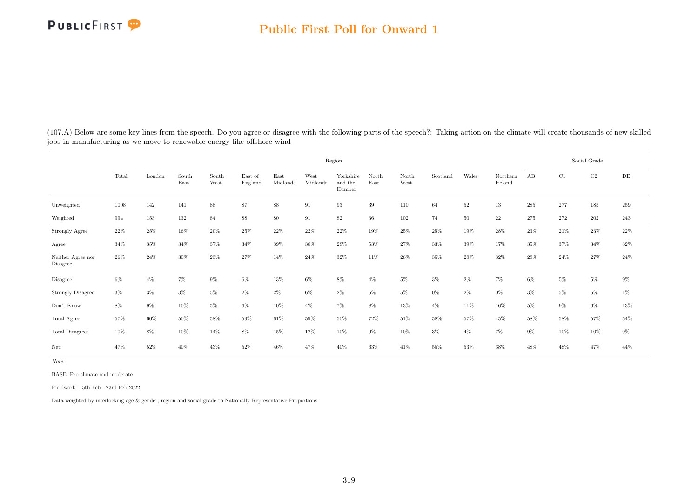

(107.A) Below are some key lines from the speech. Do you agree or disagree with the following parts of the speech?: Taking action on the climate will create thousands of new skilled jobs in manufacturing as we move to renewable energy like offshore wind

|                               |        |        |               |               |                    |                  |                  | Region                         |               |               |          |        |                     |         |       | Social Grade |         |
|-------------------------------|--------|--------|---------------|---------------|--------------------|------------------|------------------|--------------------------------|---------------|---------------|----------|--------|---------------------|---------|-------|--------------|---------|
|                               | Total  | London | South<br>East | South<br>West | East of<br>England | East<br>Midlands | West<br>Midlands | Yorkshire<br>and the<br>Humber | North<br>East | North<br>West | Scotland | Wales  | Northern<br>Ireland | AB      | C1    | C2           | DE      |
| Unweighted                    | 1008   | 142    | 141           | $88\,$        | 87                 | $88\,$           | 91               | 93                             | 39            | 110           | 64       | $52\,$ | 13                  | $\,285$ | 277   | 185          | 259     |
| Weighted                      | 994    | 153    | 132           | 84            | $88\,$             | $80\,$           | 91               | 82                             | $36\,$        | 102           | 74       | 50     | 22                  | 275     | 272   | $202\,$      | $243\,$ |
| Strongly Agree                | $22\%$ | $25\%$ | $16\%$        | $20\%$        | $25\%$             | $22\%$           | $22\%$           | $22\%$                         | $19\%$        | 25%           | $25\%$   | $19\%$ | $28\%$              | $23\%$  | 21\%  | $23\%$       | $22\%$  |
| Agree                         | 34%    | 35%    | 34%           | 37%           | 34\%               | $39\%$           | 38%              | 28%                            | 53%           | $27\%$        | 33%      | $39\%$ | 17%                 | 35%     | 37%   | $34\%$       | $32\%$  |
| Neither Agree nor<br>Disagree | 26%    | 24%    | 30%           | 23%           | $27\%$             | 14%              | 24%              | 32%                            | 11%           | 26%           | $35\%$   | 28%    | 32%                 | 28%     | 24\%  | 27%          | 24\%    |
| Disagree                      | $6\%$  | $4\%$  | $7\%$         | $9\%$         | $6\%$              | 13%              | $6\%$            | 8%                             | $4\%$         | $5\%$         | $3\%$    | $2\%$  | $7\%$               | $6\%$   | $5\%$ | $5\%$        | $9\%$   |
| Strongly Disagree             | $3\%$  | $3\%$  | $3\%$         | $5\%$         | $2\%$              | $2\%$            | 6%               | $2\%$                          | $5\%$         | $5\%$         | $0\%$    | $2\%$  | $0\%$               | $3\%$   | $5\%$ | $5\%$        | $1\%$   |
| Don't Know                    | $8\%$  | $9\%$  | $10\%$        | $5\%$         | $6\%$              | $10\%$           | $4\%$            | $7\%$                          | $8\%$         | 13%           | $4\%$    | 11%    | 16%                 | $5\%$   | $9\%$ | $6\%$        | $13\%$  |
| Total Agree:                  | $57\%$ | $60\%$ | 50%           | 58%           | $59\%$             | $61\%$           | 59%              | $50\%$                         | 72%           | $51\%$        | 58%      | 57%    | $45\%$              | 58%     | 58%   | 57%          | $54\%$  |
| Total Disagree:               | 10%    | $8\%$  | 10%           | 14%           | $8\%$              | 15%              | 12%              | 10%                            | $9\%$         | 10%           | $3\%$    | $4\%$  | 7%                  | $9\%$   | 10%   | 10%          | $9\%$   |
| Net:                          | 47%    | 52%    | 40%           | 43%           | 52%                | 46%              | 47%              | 40%                            | 63%           | 41\%          | 55%      | $53\%$ | 38%                 | 48%     | 48%   | 47%          | 44%     |

Note:

BASE: Pro-climate and moderate

Fieldwork: 15th Feb - 23rd Feb 2022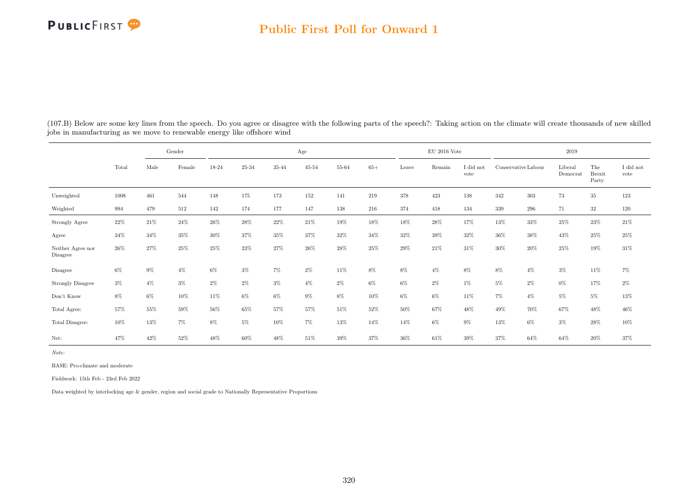#### Public First Poll for Onward 1

(107.B) Below are some key lines from the speech. Do you agree or disagree with the following parts of the speech?: Taking action on the climate will create thousands of new skilled jobs in manufacturing as we move to renewable energy like offshore wind

|                               | Gender |       |        | Age    |        |        |        |       |        |       | $\rm EU$ 2016 Vote |                   | 2019                |       |                     |                               |                   |  |
|-------------------------------|--------|-------|--------|--------|--------|--------|--------|-------|--------|-------|--------------------|-------------------|---------------------|-------|---------------------|-------------------------------|-------------------|--|
|                               | Total  | Male  | Female | 18-24  | 25-34  | 35-44  | 45-54  | 55-64 | $65+$  | Leave | Remain             | I did not<br>vote | Conservative Labour |       | Liberal<br>Democrat | The<br><b>Brexit</b><br>Party | I did not<br>vote |  |
| Unweighted                    | 1008   | 461   | 544    | 148    | 175    | 173    | 152    | 141   | 219    | 378   | 423                | 138               | 342                 | 303   | 73                  | $35\,$                        | 123               |  |
| Weighted                      | 994    | 479   | 512    | 142    | 174    | 177    | 147    | 138   | 216    | 374   | 418                | 134               | 339                 | 296   | 71                  | 32                            | 120               |  |
| Strongly Agree                | $22\%$ | 21\%  | 24%    | $26\%$ | $28\%$ | $22\%$ | $21\%$ | 19%   | $18\%$ | 18%   | $28\%$             | 17%               | 13%                 | 33%   | 25%                 | $23\%$                        | $21\%$            |  |
| Agree                         | 34%    | 34%   | 35%    | $30\%$ | 37%    | $35\%$ | 37%    | 32%   | 34%    | 32%   | 39%                | 32%               | 36%                 | 38%   | 43%                 | 25%                           | $25\%$            |  |
| Neither Agree nor<br>Disagree | 26\%   | 27%   | 25%    | 25%    | 23%    | 27%    | 26%    | 28%   | 25%    | 29%   | 21%                | 31\%              | 30%                 | 20%   | 25%                 | 19%                           | 31\%              |  |
| Disagree                      | $6\%$  | $9\%$ | $4\%$  | $6\%$  | $3\%$  | 7%     | $2\%$  | 11%   | 8%     | 8%    | $4\%$              | $8\%$             | 8%                  | $4\%$ | $3\%$               | 11%                           | $7\%$             |  |
| Strongly Disagree             | $3\%$  | $4\%$ | $3\%$  | $2\%$  | $2\%$  | 3%     | $4\%$  | $2\%$ | $6\%$  | $6\%$ | $2\%$              | $1\%$             | $5\%$               | $2\%$ | $0\%$               | 17%                           | $2\%$             |  |
| Don't Know                    | $8\%$  | $6\%$ | 10%    | 11%    | $6\%$  | $6\%$  | $9\%$  | $8\%$ | 10%    | $6\%$ | $6\%$              | 11%               | $7\%$               | $4\%$ | $5\%$               | $5\%$                         | $13\%$            |  |
| Total Agree:                  | 57%    | 55%   | 59%    | 56%    | 65%    | 57%    | 57%    | 51%   | 52%    | 50%   | 67%                | 48%               | 49%                 | 70%   | 67%                 | 48%                           | 46%               |  |
| Total Disagree:               | 10%    | 13%   | 7%     | 8%     | $5\%$  | 10%    | $7\%$  | 13%   | 14%    | 14%   | $6\%$              | $9\%$             | 13%                 | $6\%$ | $3\%$               | 28%                           | 10%               |  |
| Net:                          | 47%    | 42%   | 52%    | 48%    | 60%    | 48%    | 51%    | 39%   | 37%    | 36%   | 61%                | 39%               | 37%                 | 64%   | 64%                 | 20%                           | 37%               |  |

Note:

BASE: Pro-climate and moderate

Fieldwork: 15th Feb - 23rd Feb 2022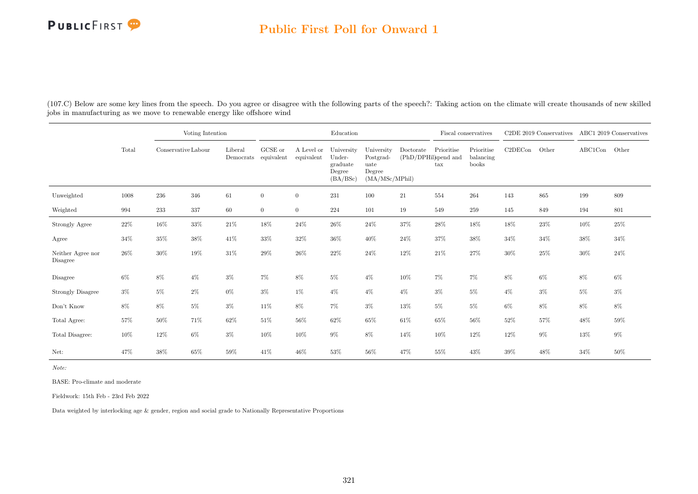#### Public First Poll for Onward 1

(107.C) Below are some key lines from the speech. Do you agree or disagree with the following parts of the speech?: Taking action on the climate will create thousands of new skilled jobs in manufacturing as we move to renewable energy like offshore wind

|                               |       |                     | Voting Intention |                      |                       |                          | Education                                              |                                                             |           |                                                                   | Fiscal conservatives             | $C2DE$ 2019 Conservatives |        | ABC1 2019 Conservatives |        |
|-------------------------------|-------|---------------------|------------------|----------------------|-----------------------|--------------------------|--------------------------------------------------------|-------------------------------------------------------------|-----------|-------------------------------------------------------------------|----------------------------------|---------------------------|--------|-------------------------|--------|
|                               | Total | Conservative Labour |                  | Liberal<br>Democrats | GCSE or<br>equivalent | A Level or<br>equivalent | University<br>Under-<br>graduate<br>Degree<br>(BA/BSc) | University<br>Postgrad-<br>uate<br>Degree<br>(MA/MSc/MPhil) | Doctorate | Prioritise<br>$(\mathrm{PhD}/\mathrm{DPHil})$ and<br>$\text{tax}$ | Prioritise<br>balancing<br>books | C2DECon                   | Other  | ABC1Con                 | Other  |
| Unweighted                    | 1008  | 236                 | 346              | 61                   | $\overline{0}$        | $\overline{0}$           | 231                                                    | 100                                                         | 21        | 554                                                               | 264                              | 143                       | 865    | 199                     | 809    |
| Weighted                      | 994   | 233                 | 337              | 60                   | $\overline{0}$        | $\overline{0}$           | 224                                                    | 101                                                         | 19        | 549                                                               | 259                              | 145                       | 849    | 194                     | 801    |
| Strongly Agree                | 22%   | $16\%$              | $33\%$           | $21\%$               | $18\%$                | 24\%                     | 26\%                                                   | $24\%$                                                      | $37\%$    | $28\%$                                                            | 18%                              | 18%                       | $23\%$ | $10\%$                  | 25%    |
| Agree                         | 34%   | 35%                 | $38\%$           | 41\%                 | $33\%$                | 32%                      | $36\%$                                                 | 40%                                                         | 24%       | 37%                                                               | 38%                              | $34\%$                    | 34%    | 38%                     | $34\%$ |
| Neither Agree nor<br>Disagree | 26%   | 30%                 | 19%              | 31%                  | 29%                   | 26%                      | $22\%$                                                 | 24%                                                         | 12%       | 21%                                                               | 27%                              | 30%                       | 25%    | 30%                     | $24\%$ |
| Disagree                      | $6\%$ | 8%                  | $4\%$            | $3\%$                | $7\%$                 | 8%                       | $5\%$                                                  | $4\%$                                                       | $10\%$    | $7\%$                                                             | $7\%$                            | 8%                        | $6\%$  | 8%                      | $6\%$  |
| <b>Strongly Disagree</b>      | $3\%$ | $5\%$               | $2\%$            | $0\%$                | $3\%$                 | $1\%$                    | $4\%$                                                  | $4\%$                                                       | $4\%$     | $3\%$                                                             | $5\%$                            | $4\%$                     | $3\%$  | $5\%$                   | $3\%$  |
| Don't Know                    | 8%    | 8%                  | $5\%$            | $3\%$                | 11\%                  | 8%                       | 7%                                                     | $3\%$                                                       | 13%       | $5\%$                                                             | $5\%$                            | $6\%$                     | 8%     | 8%                      | 8%     |
| Total Agree:                  | 57%   | $50\%$              | 71%              | 62%                  | 51\%                  | 56%                      | $62\%$                                                 | 65%                                                         | 61\%      | 65%                                                               | 56%                              | 52%                       | 57%    | 48%                     | 59%    |
| Total Disagree:               | 10%   | $12\%$              | $6\%$            | $3\%$                | 10%                   | 10%                      | $9\%$                                                  | $8\%$                                                       | 14%       | 10%                                                               | 12%                              | 12%                       | $9\%$  | $13\%$                  | $9\%$  |
| Net:                          | 47%   | 38%                 | 65%              | 59%                  | 41%                   | 46%                      | 53%                                                    | 56%                                                         | 47%       | 55%                                                               | 43%                              | 39%                       | 48%    | 34%                     | 50%    |

Note:

BASE: Pro-climate and moderate

Fieldwork: 15th Feb - 23rd Feb 2022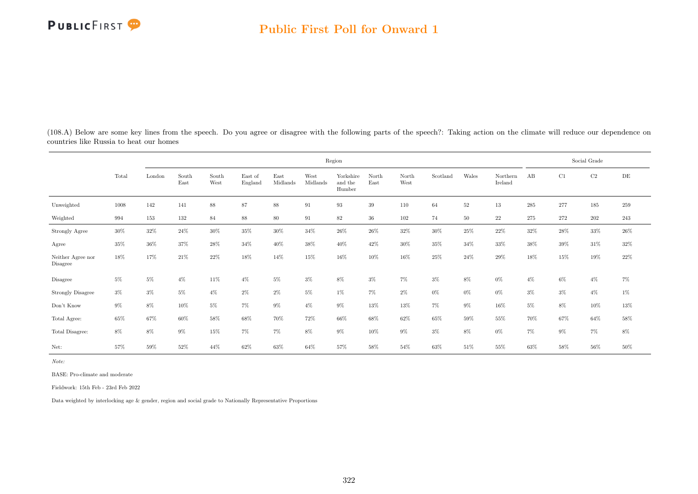

(108.A) Below are some key lines from the speech. Do you agree or disagree with the following parts of the speech?: Taking action on the climate will reduce our dependence on countries like Russia to heat our homes

|                                     |        | Region |               |               |                    |                  |                  |                                |               |               |          |        |                     |        | Social Grade |          |        |  |  |
|-------------------------------------|--------|--------|---------------|---------------|--------------------|------------------|------------------|--------------------------------|---------------|---------------|----------|--------|---------------------|--------|--------------|----------|--------|--|--|
|                                     | Total  | London | South<br>East | South<br>West | East of<br>England | East<br>Midlands | West<br>Midlands | Yorkshire<br>and the<br>Humber | North<br>East | North<br>West | Scotland | Wales  | Northern<br>Ireland | AB     | C1           | $\rm C2$ | DE     |  |  |
| Unweighted                          | 1008   | 142    | 141           | 88            | 87                 | 88               | 91               | 93                             | 39            | 110           | 64       | $52\,$ | 13                  | 285    | 277          | 185      | 259    |  |  |
| Weighted                            | 994    | 153    | 132           | 84            | $88\,$             | 80               | 91               | 82                             | 36            | 102           | 74       | $50\,$ | $22\,$              | 275    | 272          | 202      | 243    |  |  |
| Strongly Agree                      | $30\%$ | $32\%$ | 24\%          | $30\%$        | $35\%$             | 30%              | 34%              | 26%                            | $26\%$        | $32\%$        | $30\%$   | $25\%$ | 22%                 | $32\%$ | $28\%$       | $33\%$   | $26\%$ |  |  |
| Agree                               | 35%    | 36%    | 37%           | 28\%          | 34%                | 40%              | 38%              | 40%                            | 42%           | $30\%$        | 35%      | 34%    | 33%                 | 38%    | 39%          | 31\%     | 32%    |  |  |
| Neither Agree nor<br>Disagree       | 18%    | 17%    | 21\%          | 22\%          | 18%                | 14%              | 15%              | 16%                            | 10%           | 16%           | 25%      | 24\%   | 29%                 | 18%    | 15%          | 19%      | 22%    |  |  |
| Disagree                            | $5\%$  | 5%     | $4\%$         | $11\%$        | $4\%$              | $5\%$            | $3\%$            | 8%                             | $3\%$         | 7%            | $3\%$    | 8%     | $0\%$               | $4\%$  | $6\%$        | $4\%$    | 7%     |  |  |
| <b>Strongly Disagree</b>            | $3\%$  | $3\%$  | $5\%$         | $4\%$         | $2\%$              | $2\%$            | $5\%$            | $1\%$                          | $7\%$         | $2\%$         | $0\%$    | $0\%$  | $0\%$               | $3\%$  | $3\%$        | $4\%$    | $1\%$  |  |  |
| $\mathrm{Don't}$<br>$\mathrm{Know}$ | $9\%$  | 8%     | 10%           | 5%            | 7%                 | $9\%$            | $4\%$            | $9\%$                          | 13%           | 13%           | $7\%$    | 9%     | 16%                 | $5\%$  | 8%           | 10%      | $13\%$ |  |  |
| Total Agree:                        | 65%    | 67%    | 60%           | 58%           | $68\%$             | 70%              | 72%              | 66%                            | 68%           | 62%           | 65%      | 59%    | 55%                 | 70%    | 67%          | $64\%$   | $58\%$ |  |  |
| Total Disagree:                     | $8\%$  | $8\%$  | 9%            | 15%           | 7%                 | 7%               | $8\%$            | $9\%$                          | 10%           | $9\%$         | $3\%$    | 8%     | $0\%$               | $7\%$  | $9\%$        | $7\%$    | $8\%$  |  |  |
| Net:                                | 57%    | 59%    | 52%           | 44\%          | 62%                | 63%              | 64%              | 57%                            | 58%           | 54%           | 63%      | 51\%   | 55%                 | 63%    | 58%          | $56\%$   | 50%    |  |  |

Note:

BASE: Pro-climate and moderate

Fieldwork: 15th Feb - 23rd Feb 2022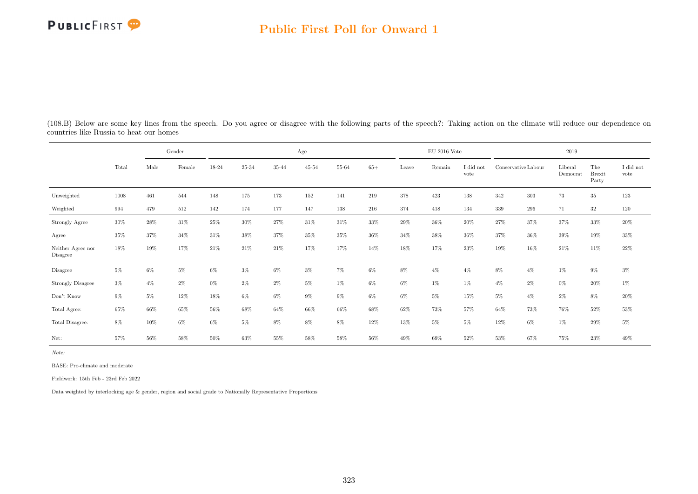#### Public First Poll for Onward 1

|                               |        | Gender |        |        |        |                | Age       |        |        |        | $\mathrm{EU}$ 2016 Vote |        | 2019                |                     |                               |                               |        |  |
|-------------------------------|--------|--------|--------|--------|--------|----------------|-----------|--------|--------|--------|-------------------------|--------|---------------------|---------------------|-------------------------------|-------------------------------|--------|--|
| Total                         | Male   | Female | 18-24  | 25-34  | 35-44  | $45\hbox{-}54$ | $55 - 64$ | $65+$  | Leave  | Remain | I did not<br>vote       |        | Conservative Labour | Liberal<br>Democrat | The<br><b>Brexit</b><br>Party | $\rm I$ did $\rm not$<br>vote |        |  |
| Unweighted                    | 1008   | 461    | 544    | 148    | 175    | 173            | 152       | 141    | 219    | 378    | 423                     | 138    | 342                 | 303                 | 73                            | $35\,$                        | 123    |  |
| Weighted                      | 994    | 479    | 512    | 142    | 174    | 177            | 147       | 138    | 216    | 374    | 418                     | 134    | 339                 | 296                 | 71                            | $32\,$                        | 120    |  |
| Strongly Agree                | $30\%$ | 28%    | $31\%$ | $25\%$ | $30\%$ | $27\%$         | $31\%$    | $31\%$ | 33%    | $29\%$ | $36\%$                  | $20\%$ | $27\%$              | 37%                 | 37%                           | $33\%$                        | $20\%$ |  |
| Agree                         | 35%    | 37%    | 34%    | 31%    | 38%    | 37%            | 35%       | 35%    | 36%    | 34%    | 38%                     | 36%    | 37%                 | 36%                 | $39\%$                        | $19\%$                        | $33\%$ |  |
| Neither Agree nor<br>Disagree | 18%    | 19%    | 17%    | 21\%   | 21\%   | 21\%           | 17%       | 17%    | 14%    | 18%    | 17%                     | 23%    | 19%                 | 16%                 | 21%                           | 11\%                          | $22\%$ |  |
| Disagree                      | $5\%$  | $6\%$  | 5%     | 6%     | $3\%$  | $6\%$          | $3\%$     | $7\%$  | $6\%$  | 8%     | $4\%$                   | $4\%$  | 8%                  | $4\%$               | $1\%$                         | $9\%$                         | $3\%$  |  |
| <b>Strongly Disagree</b>      | $3\%$  | $4\%$  | $2\%$  | $0\%$  | $2\%$  | $2\%$          | $5\%$     | $1\%$  | $6\%$  | $6\%$  | $1\%$                   | $1\%$  | $4\%$               | $2\%$               | $0\%$                         | $20\%$                        | $1\%$  |  |
| Don't Know                    | $9\%$  | 5%     | 12%    | 18%    | $6\%$  | $6\%$          | $9\%$     | $9\%$  | $6\%$  | $6\%$  | $5\%$                   | 15%    | $5\%$               | $4\%$               | $2\%$                         | 8%                            | $20\%$ |  |
| Total Agree:                  | 65%    | 66%    | 65%    | 56%    | $68\%$ | 64%            | 66%       | 66%    | 68%    | 62%    | 73%                     | 57%    | 64%                 | 73%                 | 76%                           | $52\%$                        | $53\%$ |  |
| Total Disagree:               | 8%     | 10%    | $6\%$  | 6%     | $5\%$  | $8\%$          | 8%        | 8%     | 12%    | 13%    | $5\%$                   | $5\%$  | 12%                 | $6\%$               | $1\%$                         | 29%                           | $5\%$  |  |
| Net:                          | 57%    | 56%    | $58\%$ | $50\%$ | $63\%$ | $55\%$         | $58\%$    | $58\%$ | $56\%$ | $49\%$ | 69%                     | $52\%$ | $53\%$              | 67%                 | 75%                           | $23\%$                        | $49\%$ |  |

(108.B) Below are some key lines from the speech. Do you agree or disagree with the following parts of the speech?: Taking action on the climate will reduce our dependence on countries like Russia to heat our homes

Note:

BASE: Pro-climate and moderate

Fieldwork: 15th Feb - 23rd Feb 2022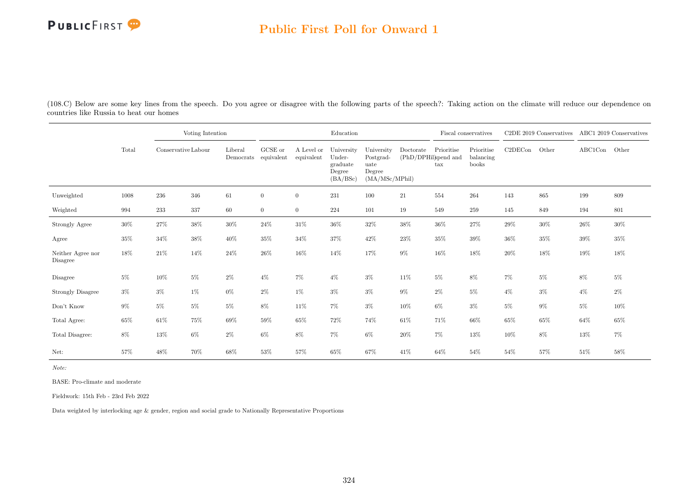### Public First Poll for Onward 1

(108.C) Below are some key lines from the speech. Do you agree or disagree with the following parts of the speech?: Taking action on the climate will reduce our dependence on countries like Russia to heat our homes

|                               |        |                     | Voting Intention |                      |                               |                          | Education                                              |                                                             |           |                                                            | Fiscal conservatives             |         | C2DE 2019 Conservatives |         | ABC1 2019 Conservatives |
|-------------------------------|--------|---------------------|------------------|----------------------|-------------------------------|--------------------------|--------------------------------------------------------|-------------------------------------------------------------|-----------|------------------------------------------------------------|----------------------------------|---------|-------------------------|---------|-------------------------|
|                               | Total  | Conservative Labour |                  | Liberal<br>Democrats | ${\rm GCSE}$ or<br>equivalent | A Level or<br>equivalent | University<br>Under-<br>graduate<br>Degree<br>(BA/BSc) | University<br>Postgrad-<br>uate<br>Degree<br>(MA/MSc/MPhil) | Doctorate | Prioritise<br>(PhD/DPHil)spend and<br>$\operatorname{tax}$ | Prioritise<br>balancing<br>books | C2DECon | Other                   | ABC1Con | Other                   |
| Unweighted                    | 1008   | 236                 | 346              | 61                   | $\overline{0}$                | $\overline{0}$           | $231\,$                                                | 100                                                         | 21        | 554                                                        | 264                              | 143     | 865                     | 199     | 809                     |
| Weighted                      | 994    | 233                 | $337\,$          | 60                   | $\overline{0}$                | $\overline{0}$           | 224                                                    | 101                                                         | 19        | 549                                                        | 259                              | 145     | 849                     | 194     | 801                     |
| Strongly Agree                | $30\%$ | 27%                 | $38\%$           | $30\%$               | $24\%$                        | $31\%$                   | $36\%$                                                 | $32\%$                                                      | 38%       | $36\%$                                                     | 27%                              | 29%     | $30\%$                  | 26%     | $30\%$                  |
| Agree                         | 35%    | 34%                 | 38%              | 40%                  | 35%                           | $34\%$                   | 37%                                                    | 42%                                                         | 23%       | $35\%$                                                     | 39%                              | 36%     | $35\%$                  | 39%     | 35%                     |
| Neither Agree nor<br>Disagree | 18%    | $21\%$              | 14%              | $24\%$               | 26%                           | 16%                      | 14%                                                    | 17%                                                         | $9\%$     | 16%                                                        | 18%                              | $20\%$  | $18\%$                  | 19%     | 18%                     |
| Disagree                      | $5\%$  | $10\%$              | $5\%$            | $2\%$                | $4\%$                         | $7\%$                    | $4\%$                                                  | $3\%$                                                       | 11%       | $5\%$                                                      | 8%                               | $7\%$   | $5\%$                   | 8%      | $5\%$                   |
| <b>Strongly Disagree</b>      | $3\%$  | $3\%$               | $1\%$            | $0\%$                | $2\%$                         | $1\%$                    | $3\%$                                                  | $3\%$                                                       | $9\%$     | $2\%$                                                      | $5\%$                            | $4\%$   | $3\%$                   | $4\%$   | $2\%$                   |
| Don't Know                    | $9\%$  | $5\%$               | $5\%$            | $5\%$                | 8%                            | 11\%                     | 7%                                                     | $3\%$                                                       | $10\%$    | $6\%$                                                      | $3\%$                            | $5\%$   | $9\%$                   | $5\%$   | 10%                     |
| Total Agree:                  | 65%    | $61\%$              | $75\%$           | 69%                  | 59%                           | 65%                      | 72%                                                    | 74%                                                         | $61\%$    | 71%                                                        | 66%                              | 65%     | 65%                     | 64%     | 65%                     |
| Total Disagree:               | $8\%$  | $13\%$              | $6\%$            | $2\%$                | 6%                            | 8%                       | 7%                                                     | $6\%$                                                       | $20\%$    | $7\%$                                                      | 13%                              | 10%     | $8\%$                   | 13%     | $7\%$                   |
| Net:                          | 57%    | 48%                 | 70%              | 68%                  | 53%                           | 57%                      | 65%                                                    | 67%                                                         | $41\%$    | 64%                                                        | 54%                              | 54%     | 57%                     | 51%     | 58%                     |

Note:

BASE: Pro-climate and moderate

Fieldwork: 15th Feb - 23rd Feb 2022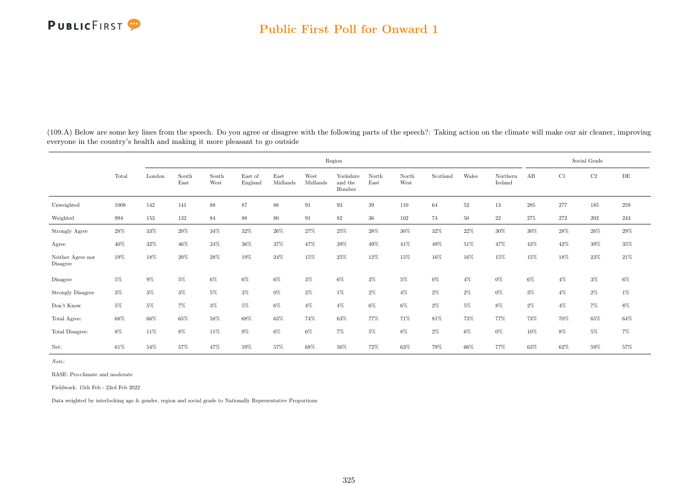

(109.A) Below are some key lines from the speech. Do you agree or disagree with the following parts of the speech?: Taking action on the climate will make our air cleaner, improving everyone in the country's health and making it more pleasant to go outside

|                                     |        |        |               |               |                    |                  |                  | Region                         |               |               |          |        |                     |       |       | Social Grade |           |
|-------------------------------------|--------|--------|---------------|---------------|--------------------|------------------|------------------|--------------------------------|---------------|---------------|----------|--------|---------------------|-------|-------|--------------|-----------|
|                                     | Total  | London | South<br>East | South<br>West | East of<br>England | East<br>Midlands | West<br>Midlands | Yorkshire<br>and the<br>Humber | North<br>East | North<br>West | Scotland | Wales  | Northern<br>Ireland | AB    | C1    | $\rm C2$     | $\rm{DE}$ |
| Unweighted                          | 1008   | 142    | 141           | 88            | 87                 | $88\,$           | 91               | 93                             | 39            | 110           | 64       | $52\,$ | 13                  | 285   | 277   | 185          | 259       |
| Weighted                            | 994    | 153    | 132           | 84            | $88\,$             | $80\,$           | 91               | $82\,$                         | $36\,$        | 102           | 74       | $50\,$ | 22                  | 275   | 272   | 202          | $243\,$   |
| <b>Strongly Agree</b>               | $28\%$ | $33\%$ | $20\%$        | $34\%$        | $32\%$             | 26%              | $27\%$           | $25\%$                         | 28%           | $30\%$        | $32\%$   | $22\%$ | 30%                 | 30%   | 28\%  | $26\%$       | $29\%$    |
| Agree                               | 40%    | $32\%$ | 46%           | 24%           | 36%                | 37%              | 47%              | $39\%$                         | 49%           | 41\%          | 49%      | 51%    | 47%                 | 43%   | 42\%  | 39%          | 35%       |
| Neither Agree nor<br>Disagree       | 19%    | 18%    | 20%           | 28%           | 19%                | 24\%             | 15%              | $25\%$                         | 12%           | 15%           | 16%      | 16%    | 15%                 | 15%   | 18%   | 23%          | 21\%      |
| Disagree                            | $5\%$  | $9\%$  | $5\%$         | $6\%$         | $6\%$              | $6\%$            | $3\%$            | $6\%$                          | $3\%$         | $5\%$         | $0\%$    | $4\%$  | $0\%$               | $6\%$ | $4\%$ | $3\%$        | $6\%$     |
| <b>Strongly Disagree</b>            | $3\%$  | $3\%$  | $3\%$         | $5\%$         | $3\%$              | $0\%$            | $3\%$            | $1\%$                          | $2\%$         | $4\%$         | $2\%$    | $2\%$  | $0\%$               | $3\%$ | $4\%$ | $2\%$        | $1\%$     |
| $\mathrm{Don't}$<br>$\mathrm{Know}$ | $5\%$  | $5\%$  | $7\%$         | $3\%$         | 5%                 | $6\%$            | $4\%$            | $4\%$                          | $6\%$         | $6\%$         | $2\%$    | $5\%$  | 8%                  | $2\%$ | $4\%$ | $7\%$        | $8\%$     |
| Total Agree:                        | 68%    | $66\%$ | $65\%$        | $58\%$        | $68\%$             | $63\%$           | 74%              | $63\%$                         | 77%           | 71%           | 81%      | 73%    | 77%                 | 73%   | 70%   | $65\%$       | $64\%$    |
| Total Disagree:                     | $8\%$  | 11%    | 8%            | 11%           | 9%                 | $6\%$            | $6\%$            | $7\%$                          | $5\%$         | $8\%$         | $2\%$    | $6\%$  | $0\%$               | 10%   | 8%    | $5\%$        | $7\%$     |
| Net:                                | 61%    | 54%    | 57%           | 47%           | 59%                | 57%              | 68%              | 56%                            | 72%           | 63%           | 79%      | 66%    | 77%                 | 63%   | 62%   | 59%          | 57%       |

Note:

BASE: Pro-climate and moderate

Fieldwork: 15th Feb - 23rd Feb 2022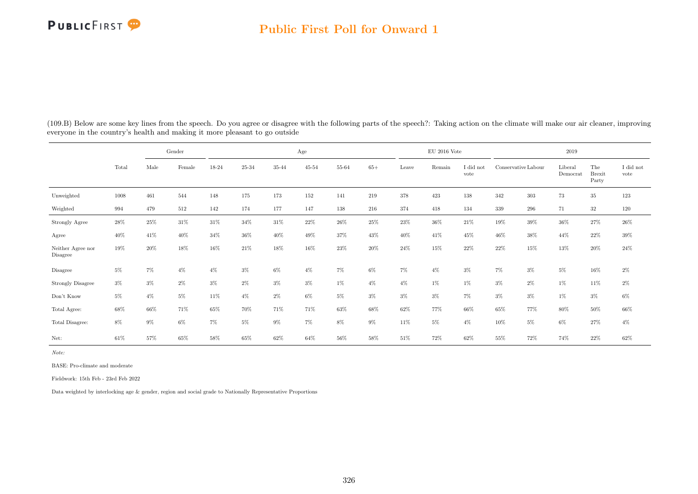### Public First Poll for Onward 1

| (109.B) Below are some key lines from the speech. Do you agree or disagree with the following parts of the speech?: Taking action on the climate will make our air cleaner, improving |  |
|---------------------------------------------------------------------------------------------------------------------------------------------------------------------------------------|--|
| everyone in the country's health and making it more pleasant to go outside                                                                                                            |  |

|                               |        |        | Gender |        |        |           | Age            |           |        |        | $EU$ 2016 Vote |                   |                     |       | 2019                |                               |                   |
|-------------------------------|--------|--------|--------|--------|--------|-----------|----------------|-----------|--------|--------|----------------|-------------------|---------------------|-------|---------------------|-------------------------------|-------------------|
|                               | Total  | Male   | Female | 18-24  | 25-34  | $35 - 44$ | $45\hbox{-}54$ | $55 - 64$ | $65+$  | Leave  | Remain         | I did not<br>vote | Conservative Labour |       | Liberal<br>Democrat | The<br><b>Brexit</b><br>Party | I did not<br>vote |
| Unweighted                    | 1008   | 461    | 544    | 148    | 175    | 173       | 152            | 141       | 219    | 378    | 423            | $138\,$           | 342                 | 303   | 73                  | $35\,$                        | 123               |
| Weighted                      | 994    | 479    | 512    | 142    | 174    | 177       | 147            | 138       | 216    | 374    | 418            | 134               | 339                 | 296   | 71                  | $32\,$                        | 120               |
| Strongly Agree                | $28\%$ | $25\%$ | $31\%$ | $31\%$ | $34\%$ | $31\%$    | $22\%$         | $26\%$    | $25\%$ | $23\%$ | $36\%$         | $21\%$            | $19\%$              | 39%   | $36\%$              | $27\%$                        | $26\%$            |
| Agree                         | 40%    | 41\%   | 40%    | 34\%   | $36\%$ | $40\%$    | 49%            | 37%       | 43%    | 40%    | 41%            | 45%               | 46%                 | 38%   | 44%                 | 22%                           | $39\%$            |
| Neither Agree nor<br>Disagree | 19%    | 20%    | 18%    | 16%    | 21\%   | 18%       | 16%            | 23%       | $20\%$ | $24\%$ | 15%            | $22\%$            | 22%                 | 15%   | 13%                 | 20%                           | $24\%$            |
| Disagree                      | $5\%$  | $7\%$  | $4\%$  | $4\%$  | $3\%$  | $6\%$     | $4\%$          | $7\%$     | $6\%$  | $7\%$  | $4\%$          | $3\%$             | $7\%$               | $3\%$ | $5\%$               | $16\%$                        | $2\%$             |
| <b>Strongly Disagree</b>      | $3\%$  | $3\%$  | $2\%$  | $3\%$  | $2\%$  | $3\%$     | $3\%$          | $1\%$     | $4\%$  | $4\%$  | $1\%$          | $1\%$             | $3\%$               | $2\%$ | $1\%$               | 11\%                          | $2\%$             |
| Don't Know                    | $5\%$  | $4\%$  | $5\%$  | 11%    | $4\%$  | $2\%$     | $6\%$          | $5\%$     | $3\%$  | $3\%$  | $3\%$          | $7\%$             | 3%                  | $3\%$ | $1\%$               | $3\%$                         | $6\%$             |
| Total Agree:                  | 68%    | 66\%   | 71%    | 65%    | 70%    | 71%       | 71%            | 63%       | 68%    | 62%    | 77%            | 66%               | 65%                 | 77%   | 80%                 | 50%                           | $66\%$            |
| Total Disagree:               | $8\%$  | $9\%$  | $6\%$  | $7\%$  | 5%     | $9\%$     | $7\%$          | $8\%$     | $9\%$  | $11\%$ | $5\%$          | $4\%$             | 10%                 | $5\%$ | $6\%$               | 27%                           | $4\%$             |
| Net:                          | 61%    | 57%    | 65%    | 58%    | 65%    | 62%       | 64%            | 56%       | 58%    | 51%    | 72%            | 62%               | 55%                 | 72%   | 74%                 | 22%                           | 62%               |

Note:

BASE: Pro-climate and moderate

Fieldwork: 15th Feb - 23rd Feb 2022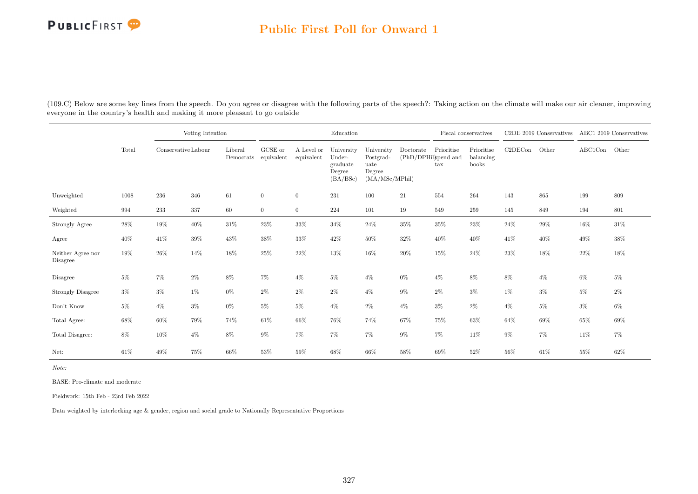### Public First Poll for Onward 1

(109.C) Below are some key lines from the speech. Do you agree or disagree with the following parts of the speech?: Taking action on the climate will make our air cleaner, improving everyone in the country's health and making it more pleasant to go outside

|                               |       |                     | Voting Intention |                      |                       |                          | Education                                              |                                                             |           |                                                    | Fiscal conservatives             |         | C2DE 2019 Conservatives |               | ABC1 2019 Conservatives |
|-------------------------------|-------|---------------------|------------------|----------------------|-----------------------|--------------------------|--------------------------------------------------------|-------------------------------------------------------------|-----------|----------------------------------------------------|----------------------------------|---------|-------------------------|---------------|-------------------------|
|                               | Total | Conservative Labour |                  | Liberal<br>Democrats | GCSE or<br>equivalent | A Level or<br>equivalent | University<br>Under-<br>graduate<br>Degree<br>(BA/BSc) | University<br>Postgrad-<br>uate<br>Degree<br>(MA/MSc/MPhil) | Doctorate | Prioritise<br>(PhD/DPHil)spend and<br>$\text{tax}$ | Prioritise<br>balancing<br>books | C2DECon | Other                   | ABC1Con Other |                         |
| Unweighted                    | 1008  | 236                 | 346              | 61                   | $\overline{0}$        | $\overline{0}$           | 231                                                    | 100                                                         | 21        | $554\,$                                            | 264                              | 143     | 865                     | 199           | 809                     |
| Weighted                      | 994   | 233                 | 337              | 60                   | $\overline{0}$        | $\overline{0}$           | 224                                                    | 101                                                         | 19        | 549                                                | 259                              | 145     | 849                     | 194           | 801                     |
| Strongly Agree                | 28%   | 19%                 | $40\%$           | $31\%$               | $23\%$                | $33\%$                   | 34%                                                    | $24\%$                                                      | $35\%$    | $35\%$                                             | $23\%$                           | $24\%$  | $29\%$                  | $16\%$        | $31\%$                  |
| Agree                         | 40%   | 41\%                | $39\%$           | 43\%                 | $38\%$                | 33%                      | 42\%                                                   | 50%                                                         | $32\%$    | 40%                                                | 40%                              | 41\%    | $40\%$                  | 49%           | $38\%$                  |
| Neither Agree nor<br>Disagree | 19%   | $26\%$              | 14%              | 18%                  | 25%                   | $22\%$                   | $13\%$                                                 | 16%                                                         | $20\%$    | 15%                                                | 24%                              | $23\%$  | $18\%$                  | $22\%$        | 18%                     |
| Disagree                      | $5\%$ | $7\%$               | $2\%$            | $8\%$                | $7\%$                 | $4\%$                    | $5\%$                                                  | $4\%$                                                       | $0\%$     | $4\%$                                              | 8%                               | 8%      | $4\%$                   | $6\%$         | $5\%$                   |
| <b>Strongly Disagree</b>      | $3\%$ | $3\%$               | 1%               | $0\%$                | $2\%$                 | $2\%$                    | $2\%$                                                  | $4\%$                                                       | $9\%$     | $2\%$                                              | $3\%$                            | $1\%$   | $3\%$                   | $5\%$         | $2\%$                   |
| Don't Know                    | $5\%$ | $4\%$               | $3\%$            | $0\%$                | $5\%$                 | $5\%$                    | $4\%$                                                  | $2\%$                                                       | $4\%$     | $3\%$                                              | $2\%$                            | $4\%$   | 5%                      | $3\%$         | $6\%$                   |
| Total Agree:                  | 68%   | 60%                 | 79%              | 74%                  | $61\%$                | 66%                      | 76%                                                    | 74%                                                         | 67%       | 75%                                                | 63%                              | 64%     | 69%                     | 65%           | 69%                     |
| Total Disagree:               | $8\%$ | $10\%$              | $4\%$            | $8\%$                | $9\%$                 | $7\%$                    | $7\%$                                                  | $7\%$                                                       | $9\%$     | $7\%$                                              | 11%                              | $9\%$   | $7\%$                   | 11\%          | $7\%$                   |
| Net:                          | 61\%  | 49%                 | 75%              | 66%                  | 53%                   | 59%                      | 68%                                                    | 66%                                                         | 58%       | 69%                                                | 52%                              | 56%     | 61\%                    | 55%           | 62%                     |

Note:

BASE: Pro-climate and moderate

Fieldwork: 15th Feb - 23rd Feb 2022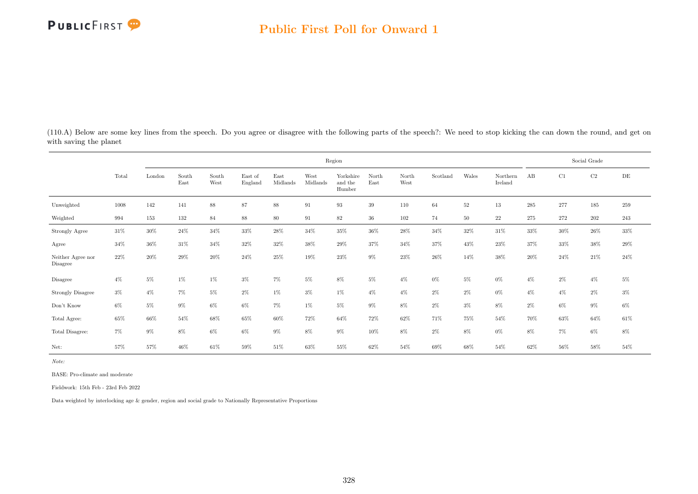(110.A) Below are some key lines from the speech. Do you agree or disagree with the following parts of the speech?: We need to stop kicking the can down the round, and get on with saving the planet

|                                     |       |        |               |               |                    |                  |                  | Region                         |               |               |          |        |                     |       |       | Social Grade |           |
|-------------------------------------|-------|--------|---------------|---------------|--------------------|------------------|------------------|--------------------------------|---------------|---------------|----------|--------|---------------------|-------|-------|--------------|-----------|
|                                     | Total | London | South<br>East | South<br>West | East of<br>England | East<br>Midlands | West<br>Midlands | Yorkshire<br>and the<br>Humber | North<br>East | North<br>West | Scotland | Wales  | Northern<br>Ireland | AB    | C1    | C2           | $\rm{DE}$ |
| Unweighted                          | 1008  | 142    | 141           | $88\,$        | 87                 | 88               | 91               | 93                             | 39            | 110           | 64       | $52\,$ | 13                  | 285   | 277   | 185          | 259       |
| Weighted                            | 994   | 153    | 132           | 84            | 88                 | 80               | 91               | $82\,$                         | 36            | 102           | 74       | 50     | 22                  | 275   | 272   | 202          | 243       |
| Strongly Agree                      | 31%   | $30\%$ | 24\%          | 34%           | $33\%$             | 28%              | 34%              | $35\%$                         | $36\%$        | $28\%$        | 34%      | 32%    | 31\%                | 33%   | 30%   | $26\%$       | $33\%$    |
| Agree                               | 34%   | $36\%$ | 31\%          | 34%           | 32%                | 32%              | 38%              | 29%                            | 37%           | 34%           | 37%      | 43%    | 23%                 | 37%   | 33%   | $38\%$       | $29\%$    |
| Neither Agree nor<br>Disagree       | 22%   | 20%    | 29%           | 20%           | 24\%               | 25%              | 19%              | $23\%$                         | $9\%$         | 23%           | 26%      | 14%    | 38%                 | 20%   | 24\%  | 21\%         | 24\%      |
| Disagree                            | $4\%$ | 5%     | $1\%$         | 1%            | $3\%$              | 7%               | $5\%$            | 8%                             | $5\%$         | $4\%$         | $0\%$    | $5\%$  | $0\%$               | $4\%$ | $2\%$ | $4\%$        | $5\%$     |
| <b>Strongly Disagree</b>            | $3\%$ | $4\%$  | $7\%$         | $5\%$         | $2\%$              | $1\%$            | $3\%$            | $1\%$                          | $4\%$         | $4\%$         | $2\%$    | $2\%$  | $0\%$               | $4\%$ | $4\%$ | $2\%$        | $3\%$     |
| $\mathrm{Don't}$<br>$\mathrm{Know}$ | $6\%$ | $5\%$  | $9\%$         | $6\%$         | $6\%$              | 7%               | $1\%$            | $5\%$                          | $9\%$         | $8\%$         | $2\%$    | $3\%$  | 8%                  | $2\%$ | $6\%$ | $9\%$        | $6\%$     |
| Total Agree:                        | 65%   | 66%    | 54%           | 68%           | 65%                | 60%              | 72%              | 64%                            | 72%           | 62%           | 71%      | 75%    | 54%                 | 70%   | 63%   | 64%          | $61\%$    |
| Total Disagree:                     | $7\%$ | $9\%$  | 8%            | 6%            | 6%                 | $9\%$            | $8\%$            | $9\%$                          | 10%           | $8\%$         | $2\%$    | $8\%$  | $0\%$               | 8%    | $7\%$ | $6\%$        | $8\%$     |
| Net:                                | 57%   | 57%    | 46%           | 61%           | 59%                | 51\%             | 63%              | 55%                            | 62%           | 54%           | 69%      | 68%    | 54%                 | 62%   | 56%   | 58%          | 54%       |

Note:

BASE: Pro-climate and moderate

Fieldwork: 15th Feb - 23rd Feb 2022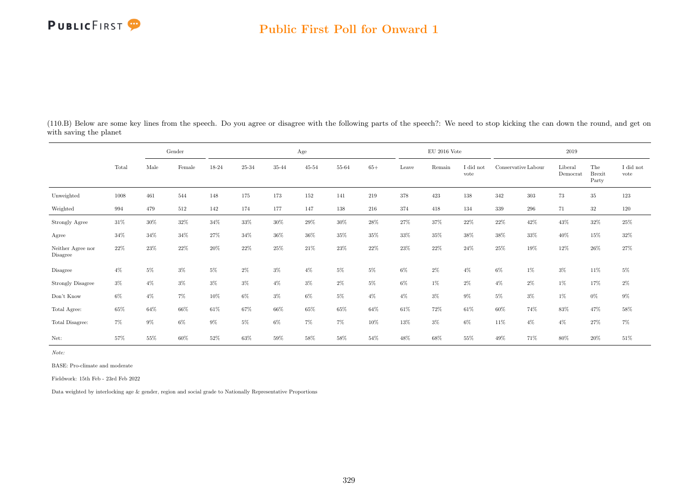### Public First Poll for Onward 1

|                               |        |       | Gender |       |        |        | Age            |       |        |       | EU 2016 Vote |                   |        |                     | 2019                |                               |                               |
|-------------------------------|--------|-------|--------|-------|--------|--------|----------------|-------|--------|-------|--------------|-------------------|--------|---------------------|---------------------|-------------------------------|-------------------------------|
|                               | Total  | Male  | Female | 18-24 | 25-34  | 35-44  | $45\hbox{-}54$ | 55-64 | $65+$  | Leave | Remain       | I did not<br>vote |        | Conservative Labour | Liberal<br>Democrat | The<br><b>Brexit</b><br>Party | $\rm I$ did $\rm not$<br>vote |
| Unweighted                    | 1008   | 461   | 544    | 148   | 175    | 173    | 152            | 141   | 219    | 378   | 423          | 138               | 342    | 303                 | 73                  | $35\,$                        | 123                           |
| Weighted                      | 994    | 479   | 512    | 142   | 174    | 177    | 147            | 138   | 216    | 374   | 418          | 134               | 339    | 296                 | 71                  | 32                            | 120                           |
| Strongly Agree                | $31\%$ | 30%   | $32\%$ | 34%   | $33\%$ | 30%    | $29\%$         | 30%   | $28\%$ | 27%   | 37%          | 22\%              | 22\%   | 42%                 | 43%                 | 32%                           | $25\%$                        |
| Agree                         | 34%    | 34%   | 34%    | 27%   | 34%    | $36\%$ | $36\%$         | 35%   | $35\%$ | 33%   | $35\%$       | $38\%$            | $38\%$ | $33\%$              | 40%                 | $15\%$                        | $32\%$                        |
| Neither Agree nor<br>Disagree | 22%    | 23%   | 22%    | 20%   | 22%    | 25%    | 21\%           | 23%   | 22%    | 23%   | 22%          | 24\%              | 25%    | 19%                 | 12%                 | 26\%                          | $27\%$                        |
| Disagree                      | $4\%$  | $5\%$ | $3\%$  | 5%    | $2\%$  | $3\%$  | $4\%$          | $5\%$ | $5\%$  | $6\%$ | $2\%$        | $4\%$             | $6\%$  | $1\%$               | $3\%$               | $11\%$                        | $5\%$                         |
| <b>Strongly Disagree</b>      | $3\%$  | $4\%$ | 3%     | 3%    | $3\%$  | $4\%$  | $3\%$          | $2\%$ | $5\%$  | $6\%$ | $1\%$        | $2\%$             | $4\%$  | $2\%$               | $1\%$               | 17%                           | $2\%$                         |
| Don't Know                    | 6%     | $4\%$ | 7%     | 10%   | $6\%$  | $3\%$  | $6\%$          | $5\%$ | $4\%$  | $4\%$ | $3\%$        | $9\%$             | 5%     | $3\%$               | $1\%$               | $0\%$                         | $9\%$                         |
| Total Agree:                  | 65%    | 64%   | 66%    | 61\%  | 67%    | 66%    | 65%            | 65%   | 64%    | 61%   | 72%          | 61\%              | 60%    | 74%                 | 83%                 | 47%                           | $58\%$                        |
| Total Disagree:               | $7\%$  | $9\%$ | 6%     | 9%    | $5\%$  | 6%     | $7\%$          | $7\%$ | 10%    | 13%   | $3\%$        | $6\%$             | 11%    | $4\%$               | $4\%$               | 27%                           | $7\%$                         |
| Net:                          | 57%    | 55%   | 60%    | 52%   | 63%    | $59\%$ | 58%            | 58%   | 54%    | 48%   | 68%          | 55%               | 49%    | 71%                 | 80%                 | 20%                           | 51%                           |

(110.B) Below are some key lines from the speech. Do you agree or disagree with the following parts of the speech?: We need to stop kicking the can down the round, and get on with saving the planet

Note:

BASE: Pro-climate and moderate

Fieldwork: 15th Feb - 23rd Feb 2022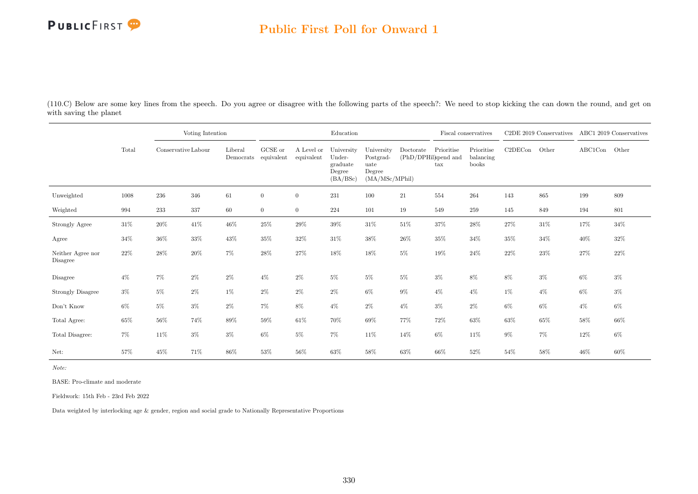

### Public First Poll for Onward 1

(110.C) Below are some key lines from the speech. Do you agree or disagree with the following parts of the speech?: We need to stop kicking the can down the round, and get on with saving the planet

|                               |        |                     | Voting Intention |         |                                 |                          | Education                                              |                                                             |                                  |                   | Fiscal conservatives             |         | C2DE 2019 Conservatives |         | ABC1 2019 Conservatives |
|-------------------------------|--------|---------------------|------------------|---------|---------------------------------|--------------------------|--------------------------------------------------------|-------------------------------------------------------------|----------------------------------|-------------------|----------------------------------|---------|-------------------------|---------|-------------------------|
|                               | Total  | Conservative Labour |                  | Liberal | GCSE or<br>Democrats equivalent | A Level or<br>equivalent | University<br>Under-<br>graduate<br>Degree<br>(BA/BSc) | University<br>Postgrad-<br>uate<br>Degree<br>(MA/MSc/MPhil) | Doctorate<br>(PhD/DPHilspend and | Prioritise<br>tax | Prioritise<br>balancing<br>books | C2DECon | Other                   | ABC1Con | Other                   |
| Unweighted                    | 1008   | 236                 | 346              | 61      | $\overline{0}$                  | $\overline{0}$           | $231\,$                                                | 100                                                         | 21                               | 554               | 264                              | 143     | 865                     | 199     | 809                     |
| Weighted                      | 994    | 233                 | 337              | 60      | $\overline{0}$                  | $\overline{0}$           | 224                                                    | 101                                                         | 19                               | 549               | 259                              | 145     | 849                     | 194     | 801                     |
| Strongly Agree                | $31\%$ | 20%                 | $41\%$           | $46\%$  | $25\%$                          | 29%                      | $39\%$                                                 | $31\%$                                                      | $51\%$                           | $37\%$            | 28%                              | 27%     | $31\%$                  | 17%     | $34\%$                  |
| Agree                         | $34\%$ | 36%                 | $33\%$           | $43\%$  | 35%                             | 32%                      | $31\%$                                                 | $38\%$                                                      | $26\%$                           | $35\%$            | $34\%$                           | 35%     | $34\%$                  | 40%     | 32%                     |
| Neither Agree nor<br>Disagree | $22\%$ | 28%                 | $20\%$           | $7\%$   | 28%                             | 27%                      | $18\%$                                                 | 18%                                                         | $5\%$                            | 19%               | 24%                              | 22%     | $23\%$                  | 27%     | 22%                     |
| Disagree                      | $4\%$  | $7\%$               | $2\%$            | $2\%$   | $4\%$                           | $2\%$                    | 5%                                                     | $5\%$                                                       | $5\%$                            | $3\%$             | 8%                               | 8%      | $3\%$                   | $6\%$   | $3\%$                   |
| <b>Strongly Disagree</b>      | $3\%$  | $5\%$               | $2\%$            | $1\%$   | $2\%$                           | $2\%$                    | $2\%$                                                  | $6\%$                                                       | $9\%$                            | $4\%$             | $4\%$                            | $1\%$   | $4\%$                   | $6\%$   | $3\%$                   |
| Don't Know                    | $6\%$  | $5\%$               | $3\%$            | $2\%$   | 7%                              | 8%                       | $4\%$                                                  | $2\%$                                                       | $4\%$                            | $3\%$             | $2\%$                            | $6\%$   | $6\%$                   | $4\%$   | $6\%$                   |
| Total Agree:                  | 65%    | 56%                 | 74%              | 89%     | 59%                             | $61\%$                   | 70%                                                    | $69\%$                                                      | 77%                              | 72%               | 63%                              | 63%     | $65\%$                  | 58%     | 66%                     |
| Total Disagree:               | 7%     | 11%                 | $3\%$            | $3\%$   | $6\%$                           | $5\%$                    | 7%                                                     | 11%                                                         | 14%                              | $6\%$             | 11%                              | $9\%$   | 7%                      | 12%     | $6\%$                   |
| Net:                          | 57%    | 45%                 | 71%              | 86%     | 53%                             | 56%                      | 63%                                                    | 58%                                                         | 63%                              | 66%               | 52%                              | 54%     | 58%                     | 46%     | 60%                     |

Note:

BASE: Pro-climate and moderate

Fieldwork: 15th Feb - 23rd Feb 2022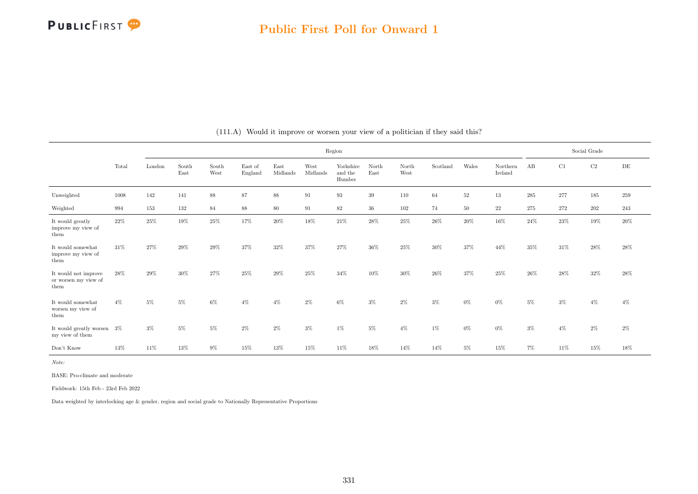|                                                      |        |        |               |               |                    |                  |                  |                                |               | Social Grade  |          |        |                     |       |       |         |        |
|------------------------------------------------------|--------|--------|---------------|---------------|--------------------|------------------|------------------|--------------------------------|---------------|---------------|----------|--------|---------------------|-------|-------|---------|--------|
|                                                      | Total  | London | South<br>East | South<br>West | East of<br>England | East<br>Midlands | West<br>Midlands | Yorkshire<br>and the<br>Humber | North<br>East | North<br>West | Scotland | Wales  | Northern<br>Ireland | AB    | C1    | C2      | DE     |
| Unweighted                                           | 1008   | 142    | 141           | $88\,$        | 87                 | $88\,$           | $\rm 91$         | 93                             | 39            | 110           | 64       | $52\,$ | 13                  | 285   | 277   | $185\,$ | 259    |
| Weighted                                             | 994    | 153    | 132           | $\bf 84$      | $88\,$             | 80               | 91               | 82                             | 36            | 102           | 74       | 50     | 22                  | 275   | 272   | 202     | 243    |
| It would greatly<br>improve my view of<br>them       | 22%    | 25%    | 19%           | 25%           | 17%                | 20%              | 18%              | 21\%                           | 28%           | 25%           | 26%      | $20\%$ | 16%                 | 24\%  | 23%   | 19%     | 20%    |
| It would somewhat<br>improve my view of<br>them      | 31%    | 27%    | 29%           | 29%           | 37%                | 32%              | 37%              | 27%                            | 36%           | 25%           | $30\%$   | 37%    | 44%                 | 35%   | 31%   | 28\%    | $28\%$ |
| It would not improve<br>or worsen my view of<br>them | $28\%$ | 29%    | 30%           | 27%           | 25%                | 29%              | $25\%$           | 34%                            | 10%           | 30%           | 26%      | 37%    | 25%                 | 26%   | 28%   | $32\%$  | 28%    |
| It would somewhat<br>worsen my view of<br>them       | $4\%$  | 5%     | 5%            | 6%            | $4\%$              | $4\%$            | $2\%$            | $6\%$                          | $3\%$         | 2%            | $3\%$    | $0\%$  | $0\%$               | $5\%$ | $3\%$ | $4\%$   | $4\%$  |
| It would greatly worsen 3%<br>my view of them        |        | $3\%$  | $5\%$         | $5\%$         | $2\%$              | $2\%$            | $3\%$            | $1\%$                          | $5\%$         | $4\%$         | $1\%$    | $0\%$  | $0\%$               | $3\%$ | $4\%$ | 2%      | $2\%$  |
| Don't Know                                           | 13%    | 11%    | 13%           | $9\%$         | 15%                | 13%              | 15%              | 11%                            | 18%           | 14%           | 14%      | $5\%$  | 15%                 | $7\%$ | 11\%  | 15%     | 18%    |

#### (111.A) Would it improve or worsen your view of a politician if they said this?

Note:

BASE: Pro-climate and moderate

Fieldwork: 15th Feb - 23rd Feb 2022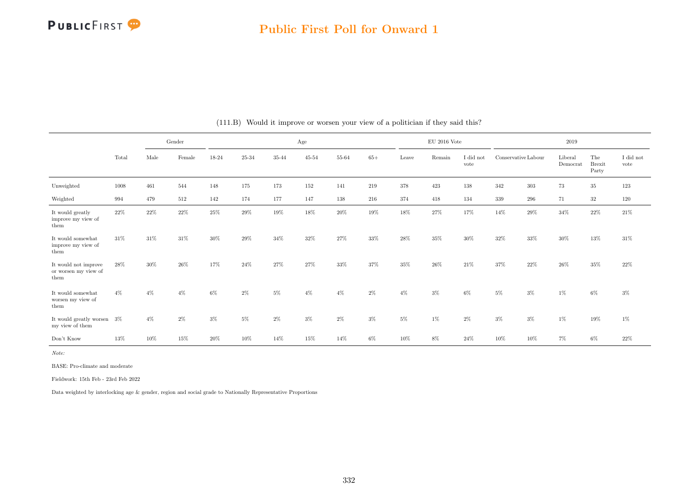

### Public First Poll for Onward 1

|                                                      |       |        | Gender |       |           |           | Age       |           |       |       | $\rm EU$ 2016 Vote |                   |                     |       | 2019                |                               |                               |
|------------------------------------------------------|-------|--------|--------|-------|-----------|-----------|-----------|-----------|-------|-------|--------------------|-------------------|---------------------|-------|---------------------|-------------------------------|-------------------------------|
|                                                      | Total | Male   | Female | 18-24 | $25 - 34$ | $35 - 44$ | $45 - 54$ | $55 - 64$ | $65+$ | Leave | Remain             | I did not<br>vote | Conservative Labour |       | Liberal<br>Democrat | The<br><b>Brexit</b><br>Party | $\rm I$ did $\rm not$<br>vote |
| Unweighted                                           | 1008  | 461    | 544    | 148   | 175       | 173       | 152       | 141       | 219   | 378   | 423                | 138               | 342                 | 303   | 73                  | $35\,$                        | 123                           |
| Weighted                                             | 994   | 479    | 512    | 142   | 174       | 177       | 147       | 138       | 216   | 374   | 418                | 134               | 339                 | 296   | 71                  | 32                            | 120                           |
| It would greatly<br>improve my view of<br>them       | 22%   | $22\%$ | 22%    | 25%   | $29\%$    | 19%       | 18%       | 20%       | 19%   | 18%   | 27%                | 17%               | 14%                 | 29%   | 34%                 | $22\%$                        | 21\%                          |
| It would somewhat<br>improve my view of<br>them      | 31\%  | $31\%$ | $31\%$ | 30%   | 29%       | 34%       | 32%       | 27%       | 33%   | 28%   | $35\%$             | 30%               | 32%                 | 33%   | 30%                 | 13%                           | 31\%                          |
| It would not improve<br>or worsen my view of<br>them | 28%   | 30%    | 26%    | 17%   | 24%       | 27%       | 27%       | 33%       | 37%   | 35%   | 26%                | 21\%              | 37%                 | 22%   | 26%                 | 35%                           | 22%                           |
| It would somewhat<br>worsen my view of<br>them       | $4\%$ | $4\%$  | $4\%$  | 6%    | 2%        | $5\%$     | $4\%$     | $4\%$     | $2\%$ | $4\%$ | $3\%$              | 6%                | $5\%$               | $3\%$ | $1\%$               | 6%                            | $3\%$                         |
| It would greatly worsen 3%<br>my view of them        |       | $4\%$  | 2%     | $3\%$ | 5%        | $2\%$     | $3\%$     | 2%        | $3\%$ | $5\%$ | $1\%$              | 2%                | $3\%$               | $3\%$ | $1\%$               | 19%                           | 1%                            |
| Don't Know                                           | 13%   | 10%    | 15%    | 20%   | 10%       | 14%       | 15%       | 14%       | $6\%$ | 10%   | 8%                 | 24\%              | 10%                 | 10%   | $7\%$               | 6%                            | 22%                           |

#### (111.B) Would it improve or worsen your view of a politician if they said this?

Note:

BASE: Pro-climate and moderate

Fieldwork: 15th Feb - 23rd Feb 2022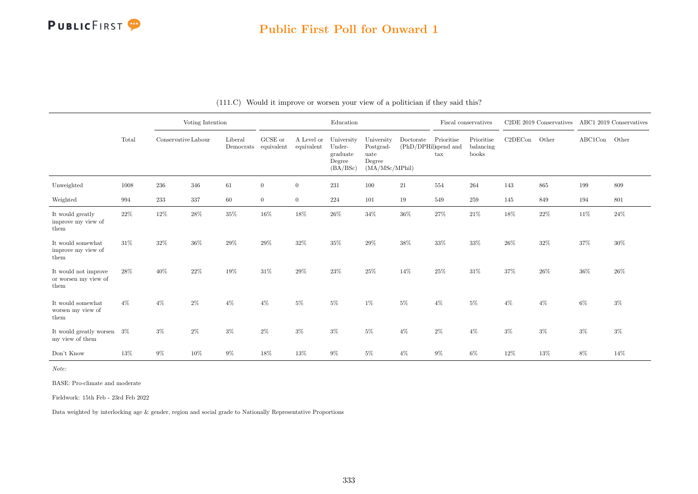### Public First Poll for Onward 1

|                                                      |        |                     | Voting Intention |                      |                       |                          | Education                                              |                                                             |                                   |                            | Fiscal conservatives             |         | C2DE 2019 Conservatives ABC1 2019 Conservatives |               |        |
|------------------------------------------------------|--------|---------------------|------------------|----------------------|-----------------------|--------------------------|--------------------------------------------------------|-------------------------------------------------------------|-----------------------------------|----------------------------|----------------------------------|---------|-------------------------------------------------|---------------|--------|
|                                                      | Total  | Conservative Labour |                  | Liberal<br>Democrats | GCSE or<br>equivalent | A Level or<br>equivalent | University<br>Under-<br>graduate<br>Degree<br>(BA/BSc) | University<br>Postgrad-<br>uate<br>Degree<br>(MA/MSc/MPhil) | Doctorate<br>(PhD/DPHil)spend and | Prioritise<br>$\text{tax}$ | Prioritise<br>balancing<br>books | C2DECon | Other                                           | ABC1Con Other |        |
| Unweighted                                           | 1008   | 236                 | 346              | 61                   | $\overline{0}$        | $\overline{0}$           | $231\,$                                                | 100                                                         | 21                                | 554                        | 264                              | 143     | 865                                             | 199           | 809    |
| Weighted                                             | 994    | 233                 | 337              | 60                   | $\overline{0}$        | $\overline{0}$           | 224                                                    | 101                                                         | 19                                | 549                        | 259                              | 145     | 849                                             | 194           | 801    |
| It would greatly<br>improve my view of<br>them       | 22%    | 12%                 | $28\%$           | $35\%$               | 16%                   | 18%                      | $26\%$                                                 | $34\%$                                                      | $36\%$                            | 27%                        | 21\%                             | 18%     | 22\%                                            | $11\%$        | $24\%$ |
| It would somewhat<br>improve my view of<br>them      | 31\%   | $32\%$              | 36%              | 29%                  | 29%                   | 32%                      | 35%                                                    | $29\%$                                                      | 38%                               | 33%                        | 33%                              | 26%     | 32%                                             | 37%           | $30\%$ |
| It would not improve<br>or worsen my view of<br>them | 28\%   | 40%                 | 22%              | 19%                  | $31\%$                | $29\%$                   | 23%                                                    | 25%                                                         | 14%                               | 25%                        | 31\%                             | 37%     | 26\%                                            | $36\%$        | 26\%   |
| It would somewhat<br>worsen my view of<br>them       | $4\%$  | $4\%$               | $2\%$            | $4\%$                | $4\%$                 | $5\%$                    | $5\%$                                                  | $1\%$                                                       | $5\%$                             | $4\%$                      | $5\%$                            | $4\%$   | $4\%$                                           | $6\%$         | $3\%$  |
| It would greatly worsen<br>my view of them           | 3%     | $3\%$               | $2\%$            | $3\%$                | $2\%$                 | $3\%$                    | $3\%$                                                  | $5\%$                                                       | $4\%$                             | $2\%$                      | $4\%$                            | $3\%$   | $3\%$                                           | $3\%$         | $3\%$  |
| Don't Know                                           | $13\%$ | $9\%$               | $10\%$           | 9%                   | $18\%$                | 13%                      | $9\%$                                                  | $5\%$                                                       | $4\%$                             | $9\%$                      | $6\%$                            | $12\%$  | $13\%$                                          | 8%            | 14%    |

#### (111.C) Would it improve or worsen your view of a politician if they said this?

Note:

BASE: Pro-climate and moderate

Fieldwork: 15th Feb - 23rd Feb 2022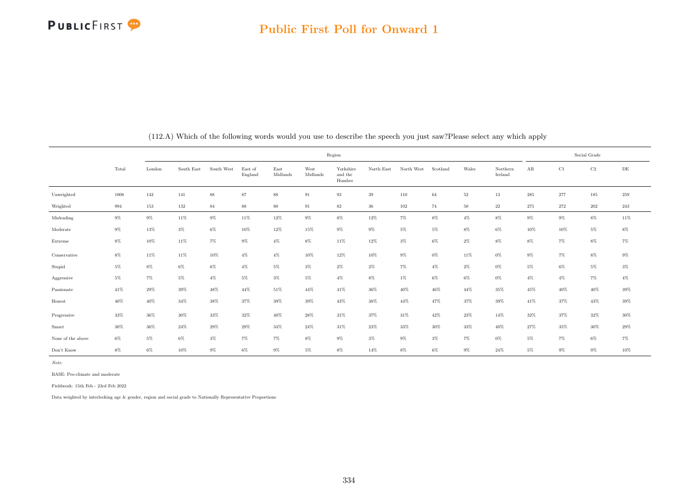|                   |        |        |            |            |                    |                  |                  |                                | Social Grade |            |          |        |                     |         |        |          |           |
|-------------------|--------|--------|------------|------------|--------------------|------------------|------------------|--------------------------------|--------------|------------|----------|--------|---------------------|---------|--------|----------|-----------|
|                   | Total  | London | South East | South West | East of<br>England | East<br>Midlands | West<br>Midlands | Yorkshire<br>and the<br>Humber | North East   | North West | Scotland | Wales  | Northern<br>Ireland | AB      | C1     | $\rm C2$ | $\rm{DE}$ |
| Unweighted        | 1008   | 142    | 141        | $88\,$     | $87\,$             | 88               | 91               | 93                             | 39           | 110        | 64       | $52\,$ | 13                  | $\,285$ | 277    | $185\,$  | 259       |
| Weighted          | 994    | 153    | 132        | $84\,$     | $88\,$             | 80               | 91               | $82\,$                         | $36\,$       | 102        | 74       | 50     | $22\,$              | 275     | 272    | $202\,$  | $\,243$   |
| Misleading        | $9\%$  | $9\%$  | $11\%$     | $9\%$      | $11\%$             | $12\%$           | $9\%$            | $8\%$                          | $12\%$       | $7\%$      | $8\%$    | $4\%$  | $8\%$               | $9\%$   | $9\%$  | $8\%$    | $11\%$    |
| Moderate          | $9\%$  | $13\%$ | $3\%$      | $6\%$      | $10\%$             | $12\%$           | $15\%$           | $9\%$                          | $9\%$        | $5\%$      | $5\%$    | $8\%$  | $6\%$               | $10\%$  | 10%    | $5\%$    | $8\%$     |
| Extreme           | $8\%$  | $10\%$ | $11\%$     | $7\%$      | $9\%$              | $4\%$            | $8\%$            | $11\%$                         | 12%          | $3\%$      | $6\%$    | $2\%$  | $8\%$               | $8\%$   | $7\%$  | $8\%$    | $7\%$     |
| Conservative      | $8\%$  | 11%    | 11%        | 10%        | $4\%$              | $4\%$            | 10%              | 12%                            | 10%          | $9\%$      | $0\%$    | 11%    | $0\%$               | $9\%$   | $7\%$  | $8\%$    | $9\%$     |
| Stupid            | $5\%$  | $8\%$  | $6\%$      | $6\%$      | $4\%$              | $5\%$            | $3\%$            | $2\%$                          | $2\%$        | $7\%$      | $4\%$    | $2\%$  | $0\%$               | $5\%$   | 6%     | 5%       | $3\%$     |
| Aggressive        | $5\%$  | $7\%$  | $5\%$      | $4\%$      | $5\%$              | $3\%$            | $5\%$            | $4\%$                          | $8\%$        | $1\%$      | $6\%$    | $6\%$  | $0\%$               | $4\%$   | $4\%$  | $7\%$    | $4\%$     |
| Passionate        | 41%    | $29\%$ | $39\%$     | $48\%$     | $44\%$             | $51\%$           | 44%              | $41\%$                         | $36\%$       | $40\%$     | 46%      | 44%    | $35\%$              | 45%     | $40\%$ | $40\%$   | $39\%$    |
| Honest            | $40\%$ | $40\%$ | $34\%$     | $38\%$     | $37\%$             | $39\%$           | $39\%$           | $43\%$                         | $38\%$       | $44\%$     | 47%      | 37%    | $39\%$              | $41\%$  | 37%    | $43\%$   | $39\%$    |
| Progressive       | 33%    | 36%    | 30%        | 33%        | 32%                | 40%              | 28%              | 31%                            | 37%          | 31%        | 42%      | $23\%$ | 14%                 | 32%     | 37%    | 32%      | $30\%$    |
| Smart             | 30%    | 36%    | $24\%$     | 29%        | $29\%$             | 34%              | $24\%$           | 31%                            | $23\%$       | 33%        | $30\%$   | 33%    | 40%                 | 27%     | 35%    | 30%      | $29\%$    |
| None of the above | $6\%$  | $5\%$  | $6\%$      | $3\%$      | $7\%$              | $7\%$            | $8\%$            | $9\%$                          | $3\%$        | $9\%$      | $3\%$    | $7\%$  | $0\%$               | $5\%$   | $7\%$  | $6\%$    | $7\%$     |
| Don't Know        | $8\%$  | $6\%$  | $10\%$     | $9\%$      | $6\%$              | $9\%$            | $5\%$            | $8\%$                          | $14\%$       | $8\%$      | $6\%$    | $9\%$  | 24%                 | $5\%$   | $9\%$  | $9\%$    | $10\%$    |

(112.A) Which of the following words would you use to describe the speech you just saw?Please select any which apply

Note:

BASE: Pro-climate and moderate

Fieldwork: 15th Feb - 23rd Feb 2022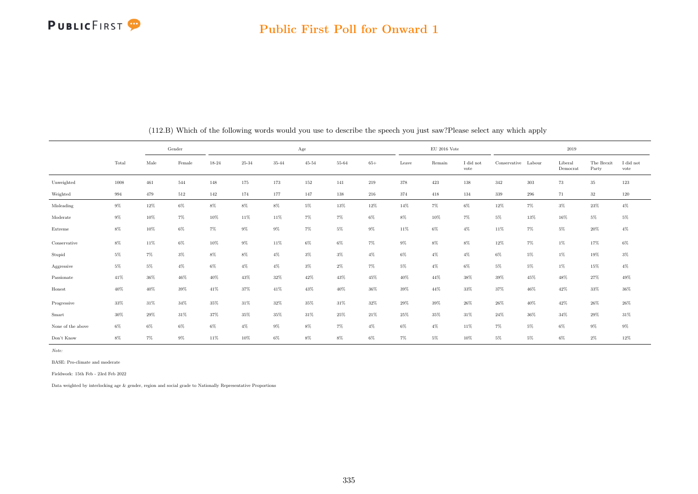### Public First Poll for Onward 1

|                   |       |         | Gender |        |           |           | $_{\rm Age}$ |        |         |        | $\rm EU$ 2016 Vote |                   |                     |         | 2019                |                     |                   |
|-------------------|-------|---------|--------|--------|-----------|-----------|--------------|--------|---------|--------|--------------------|-------------------|---------------------|---------|---------------------|---------------------|-------------------|
|                   | Total | Male    | Female | 18-24  | $25 - 34$ | $35 - 44$ | $45 - 54$    | 55-64  | $65+$   | Leave  | Remain             | I did not<br>vote | Conservative Labour |         | Liberal<br>Democrat | The Brexit<br>Party | I did not<br>vote |
| Unweighted        | 1008  | $461\,$ | 544    | 148    | 175       | 173       | 152          | 141    | $219\,$ | 378    | $423\,$            | $138\,$           | 342                 | $303\,$ | 73                  | $35\,$              | $123\,$           |
| Weighted          | 994   | 479     | 512    | 142    | 174       | 177       | 147          | 138    | 216     | 374    | 418                | 134               | 339                 | 296     | 71                  | 32                  | $120\,$           |
| Misleading        | $9\%$ | $12\%$  | $6\%$  | $8\%$  | $8\%$     | $8\%$     | $5\%$        | $13\%$ | $12\%$  | $14\%$ | $7\%$              | $6\%$             | $12\%$              | $7\%$   | $3\%$               | $23\%$              | $4\%$             |
| Moderate          | $9\%$ | 10%     | $7\%$  | 10%    | 11%       | 11%       | $7\%$        | $7\%$  | $6\%$   | $8\%$  | 10%                | $7\%$             | 5%                  | 13%     | 16%                 | $5\%$               | $5\%$             |
| Extreme           | $8\%$ | 10%     | $6\%$  | $7\%$  | $9\%$     | $9\%$     | $7\%$        | $5\%$  | $9\%$   | 11%    | $6\%$              | $4\%$             | 11%                 | $7\%$   | $5\%$               | $20\%$              | $4\%$             |
| Conservative      | $8\%$ | $11\%$  | $6\%$  | $10\%$ | $9\%$     | 11%       | $6\%$        | $6\%$  | $7\%$   | $9\%$  | $8\%$              | $8\%$             | $12\%$              | $7\%$   | $1\%$               | $17\%$              | $6\%$             |
| Stupid            | $5\%$ | $7\%$   | $3\%$  | $8\%$  | $8\%$     | $4\%$     | $3\%$        | $3\%$  | $4\%$   | $6\%$  | $4\%$              | $4\%$             | $6\%$               | $5\%$   | $1\%$               | 19%                 | $3\%$             |
| Aggressive        | $5\%$ | $5\%$   | $4\%$  | $6\%$  | $4\%$     | $4\%$     | $3\%$        | $2\%$  | $7\%$   | $5\%$  | $4\%$              | $6\%$             | $5\%$               | $5\%$   | $1\%$               | 15%                 | $4\%$             |
| Passionate        | 41%   | 36%     | $46\%$ | 40%    | $43\%$    | 32%       | $42\%$       | 43%    | 45%     | $40\%$ | 44%                | 38%               | $39\%$              | $45\%$  | 48%                 | $27\%$              | $49\%$            |
| Honest            | 40%   | 40%     | 39%    | 41%    | 37%       | $41\%$    | 43%          | 40%    | $36\%$  | 39%    | $44\%$             | 33%               | 37%                 | 46%     | $42\%$              | $33\%$              | $36\%$            |
| Progressive       | 33%   | 31%     | 34%    | 35%    | $31\%$    | $32\%$    | $35\%$       | 31%    | 32%     | 29%    | 39%                | $26\%$            | $26\%$              | $40\%$  | 42%                 | 26%                 | $26\%$            |
| Smart             | 30%   | 29%     | 31%    | 37%    | 35%       | 35%       | 31%          | 25%    | 21%     | 25%    | 35%                | $31\%$            | 24%                 | 36%     | 34%                 | 29%                 | 31\%              |
| None of the above | $6\%$ | $6\%$   | $6\%$  | $6\%$  | $4\%$     | $9\%$     | $8\%$        | $7\%$  | $4\%$   | $6\%$  | $4\%$              | 11%               | 7%                  | 5%      | 6%                  | $9\%$               | $9\%$             |
| Don't Know        | $8\%$ | $7\%$   | $9\%$  | 11%    | 10%       | $6\%$     | $8\%$        | $8\%$  | $6\%$   | $7\%$  | $5\%$              | 10%               | 5%                  | 5%      | $6\%$               | $2\%$               | $12\%$            |

(112.B) Which of the following words would you use to describe the speech you just saw?Please select any which apply

Note:

BASE: Pro-climate and moderate

Fieldwork: 15th Feb - 23rd Feb 2022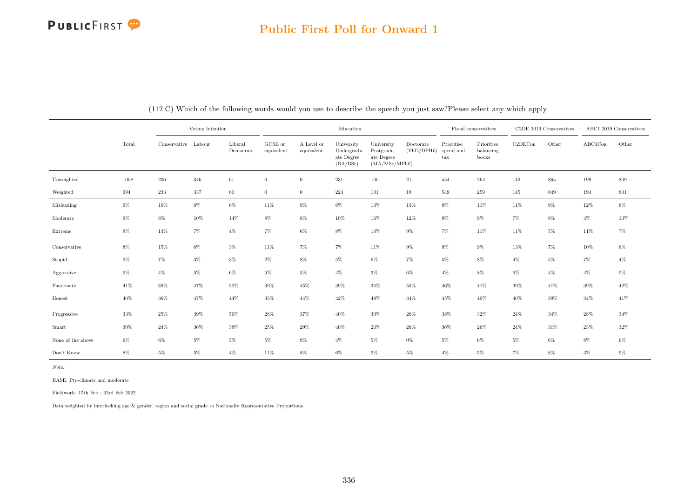### Public First Poll for Onward 1

|                                  |        |                     | Voting Intention |                      |                       |                          | Education                                           |                                                          |                          |                                                 | Fiscal conservatives             |         | $C2DE$ 2019 Conservatives |         | ABC1 2019 Conservatives |
|----------------------------------|--------|---------------------|------------------|----------------------|-----------------------|--------------------------|-----------------------------------------------------|----------------------------------------------------------|--------------------------|-------------------------------------------------|----------------------------------|---------|---------------------------|---------|-------------------------|
|                                  | Total  | Conservative Labour |                  | Liberal<br>Democrats | GCSE or<br>equivalent | A Level or<br>equivalent | University<br>Undergradu-<br>ate Degree<br>(BA/BSc) | University<br>Postgradu-<br>ate Degree<br>(MA/MSc/MPhil) | Doctorate<br>(PhD/DPHil) | Prioritise<br>spend and<br>$\operatorname{tax}$ | Prioritise<br>balancing<br>books | C2DECon | Other                     | ABC1Con | Other                   |
| Unweighted                       | 1008   | 236                 | 346              | 61                   | $\overline{0}$        | $\overline{0}$           | $231\,$                                             | 100                                                      | $21\,$                   | 554                                             | 264                              | 143     | 865                       | 199     | 809                     |
| Weighted                         | 994    | $233\,$             | 337              | 60                   | $\overline{0}$        | $\overline{0}$           | 224                                                 | 101                                                      | 19                       | 549                                             | 259                              | 145     | 849                       | 194     | 801                     |
| Misleading                       | $9\%$  | 10%                 | $6\%$            | $6\%$                | 11%                   | $9\%$                    | $6\%$                                               | $10\%$                                                   | $13\%$                   | $9\%$                                           | 11%                              | 11%     | $9\%$                     | $12\%$  | $8\%$                   |
| $\label{thm:mod} {\bf Moderate}$ | $9\%$  | $8\%$               | 10%              | 14%                  | $8\%$                 | $8\%$                    | $10\%$                                              | 16%                                                      | 12%                      | $9\%$                                           | $9\%$                            | $7\%$   | $9\%$                     | $4\%$   | $10\%$                  |
| Extreme                          | $8\%$  | 13%                 | $7\%$            | $4\%$                | $7\%$                 | $6\%$                    | $8\%$                                               | $10\%$                                                   | $9\%$                    | $7\%$                                           | 11%                              | 11%     | $7\%$                     | 11%     | $7\%$                   |
| Conservative                     | $8\%$  | 15%                 | $6\%$            | $3\%$                | 11%                   | $7\%$                    | $7\%$                                               | 11%                                                      | $9\%$                    | $9\%$                                           | $9\%$                            | 13%     | $7\%$                     | 10%     | $8\%$                   |
| Stupid                           | $5\%$  | $7\%$               | $3\%$            | $3\%$                | $2\%$                 | $8\%$                    | $5\%$                                               | $6\%$                                                    | $7\%$                    | $5\%$                                           | $8\%$                            | $4\%$   | $5\%$                     | $7\%$   | $4\%$                   |
| Aggressive                       | $5\%$  | $4\%$               | $5\%$            | $6\%$                | $5\%$                 | $5\%$                    | $4\%$                                               | $3\%$                                                    | $6\%$                    | $4\%$                                           | $8\%$                            | $6\%$   | $4\%$                     | $4\%$   | $5\%$                   |
| Passionate                       | 41%    | 39%                 | $47\%$           | $50\%$               | $39\%$                | 45%                      | $39\%$                                              | $35\%$                                                   | $53\%$                   | $46\%$                                          | $41\%$                           | $39\%$  | 41%                       | 39%     | $42\%$                  |
| Honest                           | $40\%$ | $36\%$              | 47%              | 44%                  | 35%                   | 44%                      | 42\%                                                | 48%                                                      | 34%                      | 45%                                             | $40\%$                           | 40%     | 39%                       | 34%     | 41%                     |
| Progressive                      | $33\%$ | 25%                 | $39\%$           | 56%                  | 28%                   | $37\%$                   | $40\%$                                              | $30\%$                                                   | 26%                      | 38%                                             | $32\%$                           | $24\%$  | 34%                       | 28%     | $34\%$                  |
| Smart                            | $30\%$ | $24\%$              | $36\%$           | 38%                  | 25%                   | 29%                      | $40\%$                                              | 26%                                                      | 26%                      | 36%                                             | 26%                              | $24\%$  | 31%                       | 23%     | $32\%$                  |
| None of the above                | $6\%$  | 6%                  | $5\%$            | $5\%$                | $5\%$                 | $9\%$                    | $4\%$                                               | $5\%$                                                    | $0\%$                    | $5\%$                                           | $6\%$                            | $5\%$   | 6%                        | $8\%$   | $6\%$                   |
| Don't Know                       | $8\%$  | $5\%$               | $5\%$            | $4\%$                | $11\%$                | $8\%$                    | $6\%$                                               | $5\%$                                                    | $5\%$                    | $4\%$                                           | $5\%$                            | $7\%$   | $8\%$                     | $3\%$   | $9\%$                   |

(112.C) Which of the following words would you use to describe the speech you just saw?Please select any which apply

Note:

BASE: Pro-climate and moderate

Fieldwork: 15th Feb - 23rd Feb 2022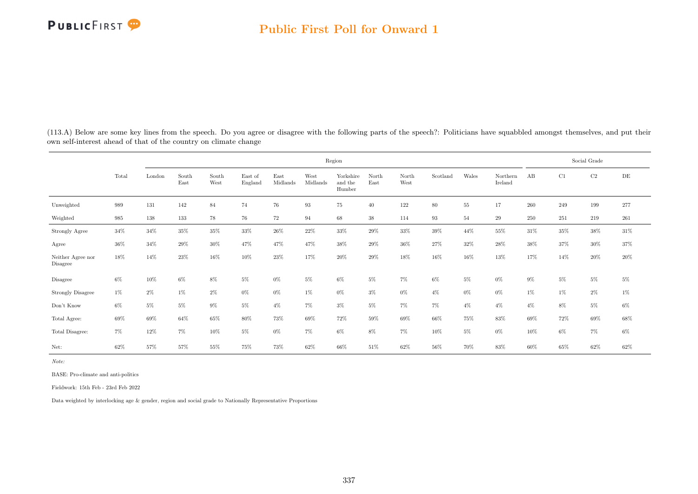

(113.A) Below are some key lines from the speech. Do you agree or disagree with the following parts of the speech?: Politicians have squabbled amongst themselves, and put their own self-interest ahead of that of the country on climate change

|                               |        |        |               |               |                    |                  |                  | Region                         |               |               |          |        |                     |         |        | Social Grade |         |
|-------------------------------|--------|--------|---------------|---------------|--------------------|------------------|------------------|--------------------------------|---------------|---------------|----------|--------|---------------------|---------|--------|--------------|---------|
|                               | Total  | London | South<br>East | South<br>West | East of<br>England | East<br>Midlands | West<br>Midlands | Yorkshire<br>and the<br>Humber | North<br>East | North<br>West | Scotland | Wales  | Northern<br>Ireland | AB      | C1     | $\rm C2$     | DE      |
| Unweighted                    | 989    | 131    | 142           | 84            | 74                 | 76               | 93               | 75                             | 40            | 122           | 80       | 55     | 17                  | 260     | 249    | 199          | $277\,$ |
| Weighted                      | 985    | 138    | 133           | 78            | 76                 | $72\,$           | 94               | 68                             | $38\,$        | 114           | 93       | 54     | 29                  | $250\,$ | 251    | 219          | $261\,$ |
| Strongly Agree                | $34\%$ | 34%    | $35\%$        | $35\%$        | $33\%$             | $26\%$           | $22\%$           | $33\%$                         | $29\%$        | $33\%$        | $39\%$   | $44\%$ | $55\%$              | 31\%    | $35\%$ | $38\%$       | $31\%$  |
| Agree                         | 36%    | 34%    | 29%           | 30%           | 47%                | 47%              | 47%              | 38%                            | 29%           | $36\%$        | 27%      | 32%    | 28%                 | 38%     | 37%    | 30%          | 37%     |
| Neither Agree nor<br>Disagree | 18%    | 14%    | 23%           | 16%           | 10%                | $23\%$           | 17%              | 20%                            | 29%           | 18%           | 16%      | 16%    | 13%                 | 17%     | 14%    | 20%          | $20\%$  |
| Disagree                      | $6\%$  | 10%    | $6\%$         | 8%            | $5\%$              | $0\%$            | $5\%$            | $6\%$                          | $5\%$         | $7\%$         | $6\%$    | 5%     | $0\%$               | $9\%$   | $5\%$  | $5\%$        | $5\%$   |
| <b>Strongly Disagree</b>      | $1\%$  | $2\%$  | $1\%$         | $2\%$         | $0\%$              | $0\%$            | $1\%$            | $0\%$                          | $3\%$         | $0\%$         | $4\%$    | $0\%$  | $0\%$               | $1\%$   | $1\%$  | $2\%$        | $1\%$   |
| Don't Know                    | $6\%$  | $5\%$  | $5\%$         | $9\%$         | $5\%$              | $4\%$            | $7\%$            | $3\%$                          | $5\%$         | $7\%$         | $7\%$    | $4\%$  | $4\%$               | $4\%$   | 8%     | 5%           | $6\%$   |
| Total Agree:                  | 69%    | 69%    | 64%           | 65%           | $80\%$             | $73\%$           | 69%              | $72\%$                         | 59%           | 69%           | 66%      | 75%    | 83%                 | 69%     | 72%    | 69%          | $68\%$  |
| Total Disagree:               | $7\%$  | $12\%$ | $7\%$         | $10\%$        | $5\%$              | $0\%$            | $7\%$            | $6\%$                          | 8%            | $7\%$         | $10\%$   | $5\%$  | $0\%$               | 10%     | $6\%$  | 7%           | $6\%$   |
| Net:                          | 62%    | 57%    | 57%           | 55%           | 75%                | $73\%$           | 62%              | $66\%$                         | $51\%$        | 62%           | $56\%$   | 70%    | 83%                 | 60%     | 65%    | 62%          | $62\%$  |

Note:

BASE: Pro-climate and anti-politics

Fieldwork: 15th Feb - 23rd Feb 2022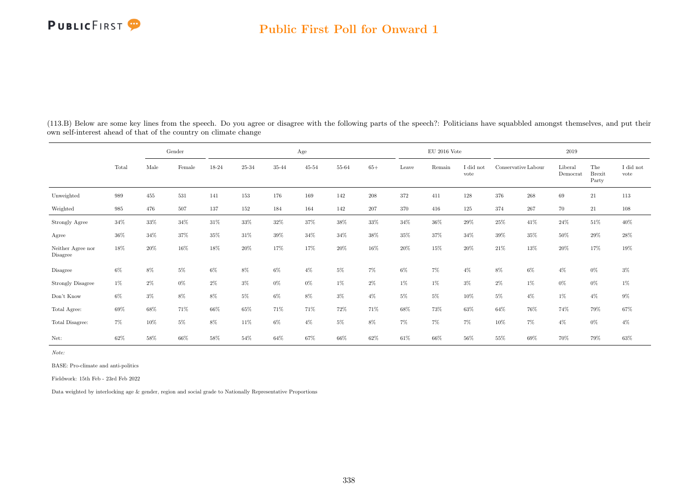### Public First Poll for Onward 1

| (113.B) Below are some key lines from the speech. Do you agree or disagree with the following parts of the speech?: Politicians have squabbled amongst themselves, and put their |  |  |
|----------------------------------------------------------------------------------------------------------------------------------------------------------------------------------|--|--|
| own self-interest ahead of that of the country on climate change                                                                                                                 |  |  |

|                               |        |         | Gender  |        |        |        | Age       |        |         |        | $\mathrm{EU}$ 2016 Vote |                   |                     |         | 2019                |                               |                               |
|-------------------------------|--------|---------|---------|--------|--------|--------|-----------|--------|---------|--------|-------------------------|-------------------|---------------------|---------|---------------------|-------------------------------|-------------------------------|
|                               | Total  | Male    | Female  | 18-24  | 25-34  | 35-44  | $45 - 54$ | 55-64  | $65+$   | Leave  | Remain                  | I did not<br>vote | Conservative Labour |         | Liberal<br>Democrat | The<br><b>Brexit</b><br>Party | $\rm I$ did $\rm not$<br>vote |
| Unweighted                    | 989    | $455\,$ | 531     | 141    | 153    | 176    | 169       | 142    | $\,208$ | 372    | 411                     | 128               | 376                 | $268\,$ | 69                  | 21                            | $113\,$                       |
| Weighted                      | 985    | 476     | $507\,$ | 137    | 152    | 184    | 164       | 142    | $207\,$ | 370    | 416                     | 125               | 374                 | 267     | 70                  | 21                            | 108                           |
| Strongly Agree                | $34\%$ | $33\%$  | $34\%$  | $31\%$ | $33\%$ | $32\%$ | $37\%$    | $38\%$ | $33\%$  | 34%    | $36\%$                  | $29\%$            | $25\%$              | 41\%    | $24\%$              | $51\%$                        | $40\%$                        |
| Agree                         | $36\%$ | 34\%    | $37\%$  | $35\%$ | $31\%$ | $39\%$ | $34\%$    | 34%    | 38%     | $35\%$ | 37%                     | 34%               | 39%                 | 35%     | 50%                 | $29\%$                        | $28\%$                        |
| Neither Agree nor<br>Disagree | 18%    | $20\%$  | 16%     | 18%    | 20%    | 17%    | 17%       | 20%    | 16%     | 20%    | 15%                     | 20%               | 21\%                | 13%     | 20%                 | 17%                           | 19%                           |
| Disagree                      | $6\%$  | $8\%$   | $5\%$   | $6\%$  | 8%     | $6\%$  | $4\%$     | $5\%$  | $7\%$   | 6%     | $7\%$                   | $4\%$             | 8%                  | $6\%$   | $4\%$               | $0\%$                         | $3\%$                         |
| <b>Strongly Disagree</b>      | $1\%$  | $2\%$   | $0\%$   | $2\%$  | $3\%$  | $0\%$  | $0\%$     | $1\%$  | $2\%$   | $1\%$  | $1\%$                   | $3\%$             | $2\%$               | $1\%$   | $0\%$               | $0\%$                         | $1\%$                         |
| Don't Know                    | $6\%$  | $3\%$   | $8\%$   | $8\%$  | $5\%$  | $6\%$  | $8\%$     | $3\%$  | $4\%$   | $5\%$  | $5\%$                   | 10%               | $5\%$               | $4\%$   | $1\%$               | $4\%$                         | $9\%$                         |
| Total Agree:                  | 69%    | 68%     | $71\%$  | $66\%$ | $65\%$ | 71%    | $71\%$    | $72\%$ | 71%     | 68%    | 73%                     | $63\%$            | $64\%$              | $76\%$  | 74%                 | $79\%$                        | $67\%$                        |
| Total Disagree:               | $7\%$  | 10%     | $5\%$   | $8\%$  | 11%    | $6\%$  | $4\%$     | $5\%$  | $8\%$   | $7\%$  | $7\%$                   | $7\%$             | 10%                 | $7\%$   | $4\%$               | $0\%$                         | $4\%$                         |
| Net:                          | 62%    | 58%     | 66%     | 58%    | 54%    | 64%    | 67%       | 66%    | 62%     | 61%    | 66%                     | 56%               | 55%                 | 69%     | 70%                 | 79%                           | $63\%$                        |

Note:

BASE: Pro-climate and anti-politics

Fieldwork: 15th Feb - 23rd Feb 2022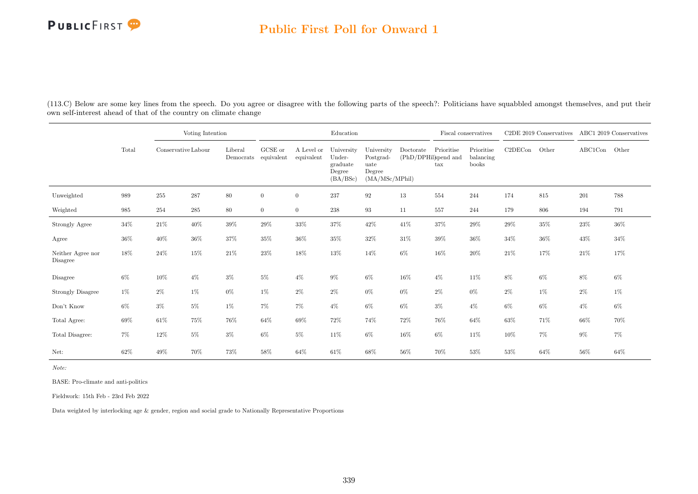### Public First Poll for Onward 1

(113.C) Below are some key lines from the speech. Do you agree or disagree with the following parts of the speech?: Politicians have squabbled amongst themselves, and put their own self-interest ahead of that of the country on climate change

|                               |        | Voting Intention    |         |                                 |                |                          | Education                                              |                                                             |           |                                                    | Fiscal conservatives             |         | C2DE 2019 Conservatives ABC1 2019 Conservatives |         |        |
|-------------------------------|--------|---------------------|---------|---------------------------------|----------------|--------------------------|--------------------------------------------------------|-------------------------------------------------------------|-----------|----------------------------------------------------|----------------------------------|---------|-------------------------------------------------|---------|--------|
|                               | Total  | Conservative Labour |         | Liberal<br>Democrats equivalent | GCSE or        | A Level or<br>equivalent | University<br>Under-<br>graduate<br>Degree<br>(BA/BSc) | University<br>Postgrad-<br>uate<br>Degree<br>(MA/MSc/MPhil) | Doctorate | Prioritise<br>(PhD/DPHil)spend and<br>$\text{tax}$ | Prioritise<br>balancing<br>books | C2DECon | Other                                           | ABC1Con | Other  |
| Unweighted                    | 989    | 255                 | 287     | $80\,$                          | $\overline{0}$ | $\overline{0}$           | 237                                                    | $\boldsymbol{92}$                                           | 13        | 554                                                | 244                              | 174     | 815                                             | 201     | 788    |
| Weighted                      | 985    | 254                 | $\,285$ | $80\,$                          | $\overline{0}$ | $\overline{0}$           | $238\,$                                                | 93                                                          | 11        | 557                                                | 244                              | 179     | 806                                             | 194     | 791    |
| Strongly Agree                | $34\%$ | $21\%$              | $40\%$  | $39\%$                          | $29\%$         | 33%                      | $37\%$                                                 | 42%                                                         | 41\%      | $37\%$                                             | $29\%$                           | 29%     | $35\%$                                          | $23\%$  | $36\%$ |
| Agree                         | 36%    | 40%                 | 36%     | 37%                             | 35%            | 36%                      | $35\%$                                                 | 32%                                                         | 31\%      | 39%                                                | 36%                              | $34\%$  | $36\%$                                          | 43%     | $34\%$ |
| Neither Agree nor<br>Disagree | 18%    | 24%                 | 15%     | 21\%                            | 23%            | 18%                      | 13%                                                    | 14%                                                         | $6\%$     | 16%                                                | 20%                              | $21\%$  | 17%                                             | 21\%    | 17%    |
| Disagree                      | 6%     | 10%                 | $4\%$   | $3\%$                           | $5\%$          | $4\%$                    | $9\%$                                                  | $6\%$                                                       | $16\%$    | $4\%$                                              | 11%                              | 8%      | $6\%$                                           | $8\%$   | 6%     |
| <b>Strongly Disagree</b>      | 1%     | $2\%$               | 1%      | $0\%$                           | $1\%$          | $2\%$                    | $2\%$                                                  | $0\%$                                                       | $0\%$     | $2\%$                                              | $0\%$                            | $2\%$   | 1%                                              | $2\%$   | $1\%$  |
| Don't Know                    | $6\%$  | $3\%$               | $5\%$   | $1\%$                           | $7\%$          | 7%                       | $4\%$                                                  | $6\%$                                                       | $6\%$     | $3\%$                                              | $4\%$                            | $6\%$   | 6%                                              | $4\%$   | $6\%$  |
| Total Agree:                  | 69%    | $61\%$              | 75%     | 76%                             | $64\%$         | 69%                      | 72%                                                    | 74%                                                         | 72%       | 76%                                                | 64%                              | $63\%$  | 71%                                             | 66%     | 70%    |
| Total Disagree:               | 7%     | $12\%$              | $5\%$   | $3\%$                           | $6\%$          | $5\%$                    | 11%                                                    | $6\%$                                                       | $16\%$    | $6\%$                                              | 11%                              | 10%     | $7\%$                                           | $9\%$   | $7\%$  |
| Net:                          | 62%    | 49%                 | 70%     | 73%                             | 58%            | 64%                      | 61\%                                                   | 68%                                                         | 56%       | 70%                                                | 53%                              | 53%     | 64%                                             | 56%     | 64%    |

Note:

BASE: Pro-climate and anti-politics

Fieldwork: 15th Feb - 23rd Feb 2022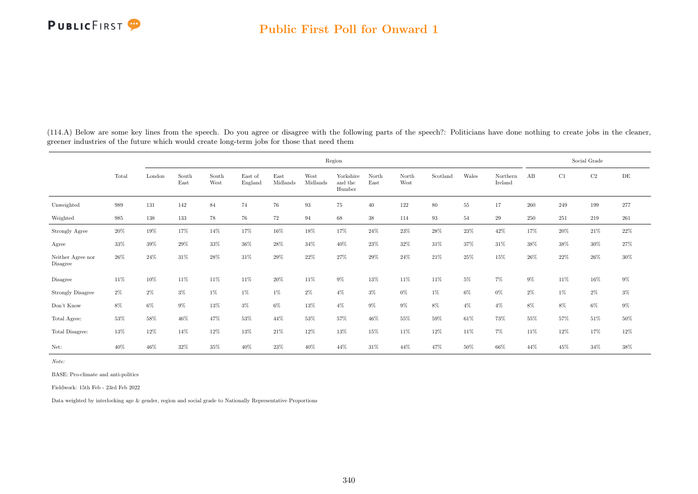|                               |       |        |               |               |                    |                  |                  | Region                         |               |               |          |        |                     |       |        | Social Grade |           |
|-------------------------------|-------|--------|---------------|---------------|--------------------|------------------|------------------|--------------------------------|---------------|---------------|----------|--------|---------------------|-------|--------|--------------|-----------|
|                               | Total | London | South<br>East | South<br>West | East of<br>England | East<br>Midlands | West<br>Midlands | Yorkshire<br>and the<br>Humber | North<br>East | North<br>West | Scotland | Wales  | Northern<br>Ireland | AB    | C1     | C2           | $\rm{DE}$ |
| Unweighted                    | 989   | 131    | 142           | 84            | 74                 | 76               | 93               | 75                             | 40            | 122           | 80       | $55\,$ | 17                  | 260   | 249    | 199          | 277       |
| Weighted                      | 985   | 138    | 133           | 78            | 76                 | 72               | 94               | 68                             | 38            | 114           | 93       | 54     | 29                  | 250   | 251    | 219          | 261       |
| Strongly Agree                | 20%   | 19%    | 17%           | 14%           | 17%                | 16%              | $18\%$           | 17%                            | 24%           | 23%           | 28%      | $23\%$ | 42%                 | 17%   | 20%    | $21\%$       | $22\%$    |
| Agree                         | 33%   | 39%    | 29%           | $33\%$        | $36\%$             | 28%              | 34%              | 40%                            | 23%           | 32%           | 31\%     | 37%    | 31%                 | 38%   | 38%    | $30\%$       | $27\%$    |
| Neither Agree nor<br>Disagree | 26%   | 24%    | 31%           | 28%           | 31\%               | 29%              | $22\%$           | 27%                            | $29\%$        | 24\%          | 21\%     | 25%    | 15%                 | 26%   | 22%    | $26\%$       | $30\%$    |
| Disagree                      | 11%   | 10%    | 11\%          | 11%           | $11\%$             | $20\%$           | $11\%$           | $9\%$                          | 13%           | 11%           | 11%      | $5\%$  | $7\%$               | $9\%$ | $11\%$ | 16%          | $9\%$     |
| Strongly Disagree             | $2\%$ | $2\%$  | $3\%$         | 1%            | 1%                 | 1%               | $2\%$            | $4\%$                          | $3\%$         | $0\%$         | $1\%$    | 6%     | $0\%$               | $2\%$ | $1\%$  | $2\%$        | $3\%$     |
| Don't Know                    | $8\%$ | $6\%$  | $9\%$         | 13%           | $3\%$              | 6%               | 13%              | $4\%$                          | $9\%$         | $9\%$         | $8\%$    | $4\%$  | $4\%$               | 8%    | 8%     | 6%           | $9\%$     |
| Total Agree:                  | 53%   | 58%    | 46%           | 47%           | 53%                | 44%              | 53%              | 57%                            | 46%           | 55%           | 59%      | 61\%   | 73%                 | 55%   | 57%    | 51%          | 50%       |
| Total Disagree:               | 13%   | 12%    | 14%           | 12%           | 13%                | 21%              | 12%              | 13%                            | 15%           | 11%           | 12%      | 11\%   | $7\%$               | 11\%  | 12%    | 17%          | $12\%$    |
| Net:                          | 40%   | 46%    | 32%           | 35%           | 40%                | 23%              | 40%              | 44%                            | 31%           | 44%           | 47%      | $50\%$ | 66%                 | 44%   | 45%    | 34%          | 38%       |

(114.A) Below are some key lines from the speech. Do you agree or disagree with the following parts of the speech?: Politicians have done nothing to create jobs in the cleaner, greener industries of the future which would create long-term jobs for those that need them

Note:

BASE: Pro-climate and anti-politics

Fieldwork: 15th Feb - 23rd Feb 2022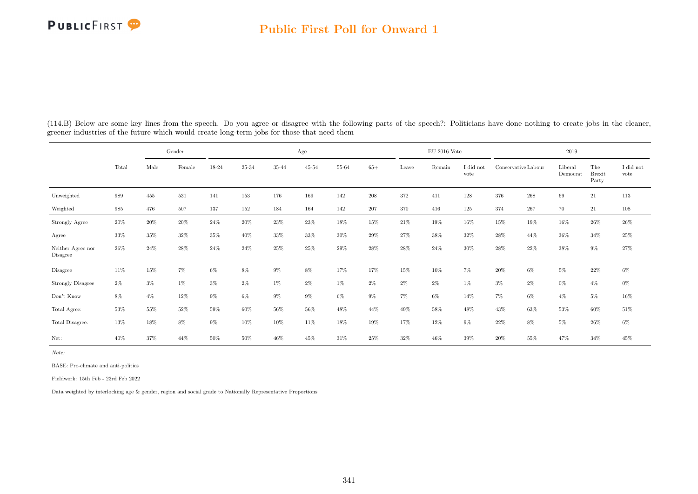#### Public First Poll for Onward 1

|                               |       |        | Gender |        |        |        | Age       |        |         |       | $\mathrm{EU}$ 2016 Vote |                   |                     |         | 2019                |                               |                               |
|-------------------------------|-------|--------|--------|--------|--------|--------|-----------|--------|---------|-------|-------------------------|-------------------|---------------------|---------|---------------------|-------------------------------|-------------------------------|
|                               | Total | Male   | Female | 18-24  | 25-34  | 35-44  | $45 - 54$ | 55-64  | $65+$   | Leave | Remain                  | I did not<br>vote | Conservative Labour |         | Liberal<br>Democrat | The<br><b>Brexit</b><br>Party | $\rm I$ did $\rm not$<br>vote |
| Unweighted                    | 989   | 455    | 531    | 141    | 153    | 176    | 169       | 142    | $\,208$ | 372   | 411                     | 128               | 376                 | $268\,$ | 69                  | $21\,$                        | $113\,$                       |
| Weighted                      | 985   | 476    | 507    | 137    | 152    | 184    | 164       | 142    | 207     | 370   | 416                     | 125               | 374                 | 267     | 70                  | 21                            | 108                           |
| Strongly Agree                | 20%   | $20\%$ | 20%    | 24%    | 20%    | 23%    | 23%       | 18%    | 15%     | 21%   | 19%                     | 16%               | 15%                 | 19%     | 16%                 | $26\%$                        | $26\%$                        |
| Agree                         | 33%   | $35\%$ | 32%    | 35%    | 40%    | 33%    | 33%       | 30%    | 29%     | 27%   | 38%                     | 32%               | 28\%                | 44%     | $36\%$              | 34%                           | $25\%$                        |
| Neither Agree nor<br>Disagree | 26%   | 24%    | 28%    | 24%    | 24%    | 25%    | 25%       | 29%    | 28%     | 28%   | 24%                     | 30%               | $28\%$              | 22%     | 38%                 | $9\%$                         | $27\%$                        |
| Disagree                      | 11%   | 15%    | $7\%$  | $6\%$  | $8\%$  | $9\%$  | $8\%$     | 17%    | 17%     | 15%   | 10%                     | 7%                | $20\%$              | $6\%$   | $5\%$               | 22%                           | $6\%$                         |
| <b>Strongly Disagree</b>      | $2\%$ | $3\%$  | 1%     | 3%     | $2\%$  | $1\%$  | $2\%$     | $1\%$  | $2\%$   | $2\%$ | $2\%$                   | $1\%$             | $3\%$               | $2\%$   | $0\%$               | $4\%$                         | $0\%$                         |
| Don't Know                    | $8\%$ | $4\%$  | 12%    | $9\%$  | 6%     | $9\%$  | $9\%$     | $6\%$  | $9\%$   | $7\%$ | $6\%$                   | 14%               | 7%                  | $6\%$   | $4\%$               | $5\%$                         | $16\%$                        |
| Total Agree:                  | 53%   | $55\%$ | $52\%$ | $59\%$ | $60\%$ | 56%    | 56%       | 48%    | 44\%    | 49%   | 58%                     | 48%               | 43%                 | 63%     | $53\%$              | 60%                           | $51\%$                        |
| Total Disagree:               | 13%   | 18%    | $8\%$  | $9\%$  | 10%    | $10\%$ | 11%       | $18\%$ | 19%     | 17%   | 12%                     | $9\%$             | $22\%$              | 8%      | $5\%$               | $26\%$                        | $6\%$                         |
| Net:                          | 40%   | 37%    | 44%    | 50%    | 50%    | 46%    | 45%       | 31\%   | 25%     | 32%   | 46%                     | $39\%$            | $20\%$              | 55%     | 47%                 | 34%                           | 45%                           |

(114.B) Below are some key lines from the speech. Do you agree or disagree with the following parts of the speech?: Politicians have done nothing to create jobs in the cleaner, greener industries of the future which would create long-term jobs for those that need them

Note:

BASE: Pro-climate and anti-politics

Fieldwork: 15th Feb - 23rd Feb 2022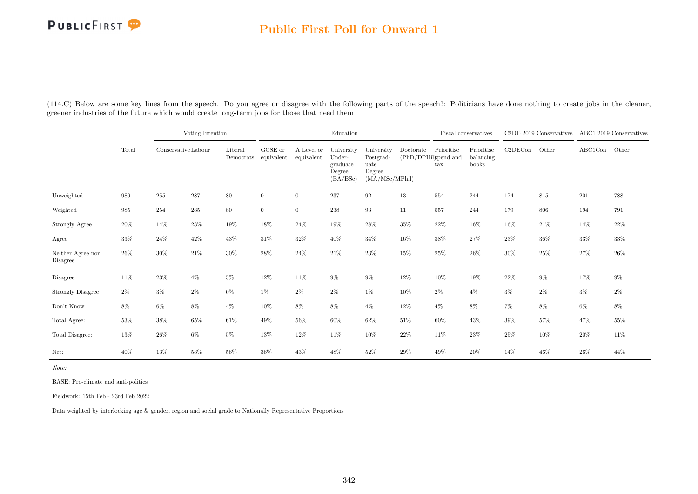### Public First Poll for Onward 1

|                               |        |                     | Voting Intention |                                 |                |                          | Education                                              |                                                             |           |                                                    | Fiscal conservatives             |         | C2DE 2019 Conservatives ABC1 2019 Conservatives |         |        |
|-------------------------------|--------|---------------------|------------------|---------------------------------|----------------|--------------------------|--------------------------------------------------------|-------------------------------------------------------------|-----------|----------------------------------------------------|----------------------------------|---------|-------------------------------------------------|---------|--------|
|                               | Total  | Conservative Labour |                  | Liberal<br>Democrats equivalent | GCSE or        | A Level or<br>equivalent | University<br>Under-<br>graduate<br>Degree<br>(BA/BSc) | University<br>Postgrad-<br>uate<br>Degree<br>(MA/MSc/MPhil) | Doctorate | Prioritise<br>(PhD/DPHil)spend and<br>$\text{tax}$ | Prioritise<br>balancing<br>books | C2DECon | Other                                           | ABC1Con | Other  |
| Unweighted                    | 989    | 255                 | $\bf 287$        | 80                              | $\mathbf{0}$   | $\overline{0}$           | $237\,$                                                | $\boldsymbol{92}$                                           | 13        | 554                                                | 244                              | 174     | 815                                             | 201     | 788    |
| Weighted                      | 985    | 254                 | $\bf 285$        | 80                              | $\overline{0}$ | $\overline{0}$           | $238\,$                                                | 93                                                          | 11        | 557                                                | 244                              | 179     | 806                                             | 194     | 791    |
| Strongly Agree                | 20%    | 14%                 | 23\%             | 19%                             | 18%            | 24%                      | 19%                                                    | 28%                                                         | 35%       | 22%                                                | 16%                              | 16%     | 21\%                                            | 14%     | 22\%   |
| Agree                         | 33%    | $24\%$              | $42\%$           | 43\%                            | $31\%$         | $32\%$                   | 40%                                                    | 34%                                                         | $16\%$    | $38\%$                                             | 27%                              | 23%     | $36\%$                                          | $33\%$  | $33\%$ |
| Neither Agree nor<br>Disagree | 26%    | $30\%$              | $21\%$           | $30\%$                          | 28%            | 24%                      | $21\%$                                                 | 23%                                                         | $15\%$    | $25\%$                                             | 26%                              | 30%     | $25\%$                                          | $27\%$  | $26\%$ |
| Disagree                      | 11\%   | 23%                 | $4\%$            | $5\%$                           | 12%            | 11\%                     | $9\%$                                                  | $9\%$                                                       | $12\%$    | 10%                                                | 19%                              | 22%     | $9\%$                                           | 17%     | $9\%$  |
| <b>Strongly Disagree</b>      | $2\%$  | $3\%$               | $2\%$            | $0\%$                           | $1\%$          | $2\%$                    | $2\%$                                                  | $1\%$                                                       | 10%       | $2\%$                                              | $4\%$                            | $3\%$   | $2\%$                                           | $3\%$   | $2\%$  |
| Don't Know                    | $8\%$  | $6\%$               | $8\%$            | $4\%$                           | 10%            | 8%                       | $8\%$                                                  | $4\%$                                                       | $12\%$    | $4\%$                                              | 8%                               | $7\%$   | 8%                                              | $6\%$   | $8\%$  |
| Total Agree:                  | 53%    | 38%                 | 65%              | 61\%                            | 49%            | 56%                      | 60%                                                    | 62%                                                         | $51\%$    | $60\%$                                             | 43%                              | $39\%$  | $57\%$                                          | 47%     | 55%    |
| Total Disagree:               | $13\%$ | 26%                 | $6\%$            | $5\%$                           | 13%            | 12%                      | $11\%$                                                 | 10%                                                         | 22%       | 11%                                                | 23%                              | 25%     | 10%                                             | 20%     | 11%    |
| Net:                          | 40%    | 13%                 | 58%              | 56%                             | 36%            | 43%                      | 48%                                                    | 52%                                                         | $29\%$    | 49%                                                | 20%                              | 14%     | 46%                                             | 26%     | 44%    |

(114.C) Below are some key lines from the speech. Do you agree or disagree with the following parts of the speech?: Politicians have done nothing to create jobs in the cleaner, greener industries of the future which would create long-term jobs for those that need them

Note:

BASE: Pro-climate and anti-politics

Fieldwork: 15th Feb - 23rd Feb 2022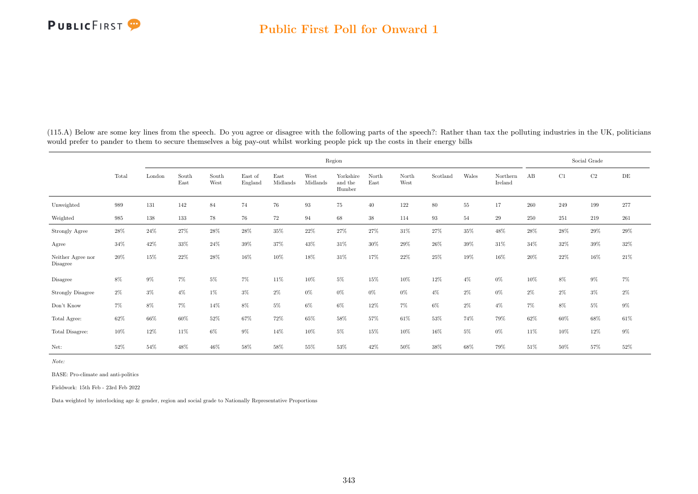|                               |        |        |               |               |                    |                  |                   | Region                         |               |               |          |        |                     |       |       | Social Grade |         |
|-------------------------------|--------|--------|---------------|---------------|--------------------|------------------|-------------------|--------------------------------|---------------|---------------|----------|--------|---------------------|-------|-------|--------------|---------|
|                               | Total  | London | South<br>East | South<br>West | East of<br>England | East<br>Midlands | West<br>Midlands  | Yorkshire<br>and the<br>Humber | North<br>East | North<br>West | Scotland | Wales  | Northern<br>Ireland | AB    | C1    | $\rm C2$     | DE      |
| Unweighted                    | 989    | 131    | 142           | 84            | 74                 | 76               | $\boldsymbol{93}$ | $75\,$                         | $40\,$        | 122           | 80       | $55\,$ | 17                  | 260   | 249   | 199          | $277\,$ |
| Weighted                      | 985    | 138    | 133           | 78            | 76                 | 72               | 94                | 68                             | $38\,$        | 114           | 93       | 54     | 29                  | 250   | 251   | 219          | $261\,$ |
| Strongly Agree                | $28\%$ | 24\%   | 27%           | $28\%$        | $28\%$             | $35\%$           | 22%               | 27%                            | 27%           | 31%           | 27%      | $35\%$ | 48%                 | 28\%  | 28%   | $29\%$       | $29\%$  |
| Agree                         | 34%    | 42\%   | 33%           | 24%           | $39\%$             | 37%              | 43%               | 31\%                           | 30%           | 29%           | 26%      | 39%    | 31\%                | 34%   | 32%   | 39%          | 32%     |
| Neither Agree nor<br>Disagree | 20%    | 15%    | 22%           | 28%           | 16%                | 10%              | 18%               | 31\%                           | 17%           | 22%           | $25\%$   | 19%    | 16%                 | 20%   | 22%   | 16%          | $21\%$  |
| Disagree                      | $8\%$  | $9\%$  | $7\%$         | 5%            | 7%                 | 11%              | 10%               | $5\%$                          | 15%           | 10%           | 12%      | $4\%$  | $0\%$               | 10%   | 8%    | 9%           | $7\%$   |
| Strongly Disagree             | $2\%$  | $3\%$  | $4\%$         | $1\%$         | $3\%$              | $2\%$            | $0\%$             | $0\%$                          | $0\%$         | $0\%$         | $4\%$    | 2%     | $0\%$               | $2\%$ | $2\%$ | $3\%$        | $2\%$   |
| Don't Know                    | $7\%$  | $8\%$  | $7\%$         | 14%           | $8\%$              | $5\%$            | $6\%$             | $6\%$                          | 12%           | $7\%$         | $6\%$    | 2%     | $4\%$               | $7\%$ | 8%    | 5%           | $9\%$   |
| Total Agree:                  | 62%    | 66%    | 60%           | 52%           | 67%                | 72%              | 65%               | 58%                            | 57%           | 61%           | 53%      | 74%    | 79%                 | 62%   | 60%   | 68%          | $61\%$  |
| Total Disagree:               | 10%    | 12%    | 11%           | 6%            | 9%                 | 14%              | 10%               | $5\%$                          | 15%           | 10%           | 16%      | $5\%$  | $0\%$               | 11%   | 10%   | 12%          | $9\%$   |
| Net:                          | 52%    | 54%    | 48%           | 46%           | 58%                | 58%              | 55%               | 53%                            | 42%           | $50\%$        | 38%      | 68%    | 79%                 | 51\%  | 50%   | 57%          | $52\%$  |

(115.A) Below are some key lines from the speech. Do you agree or disagree with the following parts of the speech?: Rather than tax the polluting industries in the UK, politicians would prefer to pander to them to secure themselves a big pay-out whilst working people pick up the costs in their energy bills

Note:

BASE: Pro-climate and anti-politics

Fieldwork: 15th Feb - 23rd Feb 2022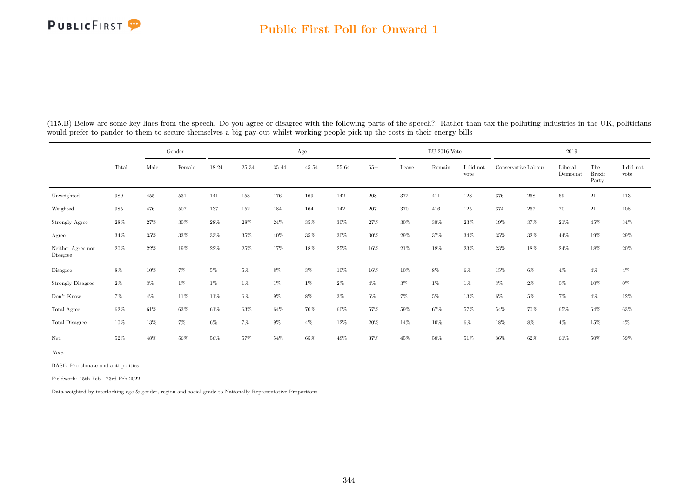### Public First Poll for Onward 1

|                               |        |       | Gender |        |        |       | Age       |        |         |        | $\rm EU$ 2016 Vote |                   |                     |         | 2019                |                               |                               |
|-------------------------------|--------|-------|--------|--------|--------|-------|-----------|--------|---------|--------|--------------------|-------------------|---------------------|---------|---------------------|-------------------------------|-------------------------------|
|                               | Total  | Male  | Female | 18-24  | 25-34  | 35-44 | $45 - 54$ | 55-64  | $65+$   | Leave  | Remain             | I did not<br>vote | Conservative Labour |         | Liberal<br>Democrat | The<br><b>Brexit</b><br>Party | $\rm I$ did $\rm not$<br>vote |
| Unweighted                    | 989    | 455   | 531    | 141    | 153    | 176   | 169       | 142    | $208\,$ | 372    | 411                | 128               | 376                 | $268\,$ | 69                  | 21                            | 113                           |
| Weighted                      | 985    | 476   | 507    | 137    | 152    | 184   | 164       | 142    | 207     | 370    | 416                | 125               | 374                 | 267     | 70                  | 21                            | 108                           |
| Strongly Agree                | 28%    | 27%   | 30%    | 28%    | 28%    | 24%   | 35%       | 30%    | 27%     | 30%    | 30%                | 23%               | 19%                 | 37%     | 21%                 | 45%                           | $34\%$                        |
| Agree                         | $34\%$ | 35%   | 33%    | 33%    | 35%    | 40%   | 35%       | 30%    | 30%     | 29%    | 37%                | 34%               | 35%                 | 32%     | 44%                 | 19%                           | $29\%$                        |
| Neither Agree nor<br>Disagree | 20%    | 22%   | 19%    | 22%    | 25%    | 17%   | 18%       | 25%    | 16%     | 21%    | 18%                | 23%               | 23%                 | 18%     | 24%                 | 18%                           | $20\%$                        |
| Disagree                      | $8\%$  | 10%   | $7\%$  | $5\%$  | $5\%$  | $8\%$ | $3\%$     | $10\%$ | $16\%$  | $10\%$ | $8\%$              | $6\%$             | 15%                 | $6\%$   | $4\%$               | $4\%$                         | $4\%$                         |
| <b>Strongly Disagree</b>      | $2\%$  | $3\%$ | 1%     | 1%     | $1\%$  | $1\%$ | $1\%$     | $2\%$  | $4\%$   | $3\%$  | $1\%$              | $1\%$             | $3\%$               | $2\%$   | $0\%$               | 10%                           | $0\%$                         |
| Don't Know                    | $7\%$  | $4\%$ | 11\%   | 11%    | $6\%$  | $9\%$ | 8%        | $3\%$  | $6\%$   | $7\%$  | $5\%$              | 13%               | $6\%$               | $5\%$   | $7\%$               | $4\%$                         | $12\%$                        |
| Total Agree:                  | 62%    | 61\%  | $63\%$ | $61\%$ | $63\%$ | 64%   | 70%       | 60%    | 57%     | 59%    | 67%                | 57%               | 54%                 | 70%     | 65%                 | $64\%$                        | $63\%$                        |
| Total Disagree:               | 10%    | 13%   | $7\%$  | $6\%$  | $7\%$  | $9\%$ | $4\%$     | $12\%$ | $20\%$  | 14%    | $10\%$             | $6\%$             | 18%                 | 8%      | $4\%$               | $15\%$                        | $4\%$                         |
| Net:                          | 52%    | 48%   | 56%    | 56%    | 57%    | 54%   | 65%       | 48%    | 37%     | 45%    | 58%                | 51\%              | $36\%$              | 62%     | 61%                 | 50%                           | 59%                           |

(115.B) Below are some key lines from the speech. Do you agree or disagree with the following parts of the speech?: Rather than tax the polluting industries in the UK, politicians would prefer to pander to them to secure themselves a big pay-out whilst working people pick up the costs in their energy bills

Note:

BASE: Pro-climate and anti-politics

Fieldwork: 15th Feb - 23rd Feb 2022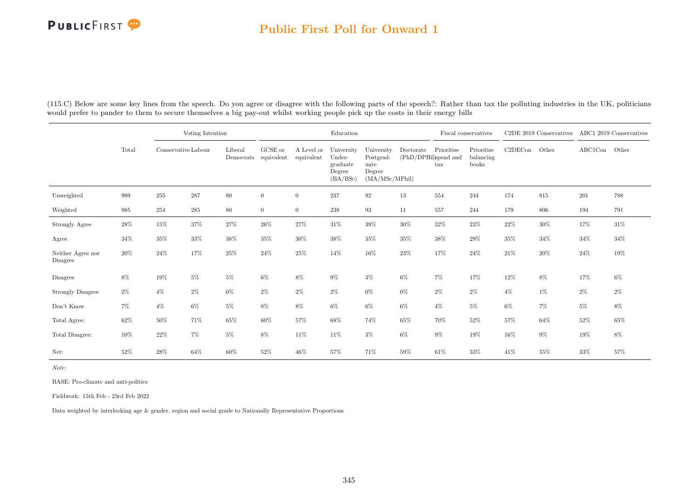### Public First Poll for Onward 1

|                               |        | Voting Intention |                     |                      |                       |                          | Education                                              |                                                              |                                   |                            | Fiscal conservatives             |         | C <sub>2</sub> DE 2019 Conservatives ABC1 2019 Conservatives |         |        |
|-------------------------------|--------|------------------|---------------------|----------------------|-----------------------|--------------------------|--------------------------------------------------------|--------------------------------------------------------------|-----------------------------------|----------------------------|----------------------------------|---------|--------------------------------------------------------------|---------|--------|
|                               | Total  |                  | Conservative Labour | Liberal<br>Democrats | GCSE or<br>equivalent | A Level or<br>equivalent | University<br>Under-<br>graduate<br>Degree<br>(BA/BSc) | University<br>Postgrad-<br>uate<br>Degree<br>(MA/MSc/MPhill) | Doctorate<br>(PhD/DPHil)spend and | Prioritise<br>$_{\rm tax}$ | Prioritise<br>balancing<br>books | C2DECon | Other                                                        | ABC1Con | Other  |
| Unweighted                    | 989    | $255\,$          | $\bf 287$           | 80                   | $\overline{0}$        | $\overline{0}$           | 237                                                    | 92                                                           | 13                                | 554                        | 244                              | 174     | 815                                                          | $201\,$ | 788    |
| Weighted                      | 985    | 254              | 285                 | 80                   | $\overline{0}$        | $\overline{0}$           | 238                                                    | 93                                                           | 11                                | 557                        | 244                              | 179     | 806                                                          | 194     | 791    |
| Strongly Agree                | 28\%   | 15%              | $37\%$              | $27\%$               | $26\%$                | 27%                      | $31\%$                                                 | $39\%$                                                       | $30\%$                            | $32\%$                     | $23\%$                           | 22%     | 30%                                                          | 17%     | $31\%$ |
| Agree                         | 34%    | $35\%$           | $33\%$              | $38\%$               | 35%                   | $30\%$                   | 38%                                                    | 35%                                                          | $35\%$                            | 38%                        | 29%                              | 35%     | $34\%$                                                       | 34%     | 34%    |
| Neither Agree nor<br>Disagree | 20%    | 24%              | 17%                 | 25%                  | $24\%$                | $25\%$                   | $14\%$                                                 | $16\%$                                                       | 23%                               | 17%                        | 24%                              | 21%     | $20\%$                                                       | 24%     | 19%    |
| Disagree                      | $8\%$  | 19%              | $5\%$               | $5\%$                | $6\%$                 | $8\%$                    | $9\%$                                                  | $3\%$                                                        | $6\%$                             | $7\%$                      | 17%                              | 12%     | $8\%$                                                        | 17%     | $6\%$  |
| <b>Strongly Disagree</b>      | $2\%$  | $4\%$            | $2\%$               | $0\%$                | $2\%$                 | $2\%$                    | $2\%$                                                  | $0\%$                                                        | $0\%$                             | $2\%$                      | $2\%$                            | $4\%$   | $1\%$                                                        | $2\%$   | $2\%$  |
| Don't Know                    | 7%     | $4\%$            | $6\%$               | $5\%$                | 8%                    | 8%                       | 6%                                                     | $6\%$                                                        | $6\%$                             | $4\%$                      | $5\%$                            | $6\%$   | $7\%$                                                        | $5\%$   | 8%     |
| Total Agree:                  | 62%    | 50%              | 71%                 | $65\%$               | $60\%$                | 57%                      | 68%                                                    | 74%                                                          | 65%                               | 70%                        | 52%                              | 57%     | 64%                                                          | 52%     | 65%    |
| Total Disagree:               | $10\%$ | 22%              | $7\%$               | $5\%$                | $8\%$                 | 11\%                     | 11%                                                    | $3\%$                                                        | $6\%$                             | $9\%$                      | 19%                              | 16%     | $9\%$                                                        | 19%     | $8\%$  |
| Net:                          | 52%    | 28%              | 64%                 | 60%                  | 52%                   | 46%                      | 57%                                                    | 71%                                                          | 59%                               | 61\%                       | 33%                              | 41\%    | 55%                                                          | 33%     | 57%    |

(115.C) Below are some key lines from the speech. Do you agree or disagree with the following parts of the speech?: Rather than tax the polluting industries in the UK, politicians would prefer to pander to them to secure themselves a big pay-out whilst working people pick up the costs in their energy bills

Note:

BASE: Pro-climate and anti-politics

Fieldwork: 15th Feb - 23rd Feb 2022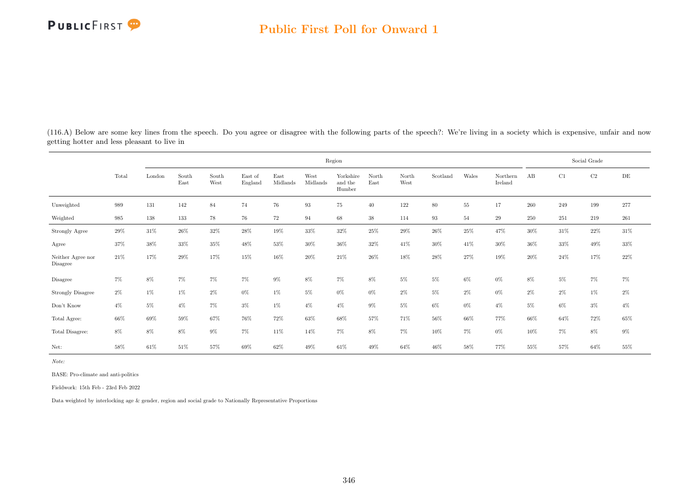(116.A) Below are some key lines from the speech. Do you agree or disagree with the following parts of the speech?: We're living in a society which is expensive, unfair and now getting hotter and less pleasant to live in

|                               |       |        |               |               |                    |                  |                   | Region                         |               |               |          |        |                     |       |       | Social Grade |         |
|-------------------------------|-------|--------|---------------|---------------|--------------------|------------------|-------------------|--------------------------------|---------------|---------------|----------|--------|---------------------|-------|-------|--------------|---------|
|                               | Total | London | South<br>East | South<br>West | East of<br>England | East<br>Midlands | West<br>Midlands  | Yorkshire<br>and the<br>Humber | North<br>East | North<br>West | Scotland | Wales  | Northern<br>Ireland | AB    | C1    | C2           | DE      |
| Unweighted                    | 989   | 131    | 142           | 84            | 74                 | 76               | $\boldsymbol{93}$ | 75                             | $40\,$        | 122           | 80       | $55\,$ | 17                  | 260   | 249   | 199          | $277\,$ |
| Weighted                      | 985   | 138    | 133           | 78            | 76                 | 72               | 94                | 68                             | 38            | 114           | 93       | 54     | 29                  | 250   | 251   | 219          | 261     |
| Strongly Agree                | 29%   | 31%    | $26\%$        | 32%           | $28\%$             | $19\%$           | 33%               | $32\%$                         | 25%           | $29\%$        | 26%      | $25\%$ | 47%                 | 30%   | 31\%  | $22\%$       | 31\%    |
| Agree                         | 37%   | $38\%$ | 33%           | 35%           | 48%                | 53%              | 30%               | 36%                            | 32%           | 41\%          | $30\%$   | 41\%   | 30%                 | 36%   | 33%   | 49%          | $33\%$  |
| Neither Agree nor<br>Disagree | 21\%  | 17%    | 29%           | 17%           | 15%                | 16%              | 20%               | 21\%                           | 26%           | 18%           | 28%      | 27%    | 19%                 | 20%   | 24%   | 17%          | 22%     |
| Disagree                      | $7\%$ | $8\%$  | $7\%$         | $7\%$         | $7\%$              | $9\%$            | $8\%$             | $7\%$                          | $8\%$         | $5\%$         | $5\%$    | $6\%$  | $0\%$               | 8%    | $5\%$ | $7\%$        | 7%      |
| <b>Strongly Disagree</b>      | $2\%$ | $1\%$  | $1\%$         | $2\%$         | $0\%$              | $1\%$            | $5\%$             | $0\%$                          | $0\%$         | $2\%$         | $5\%$    | $2\%$  | $0\%$               | $2\%$ | $2\%$ | $1\%$        | $2\%$   |
| Don't Know                    | $4\%$ | $5\%$  | $4\%$         | $7\%$         | $3\%$              | $1\%$            | $4\%$             | $4\%$                          | $9\%$         | $5\%$         | $6\%$    | $0\%$  | $4\%$               | $5\%$ | $6\%$ | $3\%$        | $4\%$   |
| Total Agree:                  | 66%   | 69%    | 59%           | 67%           | $76\%$             | $72\%$           | 63%               | 68%                            | 57%           | 71%           | $56\%$   | 66%    | 77%                 | 66%   | 64%   | 72%          | 65%     |
| Total Disagree:               | $8\%$ | 8%     | 8%            | 9%            | 7%                 | 11\%             | 14%               | $7\%$                          | 8%            | 7%            | 10%      | $7\%$  | $0\%$               | 10%   | $7\%$ | 8%           | $9\%$   |
| Net:                          | 58%   | 61%    | 51%           | 57%           | 69%                | 62%              | 49%               | 61\%                           | 49%           | 64%           | 46%      | 58%    | 77%                 | 55%   | 57%   | 64%          | 55%     |

Note:

BASE: Pro-climate and anti-politics

Fieldwork: 15th Feb - 23rd Feb 2022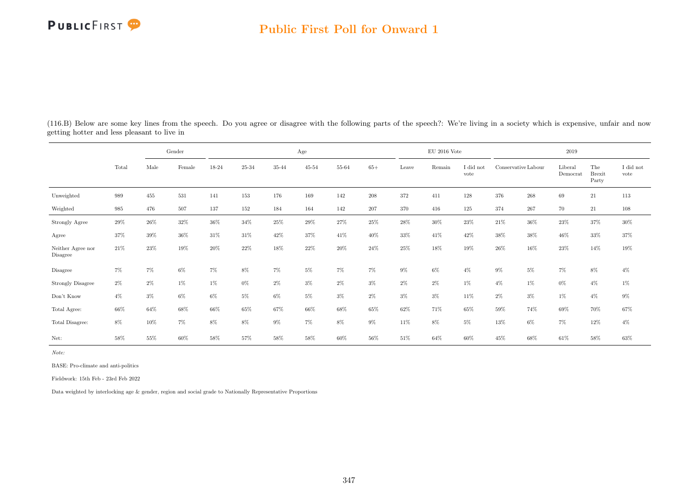### Public First Poll for Onward 1

|                               |        |        | Gender |        |           |        | Age       |        |         |        | $EU$ 2016 Vote |                   |                     |         | 2019                |                               |                               |
|-------------------------------|--------|--------|--------|--------|-----------|--------|-----------|--------|---------|--------|----------------|-------------------|---------------------|---------|---------------------|-------------------------------|-------------------------------|
|                               | Total  | Male   | Female | 18-24  | $25 - 34$ | 35-44  | $45 - 54$ | 55-64  | $65+$   | Leave  | Remain         | I did not<br>vote | Conservative Labour |         | Liberal<br>Democrat | The<br><b>Brexit</b><br>Party | $\rm I$ did $\rm not$<br>vote |
| Unweighted                    | 989    | 455    | 531    | 141    | $153\,$   | 176    | 169       | 142    | $208\,$ | 372    | 411            | 128               | 376                 | $268\,$ | 69                  | $21\,$                        | 113                           |
| Weighted                      | 985    | 476    | 507    | 137    | 152       | 184    | 164       | 142    | 207     | 370    | 416            | 125               | 374                 | 267     | 70                  | 21                            | 108                           |
| Strongly Agree                | $29\%$ | $26\%$ | $32\%$ | $36\%$ | $34\%$    | $25\%$ | $29\%$    | $27\%$ | $25\%$  | $28\%$ | $30\%$         | $23\%$            | 21%                 | $36\%$  | 23%                 | 37%                           | $30\%$                        |
| Agree                         | 37%    | 39%    | $36\%$ | 31%    | 31\%      | 42%    | 37%       | 41\%   | 40%     | 33%    | 41\%           | 42%               | 38%                 | 38%     | 46%                 | 33%                           | $37\%$                        |
| Neither Agree nor<br>Disagree | 21%    | 23%    | 19%    | $20\%$ | 22%       | 18%    | $22\%$    | $20\%$ | $24\%$  | $25\%$ | 18%            | 19%               | 26%                 | $16\%$  | 23%                 | 14%                           | $19\%$                        |
| Disagree                      | $7\%$  | $7\%$  | $6\%$  | $7\%$  | 8%        | $7\%$  | $5\%$     | $7\%$  | $7\%$   | $9\%$  | $6\%$          | $4\%$             | 9%                  | $5\%$   | $7\%$               | $8\%$                         | $4\%$                         |
| <b>Strongly Disagree</b>      | $2\%$  | $2\%$  | $1\%$  | $1\%$  | $0\%$     | $2\%$  | $3\%$     | $2\%$  | $3\%$   | $2\%$  | $2\%$          | $1\%$             | $4\%$               | $1\%$   | $0\%$               | $4\%$                         | $1\%$                         |
| Don't Know                    | $4\%$  | $3\%$  | $6\%$  | $6\%$  | $5\%$     | $6\%$  | $5\%$     | $3\%$  | $2\%$   | $3\%$  | $3\%$          | 11%               | $2\%$               | $3\%$   | $1\%$               | $4\%$                         | $9\%$                         |
| Total Agree:                  | 66%    | 64%    | 68%    | $66\%$ | 65%       | 67%    | 66%       | 68%    | 65%     | 62%    | 71%            | 65%               | 59%                 | 74%     | 69%                 | 70%                           | 67%                           |
| Total Disagree:               | $8\%$  | 10%    | $7\%$  | 8%     | 8%        | $9\%$  | 7%        | 8%     | 9%      | 11%    | $8\%$          | $5\%$             | 13%                 | $6\%$   | $7\%$               | 12%                           | $4\%$                         |
| Net:                          | 58%    | 55%    | $60\%$ | $58\%$ | $57\%$    | $58\%$ | $58\%$    | $60\%$ | $56\%$  | $51\%$ | $64\%$         | $60\%$            | $45\%$              | $68\%$  | $61\%$              | 58%                           | $63\%$                        |

(116.B) Below are some key lines from the speech. Do you agree or disagree with the following parts of the speech?: We're living in a society which is expensive, unfair and now getting hotter and less pleasant to live in

Note:

BASE: Pro-climate and anti-politics

Fieldwork: 15th Feb - 23rd Feb 2022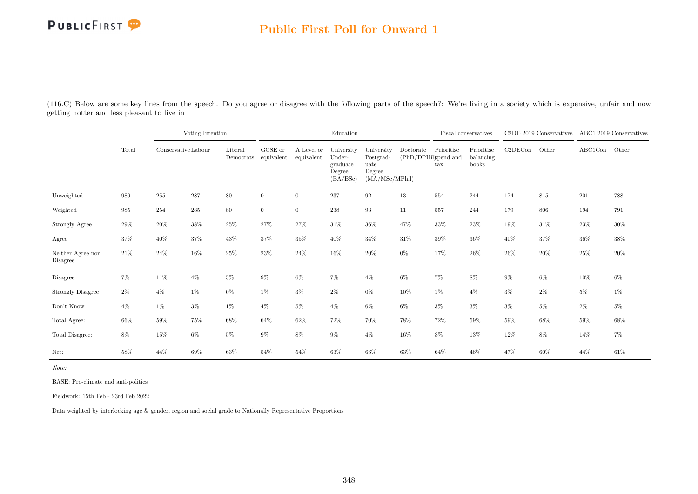### Public First Poll for Onward 1

(116.C) Below are some key lines from the speech. Do you agree or disagree with the following parts of the speech?: We're living in a society which is expensive, unfair and now getting hotter and less pleasant to live in

|                               |        |                     | Voting Intention |         |                                 |                          | Education                                              |                                                             |                                   |                   | Fiscal conservatives             |         | C2DE 2019 Conservatives ABC1 2019 Conservatives |         |        |
|-------------------------------|--------|---------------------|------------------|---------|---------------------------------|--------------------------|--------------------------------------------------------|-------------------------------------------------------------|-----------------------------------|-------------------|----------------------------------|---------|-------------------------------------------------|---------|--------|
|                               | Total  | Conservative Labour |                  | Liberal | GCSE or<br>Democrats equivalent | A Level or<br>equivalent | University<br>Under-<br>graduate<br>Degree<br>(BA/BSc) | University<br>Postgrad-<br>uate<br>Degree<br>(MA/MSc/MPhil) | Doctorate<br>(PhD/DPHil)spend and | Prioritise<br>tax | Prioritise<br>balancing<br>books | C2DECon | Other                                           | ABC1Con | Other  |
| Unweighted                    | 989    | 255                 | 287              | $80\,$  | $\overline{0}$                  | $\overline{0}$           | 237                                                    | $\boldsymbol{92}$                                           | 13                                | 554               | 244                              | 174     | $815\,$                                         | $201\,$ | 788    |
| Weighted                      | 985    | 254                 | $285\,$          | $80\,$  | $\overline{0}$                  | $\overline{0}$           | 238                                                    | 93                                                          | 11                                | 557               | 244                              | 179     | 806                                             | 194     | 791    |
| Strongly Agree                | 29%    | $20\%$              | $38\%$           | $25\%$  | 27%                             | $27\%$                   | $31\%$                                                 | $36\%$                                                      | 47%                               | $33\%$            | $23\%$                           | 19%     | $31\%$                                          | $23\%$  | $30\%$ |
| Agree                         | 37%    | 40%                 | 37%              | 43%     | 37%                             | $35\%$                   | 40%                                                    | $34\%$                                                      | 31\%                              | $39\%$            | 36%                              | 40%     | 37%                                             | 36%     | 38%    |
| Neither Agree nor<br>Disagree | $21\%$ | 24%                 | 16%              | 25%     | 23%                             | 24%                      | 16%                                                    | 20%                                                         | $0\%$                             | 17%               | 26%                              | 26%     | $20\%$                                          | 25%     | 20%    |
| Disagree                      | 7%     | 11\%                | $4\%$            | $5\%$   | $9\%$                           | $6\%$                    | 7%                                                     | $4\%$                                                       | $6\%$                             | $7\%$             | 8%                               | $9\%$   | $6\%$                                           | 10%     | $6\%$  |
| <b>Strongly Disagree</b>      | $2\%$  | $4\%$               | $1\%$            | $0\%$   | $1\%$                           | $3\%$                    | $2\%$                                                  | $0\%$                                                       | 10%                               | $1\%$             | $4\%$                            | $3\%$   | $2\%$                                           | $5\%$   | 1%     |
| Don't Know                    | $4\%$  | $1\%$               | $3\%$            | $1\%$   | $4\%$                           | $5\%$                    | $4\%$                                                  | $6\%$                                                       | $6\%$                             | $3\%$             | $3\%$                            | $3\%$   | $5\%$                                           | $2\%$   | $5\%$  |
| Total Agree:                  | 66\%   | 59%                 | $75\%$           | 68%     | 64%                             | 62%                      | 72%                                                    | 70%                                                         | 78%                               | 72%               | 59%                              | 59%     | 68%                                             | 59%     | 68%    |
| Total Disagree:               | $8\%$  | $15\%$              | $6\%$            | $5\%$   | $9\%$                           | 8%                       | $9\%$                                                  | $4\%$                                                       | $16\%$                            | $8\%$             | 13%                              | 12%     | $8\%$                                           | 14%     | $7\%$  |
| Net:                          | 58%    | 44\%                | 69%              | 63%     | 54%                             | 54%                      | 63%                                                    | 66%                                                         | 63%                               | 64%               | 46%                              | 47%     | 60%                                             | 44%     | 61%    |

Note:

BASE: Pro-climate and anti-politics

Fieldwork: 15th Feb - 23rd Feb 2022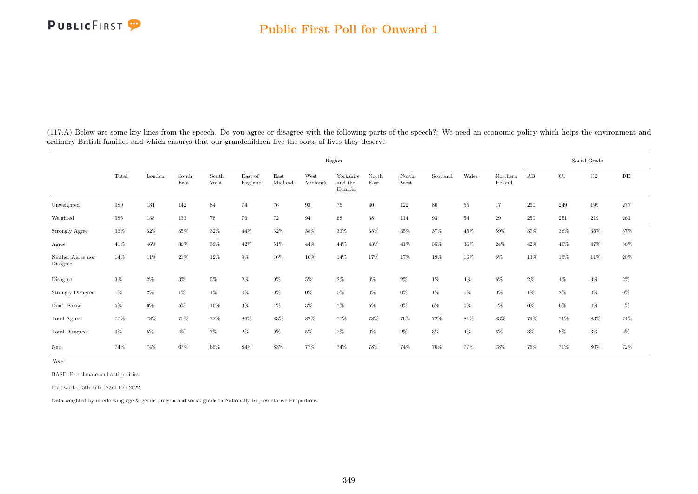|                                     |       |        |               |               |                    |                  |                  | Region                         |               |               |          |        |                     |         |        | Social Grade |           |
|-------------------------------------|-------|--------|---------------|---------------|--------------------|------------------|------------------|--------------------------------|---------------|---------------|----------|--------|---------------------|---------|--------|--------------|-----------|
|                                     | Total | London | South<br>East | South<br>West | East of<br>England | East<br>Midlands | West<br>Midlands | Yorkshire<br>and the<br>Humber | North<br>East | North<br>West | Scotland | Wales  | Northern<br>Ireland | AB      | C1     | C2           | $\rm{DE}$ |
| Unweighted                          | 989   | 131    | 142           | 84            | 74                 | 76               | 93               | 75                             | 40            | 122           | 80       | $55\,$ | 17                  | $260\,$ | 249    | 199          | 277       |
| Weighted                            | 985   | 138    | 133           | 78            | 76                 | 72               | 94               | 68                             | $38\,$        | 114           | 93       | 54     | 29                  | $250\,$ | 251    | 219          | 261       |
| Strongly Agree                      | 36%   | 32%    | $35\%$        | $32\%$        | $44\%$             | $32\%$           | $38\%$           | 33%                            | $35\%$        | 35%           | 37%      | $45\%$ | $59\%$              | 37%     | $36\%$ | $35\%$       | $37\%$    |
| Agree                               | 41%   | 46%    | 36%           | $39\%$        | $42\%$             | 51\%             | 44%              | 44%                            | 43%           | 41\%          | 35%      | 36%    | 24\%                | 42%     | 40%    | 47%          | $36\%$    |
| Neither Agree nor<br>Disagree       | 14%   | 11%    | 21\%          | $12\%$        | $9\%$              | 16%              | 10%              | 14%                            | 17%           | 17%           | 19%      | 16%    | $6\%$               | 13%     | 13%    | 11%          | $20\%$    |
| Disagree                            | $3\%$ | $2\%$  | $3\%$         | $5\%$         | $2\%$              | $0\%$            | $5\%$            | $2\%$                          | $0\%$         | $2\%$         | $1\%$    | $4\%$  | $6\%$               | $2\%$   | $4\%$  | $3\%$        | $2\%$     |
| Strongly Disagree                   | $1\%$ | $2\%$  | $1\%$         | $1\%$         | $0\%$              | $0\%$            | $0\%$            | $0\%$                          | $0\%$         | $0\%$         | $1\%$    | $0\%$  | $0\%$               | $1\%$   | $2\%$  | $0\%$        | $0\%$     |
| $\mathrm{Don't}$<br>$\mathrm{Know}$ | $5\%$ | $6\%$  | $5\%$         | 10%           | $3\%$              | $1\%$            | $3\%$            | $7\%$                          | $5\%$         | $6\%$         | $6\%$    | $0\%$  | $4\%$               | $6\%$   | 6%     | $4\%$        | $4\%$     |
| Total Agree:                        | 77%   | 78%    | 70%           | $72\%$        | 86%                | 83%              | 82%              | 77%                            | 78%           | 76%           | 72%      | 81\%   | 83%                 | 79%     | 76%    | $83\%$       | $74\%$    |
| Total Disagree:                     | $3\%$ | $5\%$  | $4\%$         | $7\%$         | $2\%$              | $0\%$            | $5\%$            | $2\%$                          | $0\%$         | $2\%$         | $3\%$    | $4\%$  | $6\%$               | $3\%$   | 6%     | $3\%$        | $2\%$     |
| Net:                                | 74%   | 74%    | 67%           | 65%           | 84%                | 83%              | 77%              | 74%                            | 78%           | 74%           | 70%      | 77%    | 78%                 | 76%     | 70%    | 80%          | 72%       |

(117.A) Below are some key lines from the speech. Do you agree or disagree with the following parts of the speech?: We need an economic policy which helps the environment and ordinary British families and which ensures that our grandchildren live the sorts of lives they deserve

Note:

BASE: Pro-climate and anti-politics

Fieldwork: 15th Feb - 23rd Feb 2022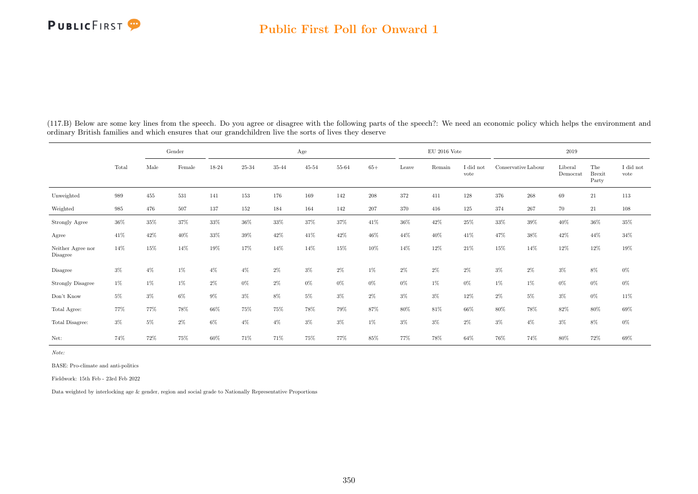#### Public First Poll for Onward 1

|                               |        |       | Gender |        |        |       | Age       |        |         |        | $EU$ 2016 Vote |                   |                     |         | 2019                |                               |                               |
|-------------------------------|--------|-------|--------|--------|--------|-------|-----------|--------|---------|--------|----------------|-------------------|---------------------|---------|---------------------|-------------------------------|-------------------------------|
|                               | Total  | Male  | Female | 18-24  | 25-34  | 35-44 | $45 - 54$ | 55-64  | $65+$   | Leave  | Remain         | I did not<br>vote | Conservative Labour |         | Liberal<br>Democrat | The<br><b>Brexit</b><br>Party | $\rm I$ did $\rm not$<br>vote |
| Unweighted                    | 989    | 455   | 531    | 141    | 153    | 176   | 169       | 142    | $208\,$ | 372    | 411            | 128               | 376                 | $268\,$ | 69                  | $21\,$                        | $113\,$                       |
| Weighted                      | 985    | 476   | 507    | 137    | 152    | 184   | 164       | 142    | $207\,$ | 370    | 416            | 125               | 374                 | 267     | 70                  | 21                            | 108                           |
| Strongly Agree                | $36\%$ | 35%   | 37%    | $33\%$ | $36\%$ | 33%   | $37\%$    | $37\%$ | $41\%$  | $36\%$ | 42%            | $25\%$            | $33\%$              | $39\%$  | $40\%$              | $36\%$                        | $35\%$                        |
| Agree                         | 41%    | 42%   | $40\%$ | $33\%$ | $39\%$ | 42%   | 41\%      | 42%    | 46%     | 44%    | 40%            | 41\%              | 47%                 | 38\%    | 42%                 | 44%                           | $34\%$                        |
| Neither Agree nor<br>Disagree | 14%    | 15%   | 14%    | 19%    | 17%    | 14%   | 14%       | 15%    | 10%     | 14%    | 12%            | 21\%              | 15%                 | 14%     | 12%                 | 12%                           | $19\%$                        |
| Disagree                      | $3\%$  | $4\%$ | 1%     | 4%     | $4\%$  | $2\%$ | $3\%$     | $2\%$  | 1%      | $2\%$  | $2\%$          | $2\%$             | $3\%$               | $2\%$   | $3\%$               | 8%                            | $0\%$                         |
| <b>Strongly Disagree</b>      | $1\%$  | $1\%$ | 1%     | 2%     | $0\%$  | $2\%$ | $0\%$     | $0\%$  | $0\%$   | $0\%$  | $1\%$          | $0\%$             | 1%                  | $1\%$   | $0\%$               | $0\%$                         | $0\%$                         |
| Don't Know                    | $5\%$  | $3\%$ | $6\%$  | 9%     | $3\%$  | 8%    | $5\%$     | $3\%$  | $2\%$   | $3\%$  | $3\%$          | 12%               | 2%                  | $5\%$   | $3\%$               | $0\%$                         | 11%                           |
| Total Agree:                  | 77%    | 77%   | 78%    | 66%    | 75%    | 75%   | 78%       | 79%    | 87%     | 80%    | 81\%           | 66%               | 80%                 | 78%     | 82%                 | 80%                           | 69%                           |
| Total Disagree:               | $3\%$  | $5\%$ | $2\%$  | 6%     | $4\%$  | $4\%$ | $3\%$     | $3\%$  | $1\%$   | $3\%$  | $3\%$          | $2\%$             | $3\%$               | $4\%$   | $3\%$               | 8%                            | $0\%$                         |
| Net:                          | 74%    | 72%   | 75%    | 60%    | 71%    | 71%   | 75%       | 77%    | 85%     | 77%    | 78%            | 64%               | 76%                 | 74%     | 80%                 | 72%                           | 69%                           |

(117.B) Below are some key lines from the speech. Do you agree or disagree with the following parts of the speech?: We need an economic policy which helps the environment and ordinary British families and which ensures that our grandchildren live the sorts of lives they deserve

Note:

BASE: Pro-climate and anti-politics

Fieldwork: 15th Feb - 23rd Feb 2022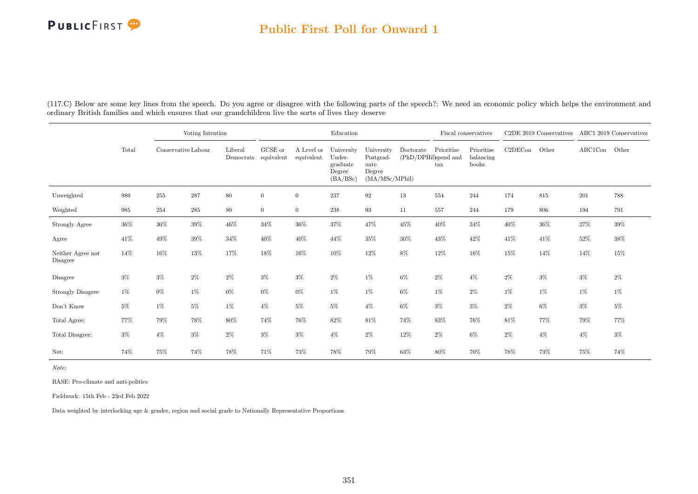### Public First Poll for Onward 1

|                               |       |                     | Voting Intention |         |                                 |                          | Education                                              |                                                             |                                   |                   | Fiscal conservatives             |         | C2DE 2019 Conservatives |         | ABC1 2019 Conservatives |
|-------------------------------|-------|---------------------|------------------|---------|---------------------------------|--------------------------|--------------------------------------------------------|-------------------------------------------------------------|-----------------------------------|-------------------|----------------------------------|---------|-------------------------|---------|-------------------------|
|                               | Total | Conservative Labour |                  | Liberal | GCSE or<br>Democrats equivalent | A Level or<br>equivalent | University<br>Under-<br>graduate<br>Degree<br>(BA/BSc) | University<br>Postgrad-<br>uate<br>Degree<br>(MA/MSc/MPhil) | Doctorate<br>(PhD/DPHil)spend and | Prioritise<br>tax | Prioritise<br>balancing<br>books | C2DECon | Other                   | ABC1Con | Other                   |
| Unweighted                    | 989   | 255                 | $\bf 287$        | $80\,$  | $\overline{0}$                  | $\overline{0}$           | 237                                                    | $\boldsymbol{92}$                                           | 13                                | 554               | 244                              | 174     | $815\,$                 | 201     | 788                     |
| Weighted                      | 985   | 254                 | $\,285$          | 80      | $\overline{0}$                  | $\overline{0}$           | $238\,$                                                | 93                                                          | 11                                | 557               | 244                              | 179     | 806                     | 194     | 791                     |
| Strongly Agree                | 36%   | 30%                 | $39\%$           | $46\%$  | $34\%$                          | $36\%$                   | $37\%$                                                 | 47%                                                         | $45\%$                            | $40\%$            | $34\%$                           | 40%     | $36\%$                  | $27\%$  | $39\%$                  |
| Agree                         | 41%   | 49%                 | $39\%$           | $34\%$  | 40%                             | 40%                      | 44%                                                    | 35%                                                         | $30\%$                            | 43%               | $42\%$                           | $41\%$  | 41\%                    | $52\%$  | 38%                     |
| Neither Agree nor<br>Disagree | 14%   | 16%                 | 13%              | 17%     | 18%                             | 16%                      | 10%                                                    | 12%                                                         | 8%                                | 12%               | 16%                              | 15%     | 14%                     | 14%     | 15%                     |
| Disagree                      | $3\%$ | $3\%$               | $2\%$            | $2\%$   | $3\%$                           | $3\%$                    | $2\%$                                                  | $1\%$                                                       | $6\%$                             | $2\%$             | $4\%$                            | $2\%$   | $3\%$                   | $3\%$   | $2\%$                   |
| <b>Strongly Disagree</b>      | $1\%$ | $0\%$               | 1%               | $0\%$   | $0\%$                           | $0\%$                    | 1%                                                     | $1\%$                                                       | $6\%$                             | 1%                | $2\%$                            | $1\%$   | $1\%$                   | $1\%$   | $1\%$                   |
| Don't Know                    | $5\%$ | 1%                  | $5\%$            | $1\%$   | $4\%$                           | $5\%$                    | 5%                                                     | $4\%$                                                       | $6\%$                             | $3\%$             | $3\%$                            | $2\%$   | $6\%$                   | $3\%$   | $5\%$                   |
| Total Agree:                  | 77%   | 79%                 | 78%              | $80\%$  | 74%                             | 76%                      | 82%                                                    | $81\%$                                                      | 74%                               | $83\%$            | 76%                              | 81\%    | 77%                     | 79%     | 77%                     |
| Total Disagree:               | $3\%$ | $4\%$               | $3\%$            | $2\%$   | $3\%$                           | $3\%$                    | $4\%$                                                  | $2\%$                                                       | 12%                               | $2\%$             | $6\%$                            | $2\%$   | $4\%$                   | $4\%$   | $3\%$                   |
| Net:                          | 74%   | 75%                 | 74%              | 78%     | 71%                             | 73%                      | 78%                                                    | 79%                                                         | 63%                               | 80%               | 70%                              | 78%     | 73%                     | 75%     | 74%                     |

(117.C) Below are some key lines from the speech. Do you agree or disagree with the following parts of the speech?: We need an economic policy which helps the environment and ordinary British families and which ensures that our grandchildren live the sorts of lives they deserve

Note:

BASE: Pro-climate and anti-politics

Fieldwork: 15th Feb - 23rd Feb 2022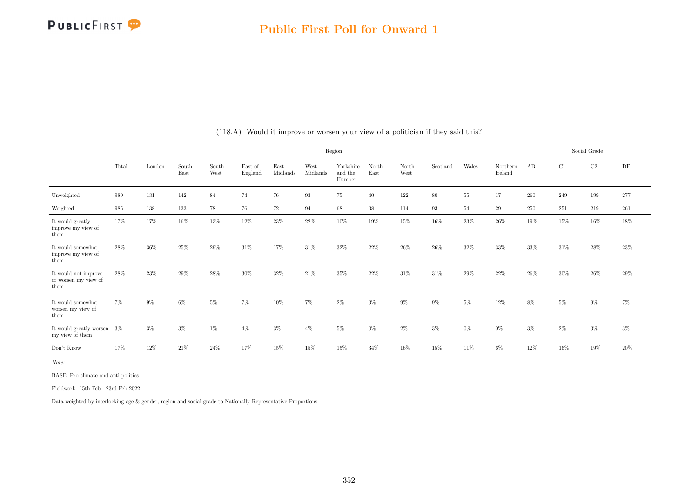|                                                      |       |         |               |               |                    |                  |                  | Region                         |               |               |          |       |                     |       |     | Social Grade |           |
|------------------------------------------------------|-------|---------|---------------|---------------|--------------------|------------------|------------------|--------------------------------|---------------|---------------|----------|-------|---------------------|-------|-----|--------------|-----------|
|                                                      | Total | London  | South<br>East | South<br>West | East of<br>England | East<br>Midlands | West<br>Midlands | Yorkshire<br>and the<br>Humber | North<br>East | North<br>West | Scotland | Wales | Northern<br>Ireland | AB    | C1  | $\rm C2$     | $\rm{DE}$ |
| Unweighted                                           | 989   | 131     | 142           | 84            | 74                 | 76               | $\,93$           | 75                             | 40            | 122           | 80       | 55    | 17                  | 260   | 249 | 199          | 277       |
| Weighted                                             | 985   | $138\,$ | 133           | 78            | 76                 | 72               | 94               | 68                             | $38\,$        | 114           | 93       | 54    | 29                  | 250   | 251 | 219          | 261       |
| It would greatly<br>improve my view of<br>them       | 17%   | 17%     | $16\%$        | $13\%$        | $12\%$             | $23\%$           | 22\%             | $10\%$                         | 19%           | $15\%$        | $16\%$   | 23%   | 26%                 | 19%   | 15% | 16%          | 18%       |
| It would somewhat<br>improve my view of<br>them      | 28%   | 36%     | 25%           | 29%           | 31%                | 17%              | 31\%             | $32\%$                         | 22%           | $26\%$        | 26%      | 32%   | 33%                 | 33%   | 31% | 28\%         | $23\%$    |
| It would not improve<br>or worsen my view of<br>them | 28%   | 23%     | 29%           | 28%           | 30%                | 32%              | 21\%             | 35%                            | 22%           | 31%           | 31%      | 29%   | 22%                 | 26%   | 30% | 26%          | 29%       |
| It would somewhat<br>worsen my view of<br>them       | 7%    | 9%      | 6%            | 5%            | 7%                 | 10%              | 7%               | $2\%$                          | $3\%$         | $9\%$         | 9%       | $5\%$ | 12%                 | 8%    | 5%  | $9\%$        | $7\%$     |
| It would greatly worsen<br>my view of them           | $3\%$ | $3\%$   | $3\%$         | $1\%$         | $4\%$              | $3\%$            | $4\%$            | 5%                             | $0\%$         | $2\%$         | $3\%$    | $0\%$ | $0\%$               | $3\%$ | 2%  | $3\%$        | $3\%$     |
| Don't Know                                           | 17%   | 12%     | 21%           | 24%           | 17%                | 15%              | 15%              | 15%                            | 34%           | 16%           | 15%      | 11%   | $6\%$               | 12%   | 16% | 19%          | 20%       |

(118.A) Would it improve or worsen your view of a politician if they said this?

Note:

BASE: Pro-climate and anti-politics

Fieldwork: 15th Feb - 23rd Feb 2022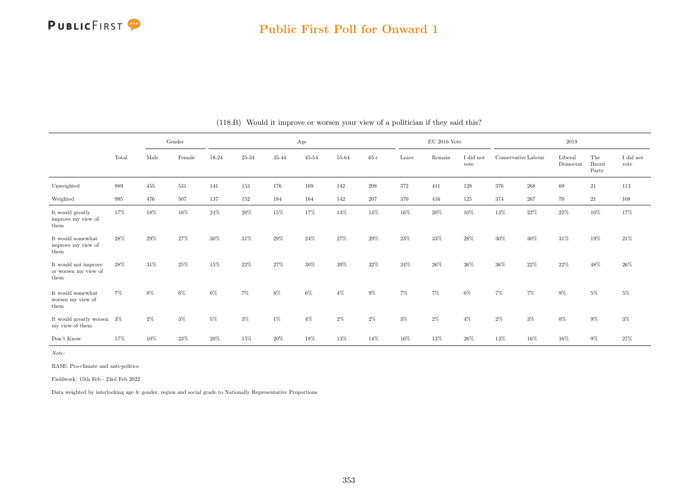

### Public First Poll for Onward 1

|                                                      |       |       | Gender |       |           |           | Age       |           |       |       | $\rm EU$ 2016 Vote |                   |                     |        | 2019                |                               |                               |
|------------------------------------------------------|-------|-------|--------|-------|-----------|-----------|-----------|-----------|-------|-------|--------------------|-------------------|---------------------|--------|---------------------|-------------------------------|-------------------------------|
|                                                      | Total | Male  | Female | 18-24 | $25 - 34$ | $35 - 44$ | $45 - 54$ | $55 - 64$ | $65+$ | Leave | Remain             | I did not<br>vote | Conservative Labour |        | Liberal<br>Democrat | The<br><b>Brexit</b><br>Party | $\rm I$ did $\rm not$<br>vote |
| Unweighted                                           | 989   | 455   | 531    | 141   | 153       | 176       | 169       | 142       | 208   | 372   | 411                | 128               | 376                 | 268    | 69                  | $21\,$                        | 113                           |
| Weighted                                             | 985   | 476   | 507    | 137   | 152       | 184       | 164       | 142       | 207   | 370   | 416                | 125               | 374                 | 267    | 70                  | 21                            | 108                           |
| It would greatly<br>improve my view of<br>them       | 17%   | 18%   | 16%    | 24%   | $20\%$    | 15%       | 17%       | 14%       | 14%   | 16%   | 20%                | 10%               | 13%                 | 22%    | 22%                 | 10%                           | 17%                           |
| It would somewhat<br>improve my view of<br>them      | 28%   | 29%   | 27%    | 30%   | 31\%      | 29%       | 24\%      | 27%       | 29%   | 23%   | 33%                | 28%               | 30%                 | $30\%$ | 31%                 | 19%                           | 21\%                          |
| It would not improve<br>or worsen my view of<br>them | 28%   | 31\%  | 25%    | 15%   | 22%       | 27%       | 30%       | 39%       | 32%   | 34%   | 26%                | 26\%              | 36%                 | 22%    | 22%                 | 48%                           | 26%                           |
| It would somewhat<br>worsen my view of<br>them       | 7%    | 8%    | 6%     | 6%    | 7%        | 8%        | $6\%$     | $4\%$     | $9\%$ | $7\%$ | $7\%$              | 6%                | $7\%$               | $7\%$  | 9%                  | 5%                            | $5\%$                         |
| It would greatly worsen 3%<br>my view of them        |       | $2\%$ | $3\%$  | 5%    | 3%        | 1%        | $4\%$     | 2%        | $2\%$ | $3\%$ | $2\%$              | $4\%$             | $2\%$               | $3\%$  | $0\%$               | 9%                            | $3\%$                         |
| Don't Know                                           | 17%   | 10%   | 23%    | 20%   | 15%       | 20%       | 18%       | 13%       | 14%   | 16%   | 13%                | 26%               | 13%                 | 16%    | 16%                 | $9\%$                         | 27%                           |

#### (118.B) Would it improve or worsen your view of a politician if they said this?

Note:

BASE: Pro-climate and anti-politics

Fieldwork: 15th Feb - 23rd Feb 2022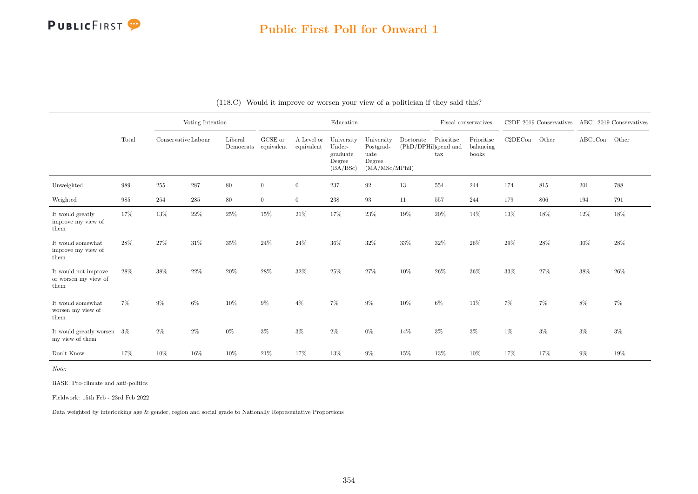### Public First Poll for Onward 1

|                                                                                 |        |                     | Voting Intention |                                 |                |                          | Education                                              |                                                              |                                   |                                    | Fiscal conservatives             |         | C2DE 2019 Conservatives ABC1 2019 Conservatives |               |        |
|---------------------------------------------------------------------------------|--------|---------------------|------------------|---------------------------------|----------------|--------------------------|--------------------------------------------------------|--------------------------------------------------------------|-----------------------------------|------------------------------------|----------------------------------|---------|-------------------------------------------------|---------------|--------|
|                                                                                 | Total  | Conservative Labour |                  | Liberal<br>Democrats equivalent | GCSE or        | A Level or<br>equivalent | University<br>Under-<br>graduate<br>Degree<br>(BA/BSc) | University<br>Postgrad-<br>uate<br>Degree<br>(MA/MSc/MPhill) | Doctorate<br>(PhD/DPHil)spend and | Prioritise<br>$\operatorname{tax}$ | Prioritise<br>balancing<br>books | C2DECon | Other                                           | ABC1Con Other |        |
| Unweighted                                                                      | 989    | 255                 | 287              | $80\,$                          | $\overline{0}$ | $\overline{0}$           | 237                                                    | 92                                                           | 13                                | 554                                | 244                              | 174     | 815                                             | 201           | 788    |
| Weighted                                                                        | 985    | 254                 | 285              | 80                              | $\overline{0}$ | $\overline{0}$           | 238                                                    | 93                                                           | 11                                | 557                                | 244                              | 179     | 806                                             | 194           | 791    |
| It would greatly<br>improve my view of<br>them                                  | $17\%$ | 13%                 | $22\%$           | $25\%$                          | $15\%$         | $21\%$                   | $17\%$                                                 | $23\%$                                                       | 19%                               | $20\%$                             | 14%                              | $13\%$  | $18\%$                                          | 12%           | $18\%$ |
| It would somewhat<br>improve my view of<br>them                                 | 28%    | 27%                 | $31\%$           | 35%                             | 24%            | 24\%                     | 36%                                                    | $32\%$                                                       | $33\%$                            | $32\%$                             | 26\%                             | 29%     | $28\%$                                          | 30%           | 28%    |
| It would not improve<br>or worsen my view of<br>them                            | $28\%$ | 38%                 | $22\%$           | $20\%$                          | 28%            | $32\%$                   | $25\%$                                                 | 27%                                                          | $10\%$                            | $26\%$                             | 36%                              | $33\%$  | 27%                                             | $38\%$        | $26\%$ |
| It would somewhat<br>worsen my view of $% \left\vert \cdot \right\vert$<br>them | $7\%$  | $9\%$               | $6\%$            | $10\%$                          | $9\%$          | $4\%$                    | 7%                                                     | $9\%$                                                        | $10\%$                            | $6\%$                              | 11%                              | 7%      | 7%                                              | $8\%$         | 7%     |
| It would greatly worsen<br>my view of them                                      | $3\%$  | $2\%$               | $2\%$            | $0\%$                           | $3\%$          | $3\%$                    | $2\%$                                                  | $0\%$                                                        | 14%                               | $3\%$                              | $3\%$                            | $1\%$   | $3\%$                                           | $3\%$         | $3\%$  |
| Don't Know                                                                      | 17%    | 10%                 | $16\%$           | $10\%$                          | 21\%           | 17%                      | $13\%$                                                 | $9\%$                                                        | 15%                               | $13\%$                             | 10%                              | 17%     | 17%                                             | $9\%$         | $19\%$ |

|  | (118.C) Would it improve or worsen your view of a politician if they said this? |  |  |  |
|--|---------------------------------------------------------------------------------|--|--|--|
|  |                                                                                 |  |  |  |

Note:

BASE: Pro-climate and anti-politics

Fieldwork: 15th Feb - 23rd Feb 2022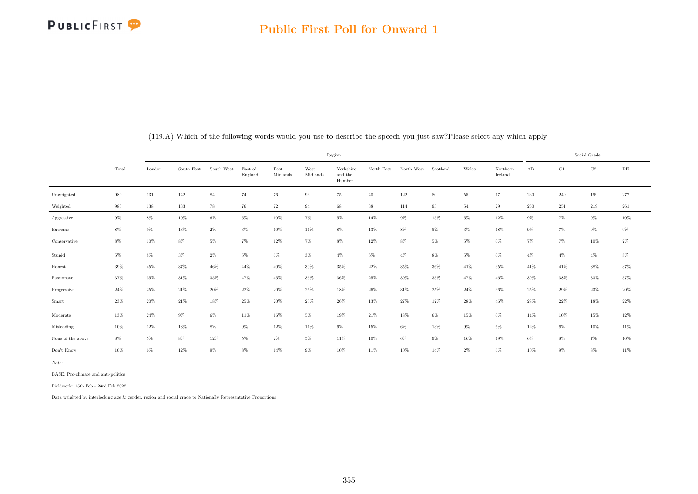|                   |        |        |            |            |                    |                    | Region           |                                |            |            |          |        |                     |        |        | Social Grade |           |
|-------------------|--------|--------|------------|------------|--------------------|--------------------|------------------|--------------------------------|------------|------------|----------|--------|---------------------|--------|--------|--------------|-----------|
|                   | Total  | London | South East | South West | East of<br>England | East<br>Midlands   | West<br>Midlands | Yorkshire<br>and the<br>Humber | North East | North West | Scotland | Wales  | Northern<br>Ireland | AB     | C1     | $\rm C2$     | $\rm{DE}$ |
| Unweighted        | 989    | 131    | 142        | 84         | 74                 | $76\,$             | 93               | 75                             | 40         | 122        | $80\,$   | $55\,$ | 17                  | 260    | 249    | 199          | $277\,$   |
| Weighted          | 985    | 138    | 133        | 78         | 76                 | $\scriptstyle{72}$ | 94               | 68                             | $38\,$     | 114        | 93       | $54\,$ | $\,29$              | 250    | 251    | 219          | $261\,$   |
| Aggressive        | $9\%$  | $8\%$  | $10\%$     | $6\%$      | $5\%$              | $10\%$             | $7\%$            | $5\%$                          | $14\%$     | $9\%$      | $15\%$   | $5\%$  | $12\%$              | $9\%$  | $7\%$  | $9\%$        | $10\%$    |
| Extreme           | $8\%$  | $9\%$  | $13\%$     | $2\%$      | $3\%$              | $10\%$             | $11\%$           | $8\%$                          | $13\%$     | $8\%$      | $5\%$    | $3\%$  | 18%                 | $9\%$  | $7\%$  | $9\%$        | $9\%$     |
| Conservative      | $8\%$  | $10\%$ | $8\%$      | $5\%$      | $7\%$              | 12%                | $7\%$            | $8\%$                          | $12\%$     | $8\%$      | $5\%$    | $5\%$  | $0\%$               | $7\%$  | $7\%$  | $10\%$       | $7\%$     |
| Stupid            | $5\%$  | $8\%$  | $3\%$      | $2\%$      | $5\%$              | $6\%$              | $3\%$            | $4\%$                          | $6\%$      | $4\%$      | $8\%$    | $5\%$  | $0\%$               | $4\%$  | $4\%$  | $4\%$        | $8\%$     |
| Honest            | 39%    | 45%    | 37%        | 46%        | 44%                | 40%                | 39%              | 35%                            | 22%        | $35\%$     | 36%      | 41%    | 35%                 | 41%    | 41%    | 38%          | 37%       |
| Passionate        | $37\%$ | $35\%$ | $31\%$     | $35\%$     | $47\%$             | $45\%$             | $36\%$           | $36\%$                         | $25\%$     | $39\%$     | $33\%$   | $47\%$ | 46%                 | $39\%$ | $38\%$ | $33\%$       | $37\%$    |
| Progressive       | $24\%$ | $25\%$ | $21\%$     | $20\%$     | $22\%$             | $20\%$             | $26\%$           | $18\%$                         | $26\%$     | $31\%$     | 25%      | $24\%$ | $36\%$              | 25%    | 29%    | $23\%$       | $20\%$    |
| Smart             | $23\%$ | $20\%$ | $21\%$     | $18\%$     | $25\%$             | $20\%$             | $23\%$           | $26\%$                         | $13\%$     | $27\%$     | $17\%$   | $28\%$ | 46%                 | $28\%$ | $22\%$ | $18\%$       | $22\%$    |
| Moderate          | 13%    | 24%    | $9\%$      | $6\%$      | 11%                | 16%                | $5\%$            | 19%                            | $21\%$     | 18%        | $6\%$    | 15%    | $0\%$               | 14%    | 10%    | 15%          | $12\%$    |
| Misleading        | 10%    | 12%    | 13%        | $8\%$      | $9\%$              | 12%                | 11%              | $6\%$                          | 15%        | $6\%$      | $13\%$   | $9\%$  | $6\%$               | 12%    | $9\%$  | 10%          | $11\%$    |
| None of the above | $8\%$  | $5\%$  | $8\%$      | 12%        | $5\%$              | $2\%$              | $5\%$            | $11\%$                         | $10\%$     | $6\%$      | $9\%$    | 16%    | 19%                 | $6\%$  | 8%     | $7\%$        | $10\%$    |
| Don't Know        | 10%    | $6\%$  | $12\%$     | $9\%$      | $8\%$              | $14\%$             | $9\%$            | $10\%$                         | $11\%$     | $10\%$     | $14\%$   | $2\%$  | $6\%$               | 10%    | $9\%$  | $8\%$        | $11\%$    |

(119.A) Which of the following words would you use to describe the speech you just saw?Please select any which apply

Note:

BASE: Pro-climate and anti-politics

Fieldwork: 15th Feb - 23rd Feb 2022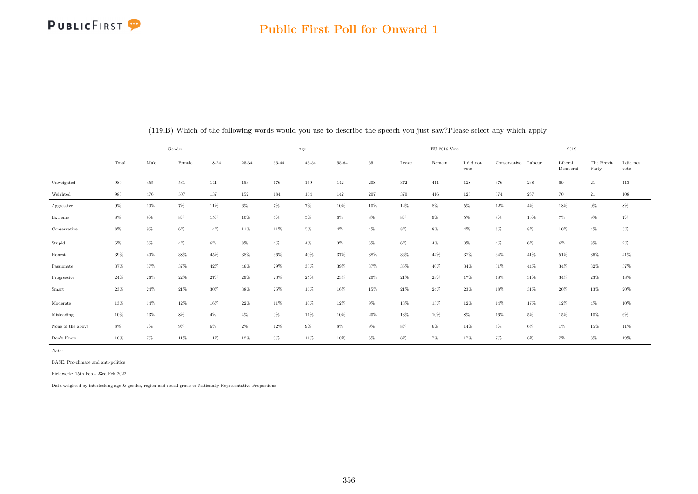### Public First Poll for Onward 1

|                   |       |        | Gender |        |        |           | Age       |        |         |        | $\mathrm{EU}$ 2016 Vote |                         |                     |        | 2019                |                     |                   |
|-------------------|-------|--------|--------|--------|--------|-----------|-----------|--------|---------|--------|-------------------------|-------------------------|---------------------|--------|---------------------|---------------------|-------------------|
|                   | Total | Male   | Female | 18-24  | 25-34  | $35 - 44$ | $45 - 54$ | 55-64  | $65+$   | Leave  | Remain                  | $\rm I$ did not<br>vote | Conservative Labour |        | Liberal<br>Democrat | The Brexit<br>Party | I did not<br>vote |
| Unweighted        | 989   | 455    | 531    | 141    | 153    | 176       | 169       | 142    | 208     | 372    | 411                     | 128                     | 376                 | 268    | $69\,$              | 21                  | 113               |
| Weighted          | 985   | 476    | 507    | 137    | 152    | 184       | 164       | 142    | $207\,$ | 370    | 416                     | 125                     | 374                 | 267    | 70                  | 21                  | 108               |
| Aggressive        | $9\%$ | $10\%$ | $7\%$  | 11%    | $6\%$  | $7\%$     | $7\%$     | $10\%$ | 10%     | 12%    | $8\%$                   | $5\%$                   | 12%                 | $4\%$  | 18%                 | $0\%$               | $8\%$             |
| Extreme           | $8\%$ | $9\%$  | $8\%$  | 15%    | $10\%$ | $6\%$     | $5\%$     | $6\%$  | $8\%$   | $8\%$  | $9\%$                   | $5\%$                   | $9\%$               | 10%    | $7\%$               | $9\%$               | $7\%$             |
| Conservative      | $8\%$ | $9\%$  | $6\%$  | 14%    | $11\%$ | 11%       | $5\%$     | $4\%$  | $4\%$   | $8\%$  | $8\%$                   | $4\%$                   | $8\%$               | $8\%$  | $10\%$              | $4\%$               | $5\%$             |
| Stupid            | $5\%$ | $5\%$  | $4\%$  | $6\%$  | $8\%$  | $4\%$     | $4\%$     | $3\%$  | $5\%$   | $6\%$  | $4\%$                   | $3\%$                   | $4\%$               | 6%     | $6\%$               | $8\%$               | $2\%$             |
| Honest            | 39%   | $40\%$ | $38\%$ | 45%    | $38\%$ | $36\%$    | 40%       | 37%    | 38%     | 36%    | 44%                     | 32%                     | 34%                 | 41\%   | $51\%$              | 36%                 | $41\%$            |
| Passionate        | 37%   | 37%    | $37\%$ | 42%    | $46\%$ | $29\%$    | 33%       | $39\%$ | 37%     | 35%    | $40\%$                  | 34%                     | 31%                 | 44%    | $34\%$              | 32%                 | 37%               |
| Progressive       | 24%   | 26%    | $22\%$ | $27\%$ | $29\%$ | 23%       | 25%       | $23\%$ | $20\%$  | $21\%$ | 28%                     | 17%                     | 18%                 | $31\%$ | 34%                 | $23\%$              | $18\%$            |
| Smart             | 23%   | 24%    | 21\%   | 30%    | 38%    | 25%       | 16%       | 16%    | 15%     | 21\%   | $24\%$                  | 23%                     | 18%                 | 31\%   | 20%                 | 13%                 | 20%               |
| Moderate          | 13%   | 14%    | $12\%$ | 16%    | $22\%$ | $11\%$    | $10\%$    | $12\%$ | $9\%$   | 13%    | 13%                     | 12%                     | 14%                 | 17%    | 12%                 | $4\%$               | $10\%$            |
| Misleading        | 10%   | $13\%$ | $8\%$  | $4\%$  | $4\%$  | $9\%$     | 11%       | $10\%$ | $20\%$  | 13%    | $10\%$                  | $8\%$                   | 16%                 | $5\%$  | 15%                 | $10\%$              | $6\%$             |
| None of the above | $8\%$ | $7\%$  | $9\%$  | $6\%$  | $2\%$  | 12%       | $9\%$     | $8\%$  | $9\%$   | $8\%$  | $6\%$                   | 14%                     | $8\%$               | 6%     | 1%                  | 15%                 | 11%               |
| Don't Know        | 10%   | 7%     | 11%    | 11%    | 12%    | $9\%$     | 11%       | 10%    | $6\%$   | $8\%$  | 7%                      | 17%                     | $7\%$               | 8%     | $7\%$               | $8\%$               | 19%               |

(119.B) Which of the following words would you use to describe the speech you just saw?Please select any which apply

Note:

BASE: Pro-climate and anti-politics

Fieldwork: 15th Feb - 23rd Feb 2022